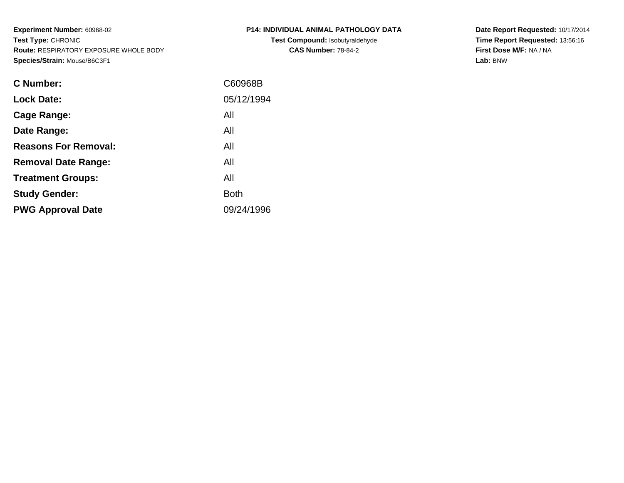**Experiment Number:** 60968-02**Test Type:** CHRONIC **Route:** RESPIRATORY EXPOSURE WHOLE BODY**Species/Strain:** Mouse/B6C3F1

| P14: INDIVIDUAL ANIMAL PATHOLOGY DATA |  |  |
|---------------------------------------|--|--|
| Tool Commonwealth in the state that   |  |  |

**Test Compound:** Isobutyraldehyde**CAS Number:** 78-84-2

**Date Report Requested:** 10/17/2014 **Time Report Requested:** 13:56:16**First Dose M/F:** NA / NA**Lab:** BNW

| <b>C</b> Number:            | C60968B    |
|-----------------------------|------------|
| <b>Lock Date:</b>           | 05/12/1994 |
| Cage Range:                 | All        |
| Date Range:                 | All        |
| <b>Reasons For Removal:</b> | All        |
| <b>Removal Date Range:</b>  | All        |
| <b>Treatment Groups:</b>    | All        |
| <b>Study Gender:</b>        | Both       |
| <b>PWG Approval Date</b>    | 09/24/1996 |
|                             |            |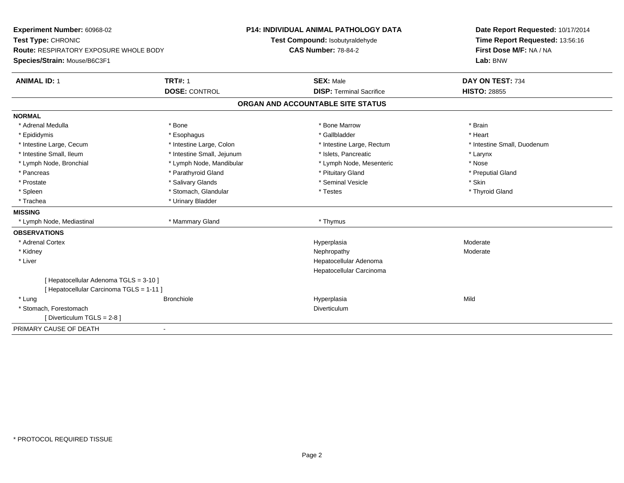| Experiment Number: 60968-02<br>Test Type: CHRONIC<br>Route: RESPIRATORY EXPOSURE WHOLE BODY<br>Species/Strain: Mouse/B6C3F1 |                            | P14: INDIVIDUAL ANIMAL PATHOLOGY DATA<br>Test Compound: Isobutyraldehyde | Date Report Requested: 10/17/2014<br>Time Report Requested: 13:56:16 |
|-----------------------------------------------------------------------------------------------------------------------------|----------------------------|--------------------------------------------------------------------------|----------------------------------------------------------------------|
|                                                                                                                             |                            | <b>CAS Number: 78-84-2</b>                                               | First Dose M/F: NA / NA<br>Lab: BNW                                  |
| <b>ANIMAL ID: 1</b>                                                                                                         | <b>TRT#: 1</b>             | <b>SEX: Male</b>                                                         | DAY ON TEST: 734                                                     |
|                                                                                                                             | <b>DOSE: CONTROL</b>       | <b>DISP: Terminal Sacrifice</b>                                          | <b>HISTO: 28855</b>                                                  |
|                                                                                                                             |                            | ORGAN AND ACCOUNTABLE SITE STATUS                                        |                                                                      |
| <b>NORMAL</b>                                                                                                               |                            |                                                                          |                                                                      |
| * Adrenal Medulla                                                                                                           | * Bone                     | * Bone Marrow                                                            | * Brain                                                              |
| * Epididymis                                                                                                                | * Esophagus                | * Gallbladder                                                            | * Heart                                                              |
| * Intestine Large, Cecum                                                                                                    | * Intestine Large, Colon   | * Intestine Large, Rectum                                                | * Intestine Small, Duodenum                                          |
| * Intestine Small, Ileum                                                                                                    | * Intestine Small, Jejunum | * Islets, Pancreatic                                                     | * Larynx                                                             |
| * Lymph Node, Bronchial                                                                                                     | * Lymph Node, Mandibular   | * Lymph Node, Mesenteric                                                 | * Nose                                                               |
| * Pancreas                                                                                                                  | * Parathyroid Gland        | * Pituitary Gland                                                        | * Preputial Gland                                                    |
| * Prostate                                                                                                                  | * Salivary Glands          | * Seminal Vesicle                                                        | * Skin                                                               |
| * Spleen                                                                                                                    | * Stomach, Glandular       | * Testes                                                                 | * Thyroid Gland                                                      |
| * Trachea                                                                                                                   | * Urinary Bladder          |                                                                          |                                                                      |
| <b>MISSING</b>                                                                                                              |                            |                                                                          |                                                                      |
| * Lymph Node, Mediastinal                                                                                                   | * Mammary Gland            | * Thymus                                                                 |                                                                      |
| <b>OBSERVATIONS</b>                                                                                                         |                            |                                                                          |                                                                      |
| * Adrenal Cortex                                                                                                            |                            | Hyperplasia                                                              | Moderate                                                             |
| * Kidney                                                                                                                    |                            | Nephropathy                                                              | Moderate                                                             |
| * Liver                                                                                                                     |                            | Hepatocellular Adenoma                                                   |                                                                      |
|                                                                                                                             |                            | Hepatocellular Carcinoma                                                 |                                                                      |
| [ Hepatocellular Adenoma TGLS = 3-10 ]                                                                                      |                            |                                                                          |                                                                      |
| [ Hepatocellular Carcinoma TGLS = 1-11 ]                                                                                    |                            |                                                                          |                                                                      |
| * Lung                                                                                                                      | <b>Bronchiole</b>          | Hyperplasia                                                              | Mild                                                                 |
| * Stomach, Forestomach                                                                                                      |                            | Diverticulum                                                             |                                                                      |
| [Diverticulum TGLS = 2-8]                                                                                                   |                            |                                                                          |                                                                      |
| PRIMARY CAUSE OF DEATH                                                                                                      | ٠                          |                                                                          |                                                                      |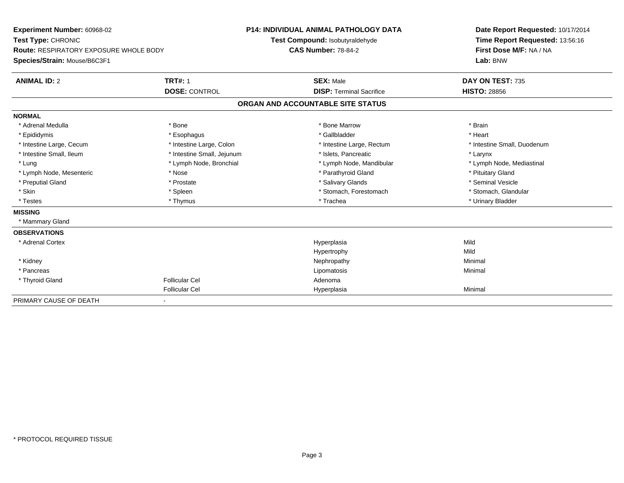| Experiment Number: 60968-02                   |                            | <b>P14: INDIVIDUAL ANIMAL PATHOLOGY DATA</b>                  |                                 | Date Report Requested: 10/17/2014 |
|-----------------------------------------------|----------------------------|---------------------------------------------------------------|---------------------------------|-----------------------------------|
| Test Type: CHRONIC                            |                            | Test Compound: Isobutyraldehyde<br><b>CAS Number: 78-84-2</b> |                                 | Time Report Requested: 13:56:16   |
| <b>Route: RESPIRATORY EXPOSURE WHOLE BODY</b> |                            |                                                               |                                 | First Dose M/F: NA / NA           |
| Species/Strain: Mouse/B6C3F1                  |                            |                                                               |                                 | Lab: BNW                          |
| <b>ANIMAL ID: 2</b>                           | <b>TRT#: 1</b>             |                                                               | <b>SEX: Male</b>                | DAY ON TEST: 735                  |
|                                               | <b>DOSE: CONTROL</b>       |                                                               | <b>DISP: Terminal Sacrifice</b> | <b>HISTO: 28856</b>               |
|                                               |                            | ORGAN AND ACCOUNTABLE SITE STATUS                             |                                 |                                   |
| <b>NORMAL</b>                                 |                            |                                                               |                                 |                                   |
| * Adrenal Medulla                             | * Bone                     |                                                               | * Bone Marrow                   | * Brain                           |
| * Epididymis                                  | * Esophagus                |                                                               | * Gallbladder                   | * Heart                           |
| * Intestine Large, Cecum                      | * Intestine Large, Colon   |                                                               | * Intestine Large, Rectum       | * Intestine Small, Duodenum       |
| * Intestine Small, Ileum                      | * Intestine Small, Jejunum |                                                               | * Islets. Pancreatic            | * Larynx                          |
| * Lung                                        | * Lymph Node, Bronchial    |                                                               | * Lymph Node, Mandibular        | * Lymph Node, Mediastinal         |
| * Lymph Node, Mesenteric                      | * Nose                     |                                                               | * Parathyroid Gland             | * Pituitary Gland                 |
| * Preputial Gland                             | * Prostate                 |                                                               | * Salivary Glands               | * Seminal Vesicle                 |
| * Skin                                        | * Spleen                   |                                                               | * Stomach, Forestomach          | * Stomach, Glandular              |
| * Testes                                      | * Thymus                   |                                                               | * Trachea                       | * Urinary Bladder                 |
| <b>MISSING</b>                                |                            |                                                               |                                 |                                   |
| * Mammary Gland                               |                            |                                                               |                                 |                                   |
| <b>OBSERVATIONS</b>                           |                            |                                                               |                                 |                                   |
| * Adrenal Cortex                              |                            |                                                               | Hyperplasia                     | Mild                              |
|                                               |                            |                                                               | Hypertrophy                     | Mild                              |
| * Kidney                                      |                            |                                                               | Nephropathy                     | Minimal                           |
| * Pancreas                                    |                            |                                                               | Lipomatosis                     | Minimal                           |
| * Thyroid Gland                               | <b>Follicular Cel</b>      |                                                               | Adenoma                         |                                   |
|                                               | <b>Follicular Cel</b>      |                                                               | Hyperplasia                     | Minimal                           |
| PRIMARY CAUSE OF DEATH                        |                            |                                                               |                                 |                                   |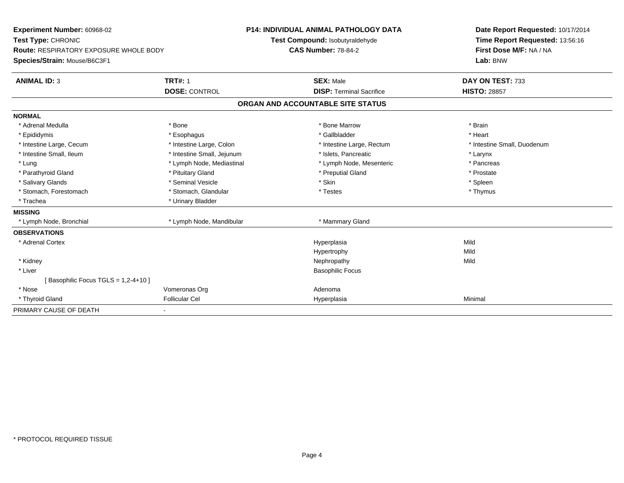| Experiment Number: 60968-02                   |                            | <b>P14: INDIVIDUAL ANIMAL PATHOLOGY DATA</b> | Date Report Requested: 10/17/2014 |
|-----------------------------------------------|----------------------------|----------------------------------------------|-----------------------------------|
| Test Type: CHRONIC                            |                            | Test Compound: Isobutyraldehyde              | Time Report Requested: 13:56:16   |
| <b>Route: RESPIRATORY EXPOSURE WHOLE BODY</b> |                            | <b>CAS Number: 78-84-2</b>                   | First Dose M/F: NA / NA           |
| Species/Strain: Mouse/B6C3F1                  |                            |                                              | Lab: BNW                          |
| <b>ANIMAL ID: 3</b>                           | <b>TRT#: 1</b>             | <b>SEX: Male</b>                             | DAY ON TEST: 733                  |
|                                               | <b>DOSE: CONTROL</b>       | <b>DISP: Terminal Sacrifice</b>              | <b>HISTO: 28857</b>               |
|                                               |                            | ORGAN AND ACCOUNTABLE SITE STATUS            |                                   |
| <b>NORMAL</b>                                 |                            |                                              |                                   |
| * Adrenal Medulla                             | * Bone                     | * Bone Marrow                                | * Brain                           |
| * Epididymis                                  | * Esophagus                | * Gallbladder                                | * Heart                           |
| * Intestine Large, Cecum                      | * Intestine Large, Colon   | * Intestine Large, Rectum                    | * Intestine Small, Duodenum       |
| * Intestine Small, Ileum                      | * Intestine Small, Jejunum | * Islets, Pancreatic                         | * Larynx                          |
| * Lung                                        | * Lymph Node, Mediastinal  | * Lymph Node, Mesenteric                     | * Pancreas                        |
| * Parathyroid Gland                           | * Pituitary Gland          | * Preputial Gland                            | * Prostate                        |
| * Salivary Glands                             | * Seminal Vesicle          | * Skin                                       | * Spleen                          |
| * Stomach, Forestomach                        | * Stomach, Glandular       | * Testes                                     | * Thymus                          |
| * Trachea                                     | * Urinary Bladder          |                                              |                                   |
| <b>MISSING</b>                                |                            |                                              |                                   |
| * Lymph Node, Bronchial                       | * Lymph Node, Mandibular   | * Mammary Gland                              |                                   |
| <b>OBSERVATIONS</b>                           |                            |                                              |                                   |
| * Adrenal Cortex                              |                            | Hyperplasia                                  | Mild                              |
|                                               |                            | Hypertrophy                                  | Mild                              |
| * Kidney                                      |                            | Nephropathy                                  | Mild                              |
| * Liver                                       |                            | <b>Basophilic Focus</b>                      |                                   |
| Basophilic Focus TGLS = 1,2-4+10 ]            |                            |                                              |                                   |
| * Nose                                        | Vomeronas Org              | Adenoma                                      |                                   |
| * Thyroid Gland                               | <b>Follicular Cel</b>      | Hyperplasia                                  | Minimal                           |
| PRIMARY CAUSE OF DEATH                        |                            |                                              |                                   |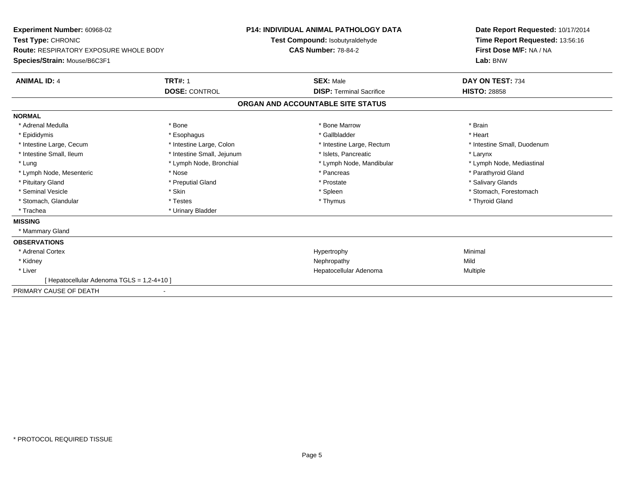| <b>Experiment Number: 60968-02</b><br>Test Type: CHRONIC<br><b>Route: RESPIRATORY EXPOSURE WHOLE BODY</b><br>Species/Strain: Mouse/B6C3F1 |                            | <b>P14: INDIVIDUAL ANIMAL PATHOLOGY DATA</b><br><b>Test Compound: Isobutyraldehyde</b><br><b>CAS Number: 78-84-2</b> |                                   | Date Report Requested: 10/17/2014<br>Time Report Requested: 13:56:16<br>First Dose M/F: NA / NA<br>Lab: BNW |
|-------------------------------------------------------------------------------------------------------------------------------------------|----------------------------|----------------------------------------------------------------------------------------------------------------------|-----------------------------------|-------------------------------------------------------------------------------------------------------------|
| <b>ANIMAL ID: 4</b>                                                                                                                       | <b>TRT#: 1</b>             |                                                                                                                      | <b>SEX: Male</b>                  | DAY ON TEST: 734                                                                                            |
|                                                                                                                                           | <b>DOSE: CONTROL</b>       |                                                                                                                      | <b>DISP: Terminal Sacrifice</b>   | <b>HISTO: 28858</b>                                                                                         |
|                                                                                                                                           |                            |                                                                                                                      | ORGAN AND ACCOUNTABLE SITE STATUS |                                                                                                             |
| <b>NORMAL</b>                                                                                                                             |                            |                                                                                                                      |                                   |                                                                                                             |
| * Adrenal Medulla                                                                                                                         | * Bone                     |                                                                                                                      | * Bone Marrow                     | * Brain                                                                                                     |
| * Epididymis                                                                                                                              | * Esophagus                |                                                                                                                      | * Gallbladder                     | * Heart                                                                                                     |
| * Intestine Large, Cecum                                                                                                                  | * Intestine Large, Colon   |                                                                                                                      | * Intestine Large, Rectum         | * Intestine Small, Duodenum                                                                                 |
| * Intestine Small, Ileum                                                                                                                  | * Intestine Small, Jejunum |                                                                                                                      | * Islets, Pancreatic              | * Larynx                                                                                                    |
| * Lung                                                                                                                                    | * Lymph Node, Bronchial    |                                                                                                                      | * Lymph Node, Mandibular          | * Lymph Node, Mediastinal                                                                                   |
| * Lymph Node, Mesenteric                                                                                                                  | * Nose                     |                                                                                                                      | * Pancreas                        | * Parathyroid Gland                                                                                         |
| * Pituitary Gland                                                                                                                         | * Preputial Gland          |                                                                                                                      | * Prostate                        | * Salivary Glands                                                                                           |
| * Seminal Vesicle                                                                                                                         | * Skin                     |                                                                                                                      | * Spleen                          | * Stomach, Forestomach                                                                                      |
| * Stomach, Glandular                                                                                                                      | * Testes                   |                                                                                                                      | * Thymus                          | * Thyroid Gland                                                                                             |
| * Trachea                                                                                                                                 | * Urinary Bladder          |                                                                                                                      |                                   |                                                                                                             |
| <b>MISSING</b>                                                                                                                            |                            |                                                                                                                      |                                   |                                                                                                             |
| * Mammary Gland                                                                                                                           |                            |                                                                                                                      |                                   |                                                                                                             |
| <b>OBSERVATIONS</b>                                                                                                                       |                            |                                                                                                                      |                                   |                                                                                                             |
| * Adrenal Cortex                                                                                                                          |                            |                                                                                                                      | Hypertrophy                       | Minimal                                                                                                     |
| * Kidney                                                                                                                                  |                            |                                                                                                                      | Nephropathy                       | Mild                                                                                                        |
| * Liver                                                                                                                                   |                            |                                                                                                                      | Hepatocellular Adenoma            | Multiple                                                                                                    |
| [ Hepatocellular Adenoma TGLS = 1,2-4+10 ]                                                                                                |                            |                                                                                                                      |                                   |                                                                                                             |
| PRIMARY CAUSE OF DEATH                                                                                                                    |                            |                                                                                                                      |                                   |                                                                                                             |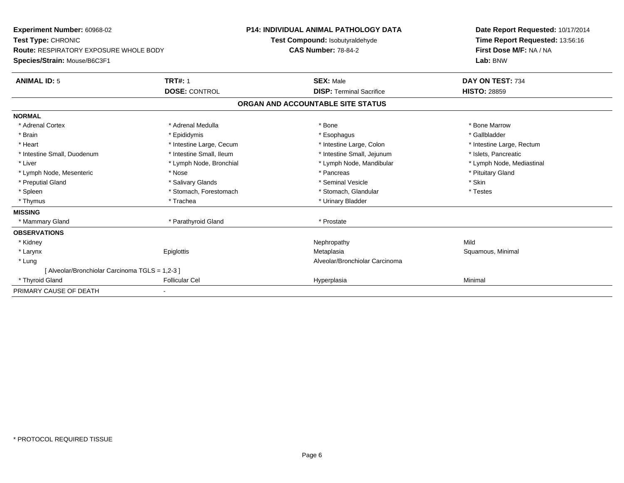| Experiment Number: 60968-02                     |                          | <b>P14: INDIVIDUAL ANIMAL PATHOLOGY DATA</b> |                                   | Date Report Requested: 10/17/2014 |
|-------------------------------------------------|--------------------------|----------------------------------------------|-----------------------------------|-----------------------------------|
| Test Type: CHRONIC                              |                          |                                              | Test Compound: Isobutyraldehyde   | Time Report Requested: 13:56:16   |
| Route: RESPIRATORY EXPOSURE WHOLE BODY          |                          | <b>CAS Number: 78-84-2</b>                   |                                   | First Dose M/F: NA / NA           |
| Species/Strain: Mouse/B6C3F1                    |                          |                                              |                                   | Lab: BNW                          |
| <b>ANIMAL ID: 5</b>                             | <b>TRT#: 1</b>           |                                              | <b>SEX: Male</b>                  | DAY ON TEST: 734                  |
|                                                 | <b>DOSE: CONTROL</b>     |                                              | <b>DISP: Terminal Sacrifice</b>   | <b>HISTO: 28859</b>               |
|                                                 |                          |                                              | ORGAN AND ACCOUNTABLE SITE STATUS |                                   |
| <b>NORMAL</b>                                   |                          |                                              |                                   |                                   |
| * Adrenal Cortex                                | * Adrenal Medulla        |                                              | * Bone                            | * Bone Marrow                     |
| * Brain                                         | * Epididymis             |                                              | * Esophagus                       | * Gallbladder                     |
| * Heart                                         | * Intestine Large, Cecum |                                              | * Intestine Large, Colon          | * Intestine Large, Rectum         |
| * Intestine Small, Duodenum                     | * Intestine Small, Ileum |                                              | * Intestine Small, Jejunum        | * Islets, Pancreatic              |
| * Liver                                         | * Lymph Node, Bronchial  |                                              | * Lymph Node, Mandibular          | * Lymph Node, Mediastinal         |
| * Lymph Node, Mesenteric                        | * Nose                   |                                              | * Pancreas                        | * Pituitary Gland                 |
| * Preputial Gland                               | * Salivary Glands        |                                              | * Seminal Vesicle                 | * Skin                            |
| * Spleen                                        | * Stomach, Forestomach   |                                              | * Stomach, Glandular              | * Testes                          |
| * Thymus                                        | * Trachea                |                                              | * Urinary Bladder                 |                                   |
| <b>MISSING</b>                                  |                          |                                              |                                   |                                   |
| * Mammary Gland                                 | * Parathyroid Gland      |                                              | * Prostate                        |                                   |
| <b>OBSERVATIONS</b>                             |                          |                                              |                                   |                                   |
| * Kidney                                        |                          |                                              | Nephropathy                       | Mild                              |
| * Larynx                                        | Epiglottis               |                                              | Metaplasia                        | Squamous, Minimal                 |
| * Lung                                          |                          |                                              | Alveolar/Bronchiolar Carcinoma    |                                   |
| [ Alveolar/Bronchiolar Carcinoma TGLS = 1,2-3 ] |                          |                                              |                                   |                                   |
| * Thyroid Gland                                 | <b>Follicular Cel</b>    |                                              | Hyperplasia                       | Minimal                           |
| PRIMARY CAUSE OF DEATH                          |                          |                                              |                                   |                                   |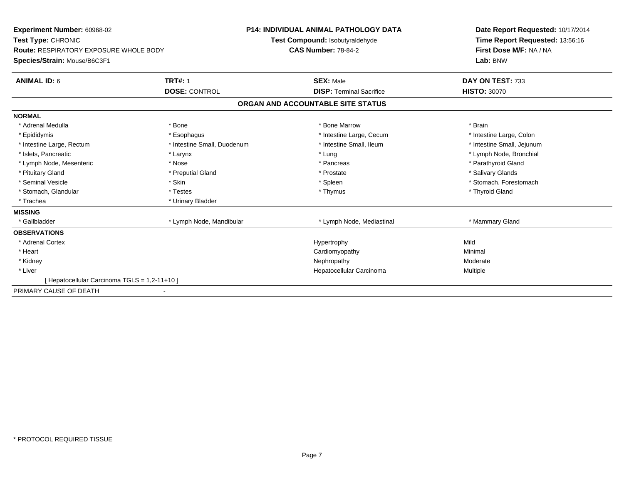| Experiment Number: 60968-02                 |                             | <b>P14: INDIVIDUAL ANIMAL PATHOLOGY DATA</b> | Date Report Requested: 10/17/2014 |
|---------------------------------------------|-----------------------------|----------------------------------------------|-----------------------------------|
| Test Type: CHRONIC                          |                             | Test Compound: Isobutyraldehyde              | Time Report Requested: 13:56:16   |
| Route: RESPIRATORY EXPOSURE WHOLE BODY      |                             | <b>CAS Number: 78-84-2</b>                   | First Dose M/F: NA / NA           |
| Species/Strain: Mouse/B6C3F1                |                             |                                              | Lab: BNW                          |
| <b>ANIMAL ID: 6</b>                         | <b>TRT#: 1</b>              | <b>SEX: Male</b>                             | DAY ON TEST: 733                  |
|                                             | <b>DOSE: CONTROL</b>        | <b>DISP: Terminal Sacrifice</b>              | <b>HISTO: 30070</b>               |
|                                             |                             | ORGAN AND ACCOUNTABLE SITE STATUS            |                                   |
| <b>NORMAL</b>                               |                             |                                              |                                   |
| * Adrenal Medulla                           | * Bone                      | * Bone Marrow                                | * Brain                           |
| * Epididymis                                | * Esophagus                 | * Intestine Large, Cecum                     | * Intestine Large, Colon          |
| * Intestine Large, Rectum                   | * Intestine Small, Duodenum | * Intestine Small, Ileum                     | * Intestine Small, Jejunum        |
| * Islets, Pancreatic                        | * Larynx                    | * Lung                                       | * Lymph Node, Bronchial           |
| * Lymph Node, Mesenteric                    | * Nose                      | * Pancreas                                   | * Parathyroid Gland               |
| * Pituitary Gland                           | * Preputial Gland           | * Prostate                                   | * Salivary Glands                 |
| * Seminal Vesicle                           | * Skin                      | * Spleen                                     | * Stomach, Forestomach            |
| * Stomach, Glandular                        | * Testes                    | * Thymus                                     | * Thyroid Gland                   |
| * Trachea                                   | * Urinary Bladder           |                                              |                                   |
| <b>MISSING</b>                              |                             |                                              |                                   |
| * Gallbladder                               | * Lymph Node, Mandibular    | * Lymph Node, Mediastinal                    | * Mammary Gland                   |
| <b>OBSERVATIONS</b>                         |                             |                                              |                                   |
| * Adrenal Cortex                            |                             | Hypertrophy                                  | Mild                              |
| * Heart                                     |                             | Cardiomyopathy                               | Minimal                           |
| * Kidney                                    |                             | Nephropathy                                  | Moderate                          |
| * Liver                                     |                             | Hepatocellular Carcinoma                     | Multiple                          |
| [Hepatocellular Carcinoma TGLS = 1,2-11+10] |                             |                                              |                                   |
| PRIMARY CAUSE OF DEATH                      |                             |                                              |                                   |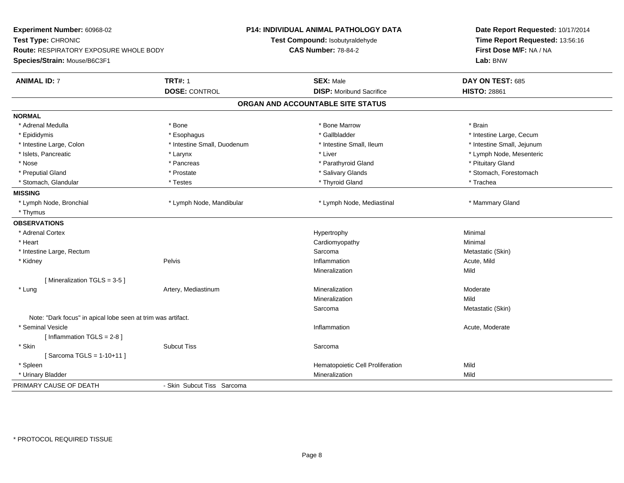| Experiment Number: 60968-02                                  |                             | <b>P14: INDIVIDUAL ANIMAL PATHOLOGY DATA</b> | Date Report Requested: 10/17/2014 |  |
|--------------------------------------------------------------|-----------------------------|----------------------------------------------|-----------------------------------|--|
| Test Type: CHRONIC                                           |                             | Test Compound: Isobutyraldehyde              | Time Report Requested: 13:56:16   |  |
| Route: RESPIRATORY EXPOSURE WHOLE BODY                       |                             | <b>CAS Number: 78-84-2</b>                   | First Dose M/F: NA / NA           |  |
| Species/Strain: Mouse/B6C3F1                                 |                             |                                              | Lab: BNW                          |  |
| <b>ANIMAL ID: 7</b>                                          | <b>TRT#: 1</b>              | <b>SEX: Male</b>                             | DAY ON TEST: 685                  |  |
|                                                              | <b>DOSE: CONTROL</b>        | <b>DISP:</b> Moribund Sacrifice              | <b>HISTO: 28861</b>               |  |
|                                                              |                             | ORGAN AND ACCOUNTABLE SITE STATUS            |                                   |  |
| <b>NORMAL</b>                                                |                             |                                              |                                   |  |
| * Adrenal Medulla                                            | * Bone                      | * Bone Marrow                                | * Brain                           |  |
| * Epididymis                                                 | * Esophagus                 | * Gallbladder                                | * Intestine Large, Cecum          |  |
| * Intestine Large, Colon                                     | * Intestine Small, Duodenum | * Intestine Small, Ileum                     | * Intestine Small, Jejunum        |  |
| * Islets, Pancreatic                                         | * Larynx                    | * Liver                                      | * Lymph Node, Mesenteric          |  |
| * Nose                                                       | * Pancreas                  | * Parathyroid Gland                          | * Pituitary Gland                 |  |
| * Preputial Gland                                            | * Prostate                  | * Salivary Glands                            | * Stomach, Forestomach            |  |
| * Stomach, Glandular                                         | * Testes                    | * Thyroid Gland                              | * Trachea                         |  |
| <b>MISSING</b>                                               |                             |                                              |                                   |  |
| * Lymph Node, Bronchial                                      | * Lymph Node, Mandibular    | * Lymph Node, Mediastinal                    | * Mammary Gland                   |  |
| * Thymus                                                     |                             |                                              |                                   |  |
| <b>OBSERVATIONS</b>                                          |                             |                                              |                                   |  |
| * Adrenal Cortex                                             |                             | Hypertrophy                                  | Minimal                           |  |
| * Heart                                                      |                             | Cardiomyopathy                               | Minimal                           |  |
| * Intestine Large, Rectum                                    |                             | Sarcoma                                      | Metastatic (Skin)                 |  |
| * Kidney                                                     | Pelvis                      | Inflammation                                 | Acute, Mild                       |  |
|                                                              |                             | Mineralization                               | Mild                              |  |
| [Mineralization TGLS = 3-5]                                  |                             |                                              |                                   |  |
| * Lung                                                       | Artery, Mediastinum         | Mineralization                               | Moderate                          |  |
|                                                              |                             | Mineralization                               | Mild                              |  |
|                                                              |                             | Sarcoma                                      | Metastatic (Skin)                 |  |
| Note: "Dark focus" in apical lobe seen at trim was artifact. |                             |                                              |                                   |  |
| * Seminal Vesicle                                            |                             | Inflammation                                 | Acute, Moderate                   |  |
| [Inflammation TGLS = 2-8]                                    |                             |                                              |                                   |  |
| * Skin                                                       | <b>Subcut Tiss</b>          | Sarcoma                                      |                                   |  |
| [Sarcoma TGLS = 1-10+11]                                     |                             |                                              |                                   |  |
| * Spleen                                                     |                             | Hematopoietic Cell Proliferation             | Mild                              |  |
| * Urinary Bladder                                            |                             | Mineralization                               | Mild                              |  |
| PRIMARY CAUSE OF DEATH                                       | - Skin Subcut Tiss Sarcoma  |                                              |                                   |  |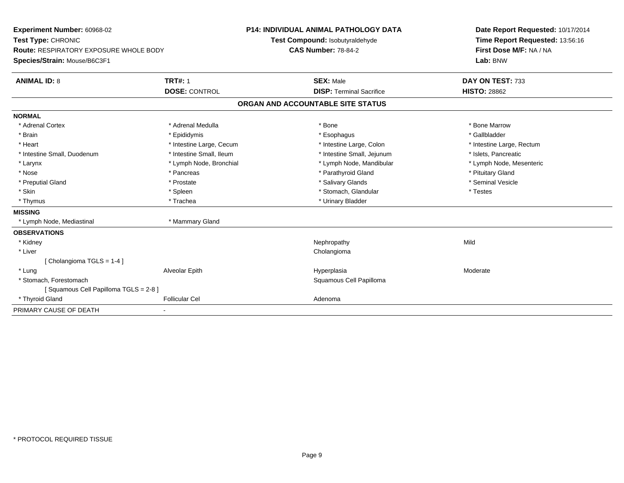| Experiment Number: 60968-02                   |                          | <b>P14: INDIVIDUAL ANIMAL PATHOLOGY DATA</b> |                                   |  | Date Report Requested: 10/17/2014 |
|-----------------------------------------------|--------------------------|----------------------------------------------|-----------------------------------|--|-----------------------------------|
| Test Type: CHRONIC                            |                          |                                              | Test Compound: Isobutyraldehyde   |  | Time Report Requested: 13:56:16   |
| <b>Route: RESPIRATORY EXPOSURE WHOLE BODY</b> |                          | <b>CAS Number: 78-84-2</b>                   |                                   |  | First Dose M/F: NA / NA           |
| Species/Strain: Mouse/B6C3F1                  |                          |                                              |                                   |  | Lab: BNW                          |
| <b>ANIMAL ID: 8</b>                           | <b>TRT#: 1</b>           |                                              | <b>SEX: Male</b>                  |  | DAY ON TEST: 733                  |
|                                               | <b>DOSE: CONTROL</b>     |                                              | <b>DISP: Terminal Sacrifice</b>   |  | <b>HISTO: 28862</b>               |
|                                               |                          |                                              | ORGAN AND ACCOUNTABLE SITE STATUS |  |                                   |
| <b>NORMAL</b>                                 |                          |                                              |                                   |  |                                   |
| * Adrenal Cortex                              | * Adrenal Medulla        |                                              | * Bone                            |  | * Bone Marrow                     |
| * Brain                                       | * Epididymis             |                                              | * Esophagus                       |  | * Gallbladder                     |
| * Heart                                       | * Intestine Large, Cecum |                                              | * Intestine Large, Colon          |  | * Intestine Large, Rectum         |
| * Intestine Small, Duodenum                   | * Intestine Small, Ileum |                                              | * Intestine Small, Jejunum        |  | * Islets, Pancreatic              |
| * Larynx                                      | * Lymph Node, Bronchial  |                                              | * Lymph Node, Mandibular          |  | * Lymph Node, Mesenteric          |
| * Nose                                        | * Pancreas               |                                              | * Parathyroid Gland               |  | * Pituitary Gland                 |
| * Preputial Gland                             | * Prostate               |                                              | * Salivary Glands                 |  | * Seminal Vesicle                 |
| * Skin                                        | * Spleen                 |                                              | * Stomach, Glandular              |  | * Testes                          |
| * Thymus                                      | * Trachea                |                                              | * Urinary Bladder                 |  |                                   |
| <b>MISSING</b>                                |                          |                                              |                                   |  |                                   |
| * Lymph Node, Mediastinal                     | * Mammary Gland          |                                              |                                   |  |                                   |
| <b>OBSERVATIONS</b>                           |                          |                                              |                                   |  |                                   |
| * Kidney                                      |                          |                                              | Nephropathy                       |  | Mild                              |
| * Liver                                       |                          |                                              | Cholangioma                       |  |                                   |
| [Cholangioma TGLS = 1-4]                      |                          |                                              |                                   |  |                                   |
| * Lung                                        | Alveolar Epith           |                                              | Hyperplasia                       |  | Moderate                          |
| * Stomach. Forestomach                        |                          |                                              | Squamous Cell Papilloma           |  |                                   |
| Squamous Cell Papilloma TGLS = 2-8 ]          |                          |                                              |                                   |  |                                   |
| * Thyroid Gland                               | <b>Follicular Cel</b>    |                                              | Adenoma                           |  |                                   |
| PRIMARY CAUSE OF DEATH                        |                          |                                              |                                   |  |                                   |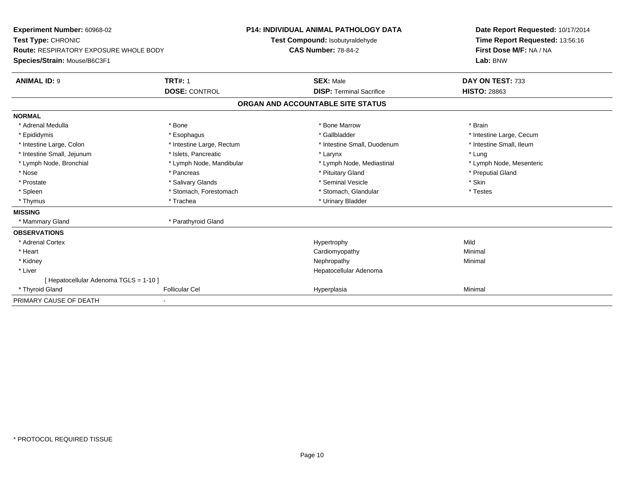| Experiment Number: 60968-02<br>Test Type: CHRONIC<br><b>Route: RESPIRATORY EXPOSURE WHOLE BODY</b><br>Species/Strain: Mouse/B6C3F1                                                                        |                                                                                                                                                                                  | <b>P14: INDIVIDUAL ANIMAL PATHOLOGY DATA</b><br>Test Compound: Isobutyraldehyde<br><b>CAS Number: 78-84-2</b>                                                                                 | Date Report Requested: 10/17/2014<br>Time Report Requested: 13:56:16<br>First Dose M/F: NA / NA<br>Lab: BNW                                      |
|-----------------------------------------------------------------------------------------------------------------------------------------------------------------------------------------------------------|----------------------------------------------------------------------------------------------------------------------------------------------------------------------------------|-----------------------------------------------------------------------------------------------------------------------------------------------------------------------------------------------|--------------------------------------------------------------------------------------------------------------------------------------------------|
| <b>ANIMAL ID: 9</b>                                                                                                                                                                                       | <b>TRT#: 1</b>                                                                                                                                                                   | <b>SEX: Male</b>                                                                                                                                                                              | DAY ON TEST: 733                                                                                                                                 |
|                                                                                                                                                                                                           | <b>DOSE: CONTROL</b>                                                                                                                                                             | <b>DISP: Terminal Sacrifice</b><br>ORGAN AND ACCOUNTABLE SITE STATUS                                                                                                                          | <b>HISTO: 28863</b>                                                                                                                              |
|                                                                                                                                                                                                           |                                                                                                                                                                                  |                                                                                                                                                                                               |                                                                                                                                                  |
| <b>NORMAL</b><br>* Adrenal Medulla<br>* Epididymis<br>* Intestine Large, Colon<br>* Intestine Small, Jejunum<br>* Lymph Node, Bronchial<br>* Nose<br>* Prostate<br>* Spleen<br>* Thymus<br><b>MISSING</b> | * Bone<br>* Esophagus<br>* Intestine Large, Rectum<br>* Islets. Pancreatic<br>* Lymph Node, Mandibular<br>* Pancreas<br>* Salivary Glands<br>* Stomach, Forestomach<br>* Trachea | * Bone Marrow<br>* Gallbladder<br>* Intestine Small, Duodenum<br>* Larynx<br>* Lymph Node, Mediastinal<br>* Pituitary Gland<br>* Seminal Vesicle<br>* Stomach, Glandular<br>* Urinary Bladder | * Brain<br>* Intestine Large, Cecum<br>* Intestine Small. Ileum<br>* Lung<br>* Lymph Node, Mesenteric<br>* Preputial Gland<br>* Skin<br>* Testes |
| * Mammary Gland                                                                                                                                                                                           | * Parathyroid Gland                                                                                                                                                              |                                                                                                                                                                                               |                                                                                                                                                  |
| <b>OBSERVATIONS</b><br>* Adrenal Cortex<br>* Heart<br>* Kidney<br>* Liver<br>[ Hepatocellular Adenoma TGLS = 1-10 ]                                                                                       |                                                                                                                                                                                  | Hypertrophy<br>Cardiomyopathy<br>Nephropathy<br>Hepatocellular Adenoma                                                                                                                        | Mild<br>Minimal<br>Minimal                                                                                                                       |
| * Thyroid Gland                                                                                                                                                                                           | <b>Follicular Cel</b>                                                                                                                                                            | Hyperplasia                                                                                                                                                                                   | Minimal                                                                                                                                          |
| PRIMARY CAUSE OF DEATH                                                                                                                                                                                    |                                                                                                                                                                                  |                                                                                                                                                                                               |                                                                                                                                                  |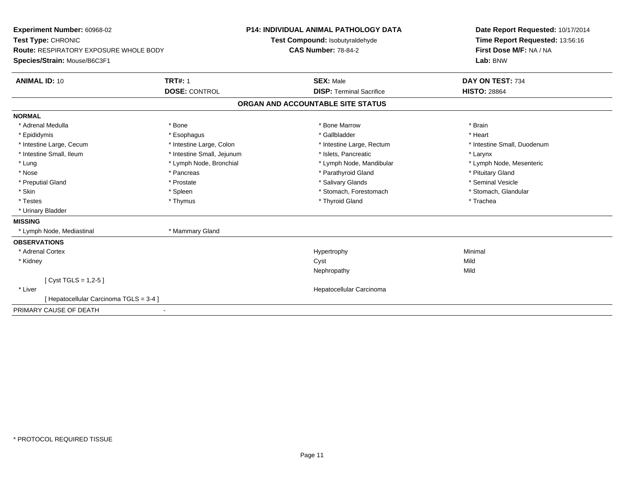| Experiment Number: 60968-02<br>Test Type: CHRONIC<br><b>Route: RESPIRATORY EXPOSURE WHOLE BODY</b> |                            | <b>P14: INDIVIDUAL ANIMAL PATHOLOGY DATA</b><br>Test Compound: Isobutyraldehyde<br><b>CAS Number: 78-84-2</b> | Date Report Requested: 10/17/2014<br>Time Report Requested: 13:56:16<br>First Dose M/F: NA / NA |
|----------------------------------------------------------------------------------------------------|----------------------------|---------------------------------------------------------------------------------------------------------------|-------------------------------------------------------------------------------------------------|
| Species/Strain: Mouse/B6C3F1                                                                       |                            |                                                                                                               | Lab: BNW                                                                                        |
| <b>ANIMAL ID: 10</b>                                                                               | <b>TRT#: 1</b>             | <b>SEX: Male</b>                                                                                              | DAY ON TEST: 734                                                                                |
|                                                                                                    | <b>DOSE: CONTROL</b>       | <b>DISP: Terminal Sacrifice</b>                                                                               | <b>HISTO: 28864</b>                                                                             |
|                                                                                                    |                            | ORGAN AND ACCOUNTABLE SITE STATUS                                                                             |                                                                                                 |
| <b>NORMAL</b>                                                                                      |                            |                                                                                                               |                                                                                                 |
| * Adrenal Medulla                                                                                  | * Bone                     | * Bone Marrow                                                                                                 | * Brain                                                                                         |
| * Epididymis                                                                                       | * Esophagus                | * Gallbladder                                                                                                 | * Heart                                                                                         |
| * Intestine Large, Cecum                                                                           | * Intestine Large, Colon   | * Intestine Large, Rectum                                                                                     | * Intestine Small, Duodenum                                                                     |
| * Intestine Small, Ileum                                                                           | * Intestine Small, Jejunum | * Islets, Pancreatic                                                                                          | * Larynx                                                                                        |
| * Lung                                                                                             | * Lymph Node, Bronchial    | * Lymph Node, Mandibular                                                                                      | * Lymph Node, Mesenteric                                                                        |
| * Nose                                                                                             | * Pancreas                 | * Parathyroid Gland                                                                                           | * Pituitary Gland                                                                               |
| * Preputial Gland                                                                                  | * Prostate                 | * Salivary Glands                                                                                             | * Seminal Vesicle                                                                               |
| * Skin                                                                                             | * Spleen                   | * Stomach, Forestomach                                                                                        | * Stomach, Glandular                                                                            |
| * Testes                                                                                           | * Thymus                   | * Thyroid Gland                                                                                               | * Trachea                                                                                       |
| * Urinary Bladder                                                                                  |                            |                                                                                                               |                                                                                                 |
| <b>MISSING</b>                                                                                     |                            |                                                                                                               |                                                                                                 |
| * Lymph Node, Mediastinal                                                                          | * Mammary Gland            |                                                                                                               |                                                                                                 |
| <b>OBSERVATIONS</b>                                                                                |                            |                                                                                                               |                                                                                                 |
| * Adrenal Cortex                                                                                   |                            | Hypertrophy                                                                                                   | Minimal                                                                                         |
| * Kidney                                                                                           |                            | Cyst                                                                                                          | Mild                                                                                            |
|                                                                                                    |                            | Nephropathy                                                                                                   | Mild                                                                                            |
| [ Cyst TGLS = $1,2-5$ ]                                                                            |                            |                                                                                                               |                                                                                                 |
| * Liver                                                                                            |                            | Hepatocellular Carcinoma                                                                                      |                                                                                                 |
| [Hepatocellular Carcinoma TGLS = 3-4 ]                                                             |                            |                                                                                                               |                                                                                                 |
| PRIMARY CAUSE OF DEATH                                                                             |                            |                                                                                                               |                                                                                                 |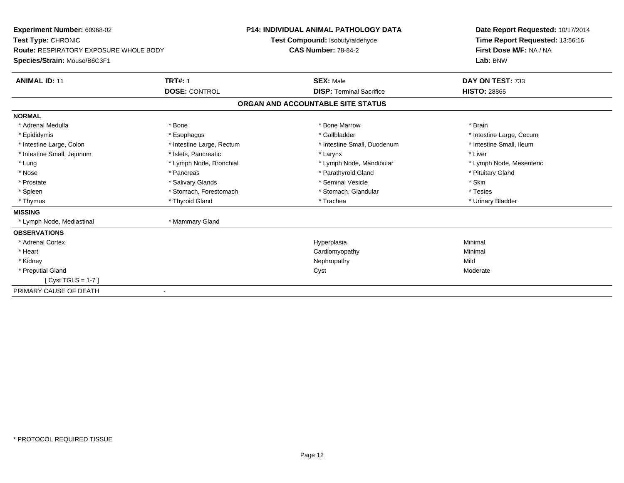| <b>Experiment Number: 60968-02</b><br>Test Type: CHRONIC<br><b>Route: RESPIRATORY EXPOSURE WHOLE BODY</b><br>Species/Strain: Mouse/B6C3F1 |                                        | <b>P14: INDIVIDUAL ANIMAL PATHOLOGY DATA</b><br>Test Compound: Isobutyraldehyde<br><b>CAS Number: 78-84-2</b> | Date Report Requested: 10/17/2014<br>Time Report Requested: 13:56:16<br>First Dose M/F: NA / NA<br>Lab: BNW |
|-------------------------------------------------------------------------------------------------------------------------------------------|----------------------------------------|---------------------------------------------------------------------------------------------------------------|-------------------------------------------------------------------------------------------------------------|
| <b>ANIMAL ID: 11</b>                                                                                                                      | <b>TRT#: 1</b><br><b>DOSE: CONTROL</b> | <b>SEX: Male</b><br><b>DISP: Terminal Sacrifice</b>                                                           | DAY ON TEST: 733<br><b>HISTO: 28865</b>                                                                     |
|                                                                                                                                           |                                        | ORGAN AND ACCOUNTABLE SITE STATUS                                                                             |                                                                                                             |
| <b>NORMAL</b>                                                                                                                             |                                        |                                                                                                               |                                                                                                             |
| * Adrenal Medulla                                                                                                                         | * Bone                                 | * Bone Marrow                                                                                                 | * Brain                                                                                                     |
| * Epididymis                                                                                                                              | * Esophagus                            | * Gallbladder                                                                                                 | * Intestine Large, Cecum                                                                                    |
| * Intestine Large, Colon                                                                                                                  | * Intestine Large, Rectum              | * Intestine Small, Duodenum                                                                                   | * Intestine Small, Ileum                                                                                    |
| * Intestine Small, Jejunum                                                                                                                | * Islets, Pancreatic                   | * Larynx                                                                                                      | * Liver                                                                                                     |
| * Lung                                                                                                                                    | * Lymph Node, Bronchial                | * Lymph Node, Mandibular                                                                                      | * Lymph Node, Mesenteric                                                                                    |
| * Nose                                                                                                                                    | * Pancreas                             | * Parathyroid Gland                                                                                           | * Pituitary Gland                                                                                           |
| * Prostate                                                                                                                                | * Salivary Glands                      | * Seminal Vesicle                                                                                             | * Skin                                                                                                      |
| * Spleen                                                                                                                                  | * Stomach, Forestomach                 | * Stomach, Glandular                                                                                          | * Testes                                                                                                    |
| * Thymus                                                                                                                                  | * Thyroid Gland                        | * Trachea                                                                                                     | * Urinary Bladder                                                                                           |
| <b>MISSING</b>                                                                                                                            |                                        |                                                                                                               |                                                                                                             |
| * Lymph Node, Mediastinal                                                                                                                 | * Mammary Gland                        |                                                                                                               |                                                                                                             |
| <b>OBSERVATIONS</b>                                                                                                                       |                                        |                                                                                                               |                                                                                                             |
| * Adrenal Cortex                                                                                                                          |                                        | Hyperplasia                                                                                                   | Minimal                                                                                                     |
| * Heart                                                                                                                                   |                                        | Cardiomyopathy                                                                                                | Minimal                                                                                                     |
| * Kidney                                                                                                                                  |                                        | Nephropathy                                                                                                   | Mild                                                                                                        |
| * Preputial Gland                                                                                                                         |                                        | Cyst                                                                                                          | Moderate                                                                                                    |
| [Cyst TGLS = $1-7$ ]                                                                                                                      |                                        |                                                                                                               |                                                                                                             |
| PRIMARY CAUSE OF DEATH                                                                                                                    |                                        |                                                                                                               |                                                                                                             |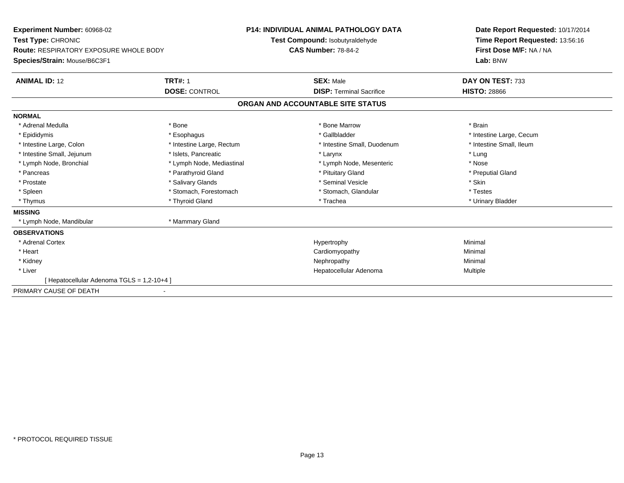| Experiment Number: 60968-02                | <b>P14: INDIVIDUAL ANIMAL PATHOLOGY DATA</b> |                                   | Date Report Requested: 10/17/2014 |  |
|--------------------------------------------|----------------------------------------------|-----------------------------------|-----------------------------------|--|
| Test Type: CHRONIC                         |                                              | Test Compound: Isobutyraldehyde   | Time Report Requested: 13:56:16   |  |
| Route: RESPIRATORY EXPOSURE WHOLE BODY     |                                              | <b>CAS Number: 78-84-2</b>        | First Dose M/F: NA / NA           |  |
| Species/Strain: Mouse/B6C3F1               |                                              |                                   | Lab: BNW                          |  |
| <b>ANIMAL ID: 12</b>                       | <b>TRT#: 1</b>                               | <b>SEX: Male</b>                  | DAY ON TEST: 733                  |  |
|                                            | <b>DOSE: CONTROL</b>                         | <b>DISP: Terminal Sacrifice</b>   | <b>HISTO: 28866</b>               |  |
|                                            |                                              | ORGAN AND ACCOUNTABLE SITE STATUS |                                   |  |
| <b>NORMAL</b>                              |                                              |                                   |                                   |  |
| * Adrenal Medulla                          | * Bone                                       | * Bone Marrow                     | * Brain                           |  |
| * Epididymis                               | * Esophagus                                  | * Gallbladder                     | * Intestine Large, Cecum          |  |
| * Intestine Large, Colon                   | * Intestine Large, Rectum                    | * Intestine Small, Duodenum       | * Intestine Small, Ileum          |  |
| * Intestine Small, Jejunum                 | * Islets, Pancreatic                         | * Larynx                          | * Lung                            |  |
| * Lymph Node, Bronchial                    | * Lymph Node, Mediastinal                    | * Lymph Node, Mesenteric          | * Nose                            |  |
| * Pancreas                                 | * Parathyroid Gland                          | * Pituitary Gland                 | * Preputial Gland                 |  |
| * Prostate                                 | * Salivary Glands                            | * Seminal Vesicle                 | * Skin                            |  |
| * Spleen                                   | * Stomach, Forestomach                       | * Stomach, Glandular              | * Testes                          |  |
| * Thymus                                   | * Thyroid Gland                              | * Trachea                         | * Urinary Bladder                 |  |
| <b>MISSING</b>                             |                                              |                                   |                                   |  |
| * Lymph Node, Mandibular                   | * Mammary Gland                              |                                   |                                   |  |
| <b>OBSERVATIONS</b>                        |                                              |                                   |                                   |  |
| * Adrenal Cortex                           |                                              | Hypertrophy                       | Minimal                           |  |
| * Heart                                    |                                              | Cardiomyopathy                    | Minimal                           |  |
| * Kidney                                   |                                              | Nephropathy                       | Minimal                           |  |
| * Liver                                    |                                              | Hepatocellular Adenoma            | Multiple                          |  |
| [ Hepatocellular Adenoma TGLS = 1,2-10+4 ] |                                              |                                   |                                   |  |
| PRIMARY CAUSE OF DEATH                     |                                              |                                   |                                   |  |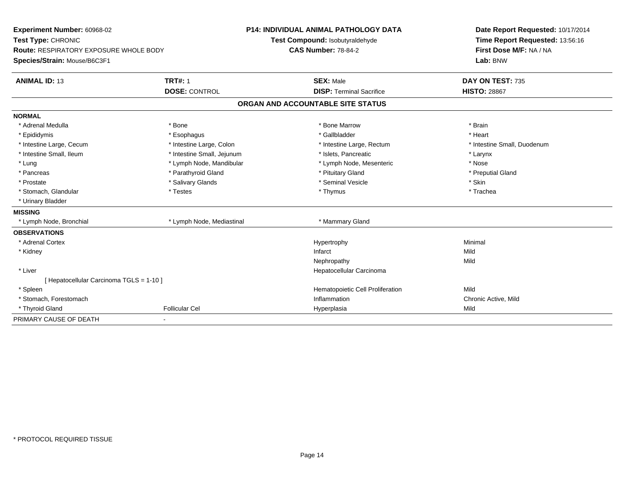| Experiment Number: 60968-02                   |                            |                                   | <b>P14: INDIVIDUAL ANIMAL PATHOLOGY DATA</b> |                             | Date Report Requested: 10/17/2014 |
|-----------------------------------------------|----------------------------|-----------------------------------|----------------------------------------------|-----------------------------|-----------------------------------|
| Test Type: CHRONIC                            |                            |                                   | Test Compound: Isobutyraldehyde              |                             | Time Report Requested: 13:56:16   |
| <b>Route: RESPIRATORY EXPOSURE WHOLE BODY</b> |                            |                                   | <b>CAS Number: 78-84-2</b>                   | First Dose M/F: NA / NA     |                                   |
| Species/Strain: Mouse/B6C3F1                  |                            |                                   |                                              | Lab: BNW                    |                                   |
| <b>ANIMAL ID: 13</b>                          | <b>TRT#: 1</b>             |                                   | <b>SEX: Male</b>                             | DAY ON TEST: 735            |                                   |
|                                               | <b>DOSE: CONTROL</b>       |                                   | <b>DISP: Terminal Sacrifice</b>              | <b>HISTO: 28867</b>         |                                   |
|                                               |                            | ORGAN AND ACCOUNTABLE SITE STATUS |                                              |                             |                                   |
| <b>NORMAL</b>                                 |                            |                                   |                                              |                             |                                   |
| * Adrenal Medulla                             | * Bone                     |                                   | * Bone Marrow                                | * Brain                     |                                   |
| * Epididymis                                  | * Esophagus                |                                   | * Gallbladder                                | * Heart                     |                                   |
| * Intestine Large, Cecum                      | * Intestine Large, Colon   |                                   | * Intestine Large, Rectum                    | * Intestine Small, Duodenum |                                   |
| * Intestine Small, Ileum                      | * Intestine Small, Jejunum |                                   | * Islets, Pancreatic                         | * Larynx                    |                                   |
| * Lung                                        | * Lymph Node, Mandibular   |                                   | * Lymph Node, Mesenteric                     | * Nose                      |                                   |
| * Pancreas                                    | * Parathyroid Gland        |                                   | * Pituitary Gland                            | * Preputial Gland           |                                   |
| * Prostate                                    | * Salivary Glands          |                                   | * Seminal Vesicle                            | * Skin                      |                                   |
| * Stomach, Glandular                          | * Testes                   |                                   | * Thymus                                     | * Trachea                   |                                   |
| * Urinary Bladder                             |                            |                                   |                                              |                             |                                   |
| <b>MISSING</b>                                |                            |                                   |                                              |                             |                                   |
| * Lymph Node, Bronchial                       | * Lymph Node, Mediastinal  |                                   | * Mammary Gland                              |                             |                                   |
| <b>OBSERVATIONS</b>                           |                            |                                   |                                              |                             |                                   |
| * Adrenal Cortex                              |                            |                                   | Hypertrophy                                  | Minimal                     |                                   |
| * Kidney                                      |                            |                                   | Infarct                                      | Mild                        |                                   |
|                                               |                            |                                   | Nephropathy                                  | Mild                        |                                   |
| * Liver                                       |                            |                                   | Hepatocellular Carcinoma                     |                             |                                   |
| [ Hepatocellular Carcinoma TGLS = 1-10 ]      |                            |                                   |                                              |                             |                                   |
| * Spleen                                      |                            |                                   | Hematopoietic Cell Proliferation             | Mild                        |                                   |
| * Stomach, Forestomach                        |                            |                                   | Inflammation                                 | Chronic Active, Mild        |                                   |
| * Thyroid Gland                               | <b>Follicular Cel</b>      |                                   | Hyperplasia                                  | Mild                        |                                   |
| PRIMARY CAUSE OF DEATH                        |                            |                                   |                                              |                             |                                   |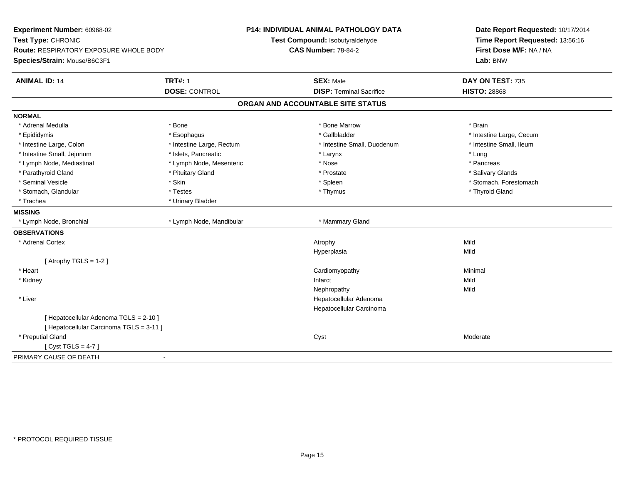| Experiment Number: 60968-02              |                           | P14: INDIVIDUAL ANIMAL PATHOLOGY DATA | Date Report Requested: 10/17/2014 |
|------------------------------------------|---------------------------|---------------------------------------|-----------------------------------|
| Test Type: CHRONIC                       |                           | Test Compound: Isobutyraldehyde       | Time Report Requested: 13:56:16   |
| Route: RESPIRATORY EXPOSURE WHOLE BODY   |                           | <b>CAS Number: 78-84-2</b>            | First Dose M/F: NA / NA           |
| Species/Strain: Mouse/B6C3F1             |                           |                                       | Lab: BNW                          |
| <b>ANIMAL ID: 14</b>                     | <b>TRT#: 1</b>            | <b>SEX: Male</b>                      | DAY ON TEST: 735                  |
|                                          | <b>DOSE: CONTROL</b>      | <b>DISP: Terminal Sacrifice</b>       | <b>HISTO: 28868</b>               |
|                                          |                           | ORGAN AND ACCOUNTABLE SITE STATUS     |                                   |
| <b>NORMAL</b>                            |                           |                                       |                                   |
| * Adrenal Medulla                        | * Bone                    | * Bone Marrow                         | * Brain                           |
| * Epididymis                             | * Esophagus               | * Gallbladder                         | * Intestine Large, Cecum          |
| * Intestine Large, Colon                 | * Intestine Large, Rectum | * Intestine Small, Duodenum           | * Intestine Small, Ileum          |
| * Intestine Small, Jejunum               | * Islets, Pancreatic      | * Larynx                              | * Lung                            |
| * Lymph Node, Mediastinal                | * Lymph Node, Mesenteric  | * Nose                                | * Pancreas                        |
| * Parathyroid Gland                      | * Pituitary Gland         | * Prostate                            | * Salivary Glands                 |
| * Seminal Vesicle                        | * Skin                    | * Spleen                              | * Stomach, Forestomach            |
| * Stomach, Glandular                     | * Testes                  | * Thymus                              | * Thyroid Gland                   |
| * Trachea                                | * Urinary Bladder         |                                       |                                   |
| <b>MISSING</b>                           |                           |                                       |                                   |
| * Lymph Node, Bronchial                  | * Lymph Node, Mandibular  | * Mammary Gland                       |                                   |
| <b>OBSERVATIONS</b>                      |                           |                                       |                                   |
| * Adrenal Cortex                         |                           | Atrophy                               | Mild                              |
|                                          |                           | Hyperplasia                           | Mild                              |
| [Atrophy TGLS = $1-2$ ]                  |                           |                                       |                                   |
| * Heart                                  |                           | Cardiomyopathy                        | Minimal                           |
| * Kidney                                 |                           | Infarct                               | Mild                              |
|                                          |                           | Nephropathy                           | Mild                              |
| * Liver                                  |                           | Hepatocellular Adenoma                |                                   |
|                                          |                           | Hepatocellular Carcinoma              |                                   |
| [ Hepatocellular Adenoma TGLS = 2-10 ]   |                           |                                       |                                   |
| [ Hepatocellular Carcinoma TGLS = 3-11 ] |                           |                                       |                                   |
| * Preputial Gland                        |                           | Cyst                                  | Moderate                          |
| [Cyst TGLS = $4-7$ ]                     |                           |                                       |                                   |
| PRIMARY CAUSE OF DEATH                   | $\blacksquare$            |                                       |                                   |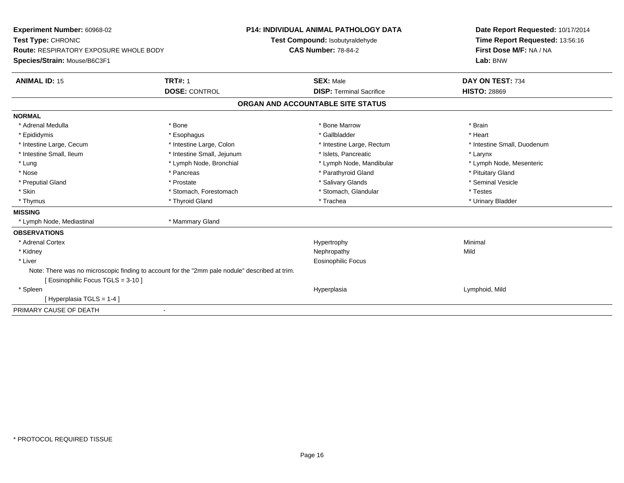| Experiment Number: 60968-02                                                                    |                            | <b>P14: INDIVIDUAL ANIMAL PATHOLOGY DATA</b> | Date Report Requested: 10/17/2014 |
|------------------------------------------------------------------------------------------------|----------------------------|----------------------------------------------|-----------------------------------|
| Test Type: CHRONIC                                                                             |                            | Test Compound: Isobutyraldehyde              | Time Report Requested: 13:56:16   |
| <b>Route: RESPIRATORY EXPOSURE WHOLE BODY</b>                                                  |                            | <b>CAS Number: 78-84-2</b>                   | First Dose M/F: NA / NA           |
| Species/Strain: Mouse/B6C3F1                                                                   |                            |                                              | Lab: BNW                          |
| <b>ANIMAL ID: 15</b>                                                                           | <b>TRT#: 1</b>             | <b>SEX: Male</b>                             | DAY ON TEST: 734                  |
|                                                                                                | <b>DOSE: CONTROL</b>       | <b>DISP: Terminal Sacrifice</b>              | <b>HISTO: 28869</b>               |
|                                                                                                |                            | ORGAN AND ACCOUNTABLE SITE STATUS            |                                   |
| <b>NORMAL</b>                                                                                  |                            |                                              |                                   |
| * Adrenal Medulla                                                                              | * Bone                     | * Bone Marrow                                | * Brain                           |
| * Epididymis                                                                                   | * Esophagus                | * Gallbladder                                | * Heart                           |
| * Intestine Large, Cecum                                                                       | * Intestine Large, Colon   | * Intestine Large, Rectum                    | * Intestine Small, Duodenum       |
| * Intestine Small, Ileum                                                                       | * Intestine Small, Jejunum | * Islets, Pancreatic                         | * Larynx                          |
| * Lung                                                                                         | * Lymph Node, Bronchial    | * Lymph Node, Mandibular                     | * Lymph Node, Mesenteric          |
| * Nose                                                                                         | * Pancreas                 | * Parathyroid Gland                          | * Pituitary Gland                 |
| * Preputial Gland                                                                              | * Prostate                 | * Salivary Glands                            | * Seminal Vesicle                 |
| * Skin                                                                                         | * Stomach, Forestomach     | * Stomach, Glandular                         | * Testes                          |
| * Thymus                                                                                       | * Thyroid Gland            | * Trachea                                    | * Urinary Bladder                 |
| <b>MISSING</b>                                                                                 |                            |                                              |                                   |
| * Lymph Node, Mediastinal                                                                      | * Mammary Gland            |                                              |                                   |
| <b>OBSERVATIONS</b>                                                                            |                            |                                              |                                   |
| * Adrenal Cortex                                                                               |                            | Hypertrophy                                  | Minimal                           |
| * Kidney                                                                                       |                            | Nephropathy                                  | Mild                              |
| * Liver                                                                                        |                            | <b>Eosinophilic Focus</b>                    |                                   |
| Note: There was no microscopic finding to account for the "2mm pale nodule" described at trim. |                            |                                              |                                   |
| [ Eosinophilic Focus TGLS = 3-10 ]                                                             |                            |                                              |                                   |
| * Spleen                                                                                       |                            | Hyperplasia                                  | Lymphoid, Mild                    |
| [Hyperplasia TGLS = 1-4]                                                                       |                            |                                              |                                   |
| PRIMARY CAUSE OF DEATH                                                                         | $\overline{\phantom{a}}$   |                                              |                                   |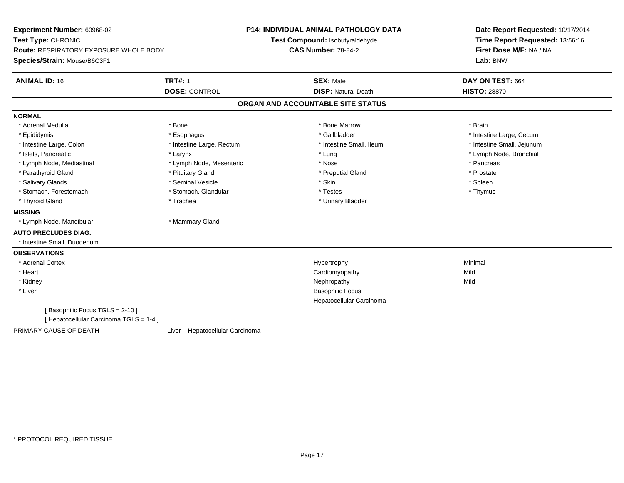| Experiment Number: 60968-02<br>Test Type: CHRONIC<br><b>Route: RESPIRATORY EXPOSURE WHOLE BODY</b><br>Species/Strain: Mouse/B6C3F1 |                                  | <b>P14: INDIVIDUAL ANIMAL PATHOLOGY DATA</b><br>Test Compound: Isobutyraldehyde<br><b>CAS Number: 78-84-2</b> | Date Report Requested: 10/17/2014<br>Time Report Requested: 13:56:16<br>First Dose M/F: NA / NA<br>Lab: BNW |  |
|------------------------------------------------------------------------------------------------------------------------------------|----------------------------------|---------------------------------------------------------------------------------------------------------------|-------------------------------------------------------------------------------------------------------------|--|
| <b>ANIMAL ID: 16</b>                                                                                                               | <b>TRT#: 1</b>                   | <b>SEX: Male</b>                                                                                              | DAY ON TEST: 664                                                                                            |  |
|                                                                                                                                    | <b>DOSE: CONTROL</b>             | <b>DISP: Natural Death</b>                                                                                    | <b>HISTO: 28870</b>                                                                                         |  |
|                                                                                                                                    |                                  | ORGAN AND ACCOUNTABLE SITE STATUS                                                                             |                                                                                                             |  |
| <b>NORMAL</b>                                                                                                                      |                                  |                                                                                                               |                                                                                                             |  |
| * Adrenal Medulla                                                                                                                  | * Bone                           | * Bone Marrow                                                                                                 | * Brain                                                                                                     |  |
| * Epididymis                                                                                                                       | * Esophagus                      | * Gallbladder                                                                                                 | * Intestine Large, Cecum                                                                                    |  |
| * Intestine Large, Colon                                                                                                           | * Intestine Large, Rectum        | * Intestine Small, Ileum                                                                                      | * Intestine Small, Jejunum                                                                                  |  |
| * Islets, Pancreatic                                                                                                               | * Larynx                         | * Lung                                                                                                        | * Lymph Node, Bronchial                                                                                     |  |
| * Lymph Node, Mediastinal                                                                                                          | * Lymph Node, Mesenteric         | * Nose                                                                                                        | * Pancreas                                                                                                  |  |
| * Parathyroid Gland                                                                                                                | * Pituitary Gland                | * Preputial Gland                                                                                             | * Prostate                                                                                                  |  |
| * Salivary Glands                                                                                                                  | * Seminal Vesicle                | * Skin                                                                                                        | * Spleen                                                                                                    |  |
| * Stomach, Forestomach                                                                                                             | * Stomach, Glandular             | * Testes                                                                                                      | * Thymus                                                                                                    |  |
| * Thyroid Gland                                                                                                                    | * Trachea                        | * Urinary Bladder                                                                                             |                                                                                                             |  |
| <b>MISSING</b>                                                                                                                     |                                  |                                                                                                               |                                                                                                             |  |
| * Lymph Node, Mandibular                                                                                                           | * Mammary Gland                  |                                                                                                               |                                                                                                             |  |
| <b>AUTO PRECLUDES DIAG.</b>                                                                                                        |                                  |                                                                                                               |                                                                                                             |  |
| * Intestine Small, Duodenum                                                                                                        |                                  |                                                                                                               |                                                                                                             |  |
| <b>OBSERVATIONS</b>                                                                                                                |                                  |                                                                                                               |                                                                                                             |  |
| * Adrenal Cortex                                                                                                                   |                                  | Hypertrophy                                                                                                   | Minimal                                                                                                     |  |
| * Heart                                                                                                                            |                                  | Cardiomyopathy                                                                                                | Mild                                                                                                        |  |
| * Kidney                                                                                                                           |                                  | Nephropathy                                                                                                   | Mild                                                                                                        |  |
| * Liver                                                                                                                            |                                  | <b>Basophilic Focus</b>                                                                                       |                                                                                                             |  |
|                                                                                                                                    |                                  | Hepatocellular Carcinoma                                                                                      |                                                                                                             |  |
| [Basophilic Focus TGLS = 2-10]                                                                                                     |                                  |                                                                                                               |                                                                                                             |  |
| [Hepatocellular Carcinoma TGLS = 1-4]                                                                                              |                                  |                                                                                                               |                                                                                                             |  |
| PRIMARY CAUSE OF DEATH                                                                                                             | - Liver Hepatocellular Carcinoma |                                                                                                               |                                                                                                             |  |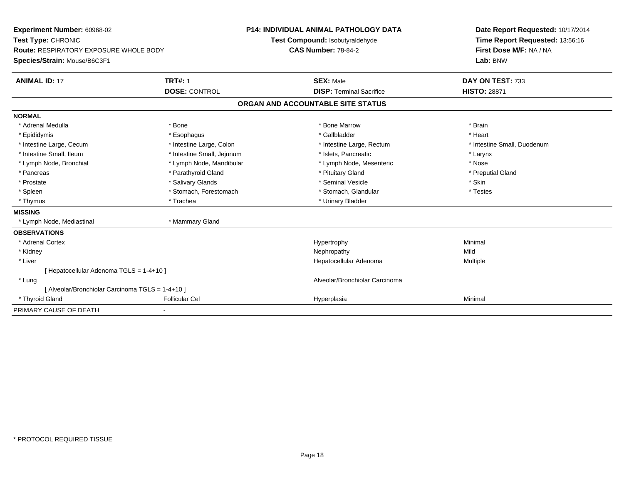| Experiment Number: 60968-02                      |                            | <b>P14: INDIVIDUAL ANIMAL PATHOLOGY DATA</b> | Date Report Requested: 10/17/2014 |
|--------------------------------------------------|----------------------------|----------------------------------------------|-----------------------------------|
| Test Type: CHRONIC                               |                            | Test Compound: Isobutyraldehyde              | Time Report Requested: 13:56:16   |
| <b>Route: RESPIRATORY EXPOSURE WHOLE BODY</b>    |                            | <b>CAS Number: 78-84-2</b>                   | First Dose M/F: NA / NA           |
| Species/Strain: Mouse/B6C3F1                     |                            |                                              | Lab: BNW                          |
| <b>ANIMAL ID: 17</b>                             | <b>TRT#: 1</b>             | <b>SEX: Male</b>                             | DAY ON TEST: 733                  |
|                                                  | <b>DOSE: CONTROL</b>       | <b>DISP: Terminal Sacrifice</b>              | <b>HISTO: 28871</b>               |
|                                                  |                            | ORGAN AND ACCOUNTABLE SITE STATUS            |                                   |
| <b>NORMAL</b>                                    |                            |                                              |                                   |
| * Adrenal Medulla                                | * Bone                     | * Bone Marrow                                | * Brain                           |
| * Epididymis                                     | * Esophagus                | * Gallbladder                                | * Heart                           |
| * Intestine Large, Cecum                         | * Intestine Large, Colon   | * Intestine Large, Rectum                    | * Intestine Small, Duodenum       |
| * Intestine Small, Ileum                         | * Intestine Small, Jejunum | * Islets, Pancreatic                         | * Larynx                          |
| * Lymph Node, Bronchial                          | * Lymph Node, Mandibular   | * Lymph Node, Mesenteric                     | * Nose                            |
| * Pancreas                                       | * Parathyroid Gland        | * Pituitary Gland                            | * Preputial Gland                 |
| * Prostate                                       | * Salivary Glands          | * Seminal Vesicle                            | * Skin                            |
| * Spleen                                         | * Stomach, Forestomach     | * Stomach, Glandular                         | * Testes                          |
| * Thymus                                         | * Trachea                  | * Urinary Bladder                            |                                   |
| <b>MISSING</b>                                   |                            |                                              |                                   |
| * Lymph Node, Mediastinal                        | * Mammary Gland            |                                              |                                   |
| <b>OBSERVATIONS</b>                              |                            |                                              |                                   |
| * Adrenal Cortex                                 |                            | Hypertrophy                                  | Minimal                           |
| * Kidney                                         |                            | Nephropathy                                  | Mild                              |
| * Liver                                          |                            | Hepatocellular Adenoma                       | Multiple                          |
| [ Hepatocellular Adenoma TGLS = 1-4+10 ]         |                            |                                              |                                   |
| * Lung                                           |                            | Alveolar/Bronchiolar Carcinoma               |                                   |
| [ Alveolar/Bronchiolar Carcinoma TGLS = 1-4+10 ] |                            |                                              |                                   |
| * Thyroid Gland                                  | <b>Follicular Cel</b>      | Hyperplasia                                  | Minimal                           |
| PRIMARY CAUSE OF DEATH                           |                            |                                              |                                   |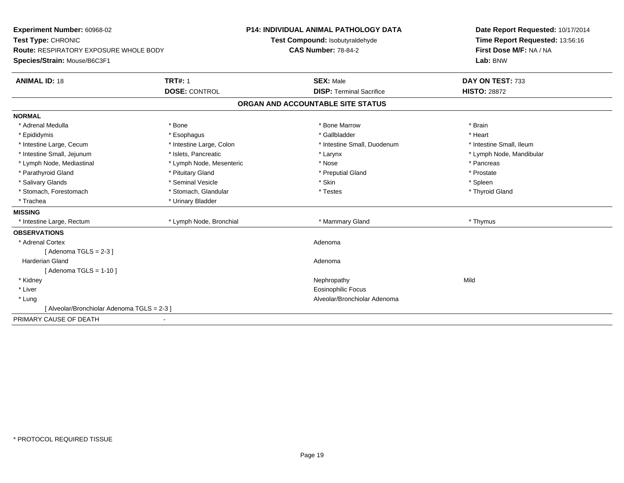| Experiment Number: 60968-02                   | <b>P14: INDIVIDUAL ANIMAL PATHOLOGY DATA</b> |                                   | Date Report Requested: 10/17/2014 |
|-----------------------------------------------|----------------------------------------------|-----------------------------------|-----------------------------------|
| Test Type: CHRONIC                            |                                              | Test Compound: Isobutyraldehyde   | Time Report Requested: 13:56:16   |
| <b>Route: RESPIRATORY EXPOSURE WHOLE BODY</b> |                                              | <b>CAS Number: 78-84-2</b>        | First Dose M/F: NA / NA           |
| Species/Strain: Mouse/B6C3F1                  |                                              |                                   | Lab: BNW                          |
| <b>ANIMAL ID: 18</b>                          | <b>TRT#: 1</b>                               | <b>SEX: Male</b>                  | DAY ON TEST: 733                  |
|                                               | <b>DOSE: CONTROL</b>                         | <b>DISP: Terminal Sacrifice</b>   | <b>HISTO: 28872</b>               |
|                                               |                                              | ORGAN AND ACCOUNTABLE SITE STATUS |                                   |
| <b>NORMAL</b>                                 |                                              |                                   |                                   |
| * Adrenal Medulla                             | * Bone                                       | * Bone Marrow                     | * Brain                           |
| * Epididymis                                  | * Esophagus                                  | * Gallbladder                     | * Heart                           |
| * Intestine Large, Cecum                      | * Intestine Large, Colon                     | * Intestine Small, Duodenum       | * Intestine Small, Ileum          |
| * Intestine Small, Jejunum                    | * Islets. Pancreatic                         | * Larynx                          | * Lymph Node, Mandibular          |
| * Lymph Node, Mediastinal                     | * Lymph Node, Mesenteric                     | * Nose                            | * Pancreas                        |
| * Parathyroid Gland                           | * Pituitary Gland                            | * Preputial Gland                 | * Prostate                        |
| * Salivary Glands                             | * Seminal Vesicle                            | * Skin                            | * Spleen                          |
| * Stomach, Forestomach                        | * Stomach, Glandular                         | * Testes                          | * Thyroid Gland                   |
| * Trachea                                     | * Urinary Bladder                            |                                   |                                   |
| <b>MISSING</b>                                |                                              |                                   |                                   |
| * Intestine Large, Rectum                     | * Lymph Node, Bronchial                      | * Mammary Gland                   | * Thymus                          |
| <b>OBSERVATIONS</b>                           |                                              |                                   |                                   |
| * Adrenal Cortex                              |                                              | Adenoma                           |                                   |
| [Adenoma TGLS = $2-3$ ]                       |                                              |                                   |                                   |
| <b>Harderian Gland</b>                        |                                              | Adenoma                           |                                   |
| [Adenoma TGLS = $1-10$ ]                      |                                              |                                   |                                   |
| * Kidney                                      |                                              | Nephropathy                       | Mild                              |
| * Liver                                       |                                              | <b>Eosinophilic Focus</b>         |                                   |
| * Lung                                        |                                              | Alveolar/Bronchiolar Adenoma      |                                   |
| [ Alveolar/Bronchiolar Adenoma TGLS = 2-3 ]   |                                              |                                   |                                   |
| PRIMARY CAUSE OF DEATH                        |                                              |                                   |                                   |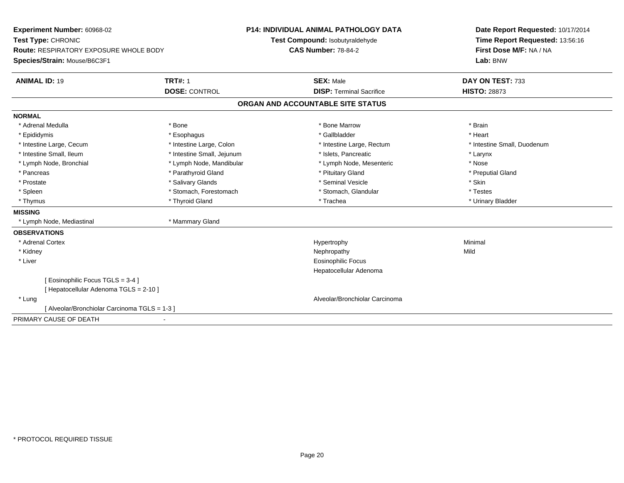| <b>Experiment Number: 60968-02</b>            |                            | <b>P14: INDIVIDUAL ANIMAL PATHOLOGY DATA</b> | Date Report Requested: 10/17/2014 |
|-----------------------------------------------|----------------------------|----------------------------------------------|-----------------------------------|
| Test Type: CHRONIC                            |                            | Test Compound: Isobutyraldehyde              | Time Report Requested: 13:56:16   |
| <b>Route: RESPIRATORY EXPOSURE WHOLE BODY</b> |                            | <b>CAS Number: 78-84-2</b>                   | First Dose M/F: NA / NA           |
| Species/Strain: Mouse/B6C3F1                  |                            |                                              | Lab: BNW                          |
| <b>ANIMAL ID: 19</b>                          | <b>TRT#: 1</b>             | <b>SEX: Male</b>                             | DAY ON TEST: 733                  |
|                                               | <b>DOSE: CONTROL</b>       | <b>DISP: Terminal Sacrifice</b>              | <b>HISTO: 28873</b>               |
|                                               |                            | ORGAN AND ACCOUNTABLE SITE STATUS            |                                   |
| <b>NORMAL</b>                                 |                            |                                              |                                   |
| * Adrenal Medulla                             | * Bone                     | * Bone Marrow                                | * Brain                           |
| * Epididymis                                  | * Esophagus                | * Gallbladder                                | * Heart                           |
| * Intestine Large, Cecum                      | * Intestine Large, Colon   | * Intestine Large, Rectum                    | * Intestine Small, Duodenum       |
| * Intestine Small, Ileum                      | * Intestine Small, Jejunum | * Islets, Pancreatic                         | * Larynx                          |
| * Lymph Node, Bronchial                       | * Lymph Node, Mandibular   | * Lymph Node, Mesenteric                     | * Nose                            |
| * Pancreas                                    | * Parathyroid Gland        | * Pituitary Gland                            | * Preputial Gland                 |
| * Prostate                                    | * Salivary Glands          | * Seminal Vesicle                            | * Skin                            |
| * Spleen                                      | * Stomach, Forestomach     | * Stomach, Glandular                         | * Testes                          |
| * Thymus                                      | * Thyroid Gland            | * Trachea                                    | * Urinary Bladder                 |
| <b>MISSING</b>                                |                            |                                              |                                   |
| * Lymph Node, Mediastinal                     | * Mammary Gland            |                                              |                                   |
| <b>OBSERVATIONS</b>                           |                            |                                              |                                   |
| * Adrenal Cortex                              |                            | Hypertrophy                                  | Minimal                           |
| * Kidney                                      |                            | Nephropathy                                  | Mild                              |
| * Liver                                       |                            | <b>Eosinophilic Focus</b>                    |                                   |
|                                               |                            | Hepatocellular Adenoma                       |                                   |
| [ Eosinophilic Focus TGLS = 3-4 ]             |                            |                                              |                                   |
| [ Hepatocellular Adenoma TGLS = 2-10 ]        |                            |                                              |                                   |
| * Lung                                        |                            | Alveolar/Bronchiolar Carcinoma               |                                   |
| [ Alveolar/Bronchiolar Carcinoma TGLS = 1-3 ] |                            |                                              |                                   |
| PRIMARY CAUSE OF DEATH                        |                            |                                              |                                   |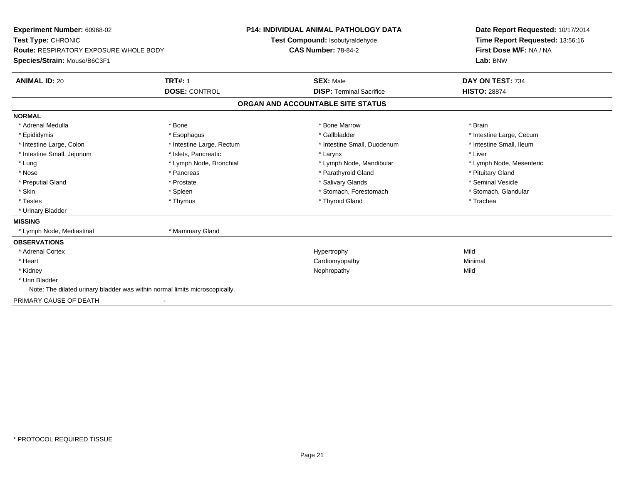| Experiment Number: 60968-02<br>Test Type: CHRONIC<br><b>Route: RESPIRATORY EXPOSURE WHOLE BODY</b><br>Species/Strain: Mouse/B6C3F1<br><b>ANIMAL ID: 20</b> | <b>TRT#: 1</b><br><b>DOSE: CONTROL</b> | <b>P14: INDIVIDUAL ANIMAL PATHOLOGY DATA</b><br>Test Compound: Isobutyraldehyde<br><b>CAS Number: 78-84-2</b><br><b>SEX: Male</b><br><b>DISP: Terminal Sacrifice</b> |                                   | Date Report Requested: 10/17/2014<br>Time Report Requested: 13:56:16<br>First Dose M/F: NA / NA<br>Lab: BNW<br>DAY ON TEST: 734<br><b>HISTO: 28874</b> |
|------------------------------------------------------------------------------------------------------------------------------------------------------------|----------------------------------------|----------------------------------------------------------------------------------------------------------------------------------------------------------------------|-----------------------------------|--------------------------------------------------------------------------------------------------------------------------------------------------------|
|                                                                                                                                                            |                                        |                                                                                                                                                                      | ORGAN AND ACCOUNTABLE SITE STATUS |                                                                                                                                                        |
| <b>NORMAL</b>                                                                                                                                              |                                        |                                                                                                                                                                      |                                   |                                                                                                                                                        |
| * Adrenal Medulla                                                                                                                                          | * Bone                                 |                                                                                                                                                                      | * Bone Marrow                     | * Brain                                                                                                                                                |
| * Epididymis                                                                                                                                               | * Esophagus                            |                                                                                                                                                                      | * Gallbladder                     | * Intestine Large, Cecum                                                                                                                               |
| * Intestine Large, Colon                                                                                                                                   | * Intestine Large, Rectum              |                                                                                                                                                                      | * Intestine Small, Duodenum       | * Intestine Small, Ileum                                                                                                                               |
| * Intestine Small, Jejunum                                                                                                                                 | * Islets, Pancreatic                   |                                                                                                                                                                      | * Larynx                          | * Liver                                                                                                                                                |
| * Lung                                                                                                                                                     | * Lymph Node, Bronchial                |                                                                                                                                                                      | * Lymph Node, Mandibular          | * Lymph Node, Mesenteric                                                                                                                               |
| * Nose                                                                                                                                                     | * Pancreas                             |                                                                                                                                                                      | * Parathyroid Gland               | * Pituitary Gland                                                                                                                                      |
| * Preputial Gland                                                                                                                                          | * Prostate                             |                                                                                                                                                                      | * Salivary Glands                 | * Seminal Vesicle                                                                                                                                      |
| * Skin                                                                                                                                                     | * Spleen                               |                                                                                                                                                                      | * Stomach, Forestomach            | * Stomach, Glandular                                                                                                                                   |
| * Testes                                                                                                                                                   | * Thymus                               |                                                                                                                                                                      | * Thyroid Gland                   | * Trachea                                                                                                                                              |
| * Urinary Bladder                                                                                                                                          |                                        |                                                                                                                                                                      |                                   |                                                                                                                                                        |
| <b>MISSING</b>                                                                                                                                             |                                        |                                                                                                                                                                      |                                   |                                                                                                                                                        |
| * Lymph Node, Mediastinal                                                                                                                                  | * Mammary Gland                        |                                                                                                                                                                      |                                   |                                                                                                                                                        |
| <b>OBSERVATIONS</b>                                                                                                                                        |                                        |                                                                                                                                                                      |                                   |                                                                                                                                                        |
| * Adrenal Cortex                                                                                                                                           |                                        |                                                                                                                                                                      | Hypertrophy                       | Mild                                                                                                                                                   |
| * Heart                                                                                                                                                    |                                        |                                                                                                                                                                      | Cardiomyopathy                    | Minimal                                                                                                                                                |
| * Kidney                                                                                                                                                   |                                        |                                                                                                                                                                      | Nephropathy                       | Mild                                                                                                                                                   |
| * Urin Bladder                                                                                                                                             |                                        |                                                                                                                                                                      |                                   |                                                                                                                                                        |
| Note: The dilated urinary bladder was within normal limits microscopically.                                                                                |                                        |                                                                                                                                                                      |                                   |                                                                                                                                                        |
| PRIMARY CAUSE OF DEATH                                                                                                                                     |                                        |                                                                                                                                                                      |                                   |                                                                                                                                                        |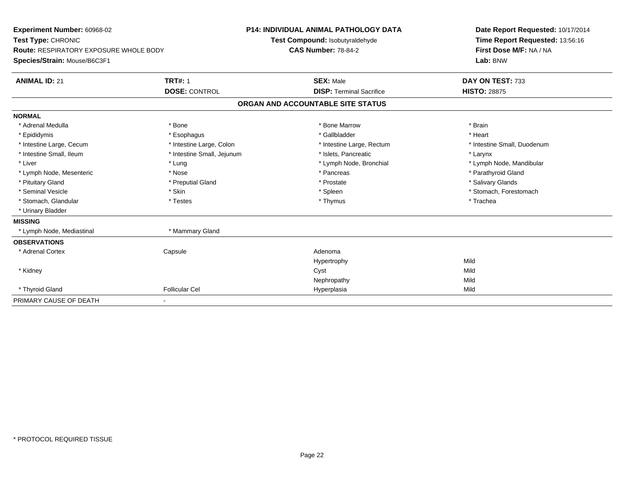| Experiment Number: 60968-02<br>Test Type: CHRONIC<br><b>Route: RESPIRATORY EXPOSURE WHOLE BODY</b><br>Species/Strain: Mouse/B6C3F1<br><b>ANIMAL ID: 21</b> | <b>TRT#: 1</b><br><b>DOSE: CONTROL</b> | <b>P14: INDIVIDUAL ANIMAL PATHOLOGY DATA</b><br>Test Compound: Isobutyraldehyde<br><b>CAS Number: 78-84-2</b><br><b>SEX: Male</b><br><b>DISP: Terminal Sacrifice</b> |                                   | Date Report Requested: 10/17/2014<br>Time Report Requested: 13:56:16<br>First Dose M/F: NA / NA<br>Lab: BNW<br>DAY ON TEST: 733<br><b>HISTO: 28875</b> |
|------------------------------------------------------------------------------------------------------------------------------------------------------------|----------------------------------------|----------------------------------------------------------------------------------------------------------------------------------------------------------------------|-----------------------------------|--------------------------------------------------------------------------------------------------------------------------------------------------------|
|                                                                                                                                                            |                                        |                                                                                                                                                                      | ORGAN AND ACCOUNTABLE SITE STATUS |                                                                                                                                                        |
| <b>NORMAL</b>                                                                                                                                              |                                        |                                                                                                                                                                      |                                   |                                                                                                                                                        |
| * Adrenal Medulla                                                                                                                                          | * Bone                                 |                                                                                                                                                                      | * Bone Marrow                     | * Brain                                                                                                                                                |
| * Epididymis                                                                                                                                               | * Esophagus                            |                                                                                                                                                                      | * Gallbladder                     | * Heart                                                                                                                                                |
| * Intestine Large, Cecum                                                                                                                                   | * Intestine Large, Colon               |                                                                                                                                                                      | * Intestine Large, Rectum         | * Intestine Small, Duodenum                                                                                                                            |
| * Intestine Small, Ileum                                                                                                                                   | * Intestine Small, Jejunum             |                                                                                                                                                                      | * Islets, Pancreatic              | * Larynx                                                                                                                                               |
| * Liver                                                                                                                                                    | * Lung                                 |                                                                                                                                                                      | * Lymph Node, Bronchial           | * Lymph Node, Mandibular                                                                                                                               |
| * Lymph Node, Mesenteric                                                                                                                                   | * Nose                                 |                                                                                                                                                                      | * Pancreas                        | * Parathyroid Gland                                                                                                                                    |
| * Pituitary Gland                                                                                                                                          | * Preputial Gland                      |                                                                                                                                                                      | * Prostate                        | * Salivary Glands                                                                                                                                      |
| * Seminal Vesicle                                                                                                                                          | * Skin                                 |                                                                                                                                                                      | * Spleen                          | * Stomach, Forestomach                                                                                                                                 |
| * Stomach, Glandular                                                                                                                                       | * Testes                               |                                                                                                                                                                      | * Thymus                          | * Trachea                                                                                                                                              |
| * Urinary Bladder                                                                                                                                          |                                        |                                                                                                                                                                      |                                   |                                                                                                                                                        |
| <b>MISSING</b>                                                                                                                                             |                                        |                                                                                                                                                                      |                                   |                                                                                                                                                        |
| * Lymph Node, Mediastinal                                                                                                                                  | * Mammary Gland                        |                                                                                                                                                                      |                                   |                                                                                                                                                        |
| <b>OBSERVATIONS</b>                                                                                                                                        |                                        |                                                                                                                                                                      |                                   |                                                                                                                                                        |
| * Adrenal Cortex                                                                                                                                           | Capsule                                |                                                                                                                                                                      | Adenoma                           |                                                                                                                                                        |
|                                                                                                                                                            |                                        |                                                                                                                                                                      | Hypertrophy                       | Mild                                                                                                                                                   |
| * Kidney                                                                                                                                                   |                                        |                                                                                                                                                                      | Cyst                              | Mild                                                                                                                                                   |
|                                                                                                                                                            |                                        |                                                                                                                                                                      | Nephropathy                       | Mild                                                                                                                                                   |
| * Thyroid Gland                                                                                                                                            | <b>Follicular Cel</b>                  |                                                                                                                                                                      | Hyperplasia                       | Mild                                                                                                                                                   |
| PRIMARY CAUSE OF DEATH                                                                                                                                     |                                        |                                                                                                                                                                      |                                   |                                                                                                                                                        |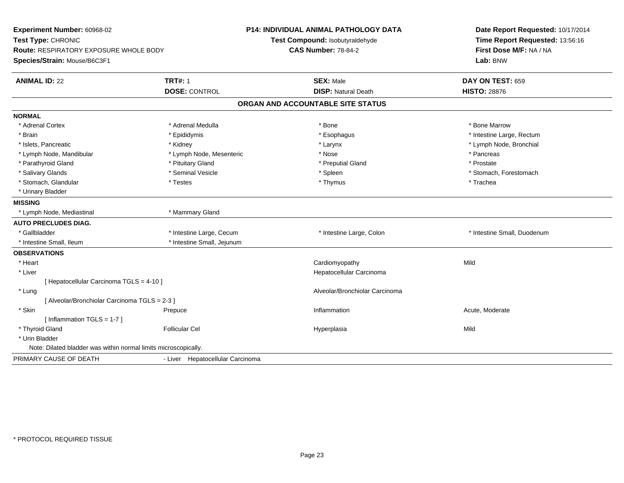| Experiment Number: 60968-02<br>Test Type: CHRONIC<br>Route: RESPIRATORY EXPOSURE WHOLE BODY<br>Species/Strain: Mouse/B6C3F1 |                                        | P14: INDIVIDUAL ANIMAL PATHOLOGY DATA<br>Test Compound: Isobutyraldehyde<br><b>CAS Number: 78-84-2</b> | Date Report Requested: 10/17/2014<br>Time Report Requested: 13:56:16<br>First Dose M/F: NA / NA<br>Lab: BNW |
|-----------------------------------------------------------------------------------------------------------------------------|----------------------------------------|--------------------------------------------------------------------------------------------------------|-------------------------------------------------------------------------------------------------------------|
| <b>ANIMAL ID: 22</b>                                                                                                        | <b>TRT#: 1</b><br><b>DOSE: CONTROL</b> | <b>SEX: Male</b><br><b>DISP: Natural Death</b>                                                         | DAY ON TEST: 659<br><b>HISTO: 28876</b>                                                                     |
|                                                                                                                             |                                        | ORGAN AND ACCOUNTABLE SITE STATUS                                                                      |                                                                                                             |
| <b>NORMAL</b>                                                                                                               |                                        |                                                                                                        |                                                                                                             |
| * Adrenal Cortex                                                                                                            | * Adrenal Medulla                      | * Bone                                                                                                 | * Bone Marrow                                                                                               |
| * Brain                                                                                                                     | * Epididymis                           | * Esophagus                                                                                            | * Intestine Large, Rectum                                                                                   |
| * Islets, Pancreatic                                                                                                        | * Kidney                               | * Larynx                                                                                               | * Lymph Node, Bronchial                                                                                     |
| * Lymph Node, Mandibular                                                                                                    | * Lymph Node, Mesenteric               | * Nose                                                                                                 | * Pancreas                                                                                                  |
| * Parathyroid Gland                                                                                                         | * Pituitary Gland                      | * Preputial Gland                                                                                      | * Prostate                                                                                                  |
| * Salivary Glands                                                                                                           | * Seminal Vesicle                      | * Spleen                                                                                               | * Stomach, Forestomach                                                                                      |
| * Stomach, Glandular                                                                                                        | * Testes                               | * Thymus                                                                                               | * Trachea                                                                                                   |
| * Urinary Bladder                                                                                                           |                                        |                                                                                                        |                                                                                                             |
| <b>MISSING</b>                                                                                                              |                                        |                                                                                                        |                                                                                                             |
| * Lymph Node, Mediastinal                                                                                                   | * Mammary Gland                        |                                                                                                        |                                                                                                             |
| <b>AUTO PRECLUDES DIAG.</b>                                                                                                 |                                        |                                                                                                        |                                                                                                             |
| * Gallbladder                                                                                                               | * Intestine Large, Cecum               | * Intestine Large, Colon                                                                               | * Intestine Small, Duodenum                                                                                 |
| * Intestine Small, Ileum                                                                                                    | * Intestine Small, Jejunum             |                                                                                                        |                                                                                                             |
| <b>OBSERVATIONS</b>                                                                                                         |                                        |                                                                                                        |                                                                                                             |
| * Heart                                                                                                                     |                                        | Cardiomyopathy                                                                                         | Mild                                                                                                        |
| * Liver                                                                                                                     |                                        | Hepatocellular Carcinoma                                                                               |                                                                                                             |
| [ Hepatocellular Carcinoma TGLS = 4-10 ]                                                                                    |                                        |                                                                                                        |                                                                                                             |
| * Lung                                                                                                                      |                                        | Alveolar/Bronchiolar Carcinoma                                                                         |                                                                                                             |
| [ Alveolar/Bronchiolar Carcinoma TGLS = 2-3 ]                                                                               |                                        |                                                                                                        |                                                                                                             |
| * Skin                                                                                                                      | Prepuce                                | Inflammation                                                                                           | Acute, Moderate                                                                                             |
| [Inflammation TGLS = 1-7]                                                                                                   |                                        |                                                                                                        |                                                                                                             |
| * Thyroid Gland                                                                                                             | <b>Follicular Cel</b>                  | Hyperplasia                                                                                            | Mild                                                                                                        |
| * Urin Bladder                                                                                                              |                                        |                                                                                                        |                                                                                                             |
| Note: Dilated bladder was within normal limits microscopically.                                                             |                                        |                                                                                                        |                                                                                                             |
| PRIMARY CAUSE OF DEATH                                                                                                      | - Liver Hepatocellular Carcinoma       |                                                                                                        |                                                                                                             |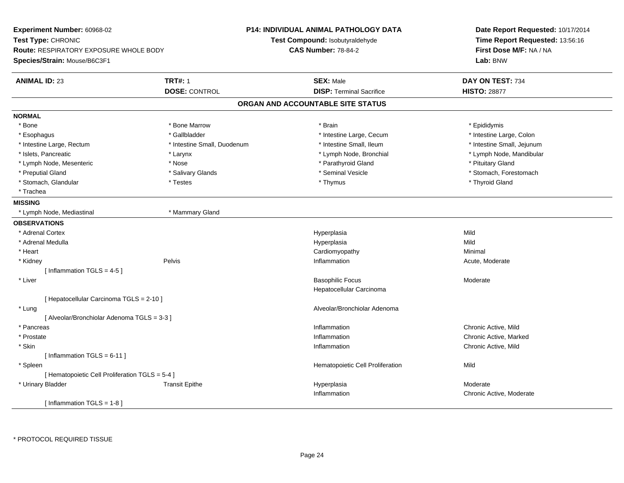| Experiment Number: 60968-02<br>Test Type: CHRONIC<br><b>Route: RESPIRATORY EXPOSURE WHOLE BODY</b> |                             | <b>P14: INDIVIDUAL ANIMAL PATHOLOGY DATA</b><br>Test Compound: Isobutyraldehyde<br><b>CAS Number: 78-84-2</b> | Date Report Requested: 10/17/2014<br>Time Report Requested: 13:56:16<br>First Dose M/F: NA / NA |  |
|----------------------------------------------------------------------------------------------------|-----------------------------|---------------------------------------------------------------------------------------------------------------|-------------------------------------------------------------------------------------------------|--|
| Species/Strain: Mouse/B6C3F1                                                                       |                             |                                                                                                               | Lab: BNW                                                                                        |  |
| <b>ANIMAL ID: 23</b>                                                                               | <b>TRT#: 1</b>              | <b>SEX: Male</b>                                                                                              | DAY ON TEST: 734                                                                                |  |
|                                                                                                    | <b>DOSE: CONTROL</b>        | <b>DISP: Terminal Sacrifice</b>                                                                               | <b>HISTO: 28877</b>                                                                             |  |
|                                                                                                    |                             | ORGAN AND ACCOUNTABLE SITE STATUS                                                                             |                                                                                                 |  |
| <b>NORMAL</b>                                                                                      |                             |                                                                                                               |                                                                                                 |  |
| * Bone                                                                                             | * Bone Marrow               | * Brain                                                                                                       | * Epididymis                                                                                    |  |
| * Esophagus                                                                                        | * Gallbladder               | * Intestine Large, Cecum                                                                                      | * Intestine Large, Colon                                                                        |  |
| * Intestine Large, Rectum                                                                          | * Intestine Small, Duodenum | * Intestine Small, Ileum                                                                                      | * Intestine Small, Jejunum                                                                      |  |
| * Islets, Pancreatic                                                                               | * Larynx                    | * Lymph Node, Bronchial                                                                                       | * Lymph Node, Mandibular                                                                        |  |
| * Lymph Node, Mesenteric                                                                           | * Nose                      | * Parathyroid Gland                                                                                           | * Pituitary Gland                                                                               |  |
| * Preputial Gland                                                                                  | * Salivary Glands           | * Seminal Vesicle                                                                                             | * Stomach, Forestomach                                                                          |  |
| * Stomach, Glandular                                                                               | * Testes                    | * Thymus                                                                                                      | * Thyroid Gland                                                                                 |  |
| * Trachea                                                                                          |                             |                                                                                                               |                                                                                                 |  |
| <b>MISSING</b>                                                                                     |                             |                                                                                                               |                                                                                                 |  |
| * Lymph Node, Mediastinal                                                                          | * Mammary Gland             |                                                                                                               |                                                                                                 |  |
| <b>OBSERVATIONS</b>                                                                                |                             |                                                                                                               |                                                                                                 |  |
| * Adrenal Cortex                                                                                   |                             | Hyperplasia                                                                                                   | Mild                                                                                            |  |
| * Adrenal Medulla                                                                                  |                             | Hyperplasia                                                                                                   | Mild                                                                                            |  |
| * Heart                                                                                            |                             | Cardiomyopathy                                                                                                | Minimal                                                                                         |  |
| * Kidney                                                                                           | Pelvis                      | Inflammation                                                                                                  | Acute, Moderate                                                                                 |  |
| [Inflammation TGLS = $4-5$ ]                                                                       |                             |                                                                                                               |                                                                                                 |  |
| * Liver                                                                                            |                             | <b>Basophilic Focus</b>                                                                                       | Moderate                                                                                        |  |
|                                                                                                    |                             | Hepatocellular Carcinoma                                                                                      |                                                                                                 |  |
| [ Hepatocellular Carcinoma TGLS = 2-10 ]                                                           |                             |                                                                                                               |                                                                                                 |  |
| * Lung                                                                                             |                             | Alveolar/Bronchiolar Adenoma                                                                                  |                                                                                                 |  |
| [ Alveolar/Bronchiolar Adenoma TGLS = 3-3 ]                                                        |                             |                                                                                                               |                                                                                                 |  |
| * Pancreas                                                                                         |                             | Inflammation                                                                                                  | Chronic Active, Mild                                                                            |  |
| * Prostate                                                                                         |                             | Inflammation                                                                                                  | Chronic Active, Marked                                                                          |  |
| * Skin                                                                                             |                             | Inflammation                                                                                                  | Chronic Active, Mild                                                                            |  |
| [Inflammation TGLS = $6-11$ ]                                                                      |                             |                                                                                                               |                                                                                                 |  |
| * Spleen                                                                                           |                             | Hematopoietic Cell Proliferation                                                                              | Mild                                                                                            |  |
| [ Hematopoietic Cell Proliferation TGLS = 5-4 ]                                                    |                             |                                                                                                               |                                                                                                 |  |
| * Urinary Bladder                                                                                  | <b>Transit Epithe</b>       | Hyperplasia                                                                                                   | Moderate                                                                                        |  |
|                                                                                                    |                             | Inflammation                                                                                                  | Chronic Active, Moderate                                                                        |  |
| [Inflammation TGLS = $1-8$ ]                                                                       |                             |                                                                                                               |                                                                                                 |  |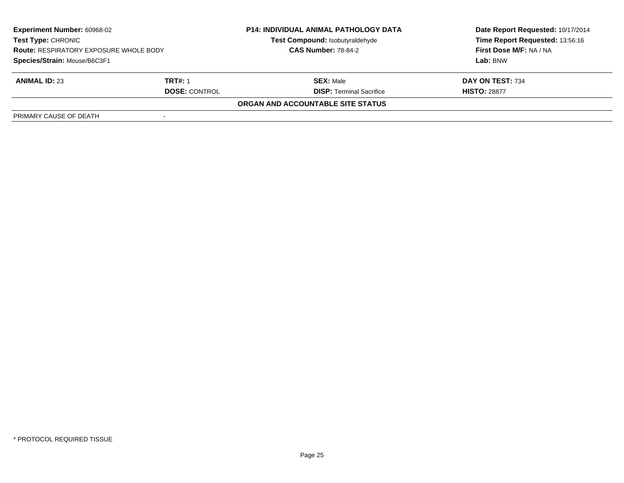| <b>Experiment Number: 60968-02</b><br>Test Type: CHRONIC<br><b>Route: RESPIRATORY EXPOSURE WHOLE BODY</b> |                      | <b>P14: INDIVIDUAL ANIMAL PATHOLOGY DATA</b><br>Test Compound: Isobutyraldehyde | Date Report Requested: 10/17/2014<br>Time Report Requested: 13:56:16 |
|-----------------------------------------------------------------------------------------------------------|----------------------|---------------------------------------------------------------------------------|----------------------------------------------------------------------|
|                                                                                                           |                      | <b>CAS Number: 78-84-2</b>                                                      | First Dose M/F: NA / NA                                              |
| Species/Strain: Mouse/B6C3F1                                                                              |                      |                                                                                 | Lab: BNW                                                             |
| <b>ANIMAL ID: 23</b>                                                                                      | TRT#: 1              | <b>SEX: Male</b>                                                                | DAY ON TEST: 734                                                     |
|                                                                                                           | <b>DOSE: CONTROL</b> | <b>DISP: Terminal Sacrifice</b>                                                 | <b>HISTO: 28877</b>                                                  |
|                                                                                                           |                      | ORGAN AND ACCOUNTABLE SITE STATUS                                               |                                                                      |
| PRIMARY CAUSE OF DEATH                                                                                    |                      |                                                                                 |                                                                      |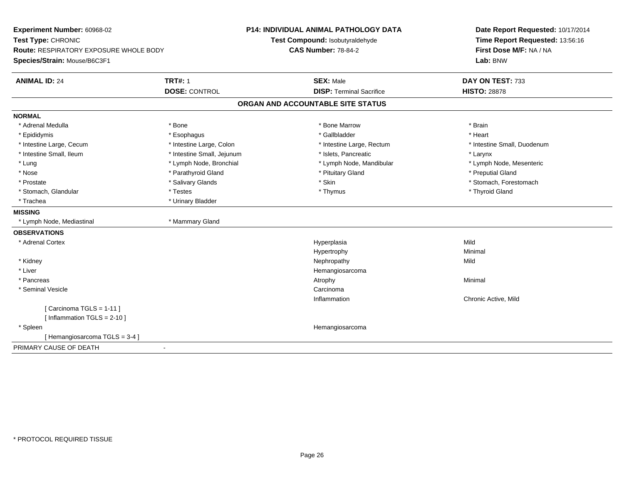| Experiment Number: 60968-02            |                            | P14: INDIVIDUAL ANIMAL PATHOLOGY DATA | Date Report Requested: 10/17/2014 |  |
|----------------------------------------|----------------------------|---------------------------------------|-----------------------------------|--|
| Test Type: CHRONIC                     |                            | Test Compound: Isobutyraldehyde       | Time Report Requested: 13:56:16   |  |
| Route: RESPIRATORY EXPOSURE WHOLE BODY |                            | <b>CAS Number: 78-84-2</b>            | First Dose M/F: NA / NA           |  |
| Species/Strain: Mouse/B6C3F1           |                            |                                       | Lab: BNW                          |  |
| <b>ANIMAL ID: 24</b>                   | <b>TRT#: 1</b>             | <b>SEX: Male</b>                      | DAY ON TEST: 733                  |  |
|                                        | <b>DOSE: CONTROL</b>       | <b>DISP: Terminal Sacrifice</b>       | <b>HISTO: 28878</b>               |  |
|                                        |                            | ORGAN AND ACCOUNTABLE SITE STATUS     |                                   |  |
| <b>NORMAL</b>                          |                            |                                       |                                   |  |
| * Adrenal Medulla                      | * Bone                     | * Bone Marrow                         | * Brain                           |  |
| * Epididymis                           | * Esophagus                | * Gallbladder                         | * Heart                           |  |
| * Intestine Large, Cecum               | * Intestine Large, Colon   | * Intestine Large, Rectum             | * Intestine Small, Duodenum       |  |
| * Intestine Small, Ileum               | * Intestine Small, Jejunum | * Islets. Pancreatic                  | * Larynx                          |  |
| * Lung                                 | * Lymph Node, Bronchial    | * Lymph Node, Mandibular              | * Lymph Node, Mesenteric          |  |
| * Nose                                 | * Parathyroid Gland        | * Pituitary Gland                     | * Preputial Gland                 |  |
| * Prostate                             | * Salivary Glands          | * Skin                                | * Stomach, Forestomach            |  |
| * Stomach, Glandular                   | * Testes                   | * Thymus                              | * Thyroid Gland                   |  |
| * Trachea                              | * Urinary Bladder          |                                       |                                   |  |
| <b>MISSING</b>                         |                            |                                       |                                   |  |
| * Lymph Node, Mediastinal              | * Mammary Gland            |                                       |                                   |  |
| <b>OBSERVATIONS</b>                    |                            |                                       |                                   |  |
| * Adrenal Cortex                       |                            | Hyperplasia                           | Mild                              |  |
|                                        |                            | Hypertrophy                           | Minimal                           |  |
| * Kidney                               |                            | Nephropathy                           | Mild                              |  |
| * Liver                                |                            | Hemangiosarcoma                       |                                   |  |
| * Pancreas                             |                            | Atrophy                               | Minimal                           |  |
| * Seminal Vesicle                      |                            | Carcinoma                             |                                   |  |
|                                        |                            | Inflammation                          | Chronic Active, Mild              |  |
| [Carcinoma TGLS = 1-11]                |                            |                                       |                                   |  |
| [ Inflammation $TGLS = 2-10$ ]         |                            |                                       |                                   |  |
| * Spleen                               |                            | Hemangiosarcoma                       |                                   |  |
| [Hemangiosarcoma TGLS = 3-4]           |                            |                                       |                                   |  |
| PRIMARY CAUSE OF DEATH                 |                            |                                       |                                   |  |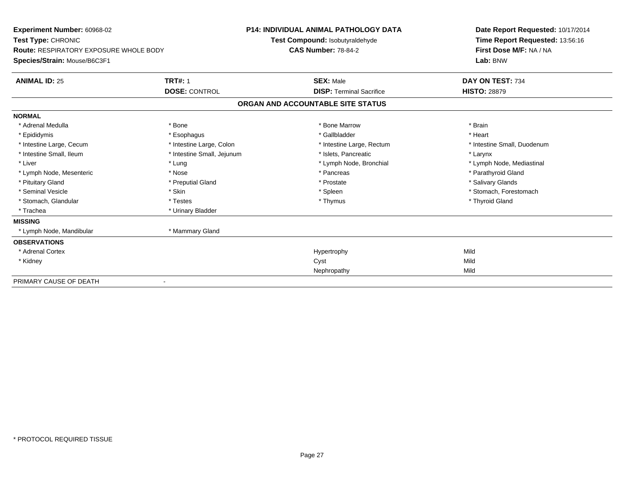| <b>Experiment Number: 60968-02</b><br>Test Type: CHRONIC<br><b>Route: RESPIRATORY EXPOSURE WHOLE BODY</b> |                            | <b>P14: INDIVIDUAL ANIMAL PATHOLOGY DATA</b><br>Test Compound: Isobutyraldehyde<br><b>CAS Number: 78-84-2</b> | Date Report Requested: 10/17/2014<br>Time Report Requested: 13:56:16<br>First Dose M/F: NA / NA |
|-----------------------------------------------------------------------------------------------------------|----------------------------|---------------------------------------------------------------------------------------------------------------|-------------------------------------------------------------------------------------------------|
| Species/Strain: Mouse/B6C3F1                                                                              |                            |                                                                                                               | Lab: BNW                                                                                        |
| <b>ANIMAL ID: 25</b>                                                                                      | <b>TRT#: 1</b>             | <b>SEX: Male</b>                                                                                              | DAY ON TEST: 734                                                                                |
|                                                                                                           | <b>DOSE: CONTROL</b>       | <b>DISP: Terminal Sacrifice</b>                                                                               | <b>HISTO: 28879</b>                                                                             |
|                                                                                                           |                            | ORGAN AND ACCOUNTABLE SITE STATUS                                                                             |                                                                                                 |
| <b>NORMAL</b>                                                                                             |                            |                                                                                                               |                                                                                                 |
| * Adrenal Medulla                                                                                         | * Bone                     | * Bone Marrow                                                                                                 | * Brain                                                                                         |
| * Epididymis                                                                                              | * Esophagus                | * Gallbladder                                                                                                 | * Heart                                                                                         |
| * Intestine Large, Cecum                                                                                  | * Intestine Large, Colon   | * Intestine Large, Rectum                                                                                     | * Intestine Small, Duodenum                                                                     |
| * Intestine Small, Ileum                                                                                  | * Intestine Small, Jejunum | * Islets, Pancreatic                                                                                          | * Larynx                                                                                        |
| * Liver                                                                                                   | * Lung                     | * Lymph Node, Bronchial                                                                                       | * Lymph Node, Mediastinal                                                                       |
| * Lymph Node, Mesenteric                                                                                  | * Nose                     | * Pancreas                                                                                                    | * Parathyroid Gland                                                                             |
| * Pituitary Gland                                                                                         | * Preputial Gland          | * Prostate                                                                                                    | * Salivary Glands                                                                               |
| * Seminal Vesicle                                                                                         | * Skin                     | * Spleen                                                                                                      | * Stomach, Forestomach                                                                          |
| * Stomach, Glandular                                                                                      | * Testes                   | * Thymus                                                                                                      | * Thyroid Gland                                                                                 |
| * Trachea                                                                                                 | * Urinary Bladder          |                                                                                                               |                                                                                                 |
| <b>MISSING</b>                                                                                            |                            |                                                                                                               |                                                                                                 |
| * Lymph Node, Mandibular                                                                                  | * Mammary Gland            |                                                                                                               |                                                                                                 |
| <b>OBSERVATIONS</b>                                                                                       |                            |                                                                                                               |                                                                                                 |
| * Adrenal Cortex                                                                                          |                            | Hypertrophy                                                                                                   | Mild                                                                                            |
| * Kidney                                                                                                  |                            | Cyst                                                                                                          | Mild                                                                                            |
|                                                                                                           |                            | Nephropathy                                                                                                   | Mild                                                                                            |
| PRIMARY CAUSE OF DEATH                                                                                    |                            |                                                                                                               |                                                                                                 |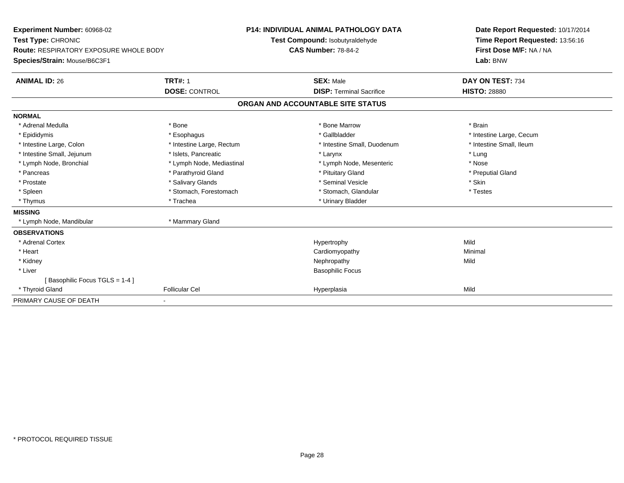| Experiment Number: 60968-02<br>Test Type: CHRONIC<br><b>Route: RESPIRATORY EXPOSURE WHOLE BODY</b><br>Species/Strain: Mouse/B6C3F1                                                           |                                                                                                                                                                                            | <b>P14: INDIVIDUAL ANIMAL PATHOLOGY DATA</b><br>Test Compound: Isobutyraldehyde<br><b>CAS Number: 78-84-2</b>                                                                                | Date Report Requested: 10/17/2014<br>Time Report Requested: 13:56:16<br>First Dose M/F: NA / NA<br>Lab: BNW                    |
|----------------------------------------------------------------------------------------------------------------------------------------------------------------------------------------------|--------------------------------------------------------------------------------------------------------------------------------------------------------------------------------------------|----------------------------------------------------------------------------------------------------------------------------------------------------------------------------------------------|--------------------------------------------------------------------------------------------------------------------------------|
| <b>ANIMAL ID: 26</b>                                                                                                                                                                         | <b>TRT#: 1</b>                                                                                                                                                                             | <b>SEX: Male</b><br><b>DISP: Terminal Sacrifice</b>                                                                                                                                          | DAY ON TEST: 734<br><b>HISTO: 28880</b>                                                                                        |
|                                                                                                                                                                                              | <b>DOSE: CONTROL</b>                                                                                                                                                                       | ORGAN AND ACCOUNTABLE SITE STATUS                                                                                                                                                            |                                                                                                                                |
| <b>NORMAL</b>                                                                                                                                                                                |                                                                                                                                                                                            |                                                                                                                                                                                              |                                                                                                                                |
| * Adrenal Medulla<br>* Epididymis<br>* Intestine Large, Colon<br>* Intestine Small, Jejunum<br>* Lymph Node, Bronchial<br>* Pancreas<br>* Prostate<br>* Spleen<br>* Thymus<br><b>MISSING</b> | * Bone<br>* Esophagus<br>* Intestine Large, Rectum<br>* Islets, Pancreatic<br>* Lymph Node, Mediastinal<br>* Parathyroid Gland<br>* Salivary Glands<br>* Stomach, Forestomach<br>* Trachea | * Bone Marrow<br>* Gallbladder<br>* Intestine Small, Duodenum<br>* Larynx<br>* Lymph Node, Mesenteric<br>* Pituitary Gland<br>* Seminal Vesicle<br>* Stomach, Glandular<br>* Urinary Bladder | * Brain<br>* Intestine Large, Cecum<br>* Intestine Small, Ileum<br>* Lung<br>* Nose<br>* Preputial Gland<br>* Skin<br>* Testes |
| * Lymph Node, Mandibular                                                                                                                                                                     | * Mammary Gland                                                                                                                                                                            |                                                                                                                                                                                              |                                                                                                                                |
| <b>OBSERVATIONS</b><br>* Adrenal Cortex<br>* Heart<br>* Kidney<br>* Liver<br>[Basophilic Focus TGLS = 1-4]                                                                                   |                                                                                                                                                                                            | Hypertrophy<br>Cardiomyopathy<br>Nephropathy<br><b>Basophilic Focus</b>                                                                                                                      | Mild<br>Minimal<br>Mild                                                                                                        |
| * Thyroid Gland                                                                                                                                                                              | <b>Follicular Cel</b>                                                                                                                                                                      | Hyperplasia                                                                                                                                                                                  | Mild                                                                                                                           |
| PRIMARY CAUSE OF DEATH                                                                                                                                                                       |                                                                                                                                                                                            |                                                                                                                                                                                              |                                                                                                                                |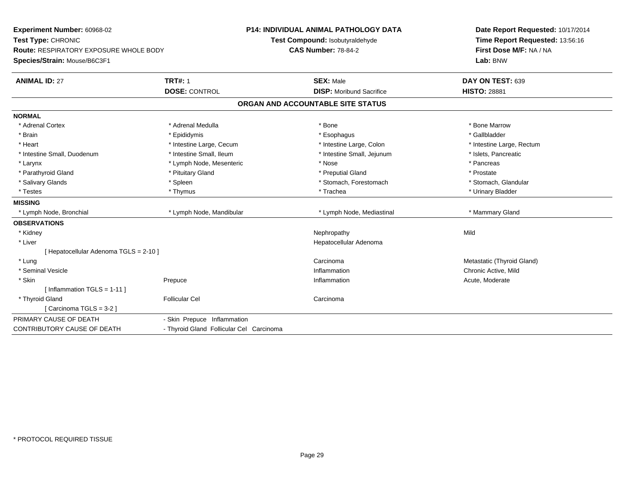| Experiment Number: 60968-02<br>Test Type: CHRONIC |                                          | <b>P14: INDIVIDUAL ANIMAL PATHOLOGY DATA</b><br>Test Compound: Isobutyraldehyde | Date Report Requested: 10/17/2014<br>Time Report Requested: 13:56:16 |  |
|---------------------------------------------------|------------------------------------------|---------------------------------------------------------------------------------|----------------------------------------------------------------------|--|
| <b>Route: RESPIRATORY EXPOSURE WHOLE BODY</b>     |                                          | <b>CAS Number: 78-84-2</b>                                                      | First Dose M/F: NA / NA                                              |  |
| Species/Strain: Mouse/B6C3F1                      |                                          |                                                                                 | Lab: BNW                                                             |  |
| <b>ANIMAL ID: 27</b>                              | <b>TRT#: 1</b>                           | <b>SEX: Male</b>                                                                | DAY ON TEST: 639                                                     |  |
|                                                   | <b>DOSE: CONTROL</b>                     | <b>DISP:</b> Moribund Sacrifice                                                 | <b>HISTO: 28881</b>                                                  |  |
|                                                   |                                          | ORGAN AND ACCOUNTABLE SITE STATUS                                               |                                                                      |  |
| <b>NORMAL</b>                                     |                                          |                                                                                 |                                                                      |  |
| * Adrenal Cortex                                  | * Adrenal Medulla                        | * Bone                                                                          | * Bone Marrow                                                        |  |
| * Brain                                           | * Epididymis                             | * Esophagus                                                                     | * Gallbladder                                                        |  |
| * Heart                                           | * Intestine Large, Cecum                 | * Intestine Large, Colon                                                        | * Intestine Large, Rectum                                            |  |
| * Intestine Small, Duodenum                       | * Intestine Small, Ileum                 | * Intestine Small, Jejunum                                                      | * Islets, Pancreatic                                                 |  |
| * Larynx                                          | * Lymph Node, Mesenteric                 | * Nose                                                                          | * Pancreas                                                           |  |
| * Parathyroid Gland                               | * Pituitary Gland                        | * Preputial Gland                                                               | * Prostate                                                           |  |
| * Salivary Glands                                 | * Spleen                                 | * Stomach, Forestomach                                                          | * Stomach, Glandular                                                 |  |
| * Testes                                          | * Thymus                                 | * Trachea                                                                       | * Urinary Bladder                                                    |  |
| <b>MISSING</b>                                    |                                          |                                                                                 |                                                                      |  |
| * Lymph Node, Bronchial                           | * Lymph Node, Mandibular                 | * Lymph Node, Mediastinal                                                       | * Mammary Gland                                                      |  |
| <b>OBSERVATIONS</b>                               |                                          |                                                                                 |                                                                      |  |
| * Kidney                                          |                                          | Nephropathy                                                                     | Mild                                                                 |  |
| * Liver                                           |                                          | Hepatocellular Adenoma                                                          |                                                                      |  |
| [ Hepatocellular Adenoma TGLS = 2-10 ]            |                                          |                                                                                 |                                                                      |  |
| * Lung                                            |                                          | Carcinoma                                                                       | Metastatic (Thyroid Gland)                                           |  |
| * Seminal Vesicle                                 |                                          | Inflammation                                                                    | Chronic Active, Mild                                                 |  |
| * Skin                                            | Prepuce                                  | Inflammation                                                                    | Acute, Moderate                                                      |  |
| [ Inflammation TGLS = 1-11 ]                      |                                          |                                                                                 |                                                                      |  |
| * Thyroid Gland                                   | <b>Follicular Cel</b>                    | Carcinoma                                                                       |                                                                      |  |
| [Carcinoma TGLS = 3-2]                            |                                          |                                                                                 |                                                                      |  |
| PRIMARY CAUSE OF DEATH                            | - Skin Prepuce Inflammation              |                                                                                 |                                                                      |  |
| CONTRIBUTORY CAUSE OF DEATH                       | - Thyroid Gland Follicular Cel Carcinoma |                                                                                 |                                                                      |  |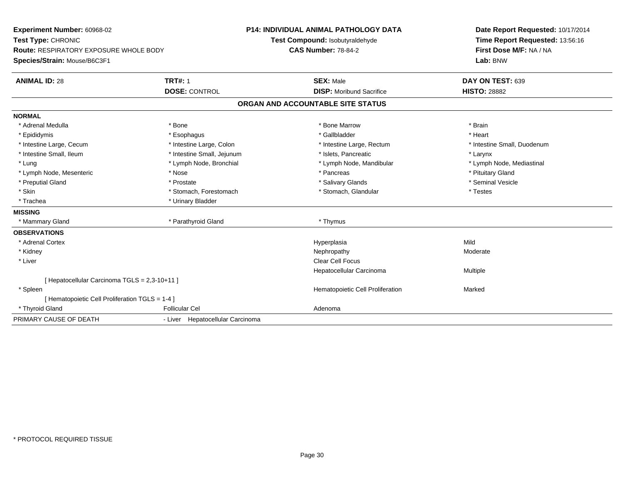| Experiment Number: 60968-02                     |                                  |                                   | <b>P14: INDIVIDUAL ANIMAL PATHOLOGY DATA</b> | Date Report Requested: 10/17/2014 |
|-------------------------------------------------|----------------------------------|-----------------------------------|----------------------------------------------|-----------------------------------|
| Test Type: CHRONIC                              |                                  |                                   | Test Compound: Isobutyraldehyde              | Time Report Requested: 13:56:16   |
| Route: RESPIRATORY EXPOSURE WHOLE BODY          |                                  |                                   | <b>CAS Number: 78-84-2</b>                   | First Dose M/F: NA / NA           |
| Species/Strain: Mouse/B6C3F1                    |                                  |                                   |                                              | Lab: BNW                          |
| <b>ANIMAL ID: 28</b>                            | <b>TRT#: 1</b>                   |                                   | <b>SEX: Male</b>                             | DAY ON TEST: 639                  |
|                                                 | <b>DOSE: CONTROL</b>             |                                   | <b>DISP:</b> Moribund Sacrifice              | <b>HISTO: 28882</b>               |
|                                                 |                                  | ORGAN AND ACCOUNTABLE SITE STATUS |                                              |                                   |
| <b>NORMAL</b>                                   |                                  |                                   |                                              |                                   |
| * Adrenal Medulla                               | * Bone                           |                                   | * Bone Marrow                                | * Brain                           |
| * Epididymis                                    | * Esophagus                      |                                   | * Gallbladder                                | * Heart                           |
| * Intestine Large, Cecum                        | * Intestine Large, Colon         |                                   | * Intestine Large, Rectum                    | * Intestine Small, Duodenum       |
| * Intestine Small, Ileum                        | * Intestine Small, Jejunum       |                                   | * Islets, Pancreatic                         | * Larynx                          |
| * Lung                                          | * Lymph Node, Bronchial          |                                   | * Lymph Node, Mandibular                     | * Lymph Node, Mediastinal         |
| * Lymph Node, Mesenteric                        | * Nose                           |                                   | * Pancreas                                   | * Pituitary Gland                 |
| * Preputial Gland                               | * Prostate                       |                                   | * Salivary Glands                            | * Seminal Vesicle                 |
| * Skin                                          | * Stomach, Forestomach           |                                   | * Stomach, Glandular                         | * Testes                          |
| * Trachea                                       | * Urinary Bladder                |                                   |                                              |                                   |
| <b>MISSING</b>                                  |                                  |                                   |                                              |                                   |
| * Mammary Gland                                 | * Parathyroid Gland              |                                   | * Thymus                                     |                                   |
| <b>OBSERVATIONS</b>                             |                                  |                                   |                                              |                                   |
| * Adrenal Cortex                                |                                  |                                   | Hyperplasia                                  | Mild                              |
| * Kidney                                        |                                  |                                   | Nephropathy                                  | Moderate                          |
| * Liver                                         |                                  |                                   | Clear Cell Focus                             |                                   |
|                                                 |                                  |                                   | Hepatocellular Carcinoma                     | <b>Multiple</b>                   |
| [ Hepatocellular Carcinoma TGLS = 2,3-10+11 ]   |                                  |                                   |                                              |                                   |
| * Spleen                                        |                                  |                                   | Hematopoietic Cell Proliferation             | Marked                            |
| [ Hematopoietic Cell Proliferation TGLS = 1-4 ] |                                  |                                   |                                              |                                   |
| * Thyroid Gland                                 | <b>Follicular Cel</b>            |                                   | Adenoma                                      |                                   |
| PRIMARY CAUSE OF DEATH                          | - Liver Hepatocellular Carcinoma |                                   |                                              |                                   |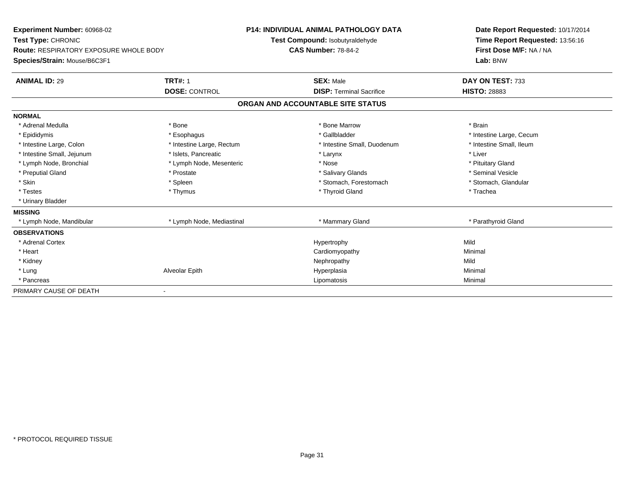| Experiment Number: 60968-02<br>Test Type: CHRONIC<br><b>Route: RESPIRATORY EXPOSURE WHOLE BODY</b><br>Species/Strain: Mouse/B6C3F1 |                           | <b>P14: INDIVIDUAL ANIMAL PATHOLOGY DATA</b><br>Test Compound: Isobutyraldehyde<br><b>CAS Number: 78-84-2</b> |  | Date Report Requested: 10/17/2014<br>Time Report Requested: 13:56:16<br>First Dose M/F: NA / NA<br>Lab: BNW |  |
|------------------------------------------------------------------------------------------------------------------------------------|---------------------------|---------------------------------------------------------------------------------------------------------------|--|-------------------------------------------------------------------------------------------------------------|--|
| <b>ANIMAL ID: 29</b>                                                                                                               | <b>TRT#: 1</b>            | <b>SEX: Male</b>                                                                                              |  | DAY ON TEST: 733                                                                                            |  |
|                                                                                                                                    | <b>DOSE: CONTROL</b>      | <b>DISP: Terminal Sacrifice</b>                                                                               |  | <b>HISTO: 28883</b>                                                                                         |  |
|                                                                                                                                    |                           | ORGAN AND ACCOUNTABLE SITE STATUS                                                                             |  |                                                                                                             |  |
| <b>NORMAL</b>                                                                                                                      |                           |                                                                                                               |  |                                                                                                             |  |
| * Adrenal Medulla                                                                                                                  | * Bone                    | * Bone Marrow                                                                                                 |  | * Brain                                                                                                     |  |
| * Epididymis                                                                                                                       | * Esophagus               | * Gallbladder                                                                                                 |  | * Intestine Large, Cecum                                                                                    |  |
| * Intestine Large, Colon                                                                                                           | * Intestine Large, Rectum | * Intestine Small, Duodenum                                                                                   |  | * Intestine Small, Ileum                                                                                    |  |
| * Intestine Small, Jejunum                                                                                                         | * Islets, Pancreatic      | * Larynx                                                                                                      |  | * Liver                                                                                                     |  |
| * Lymph Node, Bronchial                                                                                                            | * Lymph Node, Mesenteric  | * Nose                                                                                                        |  | * Pituitary Gland                                                                                           |  |
| * Preputial Gland                                                                                                                  | * Prostate                | * Salivary Glands                                                                                             |  | * Seminal Vesicle                                                                                           |  |
| * Skin                                                                                                                             | * Spleen                  | * Stomach, Forestomach                                                                                        |  | * Stomach, Glandular                                                                                        |  |
| * Testes                                                                                                                           | * Thymus                  | * Thyroid Gland                                                                                               |  | * Trachea                                                                                                   |  |
| * Urinary Bladder                                                                                                                  |                           |                                                                                                               |  |                                                                                                             |  |
| <b>MISSING</b>                                                                                                                     |                           |                                                                                                               |  |                                                                                                             |  |
| * Lymph Node, Mandibular                                                                                                           | * Lymph Node, Mediastinal | * Mammary Gland                                                                                               |  | * Parathyroid Gland                                                                                         |  |
| <b>OBSERVATIONS</b>                                                                                                                |                           |                                                                                                               |  |                                                                                                             |  |
| * Adrenal Cortex                                                                                                                   |                           | Hypertrophy                                                                                                   |  | Mild                                                                                                        |  |
| * Heart                                                                                                                            |                           | Cardiomyopathy                                                                                                |  | Minimal                                                                                                     |  |
| * Kidney                                                                                                                           |                           | Nephropathy                                                                                                   |  | Mild                                                                                                        |  |
| * Lung                                                                                                                             | Alveolar Epith            | Hyperplasia                                                                                                   |  | Minimal                                                                                                     |  |
| * Pancreas                                                                                                                         |                           | Lipomatosis                                                                                                   |  | Minimal                                                                                                     |  |
| PRIMARY CAUSE OF DEATH                                                                                                             |                           |                                                                                                               |  |                                                                                                             |  |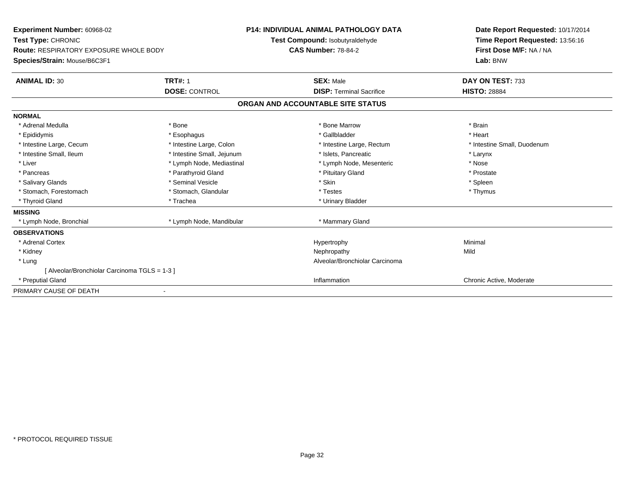| <b>Experiment Number: 60968-02</b><br>Test Type: CHRONIC<br><b>Route: RESPIRATORY EXPOSURE WHOLE BODY</b><br>Species/Strain: Mouse/B6C3F1 |                            | <b>P14: INDIVIDUAL ANIMAL PATHOLOGY DATA</b><br><b>Test Compound: Isobutyraldehyde</b><br><b>CAS Number: 78-84-2</b> |                                   | Date Report Requested: 10/17/2014<br>Time Report Requested: 13:56:16<br>First Dose M/F: NA / NA<br>Lab: BNW |
|-------------------------------------------------------------------------------------------------------------------------------------------|----------------------------|----------------------------------------------------------------------------------------------------------------------|-----------------------------------|-------------------------------------------------------------------------------------------------------------|
| <b>ANIMAL ID: 30</b>                                                                                                                      | <b>TRT#: 1</b>             |                                                                                                                      | <b>SEX: Male</b>                  | DAY ON TEST: 733                                                                                            |
|                                                                                                                                           | <b>DOSE: CONTROL</b>       |                                                                                                                      | <b>DISP: Terminal Sacrifice</b>   | <b>HISTO: 28884</b>                                                                                         |
|                                                                                                                                           |                            |                                                                                                                      | ORGAN AND ACCOUNTABLE SITE STATUS |                                                                                                             |
| <b>NORMAL</b>                                                                                                                             |                            |                                                                                                                      |                                   |                                                                                                             |
| * Adrenal Medulla                                                                                                                         | * Bone                     |                                                                                                                      | * Bone Marrow                     | * Brain                                                                                                     |
| * Epididymis                                                                                                                              | * Esophagus                |                                                                                                                      | * Gallbladder                     | * Heart                                                                                                     |
| * Intestine Large, Cecum                                                                                                                  | * Intestine Large, Colon   |                                                                                                                      | * Intestine Large, Rectum         | * Intestine Small, Duodenum                                                                                 |
| * Intestine Small, Ileum                                                                                                                  | * Intestine Small, Jejunum |                                                                                                                      | * Islets, Pancreatic              | * Larynx                                                                                                    |
| * Liver                                                                                                                                   | * Lymph Node, Mediastinal  |                                                                                                                      | * Lymph Node, Mesenteric          | * Nose                                                                                                      |
| * Pancreas                                                                                                                                | * Parathyroid Gland        |                                                                                                                      | * Pituitary Gland                 | * Prostate                                                                                                  |
| * Salivary Glands                                                                                                                         | * Seminal Vesicle          |                                                                                                                      | * Skin                            | * Spleen                                                                                                    |
| * Stomach, Forestomach                                                                                                                    | * Stomach, Glandular       |                                                                                                                      | * Testes                          | * Thymus                                                                                                    |
| * Thyroid Gland                                                                                                                           | * Trachea                  |                                                                                                                      | * Urinary Bladder                 |                                                                                                             |
| <b>MISSING</b>                                                                                                                            |                            |                                                                                                                      |                                   |                                                                                                             |
| * Lymph Node, Bronchial                                                                                                                   | * Lymph Node, Mandibular   |                                                                                                                      | * Mammary Gland                   |                                                                                                             |
| <b>OBSERVATIONS</b>                                                                                                                       |                            |                                                                                                                      |                                   |                                                                                                             |
| * Adrenal Cortex                                                                                                                          |                            |                                                                                                                      | Hypertrophy                       | Minimal                                                                                                     |
| * Kidney                                                                                                                                  |                            |                                                                                                                      | Nephropathy                       | Mild                                                                                                        |
| * Lung                                                                                                                                    |                            |                                                                                                                      | Alveolar/Bronchiolar Carcinoma    |                                                                                                             |
| [ Alveolar/Bronchiolar Carcinoma TGLS = 1-3 ]                                                                                             |                            |                                                                                                                      |                                   |                                                                                                             |
| * Preputial Gland                                                                                                                         |                            |                                                                                                                      | Inflammation                      | Chronic Active, Moderate                                                                                    |
| PRIMARY CAUSE OF DEATH                                                                                                                    |                            |                                                                                                                      |                                   |                                                                                                             |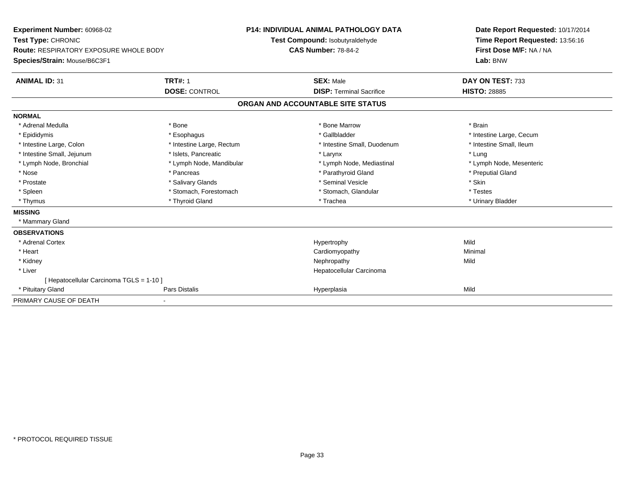| <b>Experiment Number: 60968-02</b><br>Test Type: CHRONIC<br><b>Route: RESPIRATORY EXPOSURE WHOLE BODY</b><br>Species/Strain: Mouse/B6C3F1<br><b>ANIMAL ID: 31</b> | <b>TRT#: 1</b><br><b>DOSE: CONTROL</b> | <b>P14: INDIVIDUAL ANIMAL PATHOLOGY DATA</b><br>Test Compound: Isobutyraldehyde<br><b>CAS Number: 78-84-2</b><br><b>SEX: Male</b><br><b>DISP: Terminal Sacrifice</b> |                                   | Date Report Requested: 10/17/2014<br>Time Report Requested: 13:56:16<br>First Dose M/F: NA / NA<br>Lab: BNW<br>DAY ON TEST: 733<br><b>HISTO: 28885</b> |
|-------------------------------------------------------------------------------------------------------------------------------------------------------------------|----------------------------------------|----------------------------------------------------------------------------------------------------------------------------------------------------------------------|-----------------------------------|--------------------------------------------------------------------------------------------------------------------------------------------------------|
|                                                                                                                                                                   |                                        |                                                                                                                                                                      | ORGAN AND ACCOUNTABLE SITE STATUS |                                                                                                                                                        |
| <b>NORMAL</b>                                                                                                                                                     |                                        |                                                                                                                                                                      |                                   |                                                                                                                                                        |
| * Adrenal Medulla                                                                                                                                                 | * Bone                                 |                                                                                                                                                                      | * Bone Marrow                     | * Brain                                                                                                                                                |
| * Epididymis                                                                                                                                                      | * Esophagus                            |                                                                                                                                                                      | * Gallbladder                     | * Intestine Large, Cecum                                                                                                                               |
| * Intestine Large, Colon                                                                                                                                          | * Intestine Large, Rectum              |                                                                                                                                                                      | * Intestine Small, Duodenum       | * Intestine Small, Ileum                                                                                                                               |
| * Intestine Small, Jejunum                                                                                                                                        | * Islets, Pancreatic                   |                                                                                                                                                                      | * Larynx                          | * Lung                                                                                                                                                 |
| * Lymph Node, Bronchial                                                                                                                                           | * Lymph Node, Mandibular               |                                                                                                                                                                      | * Lymph Node, Mediastinal         | * Lymph Node, Mesenteric                                                                                                                               |
| * Nose                                                                                                                                                            | * Pancreas                             |                                                                                                                                                                      | * Parathyroid Gland               | * Preputial Gland                                                                                                                                      |
| * Prostate                                                                                                                                                        | * Salivary Glands                      |                                                                                                                                                                      | * Seminal Vesicle                 | * Skin                                                                                                                                                 |
| * Spleen                                                                                                                                                          | * Stomach, Forestomach                 |                                                                                                                                                                      | * Stomach, Glandular              | * Testes                                                                                                                                               |
| * Thymus                                                                                                                                                          | * Thyroid Gland                        |                                                                                                                                                                      | * Trachea                         | * Urinary Bladder                                                                                                                                      |
| <b>MISSING</b>                                                                                                                                                    |                                        |                                                                                                                                                                      |                                   |                                                                                                                                                        |
| * Mammary Gland                                                                                                                                                   |                                        |                                                                                                                                                                      |                                   |                                                                                                                                                        |
| <b>OBSERVATIONS</b>                                                                                                                                               |                                        |                                                                                                                                                                      |                                   |                                                                                                                                                        |
| * Adrenal Cortex                                                                                                                                                  |                                        |                                                                                                                                                                      | Hypertrophy                       | Mild                                                                                                                                                   |
| * Heart                                                                                                                                                           |                                        |                                                                                                                                                                      | Cardiomyopathy                    | Minimal                                                                                                                                                |
| * Kidney                                                                                                                                                          |                                        |                                                                                                                                                                      | Nephropathy                       | Mild                                                                                                                                                   |
| * Liver                                                                                                                                                           |                                        |                                                                                                                                                                      | Hepatocellular Carcinoma          |                                                                                                                                                        |
| [ Hepatocellular Carcinoma TGLS = 1-10 ]                                                                                                                          |                                        |                                                                                                                                                                      |                                   |                                                                                                                                                        |
| * Pituitary Gland                                                                                                                                                 | Pars Distalis                          |                                                                                                                                                                      | Hyperplasia                       | Mild                                                                                                                                                   |
| PRIMARY CAUSE OF DEATH                                                                                                                                            |                                        |                                                                                                                                                                      |                                   |                                                                                                                                                        |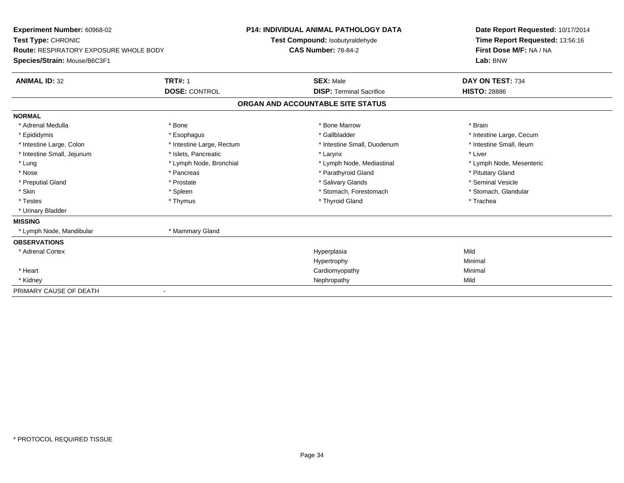| Experiment Number: 60968-02<br>Test Type: CHRONIC<br><b>Route: RESPIRATORY EXPOSURE WHOLE BODY</b><br>Species/Strain: Mouse/B6C3F1 |                           | <b>P14: INDIVIDUAL ANIMAL PATHOLOGY DATA</b><br>Test Compound: Isobutyraldehyde<br><b>CAS Number: 78-84-2</b> |                                 | Date Report Requested: 10/17/2014<br>Time Report Requested: 13:56:16<br>First Dose M/F: NA / NA<br>Lab: BNW |  |
|------------------------------------------------------------------------------------------------------------------------------------|---------------------------|---------------------------------------------------------------------------------------------------------------|---------------------------------|-------------------------------------------------------------------------------------------------------------|--|
| <b>ANIMAL ID: 32</b>                                                                                                               | <b>TRT#: 1</b>            |                                                                                                               | <b>SEX: Male</b>                | DAY ON TEST: 734                                                                                            |  |
|                                                                                                                                    | <b>DOSE: CONTROL</b>      |                                                                                                               | <b>DISP: Terminal Sacrifice</b> | <b>HISTO: 28886</b>                                                                                         |  |
|                                                                                                                                    |                           | ORGAN AND ACCOUNTABLE SITE STATUS                                                                             |                                 |                                                                                                             |  |
| <b>NORMAL</b>                                                                                                                      |                           |                                                                                                               |                                 |                                                                                                             |  |
| * Adrenal Medulla                                                                                                                  | * Bone                    |                                                                                                               | * Bone Marrow                   | * Brain                                                                                                     |  |
| * Epididymis                                                                                                                       | * Esophagus               |                                                                                                               | * Gallbladder                   | * Intestine Large, Cecum                                                                                    |  |
| * Intestine Large, Colon                                                                                                           | * Intestine Large, Rectum |                                                                                                               | * Intestine Small, Duodenum     | * Intestine Small, Ileum                                                                                    |  |
| * Intestine Small, Jejunum                                                                                                         | * Islets, Pancreatic      |                                                                                                               | * Larynx                        | * Liver                                                                                                     |  |
| * Lung                                                                                                                             | * Lymph Node, Bronchial   |                                                                                                               | * Lymph Node, Mediastinal       | * Lymph Node, Mesenteric                                                                                    |  |
| * Nose                                                                                                                             | * Pancreas                |                                                                                                               | * Parathyroid Gland             | * Pituitary Gland                                                                                           |  |
| * Preputial Gland                                                                                                                  | * Prostate                |                                                                                                               | * Salivary Glands               | * Seminal Vesicle                                                                                           |  |
| * Skin                                                                                                                             | * Spleen                  |                                                                                                               | * Stomach, Forestomach          | * Stomach, Glandular                                                                                        |  |
| * Testes                                                                                                                           | * Thymus                  |                                                                                                               | * Thyroid Gland                 | * Trachea                                                                                                   |  |
| * Urinary Bladder                                                                                                                  |                           |                                                                                                               |                                 |                                                                                                             |  |
| <b>MISSING</b>                                                                                                                     |                           |                                                                                                               |                                 |                                                                                                             |  |
| * Lymph Node, Mandibular                                                                                                           | * Mammary Gland           |                                                                                                               |                                 |                                                                                                             |  |
| <b>OBSERVATIONS</b>                                                                                                                |                           |                                                                                                               |                                 |                                                                                                             |  |
| * Adrenal Cortex                                                                                                                   |                           |                                                                                                               | Hyperplasia                     | Mild                                                                                                        |  |
|                                                                                                                                    |                           |                                                                                                               | Hypertrophy                     | Minimal                                                                                                     |  |
| * Heart                                                                                                                            |                           |                                                                                                               | Cardiomyopathy                  | Minimal                                                                                                     |  |
| * Kidney                                                                                                                           |                           |                                                                                                               | Nephropathy                     | Mild                                                                                                        |  |
| PRIMARY CAUSE OF DEATH                                                                                                             |                           |                                                                                                               |                                 |                                                                                                             |  |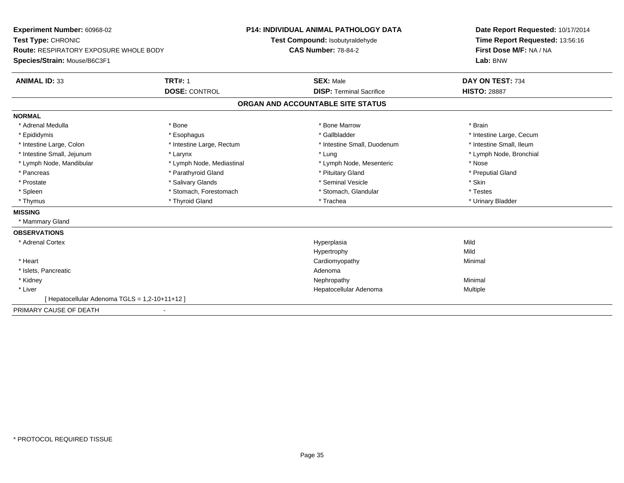| Experiment Number: 60968-02                   |                           | <b>P14: INDIVIDUAL ANIMAL PATHOLOGY DATA</b> | Date Report Requested: 10/17/2014 |
|-----------------------------------------------|---------------------------|----------------------------------------------|-----------------------------------|
| Test Type: CHRONIC                            |                           | Test Compound: Isobutyraldehyde              | Time Report Requested: 13:56:16   |
| <b>Route: RESPIRATORY EXPOSURE WHOLE BODY</b> |                           | <b>CAS Number: 78-84-2</b>                   | First Dose M/F: NA / NA           |
| Species/Strain: Mouse/B6C3F1                  |                           |                                              | Lab: BNW                          |
| <b>ANIMAL ID: 33</b>                          | <b>TRT#: 1</b>            | <b>SEX: Male</b>                             | DAY ON TEST: 734                  |
|                                               | <b>DOSE: CONTROL</b>      | <b>DISP: Terminal Sacrifice</b>              | <b>HISTO: 28887</b>               |
|                                               |                           | ORGAN AND ACCOUNTABLE SITE STATUS            |                                   |
| <b>NORMAL</b>                                 |                           |                                              |                                   |
| * Adrenal Medulla                             | * Bone                    | * Bone Marrow                                | * Brain                           |
| * Epididymis                                  | * Esophagus               | * Gallbladder                                | * Intestine Large, Cecum          |
| * Intestine Large, Colon                      | * Intestine Large, Rectum | * Intestine Small, Duodenum                  | * Intestine Small, Ileum          |
| * Intestine Small, Jejunum                    | * Larynx                  | * Lung                                       | * Lymph Node, Bronchial           |
| * Lymph Node, Mandibular                      | * Lymph Node, Mediastinal | * Lymph Node, Mesenteric                     | * Nose                            |
| * Pancreas                                    | * Parathyroid Gland       | * Pituitary Gland                            | * Preputial Gland                 |
| * Prostate                                    | * Salivary Glands         | * Seminal Vesicle                            | * Skin                            |
| * Spleen                                      | * Stomach, Forestomach    | * Stomach, Glandular                         | * Testes                          |
| * Thymus                                      | * Thyroid Gland           | * Trachea                                    | * Urinary Bladder                 |
| <b>MISSING</b>                                |                           |                                              |                                   |
| * Mammary Gland                               |                           |                                              |                                   |
| <b>OBSERVATIONS</b>                           |                           |                                              |                                   |
| * Adrenal Cortex                              |                           | Hyperplasia                                  | Mild                              |
|                                               |                           | Hypertrophy                                  | Mild                              |
| * Heart                                       |                           | Cardiomyopathy                               | Minimal                           |
| * Islets, Pancreatic                          |                           | Adenoma                                      |                                   |
| * Kidney                                      |                           | Nephropathy                                  | Minimal                           |
| * Liver                                       |                           | Hepatocellular Adenoma                       | Multiple                          |
| [Hepatocellular Adenoma TGLS = 1,2-10+11+12]  |                           |                                              |                                   |
| PRIMARY CAUSE OF DEATH                        |                           |                                              |                                   |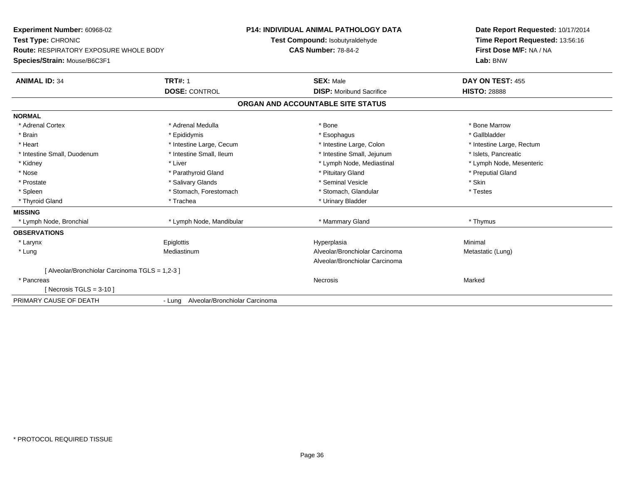| Experiment Number: 60968-02                     |                                                               | <b>P14: INDIVIDUAL ANIMAL PATHOLOGY DATA</b> | Date Report Requested: 10/17/2014                          |
|-------------------------------------------------|---------------------------------------------------------------|----------------------------------------------|------------------------------------------------------------|
| Test Type: CHRONIC                              | Test Compound: Isobutyraldehyde<br><b>CAS Number: 78-84-2</b> |                                              | Time Report Requested: 13:56:16<br>First Dose M/F: NA / NA |
| <b>Route: RESPIRATORY EXPOSURE WHOLE BODY</b>   |                                                               |                                              |                                                            |
| Species/Strain: Mouse/B6C3F1                    |                                                               |                                              | Lab: BNW                                                   |
| <b>ANIMAL ID: 34</b>                            | <b>TRT#: 1</b>                                                | <b>SEX: Male</b>                             | DAY ON TEST: 455                                           |
|                                                 | <b>DOSE: CONTROL</b>                                          | <b>DISP:</b> Moribund Sacrifice              | <b>HISTO: 28888</b>                                        |
|                                                 |                                                               | ORGAN AND ACCOUNTABLE SITE STATUS            |                                                            |
| <b>NORMAL</b>                                   |                                                               |                                              |                                                            |
| * Adrenal Cortex                                | * Adrenal Medulla                                             | * Bone                                       | * Bone Marrow                                              |
| * Brain                                         | * Epididymis                                                  | * Esophagus                                  | * Gallbladder                                              |
| * Heart                                         | * Intestine Large, Cecum                                      | * Intestine Large, Colon                     | * Intestine Large, Rectum                                  |
| * Intestine Small, Duodenum                     | * Intestine Small, Ileum                                      | * Intestine Small, Jejunum                   | * Islets, Pancreatic                                       |
| * Kidney                                        | * Liver                                                       | * Lymph Node, Mediastinal                    | * Lymph Node, Mesenteric                                   |
| * Nose                                          | * Parathyroid Gland                                           | * Pituitary Gland                            | * Preputial Gland                                          |
| * Prostate                                      | * Salivary Glands                                             | * Seminal Vesicle                            | * Skin                                                     |
| * Spleen                                        | * Stomach, Forestomach                                        | * Stomach, Glandular                         | * Testes                                                   |
| * Thyroid Gland                                 | * Trachea                                                     | * Urinary Bladder                            |                                                            |
| <b>MISSING</b>                                  |                                                               |                                              |                                                            |
| * Lymph Node, Bronchial                         | * Lymph Node, Mandibular                                      | * Mammary Gland                              | * Thymus                                                   |
| <b>OBSERVATIONS</b>                             |                                                               |                                              |                                                            |
| * Larynx                                        | Epiglottis                                                    | Hyperplasia                                  | Minimal                                                    |
| * Lung                                          | Mediastinum                                                   | Alveolar/Bronchiolar Carcinoma               | Metastatic (Lung)                                          |
|                                                 |                                                               | Alveolar/Bronchiolar Carcinoma               |                                                            |
| [ Alveolar/Bronchiolar Carcinoma TGLS = 1,2-3 ] |                                                               |                                              |                                                            |
| * Pancreas                                      |                                                               | Necrosis                                     | Marked                                                     |
| [Necrosis TGLS = $3-10$ ]                       |                                                               |                                              |                                                            |
| PRIMARY CAUSE OF DEATH                          | - Lung Alveolar/Bronchiolar Carcinoma                         |                                              |                                                            |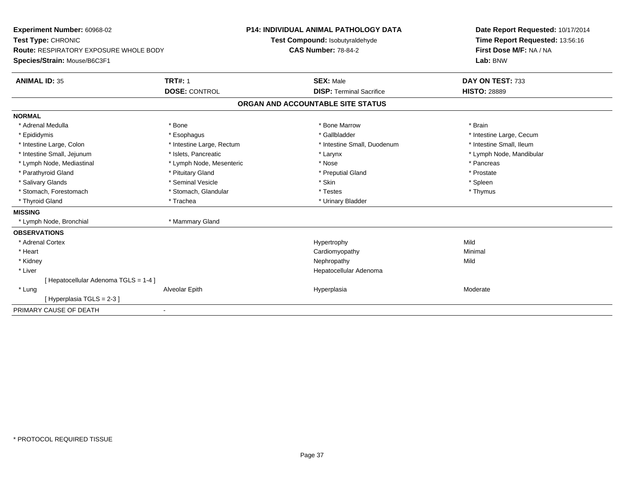| Experiment Number: 60968-02                   |                           | <b>P14: INDIVIDUAL ANIMAL PATHOLOGY DATA</b> | Date Report Requested: 10/17/2014 |
|-----------------------------------------------|---------------------------|----------------------------------------------|-----------------------------------|
| Test Type: CHRONIC                            |                           | Test Compound: Isobutyraldehyde              | Time Report Requested: 13:56:16   |
| <b>Route: RESPIRATORY EXPOSURE WHOLE BODY</b> |                           | <b>CAS Number: 78-84-2</b>                   | First Dose M/F: NA / NA           |
| Species/Strain: Mouse/B6C3F1                  |                           |                                              | Lab: BNW                          |
| <b>ANIMAL ID: 35</b>                          | <b>TRT#: 1</b>            | <b>SEX: Male</b>                             | DAY ON TEST: 733                  |
|                                               | <b>DOSE: CONTROL</b>      | <b>DISP: Terminal Sacrifice</b>              | <b>HISTO: 28889</b>               |
|                                               |                           | ORGAN AND ACCOUNTABLE SITE STATUS            |                                   |
| <b>NORMAL</b>                                 |                           |                                              |                                   |
| * Adrenal Medulla                             | * Bone                    | * Bone Marrow                                | * Brain                           |
| * Epididymis                                  | * Esophagus               | * Gallbladder                                | * Intestine Large, Cecum          |
| * Intestine Large, Colon                      | * Intestine Large, Rectum | * Intestine Small, Duodenum                  | * Intestine Small, Ileum          |
| * Intestine Small, Jejunum                    | * Islets, Pancreatic      | * Larynx                                     | * Lymph Node, Mandibular          |
| * Lymph Node, Mediastinal                     | * Lymph Node, Mesenteric  | * Nose                                       | * Pancreas                        |
| * Parathyroid Gland                           | * Pituitary Gland         | * Preputial Gland                            | * Prostate                        |
| * Salivary Glands                             | * Seminal Vesicle         | * Skin                                       | * Spleen                          |
| * Stomach, Forestomach                        | * Stomach, Glandular      | * Testes                                     | * Thymus                          |
| * Thyroid Gland                               | * Trachea                 | * Urinary Bladder                            |                                   |
| <b>MISSING</b>                                |                           |                                              |                                   |
| * Lymph Node, Bronchial                       | * Mammary Gland           |                                              |                                   |
| <b>OBSERVATIONS</b>                           |                           |                                              |                                   |
| * Adrenal Cortex                              |                           | Hypertrophy                                  | Mild                              |
| * Heart                                       |                           | Cardiomyopathy                               | Minimal                           |
| * Kidney                                      |                           | Nephropathy                                  | Mild                              |
| * Liver                                       |                           | Hepatocellular Adenoma                       |                                   |
| [ Hepatocellular Adenoma TGLS = 1-4 ]         |                           |                                              |                                   |
| * Lung                                        | Alveolar Epith            | Hyperplasia                                  | Moderate                          |
| [Hyperplasia TGLS = 2-3]                      |                           |                                              |                                   |
| PRIMARY CAUSE OF DEATH                        |                           |                                              |                                   |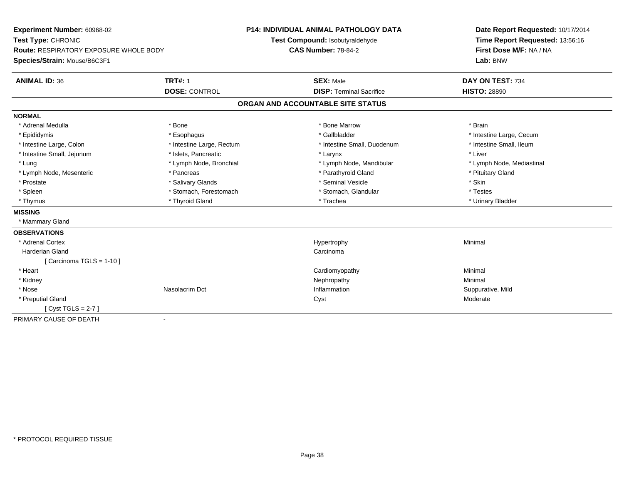| Experiment Number: 60968-02                   |                           | <b>P14: INDIVIDUAL ANIMAL PATHOLOGY DATA</b> | Date Report Requested: 10/17/2014                          |
|-----------------------------------------------|---------------------------|----------------------------------------------|------------------------------------------------------------|
| Test Type: CHRONIC                            |                           | Test Compound: Isobutyraldehyde              | Time Report Requested: 13:56:16<br>First Dose M/F: NA / NA |
| <b>Route: RESPIRATORY EXPOSURE WHOLE BODY</b> |                           | <b>CAS Number: 78-84-2</b>                   |                                                            |
| Species/Strain: Mouse/B6C3F1                  |                           |                                              | Lab: BNW                                                   |
| <b>ANIMAL ID: 36</b>                          | <b>TRT#: 1</b>            | <b>SEX: Male</b>                             | DAY ON TEST: 734                                           |
|                                               | <b>DOSE: CONTROL</b>      | <b>DISP: Terminal Sacrifice</b>              | <b>HISTO: 28890</b>                                        |
|                                               |                           | ORGAN AND ACCOUNTABLE SITE STATUS            |                                                            |
| <b>NORMAL</b>                                 |                           |                                              |                                                            |
| * Adrenal Medulla                             | * Bone                    | * Bone Marrow                                | * Brain                                                    |
| * Epididymis                                  | * Esophagus               | * Gallbladder                                | * Intestine Large, Cecum                                   |
| * Intestine Large, Colon                      | * Intestine Large, Rectum | * Intestine Small, Duodenum                  | * Intestine Small, Ileum                                   |
| * Intestine Small, Jejunum                    | * Islets, Pancreatic      | * Larynx                                     | * Liver                                                    |
| * Lung                                        | * Lymph Node, Bronchial   | * Lymph Node, Mandibular                     | * Lymph Node, Mediastinal                                  |
| * Lymph Node, Mesenteric                      | * Pancreas                | * Parathyroid Gland                          | * Pituitary Gland                                          |
| * Prostate                                    | * Salivary Glands         | * Seminal Vesicle                            | * Skin                                                     |
| * Spleen                                      | * Stomach, Forestomach    | * Stomach, Glandular                         | * Testes                                                   |
| * Thymus                                      | * Thyroid Gland           | * Trachea                                    | * Urinary Bladder                                          |
| <b>MISSING</b>                                |                           |                                              |                                                            |
| * Mammary Gland                               |                           |                                              |                                                            |
| <b>OBSERVATIONS</b>                           |                           |                                              |                                                            |
| * Adrenal Cortex                              |                           | Hypertrophy                                  | Minimal                                                    |
| <b>Harderian Gland</b>                        |                           | Carcinoma                                    |                                                            |
| [Carcinoma TGLS = $1-10$ ]                    |                           |                                              |                                                            |
| * Heart                                       |                           | Cardiomyopathy                               | Minimal                                                    |
| * Kidney                                      |                           | Nephropathy                                  | Minimal                                                    |
| * Nose                                        | Nasolacrim Dct            | Inflammation                                 | Suppurative, Mild                                          |
| * Preputial Gland                             |                           | Cyst                                         | Moderate                                                   |
| [Cyst TGLS = $2-7$ ]                          |                           |                                              |                                                            |
| PRIMARY CAUSE OF DEATH                        | $\blacksquare$            |                                              |                                                            |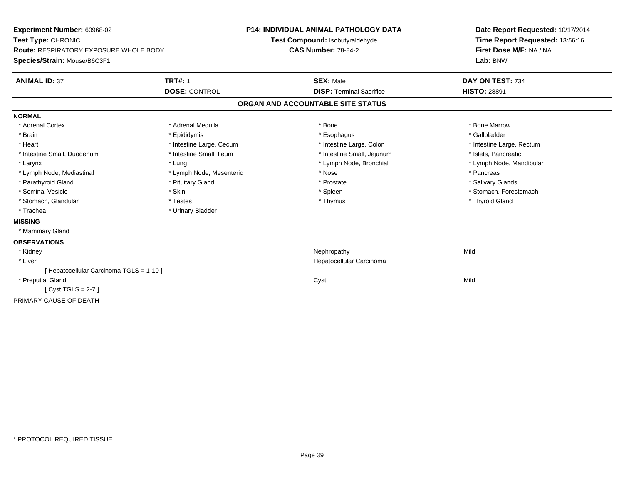| Experiment Number: 60968-02<br>Test Type: CHRONIC<br><b>Route: RESPIRATORY EXPOSURE WHOLE BODY</b><br>Species/Strain: Mouse/B6C3F1<br><b>ANIMAL ID: 37</b> | <b>TRT#: 1</b>           | <b>P14: INDIVIDUAL ANIMAL PATHOLOGY DATA</b><br>Test Compound: Isobutyraldehyde<br><b>CAS Number: 78-84-2</b><br><b>SEX: Male</b> | Date Report Requested: 10/17/2014<br>Time Report Requested: 13:56:16<br>First Dose M/F: NA / NA<br>Lab: BNW<br>DAY ON TEST: 734 |
|------------------------------------------------------------------------------------------------------------------------------------------------------------|--------------------------|-----------------------------------------------------------------------------------------------------------------------------------|---------------------------------------------------------------------------------------------------------------------------------|
|                                                                                                                                                            | <b>DOSE: CONTROL</b>     | <b>DISP: Terminal Sacrifice</b>                                                                                                   | <b>HISTO: 28891</b>                                                                                                             |
|                                                                                                                                                            |                          | ORGAN AND ACCOUNTABLE SITE STATUS                                                                                                 |                                                                                                                                 |
| <b>NORMAL</b>                                                                                                                                              |                          |                                                                                                                                   |                                                                                                                                 |
| * Adrenal Cortex                                                                                                                                           | * Adrenal Medulla        | * Bone                                                                                                                            | * Bone Marrow                                                                                                                   |
| * Brain                                                                                                                                                    | * Epididymis             | * Esophagus                                                                                                                       | * Gallbladder                                                                                                                   |
| * Heart                                                                                                                                                    | * Intestine Large, Cecum | * Intestine Large, Colon                                                                                                          | * Intestine Large, Rectum                                                                                                       |
| * Intestine Small, Duodenum                                                                                                                                | * Intestine Small, Ileum | * Intestine Small, Jejunum                                                                                                        | * Islets, Pancreatic                                                                                                            |
| * Larynx                                                                                                                                                   | * Lung                   | * Lymph Node, Bronchial                                                                                                           | * Lymph Node, Mandibular                                                                                                        |
| * Lymph Node, Mediastinal                                                                                                                                  | * Lymph Node, Mesenteric | * Nose                                                                                                                            | * Pancreas                                                                                                                      |
| * Parathyroid Gland                                                                                                                                        | * Pituitary Gland        | * Prostate                                                                                                                        | * Salivary Glands                                                                                                               |
| * Seminal Vesicle                                                                                                                                          | * Skin                   | * Spleen                                                                                                                          | * Stomach, Forestomach                                                                                                          |
| * Stomach, Glandular                                                                                                                                       | * Testes                 | * Thymus                                                                                                                          | * Thyroid Gland                                                                                                                 |
| * Trachea                                                                                                                                                  | * Urinary Bladder        |                                                                                                                                   |                                                                                                                                 |
| <b>MISSING</b>                                                                                                                                             |                          |                                                                                                                                   |                                                                                                                                 |
| * Mammary Gland                                                                                                                                            |                          |                                                                                                                                   |                                                                                                                                 |
| <b>OBSERVATIONS</b>                                                                                                                                        |                          |                                                                                                                                   |                                                                                                                                 |
| * Kidney                                                                                                                                                   |                          | Nephropathy                                                                                                                       | Mild                                                                                                                            |
| * Liver                                                                                                                                                    |                          | Hepatocellular Carcinoma                                                                                                          |                                                                                                                                 |
| [ Hepatocellular Carcinoma TGLS = 1-10 ]                                                                                                                   |                          |                                                                                                                                   |                                                                                                                                 |
| * Preputial Gland                                                                                                                                          |                          | Cyst                                                                                                                              | Mild                                                                                                                            |
| [Cyst TGLS = $2-7$ ]                                                                                                                                       |                          |                                                                                                                                   |                                                                                                                                 |
| PRIMARY CAUSE OF DEATH                                                                                                                                     |                          |                                                                                                                                   |                                                                                                                                 |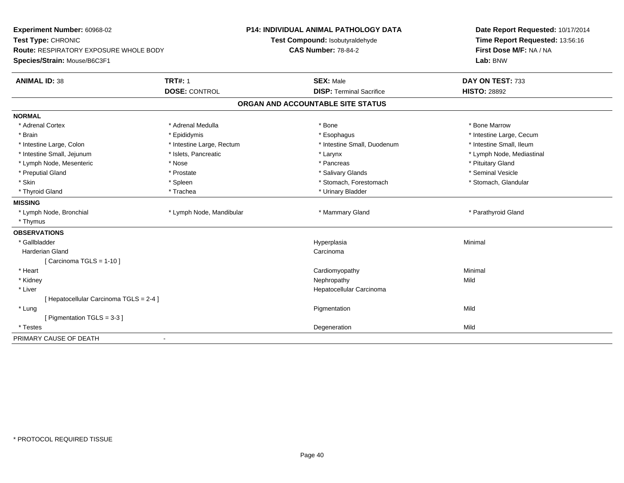| Experiment Number: 60968-02<br>Test Type: CHRONIC<br>Route: RESPIRATORY EXPOSURE WHOLE BODY |                           | P14: INDIVIDUAL ANIMAL PATHOLOGY DATA | Date Report Requested: 10/17/2014<br>Time Report Requested: 13:56:16 |
|---------------------------------------------------------------------------------------------|---------------------------|---------------------------------------|----------------------------------------------------------------------|
|                                                                                             |                           | Test Compound: Isobutyraldehyde       |                                                                      |
|                                                                                             |                           | <b>CAS Number: 78-84-2</b>            | First Dose M/F: NA / NA                                              |
| Species/Strain: Mouse/B6C3F1                                                                |                           |                                       | Lab: BNW                                                             |
| <b>ANIMAL ID: 38</b>                                                                        | <b>TRT#: 1</b>            | <b>SEX: Male</b>                      | DAY ON TEST: 733                                                     |
|                                                                                             | <b>DOSE: CONTROL</b>      | <b>DISP: Terminal Sacrifice</b>       | <b>HISTO: 28892</b>                                                  |
|                                                                                             |                           | ORGAN AND ACCOUNTABLE SITE STATUS     |                                                                      |
| <b>NORMAL</b>                                                                               |                           |                                       |                                                                      |
| * Adrenal Cortex                                                                            | * Adrenal Medulla         | * Bone                                | * Bone Marrow                                                        |
| * Brain                                                                                     | * Epididymis              | * Esophagus                           | * Intestine Large, Cecum                                             |
| * Intestine Large, Colon                                                                    | * Intestine Large, Rectum | * Intestine Small, Duodenum           | * Intestine Small, Ileum                                             |
| * Intestine Small, Jejunum                                                                  | * Islets, Pancreatic      | * Larynx                              | * Lymph Node, Mediastinal                                            |
| * Lymph Node, Mesenteric                                                                    | * Nose                    | * Pancreas                            | * Pituitary Gland                                                    |
| * Preputial Gland                                                                           | * Prostate                | * Salivary Glands                     | * Seminal Vesicle                                                    |
| * Skin                                                                                      | * Spleen                  | * Stomach, Forestomach                | * Stomach, Glandular                                                 |
| * Thyroid Gland                                                                             | * Trachea                 | * Urinary Bladder                     |                                                                      |
| <b>MISSING</b>                                                                              |                           |                                       |                                                                      |
| * Lymph Node, Bronchial                                                                     | * Lymph Node, Mandibular  | * Mammary Gland                       | * Parathyroid Gland                                                  |
| * Thymus                                                                                    |                           |                                       |                                                                      |
| <b>OBSERVATIONS</b>                                                                         |                           |                                       |                                                                      |
| * Gallbladder                                                                               |                           | Hyperplasia                           | Minimal                                                              |
| <b>Harderian Gland</b>                                                                      |                           | Carcinoma                             |                                                                      |
| [Carcinoma TGLS = $1-10$ ]                                                                  |                           |                                       |                                                                      |
| * Heart                                                                                     |                           | Cardiomyopathy                        | Minimal                                                              |
| * Kidney                                                                                    |                           | Nephropathy                           | Mild                                                                 |
| * Liver                                                                                     |                           | Hepatocellular Carcinoma              |                                                                      |
| [Hepatocellular Carcinoma TGLS = 2-4]                                                       |                           |                                       |                                                                      |
| * Lung                                                                                      |                           | Pigmentation                          | Mild                                                                 |
| [ Pigmentation TGLS = 3-3 ]                                                                 |                           |                                       |                                                                      |
| * Testes                                                                                    |                           | Degeneration                          | Mild                                                                 |
| PRIMARY CAUSE OF DEATH                                                                      |                           |                                       |                                                                      |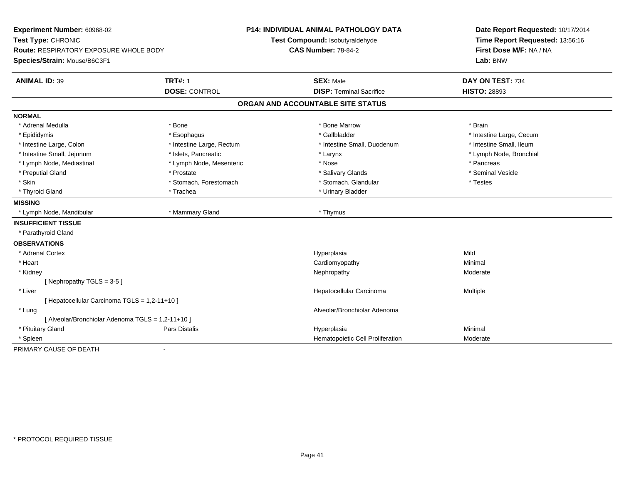| Experiment Number: 60968-02<br>Test Type: CHRONIC |                           | <b>P14: INDIVIDUAL ANIMAL PATHOLOGY DATA</b> | Date Report Requested: 10/17/2014<br>Time Report Requested: 13:56:16 |
|---------------------------------------------------|---------------------------|----------------------------------------------|----------------------------------------------------------------------|
|                                                   |                           | Test Compound: Isobutyraldehyde              |                                                                      |
| <b>Route: RESPIRATORY EXPOSURE WHOLE BODY</b>     |                           | <b>CAS Number: 78-84-2</b>                   | First Dose M/F: NA / NA                                              |
| Species/Strain: Mouse/B6C3F1                      |                           |                                              | Lab: BNW                                                             |
| <b>ANIMAL ID: 39</b>                              | <b>TRT#: 1</b>            | <b>SEX: Male</b>                             | DAY ON TEST: 734                                                     |
|                                                   | <b>DOSE: CONTROL</b>      | <b>DISP: Terminal Sacrifice</b>              | <b>HISTO: 28893</b>                                                  |
|                                                   |                           | ORGAN AND ACCOUNTABLE SITE STATUS            |                                                                      |
| <b>NORMAL</b>                                     |                           |                                              |                                                                      |
| * Adrenal Medulla                                 | * Bone                    | * Bone Marrow                                | * Brain                                                              |
| * Epididymis                                      | * Esophagus               | * Gallbladder                                | * Intestine Large, Cecum                                             |
| * Intestine Large, Colon                          | * Intestine Large, Rectum | * Intestine Small, Duodenum                  | * Intestine Small, Ileum                                             |
| * Intestine Small, Jejunum                        | * Islets, Pancreatic      | * Larynx                                     | * Lymph Node, Bronchial                                              |
| * Lymph Node, Mediastinal                         | * Lymph Node, Mesenteric  | * Nose                                       | * Pancreas                                                           |
| * Preputial Gland                                 | * Prostate                | * Salivary Glands                            | * Seminal Vesicle                                                    |
| * Skin                                            | * Stomach, Forestomach    | * Stomach, Glandular                         | * Testes                                                             |
| * Thyroid Gland                                   | * Trachea                 | * Urinary Bladder                            |                                                                      |
| <b>MISSING</b>                                    |                           |                                              |                                                                      |
| * Lymph Node, Mandibular                          | * Mammary Gland           | * Thymus                                     |                                                                      |
| <b>INSUFFICIENT TISSUE</b>                        |                           |                                              |                                                                      |
| * Parathyroid Gland                               |                           |                                              |                                                                      |
| <b>OBSERVATIONS</b>                               |                           |                                              |                                                                      |
| * Adrenal Cortex                                  |                           | Hyperplasia                                  | Mild                                                                 |
| * Heart                                           |                           | Cardiomyopathy                               | Minimal                                                              |
| * Kidney                                          |                           | Nephropathy                                  | Moderate                                                             |
| [Nephropathy TGLS = $3-5$ ]                       |                           |                                              |                                                                      |
| * Liver                                           |                           | Hepatocellular Carcinoma                     | Multiple                                                             |
| [ Hepatocellular Carcinoma TGLS = 1,2-11+10 ]     |                           |                                              |                                                                      |
| * Lung                                            |                           | Alveolar/Bronchiolar Adenoma                 |                                                                      |
| [ Alveolar/Bronchiolar Adenoma TGLS = 1,2-11+10 ] |                           |                                              |                                                                      |
| * Pituitary Gland                                 | Pars Distalis             | Hyperplasia                                  | Minimal                                                              |
| * Spleen                                          |                           | Hematopoietic Cell Proliferation             | Moderate                                                             |
| PRIMARY CAUSE OF DEATH                            | $\blacksquare$            |                                              |                                                                      |
|                                                   |                           |                                              |                                                                      |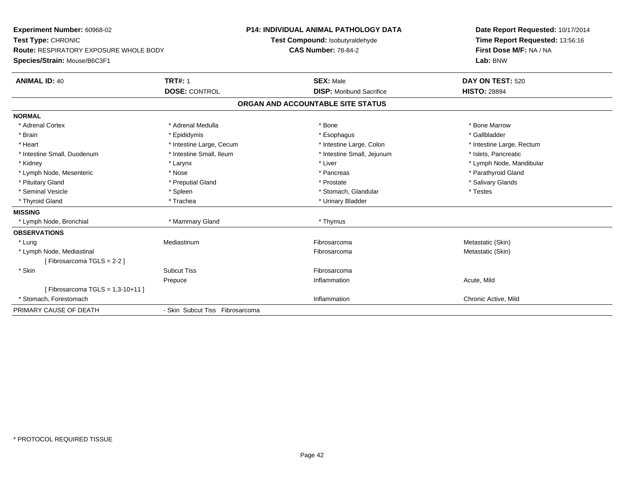| Experiment Number: 60968-02            |                                 | <b>P14: INDIVIDUAL ANIMAL PATHOLOGY DATA</b> | Date Report Requested: 10/17/2014 |
|----------------------------------------|---------------------------------|----------------------------------------------|-----------------------------------|
| Test Type: CHRONIC                     |                                 | Test Compound: Isobutyraldehyde              | Time Report Requested: 13:56:16   |
| Route: RESPIRATORY EXPOSURE WHOLE BODY |                                 | <b>CAS Number: 78-84-2</b>                   | First Dose M/F: NA / NA           |
| Species/Strain: Mouse/B6C3F1           |                                 |                                              | Lab: BNW                          |
| <b>ANIMAL ID: 40</b>                   | <b>TRT#: 1</b>                  | <b>SEX: Male</b>                             | DAY ON TEST: 520                  |
|                                        | <b>DOSE: CONTROL</b>            | <b>DISP:</b> Moribund Sacrifice              | <b>HISTO: 28894</b>               |
|                                        |                                 | ORGAN AND ACCOUNTABLE SITE STATUS            |                                   |
| <b>NORMAL</b>                          |                                 |                                              |                                   |
| * Adrenal Cortex                       | * Adrenal Medulla               | * Bone                                       | * Bone Marrow                     |
| * Brain                                | * Epididymis                    | * Esophagus                                  | * Gallbladder                     |
| * Heart                                | * Intestine Large, Cecum        | * Intestine Large, Colon                     | * Intestine Large, Rectum         |
| * Intestine Small, Duodenum            | * Intestine Small, Ileum        | * Intestine Small, Jejunum                   | * Islets, Pancreatic              |
| * Kidney                               | * Larynx                        | * Liver                                      | * Lymph Node, Mandibular          |
| * Lymph Node, Mesenteric               | * Nose                          | * Pancreas                                   | * Parathyroid Gland               |
| * Pituitary Gland                      | * Preputial Gland               | * Prostate                                   | * Salivary Glands                 |
| * Seminal Vesicle                      | * Spleen                        | * Stomach, Glandular                         | * Testes                          |
| * Thyroid Gland                        | * Trachea                       | * Urinary Bladder                            |                                   |
| <b>MISSING</b>                         |                                 |                                              |                                   |
| * Lymph Node, Bronchial                | * Mammary Gland                 | * Thymus                                     |                                   |
| <b>OBSERVATIONS</b>                    |                                 |                                              |                                   |
| * Lung                                 | Mediastinum                     | Fibrosarcoma                                 | Metastatic (Skin)                 |
| * Lymph Node, Mediastinal              |                                 | Fibrosarcoma                                 | Metastatic (Skin)                 |
| [Fibrosarcoma TGLS = 2-2]              |                                 |                                              |                                   |
| * Skin                                 | <b>Subcut Tiss</b>              | Fibrosarcoma                                 |                                   |
|                                        | Prepuce                         | Inflammation                                 | Acute, Mild                       |
| [Fibrosarcoma TGLS = $1,3-10+11$ ]     |                                 |                                              |                                   |
| * Stomach. Forestomach                 |                                 | Inflammation                                 | Chronic Active, Mild              |
| PRIMARY CAUSE OF DEATH                 | - Skin Subcut Tiss Fibrosarcoma |                                              |                                   |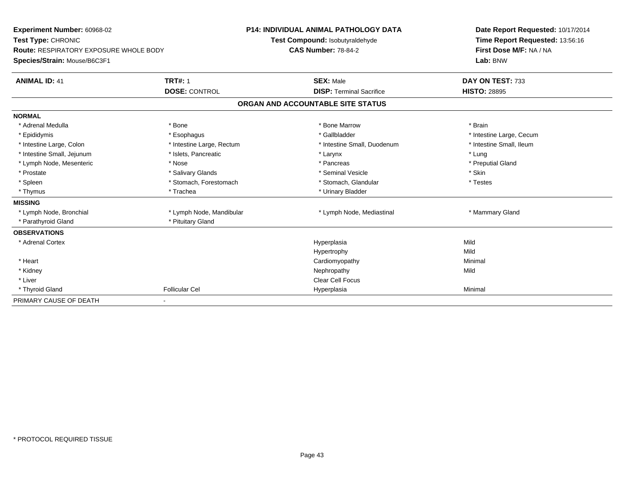| Experiment Number: 60968-02<br>Test Type: CHRONIC<br>Route: RESPIRATORY EXPOSURE WHOLE BODY<br>Species/Strain: Mouse/B6C3F1 |                           | <b>P14: INDIVIDUAL ANIMAL PATHOLOGY DATA</b><br>Test Compound: Isobutyraldehyde<br><b>CAS Number: 78-84-2</b> | Date Report Requested: 10/17/2014<br>Time Report Requested: 13:56:16<br>First Dose M/F: NA / NA<br>Lab: BNW |
|-----------------------------------------------------------------------------------------------------------------------------|---------------------------|---------------------------------------------------------------------------------------------------------------|-------------------------------------------------------------------------------------------------------------|
| <b>ANIMAL ID: 41</b>                                                                                                        | <b>TRT#: 1</b>            | <b>SEX: Male</b>                                                                                              | DAY ON TEST: 733                                                                                            |
|                                                                                                                             | <b>DOSE: CONTROL</b>      | <b>DISP: Terminal Sacrifice</b>                                                                               | <b>HISTO: 28895</b>                                                                                         |
|                                                                                                                             |                           | ORGAN AND ACCOUNTABLE SITE STATUS                                                                             |                                                                                                             |
| <b>NORMAL</b>                                                                                                               |                           |                                                                                                               |                                                                                                             |
| * Adrenal Medulla                                                                                                           | * Bone                    | * Bone Marrow                                                                                                 | * Brain                                                                                                     |
| * Epididymis                                                                                                                | * Esophagus               | * Gallbladder                                                                                                 | * Intestine Large, Cecum                                                                                    |
| * Intestine Large, Colon                                                                                                    | * Intestine Large, Rectum | * Intestine Small, Duodenum                                                                                   | * Intestine Small, Ileum                                                                                    |
| * Intestine Small, Jejunum                                                                                                  | * Islets, Pancreatic      | * Larynx                                                                                                      | * Lung                                                                                                      |
| * Lymph Node, Mesenteric                                                                                                    | * Nose                    | * Pancreas                                                                                                    | * Preputial Gland                                                                                           |
| * Prostate                                                                                                                  | * Salivary Glands         | * Seminal Vesicle                                                                                             | * Skin                                                                                                      |
| * Spleen                                                                                                                    | * Stomach, Forestomach    | * Stomach, Glandular                                                                                          | * Testes                                                                                                    |
| * Thymus                                                                                                                    | * Trachea                 | * Urinary Bladder                                                                                             |                                                                                                             |
| <b>MISSING</b>                                                                                                              |                           |                                                                                                               |                                                                                                             |
| * Lymph Node, Bronchial                                                                                                     | * Lymph Node, Mandibular  | * Lymph Node, Mediastinal                                                                                     | * Mammary Gland                                                                                             |
| * Parathyroid Gland                                                                                                         | * Pituitary Gland         |                                                                                                               |                                                                                                             |
| <b>OBSERVATIONS</b>                                                                                                         |                           |                                                                                                               |                                                                                                             |
| * Adrenal Cortex                                                                                                            |                           | Hyperplasia                                                                                                   | Mild                                                                                                        |
|                                                                                                                             |                           | Hypertrophy                                                                                                   | Mild                                                                                                        |
| * Heart                                                                                                                     |                           | Cardiomyopathy                                                                                                | Minimal                                                                                                     |
| * Kidney                                                                                                                    |                           | Nephropathy                                                                                                   | Mild                                                                                                        |
| * Liver                                                                                                                     |                           | Clear Cell Focus                                                                                              |                                                                                                             |
| * Thyroid Gland                                                                                                             | <b>Follicular Cel</b>     | Hyperplasia                                                                                                   | Minimal                                                                                                     |
| PRIMARY CAUSE OF DEATH                                                                                                      |                           |                                                                                                               |                                                                                                             |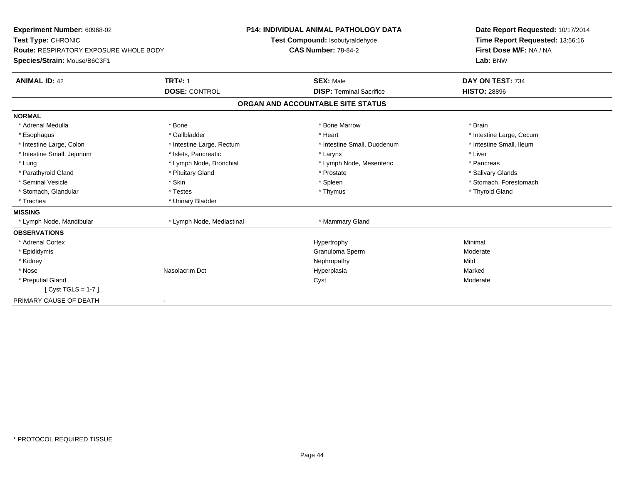| Experiment Number: 60968-02<br>Test Type: CHRONIC<br><b>Route: RESPIRATORY EXPOSURE WHOLE BODY</b> |                           | <b>P14: INDIVIDUAL ANIMAL PATHOLOGY DATA</b> | Date Report Requested: 10/17/2014 |  |
|----------------------------------------------------------------------------------------------------|---------------------------|----------------------------------------------|-----------------------------------|--|
|                                                                                                    |                           | Test Compound: Isobutyraldehyde              | Time Report Requested: 13:56:16   |  |
|                                                                                                    |                           | <b>CAS Number: 78-84-2</b>                   | First Dose M/F: NA / NA           |  |
| Species/Strain: Mouse/B6C3F1                                                                       |                           |                                              | Lab: BNW                          |  |
| <b>ANIMAL ID: 42</b>                                                                               | <b>TRT#: 1</b>            | <b>SEX: Male</b>                             | DAY ON TEST: 734                  |  |
|                                                                                                    | <b>DOSE: CONTROL</b>      | <b>DISP: Terminal Sacrifice</b>              | <b>HISTO: 28896</b>               |  |
|                                                                                                    |                           | ORGAN AND ACCOUNTABLE SITE STATUS            |                                   |  |
| <b>NORMAL</b>                                                                                      |                           |                                              |                                   |  |
| * Adrenal Medulla                                                                                  | * Bone                    | * Bone Marrow                                | * Brain                           |  |
| * Esophagus                                                                                        | * Gallbladder             | * Heart                                      | * Intestine Large, Cecum          |  |
| * Intestine Large, Colon                                                                           | * Intestine Large, Rectum | * Intestine Small, Duodenum                  | * Intestine Small, Ileum          |  |
| * Intestine Small, Jejunum                                                                         | * Islets, Pancreatic      | * Larynx                                     | * Liver                           |  |
| * Lung                                                                                             | * Lymph Node, Bronchial   | * Lymph Node, Mesenteric                     | * Pancreas                        |  |
| * Parathyroid Gland                                                                                | * Pituitary Gland         | * Prostate                                   | * Salivary Glands                 |  |
| * Seminal Vesicle                                                                                  | * Skin                    | * Spleen                                     | * Stomach, Forestomach            |  |
| * Stomach, Glandular                                                                               | * Testes                  | * Thymus                                     | * Thyroid Gland                   |  |
| * Trachea                                                                                          | * Urinary Bladder         |                                              |                                   |  |
| <b>MISSING</b>                                                                                     |                           |                                              |                                   |  |
| * Lymph Node, Mandibular                                                                           | * Lymph Node, Mediastinal | * Mammary Gland                              |                                   |  |
| <b>OBSERVATIONS</b>                                                                                |                           |                                              |                                   |  |
| * Adrenal Cortex                                                                                   |                           | Hypertrophy                                  | Minimal                           |  |
| * Epididymis                                                                                       |                           | Granuloma Sperm                              | Moderate                          |  |
| * Kidney                                                                                           |                           | Nephropathy                                  | Mild                              |  |
| * Nose                                                                                             | Nasolacrim Dct            | Hyperplasia                                  | Marked                            |  |
| * Preputial Gland                                                                                  |                           | Cyst                                         | Moderate                          |  |
| [Cyst TGLS = $1-7$ ]                                                                               |                           |                                              |                                   |  |
| PRIMARY CAUSE OF DEATH                                                                             |                           |                                              |                                   |  |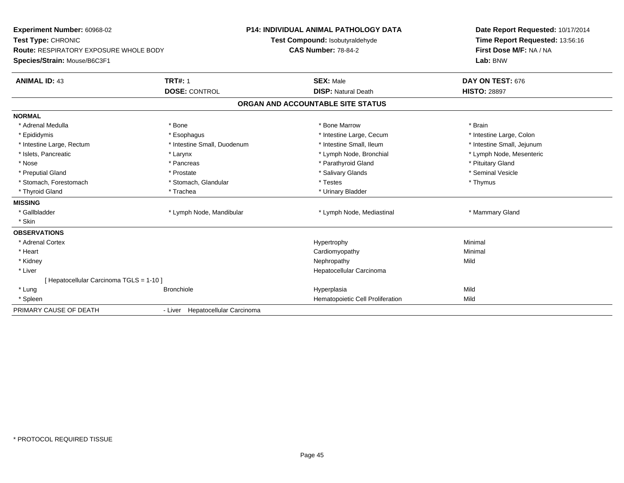| Experiment Number: 60968-02<br>Test Type: CHRONIC<br><b>Route: RESPIRATORY EXPOSURE WHOLE BODY</b><br>Species/Strain: Mouse/B6C3F1 |                                        | <b>P14: INDIVIDUAL ANIMAL PATHOLOGY DATA</b><br>Test Compound: Isobutyraldehyde<br><b>CAS Number: 78-84-2</b> | Date Report Requested: 10/17/2014<br>Time Report Requested: 13:56:16<br>First Dose M/F: NA / NA<br>Lab: BNW |
|------------------------------------------------------------------------------------------------------------------------------------|----------------------------------------|---------------------------------------------------------------------------------------------------------------|-------------------------------------------------------------------------------------------------------------|
| <b>ANIMAL ID: 43</b>                                                                                                               | <b>TRT#: 1</b><br><b>DOSE: CONTROL</b> | <b>SEX: Male</b><br><b>DISP: Natural Death</b>                                                                | DAY ON TEST: 676<br><b>HISTO: 28897</b>                                                                     |
|                                                                                                                                    |                                        |                                                                                                               |                                                                                                             |
|                                                                                                                                    |                                        | ORGAN AND ACCOUNTABLE SITE STATUS                                                                             |                                                                                                             |
| <b>NORMAL</b>                                                                                                                      |                                        |                                                                                                               |                                                                                                             |
| * Adrenal Medulla                                                                                                                  | * Bone                                 | * Bone Marrow                                                                                                 | * Brain                                                                                                     |
| * Epididymis                                                                                                                       | * Esophagus                            | * Intestine Large, Cecum                                                                                      | * Intestine Large, Colon                                                                                    |
| * Intestine Large, Rectum                                                                                                          | * Intestine Small, Duodenum            | * Intestine Small, Ileum                                                                                      | * Intestine Small, Jejunum                                                                                  |
| * Islets, Pancreatic                                                                                                               | * Larynx                               | * Lymph Node, Bronchial                                                                                       | * Lymph Node, Mesenteric                                                                                    |
| * Nose                                                                                                                             | * Pancreas                             | * Parathyroid Gland                                                                                           | * Pituitary Gland                                                                                           |
| * Preputial Gland                                                                                                                  | * Prostate                             | * Salivary Glands                                                                                             | * Seminal Vesicle                                                                                           |
| * Stomach, Forestomach                                                                                                             | * Stomach, Glandular                   | * Testes                                                                                                      | * Thymus                                                                                                    |
| * Thyroid Gland                                                                                                                    | * Trachea                              | * Urinary Bladder                                                                                             |                                                                                                             |
| <b>MISSING</b>                                                                                                                     |                                        |                                                                                                               |                                                                                                             |
| * Gallbladder                                                                                                                      | * Lymph Node, Mandibular               | * Lymph Node, Mediastinal                                                                                     | * Mammary Gland                                                                                             |
| * Skin                                                                                                                             |                                        |                                                                                                               |                                                                                                             |
| <b>OBSERVATIONS</b>                                                                                                                |                                        |                                                                                                               |                                                                                                             |
| * Adrenal Cortex                                                                                                                   |                                        | Hypertrophy                                                                                                   | Minimal                                                                                                     |
| * Heart                                                                                                                            |                                        | Cardiomyopathy                                                                                                | Minimal                                                                                                     |
| * Kidney                                                                                                                           |                                        | Nephropathy                                                                                                   | Mild                                                                                                        |
| * Liver                                                                                                                            |                                        | Hepatocellular Carcinoma                                                                                      |                                                                                                             |
| [ Hepatocellular Carcinoma TGLS = 1-10 ]                                                                                           |                                        |                                                                                                               |                                                                                                             |
| * Lung                                                                                                                             | <b>Bronchiole</b>                      | Hyperplasia                                                                                                   | Mild                                                                                                        |
| * Spleen                                                                                                                           |                                        | Hematopoietic Cell Proliferation                                                                              | Mild                                                                                                        |
| PRIMARY CAUSE OF DEATH                                                                                                             | - Liver Hepatocellular Carcinoma       |                                                                                                               |                                                                                                             |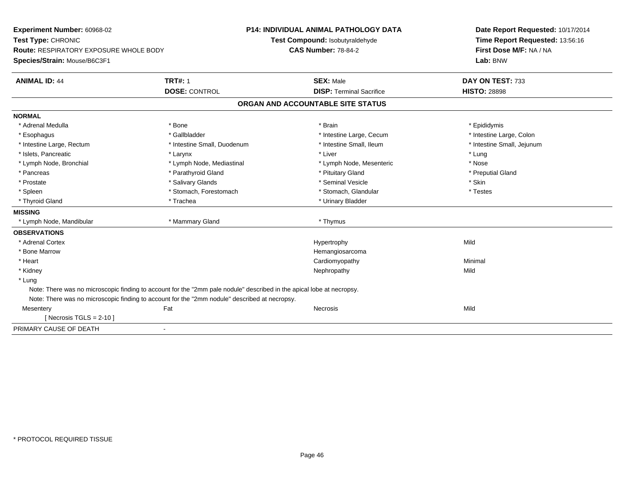**Experiment Number:** 60968-02**Test Type:** CHRONIC **Route:** RESPIRATORY EXPOSURE WHOLE BODY**Species/Strain:** Mouse/B6C3F1**P14: INDIVIDUAL ANIMAL PATHOLOGY DATATest Compound:** Isobutyraldehyde**CAS Number:** 78-84-2**Date Report Requested:** 10/17/2014**Time Report Requested:** 13:56:16**First Dose M/F:** NA / NA**Lab:** BNW**ANIMAL ID:** 44 **TRT#:** <sup>1</sup> **SEX:** Male **DAY ON TEST:** <sup>733</sup> **DOSE:** CONTROL**DISP:** Terminal Sacrifice **HISTO:** 28898 **ORGAN AND ACCOUNTABLE SITE STATUSNORMAL**\* Adrenal Medulla \* Adrenal Medulla \* \* \* Adrenal Medulla \* \* Epididymis \* Bone \* \* Brain \* \* Brain \* \* Brain \* \* Epididymis \* Epididymis \* Epididymis \* \* Epididymis \* \* Epididymis \* \* Epididymis \* \* Epididymis \* \* Epididymis \* \* Epididymis \* Intestine Large, Colon \* Esophagus \* Intestine Large, Cecum \* Callbladder \* 10 \* Intestine Large, Cecum \* Intestine Large, Cecum \* \* Intestine Large, Rectum \* Thestine Small, Duodenum \* Number of the small, Ileum \* Intestine Small, Jejunum \* Intestine Small, Jejunum \* Islets, Pancreatic \* \* \* Larynx \* Larynx \* Larynx \* Liver \* Liver \* Liver \* Larynx \* Lung \* Nose \* Lymph Node, Bronchial \* Lymph Node, Mediastinal \* Lymph Node, Mesenteric \* Nosember \* Nosember \* Nosember \* Nosember \* Nosember \* Nosember \* Nosember \* Nosember \* Nosember \* Nosember \* Nosember \* Nosember \* Nosember \* No \* Preputial Gland \* Pancreas \* \* Parathyroid Gland \* \* Parathyroid Gland \* \* Pituitary Gland \* \* Preputial Gland \* \* Preputial Gland \* Prostate \* \* Salivary Glands \* \* Salivary Glands \* \* Seminal Vesicle \* \* \* Seminal Yestrich \* \* Skin \* \* Skin \* Testes \* Spleen \* Stomach, Forestomach \* Stomach, Spleen \* Stomach, Glandular \* Testestess \* Stomach, Glandular \* Thyroid Gland \* Trachea \* Trachea \* Trachea \* Thyroid Gland **MISSING** \* Lymph Node, Mandibular \* Mammary Gland \* Thymus**OBSERVATIONS** \* Adrenal Cortexx and the control of the control of the control of the Hypertrophy control of the control of the control of the control of the control of the control of the control of the control of the control of the control of the contr \* Bone Marrow Hemangiosarcoma \* Heart Cardiomyopathy Minimal \* Kidneyy the controller of the controller of the controller of the controller of the controller of the controller of the controller of the controller of the controller of the controller of the controller of the controller of the \* Lung Note: There was no microscopic finding to account for the "2mm pale nodule" described in the apical lobe at necropsy.Note: There was no microscopic finding to account for the "2mm nodule" described at necropsy.**Mesentery** y the contract of the contract of the contract of the contract of the contract of the contract of the contract of the contract of the contract of the contract of the contract of the contract of the contract of the contract  $[$  Necrosis TGLS = 2-10  $]$ PRIMARY CAUSE OF DEATH-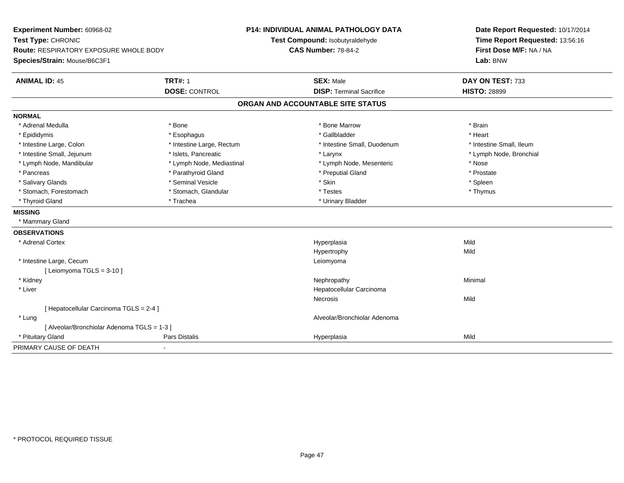| Experiment Number: 60968-02<br>Test Type: CHRONIC<br><b>Route: RESPIRATORY EXPOSURE WHOLE BODY</b> |                           | P14: INDIVIDUAL ANIMAL PATHOLOGY DATA<br>Test Compound: Isobutyraldehyde<br><b>CAS Number: 78-84-2</b> | Date Report Requested: 10/17/2014<br>Time Report Requested: 13:56:16<br>First Dose M/F: NA / NA |
|----------------------------------------------------------------------------------------------------|---------------------------|--------------------------------------------------------------------------------------------------------|-------------------------------------------------------------------------------------------------|
| Species/Strain: Mouse/B6C3F1                                                                       |                           |                                                                                                        | Lab: BNW                                                                                        |
| <b>ANIMAL ID: 45</b>                                                                               | <b>TRT#: 1</b>            | <b>SEX: Male</b>                                                                                       | DAY ON TEST: 733                                                                                |
|                                                                                                    | <b>DOSE: CONTROL</b>      | <b>DISP: Terminal Sacrifice</b>                                                                        | <b>HISTO: 28899</b>                                                                             |
|                                                                                                    |                           | ORGAN AND ACCOUNTABLE SITE STATUS                                                                      |                                                                                                 |
| <b>NORMAL</b>                                                                                      |                           |                                                                                                        |                                                                                                 |
| * Adrenal Medulla                                                                                  | * Bone                    | * Bone Marrow                                                                                          | * Brain                                                                                         |
| * Epididymis                                                                                       | * Esophagus               | * Gallbladder                                                                                          | * Heart                                                                                         |
| * Intestine Large, Colon                                                                           | * Intestine Large, Rectum | * Intestine Small, Duodenum                                                                            | * Intestine Small, Ileum                                                                        |
| * Intestine Small, Jejunum                                                                         | * Islets, Pancreatic      | * Larynx                                                                                               | * Lymph Node, Bronchial                                                                         |
| * Lymph Node, Mandibular                                                                           | * Lymph Node, Mediastinal | * Lymph Node, Mesenteric                                                                               | * Nose                                                                                          |
| * Pancreas                                                                                         | * Parathyroid Gland       | * Preputial Gland                                                                                      | * Prostate                                                                                      |
| * Salivary Glands                                                                                  | * Seminal Vesicle         | * Skin                                                                                                 | * Spleen                                                                                        |
| * Stomach, Forestomach                                                                             | * Stomach, Glandular      | * Testes                                                                                               | * Thymus                                                                                        |
| * Thyroid Gland                                                                                    | * Trachea                 | * Urinary Bladder                                                                                      |                                                                                                 |
| <b>MISSING</b>                                                                                     |                           |                                                                                                        |                                                                                                 |
| * Mammary Gland                                                                                    |                           |                                                                                                        |                                                                                                 |
| <b>OBSERVATIONS</b>                                                                                |                           |                                                                                                        |                                                                                                 |
| * Adrenal Cortex                                                                                   |                           | Hyperplasia                                                                                            | Mild                                                                                            |
|                                                                                                    |                           | Hypertrophy                                                                                            | Mild                                                                                            |
| * Intestine Large, Cecum                                                                           |                           | Leiomyoma                                                                                              |                                                                                                 |
| [ Leiomyoma TGLS = 3-10 ]                                                                          |                           |                                                                                                        |                                                                                                 |
| * Kidney                                                                                           |                           | Nephropathy                                                                                            | Minimal                                                                                         |
| * Liver                                                                                            |                           | Hepatocellular Carcinoma                                                                               |                                                                                                 |
|                                                                                                    |                           | Necrosis                                                                                               | Mild                                                                                            |
| [ Hepatocellular Carcinoma TGLS = 2-4 ]                                                            |                           |                                                                                                        |                                                                                                 |
| * Lung                                                                                             |                           | Alveolar/Bronchiolar Adenoma                                                                           |                                                                                                 |
| [ Alveolar/Bronchiolar Adenoma TGLS = 1-3 ]                                                        |                           |                                                                                                        |                                                                                                 |
| * Pituitary Gland                                                                                  | Pars Distalis             | Hyperplasia                                                                                            | Mild                                                                                            |
| PRIMARY CAUSE OF DEATH                                                                             | $\overline{\phantom{0}}$  |                                                                                                        |                                                                                                 |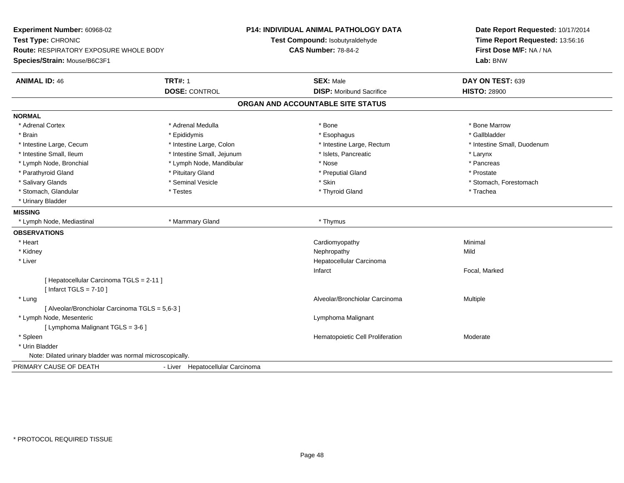| Experiment Number: 60968-02<br>Test Type: CHRONIC<br><b>Route: RESPIRATORY EXPOSURE WHOLE BODY</b> |                                  | <b>P14: INDIVIDUAL ANIMAL PATHOLOGY DATA</b><br>Test Compound: Isobutyraldehyde<br><b>CAS Number: 78-84-2</b> | Date Report Requested: 10/17/2014<br>Time Report Requested: 13:56:16<br>First Dose M/F: NA / NA |
|----------------------------------------------------------------------------------------------------|----------------------------------|---------------------------------------------------------------------------------------------------------------|-------------------------------------------------------------------------------------------------|
| Species/Strain: Mouse/B6C3F1                                                                       |                                  |                                                                                                               | Lab: BNW                                                                                        |
| <b>ANIMAL ID: 46</b>                                                                               | <b>TRT#: 1</b>                   | <b>SEX: Male</b>                                                                                              | DAY ON TEST: 639                                                                                |
|                                                                                                    | <b>DOSE: CONTROL</b>             | <b>DISP:</b> Moribund Sacrifice                                                                               | <b>HISTO: 28900</b>                                                                             |
|                                                                                                    |                                  | ORGAN AND ACCOUNTABLE SITE STATUS                                                                             |                                                                                                 |
| <b>NORMAL</b>                                                                                      |                                  |                                                                                                               |                                                                                                 |
| * Adrenal Cortex                                                                                   | * Adrenal Medulla                | * Bone                                                                                                        | * Bone Marrow                                                                                   |
| * Brain                                                                                            | * Epididymis                     | * Esophagus                                                                                                   | * Gallbladder                                                                                   |
| * Intestine Large, Cecum                                                                           | * Intestine Large, Colon         | * Intestine Large, Rectum                                                                                     | * Intestine Small, Duodenum                                                                     |
| * Intestine Small, Ileum                                                                           | * Intestine Small, Jejunum       | * Islets, Pancreatic                                                                                          | * Larynx                                                                                        |
| * Lymph Node, Bronchial                                                                            | * Lymph Node, Mandibular         | * Nose                                                                                                        | * Pancreas                                                                                      |
| * Parathyroid Gland                                                                                | * Pituitary Gland                | * Preputial Gland                                                                                             | * Prostate                                                                                      |
| * Salivary Glands                                                                                  | * Seminal Vesicle                | * Skin                                                                                                        | * Stomach, Forestomach                                                                          |
| * Stomach, Glandular                                                                               | * Testes                         | * Thyroid Gland                                                                                               | * Trachea                                                                                       |
| * Urinary Bladder                                                                                  |                                  |                                                                                                               |                                                                                                 |
| <b>MISSING</b>                                                                                     |                                  |                                                                                                               |                                                                                                 |
| * Lymph Node, Mediastinal                                                                          | * Mammary Gland                  | * Thymus                                                                                                      |                                                                                                 |
| <b>OBSERVATIONS</b>                                                                                |                                  |                                                                                                               |                                                                                                 |
| * Heart                                                                                            |                                  | Cardiomyopathy                                                                                                | Minimal                                                                                         |
| * Kidney                                                                                           |                                  | Nephropathy                                                                                                   | Mild                                                                                            |
| * Liver                                                                                            |                                  | Hepatocellular Carcinoma                                                                                      |                                                                                                 |
|                                                                                                    |                                  | Infarct                                                                                                       | Focal, Marked                                                                                   |
| [ Hepatocellular Carcinoma TGLS = 2-11 ]                                                           |                                  |                                                                                                               |                                                                                                 |
| [ Infarct TGLS = $7-10$ ]                                                                          |                                  |                                                                                                               |                                                                                                 |
| * Lung                                                                                             |                                  | Alveolar/Bronchiolar Carcinoma                                                                                | Multiple                                                                                        |
| [ Alveolar/Bronchiolar Carcinoma TGLS = 5,6-3 ]                                                    |                                  |                                                                                                               |                                                                                                 |
| * Lymph Node, Mesenteric                                                                           |                                  | Lymphoma Malignant                                                                                            |                                                                                                 |
| [ Lymphoma Malignant TGLS = 3-6 ]                                                                  |                                  |                                                                                                               |                                                                                                 |
| * Spleen                                                                                           |                                  | Hematopoietic Cell Proliferation                                                                              | Moderate                                                                                        |
| * Urin Bladder                                                                                     |                                  |                                                                                                               |                                                                                                 |
| Note: Dilated urinary bladder was normal microscopically.                                          |                                  |                                                                                                               |                                                                                                 |
| PRIMARY CAUSE OF DEATH                                                                             | - Liver Hepatocellular Carcinoma |                                                                                                               |                                                                                                 |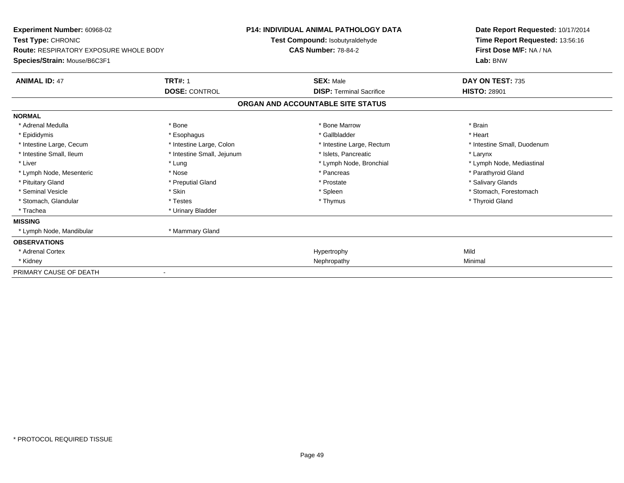| <b>Experiment Number: 60968-02</b>                                                                  |                            | <b>P14: INDIVIDUAL ANIMAL PATHOLOGY DATA</b>                  | Date Report Requested: 10/17/2014                                      |  |
|-----------------------------------------------------------------------------------------------------|----------------------------|---------------------------------------------------------------|------------------------------------------------------------------------|--|
| Test Type: CHRONIC<br><b>Route: RESPIRATORY EXPOSURE WHOLE BODY</b><br>Species/Strain: Mouse/B6C3F1 |                            | Test Compound: Isobutyraldehyde<br><b>CAS Number: 78-84-2</b> | Time Report Requested: 13:56:16<br>First Dose M/F: NA / NA<br>Lab: BNW |  |
| <b>ANIMAL ID: 47</b>                                                                                | <b>TRT#: 1</b>             | <b>SEX: Male</b>                                              | DAY ON TEST: 735                                                       |  |
|                                                                                                     | <b>DOSE: CONTROL</b>       | <b>DISP: Terminal Sacrifice</b>                               | <b>HISTO: 28901</b>                                                    |  |
|                                                                                                     |                            | ORGAN AND ACCOUNTABLE SITE STATUS                             |                                                                        |  |
| <b>NORMAL</b>                                                                                       |                            |                                                               |                                                                        |  |
| * Adrenal Medulla                                                                                   | * Bone                     | * Bone Marrow                                                 | * Brain                                                                |  |
| * Epididymis                                                                                        | * Esophagus                | * Gallbladder                                                 | * Heart                                                                |  |
| * Intestine Large, Cecum                                                                            | * Intestine Large, Colon   | * Intestine Large, Rectum                                     | * Intestine Small, Duodenum                                            |  |
| * Intestine Small, Ileum                                                                            | * Intestine Small, Jejunum | * Islets, Pancreatic                                          | * Larynx                                                               |  |
| * Liver                                                                                             | * Lung                     | * Lymph Node, Bronchial                                       | * Lymph Node, Mediastinal                                              |  |
| * Lymph Node, Mesenteric                                                                            | * Nose                     | * Pancreas                                                    | * Parathyroid Gland                                                    |  |
| * Pituitary Gland                                                                                   | * Preputial Gland          | * Prostate                                                    | * Salivary Glands                                                      |  |
| * Seminal Vesicle                                                                                   | * Skin                     | * Spleen                                                      | * Stomach, Forestomach                                                 |  |
| * Stomach, Glandular                                                                                | * Testes                   | * Thymus                                                      | * Thyroid Gland                                                        |  |
| * Trachea                                                                                           | * Urinary Bladder          |                                                               |                                                                        |  |
| <b>MISSING</b>                                                                                      |                            |                                                               |                                                                        |  |
| * Lymph Node, Mandibular                                                                            | * Mammary Gland            |                                                               |                                                                        |  |
| <b>OBSERVATIONS</b>                                                                                 |                            |                                                               |                                                                        |  |
| * Adrenal Cortex                                                                                    |                            | Hypertrophy                                                   | Mild                                                                   |  |
| * Kidney                                                                                            |                            | Nephropathy                                                   | Minimal                                                                |  |
| PRIMARY CAUSE OF DEATH                                                                              |                            |                                                               |                                                                        |  |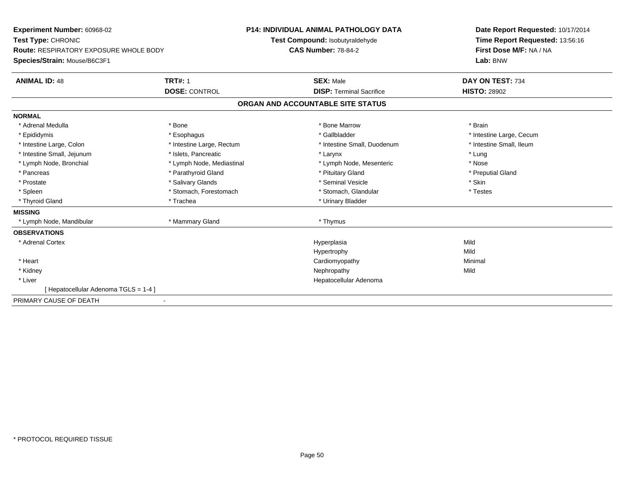| Experiment Number: 60968-02            |                           | P14: INDIVIDUAL ANIMAL PATHOLOGY DATA | Date Report Requested: 10/17/2014 |
|----------------------------------------|---------------------------|---------------------------------------|-----------------------------------|
| Test Type: CHRONIC                     |                           | Test Compound: Isobutyraldehyde       | Time Report Requested: 13:56:16   |
| Route: RESPIRATORY EXPOSURE WHOLE BODY |                           | <b>CAS Number: 78-84-2</b>            | First Dose M/F: NA / NA           |
| Species/Strain: Mouse/B6C3F1           |                           |                                       | Lab: BNW                          |
| <b>ANIMAL ID: 48</b>                   | <b>TRT#: 1</b>            | <b>SEX: Male</b>                      | DAY ON TEST: 734                  |
|                                        | <b>DOSE: CONTROL</b>      | <b>DISP: Terminal Sacrifice</b>       | <b>HISTO: 28902</b>               |
|                                        |                           | ORGAN AND ACCOUNTABLE SITE STATUS     |                                   |
| <b>NORMAL</b>                          |                           |                                       |                                   |
| * Adrenal Medulla                      | * Bone                    | * Bone Marrow                         | * Brain                           |
| * Epididymis                           | * Esophagus               | * Gallbladder                         | * Intestine Large, Cecum          |
| * Intestine Large, Colon               | * Intestine Large, Rectum | * Intestine Small, Duodenum           | * Intestine Small. Ileum          |
| * Intestine Small, Jejunum             | * Islets. Pancreatic      | * Larynx                              | * Lung                            |
| * Lymph Node, Bronchial                | * Lymph Node, Mediastinal | * Lymph Node, Mesenteric              | * Nose                            |
| * Pancreas                             | * Parathyroid Gland       | * Pituitary Gland                     | * Preputial Gland                 |
| * Prostate                             | * Salivary Glands         | * Seminal Vesicle                     | * Skin                            |
| * Spleen                               | * Stomach, Forestomach    | * Stomach, Glandular                  | * Testes                          |
| * Thyroid Gland                        | * Trachea                 | * Urinary Bladder                     |                                   |
| <b>MISSING</b>                         |                           |                                       |                                   |
| * Lymph Node, Mandibular               | * Mammary Gland           | * Thymus                              |                                   |
| <b>OBSERVATIONS</b>                    |                           |                                       |                                   |
| * Adrenal Cortex                       |                           | Hyperplasia                           | Mild                              |
|                                        |                           | Hypertrophy                           | Mild                              |
| * Heart                                |                           | Cardiomyopathy                        | Minimal                           |
| * Kidney                               |                           | Nephropathy                           | Mild                              |
| * Liver                                |                           | Hepatocellular Adenoma                |                                   |
| Hepatocellular Adenoma TGLS = 1-4 ]    |                           |                                       |                                   |
| PRIMARY CAUSE OF DEATH                 |                           |                                       |                                   |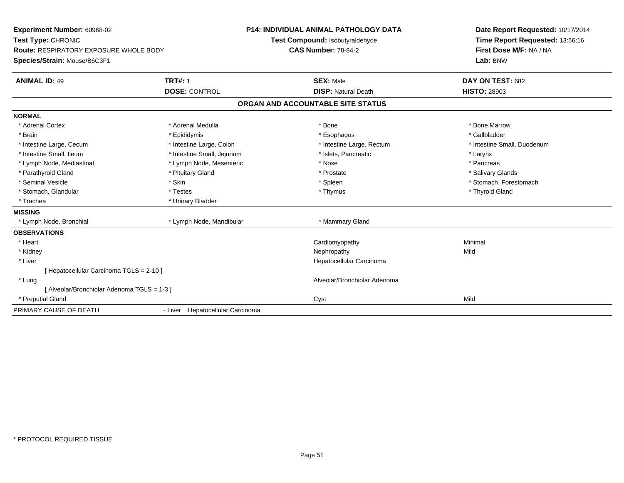| <b>Experiment Number: 60968-02</b>            |                                  | <b>P14: INDIVIDUAL ANIMAL PATHOLOGY DATA</b> | Date Report Requested: 10/17/2014 |
|-----------------------------------------------|----------------------------------|----------------------------------------------|-----------------------------------|
| Test Type: CHRONIC                            |                                  | Test Compound: Isobutyraldehyde              | Time Report Requested: 13:56:16   |
| <b>Route: RESPIRATORY EXPOSURE WHOLE BODY</b> |                                  | <b>CAS Number: 78-84-2</b>                   | First Dose M/F: NA / NA           |
| Species/Strain: Mouse/B6C3F1                  |                                  |                                              | Lab: BNW                          |
| <b>ANIMAL ID: 49</b>                          | <b>TRT#: 1</b>                   | <b>SEX: Male</b>                             | DAY ON TEST: 682                  |
|                                               | <b>DOSE: CONTROL</b>             | <b>DISP: Natural Death</b>                   | <b>HISTO: 28903</b>               |
|                                               |                                  | ORGAN AND ACCOUNTABLE SITE STATUS            |                                   |
| <b>NORMAL</b>                                 |                                  |                                              |                                   |
| * Adrenal Cortex                              | * Adrenal Medulla                | * Bone                                       | * Bone Marrow                     |
| * Brain                                       | * Epididymis                     | * Esophagus                                  | * Gallbladder                     |
| * Intestine Large, Cecum                      | * Intestine Large, Colon         | * Intestine Large, Rectum                    | * Intestine Small, Duodenum       |
| * Intestine Small. Ileum                      | * Intestine Small, Jejunum       | * Islets, Pancreatic                         | * Larynx                          |
| * Lymph Node, Mediastinal                     | * Lymph Node, Mesenteric         | * Nose                                       | * Pancreas                        |
| * Parathyroid Gland                           | * Pituitary Gland                | * Prostate                                   | * Salivary Glands                 |
| * Seminal Vesicle                             | * Skin                           | * Spleen                                     | * Stomach, Forestomach            |
| * Stomach, Glandular                          | * Testes                         | * Thymus                                     | * Thyroid Gland                   |
| * Trachea                                     | * Urinary Bladder                |                                              |                                   |
| <b>MISSING</b>                                |                                  |                                              |                                   |
| * Lymph Node, Bronchial                       | * Lymph Node, Mandibular         | * Mammary Gland                              |                                   |
| <b>OBSERVATIONS</b>                           |                                  |                                              |                                   |
| * Heart                                       |                                  | Cardiomyopathy                               | Minimal                           |
| * Kidney                                      |                                  | Nephropathy                                  | Mild                              |
| * Liver                                       |                                  | Hepatocellular Carcinoma                     |                                   |
| [Hepatocellular Carcinoma TGLS = 2-10]        |                                  |                                              |                                   |
| * Lung                                        |                                  | Alveolar/Bronchiolar Adenoma                 |                                   |
| [ Alveolar/Bronchiolar Adenoma TGLS = 1-3 ]   |                                  |                                              |                                   |
| * Preputial Gland                             |                                  | Cyst                                         | Mild                              |
| PRIMARY CAUSE OF DEATH                        | - Liver Hepatocellular Carcinoma |                                              |                                   |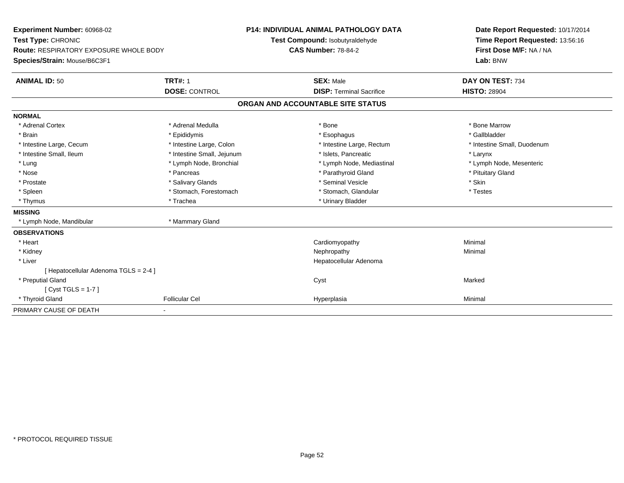| Experiment Number: 60968-02<br>Test Type: CHRONIC |                            | <b>P14: INDIVIDUAL ANIMAL PATHOLOGY DATA</b> |  | Date Report Requested: 10/17/2014 |
|---------------------------------------------------|----------------------------|----------------------------------------------|--|-----------------------------------|
|                                                   |                            | Test Compound: Isobutyraldehyde              |  | Time Report Requested: 13:56:16   |
| <b>Route: RESPIRATORY EXPOSURE WHOLE BODY</b>     |                            | <b>CAS Number: 78-84-2</b>                   |  | First Dose M/F: NA / NA           |
| Species/Strain: Mouse/B6C3F1                      |                            |                                              |  | Lab: BNW                          |
| <b>ANIMAL ID: 50</b>                              | <b>TRT#: 1</b>             | <b>SEX: Male</b>                             |  | DAY ON TEST: 734                  |
|                                                   | <b>DOSE: CONTROL</b>       | <b>DISP: Terminal Sacrifice</b>              |  | <b>HISTO: 28904</b>               |
|                                                   |                            | ORGAN AND ACCOUNTABLE SITE STATUS            |  |                                   |
| <b>NORMAL</b>                                     |                            |                                              |  |                                   |
| * Adrenal Cortex                                  | * Adrenal Medulla          | * Bone                                       |  | * Bone Marrow                     |
| * Brain                                           | * Epididymis               | * Esophagus                                  |  | * Gallbladder                     |
| * Intestine Large, Cecum                          | * Intestine Large, Colon   | * Intestine Large, Rectum                    |  | * Intestine Small, Duodenum       |
| * Intestine Small, Ileum                          | * Intestine Small, Jejunum | * Islets, Pancreatic                         |  | * Larynx                          |
| * Lung                                            | * Lymph Node, Bronchial    | * Lymph Node, Mediastinal                    |  | * Lymph Node, Mesenteric          |
| * Nose                                            | * Pancreas                 | * Parathyroid Gland                          |  | * Pituitary Gland                 |
| * Prostate                                        | * Salivary Glands          | * Seminal Vesicle                            |  | * Skin                            |
| * Spleen                                          | * Stomach, Forestomach     | * Stomach, Glandular                         |  | * Testes                          |
| * Thymus                                          | * Trachea                  | * Urinary Bladder                            |  |                                   |
| <b>MISSING</b>                                    |                            |                                              |  |                                   |
| * Lymph Node, Mandibular                          | * Mammary Gland            |                                              |  |                                   |
| <b>OBSERVATIONS</b>                               |                            |                                              |  |                                   |
| * Heart                                           |                            | Cardiomyopathy                               |  | Minimal                           |
| * Kidney                                          |                            | Nephropathy                                  |  | Minimal                           |
| * Liver                                           |                            | Hepatocellular Adenoma                       |  |                                   |
| [ Hepatocellular Adenoma TGLS = 2-4 ]             |                            |                                              |  |                                   |
| * Preputial Gland                                 |                            | Cyst                                         |  | Marked                            |
| [Cyst TGLS = $1-7$ ]                              |                            |                                              |  |                                   |
| * Thyroid Gland                                   | <b>Follicular Cel</b>      | Hyperplasia                                  |  | Minimal                           |
| PRIMARY CAUSE OF DEATH                            | ٠                          |                                              |  |                                   |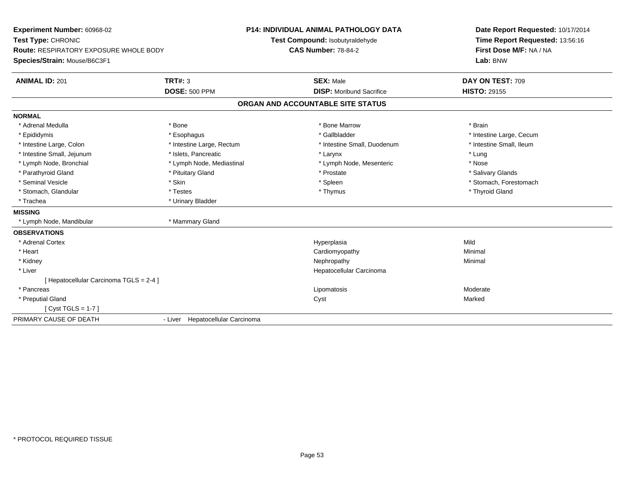| <b>Experiment Number: 60968-02</b>            |                                  | <b>P14: INDIVIDUAL ANIMAL PATHOLOGY DATA</b> | Date Report Requested: 10/17/2014 |
|-----------------------------------------------|----------------------------------|----------------------------------------------|-----------------------------------|
| Test Type: CHRONIC                            |                                  | Test Compound: Isobutyraldehyde              | Time Report Requested: 13:56:16   |
| <b>Route: RESPIRATORY EXPOSURE WHOLE BODY</b> |                                  | <b>CAS Number: 78-84-2</b>                   | First Dose M/F: NA / NA           |
| Species/Strain: Mouse/B6C3F1                  |                                  |                                              | Lab: BNW                          |
| <b>ANIMAL ID: 201</b>                         | <b>TRT#: 3</b>                   | <b>SEX: Male</b>                             | DAY ON TEST: 709                  |
|                                               | <b>DOSE: 500 PPM</b>             | <b>DISP:</b> Moribund Sacrifice              | <b>HISTO: 29155</b>               |
|                                               |                                  | ORGAN AND ACCOUNTABLE SITE STATUS            |                                   |
| <b>NORMAL</b>                                 |                                  |                                              |                                   |
| * Adrenal Medulla                             | * Bone                           | * Bone Marrow                                | * Brain                           |
| * Epididymis                                  | * Esophagus                      | * Gallbladder                                | * Intestine Large, Cecum          |
| * Intestine Large, Colon                      | * Intestine Large, Rectum        | * Intestine Small, Duodenum                  | * Intestine Small, Ileum          |
| * Intestine Small, Jejunum                    | * Islets, Pancreatic             | * Larynx                                     | * Lung                            |
| * Lymph Node, Bronchial                       | * Lymph Node, Mediastinal        | * Lymph Node, Mesenteric                     | * Nose                            |
| * Parathyroid Gland                           | * Pituitary Gland                | * Prostate                                   | * Salivary Glands                 |
| * Seminal Vesicle                             | * Skin                           | * Spleen                                     | * Stomach, Forestomach            |
| * Stomach, Glandular                          | * Testes                         | * Thymus                                     | * Thyroid Gland                   |
| * Trachea                                     | * Urinary Bladder                |                                              |                                   |
| <b>MISSING</b>                                |                                  |                                              |                                   |
| * Lymph Node, Mandibular                      | * Mammary Gland                  |                                              |                                   |
| <b>OBSERVATIONS</b>                           |                                  |                                              |                                   |
| * Adrenal Cortex                              |                                  | Hyperplasia                                  | Mild                              |
| * Heart                                       |                                  | Cardiomyopathy                               | Minimal                           |
| * Kidney                                      |                                  | Nephropathy                                  | Minimal                           |
| * Liver                                       |                                  | Hepatocellular Carcinoma                     |                                   |
| [ Hepatocellular Carcinoma TGLS = 2-4 ]       |                                  |                                              |                                   |
| * Pancreas                                    |                                  | Lipomatosis                                  | Moderate                          |
| * Preputial Gland                             |                                  | Cyst                                         | Marked                            |
| [ $Cyst TGLS = 1-7$ ]                         |                                  |                                              |                                   |
| PRIMARY CAUSE OF DEATH                        | - Liver Hepatocellular Carcinoma |                                              |                                   |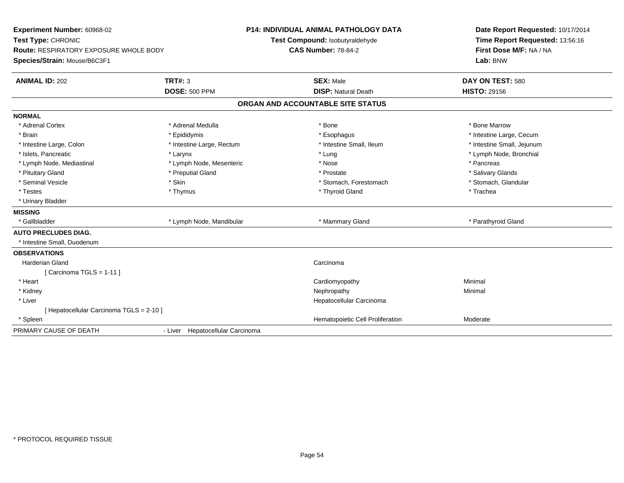| Experiment Number: 60968-02<br>Test Type: CHRONIC<br>Route: RESPIRATORY EXPOSURE WHOLE BODY<br>Species/Strain: Mouse/B6C3F1 |                                  | <b>P14: INDIVIDUAL ANIMAL PATHOLOGY DATA</b><br>Test Compound: Isobutyraldehyde<br><b>CAS Number: 78-84-2</b> |                     | Date Report Requested: 10/17/2014<br>Time Report Requested: 13:56:16<br>First Dose M/F: NA / NA<br>Lab: BNW |
|-----------------------------------------------------------------------------------------------------------------------------|----------------------------------|---------------------------------------------------------------------------------------------------------------|---------------------|-------------------------------------------------------------------------------------------------------------|
| <b>ANIMAL ID: 202</b>                                                                                                       | TRT#: 3                          | <b>SEX: Male</b>                                                                                              |                     | DAY ON TEST: 580                                                                                            |
|                                                                                                                             | <b>DOSE: 500 PPM</b>             | <b>DISP: Natural Death</b>                                                                                    | <b>HISTO: 29156</b> |                                                                                                             |
|                                                                                                                             |                                  | ORGAN AND ACCOUNTABLE SITE STATUS                                                                             |                     |                                                                                                             |
| <b>NORMAL</b>                                                                                                               |                                  |                                                                                                               |                     |                                                                                                             |
| * Adrenal Cortex                                                                                                            | * Adrenal Medulla                | * Bone                                                                                                        | * Bone Marrow       |                                                                                                             |
| * Brain                                                                                                                     | * Epididymis                     | * Esophagus                                                                                                   |                     | * Intestine Large, Cecum                                                                                    |
| * Intestine Large, Colon                                                                                                    | * Intestine Large, Rectum        | * Intestine Small, Ileum                                                                                      |                     | * Intestine Small, Jejunum                                                                                  |
| * Islets, Pancreatic                                                                                                        | * Larynx                         | * Lung                                                                                                        |                     | * Lymph Node, Bronchial                                                                                     |
| * Lymph Node, Mediastinal                                                                                                   | * Lymph Node, Mesenteric         | * Nose                                                                                                        | * Pancreas          |                                                                                                             |
| * Pituitary Gland                                                                                                           | * Preputial Gland                | * Prostate                                                                                                    |                     | * Salivary Glands                                                                                           |
| * Seminal Vesicle                                                                                                           | * Skin                           | * Stomach, Forestomach                                                                                        |                     | * Stomach, Glandular                                                                                        |
| * Testes                                                                                                                    | * Thymus                         | * Thyroid Gland                                                                                               | * Trachea           |                                                                                                             |
| * Urinary Bladder                                                                                                           |                                  |                                                                                                               |                     |                                                                                                             |
| <b>MISSING</b>                                                                                                              |                                  |                                                                                                               |                     |                                                                                                             |
| * Gallbladder                                                                                                               | * Lymph Node, Mandibular         | * Mammary Gland                                                                                               |                     | * Parathyroid Gland                                                                                         |
| <b>AUTO PRECLUDES DIAG.</b>                                                                                                 |                                  |                                                                                                               |                     |                                                                                                             |
| * Intestine Small, Duodenum                                                                                                 |                                  |                                                                                                               |                     |                                                                                                             |
| <b>OBSERVATIONS</b>                                                                                                         |                                  |                                                                                                               |                     |                                                                                                             |
| <b>Harderian Gland</b>                                                                                                      |                                  | Carcinoma                                                                                                     |                     |                                                                                                             |
| [Carcinoma TGLS = 1-11]                                                                                                     |                                  |                                                                                                               |                     |                                                                                                             |
| * Heart                                                                                                                     |                                  | Cardiomyopathy                                                                                                | Minimal             |                                                                                                             |
| * Kidney                                                                                                                    |                                  | Nephropathy                                                                                                   | Minimal             |                                                                                                             |
| * Liver                                                                                                                     |                                  | Hepatocellular Carcinoma                                                                                      |                     |                                                                                                             |
| [ Hepatocellular Carcinoma TGLS = 2-10 ]                                                                                    |                                  |                                                                                                               |                     |                                                                                                             |
| * Spleen                                                                                                                    |                                  | Hematopoietic Cell Proliferation                                                                              | Moderate            |                                                                                                             |
| PRIMARY CAUSE OF DEATH                                                                                                      | - Liver Hepatocellular Carcinoma |                                                                                                               |                     |                                                                                                             |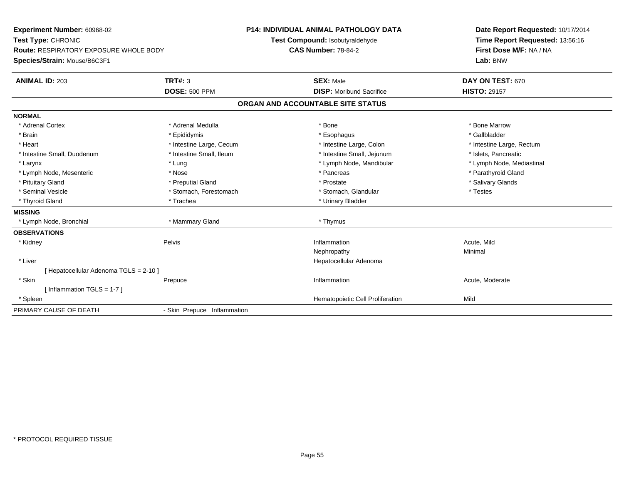**Experiment Number:** 60968-02**Test Type:** CHRONIC **Route:** RESPIRATORY EXPOSURE WHOLE BODY**Species/Strain:** Mouse/B6C3F1**P14: INDIVIDUAL ANIMAL PATHOLOGY DATATest Compound:** Isobutyraldehyde**CAS Number:** 78-84-2**Date Report Requested:** 10/17/2014**Time Report Requested:** 13:56:16**First Dose M/F:** NA / NA**Lab:** BNW**ANIMAL ID:** 203**TRT#:** 3 **SEX:** Male **DAY ON TEST:** 670 **DOSE:** 500 PPM**DISP:** Moribund Sacrifice **HISTO:** 29157 **ORGAN AND ACCOUNTABLE SITE STATUSNORMAL**\* Adrenal Cortex \* Adrenal Medulla \* Adrenal Medulla \* Bone \* Bone \* Bone \* Bone \* Bone Marrow \* Gallbladder \* Brain \* Allen the state of the state of the state of the state of the state of the state of the state of the state of the state of the state of the state of the state of the state of the state of the state of the state o \* Heart **\*** Intestine Large, Cecum **\* Intestine Large, Cecum** \* Intestine Large, Colon \* Intestine Large, Rectum \* Intestine Large, Rectum \* Intestine Small, Duodenum \* Intestine Small, Ileum \* Intestine Small, Intestine Small, Jejunum \* Islets, Pancreatic \* Lymph Node, Mediastinal \* Larynx \* Larynx \* Lung \* Lung \* Lung \* Larynx \* Lymph Node, Mandibular \* Lymph Node, Mandibular \* Lymph Node, Mesenteric \* The state of the state of the state of the state of the state of the state of the state of the state of the state of the state of the state of the state of the state of the state of the state of \* Pituitary Gland \* \* Then the state \* Preputial Gland \* Prosection \* Prostate \* \* Salivary Glands \* Salivary Glands \* Salivary Glands \* Salivary Glands \* Salivary Glands \* Salivary Glands \* Salivary Glands \* Salivary Glan \* Seminal Vesicle \* Testes \* Stomach, Forestomach \* Testes \* Stomach, Glandular \* Testes \* Testes \* Thyroid Gland \* Trachea \* Trachea \* Trachea \* Trachea \* Urinary Bladder **MISSING** \* Lymph Node, Bronchial \* Mammary Gland \* Thymus**OBSERVATIONS** \* Kidneyy the contract of the Pelvis and the Pelvis and the contract of the contract of the person of the contract of the contract of the contract of the contract of the contract of the contract of the contract of the contract of **Inflammation**<br>
Neohropathy<br>
Neohropathy<br>
Minimal Nephropathyy the contract of the Minimal Minimal Section 1996 and the contract of the Minimal Section 1997 and the contract of the contract of the contract of the contract of the contract of the contract of the contract of the contra \* Liver Hepatocellular Adenoma[ Hepatocellular Adenoma TGLS = 2-10 ] \* Skinn and the Prepuce of the Control of the Moderate Inflammation and the Control of the Moderate Acute, Moderate [ Inflammation TGLS = 1-7 ] \* SpleenHematopoietic Cell Proliferation Mild PRIMARY CAUSE OF DEATH- Skin Prepuce Inflammation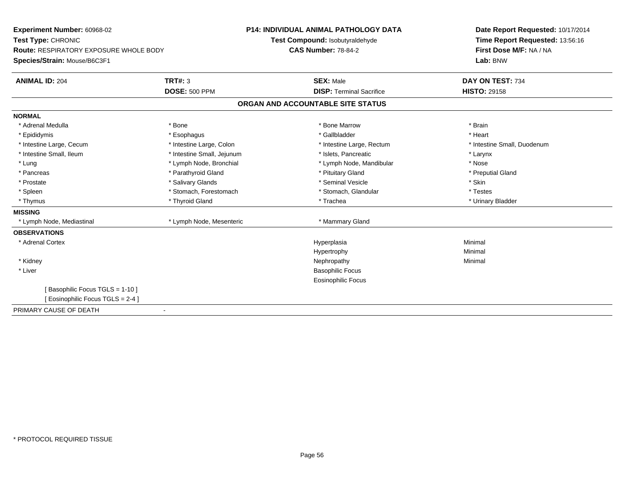| Experiment Number: 60968-02<br>Test Type: CHRONIC |                            | <b>P14: INDIVIDUAL ANIMAL PATHOLOGY DATA</b><br>Test Compound: Isobutyraldehyde | Date Report Requested: 10/17/2014<br>Time Report Requested: 13:56:16 |  |
|---------------------------------------------------|----------------------------|---------------------------------------------------------------------------------|----------------------------------------------------------------------|--|
| <b>Route: RESPIRATORY EXPOSURE WHOLE BODY</b>     |                            | <b>CAS Number: 78-84-2</b>                                                      | First Dose M/F: NA / NA                                              |  |
| Species/Strain: Mouse/B6C3F1                      |                            |                                                                                 | Lab: BNW                                                             |  |
| <b>ANIMAL ID: 204</b>                             | <b>TRT#: 3</b>             | <b>SEX: Male</b>                                                                | DAY ON TEST: 734                                                     |  |
|                                                   | <b>DOSE: 500 PPM</b>       | <b>DISP: Terminal Sacrifice</b>                                                 | <b>HISTO: 29158</b>                                                  |  |
|                                                   |                            | ORGAN AND ACCOUNTABLE SITE STATUS                                               |                                                                      |  |
| <b>NORMAL</b>                                     |                            |                                                                                 |                                                                      |  |
| * Adrenal Medulla                                 | * Bone                     | * Bone Marrow                                                                   | * Brain                                                              |  |
| * Epididymis                                      | * Esophagus                | * Gallbladder                                                                   | * Heart                                                              |  |
| * Intestine Large, Cecum                          | * Intestine Large, Colon   | * Intestine Large, Rectum                                                       | * Intestine Small, Duodenum                                          |  |
| * Intestine Small, Ileum                          | * Intestine Small, Jejunum | * Islets, Pancreatic                                                            | * Larynx                                                             |  |
| * Lung                                            | * Lymph Node, Bronchial    | * Lymph Node, Mandibular                                                        | * Nose                                                               |  |
| * Pancreas                                        | * Parathyroid Gland        | * Pituitary Gland                                                               | * Preputial Gland                                                    |  |
| * Prostate                                        | * Salivary Glands          | * Seminal Vesicle                                                               | * Skin                                                               |  |
| * Spleen                                          | * Stomach, Forestomach     | * Stomach, Glandular                                                            | * Testes                                                             |  |
| * Thymus                                          | * Thyroid Gland            | * Trachea                                                                       | * Urinary Bladder                                                    |  |
| <b>MISSING</b>                                    |                            |                                                                                 |                                                                      |  |
| * Lymph Node, Mediastinal                         | * Lymph Node, Mesenteric   | * Mammary Gland                                                                 |                                                                      |  |
| <b>OBSERVATIONS</b>                               |                            |                                                                                 |                                                                      |  |
| * Adrenal Cortex                                  |                            | Hyperplasia                                                                     | Minimal                                                              |  |
|                                                   |                            | Hypertrophy                                                                     | Minimal                                                              |  |
| * Kidney                                          |                            | Nephropathy                                                                     | Minimal                                                              |  |
| * Liver                                           |                            | <b>Basophilic Focus</b>                                                         |                                                                      |  |
|                                                   |                            | <b>Eosinophilic Focus</b>                                                       |                                                                      |  |
| [Basophilic Focus TGLS = 1-10]                    |                            |                                                                                 |                                                                      |  |
| [ Eosinophilic Focus TGLS = 2-4 ]                 |                            |                                                                                 |                                                                      |  |
| PRIMARY CAUSE OF DEATH                            | $\overline{\phantom{0}}$   |                                                                                 |                                                                      |  |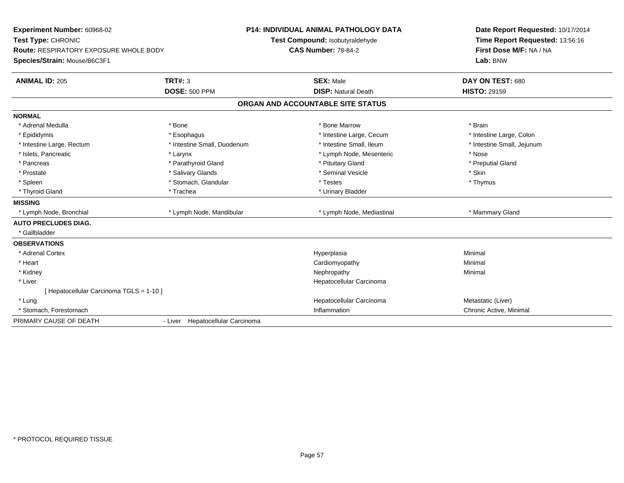| <b>Experiment Number: 60968-02</b><br>Test Type: CHRONIC<br><b>Route: RESPIRATORY EXPOSURE WHOLE BODY</b><br>Species/Strain: Mouse/B6C3F1 |                                  | <b>P14: INDIVIDUAL ANIMAL PATHOLOGY DATA</b><br>Test Compound: Isobutyraldehyde<br><b>CAS Number: 78-84-2</b> | Date Report Requested: 10/17/2014<br>Time Report Requested: 13:56:16<br>First Dose M/F: NA / NA<br>Lab: BNW |
|-------------------------------------------------------------------------------------------------------------------------------------------|----------------------------------|---------------------------------------------------------------------------------------------------------------|-------------------------------------------------------------------------------------------------------------|
| <b>ANIMAL ID: 205</b>                                                                                                                     | TRT#: 3<br><b>DOSE: 500 PPM</b>  | <b>SEX: Male</b><br><b>DISP: Natural Death</b>                                                                | DAY ON TEST: 680<br><b>HISTO: 29159</b>                                                                     |
|                                                                                                                                           |                                  |                                                                                                               |                                                                                                             |
|                                                                                                                                           |                                  | ORGAN AND ACCOUNTABLE SITE STATUS                                                                             |                                                                                                             |
| <b>NORMAL</b>                                                                                                                             |                                  |                                                                                                               |                                                                                                             |
| * Adrenal Medulla                                                                                                                         | * Bone                           | * Bone Marrow                                                                                                 | * Brain                                                                                                     |
| * Epididymis                                                                                                                              | * Esophagus                      | * Intestine Large, Cecum                                                                                      | * Intestine Large, Colon                                                                                    |
| * Intestine Large, Rectum                                                                                                                 | * Intestine Small, Duodenum      | * Intestine Small. Ileum                                                                                      | * Intestine Small, Jejunum                                                                                  |
| * Islets, Pancreatic                                                                                                                      | * Larynx                         | * Lymph Node, Mesenteric                                                                                      | * Nose                                                                                                      |
| * Pancreas                                                                                                                                | * Parathyroid Gland              | * Pituitary Gland                                                                                             | * Preputial Gland                                                                                           |
| * Prostate                                                                                                                                | * Salivary Glands                | * Seminal Vesicle                                                                                             | * Skin                                                                                                      |
| * Spleen                                                                                                                                  | * Stomach, Glandular             | * Testes                                                                                                      | * Thymus                                                                                                    |
| * Thyroid Gland                                                                                                                           | * Trachea                        | * Urinary Bladder                                                                                             |                                                                                                             |
| <b>MISSING</b>                                                                                                                            |                                  |                                                                                                               |                                                                                                             |
| * Lymph Node, Bronchial                                                                                                                   | * Lymph Node, Mandibular         | * Lymph Node, Mediastinal                                                                                     | * Mammary Gland                                                                                             |
| <b>AUTO PRECLUDES DIAG.</b>                                                                                                               |                                  |                                                                                                               |                                                                                                             |
| * Gallbladder                                                                                                                             |                                  |                                                                                                               |                                                                                                             |
| <b>OBSERVATIONS</b>                                                                                                                       |                                  |                                                                                                               |                                                                                                             |
| * Adrenal Cortex                                                                                                                          |                                  | Hyperplasia                                                                                                   | Minimal                                                                                                     |
| * Heart                                                                                                                                   |                                  | Cardiomyopathy                                                                                                | Minimal                                                                                                     |
| * Kidney                                                                                                                                  |                                  | Nephropathy                                                                                                   | Minimal                                                                                                     |
| * Liver                                                                                                                                   |                                  | Hepatocellular Carcinoma                                                                                      |                                                                                                             |
| [ Hepatocellular Carcinoma TGLS = 1-10 ]                                                                                                  |                                  |                                                                                                               |                                                                                                             |
| * Lung                                                                                                                                    |                                  | Hepatocellular Carcinoma                                                                                      | Metastatic (Liver)                                                                                          |
| * Stomach, Forestomach                                                                                                                    |                                  | Inflammation                                                                                                  | Chronic Active, Minimal                                                                                     |
| PRIMARY CAUSE OF DEATH                                                                                                                    | - Liver Hepatocellular Carcinoma |                                                                                                               |                                                                                                             |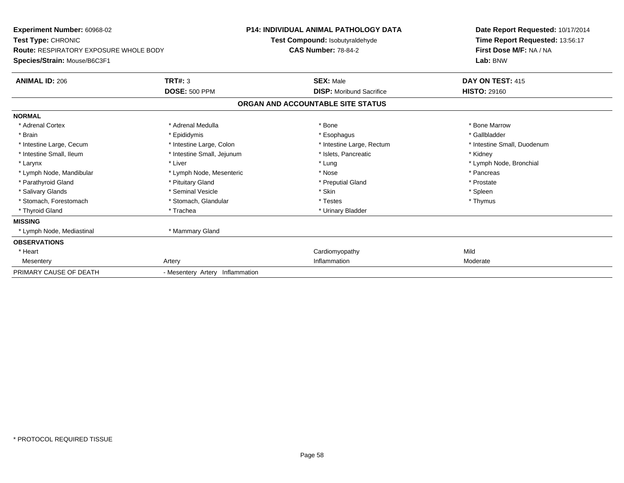| <b>Experiment Number: 60968-02</b><br><b>Test Type: CHRONIC</b><br><b>Route: RESPIRATORY EXPOSURE WHOLE BODY</b><br>Species/Strain: Mouse/B6C3F1 |                                 | <b>P14: INDIVIDUAL ANIMAL PATHOLOGY DATA</b><br>Test Compound: Isobutyraldehyde<br><b>CAS Number: 78-84-2</b> | Date Report Requested: 10/17/2014<br>Time Report Requested: 13:56:17<br>First Dose M/F: NA / NA<br>Lab: BNW |
|--------------------------------------------------------------------------------------------------------------------------------------------------|---------------------------------|---------------------------------------------------------------------------------------------------------------|-------------------------------------------------------------------------------------------------------------|
| <b>ANIMAL ID: 206</b>                                                                                                                            | <b>TRT#: 3</b>                  | <b>SEX: Male</b>                                                                                              | DAY ON TEST: 415                                                                                            |
|                                                                                                                                                  | <b>DOSE: 500 PPM</b>            | <b>DISP: Moribund Sacrifice</b>                                                                               | <b>HISTO: 29160</b>                                                                                         |
|                                                                                                                                                  |                                 | ORGAN AND ACCOUNTABLE SITE STATUS                                                                             |                                                                                                             |
| <b>NORMAL</b>                                                                                                                                    |                                 |                                                                                                               |                                                                                                             |
| * Adrenal Cortex                                                                                                                                 | * Adrenal Medulla               | * Bone                                                                                                        | * Bone Marrow                                                                                               |
| * Brain                                                                                                                                          | * Epididymis                    | * Esophagus                                                                                                   | * Gallbladder                                                                                               |
| * Intestine Large, Cecum                                                                                                                         | * Intestine Large, Colon        | * Intestine Large, Rectum                                                                                     | * Intestine Small, Duodenum                                                                                 |
| * Intestine Small, Ileum                                                                                                                         | * Intestine Small, Jejunum      | * Islets, Pancreatic                                                                                          | * Kidney                                                                                                    |
| * Larynx                                                                                                                                         | * Liver                         | * Lung                                                                                                        | * Lymph Node, Bronchial                                                                                     |
| * Lymph Node, Mandibular                                                                                                                         | * Lymph Node, Mesenteric        | * Nose                                                                                                        | * Pancreas                                                                                                  |
| * Parathyroid Gland                                                                                                                              | * Pituitary Gland               | * Preputial Gland                                                                                             | * Prostate                                                                                                  |
| * Salivary Glands                                                                                                                                | * Seminal Vesicle               | * Skin                                                                                                        | * Spleen                                                                                                    |
| * Stomach, Forestomach                                                                                                                           | * Stomach, Glandular            | * Testes                                                                                                      | * Thymus                                                                                                    |
| * Thyroid Gland                                                                                                                                  | * Trachea                       | * Urinary Bladder                                                                                             |                                                                                                             |
| <b>MISSING</b>                                                                                                                                   |                                 |                                                                                                               |                                                                                                             |
| * Lymph Node, Mediastinal                                                                                                                        | * Mammary Gland                 |                                                                                                               |                                                                                                             |
| <b>OBSERVATIONS</b>                                                                                                                              |                                 |                                                                                                               |                                                                                                             |
| * Heart                                                                                                                                          |                                 | Cardiomyopathy                                                                                                | Mild                                                                                                        |
| Mesentery                                                                                                                                        | Artery                          | Inflammation                                                                                                  | Moderate                                                                                                    |
| PRIMARY CAUSE OF DEATH                                                                                                                           | - Mesentery Artery Inflammation |                                                                                                               |                                                                                                             |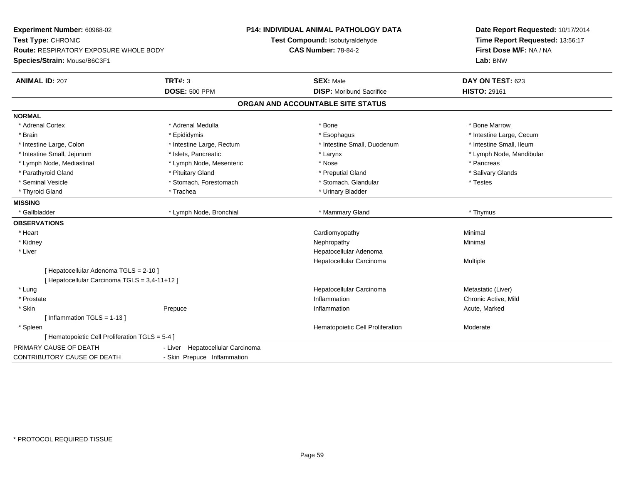| Experiment Number: 60968-02<br>Test Type: CHRONIC                             |                                     | <b>P14: INDIVIDUAL ANIMAL PATHOLOGY DATA</b><br>Test Compound: Isobutyraldehyde | Date Report Requested: 10/17/2014<br>Time Report Requested: 13:56:17 |
|-------------------------------------------------------------------------------|-------------------------------------|---------------------------------------------------------------------------------|----------------------------------------------------------------------|
| <b>Route: RESPIRATORY EXPOSURE WHOLE BODY</b><br>Species/Strain: Mouse/B6C3F1 |                                     | <b>CAS Number: 78-84-2</b>                                                      | First Dose M/F: NA / NA<br>Lab: BNW                                  |
| <b>ANIMAL ID: 207</b>                                                         | <b>TRT#: 3</b>                      | <b>SEX: Male</b>                                                                | DAY ON TEST: 623                                                     |
|                                                                               | <b>DOSE: 500 PPM</b>                | <b>DISP:</b> Moribund Sacrifice                                                 | <b>HISTO: 29161</b>                                                  |
|                                                                               |                                     | ORGAN AND ACCOUNTABLE SITE STATUS                                               |                                                                      |
| <b>NORMAL</b>                                                                 |                                     |                                                                                 |                                                                      |
| * Adrenal Cortex                                                              | * Adrenal Medulla                   | * Bone                                                                          | * Bone Marrow                                                        |
| * Brain                                                                       | * Epididymis                        | * Esophagus                                                                     | * Intestine Large, Cecum                                             |
| * Intestine Large, Colon                                                      | * Intestine Large, Rectum           | * Intestine Small, Duodenum                                                     | * Intestine Small, Ileum                                             |
| * Intestine Small, Jejunum                                                    | * Islets, Pancreatic                | * Larynx                                                                        | * Lymph Node, Mandibular                                             |
| * Lymph Node, Mediastinal                                                     | * Lymph Node, Mesenteric            | * Nose                                                                          | * Pancreas                                                           |
| * Parathyroid Gland                                                           | * Pituitary Gland                   | * Preputial Gland                                                               | * Salivary Glands                                                    |
| * Seminal Vesicle                                                             | * Stomach, Forestomach              | * Stomach, Glandular                                                            | * Testes                                                             |
| * Thyroid Gland                                                               | * Trachea                           | * Urinary Bladder                                                               |                                                                      |
| <b>MISSING</b>                                                                |                                     |                                                                                 |                                                                      |
| * Gallbladder                                                                 | * Lymph Node, Bronchial             | * Mammary Gland                                                                 | * Thymus                                                             |
| <b>OBSERVATIONS</b>                                                           |                                     |                                                                                 |                                                                      |
| * Heart                                                                       |                                     | Cardiomyopathy                                                                  | Minimal                                                              |
| * Kidney                                                                      |                                     | Nephropathy                                                                     | Minimal                                                              |
| * Liver                                                                       |                                     | Hepatocellular Adenoma                                                          |                                                                      |
|                                                                               |                                     | Hepatocellular Carcinoma                                                        | Multiple                                                             |
| [ Hepatocellular Adenoma TGLS = 2-10 ]                                        |                                     |                                                                                 |                                                                      |
| [ Hepatocellular Carcinoma TGLS = 3,4-11+12 ]                                 |                                     |                                                                                 |                                                                      |
| * Lung                                                                        |                                     | Hepatocellular Carcinoma                                                        | Metastatic (Liver)                                                   |
| * Prostate                                                                    |                                     | Inflammation                                                                    | Chronic Active, Mild                                                 |
| * Skin                                                                        | Prepuce                             | Inflammation                                                                    | Acute, Marked                                                        |
| [Inflammation TGLS = $1-13$ ]                                                 |                                     |                                                                                 |                                                                      |
| * Spleen                                                                      |                                     | Hematopoietic Cell Proliferation                                                | Moderate                                                             |
| [ Hematopoietic Cell Proliferation TGLS = 5-4 ]                               |                                     |                                                                                 |                                                                      |
| PRIMARY CAUSE OF DEATH                                                        | Hepatocellular Carcinoma<br>- Liver |                                                                                 |                                                                      |
| <b>CONTRIBUTORY CAUSE OF DEATH</b>                                            | - Skin Prepuce Inflammation         |                                                                                 |                                                                      |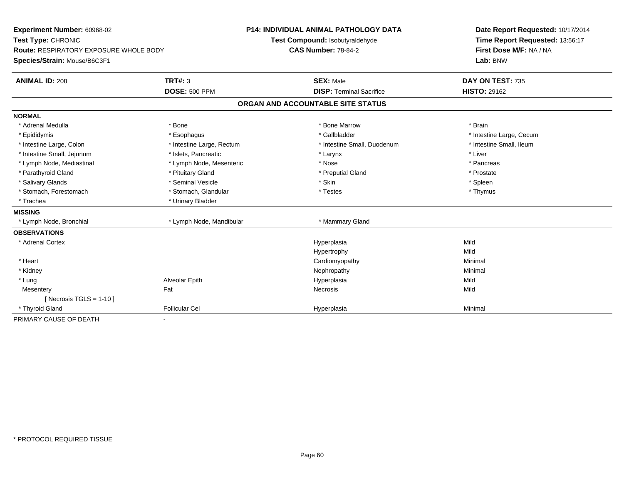| Experiment Number: 60968-02                   |                           | P14: INDIVIDUAL ANIMAL PATHOLOGY DATA | Date Report Requested: 10/17/2014 |
|-----------------------------------------------|---------------------------|---------------------------------------|-----------------------------------|
| Test Type: CHRONIC                            |                           | Test Compound: Isobutyraldehyde       | Time Report Requested: 13:56:17   |
| <b>Route: RESPIRATORY EXPOSURE WHOLE BODY</b> |                           | <b>CAS Number: 78-84-2</b>            | First Dose M/F: NA / NA           |
| Species/Strain: Mouse/B6C3F1                  |                           |                                       | Lab: BNW                          |
| <b>ANIMAL ID: 208</b>                         | <b>TRT#: 3</b>            | <b>SEX: Male</b>                      | DAY ON TEST: 735                  |
|                                               | <b>DOSE: 500 PPM</b>      | <b>DISP: Terminal Sacrifice</b>       | <b>HISTO: 29162</b>               |
|                                               |                           | ORGAN AND ACCOUNTABLE SITE STATUS     |                                   |
| <b>NORMAL</b>                                 |                           |                                       |                                   |
| * Adrenal Medulla                             | * Bone                    | * Bone Marrow                         | * Brain                           |
| * Epididymis                                  | * Esophagus               | * Gallbladder                         | * Intestine Large, Cecum          |
| * Intestine Large, Colon                      | * Intestine Large, Rectum | * Intestine Small, Duodenum           | * Intestine Small. Ileum          |
| * Intestine Small, Jejunum                    | * Islets, Pancreatic      | * Larynx                              | * Liver                           |
| * Lymph Node, Mediastinal                     | * Lymph Node, Mesenteric  | * Nose                                | * Pancreas                        |
| * Parathyroid Gland                           | * Pituitary Gland         | * Preputial Gland                     | * Prostate                        |
| * Salivary Glands                             | * Seminal Vesicle         | * Skin                                | * Spleen                          |
| * Stomach, Forestomach                        | * Stomach, Glandular      | * Testes                              | * Thymus                          |
| * Trachea                                     | * Urinary Bladder         |                                       |                                   |
| <b>MISSING</b>                                |                           |                                       |                                   |
| * Lymph Node, Bronchial                       | * Lymph Node, Mandibular  | * Mammary Gland                       |                                   |
| <b>OBSERVATIONS</b>                           |                           |                                       |                                   |
| * Adrenal Cortex                              |                           | Hyperplasia                           | Mild                              |
|                                               |                           | Hypertrophy                           | Mild                              |
| * Heart                                       |                           | Cardiomyopathy                        | Minimal                           |
| * Kidney                                      |                           | Nephropathy                           | Minimal                           |
| * Lung                                        | Alveolar Epith            | Hyperplasia                           | Mild                              |
| Mesentery                                     | Fat                       | <b>Necrosis</b>                       | Mild                              |
| [ Necrosis $TGLS = 1-10$ ]                    |                           |                                       |                                   |
| * Thyroid Gland                               | <b>Follicular Cel</b>     | Hyperplasia                           | Minimal                           |
| PRIMARY CAUSE OF DEATH                        | $\overline{\phantom{a}}$  |                                       |                                   |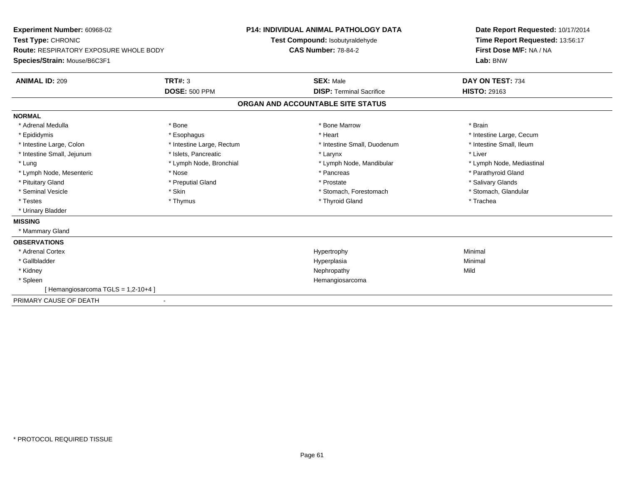**Experiment Number:** 60968-02**Test Type:** CHRONIC **Route:** RESPIRATORY EXPOSURE WHOLE BODY**Species/Strain:** Mouse/B6C3F1**P14: INDIVIDUAL ANIMAL PATHOLOGY DATATest Compound:** Isobutyraldehyde**CAS Number:** 78-84-2**Date Report Requested:** 10/17/2014**Time Report Requested:** 13:56:17**First Dose M/F:** NA / NA**Lab:** BNW**ANIMAL ID:** 209**SEX:** Male **DAY ON TEST:** 734 **DOSE:** 500 PPM**DISP:** Terminal Sacrifice **HISTO:** 29163 **ORGAN AND ACCOUNTABLE SITE STATUSNORMAL**\* Adrenal Medulla \* \* Annual Medulla \* Brain \* Bone \* \* Bone Marrow \* Bone Marrow \* \* Brain \* Brain \* Brain \* Brain \* Brain \* Brain \* Brain \* Brain \* Brain \* Brain \* Brain \* Brain \* Brain \* Brain \* Brain \* Brain \* Brain \* \* Epididymis **Account 19 and 19 and 19 and 19 and 19 and 19 and 19 and 19 and 19 and 19 and 19 and 19 and 19 and 19 and 19 and 19 and 19 and 19 and 19 and 19 and 19 and 19 and 19 and 19 and 19 and 19 and 19 and 19 and 19 a** \* Intestine Small, Ileum \* Intestine Large, Colon \* Intestine Large, Rectum \* Intestine Small, Duodenum \* Intestine Small, Duodenum \* Intestine Small, Jejunum \* 1998 \* The state of the state of the state of the state of the state of the state of the state of the state of the state of the state of the state of the state of the state of the state of the \* Lung \* Lymph Node, Bronchial \* Lymph Node, and ibular \* Lymph Node, Mandibular \* Lymph Node, Mediastinal \* Lymph Node, Mediastinal \* Lymph Node, Mesenteric \* The state of the state of the state of the state of the state of the state of the state of the state of the state of the state of the state of the state of the state of the state of the state of \* Pituitary Gland \* \* Then the state \* Preputial Gland \* Prosection \* Prostate \* \* Salivary Glands \* Salivary Glands \* Salivary Glands \* Salivary Glands \* Salivary Glands \* Salivary Glands \* Salivary Glands \* Salivary Glan \* Stomach, Glandular \* Seminal Vesicle \* Skin \* Skin \* Skin \* Stomach, Forestomach \* Stomach, Forestomach \* Testes \* Thymus \* Thyroid Gland \* Trachea \* Urinary Bladder**MISSING** \* Mammary Gland**OBSERVATIONS** \* Adrenal Cortexx and the controller of the controller of the controller of the Hypertrophy  $\mathsf{M}$ inimal  $\mathsf{M}$ inimal  $\mathsf{M}$  \* Gallbladderr and the contract of the contract of the contract of the contract of the contract of the contract of the contract of the contract of the contract of the contract of the contract of the contract of the contract of the cont a **Minimal**  \* Kidneyy the controller of the controller of the controller of the controller of the controller of the controller of the controller of the controller of the controller of the controller of the controller of the controller of the \* Spleen Hemangiosarcoma [ Hemangiosarcoma TGLS = 1,2-10+4 ]PRIMARY CAUSE OF DEATH-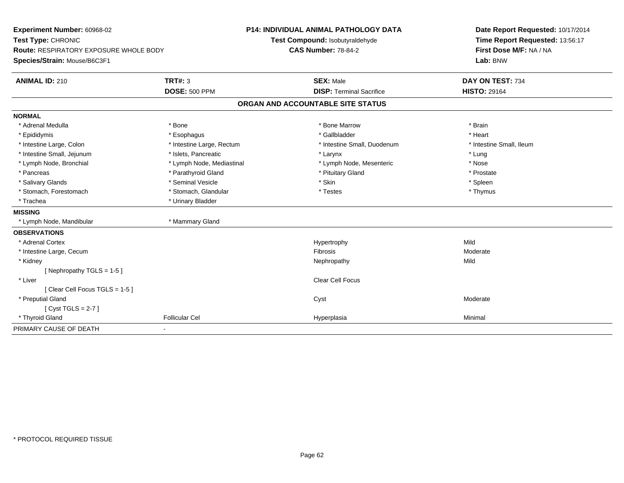| Experiment Number: 60968-02<br>Test Type: CHRONIC<br><b>Route: RESPIRATORY EXPOSURE WHOLE BODY</b><br>Species/Strain: Mouse/B6C3F1 |                           | P14: INDIVIDUAL ANIMAL PATHOLOGY DATA<br>Test Compound: Isobutyraldehyde | Date Report Requested: 10/17/2014<br>Time Report Requested: 13:56:17 |
|------------------------------------------------------------------------------------------------------------------------------------|---------------------------|--------------------------------------------------------------------------|----------------------------------------------------------------------|
|                                                                                                                                    |                           | <b>CAS Number: 78-84-2</b>                                               | First Dose M/F: NA / NA<br>Lab: BNW                                  |
| <b>ANIMAL ID: 210</b>                                                                                                              | <b>TRT#: 3</b>            | <b>SEX: Male</b>                                                         | DAY ON TEST: 734                                                     |
|                                                                                                                                    | <b>DOSE: 500 PPM</b>      | <b>DISP: Terminal Sacrifice</b>                                          | <b>HISTO: 29164</b>                                                  |
|                                                                                                                                    |                           | ORGAN AND ACCOUNTABLE SITE STATUS                                        |                                                                      |
| <b>NORMAL</b>                                                                                                                      |                           |                                                                          |                                                                      |
| * Adrenal Medulla                                                                                                                  | * Bone                    | * Bone Marrow                                                            | * Brain                                                              |
| * Epididymis                                                                                                                       | * Esophagus               | * Gallbladder                                                            | * Heart                                                              |
| * Intestine Large, Colon                                                                                                           | * Intestine Large, Rectum | * Intestine Small, Duodenum                                              | * Intestine Small, Ileum                                             |
| * Intestine Small, Jejunum                                                                                                         | * Islets, Pancreatic      | * Larynx                                                                 | * Lung                                                               |
| * Lymph Node, Bronchial                                                                                                            | * Lymph Node, Mediastinal | * Lymph Node, Mesenteric                                                 | * Nose                                                               |
| * Pancreas                                                                                                                         | * Parathyroid Gland       | * Pituitary Gland                                                        | * Prostate                                                           |
| * Salivary Glands                                                                                                                  | * Seminal Vesicle         | * Skin                                                                   | * Spleen                                                             |
| * Stomach, Forestomach                                                                                                             | * Stomach, Glandular      | * Testes                                                                 | * Thymus                                                             |
| * Trachea                                                                                                                          | * Urinary Bladder         |                                                                          |                                                                      |
| <b>MISSING</b>                                                                                                                     |                           |                                                                          |                                                                      |
| * Lymph Node, Mandibular                                                                                                           | * Mammary Gland           |                                                                          |                                                                      |
| <b>OBSERVATIONS</b>                                                                                                                |                           |                                                                          |                                                                      |
| * Adrenal Cortex                                                                                                                   |                           | Hypertrophy                                                              | Mild                                                                 |
| * Intestine Large, Cecum                                                                                                           |                           | Fibrosis                                                                 | Moderate                                                             |
| * Kidney                                                                                                                           |                           | Nephropathy                                                              | Mild                                                                 |
| [Nephropathy TGLS = $1-5$ ]                                                                                                        |                           |                                                                          |                                                                      |
| * Liver                                                                                                                            |                           | Clear Cell Focus                                                         |                                                                      |
| [Clear Cell Focus TGLS = 1-5]                                                                                                      |                           |                                                                          |                                                                      |
| * Preputial Gland                                                                                                                  |                           | Cyst                                                                     | Moderate                                                             |
| [Cyst TGLS = $2-7$ ]                                                                                                               |                           |                                                                          |                                                                      |
| * Thyroid Gland                                                                                                                    | <b>Follicular Cel</b>     | Hyperplasia                                                              | Minimal                                                              |
| PRIMARY CAUSE OF DEATH                                                                                                             |                           |                                                                          |                                                                      |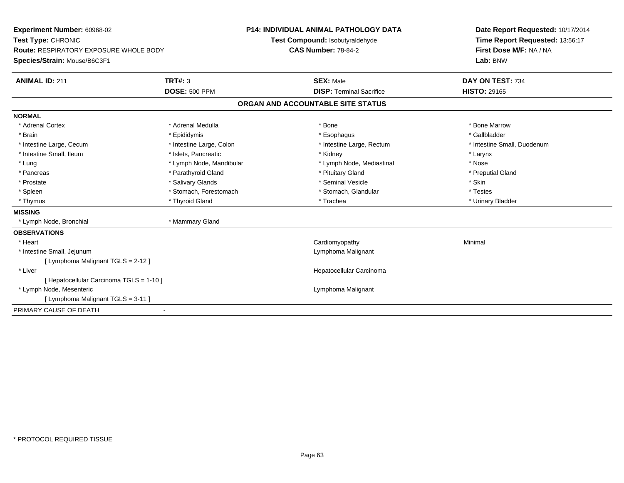| <b>Experiment Number: 60968-02</b>            |                          | <b>P14: INDIVIDUAL ANIMAL PATHOLOGY DATA</b> | Date Report Requested: 10/17/2014 |
|-----------------------------------------------|--------------------------|----------------------------------------------|-----------------------------------|
| Test Type: CHRONIC                            |                          | Test Compound: Isobutyraldehyde              | Time Report Requested: 13:56:17   |
| <b>Route: RESPIRATORY EXPOSURE WHOLE BODY</b> |                          | <b>CAS Number: 78-84-2</b>                   | First Dose M/F: NA / NA           |
| Species/Strain: Mouse/B6C3F1                  |                          |                                              | Lab: BNW                          |
| <b>ANIMAL ID: 211</b>                         | <b>TRT#: 3</b>           | <b>SEX: Male</b>                             | DAY ON TEST: 734                  |
|                                               | <b>DOSE: 500 PPM</b>     | <b>DISP: Terminal Sacrifice</b>              | <b>HISTO: 29165</b>               |
|                                               |                          | ORGAN AND ACCOUNTABLE SITE STATUS            |                                   |
| <b>NORMAL</b>                                 |                          |                                              |                                   |
| * Adrenal Cortex                              | * Adrenal Medulla        | * Bone                                       | * Bone Marrow                     |
| * Brain                                       | * Epididymis             | * Esophagus                                  | * Gallbladder                     |
| * Intestine Large, Cecum                      | * Intestine Large, Colon | * Intestine Large, Rectum                    | * Intestine Small, Duodenum       |
| * Intestine Small, Ileum                      | * Islets, Pancreatic     | * Kidney                                     | * Larynx                          |
| * Lung                                        | * Lymph Node, Mandibular | * Lymph Node, Mediastinal                    | * Nose                            |
| * Pancreas                                    | * Parathyroid Gland      | * Pituitary Gland                            | * Preputial Gland                 |
| * Prostate                                    | * Salivary Glands        | * Seminal Vesicle                            | * Skin                            |
| * Spleen                                      | * Stomach, Forestomach   | * Stomach, Glandular                         | * Testes                          |
| * Thymus                                      | * Thyroid Gland          | * Trachea                                    | * Urinary Bladder                 |
| <b>MISSING</b>                                |                          |                                              |                                   |
| * Lymph Node, Bronchial                       | * Mammary Gland          |                                              |                                   |
| <b>OBSERVATIONS</b>                           |                          |                                              |                                   |
| * Heart                                       |                          | Cardiomyopathy                               | Minimal                           |
| * Intestine Small, Jejunum                    |                          | Lymphoma Malignant                           |                                   |
| [ Lymphoma Malignant TGLS = 2-12 ]            |                          |                                              |                                   |
| * Liver                                       |                          | Hepatocellular Carcinoma                     |                                   |
| [ Hepatocellular Carcinoma TGLS = 1-10 ]      |                          |                                              |                                   |
| * Lymph Node, Mesenteric                      |                          | Lymphoma Malignant                           |                                   |
| [ Lymphoma Malignant TGLS = 3-11 ]            |                          |                                              |                                   |
| PRIMARY CAUSE OF DEATH                        |                          |                                              |                                   |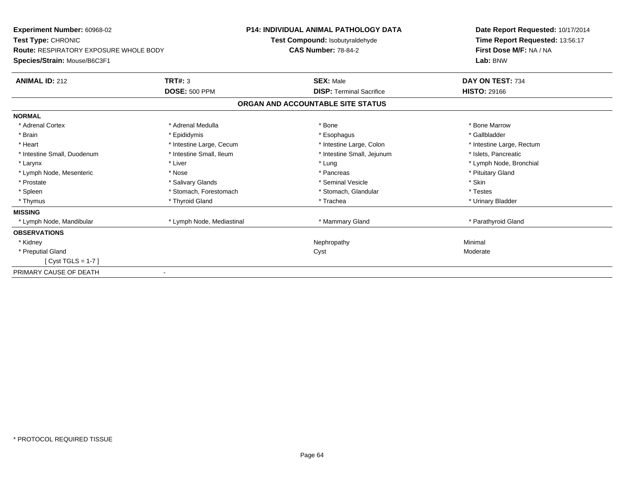| <b>Experiment Number: 60968-02</b><br>Test Type: CHRONIC<br><b>Route: RESPIRATORY EXPOSURE WHOLE BODY</b> |                           | <b>P14: INDIVIDUAL ANIMAL PATHOLOGY DATA</b><br>Test Compound: Isobutyraldehyde<br><b>CAS Number: 78-84-2</b> | Date Report Requested: 10/17/2014<br>Time Report Requested: 13:56:17<br>First Dose M/F: NA / NA |  |
|-----------------------------------------------------------------------------------------------------------|---------------------------|---------------------------------------------------------------------------------------------------------------|-------------------------------------------------------------------------------------------------|--|
| Species/Strain: Mouse/B6C3F1                                                                              |                           |                                                                                                               | Lab: BNW                                                                                        |  |
| <b>ANIMAL ID: 212</b>                                                                                     | TRT#: 3                   | <b>SEX: Male</b>                                                                                              | DAY ON TEST: 734                                                                                |  |
|                                                                                                           | <b>DOSE: 500 PPM</b>      | <b>DISP: Terminal Sacrifice</b>                                                                               | <b>HISTO: 29166</b>                                                                             |  |
|                                                                                                           |                           | ORGAN AND ACCOUNTABLE SITE STATUS                                                                             |                                                                                                 |  |
| <b>NORMAL</b>                                                                                             |                           |                                                                                                               |                                                                                                 |  |
| * Adrenal Cortex                                                                                          | * Adrenal Medulla         | * Bone                                                                                                        | * Bone Marrow                                                                                   |  |
| * Brain                                                                                                   | * Epididymis              | * Esophagus                                                                                                   | * Gallbladder                                                                                   |  |
| * Heart                                                                                                   | * Intestine Large, Cecum  | * Intestine Large, Colon                                                                                      | * Intestine Large, Rectum                                                                       |  |
| * Intestine Small, Duodenum                                                                               | * Intestine Small, Ileum  | * Intestine Small, Jejunum                                                                                    | * Islets, Pancreatic                                                                            |  |
| * Larynx                                                                                                  | * Liver                   | * Lung                                                                                                        | * Lymph Node, Bronchial                                                                         |  |
| * Lymph Node, Mesenteric                                                                                  | * Nose                    | * Pancreas                                                                                                    | * Pituitary Gland                                                                               |  |
| * Prostate                                                                                                | * Salivary Glands         | * Seminal Vesicle                                                                                             | * Skin                                                                                          |  |
| * Spleen                                                                                                  | * Stomach, Forestomach    | * Stomach, Glandular                                                                                          | * Testes                                                                                        |  |
| * Thymus                                                                                                  | * Thyroid Gland           | * Trachea                                                                                                     | * Urinary Bladder                                                                               |  |
| <b>MISSING</b>                                                                                            |                           |                                                                                                               |                                                                                                 |  |
| * Lymph Node, Mandibular                                                                                  | * Lymph Node, Mediastinal | * Mammary Gland                                                                                               | * Parathyroid Gland                                                                             |  |
| <b>OBSERVATIONS</b>                                                                                       |                           |                                                                                                               |                                                                                                 |  |
| * Kidney                                                                                                  |                           | Nephropathy                                                                                                   | Minimal                                                                                         |  |
| * Preputial Gland                                                                                         |                           | Cyst                                                                                                          | Moderate                                                                                        |  |
| $[Cyst TGLS = 1-7]$                                                                                       |                           |                                                                                                               |                                                                                                 |  |
| PRIMARY CAUSE OF DEATH                                                                                    |                           |                                                                                                               |                                                                                                 |  |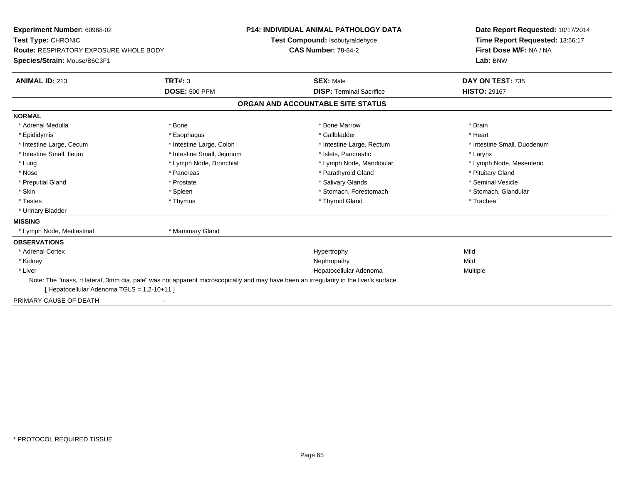| Experiment Number: 60968-02               |                                 | <b>P14: INDIVIDUAL ANIMAL PATHOLOGY DATA</b>                                                                                           | Date Report Requested: 10/17/2014 |
|-------------------------------------------|---------------------------------|----------------------------------------------------------------------------------------------------------------------------------------|-----------------------------------|
| Test Type: CHRONIC                        | Test Compound: Isobutyraldehyde |                                                                                                                                        | Time Report Requested: 13:56:17   |
| Route: RESPIRATORY EXPOSURE WHOLE BODY    |                                 | <b>CAS Number: 78-84-2</b>                                                                                                             | First Dose M/F: NA / NA           |
| Species/Strain: Mouse/B6C3F1              |                                 |                                                                                                                                        | Lab: BNW                          |
| <b>ANIMAL ID: 213</b>                     | <b>TRT#: 3</b>                  | <b>SEX: Male</b>                                                                                                                       | DAY ON TEST: 735                  |
|                                           | <b>DOSE: 500 PPM</b>            | <b>DISP: Terminal Sacrifice</b>                                                                                                        | <b>HISTO: 29167</b>               |
|                                           |                                 | ORGAN AND ACCOUNTABLE SITE STATUS                                                                                                      |                                   |
| <b>NORMAL</b>                             |                                 |                                                                                                                                        |                                   |
| * Adrenal Medulla                         | * Bone                          | * Bone Marrow                                                                                                                          | * Brain                           |
| * Epididymis                              | * Esophagus                     | * Gallbladder                                                                                                                          | * Heart                           |
| * Intestine Large, Cecum                  | * Intestine Large, Colon        | * Intestine Large, Rectum                                                                                                              | * Intestine Small, Duodenum       |
| * Intestine Small, Ileum                  | * Intestine Small, Jejunum      | * Islets. Pancreatic                                                                                                                   | * Larynx                          |
| * Lung                                    | * Lymph Node, Bronchial         | * Lymph Node, Mandibular                                                                                                               | * Lymph Node, Mesenteric          |
| * Nose                                    | * Pancreas                      | * Parathyroid Gland                                                                                                                    | * Pituitary Gland                 |
| * Preputial Gland                         | * Prostate                      | * Salivary Glands                                                                                                                      | * Seminal Vesicle                 |
| * Skin                                    | * Spleen                        | * Stomach, Forestomach                                                                                                                 | * Stomach, Glandular              |
| * Testes                                  | * Thymus                        | * Thyroid Gland                                                                                                                        | * Trachea                         |
| * Urinary Bladder                         |                                 |                                                                                                                                        |                                   |
| <b>MISSING</b>                            |                                 |                                                                                                                                        |                                   |
| * Lymph Node, Mediastinal                 | * Mammary Gland                 |                                                                                                                                        |                                   |
| <b>OBSERVATIONS</b>                       |                                 |                                                                                                                                        |                                   |
| * Adrenal Cortex                          |                                 | Hypertrophy                                                                                                                            | Mild                              |
| * Kidney                                  |                                 | Nephropathy                                                                                                                            | Mild                              |
| * Liver                                   |                                 | Hepatocellular Adenoma                                                                                                                 | Multiple                          |
|                                           |                                 | Note: The "mass, rt lateral, 3mm dia, pale" was not apparent microscopically and may have been an irregularity in the liver's surface. |                                   |
| [Hepatocellular Adenoma TGLS = 1,2-10+11] |                                 |                                                                                                                                        |                                   |
| PRIMARY CAUSE OF DEATH                    |                                 |                                                                                                                                        |                                   |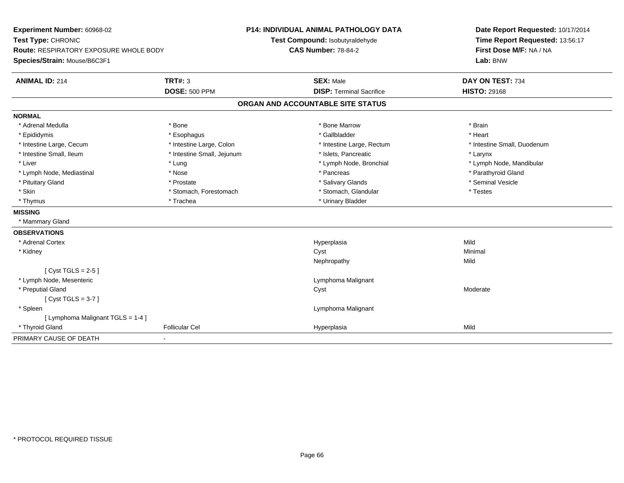| Experiment Number: 60968-02<br>Test Type: CHRONIC                             |                            | P14: INDIVIDUAL ANIMAL PATHOLOGY DATA<br>Test Compound: Isobutyraldehyde | Date Report Requested: 10/17/2014<br>Time Report Requested: 13:56:17 |
|-------------------------------------------------------------------------------|----------------------------|--------------------------------------------------------------------------|----------------------------------------------------------------------|
| <b>Route: RESPIRATORY EXPOSURE WHOLE BODY</b><br>Species/Strain: Mouse/B6C3F1 |                            | <b>CAS Number: 78-84-2</b>                                               | First Dose M/F: NA / NA<br>Lab: BNW                                  |
| <b>ANIMAL ID: 214</b>                                                         | <b>TRT#: 3</b>             | <b>SEX: Male</b>                                                         | DAY ON TEST: 734                                                     |
|                                                                               | <b>DOSE: 500 PPM</b>       | <b>DISP: Terminal Sacrifice</b>                                          | <b>HISTO: 29168</b>                                                  |
|                                                                               |                            | ORGAN AND ACCOUNTABLE SITE STATUS                                        |                                                                      |
| <b>NORMAL</b>                                                                 |                            |                                                                          |                                                                      |
| * Adrenal Medulla                                                             | * Bone                     | * Bone Marrow                                                            | * Brain                                                              |
| * Epididymis                                                                  | * Esophagus                | * Gallbladder                                                            | * Heart                                                              |
| * Intestine Large, Cecum                                                      | * Intestine Large, Colon   | * Intestine Large, Rectum                                                | * Intestine Small, Duodenum                                          |
| * Intestine Small, Ileum                                                      | * Intestine Small, Jejunum | * Islets, Pancreatic                                                     | * Larynx                                                             |
| * Liver                                                                       | * Lung                     | * Lymph Node, Bronchial                                                  | * Lymph Node, Mandibular                                             |
| * Lymph Node, Mediastinal                                                     | * Nose                     | * Pancreas                                                               | * Parathyroid Gland                                                  |
| * Pituitary Gland                                                             | * Prostate                 | * Salivary Glands                                                        | * Seminal Vesicle                                                    |
| * Skin                                                                        | * Stomach, Forestomach     | * Stomach, Glandular                                                     | * Testes                                                             |
| * Thymus                                                                      | * Trachea                  | * Urinary Bladder                                                        |                                                                      |
| <b>MISSING</b>                                                                |                            |                                                                          |                                                                      |
| * Mammary Gland                                                               |                            |                                                                          |                                                                      |
| <b>OBSERVATIONS</b>                                                           |                            |                                                                          |                                                                      |
| * Adrenal Cortex                                                              |                            | Hyperplasia                                                              | Mild                                                                 |
| * Kidney                                                                      |                            | Cyst                                                                     | Minimal                                                              |
|                                                                               |                            | Nephropathy                                                              | Mild                                                                 |
| [ $Cyst TGLS = 2-5$ ]                                                         |                            |                                                                          |                                                                      |
| * Lymph Node, Mesenteric                                                      |                            | Lymphoma Malignant                                                       |                                                                      |
| * Preputial Gland                                                             |                            | Cyst                                                                     | Moderate                                                             |
| [Cyst TGLS = $3-7$ ]                                                          |                            |                                                                          |                                                                      |
| * Spleen                                                                      |                            | Lymphoma Malignant                                                       |                                                                      |
| [ Lymphoma Malignant TGLS = 1-4 ]                                             |                            |                                                                          |                                                                      |
| * Thyroid Gland                                                               | <b>Follicular Cel</b>      | Hyperplasia                                                              | Mild                                                                 |
| PRIMARY CAUSE OF DEATH                                                        |                            |                                                                          |                                                                      |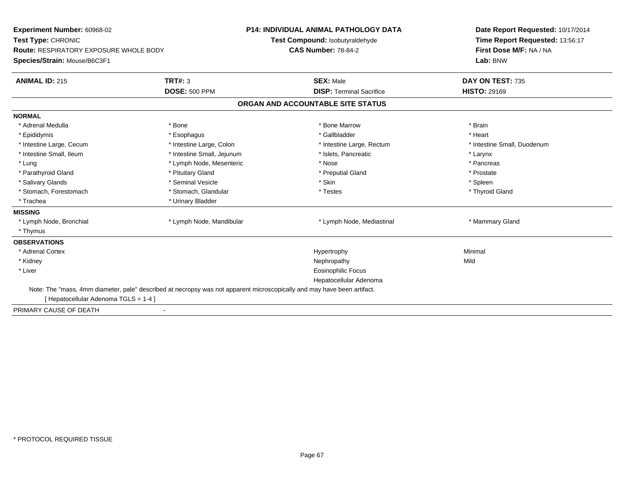| Experiment Number: 60968-02<br>Test Type: CHRONIC<br><b>Route: RESPIRATORY EXPOSURE WHOLE BODY</b><br>Species/Strain: Mouse/B6C3F1 |                            | <b>P14: INDIVIDUAL ANIMAL PATHOLOGY DATA</b><br>Test Compound: Isobutyraldehyde<br><b>CAS Number: 78-84-2</b> | Date Report Requested: 10/17/2014<br>Time Report Requested: 13:56:17<br>First Dose M/F: NA / NA<br>Lab: BNW |
|------------------------------------------------------------------------------------------------------------------------------------|----------------------------|---------------------------------------------------------------------------------------------------------------|-------------------------------------------------------------------------------------------------------------|
| <b>ANIMAL ID: 215</b>                                                                                                              | <b>TRT#: 3</b>             | <b>SEX: Male</b>                                                                                              | DAY ON TEST: 735                                                                                            |
|                                                                                                                                    | <b>DOSE: 500 PPM</b>       | <b>DISP: Terminal Sacrifice</b>                                                                               | <b>HISTO: 29169</b>                                                                                         |
|                                                                                                                                    |                            | ORGAN AND ACCOUNTABLE SITE STATUS                                                                             |                                                                                                             |
| <b>NORMAL</b>                                                                                                                      |                            |                                                                                                               |                                                                                                             |
| * Adrenal Medulla                                                                                                                  | * Bone                     | * Bone Marrow                                                                                                 | * Brain                                                                                                     |
| * Epididymis                                                                                                                       | * Esophagus                | * Gallbladder                                                                                                 | * Heart                                                                                                     |
| * Intestine Large, Cecum                                                                                                           | * Intestine Large, Colon   | * Intestine Large, Rectum                                                                                     | * Intestine Small, Duodenum                                                                                 |
| * Intestine Small, Ileum                                                                                                           | * Intestine Small, Jejunum | * Islets, Pancreatic                                                                                          | * Larynx                                                                                                    |
| * Lung                                                                                                                             | * Lymph Node, Mesenteric   | * Nose                                                                                                        | * Pancreas                                                                                                  |
| * Parathyroid Gland                                                                                                                | * Pituitary Gland          | * Preputial Gland                                                                                             | * Prostate                                                                                                  |
| * Salivary Glands                                                                                                                  | * Seminal Vesicle          | * Skin                                                                                                        | * Spleen                                                                                                    |
| * Stomach, Forestomach                                                                                                             | * Stomach, Glandular       | * Testes                                                                                                      | * Thyroid Gland                                                                                             |
| * Trachea                                                                                                                          | * Urinary Bladder          |                                                                                                               |                                                                                                             |
| <b>MISSING</b>                                                                                                                     |                            |                                                                                                               |                                                                                                             |
| * Lymph Node, Bronchial                                                                                                            | * Lymph Node, Mandibular   | * Lymph Node, Mediastinal                                                                                     | * Mammary Gland                                                                                             |
| * Thymus                                                                                                                           |                            |                                                                                                               |                                                                                                             |
| <b>OBSERVATIONS</b>                                                                                                                |                            |                                                                                                               |                                                                                                             |
| * Adrenal Cortex                                                                                                                   |                            | Hypertrophy                                                                                                   | Minimal                                                                                                     |
| * Kidney                                                                                                                           |                            | Nephropathy                                                                                                   | Mild                                                                                                        |
| * Liver                                                                                                                            |                            | <b>Eosinophilic Focus</b>                                                                                     |                                                                                                             |
|                                                                                                                                    |                            | Hepatocellular Adenoma                                                                                        |                                                                                                             |
| Note: The "mass, 4mm diameter, pale" described at necropsy was not apparent microscopically and may have been artifact.            |                            |                                                                                                               |                                                                                                             |
| [Hepatocellular Adenoma TGLS = 1-4]                                                                                                |                            |                                                                                                               |                                                                                                             |
| PRIMARY CAUSE OF DEATH                                                                                                             |                            |                                                                                                               |                                                                                                             |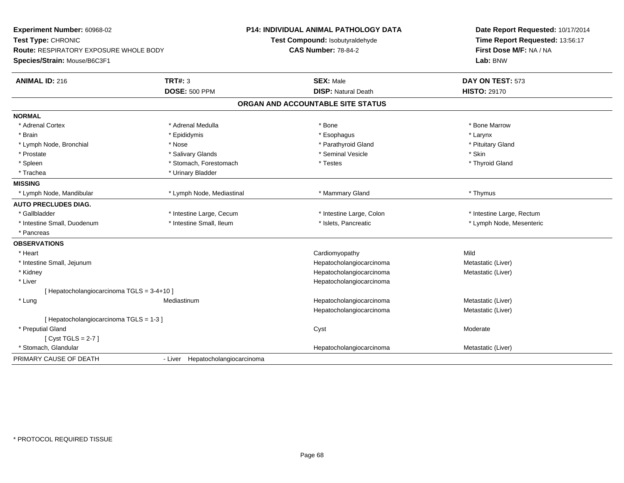| Experiment Number: 60968-02<br>Test Type: CHRONIC<br><b>Route: RESPIRATORY EXPOSURE WHOLE BODY</b><br>Species/Strain: Mouse/B6C3F1 |                                        | <b>P14: INDIVIDUAL ANIMAL PATHOLOGY DATA</b><br>Test Compound: Isobutyraldehyde<br><b>CAS Number: 78-84-2</b> | Date Report Requested: 10/17/2014<br>Time Report Requested: 13:56:17<br>First Dose M/F: NA / NA<br>Lab: BNW |
|------------------------------------------------------------------------------------------------------------------------------------|----------------------------------------|---------------------------------------------------------------------------------------------------------------|-------------------------------------------------------------------------------------------------------------|
| <b>ANIMAL ID: 216</b>                                                                                                              | <b>TRT#: 3</b><br><b>DOSE: 500 PPM</b> | <b>SEX: Male</b><br><b>DISP: Natural Death</b>                                                                | DAY ON TEST: 573<br><b>HISTO: 29170</b>                                                                     |
|                                                                                                                                    |                                        | ORGAN AND ACCOUNTABLE SITE STATUS                                                                             |                                                                                                             |
| <b>NORMAL</b>                                                                                                                      |                                        |                                                                                                               |                                                                                                             |
| * Adrenal Cortex                                                                                                                   | * Adrenal Medulla                      | * Bone                                                                                                        | * Bone Marrow                                                                                               |
| * Brain                                                                                                                            | * Epididymis                           | * Esophagus                                                                                                   | * Larynx                                                                                                    |
| * Lymph Node, Bronchial                                                                                                            | * Nose                                 | * Parathyroid Gland                                                                                           | * Pituitary Gland                                                                                           |
| * Prostate                                                                                                                         | * Salivary Glands                      | * Seminal Vesicle                                                                                             | * Skin                                                                                                      |
| * Spleen                                                                                                                           | * Stomach, Forestomach                 | * Testes                                                                                                      | * Thyroid Gland                                                                                             |
| * Trachea                                                                                                                          | * Urinary Bladder                      |                                                                                                               |                                                                                                             |
| <b>MISSING</b>                                                                                                                     |                                        |                                                                                                               |                                                                                                             |
| * Lymph Node, Mandibular                                                                                                           | * Lymph Node, Mediastinal              | * Mammary Gland                                                                                               | * Thymus                                                                                                    |
| <b>AUTO PRECLUDES DIAG.</b>                                                                                                        |                                        |                                                                                                               |                                                                                                             |
| * Gallbladder                                                                                                                      | * Intestine Large, Cecum               | * Intestine Large, Colon                                                                                      | * Intestine Large, Rectum                                                                                   |
| * Intestine Small, Duodenum                                                                                                        | * Intestine Small, Ileum               | * Islets, Pancreatic                                                                                          | * Lymph Node, Mesenteric                                                                                    |
| * Pancreas                                                                                                                         |                                        |                                                                                                               |                                                                                                             |
| <b>OBSERVATIONS</b>                                                                                                                |                                        |                                                                                                               |                                                                                                             |
| * Heart                                                                                                                            |                                        | Cardiomyopathy                                                                                                | Mild                                                                                                        |
| * Intestine Small, Jejunum                                                                                                         |                                        | Hepatocholangiocarcinoma                                                                                      | Metastatic (Liver)                                                                                          |
| * Kidney                                                                                                                           |                                        | Hepatocholangiocarcinoma                                                                                      | Metastatic (Liver)                                                                                          |
| * Liver                                                                                                                            |                                        | Hepatocholangiocarcinoma                                                                                      |                                                                                                             |
| [ Hepatocholangiocarcinoma TGLS = 3-4+10 ]                                                                                         |                                        |                                                                                                               |                                                                                                             |
| * Lung                                                                                                                             | Mediastinum                            | Hepatocholangiocarcinoma                                                                                      | Metastatic (Liver)                                                                                          |
|                                                                                                                                    |                                        | Hepatocholangiocarcinoma                                                                                      | Metastatic (Liver)                                                                                          |
| [Hepatocholangiocarcinoma TGLS = 1-3]                                                                                              |                                        |                                                                                                               |                                                                                                             |
| * Preputial Gland                                                                                                                  |                                        | Cyst                                                                                                          | Moderate                                                                                                    |
| [Cyst TGLS = $2-7$ ]                                                                                                               |                                        |                                                                                                               |                                                                                                             |
| * Stomach, Glandular                                                                                                               |                                        | Hepatocholangiocarcinoma                                                                                      | Metastatic (Liver)                                                                                          |
| PRIMARY CAUSE OF DEATH                                                                                                             | - Liver Hepatocholangiocarcinoma       |                                                                                                               |                                                                                                             |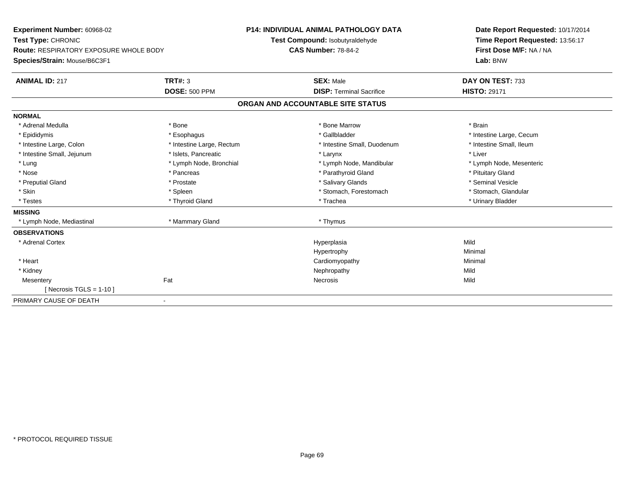**Experiment Number:** 60968-02**Test Type:** CHRONIC **Route:** RESPIRATORY EXPOSURE WHOLE BODY**Species/Strain:** Mouse/B6C3F1**P14: INDIVIDUAL ANIMAL PATHOLOGY DATATest Compound:** Isobutyraldehyde**CAS Number:** 78-84-2**Date Report Requested:** 10/17/2014**Time Report Requested:** 13:56:17**First Dose M/F:** NA / NA**Lab:** BNW**ANIMAL ID:** 217**TRT#:** 3 **SEX:** Male **DAY ON TEST:** 733 **DOSE:** 500 PPM**DISP:** Terminal Sacrifice **HISTO:** 29171 **ORGAN AND ACCOUNTABLE SITE STATUSNORMAL**\* Adrenal Medulla \* \* Annual Medulla \* Brain \* Bone \* \* Bone Marrow \* Bone Marrow \* \* Brain \* Brain \* Brain \* Brain \* Brain \* Brain \* Brain \* Brain \* Brain \* Brain \* Brain \* Brain \* Brain \* Brain \* Brain \* Brain \* Brain \* \* Epididymis **\* Exophagus \* Execument \* Execument \* Gallbladder** \* Gallbladder \* \* Thtestine Large, Cecum \* Intestine Small, Ileum \* Intestine Large, Colon \* Intestine Large, Rectum \* Intestine Small, Duodenum \* Intestine Small, Duodenum \* Intestine Small, Jejunum \* 1998 \* The state of the state of the state of the state of the state of the state of the state of the state of the state of the state of the state of the state of the state of the state of the \* Lung \* Lymph Node, Bronchial \* Lymph Node, Mandibular \* Lymph Node, Mesenteric\* Nose \* Pancreas \* Pancreas \* Pancreas \* Parathyroid Gland \* Parathyroid Gland \* Pituitary Gland \* Pituitary Gland \* Seminal Vesicle \* Preputial Gland \* \* Annual vesicle \* \* Prostate \* \* Salivary Glands \* \* Salivary Glands \* \* Seminal Vesicle \* \* Stomach, Glandular \* Skin \* Spleen \* Spleen \* Spleen \* Stomach, Forestomach \* Stomach, Forestomach \* Testes \* \* Thyroid Gland \* \* Thyroid Gland \* \* Trachea \* \* Trachea \* \* \* Trachea \* Urinary Bladder \* \* Urinary Bladder \* \* Urinary Bladder \* \* Urinary Bladder \* \* Urinary Bladder \* \* Urinary Bladder \* \* Urinary Bladder \* **MISSING** \* Lymph Node, Mediastinal \* Mammary Gland \* Thymus**OBSERVATIONS** \* Adrenal Cortexx and the control of the control of the control of the control of the control of the control of the control of the control of the control of the control of the control of the control of the control of the control of the co a Mild Hypertrophyy the contract of the Minimal Minimal Section 1996 and the Minimal Section 1997 and the Minimal Section 1997 and the  $\sim$  \* Heart Cardiomyopathy Minimal \* Kidneyy the controller of the controller of the controller of the controller of the controller of the controller of the controller of the controller of the controller of the controller of the controller of the controller of the Mild **Mesentery** y the contract of the contract of the contract of the contract of the contract of the contract of the contract of the contract of the contract of the contract of the contract of the contract of the contract of the contract  $[$  Necrosis TGLS = 1-10  $]$ PRIMARY CAUSE OF DEATH-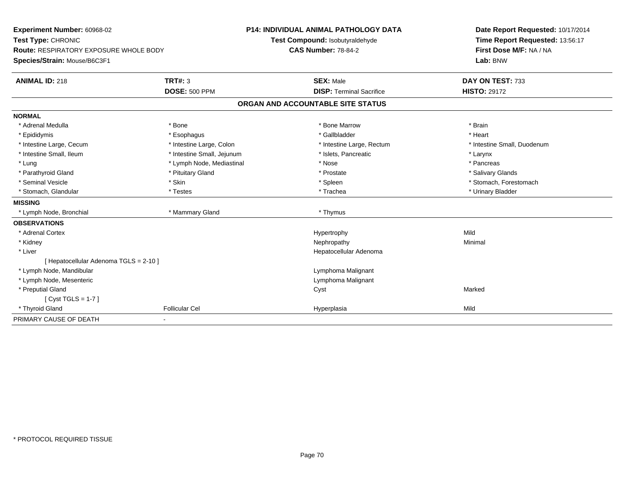| Experiment Number: 60968-02                   |                                 | P14: INDIVIDUAL ANIMAL PATHOLOGY DATA | Date Report Requested: 10/17/2014 |  |
|-----------------------------------------------|---------------------------------|---------------------------------------|-----------------------------------|--|
| Test Type: CHRONIC                            | Test Compound: Isobutyraldehyde |                                       | Time Report Requested: 13:56:17   |  |
| <b>Route: RESPIRATORY EXPOSURE WHOLE BODY</b> |                                 | <b>CAS Number: 78-84-2</b>            | First Dose M/F: NA / NA           |  |
| Species/Strain: Mouse/B6C3F1                  |                                 |                                       | Lab: BNW                          |  |
| <b>ANIMAL ID: 218</b>                         | <b>TRT#: 3</b>                  | <b>SEX: Male</b>                      | DAY ON TEST: 733                  |  |
|                                               | <b>DOSE: 500 PPM</b>            | <b>DISP: Terminal Sacrifice</b>       | <b>HISTO: 29172</b>               |  |
|                                               |                                 | ORGAN AND ACCOUNTABLE SITE STATUS     |                                   |  |
| <b>NORMAL</b>                                 |                                 |                                       |                                   |  |
| * Adrenal Medulla                             | * Bone                          | * Bone Marrow                         | * Brain                           |  |
| * Epididymis                                  | * Esophagus                     | * Gallbladder                         | * Heart                           |  |
| * Intestine Large, Cecum                      | * Intestine Large, Colon        | * Intestine Large, Rectum             | * Intestine Small, Duodenum       |  |
| * Intestine Small, Ileum                      | * Intestine Small, Jejunum      | * Islets, Pancreatic                  | * Larynx                          |  |
| * Lung                                        | * Lymph Node, Mediastinal       | * Nose                                | * Pancreas                        |  |
| * Parathyroid Gland                           | * Pituitary Gland               | * Prostate                            | * Salivary Glands                 |  |
| * Seminal Vesicle                             | * Skin                          | * Spleen                              | * Stomach, Forestomach            |  |
| * Stomach, Glandular                          | * Testes                        | * Trachea                             | * Urinary Bladder                 |  |
| <b>MISSING</b>                                |                                 |                                       |                                   |  |
| * Lymph Node, Bronchial                       | * Mammary Gland                 | * Thymus                              |                                   |  |
| <b>OBSERVATIONS</b>                           |                                 |                                       |                                   |  |
| * Adrenal Cortex                              |                                 | Hypertrophy                           | Mild                              |  |
| * Kidney                                      |                                 | Nephropathy                           | Minimal                           |  |
| * Liver                                       |                                 | Hepatocellular Adenoma                |                                   |  |
| [ Hepatocellular Adenoma TGLS = 2-10 ]        |                                 |                                       |                                   |  |
| * Lymph Node, Mandibular                      |                                 | Lymphoma Malignant                    |                                   |  |
| * Lymph Node, Mesenteric                      |                                 | Lymphoma Malignant                    |                                   |  |
| * Preputial Gland                             |                                 | Cyst                                  | Marked                            |  |
| [Cyst TGLS = $1-7$ ]                          |                                 |                                       |                                   |  |
| * Thyroid Gland                               | <b>Follicular Cel</b>           | Hyperplasia                           | Mild                              |  |
| PRIMARY CAUSE OF DEATH                        |                                 |                                       |                                   |  |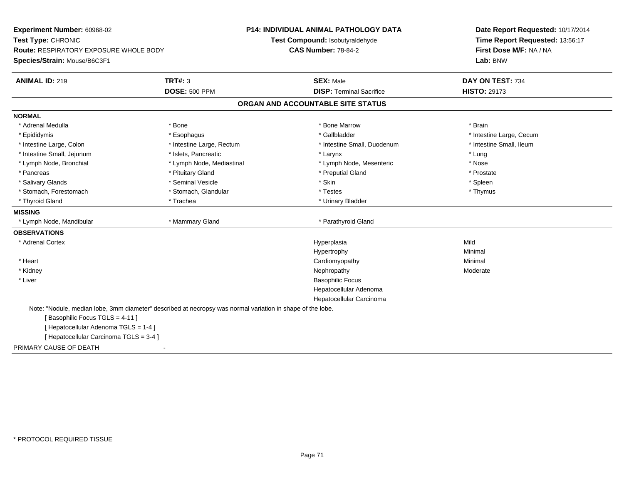| Experiment Number: 60968-02<br>Test Type: CHRONIC                                                          |                           | P14: INDIVIDUAL ANIMAL PATHOLOGY DATA<br>Test Compound: Isobutyraldehyde | Date Report Requested: 10/17/2014<br>Time Report Requested: 13:56:17 |
|------------------------------------------------------------------------------------------------------------|---------------------------|--------------------------------------------------------------------------|----------------------------------------------------------------------|
| <b>Route: RESPIRATORY EXPOSURE WHOLE BODY</b><br>Species/Strain: Mouse/B6C3F1                              |                           | <b>CAS Number: 78-84-2</b>                                               | First Dose M/F: NA / NA<br>Lab: BNW                                  |
| <b>ANIMAL ID: 219</b>                                                                                      | <b>TRT#: 3</b>            | <b>SEX: Male</b>                                                         | DAY ON TEST: 734                                                     |
|                                                                                                            | <b>DOSE: 500 PPM</b>      | <b>DISP: Terminal Sacrifice</b>                                          | <b>HISTO: 29173</b>                                                  |
|                                                                                                            |                           | ORGAN AND ACCOUNTABLE SITE STATUS                                        |                                                                      |
| <b>NORMAL</b>                                                                                              |                           |                                                                          |                                                                      |
| * Adrenal Medulla                                                                                          | * Bone                    | * Bone Marrow                                                            | * Brain                                                              |
| * Epididymis                                                                                               | * Esophagus               | * Gallbladder                                                            | * Intestine Large, Cecum                                             |
| * Intestine Large, Colon                                                                                   | * Intestine Large, Rectum | * Intestine Small, Duodenum                                              | * Intestine Small, Ileum                                             |
| * Intestine Small, Jejunum                                                                                 | * Islets, Pancreatic      | * Larynx                                                                 | * Lung                                                               |
| * Lymph Node, Bronchial                                                                                    | * Lymph Node, Mediastinal | * Lymph Node, Mesenteric                                                 | * Nose                                                               |
| * Pancreas                                                                                                 | * Pituitary Gland         | * Preputial Gland                                                        | * Prostate                                                           |
| * Salivary Glands                                                                                          | * Seminal Vesicle         | * Skin                                                                   | * Spleen                                                             |
| * Stomach, Forestomach                                                                                     | * Stomach, Glandular      | * Testes                                                                 | * Thymus                                                             |
| * Thyroid Gland                                                                                            | * Trachea                 | * Urinary Bladder                                                        |                                                                      |
| <b>MISSING</b>                                                                                             |                           |                                                                          |                                                                      |
| * Lymph Node, Mandibular                                                                                   | * Mammary Gland           | * Parathyroid Gland                                                      |                                                                      |
| <b>OBSERVATIONS</b>                                                                                        |                           |                                                                          |                                                                      |
| * Adrenal Cortex                                                                                           |                           | Hyperplasia                                                              | Mild                                                                 |
|                                                                                                            |                           | Hypertrophy                                                              | Minimal                                                              |
| * Heart                                                                                                    |                           | Cardiomyopathy                                                           | Minimal                                                              |
| * Kidney                                                                                                   |                           | Nephropathy                                                              | Moderate                                                             |
| * Liver                                                                                                    |                           | <b>Basophilic Focus</b>                                                  |                                                                      |
|                                                                                                            |                           | Hepatocellular Adenoma                                                   |                                                                      |
|                                                                                                            |                           | Hepatocellular Carcinoma                                                 |                                                                      |
| Note: "Nodule, median lobe, 3mm diameter" described at necropsy was normal variation in shape of the lobe. |                           |                                                                          |                                                                      |
| Basophilic Focus TGLS = 4-11 ]                                                                             |                           |                                                                          |                                                                      |
| [Hepatocellular Adenoma TGLS = 1-4]                                                                        |                           |                                                                          |                                                                      |
| [ Hepatocellular Carcinoma TGLS = 3-4 ]                                                                    |                           |                                                                          |                                                                      |
| PRIMARY CAUSE OF DEATH                                                                                     |                           |                                                                          |                                                                      |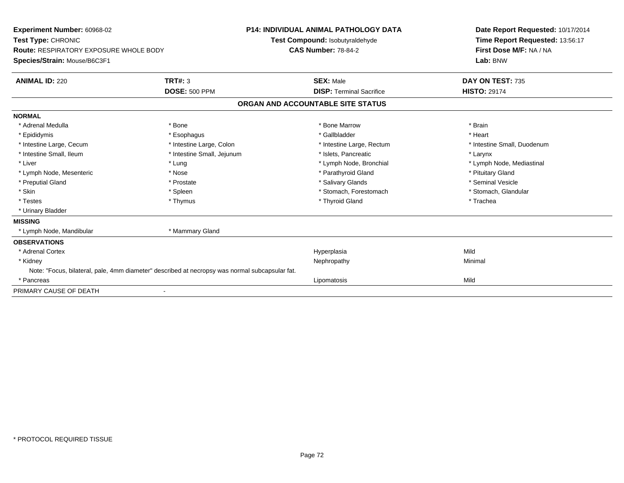| Experiment Number: 60968-02<br>Test Type: CHRONIC<br>Route: RESPIRATORY EXPOSURE WHOLE BODY<br>Species/Strain: Mouse/B6C3F1                                 |                                                                                                                  | <b>P14: INDIVIDUAL ANIMAL PATHOLOGY DATA</b><br>Test Compound: Isobutyraldehyde<br><b>CAS Number: 78-84-2</b>                                                         | Date Report Requested: 10/17/2014<br>Time Report Requested: 13:56:17<br>First Dose M/F: NA / NA<br>Lab: BNW                                         |
|-------------------------------------------------------------------------------------------------------------------------------------------------------------|------------------------------------------------------------------------------------------------------------------|-----------------------------------------------------------------------------------------------------------------------------------------------------------------------|-----------------------------------------------------------------------------------------------------------------------------------------------------|
| <b>ANIMAL ID: 220</b>                                                                                                                                       | <b>TRT#: 3</b><br><b>DOSE: 500 PPM</b>                                                                           | <b>SEX: Male</b><br><b>DISP: Terminal Sacrifice</b>                                                                                                                   | DAY ON TEST: 735<br><b>HISTO: 29174</b>                                                                                                             |
|                                                                                                                                                             |                                                                                                                  | ORGAN AND ACCOUNTABLE SITE STATUS                                                                                                                                     |                                                                                                                                                     |
|                                                                                                                                                             |                                                                                                                  |                                                                                                                                                                       |                                                                                                                                                     |
| <b>NORMAL</b><br>* Adrenal Medulla<br>* Epididymis                                                                                                          | * Bone<br>* Esophagus                                                                                            | * Bone Marrow<br>* Gallbladder                                                                                                                                        | * Brain<br>* Heart                                                                                                                                  |
| * Intestine Large, Cecum<br>* Intestine Small, Ileum<br>* Liver<br>* Lymph Node, Mesenteric<br>* Preputial Gland<br>* Skin<br>* Testes<br>* Urinary Bladder | * Intestine Large, Colon<br>* Intestine Small, Jejunum<br>* Lung<br>* Nose<br>* Prostate<br>* Spleen<br>* Thymus | * Intestine Large, Rectum<br>* Islets, Pancreatic<br>* Lymph Node, Bronchial<br>* Parathyroid Gland<br>* Salivary Glands<br>* Stomach, Forestomach<br>* Thyroid Gland | * Intestine Small, Duodenum<br>* Larynx<br>* Lymph Node, Mediastinal<br>* Pituitary Gland<br>* Seminal Vesicle<br>* Stomach, Glandular<br>* Trachea |
| <b>MISSING</b><br>* Lymph Node, Mandibular                                                                                                                  | * Mammary Gland                                                                                                  |                                                                                                                                                                       |                                                                                                                                                     |
| <b>OBSERVATIONS</b><br>* Adrenal Cortex                                                                                                                     |                                                                                                                  | Hyperplasia                                                                                                                                                           | Mild                                                                                                                                                |
| * Kidney<br>Note: "Focus, bilateral, pale, 4mm diameter" described at necropsy was normal subcapsular fat.<br>* Pancreas                                    |                                                                                                                  | Nephropathy<br>Lipomatosis                                                                                                                                            | Minimal<br>Mild                                                                                                                                     |
| PRIMARY CAUSE OF DEATH                                                                                                                                      |                                                                                                                  |                                                                                                                                                                       |                                                                                                                                                     |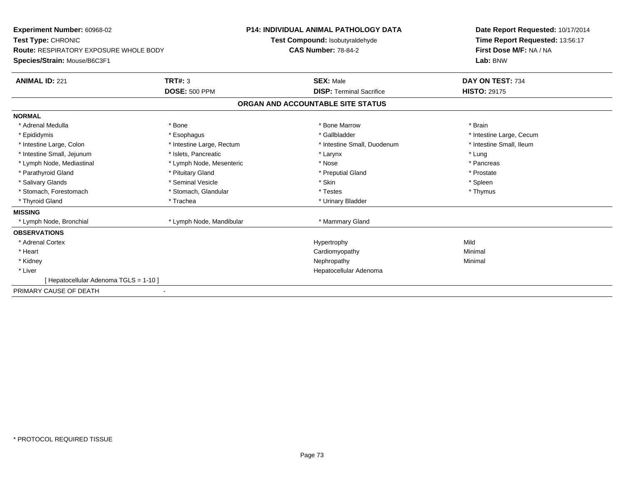| Experiment Number: 60968-02<br>Test Type: CHRONIC<br><b>Route: RESPIRATORY EXPOSURE WHOLE BODY</b> |                           | <b>P14: INDIVIDUAL ANIMAL PATHOLOGY DATA</b><br><b>Test Compound: Isobutyraldehyde</b><br><b>CAS Number: 78-84-2</b> | Date Report Requested: 10/17/2014<br>Time Report Requested: 13:56:17<br>First Dose M/F: NA / NA |
|----------------------------------------------------------------------------------------------------|---------------------------|----------------------------------------------------------------------------------------------------------------------|-------------------------------------------------------------------------------------------------|
| Species/Strain: Mouse/B6C3F1                                                                       |                           |                                                                                                                      | Lab: BNW                                                                                        |
| <b>ANIMAL ID: 221</b>                                                                              | <b>TRT#: 3</b>            | <b>SEX: Male</b>                                                                                                     | DAY ON TEST: 734                                                                                |
|                                                                                                    | <b>DOSE: 500 PPM</b>      | <b>DISP: Terminal Sacrifice</b>                                                                                      | <b>HISTO: 29175</b>                                                                             |
|                                                                                                    |                           | ORGAN AND ACCOUNTABLE SITE STATUS                                                                                    |                                                                                                 |
| <b>NORMAL</b>                                                                                      |                           |                                                                                                                      |                                                                                                 |
| * Adrenal Medulla                                                                                  | * Bone                    | * Bone Marrow                                                                                                        | * Brain                                                                                         |
| * Epididymis                                                                                       | * Esophagus               | * Gallbladder                                                                                                        | * Intestine Large, Cecum                                                                        |
| * Intestine Large, Colon                                                                           | * Intestine Large, Rectum | * Intestine Small, Duodenum                                                                                          | * Intestine Small, Ileum                                                                        |
| * Intestine Small, Jejunum                                                                         | * Islets, Pancreatic      | * Larynx                                                                                                             | * Lung                                                                                          |
| * Lymph Node, Mediastinal                                                                          | * Lymph Node, Mesenteric  | * Nose                                                                                                               | * Pancreas                                                                                      |
| * Parathyroid Gland                                                                                | * Pituitary Gland         | * Preputial Gland                                                                                                    | * Prostate                                                                                      |
| * Salivary Glands                                                                                  | * Seminal Vesicle         | * Skin                                                                                                               | * Spleen                                                                                        |
| * Stomach, Forestomach                                                                             | * Stomach, Glandular      | * Testes                                                                                                             | * Thymus                                                                                        |
| * Thyroid Gland                                                                                    | * Trachea                 | * Urinary Bladder                                                                                                    |                                                                                                 |
| <b>MISSING</b>                                                                                     |                           |                                                                                                                      |                                                                                                 |
| * Lymph Node, Bronchial                                                                            | * Lymph Node, Mandibular  | * Mammary Gland                                                                                                      |                                                                                                 |
| <b>OBSERVATIONS</b>                                                                                |                           |                                                                                                                      |                                                                                                 |
| * Adrenal Cortex                                                                                   |                           | Hypertrophy                                                                                                          | Mild                                                                                            |
| * Heart                                                                                            |                           | Cardiomyopathy                                                                                                       | Minimal                                                                                         |
| * Kidney                                                                                           |                           | Nephropathy                                                                                                          | Minimal                                                                                         |
| * Liver                                                                                            |                           | Hepatocellular Adenoma                                                                                               |                                                                                                 |
| [ Hepatocellular Adenoma TGLS = 1-10 ]                                                             |                           |                                                                                                                      |                                                                                                 |
| PRIMARY CAUSE OF DEATH                                                                             |                           |                                                                                                                      |                                                                                                 |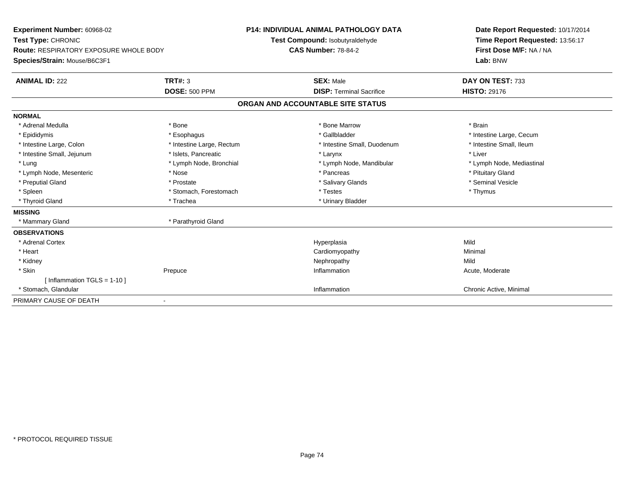| Experiment Number: 60968-02            |                           | <b>P14: INDIVIDUAL ANIMAL PATHOLOGY DATA</b> | Date Report Requested: 10/17/2014 |
|----------------------------------------|---------------------------|----------------------------------------------|-----------------------------------|
| Test Type: CHRONIC                     |                           | Test Compound: Isobutyraldehyde              | Time Report Requested: 13:56:17   |
| Route: RESPIRATORY EXPOSURE WHOLE BODY |                           | <b>CAS Number: 78-84-2</b>                   | First Dose M/F: NA / NA           |
| Species/Strain: Mouse/B6C3F1           |                           |                                              | Lab: BNW                          |
| <b>ANIMAL ID: 222</b>                  | <b>TRT#: 3</b>            | <b>SEX: Male</b>                             | DAY ON TEST: 733                  |
|                                        | <b>DOSE: 500 PPM</b>      | <b>DISP: Terminal Sacrifice</b>              | <b>HISTO: 29176</b>               |
|                                        |                           | ORGAN AND ACCOUNTABLE SITE STATUS            |                                   |
| <b>NORMAL</b>                          |                           |                                              |                                   |
| * Adrenal Medulla                      | * Bone                    | * Bone Marrow                                | * Brain                           |
| * Epididymis                           | * Esophagus               | * Gallbladder                                | * Intestine Large, Cecum          |
| * Intestine Large, Colon               | * Intestine Large, Rectum | * Intestine Small, Duodenum                  | * Intestine Small. Ileum          |
| * Intestine Small, Jejunum             | * Islets. Pancreatic      | * Larynx                                     | * Liver                           |
| * Lung                                 | * Lymph Node, Bronchial   | * Lymph Node, Mandibular                     | * Lymph Node, Mediastinal         |
| * Lymph Node, Mesenteric               | * Nose                    | * Pancreas                                   | * Pituitary Gland                 |
| * Preputial Gland                      | * Prostate                | * Salivary Glands                            | * Seminal Vesicle                 |
| * Spleen                               | * Stomach, Forestomach    | * Testes                                     | * Thymus                          |
| * Thyroid Gland                        | * Trachea                 | * Urinary Bladder                            |                                   |
| <b>MISSING</b>                         |                           |                                              |                                   |
| * Mammary Gland                        | * Parathyroid Gland       |                                              |                                   |
| <b>OBSERVATIONS</b>                    |                           |                                              |                                   |
| * Adrenal Cortex                       |                           | Hyperplasia                                  | Mild                              |
| * Heart                                |                           | Cardiomyopathy                               | Minimal                           |
| * Kidney                               |                           | Nephropathy                                  | Mild                              |
| * Skin                                 | Prepuce                   | Inflammation                                 | Acute, Moderate                   |
| [Inflammation TGLS = $1-10$ ]          |                           |                                              |                                   |
| * Stomach, Glandular                   |                           | Inflammation                                 | Chronic Active, Minimal           |
| PRIMARY CAUSE OF DEATH                 | $\blacksquare$            |                                              |                                   |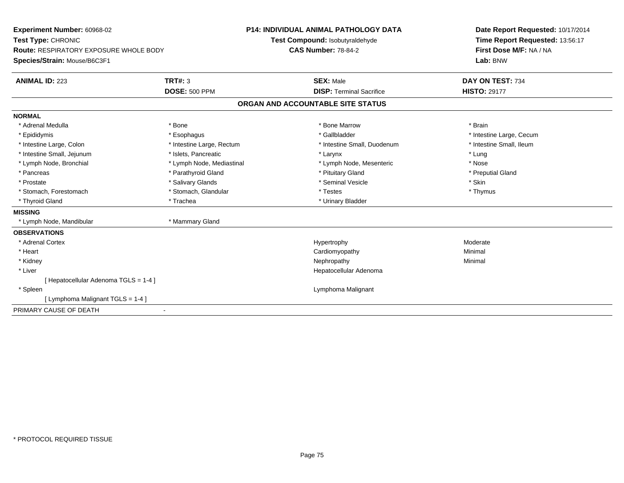| Experiment Number: 60968-02                   |                           | <b>P14: INDIVIDUAL ANIMAL PATHOLOGY DATA</b> | Date Report Requested: 10/17/2014 |  |
|-----------------------------------------------|---------------------------|----------------------------------------------|-----------------------------------|--|
| Test Type: CHRONIC                            |                           | Test Compound: Isobutyraldehyde              | Time Report Requested: 13:56:17   |  |
| <b>Route: RESPIRATORY EXPOSURE WHOLE BODY</b> |                           | <b>CAS Number: 78-84-2</b>                   | First Dose M/F: NA / NA           |  |
| Species/Strain: Mouse/B6C3F1                  |                           |                                              | Lab: BNW                          |  |
| <b>ANIMAL ID: 223</b>                         | <b>TRT#: 3</b>            | <b>SEX: Male</b>                             | DAY ON TEST: 734                  |  |
|                                               | <b>DOSE: 500 PPM</b>      | <b>DISP: Terminal Sacrifice</b>              | <b>HISTO: 29177</b>               |  |
|                                               |                           | ORGAN AND ACCOUNTABLE SITE STATUS            |                                   |  |
| <b>NORMAL</b>                                 |                           |                                              |                                   |  |
| * Adrenal Medulla                             | * Bone                    | * Bone Marrow                                | * Brain                           |  |
| * Epididymis                                  | * Esophagus               | * Gallbladder                                | * Intestine Large, Cecum          |  |
| * Intestine Large, Colon                      | * Intestine Large, Rectum | * Intestine Small, Duodenum                  | * Intestine Small, Ileum          |  |
| * Intestine Small, Jejunum                    | * Islets, Pancreatic      | * Larynx                                     | * Lung                            |  |
| * Lymph Node, Bronchial                       | * Lymph Node, Mediastinal | * Lymph Node, Mesenteric                     | * Nose                            |  |
| * Pancreas                                    | * Parathyroid Gland       | * Pituitary Gland                            | * Preputial Gland                 |  |
| * Prostate                                    | * Salivary Glands         | * Seminal Vesicle                            | * Skin                            |  |
| * Stomach, Forestomach                        | * Stomach, Glandular      | * Testes                                     | * Thymus                          |  |
| * Thyroid Gland                               | * Trachea                 | * Urinary Bladder                            |                                   |  |
| <b>MISSING</b>                                |                           |                                              |                                   |  |
| * Lymph Node, Mandibular                      | * Mammary Gland           |                                              |                                   |  |
| <b>OBSERVATIONS</b>                           |                           |                                              |                                   |  |
| * Adrenal Cortex                              |                           | Hypertrophy                                  | Moderate                          |  |
| * Heart                                       |                           | Cardiomyopathy                               | Minimal                           |  |
| * Kidney                                      |                           | Nephropathy                                  | Minimal                           |  |
| * Liver                                       |                           | Hepatocellular Adenoma                       |                                   |  |
| [Hepatocellular Adenoma TGLS = 1-4]           |                           |                                              |                                   |  |
| * Spleen                                      |                           | Lymphoma Malignant                           |                                   |  |
| [ Lymphoma Malignant TGLS = 1-4 ]             |                           |                                              |                                   |  |
| PRIMARY CAUSE OF DEATH                        |                           |                                              |                                   |  |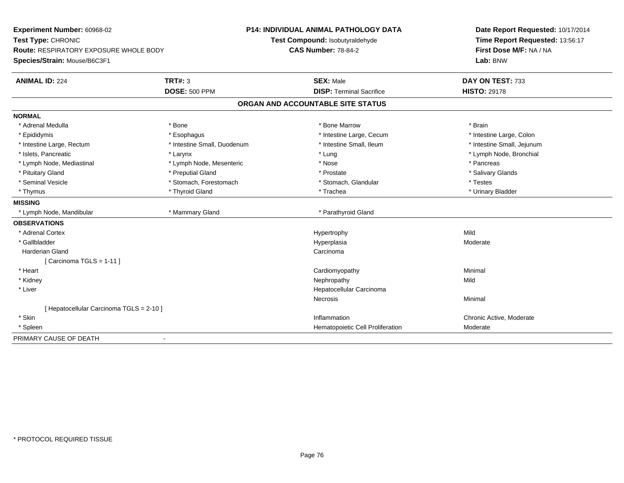| Experiment Number: 60968-02<br>Test Type: CHRONIC<br>Route: RESPIRATORY EXPOSURE WHOLE BODY<br>Species/Strain: Mouse/B6C3F1 |                             | <b>P14: INDIVIDUAL ANIMAL PATHOLOGY DATA</b><br>Test Compound: Isobutyraldehyde<br><b>CAS Number: 78-84-2</b> | Date Report Requested: 10/17/2014<br>Time Report Requested: 13:56:17<br>First Dose M/F: NA / NA<br>Lab: BNW |  |
|-----------------------------------------------------------------------------------------------------------------------------|-----------------------------|---------------------------------------------------------------------------------------------------------------|-------------------------------------------------------------------------------------------------------------|--|
| <b>ANIMAL ID: 224</b>                                                                                                       | <b>TRT#: 3</b>              | <b>SEX: Male</b>                                                                                              | DAY ON TEST: 733                                                                                            |  |
|                                                                                                                             | <b>DOSE: 500 PPM</b>        | <b>DISP: Terminal Sacrifice</b>                                                                               | <b>HISTO: 29178</b>                                                                                         |  |
|                                                                                                                             |                             | ORGAN AND ACCOUNTABLE SITE STATUS                                                                             |                                                                                                             |  |
| <b>NORMAL</b>                                                                                                               |                             |                                                                                                               |                                                                                                             |  |
| * Adrenal Medulla                                                                                                           | * Bone                      | * Bone Marrow                                                                                                 | * Brain                                                                                                     |  |
| * Epididymis                                                                                                                | * Esophagus                 | * Intestine Large, Cecum                                                                                      | * Intestine Large, Colon                                                                                    |  |
| * Intestine Large, Rectum                                                                                                   | * Intestine Small, Duodenum | * Intestine Small, Ileum                                                                                      | * Intestine Small, Jejunum                                                                                  |  |
| * Islets, Pancreatic                                                                                                        | * Larynx                    | * Lung                                                                                                        | * Lymph Node, Bronchial                                                                                     |  |
| * Lymph Node, Mediastinal                                                                                                   | * Lymph Node, Mesenteric    | * Nose                                                                                                        | * Pancreas                                                                                                  |  |
| * Pituitary Gland                                                                                                           | * Preputial Gland           | * Prostate                                                                                                    | * Salivary Glands                                                                                           |  |
| * Seminal Vesicle                                                                                                           | * Stomach, Forestomach      | * Stomach, Glandular                                                                                          | * Testes                                                                                                    |  |
| * Thymus                                                                                                                    | * Thyroid Gland             | * Trachea                                                                                                     | * Urinary Bladder                                                                                           |  |
| <b>MISSING</b>                                                                                                              |                             |                                                                                                               |                                                                                                             |  |
| * Lymph Node, Mandibular                                                                                                    | * Mammary Gland             | * Parathyroid Gland                                                                                           |                                                                                                             |  |
| <b>OBSERVATIONS</b>                                                                                                         |                             |                                                                                                               |                                                                                                             |  |
| * Adrenal Cortex                                                                                                            |                             | Hypertrophy                                                                                                   | Mild                                                                                                        |  |
| * Gallbladder                                                                                                               |                             | Hyperplasia                                                                                                   | Moderate                                                                                                    |  |
| <b>Harderian Gland</b>                                                                                                      |                             | Carcinoma                                                                                                     |                                                                                                             |  |
| [Carcinoma TGLS = $1-11$ ]                                                                                                  |                             |                                                                                                               |                                                                                                             |  |
| * Heart                                                                                                                     |                             | Cardiomyopathy                                                                                                | Minimal                                                                                                     |  |
| * Kidney                                                                                                                    |                             | Nephropathy                                                                                                   | Mild                                                                                                        |  |
| * Liver                                                                                                                     |                             | Hepatocellular Carcinoma                                                                                      |                                                                                                             |  |
|                                                                                                                             |                             | <b>Necrosis</b>                                                                                               | Minimal                                                                                                     |  |
| [ Hepatocellular Carcinoma TGLS = 2-10 ]                                                                                    |                             |                                                                                                               |                                                                                                             |  |
| * Skin                                                                                                                      |                             | Inflammation                                                                                                  | Chronic Active, Moderate                                                                                    |  |
| * Spleen                                                                                                                    |                             | Hematopoietic Cell Proliferation                                                                              | Moderate                                                                                                    |  |
| PRIMARY CAUSE OF DEATH                                                                                                      |                             |                                                                                                               |                                                                                                             |  |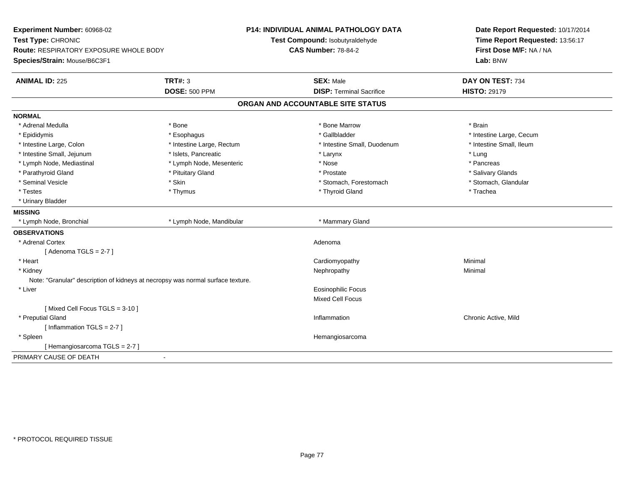| Experiment Number: 60968-02<br>Test Type: CHRONIC<br><b>Route: RESPIRATORY EXPOSURE WHOLE BODY</b><br>Species/Strain: Mouse/B6C3F1 |                                                                                 | <b>P14: INDIVIDUAL ANIMAL PATHOLOGY DATA</b><br>Test Compound: Isobutyraldehyde<br><b>CAS Number: 78-84-2</b> | Date Report Requested: 10/17/2014<br>Time Report Requested: 13:56:17<br>First Dose M/F: NA / NA<br>Lab: BNW |  |
|------------------------------------------------------------------------------------------------------------------------------------|---------------------------------------------------------------------------------|---------------------------------------------------------------------------------------------------------------|-------------------------------------------------------------------------------------------------------------|--|
| <b>ANIMAL ID: 225</b>                                                                                                              | <b>TRT#: 3</b><br><b>DOSE: 500 PPM</b>                                          | <b>SEX: Male</b><br><b>DISP: Terminal Sacrifice</b>                                                           | DAY ON TEST: 734<br><b>HISTO: 29179</b>                                                                     |  |
|                                                                                                                                    |                                                                                 |                                                                                                               |                                                                                                             |  |
|                                                                                                                                    |                                                                                 | ORGAN AND ACCOUNTABLE SITE STATUS                                                                             |                                                                                                             |  |
| <b>NORMAL</b>                                                                                                                      |                                                                                 |                                                                                                               |                                                                                                             |  |
| * Adrenal Medulla                                                                                                                  | * Bone                                                                          | * Bone Marrow                                                                                                 | * Brain                                                                                                     |  |
| * Epididymis                                                                                                                       | * Esophagus                                                                     | * Gallbladder                                                                                                 | * Intestine Large, Cecum                                                                                    |  |
| * Intestine Large, Colon                                                                                                           | * Intestine Large, Rectum                                                       | * Intestine Small, Duodenum                                                                                   | * Intestine Small, Ileum                                                                                    |  |
| * Intestine Small, Jejunum                                                                                                         | * Islets, Pancreatic                                                            | * Larynx                                                                                                      | * Lung                                                                                                      |  |
| * Lymph Node, Mediastinal                                                                                                          | * Lymph Node, Mesenteric                                                        | * Nose                                                                                                        | * Pancreas                                                                                                  |  |
| * Parathyroid Gland                                                                                                                | * Pituitary Gland                                                               | * Prostate                                                                                                    | * Salivary Glands                                                                                           |  |
| * Seminal Vesicle                                                                                                                  | * Skin                                                                          | * Stomach, Forestomach                                                                                        | * Stomach, Glandular                                                                                        |  |
| * Testes                                                                                                                           | * Thymus                                                                        | * Thyroid Gland                                                                                               | * Trachea                                                                                                   |  |
| * Urinary Bladder                                                                                                                  |                                                                                 |                                                                                                               |                                                                                                             |  |
| <b>MISSING</b>                                                                                                                     |                                                                                 |                                                                                                               |                                                                                                             |  |
| * Lymph Node, Bronchial                                                                                                            | * Lymph Node, Mandibular                                                        | * Mammary Gland                                                                                               |                                                                                                             |  |
| <b>OBSERVATIONS</b>                                                                                                                |                                                                                 |                                                                                                               |                                                                                                             |  |
| * Adrenal Cortex                                                                                                                   |                                                                                 | Adenoma                                                                                                       |                                                                                                             |  |
| [Adenoma TGLS = $2-7$ ]                                                                                                            |                                                                                 |                                                                                                               |                                                                                                             |  |
| * Heart                                                                                                                            |                                                                                 | Cardiomyopathy                                                                                                | Minimal                                                                                                     |  |
| * Kidney                                                                                                                           |                                                                                 | Nephropathy                                                                                                   | Minimal                                                                                                     |  |
|                                                                                                                                    | Note: "Granular" description of kidneys at necropsy was normal surface texture. |                                                                                                               |                                                                                                             |  |
| * Liver                                                                                                                            |                                                                                 | <b>Eosinophilic Focus</b>                                                                                     |                                                                                                             |  |
|                                                                                                                                    |                                                                                 | <b>Mixed Cell Focus</b>                                                                                       |                                                                                                             |  |
| [Mixed Cell Focus TGLS = 3-10]                                                                                                     |                                                                                 |                                                                                                               |                                                                                                             |  |
| * Preputial Gland                                                                                                                  |                                                                                 | Inflammation                                                                                                  | Chronic Active, Mild                                                                                        |  |
| [Inflammation TGLS = $2-7$ ]                                                                                                       |                                                                                 |                                                                                                               |                                                                                                             |  |
| * Spleen                                                                                                                           |                                                                                 | Hemangiosarcoma                                                                                               |                                                                                                             |  |
| [Hemangiosarcoma TGLS = 2-7]                                                                                                       |                                                                                 |                                                                                                               |                                                                                                             |  |
| PRIMARY CAUSE OF DEATH                                                                                                             |                                                                                 |                                                                                                               |                                                                                                             |  |
|                                                                                                                                    |                                                                                 |                                                                                                               |                                                                                                             |  |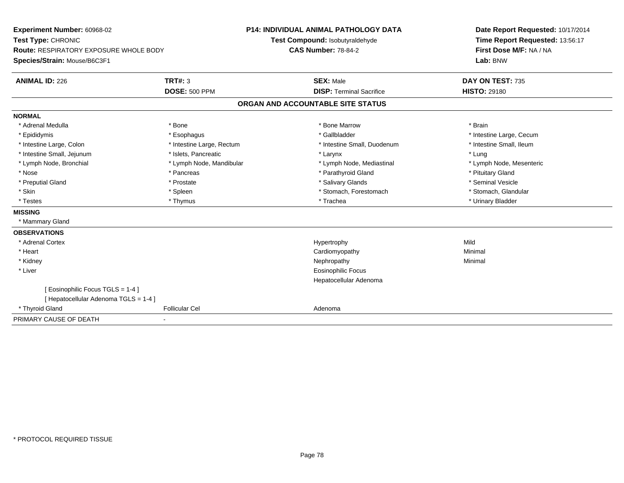**Experiment Number:** 60968-02**Test Type:** CHRONIC **Route:** RESPIRATORY EXPOSURE WHOLE BODY**Species/Strain:** Mouse/B6C3F1**P14: INDIVIDUAL ANIMAL PATHOLOGY DATATest Compound:** Isobutyraldehyde**CAS Number:** 78-84-2**Date Report Requested:** 10/17/2014**Time Report Requested:** 13:56:17**First Dose M/F:** NA / NA**Lab:** BNW**ANIMAL ID:** 226**6 DAY ON TEST:** 735 **DOSE:** 500 PPM**DISP:** Terminal Sacrifice **HISTO:** 29180 **ORGAN AND ACCOUNTABLE SITE STATUSNORMAL**\* Adrenal Medulla \* \* Annual Medulla \* Brain \* Bone \* \* Bone Marrow \* Bone Marrow \* \* Brain \* Brain \* Brain \* Brain \* Brain \* Brain \* Brain \* Brain \* Brain \* Brain \* Brain \* Brain \* Brain \* Brain \* Brain \* Brain \* Brain \* \* Epididymis **\* Exophagus \* Execument \* Execument \* Gallbladder** \* Gallbladder \* \* Thtestine Large, Cecum \* Intestine Small, Ileum \* Intestine Large, Colon \* Intestine Large, Rectum \* Intestine Small, Duodenum \* Intestine Small, Duodenum \* Intestine Small, Jejunum \* 1998 \* \* Islets, Pancreatic \* Maxwell \* Larynx \* Larynx \* Larynx \* Lung \* Lymph Node, Mesenteric \* Lymph Node, Bronchial \* Lymph Node, Mandibular \* Lymph Node, Mediastinal \* Lymph Node, Mediastinal \* Nose \* Pancreas \* Pancreas \* Pancreas \* Parathyroid Gland \* Parathyroid Gland \* Pituitary Gland \* Pituitary Gland \* Seminal Vesicle \* Preputial Gland \* \* Annual vesicle \* \* Prostate \* \* Salivary Glands \* \* Salivary Glands \* \* Seminal Vesicle \* \* Stomach, Glandular \* Skin \* Spleen \* Spleen \* Spleen \* Stomach, Forestomach \* Stomach, Forestomach \* Testes \* Thymus \* Trachea \* Urinary Bladder **MISSING** \* Mammary Gland**OBSERVATIONS** \* Adrenal Cortexx and the control of the control of the control of the Hypertrophy control of the control of the control of the control of the control of the control of the control of the control of the control of the control of the contr Minimal \* Heart Cardiomyopathy Minimal \* Kidneyy the control of the control of the control of the control of the control of the control of the control of the control of the control of the control of the control of the control of the control of the control of the contro \* Liver Eosinophilic Focus Hepatocellular Adenoma[ Eosinophilic Focus TGLS = 1-4 ][ Hepatocellular Adenoma TGLS = 1-4 ] \* Thyroid Glandd **Exercise Controllicular Cel Cel Adenoma** Adenoma Adenoma Adenoma Adenoma Adenoma Adenoma Adenoma Adenoma Adenoma Adenoma Adenoma Adenoma Adenoma Adenoma Adenoma Adenoma Adenoma Adenoma Adenoma Adenoma Adenoma Adenoma PRIMARY CAUSE OF DEATH-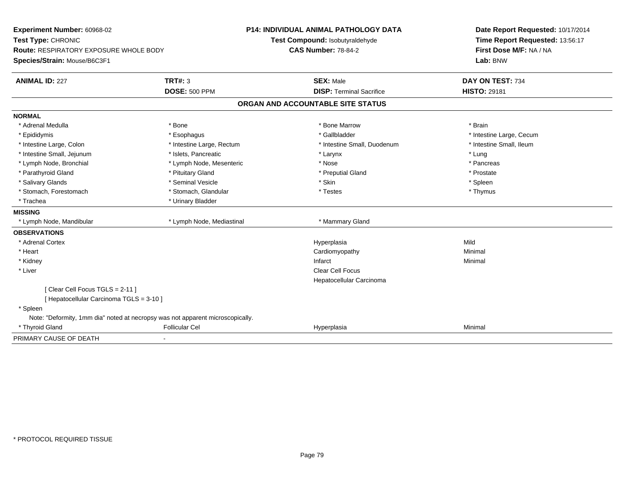| Experiment Number: 60968-02              |                                                                                | <b>P14: INDIVIDUAL ANIMAL PATHOLOGY DATA</b> | Date Report Requested: 10/17/2014                          |
|------------------------------------------|--------------------------------------------------------------------------------|----------------------------------------------|------------------------------------------------------------|
| Test Type: CHRONIC                       |                                                                                | Test Compound: Isobutyraldehyde              | Time Report Requested: 13:56:17<br>First Dose M/F: NA / NA |
| Route: RESPIRATORY EXPOSURE WHOLE BODY   |                                                                                | <b>CAS Number: 78-84-2</b>                   |                                                            |
| Species/Strain: Mouse/B6C3F1             |                                                                                |                                              | Lab: BNW                                                   |
| <b>ANIMAL ID: 227</b>                    | <b>TRT#: 3</b>                                                                 | <b>SEX: Male</b>                             | DAY ON TEST: 734                                           |
|                                          | <b>DOSE: 500 PPM</b>                                                           | <b>DISP: Terminal Sacrifice</b>              | <b>HISTO: 29181</b>                                        |
|                                          |                                                                                | ORGAN AND ACCOUNTABLE SITE STATUS            |                                                            |
| <b>NORMAL</b>                            |                                                                                |                                              |                                                            |
| * Adrenal Medulla                        | * Bone                                                                         | * Bone Marrow                                | * Brain                                                    |
| * Epididymis                             | * Esophagus                                                                    | * Gallbladder                                | * Intestine Large, Cecum                                   |
| * Intestine Large, Colon                 | * Intestine Large, Rectum                                                      | * Intestine Small, Duodenum                  | * Intestine Small, Ileum                                   |
| * Intestine Small, Jejunum               | * Islets, Pancreatic                                                           | * Larynx                                     | * Lung                                                     |
| * Lymph Node, Bronchial                  | * Lymph Node, Mesenteric                                                       | * Nose                                       | * Pancreas                                                 |
| * Parathyroid Gland                      | * Pituitary Gland                                                              | * Preputial Gland                            | * Prostate                                                 |
| * Salivary Glands                        | * Seminal Vesicle                                                              | * Skin                                       | * Spleen                                                   |
| * Stomach, Forestomach                   | * Stomach, Glandular                                                           | * Testes                                     | * Thymus                                                   |
| * Trachea                                | * Urinary Bladder                                                              |                                              |                                                            |
| <b>MISSING</b>                           |                                                                                |                                              |                                                            |
| * Lymph Node, Mandibular                 | * Lymph Node, Mediastinal                                                      | * Mammary Gland                              |                                                            |
| <b>OBSERVATIONS</b>                      |                                                                                |                                              |                                                            |
| * Adrenal Cortex                         |                                                                                | Hyperplasia                                  | Mild                                                       |
| * Heart                                  |                                                                                | Cardiomyopathy                               | Minimal                                                    |
| * Kidney                                 |                                                                                | Infarct                                      | Minimal                                                    |
| * Liver                                  |                                                                                | Clear Cell Focus                             |                                                            |
|                                          |                                                                                | Hepatocellular Carcinoma                     |                                                            |
| [Clear Cell Focus TGLS = 2-11]           |                                                                                |                                              |                                                            |
| [ Hepatocellular Carcinoma TGLS = 3-10 ] |                                                                                |                                              |                                                            |
| * Spleen                                 |                                                                                |                                              |                                                            |
|                                          | Note: "Deformity, 1mm dia" noted at necropsy was not apparent microscopically. |                                              |                                                            |
| * Thyroid Gland                          | <b>Follicular Cel</b>                                                          | Hyperplasia                                  | Minimal                                                    |
| PRIMARY CAUSE OF DEATH                   |                                                                                |                                              |                                                            |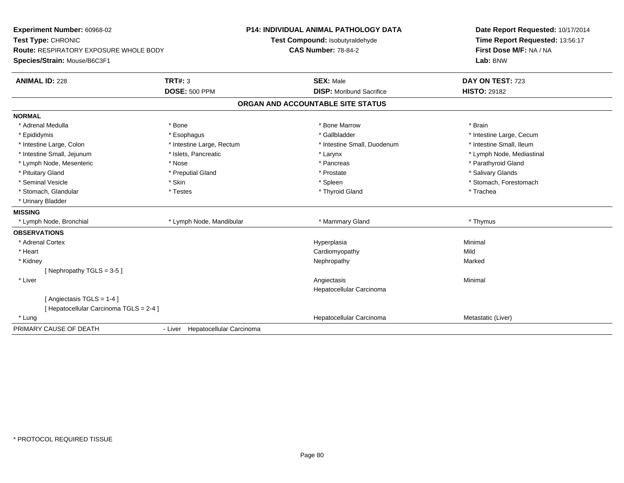| Experiment Number: 60968-02                   |                                  | <b>P14: INDIVIDUAL ANIMAL PATHOLOGY DATA</b> | Date Report Requested: 10/17/2014                          |
|-----------------------------------------------|----------------------------------|----------------------------------------------|------------------------------------------------------------|
| Test Type: CHRONIC                            |                                  | Test Compound: Isobutyraldehyde              | Time Report Requested: 13:56:17<br>First Dose M/F: NA / NA |
| <b>Route: RESPIRATORY EXPOSURE WHOLE BODY</b> |                                  | <b>CAS Number: 78-84-2</b>                   |                                                            |
| Species/Strain: Mouse/B6C3F1                  |                                  |                                              | Lab: BNW                                                   |
| <b>ANIMAL ID: 228</b>                         | <b>TRT#: 3</b>                   | <b>SEX: Male</b>                             | DAY ON TEST: 723                                           |
|                                               | <b>DOSE: 500 PPM</b>             | <b>DISP:</b> Moribund Sacrifice              | <b>HISTO: 29182</b>                                        |
|                                               |                                  | ORGAN AND ACCOUNTABLE SITE STATUS            |                                                            |
| <b>NORMAL</b>                                 |                                  |                                              |                                                            |
| * Adrenal Medulla                             | * Bone                           | * Bone Marrow                                | * Brain                                                    |
| * Epididymis                                  | * Esophagus                      | * Gallbladder                                | * Intestine Large, Cecum                                   |
| * Intestine Large, Colon                      | * Intestine Large, Rectum        | * Intestine Small, Duodenum                  | * Intestine Small, Ileum                                   |
| * Intestine Small, Jejunum                    | * Islets, Pancreatic             | * Larynx                                     | * Lymph Node, Mediastinal                                  |
| * Lymph Node, Mesenteric                      | * Nose                           | * Pancreas                                   | * Parathyroid Gland                                        |
| * Pituitary Gland                             | * Preputial Gland                | * Prostate                                   | * Salivary Glands                                          |
| * Seminal Vesicle                             | * Skin                           | * Spleen                                     | * Stomach, Forestomach                                     |
| * Stomach, Glandular                          | * Testes                         | * Thyroid Gland                              | * Trachea                                                  |
| * Urinary Bladder                             |                                  |                                              |                                                            |
| <b>MISSING</b>                                |                                  |                                              |                                                            |
| * Lymph Node, Bronchial                       | * Lymph Node, Mandibular         | * Mammary Gland                              | * Thymus                                                   |
| <b>OBSERVATIONS</b>                           |                                  |                                              |                                                            |
| * Adrenal Cortex                              |                                  | Hyperplasia                                  | Minimal                                                    |
| * Heart                                       |                                  | Cardiomyopathy                               | Mild                                                       |
| * Kidney                                      |                                  | Nephropathy                                  | Marked                                                     |
| [Nephropathy TGLS = 3-5]                      |                                  |                                              |                                                            |
| * Liver                                       |                                  | Angiectasis                                  | Minimal                                                    |
|                                               |                                  | Hepatocellular Carcinoma                     |                                                            |
| [Angiectasis TGLS = 1-4]                      |                                  |                                              |                                                            |
| [Hepatocellular Carcinoma TGLS = 2-4]         |                                  |                                              |                                                            |
| * Lung                                        |                                  | Hepatocellular Carcinoma                     | Metastatic (Liver)                                         |
| PRIMARY CAUSE OF DEATH                        | - Liver Hepatocellular Carcinoma |                                              |                                                            |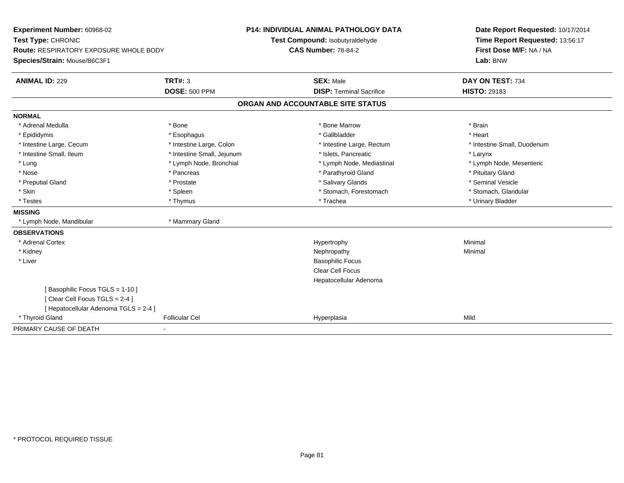| Experiment Number: 60968-02<br>Test Type: CHRONIC                      |                            | <b>P14: INDIVIDUAL ANIMAL PATHOLOGY DATA</b><br>Test Compound: Isobutyraldehyde | Date Report Requested: 10/17/2014<br>Time Report Requested: 13:56:17 |  |
|------------------------------------------------------------------------|----------------------------|---------------------------------------------------------------------------------|----------------------------------------------------------------------|--|
| Route: RESPIRATORY EXPOSURE WHOLE BODY<br>Species/Strain: Mouse/B6C3F1 |                            | <b>CAS Number: 78-84-2</b>                                                      | First Dose M/F: NA / NA<br>Lab: BNW                                  |  |
| <b>ANIMAL ID: 229</b>                                                  | <b>TRT#: 3</b>             | <b>SEX: Male</b>                                                                | DAY ON TEST: 734                                                     |  |
|                                                                        | <b>DOSE: 500 PPM</b>       | <b>DISP: Terminal Sacrifice</b>                                                 | <b>HISTO: 29183</b>                                                  |  |
|                                                                        |                            | ORGAN AND ACCOUNTABLE SITE STATUS                                               |                                                                      |  |
| <b>NORMAL</b>                                                          |                            |                                                                                 |                                                                      |  |
| * Adrenal Medulla                                                      | * Bone                     | * Bone Marrow                                                                   | * Brain                                                              |  |
| * Epididymis                                                           | * Esophagus                | * Gallbladder                                                                   | * Heart                                                              |  |
| * Intestine Large, Cecum                                               | * Intestine Large, Colon   | * Intestine Large, Rectum                                                       | * Intestine Small, Duodenum                                          |  |
| * Intestine Small, Ileum                                               | * Intestine Small, Jejunum | * Islets. Pancreatic                                                            | * Larynx                                                             |  |
| * Lung                                                                 | * Lymph Node, Bronchial    | * Lymph Node, Mediastinal                                                       | * Lymph Node, Mesenteric                                             |  |
| * Nose                                                                 | * Pancreas                 | * Parathyroid Gland                                                             | * Pituitary Gland                                                    |  |
| * Preputial Gland                                                      | * Prostate                 | * Salivary Glands                                                               | * Seminal Vesicle                                                    |  |
| * Skin                                                                 | * Spleen                   | * Stomach, Forestomach                                                          | * Stomach, Glandular                                                 |  |
| * Testes                                                               | * Thymus                   | * Trachea                                                                       | * Urinary Bladder                                                    |  |
| <b>MISSING</b>                                                         |                            |                                                                                 |                                                                      |  |
| * Lymph Node, Mandibular                                               | * Mammary Gland            |                                                                                 |                                                                      |  |
| <b>OBSERVATIONS</b>                                                    |                            |                                                                                 |                                                                      |  |
| * Adrenal Cortex                                                       |                            | Hypertrophy                                                                     | Minimal                                                              |  |
| * Kidney                                                               |                            | Nephropathy                                                                     | Minimal                                                              |  |
| * Liver                                                                |                            | <b>Basophilic Focus</b>                                                         |                                                                      |  |
|                                                                        |                            | <b>Clear Cell Focus</b>                                                         |                                                                      |  |
|                                                                        |                            | Hepatocellular Adenoma                                                          |                                                                      |  |
| [Basophilic Focus TGLS = 1-10]                                         |                            |                                                                                 |                                                                      |  |
| [Clear Cell Focus TGLS = 2-4]                                          |                            |                                                                                 |                                                                      |  |
| [ Hepatocellular Adenoma TGLS = 2-4 ]                                  |                            |                                                                                 |                                                                      |  |
| * Thyroid Gland                                                        | <b>Follicular Cel</b>      | Hyperplasia                                                                     | Mild                                                                 |  |
| PRIMARY CAUSE OF DEATH                                                 |                            |                                                                                 |                                                                      |  |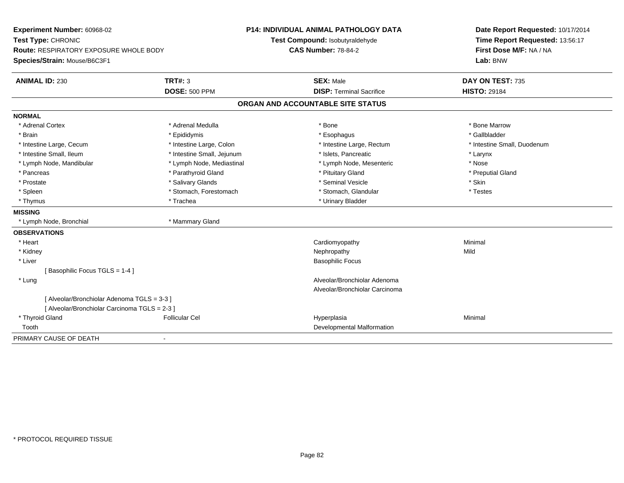| Experiment Number: 60968-02<br>Test Type: CHRONIC |                            | <b>P14: INDIVIDUAL ANIMAL PATHOLOGY DATA</b><br>Test Compound: Isobutyraldehyde | Date Report Requested: 10/17/2014<br>Time Report Requested: 13:56:17 |
|---------------------------------------------------|----------------------------|---------------------------------------------------------------------------------|----------------------------------------------------------------------|
| Route: RESPIRATORY EXPOSURE WHOLE BODY            |                            | <b>CAS Number: 78-84-2</b>                                                      | First Dose M/F: NA / NA                                              |
|                                                   |                            |                                                                                 | Lab: BNW                                                             |
| Species/Strain: Mouse/B6C3F1                      |                            |                                                                                 |                                                                      |
| <b>ANIMAL ID: 230</b>                             | <b>TRT#: 3</b>             | <b>SEX: Male</b>                                                                | DAY ON TEST: 735                                                     |
|                                                   | <b>DOSE: 500 PPM</b>       | <b>DISP: Terminal Sacrifice</b>                                                 | <b>HISTO: 29184</b>                                                  |
|                                                   |                            | ORGAN AND ACCOUNTABLE SITE STATUS                                               |                                                                      |
| <b>NORMAL</b>                                     |                            |                                                                                 |                                                                      |
| * Adrenal Cortex                                  | * Adrenal Medulla          | * Bone                                                                          | * Bone Marrow                                                        |
| * Brain                                           | * Epididymis               | * Esophagus                                                                     | * Gallbladder                                                        |
| * Intestine Large, Cecum                          | * Intestine Large, Colon   | * Intestine Large, Rectum                                                       | * Intestine Small, Duodenum                                          |
| * Intestine Small, Ileum                          | * Intestine Small, Jejunum | * Islets, Pancreatic                                                            | * Larynx                                                             |
| * Lymph Node, Mandibular                          | * Lymph Node, Mediastinal  | * Lymph Node, Mesenteric                                                        | * Nose                                                               |
| * Pancreas                                        | * Parathyroid Gland        | * Pituitary Gland                                                               | * Preputial Gland                                                    |
| * Prostate                                        | * Salivary Glands          | * Seminal Vesicle                                                               | * Skin                                                               |
| * Spleen                                          | * Stomach, Forestomach     | * Stomach, Glandular                                                            | * Testes                                                             |
| * Thymus                                          | * Trachea                  | * Urinary Bladder                                                               |                                                                      |
| <b>MISSING</b>                                    |                            |                                                                                 |                                                                      |
| * Lymph Node, Bronchial                           | * Mammary Gland            |                                                                                 |                                                                      |
| <b>OBSERVATIONS</b>                               |                            |                                                                                 |                                                                      |
| * Heart                                           |                            | Cardiomyopathy                                                                  | Minimal                                                              |
| * Kidney                                          |                            | Nephropathy                                                                     | Mild                                                                 |
| * Liver                                           |                            | <b>Basophilic Focus</b>                                                         |                                                                      |
| [Basophilic Focus TGLS = 1-4]                     |                            |                                                                                 |                                                                      |
| * Lung                                            |                            | Alveolar/Bronchiolar Adenoma                                                    |                                                                      |
|                                                   |                            | Alveolar/Bronchiolar Carcinoma                                                  |                                                                      |
| [ Alveolar/Bronchiolar Adenoma TGLS = 3-3 ]       |                            |                                                                                 |                                                                      |
| [ Alveolar/Bronchiolar Carcinoma TGLS = 2-3 ]     |                            |                                                                                 |                                                                      |
| * Thyroid Gland                                   | <b>Follicular Cel</b>      | Hyperplasia                                                                     | Minimal                                                              |
| Tooth                                             |                            | Developmental Malformation                                                      |                                                                      |
| PRIMARY CAUSE OF DEATH                            |                            |                                                                                 |                                                                      |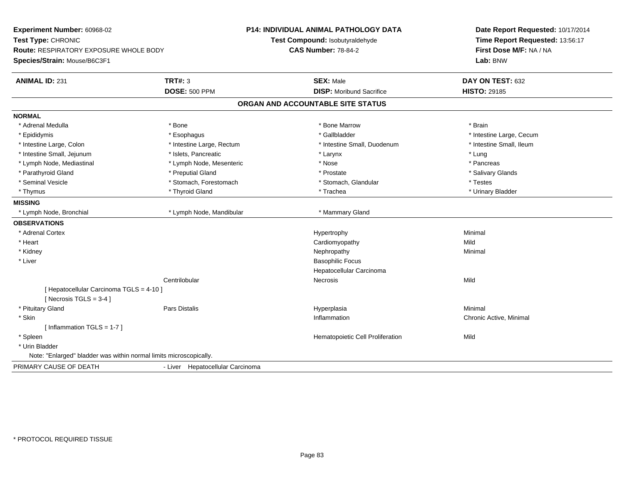**Experiment Number:** 60968-02**Test Type:** CHRONIC **Route:** RESPIRATORY EXPOSURE WHOLE BODY**Species/Strain:** Mouse/B6C3F1**P14: INDIVIDUAL ANIMAL PATHOLOGY DATATest Compound:** Isobutyraldehyde**CAS Number:** 78-84-2**Date Report Requested:** 10/17/2014**Time Report Requested:** 13:56:17**First Dose M/F:** NA / NA**Lab:** BNW**ANIMAL ID:** 231**TRT#:** 3 **SEX:** Male **DAY ON TEST:** 632 **DOSE:** 500 PPM**DISP:** Moribund Sacrifice **HISTO:** 29185 **ORGAN AND ACCOUNTABLE SITE STATUSNORMAL**\* Adrenal Medulla \* \* Annual Medulla \* Brain \* Bone \* \* Bone Marrow \* Bone Marrow \* \* Brain \* Brain \* Brain \* Brain \* Brain \* Brain \* Brain \* Brain \* Brain \* Brain \* Brain \* Brain \* Brain \* Brain \* Brain \* Brain \* Brain \* \* Epididymis **\* Exophagus \* Execument \* Execument \* Gallbladder** \* Gallbladder \* \* Thtestine Large, Cecum \* Intestine Small, Ileum \* Intestine Large, Colon \* Intestine Large, Rectum \* Intestine Small, Duodenum \* Intestine Small, Duodenum \* Intestine Small, Jejunum \* 1998 \* \* Islets, Pancreatic \* Manufacture \* Larynx \* Larynx \* Lung \* Lung \* Lung \* Pancreas \* Lymph Node, Mediastinal \* Nose \* Lymph Node, Mesenteric \* \* Nose \* Nose \* Salivary Glands \* Parathyroid Gland \* \* \* Preputial Gland \* \* Preputial Gland \* \* Prostate \* \* Salivary Glands \* Salivary Glands \* Seminal Vesicle \* Testes \* Stomach, Forestomach \* Testes \* Stomach, Glandular \* Testes \* Testes \* Urinary Bladder \* Thymus \* Thyroid Gland \* Trachea \* Urinary Bladder \* **MISSING**\* Lymph Node, Bronchial \* Lymph Node, Mandibular \* Mammary Gland **OBSERVATIONS** \* Adrenal Cortexx and the controller of the controller of the controller of the Hypertrophy  $\mathsf{M}$ inimal  $\mathsf{M}$ inimal  $\mathsf{M}$  \* Heart Cardiomyopathyy Mild Minimal \* Kidneyy the control of the control of the control of the control of the control of the control of the control of the control of the control of the control of the control of the control of the control of the control of the contro \* Liver Basophilic Focus Hepatocellular CarcinomaCentrilobular Necrosiss and the contract of the Mild [ Hepatocellular Carcinoma TGLS = 4-10 ] $[$  Necrosis TGLS = 3-4  $]$  \* Pituitary Gland Pars Distalis Hyperplasia Minimal \* Skinn and the chronic Active, Minimal and the chronic Active, Minimal and the chronic Active, Minimal and the chronic Active, Minimal and the chronic Active, Minimal and the chronic Active, Minimal and the chronic Active, Mini [ Inflammation TGLS = 1-7 ] \* SpleenHematopoietic Cell Proliferation Mild \* Urin Bladder Note: "Enlarged" bladder was within normal limits microscopically.PRIMARY CAUSE OF DEATH- Liver Hepatocellular Carcinoma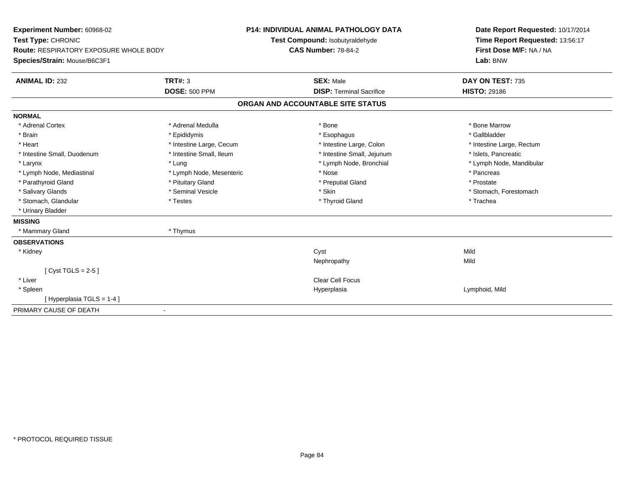| Experiment Number: 60968-02            |                          | <b>P14: INDIVIDUAL ANIMAL PATHOLOGY DATA</b> | Date Report Requested: 10/17/2014 |
|----------------------------------------|--------------------------|----------------------------------------------|-----------------------------------|
| Test Type: CHRONIC                     |                          | Test Compound: Isobutyraldehyde              | Time Report Requested: 13:56:17   |
| Route: RESPIRATORY EXPOSURE WHOLE BODY |                          | <b>CAS Number: 78-84-2</b>                   | First Dose M/F: NA / NA           |
| Species/Strain: Mouse/B6C3F1           |                          |                                              | Lab: BNW                          |
| <b>ANIMAL ID: 232</b>                  | <b>TRT#: 3</b>           | <b>SEX: Male</b>                             | DAY ON TEST: 735                  |
|                                        | <b>DOSE: 500 PPM</b>     | <b>DISP: Terminal Sacrifice</b>              | <b>HISTO: 29186</b>               |
|                                        |                          | ORGAN AND ACCOUNTABLE SITE STATUS            |                                   |
| <b>NORMAL</b>                          |                          |                                              |                                   |
| * Adrenal Cortex                       | * Adrenal Medulla        | * Bone                                       | * Bone Marrow                     |
| * Brain                                | * Epididymis             | * Esophagus                                  | * Gallbladder                     |
| * Heart                                | * Intestine Large, Cecum | * Intestine Large, Colon                     | * Intestine Large, Rectum         |
| * Intestine Small, Duodenum            | * Intestine Small, Ileum | * Intestine Small, Jejunum                   | * Islets, Pancreatic              |
| * Larynx                               | * Lung                   | * Lymph Node, Bronchial                      | * Lymph Node, Mandibular          |
| * Lymph Node, Mediastinal              | * Lymph Node, Mesenteric | * Nose                                       | * Pancreas                        |
| * Parathyroid Gland                    | * Pituitary Gland        | * Preputial Gland                            | * Prostate                        |
| * Salivary Glands                      | * Seminal Vesicle        | * Skin                                       | * Stomach, Forestomach            |
| * Stomach, Glandular                   | * Testes                 | * Thyroid Gland                              | * Trachea                         |
| * Urinary Bladder                      |                          |                                              |                                   |
| <b>MISSING</b>                         |                          |                                              |                                   |
| * Mammary Gland                        | * Thymus                 |                                              |                                   |
| <b>OBSERVATIONS</b>                    |                          |                                              |                                   |
| * Kidney                               |                          | Cyst                                         | Mild                              |
|                                        |                          | Nephropathy                                  | Mild                              |
| [Cyst TGLS = $2-5$ ]                   |                          |                                              |                                   |
| * Liver                                |                          | <b>Clear Cell Focus</b>                      |                                   |
| * Spleen                               |                          | Hyperplasia                                  | Lymphoid, Mild                    |
| [Hyperplasia TGLS = 1-4]               |                          |                                              |                                   |
| PRIMARY CAUSE OF DEATH                 | $\blacksquare$           |                                              |                                   |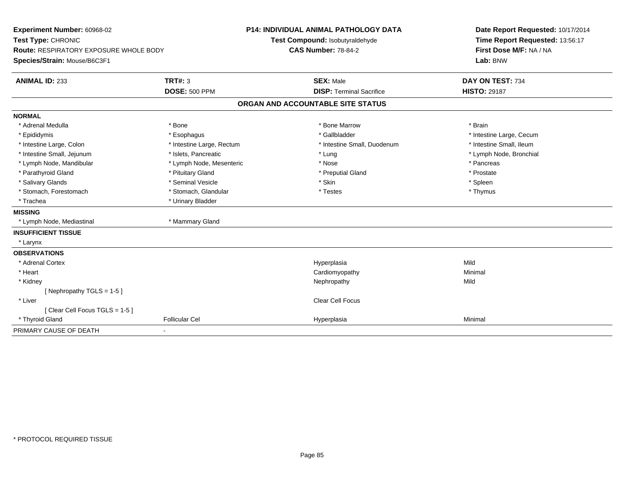| Experiment Number: 60968-02<br>Test Type: CHRONIC<br><b>Route: RESPIRATORY EXPOSURE WHOLE BODY</b><br>Species/Strain: Mouse/B6C3F1 |                           | <b>P14: INDIVIDUAL ANIMAL PATHOLOGY DATA</b><br>Test Compound: Isobutyraldehyde<br><b>CAS Number: 78-84-2</b> | Date Report Requested: 10/17/2014<br>Time Report Requested: 13:56:17<br>First Dose M/F: NA / NA<br>Lab: BNW |  |
|------------------------------------------------------------------------------------------------------------------------------------|---------------------------|---------------------------------------------------------------------------------------------------------------|-------------------------------------------------------------------------------------------------------------|--|
| <b>ANIMAL ID: 233</b>                                                                                                              | TRT#: 3                   | <b>SEX: Male</b>                                                                                              | DAY ON TEST: 734                                                                                            |  |
|                                                                                                                                    | <b>DOSE: 500 PPM</b>      | <b>DISP: Terminal Sacrifice</b>                                                                               | <b>HISTO: 29187</b>                                                                                         |  |
|                                                                                                                                    |                           | ORGAN AND ACCOUNTABLE SITE STATUS                                                                             |                                                                                                             |  |
| <b>NORMAL</b>                                                                                                                      |                           |                                                                                                               |                                                                                                             |  |
| * Adrenal Medulla                                                                                                                  | * Bone                    | * Bone Marrow                                                                                                 | * Brain                                                                                                     |  |
| * Epididymis                                                                                                                       | * Esophagus               | * Gallbladder                                                                                                 | * Intestine Large, Cecum                                                                                    |  |
| * Intestine Large, Colon                                                                                                           | * Intestine Large, Rectum | * Intestine Small, Duodenum                                                                                   | * Intestine Small, Ileum                                                                                    |  |
| * Intestine Small, Jejunum                                                                                                         | * Islets, Pancreatic      | * Lung                                                                                                        | * Lymph Node, Bronchial                                                                                     |  |
| * Lymph Node, Mandibular                                                                                                           | * Lymph Node, Mesenteric  | * Nose                                                                                                        | * Pancreas                                                                                                  |  |
| * Parathyroid Gland                                                                                                                | * Pituitary Gland         | * Preputial Gland                                                                                             | * Prostate                                                                                                  |  |
| * Salivary Glands                                                                                                                  | * Seminal Vesicle         | * Skin                                                                                                        | * Spleen                                                                                                    |  |
| * Stomach, Forestomach                                                                                                             | * Stomach, Glandular      | * Testes                                                                                                      | * Thymus                                                                                                    |  |
| * Trachea                                                                                                                          | * Urinary Bladder         |                                                                                                               |                                                                                                             |  |
| <b>MISSING</b>                                                                                                                     |                           |                                                                                                               |                                                                                                             |  |
| * Lymph Node, Mediastinal                                                                                                          | * Mammary Gland           |                                                                                                               |                                                                                                             |  |
| <b>INSUFFICIENT TISSUE</b>                                                                                                         |                           |                                                                                                               |                                                                                                             |  |
| * Larynx                                                                                                                           |                           |                                                                                                               |                                                                                                             |  |
| <b>OBSERVATIONS</b>                                                                                                                |                           |                                                                                                               |                                                                                                             |  |
| * Adrenal Cortex                                                                                                                   |                           | Hyperplasia                                                                                                   | Mild                                                                                                        |  |
| * Heart                                                                                                                            |                           | Cardiomyopathy                                                                                                | Minimal                                                                                                     |  |
| * Kidney                                                                                                                           |                           | Nephropathy                                                                                                   | Mild                                                                                                        |  |
| [Nephropathy TGLS = $1-5$ ]                                                                                                        |                           |                                                                                                               |                                                                                                             |  |
| * Liver                                                                                                                            |                           | Clear Cell Focus                                                                                              |                                                                                                             |  |
| [Clear Cell Focus TGLS = 1-5]                                                                                                      |                           |                                                                                                               |                                                                                                             |  |
| * Thyroid Gland                                                                                                                    | <b>Follicular Cel</b>     | Hyperplasia                                                                                                   | Minimal                                                                                                     |  |
| PRIMARY CAUSE OF DEATH                                                                                                             | $\blacksquare$            |                                                                                                               |                                                                                                             |  |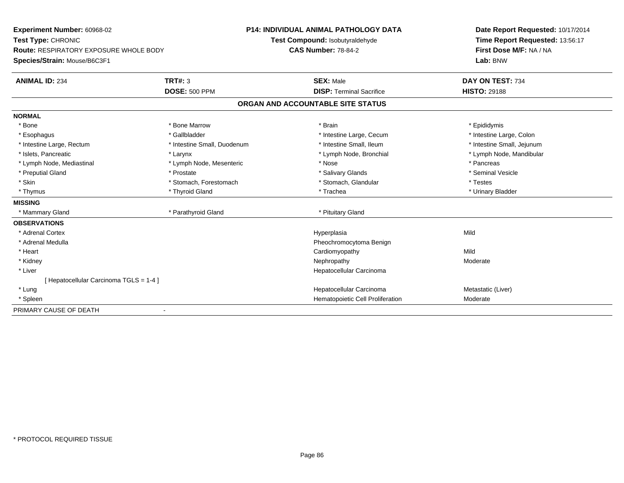| Experiment Number: 60968-02                   |                             |                                   | P14: INDIVIDUAL ANIMAL PATHOLOGY DATA | Date Report Requested: 10/17/2014 |
|-----------------------------------------------|-----------------------------|-----------------------------------|---------------------------------------|-----------------------------------|
| Test Type: CHRONIC                            |                             |                                   | Test Compound: Isobutyraldehyde       | Time Report Requested: 13:56:17   |
| <b>Route: RESPIRATORY EXPOSURE WHOLE BODY</b> |                             | <b>CAS Number: 78-84-2</b>        |                                       | First Dose M/F: NA / NA           |
| Species/Strain: Mouse/B6C3F1                  |                             |                                   |                                       | Lab: BNW                          |
| <b>ANIMAL ID: 234</b>                         | TRT#: 3                     |                                   | <b>SEX: Male</b>                      | DAY ON TEST: 734                  |
|                                               | <b>DOSE: 500 PPM</b>        |                                   | <b>DISP: Terminal Sacrifice</b>       | <b>HISTO: 29188</b>               |
|                                               |                             | ORGAN AND ACCOUNTABLE SITE STATUS |                                       |                                   |
| <b>NORMAL</b>                                 |                             |                                   |                                       |                                   |
| * Bone                                        | * Bone Marrow               |                                   | * Brain                               | * Epididymis                      |
| * Esophagus                                   | * Gallbladder               |                                   | * Intestine Large, Cecum              | * Intestine Large, Colon          |
| * Intestine Large, Rectum                     | * Intestine Small, Duodenum |                                   | * Intestine Small, Ileum              | * Intestine Small, Jejunum        |
| * Islets, Pancreatic                          | * Larynx                    |                                   | * Lymph Node, Bronchial               | * Lymph Node, Mandibular          |
| * Lymph Node, Mediastinal                     | * Lymph Node, Mesenteric    |                                   | * Nose                                | * Pancreas                        |
| * Preputial Gland                             | * Prostate                  |                                   | * Salivary Glands                     | * Seminal Vesicle                 |
| * Skin                                        | * Stomach, Forestomach      |                                   | * Stomach, Glandular                  | * Testes                          |
| * Thymus                                      | * Thyroid Gland             |                                   | * Trachea                             | * Urinary Bladder                 |
| <b>MISSING</b>                                |                             |                                   |                                       |                                   |
| * Mammary Gland                               | * Parathyroid Gland         |                                   | * Pituitary Gland                     |                                   |
| <b>OBSERVATIONS</b>                           |                             |                                   |                                       |                                   |
| * Adrenal Cortex                              |                             |                                   | Hyperplasia                           | Mild                              |
| * Adrenal Medulla                             |                             |                                   | Pheochromocytoma Benign               |                                   |
| * Heart                                       |                             |                                   | Cardiomyopathy                        | Mild                              |
| * Kidney                                      |                             |                                   | Nephropathy                           | Moderate                          |
| * Liver                                       |                             |                                   | Hepatocellular Carcinoma              |                                   |
| [ Hepatocellular Carcinoma TGLS = 1-4 ]       |                             |                                   |                                       |                                   |
| * Lung                                        |                             |                                   | Hepatocellular Carcinoma              | Metastatic (Liver)                |
| * Spleen                                      |                             |                                   | Hematopoietic Cell Proliferation      | Moderate                          |
| PRIMARY CAUSE OF DEATH                        |                             |                                   |                                       |                                   |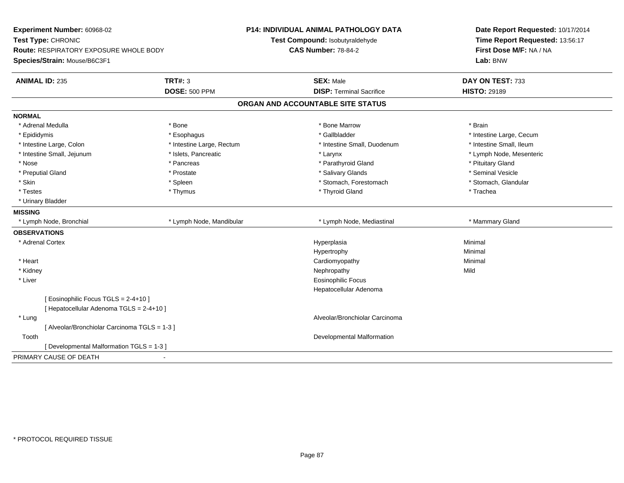| Experiment Number: 60968-02<br>Test Type: CHRONIC<br>Route: RESPIRATORY EXPOSURE WHOLE BODY |                           | <b>P14: INDIVIDUAL ANIMAL PATHOLOGY DATA</b><br>Test Compound: Isobutyraldehyde | Date Report Requested: 10/17/2014<br>Time Report Requested: 13:56:17<br>First Dose M/F: NA / NA |  |
|---------------------------------------------------------------------------------------------|---------------------------|---------------------------------------------------------------------------------|-------------------------------------------------------------------------------------------------|--|
|                                                                                             |                           | <b>CAS Number: 78-84-2</b>                                                      |                                                                                                 |  |
| Species/Strain: Mouse/B6C3F1                                                                |                           |                                                                                 | Lab: BNW                                                                                        |  |
|                                                                                             |                           |                                                                                 |                                                                                                 |  |
| <b>TRT#: 3</b><br><b>ANIMAL ID: 235</b>                                                     |                           | <b>SEX: Male</b>                                                                | DAY ON TEST: 733                                                                                |  |
|                                                                                             | <b>DOSE: 500 PPM</b>      | <b>DISP: Terminal Sacrifice</b>                                                 | <b>HISTO: 29189</b>                                                                             |  |
|                                                                                             |                           | ORGAN AND ACCOUNTABLE SITE STATUS                                               |                                                                                                 |  |
| <b>NORMAL</b>                                                                               |                           |                                                                                 |                                                                                                 |  |
| * Adrenal Medulla<br>* Bone                                                                 |                           | * Bone Marrow                                                                   | * Brain                                                                                         |  |
| * Epididymis                                                                                | * Esophagus               | * Gallbladder                                                                   | * Intestine Large, Cecum                                                                        |  |
| * Intestine Large, Colon                                                                    | * Intestine Large, Rectum | * Intestine Small, Duodenum                                                     | * Intestine Small, Ileum                                                                        |  |
| * Intestine Small, Jejunum                                                                  | * Islets, Pancreatic      | * Larynx                                                                        | * Lymph Node, Mesenteric                                                                        |  |
| * Nose                                                                                      | * Pancreas                | * Parathyroid Gland                                                             | * Pituitary Gland                                                                               |  |
| * Preputial Gland                                                                           | * Prostate                | * Salivary Glands                                                               | * Seminal Vesicle                                                                               |  |
| * Skin                                                                                      | * Spleen                  | * Stomach, Forestomach                                                          | * Stomach, Glandular                                                                            |  |
| * Testes                                                                                    | * Thymus                  | * Thyroid Gland                                                                 | * Trachea                                                                                       |  |
| * Urinary Bladder                                                                           |                           |                                                                                 |                                                                                                 |  |
| <b>MISSING</b>                                                                              |                           |                                                                                 |                                                                                                 |  |
| * Lymph Node, Bronchial                                                                     | * Lymph Node, Mandibular  | * Lymph Node, Mediastinal                                                       | * Mammary Gland                                                                                 |  |
| <b>OBSERVATIONS</b>                                                                         |                           |                                                                                 |                                                                                                 |  |
| * Adrenal Cortex                                                                            |                           | Hyperplasia                                                                     | Minimal                                                                                         |  |
|                                                                                             |                           | Hypertrophy                                                                     | Minimal                                                                                         |  |
| * Heart                                                                                     |                           | Cardiomyopathy                                                                  | Minimal                                                                                         |  |
| * Kidney                                                                                    |                           | Nephropathy                                                                     | Mild                                                                                            |  |
| * Liver                                                                                     |                           | <b>Eosinophilic Focus</b>                                                       |                                                                                                 |  |
|                                                                                             |                           | Hepatocellular Adenoma                                                          |                                                                                                 |  |
| [Eosinophilic Focus TGLS = 2-4+10]                                                          |                           |                                                                                 |                                                                                                 |  |
| [ Hepatocellular Adenoma TGLS = 2-4+10 ]                                                    |                           |                                                                                 |                                                                                                 |  |
| * Lung                                                                                      |                           | Alveolar/Bronchiolar Carcinoma                                                  |                                                                                                 |  |
| [ Alveolar/Bronchiolar Carcinoma TGLS = 1-3 ]                                               |                           |                                                                                 |                                                                                                 |  |
| Tooth                                                                                       |                           | Developmental Malformation                                                      |                                                                                                 |  |
| [Developmental Malformation TGLS = 1-3]                                                     |                           |                                                                                 |                                                                                                 |  |
| PRIMARY CAUSE OF DEATH<br>$\blacksquare$                                                    |                           |                                                                                 |                                                                                                 |  |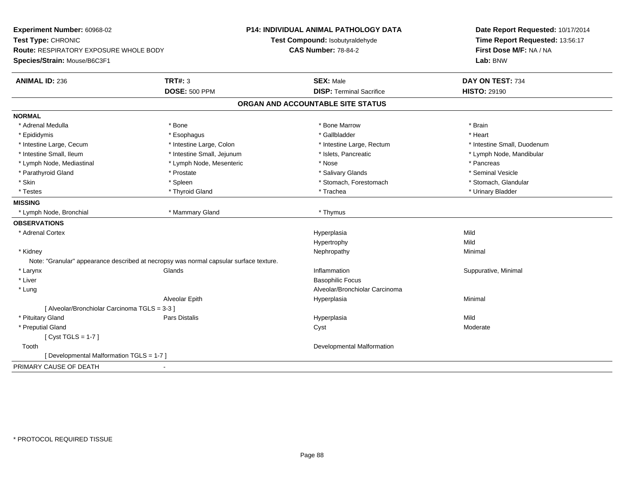| Experiment Number: 60968-02                   |                                                                                        | P14: INDIVIDUAL ANIMAL PATHOLOGY DATA | Date Report Requested: 10/17/2014                          |  |
|-----------------------------------------------|----------------------------------------------------------------------------------------|---------------------------------------|------------------------------------------------------------|--|
| Test Type: CHRONIC                            |                                                                                        | Test Compound: Isobutyraldehyde       | Time Report Requested: 13:56:17<br>First Dose M/F: NA / NA |  |
| <b>Route: RESPIRATORY EXPOSURE WHOLE BODY</b> |                                                                                        | <b>CAS Number: 78-84-2</b>            |                                                            |  |
| Species/Strain: Mouse/B6C3F1                  |                                                                                        |                                       | Lab: BNW                                                   |  |
| <b>ANIMAL ID: 236</b>                         | <b>TRT#: 3</b>                                                                         | <b>SEX: Male</b>                      | DAY ON TEST: 734                                           |  |
|                                               | <b>DOSE: 500 PPM</b>                                                                   | <b>DISP: Terminal Sacrifice</b>       | <b>HISTO: 29190</b>                                        |  |
|                                               |                                                                                        | ORGAN AND ACCOUNTABLE SITE STATUS     |                                                            |  |
| <b>NORMAL</b>                                 |                                                                                        |                                       |                                                            |  |
| * Adrenal Medulla                             | * Bone                                                                                 | * Bone Marrow                         | * Brain                                                    |  |
| * Epididymis                                  | * Esophagus                                                                            | * Gallbladder                         | * Heart                                                    |  |
| * Intestine Large, Cecum                      | * Intestine Large, Colon                                                               | * Intestine Large, Rectum             | * Intestine Small, Duodenum                                |  |
| * Intestine Small, Ileum                      | * Intestine Small, Jejunum                                                             | * Islets, Pancreatic                  | * Lymph Node, Mandibular                                   |  |
| * Lymph Node, Mediastinal                     | * Lymph Node, Mesenteric                                                               | * Nose                                | * Pancreas                                                 |  |
| * Parathyroid Gland                           | * Prostate                                                                             | * Salivary Glands                     | * Seminal Vesicle                                          |  |
| * Skin                                        | * Spleen                                                                               | * Stomach, Forestomach                | * Stomach, Glandular                                       |  |
| * Testes                                      | * Thyroid Gland                                                                        | * Trachea                             | * Urinary Bladder                                          |  |
| <b>MISSING</b>                                |                                                                                        |                                       |                                                            |  |
| * Lymph Node, Bronchial                       | * Mammary Gland                                                                        | * Thymus                              |                                                            |  |
| <b>OBSERVATIONS</b>                           |                                                                                        |                                       |                                                            |  |
| * Adrenal Cortex                              |                                                                                        | Hyperplasia                           | Mild                                                       |  |
|                                               |                                                                                        | Hypertrophy                           | Mild                                                       |  |
| * Kidney                                      |                                                                                        | Nephropathy                           | Minimal                                                    |  |
|                                               | Note: "Granular" appearance described at necropsy was normal capsular surface texture. |                                       |                                                            |  |
| * Larynx                                      | Glands                                                                                 | Inflammation                          | Suppurative, Minimal                                       |  |
| * Liver                                       |                                                                                        | <b>Basophilic Focus</b>               |                                                            |  |
| * Lung                                        |                                                                                        | Alveolar/Bronchiolar Carcinoma        |                                                            |  |
|                                               | Alveolar Epith                                                                         | Hyperplasia                           | Minimal                                                    |  |
| [ Alveolar/Bronchiolar Carcinoma TGLS = 3-3 ] |                                                                                        |                                       |                                                            |  |
| * Pituitary Gland                             | <b>Pars Distalis</b>                                                                   | Hyperplasia                           | Mild                                                       |  |
| * Preputial Gland                             |                                                                                        | Cyst                                  | Moderate                                                   |  |
| [Cyst TGLS = $1-7$ ]                          |                                                                                        |                                       |                                                            |  |
| Tooth                                         |                                                                                        | Developmental Malformation            |                                                            |  |
| [ Developmental Malformation TGLS = 1-7 ]     |                                                                                        |                                       |                                                            |  |
| PRIMARY CAUSE OF DEATH                        | $\mathbf{r}$                                                                           |                                       |                                                            |  |
|                                               |                                                                                        |                                       |                                                            |  |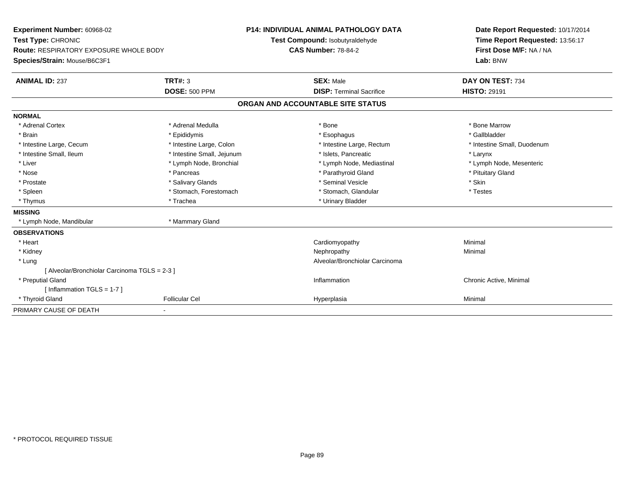| <b>Experiment Number: 60968-02</b>            |                            | <b>P14: INDIVIDUAL ANIMAL PATHOLOGY DATA</b> | Date Report Requested: 10/17/2014 |
|-----------------------------------------------|----------------------------|----------------------------------------------|-----------------------------------|
| Test Type: CHRONIC                            |                            | Test Compound: Isobutyraldehyde              | Time Report Requested: 13:56:17   |
| <b>Route: RESPIRATORY EXPOSURE WHOLE BODY</b> |                            | <b>CAS Number: 78-84-2</b>                   | First Dose M/F: NA / NA           |
| Species/Strain: Mouse/B6C3F1                  |                            |                                              | Lab: BNW                          |
| <b>ANIMAL ID: 237</b>                         | TRT#: 3                    | <b>SEX: Male</b>                             | DAY ON TEST: 734                  |
|                                               | <b>DOSE: 500 PPM</b>       | <b>DISP: Terminal Sacrifice</b>              | <b>HISTO: 29191</b>               |
|                                               |                            | ORGAN AND ACCOUNTABLE SITE STATUS            |                                   |
| <b>NORMAL</b>                                 |                            |                                              |                                   |
| * Adrenal Cortex                              | * Adrenal Medulla          | * Bone                                       | * Bone Marrow                     |
| * Brain                                       | * Epididymis               | * Esophagus                                  | * Gallbladder                     |
| * Intestine Large, Cecum                      | * Intestine Large, Colon   | * Intestine Large, Rectum                    | * Intestine Small, Duodenum       |
| * Intestine Small, Ileum                      | * Intestine Small, Jejunum | * Islets. Pancreatic                         | * Larynx                          |
| * Liver                                       | * Lymph Node, Bronchial    | * Lymph Node, Mediastinal                    | * Lymph Node, Mesenteric          |
| * Nose                                        | * Pancreas                 | * Parathyroid Gland                          | * Pituitary Gland                 |
| * Prostate                                    | * Salivary Glands          | * Seminal Vesicle                            | * Skin                            |
| * Spleen                                      | * Stomach, Forestomach     | * Stomach, Glandular                         | * Testes                          |
| * Thymus                                      | * Trachea                  | * Urinary Bladder                            |                                   |
| <b>MISSING</b>                                |                            |                                              |                                   |
| * Lymph Node, Mandibular                      | * Mammary Gland            |                                              |                                   |
| <b>OBSERVATIONS</b>                           |                            |                                              |                                   |
| * Heart                                       |                            | Cardiomyopathy                               | Minimal                           |
| * Kidney                                      |                            | Nephropathy                                  | Minimal                           |
| * Lung                                        |                            | Alveolar/Bronchiolar Carcinoma               |                                   |
| [ Alveolar/Bronchiolar Carcinoma TGLS = 2-3 ] |                            |                                              |                                   |
| * Preputial Gland                             |                            | Inflammation                                 | Chronic Active, Minimal           |
| [Inflammation TGLS = $1-7$ ]                  |                            |                                              |                                   |
| * Thyroid Gland                               | <b>Follicular Cel</b>      | Hyperplasia                                  | Minimal                           |
| PRIMARY CAUSE OF DEATH                        |                            |                                              |                                   |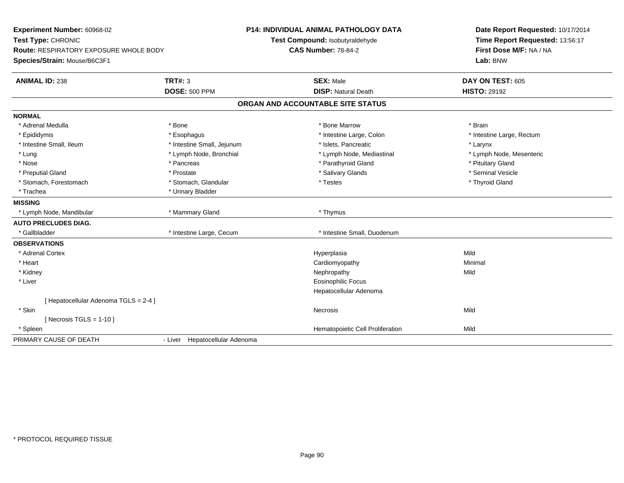| Experiment Number: 60968-02<br>Test Type: CHRONIC<br><b>Route: RESPIRATORY EXPOSURE WHOLE BODY</b><br>Species/Strain: Mouse/B6C3F1 | <b>P14: INDIVIDUAL ANIMAL PATHOLOGY DATA</b><br>Test Compound: Isobutyraldehyde<br><b>CAS Number: 78-84-2</b> |                                   | Date Report Requested: 10/17/2014<br>Time Report Requested: 13:56:17<br>First Dose M/F: NA / NA<br>Lab: BNW |  |
|------------------------------------------------------------------------------------------------------------------------------------|---------------------------------------------------------------------------------------------------------------|-----------------------------------|-------------------------------------------------------------------------------------------------------------|--|
| <b>ANIMAL ID: 238</b>                                                                                                              | <b>TRT#: 3</b>                                                                                                | <b>SEX: Male</b>                  | DAY ON TEST: 605                                                                                            |  |
|                                                                                                                                    | <b>DOSE: 500 PPM</b>                                                                                          | <b>DISP: Natural Death</b>        | <b>HISTO: 29192</b>                                                                                         |  |
|                                                                                                                                    |                                                                                                               | ORGAN AND ACCOUNTABLE SITE STATUS |                                                                                                             |  |
| <b>NORMAL</b>                                                                                                                      |                                                                                                               |                                   |                                                                                                             |  |
| * Adrenal Medulla                                                                                                                  | * Bone                                                                                                        | * Bone Marrow                     | * Brain                                                                                                     |  |
| * Epididymis                                                                                                                       | * Esophagus                                                                                                   | * Intestine Large, Colon          | * Intestine Large, Rectum                                                                                   |  |
| * Intestine Small, Ileum                                                                                                           | * Intestine Small, Jejunum                                                                                    | * Islets, Pancreatic              | * Larynx                                                                                                    |  |
| * Lung                                                                                                                             | * Lymph Node, Bronchial                                                                                       | * Lymph Node, Mediastinal         | * Lymph Node, Mesenteric                                                                                    |  |
| * Nose                                                                                                                             | * Pancreas                                                                                                    | * Parathyroid Gland               | * Pituitary Gland                                                                                           |  |
| * Preputial Gland                                                                                                                  | * Prostate                                                                                                    | * Salivary Glands                 | * Seminal Vesicle                                                                                           |  |
| * Stomach, Forestomach                                                                                                             | * Stomach, Glandular                                                                                          | * Testes                          | * Thyroid Gland                                                                                             |  |
| * Trachea                                                                                                                          | * Urinary Bladder                                                                                             |                                   |                                                                                                             |  |
| <b>MISSING</b>                                                                                                                     |                                                                                                               |                                   |                                                                                                             |  |
| * Lymph Node, Mandibular                                                                                                           | * Mammary Gland                                                                                               | * Thymus                          |                                                                                                             |  |
| <b>AUTO PRECLUDES DIAG.</b>                                                                                                        |                                                                                                               |                                   |                                                                                                             |  |
| * Gallbladder                                                                                                                      | * Intestine Large, Cecum                                                                                      | * Intestine Small, Duodenum       |                                                                                                             |  |
| <b>OBSERVATIONS</b>                                                                                                                |                                                                                                               |                                   |                                                                                                             |  |
| * Adrenal Cortex                                                                                                                   |                                                                                                               | Hyperplasia                       | Mild                                                                                                        |  |
| * Heart                                                                                                                            |                                                                                                               | Cardiomyopathy                    | Minimal                                                                                                     |  |
| * Kidney                                                                                                                           |                                                                                                               | Nephropathy                       | Mild                                                                                                        |  |
| * Liver                                                                                                                            |                                                                                                               | <b>Eosinophilic Focus</b>         |                                                                                                             |  |
|                                                                                                                                    |                                                                                                               | Hepatocellular Adenoma            |                                                                                                             |  |
| [ Hepatocellular Adenoma TGLS = 2-4 ]                                                                                              |                                                                                                               |                                   |                                                                                                             |  |
| * Skin                                                                                                                             |                                                                                                               | Necrosis                          | Mild                                                                                                        |  |
| [ Necrosis TGLS = $1-10$ ]                                                                                                         |                                                                                                               |                                   |                                                                                                             |  |
| * Spleen                                                                                                                           |                                                                                                               | Hematopoietic Cell Proliferation  | Mild                                                                                                        |  |
| PRIMARY CAUSE OF DEATH                                                                                                             | - Liver Hepatocellular Adenoma                                                                                |                                   |                                                                                                             |  |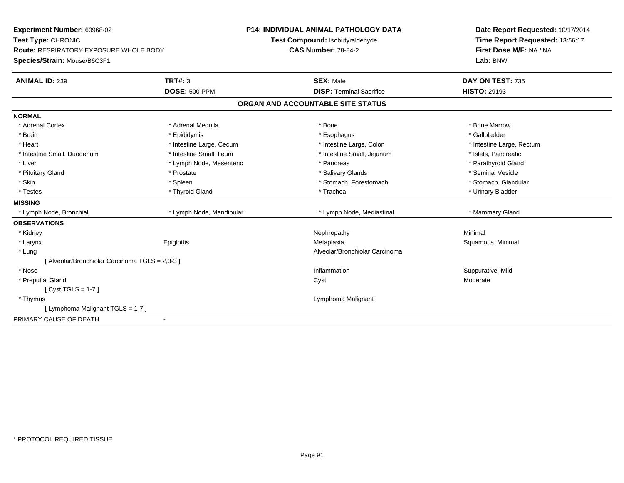| Experiment Number: 60968-02                     |                            | <b>P14: INDIVIDUAL ANIMAL PATHOLOGY DATA</b> | Date Report Requested: 10/17/2014 |  |
|-------------------------------------------------|----------------------------|----------------------------------------------|-----------------------------------|--|
| Test Type: CHRONIC                              |                            | Test Compound: Isobutyraldehyde              | Time Report Requested: 13:56:17   |  |
| <b>Route: RESPIRATORY EXPOSURE WHOLE BODY</b>   | <b>CAS Number: 78-84-2</b> |                                              | First Dose M/F: NA / NA           |  |
| Species/Strain: Mouse/B6C3F1                    |                            |                                              | Lab: BNW                          |  |
| <b>ANIMAL ID: 239</b>                           | <b>TRT#: 3</b>             | <b>SEX: Male</b>                             | DAY ON TEST: 735                  |  |
|                                                 | <b>DOSE: 500 PPM</b>       | <b>DISP: Terminal Sacrifice</b>              | <b>HISTO: 29193</b>               |  |
|                                                 |                            | ORGAN AND ACCOUNTABLE SITE STATUS            |                                   |  |
| <b>NORMAL</b>                                   |                            |                                              |                                   |  |
| * Adrenal Cortex                                | * Adrenal Medulla          | * Bone                                       | * Bone Marrow                     |  |
| * Brain                                         | * Epididymis               | * Esophagus                                  | * Gallbladder                     |  |
| * Heart                                         | * Intestine Large, Cecum   | * Intestine Large, Colon                     | * Intestine Large, Rectum         |  |
| * Intestine Small, Duodenum                     | * Intestine Small, Ileum   | * Intestine Small, Jejunum                   | * Islets, Pancreatic              |  |
| * Liver                                         | * Lymph Node, Mesenteric   | * Pancreas                                   | * Parathyroid Gland               |  |
| * Pituitary Gland                               | * Prostate                 | * Salivary Glands                            | * Seminal Vesicle                 |  |
| * Skin                                          | * Spleen                   | * Stomach, Forestomach                       | * Stomach, Glandular              |  |
| * Testes                                        | * Thyroid Gland            | * Trachea                                    | * Urinary Bladder                 |  |
| <b>MISSING</b>                                  |                            |                                              |                                   |  |
| * Lymph Node, Bronchial                         | * Lymph Node, Mandibular   | * Lymph Node, Mediastinal                    | * Mammary Gland                   |  |
| <b>OBSERVATIONS</b>                             |                            |                                              |                                   |  |
| * Kidney                                        |                            | Nephropathy                                  | Minimal                           |  |
| * Larynx                                        | Epiglottis                 | Metaplasia                                   | Squamous, Minimal                 |  |
| * Lung                                          |                            | Alveolar/Bronchiolar Carcinoma               |                                   |  |
| [ Alveolar/Bronchiolar Carcinoma TGLS = 2,3-3 ] |                            |                                              |                                   |  |
| * Nose                                          |                            | Inflammation                                 | Suppurative, Mild                 |  |
| * Preputial Gland                               |                            | Cyst                                         | Moderate                          |  |
| [Cyst TGLS = $1-7$ ]                            |                            |                                              |                                   |  |
| * Thymus                                        |                            | Lymphoma Malignant                           |                                   |  |
| [ Lymphoma Malignant TGLS = 1-7 ]               |                            |                                              |                                   |  |
| PRIMARY CAUSE OF DEATH                          |                            |                                              |                                   |  |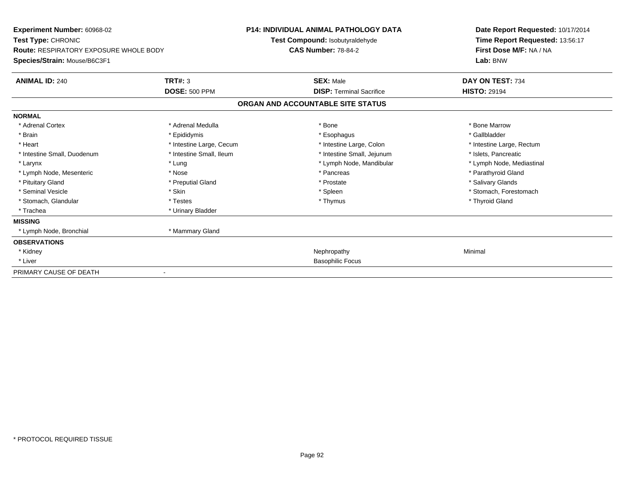| <b>Experiment Number: 60968-02</b><br>Test Type: CHRONIC                      |                          | <b>P14: INDIVIDUAL ANIMAL PATHOLOGY DATA</b><br>Test Compound: Isobutyraldehyde | Date Report Requested: 10/17/2014<br>Time Report Requested: 13:56:17 |  |
|-------------------------------------------------------------------------------|--------------------------|---------------------------------------------------------------------------------|----------------------------------------------------------------------|--|
| <b>Route: RESPIRATORY EXPOSURE WHOLE BODY</b><br>Species/Strain: Mouse/B6C3F1 |                          | <b>CAS Number: 78-84-2</b>                                                      | First Dose M/F: NA / NA<br>Lab: BNW                                  |  |
| <b>ANIMAL ID: 240</b>                                                         | TRT#: 3                  | <b>SEX: Male</b>                                                                | DAY ON TEST: 734                                                     |  |
|                                                                               | <b>DOSE: 500 PPM</b>     | <b>DISP: Terminal Sacrifice</b>                                                 | <b>HISTO: 29194</b>                                                  |  |
|                                                                               |                          | ORGAN AND ACCOUNTABLE SITE STATUS                                               |                                                                      |  |
| <b>NORMAL</b>                                                                 |                          |                                                                                 |                                                                      |  |
| * Adrenal Cortex                                                              | * Adrenal Medulla        | * Bone                                                                          | * Bone Marrow                                                        |  |
| * Brain                                                                       | * Epididymis             | * Esophagus                                                                     | * Gallbladder                                                        |  |
| * Heart                                                                       | * Intestine Large, Cecum | * Intestine Large, Colon                                                        | * Intestine Large, Rectum                                            |  |
| * Intestine Small, Duodenum                                                   | * Intestine Small, Ileum | * Intestine Small, Jejunum                                                      | * Islets. Pancreatic                                                 |  |
| * Larynx                                                                      | * Lung                   | * Lymph Node, Mandibular                                                        | * Lymph Node, Mediastinal                                            |  |
| * Lymph Node, Mesenteric                                                      | * Nose                   | * Pancreas                                                                      | * Parathyroid Gland                                                  |  |
| * Pituitary Gland                                                             | * Preputial Gland        | * Prostate                                                                      | * Salivary Glands                                                    |  |
| * Seminal Vesicle                                                             | * Skin                   | * Spleen                                                                        | * Stomach, Forestomach                                               |  |
| * Stomach, Glandular                                                          | * Testes                 | * Thymus                                                                        | * Thyroid Gland                                                      |  |
| * Trachea                                                                     | * Urinary Bladder        |                                                                                 |                                                                      |  |
| <b>MISSING</b>                                                                |                          |                                                                                 |                                                                      |  |
| * Lymph Node, Bronchial                                                       | * Mammary Gland          |                                                                                 |                                                                      |  |
| <b>OBSERVATIONS</b>                                                           |                          |                                                                                 |                                                                      |  |
| * Kidney                                                                      |                          | Nephropathy                                                                     | Minimal                                                              |  |
| * Liver                                                                       |                          | <b>Basophilic Focus</b>                                                         |                                                                      |  |
| PRIMARY CAUSE OF DEATH                                                        |                          |                                                                                 |                                                                      |  |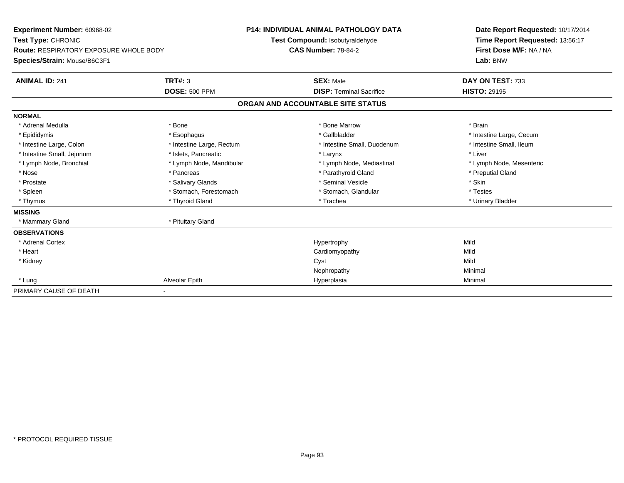| Experiment Number: 60968-02<br>Test Type: CHRONIC<br><b>Route: RESPIRATORY EXPOSURE WHOLE BODY</b><br>Species/Strain: Mouse/B6C3F1 | <b>P14: INDIVIDUAL ANIMAL PATHOLOGY DATA</b><br>Test Compound: Isobutyraldehyde<br><b>CAS Number: 78-84-2</b> |                                   | Date Report Requested: 10/17/2014<br>Time Report Requested: 13:56:17<br>First Dose M/F: NA / NA<br>Lab: BNW |
|------------------------------------------------------------------------------------------------------------------------------------|---------------------------------------------------------------------------------------------------------------|-----------------------------------|-------------------------------------------------------------------------------------------------------------|
| <b>ANIMAL ID: 241</b>                                                                                                              | <b>TRT#: 3</b>                                                                                                | <b>SEX: Male</b>                  | DAY ON TEST: 733                                                                                            |
|                                                                                                                                    | <b>DOSE: 500 PPM</b>                                                                                          | <b>DISP: Terminal Sacrifice</b>   | <b>HISTO: 29195</b>                                                                                         |
|                                                                                                                                    |                                                                                                               | ORGAN AND ACCOUNTABLE SITE STATUS |                                                                                                             |
| <b>NORMAL</b>                                                                                                                      |                                                                                                               |                                   |                                                                                                             |
| * Adrenal Medulla                                                                                                                  | * Bone                                                                                                        | * Bone Marrow                     | * Brain                                                                                                     |
| * Epididymis                                                                                                                       | * Esophagus                                                                                                   | * Gallbladder                     | * Intestine Large, Cecum                                                                                    |
| * Intestine Large, Colon                                                                                                           | * Intestine Large, Rectum                                                                                     | * Intestine Small, Duodenum       | * Intestine Small, Ileum                                                                                    |
| * Intestine Small, Jejunum                                                                                                         | * Islets, Pancreatic                                                                                          | * Larynx                          | * Liver                                                                                                     |
| * Lymph Node, Bronchial                                                                                                            | * Lymph Node, Mandibular                                                                                      | * Lymph Node, Mediastinal         | * Lymph Node, Mesenteric                                                                                    |
| * Nose                                                                                                                             | * Pancreas                                                                                                    | * Parathyroid Gland               | * Preputial Gland                                                                                           |
| * Prostate                                                                                                                         | * Salivary Glands                                                                                             | * Seminal Vesicle                 | * Skin                                                                                                      |
| * Spleen                                                                                                                           | * Stomach, Forestomach                                                                                        | * Stomach, Glandular              | * Testes                                                                                                    |
| * Thymus                                                                                                                           | * Thyroid Gland                                                                                               | * Trachea                         | * Urinary Bladder                                                                                           |
| <b>MISSING</b>                                                                                                                     |                                                                                                               |                                   |                                                                                                             |
| * Mammary Gland                                                                                                                    | * Pituitary Gland                                                                                             |                                   |                                                                                                             |
| <b>OBSERVATIONS</b>                                                                                                                |                                                                                                               |                                   |                                                                                                             |
| * Adrenal Cortex                                                                                                                   |                                                                                                               | Hypertrophy                       | Mild                                                                                                        |
| * Heart                                                                                                                            |                                                                                                               | Cardiomyopathy                    | Mild                                                                                                        |
| * Kidney                                                                                                                           |                                                                                                               | Cyst                              | Mild                                                                                                        |
|                                                                                                                                    |                                                                                                               | Nephropathy                       | Minimal                                                                                                     |
| * Lung                                                                                                                             | Alveolar Epith                                                                                                | Hyperplasia                       | Minimal                                                                                                     |
| PRIMARY CAUSE OF DEATH                                                                                                             |                                                                                                               |                                   |                                                                                                             |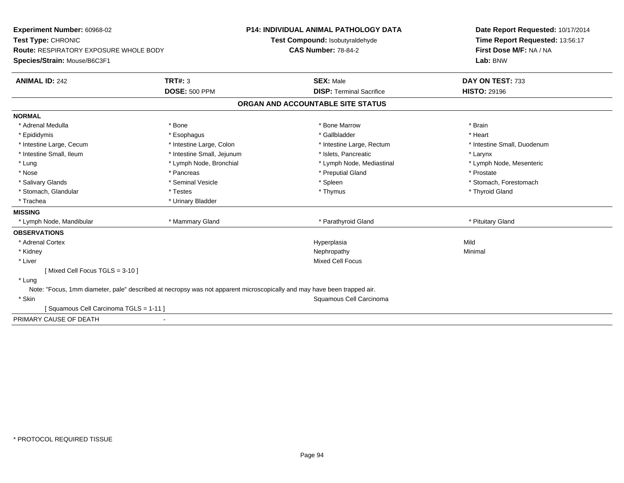| <b>Experiment Number: 60968-02</b>                                                                                      |                            | <b>P14: INDIVIDUAL ANIMAL PATHOLOGY DATA</b> | Date Report Requested: 10/17/2014   |  |
|-------------------------------------------------------------------------------------------------------------------------|----------------------------|----------------------------------------------|-------------------------------------|--|
| Test Type: CHRONIC                                                                                                      |                            | Test Compound: Isobutyraldehyde              | Time Report Requested: 13:56:17     |  |
| Route: RESPIRATORY EXPOSURE WHOLE BODY                                                                                  |                            | <b>CAS Number: 78-84-2</b>                   | First Dose M/F: NA / NA<br>Lab: BNW |  |
| Species/Strain: Mouse/B6C3F1                                                                                            |                            |                                              |                                     |  |
| <b>ANIMAL ID: 242</b>                                                                                                   | <b>TRT#: 3</b>             | <b>SEX: Male</b>                             | DAY ON TEST: 733                    |  |
|                                                                                                                         | <b>DOSE: 500 PPM</b>       | <b>DISP: Terminal Sacrifice</b>              | <b>HISTO: 29196</b>                 |  |
|                                                                                                                         |                            | ORGAN AND ACCOUNTABLE SITE STATUS            |                                     |  |
| <b>NORMAL</b>                                                                                                           |                            |                                              |                                     |  |
| * Adrenal Medulla                                                                                                       | * Bone                     | * Bone Marrow                                | * Brain                             |  |
| * Epididymis                                                                                                            | * Esophagus                | * Gallbladder                                | * Heart                             |  |
| * Intestine Large, Cecum                                                                                                | * Intestine Large, Colon   | * Intestine Large, Rectum                    | * Intestine Small, Duodenum         |  |
| * Intestine Small, Ileum                                                                                                | * Intestine Small, Jejunum | * Islets, Pancreatic                         | * Larynx                            |  |
| * Lung                                                                                                                  | * Lymph Node, Bronchial    | * Lymph Node, Mediastinal                    | * Lymph Node, Mesenteric            |  |
| * Nose                                                                                                                  | * Pancreas                 | * Preputial Gland                            | * Prostate                          |  |
| * Salivary Glands                                                                                                       | * Seminal Vesicle          | * Spleen                                     | * Stomach, Forestomach              |  |
| * Stomach, Glandular                                                                                                    | * Testes                   | * Thymus                                     | * Thyroid Gland                     |  |
| * Trachea                                                                                                               | * Urinary Bladder          |                                              |                                     |  |
| <b>MISSING</b>                                                                                                          |                            |                                              |                                     |  |
| * Lymph Node, Mandibular                                                                                                | * Mammary Gland            | * Parathyroid Gland                          | * Pituitary Gland                   |  |
| <b>OBSERVATIONS</b>                                                                                                     |                            |                                              |                                     |  |
| * Adrenal Cortex                                                                                                        |                            | Hyperplasia                                  | Mild                                |  |
| * Kidney                                                                                                                |                            | Nephropathy                                  | Minimal                             |  |
| * Liver                                                                                                                 |                            | Mixed Cell Focus                             |                                     |  |
| [Mixed Cell Focus TGLS = 3-10]                                                                                          |                            |                                              |                                     |  |
| * Lung                                                                                                                  |                            |                                              |                                     |  |
| Note: "Focus, 1mm diameter, pale" described at necropsy was not apparent microscopically and may have been trapped air. |                            |                                              |                                     |  |
| * Skin                                                                                                                  |                            | Squamous Cell Carcinoma                      |                                     |  |
| [Squamous Cell Carcinoma TGLS = 1-11]                                                                                   |                            |                                              |                                     |  |
| PRIMARY CAUSE OF DEATH                                                                                                  |                            |                                              |                                     |  |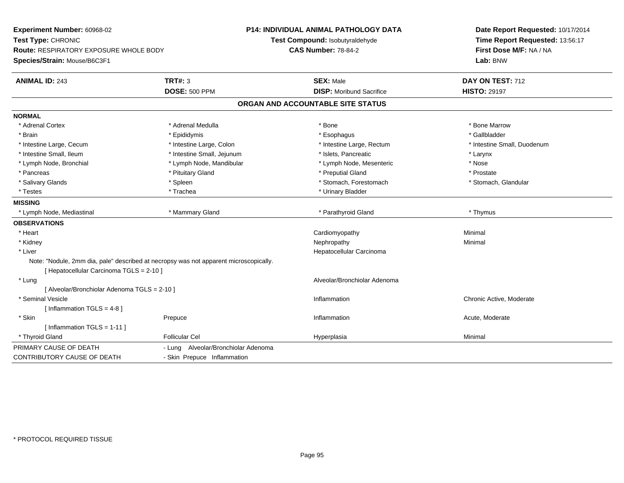| Experiment Number: 60968-02<br>Test Type: CHRONIC<br><b>Route: RESPIRATORY EXPOSURE WHOLE BODY</b><br>Species/Strain: Mouse/B6C3F1 |                                     | <b>P14: INDIVIDUAL ANIMAL PATHOLOGY DATA</b><br>Test Compound: Isobutyraldehyde<br><b>CAS Number: 78-84-2</b> | Date Report Requested: 10/17/2014<br>Time Report Requested: 13:56:17<br>First Dose M/F: NA / NA<br>Lab: BNW |  |
|------------------------------------------------------------------------------------------------------------------------------------|-------------------------------------|---------------------------------------------------------------------------------------------------------------|-------------------------------------------------------------------------------------------------------------|--|
| <b>ANIMAL ID: 243</b>                                                                                                              | <b>TRT#: 3</b>                      | <b>SEX: Male</b>                                                                                              | DAY ON TEST: 712                                                                                            |  |
|                                                                                                                                    | <b>DOSE: 500 PPM</b>                | <b>DISP:</b> Moribund Sacrifice                                                                               | <b>HISTO: 29197</b>                                                                                         |  |
|                                                                                                                                    |                                     | ORGAN AND ACCOUNTABLE SITE STATUS                                                                             |                                                                                                             |  |
| <b>NORMAL</b>                                                                                                                      |                                     |                                                                                                               |                                                                                                             |  |
| * Adrenal Cortex                                                                                                                   | * Adrenal Medulla                   | * Bone                                                                                                        | * Bone Marrow                                                                                               |  |
| * Brain                                                                                                                            | * Epididymis                        | * Esophagus                                                                                                   | * Gallbladder                                                                                               |  |
| * Intestine Large, Cecum                                                                                                           | * Intestine Large, Colon            | * Intestine Large, Rectum                                                                                     | * Intestine Small, Duodenum                                                                                 |  |
| * Intestine Small, Ileum                                                                                                           | * Intestine Small, Jejunum          | * Islets, Pancreatic                                                                                          | * Larynx                                                                                                    |  |
| * Lymph Node, Bronchial                                                                                                            | * Lymph Node, Mandibular            | * Lymph Node, Mesenteric                                                                                      | * Nose                                                                                                      |  |
| * Pancreas                                                                                                                         | * Pituitary Gland                   | * Preputial Gland                                                                                             | * Prostate                                                                                                  |  |
| * Salivary Glands                                                                                                                  | * Spleen                            | * Stomach, Forestomach                                                                                        | * Stomach, Glandular                                                                                        |  |
| * Testes                                                                                                                           | * Trachea                           | * Urinary Bladder                                                                                             |                                                                                                             |  |
| <b>MISSING</b>                                                                                                                     |                                     |                                                                                                               |                                                                                                             |  |
| * Lymph Node, Mediastinal                                                                                                          | * Mammary Gland                     | * Parathyroid Gland                                                                                           | * Thymus                                                                                                    |  |
| <b>OBSERVATIONS</b>                                                                                                                |                                     |                                                                                                               |                                                                                                             |  |
| * Heart                                                                                                                            |                                     | Cardiomyopathy                                                                                                | Minimal                                                                                                     |  |
| * Kidney                                                                                                                           |                                     | Nephropathy                                                                                                   | Minimal                                                                                                     |  |
| * Liver                                                                                                                            |                                     | Hepatocellular Carcinoma                                                                                      |                                                                                                             |  |
| Note: "Nodule, 2mm dia, pale" described at necropsy was not apparent microscopically.                                              |                                     |                                                                                                               |                                                                                                             |  |
| [Hepatocellular Carcinoma TGLS = 2-10]                                                                                             |                                     |                                                                                                               |                                                                                                             |  |
| * Lung                                                                                                                             |                                     | Alveolar/Bronchiolar Adenoma                                                                                  |                                                                                                             |  |
| [ Alveolar/Bronchiolar Adenoma TGLS = 2-10 ]                                                                                       |                                     |                                                                                                               |                                                                                                             |  |
| * Seminal Vesicle                                                                                                                  |                                     | Inflammation                                                                                                  | Chronic Active, Moderate                                                                                    |  |
| [Inflammation TGLS = $4-8$ ]                                                                                                       |                                     |                                                                                                               |                                                                                                             |  |
| * Skin                                                                                                                             | Prepuce                             | Inflammation                                                                                                  | Acute, Moderate                                                                                             |  |
| [ Inflammation TGLS = 1-11 ]                                                                                                       |                                     |                                                                                                               |                                                                                                             |  |
| * Thyroid Gland                                                                                                                    | <b>Follicular Cel</b>               | Hyperplasia                                                                                                   | Minimal                                                                                                     |  |
| PRIMARY CAUSE OF DEATH                                                                                                             | - Lung Alveolar/Bronchiolar Adenoma |                                                                                                               |                                                                                                             |  |
| CONTRIBUTORY CAUSE OF DEATH                                                                                                        | - Skin Prepuce Inflammation         |                                                                                                               |                                                                                                             |  |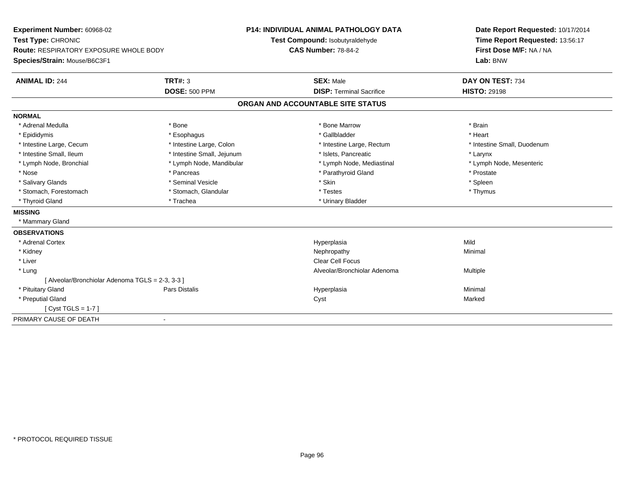| Experiment Number: 60968-02                      |                            | <b>P14: INDIVIDUAL ANIMAL PATHOLOGY DATA</b> | Date Report Requested: 10/17/2014 |
|--------------------------------------------------|----------------------------|----------------------------------------------|-----------------------------------|
| Test Type: CHRONIC                               |                            | Test Compound: Isobutyraldehyde              | Time Report Requested: 13:56:17   |
| <b>Route: RESPIRATORY EXPOSURE WHOLE BODY</b>    |                            | <b>CAS Number: 78-84-2</b>                   | First Dose M/F: NA / NA           |
| Species/Strain: Mouse/B6C3F1                     |                            |                                              | Lab: BNW                          |
| <b>ANIMAL ID: 244</b>                            | <b>TRT#: 3</b>             | <b>SEX: Male</b>                             | DAY ON TEST: 734                  |
|                                                  | <b>DOSE: 500 PPM</b>       | <b>DISP: Terminal Sacrifice</b>              | <b>HISTO: 29198</b>               |
|                                                  |                            | ORGAN AND ACCOUNTABLE SITE STATUS            |                                   |
| <b>NORMAL</b>                                    |                            |                                              |                                   |
| * Adrenal Medulla                                | * Bone                     | * Bone Marrow                                | * Brain                           |
| * Epididymis                                     | * Esophagus                | * Gallbladder                                | * Heart                           |
| * Intestine Large, Cecum                         | * Intestine Large, Colon   | * Intestine Large, Rectum                    | * Intestine Small, Duodenum       |
| * Intestine Small, Ileum                         | * Intestine Small, Jejunum | * Islets, Pancreatic                         | * Larynx                          |
| * Lymph Node, Bronchial                          | * Lymph Node, Mandibular   | * Lymph Node, Mediastinal                    | * Lymph Node, Mesenteric          |
| * Nose                                           | * Pancreas                 | * Parathyroid Gland                          | * Prostate                        |
| * Salivary Glands                                | * Seminal Vesicle          | * Skin                                       | * Spleen                          |
| * Stomach, Forestomach                           | * Stomach, Glandular       | * Testes                                     | * Thymus                          |
| * Thyroid Gland                                  | * Trachea                  | * Urinary Bladder                            |                                   |
| <b>MISSING</b>                                   |                            |                                              |                                   |
| * Mammary Gland                                  |                            |                                              |                                   |
| <b>OBSERVATIONS</b>                              |                            |                                              |                                   |
| * Adrenal Cortex                                 |                            | Hyperplasia                                  | Mild                              |
| * Kidney                                         |                            | Nephropathy                                  | Minimal                           |
| * Liver                                          |                            | Clear Cell Focus                             |                                   |
| * Lung                                           |                            | Alveolar/Bronchiolar Adenoma                 | Multiple                          |
| [ Alveolar/Bronchiolar Adenoma TGLS = 2-3, 3-3 ] |                            |                                              |                                   |
| * Pituitary Gland                                | Pars Distalis              | Hyperplasia                                  | Minimal                           |
| * Preputial Gland                                |                            | Cyst                                         | Marked                            |
| [ $Cyst TGLS = 1-7$ ]                            |                            |                                              |                                   |
| PRIMARY CAUSE OF DEATH                           | $\blacksquare$             |                                              |                                   |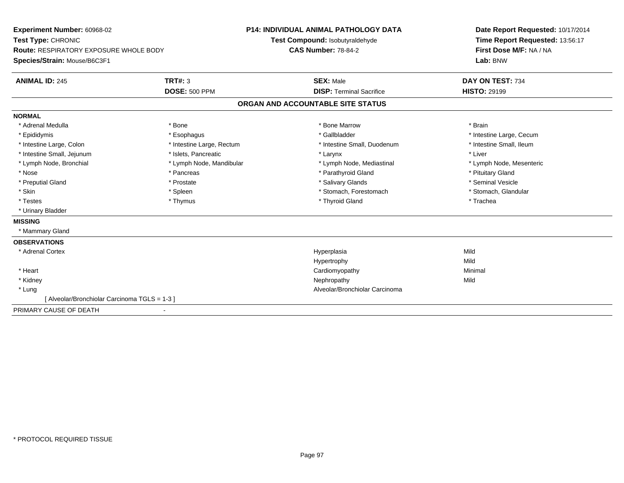**Experiment Number:** 60968-02**Test Type:** CHRONIC **Route:** RESPIRATORY EXPOSURE WHOLE BODY**Species/Strain:** Mouse/B6C3F1**P14: INDIVIDUAL ANIMAL PATHOLOGY DATATest Compound:** Isobutyraldehyde**CAS Number:** 78-84-2**Date Report Requested:** 10/17/2014**Time Report Requested:** 13:56:17**First Dose M/F:** NA / NA**Lab:** BNW**ANIMAL ID:** 245**TRT#:** 3 **SEX:** Male **DAY ON TEST:** 734 **DOSE:** 500 PPM**DISP:** Terminal Sacrifice **HISTO:** 29199 **ORGAN AND ACCOUNTABLE SITE STATUSNORMAL**\* Adrenal Medulla \* \* Annual Medulla \* Brain \* Bone \* \* Bone Marrow \* Bone Marrow \* \* Brain \* Brain \* Brain \* Brain \* Brain \* Brain \* Brain \* Brain \* Brain \* Brain \* Brain \* Brain \* Brain \* Brain \* Brain \* Brain \* Brain \* \* Epididymis **\* Exophagus \* Execument \* Execument \* Gallbladder** \* Gallbladder \* \* Thtestine Large, Cecum \* Intestine Small, Ileum \* Intestine Large, Colon \* Intestine Large, Rectum \* Intestine Small, Duodenum \* Intestine Small, Duodenum \* Intestine Small, Jejunum \* 1998 \* The state of the state of the state of the state of the state of the state of the state of the state of the state of the state of the state of the state of the state of the state of the \* Lymph Node, Bronchial \* Lymph Node, Mandibular \* Lymph Node, Mediastinal \* Lymph Node, Mesenteric\* Nose \* Pancreas \* Pancreas \* Pancreas \* Parathyroid Gland \* Parathyroid Gland \* Pituitary Gland \* Pituitary Gland \* Seminal Vesicle \* Preputial Gland \* \* Annual vesicle \* \* Prostate \* \* Salivary Glands \* \* Salivary Glands \* \* Seminal Vesicle \* \* Stomach, Glandular \* Skin \* Spleen \* Spleen \* Spleen \* Stomach, Forestomach \* Stomach, Forestomach \* Testes \* Thymus \* Thyroid Gland \* Trachea \* Urinary Bladder**MISSING** \* Mammary Gland**OBSERVATIONS** \* Adrenal Cortexx and the control of the control of the control of the control of the control of the control of the control of the control of the control of the control of the control of the control of the control of the control of the co a Mild Hypertrophyy Mild Minimal \* Heart Cardiomyopathy Minimal \* Kidneyy the controller of the controller of the controller of the controller of the controller of the controller of the controller of the controller of the controller of the controller of the controller of the controller of the \* Lung Alveolar/Bronchiolar Carcinoma [ Alveolar/Bronchiolar Carcinoma TGLS = 1-3 ]PRIMARY CAUSE OF DEATH-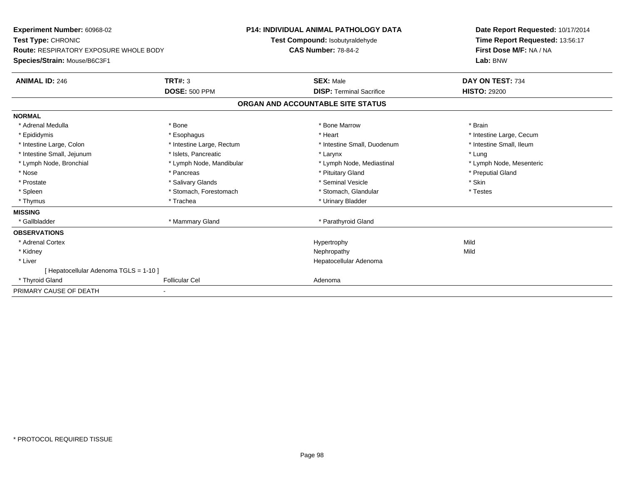**Experiment Number:** 60968-02**Test Type:** CHRONIC **Route:** RESPIRATORY EXPOSURE WHOLE BODY**Species/Strain:** Mouse/B6C3F1**P14: INDIVIDUAL ANIMAL PATHOLOGY DATATest Compound:** Isobutyraldehyde**CAS Number:** 78-84-2**Date Report Requested:** 10/17/2014**Time Report Requested:** 13:56:17**First Dose M/F:** NA / NA**Lab:** BNW**ANIMAL ID:** 246**6 DAY ON TEST:** 734 **DOSE:** 500 PPM**DISP:** Terminal Sacrifice **HISTO:** 29200 **ORGAN AND ACCOUNTABLE SITE STATUSNORMAL**\* Adrenal Medulla \* \* Annual Medulla \* Brain \* Bone \* \* Bone Marrow \* Bone Marrow \* \* Brain \* Brain \* Brain \* Brain \* Brain \* Brain \* Brain \* Brain \* Brain \* Brain \* Brain \* Brain \* Brain \* Brain \* Brain \* Brain \* Brain \* \* Epididymis **Account 19 and 19 and 19 and 19 and 19 and 19 and 19 and 19 and 19 and 19 and 19 and 19 and 19 and 19 and 19 and 19 and 19 and 19 and 19 and 19 and 19 and 19 and 19 and 19 and 19 and 19 and 19 and 19 and 19 a** \* Intestine Small, Ileum \* Intestine Large, Colon \* Intestine Large, Rectum \* Intestine Small, Duodenum \* Intestine Small, Duodenum \* Intestine Small, Jejunum \* The matches of the state of the state of the state of the state of the state of the state of the state of the state of the state of the state of the state of the state of the state of the state \* Lymph Node, Mesenteric \* Lymph Node, Bronchial \* Lymph Node, Mandibular \* Lymph Node, Mediastinal \* Lymph Node, Mediastinal \* Nose \* Pancreas \* Pituitary Gland \* Preputial Gland \* Prostate \* \* Salivary Glands \* \* Salivary Glands \* \* Seminal Vesicle \* \* \* Seminal Yestrich \* \* Skin \* \* Skin \* Testes \* Spleen \* Stomach, Forestomach \* Stomach, Spleen \* Stomach, Glandular \* Testestess \* Stomach, Glandular \* Thymus \* Trachea \* Trachea \* Trachea \* Urinary Bladder **MISSING**\* Gallbladder \* Mammary Gland \* Parathyroid Gland **OBSERVATIONS** \* Adrenal Cortexx and the control of the control of the control of the Hypertrophy control of the control of the control of the control of the control of the control of the control of the control of the control of the control of the contr Mild \* Kidneyy the controller of the controller of the controller of the controller of the controller of the controller of the controller of the controller of the controller of the controller of the controller of the controller of the \* Liver Hepatocellular Adenoma[ Hepatocellular Adenoma TGLS = 1-10 ] \* Thyroid Glandd **Exercise Controllicular Cel Cel Adenoma** Adenoma Adenoma Adenoma Adenoma Adenoma Adenoma Adenoma Adenoma Adenoma Adenoma Adenoma Adenoma Adenoma Adenoma Adenoma Adenoma Adenoma Adenoma Adenoma Adenoma Adenoma Adenoma PRIMARY CAUSE OF DEATH-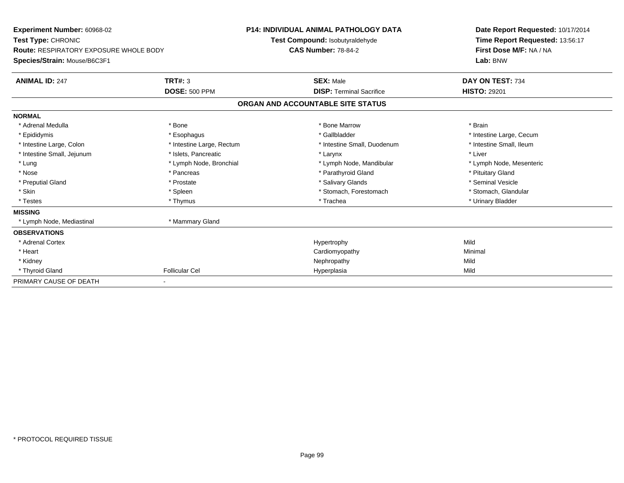| <b>Experiment Number: 60968-02</b><br>Test Type: CHRONIC<br>Route: RESPIRATORY EXPOSURE WHOLE BODY<br>Species/Strain: Mouse/B6C3F1 |                           | <b>P14: INDIVIDUAL ANIMAL PATHOLOGY DATA</b><br>Test Compound: Isobutyraldehyde<br><b>CAS Number: 78-84-2</b> |                                   |  | Date Report Requested: 10/17/2014<br>Time Report Requested: 13:56:17<br>First Dose M/F: NA / NA<br>Lab: BNW |  |
|------------------------------------------------------------------------------------------------------------------------------------|---------------------------|---------------------------------------------------------------------------------------------------------------|-----------------------------------|--|-------------------------------------------------------------------------------------------------------------|--|
|                                                                                                                                    |                           |                                                                                                               |                                   |  |                                                                                                             |  |
| <b>ANIMAL ID: 247</b>                                                                                                              | TRT#: 3                   |                                                                                                               | <b>SEX: Male</b>                  |  | DAY ON TEST: 734                                                                                            |  |
|                                                                                                                                    | <b>DOSE: 500 PPM</b>      |                                                                                                               | <b>DISP: Terminal Sacrifice</b>   |  | <b>HISTO: 29201</b>                                                                                         |  |
|                                                                                                                                    |                           |                                                                                                               | ORGAN AND ACCOUNTABLE SITE STATUS |  |                                                                                                             |  |
| <b>NORMAL</b>                                                                                                                      |                           |                                                                                                               |                                   |  |                                                                                                             |  |
| * Adrenal Medulla                                                                                                                  | * Bone                    |                                                                                                               | * Bone Marrow                     |  | * Brain                                                                                                     |  |
| * Epididymis                                                                                                                       | * Esophagus               |                                                                                                               | * Gallbladder                     |  | * Intestine Large, Cecum                                                                                    |  |
| * Intestine Large, Colon                                                                                                           | * Intestine Large, Rectum |                                                                                                               | * Intestine Small, Duodenum       |  | * Intestine Small, Ileum                                                                                    |  |
| * Intestine Small, Jejunum                                                                                                         | * Islets, Pancreatic      |                                                                                                               | * Larynx                          |  | * Liver                                                                                                     |  |
| * Lung                                                                                                                             | * Lymph Node, Bronchial   |                                                                                                               | * Lymph Node, Mandibular          |  | * Lymph Node, Mesenteric                                                                                    |  |
| * Nose                                                                                                                             | * Pancreas                |                                                                                                               | * Parathyroid Gland               |  | * Pituitary Gland                                                                                           |  |
| * Preputial Gland                                                                                                                  | * Prostate                |                                                                                                               | * Salivary Glands                 |  | * Seminal Vesicle                                                                                           |  |
| * Skin                                                                                                                             | * Spleen                  |                                                                                                               | * Stomach, Forestomach            |  | * Stomach, Glandular                                                                                        |  |
| * Testes                                                                                                                           | * Thymus                  |                                                                                                               | * Trachea                         |  | * Urinary Bladder                                                                                           |  |
| <b>MISSING</b>                                                                                                                     |                           |                                                                                                               |                                   |  |                                                                                                             |  |
| * Lymph Node, Mediastinal                                                                                                          | * Mammary Gland           |                                                                                                               |                                   |  |                                                                                                             |  |
| <b>OBSERVATIONS</b>                                                                                                                |                           |                                                                                                               |                                   |  |                                                                                                             |  |
| * Adrenal Cortex                                                                                                                   |                           |                                                                                                               | Hypertrophy                       |  | Mild                                                                                                        |  |
| * Heart                                                                                                                            |                           |                                                                                                               | Cardiomyopathy                    |  | Minimal                                                                                                     |  |
| * Kidney                                                                                                                           |                           |                                                                                                               | Nephropathy                       |  | Mild                                                                                                        |  |
| * Thyroid Gland                                                                                                                    | <b>Follicular Cel</b>     |                                                                                                               | Hyperplasia                       |  | Mild                                                                                                        |  |
| PRIMARY CAUSE OF DEATH                                                                                                             |                           |                                                                                                               |                                   |  |                                                                                                             |  |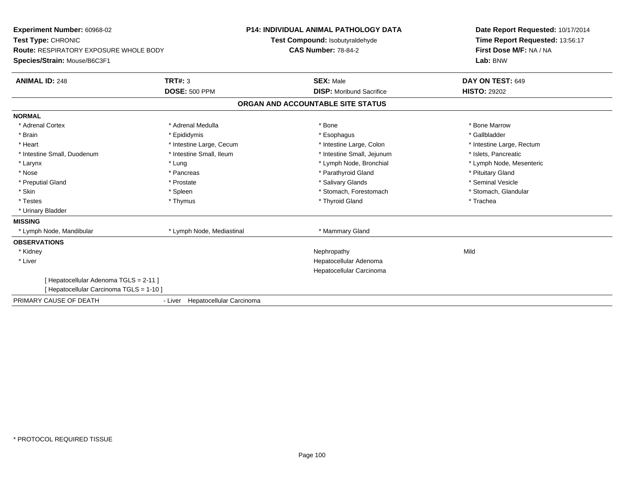| Experiment Number: 60968-02                   |                                  | <b>P14: INDIVIDUAL ANIMAL PATHOLOGY DATA</b> | Date Report Requested: 10/17/2014 |  |
|-----------------------------------------------|----------------------------------|----------------------------------------------|-----------------------------------|--|
| Test Type: CHRONIC                            |                                  | Test Compound: Isobutyraldehyde              | Time Report Requested: 13:56:17   |  |
| <b>Route: RESPIRATORY EXPOSURE WHOLE BODY</b> |                                  | <b>CAS Number: 78-84-2</b>                   | First Dose M/F: NA / NA           |  |
| Species/Strain: Mouse/B6C3F1                  |                                  |                                              | Lab: BNW                          |  |
| <b>ANIMAL ID: 248</b>                         | TRT#: 3                          | <b>SEX: Male</b>                             | DAY ON TEST: 649                  |  |
|                                               | <b>DOSE: 500 PPM</b>             | <b>DISP:</b> Moribund Sacrifice              | <b>HISTO: 29202</b>               |  |
|                                               |                                  | ORGAN AND ACCOUNTABLE SITE STATUS            |                                   |  |
| <b>NORMAL</b>                                 |                                  |                                              |                                   |  |
| * Adrenal Cortex                              | * Adrenal Medulla                | * Bone                                       | * Bone Marrow                     |  |
| * Brain                                       | * Epididymis                     | * Esophagus                                  | * Gallbladder                     |  |
| * Heart                                       | * Intestine Large, Cecum         | * Intestine Large, Colon                     | * Intestine Large, Rectum         |  |
| * Intestine Small, Duodenum                   | * Intestine Small, Ileum         | * Intestine Small, Jejunum                   | * Islets. Pancreatic              |  |
| * Larynx                                      | * Lung                           | * Lymph Node, Bronchial                      | * Lymph Node, Mesenteric          |  |
| * Nose                                        | * Pancreas                       | * Parathyroid Gland                          | * Pituitary Gland                 |  |
| * Preputial Gland                             | * Prostate                       | * Salivary Glands                            | * Seminal Vesicle                 |  |
| * Skin                                        | * Spleen                         | * Stomach, Forestomach                       | * Stomach, Glandular              |  |
| * Testes                                      | * Thymus                         | * Thyroid Gland                              | * Trachea                         |  |
| * Urinary Bladder                             |                                  |                                              |                                   |  |
| <b>MISSING</b>                                |                                  |                                              |                                   |  |
| * Lymph Node, Mandibular                      | * Lymph Node, Mediastinal        | * Mammary Gland                              |                                   |  |
| <b>OBSERVATIONS</b>                           |                                  |                                              |                                   |  |
| * Kidney                                      |                                  | Nephropathy                                  | Mild                              |  |
| * Liver                                       |                                  | Hepatocellular Adenoma                       |                                   |  |
|                                               |                                  | Hepatocellular Carcinoma                     |                                   |  |
| [ Hepatocellular Adenoma TGLS = 2-11 ]        |                                  |                                              |                                   |  |
| [ Hepatocellular Carcinoma TGLS = 1-10 ]      |                                  |                                              |                                   |  |
| PRIMARY CAUSE OF DEATH                        | - Liver Hepatocellular Carcinoma |                                              |                                   |  |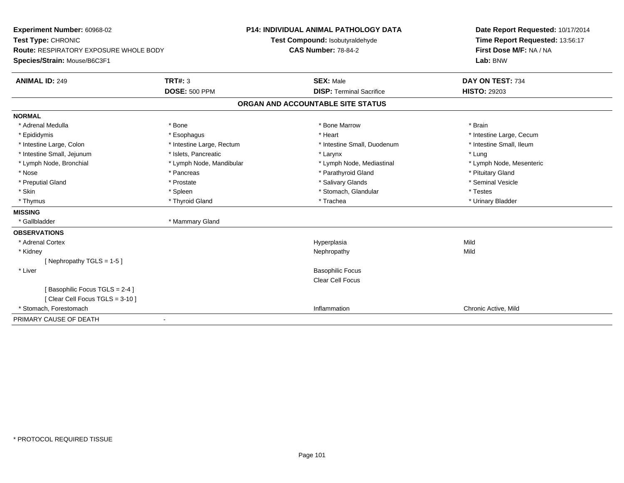| Experiment Number: 60968-02                   |                           | <b>P14: INDIVIDUAL ANIMAL PATHOLOGY DATA</b> | Date Report Requested: 10/17/2014 |  |  |  |  |
|-----------------------------------------------|---------------------------|----------------------------------------------|-----------------------------------|--|--|--|--|
| Test Type: CHRONIC                            |                           | Test Compound: Isobutyraldehyde              | Time Report Requested: 13:56:17   |  |  |  |  |
| <b>Route: RESPIRATORY EXPOSURE WHOLE BODY</b> |                           | <b>CAS Number: 78-84-2</b>                   | First Dose M/F: NA / NA           |  |  |  |  |
| Species/Strain: Mouse/B6C3F1                  |                           |                                              | Lab: BNW                          |  |  |  |  |
| <b>ANIMAL ID: 249</b>                         | <b>TRT#: 3</b>            | <b>SEX: Male</b>                             | DAY ON TEST: 734                  |  |  |  |  |
|                                               | <b>DOSE: 500 PPM</b>      | <b>DISP: Terminal Sacrifice</b>              | <b>HISTO: 29203</b>               |  |  |  |  |
| ORGAN AND ACCOUNTABLE SITE STATUS             |                           |                                              |                                   |  |  |  |  |
| <b>NORMAL</b>                                 |                           |                                              |                                   |  |  |  |  |
| * Adrenal Medulla                             | * Bone                    | * Bone Marrow                                | * Brain                           |  |  |  |  |
| * Epididymis                                  | * Esophagus               | * Heart                                      | * Intestine Large, Cecum          |  |  |  |  |
| * Intestine Large, Colon                      | * Intestine Large, Rectum | * Intestine Small, Duodenum                  | * Intestine Small, Ileum          |  |  |  |  |
| * Intestine Small, Jejunum                    | * Islets, Pancreatic      | * Larynx                                     | * Lung                            |  |  |  |  |
| * Lymph Node, Bronchial                       | * Lymph Node, Mandibular  | * Lymph Node, Mediastinal                    | * Lymph Node, Mesenteric          |  |  |  |  |
| * Nose                                        | * Pancreas                | * Parathyroid Gland                          | * Pituitary Gland                 |  |  |  |  |
| * Preputial Gland                             | * Prostate                | * Salivary Glands                            | * Seminal Vesicle                 |  |  |  |  |
| * Skin                                        | * Spleen                  | * Stomach, Glandular                         | * Testes                          |  |  |  |  |
| * Thymus                                      | * Thyroid Gland           | * Trachea                                    | * Urinary Bladder                 |  |  |  |  |
| <b>MISSING</b>                                |                           |                                              |                                   |  |  |  |  |
| * Gallbladder                                 | * Mammary Gland           |                                              |                                   |  |  |  |  |
| <b>OBSERVATIONS</b>                           |                           |                                              |                                   |  |  |  |  |
| * Adrenal Cortex                              |                           | Hyperplasia                                  | Mild                              |  |  |  |  |
| * Kidney                                      |                           | Nephropathy                                  | Mild                              |  |  |  |  |
| [Nephropathy TGLS = $1-5$ ]                   |                           |                                              |                                   |  |  |  |  |
| * Liver                                       |                           | <b>Basophilic Focus</b>                      |                                   |  |  |  |  |
|                                               |                           | Clear Cell Focus                             |                                   |  |  |  |  |
| [Basophilic Focus TGLS = 2-4]                 |                           |                                              |                                   |  |  |  |  |
| [Clear Cell Focus TGLS = 3-10]                |                           |                                              |                                   |  |  |  |  |
| * Stomach. Forestomach                        |                           | Inflammation                                 | Chronic Active, Mild              |  |  |  |  |
| PRIMARY CAUSE OF DEATH                        |                           |                                              |                                   |  |  |  |  |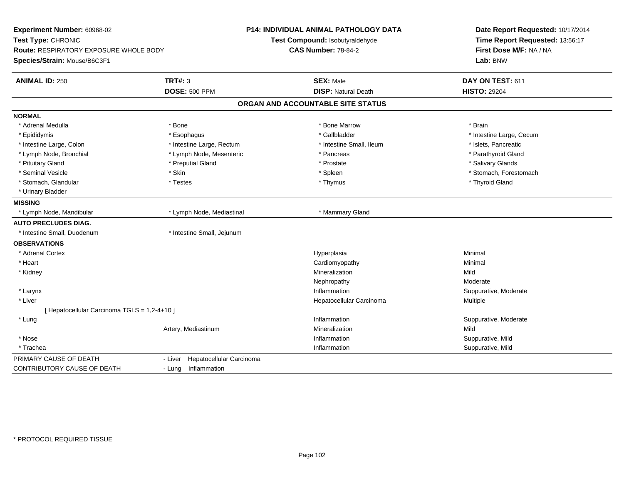| Experiment Number: 60968-02<br>Test Type: CHRONIC<br>Route: RESPIRATORY EXPOSURE WHOLE BODY<br>Species/Strain: Mouse/B6C3F1 |                                     | <b>P14: INDIVIDUAL ANIMAL PATHOLOGY DATA</b><br>Test Compound: Isobutyraldehyde<br><b>CAS Number: 78-84-2</b> | Date Report Requested: 10/17/2014<br>Time Report Requested: 13:56:17<br>First Dose M/F: NA / NA<br>Lab: BNW |  |
|-----------------------------------------------------------------------------------------------------------------------------|-------------------------------------|---------------------------------------------------------------------------------------------------------------|-------------------------------------------------------------------------------------------------------------|--|
| <b>ANIMAL ID: 250</b>                                                                                                       | TRT#: 3                             | <b>SEX: Male</b>                                                                                              | DAY ON TEST: 611                                                                                            |  |
|                                                                                                                             | <b>DOSE: 500 PPM</b>                | <b>DISP: Natural Death</b>                                                                                    | <b>HISTO: 29204</b>                                                                                         |  |
|                                                                                                                             |                                     | ORGAN AND ACCOUNTABLE SITE STATUS                                                                             |                                                                                                             |  |
| <b>NORMAL</b>                                                                                                               |                                     |                                                                                                               |                                                                                                             |  |
| * Adrenal Medulla                                                                                                           | * Bone                              | * Bone Marrow                                                                                                 | * Brain                                                                                                     |  |
| * Epididymis                                                                                                                | * Esophagus                         | * Gallbladder                                                                                                 | * Intestine Large, Cecum                                                                                    |  |
| * Intestine Large, Colon                                                                                                    | * Intestine Large, Rectum           | * Intestine Small. Ileum                                                                                      | * Islets, Pancreatic                                                                                        |  |
| * Lymph Node, Bronchial                                                                                                     | * Lymph Node, Mesenteric            | * Pancreas                                                                                                    | * Parathyroid Gland                                                                                         |  |
| * Pituitary Gland                                                                                                           | * Preputial Gland                   | * Prostate                                                                                                    | * Salivary Glands                                                                                           |  |
| * Seminal Vesicle                                                                                                           | * Skin                              | * Spleen                                                                                                      | * Stomach, Forestomach                                                                                      |  |
| * Stomach, Glandular                                                                                                        | * Testes                            | * Thymus                                                                                                      | * Thyroid Gland                                                                                             |  |
| * Urinary Bladder                                                                                                           |                                     |                                                                                                               |                                                                                                             |  |
| <b>MISSING</b>                                                                                                              |                                     |                                                                                                               |                                                                                                             |  |
| * Lymph Node, Mandibular                                                                                                    | * Lymph Node, Mediastinal           | * Mammary Gland                                                                                               |                                                                                                             |  |
| <b>AUTO PRECLUDES DIAG.</b>                                                                                                 |                                     |                                                                                                               |                                                                                                             |  |
| * Intestine Small, Duodenum                                                                                                 | * Intestine Small, Jejunum          |                                                                                                               |                                                                                                             |  |
| <b>OBSERVATIONS</b>                                                                                                         |                                     |                                                                                                               |                                                                                                             |  |
| * Adrenal Cortex                                                                                                            |                                     | Hyperplasia                                                                                                   | Minimal                                                                                                     |  |
| * Heart                                                                                                                     |                                     | Cardiomyopathy                                                                                                | Minimal                                                                                                     |  |
| * Kidney                                                                                                                    |                                     | Mineralization                                                                                                | Mild                                                                                                        |  |
|                                                                                                                             |                                     | Nephropathy                                                                                                   | Moderate                                                                                                    |  |
| * Larynx                                                                                                                    |                                     | Inflammation                                                                                                  | Suppurative, Moderate                                                                                       |  |
| * Liver                                                                                                                     |                                     | Hepatocellular Carcinoma                                                                                      | Multiple                                                                                                    |  |
| [ Hepatocellular Carcinoma TGLS = 1,2-4+10 ]                                                                                |                                     |                                                                                                               |                                                                                                             |  |
| * Lung                                                                                                                      |                                     | Inflammation                                                                                                  | Suppurative, Moderate                                                                                       |  |
|                                                                                                                             | Artery, Mediastinum                 | Mineralization                                                                                                | Mild                                                                                                        |  |
| * Nose                                                                                                                      |                                     | Inflammation                                                                                                  | Suppurative, Mild                                                                                           |  |
| * Trachea                                                                                                                   |                                     | Inflammation                                                                                                  | Suppurative, Mild                                                                                           |  |
| PRIMARY CAUSE OF DEATH                                                                                                      | Hepatocellular Carcinoma<br>- Liver |                                                                                                               |                                                                                                             |  |
| CONTRIBUTORY CAUSE OF DEATH                                                                                                 | - Lung Inflammation                 |                                                                                                               |                                                                                                             |  |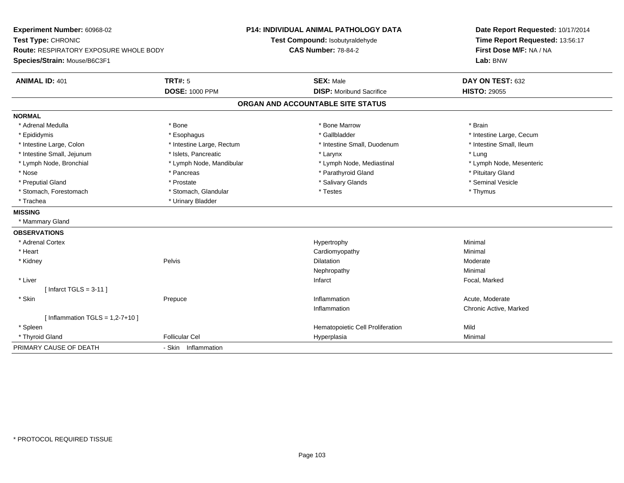**Experiment Number:** 60968-02**Test Type:** CHRONIC **Route:** RESPIRATORY EXPOSURE WHOLE BODY**Species/Strain:** Mouse/B6C3F1**P14: INDIVIDUAL ANIMAL PATHOLOGY DATATest Compound:** Isobutyraldehyde**CAS Number:** 78-84-2**Date Report Requested:** 10/17/2014**Time Report Requested:** 13:56:17**First Dose M/F:** NA / NA**Lab:** BNW**ANIMAL ID:** 401**TRT#:** 5 **SEX:** Male **DAY ON TEST:** 632 **DOSE:** 1000 PPM**DISP:** Moribund Sacrifice **HISTO:** 29055 **ORGAN AND ACCOUNTABLE SITE STATUSNORMAL**\* Adrenal Medulla \* \* Annual Medulla \* Brain \* Bone \* \* Bone Marrow \* Bone Marrow \* \* Brain \* Brain \* Brain \* Brain \* Brain \* Brain \* Brain \* Brain \* Brain \* Brain \* Brain \* Brain \* Brain \* Brain \* Brain \* Brain \* Brain \* \* Epididymis **\* Exophagus \* Execument \* Execument \* Gallbladder** \* Gallbladder \* \* Thtestine Large, Cecum \* Intestine Small, Ileum \* Intestine Large, Colon \* Intestine Large, Rectum \* Intestine Small, Duodenum \* Intestine Small, Duodenum \* Intestine Small, Jejunum \* 1998 \* The state of the state of the state of the state of the state of the state of the state of the state of the state of the state of the state of the state of the state of the state of the \* Lymph Node, Mesenteric \* Lymph Node, Bronchial \* Lymph Node, Mandibular \* Lymph Node, Mediastinal \* Lymph Node, Mediastinal \* Nose \* Pancreas \* Pancreas \* Pancreas \* Parathyroid Gland \* Parathyroid Gland \* Pituitary Gland \* Pituitary Gland \* Seminal Vesicle \* Preputial Gland \* \* Annual vesicle \* \* Prostate \* \* Salivary Glands \* \* Salivary Glands \* \* Seminal Vesicle \* \* Stomach, Forestomach \* Thymus \* Stomach, Glandular \* Testes \* Thymus \* Testes \* Thymus \* Thymus \* Trachea **\*** Urinary Bladder **MISSING** \* Mammary Gland**OBSERVATIONS** \* Adrenal Cortexx and the controller of the controller of the controller of the Hypertrophy  $\mathsf{M}$ inimal  $\mathsf{M}$ inimal  $\mathsf{M}$  \* Heart Cardiomyopathy Minimal \* Kidneyy the control of the pelvis of the control of the control of the control of the control of the control of the control of the control of the control of the control of the control of the control of the control of the control n Moderate Nephropathyy the contract of the Minimal Minimal Section 1996 and the contract of the Minimal Section 1997 and the contract of the contract of the contract of the contract of the contract of the contract of the contract of the contra \* Liver Infarct Focal, Marked[ Infarct TGLS = 3-11 ] \* Skinn and the Prepuce of the Control of the Moderate Inflammation and the Control of the Moderate Acute, Moderate Inflammation Chronic Active, Marked  $[$  Inflammation TGLS = 1,2-7+10  $]$  \* Spleen Hematopoietic Cell Proliferation Mild \* Thyroid Gland Follicular Cel Hyperplasia Minimal PRIMARY CAUSE OF DEATH- Skin Inflammation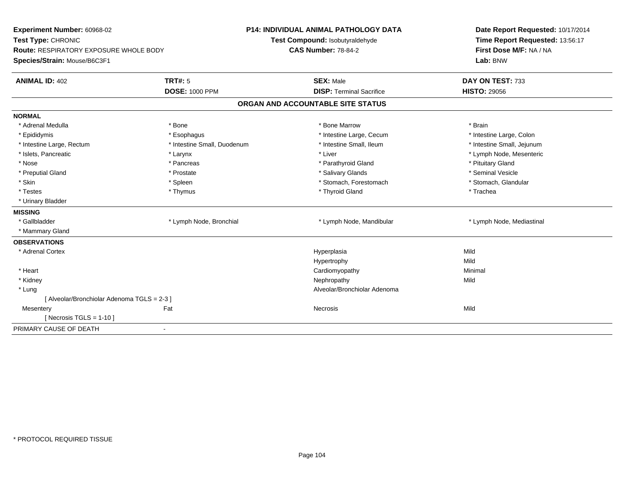| Experiment Number: 60968-02<br>Test Type: CHRONIC<br>Route: RESPIRATORY EXPOSURE WHOLE BODY<br>Species/Strain: Mouse/B6C3F1 |                                  | <b>P14: INDIVIDUAL ANIMAL PATHOLOGY DATA</b><br>Test Compound: Isobutyraldehyde<br><b>CAS Number: 78-84-2</b> | Date Report Requested: 10/17/2014<br>Time Report Requested: 13:56:17<br>First Dose M/F: NA / NA<br>Lab: BNW |  |  |  |
|-----------------------------------------------------------------------------------------------------------------------------|----------------------------------|---------------------------------------------------------------------------------------------------------------|-------------------------------------------------------------------------------------------------------------|--|--|--|
| <b>ANIMAL ID: 402</b>                                                                                                       | TRT#: 5<br><b>DOSE: 1000 PPM</b> | <b>SEX: Male</b><br><b>DISP: Terminal Sacrifice</b>                                                           | DAY ON TEST: 733<br><b>HISTO: 29056</b>                                                                     |  |  |  |
| ORGAN AND ACCOUNTABLE SITE STATUS                                                                                           |                                  |                                                                                                               |                                                                                                             |  |  |  |
| <b>NORMAL</b>                                                                                                               |                                  |                                                                                                               |                                                                                                             |  |  |  |
| * Adrenal Medulla                                                                                                           | * Bone                           | * Bone Marrow                                                                                                 | * Brain                                                                                                     |  |  |  |
| * Epididymis                                                                                                                | * Esophagus                      | * Intestine Large, Cecum                                                                                      | * Intestine Large, Colon                                                                                    |  |  |  |
| * Intestine Large, Rectum                                                                                                   | * Intestine Small, Duodenum      | * Intestine Small, Ileum                                                                                      | * Intestine Small, Jejunum                                                                                  |  |  |  |
| * Islets, Pancreatic                                                                                                        | * Larynx                         | * Liver                                                                                                       | * Lymph Node, Mesenteric                                                                                    |  |  |  |
| * Nose                                                                                                                      | * Pancreas                       | * Parathyroid Gland                                                                                           | * Pituitary Gland                                                                                           |  |  |  |
| * Preputial Gland                                                                                                           | * Prostate                       | * Salivary Glands                                                                                             | * Seminal Vesicle                                                                                           |  |  |  |
| * Skin                                                                                                                      | * Spleen                         | * Stomach, Forestomach                                                                                        | * Stomach, Glandular                                                                                        |  |  |  |
| * Testes                                                                                                                    | * Thymus                         | * Thyroid Gland                                                                                               | * Trachea                                                                                                   |  |  |  |
| * Urinary Bladder                                                                                                           |                                  |                                                                                                               |                                                                                                             |  |  |  |
| <b>MISSING</b>                                                                                                              |                                  |                                                                                                               |                                                                                                             |  |  |  |
| * Gallbladder                                                                                                               | * Lymph Node, Bronchial          | * Lymph Node, Mandibular                                                                                      | * Lymph Node, Mediastinal                                                                                   |  |  |  |
| * Mammary Gland                                                                                                             |                                  |                                                                                                               |                                                                                                             |  |  |  |
| <b>OBSERVATIONS</b>                                                                                                         |                                  |                                                                                                               |                                                                                                             |  |  |  |
| * Adrenal Cortex                                                                                                            |                                  | Hyperplasia                                                                                                   | Mild                                                                                                        |  |  |  |
|                                                                                                                             |                                  | Hypertrophy                                                                                                   | Mild                                                                                                        |  |  |  |
| * Heart                                                                                                                     |                                  | Cardiomyopathy                                                                                                | Minimal                                                                                                     |  |  |  |
| * Kidney                                                                                                                    |                                  | Nephropathy                                                                                                   | Mild                                                                                                        |  |  |  |
| * Lung                                                                                                                      |                                  | Alveolar/Bronchiolar Adenoma                                                                                  |                                                                                                             |  |  |  |
| [ Alveolar/Bronchiolar Adenoma TGLS = 2-3 ]                                                                                 |                                  |                                                                                                               |                                                                                                             |  |  |  |
| Mesentery                                                                                                                   | Fat                              | Necrosis                                                                                                      | Mild                                                                                                        |  |  |  |
| [Necrosis TGLS = $1-10$ ]                                                                                                   |                                  |                                                                                                               |                                                                                                             |  |  |  |
| PRIMARY CAUSE OF DEATH                                                                                                      | $\blacksquare$                   |                                                                                                               |                                                                                                             |  |  |  |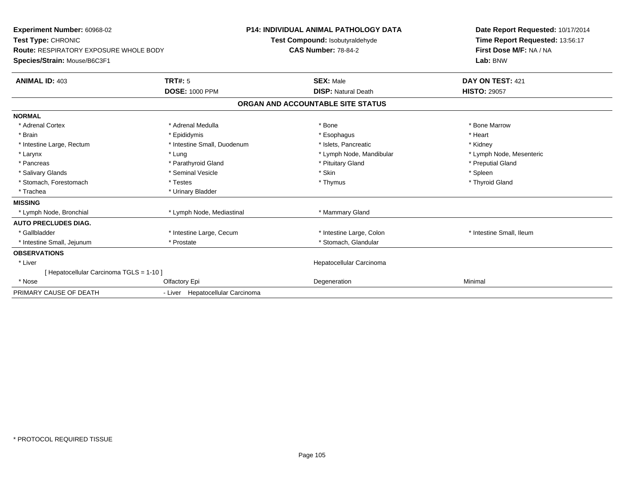| <b>Experiment Number: 60968-02</b><br>Test Type: CHRONIC<br><b>Route: RESPIRATORY EXPOSURE WHOLE BODY</b><br>Species/Strain: Mouse/B6C3F1 |                                  | <b>P14: INDIVIDUAL ANIMAL PATHOLOGY DATA</b><br>Test Compound: Isobutyraldehyde<br><b>CAS Number: 78-84-2</b> |                                   | Date Report Requested: 10/17/2014<br>Time Report Requested: 13:56:17<br>First Dose M/F: NA / NA<br>Lab: BNW |  |
|-------------------------------------------------------------------------------------------------------------------------------------------|----------------------------------|---------------------------------------------------------------------------------------------------------------|-----------------------------------|-------------------------------------------------------------------------------------------------------------|--|
| <b>ANIMAL ID: 403</b>                                                                                                                     | <b>TRT#: 5</b>                   |                                                                                                               | <b>SEX: Male</b>                  | DAY ON TEST: 421                                                                                            |  |
|                                                                                                                                           | <b>DOSE: 1000 PPM</b>            |                                                                                                               | <b>DISP: Natural Death</b>        | <b>HISTO: 29057</b>                                                                                         |  |
|                                                                                                                                           |                                  |                                                                                                               | ORGAN AND ACCOUNTABLE SITE STATUS |                                                                                                             |  |
| <b>NORMAL</b>                                                                                                                             |                                  |                                                                                                               |                                   |                                                                                                             |  |
| * Adrenal Cortex                                                                                                                          | * Adrenal Medulla                |                                                                                                               | * Bone                            | * Bone Marrow                                                                                               |  |
| * Brain                                                                                                                                   | * Epididymis                     |                                                                                                               | * Esophagus                       | * Heart                                                                                                     |  |
| * Intestine Large, Rectum                                                                                                                 | * Intestine Small, Duodenum      |                                                                                                               | * Islets, Pancreatic              | * Kidney                                                                                                    |  |
| * Larynx                                                                                                                                  | * Lung                           |                                                                                                               | * Lymph Node, Mandibular          | * Lymph Node, Mesenteric                                                                                    |  |
| * Pancreas                                                                                                                                | * Parathyroid Gland              |                                                                                                               | * Pituitary Gland                 | * Preputial Gland                                                                                           |  |
| * Salivary Glands                                                                                                                         | * Seminal Vesicle                |                                                                                                               | * Skin                            | * Spleen                                                                                                    |  |
| * Stomach, Forestomach                                                                                                                    | * Testes                         |                                                                                                               | * Thymus                          | * Thyroid Gland                                                                                             |  |
| * Trachea                                                                                                                                 | * Urinary Bladder                |                                                                                                               |                                   |                                                                                                             |  |
| <b>MISSING</b>                                                                                                                            |                                  |                                                                                                               |                                   |                                                                                                             |  |
| * Lymph Node, Bronchial                                                                                                                   | * Lymph Node, Mediastinal        |                                                                                                               | * Mammary Gland                   |                                                                                                             |  |
| <b>AUTO PRECLUDES DIAG.</b>                                                                                                               |                                  |                                                                                                               |                                   |                                                                                                             |  |
| * Gallbladder                                                                                                                             | * Intestine Large, Cecum         |                                                                                                               | * Intestine Large, Colon          | * Intestine Small, Ileum                                                                                    |  |
| * Intestine Small, Jejunum                                                                                                                | * Prostate                       |                                                                                                               | * Stomach, Glandular              |                                                                                                             |  |
| <b>OBSERVATIONS</b>                                                                                                                       |                                  |                                                                                                               |                                   |                                                                                                             |  |
| * Liver                                                                                                                                   |                                  |                                                                                                               | Hepatocellular Carcinoma          |                                                                                                             |  |
| [ Hepatocellular Carcinoma TGLS = 1-10 ]                                                                                                  |                                  |                                                                                                               |                                   |                                                                                                             |  |
| * Nose                                                                                                                                    | Olfactory Epi                    |                                                                                                               | Degeneration                      | Minimal                                                                                                     |  |
| PRIMARY CAUSE OF DEATH                                                                                                                    | - Liver Hepatocellular Carcinoma |                                                                                                               |                                   |                                                                                                             |  |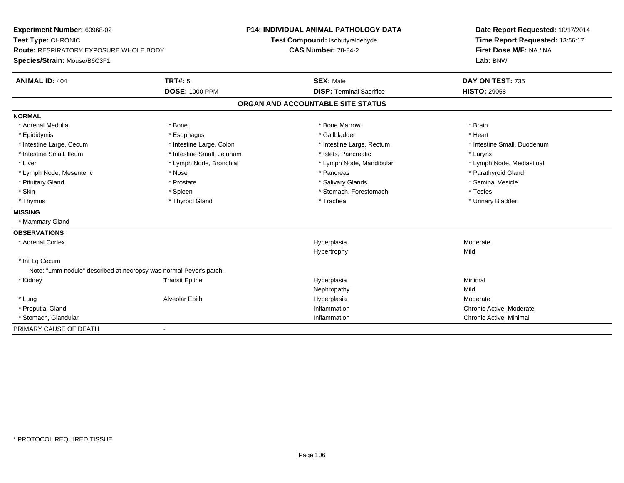**Experiment Number:** 60968-02**Test Type:** CHRONIC **Route:** RESPIRATORY EXPOSURE WHOLE BODY**Species/Strain:** Mouse/B6C3F1**P14: INDIVIDUAL ANIMAL PATHOLOGY DATATest Compound:** Isobutyraldehyde**CAS Number:** 78-84-2**Date Report Requested:** 10/17/2014**Time Report Requested:** 13:56:17**First Dose M/F:** NA / NA**Lab:** BNW**ANIMAL ID:** 404**TRT#:** 5 **SEX:** Male **DAY ON TEST:** 735 **DOSE:** 1000 PPM**DISP:** Terminal Sacrifice **HISTO:** 29058 **ORGAN AND ACCOUNTABLE SITE STATUSNORMAL**\* Adrenal Medulla \* \* Annual Medulla \* Brain \* Bone \* \* Bone Marrow \* Bone Marrow \* \* Brain \* Brain \* Brain \* Brain \* Brain \* Brain \* Brain \* Brain \* Brain \* Brain \* Brain \* Brain \* Brain \* Brain \* Brain \* Brain \* Brain \* \* Heart \* Epididymis \* Esophagus \* Gallbladder \* Heart\* Intestine Large, Cecum \* Intestine Large, Colon \* Intestine Large, Rectum \* Intestine Small, Duodenum \* Intestine Small, Ileum \* Intestine Small, Jejunum \* Islets, Pancreatic \* Larynx\* Lymph Node, Mediastinal \* Liver \* Lymph Node, Bronchial \* Lymph Node, Mandibular \* Lymph Node, Mandibular \* Lymph Node, Mesenteric \* The state of the state of the state of the state of the state of the state of the state of the state of the state of the state of the state of the state of the state of the state of the state of \* Pituitary Gland \* \* \* \* Prostate \* \* Prostate \* \* Salivary Glands \* \* Salivary Glands \* \* Seminal Vesicle \* Skin \* Spleen \* Spleen \* Spleen \* Stomach, Forestomach \* Testes \* Testes \* Testes \* Urinary Bladder \* Thymus \* Thyroid Gland \* Trachea \* Urinary Bladder \* **MISSING** \* Mammary Gland**OBSERVATIONS** \* Adrenal Cortexx and the control of the control of the control of the control of the control of the control of the control of the control of the control of the control of the control of the control of the control of the control of the co a **Moderate** Hypertrophyy Mild \* Int Lg Cecum Note: "1mm nodule" described at necropsy was normal Peyer's patch. \* Kidney Transit Epithe Hyperplasia Minimal Nephropathyy Mild Moderate \* Lung Alveolar Epith Hyperplasia Moderate \* Preputial Gland Inflammation Chronic Active, Moderate \* Stomach, Glandular**Inflammation Inflammation**  Chronic Active, Minimal PRIMARY CAUSE OF DEATH-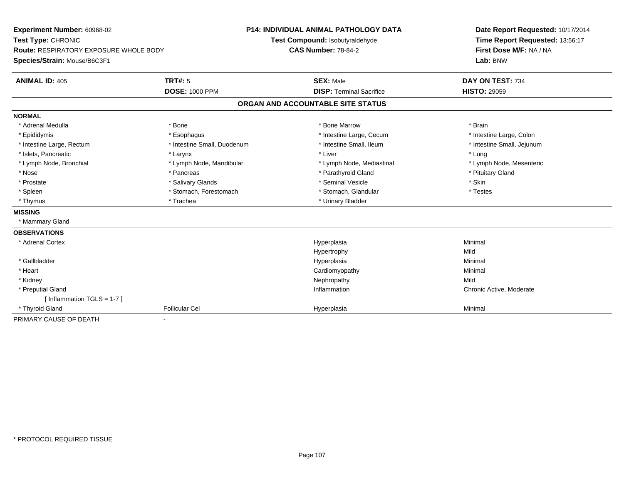**Experiment Number:** 60968-02**Test Type:** CHRONIC **Route:** RESPIRATORY EXPOSURE WHOLE BODY**Species/Strain:** Mouse/B6C3F1**P14: INDIVIDUAL ANIMAL PATHOLOGY DATATest Compound:** Isobutyraldehyde**CAS Number:** 78-84-2**Date Report Requested:** 10/17/2014**Time Report Requested:** 13:56:17**First Dose M/F:** NA / NA**Lab:** BNW**ANIMAL ID:** 405**TRT#:** 5 **SEX:** Male **DAY ON TEST:** 734 **DOSE:** 1000 PPM**DISP:** Terminal Sacrifice **HISTO:** 29059 **ORGAN AND ACCOUNTABLE SITE STATUSNORMAL**\* Adrenal Medulla \* \* Annual Medulla \* Brain \* Bone \* \* Bone Marrow \* Bone Marrow \* \* Brain \* Brain \* Brain \* Brain \* Brain \* Brain \* Brain \* Brain \* Brain \* Brain \* Brain \* Brain \* Brain \* Brain \* Brain \* Brain \* Brain \* \* Intestine Large, Colon \* Epididymis \* Intestine Large, Cecum \* Esophagus \* Intestine Large, Cecum \* Intestine Large, Cecum \* Intestine Small, Jejunum \* Intestine Large, Rectum \* Intestine Small, Duodenum \* Intestine Small, Duodenum \* \* Intestine Small, Ileum \* Islets, Pancreatic \* The same \* Larynx \* Larynx \* Larynx \* Liver \* Liver \* Liver \* Liver \* Lung \* Lymph Node, Mesenteric \* Lymph Node, Bronchial \* Lymph Node, Mandibular \* Lymph Node, Mediastinal \* Lymph Node, Mediastinal \* Nose \* Pancreas \* Pancreas \* Pancreas \* Parathyroid Gland \* Parathyroid Gland \* Pituitary Gland \* Pituitary Gland \* Prostate \* \* Salivary Glands \* \* Salivary Glands \* \* Seminal Vesicle \* \* \* Seminal Yestrich \* \* Skin \* \* Skin \* Testes \* Spleen \* Stomach, Forestomach \* Stomach, Spleen \* Stomach, Glandular \* Testestess \* Stomach, Glandular \* Thymus \* Trachea \* Trachea \* Trachea \* Urinary Bladder **MISSING** \* Mammary Gland**OBSERVATIONS** \* Adrenal Cortexx and the control of the control of the control of the control of the control of the control of the control of the control of the control of the control of the control of the control of the control of the control of the co a **Minimal** Hypertrophyy Mild Minimal \* Gallbladderr and the contract of the contract of the contract of the contract of the contract of the contract of the contract of the contract of the contract of the contract of the contract of the contract of the contract of the cont a **Minimal**  \* Heart Cardiomyopathy Minimal \* Kidneyy the controller of the controller of the controller of the controller of the controller of the controller of the controller of the controller of the controller of the controller of the controller of the controller of the Chronic Active, Moderate \* Preputial Gland Inflammation Chronic Active, Moderate [ Inflammation TGLS = 1-7 ] \* Thyroid Gland Follicular Cel Hyperplasia Minimal PRIMARY CAUSE OF DEATH-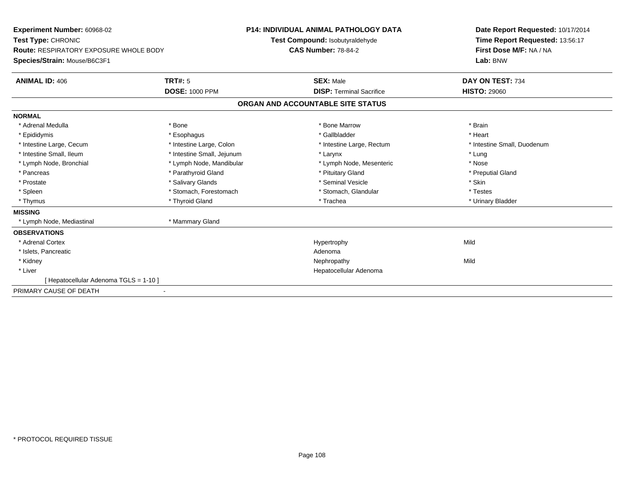| Experiment Number: 60968-02<br>Test Type: CHRONIC<br>Route: RESPIRATORY EXPOSURE WHOLE BODY<br>Species/Strain: Mouse/B6C3F1 |                            | <b>P14: INDIVIDUAL ANIMAL PATHOLOGY DATA</b><br>Test Compound: Isobutyraldehyde<br><b>CAS Number: 78-84-2</b> |                                   | Date Report Requested: 10/17/2014<br>Time Report Requested: 13:56:17<br>First Dose M/F: NA / NA<br>Lab: BNW |  |
|-----------------------------------------------------------------------------------------------------------------------------|----------------------------|---------------------------------------------------------------------------------------------------------------|-----------------------------------|-------------------------------------------------------------------------------------------------------------|--|
| <b>ANIMAL ID: 406</b>                                                                                                       | <b>TRT#: 5</b>             |                                                                                                               | <b>SEX: Male</b>                  | DAY ON TEST: 734                                                                                            |  |
|                                                                                                                             | <b>DOSE: 1000 PPM</b>      |                                                                                                               | <b>DISP: Terminal Sacrifice</b>   | <b>HISTO: 29060</b>                                                                                         |  |
|                                                                                                                             |                            |                                                                                                               | ORGAN AND ACCOUNTABLE SITE STATUS |                                                                                                             |  |
| <b>NORMAL</b>                                                                                                               |                            |                                                                                                               |                                   |                                                                                                             |  |
| * Adrenal Medulla                                                                                                           | * Bone                     |                                                                                                               | * Bone Marrow                     | * Brain                                                                                                     |  |
| * Epididymis                                                                                                                | * Esophagus                |                                                                                                               | * Gallbladder                     | * Heart                                                                                                     |  |
| * Intestine Large, Cecum                                                                                                    | * Intestine Large, Colon   |                                                                                                               | * Intestine Large, Rectum         | * Intestine Small, Duodenum                                                                                 |  |
| * Intestine Small. Ileum                                                                                                    | * Intestine Small, Jejunum |                                                                                                               | * Larynx                          | * Lung                                                                                                      |  |
| * Lymph Node, Bronchial                                                                                                     | * Lymph Node, Mandibular   |                                                                                                               | * Lymph Node, Mesenteric          | * Nose                                                                                                      |  |
| * Pancreas                                                                                                                  | * Parathyroid Gland        |                                                                                                               | * Pituitary Gland                 | * Preputial Gland                                                                                           |  |
| * Prostate                                                                                                                  | * Salivary Glands          |                                                                                                               | * Seminal Vesicle                 | * Skin                                                                                                      |  |
| * Spleen                                                                                                                    | * Stomach, Forestomach     |                                                                                                               | * Stomach, Glandular              | * Testes                                                                                                    |  |
| * Thymus                                                                                                                    | * Thyroid Gland            |                                                                                                               | * Trachea                         | * Urinary Bladder                                                                                           |  |
| <b>MISSING</b>                                                                                                              |                            |                                                                                                               |                                   |                                                                                                             |  |
| * Lymph Node, Mediastinal                                                                                                   | * Mammary Gland            |                                                                                                               |                                   |                                                                                                             |  |
| <b>OBSERVATIONS</b>                                                                                                         |                            |                                                                                                               |                                   |                                                                                                             |  |
| * Adrenal Cortex                                                                                                            |                            |                                                                                                               | Hypertrophy                       | Mild                                                                                                        |  |
| * Islets, Pancreatic                                                                                                        |                            |                                                                                                               | Adenoma                           |                                                                                                             |  |
| * Kidney                                                                                                                    |                            |                                                                                                               | Nephropathy                       | Mild                                                                                                        |  |
| * Liver                                                                                                                     |                            |                                                                                                               | Hepatocellular Adenoma            |                                                                                                             |  |
| [ Hepatocellular Adenoma TGLS = 1-10 ]                                                                                      |                            |                                                                                                               |                                   |                                                                                                             |  |
| PRIMARY CAUSE OF DEATH                                                                                                      |                            |                                                                                                               |                                   |                                                                                                             |  |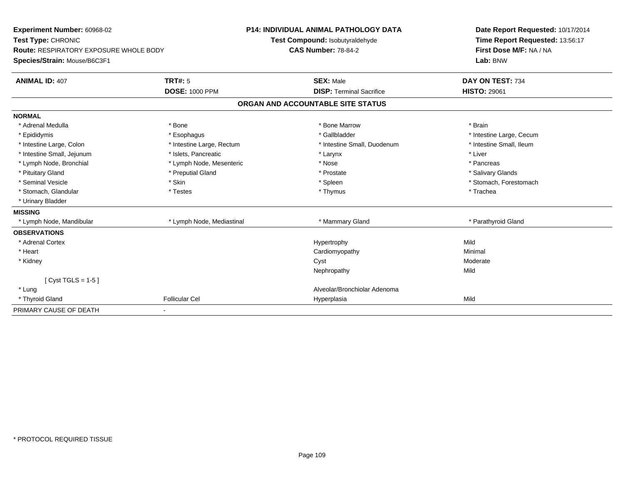| Experiment Number: 60968-02                   |                           | <b>P14: INDIVIDUAL ANIMAL PATHOLOGY DATA</b> | Date Report Requested: 10/17/2014 |
|-----------------------------------------------|---------------------------|----------------------------------------------|-----------------------------------|
| Test Type: CHRONIC                            |                           | Test Compound: Isobutyraldehyde              | Time Report Requested: 13:56:17   |
| <b>Route: RESPIRATORY EXPOSURE WHOLE BODY</b> |                           | <b>CAS Number: 78-84-2</b>                   | First Dose M/F: NA / NA           |
| Species/Strain: Mouse/B6C3F1                  |                           |                                              | Lab: BNW                          |
| <b>ANIMAL ID: 407</b>                         | <b>TRT#: 5</b>            | <b>SEX: Male</b>                             | DAY ON TEST: 734                  |
|                                               | <b>DOSE: 1000 PPM</b>     | <b>DISP: Terminal Sacrifice</b>              | <b>HISTO: 29061</b>               |
|                                               |                           | ORGAN AND ACCOUNTABLE SITE STATUS            |                                   |
| <b>NORMAL</b>                                 |                           |                                              |                                   |
| * Adrenal Medulla                             | * Bone                    | * Bone Marrow                                | * Brain                           |
| * Epididymis                                  | * Esophagus               | * Gallbladder                                | * Intestine Large, Cecum          |
| * Intestine Large, Colon                      | * Intestine Large, Rectum | * Intestine Small, Duodenum                  | * Intestine Small, Ileum          |
| * Intestine Small, Jejunum                    | * Islets, Pancreatic      | * Larynx                                     | * Liver                           |
| * Lymph Node, Bronchial                       | * Lymph Node, Mesenteric  | * Nose                                       | * Pancreas                        |
| * Pituitary Gland                             | * Preputial Gland         | * Prostate                                   | * Salivary Glands                 |
| * Seminal Vesicle                             | * Skin                    | * Spleen                                     | * Stomach, Forestomach            |
| * Stomach, Glandular                          | * Testes                  | * Thymus                                     | * Trachea                         |
| * Urinary Bladder                             |                           |                                              |                                   |
| <b>MISSING</b>                                |                           |                                              |                                   |
| * Lymph Node, Mandibular                      | * Lymph Node, Mediastinal | * Mammary Gland                              | * Parathyroid Gland               |
| <b>OBSERVATIONS</b>                           |                           |                                              |                                   |
| * Adrenal Cortex                              |                           | Hypertrophy                                  | Mild                              |
| * Heart                                       |                           | Cardiomyopathy                               | Minimal                           |
| * Kidney                                      |                           | Cyst                                         | Moderate                          |
|                                               |                           | Nephropathy                                  | Mild                              |
| [ $Cyst TGLS = 1-5$ ]                         |                           |                                              |                                   |
| * Lung                                        |                           | Alveolar/Bronchiolar Adenoma                 |                                   |
| * Thyroid Gland                               | <b>Follicular Cel</b>     | Hyperplasia                                  | Mild                              |
| PRIMARY CAUSE OF DEATH                        |                           |                                              |                                   |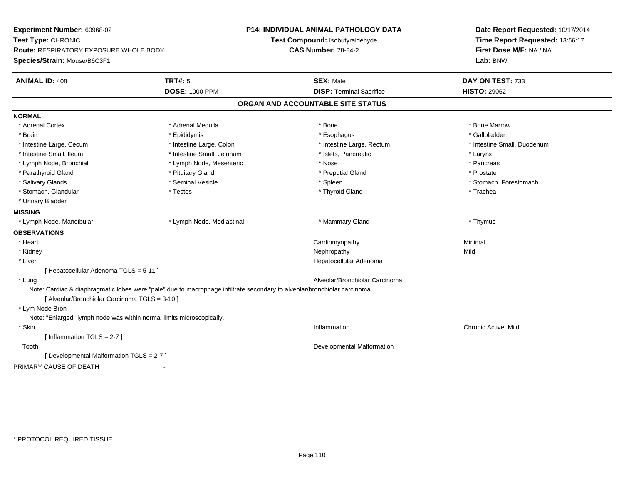| Experiment Number: 60968-02                                                                                                                                                 |                            | <b>P14: INDIVIDUAL ANIMAL PATHOLOGY DATA</b> | Date Report Requested: 10/17/2014 |
|-----------------------------------------------------------------------------------------------------------------------------------------------------------------------------|----------------------------|----------------------------------------------|-----------------------------------|
| Test Type: CHRONIC                                                                                                                                                          |                            | Test Compound: Isobutyraldehyde              | Time Report Requested: 13:56:17   |
| <b>Route: RESPIRATORY EXPOSURE WHOLE BODY</b>                                                                                                                               |                            | <b>CAS Number: 78-84-2</b>                   | First Dose M/F: NA / NA           |
| Species/Strain: Mouse/B6C3F1                                                                                                                                                |                            |                                              | Lab: BNW                          |
| <b>ANIMAL ID: 408</b>                                                                                                                                                       | <b>TRT#: 5</b>             | <b>SEX: Male</b>                             | DAY ON TEST: 733                  |
|                                                                                                                                                                             | <b>DOSE: 1000 PPM</b>      | <b>DISP: Terminal Sacrifice</b>              | <b>HISTO: 29062</b>               |
|                                                                                                                                                                             |                            | ORGAN AND ACCOUNTABLE SITE STATUS            |                                   |
| <b>NORMAL</b>                                                                                                                                                               |                            |                                              |                                   |
| * Adrenal Cortex                                                                                                                                                            | * Adrenal Medulla          | * Bone                                       | * Bone Marrow                     |
| * Brain                                                                                                                                                                     | * Epididymis               | * Esophagus                                  | * Gallbladder                     |
| * Intestine Large, Cecum                                                                                                                                                    | * Intestine Large, Colon   | * Intestine Large, Rectum                    | * Intestine Small, Duodenum       |
| * Intestine Small, Ileum                                                                                                                                                    | * Intestine Small, Jejunum | * Islets, Pancreatic                         | * Larynx                          |
| * Lymph Node, Bronchial                                                                                                                                                     | * Lymph Node, Mesenteric   | * Nose                                       | * Pancreas                        |
| * Parathyroid Gland                                                                                                                                                         | * Pituitary Gland          | * Preputial Gland                            | * Prostate                        |
| * Salivary Glands                                                                                                                                                           | * Seminal Vesicle          | * Spleen                                     | * Stomach, Forestomach            |
| * Stomach, Glandular                                                                                                                                                        | * Testes                   | * Thyroid Gland                              | * Trachea                         |
| * Urinary Bladder                                                                                                                                                           |                            |                                              |                                   |
| <b>MISSING</b>                                                                                                                                                              |                            |                                              |                                   |
| * Lymph Node, Mandibular                                                                                                                                                    | * Lymph Node, Mediastinal  | * Mammary Gland                              | * Thymus                          |
| <b>OBSERVATIONS</b>                                                                                                                                                         |                            |                                              |                                   |
| * Heart                                                                                                                                                                     |                            | Cardiomyopathy                               | Minimal                           |
| * Kidney                                                                                                                                                                    |                            | Nephropathy                                  | Mild                              |
| * Liver                                                                                                                                                                     |                            | Hepatocellular Adenoma                       |                                   |
| [ Hepatocellular Adenoma TGLS = 5-11 ]                                                                                                                                      |                            |                                              |                                   |
| * Lung                                                                                                                                                                      |                            | Alveolar/Bronchiolar Carcinoma               |                                   |
| Note: Cardiac & diaphragmatic lobes were "pale" due to macrophage infiltrate secondary to alveolar/bronchiolar carcinoma.<br>[ Alveolar/Bronchiolar Carcinoma TGLS = 3-10 ] |                            |                                              |                                   |
| * Lym Node Bron                                                                                                                                                             |                            |                                              |                                   |
| Note: "Enlarged" lymph node was within normal limits microscopically.                                                                                                       |                            |                                              |                                   |
| * Skin                                                                                                                                                                      |                            | Inflammation                                 | Chronic Active, Mild              |
| [Inflammation TGLS = $2-7$ ]                                                                                                                                                |                            |                                              |                                   |
| Tooth                                                                                                                                                                       |                            | Developmental Malformation                   |                                   |
| [ Developmental Malformation TGLS = 2-7 ]                                                                                                                                   |                            |                                              |                                   |
| PRIMARY CAUSE OF DEATH                                                                                                                                                      |                            |                                              |                                   |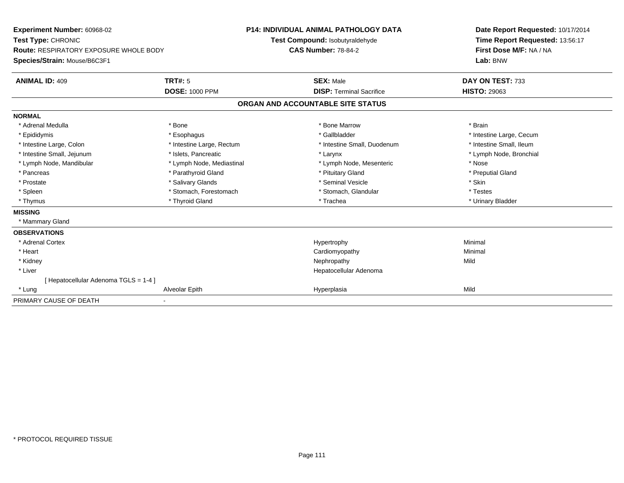**Experiment Number:** 60968-02**Test Type:** CHRONIC **Route:** RESPIRATORY EXPOSURE WHOLE BODY**Species/Strain:** Mouse/B6C3F1**P14: INDIVIDUAL ANIMAL PATHOLOGY DATATest Compound:** Isobutyraldehyde**CAS Number:** 78-84-2**Date Report Requested:** 10/17/2014**Time Report Requested:** 13:56:17**First Dose M/F:** NA / NA**Lab:** BNW**ANIMAL ID:** 409**TRT#:** 5 **SEX:** Male **DAY ON TEST:** 733 **DOSE:** 1000 PPM**DISP:** Terminal Sacrifice **HISTO:** 29063 **ORGAN AND ACCOUNTABLE SITE STATUSNORMAL**\* Adrenal Medulla \* \* Annual Medulla \* Brain \* Bone \* \* Bone Marrow \* Bone Marrow \* \* Brain \* Brain \* Brain \* Brain \* Brain \* Brain \* Brain \* Brain \* Brain \* Brain \* Brain \* Brain \* Brain \* Brain \* Brain \* Brain \* Brain \* \* Epididymis **\* Exophagus \* Execument \* Execument \* Gallbladder** \* Gallbladder \* \* Thtestine Large, Cecum \* Intestine Small, Ileum \* Intestine Large, Colon \* Intestine Large, Rectum \* Intestine Small, Duodenum \* Intestine Small, Duodenum \* Lymph Node, Bronchial \* Intestine Small, Jejunum \* 1992 \* Marchial \* Islets, Pancreatic \* Larynx \* Larynx \* Larynx \* Lymph Node, Mandibular \* Mose \* Lymph Node, Mediastinal \* Nose \* Lymph Node, Mesenteric \* Nose \* Nose \* Preputial Gland \* Pancreas \* \* Parathyroid Gland \* \* Parathyroid Gland \* \* Pituitary Gland \* \* Preputial Gland \* \* Preputial Gland \* Prostate \* \* Salivary Glands \* \* Salivary Glands \* \* Seminal Vesicle \* \* \* Seminal Yestrich \* \* Skin \* \* Skin \* Testes \* Spleen \* Stomach, Forestomach \* Stomach, Spleen \* Stomach, Glandular \* Testestess \* Stomach, Glandular \* Urinary Bladder \* Thymus \* Thyroid Gland \* Trachea \* Urinary Bladder \* **MISSING** \* Mammary Gland**OBSERVATIONS** \* Adrenal Cortexx and the controller of the controller of the controller of the Hypertrophy  $\mathsf{M}$ inimal  $\mathsf{M}$ inimal  $\mathsf{M}$  \* Heart Cardiomyopathy Minimal \* Kidneyy the controller of the controller of the controller of the controller of the controller of the controller of the controller of the controller of the controller of the controller of the controller of the controller of the \* Liver Hepatocellular Adenoma[ Hepatocellular Adenoma TGLS = 1-4 ] \* Lungg and the settlement of the Alveolar Epith Hyperplasia Hyperplasia Mild and the Mild and Mild and Mild and Mild PRIMARY CAUSE OF DEATH-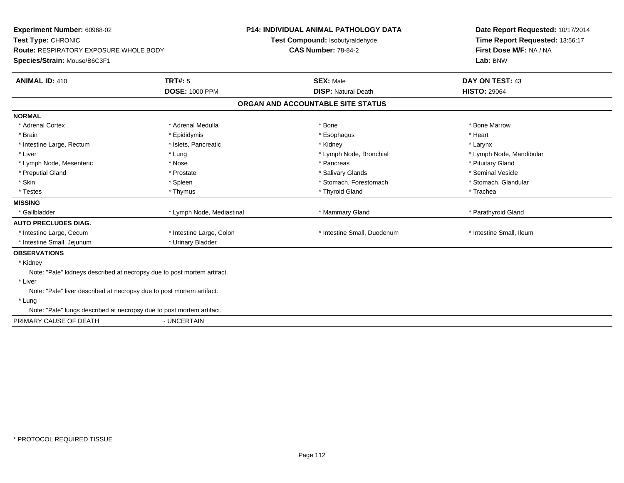| Experiment Number: 60968-02<br>Test Type: CHRONIC                             |                           | <b>P14: INDIVIDUAL ANIMAL PATHOLOGY DATA</b><br>Test Compound: Isobutyraldehyde | Date Report Requested: 10/17/2014<br>Time Report Requested: 13:56:17 |
|-------------------------------------------------------------------------------|---------------------------|---------------------------------------------------------------------------------|----------------------------------------------------------------------|
| <b>Route: RESPIRATORY EXPOSURE WHOLE BODY</b><br>Species/Strain: Mouse/B6C3F1 |                           | <b>CAS Number: 78-84-2</b>                                                      | First Dose M/F: NA / NA<br>Lab: BNW                                  |
|                                                                               |                           |                                                                                 |                                                                      |
| <b>ANIMAL ID: 410</b>                                                         | <b>TRT#: 5</b>            | <b>SEX: Male</b>                                                                | <b>DAY ON TEST: 43</b>                                               |
|                                                                               | <b>DOSE: 1000 PPM</b>     | <b>DISP: Natural Death</b>                                                      | <b>HISTO: 29064</b>                                                  |
|                                                                               |                           | ORGAN AND ACCOUNTABLE SITE STATUS                                               |                                                                      |
| <b>NORMAL</b>                                                                 |                           |                                                                                 |                                                                      |
| * Adrenal Cortex                                                              | * Adrenal Medulla         | * Bone                                                                          | * Bone Marrow                                                        |
| * Brain                                                                       | * Epididymis              | * Esophagus                                                                     | * Heart                                                              |
| * Intestine Large, Rectum                                                     | * Islets, Pancreatic      | * Kidney                                                                        | * Larynx                                                             |
| * Liver                                                                       | * Lung                    | * Lymph Node, Bronchial                                                         | * Lymph Node, Mandibular                                             |
| * Lymph Node, Mesenteric                                                      | * Nose                    | * Pancreas                                                                      | * Pituitary Gland                                                    |
| * Preputial Gland                                                             | * Prostate                | * Salivary Glands                                                               | * Seminal Vesicle                                                    |
| * Skin                                                                        | * Spleen                  | * Stomach, Forestomach                                                          | * Stomach, Glandular                                                 |
| * Testes                                                                      | * Thymus                  | * Thyroid Gland                                                                 | * Trachea                                                            |
| <b>MISSING</b>                                                                |                           |                                                                                 |                                                                      |
| * Gallbladder                                                                 | * Lymph Node, Mediastinal | * Mammary Gland                                                                 | * Parathyroid Gland                                                  |
| <b>AUTO PRECLUDES DIAG.</b>                                                   |                           |                                                                                 |                                                                      |
| * Intestine Large, Cecum                                                      | * Intestine Large, Colon  | * Intestine Small, Duodenum                                                     | * Intestine Small, Ileum                                             |
| * Intestine Small, Jejunum                                                    | * Urinary Bladder         |                                                                                 |                                                                      |
| <b>OBSERVATIONS</b>                                                           |                           |                                                                                 |                                                                      |
| * Kidney                                                                      |                           |                                                                                 |                                                                      |
| Note: "Pale" kidneys described at necropsy due to post mortem artifact.       |                           |                                                                                 |                                                                      |
| * Liver                                                                       |                           |                                                                                 |                                                                      |
| Note: "Pale" liver described at necropsy due to post mortem artifact.         |                           |                                                                                 |                                                                      |
| * Lung                                                                        |                           |                                                                                 |                                                                      |
| Note: "Pale" lungs described at necropsy due to post mortem artifact.         |                           |                                                                                 |                                                                      |
| PRIMARY CAUSE OF DEATH                                                        | - UNCERTAIN               |                                                                                 |                                                                      |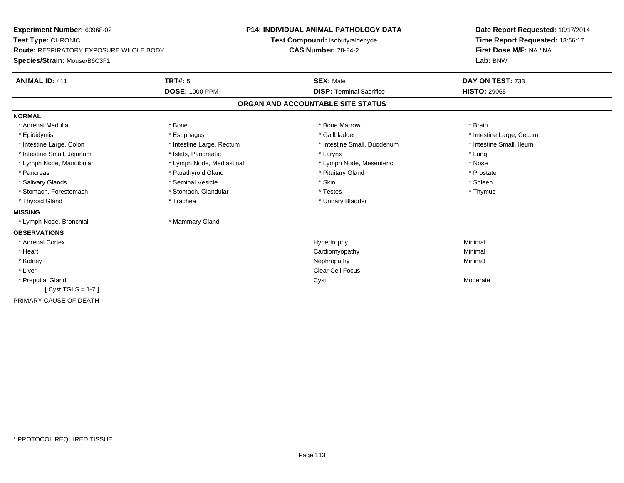| Experiment Number: 60968-02<br>Test Type: CHRONIC |                           | <b>P14: INDIVIDUAL ANIMAL PATHOLOGY DATA</b><br>Test Compound: Isobutyraldehyde |  | Date Report Requested: 10/17/2014<br>Time Report Requested: 13:56:17 |  |
|---------------------------------------------------|---------------------------|---------------------------------------------------------------------------------|--|----------------------------------------------------------------------|--|
| <b>Route: RESPIRATORY EXPOSURE WHOLE BODY</b>     |                           | <b>CAS Number: 78-84-2</b>                                                      |  | First Dose M/F: NA / NA                                              |  |
| Species/Strain: Mouse/B6C3F1                      |                           |                                                                                 |  | Lab: BNW                                                             |  |
| <b>ANIMAL ID: 411</b>                             | <b>TRT#: 5</b>            | <b>SEX: Male</b>                                                                |  | DAY ON TEST: 733                                                     |  |
|                                                   | <b>DOSE: 1000 PPM</b>     | <b>DISP: Terminal Sacrifice</b>                                                 |  | <b>HISTO: 29065</b>                                                  |  |
|                                                   |                           | ORGAN AND ACCOUNTABLE SITE STATUS                                               |  |                                                                      |  |
| <b>NORMAL</b>                                     |                           |                                                                                 |  |                                                                      |  |
| * Adrenal Medulla                                 | * Bone                    | * Bone Marrow                                                                   |  | * Brain                                                              |  |
| * Epididymis                                      | * Esophagus               | * Gallbladder                                                                   |  | * Intestine Large, Cecum                                             |  |
| * Intestine Large, Colon                          | * Intestine Large, Rectum | * Intestine Small, Duodenum                                                     |  | * Intestine Small, Ileum                                             |  |
| * Intestine Small, Jejunum                        | * Islets, Pancreatic      | * Larynx                                                                        |  | * Lung                                                               |  |
| * Lymph Node, Mandibular                          | * Lymph Node, Mediastinal | * Lymph Node, Mesenteric                                                        |  | * Nose                                                               |  |
| * Pancreas                                        | * Parathyroid Gland       | * Pituitary Gland                                                               |  | * Prostate                                                           |  |
| * Salivary Glands                                 | * Seminal Vesicle         | * Skin                                                                          |  | * Spleen                                                             |  |
| * Stomach, Forestomach                            | * Stomach, Glandular      | * Testes                                                                        |  | * Thymus                                                             |  |
| * Thyroid Gland                                   | * Trachea                 | * Urinary Bladder                                                               |  |                                                                      |  |
| <b>MISSING</b>                                    |                           |                                                                                 |  |                                                                      |  |
| * Lymph Node, Bronchial                           | * Mammary Gland           |                                                                                 |  |                                                                      |  |
| <b>OBSERVATIONS</b>                               |                           |                                                                                 |  |                                                                      |  |
| * Adrenal Cortex                                  |                           | Hypertrophy                                                                     |  | Minimal                                                              |  |
| * Heart                                           |                           | Cardiomyopathy                                                                  |  | Minimal                                                              |  |
| * Kidney                                          |                           | Nephropathy                                                                     |  | Minimal                                                              |  |
| * Liver                                           |                           | <b>Clear Cell Focus</b>                                                         |  |                                                                      |  |
| * Preputial Gland                                 |                           | Cyst                                                                            |  | Moderate                                                             |  |
| [ Cyst TGLS = 1-7 ]                               |                           |                                                                                 |  |                                                                      |  |
| PRIMARY CAUSE OF DEATH                            |                           |                                                                                 |  |                                                                      |  |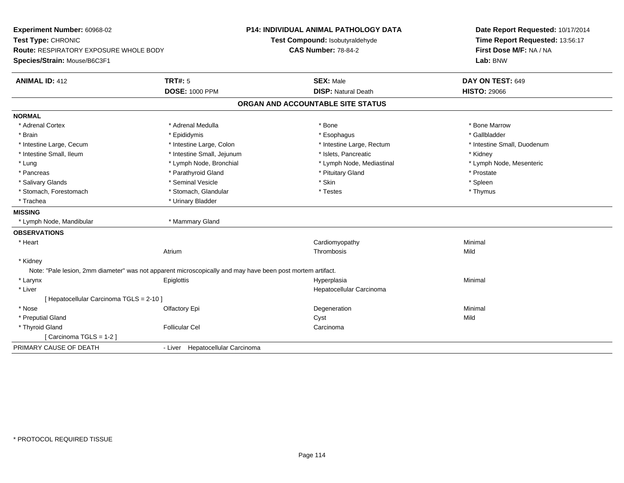| Experiment Number: 60968-02<br>Test Type: CHRONIC |                                                                                                            | <b>P14: INDIVIDUAL ANIMAL PATHOLOGY DATA</b> | Date Report Requested: 10/17/2014<br>Time Report Requested: 13:56:17 |  |
|---------------------------------------------------|------------------------------------------------------------------------------------------------------------|----------------------------------------------|----------------------------------------------------------------------|--|
|                                                   |                                                                                                            | Test Compound: Isobutyraldehyde              |                                                                      |  |
| <b>Route: RESPIRATORY EXPOSURE WHOLE BODY</b>     |                                                                                                            | <b>CAS Number: 78-84-2</b>                   | First Dose M/F: NA / NA                                              |  |
| Species/Strain: Mouse/B6C3F1                      |                                                                                                            |                                              | Lab: BNW                                                             |  |
| <b>ANIMAL ID: 412</b>                             | <b>TRT#: 5</b>                                                                                             | <b>SEX: Male</b>                             | DAY ON TEST: 649                                                     |  |
|                                                   | <b>DOSE: 1000 PPM</b>                                                                                      | <b>DISP: Natural Death</b>                   | <b>HISTO: 29066</b>                                                  |  |
|                                                   |                                                                                                            | ORGAN AND ACCOUNTABLE SITE STATUS            |                                                                      |  |
| <b>NORMAL</b>                                     |                                                                                                            |                                              |                                                                      |  |
| * Adrenal Cortex                                  | * Adrenal Medulla                                                                                          | * Bone                                       | * Bone Marrow                                                        |  |
| * Brain                                           | * Epididymis                                                                                               | * Esophagus                                  | * Gallbladder                                                        |  |
| * Intestine Large, Cecum                          | * Intestine Large, Colon                                                                                   | * Intestine Large, Rectum                    | * Intestine Small, Duodenum                                          |  |
| * Intestine Small, Ileum                          | * Intestine Small, Jejunum                                                                                 | * Islets, Pancreatic                         | * Kidney                                                             |  |
| * Lung                                            | * Lymph Node, Bronchial                                                                                    | * Lymph Node, Mediastinal                    | * Lymph Node, Mesenteric                                             |  |
| * Pancreas                                        | * Parathyroid Gland                                                                                        | * Pituitary Gland                            | * Prostate                                                           |  |
| * Salivary Glands                                 | * Seminal Vesicle                                                                                          | * Skin                                       | * Spleen                                                             |  |
| * Stomach, Forestomach                            | * Stomach, Glandular                                                                                       | * Testes                                     | * Thymus                                                             |  |
| * Trachea                                         | * Urinary Bladder                                                                                          |                                              |                                                                      |  |
| <b>MISSING</b>                                    |                                                                                                            |                                              |                                                                      |  |
| * Lymph Node, Mandibular                          | * Mammary Gland                                                                                            |                                              |                                                                      |  |
| <b>OBSERVATIONS</b>                               |                                                                                                            |                                              |                                                                      |  |
| * Heart                                           |                                                                                                            | Cardiomyopathy                               | Minimal                                                              |  |
|                                                   | Atrium                                                                                                     | Thrombosis                                   | Mild                                                                 |  |
| * Kidney                                          |                                                                                                            |                                              |                                                                      |  |
|                                                   | Note: "Pale lesion, 2mm diameter" was not apparent microscopically and may have been post mortem artifact. |                                              |                                                                      |  |
| * Larynx                                          | Epiglottis                                                                                                 | Hyperplasia                                  | Minimal                                                              |  |
| * Liver                                           |                                                                                                            | Hepatocellular Carcinoma                     |                                                                      |  |
| [ Hepatocellular Carcinoma TGLS = 2-10 ]          |                                                                                                            |                                              |                                                                      |  |
| * Nose                                            | Olfactory Epi                                                                                              | Degeneration                                 | Minimal                                                              |  |
| * Preputial Gland                                 |                                                                                                            | Cyst                                         | Mild                                                                 |  |
| * Thyroid Gland                                   | <b>Follicular Cel</b>                                                                                      | Carcinoma                                    |                                                                      |  |
| [Carcinoma TGLS = 1-2]                            |                                                                                                            |                                              |                                                                      |  |
| PRIMARY CAUSE OF DEATH                            | Hepatocellular Carcinoma<br>- Liver                                                                        |                                              |                                                                      |  |
|                                                   |                                                                                                            |                                              |                                                                      |  |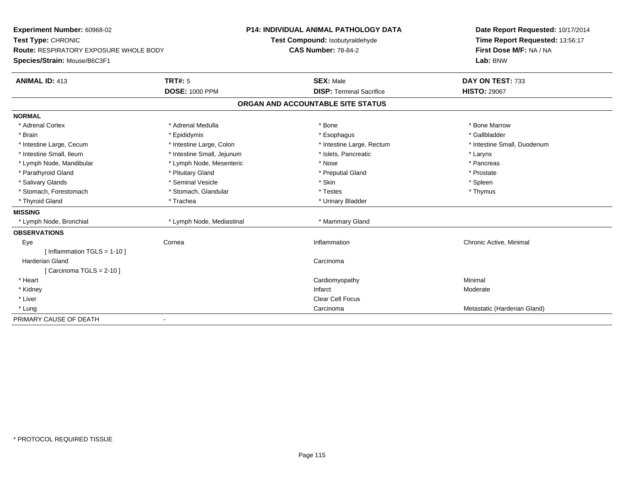| Experiment Number: 60968-02            |                            | <b>P14: INDIVIDUAL ANIMAL PATHOLOGY DATA</b> | Date Report Requested: 10/17/2014 |
|----------------------------------------|----------------------------|----------------------------------------------|-----------------------------------|
| Test Type: CHRONIC                     |                            | Test Compound: Isobutyraldehyde              | Time Report Requested: 13:56:17   |
| Route: RESPIRATORY EXPOSURE WHOLE BODY |                            | <b>CAS Number: 78-84-2</b>                   | First Dose M/F: NA / NA           |
| Species/Strain: Mouse/B6C3F1           |                            |                                              | Lab: BNW                          |
| <b>ANIMAL ID: 413</b>                  | <b>TRT#: 5</b>             | <b>SEX: Male</b>                             | DAY ON TEST: 733                  |
|                                        | <b>DOSE: 1000 PPM</b>      | <b>DISP: Terminal Sacrifice</b>              | <b>HISTO: 29067</b>               |
|                                        |                            | ORGAN AND ACCOUNTABLE SITE STATUS            |                                   |
| <b>NORMAL</b>                          |                            |                                              |                                   |
| * Adrenal Cortex                       | * Adrenal Medulla          | * Bone                                       | * Bone Marrow                     |
| * Brain                                | * Epididymis               | * Esophagus                                  | * Gallbladder                     |
| * Intestine Large, Cecum               | * Intestine Large, Colon   | * Intestine Large, Rectum                    | * Intestine Small, Duodenum       |
| * Intestine Small, Ileum               | * Intestine Small, Jejunum | * Islets, Pancreatic                         | * Larynx                          |
| * Lymph Node, Mandibular               | * Lymph Node, Mesenteric   | * Nose                                       | * Pancreas                        |
| * Parathyroid Gland                    | * Pituitary Gland          | * Preputial Gland                            | * Prostate                        |
| * Salivary Glands                      | * Seminal Vesicle          | * Skin                                       | * Spleen                          |
| * Stomach, Forestomach                 | * Stomach, Glandular       | * Testes                                     | * Thymus                          |
| * Thyroid Gland                        | * Trachea                  | * Urinary Bladder                            |                                   |
| <b>MISSING</b>                         |                            |                                              |                                   |
| * Lymph Node, Bronchial                | * Lymph Node, Mediastinal  | * Mammary Gland                              |                                   |
| <b>OBSERVATIONS</b>                    |                            |                                              |                                   |
| Eye                                    | Cornea                     | Inflammation                                 | Chronic Active, Minimal           |
| [Inflammation TGLS = $1-10$ ]          |                            |                                              |                                   |
| Harderian Gland                        |                            | Carcinoma                                    |                                   |
| [Carcinoma TGLS = $2-10$ ]             |                            |                                              |                                   |
| * Heart                                |                            | Cardiomyopathy                               | Minimal                           |
| * Kidney                               |                            | Infarct                                      | Moderate                          |
| * Liver                                |                            | Clear Cell Focus                             |                                   |
| * Lung                                 |                            | Carcinoma                                    | Metastatic (Harderian Gland)      |
| PRIMARY CAUSE OF DEATH                 |                            |                                              |                                   |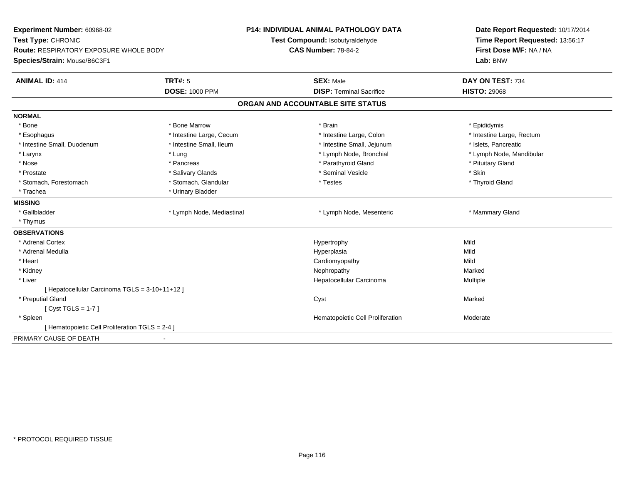| Experiment Number: 60968-02                     |                           | <b>P14: INDIVIDUAL ANIMAL PATHOLOGY DATA</b> | Date Report Requested: 10/17/2014 |  |
|-------------------------------------------------|---------------------------|----------------------------------------------|-----------------------------------|--|
| Test Type: CHRONIC                              |                           | Test Compound: Isobutyraldehyde              | Time Report Requested: 13:56:17   |  |
| Route: RESPIRATORY EXPOSURE WHOLE BODY          |                           | <b>CAS Number: 78-84-2</b>                   | First Dose M/F: NA / NA           |  |
| Species/Strain: Mouse/B6C3F1                    |                           |                                              | Lab: BNW                          |  |
| <b>ANIMAL ID: 414</b>                           | <b>TRT#: 5</b>            | <b>SEX: Male</b>                             | DAY ON TEST: 734                  |  |
|                                                 | <b>DOSE: 1000 PPM</b>     | <b>DISP: Terminal Sacrifice</b>              | <b>HISTO: 29068</b>               |  |
|                                                 |                           | ORGAN AND ACCOUNTABLE SITE STATUS            |                                   |  |
| <b>NORMAL</b>                                   |                           |                                              |                                   |  |
| * Bone                                          | * Bone Marrow             | * Brain                                      | * Epididymis                      |  |
| * Esophagus                                     | * Intestine Large, Cecum  | * Intestine Large, Colon                     | * Intestine Large, Rectum         |  |
| * Intestine Small, Duodenum                     | * Intestine Small, Ileum  | * Intestine Small, Jejunum                   | * Islets, Pancreatic              |  |
| * Larynx                                        | * Lung                    | * Lymph Node, Bronchial                      | * Lymph Node, Mandibular          |  |
| * Nose                                          | * Pancreas                | * Parathyroid Gland                          | * Pituitary Gland                 |  |
| * Prostate                                      | * Salivary Glands         | * Seminal Vesicle                            | * Skin                            |  |
| * Stomach, Forestomach                          | * Stomach, Glandular      | * Testes                                     | * Thyroid Gland                   |  |
| * Trachea                                       | * Urinary Bladder         |                                              |                                   |  |
| <b>MISSING</b>                                  |                           |                                              |                                   |  |
| * Gallbladder                                   | * Lymph Node, Mediastinal | * Lymph Node, Mesenteric                     | * Mammary Gland                   |  |
| * Thymus                                        |                           |                                              |                                   |  |
| <b>OBSERVATIONS</b>                             |                           |                                              |                                   |  |
| * Adrenal Cortex                                |                           | Hypertrophy                                  | Mild                              |  |
| * Adrenal Medulla                               |                           | Hyperplasia                                  | Mild                              |  |
| * Heart                                         |                           | Cardiomyopathy                               | Mild                              |  |
| * Kidney                                        |                           | Nephropathy                                  | Marked                            |  |
| * Liver                                         |                           | Hepatocellular Carcinoma                     | Multiple                          |  |
| [ Hepatocellular Carcinoma TGLS = 3-10+11+12 ]  |                           |                                              |                                   |  |
| * Preputial Gland                               |                           | Cyst                                         | Marked                            |  |
| [ $Cyst TGLS = 1-7$ ]                           |                           |                                              |                                   |  |
| * Spleen                                        |                           | Hematopoietic Cell Proliferation             | Moderate                          |  |
| [ Hematopoietic Cell Proliferation TGLS = 2-4 ] |                           |                                              |                                   |  |
| PRIMARY CAUSE OF DEATH                          |                           |                                              |                                   |  |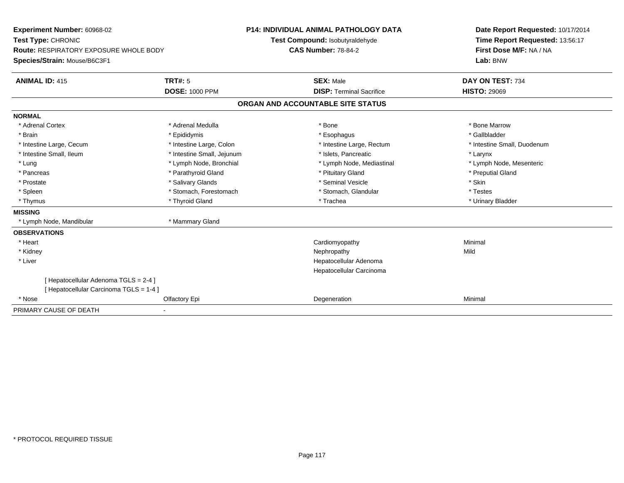| <b>Experiment Number: 60968-02</b><br>Test Type: CHRONIC |                            | <b>P14: INDIVIDUAL ANIMAL PATHOLOGY DATA</b> | Date Report Requested: 10/17/2014 |
|----------------------------------------------------------|----------------------------|----------------------------------------------|-----------------------------------|
|                                                          |                            | Test Compound: Isobutyraldehyde              | Time Report Requested: 13:56:17   |
| <b>Route: RESPIRATORY EXPOSURE WHOLE BODY</b>            |                            | <b>CAS Number: 78-84-2</b>                   | First Dose M/F: NA / NA           |
| Species/Strain: Mouse/B6C3F1                             |                            |                                              | Lab: BNW                          |
| <b>ANIMAL ID: 415</b>                                    | <b>TRT#: 5</b>             | <b>SEX: Male</b>                             | DAY ON TEST: 734                  |
|                                                          | <b>DOSE: 1000 PPM</b>      | <b>DISP: Terminal Sacrifice</b>              | <b>HISTO: 29069</b>               |
|                                                          |                            | ORGAN AND ACCOUNTABLE SITE STATUS            |                                   |
| <b>NORMAL</b>                                            |                            |                                              |                                   |
| * Adrenal Cortex                                         | * Adrenal Medulla          | * Bone                                       | * Bone Marrow                     |
| * Brain                                                  | * Epididymis               | * Esophagus                                  | * Gallbladder                     |
| * Intestine Large, Cecum                                 | * Intestine Large, Colon   | * Intestine Large, Rectum                    | * Intestine Small, Duodenum       |
| * Intestine Small, Ileum                                 | * Intestine Small, Jejunum | * Islets, Pancreatic                         | * Larynx                          |
| * Lung                                                   | * Lymph Node, Bronchial    | * Lymph Node, Mediastinal                    | * Lymph Node, Mesenteric          |
| * Pancreas                                               | * Parathyroid Gland        | * Pituitary Gland                            | * Preputial Gland                 |
| * Prostate                                               | * Salivary Glands          | * Seminal Vesicle                            | * Skin                            |
| * Spleen                                                 | * Stomach, Forestomach     | * Stomach, Glandular                         | * Testes                          |
| * Thymus                                                 | * Thyroid Gland            | * Trachea                                    | * Urinary Bladder                 |
| <b>MISSING</b>                                           |                            |                                              |                                   |
| * Lymph Node, Mandibular                                 | * Mammary Gland            |                                              |                                   |
| <b>OBSERVATIONS</b>                                      |                            |                                              |                                   |
| * Heart                                                  |                            | Cardiomyopathy                               | Minimal                           |
| * Kidney                                                 |                            | Nephropathy                                  | Mild                              |
| * Liver                                                  |                            | Hepatocellular Adenoma                       |                                   |
|                                                          |                            | Hepatocellular Carcinoma                     |                                   |
| [ Hepatocellular Adenoma TGLS = 2-4 ]                    |                            |                                              |                                   |
| [ Hepatocellular Carcinoma TGLS = 1-4 ]                  |                            |                                              |                                   |
| * Nose                                                   | Olfactory Epi              | Degeneration                                 | Minimal                           |
| PRIMARY CAUSE OF DEATH                                   |                            |                                              |                                   |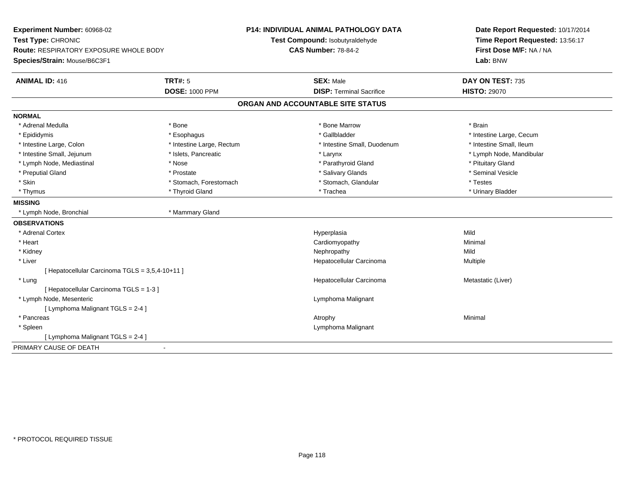| Experiment Number: 60968-02<br>Test Type: CHRONIC |                           | P14: INDIVIDUAL ANIMAL PATHOLOGY DATA | Date Report Requested: 10/17/2014<br>Time Report Requested: 13:56:17 |  |
|---------------------------------------------------|---------------------------|---------------------------------------|----------------------------------------------------------------------|--|
|                                                   |                           | Test Compound: Isobutyraldehyde       |                                                                      |  |
| <b>Route: RESPIRATORY EXPOSURE WHOLE BODY</b>     |                           | <b>CAS Number: 78-84-2</b>            | First Dose M/F: NA / NA                                              |  |
| Species/Strain: Mouse/B6C3F1                      |                           |                                       | Lab: BNW                                                             |  |
| <b>ANIMAL ID: 416</b>                             | <b>TRT#: 5</b>            | <b>SEX: Male</b>                      | DAY ON TEST: 735                                                     |  |
|                                                   | <b>DOSE: 1000 PPM</b>     | <b>DISP: Terminal Sacrifice</b>       | <b>HISTO: 29070</b>                                                  |  |
|                                                   |                           | ORGAN AND ACCOUNTABLE SITE STATUS     |                                                                      |  |
| <b>NORMAL</b>                                     |                           |                                       |                                                                      |  |
| * Adrenal Medulla                                 | * Bone                    | * Bone Marrow                         | * Brain                                                              |  |
| * Epididymis                                      | * Esophagus               | * Gallbladder                         | * Intestine Large, Cecum                                             |  |
| * Intestine Large, Colon                          | * Intestine Large, Rectum | * Intestine Small, Duodenum           | * Intestine Small, Ileum                                             |  |
| * Intestine Small, Jejunum                        | * Islets, Pancreatic      | * Larynx                              | * Lymph Node, Mandibular                                             |  |
| * Lymph Node, Mediastinal                         | * Nose                    | * Parathyroid Gland                   | * Pituitary Gland                                                    |  |
| * Preputial Gland                                 | * Prostate                | * Salivary Glands                     | * Seminal Vesicle                                                    |  |
| * Skin                                            | * Stomach, Forestomach    | * Stomach, Glandular                  | * Testes                                                             |  |
| * Thymus                                          | * Thyroid Gland           | * Trachea                             | * Urinary Bladder                                                    |  |
| <b>MISSING</b>                                    |                           |                                       |                                                                      |  |
| * Lymph Node, Bronchial                           | * Mammary Gland           |                                       |                                                                      |  |
| <b>OBSERVATIONS</b>                               |                           |                                       |                                                                      |  |
| * Adrenal Cortex                                  |                           | Hyperplasia                           | Mild                                                                 |  |
| * Heart                                           |                           | Cardiomyopathy                        | Minimal                                                              |  |
| * Kidney                                          |                           | Nephropathy                           | Mild                                                                 |  |
| * Liver                                           |                           | Hepatocellular Carcinoma              | Multiple                                                             |  |
| [ Hepatocellular Carcinoma TGLS = 3,5,4-10+11 ]   |                           |                                       |                                                                      |  |
| * Lung                                            |                           | Hepatocellular Carcinoma              | Metastatic (Liver)                                                   |  |
| [ Hepatocellular Carcinoma TGLS = 1-3 ]           |                           |                                       |                                                                      |  |
| * Lymph Node, Mesenteric                          |                           | Lymphoma Malignant                    |                                                                      |  |
| [ Lymphoma Malignant TGLS = 2-4 ]                 |                           |                                       |                                                                      |  |
| * Pancreas                                        |                           | Atrophy                               | Minimal                                                              |  |
| * Spleen                                          |                           | Lymphoma Malignant                    |                                                                      |  |
| [ Lymphoma Malignant TGLS = 2-4 ]                 |                           |                                       |                                                                      |  |
| PRIMARY CAUSE OF DEATH                            | $\blacksquare$            |                                       |                                                                      |  |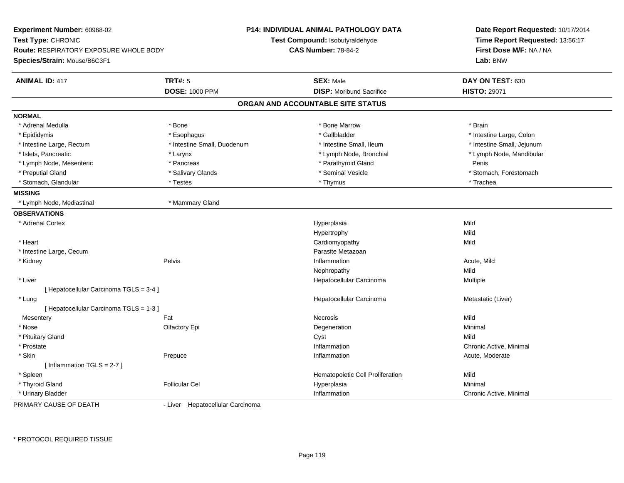| Experiment Number: 60968-02<br>Test Type: CHRONIC |                             | <b>P14: INDIVIDUAL ANIMAL PATHOLOGY DATA</b><br>Test Compound: Isobutyraldehyde | Date Report Requested: 10/17/2014<br>Time Report Requested: 13:56:17 |  |  |
|---------------------------------------------------|-----------------------------|---------------------------------------------------------------------------------|----------------------------------------------------------------------|--|--|
| Route: RESPIRATORY EXPOSURE WHOLE BODY            |                             | <b>CAS Number: 78-84-2</b>                                                      | First Dose M/F: NA / NA                                              |  |  |
| Species/Strain: Mouse/B6C3F1                      |                             |                                                                                 | Lab: BNW                                                             |  |  |
| <b>ANIMAL ID: 417</b>                             | <b>TRT#: 5</b>              | <b>SEX: Male</b>                                                                | DAY ON TEST: 630                                                     |  |  |
|                                                   | <b>DOSE: 1000 PPM</b>       | <b>DISP:</b> Moribund Sacrifice                                                 | <b>HISTO: 29071</b>                                                  |  |  |
|                                                   |                             | ORGAN AND ACCOUNTABLE SITE STATUS                                               |                                                                      |  |  |
| <b>NORMAL</b>                                     |                             |                                                                                 |                                                                      |  |  |
| * Adrenal Medulla                                 | * Bone                      | * Bone Marrow                                                                   | * Brain                                                              |  |  |
| * Epididymis                                      | * Esophagus                 | * Gallbladder                                                                   | * Intestine Large, Colon                                             |  |  |
| * Intestine Large, Rectum                         | * Intestine Small, Duodenum | * Intestine Small, Ileum                                                        | * Intestine Small, Jejunum                                           |  |  |
| * Islets, Pancreatic                              | * Larynx                    | * Lymph Node, Bronchial                                                         | * Lymph Node, Mandibular                                             |  |  |
| * Lymph Node, Mesenteric                          | * Pancreas                  | * Parathyroid Gland                                                             | Penis                                                                |  |  |
| * Preputial Gland                                 | * Salivary Glands           | * Seminal Vesicle                                                               | * Stomach, Forestomach                                               |  |  |
| * Stomach, Glandular                              | * Testes                    | * Thymus                                                                        | * Trachea                                                            |  |  |
| <b>MISSING</b>                                    |                             |                                                                                 |                                                                      |  |  |
| * Lymph Node, Mediastinal                         | * Mammary Gland             |                                                                                 |                                                                      |  |  |
| <b>OBSERVATIONS</b>                               |                             |                                                                                 |                                                                      |  |  |
| * Adrenal Cortex                                  |                             | Hyperplasia                                                                     | Mild                                                                 |  |  |
|                                                   |                             | Hypertrophy                                                                     | Mild                                                                 |  |  |
| * Heart                                           |                             | Cardiomyopathy                                                                  | Mild                                                                 |  |  |
| * Intestine Large, Cecum                          |                             | Parasite Metazoan                                                               |                                                                      |  |  |
| * Kidney                                          | Pelvis                      | Inflammation                                                                    | Acute, Mild                                                          |  |  |
|                                                   |                             | Nephropathy                                                                     | Mild                                                                 |  |  |
| * Liver                                           |                             | Hepatocellular Carcinoma                                                        | Multiple                                                             |  |  |
| [ Hepatocellular Carcinoma TGLS = 3-4 ]           |                             |                                                                                 |                                                                      |  |  |
| * Lung                                            |                             | Hepatocellular Carcinoma                                                        | Metastatic (Liver)                                                   |  |  |
| [ Hepatocellular Carcinoma TGLS = 1-3 ]           |                             |                                                                                 |                                                                      |  |  |
| Mesentery                                         | Fat                         | <b>Necrosis</b>                                                                 | Mild                                                                 |  |  |
| * Nose                                            | Olfactory Epi               | Degeneration                                                                    | Minimal                                                              |  |  |
| * Pituitary Gland                                 |                             | Cyst                                                                            | Mild                                                                 |  |  |
| * Prostate                                        |                             | Inflammation                                                                    | Chronic Active, Minimal                                              |  |  |
| * Skin                                            | Prepuce                     | Inflammation                                                                    | Acute, Moderate                                                      |  |  |
| [Inflammation TGLS = $2-7$ ]                      |                             |                                                                                 |                                                                      |  |  |
| * Spleen                                          |                             | Hematopoietic Cell Proliferation                                                | Mild                                                                 |  |  |
| * Thyroid Gland                                   | <b>Follicular Cel</b>       | Hyperplasia                                                                     | Minimal                                                              |  |  |
| * Urinary Bladder                                 |                             | Inflammation                                                                    | Chronic Active, Minimal                                              |  |  |

PRIMARY CAUSE OF DEATH

- Liver Hepatocellular Carcinoma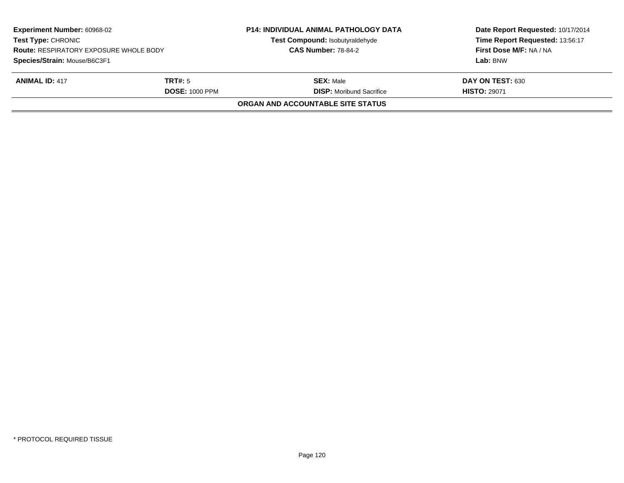| <b>Experiment Number: 60968-02</b><br>Test Type: CHRONIC<br><b>Route: RESPIRATORY EXPOSURE WHOLE BODY</b> |                       | <b>P14: INDIVIDUAL ANIMAL PATHOLOGY DATA</b><br>Test Compound: Isobutyraldehyde<br><b>CAS Number: 78-84-2</b> | Date Report Requested: 10/17/2014<br>Time Report Requested: 13:56:17<br>First Dose M/F: NA / NA |  |
|-----------------------------------------------------------------------------------------------------------|-----------------------|---------------------------------------------------------------------------------------------------------------|-------------------------------------------------------------------------------------------------|--|
| Species/Strain: Mouse/B6C3F1                                                                              |                       |                                                                                                               | Lab: BNW                                                                                        |  |
| <b>ANIMAL ID: 417</b>                                                                                     | <b>TRT#:</b> 5        | <b>SEX:</b> Male                                                                                              | DAY ON TEST: 630                                                                                |  |
|                                                                                                           | <b>DOSE: 1000 PPM</b> | <b>DISP:</b> Moribund Sacrifice                                                                               | <b>HISTO: 29071</b>                                                                             |  |
|                                                                                                           |                       | ORGAN AND ACCOUNTABLE SITE STATUS                                                                             |                                                                                                 |  |
|                                                                                                           |                       |                                                                                                               |                                                                                                 |  |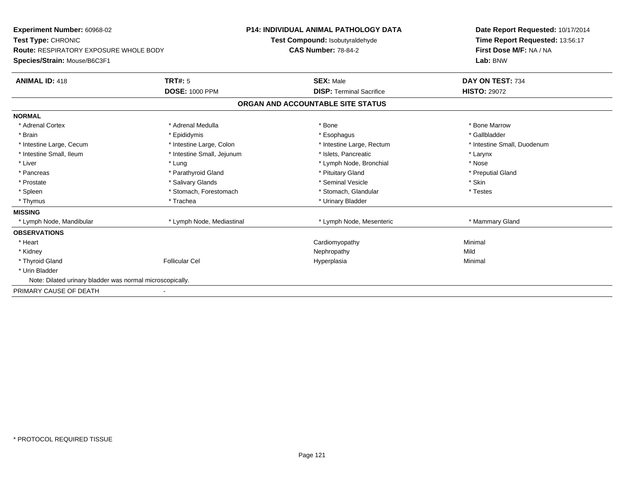| Experiment Number: 60968-02<br>Test Type: CHRONIC<br><b>Route: RESPIRATORY EXPOSURE WHOLE BODY</b><br>Species/Strain: Mouse/B6C3F1<br><b>TRT#: 5</b><br><b>ANIMAL ID: 418</b> |                            | <b>P14: INDIVIDUAL ANIMAL PATHOLOGY DATA</b><br>Test Compound: Isobutyraldehyde<br><b>CAS Number: 78-84-2</b><br><b>SEX: Male</b> |                                   | Date Report Requested: 10/17/2014<br>Time Report Requested: 13:56:17<br>First Dose M/F: NA / NA<br>Lab: BNW<br>DAY ON TEST: 734 |  |
|-------------------------------------------------------------------------------------------------------------------------------------------------------------------------------|----------------------------|-----------------------------------------------------------------------------------------------------------------------------------|-----------------------------------|---------------------------------------------------------------------------------------------------------------------------------|--|
|                                                                                                                                                                               | <b>DOSE: 1000 PPM</b>      |                                                                                                                                   | <b>DISP: Terminal Sacrifice</b>   | <b>HISTO: 29072</b>                                                                                                             |  |
|                                                                                                                                                                               |                            |                                                                                                                                   | ORGAN AND ACCOUNTABLE SITE STATUS |                                                                                                                                 |  |
| <b>NORMAL</b>                                                                                                                                                                 |                            |                                                                                                                                   |                                   |                                                                                                                                 |  |
| * Adrenal Cortex                                                                                                                                                              | * Adrenal Medulla          |                                                                                                                                   | * Bone                            | * Bone Marrow                                                                                                                   |  |
| * Brain                                                                                                                                                                       | * Epididymis               |                                                                                                                                   | * Esophagus                       | * Gallbladder                                                                                                                   |  |
| * Intestine Large, Cecum                                                                                                                                                      | * Intestine Large, Colon   |                                                                                                                                   | * Intestine Large, Rectum         | * Intestine Small, Duodenum                                                                                                     |  |
| * Intestine Small, Ileum                                                                                                                                                      | * Intestine Small, Jejunum |                                                                                                                                   | * Islets, Pancreatic              | * Larynx                                                                                                                        |  |
| * Liver                                                                                                                                                                       | * Lung                     |                                                                                                                                   | * Lymph Node, Bronchial           | * Nose                                                                                                                          |  |
| * Pancreas                                                                                                                                                                    | * Parathyroid Gland        |                                                                                                                                   | * Pituitary Gland                 | * Preputial Gland                                                                                                               |  |
| * Prostate                                                                                                                                                                    | * Salivary Glands          |                                                                                                                                   | * Seminal Vesicle                 | * Skin                                                                                                                          |  |
| * Spleen                                                                                                                                                                      | * Stomach, Forestomach     |                                                                                                                                   | * Stomach, Glandular              | * Testes                                                                                                                        |  |
| * Thymus                                                                                                                                                                      | * Trachea                  |                                                                                                                                   | * Urinary Bladder                 |                                                                                                                                 |  |
| <b>MISSING</b>                                                                                                                                                                |                            |                                                                                                                                   |                                   |                                                                                                                                 |  |
| * Lymph Node, Mandibular                                                                                                                                                      | * Lymph Node, Mediastinal  |                                                                                                                                   | * Lymph Node, Mesenteric          | * Mammary Gland                                                                                                                 |  |
| <b>OBSERVATIONS</b>                                                                                                                                                           |                            |                                                                                                                                   |                                   |                                                                                                                                 |  |
| * Heart                                                                                                                                                                       |                            |                                                                                                                                   | Cardiomyopathy                    | Minimal                                                                                                                         |  |
| * Kidney                                                                                                                                                                      |                            |                                                                                                                                   | Nephropathy                       | Mild                                                                                                                            |  |
| * Thyroid Gland                                                                                                                                                               | <b>Follicular Cel</b>      |                                                                                                                                   | Hyperplasia                       | Minimal                                                                                                                         |  |
| * Urin Bladder                                                                                                                                                                |                            |                                                                                                                                   |                                   |                                                                                                                                 |  |
| Note: Dilated urinary bladder was normal microscopically.                                                                                                                     |                            |                                                                                                                                   |                                   |                                                                                                                                 |  |
| PRIMARY CAUSE OF DEATH                                                                                                                                                        |                            |                                                                                                                                   |                                   |                                                                                                                                 |  |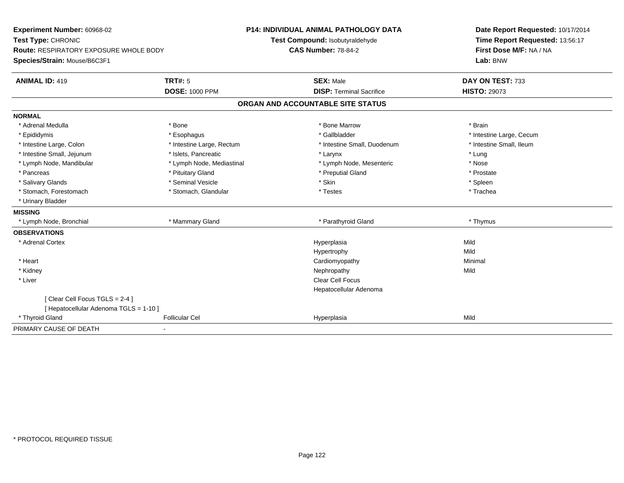| Experiment Number: 60968-02                   |                           | <b>P14: INDIVIDUAL ANIMAL PATHOLOGY DATA</b> | Date Report Requested: 10/17/2014                          |  |  |
|-----------------------------------------------|---------------------------|----------------------------------------------|------------------------------------------------------------|--|--|
| Test Type: CHRONIC                            |                           | Test Compound: Isobutyraldehyde              | Time Report Requested: 13:56:17<br>First Dose M/F: NA / NA |  |  |
| <b>Route: RESPIRATORY EXPOSURE WHOLE BODY</b> |                           | <b>CAS Number: 78-84-2</b>                   |                                                            |  |  |
| Species/Strain: Mouse/B6C3F1                  |                           |                                              | Lab: BNW                                                   |  |  |
| <b>ANIMAL ID: 419</b>                         | TRT#: 5                   | <b>SEX: Male</b>                             | DAY ON TEST: 733                                           |  |  |
|                                               | <b>DOSE: 1000 PPM</b>     | <b>DISP: Terminal Sacrifice</b>              | <b>HISTO: 29073</b>                                        |  |  |
|                                               |                           | ORGAN AND ACCOUNTABLE SITE STATUS            |                                                            |  |  |
| <b>NORMAL</b>                                 |                           |                                              |                                                            |  |  |
| * Adrenal Medulla                             | * Bone                    | * Bone Marrow                                | * Brain                                                    |  |  |
| * Epididymis                                  | * Esophagus               | * Gallbladder                                | * Intestine Large, Cecum                                   |  |  |
| * Intestine Large, Colon                      | * Intestine Large, Rectum | * Intestine Small, Duodenum                  | * Intestine Small, Ileum                                   |  |  |
| * Intestine Small, Jejunum                    | * Islets, Pancreatic      | * Larynx                                     | * Lung                                                     |  |  |
| * Lymph Node, Mandibular                      | * Lymph Node, Mediastinal | * Lymph Node, Mesenteric                     | * Nose                                                     |  |  |
| * Pancreas                                    | * Pituitary Gland         | * Preputial Gland                            | * Prostate                                                 |  |  |
| * Salivary Glands                             | * Seminal Vesicle         | * Skin                                       | * Spleen                                                   |  |  |
| * Stomach, Forestomach                        | * Stomach, Glandular      | * Testes                                     | * Trachea                                                  |  |  |
| * Urinary Bladder                             |                           |                                              |                                                            |  |  |
| <b>MISSING</b>                                |                           |                                              |                                                            |  |  |
| * Lymph Node, Bronchial                       | * Mammary Gland           | * Parathyroid Gland                          | * Thymus                                                   |  |  |
| <b>OBSERVATIONS</b>                           |                           |                                              |                                                            |  |  |
| * Adrenal Cortex                              |                           | Hyperplasia                                  | Mild                                                       |  |  |
|                                               |                           | Hypertrophy                                  | Mild                                                       |  |  |
| * Heart                                       |                           | Cardiomyopathy                               | Minimal                                                    |  |  |
| * Kidney                                      |                           | Nephropathy                                  | Mild                                                       |  |  |
| * Liver                                       |                           | <b>Clear Cell Focus</b>                      |                                                            |  |  |
|                                               |                           | Hepatocellular Adenoma                       |                                                            |  |  |
| [Clear Cell Focus TGLS = 2-4]                 |                           |                                              |                                                            |  |  |
| [ Hepatocellular Adenoma TGLS = 1-10 ]        |                           |                                              |                                                            |  |  |
| * Thyroid Gland                               | <b>Follicular Cel</b>     | Hyperplasia                                  | Mild                                                       |  |  |
| PRIMARY CAUSE OF DEATH                        |                           |                                              |                                                            |  |  |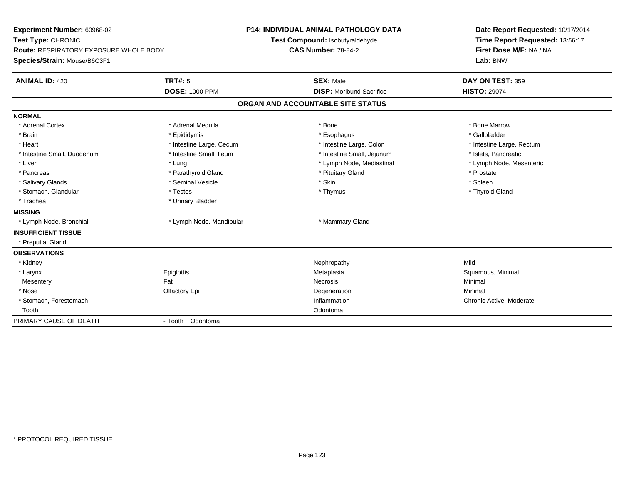| Experiment Number: 60968-02                   |                          | <b>P14: INDIVIDUAL ANIMAL PATHOLOGY DATA</b> |                                 | Date Report Requested: 10/17/2014 |
|-----------------------------------------------|--------------------------|----------------------------------------------|---------------------------------|-----------------------------------|
| Test Type: CHRONIC                            |                          | Test Compound: Isobutyraldehyde              |                                 | Time Report Requested: 13:56:17   |
| <b>Route: RESPIRATORY EXPOSURE WHOLE BODY</b> |                          | <b>CAS Number: 78-84-2</b>                   |                                 | First Dose M/F: NA / NA           |
| Species/Strain: Mouse/B6C3F1                  |                          |                                              |                                 | Lab: BNW                          |
| <b>ANIMAL ID: 420</b>                         | TRT#: 5                  |                                              | <b>SEX: Male</b>                | DAY ON TEST: 359                  |
|                                               | <b>DOSE: 1000 PPM</b>    |                                              | <b>DISP:</b> Moribund Sacrifice | <b>HISTO: 29074</b>               |
|                                               |                          | ORGAN AND ACCOUNTABLE SITE STATUS            |                                 |                                   |
| <b>NORMAL</b>                                 |                          |                                              |                                 |                                   |
| * Adrenal Cortex                              | * Adrenal Medulla        | * Bone                                       |                                 | * Bone Marrow                     |
| * Brain                                       | * Epididymis             |                                              | * Esophagus                     | * Gallbladder                     |
| * Heart                                       | * Intestine Large, Cecum |                                              | * Intestine Large, Colon        | * Intestine Large, Rectum         |
| * Intestine Small, Duodenum                   | * Intestine Small, Ileum |                                              | * Intestine Small, Jejunum      | * Islets, Pancreatic              |
| * Liver                                       | * Lung                   |                                              | * Lymph Node, Mediastinal       | * Lymph Node, Mesenteric          |
| * Pancreas                                    | * Parathyroid Gland      |                                              | * Pituitary Gland               | * Prostate                        |
| * Salivary Glands                             | * Seminal Vesicle        | * Skin                                       |                                 | * Spleen                          |
| * Stomach, Glandular                          | * Testes                 |                                              | * Thymus                        | * Thyroid Gland                   |
| * Trachea                                     | * Urinary Bladder        |                                              |                                 |                                   |
| <b>MISSING</b>                                |                          |                                              |                                 |                                   |
| * Lymph Node, Bronchial                       | * Lymph Node, Mandibular |                                              | * Mammary Gland                 |                                   |
| <b>INSUFFICIENT TISSUE</b>                    |                          |                                              |                                 |                                   |
| * Preputial Gland                             |                          |                                              |                                 |                                   |
| <b>OBSERVATIONS</b>                           |                          |                                              |                                 |                                   |
| * Kidney                                      |                          |                                              | Nephropathy                     | Mild                              |
| * Larynx                                      | Epiglottis               |                                              | Metaplasia                      | Squamous, Minimal                 |
| Mesentery                                     | Fat                      | <b>Necrosis</b>                              |                                 | Minimal                           |
| * Nose                                        | Olfactory Epi            |                                              | Degeneration                    | Minimal                           |
| * Stomach, Forestomach                        |                          |                                              | Inflammation                    | Chronic Active, Moderate          |
| Tooth                                         |                          |                                              | Odontoma                        |                                   |
| PRIMARY CAUSE OF DEATH                        | - Tooth Odontoma         |                                              |                                 |                                   |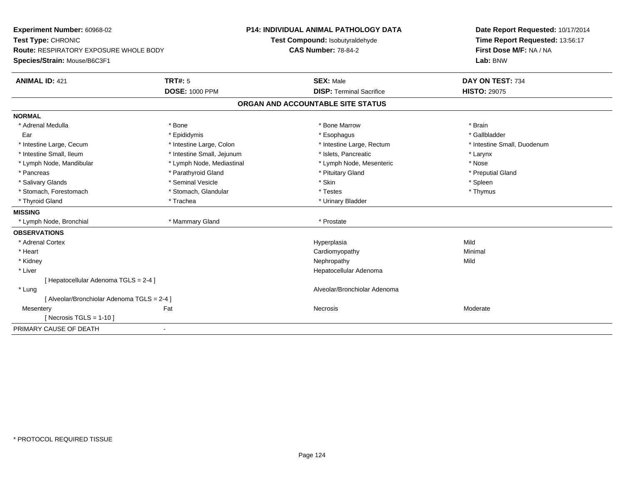| Experiment Number: 60968-02                 |                            | <b>P14: INDIVIDUAL ANIMAL PATHOLOGY DATA</b> | Date Report Requested: 10/17/2014 |  |
|---------------------------------------------|----------------------------|----------------------------------------------|-----------------------------------|--|
| Test Type: CHRONIC                          |                            | Test Compound: Isobutyraldehyde              | Time Report Requested: 13:56:17   |  |
| Route: RESPIRATORY EXPOSURE WHOLE BODY      |                            | <b>CAS Number: 78-84-2</b>                   | First Dose M/F: NA / NA           |  |
| Species/Strain: Mouse/B6C3F1                |                            |                                              | Lab: BNW                          |  |
| <b>ANIMAL ID: 421</b>                       | <b>TRT#: 5</b>             | <b>SEX: Male</b>                             | DAY ON TEST: 734                  |  |
|                                             | <b>DOSE: 1000 PPM</b>      | <b>DISP: Terminal Sacrifice</b>              | <b>HISTO: 29075</b>               |  |
|                                             |                            | ORGAN AND ACCOUNTABLE SITE STATUS            |                                   |  |
| <b>NORMAL</b>                               |                            |                                              |                                   |  |
| * Adrenal Medulla                           | * Bone                     | * Bone Marrow                                | * Brain                           |  |
| Ear                                         | * Epididymis               | * Esophagus                                  | * Gallbladder                     |  |
| * Intestine Large, Cecum                    | * Intestine Large, Colon   | * Intestine Large, Rectum                    | * Intestine Small, Duodenum       |  |
| * Intestine Small, Ileum                    | * Intestine Small, Jejunum | * Islets, Pancreatic                         | * Larynx                          |  |
| * Lymph Node, Mandibular                    | * Lymph Node, Mediastinal  | * Lymph Node, Mesenteric                     | * Nose                            |  |
| * Pancreas                                  | * Parathyroid Gland        | * Pituitary Gland                            | * Preputial Gland                 |  |
| * Salivary Glands                           | * Seminal Vesicle          | * Skin                                       | * Spleen                          |  |
| * Stomach, Forestomach                      | * Stomach, Glandular       | * Testes                                     | * Thymus                          |  |
| * Thyroid Gland                             | * Trachea                  | * Urinary Bladder                            |                                   |  |
| <b>MISSING</b>                              |                            |                                              |                                   |  |
| * Lymph Node, Bronchial                     | * Mammary Gland            | * Prostate                                   |                                   |  |
| <b>OBSERVATIONS</b>                         |                            |                                              |                                   |  |
| * Adrenal Cortex                            |                            | Hyperplasia                                  | Mild                              |  |
| * Heart                                     |                            | Cardiomyopathy                               | Minimal                           |  |
| * Kidney                                    |                            | Nephropathy                                  | Mild                              |  |
| * Liver                                     |                            | Hepatocellular Adenoma                       |                                   |  |
| [ Hepatocellular Adenoma TGLS = 2-4 ]       |                            |                                              |                                   |  |
| * Lung                                      |                            | Alveolar/Bronchiolar Adenoma                 |                                   |  |
| [ Alveolar/Bronchiolar Adenoma TGLS = 2-4 ] |                            |                                              |                                   |  |
| Mesentery                                   | Fat                        | Necrosis                                     | Moderate                          |  |
| [ Necrosis TGLS = $1-10$ ]                  |                            |                                              |                                   |  |
| PRIMARY CAUSE OF DEATH                      | $\blacksquare$             |                                              |                                   |  |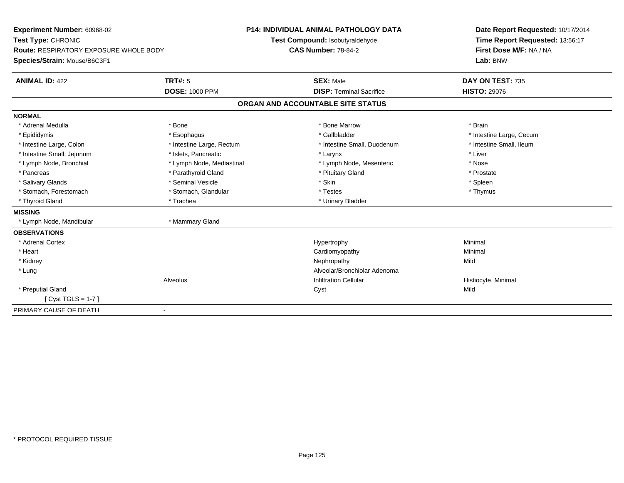| Experiment Number: 60968-02                   |                           | <b>P14: INDIVIDUAL ANIMAL PATHOLOGY DATA</b> | Date Report Requested: 10/17/2014 |  |
|-----------------------------------------------|---------------------------|----------------------------------------------|-----------------------------------|--|
| Test Type: CHRONIC                            |                           | Test Compound: Isobutyraldehyde              | Time Report Requested: 13:56:17   |  |
| <b>Route: RESPIRATORY EXPOSURE WHOLE BODY</b> |                           | <b>CAS Number: 78-84-2</b>                   | First Dose M/F: NA / NA           |  |
| Species/Strain: Mouse/B6C3F1                  |                           |                                              | Lab: BNW                          |  |
| <b>ANIMAL ID: 422</b>                         | <b>TRT#: 5</b>            | <b>SEX: Male</b>                             | DAY ON TEST: 735                  |  |
|                                               | <b>DOSE: 1000 PPM</b>     | <b>DISP: Terminal Sacrifice</b>              | <b>HISTO: 29076</b>               |  |
|                                               |                           | ORGAN AND ACCOUNTABLE SITE STATUS            |                                   |  |
| <b>NORMAL</b>                                 |                           |                                              |                                   |  |
| * Adrenal Medulla                             | * Bone                    | * Bone Marrow                                | * Brain                           |  |
| * Epididymis                                  | * Esophagus               | * Gallbladder                                | * Intestine Large, Cecum          |  |
| * Intestine Large, Colon                      | * Intestine Large, Rectum | * Intestine Small, Duodenum                  | * Intestine Small, Ileum          |  |
| * Intestine Small, Jejunum                    | * Islets. Pancreatic      | * Larynx                                     | * Liver                           |  |
| * Lymph Node, Bronchial                       | * Lymph Node, Mediastinal | * Lymph Node, Mesenteric                     | * Nose                            |  |
| * Pancreas                                    | * Parathyroid Gland       | * Pituitary Gland                            | * Prostate                        |  |
| * Salivary Glands                             | * Seminal Vesicle         | * Skin                                       | * Spleen                          |  |
| * Stomach, Forestomach                        | * Stomach, Glandular      | * Testes                                     | * Thymus                          |  |
| * Thyroid Gland                               | * Trachea                 | * Urinary Bladder                            |                                   |  |
| <b>MISSING</b>                                |                           |                                              |                                   |  |
| * Lymph Node, Mandibular                      | * Mammary Gland           |                                              |                                   |  |
| <b>OBSERVATIONS</b>                           |                           |                                              |                                   |  |
| * Adrenal Cortex                              |                           | Hypertrophy                                  | Minimal                           |  |
| * Heart                                       |                           | Cardiomyopathy                               | Minimal                           |  |
| * Kidney                                      |                           | Nephropathy                                  | Mild                              |  |
| * Lung                                        |                           | Alveolar/Bronchiolar Adenoma                 |                                   |  |
|                                               | Alveolus                  | <b>Infiltration Cellular</b>                 | Histiocyte, Minimal               |  |
| * Preputial Gland                             |                           | Cyst                                         | Mild                              |  |
| [Cyst TGLS = $1-7$ ]                          |                           |                                              |                                   |  |
| PRIMARY CAUSE OF DEATH                        |                           |                                              |                                   |  |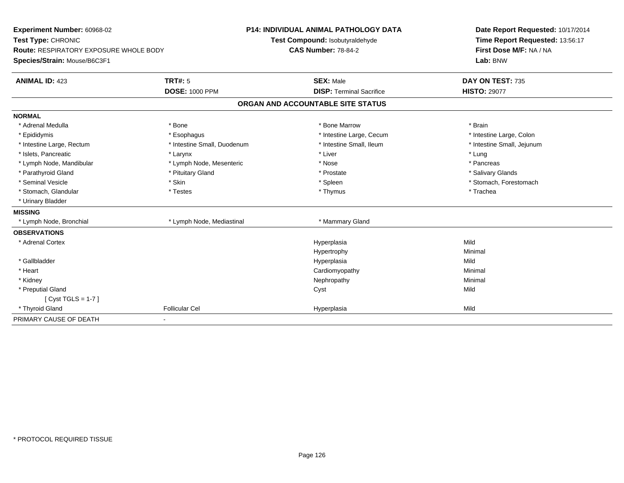| Experiment Number: 60968-02                   |                             | <b>P14: INDIVIDUAL ANIMAL PATHOLOGY DATA</b> | Date Report Requested: 10/17/2014                          |  |  |
|-----------------------------------------------|-----------------------------|----------------------------------------------|------------------------------------------------------------|--|--|
| Test Type: CHRONIC                            |                             | Test Compound: Isobutyraldehyde              | Time Report Requested: 13:56:17<br>First Dose M/F: NA / NA |  |  |
| <b>Route: RESPIRATORY EXPOSURE WHOLE BODY</b> |                             | <b>CAS Number: 78-84-2</b>                   |                                                            |  |  |
| Species/Strain: Mouse/B6C3F1                  |                             |                                              | Lab: BNW                                                   |  |  |
| <b>ANIMAL ID: 423</b>                         | <b>TRT#: 5</b>              | <b>SEX: Male</b>                             | DAY ON TEST: 735                                           |  |  |
|                                               | <b>DOSE: 1000 PPM</b>       | <b>DISP: Terminal Sacrifice</b>              | <b>HISTO: 29077</b>                                        |  |  |
|                                               |                             | ORGAN AND ACCOUNTABLE SITE STATUS            |                                                            |  |  |
| <b>NORMAL</b>                                 |                             |                                              |                                                            |  |  |
| * Adrenal Medulla                             | * Bone                      | * Bone Marrow                                | * Brain                                                    |  |  |
| * Epididymis                                  | * Esophagus                 | * Intestine Large, Cecum                     | * Intestine Large, Colon                                   |  |  |
| * Intestine Large, Rectum                     | * Intestine Small, Duodenum | * Intestine Small, Ileum                     | * Intestine Small, Jejunum                                 |  |  |
| * Islets, Pancreatic                          | * Larynx                    | * Liver                                      | * Lung                                                     |  |  |
| * Lymph Node, Mandibular                      | * Lymph Node, Mesenteric    | * Nose                                       | * Pancreas                                                 |  |  |
| * Parathyroid Gland                           | * Pituitary Gland           | * Prostate                                   | * Salivary Glands                                          |  |  |
| * Seminal Vesicle                             | * Skin                      | * Spleen                                     | * Stomach, Forestomach                                     |  |  |
| * Stomach, Glandular                          | * Testes                    | * Thymus                                     | * Trachea                                                  |  |  |
| * Urinary Bladder                             |                             |                                              |                                                            |  |  |
| <b>MISSING</b>                                |                             |                                              |                                                            |  |  |
| * Lymph Node, Bronchial                       | * Lymph Node, Mediastinal   | * Mammary Gland                              |                                                            |  |  |
| <b>OBSERVATIONS</b>                           |                             |                                              |                                                            |  |  |
| * Adrenal Cortex                              |                             | Hyperplasia                                  | Mild                                                       |  |  |
|                                               |                             | Hypertrophy                                  | Minimal                                                    |  |  |
| * Gallbladder                                 |                             | Hyperplasia                                  | Mild                                                       |  |  |
| * Heart                                       |                             | Cardiomyopathy                               | Minimal                                                    |  |  |
| * Kidney                                      |                             | Nephropathy                                  | Minimal                                                    |  |  |
| * Preputial Gland                             |                             | Cyst                                         | Mild                                                       |  |  |
| [Cyst TGLS = $1-7$ ]                          |                             |                                              |                                                            |  |  |
| * Thyroid Gland                               | <b>Follicular Cel</b>       | Hyperplasia                                  | Mild                                                       |  |  |
| PRIMARY CAUSE OF DEATH                        |                             |                                              |                                                            |  |  |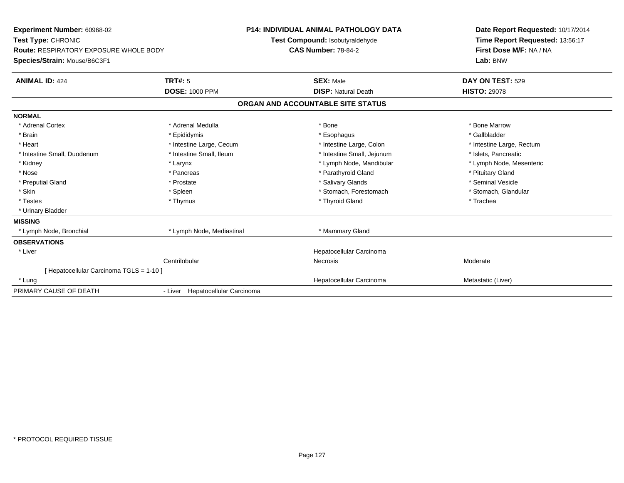| Experiment Number: 60968-02<br>Test Type: CHRONIC<br>Route: RESPIRATORY EXPOSURE WHOLE BODY<br>Species/Strain: Mouse/B6C3F1 |                                         | P14: INDIVIDUAL ANIMAL PATHOLOGY DATA<br>Test Compound: Isobutyraldehyde<br><b>CAS Number: 78-84-2</b> | Date Report Requested: 10/17/2014<br>Time Report Requested: 13:56:17<br>First Dose M/F: NA / NA<br>Lab: BNW |
|-----------------------------------------------------------------------------------------------------------------------------|-----------------------------------------|--------------------------------------------------------------------------------------------------------|-------------------------------------------------------------------------------------------------------------|
| <b>ANIMAL ID: 424</b>                                                                                                       | <b>TRT#: 5</b><br><b>DOSE: 1000 PPM</b> | <b>SEX: Male</b><br><b>DISP: Natural Death</b>                                                         | DAY ON TEST: 529<br><b>HISTO: 29078</b>                                                                     |
|                                                                                                                             |                                         | ORGAN AND ACCOUNTABLE SITE STATUS                                                                      |                                                                                                             |
| <b>NORMAL</b>                                                                                                               |                                         |                                                                                                        |                                                                                                             |
| * Adrenal Cortex                                                                                                            | * Adrenal Medulla                       | * Bone                                                                                                 | * Bone Marrow                                                                                               |
| * Brain                                                                                                                     | * Epididymis                            | * Esophagus                                                                                            | * Gallbladder                                                                                               |
| * Heart                                                                                                                     | * Intestine Large, Cecum                | * Intestine Large, Colon                                                                               | * Intestine Large, Rectum                                                                                   |
| * Intestine Small, Duodenum                                                                                                 | * Intestine Small, Ileum                | * Intestine Small, Jejunum                                                                             | * Islets, Pancreatic                                                                                        |
| * Kidney                                                                                                                    | * Larynx                                | * Lymph Node, Mandibular                                                                               | * Lymph Node, Mesenteric                                                                                    |
| * Nose                                                                                                                      | * Pancreas                              | * Parathyroid Gland                                                                                    | * Pituitary Gland                                                                                           |
| * Preputial Gland                                                                                                           | * Prostate                              | * Salivary Glands                                                                                      | * Seminal Vesicle                                                                                           |
| * Skin                                                                                                                      | * Spleen                                | * Stomach, Forestomach                                                                                 | * Stomach, Glandular                                                                                        |
| * Testes                                                                                                                    | * Thymus                                | * Thyroid Gland                                                                                        | * Trachea                                                                                                   |
| * Urinary Bladder                                                                                                           |                                         |                                                                                                        |                                                                                                             |
| <b>MISSING</b>                                                                                                              |                                         |                                                                                                        |                                                                                                             |
| * Lymph Node, Bronchial                                                                                                     | * Lymph Node, Mediastinal               | * Mammary Gland                                                                                        |                                                                                                             |
| <b>OBSERVATIONS</b>                                                                                                         |                                         |                                                                                                        |                                                                                                             |
| * Liver                                                                                                                     |                                         | Hepatocellular Carcinoma                                                                               |                                                                                                             |
|                                                                                                                             | Centrilobular                           | Necrosis                                                                                               | Moderate                                                                                                    |
| [ Hepatocellular Carcinoma TGLS = 1-10 ]                                                                                    |                                         |                                                                                                        |                                                                                                             |
| * Lung                                                                                                                      |                                         | Hepatocellular Carcinoma                                                                               | Metastatic (Liver)                                                                                          |
| PRIMARY CAUSE OF DEATH                                                                                                      | - Liver Hepatocellular Carcinoma        |                                                                                                        |                                                                                                             |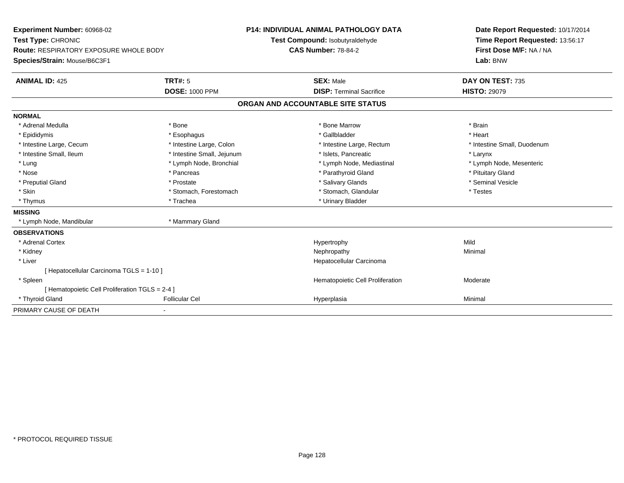| Experiment Number: 60968-02<br>Test Type: CHRONIC<br><b>Route: RESPIRATORY EXPOSURE WHOLE BODY</b><br>Species/Strain: Mouse/B6C3F1 |                            | <b>P14: INDIVIDUAL ANIMAL PATHOLOGY DATA</b><br>Test Compound: Isobutyraldehyde<br><b>CAS Number: 78-84-2</b> | Date Report Requested: 10/17/2014<br>Time Report Requested: 13:56:17<br>First Dose M/F: NA / NA<br>Lab: BNW |  |
|------------------------------------------------------------------------------------------------------------------------------------|----------------------------|---------------------------------------------------------------------------------------------------------------|-------------------------------------------------------------------------------------------------------------|--|
|                                                                                                                                    |                            |                                                                                                               |                                                                                                             |  |
| <b>ANIMAL ID: 425</b>                                                                                                              | <b>TRT#: 5</b>             | <b>SEX: Male</b>                                                                                              | DAY ON TEST: 735                                                                                            |  |
|                                                                                                                                    | <b>DOSE: 1000 PPM</b>      | <b>DISP: Terminal Sacrifice</b>                                                                               | <b>HISTO: 29079</b>                                                                                         |  |
|                                                                                                                                    |                            | ORGAN AND ACCOUNTABLE SITE STATUS                                                                             |                                                                                                             |  |
| <b>NORMAL</b>                                                                                                                      |                            |                                                                                                               |                                                                                                             |  |
| * Adrenal Medulla                                                                                                                  | * Bone                     | * Bone Marrow                                                                                                 | * Brain                                                                                                     |  |
| * Epididymis                                                                                                                       | * Esophagus                | * Gallbladder                                                                                                 | * Heart                                                                                                     |  |
| * Intestine Large, Cecum                                                                                                           | * Intestine Large, Colon   | * Intestine Large, Rectum                                                                                     | * Intestine Small, Duodenum                                                                                 |  |
| * Intestine Small, Ileum                                                                                                           | * Intestine Small, Jejunum | * Islets, Pancreatic                                                                                          | * Larynx                                                                                                    |  |
| * Lung                                                                                                                             | * Lymph Node, Bronchial    | * Lymph Node, Mediastinal                                                                                     | * Lymph Node, Mesenteric                                                                                    |  |
| * Nose                                                                                                                             | * Pancreas                 | * Parathyroid Gland                                                                                           | * Pituitary Gland                                                                                           |  |
| * Preputial Gland                                                                                                                  | * Prostate                 | * Salivary Glands                                                                                             | * Seminal Vesicle                                                                                           |  |
| * Skin                                                                                                                             | * Stomach, Forestomach     | * Stomach, Glandular                                                                                          | * Testes                                                                                                    |  |
| * Thymus                                                                                                                           | * Trachea                  | * Urinary Bladder                                                                                             |                                                                                                             |  |
| <b>MISSING</b>                                                                                                                     |                            |                                                                                                               |                                                                                                             |  |
| * Lymph Node, Mandibular                                                                                                           | * Mammary Gland            |                                                                                                               |                                                                                                             |  |
| <b>OBSERVATIONS</b>                                                                                                                |                            |                                                                                                               |                                                                                                             |  |
| * Adrenal Cortex                                                                                                                   |                            | Hypertrophy                                                                                                   | Mild                                                                                                        |  |
| * Kidney                                                                                                                           |                            | Nephropathy                                                                                                   | Minimal                                                                                                     |  |
| * Liver                                                                                                                            |                            | Hepatocellular Carcinoma                                                                                      |                                                                                                             |  |
| [ Hepatocellular Carcinoma TGLS = 1-10 ]                                                                                           |                            |                                                                                                               |                                                                                                             |  |
| * Spleen                                                                                                                           |                            | Hematopoietic Cell Proliferation                                                                              | Moderate                                                                                                    |  |
| [ Hematopoietic Cell Proliferation TGLS = 2-4 ]                                                                                    |                            |                                                                                                               |                                                                                                             |  |
| * Thyroid Gland                                                                                                                    | <b>Follicular Cel</b>      | Hyperplasia                                                                                                   | Minimal                                                                                                     |  |
| PRIMARY CAUSE OF DEATH                                                                                                             |                            |                                                                                                               |                                                                                                             |  |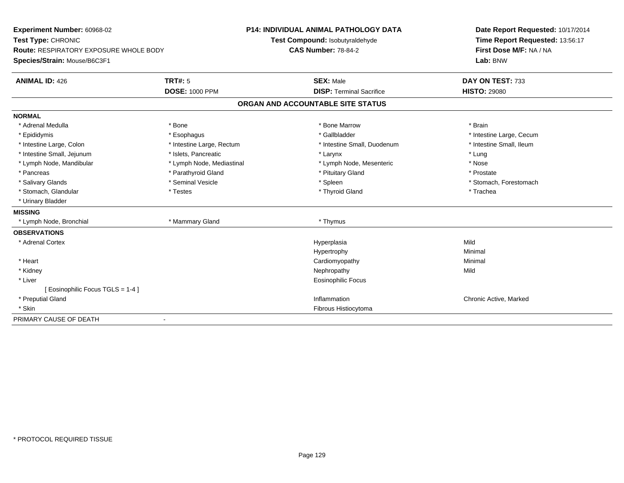| Experiment Number: 60968-02                   |                              | <b>P14: INDIVIDUAL ANIMAL PATHOLOGY DATA</b> | Date Report Requested: 10/17/2014                          |  |
|-----------------------------------------------|------------------------------|----------------------------------------------|------------------------------------------------------------|--|
| Test Type: CHRONIC                            |                              | Test Compound: Isobutyraldehyde              | Time Report Requested: 13:56:17<br>First Dose M/F: NA / NA |  |
| <b>Route: RESPIRATORY EXPOSURE WHOLE BODY</b> |                              | <b>CAS Number: 78-84-2</b>                   |                                                            |  |
| Species/Strain: Mouse/B6C3F1                  |                              |                                              | Lab: BNW                                                   |  |
| <b>ANIMAL ID: 426</b>                         | <b>TRT#: 5</b>               | <b>SEX: Male</b>                             | DAY ON TEST: 733                                           |  |
|                                               | <b>DOSE: 1000 PPM</b>        | <b>DISP: Terminal Sacrifice</b>              | <b>HISTO: 29080</b>                                        |  |
|                                               |                              | ORGAN AND ACCOUNTABLE SITE STATUS            |                                                            |  |
| <b>NORMAL</b>                                 |                              |                                              |                                                            |  |
| * Adrenal Medulla                             | * Bone                       | * Bone Marrow                                | * Brain                                                    |  |
| * Epididymis                                  | * Esophagus                  | * Gallbladder                                | * Intestine Large, Cecum                                   |  |
| * Intestine Large, Colon                      | * Intestine Large, Rectum    | * Intestine Small, Duodenum                  | * Intestine Small, Ileum                                   |  |
| * Intestine Small, Jejunum                    | * Islets, Pancreatic         | * Larynx                                     | * Lung                                                     |  |
| * Lymph Node, Mandibular                      | * Lymph Node, Mediastinal    | * Lymph Node, Mesenteric                     | * Nose                                                     |  |
| * Pancreas                                    | * Parathyroid Gland          | * Pituitary Gland                            | * Prostate                                                 |  |
| * Salivary Glands                             | * Seminal Vesicle            | * Spleen                                     | * Stomach, Forestomach                                     |  |
| * Stomach, Glandular                          | * Testes                     | * Thyroid Gland                              | * Trachea                                                  |  |
| * Urinary Bladder                             |                              |                                              |                                                            |  |
| <b>MISSING</b>                                |                              |                                              |                                                            |  |
| * Lymph Node, Bronchial                       | * Mammary Gland              | * Thymus                                     |                                                            |  |
| <b>OBSERVATIONS</b>                           |                              |                                              |                                                            |  |
| * Adrenal Cortex                              |                              | Hyperplasia                                  | Mild                                                       |  |
|                                               |                              | Hypertrophy                                  | Minimal                                                    |  |
| * Heart                                       |                              | Cardiomyopathy                               | Minimal                                                    |  |
| * Kidney                                      |                              | Nephropathy                                  | Mild                                                       |  |
| * Liver                                       |                              | <b>Eosinophilic Focus</b>                    |                                                            |  |
| [ Eosinophilic Focus TGLS = 1-4 ]             |                              |                                              |                                                            |  |
| * Preputial Gland                             |                              | Inflammation                                 | Chronic Active, Marked                                     |  |
| * Skin                                        |                              | Fibrous Histiocytoma                         |                                                            |  |
| PRIMARY CAUSE OF DEATH                        | $\qquad \qquad \blacksquare$ |                                              |                                                            |  |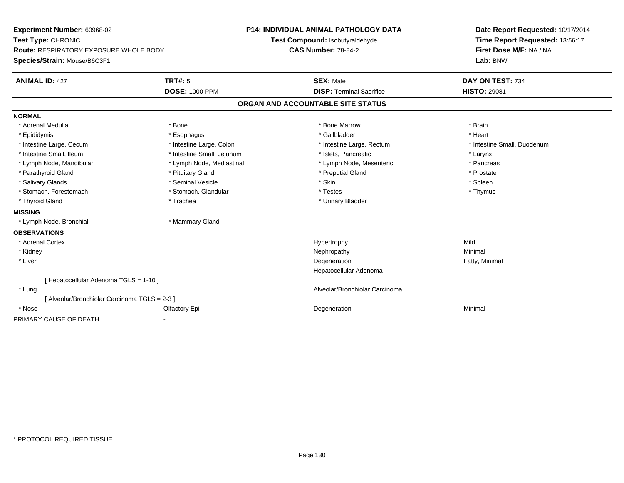| <b>Experiment Number: 60968-02</b>            |                              | <b>P14: INDIVIDUAL ANIMAL PATHOLOGY DATA</b> | Date Report Requested: 10/17/2014 |  |
|-----------------------------------------------|------------------------------|----------------------------------------------|-----------------------------------|--|
| Test Type: CHRONIC                            |                              | Test Compound: Isobutyraldehyde              | Time Report Requested: 13:56:17   |  |
| <b>Route: RESPIRATORY EXPOSURE WHOLE BODY</b> |                              | <b>CAS Number: 78-84-2</b>                   | First Dose M/F: NA / NA           |  |
| Species/Strain: Mouse/B6C3F1                  |                              |                                              | Lab: BNW                          |  |
| <b>ANIMAL ID: 427</b>                         | <b>TRT#: 5</b>               | <b>SEX: Male</b>                             | DAY ON TEST: 734                  |  |
|                                               | <b>DOSE: 1000 PPM</b>        | <b>DISP: Terminal Sacrifice</b>              | <b>HISTO: 29081</b>               |  |
|                                               |                              | ORGAN AND ACCOUNTABLE SITE STATUS            |                                   |  |
| <b>NORMAL</b>                                 |                              |                                              |                                   |  |
| * Adrenal Medulla                             | * Bone                       | * Bone Marrow                                | * Brain                           |  |
| * Epididymis                                  | * Esophagus                  | * Gallbladder                                | * Heart                           |  |
| * Intestine Large, Cecum                      | * Intestine Large, Colon     | * Intestine Large, Rectum                    | * Intestine Small, Duodenum       |  |
| * Intestine Small, Ileum                      | * Intestine Small, Jejunum   | * Islets, Pancreatic                         | * Larynx                          |  |
| * Lymph Node, Mandibular                      | * Lymph Node, Mediastinal    | * Lymph Node, Mesenteric                     | * Pancreas                        |  |
| * Parathyroid Gland                           | * Pituitary Gland            | * Preputial Gland                            | * Prostate                        |  |
| * Salivary Glands                             | * Seminal Vesicle            | * Skin                                       | * Spleen                          |  |
| * Stomach, Forestomach                        | * Stomach, Glandular         | * Testes                                     | * Thymus                          |  |
| * Thyroid Gland                               | * Trachea                    | * Urinary Bladder                            |                                   |  |
| <b>MISSING</b>                                |                              |                                              |                                   |  |
| * Lymph Node, Bronchial                       | * Mammary Gland              |                                              |                                   |  |
| <b>OBSERVATIONS</b>                           |                              |                                              |                                   |  |
| * Adrenal Cortex                              |                              | Hypertrophy                                  | Mild                              |  |
| * Kidney                                      |                              | Nephropathy                                  | Minimal                           |  |
| * Liver                                       |                              | Degeneration                                 | Fatty, Minimal                    |  |
|                                               |                              | Hepatocellular Adenoma                       |                                   |  |
| [Hepatocellular Adenoma TGLS = 1-10]          |                              |                                              |                                   |  |
| * Lung                                        |                              | Alveolar/Bronchiolar Carcinoma               |                                   |  |
| [Alveolar/Bronchiolar Carcinoma TGLS = 2-3]   |                              |                                              |                                   |  |
| * Nose                                        | Olfactory Epi                | Degeneration                                 | Minimal                           |  |
| PRIMARY CAUSE OF DEATH                        | $\qquad \qquad \blacksquare$ |                                              |                                   |  |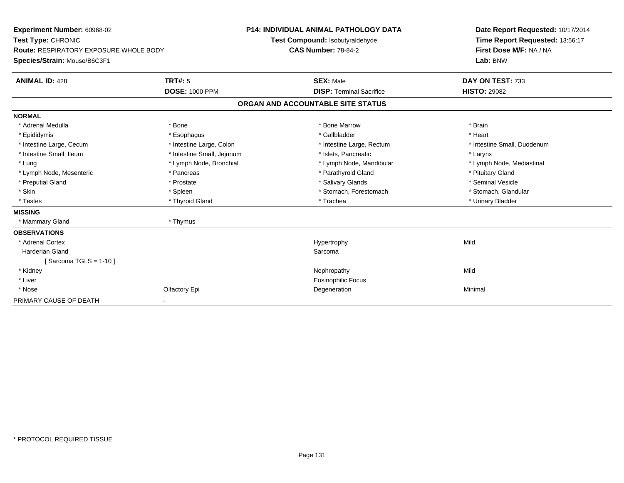| Experiment Number: 60968-02                   |                            | P14: INDIVIDUAL ANIMAL PATHOLOGY DATA | Date Report Requested: 10/17/2014   |  |
|-----------------------------------------------|----------------------------|---------------------------------------|-------------------------------------|--|
| Test Type: CHRONIC                            |                            | Test Compound: Isobutyraldehyde       | Time Report Requested: 13:56:17     |  |
| <b>Route: RESPIRATORY EXPOSURE WHOLE BODY</b> |                            | <b>CAS Number: 78-84-2</b>            | First Dose M/F: NA / NA<br>Lab: BNW |  |
| Species/Strain: Mouse/B6C3F1                  |                            |                                       |                                     |  |
| <b>ANIMAL ID: 428</b>                         | <b>TRT#: 5</b>             | <b>SEX: Male</b>                      | DAY ON TEST: 733                    |  |
|                                               | <b>DOSE: 1000 PPM</b>      | <b>DISP: Terminal Sacrifice</b>       | <b>HISTO: 29082</b>                 |  |
|                                               |                            | ORGAN AND ACCOUNTABLE SITE STATUS     |                                     |  |
| <b>NORMAL</b>                                 |                            |                                       |                                     |  |
| * Adrenal Medulla                             | * Bone                     | * Bone Marrow                         | * Brain                             |  |
| * Epididymis                                  | * Esophagus                | * Gallbladder                         | * Heart                             |  |
| * Intestine Large, Cecum                      | * Intestine Large, Colon   | * Intestine Large, Rectum             | * Intestine Small, Duodenum         |  |
| * Intestine Small, Ileum                      | * Intestine Small, Jejunum | * Islets. Pancreatic                  | * Larynx                            |  |
| * Lung                                        | * Lymph Node, Bronchial    | * Lymph Node, Mandibular              | * Lymph Node, Mediastinal           |  |
| * Lymph Node, Mesenteric                      | * Pancreas                 | * Parathyroid Gland                   | * Pituitary Gland                   |  |
| * Preputial Gland                             | * Prostate                 | * Salivary Glands                     | * Seminal Vesicle                   |  |
| * Skin                                        | * Spleen                   | * Stomach, Forestomach                | * Stomach, Glandular                |  |
| * Testes                                      | * Thyroid Gland            | * Trachea                             | * Urinary Bladder                   |  |
| <b>MISSING</b>                                |                            |                                       |                                     |  |
| * Mammary Gland                               | * Thymus                   |                                       |                                     |  |
| <b>OBSERVATIONS</b>                           |                            |                                       |                                     |  |
| * Adrenal Cortex                              |                            | Hypertrophy                           | Mild                                |  |
| Harderian Gland                               |                            | Sarcoma                               |                                     |  |
| [Sarcoma TGLS = 1-10]                         |                            |                                       |                                     |  |
| * Kidney                                      |                            | Nephropathy                           | Mild                                |  |
| * Liver                                       |                            | <b>Eosinophilic Focus</b>             |                                     |  |
| * Nose                                        | Olfactory Epi              | Degeneration                          | Minimal                             |  |
| PRIMARY CAUSE OF DEATH                        |                            |                                       |                                     |  |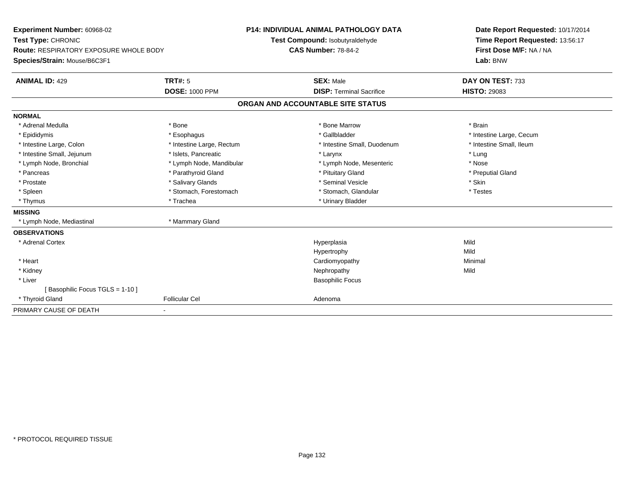| Experiment Number: 60968-02                   |                           | <b>P14: INDIVIDUAL ANIMAL PATHOLOGY DATA</b> | Date Report Requested: 10/17/2014 |  |
|-----------------------------------------------|---------------------------|----------------------------------------------|-----------------------------------|--|
| Test Type: CHRONIC                            |                           | Test Compound: Isobutyraldehyde              | Time Report Requested: 13:56:17   |  |
| <b>Route: RESPIRATORY EXPOSURE WHOLE BODY</b> |                           | <b>CAS Number: 78-84-2</b>                   | First Dose M/F: NA / NA           |  |
| Species/Strain: Mouse/B6C3F1                  |                           |                                              | Lab: BNW                          |  |
| <b>ANIMAL ID: 429</b>                         | <b>TRT#: 5</b>            | <b>SEX: Male</b>                             | DAY ON TEST: 733                  |  |
|                                               | <b>DOSE: 1000 PPM</b>     | <b>DISP: Terminal Sacrifice</b>              | <b>HISTO: 29083</b>               |  |
|                                               |                           | ORGAN AND ACCOUNTABLE SITE STATUS            |                                   |  |
| <b>NORMAL</b>                                 |                           |                                              |                                   |  |
| * Adrenal Medulla                             | * Bone                    | * Bone Marrow                                | * Brain                           |  |
| * Epididymis                                  | * Esophagus               | * Gallbladder                                | * Intestine Large, Cecum          |  |
| * Intestine Large, Colon                      | * Intestine Large, Rectum | * Intestine Small, Duodenum                  | * Intestine Small, Ileum          |  |
| * Intestine Small, Jejunum                    | * Islets. Pancreatic      | * Larynx                                     | * Lung                            |  |
| * Lymph Node, Bronchial                       | * Lymph Node, Mandibular  | * Lymph Node, Mesenteric                     | * Nose                            |  |
| * Pancreas                                    | * Parathyroid Gland       | * Pituitary Gland                            | * Preputial Gland                 |  |
| * Prostate                                    | * Salivary Glands         | * Seminal Vesicle                            | * Skin                            |  |
| * Spleen                                      | * Stomach, Forestomach    | * Stomach, Glandular                         | * Testes                          |  |
| * Thymus                                      | * Trachea                 | * Urinary Bladder                            |                                   |  |
| <b>MISSING</b>                                |                           |                                              |                                   |  |
| * Lymph Node, Mediastinal                     | * Mammary Gland           |                                              |                                   |  |
| <b>OBSERVATIONS</b>                           |                           |                                              |                                   |  |
| * Adrenal Cortex                              |                           | Hyperplasia                                  | Mild                              |  |
|                                               |                           | Hypertrophy                                  | Mild                              |  |
| * Heart                                       |                           | Cardiomyopathy                               | Minimal                           |  |
| * Kidney                                      |                           | Nephropathy                                  | Mild                              |  |
| * Liver                                       |                           | <b>Basophilic Focus</b>                      |                                   |  |
| [Basophilic Focus TGLS = 1-10]                |                           |                                              |                                   |  |
| * Thyroid Gland                               | <b>Follicular Cel</b>     | Adenoma                                      |                                   |  |
| PRIMARY CAUSE OF DEATH                        |                           |                                              |                                   |  |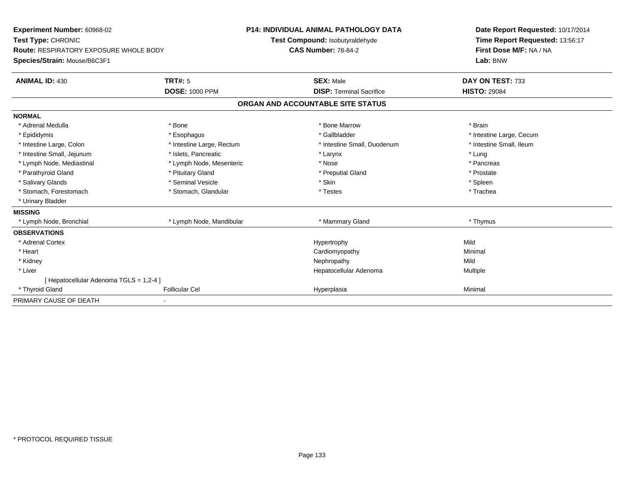| Experiment Number: 60968-02             |                           | <b>P14: INDIVIDUAL ANIMAL PATHOLOGY DATA</b> |                                 |  | Date Report Requested: 10/17/2014   |  |  |
|-----------------------------------------|---------------------------|----------------------------------------------|---------------------------------|--|-------------------------------------|--|--|
| Test Type: CHRONIC                      |                           |                                              | Test Compound: Isobutyraldehyde |  | Time Report Requested: 13:56:17     |  |  |
| Route: RESPIRATORY EXPOSURE WHOLE BODY  |                           | <b>CAS Number: 78-84-2</b>                   |                                 |  | First Dose M/F: NA / NA<br>Lab: BNW |  |  |
| Species/Strain: Mouse/B6C3F1            |                           |                                              |                                 |  |                                     |  |  |
| <b>ANIMAL ID: 430</b>                   | <b>TRT#: 5</b>            |                                              | <b>SEX: Male</b>                |  | DAY ON TEST: 733                    |  |  |
|                                         | <b>DOSE: 1000 PPM</b>     |                                              | <b>DISP: Terminal Sacrifice</b> |  | <b>HISTO: 29084</b>                 |  |  |
|                                         |                           | ORGAN AND ACCOUNTABLE SITE STATUS            |                                 |  |                                     |  |  |
| <b>NORMAL</b>                           |                           |                                              |                                 |  |                                     |  |  |
| * Adrenal Medulla                       | * Bone                    |                                              | * Bone Marrow                   |  | * Brain                             |  |  |
| * Epididymis                            | * Esophagus               |                                              | * Gallbladder                   |  | * Intestine Large, Cecum            |  |  |
| * Intestine Large, Colon                | * Intestine Large, Rectum |                                              | * Intestine Small, Duodenum     |  | * Intestine Small. Ileum            |  |  |
| * Intestine Small, Jejunum              | * Islets. Pancreatic      |                                              | * Larynx                        |  | * Lung                              |  |  |
| * Lymph Node, Mediastinal               | * Lymph Node, Mesenteric  |                                              | * Nose                          |  | * Pancreas                          |  |  |
| * Parathyroid Gland                     | * Pituitary Gland         |                                              | * Preputial Gland               |  | * Prostate                          |  |  |
| * Salivary Glands                       | * Seminal Vesicle         |                                              | * Skin                          |  | * Spleen                            |  |  |
| * Stomach, Forestomach                  | * Stomach, Glandular      |                                              | * Testes                        |  | * Trachea                           |  |  |
| * Urinary Bladder                       |                           |                                              |                                 |  |                                     |  |  |
| <b>MISSING</b>                          |                           |                                              |                                 |  |                                     |  |  |
| * Lymph Node, Bronchial                 | * Lymph Node, Mandibular  |                                              | * Mammary Gland                 |  | * Thymus                            |  |  |
| <b>OBSERVATIONS</b>                     |                           |                                              |                                 |  |                                     |  |  |
| * Adrenal Cortex                        |                           |                                              | Hypertrophy                     |  | Mild                                |  |  |
| * Heart                                 |                           |                                              | Cardiomyopathy                  |  | Minimal                             |  |  |
| * Kidney                                |                           |                                              | Nephropathy                     |  | Mild                                |  |  |
| * Liver                                 |                           |                                              | Hepatocellular Adenoma          |  | Multiple                            |  |  |
| [ Hepatocellular Adenoma TGLS = 1,2-4 ] |                           |                                              |                                 |  |                                     |  |  |
| * Thyroid Gland                         | <b>Follicular Cel</b>     |                                              | Hyperplasia                     |  | Minimal                             |  |  |
| PRIMARY CAUSE OF DEATH                  |                           |                                              |                                 |  |                                     |  |  |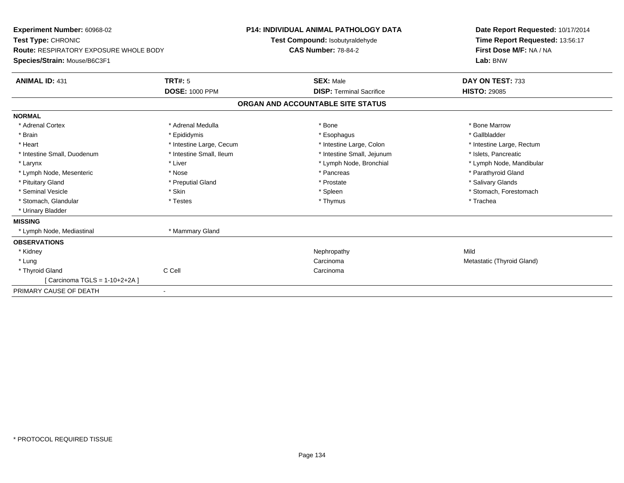| Experiment Number: 60968-02                                                                         |                          | <b>P14: INDIVIDUAL ANIMAL PATHOLOGY DATA</b> | Date Report Requested: 10/17/2014                                      |  |  |
|-----------------------------------------------------------------------------------------------------|--------------------------|----------------------------------------------|------------------------------------------------------------------------|--|--|
| Test Type: CHRONIC<br><b>Route: RESPIRATORY EXPOSURE WHOLE BODY</b><br>Species/Strain: Mouse/B6C3F1 |                          | Test Compound: Isobutyraldehyde              | Time Report Requested: 13:56:17<br>First Dose M/F: NA / NA<br>Lab: BNW |  |  |
|                                                                                                     |                          | <b>CAS Number: 78-84-2</b>                   |                                                                        |  |  |
|                                                                                                     |                          |                                              |                                                                        |  |  |
| <b>ANIMAL ID: 431</b>                                                                               | <b>TRT#: 5</b>           | <b>SEX: Male</b>                             | DAY ON TEST: 733                                                       |  |  |
|                                                                                                     | <b>DOSE: 1000 PPM</b>    | <b>DISP: Terminal Sacrifice</b>              | <b>HISTO: 29085</b>                                                    |  |  |
|                                                                                                     |                          | ORGAN AND ACCOUNTABLE SITE STATUS            |                                                                        |  |  |
| <b>NORMAL</b>                                                                                       |                          |                                              |                                                                        |  |  |
| * Adrenal Cortex                                                                                    | * Adrenal Medulla        | * Bone                                       | * Bone Marrow                                                          |  |  |
| * Brain                                                                                             | * Epididymis             | * Esophagus                                  | * Gallbladder                                                          |  |  |
| * Heart                                                                                             | * Intestine Large, Cecum | * Intestine Large, Colon                     | * Intestine Large, Rectum                                              |  |  |
| * Intestine Small, Duodenum                                                                         | * Intestine Small, Ileum | * Intestine Small, Jejunum                   | * Islets, Pancreatic                                                   |  |  |
| * Larynx                                                                                            | * Liver                  | * Lymph Node, Bronchial                      | * Lymph Node, Mandibular                                               |  |  |
| * Lymph Node, Mesenteric                                                                            | * Nose                   | * Pancreas                                   | * Parathyroid Gland                                                    |  |  |
| * Pituitary Gland                                                                                   | * Preputial Gland        | * Prostate                                   | * Salivary Glands                                                      |  |  |
| * Seminal Vesicle                                                                                   | * Skin                   | * Spleen                                     | * Stomach, Forestomach                                                 |  |  |
| * Stomach, Glandular                                                                                | * Testes                 | * Thymus                                     | * Trachea                                                              |  |  |
| * Urinary Bladder                                                                                   |                          |                                              |                                                                        |  |  |
| <b>MISSING</b>                                                                                      |                          |                                              |                                                                        |  |  |
| * Lymph Node, Mediastinal                                                                           | * Mammary Gland          |                                              |                                                                        |  |  |
| <b>OBSERVATIONS</b>                                                                                 |                          |                                              |                                                                        |  |  |
| * Kidney                                                                                            |                          | Nephropathy                                  | Mild                                                                   |  |  |
| * Lung                                                                                              |                          | Carcinoma                                    | Metastatic (Thyroid Gland)                                             |  |  |
| * Thyroid Gland                                                                                     | C Cell                   | Carcinoma                                    |                                                                        |  |  |
| [Carcinoma TGLS = 1-10+2+2A ]                                                                       |                          |                                              |                                                                        |  |  |
| PRIMARY CAUSE OF DEATH                                                                              |                          |                                              |                                                                        |  |  |
|                                                                                                     |                          |                                              |                                                                        |  |  |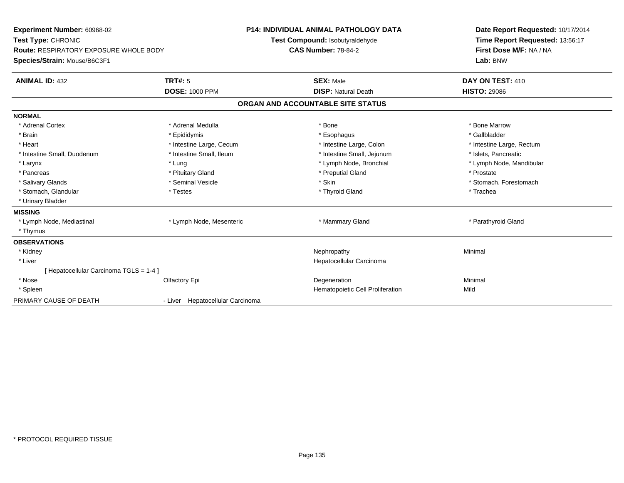| Experiment Number: 60968-02<br>Test Type: CHRONIC<br><b>Route: RESPIRATORY EXPOSURE WHOLE BODY</b><br>Species/Strain: Mouse/B6C3F1 |                                  | P14: INDIVIDUAL ANIMAL PATHOLOGY DATA | Date Report Requested: 10/17/2014                                      |  |  |
|------------------------------------------------------------------------------------------------------------------------------------|----------------------------------|---------------------------------------|------------------------------------------------------------------------|--|--|
|                                                                                                                                    |                                  | Test Compound: Isobutyraldehyde       | Time Report Requested: 13:56:17<br>First Dose M/F: NA / NA<br>Lab: BNW |  |  |
|                                                                                                                                    |                                  | <b>CAS Number: 78-84-2</b>            |                                                                        |  |  |
|                                                                                                                                    |                                  |                                       |                                                                        |  |  |
| <b>ANIMAL ID: 432</b>                                                                                                              | <b>TRT#: 5</b>                   | <b>SEX: Male</b>                      | DAY ON TEST: 410                                                       |  |  |
|                                                                                                                                    | <b>DOSE: 1000 PPM</b>            | <b>DISP: Natural Death</b>            | <b>HISTO: 29086</b>                                                    |  |  |
|                                                                                                                                    |                                  | ORGAN AND ACCOUNTABLE SITE STATUS     |                                                                        |  |  |
| <b>NORMAL</b>                                                                                                                      |                                  |                                       |                                                                        |  |  |
| * Adrenal Cortex                                                                                                                   | * Adrenal Medulla                | * Bone                                | * Bone Marrow                                                          |  |  |
| * Brain                                                                                                                            | * Epididymis                     | * Esophagus                           | * Gallbladder                                                          |  |  |
| * Heart                                                                                                                            | * Intestine Large, Cecum         | * Intestine Large, Colon              | * Intestine Large, Rectum                                              |  |  |
| * Intestine Small, Duodenum                                                                                                        | * Intestine Small, Ileum         | * Intestine Small, Jejunum            | * Islets. Pancreatic                                                   |  |  |
| * Larynx                                                                                                                           | * Lung                           | * Lymph Node, Bronchial               | * Lymph Node, Mandibular                                               |  |  |
| * Pancreas                                                                                                                         | * Pituitary Gland                | * Preputial Gland                     | * Prostate                                                             |  |  |
| * Salivary Glands                                                                                                                  | * Seminal Vesicle                | * Skin                                | * Stomach, Forestomach                                                 |  |  |
| * Stomach, Glandular                                                                                                               | * Testes                         | * Thyroid Gland                       | * Trachea                                                              |  |  |
| * Urinary Bladder                                                                                                                  |                                  |                                       |                                                                        |  |  |
| <b>MISSING</b>                                                                                                                     |                                  |                                       |                                                                        |  |  |
| * Lymph Node, Mediastinal                                                                                                          | * Lymph Node, Mesenteric         | * Mammary Gland                       | * Parathyroid Gland                                                    |  |  |
| * Thymus                                                                                                                           |                                  |                                       |                                                                        |  |  |
| <b>OBSERVATIONS</b>                                                                                                                |                                  |                                       |                                                                        |  |  |
| * Kidney                                                                                                                           |                                  | Nephropathy                           | Minimal                                                                |  |  |
| * Liver                                                                                                                            |                                  | Hepatocellular Carcinoma              |                                                                        |  |  |
| [ Hepatocellular Carcinoma TGLS = 1-4 ]                                                                                            |                                  |                                       |                                                                        |  |  |
| * Nose                                                                                                                             | Olfactory Epi                    | Degeneration                          | Minimal                                                                |  |  |
| * Spleen                                                                                                                           |                                  | Hematopoietic Cell Proliferation      | Mild                                                                   |  |  |
| PRIMARY CAUSE OF DEATH                                                                                                             | - Liver Hepatocellular Carcinoma |                                       |                                                                        |  |  |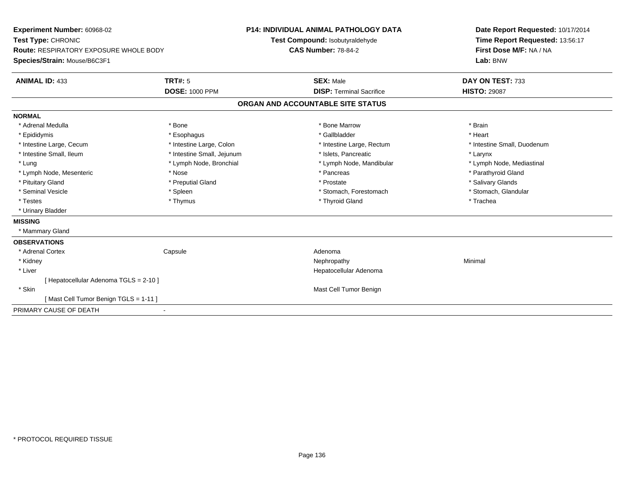| Lab: BNW<br><b>TRT#: 5</b><br><b>ANIMAL ID: 433</b><br><b>SEX: Male</b><br>DAY ON TEST: 733<br><b>DOSE: 1000 PPM</b><br><b>HISTO: 29087</b><br><b>DISP: Terminal Sacrifice</b><br>ORGAN AND ACCOUNTABLE SITE STATUS<br>* Bone<br>* Bone Marrow<br>* Brain<br>* Adrenal Medulla<br>* Epididymis<br>* Gallbladder<br>* Heart<br>* Esophagus<br>* Intestine Large, Cecum<br>* Intestine Large, Colon<br>* Intestine Large, Rectum<br>* Intestine Small, Duodenum<br>* Intestine Small, Ileum<br>* Intestine Small, Jejunum<br>* Islets, Pancreatic<br>* Larynx<br>* Lymph Node, Bronchial<br>* Lymph Node, Mandibular<br>* Lymph Node, Mediastinal<br>* Lung<br>* Pancreas<br>* Parathyroid Gland<br>* Lymph Node, Mesenteric<br>* Nose<br>* Pituitary Gland<br>* Salivary Glands<br>* Preputial Gland<br>* Prostate<br>* Stomach, Glandular<br>* Seminal Vesicle<br>* Spleen<br>* Stomach, Forestomach<br>* Thyroid Gland<br>* Testes<br>* Thymus<br>* Trachea<br>* Urinary Bladder<br>* Mammary Gland<br>* Adrenal Cortex<br>Capsule<br>Adenoma<br>* Kidney<br>Minimal<br>Nephropathy<br>* Liver<br>Hepatocellular Adenoma<br>[ Hepatocellular Adenoma TGLS = 2-10 ]<br>Mast Cell Tumor Benign<br>* Skin<br>[Mast Cell Tumor Benign TGLS = 1-11] | Experiment Number: 60968-02<br>Test Type: CHRONIC<br>Route: RESPIRATORY EXPOSURE WHOLE BODY |  | <b>P14: INDIVIDUAL ANIMAL PATHOLOGY DATA</b><br>Test Compound: Isobutyraldehyde<br><b>CAS Number: 78-84-2</b> |  | Date Report Requested: 10/17/2014<br>Time Report Requested: 13:56:17<br>First Dose M/F: NA / NA |  |
|-------------------------------------------------------------------------------------------------------------------------------------------------------------------------------------------------------------------------------------------------------------------------------------------------------------------------------------------------------------------------------------------------------------------------------------------------------------------------------------------------------------------------------------------------------------------------------------------------------------------------------------------------------------------------------------------------------------------------------------------------------------------------------------------------------------------------------------------------------------------------------------------------------------------------------------------------------------------------------------------------------------------------------------------------------------------------------------------------------------------------------------------------------------------------------------------------------------------------------------------------|---------------------------------------------------------------------------------------------|--|---------------------------------------------------------------------------------------------------------------|--|-------------------------------------------------------------------------------------------------|--|
|                                                                                                                                                                                                                                                                                                                                                                                                                                                                                                                                                                                                                                                                                                                                                                                                                                                                                                                                                                                                                                                                                                                                                                                                                                                 | Species/Strain: Mouse/B6C3F1                                                                |  |                                                                                                               |  |                                                                                                 |  |
|                                                                                                                                                                                                                                                                                                                                                                                                                                                                                                                                                                                                                                                                                                                                                                                                                                                                                                                                                                                                                                                                                                                                                                                                                                                 |                                                                                             |  |                                                                                                               |  |                                                                                                 |  |
|                                                                                                                                                                                                                                                                                                                                                                                                                                                                                                                                                                                                                                                                                                                                                                                                                                                                                                                                                                                                                                                                                                                                                                                                                                                 |                                                                                             |  |                                                                                                               |  |                                                                                                 |  |
|                                                                                                                                                                                                                                                                                                                                                                                                                                                                                                                                                                                                                                                                                                                                                                                                                                                                                                                                                                                                                                                                                                                                                                                                                                                 |                                                                                             |  |                                                                                                               |  |                                                                                                 |  |
|                                                                                                                                                                                                                                                                                                                                                                                                                                                                                                                                                                                                                                                                                                                                                                                                                                                                                                                                                                                                                                                                                                                                                                                                                                                 | <b>NORMAL</b>                                                                               |  |                                                                                                               |  |                                                                                                 |  |
|                                                                                                                                                                                                                                                                                                                                                                                                                                                                                                                                                                                                                                                                                                                                                                                                                                                                                                                                                                                                                                                                                                                                                                                                                                                 |                                                                                             |  |                                                                                                               |  |                                                                                                 |  |
|                                                                                                                                                                                                                                                                                                                                                                                                                                                                                                                                                                                                                                                                                                                                                                                                                                                                                                                                                                                                                                                                                                                                                                                                                                                 |                                                                                             |  |                                                                                                               |  |                                                                                                 |  |
|                                                                                                                                                                                                                                                                                                                                                                                                                                                                                                                                                                                                                                                                                                                                                                                                                                                                                                                                                                                                                                                                                                                                                                                                                                                 |                                                                                             |  |                                                                                                               |  |                                                                                                 |  |
|                                                                                                                                                                                                                                                                                                                                                                                                                                                                                                                                                                                                                                                                                                                                                                                                                                                                                                                                                                                                                                                                                                                                                                                                                                                 |                                                                                             |  |                                                                                                               |  |                                                                                                 |  |
|                                                                                                                                                                                                                                                                                                                                                                                                                                                                                                                                                                                                                                                                                                                                                                                                                                                                                                                                                                                                                                                                                                                                                                                                                                                 |                                                                                             |  |                                                                                                               |  |                                                                                                 |  |
|                                                                                                                                                                                                                                                                                                                                                                                                                                                                                                                                                                                                                                                                                                                                                                                                                                                                                                                                                                                                                                                                                                                                                                                                                                                 |                                                                                             |  |                                                                                                               |  |                                                                                                 |  |
|                                                                                                                                                                                                                                                                                                                                                                                                                                                                                                                                                                                                                                                                                                                                                                                                                                                                                                                                                                                                                                                                                                                                                                                                                                                 |                                                                                             |  |                                                                                                               |  |                                                                                                 |  |
|                                                                                                                                                                                                                                                                                                                                                                                                                                                                                                                                                                                                                                                                                                                                                                                                                                                                                                                                                                                                                                                                                                                                                                                                                                                 |                                                                                             |  |                                                                                                               |  |                                                                                                 |  |
|                                                                                                                                                                                                                                                                                                                                                                                                                                                                                                                                                                                                                                                                                                                                                                                                                                                                                                                                                                                                                                                                                                                                                                                                                                                 |                                                                                             |  |                                                                                                               |  |                                                                                                 |  |
|                                                                                                                                                                                                                                                                                                                                                                                                                                                                                                                                                                                                                                                                                                                                                                                                                                                                                                                                                                                                                                                                                                                                                                                                                                                 |                                                                                             |  |                                                                                                               |  |                                                                                                 |  |
|                                                                                                                                                                                                                                                                                                                                                                                                                                                                                                                                                                                                                                                                                                                                                                                                                                                                                                                                                                                                                                                                                                                                                                                                                                                 | <b>MISSING</b>                                                                              |  |                                                                                                               |  |                                                                                                 |  |
|                                                                                                                                                                                                                                                                                                                                                                                                                                                                                                                                                                                                                                                                                                                                                                                                                                                                                                                                                                                                                                                                                                                                                                                                                                                 |                                                                                             |  |                                                                                                               |  |                                                                                                 |  |
|                                                                                                                                                                                                                                                                                                                                                                                                                                                                                                                                                                                                                                                                                                                                                                                                                                                                                                                                                                                                                                                                                                                                                                                                                                                 | <b>OBSERVATIONS</b>                                                                         |  |                                                                                                               |  |                                                                                                 |  |
|                                                                                                                                                                                                                                                                                                                                                                                                                                                                                                                                                                                                                                                                                                                                                                                                                                                                                                                                                                                                                                                                                                                                                                                                                                                 |                                                                                             |  |                                                                                                               |  |                                                                                                 |  |
|                                                                                                                                                                                                                                                                                                                                                                                                                                                                                                                                                                                                                                                                                                                                                                                                                                                                                                                                                                                                                                                                                                                                                                                                                                                 |                                                                                             |  |                                                                                                               |  |                                                                                                 |  |
|                                                                                                                                                                                                                                                                                                                                                                                                                                                                                                                                                                                                                                                                                                                                                                                                                                                                                                                                                                                                                                                                                                                                                                                                                                                 |                                                                                             |  |                                                                                                               |  |                                                                                                 |  |
|                                                                                                                                                                                                                                                                                                                                                                                                                                                                                                                                                                                                                                                                                                                                                                                                                                                                                                                                                                                                                                                                                                                                                                                                                                                 |                                                                                             |  |                                                                                                               |  |                                                                                                 |  |
|                                                                                                                                                                                                                                                                                                                                                                                                                                                                                                                                                                                                                                                                                                                                                                                                                                                                                                                                                                                                                                                                                                                                                                                                                                                 |                                                                                             |  |                                                                                                               |  |                                                                                                 |  |
|                                                                                                                                                                                                                                                                                                                                                                                                                                                                                                                                                                                                                                                                                                                                                                                                                                                                                                                                                                                                                                                                                                                                                                                                                                                 |                                                                                             |  |                                                                                                               |  |                                                                                                 |  |
|                                                                                                                                                                                                                                                                                                                                                                                                                                                                                                                                                                                                                                                                                                                                                                                                                                                                                                                                                                                                                                                                                                                                                                                                                                                 | PRIMARY CAUSE OF DEATH                                                                      |  |                                                                                                               |  |                                                                                                 |  |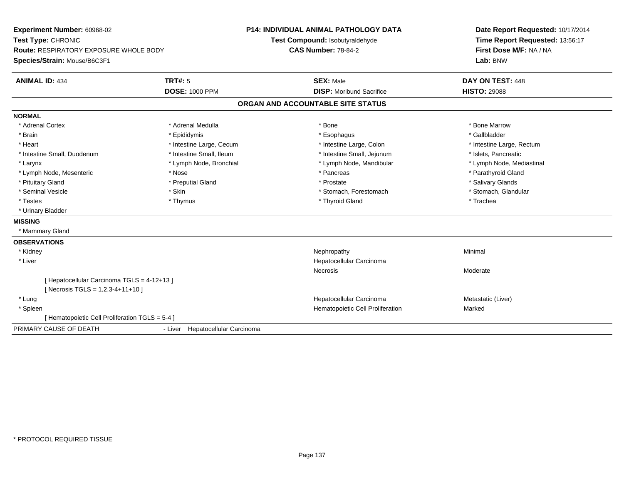**Experiment Number:** 60968-02**Test Type:** CHRONIC **Route:** RESPIRATORY EXPOSURE WHOLE BODY**Species/Strain:** Mouse/B6C3F1**P14: INDIVIDUAL ANIMAL PATHOLOGY DATATest Compound:** Isobutyraldehyde**CAS Number:** 78-84-2**Date Report Requested:** 10/17/2014**Time Report Requested:** 13:56:17**First Dose M/F:** NA / NA**Lab:** BNW**ANIMAL ID:** 434**TRT#:** 5 **SEX:** Male **DAY ON TEST:** 448 **DOSE:** 1000 PPM**DISP:** Moribund Sacrifice **HISTO:** 29088 **ORGAN AND ACCOUNTABLE SITE STATUSNORMAL**\* Adrenal Cortex \* Adrenal Medulla \* Adrenal Medulla \* Bone \* Bone \* Bone \* Bone \* Bone Marrow \* Gallbladder \* Brain \* Allen the state of the state of the state of the state of the state of the state of the state of the state of the state of the state of the state of the state of the state of the state of the state of the state o \* Heart **\*** Intestine Large, Cecum **\* Intestine Large, Cecum** \* Intestine Large, Colon \* Intestine Large, Rectum \* Intestine Large, Rectum \* Intestine Small, Duodenum \* Intestine Small, Ileum \* Intestine Small, Intestine Small, Jejunum \* Islets, Pancreatic \* Lymph Node, Mediastinal \* Larynx \* Lymph Node, Bronchial \* Lymph Node, Bronchial \* Lymph Node, Mandibular \* Lymph Node, Mesenteric \* The state of the state of the state of the state of the state of the state of the state of the state of the state of the state of the state of the state of the state of the state of the state of \* Pituitary Gland \* \* Then the state \* Preputial Gland \* Prosection \* Prostate \* \* Salivary Glands \* Salivary Glands \* Salivary Glands \* Salivary Glands \* Salivary Glands \* Salivary Glands \* Salivary Glands \* Salivary Glan \* Stomach, Glandular \* Seminal Vesicle \* Skin \* Skin \* Skin \* Stomach, Forestomach \* Stomach, Forestomach \* Testes \* Thymus \* Thyroid Gland \* Trachea \* Urinary Bladder**MISSING** \* Mammary Gland**OBSERVATIONS** \* Kidneyy the control of the control of the control of the control of the control of the control of the control of the control of the control of the control of the control of the control of the control of the control of the contro \* Liver Hepatocellular CarcinomaNecrosis Moderate[ Hepatocellular Carcinoma TGLS = 4-12+13 ] $[$  Necrosis TGLS = 1,2,3-4+11+10 ] \* Lungg and the state of the state of the state of the state of the Hepatocellular Carcinoma and the Metastatic (Liver) \* SpleenHematopoietic Cell Proliferation Marked [ Hematopoietic Cell Proliferation TGLS = 5-4 ]PRIMARY CAUSE OF DEATH- Liver Hepatocellular Carcinoma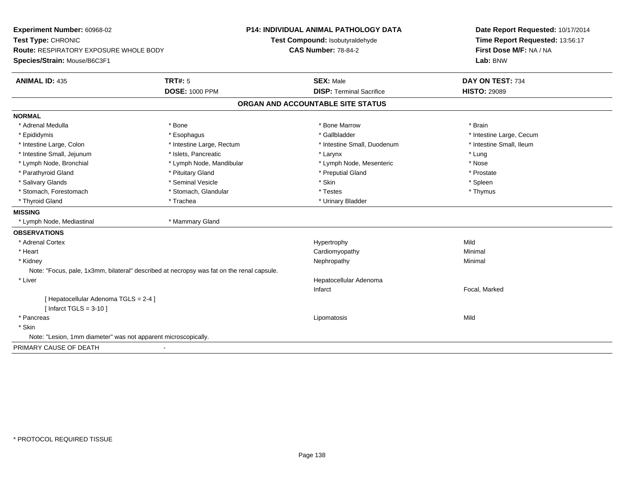**Experiment Number:** 60968-02**Test Type:** CHRONIC **Route:** RESPIRATORY EXPOSURE WHOLE BODY**Species/Strain:** Mouse/B6C3F1**P14: INDIVIDUAL ANIMAL PATHOLOGY DATATest Compound:** Isobutyraldehyde**CAS Number:** 78-84-2**Date Report Requested:** 10/17/2014**Time Report Requested:** 13:56:17**First Dose M/F:** NA / NA**Lab:** BNW**ANIMAL ID:** 435**TRT#:** 5 **SEX:** Male **DAY ON TEST:** 734 **DOSE:** 1000 PPM**DISP:** Terminal Sacrifice **HISTO:** 29089 **ORGAN AND ACCOUNTABLE SITE STATUSNORMAL**\* Adrenal Medulla \* \* Annual Medulla \* Brain \* Bone \* \* Bone Marrow \* Bone Marrow \* \* Brain \* Brain \* Brain \* Brain \* Brain \* Brain \* Brain \* Brain \* Brain \* Brain \* Brain \* Brain \* Brain \* Brain \* Brain \* Brain \* Brain \* \* Epididymis **\* Exophagus \* Execument \* Execument \* Gallbladder** \* Gallbladder \* \* Thtestine Large, Cecum \* Intestine Small, Ileum \* Intestine Large, Colon \* Intestine Large, Rectum \* Intestine Small, Duodenum \* Intestine Small, Duodenum \* Intestine Small, Jejunum \* 1998 \* The state of the state of the state of the state of the state of the state of the state of the state of the state of the state of the state of the state of the state of the state of the \* Nose \* Lymph Node, Bronchial \* Lymph Node, Mandibular \* Nosember is the Node, Mesenteric \* Prostate \* Parathyroid Gland \* **All and \* Pituitary Gland \* Prostate and \* Preputial Gland** \* Preputial Gland \* Spleen \* Salivary Glands \* \* \* Sheen \* Seminal Vesicle \* \* \* Stan \* \* Skin \* \* Skin \* \* Spleen \* \* Spleen \* \* Spleen \* \* Thymus \* Stomach, Forestomach \* Testes \* Stomach, Glandular \* Testes \* Testes \* Testes \* Testes \* Testes \* \* Testes \*  $\sim$  \* Testes \*  $\sim$  \* Testes \*  $\sim$  \* Testes \* \* Testes \* \* Testes \* \* \* Testes \* \* \* \* \* \* \* \* \* \* \* \* \* \* \* \* Thyroid Gland \* Trachea \* Trachea \* Trachea \* Thyroid Gland **MISSING** \* Lymph Node, Mediastinal \* Mammary Gland**OBSERVATIONS** \* Adrenal Cortexx and the control of the control of the control of the Hypertrophy control of the control of the control of the control of the control of the control of the control of the control of the control of the control of the contr Minimal \* Heart Cardiomyopathy Minimal \* Kidneyy the control of the control of the control of the control of the control of the control of the control of the control of the control of the control of the control of the control of the control of the control of the contro Note: "Focus, pale, 1x3mm, bilateral" described at necropsy was fat on the renal capsule. \* Liver Hepatocellular AdenomaInfarct Focal, Marked[ Hepatocellular Adenoma TGLS = 2-4 ] $[$  Infarct TGLS = 3-10  $]$  \* Pancreass the control of the control of the control of the control of the control of the control of the control of the control of the control of the control of the control of the control of the control of the control of the contro \* Skin Note: "Lesion, 1mm diameter" was not apparent microscopically.PRIMARY CAUSE OF DEATH-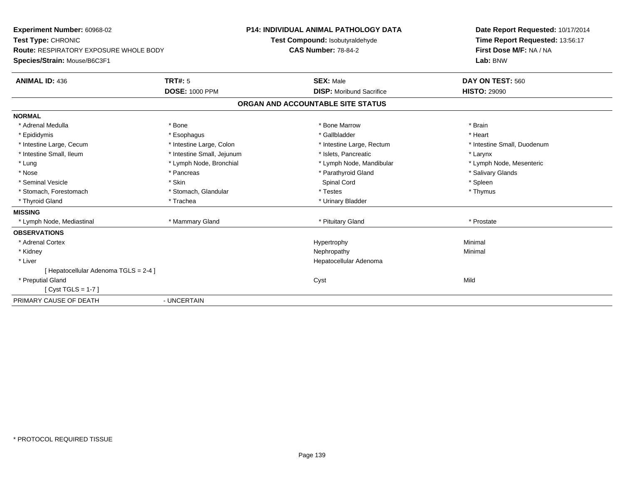**Experiment Number:** 60968-02**Test Type:** CHRONIC **Route:** RESPIRATORY EXPOSURE WHOLE BODY**Species/Strain:** Mouse/B6C3F1**P14: INDIVIDUAL ANIMAL PATHOLOGY DATATest Compound:** Isobutyraldehyde**CAS Number:** 78-84-2**Date Report Requested:** 10/17/2014**Time Report Requested:** 13:56:17**First Dose M/F:** NA / NA**Lab:** BNW**ANIMAL ID:** 436**TRT#:** 5 **SEX:** Male **DAY ON TEST:** 560 **DOSE:** 1000 PPM**DISP:** Moribund Sacrifice **HISTO:** 29090 **ORGAN AND ACCOUNTABLE SITE STATUSNORMAL**\* Adrenal Medulla \* \* Annual Medulla \* Brain \* Bone \* \* Bone Marrow \* Bone Marrow \* \* Brain \* Brain \* Brain \* Brain \* Brain \* Brain \* Brain \* Brain \* Brain \* Brain \* Brain \* Brain \* Brain \* Brain \* Brain \* Brain \* Brain \* \* Heart \* Epididymis \* Esophagus \* Gallbladder \* Heart\* Intestine Large, Cecum \* Intestine Large, Colon \* Intestine Large, Rectum \* Intestine Small, Duodenum \* Intestine Small, Ileum \* Intestine Small, Jejunum \* Islets, Pancreatic \* Larynx\* Lymph Node, Mesenteric \* Lung \* Lymph Node, Bronchial \* Lymph Node, Mandibular \* Lymph Node, Mandibular \* Nose \* Pancreas \* Parathyroid Gland \* Salivary Glands \* Seminal Vesicle \* \* \* Sheen \* Skin \* Skin \* Sheen \* Spinal Cord \* \* Spinal Cord \* \* Spinal Vesicle \* \* Spleen \* Spleen \* Spinal Cord \* \* Spinal Cord \* \* Spinal Cord \* \* Spinal Cord \* \* Spinal Cord \* \* Spinal Cord \* \* Spi \* Thymus \* Stomach, Forestomach \* Testes \* Stomach, Glandular \* Testes \* Testes \* Testes \* Testes \* Testes \* \* Testes \*  $\sim$  \* Testes \*  $\sim$  \* Testes \*  $\sim$  \* Testes \* \* Testes \* \* Testes \* \* \* Testes \* \* \* \* \* \* \* \* \* \* \* \* \* \* \* \* Thyroid Gland \* Trachea \* Trachea \* Trachea \* Thyroid Gland **MISSING**\* Lymph Node, Mediastinal \* \* \* Mammary Gland \* \* \* \* Prituitary Gland \* Prostate \* Prostate \* Prostate \* Prostate **OBSERVATIONS** \* Adrenal Cortexx and the controller of the controller of the controller of the Hypertrophy  $\mathsf{M}$ inimal  $\mathsf{M}$ inimal  $\mathsf{M}$  \* Kidneyy the control of the control of the control of the control of the control of the control of the control of the control of the control of the control of the control of the control of the control of the control of the contro \* Liver Hepatocellular Adenoma[ Hepatocellular Adenoma TGLS = 2-4 ] \* Preputial Glandd and the control of the control of the control of the control of the control of the control of the control of the control of the control of the control of the control of the control of the control of the control of the co [ Cyst TGLS = 1-7 ]PRIMARY CAUSE OF DEATH- UNCERTAIN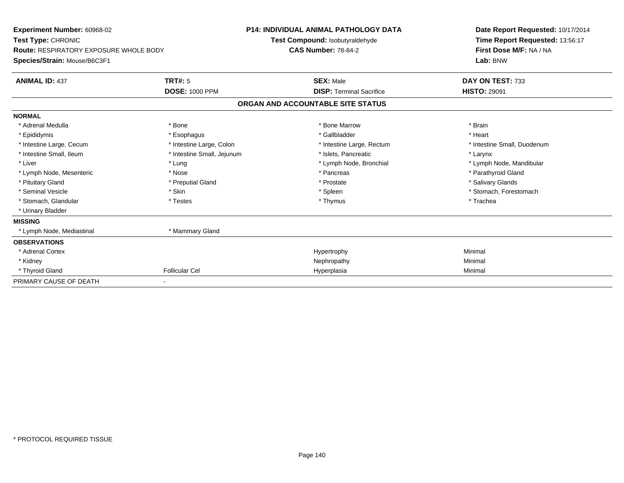| Experiment Number: 60968-02<br>Test Type: CHRONIC<br><b>Route: RESPIRATORY EXPOSURE WHOLE BODY</b><br>Species/Strain: Mouse/B6C3F1 |                            | <b>P14: INDIVIDUAL ANIMAL PATHOLOGY DATA</b><br>Test Compound: Isobutyraldehyde<br><b>CAS Number: 78-84-2</b> |                                   | Date Report Requested: 10/17/2014<br>Time Report Requested: 13:56:17<br>First Dose M/F: NA / NA<br>Lab: BNW |
|------------------------------------------------------------------------------------------------------------------------------------|----------------------------|---------------------------------------------------------------------------------------------------------------|-----------------------------------|-------------------------------------------------------------------------------------------------------------|
| <b>ANIMAL ID: 437</b>                                                                                                              | <b>TRT#: 5</b>             |                                                                                                               | <b>SEX: Male</b>                  | DAY ON TEST: 733                                                                                            |
|                                                                                                                                    | <b>DOSE: 1000 PPM</b>      |                                                                                                               | <b>DISP: Terminal Sacrifice</b>   | <b>HISTO: 29091</b>                                                                                         |
|                                                                                                                                    |                            |                                                                                                               | ORGAN AND ACCOUNTABLE SITE STATUS |                                                                                                             |
| <b>NORMAL</b>                                                                                                                      |                            |                                                                                                               |                                   |                                                                                                             |
| * Adrenal Medulla                                                                                                                  | * Bone                     |                                                                                                               | * Bone Marrow                     | * Brain                                                                                                     |
| * Epididymis                                                                                                                       | * Esophagus                |                                                                                                               | * Gallbladder                     | * Heart                                                                                                     |
| * Intestine Large, Cecum                                                                                                           | * Intestine Large, Colon   |                                                                                                               | * Intestine Large, Rectum         | * Intestine Small, Duodenum                                                                                 |
| * Intestine Small, Ileum                                                                                                           | * Intestine Small, Jejunum |                                                                                                               | * Islets, Pancreatic              | * Larynx                                                                                                    |
| * Liver                                                                                                                            | * Lung                     |                                                                                                               | * Lymph Node, Bronchial           | * Lymph Node, Mandibular                                                                                    |
| * Lymph Node, Mesenteric                                                                                                           | * Nose                     |                                                                                                               | * Pancreas                        | * Parathyroid Gland                                                                                         |
| * Pituitary Gland                                                                                                                  | * Preputial Gland          |                                                                                                               | * Prostate                        | * Salivary Glands                                                                                           |
| * Seminal Vesicle                                                                                                                  | * Skin                     |                                                                                                               | * Spleen                          | * Stomach. Forestomach                                                                                      |
| * Stomach, Glandular                                                                                                               | * Testes                   |                                                                                                               | * Thymus                          | * Trachea                                                                                                   |
| * Urinary Bladder                                                                                                                  |                            |                                                                                                               |                                   |                                                                                                             |
| <b>MISSING</b>                                                                                                                     |                            |                                                                                                               |                                   |                                                                                                             |
| * Lymph Node, Mediastinal                                                                                                          | * Mammary Gland            |                                                                                                               |                                   |                                                                                                             |
| <b>OBSERVATIONS</b>                                                                                                                |                            |                                                                                                               |                                   |                                                                                                             |
| * Adrenal Cortex                                                                                                                   |                            |                                                                                                               | Hypertrophy                       | Minimal                                                                                                     |
| * Kidney                                                                                                                           |                            |                                                                                                               | Nephropathy                       | Minimal                                                                                                     |
| * Thyroid Gland                                                                                                                    | <b>Follicular Cel</b>      |                                                                                                               | Hyperplasia                       | Minimal                                                                                                     |
| PRIMARY CAUSE OF DEATH                                                                                                             |                            |                                                                                                               |                                   |                                                                                                             |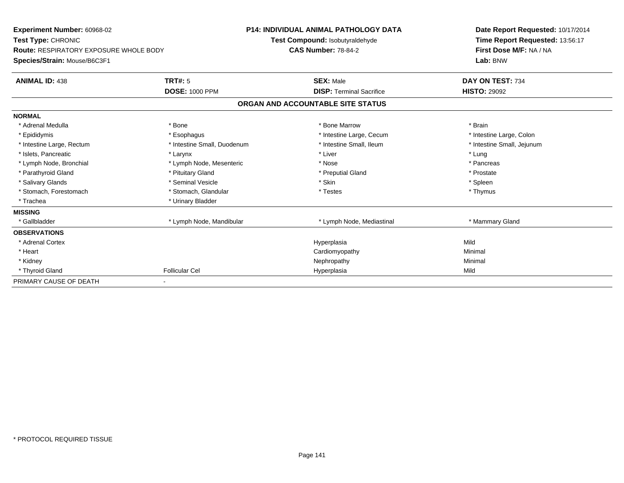| Experiment Number: 60968-02<br><b>Test Type: CHRONIC</b><br><b>Route: RESPIRATORY EXPOSURE WHOLE BODY</b><br>Species/Strain: Mouse/B6C3F1 |                             | <b>P14: INDIVIDUAL ANIMAL PATHOLOGY DATA</b><br>Test Compound: Isobutyraldehyde<br><b>CAS Number: 78-84-2</b> |                                   | Date Report Requested: 10/17/2014<br>Time Report Requested: 13:56:17<br>First Dose M/F: NA / NA<br>Lab: BNW |  |
|-------------------------------------------------------------------------------------------------------------------------------------------|-----------------------------|---------------------------------------------------------------------------------------------------------------|-----------------------------------|-------------------------------------------------------------------------------------------------------------|--|
| <b>ANIMAL ID: 438</b>                                                                                                                     | TRT#: 5                     |                                                                                                               | <b>SEX: Male</b>                  | DAY ON TEST: 734                                                                                            |  |
|                                                                                                                                           | <b>DOSE: 1000 PPM</b>       |                                                                                                               | <b>DISP:</b> Terminal Sacrifice   | <b>HISTO: 29092</b>                                                                                         |  |
|                                                                                                                                           |                             |                                                                                                               | ORGAN AND ACCOUNTABLE SITE STATUS |                                                                                                             |  |
| <b>NORMAL</b>                                                                                                                             |                             |                                                                                                               |                                   |                                                                                                             |  |
| * Adrenal Medulla                                                                                                                         | * Bone                      |                                                                                                               | * Bone Marrow                     | * Brain                                                                                                     |  |
| * Epididymis                                                                                                                              | * Esophagus                 |                                                                                                               | * Intestine Large, Cecum          | * Intestine Large, Colon                                                                                    |  |
| * Intestine Large, Rectum                                                                                                                 | * Intestine Small, Duodenum |                                                                                                               | * Intestine Small. Ileum          | * Intestine Small, Jejunum                                                                                  |  |
| * Islets. Pancreatic                                                                                                                      | * Larynx                    |                                                                                                               | * Liver                           | * Lung                                                                                                      |  |
| * Lymph Node, Bronchial                                                                                                                   | * Lymph Node, Mesenteric    |                                                                                                               | * Nose                            | * Pancreas                                                                                                  |  |
| * Parathyroid Gland                                                                                                                       | * Pituitary Gland           |                                                                                                               | * Preputial Gland                 | * Prostate                                                                                                  |  |
| * Salivary Glands                                                                                                                         | * Seminal Vesicle           |                                                                                                               | * Skin                            | * Spleen                                                                                                    |  |
| * Stomach. Forestomach                                                                                                                    | * Stomach, Glandular        |                                                                                                               | * Testes                          | * Thymus                                                                                                    |  |
| * Trachea                                                                                                                                 | * Urinary Bladder           |                                                                                                               |                                   |                                                                                                             |  |
| <b>MISSING</b>                                                                                                                            |                             |                                                                                                               |                                   |                                                                                                             |  |
| * Gallbladder                                                                                                                             | * Lymph Node, Mandibular    |                                                                                                               | * Lymph Node, Mediastinal         | * Mammary Gland                                                                                             |  |
| <b>OBSERVATIONS</b>                                                                                                                       |                             |                                                                                                               |                                   |                                                                                                             |  |
| * Adrenal Cortex                                                                                                                          |                             |                                                                                                               | Hyperplasia                       | Mild                                                                                                        |  |
| * Heart                                                                                                                                   |                             |                                                                                                               | Cardiomyopathy                    | Minimal                                                                                                     |  |
| * Kidney                                                                                                                                  |                             |                                                                                                               | Nephropathy                       | Minimal                                                                                                     |  |
| * Thyroid Gland                                                                                                                           | <b>Follicular Cel</b>       |                                                                                                               | Hyperplasia                       | Mild                                                                                                        |  |
| PRIMARY CAUSE OF DEATH                                                                                                                    |                             |                                                                                                               |                                   |                                                                                                             |  |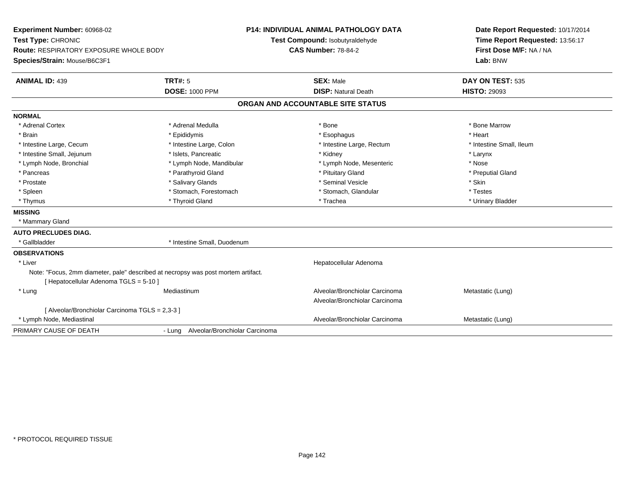| Experiment Number: 60968-02<br>Test Type: CHRONIC<br><b>Route: RESPIRATORY EXPOSURE WHOLE BODY</b><br>Species/Strain: Mouse/B6C3F1 |                                       | <b>P14: INDIVIDUAL ANIMAL PATHOLOGY DATA</b><br>Test Compound: Isobutyraldehyde<br><b>CAS Number: 78-84-2</b> | Date Report Requested: 10/17/2014<br>Time Report Requested: 13:56:17<br>First Dose M/F: NA / NA<br>Lab: BNW |  |
|------------------------------------------------------------------------------------------------------------------------------------|---------------------------------------|---------------------------------------------------------------------------------------------------------------|-------------------------------------------------------------------------------------------------------------|--|
| <b>ANIMAL ID: 439</b>                                                                                                              | <b>TRT#: 5</b>                        | <b>SEX: Male</b>                                                                                              | DAY ON TEST: 535                                                                                            |  |
|                                                                                                                                    | <b>DOSE: 1000 PPM</b>                 | <b>DISP: Natural Death</b>                                                                                    | <b>HISTO: 29093</b>                                                                                         |  |
|                                                                                                                                    |                                       | ORGAN AND ACCOUNTABLE SITE STATUS                                                                             |                                                                                                             |  |
| <b>NORMAL</b>                                                                                                                      |                                       |                                                                                                               |                                                                                                             |  |
| * Adrenal Cortex                                                                                                                   | * Adrenal Medulla                     | * Bone                                                                                                        | * Bone Marrow                                                                                               |  |
| * Brain                                                                                                                            | * Epididymis                          | * Esophagus                                                                                                   | * Heart                                                                                                     |  |
| * Intestine Large, Cecum                                                                                                           | * Intestine Large, Colon              | * Intestine Large, Rectum                                                                                     | * Intestine Small, Ileum                                                                                    |  |
| * Intestine Small, Jejunum                                                                                                         | * Islets, Pancreatic                  | * Kidney                                                                                                      | * Larynx                                                                                                    |  |
| * Lymph Node, Bronchial                                                                                                            | * Lymph Node, Mandibular              | * Lymph Node, Mesenteric                                                                                      | * Nose                                                                                                      |  |
| * Pancreas                                                                                                                         | * Parathyroid Gland                   | * Pituitary Gland                                                                                             | * Preputial Gland                                                                                           |  |
| * Prostate                                                                                                                         | * Salivary Glands                     | * Seminal Vesicle                                                                                             | * Skin                                                                                                      |  |
| * Spleen                                                                                                                           | * Stomach, Forestomach                | * Stomach, Glandular                                                                                          | * Testes                                                                                                    |  |
| * Thymus                                                                                                                           | * Thyroid Gland                       | * Trachea                                                                                                     | * Urinary Bladder                                                                                           |  |
| <b>MISSING</b>                                                                                                                     |                                       |                                                                                                               |                                                                                                             |  |
| * Mammary Gland                                                                                                                    |                                       |                                                                                                               |                                                                                                             |  |
| <b>AUTO PRECLUDES DIAG.</b>                                                                                                        |                                       |                                                                                                               |                                                                                                             |  |
| * Gallbladder                                                                                                                      | * Intestine Small, Duodenum           |                                                                                                               |                                                                                                             |  |
| <b>OBSERVATIONS</b>                                                                                                                |                                       |                                                                                                               |                                                                                                             |  |
| * Liver                                                                                                                            |                                       | Hepatocellular Adenoma                                                                                        |                                                                                                             |  |
| Note: "Focus, 2mm diameter, pale" described at necropsy was post mortem artifact.<br>[Hepatocellular Adenoma TGLS = 5-10]          |                                       |                                                                                                               |                                                                                                             |  |
| * Lung                                                                                                                             | Mediastinum                           | Alveolar/Bronchiolar Carcinoma<br>Alveolar/Bronchiolar Carcinoma                                              | Metastatic (Lung)                                                                                           |  |
| [ Alveolar/Bronchiolar Carcinoma TGLS = 2,3-3 ]                                                                                    |                                       |                                                                                                               |                                                                                                             |  |
| * Lymph Node, Mediastinal                                                                                                          |                                       | Alveolar/Bronchiolar Carcinoma                                                                                | Metastatic (Lung)                                                                                           |  |
| PRIMARY CAUSE OF DEATH                                                                                                             | - Lung Alveolar/Bronchiolar Carcinoma |                                                                                                               |                                                                                                             |  |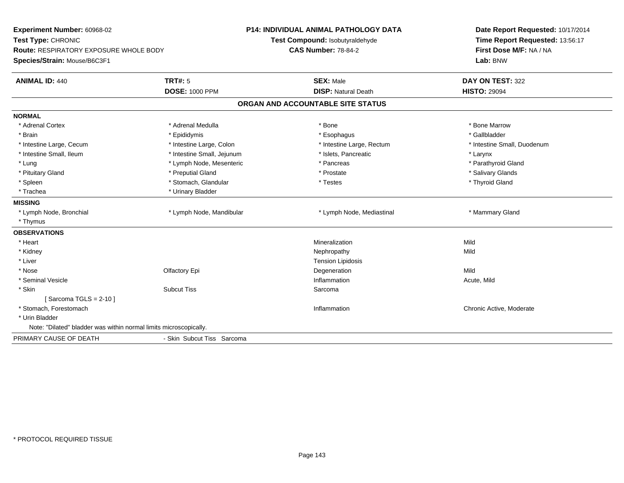| Experiment Number: 60968-02<br>Test Type: CHRONIC<br><b>Route: RESPIRATORY EXPOSURE WHOLE BODY</b><br>Species/Strain: Mouse/B6C3F1 |                            | P14: INDIVIDUAL ANIMAL PATHOLOGY DATA<br>Test Compound: Isobutyraldehyde<br><b>CAS Number: 78-84-2</b> | Date Report Requested: 10/17/2014<br>Time Report Requested: 13:56:17<br>First Dose M/F: NA / NA<br>Lab: BNW |  |
|------------------------------------------------------------------------------------------------------------------------------------|----------------------------|--------------------------------------------------------------------------------------------------------|-------------------------------------------------------------------------------------------------------------|--|
| <b>ANIMAL ID: 440</b>                                                                                                              | <b>TRT#: 5</b>             | <b>SEX: Male</b>                                                                                       | DAY ON TEST: 322                                                                                            |  |
|                                                                                                                                    | <b>DOSE: 1000 PPM</b>      | <b>DISP: Natural Death</b>                                                                             | <b>HISTO: 29094</b>                                                                                         |  |
|                                                                                                                                    |                            | ORGAN AND ACCOUNTABLE SITE STATUS                                                                      |                                                                                                             |  |
| <b>NORMAL</b>                                                                                                                      |                            |                                                                                                        |                                                                                                             |  |
| * Adrenal Cortex                                                                                                                   | * Adrenal Medulla          | * Bone                                                                                                 | * Bone Marrow                                                                                               |  |
| * Brain                                                                                                                            | * Epididymis               | * Esophagus                                                                                            | * Gallbladder                                                                                               |  |
| * Intestine Large, Cecum                                                                                                           | * Intestine Large, Colon   | * Intestine Large, Rectum                                                                              | * Intestine Small, Duodenum                                                                                 |  |
| * Intestine Small, Ileum                                                                                                           | * Intestine Small, Jejunum | * Islets, Pancreatic                                                                                   | * Larynx                                                                                                    |  |
| * Lung                                                                                                                             | * Lymph Node, Mesenteric   | * Pancreas                                                                                             | * Parathyroid Gland                                                                                         |  |
| * Pituitary Gland                                                                                                                  | * Preputial Gland          | * Prostate                                                                                             | * Salivary Glands                                                                                           |  |
| * Spleen                                                                                                                           | * Stomach, Glandular       | * Testes                                                                                               | * Thyroid Gland                                                                                             |  |
| * Trachea                                                                                                                          | * Urinary Bladder          |                                                                                                        |                                                                                                             |  |
| <b>MISSING</b>                                                                                                                     |                            |                                                                                                        |                                                                                                             |  |
| * Lymph Node, Bronchial                                                                                                            | * Lymph Node, Mandibular   | * Lymph Node, Mediastinal                                                                              | * Mammary Gland                                                                                             |  |
| * Thymus                                                                                                                           |                            |                                                                                                        |                                                                                                             |  |
| <b>OBSERVATIONS</b>                                                                                                                |                            |                                                                                                        |                                                                                                             |  |
| * Heart                                                                                                                            |                            | Mineralization                                                                                         | Mild                                                                                                        |  |
| * Kidney                                                                                                                           |                            | Nephropathy                                                                                            | Mild                                                                                                        |  |
| * Liver                                                                                                                            |                            | <b>Tension Lipidosis</b>                                                                               |                                                                                                             |  |
| * Nose                                                                                                                             | Olfactory Epi              | Degeneration                                                                                           | Mild                                                                                                        |  |
| * Seminal Vesicle                                                                                                                  |                            | Inflammation                                                                                           | Acute, Mild                                                                                                 |  |
| * Skin                                                                                                                             | <b>Subcut Tiss</b>         | Sarcoma                                                                                                |                                                                                                             |  |
| [Sarcoma TGLS = $2-10$ ]                                                                                                           |                            |                                                                                                        |                                                                                                             |  |
| * Stomach, Forestomach                                                                                                             |                            | Inflammation                                                                                           | Chronic Active, Moderate                                                                                    |  |
| * Urin Bladder                                                                                                                     |                            |                                                                                                        |                                                                                                             |  |
| Note: "Dilated" bladder was within normal limits microscopically.                                                                  |                            |                                                                                                        |                                                                                                             |  |
| PRIMARY CAUSE OF DEATH                                                                                                             | - Skin Subcut Tiss Sarcoma |                                                                                                        |                                                                                                             |  |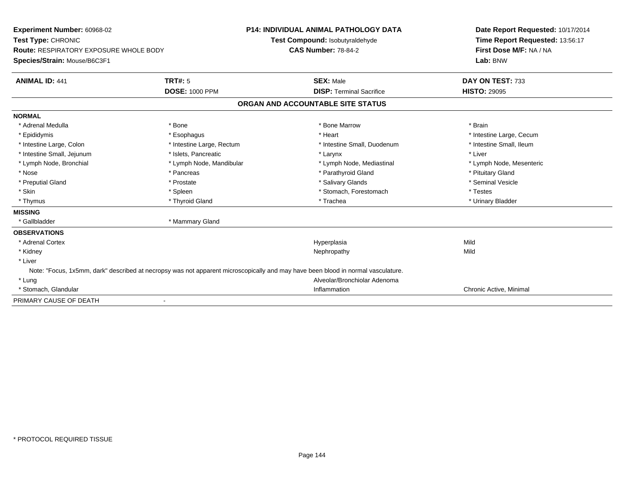| <b>Experiment Number: 60968-02</b><br>Test Type: CHRONIC<br><b>Route: RESPIRATORY EXPOSURE WHOLE BODY</b><br>Species/Strain: Mouse/B6C3F1 |                           | <b>P14: INDIVIDUAL ANIMAL PATHOLOGY DATA</b><br>Test Compound: Isobutyraldehyde<br><b>CAS Number: 78-84-2</b>                    | Date Report Requested: 10/17/2014<br>Time Report Requested: 13:56:17<br>First Dose M/F: NA / NA<br>Lab: BNW |
|-------------------------------------------------------------------------------------------------------------------------------------------|---------------------------|----------------------------------------------------------------------------------------------------------------------------------|-------------------------------------------------------------------------------------------------------------|
| <b>ANIMAL ID: 441</b>                                                                                                                     | TRT#: 5                   | <b>SEX: Male</b>                                                                                                                 | DAY ON TEST: 733                                                                                            |
|                                                                                                                                           | <b>DOSE: 1000 PPM</b>     | <b>DISP: Terminal Sacrifice</b>                                                                                                  | <b>HISTO: 29095</b>                                                                                         |
|                                                                                                                                           |                           | ORGAN AND ACCOUNTABLE SITE STATUS                                                                                                |                                                                                                             |
| <b>NORMAL</b>                                                                                                                             |                           |                                                                                                                                  |                                                                                                             |
| * Adrenal Medulla                                                                                                                         | * Bone                    | * Bone Marrow                                                                                                                    | * Brain                                                                                                     |
| * Epididymis                                                                                                                              | * Esophagus               | * Heart                                                                                                                          | * Intestine Large, Cecum                                                                                    |
| * Intestine Large, Colon                                                                                                                  | * Intestine Large, Rectum | * Intestine Small, Duodenum                                                                                                      | * Intestine Small, Ileum                                                                                    |
| * Intestine Small, Jejunum                                                                                                                | * Islets, Pancreatic      | * Larynx                                                                                                                         | * Liver                                                                                                     |
| * Lymph Node, Bronchial                                                                                                                   | * Lymph Node, Mandibular  | * Lymph Node, Mediastinal                                                                                                        | * Lymph Node, Mesenteric                                                                                    |
| * Nose                                                                                                                                    | * Pancreas                | * Parathyroid Gland                                                                                                              | * Pituitary Gland                                                                                           |
| * Preputial Gland                                                                                                                         | * Prostate                | * Salivary Glands                                                                                                                | * Seminal Vesicle                                                                                           |
| * Skin                                                                                                                                    | * Spleen                  | * Stomach, Forestomach                                                                                                           | * Testes                                                                                                    |
| * Thymus                                                                                                                                  | * Thyroid Gland           | * Trachea                                                                                                                        | * Urinary Bladder                                                                                           |
| <b>MISSING</b>                                                                                                                            |                           |                                                                                                                                  |                                                                                                             |
| * Gallbladder                                                                                                                             | * Mammary Gland           |                                                                                                                                  |                                                                                                             |
| <b>OBSERVATIONS</b>                                                                                                                       |                           |                                                                                                                                  |                                                                                                             |
| * Adrenal Cortex                                                                                                                          |                           | Hyperplasia                                                                                                                      | Mild                                                                                                        |
| * Kidney                                                                                                                                  |                           | Nephropathy                                                                                                                      | Mild                                                                                                        |
| * Liver                                                                                                                                   |                           |                                                                                                                                  |                                                                                                             |
|                                                                                                                                           |                           | Note: "Focus, 1x5mm, dark" described at necropsy was not apparent microscopically and may have been blood in normal vasculature. |                                                                                                             |
| * Lung                                                                                                                                    |                           | Alveolar/Bronchiolar Adenoma                                                                                                     |                                                                                                             |
| * Stomach, Glandular                                                                                                                      |                           | Inflammation                                                                                                                     | Chronic Active, Minimal                                                                                     |
| PRIMARY CAUSE OF DEATH                                                                                                                    |                           |                                                                                                                                  |                                                                                                             |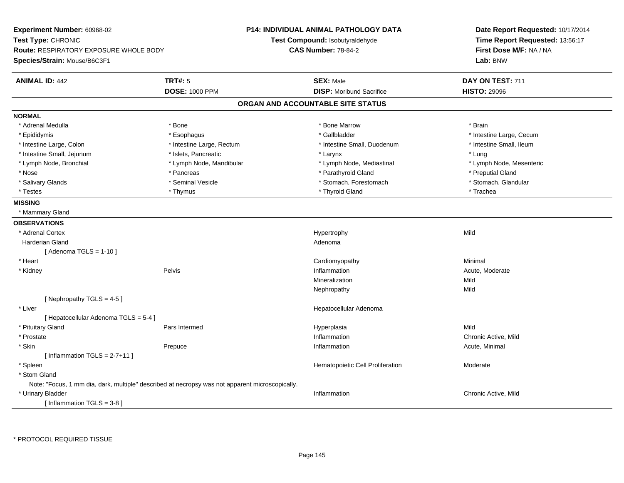**Experiment Number:** 60968-02**Test Type:** CHRONIC **Route:** RESPIRATORY EXPOSURE WHOLE BODY**Species/Strain:** Mouse/B6C3F1**P14: INDIVIDUAL ANIMAL PATHOLOGY DATATest Compound:** Isobutyraldehyde**CAS Number:** 78-84-2**Date Report Requested:** 10/17/2014**Time Report Requested:** 13:56:17**First Dose M/F:** NA / NA**Lab:** BNW**ANIMAL ID:** 442 **TRT#:** <sup>5</sup> **SEX:** Male **DAY ON TEST:** <sup>711</sup> **DOSE:** 1000 PPM**DISP:** Moribund Sacrifice **HISTO:** 29096 **ORGAN AND ACCOUNTABLE SITE STATUSNORMAL**\* Adrenal Medulla \* \* Annual Medulla \* Brain \* Bone \* \* Bone Marrow \* Bone Marrow \* \* Brain \* Brain \* Brain \* Brain \* Brain \* Brain \* Brain \* Brain \* Brain \* Brain \* Brain \* Brain \* Brain \* Brain \* Brain \* Brain \* Brain \* \* Epididymis **\* Exophagus \* Execument \* Execument \* Gallbladder** \* Gallbladder \* \* Thtestine Large, Cecum \* Intestine Small. Ileum \* Intestine Large, Colon \* Intestine Large, Rectum \* Intestine Small, Duodenum \* 1 \* Intestine Small, Jejunum \* \* 19ets, Pancreatic \* Larynx \* Larynx \* Larynx \* Larynx \* Lung \* Lymph Node, Mesenteric \* Lymph Node, Bronchial \* Lymph Node, Mandibular \* Lymph Node, Mediastinal \* Lymph Node, Mediastinal \* Nose \* Pancreas \* Parathyroid Gland \* Preputial Gland \* Stomach. Glandular \* Salivary Glands \* Seminal Vesicle \* Seminal Vesicle \* \* Stomach, Forestomach \* Stomach, Forestomach \* Testes \* Thymus \* Thyroid Gland \* Trachea **MISSING** \* Mammary Gland**OBSERVATIONS** \* Adrenal Cortexx and the control of the control of the control of the Hypertrophy control of the control of the control of the control of the control of the control of the control of the control of the control of the control of the contr Harderian Glandd and a state of the control of the control of the control of the control of the control of the control of the control of the control of the control of the control of the control of the control of the control of the contro  $[$  Adenoma TGLS = 1-10  $]$  \* Heart Cardiomyopathy Minimal \* Kidneyy the contract of the Pelvis and the Pelvis and the contract of the contract of the person of the contract of the contract of the contract of the contract of the contract of the contract of the contract of the contract of Inflammation **Acute, Moderate**<br>
Mineralization **Mild** Mineralizationn Mild Nephropathyy Mild  $[$  Nephropathy TGLS = 4-5  $]$  \* Liver Hepatocellular Adenoma[ Hepatocellular Adenoma TGLS = 5-4 ] \* Pituitary Gland Pars Intermed Hyperplasia Mild \* Prostatee the contractive of the contraction of the contraction of the contraction of the chronic Active, Mild \* Skinn and the prepuce of the contract of the contract of the contract of the prepublic of the Prepuce of the Prepu<br>Inflammation and the contract of the contract of the contract of the contract of the contract of the contract o  $[$  Inflammation TGLS = 2-7+11  $]$  \* SpleenHematopoietic Cell Proliferation Moderate \* Stom Gland Note: "Focus, 1 mm dia, dark, multiple" described at necropsy was not apparent microscopically. \* Urinary Bladderr and the control of the control of the control of the control of the control of the control of the control of Chronic Active, Mild [ Inflammation TGLS = 3-8 ]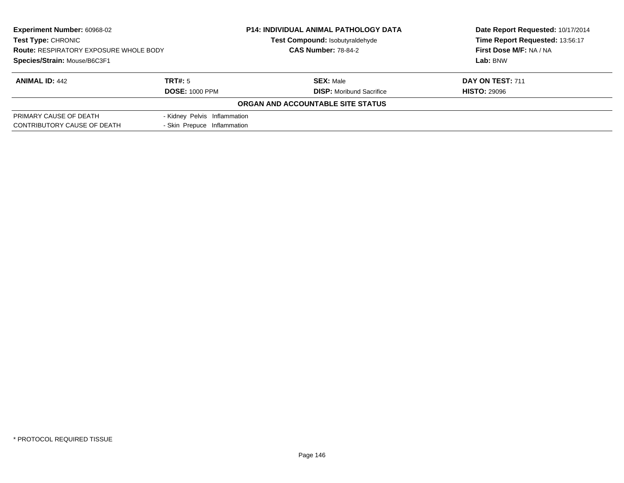| <b>Experiment Number: 60968-02</b><br>Test Type: CHRONIC<br><b>Route: RESPIRATORY EXPOSURE WHOLE BODY</b><br>Species/Strain: Mouse/B6C3F1 |                              | <b>P14: INDIVIDUAL ANIMAL PATHOLOGY DATA</b><br>Test Compound: Isobutyraldehyde<br><b>CAS Number: 78-84-2</b> | Date Report Requested: 10/17/2014<br>Time Report Requested: 13:56:17<br>First Dose M/F: NA / NA |  |  |
|-------------------------------------------------------------------------------------------------------------------------------------------|------------------------------|---------------------------------------------------------------------------------------------------------------|-------------------------------------------------------------------------------------------------|--|--|
|                                                                                                                                           |                              |                                                                                                               | Lab: BNW                                                                                        |  |  |
| <b>ANIMAL ID: 442</b>                                                                                                                     | TRT#: 5                      | <b>SEX: Male</b>                                                                                              | DAY ON TEST: 711                                                                                |  |  |
|                                                                                                                                           | <b>DOSE: 1000 PPM</b>        | <b>DISP:</b> Moribund Sacrifice                                                                               | <b>HISTO: 29096</b>                                                                             |  |  |
|                                                                                                                                           |                              | ORGAN AND ACCOUNTABLE SITE STATUS                                                                             |                                                                                                 |  |  |
| PRIMARY CAUSE OF DEATH                                                                                                                    | - Kidney Pelvis Inflammation |                                                                                                               |                                                                                                 |  |  |
| CONTRIBUTORY CAUSE OF DEATH                                                                                                               | - Skin Prepuce Inflammation  |                                                                                                               |                                                                                                 |  |  |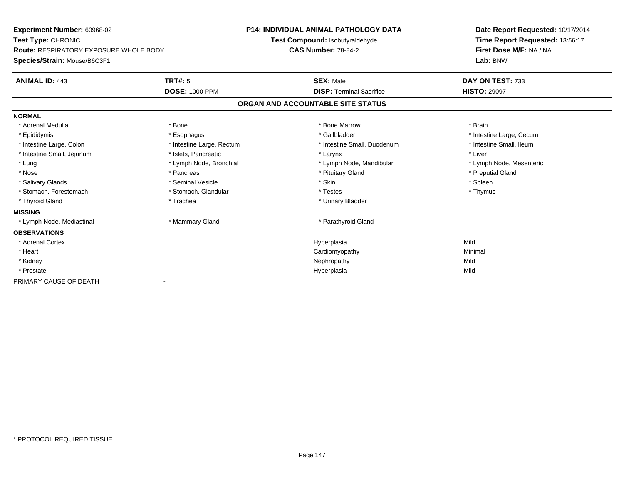| <b>Experiment Number: 60968-02</b><br>Test Type: CHRONIC<br><b>Route: RESPIRATORY EXPOSURE WHOLE BODY</b> |                           | <b>P14: INDIVIDUAL ANIMAL PATHOLOGY DATA</b><br>Test Compound: Isobutyraldehyde<br><b>CAS Number: 78-84-2</b> |                                 |  | Date Report Requested: 10/17/2014<br>Time Report Requested: 13:56:17<br>First Dose M/F: NA / NA |  |  |
|-----------------------------------------------------------------------------------------------------------|---------------------------|---------------------------------------------------------------------------------------------------------------|---------------------------------|--|-------------------------------------------------------------------------------------------------|--|--|
| Species/Strain: Mouse/B6C3F1                                                                              |                           |                                                                                                               |                                 |  | Lab: BNW                                                                                        |  |  |
| <b>ANIMAL ID: 443</b>                                                                                     | TRT#: 5                   |                                                                                                               | <b>SEX: Male</b>                |  | DAY ON TEST: 733                                                                                |  |  |
|                                                                                                           | <b>DOSE: 1000 PPM</b>     |                                                                                                               | <b>DISP: Terminal Sacrifice</b> |  | <b>HISTO: 29097</b>                                                                             |  |  |
|                                                                                                           |                           | ORGAN AND ACCOUNTABLE SITE STATUS                                                                             |                                 |  |                                                                                                 |  |  |
| <b>NORMAL</b>                                                                                             |                           |                                                                                                               |                                 |  |                                                                                                 |  |  |
| * Adrenal Medulla                                                                                         | * Bone                    |                                                                                                               | * Bone Marrow                   |  | * Brain                                                                                         |  |  |
| * Epididymis                                                                                              | * Esophagus               |                                                                                                               | * Gallbladder                   |  | * Intestine Large, Cecum                                                                        |  |  |
| * Intestine Large, Colon                                                                                  | * Intestine Large, Rectum |                                                                                                               | * Intestine Small, Duodenum     |  | * Intestine Small, Ileum                                                                        |  |  |
| * Intestine Small, Jejunum                                                                                | * Islets, Pancreatic      |                                                                                                               | * Larynx                        |  | * Liver                                                                                         |  |  |
| * Lung                                                                                                    | * Lymph Node, Bronchial   |                                                                                                               | * Lymph Node, Mandibular        |  | * Lymph Node, Mesenteric                                                                        |  |  |
| * Nose                                                                                                    | * Pancreas                |                                                                                                               | * Pituitary Gland               |  | * Preputial Gland                                                                               |  |  |
| * Salivary Glands                                                                                         | * Seminal Vesicle         |                                                                                                               | * Skin                          |  | * Spleen                                                                                        |  |  |
| * Stomach, Forestomach                                                                                    | * Stomach, Glandular      |                                                                                                               | * Testes                        |  | * Thymus                                                                                        |  |  |
| * Thyroid Gland                                                                                           | * Trachea                 |                                                                                                               | * Urinary Bladder               |  |                                                                                                 |  |  |
| <b>MISSING</b>                                                                                            |                           |                                                                                                               |                                 |  |                                                                                                 |  |  |
| * Lymph Node, Mediastinal                                                                                 | * Mammary Gland           |                                                                                                               | * Parathyroid Gland             |  |                                                                                                 |  |  |
| <b>OBSERVATIONS</b>                                                                                       |                           |                                                                                                               |                                 |  |                                                                                                 |  |  |
| * Adrenal Cortex                                                                                          |                           |                                                                                                               | Hyperplasia                     |  | Mild                                                                                            |  |  |
| * Heart                                                                                                   |                           |                                                                                                               | Cardiomyopathy                  |  | Minimal                                                                                         |  |  |
| * Kidney                                                                                                  |                           |                                                                                                               | Nephropathy                     |  | Mild                                                                                            |  |  |
| * Prostate                                                                                                |                           |                                                                                                               | Hyperplasia                     |  | Mild                                                                                            |  |  |
| PRIMARY CAUSE OF DEATH                                                                                    |                           |                                                                                                               |                                 |  |                                                                                                 |  |  |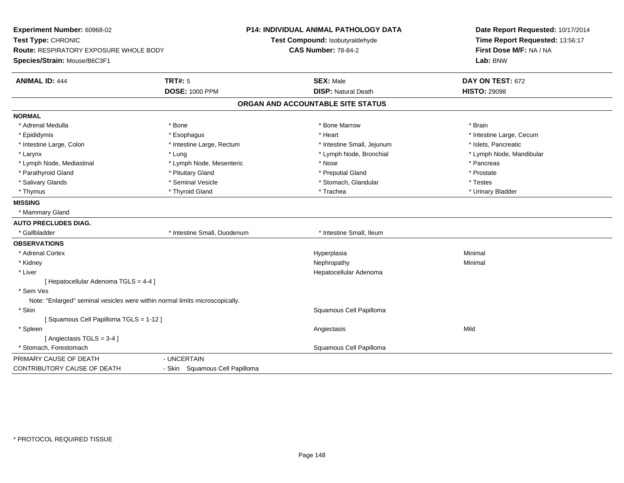**Experiment Number:** 60968-02**Test Type:** CHRONIC **Route:** RESPIRATORY EXPOSURE WHOLE BODY**Species/Strain:** Mouse/B6C3F1**P14: INDIVIDUAL ANIMAL PATHOLOGY DATATest Compound:** Isobutyraldehyde**CAS Number:** 78-84-2**Date Report Requested:** 10/17/2014**Time Report Requested:** 13:56:17**First Dose M/F:** NA / NA**Lab:** BNW**ANIMAL ID:** 444 **TRT#:** <sup>5</sup> **SEX:** Male **DAY ON TEST:** <sup>672</sup> **DOSE:** 1000 PPM**DISP:** Natural Death **HISTO:** 29098 **ORGAN AND ACCOUNTABLE SITE STATUSNORMAL**\* Adrenal Medulla \* \* Annual Medulla \* Brain \* Bone \* \* Bone Marrow \* Bone Marrow \* \* Brain \* Brain \* Brain \* Brain \* Brain \* Brain \* Brain \* Brain \* Brain \* Brain \* Brain \* Brain \* Brain \* Brain \* Brain \* Brain \* Brain \* \* Epididymis **Account 19 and 19 and 19 and 19 and 19 and 19 and 19 and 19 and 19 and 19 and 19 and 19 and 19 and 19 and 19 and 19 and 19 and 19 and 19 and 19 and 19 and 19 and 19 and 19 and 19 and 19 and 19 and 19 and 19 a**  \* Intestine Large, Colon \* Intestine Large, Rectum \* Intestine Small, Jejunum \* Islets, Pancreatic\* Larynx \* Lung \* Lymph Node, Bronchial \* Lymph Node, Mandibular \* Lymph Node, Mediastinal \* The state of the second text of the second text of the second text of the second text of the second of the second text of the second text of the second text of the second text of the second text \* Prostate \* Parathyroid Gland \* **All and \* Pituitary Gland \* Prostate and \* Preputial Gland** \* Preputial Gland \* Testes \* Salivary Glands \* Seminal Vesicle \* Seminal Vesicle \* Stomach, Glandular \* Stomach, Glandular \* Urinary Bladder \* Thymus \* Thyroid Gland \* Trachea \* Urinary Bladder \* **MISSING** \* Mammary Gland**AUTO PRECLUDES DIAG.** \* Gallbladder \* Intestine Small, Duodenum \* Intestine Small, Ileum**OBSERVATIONS** \* Adrenal Cortexx and the control of the control of the control of the control of the control of the control of the control of the control of the control of the control of the control of the control of the control of the control of the co a **Minimal**  \* Kidneyy the control of the control of the control of the control of the control of the control of the control of the control of the control of the control of the control of the control of the control of the control of the contro \* Liver Hepatocellular Adenoma[ Hepatocellular Adenoma TGLS = 4-4 ] \* Sem Ves Note: "Enlarged" seminal vesicles were within normal limits microscopically. \* Skin Squamous Cell Papilloma [ Squamous Cell Papilloma TGLS = 1-12 ] \* Spleenn and the control of the control of the control of the control of the control of the control of the control of the control of the control of the control of the control of the control of the control of the control of the co [ Angiectasis TGLS = 3-4 ] \* Stomach, Forestomach Squamous Cell Papilloma PRIMARY CAUSE OF DEATH - UNCERTAIN CONTRIBUTORY CAUSE OF DEATH- Skin Squamous Cell Papilloma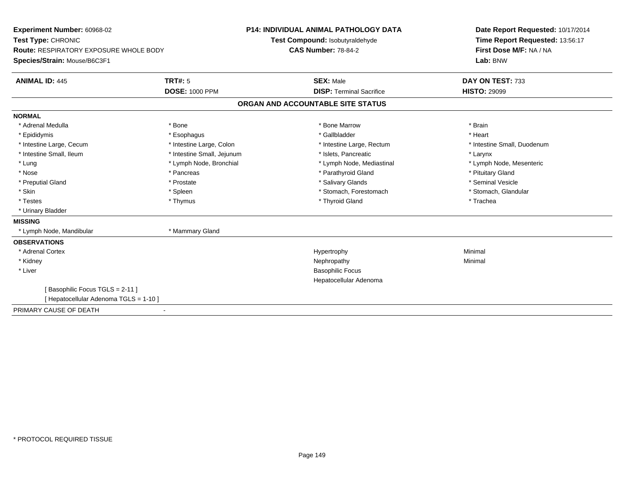| Experiment Number: 60968-02                   |                            | <b>P14: INDIVIDUAL ANIMAL PATHOLOGY DATA</b> |                                   |  | Date Report Requested: 10/17/2014 |  |
|-----------------------------------------------|----------------------------|----------------------------------------------|-----------------------------------|--|-----------------------------------|--|
| Test Type: CHRONIC                            |                            |                                              | Test Compound: Isobutyraldehyde   |  | Time Report Requested: 13:56:17   |  |
| <b>Route: RESPIRATORY EXPOSURE WHOLE BODY</b> |                            |                                              | <b>CAS Number: 78-84-2</b>        |  | First Dose M/F: NA / NA           |  |
| Species/Strain: Mouse/B6C3F1                  |                            |                                              |                                   |  | Lab: BNW                          |  |
| <b>ANIMAL ID: 445</b>                         | <b>TRT#: 5</b>             |                                              | <b>SEX: Male</b>                  |  | DAY ON TEST: 733                  |  |
|                                               | <b>DOSE: 1000 PPM</b>      |                                              | <b>DISP: Terminal Sacrifice</b>   |  | <b>HISTO: 29099</b>               |  |
|                                               |                            |                                              | ORGAN AND ACCOUNTABLE SITE STATUS |  |                                   |  |
| <b>NORMAL</b>                                 |                            |                                              |                                   |  |                                   |  |
| * Adrenal Medulla                             | * Bone                     |                                              | * Bone Marrow                     |  | * Brain                           |  |
| * Epididymis                                  | * Esophagus                |                                              | * Gallbladder                     |  | * Heart                           |  |
| * Intestine Large, Cecum                      | * Intestine Large, Colon   |                                              | * Intestine Large, Rectum         |  | * Intestine Small, Duodenum       |  |
| * Intestine Small, Ileum                      | * Intestine Small, Jejunum |                                              | * Islets. Pancreatic              |  | * Larynx                          |  |
| * Lung                                        | * Lymph Node, Bronchial    |                                              | * Lymph Node, Mediastinal         |  | * Lymph Node, Mesenteric          |  |
| * Nose                                        | * Pancreas                 |                                              | * Parathyroid Gland               |  | * Pituitary Gland                 |  |
| * Preputial Gland                             | * Prostate                 |                                              | * Salivary Glands                 |  | * Seminal Vesicle                 |  |
| * Skin                                        | * Spleen                   |                                              | * Stomach, Forestomach            |  | * Stomach, Glandular              |  |
| * Testes                                      | * Thymus                   |                                              | * Thyroid Gland                   |  | * Trachea                         |  |
| * Urinary Bladder                             |                            |                                              |                                   |  |                                   |  |
| <b>MISSING</b>                                |                            |                                              |                                   |  |                                   |  |
| * Lymph Node, Mandibular                      | * Mammary Gland            |                                              |                                   |  |                                   |  |
| <b>OBSERVATIONS</b>                           |                            |                                              |                                   |  |                                   |  |
| * Adrenal Cortex                              |                            |                                              | Hypertrophy                       |  | Minimal                           |  |
| * Kidney                                      |                            |                                              | Nephropathy                       |  | Minimal                           |  |
| * Liver                                       |                            |                                              | <b>Basophilic Focus</b>           |  |                                   |  |
|                                               |                            |                                              | Hepatocellular Adenoma            |  |                                   |  |
| [Basophilic Focus TGLS = 2-11]                |                            |                                              |                                   |  |                                   |  |
| [ Hepatocellular Adenoma TGLS = 1-10 ]        |                            |                                              |                                   |  |                                   |  |
| PRIMARY CAUSE OF DEATH                        |                            |                                              |                                   |  |                                   |  |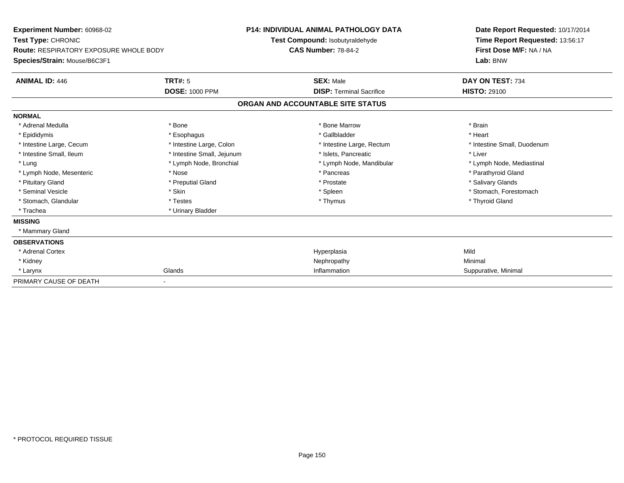| <b>Experiment Number: 60968-02</b><br>Test Type: CHRONIC<br>Route: RESPIRATORY EXPOSURE WHOLE BODY<br>Species/Strain: Mouse/B6C3F1 |                            | <b>P14: INDIVIDUAL ANIMAL PATHOLOGY DATA</b><br>Test Compound: Isobutyraldehyde<br><b>CAS Number: 78-84-2</b> |                                   | Date Report Requested: 10/17/2014<br>Time Report Requested: 13:56:17<br>First Dose M/F: NA / NA<br>Lab: BNW |  |  |
|------------------------------------------------------------------------------------------------------------------------------------|----------------------------|---------------------------------------------------------------------------------------------------------------|-----------------------------------|-------------------------------------------------------------------------------------------------------------|--|--|
|                                                                                                                                    |                            |                                                                                                               |                                   |                                                                                                             |  |  |
| <b>ANIMAL ID: 446</b>                                                                                                              | <b>TRT#: 5</b>             |                                                                                                               | <b>SEX: Male</b>                  | DAY ON TEST: 734                                                                                            |  |  |
|                                                                                                                                    | <b>DOSE: 1000 PPM</b>      |                                                                                                               | <b>DISP: Terminal Sacrifice</b>   | <b>HISTO: 29100</b>                                                                                         |  |  |
|                                                                                                                                    |                            |                                                                                                               | ORGAN AND ACCOUNTABLE SITE STATUS |                                                                                                             |  |  |
| <b>NORMAL</b>                                                                                                                      |                            |                                                                                                               |                                   |                                                                                                             |  |  |
| * Adrenal Medulla                                                                                                                  | * Bone                     |                                                                                                               | * Bone Marrow                     | * Brain                                                                                                     |  |  |
| * Epididymis                                                                                                                       | * Esophagus                |                                                                                                               | * Gallbladder                     | * Heart                                                                                                     |  |  |
| * Intestine Large, Cecum                                                                                                           | * Intestine Large, Colon   |                                                                                                               | * Intestine Large, Rectum         | * Intestine Small, Duodenum                                                                                 |  |  |
| * Intestine Small, Ileum                                                                                                           | * Intestine Small, Jejunum |                                                                                                               | * Islets, Pancreatic              | * Liver                                                                                                     |  |  |
| * Lung                                                                                                                             | * Lymph Node, Bronchial    |                                                                                                               | * Lymph Node, Mandibular          | * Lymph Node, Mediastinal                                                                                   |  |  |
| * Lymph Node, Mesenteric                                                                                                           | * Nose                     |                                                                                                               | * Pancreas                        | * Parathyroid Gland                                                                                         |  |  |
| * Pituitary Gland                                                                                                                  | * Preputial Gland          |                                                                                                               | * Prostate                        | * Salivary Glands                                                                                           |  |  |
| * Seminal Vesicle                                                                                                                  | * Skin                     |                                                                                                               | * Spleen                          | * Stomach, Forestomach                                                                                      |  |  |
| * Stomach, Glandular                                                                                                               | * Testes                   |                                                                                                               | * Thymus                          | * Thyroid Gland                                                                                             |  |  |
| * Trachea                                                                                                                          | * Urinary Bladder          |                                                                                                               |                                   |                                                                                                             |  |  |
| <b>MISSING</b>                                                                                                                     |                            |                                                                                                               |                                   |                                                                                                             |  |  |
| * Mammary Gland                                                                                                                    |                            |                                                                                                               |                                   |                                                                                                             |  |  |
| <b>OBSERVATIONS</b>                                                                                                                |                            |                                                                                                               |                                   |                                                                                                             |  |  |
| * Adrenal Cortex                                                                                                                   |                            |                                                                                                               | Hyperplasia                       | Mild                                                                                                        |  |  |
| * Kidney                                                                                                                           |                            |                                                                                                               | Nephropathy                       | Minimal                                                                                                     |  |  |
| * Larynx                                                                                                                           | Glands                     |                                                                                                               | Inflammation                      | Suppurative, Minimal                                                                                        |  |  |
| PRIMARY CAUSE OF DEATH                                                                                                             |                            |                                                                                                               |                                   |                                                                                                             |  |  |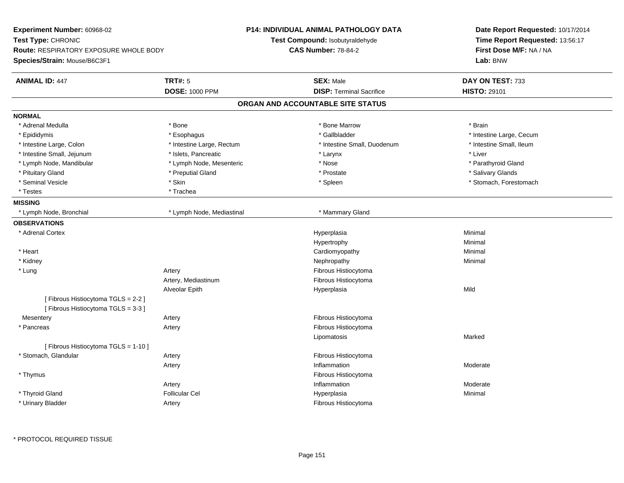| Experiment Number: 60968-02                   |                           | <b>P14: INDIVIDUAL ANIMAL PATHOLOGY DATA</b> | Date Report Requested: 10/17/2014<br>Time Report Requested: 13:56:17<br>First Dose M/F: NA / NA |  |  |
|-----------------------------------------------|---------------------------|----------------------------------------------|-------------------------------------------------------------------------------------------------|--|--|
| Test Type: CHRONIC                            |                           | Test Compound: Isobutyraldehyde              |                                                                                                 |  |  |
| <b>Route: RESPIRATORY EXPOSURE WHOLE BODY</b> |                           | <b>CAS Number: 78-84-2</b>                   |                                                                                                 |  |  |
| Species/Strain: Mouse/B6C3F1                  |                           |                                              | Lab: BNW                                                                                        |  |  |
| <b>ANIMAL ID: 447</b>                         | <b>TRT#: 5</b>            | <b>SEX: Male</b>                             | DAY ON TEST: 733                                                                                |  |  |
|                                               | <b>DOSE: 1000 PPM</b>     | <b>DISP: Terminal Sacrifice</b>              | <b>HISTO: 29101</b>                                                                             |  |  |
|                                               |                           | ORGAN AND ACCOUNTABLE SITE STATUS            |                                                                                                 |  |  |
| <b>NORMAL</b>                                 |                           |                                              |                                                                                                 |  |  |
| * Adrenal Medulla                             | * Bone                    | * Bone Marrow                                | * Brain                                                                                         |  |  |
| * Epididymis                                  | * Esophagus               | * Gallbladder                                | * Intestine Large, Cecum                                                                        |  |  |
| * Intestine Large, Colon                      | * Intestine Large, Rectum | * Intestine Small, Duodenum                  | * Intestine Small, Ileum                                                                        |  |  |
| * Intestine Small, Jejunum                    | * Islets, Pancreatic      | * Larynx                                     | * Liver                                                                                         |  |  |
| * Lymph Node, Mandibular                      | * Lymph Node, Mesenteric  | * Nose                                       | * Parathyroid Gland                                                                             |  |  |
| * Pituitary Gland                             | * Preputial Gland         | * Prostate                                   | * Salivary Glands                                                                               |  |  |
| * Seminal Vesicle                             | * Skin                    | * Spleen                                     | * Stomach, Forestomach                                                                          |  |  |
| * Testes                                      | * Trachea                 |                                              |                                                                                                 |  |  |
| <b>MISSING</b>                                |                           |                                              |                                                                                                 |  |  |
| * Lymph Node, Bronchial                       | * Lymph Node, Mediastinal | * Mammary Gland                              |                                                                                                 |  |  |
| <b>OBSERVATIONS</b>                           |                           |                                              |                                                                                                 |  |  |
| * Adrenal Cortex                              |                           | Hyperplasia                                  | Minimal                                                                                         |  |  |
|                                               |                           | Hypertrophy                                  | Minimal                                                                                         |  |  |
| * Heart                                       |                           | Cardiomyopathy                               | Minimal                                                                                         |  |  |
| * Kidney                                      |                           | Nephropathy                                  | Minimal                                                                                         |  |  |
| * Lung                                        | Artery                    | Fibrous Histiocytoma                         |                                                                                                 |  |  |
|                                               | Artery, Mediastinum       | Fibrous Histiocytoma                         |                                                                                                 |  |  |
|                                               | Alveolar Epith            | Hyperplasia                                  | Mild                                                                                            |  |  |
| [Fibrous Histiocytoma TGLS = 2-2]             |                           |                                              |                                                                                                 |  |  |
| [Fibrous Histiocytoma TGLS = 3-3]             |                           |                                              |                                                                                                 |  |  |
| Mesentery                                     | Artery                    | Fibrous Histiocytoma                         |                                                                                                 |  |  |
| * Pancreas                                    | Artery                    | Fibrous Histiocytoma                         |                                                                                                 |  |  |
|                                               |                           | Lipomatosis                                  | Marked                                                                                          |  |  |
| [ Fibrous Histiocytoma TGLS = 1-10 ]          |                           |                                              |                                                                                                 |  |  |
| * Stomach, Glandular                          | Artery                    | Fibrous Histiocytoma                         |                                                                                                 |  |  |
|                                               | Artery                    | Inflammation                                 | Moderate                                                                                        |  |  |
| * Thymus                                      |                           | Fibrous Histiocytoma                         |                                                                                                 |  |  |
|                                               | Artery                    | Inflammation                                 | Moderate                                                                                        |  |  |
| * Thyroid Gland                               | <b>Follicular Cel</b>     | Hyperplasia                                  | Minimal                                                                                         |  |  |
| * Urinary Bladder                             | Artery                    | Fibrous Histiocytoma                         |                                                                                                 |  |  |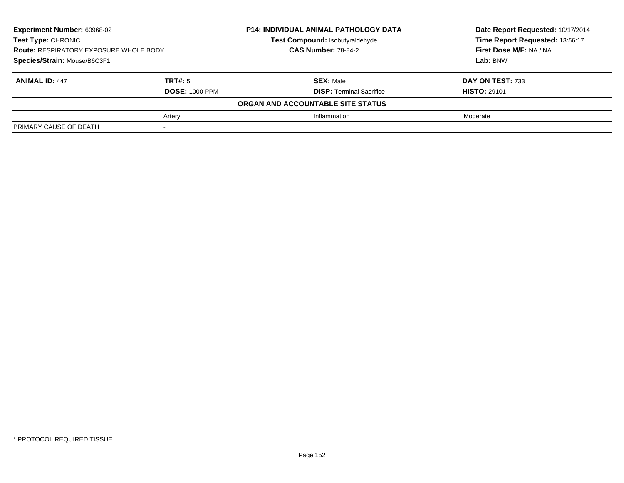| <b>Experiment Number: 60968-02</b>                                                                         |                       | <b>P14: INDIVIDUAL ANIMAL PATHOLOGY DATA</b> | Date Report Requested: 10/17/2014 |  |  |
|------------------------------------------------------------------------------------------------------------|-----------------------|----------------------------------------------|-----------------------------------|--|--|
| <b>Test Type: CHRONIC</b><br><b>Route: RESPIRATORY EXPOSURE WHOLE BODY</b><br>Species/Strain: Mouse/B6C3F1 |                       | Test Compound: Isobutyraldehyde              | Time Report Requested: 13:56:17   |  |  |
|                                                                                                            |                       | <b>CAS Number: 78-84-2</b>                   | First Dose M/F: NA / NA           |  |  |
|                                                                                                            |                       |                                              | Lab: BNW                          |  |  |
| <b>ANIMAL ID: 447</b>                                                                                      | TRT#: 5               | <b>SEX: Male</b>                             | DAY ON TEST: 733                  |  |  |
|                                                                                                            | <b>DOSE: 1000 PPM</b> | <b>DISP:</b> Terminal Sacrifice              | <b>HISTO: 29101</b>               |  |  |
|                                                                                                            |                       | ORGAN AND ACCOUNTABLE SITE STATUS            |                                   |  |  |
|                                                                                                            | Artery                | Inflammation                                 | Moderate                          |  |  |
| PRIMARY CAUSE OF DEATH                                                                                     |                       |                                              |                                   |  |  |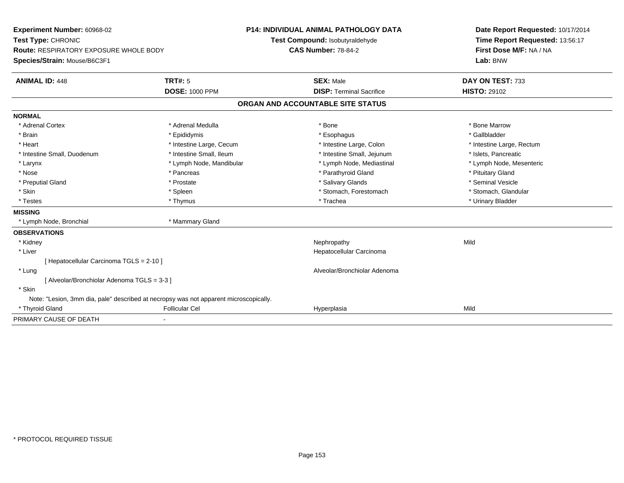| Experiment Number: 60968-02                                                           |                          | <b>P14: INDIVIDUAL ANIMAL PATHOLOGY DATA</b> | Date Report Requested: 10/17/2014 |
|---------------------------------------------------------------------------------------|--------------------------|----------------------------------------------|-----------------------------------|
| Test Type: CHRONIC                                                                    |                          | Test Compound: Isobutyraldehyde              | Time Report Requested: 13:56:17   |
| <b>Route: RESPIRATORY EXPOSURE WHOLE BODY</b>                                         |                          | <b>CAS Number: 78-84-2</b>                   | First Dose M/F: NA / NA           |
| Species/Strain: Mouse/B6C3F1                                                          |                          |                                              | Lab: BNW                          |
| <b>ANIMAL ID: 448</b>                                                                 | <b>TRT#: 5</b>           | <b>SEX: Male</b>                             | DAY ON TEST: 733                  |
|                                                                                       | <b>DOSE: 1000 PPM</b>    | <b>DISP: Terminal Sacrifice</b>              | <b>HISTO: 29102</b>               |
|                                                                                       |                          | ORGAN AND ACCOUNTABLE SITE STATUS            |                                   |
| <b>NORMAL</b>                                                                         |                          |                                              |                                   |
| * Adrenal Cortex                                                                      | * Adrenal Medulla        | * Bone                                       | * Bone Marrow                     |
| * Brain                                                                               | * Epididymis             | * Esophagus                                  | * Gallbladder                     |
| * Heart                                                                               | * Intestine Large, Cecum | * Intestine Large, Colon                     | * Intestine Large, Rectum         |
| * Intestine Small, Duodenum                                                           | * Intestine Small, Ileum | * Intestine Small, Jejunum                   | * Islets, Pancreatic              |
| * Larynx                                                                              | * Lymph Node, Mandibular | * Lymph Node, Mediastinal                    | * Lymph Node, Mesenteric          |
| * Nose                                                                                | * Pancreas               | * Parathyroid Gland                          | * Pituitary Gland                 |
| * Preputial Gland                                                                     | * Prostate               | * Salivary Glands                            | * Seminal Vesicle                 |
| * Skin                                                                                | * Spleen                 | * Stomach, Forestomach                       | * Stomach, Glandular              |
| * Testes                                                                              | * Thymus                 | * Trachea                                    | * Urinary Bladder                 |
| <b>MISSING</b>                                                                        |                          |                                              |                                   |
| * Lymph Node, Bronchial                                                               | * Mammary Gland          |                                              |                                   |
| <b>OBSERVATIONS</b>                                                                   |                          |                                              |                                   |
| * Kidney                                                                              |                          | Nephropathy                                  | Mild                              |
| * Liver                                                                               |                          | Hepatocellular Carcinoma                     |                                   |
| [ Hepatocellular Carcinoma TGLS = 2-10 ]                                              |                          |                                              |                                   |
| * Lung                                                                                |                          | Alveolar/Bronchiolar Adenoma                 |                                   |
| [ Alveolar/Bronchiolar Adenoma TGLS = 3-3 ]                                           |                          |                                              |                                   |
| * Skin                                                                                |                          |                                              |                                   |
| Note: "Lesion, 3mm dia, pale" described at necropsy was not apparent microscopically. |                          |                                              |                                   |
| * Thyroid Gland                                                                       | <b>Follicular Cel</b>    | Hyperplasia                                  | Mild                              |
| PPIUIDVA                                                                              |                          |                                              |                                   |

PRIMARY CAUSE OF DEATH-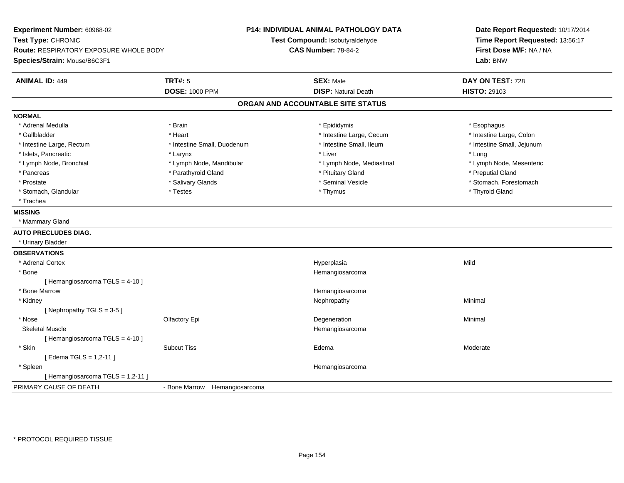**Experiment Number:** 60968-02**Test Type:** CHRONIC **Route:** RESPIRATORY EXPOSURE WHOLE BODY**Species/Strain:** Mouse/B6C3F1**P14: INDIVIDUAL ANIMAL PATHOLOGY DATATest Compound:** Isobutyraldehyde**CAS Number:** 78-84-2**Date Report Requested:** 10/17/2014**Time Report Requested:** 13:56:17**First Dose M/F:** NA / NA**Lab:** BNW**ANIMAL ID:** 449 **TRT#:** <sup>5</sup> **SEX:** Male **DAY ON TEST:** <sup>728</sup> **DOSE:** 1000 PPM**DISP:** Natural Death **HISTO:** 29103 **ORGAN AND ACCOUNTABLE SITE STATUSNORMAL**\* Adrenal Medulla \* Adrenal Medulla \* \* \* Brain \* \* Brain \* \* Brain \* \* Epididymis \* \* Epididymis \* \* \* Esophagus \* Esophagus \* Esophagus \* Intestine Large, Colon \* Gallbladder \* The mode of the text \* Heart \* Intestine Large, Cecum \* Intestine Large, Cecum \* Intestine Large, Cecum \* Intestine Large, Rectum \* Thestine Small, Duodenum \* Number of the small, Ileum \* Intestine Small, Jejunum \* Intestine Small, Jejunum \* Islets, Pancreatic \* \* \* Larynx \* Larynx \* Larynx \* Liver \* Liver \* Liver \* Larynx \* Lung \* Lymph Node, Mesenteric \* Lymph Node, Bronchial \* Lymph Node, Mandibular \* Lymph Node, Mediastinal \* Lymph Node, Mediastinal \* Pancreas \* \* Parathyroid Gland \* \* Parathyroid Gland \* \* Pituitary Gland \* \* Preputial Gland \* \* Preputial Gland \* Prostate \* The state \* Salivary Glands \* Seminal Vesicle \* Seminal Vesicle \* Stomach, Forestomach \* Stomach, Glandular \* Thestes \* Testes \* Thymus \* Thymus \* Thymus \* Thymus \* Thymus \* Thyroid Gland \* Trachea**MISSING** \* Mammary Gland**AUTO PRECLUDES DIAG.** \* Urinary Bladder**OBSERVATIONS** \* Adrenal Cortexx and the control of the control of the control of the control of the control of the control of the control of the control of the control of the control of the control of the control of the control of the control of the co a Mild \* Bone Hemangiosarcoma [ Hemangiosarcoma TGLS = 4-10 ] \* Bone Marroww the contract of the contract of the contract of the contract of the Hemangiosarcoma<br>The contract of the contract of the contract of the contract of the contract of the contract of the contract of \* Kidneyy the control of the control of the control of the control of the control of the control of the control of the control of the control of the control of the control of the control of the control of the control of the contro [ Nephropathy TGLS = 3-5 ] \* Nosee and the Colombia Colombia Degeneration and the Colombia Degeneration and the Colombia Minimal Minimal of Minimal State of the Colombia Degeneration and the Minimal Minimal of the Colombia Degeneration and the Colombia De Skeletal Muscle Hemangiosarcoma [ Hemangiosarcoma TGLS = 4-10 ] \* Skinn and the Subcut Tiss the Subcut of the Subcut Tiss of the Subcut Tiss of the Subcut Tiss of the Edema Moderate  $\sim$  Moderate  $\sim$  Moderate  $\sim$  Moderate  $\sim$  Moderate  $\sim$  Moderate  $\sim$  Moderate  $\sim$  Moderate  $\sim$  Moderat [ Edema TGLS = 1,2-11 ] \* Spleen Hemangiosarcoma [ Hemangiosarcoma TGLS = 1,2-11 ]PRIMARY CAUSE OF DEATH- Bone Marrow Hemangiosarcoma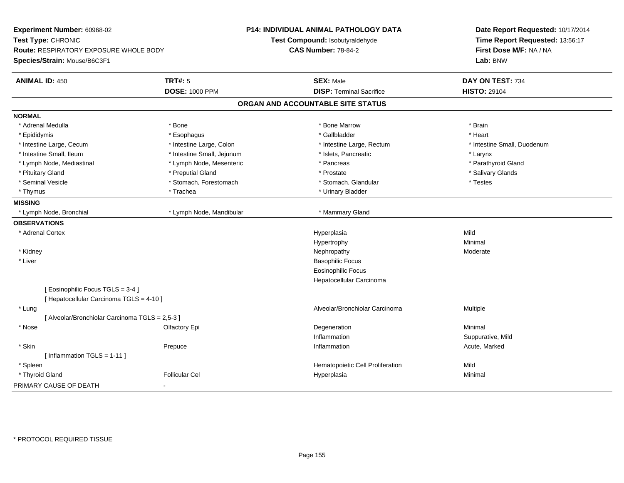| Experiment Number: 60968-02<br>Test Type: CHRONIC<br>Route: RESPIRATORY EXPOSURE WHOLE BODY<br>Species/Strain: Mouse/B6C3F1 | <b>P14: INDIVIDUAL ANIMAL PATHOLOGY DATA</b><br>Test Compound: Isobutyraldehyde<br><b>CAS Number: 78-84-2</b> | Date Report Requested: 10/17/2014<br>Time Report Requested: 13:56:17<br>First Dose M/F: NA / NA<br>Lab: BNW |  |
|-----------------------------------------------------------------------------------------------------------------------------|---------------------------------------------------------------------------------------------------------------|-------------------------------------------------------------------------------------------------------------|--|
| <b>TRT#: 5</b><br><b>ANIMAL ID: 450</b>                                                                                     | <b>SEX: Male</b>                                                                                              | DAY ON TEST: 734                                                                                            |  |
| <b>DOSE: 1000 PPM</b>                                                                                                       | <b>DISP: Terminal Sacrifice</b>                                                                               | <b>HISTO: 29104</b>                                                                                         |  |
|                                                                                                                             | ORGAN AND ACCOUNTABLE SITE STATUS                                                                             |                                                                                                             |  |
| <b>NORMAL</b>                                                                                                               |                                                                                                               |                                                                                                             |  |
| * Adrenal Medulla<br>* Bone                                                                                                 | * Bone Marrow                                                                                                 | * Brain                                                                                                     |  |
| * Epididymis<br>* Esophagus                                                                                                 | * Gallbladder                                                                                                 | * Heart                                                                                                     |  |
| * Intestine Large, Cecum<br>* Intestine Large, Colon                                                                        | * Intestine Large, Rectum                                                                                     | * Intestine Small, Duodenum                                                                                 |  |
| * Intestine Small, Ileum<br>* Intestine Small, Jejunum                                                                      | * Islets, Pancreatic                                                                                          | * Larynx                                                                                                    |  |
| * Lymph Node, Mesenteric<br>* Lymph Node, Mediastinal                                                                       | * Pancreas                                                                                                    | * Parathyroid Gland                                                                                         |  |
| * Pituitary Gland<br>* Preputial Gland                                                                                      | * Prostate                                                                                                    | * Salivary Glands                                                                                           |  |
| * Seminal Vesicle<br>* Stomach, Forestomach                                                                                 | * Stomach, Glandular                                                                                          | * Testes                                                                                                    |  |
| * Trachea<br>* Thymus                                                                                                       | * Urinary Bladder                                                                                             |                                                                                                             |  |
| <b>MISSING</b>                                                                                                              |                                                                                                               |                                                                                                             |  |
| * Lymph Node, Bronchial<br>* Lymph Node, Mandibular                                                                         | * Mammary Gland                                                                                               |                                                                                                             |  |
| <b>OBSERVATIONS</b>                                                                                                         |                                                                                                               |                                                                                                             |  |
| * Adrenal Cortex                                                                                                            | Hyperplasia                                                                                                   | Mild                                                                                                        |  |
|                                                                                                                             | Hypertrophy                                                                                                   | Minimal                                                                                                     |  |
| * Kidney                                                                                                                    | Nephropathy                                                                                                   | Moderate                                                                                                    |  |
| * Liver                                                                                                                     | <b>Basophilic Focus</b>                                                                                       |                                                                                                             |  |
|                                                                                                                             | <b>Eosinophilic Focus</b>                                                                                     |                                                                                                             |  |
|                                                                                                                             | Hepatocellular Carcinoma                                                                                      |                                                                                                             |  |
| [Eosinophilic Focus TGLS = 3-4]<br>[ Hepatocellular Carcinoma TGLS = 4-10 ]                                                 |                                                                                                               |                                                                                                             |  |
| * Lung                                                                                                                      | Alveolar/Bronchiolar Carcinoma                                                                                | <b>Multiple</b>                                                                                             |  |
| [ Alveolar/Bronchiolar Carcinoma TGLS = 2,5-3 ]                                                                             |                                                                                                               |                                                                                                             |  |
| * Nose<br>Olfactory Epi                                                                                                     | Degeneration                                                                                                  | Minimal                                                                                                     |  |
|                                                                                                                             | Inflammation                                                                                                  | Suppurative, Mild                                                                                           |  |
| * Skin<br>Prepuce                                                                                                           | Inflammation                                                                                                  | Acute, Marked                                                                                               |  |
| [Inflammation TGLS = $1-11$ ]                                                                                               |                                                                                                               |                                                                                                             |  |
| * Spleen                                                                                                                    | Hematopoietic Cell Proliferation                                                                              | Mild                                                                                                        |  |
| * Thyroid Gland<br><b>Follicular Cel</b>                                                                                    | Hyperplasia                                                                                                   | Minimal                                                                                                     |  |
| PRIMARY CAUSE OF DEATH<br>$\blacksquare$                                                                                    |                                                                                                               |                                                                                                             |  |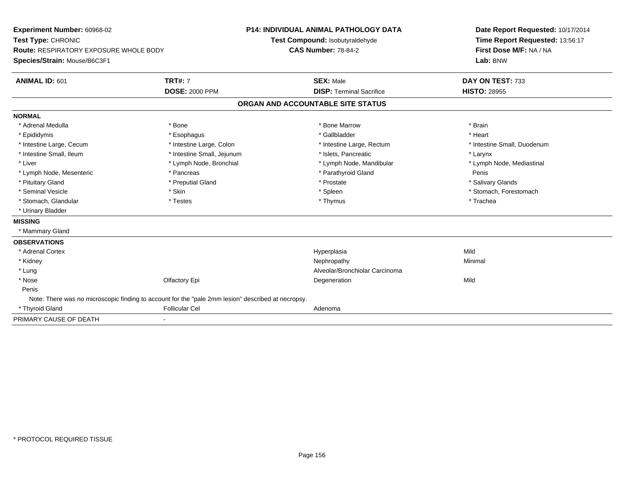| Experiment Number: 60968-02                                                                        |                              | P14: INDIVIDUAL ANIMAL PATHOLOGY DATA |                                   |  | Date Report Requested: 10/17/2014 |  |  |
|----------------------------------------------------------------------------------------------------|------------------------------|---------------------------------------|-----------------------------------|--|-----------------------------------|--|--|
| Test Type: CHRONIC                                                                                 |                              |                                       | Test Compound: Isobutyraldehyde   |  | Time Report Requested: 13:56:17   |  |  |
| <b>Route: RESPIRATORY EXPOSURE WHOLE BODY</b>                                                      |                              |                                       | <b>CAS Number: 78-84-2</b>        |  | First Dose M/F: NA / NA           |  |  |
| Species/Strain: Mouse/B6C3F1                                                                       |                              |                                       |                                   |  | Lab: BNW                          |  |  |
| <b>ANIMAL ID: 601</b>                                                                              | <b>TRT#: 7</b>               |                                       | <b>SEX: Male</b>                  |  | DAY ON TEST: 733                  |  |  |
|                                                                                                    | <b>DOSE: 2000 PPM</b>        |                                       | <b>DISP: Terminal Sacrifice</b>   |  | <b>HISTO: 28955</b>               |  |  |
|                                                                                                    |                              |                                       | ORGAN AND ACCOUNTABLE SITE STATUS |  |                                   |  |  |
| <b>NORMAL</b>                                                                                      |                              |                                       |                                   |  |                                   |  |  |
| * Adrenal Medulla                                                                                  | * Bone                       |                                       | * Bone Marrow                     |  | * Brain                           |  |  |
| * Epididymis                                                                                       | * Esophagus                  |                                       | * Gallbladder                     |  | * Heart                           |  |  |
| * Intestine Large, Cecum                                                                           | * Intestine Large, Colon     |                                       | * Intestine Large, Rectum         |  | * Intestine Small, Duodenum       |  |  |
| * Intestine Small, Ileum                                                                           | * Intestine Small, Jejunum   |                                       | * Islets, Pancreatic              |  | * Larynx                          |  |  |
| * Liver                                                                                            | * Lymph Node, Bronchial      |                                       | * Lymph Node, Mandibular          |  | * Lymph Node, Mediastinal         |  |  |
| * Lymph Node, Mesenteric                                                                           | * Pancreas                   |                                       | * Parathyroid Gland               |  | Penis                             |  |  |
| * Pituitary Gland                                                                                  | * Preputial Gland            |                                       | * Prostate                        |  | * Salivary Glands                 |  |  |
| * Seminal Vesicle                                                                                  | * Skin                       |                                       | * Spleen                          |  | * Stomach, Forestomach            |  |  |
| * Stomach, Glandular                                                                               | * Testes                     |                                       | * Thymus                          |  | * Trachea                         |  |  |
| * Urinary Bladder                                                                                  |                              |                                       |                                   |  |                                   |  |  |
| <b>MISSING</b>                                                                                     |                              |                                       |                                   |  |                                   |  |  |
| * Mammary Gland                                                                                    |                              |                                       |                                   |  |                                   |  |  |
| <b>OBSERVATIONS</b>                                                                                |                              |                                       |                                   |  |                                   |  |  |
| * Adrenal Cortex                                                                                   |                              |                                       | Hyperplasia                       |  | Mild                              |  |  |
| * Kidney                                                                                           |                              |                                       | Nephropathy                       |  | Minimal                           |  |  |
| * Lung                                                                                             |                              |                                       | Alveolar/Bronchiolar Carcinoma    |  |                                   |  |  |
| * Nose                                                                                             | Olfactory Epi                |                                       | Degeneration                      |  | Mild                              |  |  |
| Penis                                                                                              |                              |                                       |                                   |  |                                   |  |  |
| Note: There was no microscopic finding to account for the "pale 2mm lesion" described at necropsy. |                              |                                       |                                   |  |                                   |  |  |
| * Thyroid Gland                                                                                    | <b>Follicular Cel</b>        |                                       | Adenoma                           |  |                                   |  |  |
| PRIMARY CAUSE OF DEATH                                                                             | $\qquad \qquad \blacksquare$ |                                       |                                   |  |                                   |  |  |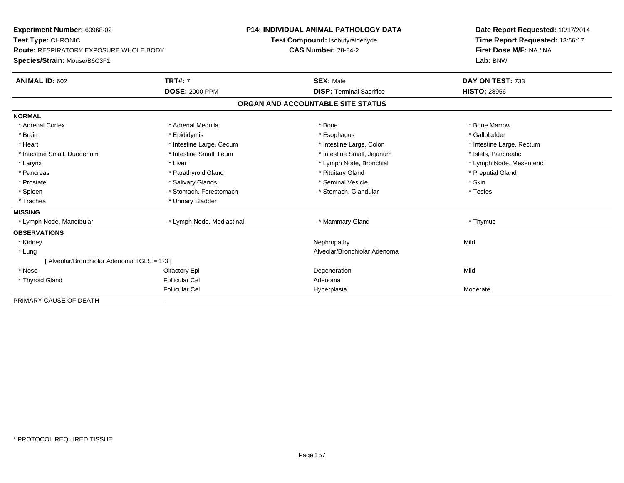| Experiment Number: 60968-02                   |                           | <b>P14: INDIVIDUAL ANIMAL PATHOLOGY DATA</b> |                                   |      | Date Report Requested: 10/17/2014 |
|-----------------------------------------------|---------------------------|----------------------------------------------|-----------------------------------|------|-----------------------------------|
| Test Type: CHRONIC                            |                           |                                              | Test Compound: Isobutyraldehyde   |      | Time Report Requested: 13:56:17   |
| <b>Route: RESPIRATORY EXPOSURE WHOLE BODY</b> |                           | <b>CAS Number: 78-84-2</b>                   |                                   |      | First Dose M/F: NA / NA           |
| Species/Strain: Mouse/B6C3F1                  |                           |                                              |                                   |      | Lab: BNW                          |
| <b>ANIMAL ID: 602</b>                         | <b>TRT#: 7</b>            |                                              | <b>SEX: Male</b>                  |      | DAY ON TEST: 733                  |
|                                               | <b>DOSE: 2000 PPM</b>     |                                              | <b>DISP: Terminal Sacrifice</b>   |      | <b>HISTO: 28956</b>               |
|                                               |                           |                                              | ORGAN AND ACCOUNTABLE SITE STATUS |      |                                   |
| <b>NORMAL</b>                                 |                           |                                              |                                   |      |                                   |
| * Adrenal Cortex                              | * Adrenal Medulla         |                                              | * Bone                            |      | * Bone Marrow                     |
| * Brain                                       | * Epididymis              |                                              | * Esophagus                       |      | * Gallbladder                     |
| * Heart                                       | * Intestine Large, Cecum  |                                              | * Intestine Large, Colon          |      | * Intestine Large, Rectum         |
| * Intestine Small, Duodenum                   | * Intestine Small, Ileum  |                                              | * Intestine Small, Jejunum        |      | * Islets, Pancreatic              |
| * Larynx                                      | * Liver                   |                                              | * Lymph Node, Bronchial           |      | * Lymph Node, Mesenteric          |
| * Pancreas                                    | * Parathyroid Gland       |                                              | * Pituitary Gland                 |      | * Preputial Gland                 |
| * Prostate                                    | * Salivary Glands         |                                              | * Seminal Vesicle                 |      | * Skin                            |
| * Spleen                                      | * Stomach, Forestomach    |                                              | * Stomach, Glandular              |      | * Testes                          |
| * Trachea                                     | * Urinary Bladder         |                                              |                                   |      |                                   |
| <b>MISSING</b>                                |                           |                                              |                                   |      |                                   |
| * Lymph Node, Mandibular                      | * Lymph Node, Mediastinal |                                              | * Mammary Gland                   |      | * Thymus                          |
| <b>OBSERVATIONS</b>                           |                           |                                              |                                   |      |                                   |
| * Kidney                                      |                           |                                              | Nephropathy                       | Mild |                                   |
| * Lung                                        |                           |                                              | Alveolar/Bronchiolar Adenoma      |      |                                   |
| [ Alveolar/Bronchiolar Adenoma TGLS = 1-3 ]   |                           |                                              |                                   |      |                                   |
| * Nose                                        | Olfactory Epi             |                                              | Degeneration                      | Mild |                                   |
| * Thyroid Gland                               | <b>Follicular Cel</b>     |                                              | Adenoma                           |      |                                   |
|                                               | <b>Follicular Cel</b>     |                                              | Hyperplasia                       |      | Moderate                          |
| PRIMARY CAUSE OF DEATH                        |                           |                                              |                                   |      |                                   |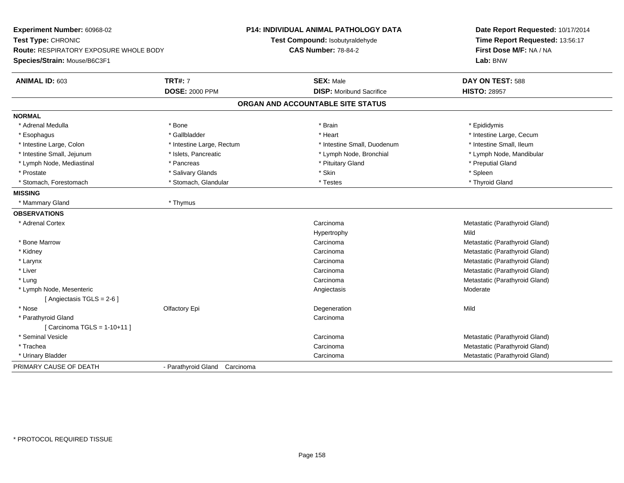| Experiment Number: 60968-02<br>Test Type: CHRONIC<br><b>Route: RESPIRATORY EXPOSURE WHOLE BODY</b><br>Species/Strain: Mouse/B6C3F1 |                               | <b>P14: INDIVIDUAL ANIMAL PATHOLOGY DATA</b><br>Test Compound: Isobutyraldehyde<br><b>CAS Number: 78-84-2</b> | Date Report Requested: 10/17/2014<br>Time Report Requested: 13:56:17<br>First Dose M/F: NA / NA<br>Lab: BNW |  |
|------------------------------------------------------------------------------------------------------------------------------------|-------------------------------|---------------------------------------------------------------------------------------------------------------|-------------------------------------------------------------------------------------------------------------|--|
| <b>ANIMAL ID: 603</b>                                                                                                              | <b>TRT#: 7</b>                | <b>SEX: Male</b>                                                                                              | DAY ON TEST: 588                                                                                            |  |
|                                                                                                                                    | <b>DOSE: 2000 PPM</b>         | <b>DISP:</b> Moribund Sacrifice                                                                               | <b>HISTO: 28957</b>                                                                                         |  |
|                                                                                                                                    |                               | ORGAN AND ACCOUNTABLE SITE STATUS                                                                             |                                                                                                             |  |
| <b>NORMAL</b>                                                                                                                      |                               |                                                                                                               |                                                                                                             |  |
| * Adrenal Medulla                                                                                                                  | * Bone                        | * Brain                                                                                                       | * Epididymis                                                                                                |  |
| * Esophagus                                                                                                                        | * Gallbladder                 | * Heart                                                                                                       | * Intestine Large, Cecum                                                                                    |  |
| * Intestine Large, Colon                                                                                                           | * Intestine Large, Rectum     | * Intestine Small, Duodenum                                                                                   | * Intestine Small, Ileum                                                                                    |  |
| * Intestine Small, Jejunum                                                                                                         | * Islets, Pancreatic          | * Lymph Node, Bronchial                                                                                       | * Lymph Node, Mandibular                                                                                    |  |
| * Lymph Node, Mediastinal                                                                                                          | * Pancreas                    | * Pituitary Gland                                                                                             | * Preputial Gland                                                                                           |  |
| * Prostate                                                                                                                         | * Salivary Glands             | * Skin                                                                                                        | * Spleen                                                                                                    |  |
| * Stomach, Forestomach                                                                                                             | * Stomach, Glandular          | * Testes                                                                                                      | * Thyroid Gland                                                                                             |  |
| <b>MISSING</b>                                                                                                                     |                               |                                                                                                               |                                                                                                             |  |
| * Mammary Gland                                                                                                                    | * Thymus                      |                                                                                                               |                                                                                                             |  |
| <b>OBSERVATIONS</b>                                                                                                                |                               |                                                                                                               |                                                                                                             |  |
| * Adrenal Cortex                                                                                                                   |                               | Carcinoma                                                                                                     | Metastatic (Parathyroid Gland)                                                                              |  |
|                                                                                                                                    |                               | Hypertrophy                                                                                                   | Mild                                                                                                        |  |
| * Bone Marrow                                                                                                                      |                               | Carcinoma                                                                                                     | Metastatic (Parathyroid Gland)                                                                              |  |
| * Kidney                                                                                                                           |                               | Carcinoma                                                                                                     | Metastatic (Parathyroid Gland)                                                                              |  |
| * Larynx                                                                                                                           |                               | Carcinoma                                                                                                     | Metastatic (Parathyroid Gland)                                                                              |  |
| * Liver                                                                                                                            |                               | Carcinoma                                                                                                     | Metastatic (Parathyroid Gland)                                                                              |  |
| * Lung                                                                                                                             |                               | Carcinoma                                                                                                     | Metastatic (Parathyroid Gland)                                                                              |  |
| * Lymph Node, Mesenteric                                                                                                           |                               | Angiectasis                                                                                                   | Moderate                                                                                                    |  |
| [Angiectasis TGLS = 2-6]                                                                                                           |                               |                                                                                                               |                                                                                                             |  |
| * Nose                                                                                                                             | Olfactory Epi                 | Degeneration                                                                                                  | Mild                                                                                                        |  |
| * Parathyroid Gland                                                                                                                |                               | Carcinoma                                                                                                     |                                                                                                             |  |
| [Carcinoma TGLS = $1-10+11$ ]                                                                                                      |                               |                                                                                                               |                                                                                                             |  |
| * Seminal Vesicle                                                                                                                  |                               | Carcinoma                                                                                                     | Metastatic (Parathyroid Gland)                                                                              |  |
| * Trachea                                                                                                                          |                               | Carcinoma                                                                                                     | Metastatic (Parathyroid Gland)                                                                              |  |
| * Urinary Bladder                                                                                                                  |                               | Carcinoma                                                                                                     | Metastatic (Parathyroid Gland)                                                                              |  |
| PRIMARY CAUSE OF DEATH                                                                                                             | - Parathyroid Gland Carcinoma |                                                                                                               |                                                                                                             |  |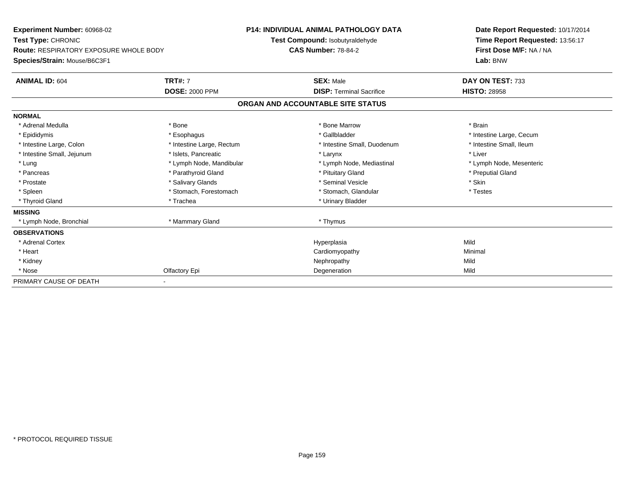| <b>Experiment Number: 60968-02</b><br>Test Type: CHRONIC<br><b>Route: RESPIRATORY EXPOSURE WHOLE BODY</b> |                           | <b>P14: INDIVIDUAL ANIMAL PATHOLOGY DATA</b><br>Test Compound: Isobutyraldehyde<br><b>CAS Number: 78-84-2</b> |                                   | Date Report Requested: 10/17/2014<br>Time Report Requested: 13:56:17<br>First Dose M/F: NA / NA |  |
|-----------------------------------------------------------------------------------------------------------|---------------------------|---------------------------------------------------------------------------------------------------------------|-----------------------------------|-------------------------------------------------------------------------------------------------|--|
| Species/Strain: Mouse/B6C3F1                                                                              |                           |                                                                                                               |                                   | Lab: BNW                                                                                        |  |
| <b>ANIMAL ID: 604</b>                                                                                     | <b>TRT#: 7</b>            |                                                                                                               | <b>SEX: Male</b>                  | DAY ON TEST: 733                                                                                |  |
|                                                                                                           | <b>DOSE: 2000 PPM</b>     |                                                                                                               | <b>DISP: Terminal Sacrifice</b>   | <b>HISTO: 28958</b>                                                                             |  |
|                                                                                                           |                           |                                                                                                               | ORGAN AND ACCOUNTABLE SITE STATUS |                                                                                                 |  |
| <b>NORMAL</b>                                                                                             |                           |                                                                                                               |                                   |                                                                                                 |  |
| * Adrenal Medulla                                                                                         | * Bone                    |                                                                                                               | * Bone Marrow                     | * Brain                                                                                         |  |
| * Epididymis                                                                                              | * Esophagus               |                                                                                                               | * Gallbladder                     | * Intestine Large, Cecum                                                                        |  |
| * Intestine Large, Colon                                                                                  | * Intestine Large, Rectum |                                                                                                               | * Intestine Small, Duodenum       | * Intestine Small, Ileum                                                                        |  |
| * Intestine Small, Jejunum                                                                                | * Islets, Pancreatic      |                                                                                                               | * Larynx                          | * Liver                                                                                         |  |
| * Lung                                                                                                    | * Lymph Node, Mandibular  |                                                                                                               | * Lymph Node, Mediastinal         | * Lymph Node, Mesenteric                                                                        |  |
| * Pancreas                                                                                                | * Parathyroid Gland       |                                                                                                               | * Pituitary Gland                 | * Preputial Gland                                                                               |  |
| * Prostate                                                                                                | * Salivary Glands         |                                                                                                               | * Seminal Vesicle                 | * Skin                                                                                          |  |
| * Spleen                                                                                                  | * Stomach, Forestomach    |                                                                                                               | * Stomach, Glandular              | * Testes                                                                                        |  |
| * Thyroid Gland                                                                                           | * Trachea                 |                                                                                                               | * Urinary Bladder                 |                                                                                                 |  |
| <b>MISSING</b>                                                                                            |                           |                                                                                                               |                                   |                                                                                                 |  |
| * Lymph Node, Bronchial                                                                                   | * Mammary Gland           |                                                                                                               | * Thymus                          |                                                                                                 |  |
| <b>OBSERVATIONS</b>                                                                                       |                           |                                                                                                               |                                   |                                                                                                 |  |
| * Adrenal Cortex                                                                                          |                           |                                                                                                               | Hyperplasia                       | Mild                                                                                            |  |
| * Heart                                                                                                   |                           |                                                                                                               | Cardiomyopathy                    | Minimal                                                                                         |  |
| * Kidney                                                                                                  |                           |                                                                                                               | Nephropathy                       | Mild                                                                                            |  |
| * Nose                                                                                                    | Olfactory Epi             |                                                                                                               | Degeneration                      | Mild                                                                                            |  |
| PRIMARY CAUSE OF DEATH                                                                                    |                           |                                                                                                               |                                   |                                                                                                 |  |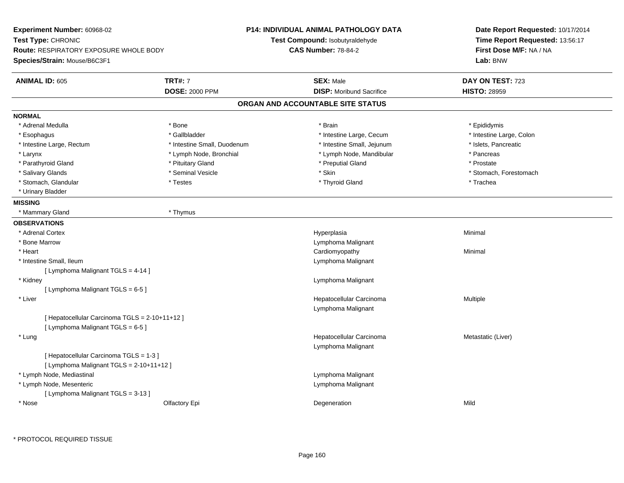**Experiment Number:** 60968-02**Test Type:** CHRONIC **Route:** RESPIRATORY EXPOSURE WHOLE BODY**Species/Strain:** Mouse/B6C3F1**P14: INDIVIDUAL ANIMAL PATHOLOGY DATATest Compound:** Isobutyraldehyde**CAS Number:** 78-84-2**Date Report Requested:** 10/17/2014**Time Report Requested:** 13:56:17**First Dose M/F:** NA / NA**Lab:** BNW**ANIMAL ID:** 605 **TRT#:** <sup>7</sup> **SEX:** Male **DAY ON TEST:** <sup>723</sup> **DOSE:** 2000 PPM**DISP:** Moribund Sacrifice **HISTO:** 28959 **ORGAN AND ACCOUNTABLE SITE STATUSNORMAL**\* Adrenal Medulla \* Adrenal Medulla \* \* \* Adrenal Medulla \* \* Epididymis \* Bone \* \* Brain \* \* Brain \* \* Brain \* \* Epididymis \* Epididymis \* Epididymis \* \* Epididymis \* \* Epididymis \* \* Epididymis \* \* Epididymis \* \* Epididymis \* \* Epididymis \* Intestine Large, Colon \* Esophagus \* Gallbladder \* The state of the state Large, Cecum \* Intestine Large, Cecum \*  $\sim$  \* Intestine Large, Cecum \* Intestine Large, Rectum \* Intestine Small, Duodenum \* Intestine Small, Jejunum \* Islets, Pancreatic\* Larynx **\* Lymph Node, Bronchial \*** Lymph Node, and build be the state of the state of the state of the state of the state of the state of the state of the state of the state of the state of the state of the state of the \* Prostate \* Parathyroid Gland \* **All and \* Pituitary Gland \* Prostate and \* Preputial Gland** \* Preputial Gland \* Salivary Glands \* The state of the seminal Vesicle \* Skin \* Skin \* Skin \* Stomach, Forestomach, Forestomach, Forestomach, Forestomach, Forestomach, Forestomach, Forestomach, Forestomach, Forestomach, Forestomach, Foresto \* Stomach, Glandular \* Trachea \* Testes \* Thyroid Gland \* Thyroid Gland \* The store \* Trachea \* Urinary Bladder**MISSING** \* Mammary Gland \* Thymus**OBSERVATIONS** \* Adrenal Cortexx and the control of the control of the control of the control of the control of the control of the control of the control of the control of the control of the control of the control of the control of the control of the co a **Minimal**  \* Bone Marrow Lymphoma Malignant \* Heart Cardiomyopathy Minimal \* Intestine Small, Ileum Lymphoma Malignant [ Lymphoma Malignant TGLS = 4-14 ] \* Kidney Lymphoma Malignant [ Lymphoma Malignant TGLS = 6-5 ] \* Liver Hepatocellular Carcinoma Multiple Lymphoma Malignant[ Hepatocellular Carcinoma TGLS = 2-10+11+12 ] $[$  Lymphoma Malignant TGLS = 6-5  $]$  \* Lungg and the state of the state of the state of the state of the Hepatocellular Carcinoma and the Metastatic (Liver) Lymphoma Malignant[ Hepatocellular Carcinoma TGLS = 1-3 ][ Lymphoma Malignant TGLS = 2-10+11+12 ] \* Lymph Node, Mediastinal Lymphoma Malignant \* Lymph Node, Mesenteric Lymphoma Malignant [ Lymphoma Malignant TGLS = 3-13 ] \* Nosee and the Cole of Cole of the Cole of the Cole of the Cole of the Cole of the Cole of the Cole of the Cole of the Mild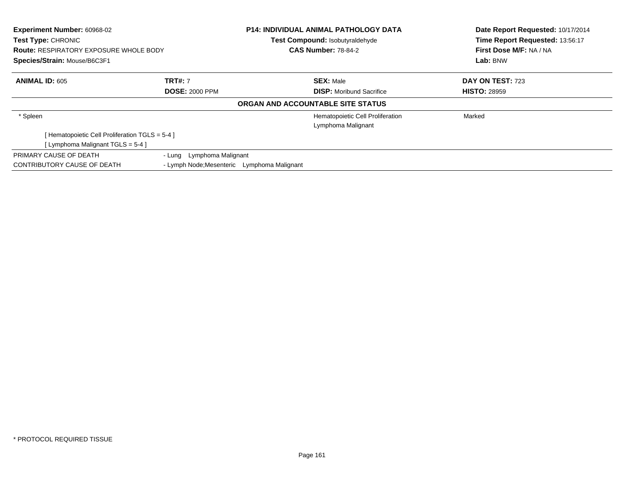| <b>Experiment Number: 60968-02</b><br><b>Test Type: CHRONIC</b><br><b>Route: RESPIRATORY EXPOSURE WHOLE BODY</b><br>Species/Strain: Mouse/B6C3F1 |                                                                          | <b>P14: INDIVIDUAL ANIMAL PATHOLOGY DATA</b><br>Test Compound: Isobutyraldehyde<br><b>CAS Number: 78-84-2</b> |                                                        | Date Report Requested: 10/17/2014<br>Time Report Requested: 13:56:17<br>First Dose M/F: NA / NA<br>Lab: BNW |  |
|--------------------------------------------------------------------------------------------------------------------------------------------------|--------------------------------------------------------------------------|---------------------------------------------------------------------------------------------------------------|--------------------------------------------------------|-------------------------------------------------------------------------------------------------------------|--|
| <b>ANIMAL ID: 605</b>                                                                                                                            | <b>TRT#: 7</b><br><b>DOSE: 2000 PPM</b>                                  |                                                                                                               | <b>SEX: Male</b><br><b>DISP:</b> Moribund Sacrifice    | DAY ON TEST: 723<br><b>HISTO: 28959</b>                                                                     |  |
|                                                                                                                                                  |                                                                          |                                                                                                               | ORGAN AND ACCOUNTABLE SITE STATUS                      |                                                                                                             |  |
| * Spleen                                                                                                                                         |                                                                          |                                                                                                               | Hematopoietic Cell Proliferation<br>Lymphoma Malignant | Marked                                                                                                      |  |
| [Hematopoietic Cell Proliferation TGLS = 5-4 ]                                                                                                   |                                                                          |                                                                                                               |                                                        |                                                                                                             |  |
| [Lymphoma Malignant TGLS = 5-4 ]                                                                                                                 |                                                                          |                                                                                                               |                                                        |                                                                                                             |  |
| PRIMARY CAUSE OF DEATH<br>CONTRIBUTORY CAUSE OF DEATH                                                                                            | - Lung Lymphoma Malignant<br>- Lymph Node; Mesenteric Lymphoma Malignant |                                                                                                               |                                                        |                                                                                                             |  |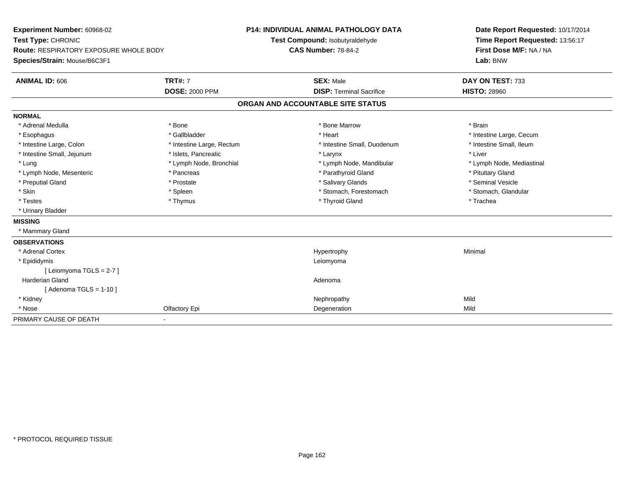**Experiment Number:** 60968-02**Test Type:** CHRONIC **Route:** RESPIRATORY EXPOSURE WHOLE BODY**Species/Strain:** Mouse/B6C3F1**P14: INDIVIDUAL ANIMAL PATHOLOGY DATATest Compound:** Isobutyraldehyde**CAS Number:** 78-84-2**Date Report Requested:** 10/17/2014**Time Report Requested:** 13:56:17**First Dose M/F:** NA / NA**Lab:** BNW**ANIMAL ID:** 606**TRT#:** 7 **SEX:** Male **DAY ON TEST:** 733 **DOSE:** 2000 PPM**DISP:** Terminal Sacrifice **HISTO:** 28960 **ORGAN AND ACCOUNTABLE SITE STATUSNORMAL**\* Adrenal Medulla \* \* Annual Medulla \* Brain \* Bone \* \* Bone Marrow \* Bone Marrow \* \* Brain \* Brain \* Brain \* Brain \* Brain \* Brain \* Brain \* Brain \* Brain \* Brain \* Brain \* Brain \* Brain \* Brain \* Brain \* Brain \* Brain \* \* Esophagus \* https://www.fragustage.com/web/2019/heart \* Heart \* Heart \* Heart \* Intestine Large, Cecum \* Intestine Large, Cecum \* Sallbladder \* The state of the state of the state of the state of the state of the state o \* Intestine Small, Ileum \* Intestine Large, Colon \* Intestine Large, Rectum \* Intestine Small, Duodenum \* Intestine Small, Duodenum \* Intestine Small, Jejunum \* 1998 \* The state of the state of the state of the state of the state of the state of the state of the state of the state of the state of the state of the state of the state of the state of the \* Lung \* Lymph Node, Bronchial \* Lymph Node, and ibular \* Lymph Node, Mandibular \* Lymph Node, Mediastinal \* Lymph Node, Mediastinal \* Lymph Node, Mesenteric \* The state of the state of Parathyroid Gland \* Parathyroid Gland \* Pituitary Gland \* Pituitary Gland \* Seminal Vesicle \* Preputial Gland \* \* Annual vesicle \* \* Prostate \* \* Salivary Glands \* \* Salivary Glands \* \* Seminal Vesicle \* \* Stomach, Glandular \* Skin \* Stomach, Forestomach \* Spleen \* Stomach, Stomach, Forestomach \* Stomach, Forestomach \* Testes \* Thymus \* Thyroid Gland \* Trachea \* Urinary Bladder**MISSING** \* Mammary Gland**OBSERVATIONS** \* Adrenal Cortexx and the controller of the controller of the controller of the Hypertrophy  $\mathsf{M}$ inimal  $\mathsf{M}$ inimal  $\mathsf{M}$  \* Epididymiss and the companion of the companion of the companion of the companion of the companion of the companion of the companion of the companion of the companion of the companion of the companion of the companion of the companio [ Leiomyoma TGLS = 2-7 ] Harderian Glandd and a state of the control of the control of the control of the control of the control of the control of the control of the control of the control of the control of the control of the control of the control of the contro  $[$  Adenoma TGLS = 1-10  $]$  \* Kidneyy the controller of the controller of the controller of the controller of the controller of the controller of the controller of the controller of the controller of the controller of the controller of the controller of the Mild \* Nosee and the Colfactory Epi and the Colfactory Equation of the Colfactory Equation of the Colfactory Epi and the Colfactory Epi and the Colfactory Epi and the Colfactory Equation of the Colfactory Epi and the Colfactory Epi a PRIMARY CAUSE OF DEATH-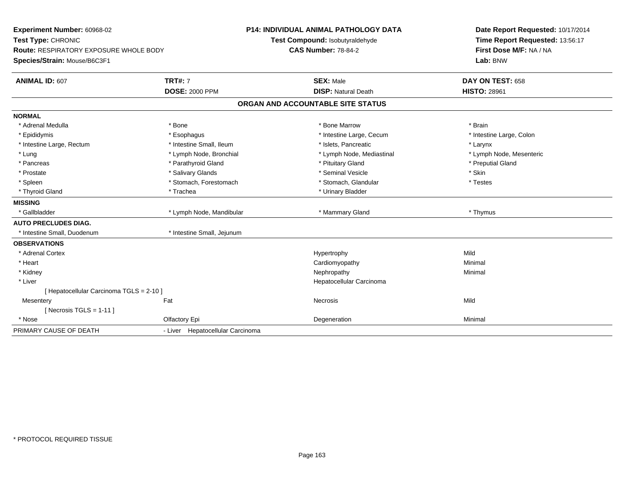| Experiment Number: 60968-02<br>Test Type: CHRONIC<br><b>Route: RESPIRATORY EXPOSURE WHOLE BODY</b><br>Species/Strain: Mouse/B6C3F1 |                                  | <b>P14: INDIVIDUAL ANIMAL PATHOLOGY DATA</b><br>Test Compound: Isobutyraldehyde<br><b>CAS Number: 78-84-2</b> | Date Report Requested: 10/17/2014<br>Time Report Requested: 13:56:17<br>First Dose M/F: NA / NA<br>Lab: BNW |
|------------------------------------------------------------------------------------------------------------------------------------|----------------------------------|---------------------------------------------------------------------------------------------------------------|-------------------------------------------------------------------------------------------------------------|
| <b>ANIMAL ID: 607</b>                                                                                                              | <b>TRT#: 7</b>                   | <b>SEX: Male</b>                                                                                              | DAY ON TEST: 658                                                                                            |
|                                                                                                                                    | <b>DOSE: 2000 PPM</b>            | <b>DISP: Natural Death</b>                                                                                    | <b>HISTO: 28961</b>                                                                                         |
|                                                                                                                                    |                                  | ORGAN AND ACCOUNTABLE SITE STATUS                                                                             |                                                                                                             |
| <b>NORMAL</b>                                                                                                                      |                                  |                                                                                                               |                                                                                                             |
| * Adrenal Medulla                                                                                                                  | * Bone                           | * Bone Marrow                                                                                                 | * Brain                                                                                                     |
| * Epididymis                                                                                                                       | * Esophagus                      | * Intestine Large, Cecum                                                                                      | * Intestine Large, Colon                                                                                    |
| * Intestine Large, Rectum                                                                                                          | * Intestine Small, Ileum         | * Islets, Pancreatic                                                                                          | * Larynx                                                                                                    |
| * Lung                                                                                                                             | * Lymph Node, Bronchial          | * Lymph Node, Mediastinal                                                                                     | * Lymph Node, Mesenteric                                                                                    |
| * Pancreas                                                                                                                         | * Parathyroid Gland              | * Pituitary Gland                                                                                             | * Preputial Gland                                                                                           |
| * Prostate                                                                                                                         | * Salivary Glands                | * Seminal Vesicle                                                                                             | * Skin                                                                                                      |
| * Spleen                                                                                                                           | * Stomach, Forestomach           | * Stomach, Glandular                                                                                          | * Testes                                                                                                    |
| * Thyroid Gland                                                                                                                    | * Trachea                        | * Urinary Bladder                                                                                             |                                                                                                             |
| <b>MISSING</b>                                                                                                                     |                                  |                                                                                                               |                                                                                                             |
| * Gallbladder                                                                                                                      | * Lymph Node, Mandibular         | * Mammary Gland                                                                                               | * Thymus                                                                                                    |
| <b>AUTO PRECLUDES DIAG.</b>                                                                                                        |                                  |                                                                                                               |                                                                                                             |
| * Intestine Small, Duodenum                                                                                                        | * Intestine Small, Jejunum       |                                                                                                               |                                                                                                             |
| <b>OBSERVATIONS</b>                                                                                                                |                                  |                                                                                                               |                                                                                                             |
| * Adrenal Cortex                                                                                                                   |                                  | Hypertrophy                                                                                                   | Mild                                                                                                        |
| * Heart                                                                                                                            |                                  | Cardiomyopathy                                                                                                | Minimal                                                                                                     |
| * Kidney                                                                                                                           |                                  | Nephropathy                                                                                                   | Minimal                                                                                                     |
| * Liver                                                                                                                            |                                  | Hepatocellular Carcinoma                                                                                      |                                                                                                             |
| [ Hepatocellular Carcinoma TGLS = 2-10 ]                                                                                           |                                  |                                                                                                               |                                                                                                             |
| Mesentery                                                                                                                          | Fat                              | Necrosis                                                                                                      | Mild                                                                                                        |
| [Necrosis TGLS = $1-11$ ]                                                                                                          |                                  |                                                                                                               |                                                                                                             |
| * Nose                                                                                                                             | Olfactory Epi                    | Degeneration                                                                                                  | Minimal                                                                                                     |
| PRIMARY CAUSE OF DEATH                                                                                                             | - Liver Hepatocellular Carcinoma |                                                                                                               |                                                                                                             |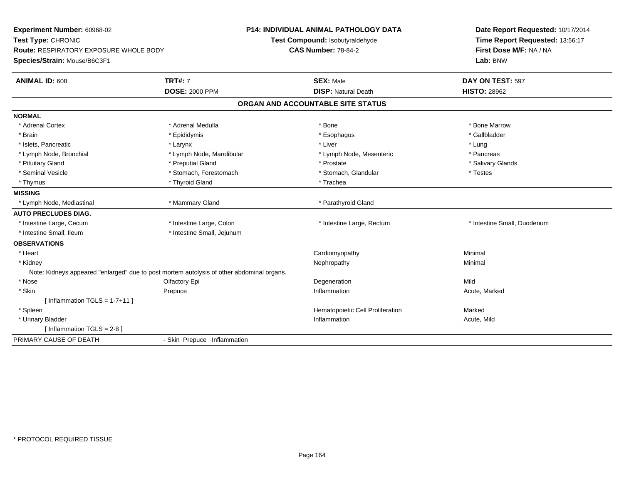| Experiment Number: 60968-02<br>Test Type: CHRONIC<br><b>Route: RESPIRATORY EXPOSURE WHOLE BODY</b><br>Species/Strain: Mouse/B6C3F1 |                             | <b>P14: INDIVIDUAL ANIMAL PATHOLOGY DATA</b><br>Test Compound: Isobutyraldehyde<br><b>CAS Number: 78-84-2</b> | Date Report Requested: 10/17/2014<br>Time Report Requested: 13:56:17<br>First Dose M/F: NA / NA<br>Lab: BNW |  |
|------------------------------------------------------------------------------------------------------------------------------------|-----------------------------|---------------------------------------------------------------------------------------------------------------|-------------------------------------------------------------------------------------------------------------|--|
| <b>ANIMAL ID: 608</b>                                                                                                              | <b>TRT#: 7</b>              | <b>SEX: Male</b>                                                                                              | DAY ON TEST: 597                                                                                            |  |
|                                                                                                                                    | <b>DOSE: 2000 PPM</b>       | <b>DISP: Natural Death</b>                                                                                    | <b>HISTO: 28962</b>                                                                                         |  |
|                                                                                                                                    |                             | ORGAN AND ACCOUNTABLE SITE STATUS                                                                             |                                                                                                             |  |
| <b>NORMAL</b>                                                                                                                      |                             |                                                                                                               |                                                                                                             |  |
| * Adrenal Cortex                                                                                                                   | * Adrenal Medulla           | * Bone                                                                                                        | * Bone Marrow                                                                                               |  |
| * Brain                                                                                                                            | * Epididymis                | * Esophagus                                                                                                   | * Gallbladder                                                                                               |  |
| * Islets, Pancreatic                                                                                                               | * Larynx                    | * Liver                                                                                                       | * Lung                                                                                                      |  |
| * Lymph Node, Bronchial                                                                                                            | * Lymph Node, Mandibular    | * Lymph Node, Mesenteric                                                                                      | * Pancreas                                                                                                  |  |
| * Pituitary Gland                                                                                                                  | * Preputial Gland           | * Prostate                                                                                                    | * Salivary Glands                                                                                           |  |
| * Seminal Vesicle                                                                                                                  | * Stomach, Forestomach      | * Stomach, Glandular                                                                                          | * Testes                                                                                                    |  |
| * Thymus                                                                                                                           | * Thyroid Gland             | * Trachea                                                                                                     |                                                                                                             |  |
| <b>MISSING</b>                                                                                                                     |                             |                                                                                                               |                                                                                                             |  |
| * Lymph Node, Mediastinal                                                                                                          | * Mammary Gland             | * Parathyroid Gland                                                                                           |                                                                                                             |  |
| <b>AUTO PRECLUDES DIAG.</b>                                                                                                        |                             |                                                                                                               |                                                                                                             |  |
| * Intestine Large, Cecum                                                                                                           | * Intestine Large, Colon    | * Intestine Large, Rectum                                                                                     | * Intestine Small, Duodenum                                                                                 |  |
| * Intestine Small. Ileum                                                                                                           | * Intestine Small, Jejunum  |                                                                                                               |                                                                                                             |  |
| <b>OBSERVATIONS</b>                                                                                                                |                             |                                                                                                               |                                                                                                             |  |
| * Heart                                                                                                                            |                             | Cardiomyopathy                                                                                                | Minimal                                                                                                     |  |
| * Kidney                                                                                                                           |                             | Nephropathy                                                                                                   | Minimal                                                                                                     |  |
| Note: Kidneys appeared "enlarged" due to post mortem autolysis of other abdominal organs.                                          |                             |                                                                                                               |                                                                                                             |  |
| * Nose                                                                                                                             | Olfactory Epi               | Degeneration                                                                                                  | Mild                                                                                                        |  |
| * Skin                                                                                                                             | Prepuce                     | Inflammation                                                                                                  | Acute, Marked                                                                                               |  |
| [Inflammation TGLS = $1-7+11$ ]                                                                                                    |                             |                                                                                                               |                                                                                                             |  |
| * Spleen                                                                                                                           |                             | Hematopoietic Cell Proliferation                                                                              | Marked                                                                                                      |  |
| * Urinary Bladder                                                                                                                  |                             | Inflammation                                                                                                  | Acute, Mild                                                                                                 |  |
| [Inflammation $TGLS = 2-8$ ]                                                                                                       |                             |                                                                                                               |                                                                                                             |  |
| PRIMARY CAUSE OF DEATH                                                                                                             | - Skin Prepuce Inflammation |                                                                                                               |                                                                                                             |  |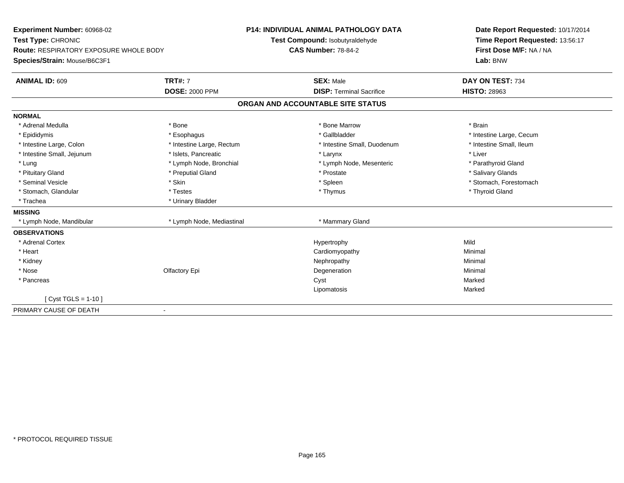| Experiment Number: 60968-02                   |                           | <b>P14: INDIVIDUAL ANIMAL PATHOLOGY DATA</b> | Date Report Requested: 10/17/2014 |  |
|-----------------------------------------------|---------------------------|----------------------------------------------|-----------------------------------|--|
| Test Type: CHRONIC                            |                           | Test Compound: Isobutyraldehyde              | Time Report Requested: 13:56:17   |  |
| <b>Route: RESPIRATORY EXPOSURE WHOLE BODY</b> |                           | <b>CAS Number: 78-84-2</b>                   | First Dose M/F: NA / NA           |  |
| Species/Strain: Mouse/B6C3F1                  |                           |                                              | Lab: BNW                          |  |
| ANIMAL ID: 609                                | <b>TRT#: 7</b>            | <b>SEX: Male</b>                             | DAY ON TEST: 734                  |  |
|                                               | <b>DOSE: 2000 PPM</b>     | <b>DISP: Terminal Sacrifice</b>              | <b>HISTO: 28963</b>               |  |
|                                               |                           | ORGAN AND ACCOUNTABLE SITE STATUS            |                                   |  |
| <b>NORMAL</b>                                 |                           |                                              |                                   |  |
| * Adrenal Medulla                             | * Bone                    | * Bone Marrow                                | * Brain                           |  |
| * Epididymis                                  | * Esophagus               | * Gallbladder                                | * Intestine Large, Cecum          |  |
| * Intestine Large, Colon                      | * Intestine Large, Rectum | * Intestine Small, Duodenum                  | * Intestine Small, Ileum          |  |
| * Intestine Small, Jejunum                    | * Islets, Pancreatic      | * Larynx                                     | * Liver                           |  |
| * Lung                                        | * Lymph Node, Bronchial   | * Lymph Node, Mesenteric                     | * Parathyroid Gland               |  |
| * Pituitary Gland                             | * Preputial Gland         | * Prostate                                   | * Salivary Glands                 |  |
| * Seminal Vesicle                             | * Skin                    | * Spleen                                     | * Stomach, Forestomach            |  |
| * Stomach, Glandular                          | * Testes                  | * Thymus                                     | * Thyroid Gland                   |  |
| * Trachea                                     | * Urinary Bladder         |                                              |                                   |  |
| <b>MISSING</b>                                |                           |                                              |                                   |  |
| * Lymph Node, Mandibular                      | * Lymph Node, Mediastinal | * Mammary Gland                              |                                   |  |
| <b>OBSERVATIONS</b>                           |                           |                                              |                                   |  |
| * Adrenal Cortex                              |                           | Hypertrophy                                  | Mild                              |  |
| * Heart                                       |                           | Cardiomyopathy                               | Minimal                           |  |
| * Kidney                                      |                           | Nephropathy                                  | Minimal                           |  |
| * Nose                                        | Olfactory Epi             | Degeneration                                 | Minimal                           |  |
| * Pancreas                                    |                           | Cyst                                         | Marked                            |  |
|                                               |                           | Lipomatosis                                  | Marked                            |  |
| [ Cyst TGLS = 1-10 ]                          |                           |                                              |                                   |  |
| PRIMARY CAUSE OF DEATH                        |                           |                                              |                                   |  |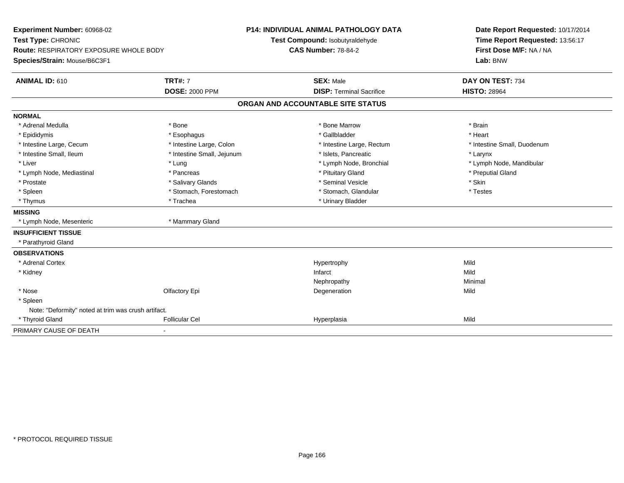| Experiment Number: 60968-02<br>Test Type: CHRONIC<br><b>Route: RESPIRATORY EXPOSURE WHOLE BODY</b><br>Species/Strain: Mouse/B6C3F1 |                            | <b>P14: INDIVIDUAL ANIMAL PATHOLOGY DATA</b><br>Test Compound: Isobutyraldehyde<br><b>CAS Number: 78-84-2</b> |                                 |  | Date Report Requested: 10/17/2014<br>Time Report Requested: 13:56:17<br>First Dose M/F: NA / NA<br>Lab: BNW |  |
|------------------------------------------------------------------------------------------------------------------------------------|----------------------------|---------------------------------------------------------------------------------------------------------------|---------------------------------|--|-------------------------------------------------------------------------------------------------------------|--|
|                                                                                                                                    |                            |                                                                                                               |                                 |  |                                                                                                             |  |
| ANIMAL ID: 610                                                                                                                     | <b>TRT#: 7</b>             |                                                                                                               | <b>SEX: Male</b>                |  | DAY ON TEST: 734                                                                                            |  |
|                                                                                                                                    | <b>DOSE: 2000 PPM</b>      |                                                                                                               | <b>DISP: Terminal Sacrifice</b> |  | <b>HISTO: 28964</b>                                                                                         |  |
|                                                                                                                                    |                            | ORGAN AND ACCOUNTABLE SITE STATUS                                                                             |                                 |  |                                                                                                             |  |
| <b>NORMAL</b>                                                                                                                      |                            |                                                                                                               |                                 |  |                                                                                                             |  |
| * Adrenal Medulla                                                                                                                  | * Bone                     |                                                                                                               | * Bone Marrow                   |  | * Brain                                                                                                     |  |
| * Epididymis                                                                                                                       | * Esophagus                |                                                                                                               | * Gallbladder                   |  | * Heart                                                                                                     |  |
| * Intestine Large, Cecum                                                                                                           | * Intestine Large, Colon   |                                                                                                               | * Intestine Large, Rectum       |  | * Intestine Small, Duodenum                                                                                 |  |
| * Intestine Small, Ileum                                                                                                           | * Intestine Small, Jejunum |                                                                                                               | * Islets, Pancreatic            |  | * Larynx                                                                                                    |  |
| * Liver                                                                                                                            | * Lung                     |                                                                                                               | * Lymph Node, Bronchial         |  | * Lymph Node, Mandibular                                                                                    |  |
| * Lymph Node, Mediastinal                                                                                                          | * Pancreas                 |                                                                                                               | * Pituitary Gland               |  | * Preputial Gland                                                                                           |  |
| * Prostate                                                                                                                         | * Salivary Glands          |                                                                                                               | * Seminal Vesicle               |  | * Skin                                                                                                      |  |
| * Spleen                                                                                                                           | * Stomach, Forestomach     |                                                                                                               | * Stomach, Glandular            |  | * Testes                                                                                                    |  |
| * Thymus                                                                                                                           | * Trachea                  |                                                                                                               | * Urinary Bladder               |  |                                                                                                             |  |
| <b>MISSING</b>                                                                                                                     |                            |                                                                                                               |                                 |  |                                                                                                             |  |
| * Lymph Node, Mesenteric                                                                                                           | * Mammary Gland            |                                                                                                               |                                 |  |                                                                                                             |  |
| <b>INSUFFICIENT TISSUE</b>                                                                                                         |                            |                                                                                                               |                                 |  |                                                                                                             |  |
| * Parathyroid Gland                                                                                                                |                            |                                                                                                               |                                 |  |                                                                                                             |  |
| <b>OBSERVATIONS</b>                                                                                                                |                            |                                                                                                               |                                 |  |                                                                                                             |  |
| * Adrenal Cortex                                                                                                                   |                            |                                                                                                               | Hypertrophy                     |  | Mild                                                                                                        |  |
| * Kidney                                                                                                                           |                            |                                                                                                               | Infarct                         |  | Mild                                                                                                        |  |
|                                                                                                                                    |                            |                                                                                                               | Nephropathy                     |  | Minimal                                                                                                     |  |
| * Nose                                                                                                                             | Olfactory Epi              |                                                                                                               | Degeneration                    |  | Mild                                                                                                        |  |
| * Spleen                                                                                                                           |                            |                                                                                                               |                                 |  |                                                                                                             |  |
| Note: "Deformity" noted at trim was crush artifact.                                                                                |                            |                                                                                                               |                                 |  |                                                                                                             |  |
| * Thyroid Gland                                                                                                                    | <b>Follicular Cel</b>      |                                                                                                               | Hyperplasia                     |  | Mild                                                                                                        |  |
| PRIMARY CAUSE OF DEATH                                                                                                             | $\blacksquare$             |                                                                                                               |                                 |  |                                                                                                             |  |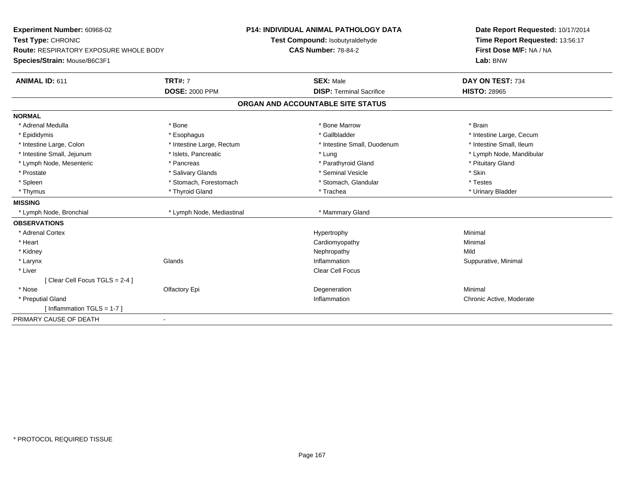| Experiment Number: 60968-02                   |                           | <b>P14: INDIVIDUAL ANIMAL PATHOLOGY DATA</b> | Date Report Requested: 10/17/2014 |  |
|-----------------------------------------------|---------------------------|----------------------------------------------|-----------------------------------|--|
| Test Type: CHRONIC                            |                           | Test Compound: Isobutyraldehyde              | Time Report Requested: 13:56:17   |  |
| <b>Route: RESPIRATORY EXPOSURE WHOLE BODY</b> |                           | <b>CAS Number: 78-84-2</b>                   | First Dose M/F: NA / NA           |  |
| Species/Strain: Mouse/B6C3F1                  |                           |                                              | Lab: BNW                          |  |
| <b>ANIMAL ID: 611</b>                         | <b>TRT#: 7</b>            | <b>SEX: Male</b>                             | DAY ON TEST: 734                  |  |
|                                               | <b>DOSE: 2000 PPM</b>     | <b>DISP: Terminal Sacrifice</b>              | <b>HISTO: 28965</b>               |  |
|                                               |                           | ORGAN AND ACCOUNTABLE SITE STATUS            |                                   |  |
| <b>NORMAL</b>                                 |                           |                                              |                                   |  |
| * Adrenal Medulla                             | * Bone                    | * Bone Marrow                                | * Brain                           |  |
| * Epididymis                                  | * Esophagus               | * Gallbladder                                | * Intestine Large, Cecum          |  |
| * Intestine Large, Colon                      | * Intestine Large, Rectum | * Intestine Small, Duodenum                  | * Intestine Small, Ileum          |  |
| * Intestine Small, Jejunum                    | * Islets, Pancreatic      | * Lung                                       | * Lymph Node, Mandibular          |  |
| * Lymph Node, Mesenteric                      | * Pancreas                | * Parathyroid Gland                          | * Pituitary Gland                 |  |
| * Prostate                                    | * Salivary Glands         | * Seminal Vesicle                            | * Skin                            |  |
| * Spleen                                      | * Stomach, Forestomach    | * Stomach, Glandular                         | * Testes                          |  |
| * Thymus                                      | * Thyroid Gland           | * Trachea                                    | * Urinary Bladder                 |  |
| <b>MISSING</b>                                |                           |                                              |                                   |  |
| * Lymph Node, Bronchial                       | * Lymph Node, Mediastinal | * Mammary Gland                              |                                   |  |
| <b>OBSERVATIONS</b>                           |                           |                                              |                                   |  |
| * Adrenal Cortex                              |                           | Hypertrophy                                  | Minimal                           |  |
| * Heart                                       |                           | Cardiomyopathy                               | Minimal                           |  |
| * Kidney                                      |                           | Nephropathy                                  | Mild                              |  |
| * Larynx                                      | Glands                    | Inflammation                                 | Suppurative, Minimal              |  |
| * Liver                                       |                           | Clear Cell Focus                             |                                   |  |
| [Clear Cell Focus TGLS = 2-4 ]                |                           |                                              |                                   |  |
| * Nose                                        | Olfactory Epi             | Degeneration                                 | Minimal                           |  |
| * Preputial Gland                             |                           | Inflammation                                 | Chronic Active, Moderate          |  |
| [Inflammation TGLS = $1-7$ ]                  |                           |                                              |                                   |  |
| PRIMARY CAUSE OF DEATH                        | $\sim$                    |                                              |                                   |  |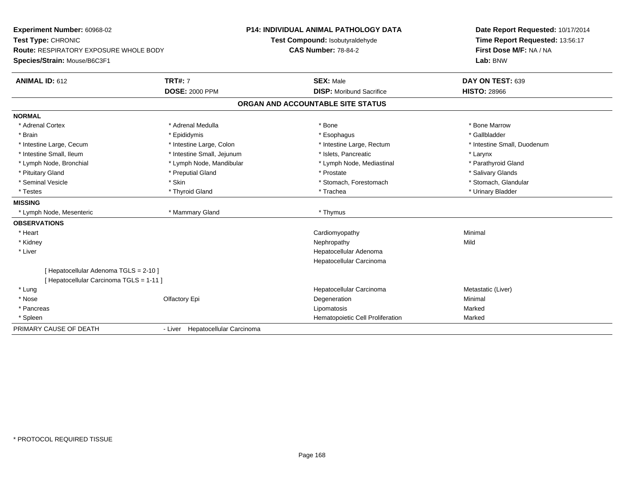| Experiment Number: 60968-02<br>Test Type: CHRONIC<br><b>Route: RESPIRATORY EXPOSURE WHOLE BODY</b><br>Species/Strain: Mouse/B6C3F1 |                                  | <b>P14: INDIVIDUAL ANIMAL PATHOLOGY DATA</b><br>Test Compound: Isobutyraldehyde<br><b>CAS Number: 78-84-2</b> | Date Report Requested: 10/17/2014<br>Time Report Requested: 13:56:17<br>First Dose M/F: NA / NA<br>Lab: BNW |  |
|------------------------------------------------------------------------------------------------------------------------------------|----------------------------------|---------------------------------------------------------------------------------------------------------------|-------------------------------------------------------------------------------------------------------------|--|
|                                                                                                                                    |                                  |                                                                                                               |                                                                                                             |  |
| <b>ANIMAL ID: 612</b>                                                                                                              | <b>TRT#: 7</b>                   | <b>SEX: Male</b>                                                                                              | DAY ON TEST: 639                                                                                            |  |
|                                                                                                                                    | <b>DOSE: 2000 PPM</b>            | <b>DISP:</b> Moribund Sacrifice                                                                               | <b>HISTO: 28966</b>                                                                                         |  |
|                                                                                                                                    |                                  | ORGAN AND ACCOUNTABLE SITE STATUS                                                                             |                                                                                                             |  |
| <b>NORMAL</b>                                                                                                                      |                                  |                                                                                                               |                                                                                                             |  |
| * Adrenal Cortex                                                                                                                   | * Adrenal Medulla                | * Bone                                                                                                        | * Bone Marrow                                                                                               |  |
| * Brain                                                                                                                            | * Epididymis                     | * Esophagus                                                                                                   | * Gallbladder                                                                                               |  |
| * Intestine Large, Cecum                                                                                                           | * Intestine Large, Colon         | * Intestine Large, Rectum                                                                                     | * Intestine Small, Duodenum                                                                                 |  |
| * Intestine Small, Ileum                                                                                                           | * Intestine Small, Jejunum       | * Islets, Pancreatic                                                                                          | * Larynx                                                                                                    |  |
| * Lymph Node, Bronchial                                                                                                            | * Lymph Node, Mandibular         | * Lymph Node, Mediastinal                                                                                     | * Parathyroid Gland                                                                                         |  |
| * Pituitary Gland                                                                                                                  | * Preputial Gland                | * Prostate                                                                                                    | * Salivary Glands                                                                                           |  |
| * Seminal Vesicle                                                                                                                  | * Skin                           | * Stomach, Forestomach                                                                                        | * Stomach, Glandular                                                                                        |  |
| * Testes                                                                                                                           | * Thyroid Gland                  | * Trachea                                                                                                     | * Urinary Bladder                                                                                           |  |
| <b>MISSING</b>                                                                                                                     |                                  |                                                                                                               |                                                                                                             |  |
| * Lymph Node, Mesenteric                                                                                                           | * Mammary Gland                  | * Thymus                                                                                                      |                                                                                                             |  |
| <b>OBSERVATIONS</b>                                                                                                                |                                  |                                                                                                               |                                                                                                             |  |
| * Heart                                                                                                                            |                                  | Cardiomyopathy                                                                                                | Minimal                                                                                                     |  |
| * Kidney                                                                                                                           |                                  | Nephropathy                                                                                                   | Mild                                                                                                        |  |
| * Liver                                                                                                                            |                                  | Hepatocellular Adenoma                                                                                        |                                                                                                             |  |
|                                                                                                                                    |                                  | Hepatocellular Carcinoma                                                                                      |                                                                                                             |  |
| [Hepatocellular Adenoma TGLS = 2-10]                                                                                               |                                  |                                                                                                               |                                                                                                             |  |
| [Hepatocellular Carcinoma TGLS = 1-11]                                                                                             |                                  |                                                                                                               |                                                                                                             |  |
| * Lung                                                                                                                             |                                  | Hepatocellular Carcinoma                                                                                      | Metastatic (Liver)                                                                                          |  |
| * Nose                                                                                                                             | Olfactory Epi                    | Degeneration                                                                                                  | Minimal                                                                                                     |  |
| * Pancreas                                                                                                                         |                                  | Lipomatosis                                                                                                   | Marked                                                                                                      |  |
| * Spleen                                                                                                                           |                                  | Hematopoietic Cell Proliferation                                                                              | Marked                                                                                                      |  |
| PRIMARY CAUSE OF DEATH                                                                                                             | - Liver Hepatocellular Carcinoma |                                                                                                               |                                                                                                             |  |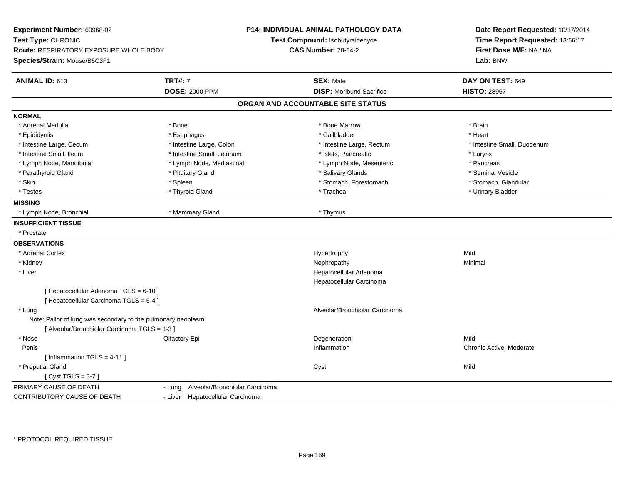| Experiment Number: 60968-02<br>Test Type: CHRONIC<br>Route: RESPIRATORY EXPOSURE WHOLE BODY<br>Species/Strain: Mouse/B6C3F1 |                                          | <b>P14: INDIVIDUAL ANIMAL PATHOLOGY DATA</b><br>Test Compound: Isobutyraldehyde<br><b>CAS Number: 78-84-2</b> | Date Report Requested: 10/17/2014<br>Time Report Requested: 13:56:17<br>First Dose M/F: NA / NA<br>Lab: BNW |  |
|-----------------------------------------------------------------------------------------------------------------------------|------------------------------------------|---------------------------------------------------------------------------------------------------------------|-------------------------------------------------------------------------------------------------------------|--|
| <b>ANIMAL ID: 613</b>                                                                                                       | <b>TRT#: 7</b>                           | <b>SEX: Male</b>                                                                                              | DAY ON TEST: 649                                                                                            |  |
|                                                                                                                             | <b>DOSE: 2000 PPM</b>                    | <b>DISP:</b> Moribund Sacrifice                                                                               | <b>HISTO: 28967</b>                                                                                         |  |
|                                                                                                                             |                                          | ORGAN AND ACCOUNTABLE SITE STATUS                                                                             |                                                                                                             |  |
| <b>NORMAL</b>                                                                                                               |                                          |                                                                                                               |                                                                                                             |  |
| * Adrenal Medulla                                                                                                           | * Bone                                   | * Bone Marrow                                                                                                 | * Brain                                                                                                     |  |
| * Epididymis                                                                                                                | * Esophagus                              | * Gallbladder                                                                                                 | * Heart                                                                                                     |  |
| * Intestine Large, Cecum                                                                                                    | * Intestine Large, Colon                 | * Intestine Large, Rectum                                                                                     | * Intestine Small, Duodenum                                                                                 |  |
| * Intestine Small, Ileum                                                                                                    | * Intestine Small, Jejunum               | * Islets, Pancreatic                                                                                          | $*$ Larynx                                                                                                  |  |
| * Lymph Node, Mandibular                                                                                                    | * Lymph Node, Mediastinal                | * Lymph Node, Mesenteric                                                                                      | * Pancreas                                                                                                  |  |
| * Parathyroid Gland                                                                                                         | * Pituitary Gland                        | * Salivary Glands                                                                                             | * Seminal Vesicle                                                                                           |  |
| * Skin                                                                                                                      | * Spleen                                 | * Stomach, Forestomach                                                                                        | * Stomach, Glandular                                                                                        |  |
| * Testes                                                                                                                    | * Thyroid Gland                          | * Trachea                                                                                                     | * Urinary Bladder                                                                                           |  |
| <b>MISSING</b>                                                                                                              |                                          |                                                                                                               |                                                                                                             |  |
| * Lymph Node, Bronchial                                                                                                     | * Mammary Gland                          | * Thymus                                                                                                      |                                                                                                             |  |
| <b>INSUFFICIENT TISSUE</b>                                                                                                  |                                          |                                                                                                               |                                                                                                             |  |
| * Prostate                                                                                                                  |                                          |                                                                                                               |                                                                                                             |  |
| <b>OBSERVATIONS</b>                                                                                                         |                                          |                                                                                                               |                                                                                                             |  |
| * Adrenal Cortex                                                                                                            |                                          | Hypertrophy                                                                                                   | Mild                                                                                                        |  |
| * Kidney                                                                                                                    |                                          | Nephropathy                                                                                                   | Minimal                                                                                                     |  |
| * Liver                                                                                                                     |                                          | Hepatocellular Adenoma                                                                                        |                                                                                                             |  |
|                                                                                                                             |                                          | Hepatocellular Carcinoma                                                                                      |                                                                                                             |  |
| [ Hepatocellular Adenoma TGLS = 6-10 ]                                                                                      |                                          |                                                                                                               |                                                                                                             |  |
| [ Hepatocellular Carcinoma TGLS = 5-4 ]                                                                                     |                                          |                                                                                                               |                                                                                                             |  |
| * Lung                                                                                                                      |                                          | Alveolar/Bronchiolar Carcinoma                                                                                |                                                                                                             |  |
| Note: Pallor of lung was secondary to the pulmonary neoplasm.                                                               |                                          |                                                                                                               |                                                                                                             |  |
| [ Alveolar/Bronchiolar Carcinoma TGLS = 1-3 ]                                                                               |                                          |                                                                                                               |                                                                                                             |  |
| * Nose                                                                                                                      | Olfactory Epi                            | Degeneration                                                                                                  | Mild                                                                                                        |  |
| Penis                                                                                                                       |                                          | Inflammation                                                                                                  | Chronic Active, Moderate                                                                                    |  |
| [ Inflammation $TGLS = 4-11$ ]                                                                                              |                                          |                                                                                                               |                                                                                                             |  |
| * Preputial Gland                                                                                                           |                                          | Cyst                                                                                                          | Mild                                                                                                        |  |
| [ $Cyst TGLS = 3-7$ ]                                                                                                       |                                          |                                                                                                               |                                                                                                             |  |
| PRIMARY CAUSE OF DEATH                                                                                                      | Alveolar/Bronchiolar Carcinoma<br>- Lung |                                                                                                               |                                                                                                             |  |
| CONTRIBUTORY CAUSE OF DEATH                                                                                                 | Hepatocellular Carcinoma<br>- Liver      |                                                                                                               |                                                                                                             |  |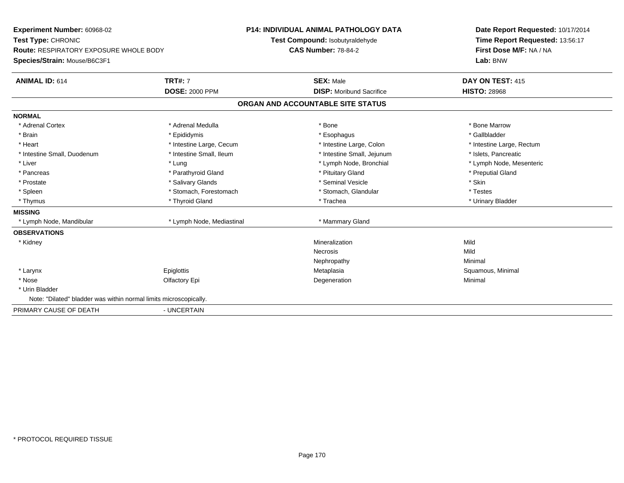**Experiment Number:** 60968-02**Test Type:** CHRONIC **Route:** RESPIRATORY EXPOSURE WHOLE BODY**Species/Strain:** Mouse/B6C3F1**P14: INDIVIDUAL ANIMAL PATHOLOGY DATATest Compound:** Isobutyraldehyde**CAS Number:** 78-84-2**Date Report Requested:** 10/17/2014**Time Report Requested:** 13:56:17**First Dose M/F:** NA / NA**Lab:** BNW**ANIMAL ID:** 614**TRT#:** 7 **SEX:** Male **DAY ON TEST:** 415 **DOSE:** 2000 PPM**DISP:** Moribund Sacrifice **HISTO:** 28968 **ORGAN AND ACCOUNTABLE SITE STATUSNORMAL**\* Adrenal Cortex \* Adrenal Medulla \* Adrenal Medulla \* Bone \* Bone \* Bone \* Bone \* Bone Marrow \* Gallbladder \* Brain \* Allen the state of the state of the state of the state of the state of the state of the state of the state of the state of the state of the state of the state of the state of the state of the state of the state o \* Heart **\*** Intestine Large, Cecum **\* Intestine Large, Cecum** \* Intestine Large, Colon \* Intestine Large, Rectum \* Intestine Large, Rectum \* Intestine Small, Duodenum \* Intestine Small, Ileum \* Intestine Small, Intestine Small, Jejunum \* Islets, Pancreatic \* Liver which is the settlement of the state of the state of the state of the state of the state of the state of the state of the state of the state of the state of the state of the state of the state of the state of the s \* Pancreas \* \* Parathyroid Gland \* \* Parathyroid Gland \* \* Pituitary Gland \* \* Preputial Gland \* \* Preputial Gland \* Prostate \* \* Salivary Glands \* \* Salivary Glands \* \* Seminal Vesicle \* \* \* Seminal Yestrich \* \* Skin \* \* Skin \* Testes \* Spleen \* Stomach, Forestomach \* Stomach, Spleen \* Stomach, Glandular \* Testestess \* Stomach, Glandular \* Urinary Bladder \* Thymus \* Thyroid Gland \* Trachea \* Urinary Bladder \* **MISSING**\* Lymph Node, Mandibular \* Lymph Node, Mediastinal \* Mammary Gland **OBSERVATIONS** \* Kidneyy the control of the control of the control of the control of the control of the control of the control of the control of the control of the control of the control of the control of the control of the control of the contro n Mild Necrosiss and the contract of the Mild Minimal Nephropathyy the contract of the Minimal Minimal Section 1996 and the contract of the Minimal Section 1997 and the contract of the contract of the contract of the contract of the contract of the contract of the contract of the contra \* Larynx Epiglottis MetaplasiaMetaplasia entre a material de la contra Squamous, Minimal Degeneration en la contra de la contra Squamous, Minimal Degeneration en la contra de la contra de la contra de la contra de la contra de la contra de la contra de \* Nosee and the Colombia Colombia Defectory Epi and the Colombia Degeneration and the Colombia Minimal Minimal Degeneration \* Urin Bladder Note: "Dilated" bladder was within normal limits microscopically.PRIMARY CAUSE OF DEATH- UNCERTAIN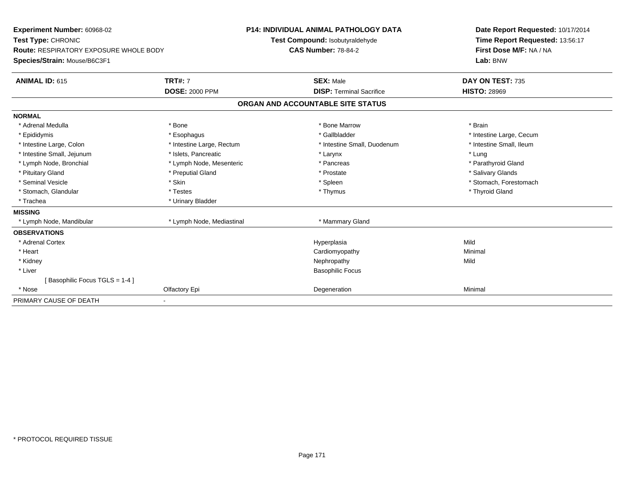| Experiment Number: 60968-02<br>Test Type: CHRONIC<br><b>Route: RESPIRATORY EXPOSURE WHOLE BODY</b><br>Species/Strain: Mouse/B6C3F1 |                                         | <b>P14: INDIVIDUAL ANIMAL PATHOLOGY DATA</b><br>Test Compound: Isobutyraldehyde<br><b>CAS Number: 78-84-2</b> | Date Report Requested: 10/17/2014<br>Time Report Requested: 13:56:17<br>First Dose M/F: NA / NA<br>Lab: BNW |  |
|------------------------------------------------------------------------------------------------------------------------------------|-----------------------------------------|---------------------------------------------------------------------------------------------------------------|-------------------------------------------------------------------------------------------------------------|--|
| <b>ANIMAL ID: 615</b>                                                                                                              | <b>TRT#: 7</b><br><b>DOSE: 2000 PPM</b> | <b>SEX: Male</b><br><b>DISP: Terminal Sacrifice</b>                                                           | DAY ON TEST: 735<br><b>HISTO: 28969</b>                                                                     |  |
|                                                                                                                                    |                                         | ORGAN AND ACCOUNTABLE SITE STATUS                                                                             |                                                                                                             |  |
|                                                                                                                                    |                                         |                                                                                                               |                                                                                                             |  |
| <b>NORMAL</b><br>* Adrenal Medulla                                                                                                 | * Bone                                  | * Bone Marrow                                                                                                 | * Brain                                                                                                     |  |
| * Epididymis                                                                                                                       | * Esophagus                             | * Gallbladder                                                                                                 | * Intestine Large, Cecum                                                                                    |  |
| * Intestine Large, Colon                                                                                                           | * Intestine Large, Rectum               | * Intestine Small, Duodenum                                                                                   | * Intestine Small, Ileum                                                                                    |  |
| * Intestine Small, Jejunum                                                                                                         | * Islets. Pancreatic                    | * Larynx                                                                                                      | * Lung                                                                                                      |  |
| * Lymph Node, Bronchial                                                                                                            | * Lymph Node, Mesenteric                | * Pancreas                                                                                                    | * Parathyroid Gland                                                                                         |  |
| * Pituitary Gland                                                                                                                  | * Preputial Gland                       | * Prostate                                                                                                    | * Salivary Glands                                                                                           |  |
| * Seminal Vesicle                                                                                                                  | * Skin                                  | * Spleen                                                                                                      | * Stomach, Forestomach                                                                                      |  |
| * Stomach, Glandular                                                                                                               | * Testes                                | * Thymus                                                                                                      | * Thyroid Gland                                                                                             |  |
| * Trachea                                                                                                                          | * Urinary Bladder                       |                                                                                                               |                                                                                                             |  |
| <b>MISSING</b>                                                                                                                     |                                         |                                                                                                               |                                                                                                             |  |
| * Lymph Node, Mandibular                                                                                                           | * Lymph Node, Mediastinal               | * Mammary Gland                                                                                               |                                                                                                             |  |
| <b>OBSERVATIONS</b>                                                                                                                |                                         |                                                                                                               |                                                                                                             |  |
| * Adrenal Cortex                                                                                                                   |                                         | Hyperplasia                                                                                                   | Mild                                                                                                        |  |
| * Heart                                                                                                                            |                                         | Cardiomyopathy                                                                                                | Minimal                                                                                                     |  |
| * Kidney                                                                                                                           |                                         | Nephropathy                                                                                                   | Mild                                                                                                        |  |
| * Liver                                                                                                                            |                                         | <b>Basophilic Focus</b>                                                                                       |                                                                                                             |  |
| [Basophilic Focus TGLS = 1-4]                                                                                                      |                                         |                                                                                                               |                                                                                                             |  |
| * Nose                                                                                                                             | Olfactory Epi                           | Degeneration                                                                                                  | Minimal                                                                                                     |  |
| PRIMARY CAUSE OF DEATH                                                                                                             |                                         |                                                                                                               |                                                                                                             |  |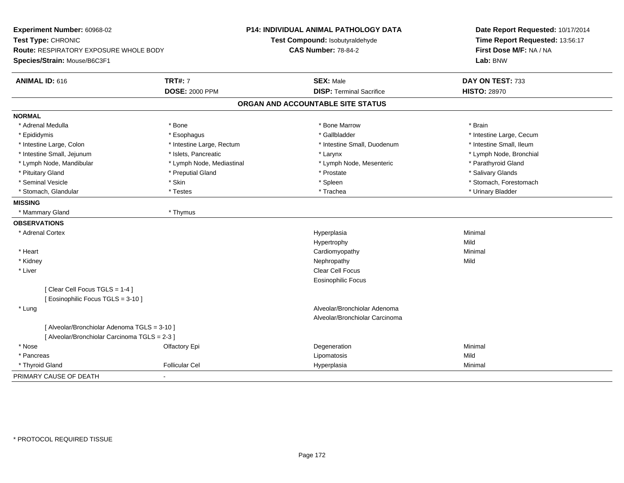| Experiment Number: 60968-02<br>Test Type: CHRONIC |                           | P14: INDIVIDUAL ANIMAL PATHOLOGY DATA<br>Test Compound: Isobutyraldehyde | Date Report Requested: 10/17/2014<br>Time Report Requested: 13:56:17 |  |
|---------------------------------------------------|---------------------------|--------------------------------------------------------------------------|----------------------------------------------------------------------|--|
| <b>Route: RESPIRATORY EXPOSURE WHOLE BODY</b>     |                           | <b>CAS Number: 78-84-2</b>                                               | First Dose M/F: NA / NA                                              |  |
| Species/Strain: Mouse/B6C3F1                      |                           |                                                                          | Lab: BNW                                                             |  |
|                                                   |                           |                                                                          |                                                                      |  |
| ANIMAL ID: 616                                    | <b>TRT#: 7</b>            | <b>SEX: Male</b>                                                         | DAY ON TEST: 733                                                     |  |
|                                                   | <b>DOSE: 2000 PPM</b>     | <b>DISP: Terminal Sacrifice</b>                                          | <b>HISTO: 28970</b>                                                  |  |
|                                                   |                           | ORGAN AND ACCOUNTABLE SITE STATUS                                        |                                                                      |  |
| <b>NORMAL</b>                                     |                           |                                                                          |                                                                      |  |
| * Adrenal Medulla                                 | * Bone                    | * Bone Marrow                                                            | * Brain                                                              |  |
| * Epididymis                                      | * Esophagus               | * Gallbladder                                                            | * Intestine Large, Cecum                                             |  |
| * Intestine Large, Colon                          | * Intestine Large, Rectum | * Intestine Small, Duodenum                                              | * Intestine Small, Ileum                                             |  |
| * Intestine Small, Jejunum                        | * Islets, Pancreatic      | * Larynx                                                                 | * Lymph Node, Bronchial                                              |  |
| * Lymph Node, Mandibular                          | * Lymph Node, Mediastinal | * Lymph Node, Mesenteric                                                 | * Parathyroid Gland                                                  |  |
| * Pituitary Gland                                 | * Preputial Gland         | * Prostate                                                               | * Salivary Glands                                                    |  |
| * Seminal Vesicle                                 | * Skin                    | * Spleen                                                                 | * Stomach, Forestomach                                               |  |
| * Stomach, Glandular                              | * Testes                  | * Trachea                                                                | * Urinary Bladder                                                    |  |
| <b>MISSING</b>                                    |                           |                                                                          |                                                                      |  |
| * Mammary Gland                                   | * Thymus                  |                                                                          |                                                                      |  |
| <b>OBSERVATIONS</b>                               |                           |                                                                          |                                                                      |  |
| * Adrenal Cortex                                  |                           | Hyperplasia                                                              | Minimal                                                              |  |
|                                                   |                           | Hypertrophy                                                              | Mild                                                                 |  |
| * Heart                                           |                           | Cardiomyopathy                                                           | Minimal                                                              |  |
| * Kidney                                          |                           | Nephropathy                                                              | Mild                                                                 |  |
| * Liver                                           |                           | <b>Clear Cell Focus</b>                                                  |                                                                      |  |
|                                                   |                           | Eosinophilic Focus                                                       |                                                                      |  |
| [Clear Cell Focus TGLS = 1-4]                     |                           |                                                                          |                                                                      |  |
| [ Eosinophilic Focus TGLS = 3-10 ]                |                           |                                                                          |                                                                      |  |
| * Lung                                            |                           | Alveolar/Bronchiolar Adenoma                                             |                                                                      |  |
|                                                   |                           | Alveolar/Bronchiolar Carcinoma                                           |                                                                      |  |
| [ Alveolar/Bronchiolar Adenoma TGLS = 3-10 ]      |                           |                                                                          |                                                                      |  |
| [ Alveolar/Bronchiolar Carcinoma TGLS = 2-3 ]     |                           |                                                                          |                                                                      |  |
| * Nose                                            | Olfactory Epi             | Degeneration                                                             | Minimal                                                              |  |
| * Pancreas                                        |                           | Lipomatosis                                                              | Mild                                                                 |  |
| * Thyroid Gland                                   | <b>Follicular Cel</b>     | Hyperplasia                                                              | Minimal                                                              |  |
| PRIMARY CAUSE OF DEATH                            |                           |                                                                          |                                                                      |  |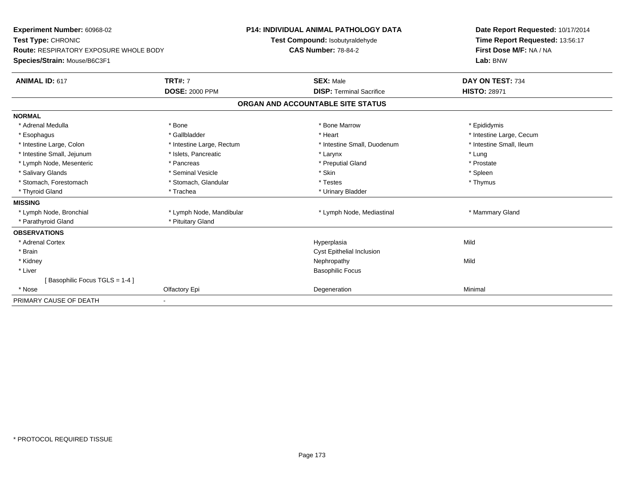| Experiment Number: 60968-02<br>Test Type: CHRONIC<br><b>Route: RESPIRATORY EXPOSURE WHOLE BODY</b><br>Species/Strain: Mouse/B6C3F1<br><b>TRT#: 7</b><br><b>ANIMAL ID: 617</b><br><b>DOSE: 2000 PPM</b> |                           | <b>P14: INDIVIDUAL ANIMAL PATHOLOGY DATA</b><br>Test Compound: Isobutyraldehyde<br><b>CAS Number: 78-84-2</b><br><b>SEX: Male</b><br><b>DISP: Terminal Sacrifice</b> | Date Report Requested: 10/17/2014<br>Time Report Requested: 13:56:17<br>First Dose M/F: NA / NA<br>Lab: BNW<br>DAY ON TEST: 734<br><b>HISTO: 28971</b> |
|--------------------------------------------------------------------------------------------------------------------------------------------------------------------------------------------------------|---------------------------|----------------------------------------------------------------------------------------------------------------------------------------------------------------------|--------------------------------------------------------------------------------------------------------------------------------------------------------|
|                                                                                                                                                                                                        |                           | ORGAN AND ACCOUNTABLE SITE STATUS                                                                                                                                    |                                                                                                                                                        |
| <b>NORMAL</b>                                                                                                                                                                                          |                           |                                                                                                                                                                      |                                                                                                                                                        |
| * Adrenal Medulla                                                                                                                                                                                      | * Bone                    | * Bone Marrow                                                                                                                                                        | * Epididymis                                                                                                                                           |
| * Esophagus                                                                                                                                                                                            | * Gallbladder             | * Heart                                                                                                                                                              | * Intestine Large, Cecum                                                                                                                               |
| * Intestine Large, Colon                                                                                                                                                                               | * Intestine Large, Rectum | * Intestine Small, Duodenum                                                                                                                                          | * Intestine Small, Ileum                                                                                                                               |
| * Intestine Small, Jejunum                                                                                                                                                                             | * Islets, Pancreatic      | * Larynx                                                                                                                                                             | * Lung                                                                                                                                                 |
| * Lymph Node, Mesenteric                                                                                                                                                                               | * Pancreas                | * Preputial Gland                                                                                                                                                    | * Prostate                                                                                                                                             |
| * Salivary Glands                                                                                                                                                                                      | * Seminal Vesicle         | * Skin                                                                                                                                                               | * Spleen                                                                                                                                               |
| * Stomach, Forestomach                                                                                                                                                                                 | * Stomach, Glandular      | * Testes                                                                                                                                                             | * Thymus                                                                                                                                               |
| * Thyroid Gland                                                                                                                                                                                        | * Trachea                 | * Urinary Bladder                                                                                                                                                    |                                                                                                                                                        |
| <b>MISSING</b>                                                                                                                                                                                         |                           |                                                                                                                                                                      |                                                                                                                                                        |
| * Lymph Node, Bronchial                                                                                                                                                                                | * Lymph Node, Mandibular  | * Lymph Node, Mediastinal                                                                                                                                            | * Mammary Gland                                                                                                                                        |
| * Parathyroid Gland                                                                                                                                                                                    | * Pituitary Gland         |                                                                                                                                                                      |                                                                                                                                                        |
| <b>OBSERVATIONS</b>                                                                                                                                                                                    |                           |                                                                                                                                                                      |                                                                                                                                                        |
| * Adrenal Cortex                                                                                                                                                                                       |                           | Hyperplasia                                                                                                                                                          | Mild                                                                                                                                                   |
| * Brain                                                                                                                                                                                                |                           | <b>Cyst Epithelial Inclusion</b>                                                                                                                                     |                                                                                                                                                        |
| * Kidney                                                                                                                                                                                               |                           | Nephropathy                                                                                                                                                          | Mild                                                                                                                                                   |
| * Liver                                                                                                                                                                                                |                           | <b>Basophilic Focus</b>                                                                                                                                              |                                                                                                                                                        |
| Basophilic Focus TGLS = 1-4 ]                                                                                                                                                                          |                           |                                                                                                                                                                      |                                                                                                                                                        |
| * Nose                                                                                                                                                                                                 | Olfactory Epi             | Degeneration                                                                                                                                                         | Minimal                                                                                                                                                |
| PRIMARY CAUSE OF DEATH                                                                                                                                                                                 |                           |                                                                                                                                                                      |                                                                                                                                                        |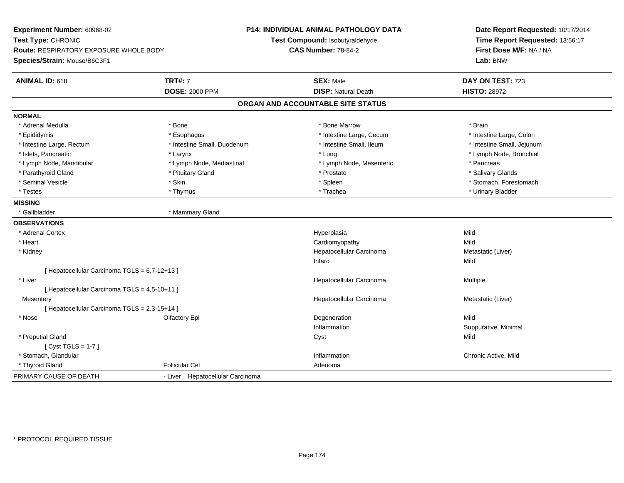**Experiment Number:** 60968-02**Test Type:** CHRONIC **Route:** RESPIRATORY EXPOSURE WHOLE BODY**Species/Strain:** Mouse/B6C3F1**P14: INDIVIDUAL ANIMAL PATHOLOGY DATATest Compound:** Isobutyraldehyde**CAS Number:** 78-84-2**Date Report Requested:** 10/17/2014**Time Report Requested:** 13:56:17**First Dose M/F:** NA / NA**Lab:** BNW**ANIMAL ID:** 618**TRT#:** 7 **SEX:** Male **DAY ON TEST:** 723 **DOSE:** 2000 PPM**DISP:** Natural Death **HISTO:** 28972 **ORGAN AND ACCOUNTABLE SITE STATUSNORMAL**\* Adrenal Medulla \* \* Annual Medulla \* Brain \* Bone \* \* Bone Marrow \* Bone Marrow \* \* Brain \* Brain \* Brain \* Brain \* Brain \* Brain \* Brain \* Brain \* Brain \* Brain \* Brain \* Brain \* Brain \* Brain \* Brain \* Brain \* Brain \* \* Intestine Large, Colon \* Epididymis \* Intestine Large, Cecum \* Esophagus \* Intestine Large, Cecum \* Intestine Large, Cecum \* Intestine Large, Rectum \* Thestine Small, Duodenum \* Number of the small, Ileum \* Intestine Small, Jejunum \* Intestine Small, Jejunum \* Islets, Pancreatic \* Larynx \* Lung \* Lymph Node, Bronchial \* Lymph Node, Mandibular \* The same that the section of the section of the section of the section of the section of the section of the section of the section of the section of the section of the section of the section of t \* Salivary Glands \* Parathyroid Gland \* \* \* Pituitary Gland \* \* Prostate \* \* Prostate \* \* Salivary Glands \* Salivary Glands \* Salivary Glands \* Salivary Glands \* Salivary Glands \* Salivary Glands \* Salivary Glands \* Salivary Glands \* Saliva \* Seminal Vesicle \* The state of the set of the set of the set of the set of the set of the set of the set of the set of the set of the set of the set of the set of the set of the set of the set of the set of the set of th \* Testes \* Thymus \* Trachea \* Urinary Bladder **MISSING**\* Gallbladder \* Mammary Gland **OBSERVATIONS** \* Adrenal Cortexx and the control of the control of the control of the control of the control of the control of the control of the control of the control of the control of the control of the control of the control of the control of the co a Mild \* Heart Cardiomyopathyy Mild Metastatic (Liver) \* Kidney Hepatocellular CarcinomaInfarctt and the contract of the contract of the contract of the contract of the contract of the contract of the contract of the contract of the contract of the contract of the contract of the contract of the contract of the cont [ Hepatocellular Carcinoma TGLS = 6,7-12+13 ] \* Liver Hepatocellular Carcinoma Multiple [ Hepatocellular Carcinoma TGLS = 4,5-10+11 ]**Mesentery**  Hepatocellular Carcinoma Metastatic (Liver) [ Hepatocellular Carcinoma TGLS = 2,3-15+14 ] \* Nosee and the Cole of Cole of the Cole of the Cole of the Cole of the Cole of the Cole of the Cole of the Cole of the Mild InflammationSuppurative, Minimal<br>Mild \* Preputial Glandd and the control of the control of the control of the control of the control of the control of the control of the control of the control of the control of the control of the control of the control of the control of the co [ Cyst TGLS = 1-7 ] \* Stomach, Glandular**Inflammation Inflammation**  Chronic Active, Mild \* Thyroid Glandd **Exercise Controllicular Cel Cel Adenoma** Adenoma Adenoma Adenoma Adenoma Adenoma Adenoma Adenoma Adenoma Adenoma Adenoma Adenoma Adenoma Adenoma Adenoma Adenoma Adenoma Adenoma Adenoma Adenoma Adenoma Adenoma Adenoma PRIMARY CAUSE OF DEATH- Liver Hepatocellular Carcinoma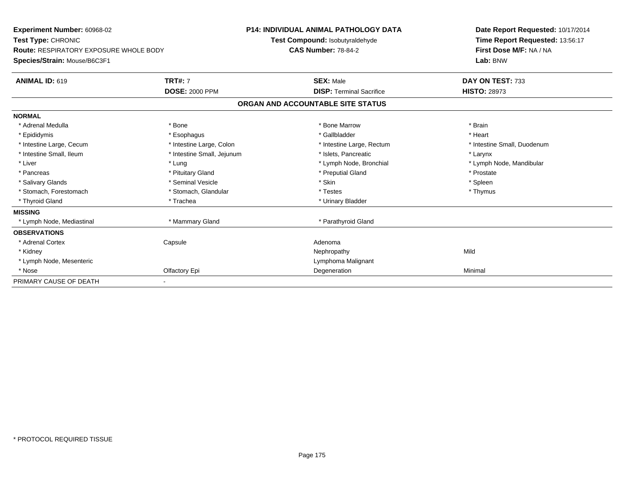| Experiment Number: 60968-02<br><b>Test Type: CHRONIC</b><br><b>Route: RESPIRATORY EXPOSURE WHOLE BODY</b><br>Species/Strain: Mouse/B6C3F1 |                            | <b>P14: INDIVIDUAL ANIMAL PATHOLOGY DATA</b><br>Test Compound: Isobutyraldehyde<br><b>CAS Number: 78-84-2</b> |                                   | Date Report Requested: 10/17/2014<br>Time Report Requested: 13:56:17<br>First Dose M/F: NA / NA<br>Lab: BNW |  |
|-------------------------------------------------------------------------------------------------------------------------------------------|----------------------------|---------------------------------------------------------------------------------------------------------------|-----------------------------------|-------------------------------------------------------------------------------------------------------------|--|
| <b>ANIMAL ID: 619</b>                                                                                                                     | <b>TRT#: 7</b>             |                                                                                                               | <b>SEX: Male</b>                  | DAY ON TEST: 733                                                                                            |  |
|                                                                                                                                           | <b>DOSE: 2000 PPM</b>      |                                                                                                               | <b>DISP:</b> Terminal Sacrifice   | <b>HISTO: 28973</b>                                                                                         |  |
|                                                                                                                                           |                            |                                                                                                               | ORGAN AND ACCOUNTABLE SITE STATUS |                                                                                                             |  |
| <b>NORMAL</b>                                                                                                                             |                            |                                                                                                               |                                   |                                                                                                             |  |
| * Adrenal Medulla                                                                                                                         | * Bone                     |                                                                                                               | * Bone Marrow                     | * Brain                                                                                                     |  |
| * Epididymis                                                                                                                              | * Esophagus                |                                                                                                               | * Gallbladder                     | * Heart                                                                                                     |  |
| * Intestine Large, Cecum                                                                                                                  | * Intestine Large, Colon   |                                                                                                               | * Intestine Large, Rectum         | * Intestine Small, Duodenum                                                                                 |  |
| * Intestine Small, Ileum                                                                                                                  | * Intestine Small, Jejunum |                                                                                                               | * Islets. Pancreatic              | * Larynx                                                                                                    |  |
| * Liver                                                                                                                                   | * Lung                     |                                                                                                               | * Lymph Node, Bronchial           | * Lymph Node, Mandibular                                                                                    |  |
| * Pancreas                                                                                                                                | * Pituitary Gland          |                                                                                                               | * Preputial Gland                 | * Prostate                                                                                                  |  |
| * Salivary Glands                                                                                                                         | * Seminal Vesicle          |                                                                                                               | * Skin                            | * Spleen                                                                                                    |  |
| * Stomach. Forestomach                                                                                                                    | * Stomach, Glandular       |                                                                                                               | * Testes                          | * Thymus                                                                                                    |  |
| * Thyroid Gland                                                                                                                           | * Trachea                  |                                                                                                               | * Urinary Bladder                 |                                                                                                             |  |
| <b>MISSING</b>                                                                                                                            |                            |                                                                                                               |                                   |                                                                                                             |  |
| * Lymph Node, Mediastinal                                                                                                                 | * Mammary Gland            |                                                                                                               | * Parathyroid Gland               |                                                                                                             |  |
| <b>OBSERVATIONS</b>                                                                                                                       |                            |                                                                                                               |                                   |                                                                                                             |  |
| * Adrenal Cortex                                                                                                                          | Capsule                    |                                                                                                               | Adenoma                           |                                                                                                             |  |
| * Kidney                                                                                                                                  |                            |                                                                                                               | Nephropathy                       | Mild                                                                                                        |  |
| * Lymph Node, Mesenteric                                                                                                                  |                            |                                                                                                               | Lymphoma Malignant                |                                                                                                             |  |
| * Nose                                                                                                                                    | Olfactory Epi              |                                                                                                               | Degeneration                      | Minimal                                                                                                     |  |
| PRIMARY CAUSE OF DEATH                                                                                                                    |                            |                                                                                                               |                                   |                                                                                                             |  |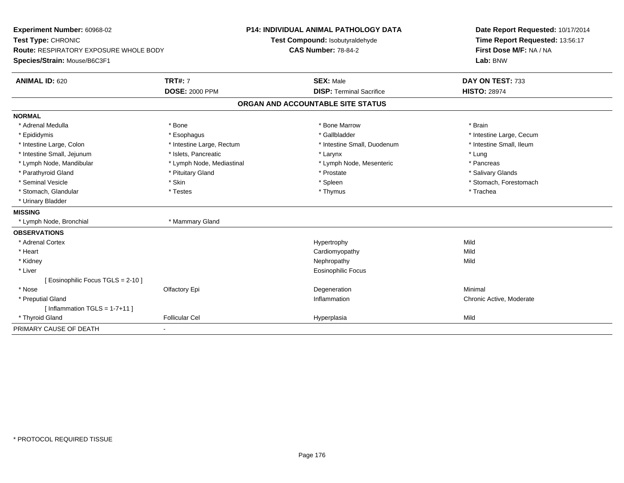| Experiment Number: 60968-02<br>Test Type: CHRONIC<br>Route: RESPIRATORY EXPOSURE WHOLE BODY |                           | <b>P14: INDIVIDUAL ANIMAL PATHOLOGY DATA</b><br>Test Compound: Isobutyraldehyde<br><b>CAS Number: 78-84-2</b> | Date Report Requested: 10/17/2014<br>Time Report Requested: 13:56:17<br>First Dose M/F: NA / NA |  |
|---------------------------------------------------------------------------------------------|---------------------------|---------------------------------------------------------------------------------------------------------------|-------------------------------------------------------------------------------------------------|--|
| Species/Strain: Mouse/B6C3F1                                                                |                           |                                                                                                               | Lab: BNW                                                                                        |  |
| <b>ANIMAL ID: 620</b>                                                                       | <b>TRT#: 7</b>            | <b>SEX: Male</b>                                                                                              | DAY ON TEST: 733                                                                                |  |
|                                                                                             | <b>DOSE: 2000 PPM</b>     | <b>DISP: Terminal Sacrifice</b>                                                                               | <b>HISTO: 28974</b>                                                                             |  |
|                                                                                             |                           | ORGAN AND ACCOUNTABLE SITE STATUS                                                                             |                                                                                                 |  |
| <b>NORMAL</b>                                                                               |                           |                                                                                                               |                                                                                                 |  |
| * Adrenal Medulla                                                                           | * Bone                    | * Bone Marrow                                                                                                 | * Brain                                                                                         |  |
| * Epididymis                                                                                | * Esophagus               | * Gallbladder                                                                                                 | * Intestine Large, Cecum                                                                        |  |
| * Intestine Large, Colon                                                                    | * Intestine Large, Rectum | * Intestine Small, Duodenum                                                                                   | * Intestine Small, Ileum                                                                        |  |
| * Intestine Small, Jejunum                                                                  | * Islets, Pancreatic      | * Larynx                                                                                                      | * Lung                                                                                          |  |
| * Lymph Node, Mandibular                                                                    | * Lymph Node, Mediastinal | * Lymph Node, Mesenteric                                                                                      | * Pancreas                                                                                      |  |
| * Parathyroid Gland                                                                         | * Pituitary Gland         | * Prostate                                                                                                    | * Salivary Glands                                                                               |  |
| * Seminal Vesicle                                                                           | * Skin                    | * Spleen                                                                                                      | * Stomach, Forestomach                                                                          |  |
| * Stomach, Glandular                                                                        | * Testes                  | * Thymus                                                                                                      | * Trachea                                                                                       |  |
| * Urinary Bladder                                                                           |                           |                                                                                                               |                                                                                                 |  |
| <b>MISSING</b>                                                                              |                           |                                                                                                               |                                                                                                 |  |
| * Lymph Node, Bronchial                                                                     | * Mammary Gland           |                                                                                                               |                                                                                                 |  |
| <b>OBSERVATIONS</b>                                                                         |                           |                                                                                                               |                                                                                                 |  |
| * Adrenal Cortex                                                                            |                           | Hypertrophy                                                                                                   | Mild                                                                                            |  |
| * Heart                                                                                     |                           | Cardiomyopathy                                                                                                | Mild                                                                                            |  |
| * Kidney                                                                                    |                           | Nephropathy                                                                                                   | Mild                                                                                            |  |
| * Liver                                                                                     |                           | <b>Eosinophilic Focus</b>                                                                                     |                                                                                                 |  |
| [ Eosinophilic Focus TGLS = 2-10 ]                                                          |                           |                                                                                                               |                                                                                                 |  |
| * Nose                                                                                      | Olfactory Epi             | Degeneration                                                                                                  | Minimal                                                                                         |  |
| * Preputial Gland                                                                           |                           | Inflammation                                                                                                  | Chronic Active, Moderate                                                                        |  |
| [Inflammation TGLS = $1-7+11$ ]                                                             |                           |                                                                                                               |                                                                                                 |  |
| * Thyroid Gland                                                                             | <b>Follicular Cel</b>     | Hyperplasia                                                                                                   | Mild                                                                                            |  |
| PRIMARY CAUSE OF DEATH                                                                      |                           |                                                                                                               |                                                                                                 |  |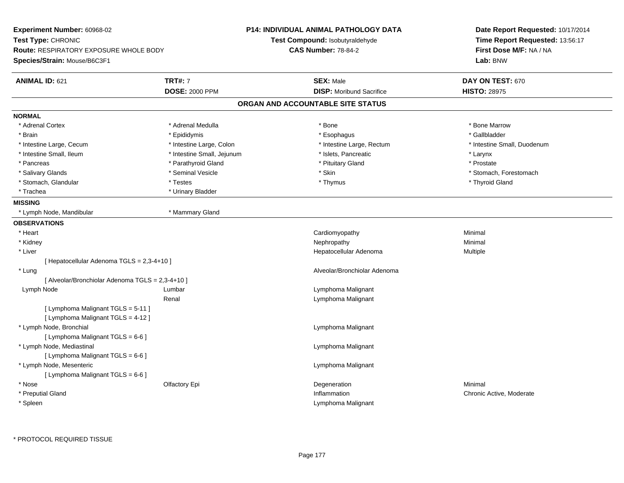| Experiment Number: 60968-02                      |                            | <b>P14: INDIVIDUAL ANIMAL PATHOLOGY DATA</b> | Date Report Requested: 10/17/2014<br>Time Report Requested: 13:56:17 |  |  |
|--------------------------------------------------|----------------------------|----------------------------------------------|----------------------------------------------------------------------|--|--|
| Test Type: CHRONIC                               |                            | Test Compound: Isobutyraldehyde              |                                                                      |  |  |
| <b>Route: RESPIRATORY EXPOSURE WHOLE BODY</b>    |                            | <b>CAS Number: 78-84-2</b>                   | First Dose M/F: NA / NA                                              |  |  |
| Species/Strain: Mouse/B6C3F1                     |                            |                                              | Lab: BNW                                                             |  |  |
| <b>ANIMAL ID: 621</b>                            | <b>TRT#: 7</b>             | <b>SEX: Male</b>                             | DAY ON TEST: 670                                                     |  |  |
|                                                  | <b>DOSE: 2000 PPM</b>      | <b>DISP:</b> Moribund Sacrifice              | <b>HISTO: 28975</b>                                                  |  |  |
|                                                  |                            | ORGAN AND ACCOUNTABLE SITE STATUS            |                                                                      |  |  |
| <b>NORMAL</b>                                    |                            |                                              |                                                                      |  |  |
| * Adrenal Cortex                                 | * Adrenal Medulla          | * Bone                                       | * Bone Marrow                                                        |  |  |
| * Brain                                          | * Epididymis               | * Esophagus                                  | * Gallbladder                                                        |  |  |
| * Intestine Large, Cecum                         | * Intestine Large, Colon   | * Intestine Large, Rectum                    | * Intestine Small, Duodenum                                          |  |  |
| * Intestine Small, Ileum                         | * Intestine Small, Jejunum | * Islets, Pancreatic                         | * Larynx                                                             |  |  |
| * Pancreas                                       | * Parathyroid Gland        | * Pituitary Gland                            | * Prostate                                                           |  |  |
| * Salivary Glands                                | * Seminal Vesicle          | * Skin                                       | * Stomach, Forestomach                                               |  |  |
| * Stomach, Glandular                             | * Testes                   | * Thymus                                     | * Thyroid Gland                                                      |  |  |
| * Trachea                                        | * Urinary Bladder          |                                              |                                                                      |  |  |
| <b>MISSING</b>                                   |                            |                                              |                                                                      |  |  |
| * Lymph Node, Mandibular                         | * Mammary Gland            |                                              |                                                                      |  |  |
| <b>OBSERVATIONS</b>                              |                            |                                              |                                                                      |  |  |
| * Heart                                          |                            | Cardiomyopathy                               | Minimal                                                              |  |  |
| * Kidney                                         |                            | Nephropathy                                  | Minimal                                                              |  |  |
| * Liver                                          |                            | Hepatocellular Adenoma                       | Multiple                                                             |  |  |
| [ Hepatocellular Adenoma TGLS = 2,3-4+10 ]       |                            |                                              |                                                                      |  |  |
| * Lung                                           |                            | Alveolar/Bronchiolar Adenoma                 |                                                                      |  |  |
| [ Alveolar/Bronchiolar Adenoma TGLS = 2,3-4+10 ] |                            |                                              |                                                                      |  |  |
| Lymph Node                                       | Lumbar                     | Lymphoma Malignant                           |                                                                      |  |  |
|                                                  | Renal                      | Lymphoma Malignant                           |                                                                      |  |  |
| [ Lymphoma Malignant TGLS = 5-11 ]               |                            |                                              |                                                                      |  |  |
| [ Lymphoma Malignant TGLS = 4-12 ]               |                            |                                              |                                                                      |  |  |
| * Lymph Node, Bronchial                          |                            | Lymphoma Malignant                           |                                                                      |  |  |
| [ Lymphoma Malignant TGLS = 6-6 ]                |                            |                                              |                                                                      |  |  |
| * Lymph Node, Mediastinal                        |                            | Lymphoma Malignant                           |                                                                      |  |  |
| [ Lymphoma Malignant TGLS = 6-6 ]                |                            |                                              |                                                                      |  |  |
| * Lymph Node, Mesenteric                         |                            | Lymphoma Malignant                           |                                                                      |  |  |
| [ Lymphoma Malignant TGLS = 6-6 ]                |                            |                                              |                                                                      |  |  |
| * Nose                                           | Olfactory Epi              | Degeneration                                 | Minimal                                                              |  |  |
| * Preputial Gland                                |                            | Inflammation                                 | Chronic Active, Moderate                                             |  |  |
| * Spleen                                         |                            | Lymphoma Malignant                           |                                                                      |  |  |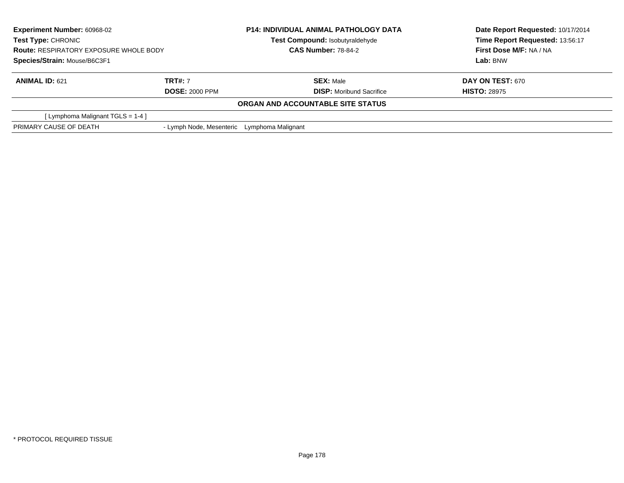| <b>Experiment Number: 60968-02</b><br><b>Test Type: CHRONIC</b><br><b>Route: RESPIRATORY EXPOSURE WHOLE BODY</b><br>Species/Strain: Mouse/B6C3F1 |                                             | <b>P14: INDIVIDUAL ANIMAL PATHOLOGY DATA</b> | Date Report Requested: 10/17/2014<br>Time Report Requested: 13:56:17 |  |
|--------------------------------------------------------------------------------------------------------------------------------------------------|---------------------------------------------|----------------------------------------------|----------------------------------------------------------------------|--|
|                                                                                                                                                  |                                             | Test Compound: Isobutyraldehyde              |                                                                      |  |
|                                                                                                                                                  |                                             | <b>CAS Number: 78-84-2</b>                   | First Dose M/F: NA / NA                                              |  |
|                                                                                                                                                  |                                             |                                              | Lab: BNW                                                             |  |
| <b>ANIMAL ID: 621</b>                                                                                                                            | <b>TRT#: 7</b>                              | <b>SEX: Male</b>                             | <b>DAY ON TEST: 670</b>                                              |  |
|                                                                                                                                                  | <b>DOSE: 2000 PPM</b>                       | <b>DISP:</b> Moribund Sacrifice              | <b>HISTO: 28975</b>                                                  |  |
|                                                                                                                                                  |                                             | ORGAN AND ACCOUNTABLE SITE STATUS            |                                                                      |  |
| [ Lymphoma Malignant $TGLS = 1-4$ ]                                                                                                              |                                             |                                              |                                                                      |  |
| PRIMARY CAUSE OF DEATH                                                                                                                           | - Lymph Node, Mesenteric Lymphoma Malignant |                                              |                                                                      |  |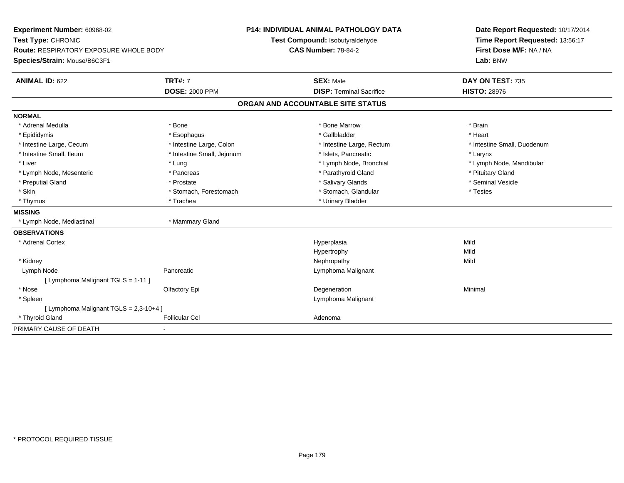| Experiment Number: 60968-02<br>Test Type: CHRONIC<br>Route: RESPIRATORY EXPOSURE WHOLE BODY<br>Species/Strain: Mouse/B6C3F1 |                            | P14: INDIVIDUAL ANIMAL PATHOLOGY DATA<br>Test Compound: Isobutyraldehyde<br><b>CAS Number: 78-84-2</b> | Date Report Requested: 10/17/2014<br>Time Report Requested: 13:56:17<br>First Dose M/F: NA / NA<br>Lab: BNW |  |  |  |
|-----------------------------------------------------------------------------------------------------------------------------|----------------------------|--------------------------------------------------------------------------------------------------------|-------------------------------------------------------------------------------------------------------------|--|--|--|
| <b>ANIMAL ID: 622</b>                                                                                                       | <b>TRT#: 7</b>             | <b>SEX: Male</b>                                                                                       | DAY ON TEST: 735                                                                                            |  |  |  |
|                                                                                                                             | <b>DOSE: 2000 PPM</b>      | <b>DISP: Terminal Sacrifice</b>                                                                        | <b>HISTO: 28976</b>                                                                                         |  |  |  |
| ORGAN AND ACCOUNTABLE SITE STATUS                                                                                           |                            |                                                                                                        |                                                                                                             |  |  |  |
| <b>NORMAL</b>                                                                                                               |                            |                                                                                                        |                                                                                                             |  |  |  |
| * Adrenal Medulla                                                                                                           | * Bone                     | * Bone Marrow                                                                                          | * Brain                                                                                                     |  |  |  |
| * Epididymis                                                                                                                | * Esophagus                | * Gallbladder                                                                                          | * Heart                                                                                                     |  |  |  |
| * Intestine Large, Cecum                                                                                                    | * Intestine Large, Colon   | * Intestine Large, Rectum                                                                              | * Intestine Small, Duodenum                                                                                 |  |  |  |
| * Intestine Small, Ileum                                                                                                    | * Intestine Small, Jejunum | * Islets, Pancreatic                                                                                   | * Larynx                                                                                                    |  |  |  |
| * Liver                                                                                                                     | * Lung                     | * Lymph Node, Bronchial                                                                                | * Lymph Node, Mandibular                                                                                    |  |  |  |
| * Lymph Node, Mesenteric                                                                                                    | * Pancreas                 | * Parathyroid Gland                                                                                    | * Pituitary Gland                                                                                           |  |  |  |
| * Preputial Gland                                                                                                           | * Prostate                 | * Salivary Glands                                                                                      | * Seminal Vesicle                                                                                           |  |  |  |
| * Skin                                                                                                                      | * Stomach, Forestomach     | * Stomach, Glandular                                                                                   | * Testes                                                                                                    |  |  |  |
| * Thymus                                                                                                                    | * Trachea                  | * Urinary Bladder                                                                                      |                                                                                                             |  |  |  |
| <b>MISSING</b>                                                                                                              |                            |                                                                                                        |                                                                                                             |  |  |  |
| * Lymph Node, Mediastinal                                                                                                   | * Mammary Gland            |                                                                                                        |                                                                                                             |  |  |  |
| <b>OBSERVATIONS</b>                                                                                                         |                            |                                                                                                        |                                                                                                             |  |  |  |
| * Adrenal Cortex                                                                                                            |                            | Hyperplasia                                                                                            | Mild                                                                                                        |  |  |  |
|                                                                                                                             |                            | Hypertrophy                                                                                            | Mild                                                                                                        |  |  |  |
| * Kidney                                                                                                                    |                            | Nephropathy                                                                                            | Mild                                                                                                        |  |  |  |
| Lymph Node                                                                                                                  | Pancreatic                 | Lymphoma Malignant                                                                                     |                                                                                                             |  |  |  |
| [ Lymphoma Malignant TGLS = 1-11 ]                                                                                          |                            |                                                                                                        |                                                                                                             |  |  |  |
| * Nose                                                                                                                      | Olfactory Epi              | Degeneration                                                                                           | Minimal                                                                                                     |  |  |  |
| * Spleen                                                                                                                    |                            | Lymphoma Malignant                                                                                     |                                                                                                             |  |  |  |
| [ Lymphoma Malignant TGLS = 2,3-10+4 ]                                                                                      |                            |                                                                                                        |                                                                                                             |  |  |  |
| * Thyroid Gland                                                                                                             | <b>Follicular Cel</b>      | Adenoma                                                                                                |                                                                                                             |  |  |  |
| PRIMARY CAUSE OF DEATH                                                                                                      |                            |                                                                                                        |                                                                                                             |  |  |  |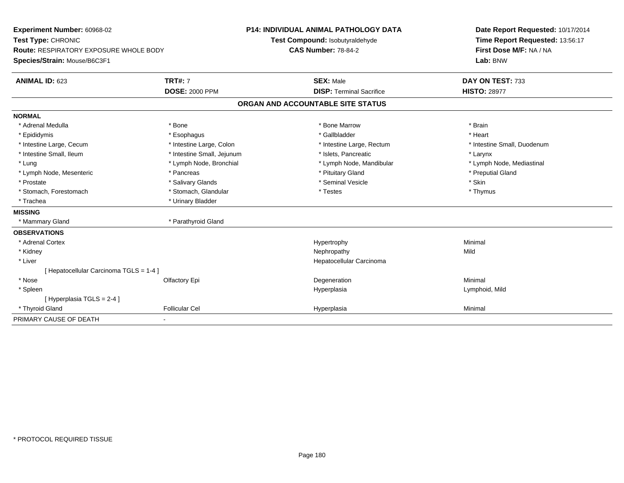| Experiment Number: 60968-02<br>Test Type: CHRONIC<br>Route: RESPIRATORY EXPOSURE WHOLE BODY |                            | P14: INDIVIDUAL ANIMAL PATHOLOGY DATA                         |                                   |  | Date Report Requested: 10/17/2014                          |  |  |
|---------------------------------------------------------------------------------------------|----------------------------|---------------------------------------------------------------|-----------------------------------|--|------------------------------------------------------------|--|--|
|                                                                                             |                            | Test Compound: Isobutyraldehyde<br><b>CAS Number: 78-84-2</b> |                                   |  | Time Report Requested: 13:56:17<br>First Dose M/F: NA / NA |  |  |
|                                                                                             |                            |                                                               |                                   |  |                                                            |  |  |
| Species/Strain: Mouse/B6C3F1                                                                |                            |                                                               |                                   |  | Lab: BNW                                                   |  |  |
| <b>ANIMAL ID: 623</b>                                                                       | <b>TRT#: 7</b>             |                                                               | <b>SEX: Male</b>                  |  | DAY ON TEST: 733                                           |  |  |
|                                                                                             | <b>DOSE: 2000 PPM</b>      |                                                               | <b>DISP: Terminal Sacrifice</b>   |  | <b>HISTO: 28977</b>                                        |  |  |
|                                                                                             |                            |                                                               | ORGAN AND ACCOUNTABLE SITE STATUS |  |                                                            |  |  |
| <b>NORMAL</b>                                                                               |                            |                                                               |                                   |  |                                                            |  |  |
| * Adrenal Medulla                                                                           | * Bone                     |                                                               | * Bone Marrow                     |  | * Brain                                                    |  |  |
| * Epididymis                                                                                | * Esophagus                |                                                               | * Gallbladder                     |  | * Heart                                                    |  |  |
| * Intestine Large, Cecum                                                                    | * Intestine Large, Colon   |                                                               | * Intestine Large, Rectum         |  | * Intestine Small, Duodenum                                |  |  |
| * Intestine Small, Ileum                                                                    | * Intestine Small, Jejunum |                                                               | * Islets, Pancreatic              |  | * Larynx                                                   |  |  |
| * Lung                                                                                      | * Lymph Node, Bronchial    |                                                               | * Lymph Node, Mandibular          |  | * Lymph Node, Mediastinal                                  |  |  |
| * Lymph Node, Mesenteric                                                                    | * Pancreas                 |                                                               | * Pituitary Gland                 |  | * Preputial Gland                                          |  |  |
| * Prostate                                                                                  | * Salivary Glands          |                                                               | * Seminal Vesicle                 |  | * Skin                                                     |  |  |
| * Stomach, Forestomach                                                                      | * Stomach, Glandular       |                                                               | * Testes                          |  | * Thymus                                                   |  |  |
| * Trachea                                                                                   | * Urinary Bladder          |                                                               |                                   |  |                                                            |  |  |
| <b>MISSING</b>                                                                              |                            |                                                               |                                   |  |                                                            |  |  |
| * Mammary Gland                                                                             | * Parathyroid Gland        |                                                               |                                   |  |                                                            |  |  |
| <b>OBSERVATIONS</b>                                                                         |                            |                                                               |                                   |  |                                                            |  |  |
| * Adrenal Cortex                                                                            |                            |                                                               | Hypertrophy                       |  | Minimal                                                    |  |  |
| * Kidney                                                                                    |                            |                                                               | Nephropathy                       |  | Mild                                                       |  |  |
| * Liver                                                                                     |                            |                                                               | Hepatocellular Carcinoma          |  |                                                            |  |  |
| [ Hepatocellular Carcinoma TGLS = 1-4 ]                                                     |                            |                                                               |                                   |  |                                                            |  |  |
| * Nose                                                                                      | Olfactory Epi              |                                                               | Degeneration                      |  | Minimal                                                    |  |  |
| * Spleen                                                                                    |                            |                                                               | Hyperplasia                       |  | Lymphoid, Mild                                             |  |  |
| [Hyperplasia TGLS = $2-4$ ]                                                                 |                            |                                                               |                                   |  |                                                            |  |  |
| * Thyroid Gland                                                                             | <b>Follicular Cel</b>      |                                                               | Hyperplasia                       |  | Minimal                                                    |  |  |
| PRIMARY CAUSE OF DEATH                                                                      | ٠                          |                                                               |                                   |  |                                                            |  |  |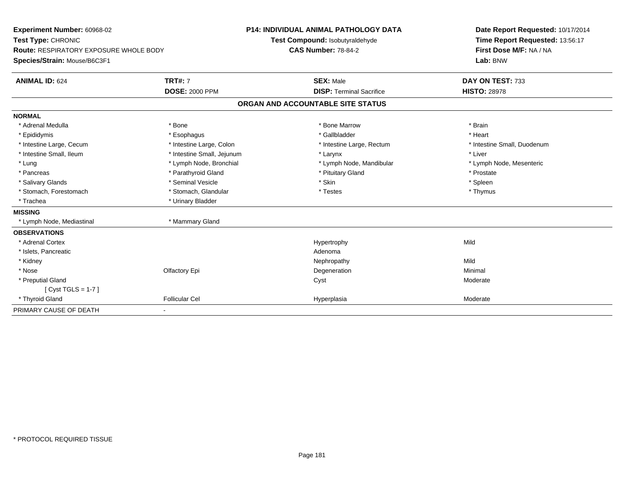| Experiment Number: 60968-02<br>Test Type: CHRONIC<br><b>Route: RESPIRATORY EXPOSURE WHOLE BODY</b><br>Species/Strain: Mouse/B6C3F1 |                            | <b>P14: INDIVIDUAL ANIMAL PATHOLOGY DATA</b><br>Test Compound: Isobutyraldehyde<br><b>CAS Number: 78-84-2</b> | Date Report Requested: 10/17/2014<br>Time Report Requested: 13:56:17<br>First Dose M/F: NA / NA<br>Lab: BNW |
|------------------------------------------------------------------------------------------------------------------------------------|----------------------------|---------------------------------------------------------------------------------------------------------------|-------------------------------------------------------------------------------------------------------------|
| <b>ANIMAL ID: 624</b>                                                                                                              | <b>TRT#: 7</b>             | <b>SEX: Male</b>                                                                                              | DAY ON TEST: 733                                                                                            |
|                                                                                                                                    | <b>DOSE: 2000 PPM</b>      | <b>DISP: Terminal Sacrifice</b>                                                                               | <b>HISTO: 28978</b>                                                                                         |
|                                                                                                                                    |                            | ORGAN AND ACCOUNTABLE SITE STATUS                                                                             |                                                                                                             |
| <b>NORMAL</b>                                                                                                                      |                            |                                                                                                               |                                                                                                             |
| * Adrenal Medulla                                                                                                                  | * Bone                     | * Bone Marrow                                                                                                 | * Brain                                                                                                     |
| * Epididymis                                                                                                                       | * Esophagus                | * Gallbladder                                                                                                 | * Heart                                                                                                     |
| * Intestine Large, Cecum                                                                                                           | * Intestine Large, Colon   | * Intestine Large, Rectum                                                                                     | * Intestine Small, Duodenum                                                                                 |
| * Intestine Small, Ileum                                                                                                           | * Intestine Small, Jejunum | * Larynx                                                                                                      | * Liver                                                                                                     |
| * Lung                                                                                                                             | * Lymph Node, Bronchial    | * Lymph Node, Mandibular                                                                                      | * Lymph Node, Mesenteric                                                                                    |
| * Pancreas                                                                                                                         | * Parathyroid Gland        | * Pituitary Gland                                                                                             | * Prostate                                                                                                  |
| * Salivary Glands                                                                                                                  | * Seminal Vesicle          | * Skin                                                                                                        | * Spleen                                                                                                    |
| * Stomach, Forestomach                                                                                                             | * Stomach, Glandular       | * Testes                                                                                                      | * Thymus                                                                                                    |
| * Trachea                                                                                                                          | * Urinary Bladder          |                                                                                                               |                                                                                                             |
| <b>MISSING</b>                                                                                                                     |                            |                                                                                                               |                                                                                                             |
| * Lymph Node, Mediastinal                                                                                                          | * Mammary Gland            |                                                                                                               |                                                                                                             |
| <b>OBSERVATIONS</b>                                                                                                                |                            |                                                                                                               |                                                                                                             |
| * Adrenal Cortex                                                                                                                   |                            | Hypertrophy                                                                                                   | Mild                                                                                                        |
| * Islets, Pancreatic                                                                                                               |                            | Adenoma                                                                                                       |                                                                                                             |
| * Kidney                                                                                                                           |                            | Nephropathy                                                                                                   | Mild                                                                                                        |
| * Nose                                                                                                                             | Olfactory Epi              | Degeneration                                                                                                  | Minimal                                                                                                     |
| * Preputial Gland                                                                                                                  |                            | Cyst                                                                                                          | Moderate                                                                                                    |
| [ $Cyst TGLS = 1-7$ ]                                                                                                              |                            |                                                                                                               |                                                                                                             |
| * Thyroid Gland                                                                                                                    | <b>Follicular Cel</b>      | Hyperplasia                                                                                                   | Moderate                                                                                                    |
| PRIMARY CAUSE OF DEATH                                                                                                             | ٠                          |                                                                                                               |                                                                                                             |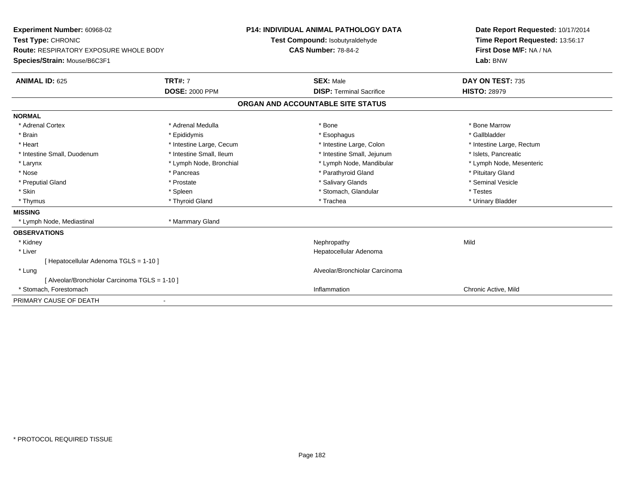| <b>Experiment Number: 60968-02</b><br>Test Type: CHRONIC<br>Route: RESPIRATORY EXPOSURE WHOLE BODY<br>Species/Strain: Mouse/B6C3F1<br><b>ANIMAL ID: 625</b> | <b>TRT#: 7</b>           | <b>P14: INDIVIDUAL ANIMAL PATHOLOGY DATA</b><br>Test Compound: Isobutyraldehyde<br><b>CAS Number: 78-84-2</b><br><b>SEX: Male</b> | Date Report Requested: 10/17/2014<br>Time Report Requested: 13:56:17<br>First Dose M/F: NA / NA<br>Lab: BNW<br>DAY ON TEST: 735 |
|-------------------------------------------------------------------------------------------------------------------------------------------------------------|--------------------------|-----------------------------------------------------------------------------------------------------------------------------------|---------------------------------------------------------------------------------------------------------------------------------|
|                                                                                                                                                             | <b>DOSE: 2000 PPM</b>    | <b>DISP: Terminal Sacrifice</b>                                                                                                   | <b>HISTO: 28979</b>                                                                                                             |
|                                                                                                                                                             |                          | ORGAN AND ACCOUNTABLE SITE STATUS                                                                                                 |                                                                                                                                 |
| <b>NORMAL</b>                                                                                                                                               |                          |                                                                                                                                   |                                                                                                                                 |
| * Adrenal Cortex                                                                                                                                            | * Adrenal Medulla        | * Bone                                                                                                                            | * Bone Marrow                                                                                                                   |
| * Brain                                                                                                                                                     | * Epididymis             | * Esophagus                                                                                                                       | * Gallbladder                                                                                                                   |
| * Heart                                                                                                                                                     | * Intestine Large, Cecum | * Intestine Large, Colon                                                                                                          | * Intestine Large, Rectum                                                                                                       |
| * Intestine Small, Duodenum                                                                                                                                 | * Intestine Small, Ileum | * Intestine Small, Jejunum                                                                                                        | * Islets, Pancreatic                                                                                                            |
| * Larynx                                                                                                                                                    | * Lymph Node, Bronchial  | * Lymph Node, Mandibular                                                                                                          | * Lymph Node, Mesenteric                                                                                                        |
| * Nose                                                                                                                                                      | * Pancreas               | * Parathyroid Gland                                                                                                               | * Pituitary Gland                                                                                                               |
| * Preputial Gland                                                                                                                                           | * Prostate               | * Salivary Glands                                                                                                                 | * Seminal Vesicle                                                                                                               |
| * Skin                                                                                                                                                      | * Spleen                 | * Stomach, Glandular                                                                                                              | * Testes                                                                                                                        |
| * Thymus                                                                                                                                                    | * Thyroid Gland          | * Trachea                                                                                                                         | * Urinary Bladder                                                                                                               |
| <b>MISSING</b>                                                                                                                                              |                          |                                                                                                                                   |                                                                                                                                 |
| * Lymph Node, Mediastinal                                                                                                                                   | * Mammary Gland          |                                                                                                                                   |                                                                                                                                 |
| <b>OBSERVATIONS</b>                                                                                                                                         |                          |                                                                                                                                   |                                                                                                                                 |
| * Kidney                                                                                                                                                    |                          | Nephropathy                                                                                                                       | Mild                                                                                                                            |
| * Liver                                                                                                                                                     |                          | Hepatocellular Adenoma                                                                                                            |                                                                                                                                 |
| [Hepatocellular Adenoma TGLS = 1-10]                                                                                                                        |                          |                                                                                                                                   |                                                                                                                                 |
| * Lung                                                                                                                                                      |                          | Alveolar/Bronchiolar Carcinoma                                                                                                    |                                                                                                                                 |
| [ Alveolar/Bronchiolar Carcinoma TGLS = 1-10 ]                                                                                                              |                          |                                                                                                                                   |                                                                                                                                 |
| * Stomach, Forestomach                                                                                                                                      |                          | Inflammation                                                                                                                      | Chronic Active, Mild                                                                                                            |
| PRIMARY CAUSE OF DEATH                                                                                                                                      |                          |                                                                                                                                   |                                                                                                                                 |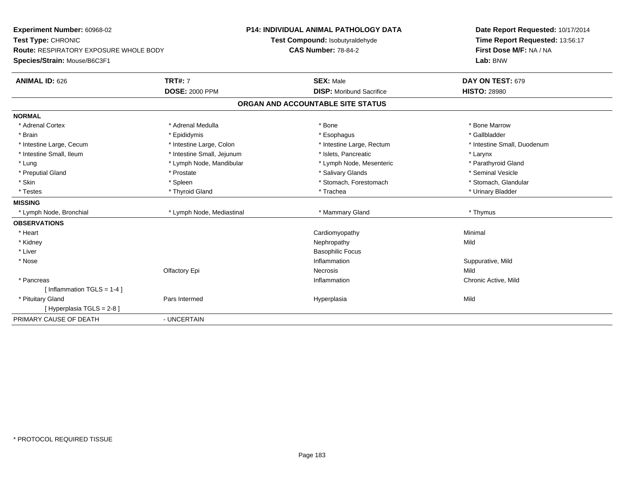| Experiment Number: 60968-02            |                            | P14: INDIVIDUAL ANIMAL PATHOLOGY DATA | Date Report Requested: 10/17/2014 |  |
|----------------------------------------|----------------------------|---------------------------------------|-----------------------------------|--|
| Test Type: CHRONIC                     |                            | Test Compound: Isobutyraldehyde       | Time Report Requested: 13:56:17   |  |
| Route: RESPIRATORY EXPOSURE WHOLE BODY |                            | <b>CAS Number: 78-84-2</b>            | First Dose M/F: NA / NA           |  |
| Species/Strain: Mouse/B6C3F1           |                            |                                       | Lab: BNW                          |  |
| <b>ANIMAL ID: 626</b>                  | <b>TRT#: 7</b>             | <b>SEX: Male</b>                      | DAY ON TEST: 679                  |  |
|                                        | <b>DOSE: 2000 PPM</b>      | <b>DISP:</b> Moribund Sacrifice       | <b>HISTO: 28980</b>               |  |
|                                        |                            | ORGAN AND ACCOUNTABLE SITE STATUS     |                                   |  |
| <b>NORMAL</b>                          |                            |                                       |                                   |  |
| * Adrenal Cortex                       | * Adrenal Medulla          | * Bone                                | * Bone Marrow                     |  |
| * Brain                                | * Epididymis               | * Esophagus                           | * Gallbladder                     |  |
| * Intestine Large, Cecum               | * Intestine Large, Colon   | * Intestine Large, Rectum             | * Intestine Small, Duodenum       |  |
| * Intestine Small, Ileum               | * Intestine Small, Jejunum | * Islets, Pancreatic                  | * Larynx                          |  |
| * Lung                                 | * Lymph Node, Mandibular   | * Lymph Node, Mesenteric              | * Parathyroid Gland               |  |
| * Preputial Gland                      | * Prostate                 | * Salivary Glands                     | * Seminal Vesicle                 |  |
| * Skin                                 | * Spleen                   | * Stomach, Forestomach                | * Stomach, Glandular              |  |
| * Testes                               | * Thyroid Gland            | * Trachea                             | * Urinary Bladder                 |  |
| <b>MISSING</b>                         |                            |                                       |                                   |  |
| * Lymph Node, Bronchial                | * Lymph Node, Mediastinal  | * Mammary Gland                       | * Thymus                          |  |
| <b>OBSERVATIONS</b>                    |                            |                                       |                                   |  |
| * Heart                                |                            | Cardiomyopathy                        | Minimal                           |  |
| * Kidney                               |                            | Nephropathy                           | Mild                              |  |
| * Liver                                |                            | <b>Basophilic Focus</b>               |                                   |  |
| * Nose                                 |                            | Inflammation                          | Suppurative, Mild                 |  |
|                                        | Olfactory Epi              | Necrosis                              | Mild                              |  |
| * Pancreas                             |                            | Inflammation                          | Chronic Active, Mild              |  |
| [Inflammation TGLS = $1-4$ ]           |                            |                                       |                                   |  |
| * Pituitary Gland                      | Pars Intermed              | Hyperplasia                           | Mild                              |  |
| [ Hyperplasia TGLS = 2-8 ]             |                            |                                       |                                   |  |
| PRIMARY CAUSE OF DEATH                 | - UNCERTAIN                |                                       |                                   |  |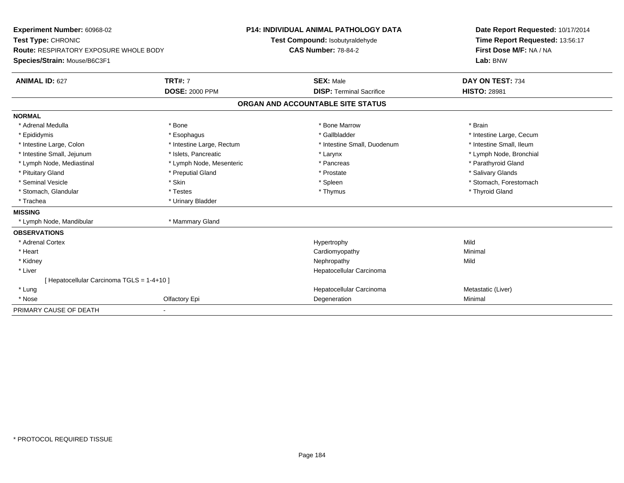| Experiment Number: 60968-02                   |                           |                                   | <b>P14: INDIVIDUAL ANIMAL PATHOLOGY DATA</b> | Date Report Requested: 10/17/2014 |  |
|-----------------------------------------------|---------------------------|-----------------------------------|----------------------------------------------|-----------------------------------|--|
| Test Type: CHRONIC                            |                           |                                   | Test Compound: Isobutyraldehyde              | Time Report Requested: 13:56:17   |  |
| <b>Route: RESPIRATORY EXPOSURE WHOLE BODY</b> |                           |                                   | <b>CAS Number: 78-84-2</b>                   | First Dose M/F: NA / NA           |  |
| Species/Strain: Mouse/B6C3F1                  |                           |                                   |                                              | Lab: BNW                          |  |
| <b>ANIMAL ID: 627</b>                         | <b>TRT#: 7</b>            |                                   | <b>SEX: Male</b>                             | DAY ON TEST: 734                  |  |
|                                               | <b>DOSE: 2000 PPM</b>     |                                   | <b>DISP: Terminal Sacrifice</b>              | <b>HISTO: 28981</b>               |  |
|                                               |                           | ORGAN AND ACCOUNTABLE SITE STATUS |                                              |                                   |  |
| <b>NORMAL</b>                                 |                           |                                   |                                              |                                   |  |
| * Adrenal Medulla                             | * Bone                    |                                   | * Bone Marrow                                | * Brain                           |  |
| * Epididymis                                  | * Esophagus               |                                   | * Gallbladder                                | * Intestine Large, Cecum          |  |
| * Intestine Large, Colon                      | * Intestine Large, Rectum |                                   | * Intestine Small, Duodenum                  | * Intestine Small, Ileum          |  |
| * Intestine Small, Jejunum                    | * Islets, Pancreatic      |                                   | * Larynx                                     | * Lymph Node, Bronchial           |  |
| * Lymph Node, Mediastinal                     | * Lymph Node, Mesenteric  |                                   | * Pancreas                                   | * Parathyroid Gland               |  |
| * Pituitary Gland                             | * Preputial Gland         |                                   | * Prostate                                   | * Salivary Glands                 |  |
| * Seminal Vesicle                             | * Skin                    |                                   | * Spleen                                     | * Stomach. Forestomach            |  |
| * Stomach, Glandular                          | * Testes                  |                                   | * Thymus                                     | * Thyroid Gland                   |  |
| * Trachea                                     | * Urinary Bladder         |                                   |                                              |                                   |  |
| <b>MISSING</b>                                |                           |                                   |                                              |                                   |  |
| * Lymph Node, Mandibular                      | * Mammary Gland           |                                   |                                              |                                   |  |
| <b>OBSERVATIONS</b>                           |                           |                                   |                                              |                                   |  |
| * Adrenal Cortex                              |                           |                                   | Hypertrophy                                  | Mild                              |  |
| * Heart                                       |                           |                                   | Cardiomyopathy                               | Minimal                           |  |
| * Kidney                                      |                           |                                   | Nephropathy                                  | Mild                              |  |
| * Liver                                       |                           |                                   | Hepatocellular Carcinoma                     |                                   |  |
| Hepatocellular Carcinoma TGLS = 1-4+10 ]      |                           |                                   |                                              |                                   |  |
| * Lung                                        |                           |                                   | Hepatocellular Carcinoma                     | Metastatic (Liver)                |  |
| * Nose                                        | Olfactory Epi             |                                   | Degeneration                                 | Minimal                           |  |
| PRIMARY CAUSE OF DEATH                        |                           |                                   |                                              |                                   |  |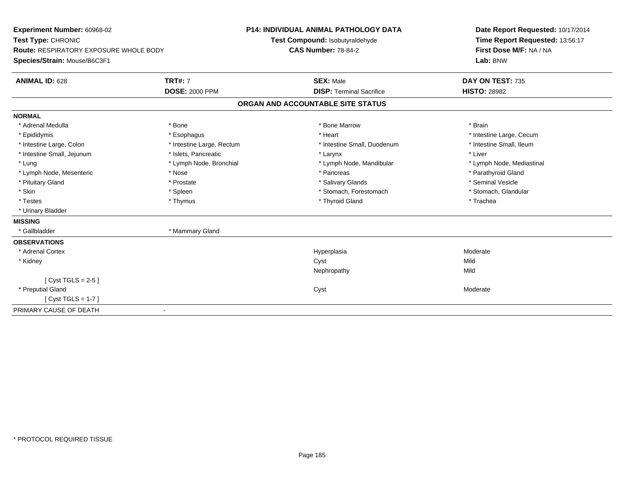| Experiment Number: 60968-02<br>Test Type: CHRONIC<br><b>Route: RESPIRATORY EXPOSURE WHOLE BODY</b> |                           | <b>P14: INDIVIDUAL ANIMAL PATHOLOGY DATA</b><br>Test Compound: Isobutyraldehyde<br><b>CAS Number: 78-84-2</b> | Date Report Requested: 10/17/2014<br>Time Report Requested: 13:56:17<br>First Dose M/F: NA / NA |
|----------------------------------------------------------------------------------------------------|---------------------------|---------------------------------------------------------------------------------------------------------------|-------------------------------------------------------------------------------------------------|
| Species/Strain: Mouse/B6C3F1                                                                       |                           |                                                                                                               | Lab: BNW                                                                                        |
| <b>ANIMAL ID: 628</b>                                                                              | <b>TRT#: 7</b>            | <b>SEX: Male</b>                                                                                              | DAY ON TEST: 735                                                                                |
|                                                                                                    | <b>DOSE: 2000 PPM</b>     | <b>DISP: Terminal Sacrifice</b>                                                                               | <b>HISTO: 28982</b>                                                                             |
|                                                                                                    |                           | ORGAN AND ACCOUNTABLE SITE STATUS                                                                             |                                                                                                 |
| <b>NORMAL</b>                                                                                      |                           |                                                                                                               |                                                                                                 |
| * Adrenal Medulla                                                                                  | * Bone                    | * Bone Marrow                                                                                                 | * Brain                                                                                         |
| * Epididymis                                                                                       | * Esophagus               | * Heart                                                                                                       | * Intestine Large, Cecum                                                                        |
| * Intestine Large, Colon                                                                           | * Intestine Large, Rectum | * Intestine Small, Duodenum                                                                                   | * Intestine Small, Ileum                                                                        |
| * Intestine Small, Jejunum                                                                         | * Islets, Pancreatic      | * Larynx                                                                                                      | * Liver                                                                                         |
| * Lung                                                                                             | * Lymph Node, Bronchial   | * Lymph Node, Mandibular                                                                                      | * Lymph Node, Mediastinal                                                                       |
| * Lymph Node, Mesenteric                                                                           | * Nose                    | * Pancreas                                                                                                    | * Parathyroid Gland                                                                             |
| * Pituitary Gland                                                                                  | * Prostate                | * Salivary Glands                                                                                             | * Seminal Vesicle                                                                               |
| * Skin                                                                                             | * Spleen                  | * Stomach, Forestomach                                                                                        | * Stomach, Glandular                                                                            |
| * Testes                                                                                           | * Thymus                  | * Thyroid Gland                                                                                               | * Trachea                                                                                       |
| * Urinary Bladder                                                                                  |                           |                                                                                                               |                                                                                                 |
| <b>MISSING</b>                                                                                     |                           |                                                                                                               |                                                                                                 |
| * Gallbladder                                                                                      | * Mammary Gland           |                                                                                                               |                                                                                                 |
| <b>OBSERVATIONS</b>                                                                                |                           |                                                                                                               |                                                                                                 |
| * Adrenal Cortex                                                                                   |                           | Hyperplasia                                                                                                   | Moderate                                                                                        |
| * Kidney                                                                                           |                           | Cyst                                                                                                          | Mild                                                                                            |
|                                                                                                    |                           | Nephropathy                                                                                                   | Mild                                                                                            |
| [Cyst TGLS = $2-5$ ]                                                                               |                           |                                                                                                               |                                                                                                 |
| * Preputial Gland                                                                                  |                           | Cyst                                                                                                          | Moderate                                                                                        |
| [Cyst TGLS = 1-7]                                                                                  |                           |                                                                                                               |                                                                                                 |
| PRIMARY CAUSE OF DEATH                                                                             |                           |                                                                                                               |                                                                                                 |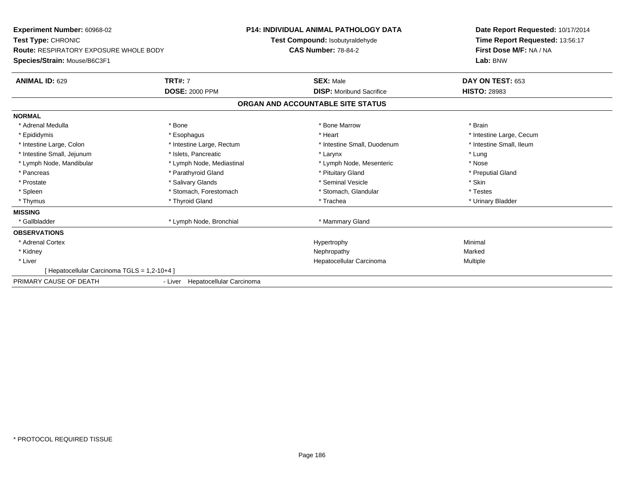**Experiment Number:** 60968-02**Test Type:** CHRONIC **Route:** RESPIRATORY EXPOSURE WHOLE BODY**Species/Strain:** Mouse/B6C3F1**P14: INDIVIDUAL ANIMAL PATHOLOGY DATATest Compound:** Isobutyraldehyde**CAS Number:** 78-84-2**Date Report Requested:** 10/17/2014**Time Report Requested:** 13:56:17**First Dose M/F:** NA / NA**Lab:** BNW**ANIMAL ID:** 629**TRT#:** 7 **SEX:** Male **DAY ON TEST:** 653 **DOSE:** 2000 PPM**DISP:** Moribund Sacrifice **HISTO:** 28983 **ORGAN AND ACCOUNTABLE SITE STATUSNORMAL**\* Adrenal Medulla \* \* Annual Medulla \* Brain \* Bone \* \* Bone Marrow \* Bone Marrow \* \* Brain \* Brain \* Brain \* Brain \* Brain \* Brain \* Brain \* Brain \* Brain \* Brain \* Brain \* Brain \* Brain \* Brain \* Brain \* Brain \* Brain \* \* Epididymis **Account 19 and 19 and 19 and 19 and 19 and 19 and 19 and 19 and 19 and 19 and 19 and 19 and 19 and 19 and 19 and 19 and 19 and 19 and 19 and 19 and 19 and 19 and 19 and 19 and 19 and 19 and 19 and 19 and 19 a** \* Intestine Small, Ileum \* Intestine Large, Colon \* Intestine Large, Rectum \* Intestine Small, Duodenum \* Intestine Small, Duodenum \* Intestine Small, Jejunum \* The matches of the state of the state of the state of the state of the state of the state of the state of the state of the state of the state of the state of the state of the state of the state \* Nose \* Lymph Node, Mandibular \* Lymph Node, Mediastinal \* Lymph Node, Mesenteric \* Nosember \* Nosember \* Nosember \* Nosember \* Nosember \* Nosember \* Nosember \* Nosember \* Nosember \* Nosember \* Nosember \* Nosember \* Nosember \* N \* Preputial Gland \* Pancreas \* \* Parathyroid Gland \* \* Parathyroid Gland \* \* Pituitary Gland \* \* Preputial Gland \* \* Preputial Gland \* Prostate \* \* Salivary Glands \* \* Salivary Glands \* \* Seminal Vesicle \* \* \* Seminal Yestrich \* \* Skin \* \* Skin \* Testes \* Spleen \* Stomach, Forestomach \* Stomach, Spleen \* Stomach, Glandular \* Testestess \* Stomach, Glandular \* Urinary Bladder \* Thymus \* Thyroid Gland \* Trachea \* Urinary Bladder \* **MISSING**\* Gallbladder \* Lymph Node, Bronchial \* Mammary Gland **OBSERVATIONS** \* Adrenal Cortexx and the controller of the controller of the controller of the Hypertrophy  $\mathsf{M}$ inimal  $\mathsf{M}$ inimal  $\mathsf{M}$  \* Kidneyy the controller of the controller of the controller of the Marked Marked of the Marked Marked of the Marked o a **Multiple**  \* Liver Hepatocellular Carcinoma[ Hepatocellular Carcinoma TGLS = 1,2-10+4 ]PRIMARY CAUSE OF DEATH- Liver Hepatocellular Carcinoma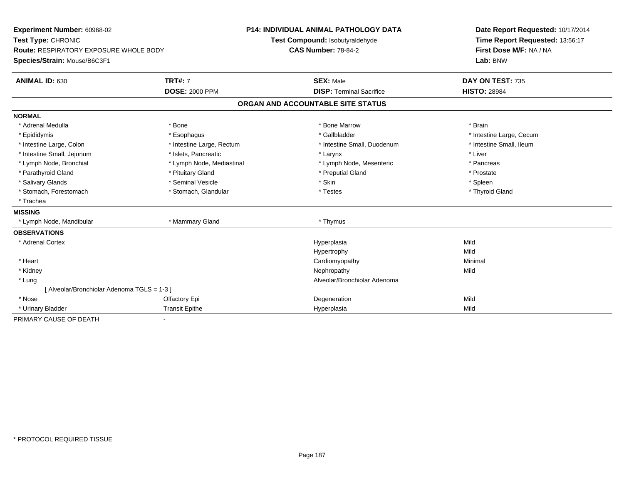| Experiment Number: 60968-02                   |                           | <b>P14: INDIVIDUAL ANIMAL PATHOLOGY DATA</b> |                                 | Date Report Requested: 10/17/2014 |
|-----------------------------------------------|---------------------------|----------------------------------------------|---------------------------------|-----------------------------------|
| Test Type: CHRONIC                            |                           | Test Compound: Isobutyraldehyde              |                                 | Time Report Requested: 13:56:17   |
| <b>Route: RESPIRATORY EXPOSURE WHOLE BODY</b> |                           | <b>CAS Number: 78-84-2</b>                   |                                 | First Dose M/F: NA / NA           |
| Species/Strain: Mouse/B6C3F1                  |                           |                                              |                                 | Lab: BNW                          |
| <b>ANIMAL ID: 630</b>                         | <b>TRT#: 7</b>            |                                              | <b>SEX: Male</b>                | DAY ON TEST: 735                  |
|                                               | <b>DOSE: 2000 PPM</b>     |                                              | <b>DISP: Terminal Sacrifice</b> | <b>HISTO: 28984</b>               |
|                                               |                           | ORGAN AND ACCOUNTABLE SITE STATUS            |                                 |                                   |
| <b>NORMAL</b>                                 |                           |                                              |                                 |                                   |
| * Adrenal Medulla                             | * Bone                    |                                              | * Bone Marrow                   | * Brain                           |
| * Epididymis                                  | * Esophagus               |                                              | * Gallbladder                   | * Intestine Large, Cecum          |
| * Intestine Large, Colon                      | * Intestine Large, Rectum |                                              | * Intestine Small, Duodenum     | * Intestine Small, Ileum          |
| * Intestine Small, Jejunum                    | * Islets, Pancreatic      |                                              | * Larynx                        | * Liver                           |
| * Lymph Node, Bronchial                       | * Lymph Node, Mediastinal |                                              | * Lymph Node, Mesenteric        | * Pancreas                        |
| * Parathyroid Gland                           | * Pituitary Gland         |                                              | * Preputial Gland               | * Prostate                        |
| * Salivary Glands                             | * Seminal Vesicle         | * Skin                                       |                                 | * Spleen                          |
| * Stomach, Forestomach                        | * Stomach, Glandular      |                                              | * Testes                        | * Thyroid Gland                   |
| * Trachea                                     |                           |                                              |                                 |                                   |
| <b>MISSING</b>                                |                           |                                              |                                 |                                   |
| * Lymph Node, Mandibular                      | * Mammary Gland           |                                              | * Thymus                        |                                   |
| <b>OBSERVATIONS</b>                           |                           |                                              |                                 |                                   |
| * Adrenal Cortex                              |                           |                                              | Hyperplasia                     | Mild                              |
|                                               |                           |                                              | Hypertrophy                     | Mild                              |
| * Heart                                       |                           |                                              | Cardiomyopathy                  | Minimal                           |
| * Kidney                                      |                           |                                              | Nephropathy                     | Mild                              |
| * Lung                                        |                           |                                              | Alveolar/Bronchiolar Adenoma    |                                   |
| [Alveolar/Bronchiolar Adenoma TGLS = 1-3]     |                           |                                              |                                 |                                   |
| * Nose                                        | Olfactory Epi             |                                              | Degeneration                    | Mild                              |
| * Urinary Bladder                             | <b>Transit Epithe</b>     |                                              | Hyperplasia                     | Mild                              |
| PRIMARY CAUSE OF DEATH                        |                           |                                              |                                 |                                   |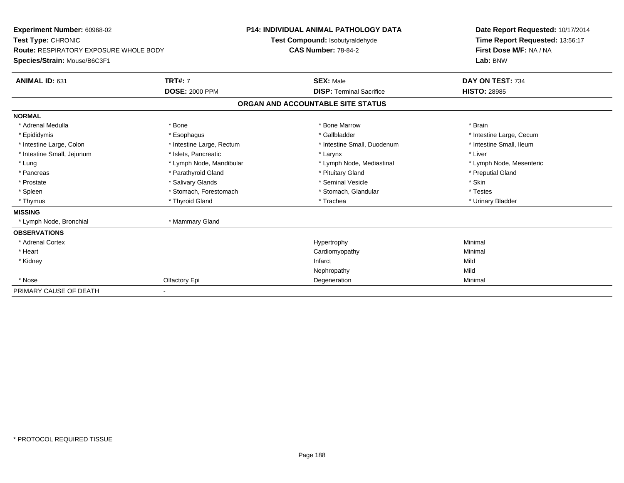| Experiment Number: 60968-02<br>Test Type: CHRONIC<br><b>Route: RESPIRATORY EXPOSURE WHOLE BODY</b><br>Species/Strain: Mouse/B6C3F1 |                           | <b>P14: INDIVIDUAL ANIMAL PATHOLOGY DATA</b><br>Test Compound: Isobutyraldehyde<br><b>CAS Number: 78-84-2</b> |                                 | Date Report Requested: 10/17/2014<br>Time Report Requested: 13:56:17<br>First Dose M/F: NA / NA<br>Lab: BNW |
|------------------------------------------------------------------------------------------------------------------------------------|---------------------------|---------------------------------------------------------------------------------------------------------------|---------------------------------|-------------------------------------------------------------------------------------------------------------|
| ANIMAL ID: 631                                                                                                                     | <b>TRT#: 7</b>            |                                                                                                               | <b>SEX: Male</b>                | DAY ON TEST: 734                                                                                            |
|                                                                                                                                    | <b>DOSE: 2000 PPM</b>     |                                                                                                               | <b>DISP: Terminal Sacrifice</b> | <b>HISTO: 28985</b>                                                                                         |
|                                                                                                                                    |                           | ORGAN AND ACCOUNTABLE SITE STATUS                                                                             |                                 |                                                                                                             |
| <b>NORMAL</b>                                                                                                                      |                           |                                                                                                               |                                 |                                                                                                             |
| * Adrenal Medulla                                                                                                                  | * Bone                    |                                                                                                               | * Bone Marrow                   | * Brain                                                                                                     |
| * Epididymis                                                                                                                       | * Esophagus               |                                                                                                               | * Gallbladder                   | * Intestine Large, Cecum                                                                                    |
| * Intestine Large, Colon                                                                                                           | * Intestine Large, Rectum |                                                                                                               | * Intestine Small, Duodenum     | * Intestine Small, Ileum                                                                                    |
| * Intestine Small, Jejunum                                                                                                         | * Islets, Pancreatic      |                                                                                                               | * Larynx                        | * Liver                                                                                                     |
| * Lung                                                                                                                             | * Lymph Node, Mandibular  |                                                                                                               | * Lymph Node, Mediastinal       | * Lymph Node, Mesenteric                                                                                    |
| * Pancreas                                                                                                                         | * Parathyroid Gland       |                                                                                                               | * Pituitary Gland               | * Preputial Gland                                                                                           |
| * Prostate                                                                                                                         | * Salivary Glands         |                                                                                                               | * Seminal Vesicle               | * Skin                                                                                                      |
| * Spleen                                                                                                                           | * Stomach, Forestomach    |                                                                                                               | * Stomach, Glandular            | * Testes                                                                                                    |
| * Thymus                                                                                                                           | * Thyroid Gland           |                                                                                                               | * Trachea                       | * Urinary Bladder                                                                                           |
| <b>MISSING</b>                                                                                                                     |                           |                                                                                                               |                                 |                                                                                                             |
| * Lymph Node, Bronchial                                                                                                            | * Mammary Gland           |                                                                                                               |                                 |                                                                                                             |
| <b>OBSERVATIONS</b>                                                                                                                |                           |                                                                                                               |                                 |                                                                                                             |
| * Adrenal Cortex                                                                                                                   |                           |                                                                                                               | Hypertrophy                     | Minimal                                                                                                     |
| * Heart                                                                                                                            |                           |                                                                                                               | Cardiomyopathy                  | Minimal                                                                                                     |
| * Kidney                                                                                                                           |                           | Infarct                                                                                                       |                                 | Mild                                                                                                        |
|                                                                                                                                    |                           |                                                                                                               | Nephropathy                     | Mild                                                                                                        |
| * Nose                                                                                                                             | Olfactory Epi             |                                                                                                               | Degeneration                    | Minimal                                                                                                     |
| PRIMARY CAUSE OF DEATH                                                                                                             |                           |                                                                                                               |                                 |                                                                                                             |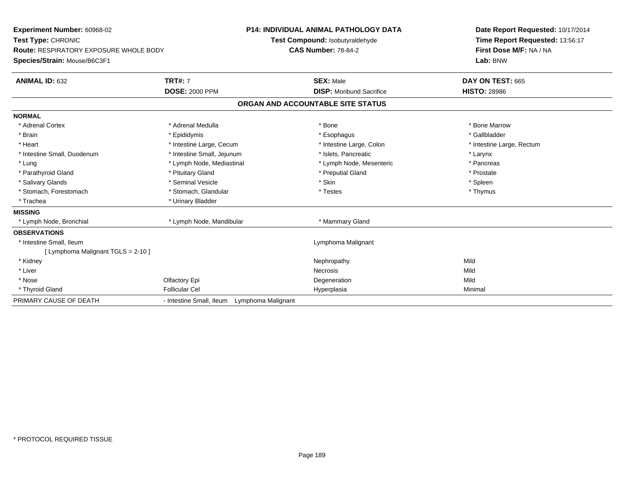| Experiment Number: 60968-02                   | P14: INDIVIDUAL ANIMAL PATHOLOGY DATA       |                                   | Date Report Requested: 10/17/2014 |
|-----------------------------------------------|---------------------------------------------|-----------------------------------|-----------------------------------|
| Test Type: CHRONIC                            |                                             | Test Compound: Isobutyraldehyde   | Time Report Requested: 13:56:17   |
| <b>Route: RESPIRATORY EXPOSURE WHOLE BODY</b> |                                             | <b>CAS Number: 78-84-2</b>        | First Dose M/F: NA / NA           |
| Species/Strain: Mouse/B6C3F1                  |                                             |                                   | Lab: BNW                          |
| <b>ANIMAL ID: 632</b>                         | <b>TRT#: 7</b>                              | <b>SEX: Male</b>                  | DAY ON TEST: 665                  |
|                                               | <b>DOSE: 2000 PPM</b>                       | <b>DISP:</b> Moribund Sacrifice   | <b>HISTO: 28986</b>               |
|                                               |                                             | ORGAN AND ACCOUNTABLE SITE STATUS |                                   |
| <b>NORMAL</b>                                 |                                             |                                   |                                   |
| * Adrenal Cortex                              | * Adrenal Medulla                           | * Bone                            | * Bone Marrow                     |
| * Brain                                       | * Epididymis                                | * Esophagus                       | * Gallbladder                     |
| * Heart                                       | * Intestine Large, Cecum                    | * Intestine Large, Colon          | * Intestine Large, Rectum         |
| * Intestine Small, Duodenum                   | * Intestine Small, Jejunum                  | * Islets, Pancreatic              | * Larynx                          |
| * Lung                                        | * Lymph Node, Mediastinal                   | * Lymph Node, Mesenteric          | * Pancreas                        |
| * Parathyroid Gland                           | * Pituitary Gland                           | * Preputial Gland                 | * Prostate                        |
| * Salivary Glands                             | * Seminal Vesicle                           | * Skin                            | * Spleen                          |
| * Stomach, Forestomach                        | * Stomach, Glandular                        | * Testes                          | * Thymus                          |
| * Trachea                                     | * Urinary Bladder                           |                                   |                                   |
| <b>MISSING</b>                                |                                             |                                   |                                   |
| * Lymph Node, Bronchial                       | * Lymph Node, Mandibular                    | * Mammary Gland                   |                                   |
| <b>OBSERVATIONS</b>                           |                                             |                                   |                                   |
| * Intestine Small, Ileum                      |                                             | Lymphoma Malignant                |                                   |
| [ Lymphoma Malignant TGLS = 2-10 ]            |                                             |                                   |                                   |
| * Kidney                                      |                                             | Nephropathy                       | Mild                              |
| * Liver                                       |                                             | <b>Necrosis</b>                   | Mild                              |
| * Nose                                        | Olfactory Epi                               | Degeneration                      | Mild                              |
| * Thyroid Gland                               | <b>Follicular Cel</b>                       | Hyperplasia                       | Minimal                           |
| PRIMARY CAUSE OF DEATH                        | - Intestine Small, Ileum Lymphoma Malignant |                                   |                                   |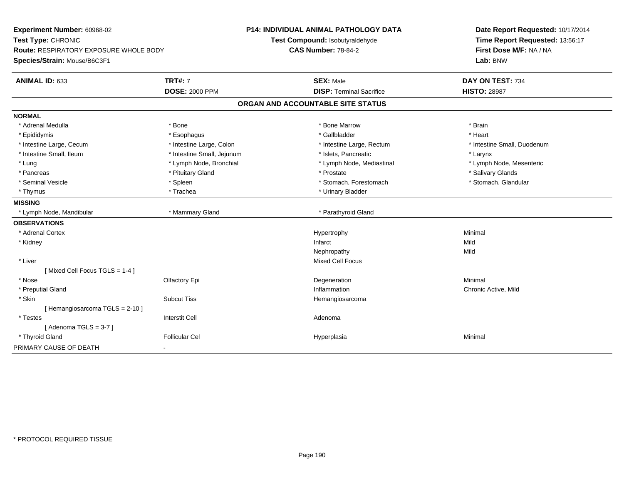| Experiment Number: 60968-02            |                            | <b>P14: INDIVIDUAL ANIMAL PATHOLOGY DATA</b> | Date Report Requested: 10/17/2014 |  |
|----------------------------------------|----------------------------|----------------------------------------------|-----------------------------------|--|
| Test Type: CHRONIC                     |                            | Test Compound: Isobutyraldehyde              | Time Report Requested: 13:56:17   |  |
| Route: RESPIRATORY EXPOSURE WHOLE BODY |                            | <b>CAS Number: 78-84-2</b>                   | First Dose M/F: NA / NA           |  |
| Species/Strain: Mouse/B6C3F1           |                            |                                              | Lab: BNW                          |  |
| <b>ANIMAL ID: 633</b>                  | <b>TRT#: 7</b>             | <b>SEX: Male</b>                             | DAY ON TEST: 734                  |  |
|                                        | <b>DOSE: 2000 PPM</b>      | <b>DISP: Terminal Sacrifice</b>              | <b>HISTO: 28987</b>               |  |
|                                        |                            | ORGAN AND ACCOUNTABLE SITE STATUS            |                                   |  |
| <b>NORMAL</b>                          |                            |                                              |                                   |  |
| * Adrenal Medulla                      | * Bone                     | * Bone Marrow                                | * Brain                           |  |
| * Epididymis                           | * Esophagus                | * Gallbladder                                | * Heart                           |  |
| * Intestine Large, Cecum               | * Intestine Large, Colon   | * Intestine Large, Rectum                    | * Intestine Small, Duodenum       |  |
| * Intestine Small, Ileum               | * Intestine Small, Jejunum | * Islets. Pancreatic                         | * Larynx                          |  |
| * Lung                                 | * Lymph Node, Bronchial    | * Lymph Node, Mediastinal                    | * Lymph Node, Mesenteric          |  |
| * Pancreas                             | * Pituitary Gland          | * Prostate                                   | * Salivary Glands                 |  |
| * Seminal Vesicle                      | * Spleen                   | * Stomach, Forestomach                       | * Stomach, Glandular              |  |
| * Thymus                               | * Trachea                  | * Urinary Bladder                            |                                   |  |
| <b>MISSING</b>                         |                            |                                              |                                   |  |
| * Lymph Node, Mandibular               | * Mammary Gland            | * Parathyroid Gland                          |                                   |  |
| <b>OBSERVATIONS</b>                    |                            |                                              |                                   |  |
| * Adrenal Cortex                       |                            | Hypertrophy                                  | Minimal                           |  |
| * Kidney                               |                            | Infarct                                      | Mild                              |  |
|                                        |                            | Nephropathy                                  | Mild                              |  |
| * Liver                                |                            | <b>Mixed Cell Focus</b>                      |                                   |  |
| [Mixed Cell Focus TGLS = 1-4]          |                            |                                              |                                   |  |
| * Nose                                 | Olfactory Epi              | Degeneration                                 | Minimal                           |  |
| * Preputial Gland                      |                            | Inflammation                                 | Chronic Active, Mild              |  |
| * Skin                                 | <b>Subcut Tiss</b>         | Hemangiosarcoma                              |                                   |  |
| [Hemangiosarcoma TGLS = 2-10]          |                            |                                              |                                   |  |
| * Testes                               | <b>Interstit Cell</b>      | Adenoma                                      |                                   |  |
| [Adenoma TGLS = $3-7$ ]                |                            |                                              |                                   |  |
| * Thyroid Gland                        | <b>Follicular Cel</b>      | Hyperplasia                                  | Minimal                           |  |
| PRIMARY CAUSE OF DEATH                 |                            |                                              |                                   |  |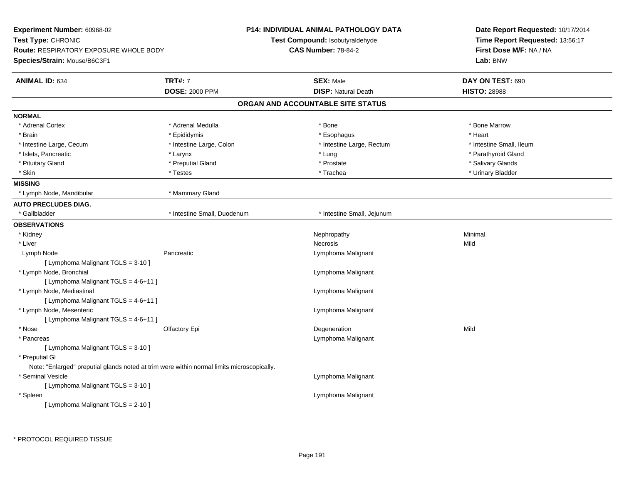| Experiment Number: 60968-02                                                                |                             | <b>P14: INDIVIDUAL ANIMAL PATHOLOGY DATA</b> | Date Report Requested: 10/17/2014 |  |
|--------------------------------------------------------------------------------------------|-----------------------------|----------------------------------------------|-----------------------------------|--|
| Test Type: CHRONIC                                                                         |                             | Test Compound: Isobutyraldehyde              | Time Report Requested: 13:56:17   |  |
| <b>Route: RESPIRATORY EXPOSURE WHOLE BODY</b>                                              |                             | <b>CAS Number: 78-84-2</b>                   | First Dose M/F: NA / NA           |  |
| Species/Strain: Mouse/B6C3F1                                                               |                             |                                              | Lab: BNW                          |  |
| <b>ANIMAL ID: 634</b>                                                                      | <b>TRT#: 7</b>              | <b>SEX: Male</b>                             | DAY ON TEST: 690                  |  |
|                                                                                            | <b>DOSE: 2000 PPM</b>       | <b>DISP: Natural Death</b>                   | <b>HISTO: 28988</b>               |  |
|                                                                                            |                             | ORGAN AND ACCOUNTABLE SITE STATUS            |                                   |  |
| <b>NORMAL</b>                                                                              |                             |                                              |                                   |  |
| * Adrenal Cortex                                                                           | * Adrenal Medulla           | $*$ Bone                                     | * Bone Marrow                     |  |
| * Brain                                                                                    | * Epididymis                | * Esophagus                                  | * Heart                           |  |
| * Intestine Large, Cecum                                                                   | * Intestine Large, Colon    | * Intestine Large, Rectum                    | * Intestine Small, Ileum          |  |
| * Islets, Pancreatic                                                                       | * Larynx                    | * Lung                                       | * Parathyroid Gland               |  |
| * Pituitary Gland                                                                          | * Preputial Gland           | * Prostate                                   | * Salivary Glands                 |  |
| * Skin                                                                                     | * Testes                    | * Trachea                                    | * Urinary Bladder                 |  |
| <b>MISSING</b>                                                                             |                             |                                              |                                   |  |
| * Lymph Node, Mandibular                                                                   | * Mammary Gland             |                                              |                                   |  |
| <b>AUTO PRECLUDES DIAG.</b>                                                                |                             |                                              |                                   |  |
| * Gallbladder                                                                              | * Intestine Small, Duodenum | * Intestine Small, Jejunum                   |                                   |  |
| <b>OBSERVATIONS</b>                                                                        |                             |                                              |                                   |  |
| * Kidney                                                                                   |                             | Nephropathy                                  | Minimal                           |  |
| * Liver                                                                                    |                             | Necrosis                                     | Mild                              |  |
| Lymph Node                                                                                 | Pancreatic                  | Lymphoma Malignant                           |                                   |  |
| [ Lymphoma Malignant TGLS = 3-10 ]                                                         |                             |                                              |                                   |  |
| * Lymph Node, Bronchial                                                                    |                             | Lymphoma Malignant                           |                                   |  |
| [ Lymphoma Malignant TGLS = 4-6+11 ]                                                       |                             |                                              |                                   |  |
| * Lymph Node, Mediastinal                                                                  |                             | Lymphoma Malignant                           |                                   |  |
| [ Lymphoma Malignant TGLS = 4-6+11 ]                                                       |                             |                                              |                                   |  |
| * Lymph Node, Mesenteric                                                                   |                             | Lymphoma Malignant                           |                                   |  |
| [ Lymphoma Malignant TGLS = 4-6+11 ]                                                       |                             |                                              |                                   |  |
| * Nose                                                                                     | Olfactory Epi               | Degeneration                                 | Mild                              |  |
| * Pancreas                                                                                 |                             | Lymphoma Malignant                           |                                   |  |
| [ Lymphoma Malignant TGLS = 3-10 ]                                                         |                             |                                              |                                   |  |
| * Preputial GI                                                                             |                             |                                              |                                   |  |
| Note: "Enlarged" preputial glands noted at trim were within normal limits microscopically. |                             |                                              |                                   |  |
| * Seminal Vesicle                                                                          |                             | Lymphoma Malignant                           |                                   |  |
| [ Lymphoma Malignant TGLS = 3-10 ]                                                         |                             |                                              |                                   |  |
| * Spleen                                                                                   |                             | Lymphoma Malignant                           |                                   |  |
| [ Lymphoma Malignant TGLS = 2-10 ]                                                         |                             |                                              |                                   |  |
|                                                                                            |                             |                                              |                                   |  |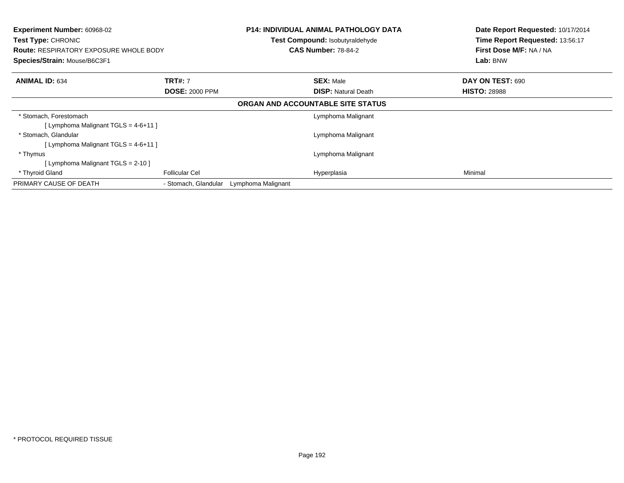| Experiment Number: 60968-02<br><b>Test Type: CHRONIC</b><br><b>Route: RESPIRATORY EXPOSURE WHOLE BODY</b><br>Species/Strain: Mouse/B6C3F1 |                       |                    | <b>P14: INDIVIDUAL ANIMAL PATHOLOGY DATA</b><br>Test Compound: Isobutyraldehyde<br><b>CAS Number: 78-84-2</b> |                     | Date Report Requested: 10/17/2014<br>Time Report Requested: 13:56:17<br>First Dose M/F: NA / NA<br>Lab: BNW |  |
|-------------------------------------------------------------------------------------------------------------------------------------------|-----------------------|--------------------|---------------------------------------------------------------------------------------------------------------|---------------------|-------------------------------------------------------------------------------------------------------------|--|
| <b>ANIMAL ID: 634</b>                                                                                                                     | <b>TRT#: 7</b>        |                    | <b>SEX: Male</b>                                                                                              | DAY ON TEST: 690    |                                                                                                             |  |
|                                                                                                                                           | <b>DOSE: 2000 PPM</b> |                    | <b>DISP:</b> Natural Death                                                                                    | <b>HISTO: 28988</b> |                                                                                                             |  |
|                                                                                                                                           |                       |                    | ORGAN AND ACCOUNTABLE SITE STATUS                                                                             |                     |                                                                                                             |  |
| * Stomach, Forestomach                                                                                                                    |                       |                    | Lymphoma Malignant                                                                                            |                     |                                                                                                             |  |
| [ Lymphoma Malignant TGLS = 4-6+11 ]                                                                                                      |                       |                    |                                                                                                               |                     |                                                                                                             |  |
| * Stomach, Glandular                                                                                                                      |                       |                    | Lymphoma Malignant                                                                                            |                     |                                                                                                             |  |
| [ Lymphoma Malignant TGLS = 4-6+11 ]                                                                                                      |                       |                    |                                                                                                               |                     |                                                                                                             |  |
| * Thymus                                                                                                                                  |                       |                    | Lymphoma Malignant                                                                                            |                     |                                                                                                             |  |
| [Lymphoma Malignant TGLS = 2-10]                                                                                                          |                       |                    |                                                                                                               |                     |                                                                                                             |  |
| * Thyroid Gland                                                                                                                           | <b>Follicular Cel</b> |                    | Hyperplasia                                                                                                   | Minimal             |                                                                                                             |  |
| PRIMARY CAUSE OF DEATH                                                                                                                    | - Stomach, Glandular  | Lymphoma Malignant |                                                                                                               |                     |                                                                                                             |  |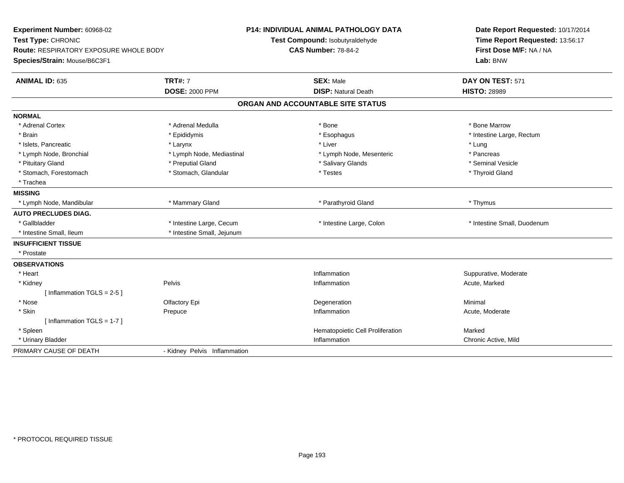| Experiment Number: 60968-02<br>Test Type: CHRONIC<br><b>Route: RESPIRATORY EXPOSURE WHOLE BODY</b><br>Species/Strain: Mouse/B6C3F1 | <b>P14: INDIVIDUAL ANIMAL PATHOLOGY DATA</b><br>Test Compound: Isobutyraldehyde<br><b>CAS Number: 78-84-2</b> |                                   | Date Report Requested: 10/17/2014<br>Time Report Requested: 13:56:17<br>First Dose M/F: NA / NA<br>Lab: BNW |  |
|------------------------------------------------------------------------------------------------------------------------------------|---------------------------------------------------------------------------------------------------------------|-----------------------------------|-------------------------------------------------------------------------------------------------------------|--|
| <b>ANIMAL ID: 635</b>                                                                                                              | <b>TRT#: 7</b>                                                                                                | <b>SEX: Male</b>                  | DAY ON TEST: 571                                                                                            |  |
|                                                                                                                                    | <b>DOSE: 2000 PPM</b>                                                                                         | <b>DISP: Natural Death</b>        | <b>HISTO: 28989</b>                                                                                         |  |
|                                                                                                                                    |                                                                                                               | ORGAN AND ACCOUNTABLE SITE STATUS |                                                                                                             |  |
| <b>NORMAL</b>                                                                                                                      |                                                                                                               |                                   |                                                                                                             |  |
| * Adrenal Cortex                                                                                                                   | * Adrenal Medulla                                                                                             | * Bone                            | * Bone Marrow                                                                                               |  |
| * Brain                                                                                                                            | * Epididymis                                                                                                  | * Esophagus                       | * Intestine Large, Rectum                                                                                   |  |
| * Islets, Pancreatic                                                                                                               | * Larynx                                                                                                      | * Liver                           | * Lung                                                                                                      |  |
| * Lymph Node, Bronchial                                                                                                            | * Lymph Node, Mediastinal                                                                                     | * Lymph Node, Mesenteric          | * Pancreas                                                                                                  |  |
| * Pituitary Gland                                                                                                                  | * Preputial Gland                                                                                             | * Salivary Glands                 | * Seminal Vesicle                                                                                           |  |
| * Stomach, Forestomach                                                                                                             | * Stomach, Glandular                                                                                          | * Testes                          | * Thyroid Gland                                                                                             |  |
| * Trachea                                                                                                                          |                                                                                                               |                                   |                                                                                                             |  |
| <b>MISSING</b>                                                                                                                     |                                                                                                               |                                   |                                                                                                             |  |
| * Lymph Node, Mandibular                                                                                                           | * Mammary Gland                                                                                               | * Parathyroid Gland               | * Thymus                                                                                                    |  |
| <b>AUTO PRECLUDES DIAG.</b>                                                                                                        |                                                                                                               |                                   |                                                                                                             |  |
| * Gallbladder                                                                                                                      | * Intestine Large, Cecum                                                                                      | * Intestine Large, Colon          | * Intestine Small, Duodenum                                                                                 |  |
| * Intestine Small, Ileum                                                                                                           | * Intestine Small, Jejunum                                                                                    |                                   |                                                                                                             |  |
| <b>INSUFFICIENT TISSUE</b>                                                                                                         |                                                                                                               |                                   |                                                                                                             |  |
| * Prostate                                                                                                                         |                                                                                                               |                                   |                                                                                                             |  |
| <b>OBSERVATIONS</b>                                                                                                                |                                                                                                               |                                   |                                                                                                             |  |
| * Heart                                                                                                                            |                                                                                                               | Inflammation                      | Suppurative, Moderate                                                                                       |  |
| * Kidney                                                                                                                           | Pelvis                                                                                                        | Inflammation                      | Acute, Marked                                                                                               |  |
| [Inflammation TGLS = $2-5$ ]                                                                                                       |                                                                                                               |                                   |                                                                                                             |  |
| * Nose                                                                                                                             | Olfactory Epi                                                                                                 | Degeneration                      | Minimal                                                                                                     |  |
| * Skin                                                                                                                             | Prepuce                                                                                                       | Inflammation                      | Acute, Moderate                                                                                             |  |
| [Inflammation TGLS = $1-7$ ]                                                                                                       |                                                                                                               |                                   |                                                                                                             |  |
| * Spleen                                                                                                                           |                                                                                                               | Hematopoietic Cell Proliferation  | Marked                                                                                                      |  |
| * Urinary Bladder                                                                                                                  |                                                                                                               | Inflammation                      | Chronic Active, Mild                                                                                        |  |
| PRIMARY CAUSE OF DEATH                                                                                                             | - Kidney Pelvis Inflammation                                                                                  |                                   |                                                                                                             |  |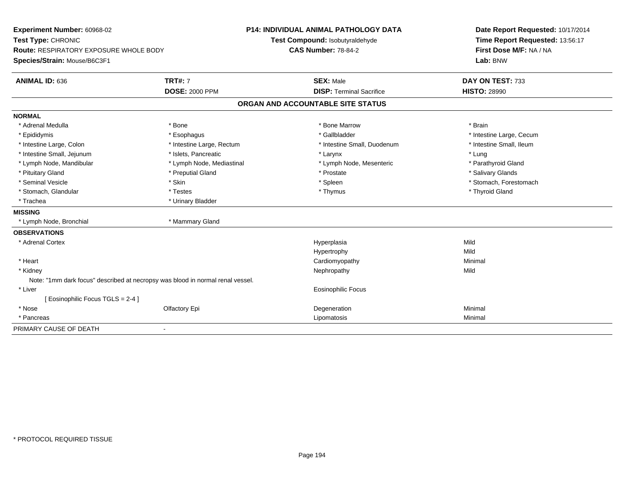| Experiment Number: 60968-02<br>Test Type: CHRONIC                              |                           | <b>P14: INDIVIDUAL ANIMAL PATHOLOGY DATA</b><br>Test Compound: Isobutyraldehyde | Date Report Requested: 10/17/2014<br>Time Report Requested: 13:56:17 |
|--------------------------------------------------------------------------------|---------------------------|---------------------------------------------------------------------------------|----------------------------------------------------------------------|
| Route: RESPIRATORY EXPOSURE WHOLE BODY<br>Species/Strain: Mouse/B6C3F1         |                           | <b>CAS Number: 78-84-2</b>                                                      | First Dose M/F: NA / NA<br>Lab: BNW                                  |
| <b>ANIMAL ID: 636</b>                                                          | <b>TRT#: 7</b>            | <b>SEX: Male</b>                                                                | DAY ON TEST: 733                                                     |
|                                                                                | <b>DOSE: 2000 PPM</b>     | <b>DISP: Terminal Sacrifice</b>                                                 | <b>HISTO: 28990</b>                                                  |
|                                                                                |                           | ORGAN AND ACCOUNTABLE SITE STATUS                                               |                                                                      |
| <b>NORMAL</b>                                                                  |                           |                                                                                 |                                                                      |
| * Adrenal Medulla                                                              | * Bone                    | * Bone Marrow                                                                   | * Brain                                                              |
| * Epididymis                                                                   | * Esophagus               | * Gallbladder                                                                   | * Intestine Large, Cecum                                             |
| * Intestine Large, Colon                                                       | * Intestine Large, Rectum | * Intestine Small, Duodenum                                                     | * Intestine Small, Ileum                                             |
| * Intestine Small, Jejunum                                                     | * Islets, Pancreatic      | * Larynx                                                                        | * Lung                                                               |
| * Lymph Node, Mandibular                                                       | * Lymph Node, Mediastinal | * Lymph Node, Mesenteric                                                        | * Parathyroid Gland                                                  |
| * Pituitary Gland                                                              | * Preputial Gland         | * Prostate                                                                      | * Salivary Glands                                                    |
| * Seminal Vesicle                                                              | * Skin                    | * Spleen                                                                        | * Stomach, Forestomach                                               |
| * Stomach, Glandular                                                           | * Testes                  | * Thymus                                                                        | * Thyroid Gland                                                      |
| * Trachea                                                                      | * Urinary Bladder         |                                                                                 |                                                                      |
| <b>MISSING</b>                                                                 |                           |                                                                                 |                                                                      |
| * Lymph Node, Bronchial                                                        | * Mammary Gland           |                                                                                 |                                                                      |
| <b>OBSERVATIONS</b>                                                            |                           |                                                                                 |                                                                      |
| * Adrenal Cortex                                                               |                           | Hyperplasia                                                                     | Mild                                                                 |
|                                                                                |                           | Hypertrophy                                                                     | Mild                                                                 |
| * Heart                                                                        |                           | Cardiomyopathy                                                                  | Minimal                                                              |
| * Kidney                                                                       |                           | Nephropathy                                                                     | Mild                                                                 |
| Note: "1mm dark focus" described at necropsy was blood in normal renal vessel. |                           |                                                                                 |                                                                      |
| * Liver                                                                        |                           | Eosinophilic Focus                                                              |                                                                      |
| [ Eosinophilic Focus TGLS = 2-4 ]                                              |                           |                                                                                 |                                                                      |
| * Nose                                                                         | Olfactory Epi             | Degeneration                                                                    | Minimal                                                              |
| * Pancreas                                                                     |                           | Lipomatosis                                                                     | Minimal                                                              |
| PRIMARY CAUSE OF DEATH                                                         | $\blacksquare$            |                                                                                 |                                                                      |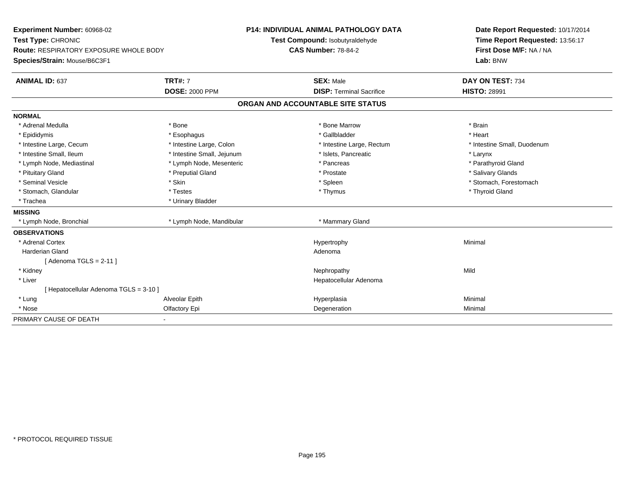| Experiment Number: 60968-02                   |                            | <b>P14: INDIVIDUAL ANIMAL PATHOLOGY DATA</b> |                                   | Date Report Requested: 10/17/2014 |  |
|-----------------------------------------------|----------------------------|----------------------------------------------|-----------------------------------|-----------------------------------|--|
| Test Type: CHRONIC                            |                            |                                              | Test Compound: Isobutyraldehyde   | Time Report Requested: 13:56:17   |  |
| <b>Route: RESPIRATORY EXPOSURE WHOLE BODY</b> |                            | <b>CAS Number: 78-84-2</b>                   |                                   | First Dose M/F: NA / NA           |  |
| Species/Strain: Mouse/B6C3F1                  |                            |                                              |                                   | Lab: BNW                          |  |
| <b>ANIMAL ID: 637</b>                         | <b>TRT#: 7</b>             |                                              | <b>SEX: Male</b>                  | DAY ON TEST: 734                  |  |
|                                               | <b>DOSE: 2000 PPM</b>      |                                              | <b>DISP: Terminal Sacrifice</b>   | <b>HISTO: 28991</b>               |  |
|                                               |                            |                                              | ORGAN AND ACCOUNTABLE SITE STATUS |                                   |  |
| <b>NORMAL</b>                                 |                            |                                              |                                   |                                   |  |
| * Adrenal Medulla                             | * Bone                     |                                              | * Bone Marrow                     | * Brain                           |  |
| * Epididymis                                  | * Esophagus                |                                              | * Gallbladder                     | * Heart                           |  |
| * Intestine Large, Cecum                      | * Intestine Large, Colon   |                                              | * Intestine Large, Rectum         | * Intestine Small, Duodenum       |  |
| * Intestine Small, Ileum                      | * Intestine Small, Jejunum |                                              | * Islets, Pancreatic              | * Larynx                          |  |
| * Lymph Node, Mediastinal                     | * Lymph Node, Mesenteric   |                                              | * Pancreas                        | * Parathyroid Gland               |  |
| * Pituitary Gland                             | * Preputial Gland          |                                              | * Prostate                        | * Salivary Glands                 |  |
| * Seminal Vesicle                             | * Skin                     |                                              | * Spleen                          | * Stomach, Forestomach            |  |
| * Stomach, Glandular                          | * Testes                   |                                              | * Thymus                          | * Thyroid Gland                   |  |
| * Trachea                                     | * Urinary Bladder          |                                              |                                   |                                   |  |
| <b>MISSING</b>                                |                            |                                              |                                   |                                   |  |
| * Lymph Node, Bronchial                       | * Lymph Node, Mandibular   |                                              | * Mammary Gland                   |                                   |  |
| <b>OBSERVATIONS</b>                           |                            |                                              |                                   |                                   |  |
| * Adrenal Cortex                              |                            |                                              | Hypertrophy                       | Minimal                           |  |
| Harderian Gland                               |                            |                                              | Adenoma                           |                                   |  |
| [Adenoma TGLS = $2-11$ ]                      |                            |                                              |                                   |                                   |  |
| * Kidney                                      |                            |                                              | Nephropathy                       | Mild                              |  |
| * Liver                                       |                            |                                              | Hepatocellular Adenoma            |                                   |  |
| [ Hepatocellular Adenoma TGLS = 3-10 ]        |                            |                                              |                                   |                                   |  |
| * Lung                                        | Alveolar Epith             |                                              | Hyperplasia                       | Minimal                           |  |
| * Nose                                        | Olfactory Epi              |                                              | Degeneration                      | Minimal                           |  |
| PRIMARY CAUSE OF DEATH                        |                            |                                              |                                   |                                   |  |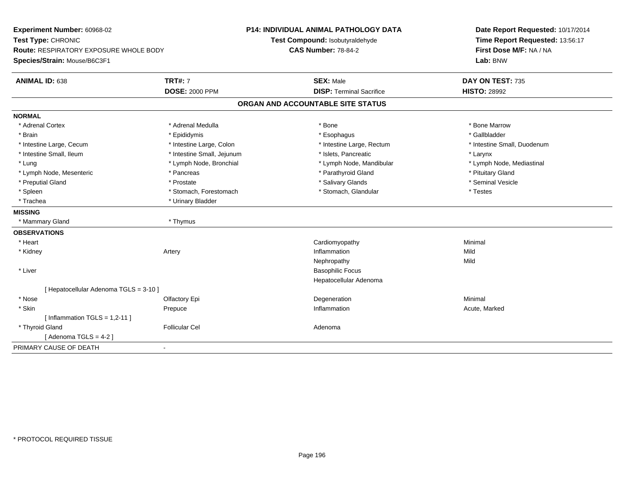| Experiment Number: 60968-02<br>Test Type: CHRONIC |                            | <b>P14: INDIVIDUAL ANIMAL PATHOLOGY DATA</b> | Date Report Requested: 10/17/2014   |  |
|---------------------------------------------------|----------------------------|----------------------------------------------|-------------------------------------|--|
|                                                   |                            | Test Compound: Isobutyraldehyde              | Time Report Requested: 13:56:17     |  |
| Route: RESPIRATORY EXPOSURE WHOLE BODY            |                            | <b>CAS Number: 78-84-2</b>                   | First Dose M/F: NA / NA<br>Lab: BNW |  |
| Species/Strain: Mouse/B6C3F1                      |                            |                                              |                                     |  |
| <b>ANIMAL ID: 638</b>                             | <b>TRT#: 7</b>             | <b>SEX: Male</b>                             | DAY ON TEST: 735                    |  |
|                                                   | <b>DOSE: 2000 PPM</b>      | <b>DISP: Terminal Sacrifice</b>              | <b>HISTO: 28992</b>                 |  |
|                                                   |                            | ORGAN AND ACCOUNTABLE SITE STATUS            |                                     |  |
| <b>NORMAL</b>                                     |                            |                                              |                                     |  |
| * Adrenal Cortex                                  | * Adrenal Medulla          | * Bone                                       | * Bone Marrow                       |  |
| * Brain                                           | * Epididymis               | * Esophagus                                  | * Gallbladder                       |  |
| * Intestine Large, Cecum                          | * Intestine Large, Colon   | * Intestine Large, Rectum                    | * Intestine Small, Duodenum         |  |
| * Intestine Small, Ileum                          | * Intestine Small, Jejunum | * Islets, Pancreatic                         | * Larynx                            |  |
| * Lung                                            | * Lymph Node, Bronchial    | * Lymph Node, Mandibular                     | * Lymph Node, Mediastinal           |  |
| * Lymph Node, Mesenteric                          | * Pancreas                 | * Parathyroid Gland                          | * Pituitary Gland                   |  |
| * Preputial Gland                                 | * Prostate                 | * Salivary Glands                            | * Seminal Vesicle                   |  |
| * Spleen                                          | * Stomach, Forestomach     | * Stomach, Glandular                         | * Testes                            |  |
| * Trachea                                         | * Urinary Bladder          |                                              |                                     |  |
| <b>MISSING</b>                                    |                            |                                              |                                     |  |
| * Mammary Gland                                   | * Thymus                   |                                              |                                     |  |
| <b>OBSERVATIONS</b>                               |                            |                                              |                                     |  |
| * Heart                                           |                            | Cardiomyopathy                               | Minimal                             |  |
| * Kidney                                          | Artery                     | Inflammation                                 | Mild                                |  |
|                                                   |                            | Nephropathy                                  | Mild                                |  |
| * Liver                                           |                            | <b>Basophilic Focus</b>                      |                                     |  |
|                                                   |                            | Hepatocellular Adenoma                       |                                     |  |
| [ Hepatocellular Adenoma TGLS = 3-10 ]            |                            |                                              |                                     |  |
| * Nose                                            | Olfactory Epi              | Degeneration                                 | Minimal                             |  |
| * Skin                                            | Prepuce                    | Inflammation                                 | Acute, Marked                       |  |
| [Inflammation TGLS = $1,2-11$ ]                   |                            |                                              |                                     |  |
| * Thyroid Gland                                   | <b>Follicular Cel</b>      | Adenoma                                      |                                     |  |
| [Adenoma TGLS = $4-2$ ]                           |                            |                                              |                                     |  |
| PRIMARY CAUSE OF DEATH                            |                            |                                              |                                     |  |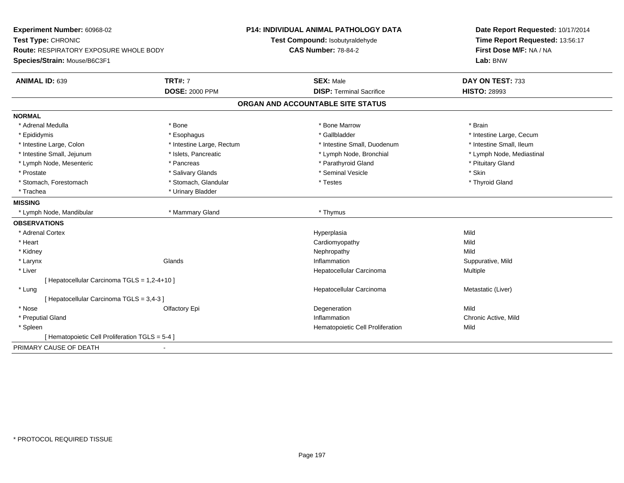| Experiment Number: 60968-02                     |                           | <b>P14: INDIVIDUAL ANIMAL PATHOLOGY DATA</b> | Date Report Requested: 10/17/2014 |  |
|-------------------------------------------------|---------------------------|----------------------------------------------|-----------------------------------|--|
| Test Type: CHRONIC                              |                           | Test Compound: Isobutyraldehyde              | Time Report Requested: 13:56:17   |  |
| <b>Route: RESPIRATORY EXPOSURE WHOLE BODY</b>   |                           | <b>CAS Number: 78-84-2</b>                   | First Dose M/F: NA / NA           |  |
| Species/Strain: Mouse/B6C3F1                    |                           |                                              | Lab: BNW                          |  |
| <b>ANIMAL ID: 639</b>                           | <b>TRT#: 7</b>            | <b>SEX: Male</b>                             | DAY ON TEST: 733                  |  |
|                                                 | <b>DOSE: 2000 PPM</b>     | <b>DISP: Terminal Sacrifice</b>              | <b>HISTO: 28993</b>               |  |
|                                                 |                           | ORGAN AND ACCOUNTABLE SITE STATUS            |                                   |  |
| <b>NORMAL</b>                                   |                           |                                              |                                   |  |
| * Adrenal Medulla                               | * Bone                    | * Bone Marrow                                | * Brain                           |  |
| * Epididymis                                    | * Esophagus               | * Gallbladder                                | * Intestine Large, Cecum          |  |
| * Intestine Large, Colon                        | * Intestine Large, Rectum | * Intestine Small, Duodenum                  | * Intestine Small, Ileum          |  |
| * Intestine Small, Jejunum                      | * Islets, Pancreatic      | * Lymph Node, Bronchial                      | * Lymph Node, Mediastinal         |  |
| * Lymph Node, Mesenteric                        | * Pancreas                | * Parathyroid Gland                          | * Pituitary Gland                 |  |
| * Prostate                                      | * Salivary Glands         | * Seminal Vesicle                            | * Skin                            |  |
| * Stomach, Forestomach                          | * Stomach, Glandular      | * Testes                                     | * Thyroid Gland                   |  |
| * Trachea                                       | * Urinary Bladder         |                                              |                                   |  |
| <b>MISSING</b>                                  |                           |                                              |                                   |  |
| * Lymph Node, Mandibular                        | * Mammary Gland           | * Thymus                                     |                                   |  |
| <b>OBSERVATIONS</b>                             |                           |                                              |                                   |  |
| * Adrenal Cortex                                |                           | Hyperplasia                                  | Mild                              |  |
| * Heart                                         |                           | Cardiomyopathy                               | Mild                              |  |
| * Kidney                                        |                           | Nephropathy                                  | Mild                              |  |
| * Larynx                                        | Glands                    | Inflammation                                 | Suppurative, Mild                 |  |
| * Liver                                         |                           | Hepatocellular Carcinoma                     | Multiple                          |  |
| [ Hepatocellular Carcinoma TGLS = 1,2-4+10 ]    |                           |                                              |                                   |  |
| * Lung                                          |                           | Hepatocellular Carcinoma                     | Metastatic (Liver)                |  |
| [Hepatocellular Carcinoma TGLS = 3,4-3]         |                           |                                              |                                   |  |
| * Nose                                          | Olfactory Epi             | Degeneration                                 | Mild                              |  |
| * Preputial Gland                               |                           | Inflammation                                 | Chronic Active, Mild              |  |
| * Spleen                                        |                           | Hematopoietic Cell Proliferation             | Mild                              |  |
| [ Hematopoietic Cell Proliferation TGLS = 5-4 ] |                           |                                              |                                   |  |
| PRIMARY CAUSE OF DEATH                          |                           |                                              |                                   |  |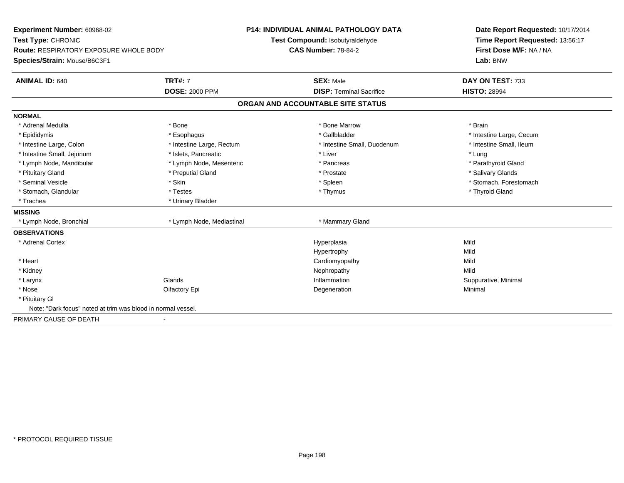| Experiment Number: 60968-02                                  |                           | <b>P14: INDIVIDUAL ANIMAL PATHOLOGY DATA</b> | Date Report Requested: 10/17/2014 |
|--------------------------------------------------------------|---------------------------|----------------------------------------------|-----------------------------------|
| Test Type: CHRONIC                                           |                           | Test Compound: Isobutyraldehyde              | Time Report Requested: 13:56:17   |
| <b>Route: RESPIRATORY EXPOSURE WHOLE BODY</b>                |                           | <b>CAS Number: 78-84-2</b>                   | First Dose M/F: NA / NA           |
| Species/Strain: Mouse/B6C3F1                                 |                           |                                              | Lab: BNW                          |
| <b>ANIMAL ID: 640</b>                                        | <b>TRT#: 7</b>            | <b>SEX: Male</b>                             | DAY ON TEST: 733                  |
|                                                              | <b>DOSE: 2000 PPM</b>     | <b>DISP: Terminal Sacrifice</b>              | <b>HISTO: 28994</b>               |
|                                                              |                           | ORGAN AND ACCOUNTABLE SITE STATUS            |                                   |
| <b>NORMAL</b>                                                |                           |                                              |                                   |
| * Adrenal Medulla                                            | * Bone                    | * Bone Marrow                                | * Brain                           |
| * Epididymis                                                 | * Esophagus               | * Gallbladder                                | * Intestine Large, Cecum          |
| * Intestine Large, Colon                                     | * Intestine Large, Rectum | * Intestine Small, Duodenum                  | * Intestine Small, Ileum          |
| * Intestine Small, Jejunum                                   | * Islets. Pancreatic      | * Liver                                      | * Lung                            |
| * Lymph Node, Mandibular                                     | * Lymph Node, Mesenteric  | * Pancreas                                   | * Parathyroid Gland               |
| * Pituitary Gland                                            | * Preputial Gland         | * Prostate                                   | * Salivary Glands                 |
| * Seminal Vesicle                                            | * Skin                    | * Spleen                                     | * Stomach, Forestomach            |
| * Stomach, Glandular                                         | * Testes                  | * Thymus                                     | * Thyroid Gland                   |
| * Trachea                                                    | * Urinary Bladder         |                                              |                                   |
| <b>MISSING</b>                                               |                           |                                              |                                   |
| * Lymph Node, Bronchial                                      | * Lymph Node, Mediastinal | * Mammary Gland                              |                                   |
| <b>OBSERVATIONS</b>                                          |                           |                                              |                                   |
| * Adrenal Cortex                                             |                           | Hyperplasia                                  | Mild                              |
|                                                              |                           | Hypertrophy                                  | Mild                              |
| * Heart                                                      |                           | Cardiomyopathy                               | Mild                              |
| * Kidney                                                     |                           | Nephropathy                                  | Mild                              |
| * Larynx                                                     | Glands                    | Inflammation                                 | Suppurative, Minimal              |
| * Nose                                                       | Olfactory Epi             | Degeneration                                 | Minimal                           |
| * Pituitary Gl                                               |                           |                                              |                                   |
| Note: "Dark focus" noted at trim was blood in normal vessel. |                           |                                              |                                   |
| PRIMARY CAUSE OF DEATH                                       |                           |                                              |                                   |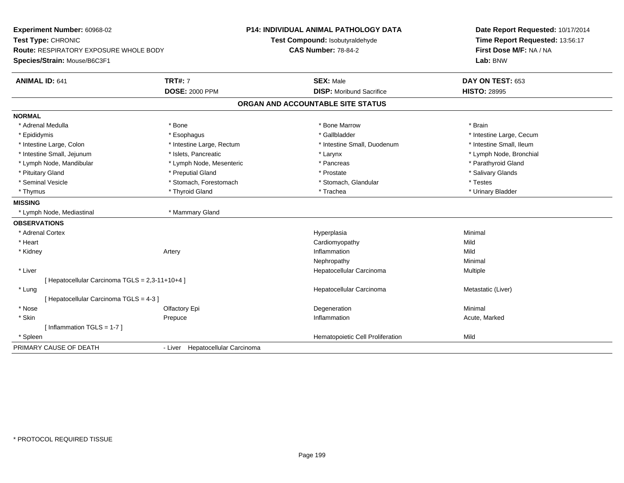| Experiment Number: 60968-02                     |                                  | <b>P14: INDIVIDUAL ANIMAL PATHOLOGY DATA</b> | Date Report Requested: 10/17/2014 |
|-------------------------------------------------|----------------------------------|----------------------------------------------|-----------------------------------|
| Test Type: CHRONIC                              |                                  | Test Compound: Isobutyraldehyde              | Time Report Requested: 13:56:17   |
| <b>Route: RESPIRATORY EXPOSURE WHOLE BODY</b>   |                                  | <b>CAS Number: 78-84-2</b>                   | First Dose M/F: NA / NA           |
| Species/Strain: Mouse/B6C3F1                    |                                  |                                              | Lab: BNW                          |
| <b>ANIMAL ID: 641</b>                           | <b>TRT#: 7</b>                   | <b>SEX: Male</b>                             | DAY ON TEST: 653                  |
|                                                 | <b>DOSE: 2000 PPM</b>            | <b>DISP:</b> Moribund Sacrifice              | <b>HISTO: 28995</b>               |
|                                                 |                                  | ORGAN AND ACCOUNTABLE SITE STATUS            |                                   |
| <b>NORMAL</b>                                   |                                  |                                              |                                   |
| * Adrenal Medulla                               | * Bone                           | * Bone Marrow                                | * Brain                           |
| * Epididymis                                    | * Esophagus                      | * Gallbladder                                | * Intestine Large, Cecum          |
| * Intestine Large, Colon                        | * Intestine Large, Rectum        | * Intestine Small, Duodenum                  | * Intestine Small, Ileum          |
| * Intestine Small, Jejunum                      | * Islets. Pancreatic             | * Larynx                                     | * Lymph Node, Bronchial           |
| * Lymph Node, Mandibular                        | * Lymph Node, Mesenteric         | * Pancreas                                   | * Parathyroid Gland               |
| * Pituitary Gland                               | * Preputial Gland                | * Prostate                                   | * Salivary Glands                 |
| * Seminal Vesicle                               | * Stomach, Forestomach           | * Stomach, Glandular                         | * Testes                          |
| * Thymus                                        | * Thyroid Gland                  | * Trachea                                    | * Urinary Bladder                 |
| <b>MISSING</b>                                  |                                  |                                              |                                   |
| * Lymph Node, Mediastinal                       | * Mammary Gland                  |                                              |                                   |
| <b>OBSERVATIONS</b>                             |                                  |                                              |                                   |
| * Adrenal Cortex                                |                                  | Hyperplasia                                  | Minimal                           |
| * Heart                                         |                                  | Cardiomyopathy                               | Mild                              |
| * Kidney                                        | Artery                           | Inflammation                                 | Mild                              |
|                                                 |                                  | Nephropathy                                  | Minimal                           |
| * Liver                                         |                                  | Hepatocellular Carcinoma                     | Multiple                          |
| [ Hepatocellular Carcinoma TGLS = 2,3-11+10+4 ] |                                  |                                              |                                   |
| * Lung                                          |                                  | Hepatocellular Carcinoma                     | Metastatic (Liver)                |
| [Hepatocellular Carcinoma TGLS = 4-3]           |                                  |                                              |                                   |
| * Nose                                          | Olfactory Epi                    | Degeneration                                 | Minimal                           |
| * Skin                                          | Prepuce                          | Inflammation                                 | Acute, Marked                     |
| [Inflammation TGLS = $1-7$ ]                    |                                  |                                              |                                   |
| * Spleen                                        |                                  | Hematopoietic Cell Proliferation             | Mild                              |
| PRIMARY CAUSE OF DEATH                          | - Liver Hepatocellular Carcinoma |                                              |                                   |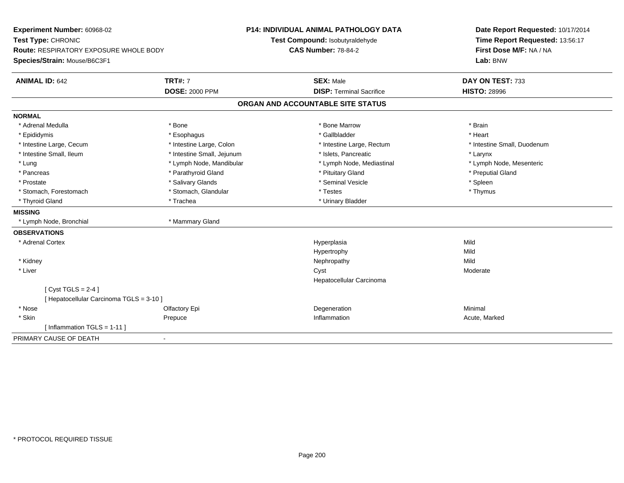| Experiment Number: 60968-02                   | P14: INDIVIDUAL ANIMAL PATHOLOGY DATA |                                   | Date Report Requested: 10/17/2014 |
|-----------------------------------------------|---------------------------------------|-----------------------------------|-----------------------------------|
| Test Type: CHRONIC                            |                                       | Test Compound: Isobutyraldehyde   | Time Report Requested: 13:56:17   |
| <b>Route: RESPIRATORY EXPOSURE WHOLE BODY</b> |                                       | <b>CAS Number: 78-84-2</b>        | First Dose M/F: NA / NA           |
| Species/Strain: Mouse/B6C3F1                  |                                       |                                   | Lab: BNW                          |
| <b>ANIMAL ID: 642</b>                         | <b>TRT#: 7</b>                        | <b>SEX: Male</b>                  | DAY ON TEST: 733                  |
|                                               | <b>DOSE: 2000 PPM</b>                 | <b>DISP: Terminal Sacrifice</b>   | <b>HISTO: 28996</b>               |
|                                               |                                       | ORGAN AND ACCOUNTABLE SITE STATUS |                                   |
| <b>NORMAL</b>                                 |                                       |                                   |                                   |
| * Adrenal Medulla                             | * Bone                                | * Bone Marrow                     | * Brain                           |
| * Epididymis                                  | * Esophagus                           | * Gallbladder                     | * Heart                           |
| * Intestine Large, Cecum                      | * Intestine Large, Colon              | * Intestine Large, Rectum         | * Intestine Small, Duodenum       |
| * Intestine Small, Ileum                      | * Intestine Small, Jejunum            | * Islets, Pancreatic              | * Larynx                          |
| * Lung                                        | * Lymph Node, Mandibular              | * Lymph Node, Mediastinal         | * Lymph Node, Mesenteric          |
| * Pancreas                                    | * Parathyroid Gland                   | * Pituitary Gland                 | * Preputial Gland                 |
| * Prostate                                    | * Salivary Glands                     | * Seminal Vesicle                 | * Spleen                          |
| * Stomach, Forestomach                        | * Stomach, Glandular                  | * Testes                          | * Thymus                          |
| * Thyroid Gland                               | * Trachea                             | * Urinary Bladder                 |                                   |
| <b>MISSING</b>                                |                                       |                                   |                                   |
| * Lymph Node, Bronchial                       | * Mammary Gland                       |                                   |                                   |
| <b>OBSERVATIONS</b>                           |                                       |                                   |                                   |
| * Adrenal Cortex                              |                                       | Hyperplasia                       | Mild                              |
|                                               |                                       | Hypertrophy                       | Mild                              |
| * Kidney                                      |                                       | Nephropathy                       | Mild                              |
| * Liver                                       |                                       | Cyst                              | Moderate                          |
|                                               |                                       | Hepatocellular Carcinoma          |                                   |
| [Cyst TGLS = $2-4$ ]                          |                                       |                                   |                                   |
| [ Hepatocellular Carcinoma TGLS = 3-10 ]      |                                       |                                   |                                   |
| * Nose                                        | Olfactory Epi                         | Degeneration                      | Minimal                           |
| * Skin                                        | Prepuce                               | Inflammation                      | Acute, Marked                     |
| [ Inflammation TGLS = 1-11 ]                  |                                       |                                   |                                   |
| PRIMARY CAUSE OF DEATH                        | $\sim$                                |                                   |                                   |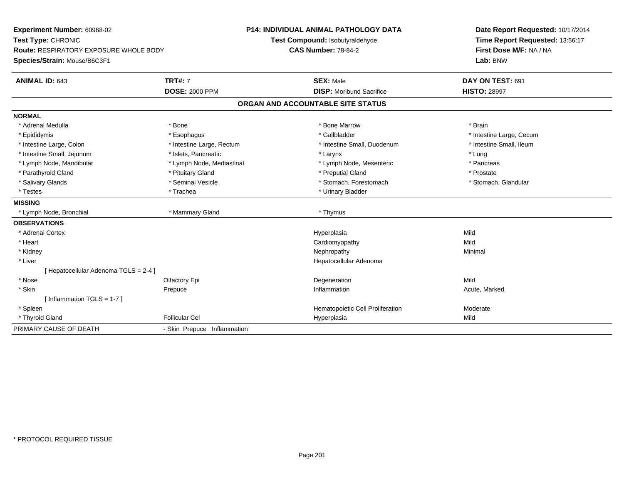| Experiment Number: 60968-02<br>Test Type: CHRONIC<br>Route: RESPIRATORY EXPOSURE WHOLE BODY<br>Species/Strain: Mouse/B6C3F1 |                             | <b>P14: INDIVIDUAL ANIMAL PATHOLOGY DATA</b><br>Test Compound: Isobutyraldehyde<br><b>CAS Number: 78-84-2</b> | Date Report Requested: 10/17/2014<br>Time Report Requested: 13:56:17<br>First Dose M/F: NA / NA<br>Lab: BNW |  |
|-----------------------------------------------------------------------------------------------------------------------------|-----------------------------|---------------------------------------------------------------------------------------------------------------|-------------------------------------------------------------------------------------------------------------|--|
| <b>ANIMAL ID: 643</b>                                                                                                       | <b>TRT#: 7</b>              | <b>SEX: Male</b>                                                                                              | DAY ON TEST: 691                                                                                            |  |
|                                                                                                                             | <b>DOSE: 2000 PPM</b>       | <b>DISP:</b> Moribund Sacrifice<br>ORGAN AND ACCOUNTABLE SITE STATUS                                          | <b>HISTO: 28997</b>                                                                                         |  |
|                                                                                                                             |                             |                                                                                                               |                                                                                                             |  |
| <b>NORMAL</b>                                                                                                               |                             |                                                                                                               |                                                                                                             |  |
| * Adrenal Medulla                                                                                                           | * Bone                      | * Bone Marrow                                                                                                 | * Brain                                                                                                     |  |
| * Epididymis                                                                                                                | * Esophagus                 | * Gallbladder                                                                                                 | * Intestine Large, Cecum                                                                                    |  |
| * Intestine Large, Colon                                                                                                    | * Intestine Large, Rectum   | * Intestine Small, Duodenum                                                                                   | * Intestine Small, Ileum                                                                                    |  |
| * Intestine Small, Jejunum                                                                                                  | * Islets, Pancreatic        | * Larynx                                                                                                      | * Lung                                                                                                      |  |
| * Lymph Node, Mandibular                                                                                                    | * Lymph Node, Mediastinal   | * Lymph Node, Mesenteric                                                                                      | * Pancreas                                                                                                  |  |
| * Parathyroid Gland                                                                                                         | * Pituitary Gland           | * Preputial Gland                                                                                             | * Prostate                                                                                                  |  |
| * Salivary Glands                                                                                                           | * Seminal Vesicle           | * Stomach, Forestomach                                                                                        | * Stomach, Glandular                                                                                        |  |
| * Testes                                                                                                                    | * Trachea                   | * Urinary Bladder                                                                                             |                                                                                                             |  |
| <b>MISSING</b>                                                                                                              |                             |                                                                                                               |                                                                                                             |  |
| * Lymph Node, Bronchial                                                                                                     | * Mammary Gland             | * Thymus                                                                                                      |                                                                                                             |  |
| <b>OBSERVATIONS</b>                                                                                                         |                             |                                                                                                               |                                                                                                             |  |
| * Adrenal Cortex                                                                                                            |                             | Hyperplasia                                                                                                   | Mild                                                                                                        |  |
| * Heart                                                                                                                     |                             | Cardiomyopathy                                                                                                | Mild                                                                                                        |  |
| * Kidney                                                                                                                    |                             | Nephropathy                                                                                                   | Minimal                                                                                                     |  |
| * Liver                                                                                                                     |                             | Hepatocellular Adenoma                                                                                        |                                                                                                             |  |
| [Hepatocellular Adenoma TGLS = 2-4]                                                                                         |                             |                                                                                                               |                                                                                                             |  |
| * Nose                                                                                                                      | Olfactory Epi               | Degeneration                                                                                                  | Mild                                                                                                        |  |
| * Skin                                                                                                                      | Prepuce                     | Inflammation                                                                                                  | Acute, Marked                                                                                               |  |
| [Inflammation TGLS = $1-7$ ]                                                                                                |                             |                                                                                                               |                                                                                                             |  |
| * Spleen                                                                                                                    |                             | Hematopoietic Cell Proliferation                                                                              | Moderate                                                                                                    |  |
| * Thyroid Gland                                                                                                             | <b>Follicular Cel</b>       | Hyperplasia                                                                                                   | Mild                                                                                                        |  |
| PRIMARY CAUSE OF DEATH                                                                                                      | - Skin Prepuce Inflammation |                                                                                                               |                                                                                                             |  |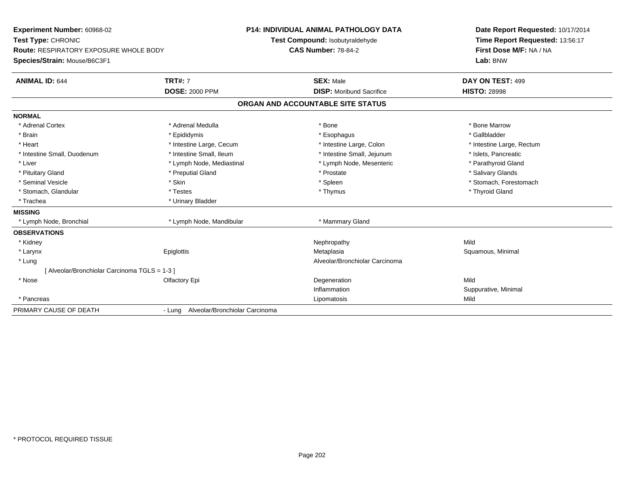| Experiment Number: 60968-02<br>Test Type: CHRONIC |                                       | <b>P14: INDIVIDUAL ANIMAL PATHOLOGY DATA</b> | Date Report Requested: 10/17/2014 |
|---------------------------------------------------|---------------------------------------|----------------------------------------------|-----------------------------------|
|                                                   |                                       | Test Compound: Isobutyraldehyde              | Time Report Requested: 13:56:17   |
| <b>Route: RESPIRATORY EXPOSURE WHOLE BODY</b>     |                                       | <b>CAS Number: 78-84-2</b>                   | First Dose M/F: NA / NA           |
| Species/Strain: Mouse/B6C3F1                      |                                       |                                              | Lab: BNW                          |
| <b>ANIMAL ID: 644</b>                             | <b>TRT#: 7</b>                        | <b>SEX: Male</b>                             | DAY ON TEST: 499                  |
|                                                   | <b>DOSE: 2000 PPM</b>                 | <b>DISP:</b> Moribund Sacrifice              | <b>HISTO: 28998</b>               |
|                                                   |                                       | ORGAN AND ACCOUNTABLE SITE STATUS            |                                   |
| <b>NORMAL</b>                                     |                                       |                                              |                                   |
| * Adrenal Cortex                                  | * Adrenal Medulla                     | * Bone                                       | * Bone Marrow                     |
| * Brain                                           | * Epididymis                          | * Esophagus                                  | * Gallbladder                     |
| * Heart                                           | * Intestine Large, Cecum              | * Intestine Large, Colon                     | * Intestine Large, Rectum         |
| * Intestine Small, Duodenum                       | * Intestine Small, Ileum              | * Intestine Small, Jejunum                   | * Islets, Pancreatic              |
| * Liver                                           | * Lymph Node, Mediastinal             | * Lymph Node, Mesenteric                     | * Parathyroid Gland               |
| * Pituitary Gland                                 | * Preputial Gland                     | * Prostate                                   | * Salivary Glands                 |
| * Seminal Vesicle                                 | * Skin                                | * Spleen                                     | * Stomach, Forestomach            |
| * Stomach, Glandular                              | * Testes                              | * Thymus                                     | * Thyroid Gland                   |
| * Trachea                                         | * Urinary Bladder                     |                                              |                                   |
| <b>MISSING</b>                                    |                                       |                                              |                                   |
| * Lymph Node, Bronchial                           | * Lymph Node, Mandibular              | * Mammary Gland                              |                                   |
| <b>OBSERVATIONS</b>                               |                                       |                                              |                                   |
| * Kidney                                          |                                       | Nephropathy                                  | Mild                              |
| * Larynx                                          | Epiglottis                            | Metaplasia                                   | Squamous, Minimal                 |
| * Lung                                            |                                       | Alveolar/Bronchiolar Carcinoma               |                                   |
| [Alveolar/Bronchiolar Carcinoma TGLS = 1-3 ]      |                                       |                                              |                                   |
| * Nose                                            | Olfactory Epi                         | Degeneration                                 | Mild                              |
|                                                   |                                       | Inflammation                                 | Suppurative, Minimal              |
| * Pancreas                                        |                                       | Lipomatosis                                  | Mild                              |
| PRIMARY CAUSE OF DEATH                            | - Lung Alveolar/Bronchiolar Carcinoma |                                              |                                   |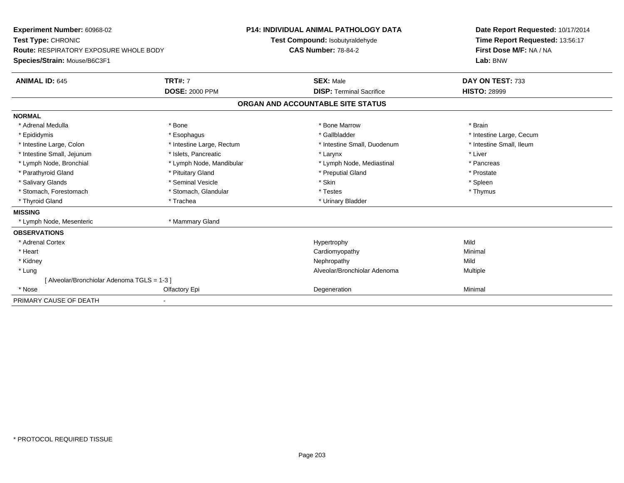| <b>Experiment Number: 60968-02</b><br>Test Type: CHRONIC<br><b>Route: RESPIRATORY EXPOSURE WHOLE BODY</b><br>Species/Strain: Mouse/B6C3F1<br><b>ANIMAL ID: 645</b> | <b>TRT#: 7</b>            | <b>P14: INDIVIDUAL ANIMAL PATHOLOGY DATA</b><br>Test Compound: Isobutyraldehyde<br><b>CAS Number: 78-84-2</b><br><b>SEX: Male</b> |  | Date Report Requested: 10/17/2014<br>Time Report Requested: 13:56:17<br>First Dose M/F: NA / NA<br>Lab: BNW<br>DAY ON TEST: 733 |
|--------------------------------------------------------------------------------------------------------------------------------------------------------------------|---------------------------|-----------------------------------------------------------------------------------------------------------------------------------|--|---------------------------------------------------------------------------------------------------------------------------------|
|                                                                                                                                                                    | <b>DOSE: 2000 PPM</b>     | <b>DISP: Terminal Sacrifice</b>                                                                                                   |  | <b>HISTO: 28999</b>                                                                                                             |
|                                                                                                                                                                    |                           | ORGAN AND ACCOUNTABLE SITE STATUS                                                                                                 |  |                                                                                                                                 |
| <b>NORMAL</b>                                                                                                                                                      |                           |                                                                                                                                   |  |                                                                                                                                 |
| * Adrenal Medulla                                                                                                                                                  | * Bone                    | * Bone Marrow                                                                                                                     |  | * Brain                                                                                                                         |
| * Epididymis                                                                                                                                                       | * Esophagus               | * Gallbladder                                                                                                                     |  | * Intestine Large, Cecum                                                                                                        |
| * Intestine Large, Colon                                                                                                                                           | * Intestine Large, Rectum | * Intestine Small, Duodenum                                                                                                       |  | * Intestine Small, Ileum                                                                                                        |
| * Intestine Small, Jejunum                                                                                                                                         | * Islets, Pancreatic      | * Larynx                                                                                                                          |  | * Liver                                                                                                                         |
| * Lymph Node, Bronchial                                                                                                                                            | * Lymph Node, Mandibular  | * Lymph Node, Mediastinal                                                                                                         |  | * Pancreas                                                                                                                      |
| * Parathyroid Gland                                                                                                                                                | * Pituitary Gland         | * Preputial Gland                                                                                                                 |  | * Prostate                                                                                                                      |
| * Salivary Glands                                                                                                                                                  | * Seminal Vesicle         | * Skin                                                                                                                            |  | * Spleen                                                                                                                        |
| * Stomach, Forestomach                                                                                                                                             | * Stomach, Glandular      | * Testes                                                                                                                          |  | * Thymus                                                                                                                        |
| * Thyroid Gland                                                                                                                                                    | * Trachea                 | * Urinary Bladder                                                                                                                 |  |                                                                                                                                 |
| <b>MISSING</b>                                                                                                                                                     |                           |                                                                                                                                   |  |                                                                                                                                 |
| * Lymph Node, Mesenteric                                                                                                                                           | * Mammary Gland           |                                                                                                                                   |  |                                                                                                                                 |
| <b>OBSERVATIONS</b>                                                                                                                                                |                           |                                                                                                                                   |  |                                                                                                                                 |
| * Adrenal Cortex                                                                                                                                                   |                           | Hypertrophy                                                                                                                       |  | Mild                                                                                                                            |
| * Heart                                                                                                                                                            |                           | Cardiomyopathy                                                                                                                    |  | Minimal                                                                                                                         |
| * Kidney                                                                                                                                                           |                           | Nephropathy                                                                                                                       |  | Mild                                                                                                                            |
| * Lung                                                                                                                                                             |                           | Alveolar/Bronchiolar Adenoma                                                                                                      |  | Multiple                                                                                                                        |
| [Alveolar/Bronchiolar Adenoma TGLS = 1-3]                                                                                                                          |                           |                                                                                                                                   |  |                                                                                                                                 |
| * Nose                                                                                                                                                             | Olfactory Epi             | Degeneration                                                                                                                      |  | Minimal                                                                                                                         |
| PRIMARY CAUSE OF DEATH                                                                                                                                             |                           |                                                                                                                                   |  |                                                                                                                                 |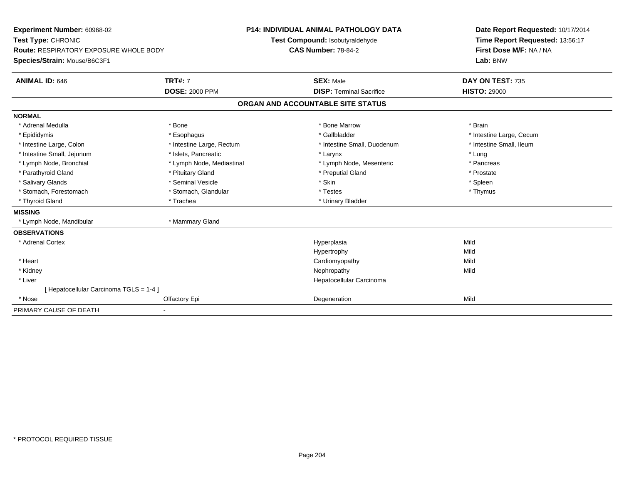| Experiment Number: 60968-02<br>Test Type: CHRONIC |                           | <b>P14: INDIVIDUAL ANIMAL PATHOLOGY DATA</b><br>Test Compound: Isobutyraldehyde | Date Report Requested: 10/17/2014<br>Time Report Requested: 13:56:17 |
|---------------------------------------------------|---------------------------|---------------------------------------------------------------------------------|----------------------------------------------------------------------|
| <b>Route: RESPIRATORY EXPOSURE WHOLE BODY</b>     |                           | <b>CAS Number: 78-84-2</b>                                                      | First Dose M/F: NA / NA                                              |
| Species/Strain: Mouse/B6C3F1                      |                           |                                                                                 | Lab: BNW                                                             |
| <b>ANIMAL ID: 646</b>                             | <b>TRT#: 7</b>            | <b>SEX: Male</b>                                                                | DAY ON TEST: 735                                                     |
|                                                   | <b>DOSE: 2000 PPM</b>     | <b>DISP: Terminal Sacrifice</b>                                                 | <b>HISTO: 29000</b>                                                  |
|                                                   |                           | ORGAN AND ACCOUNTABLE SITE STATUS                                               |                                                                      |
| <b>NORMAL</b>                                     |                           |                                                                                 |                                                                      |
| * Adrenal Medulla                                 | * Bone                    | * Bone Marrow                                                                   | * Brain                                                              |
| * Epididymis                                      | * Esophagus               | * Gallbladder                                                                   | * Intestine Large, Cecum                                             |
| * Intestine Large, Colon                          | * Intestine Large, Rectum | * Intestine Small, Duodenum                                                     | * Intestine Small, Ileum                                             |
| * Intestine Small, Jejunum                        | * Islets, Pancreatic      | * Larynx                                                                        | * Lung                                                               |
| * Lymph Node, Bronchial                           | * Lymph Node, Mediastinal | * Lymph Node, Mesenteric                                                        | * Pancreas                                                           |
| * Parathyroid Gland                               | * Pituitary Gland         | * Preputial Gland                                                               | * Prostate                                                           |
| * Salivary Glands                                 | * Seminal Vesicle         | * Skin                                                                          | * Spleen                                                             |
| * Stomach, Forestomach                            | * Stomach, Glandular      | * Testes                                                                        | * Thymus                                                             |
| * Thyroid Gland                                   | * Trachea                 | * Urinary Bladder                                                               |                                                                      |
| <b>MISSING</b>                                    |                           |                                                                                 |                                                                      |
| * Lymph Node, Mandibular                          | * Mammary Gland           |                                                                                 |                                                                      |
| <b>OBSERVATIONS</b>                               |                           |                                                                                 |                                                                      |
| * Adrenal Cortex                                  |                           | Hyperplasia                                                                     | Mild                                                                 |
|                                                   |                           | Hypertrophy                                                                     | Mild                                                                 |
| * Heart                                           |                           | Cardiomyopathy                                                                  | Mild                                                                 |
| * Kidney                                          |                           | Nephropathy                                                                     | Mild                                                                 |
| * Liver                                           |                           | Hepatocellular Carcinoma                                                        |                                                                      |
| [Hepatocellular Carcinoma TGLS = 1-4]             |                           |                                                                                 |                                                                      |
| * Nose                                            | Olfactory Epi             | Degeneration                                                                    | Mild                                                                 |
| PRIMARY CAUSE OF DEATH                            |                           |                                                                                 |                                                                      |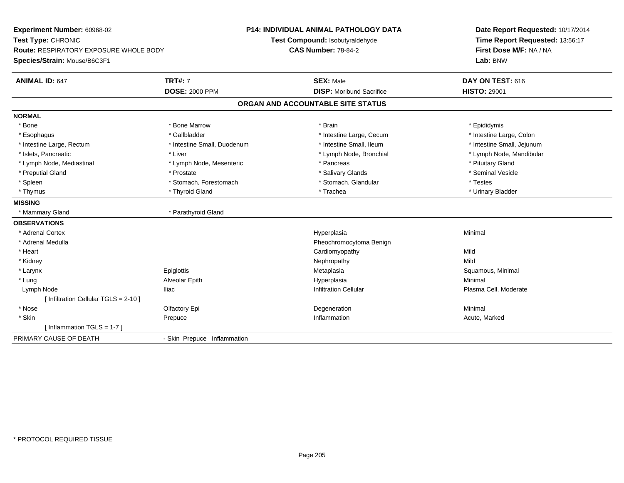**Experiment Number:** 60968-02**Test Type:** CHRONIC **Route:** RESPIRATORY EXPOSURE WHOLE BODY**Species/Strain:** Mouse/B6C3F1**P14: INDIVIDUAL ANIMAL PATHOLOGY DATATest Compound:** Isobutyraldehyde**CAS Number:** 78-84-2**Date Report Requested:** 10/17/2014**Time Report Requested:** 13:56:17**First Dose M/F:** NA / NA**Lab:** BNW**ANIMAL ID:** 647**TRT#:** 7 **SEX:** Male **DAY ON TEST:** 616 **DOSE:** 2000 PPM**DISP:** Moribund Sacrifice **HISTO:** 29001 **ORGAN AND ACCOUNTABLE SITE STATUSNORMAL**\* Bone \* Bone \* Bone Marrow \* Brain \* Epididymis \* Intestine Large, Colon \* Esophagus \* Intestine Large, Cecum \* Callbladder \* 10 \* Intestine Large, Cecum \* Intestine Large, Cecum \* \* Intestine Large, Rectum \* Thestine Small, Duodenum \* Number of the small, Ileum \* Intestine Small, Jejunum \* Intestine Small, Jejunum \* Islets, Pancreatic \* \* Lymph Node, Mandibular \* Liver \* Lymph Node, Bronchial \* Lymph Node, Mandibular \* Lymph Node, Mandibular \* Lymph Node, Mandibular \* Lymph Node, Mandibular \* Lymph Node, Mandibular \* Lymph Node, Man \* Lymph Node, Mediastinal \* Lymph Node, Mesenteric \* \* Pancreas \* Pancreas \* Pituitary Gland \* Seminal Vesicle \* Preputial Gland \* \* Annual vesicle \* \* Prostate \* \* Salivary Glands \* \* Salivary Glands \* \* Seminal Vesicle \* \* Spleen \* Stomach, Forestomach \* Stomach \* Stomach, Slandular \* Testes \* Testes \* Urinary Bladder \* Thymus \* Thyroid Gland \* Trachea \* Urinary Bladder \* **MISSING**\* Mammary Gland \* Parathyroid Gland **OBSERVATIONS** \* Adrenal Cortexx and the control of the control of the control of the control of the control of the control of the control of the control of the control of the control of the control of the control of the control of the control of the co a **Minimal**  \* Adrenal Medulla Pheochromocytoma Benign \* Heart Cardiomyopathyy Mild **Mild**  \* Kidneyy the controller of the controller of the controller of the controller of the controller of the controller of the controller of the controller of the controller of the controller of the controller of the controller of the a **Sanda and Salamous**, Minimal \* Larynx Epiglottis Metaplasia \* Lung Alveolar Epith Hyperplasia Minimal Lymph Node Iliac Infiltration Cellular Plasma Cell, Moderate [ Infiltration Cellular TGLS = 2-10 ] \* Nosee and the Colombia Colombia Defectory Epi and the Colombia Degeneration and the Colombia Minimal Minimal Degeneration \* Skinn and the prepuce of the controller of the controller of the controller of the prepublic  $\Lambda$ cute, Marked and  $\Lambda$ cute, Marked and  $\Lambda$ [ Inflammation TGLS = 1-7 ] PRIMARY CAUSE OF DEATH- Skin Prepuce Inflammation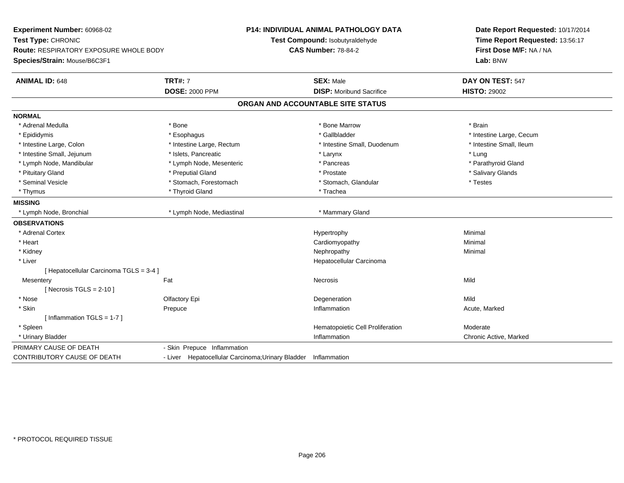| Experiment Number: 60968-02<br>Test Type: CHRONIC<br>Route: RESPIRATORY EXPOSURE WHOLE BODY<br>Species/Strain: Mouse/B6C3F1 |                                                                | <b>P14: INDIVIDUAL ANIMAL PATHOLOGY DATA</b><br>Test Compound: Isobutyraldehyde<br><b>CAS Number: 78-84-2</b> | Date Report Requested: 10/17/2014<br>Time Report Requested: 13:56:17<br>First Dose M/F: NA / NA<br>Lab: BNW |  |
|-----------------------------------------------------------------------------------------------------------------------------|----------------------------------------------------------------|---------------------------------------------------------------------------------------------------------------|-------------------------------------------------------------------------------------------------------------|--|
| <b>ANIMAL ID: 648</b>                                                                                                       | <b>TRT#: 7</b><br><b>DOSE: 2000 PPM</b>                        | <b>SEX: Male</b><br><b>DISP:</b> Moribund Sacrifice                                                           | DAY ON TEST: 547<br><b>HISTO: 29002</b>                                                                     |  |
|                                                                                                                             |                                                                | ORGAN AND ACCOUNTABLE SITE STATUS                                                                             |                                                                                                             |  |
| <b>NORMAL</b>                                                                                                               |                                                                |                                                                                                               |                                                                                                             |  |
| * Adrenal Medulla                                                                                                           | * Bone                                                         | * Bone Marrow                                                                                                 | * Brain                                                                                                     |  |
| * Epididymis                                                                                                                | * Esophagus                                                    | * Gallbladder                                                                                                 | * Intestine Large, Cecum                                                                                    |  |
| * Intestine Large, Colon                                                                                                    | * Intestine Large, Rectum                                      | * Intestine Small, Duodenum                                                                                   | * Intestine Small, Ileum                                                                                    |  |
| * Intestine Small, Jejunum                                                                                                  | * Islets, Pancreatic                                           | * Larynx                                                                                                      | * Lung                                                                                                      |  |
| * Lymph Node, Mandibular                                                                                                    | * Lymph Node, Mesenteric                                       | * Pancreas                                                                                                    | * Parathyroid Gland                                                                                         |  |
| * Pituitary Gland                                                                                                           | * Preputial Gland                                              | * Prostate                                                                                                    | * Salivary Glands                                                                                           |  |
| * Seminal Vesicle                                                                                                           | * Stomach, Forestomach                                         | * Stomach, Glandular                                                                                          | * Testes                                                                                                    |  |
| * Thymus                                                                                                                    | * Thyroid Gland                                                | * Trachea                                                                                                     |                                                                                                             |  |
| <b>MISSING</b>                                                                                                              |                                                                |                                                                                                               |                                                                                                             |  |
| * Lymph Node, Bronchial                                                                                                     | * Lymph Node, Mediastinal                                      | * Mammary Gland                                                                                               |                                                                                                             |  |
| <b>OBSERVATIONS</b>                                                                                                         |                                                                |                                                                                                               |                                                                                                             |  |
| * Adrenal Cortex                                                                                                            |                                                                | Hypertrophy                                                                                                   | Minimal                                                                                                     |  |
| * Heart                                                                                                                     |                                                                | Cardiomyopathy                                                                                                | Minimal                                                                                                     |  |
| * Kidney                                                                                                                    |                                                                | Nephropathy                                                                                                   | Minimal                                                                                                     |  |
| * Liver                                                                                                                     |                                                                | Hepatocellular Carcinoma                                                                                      |                                                                                                             |  |
| [ Hepatocellular Carcinoma TGLS = 3-4 ]                                                                                     |                                                                |                                                                                                               |                                                                                                             |  |
| Mesentery                                                                                                                   | Fat                                                            | Necrosis                                                                                                      | Mild                                                                                                        |  |
| [Necrosis TGLS = $2-10$ ]                                                                                                   |                                                                |                                                                                                               |                                                                                                             |  |
| * Nose                                                                                                                      | Olfactory Epi                                                  | Degeneration                                                                                                  | Mild                                                                                                        |  |
| * Skin                                                                                                                      | Prepuce                                                        | Inflammation                                                                                                  | Acute, Marked                                                                                               |  |
| [Inflammation TGLS = $1-7$ ]                                                                                                |                                                                |                                                                                                               |                                                                                                             |  |
| * Spleen                                                                                                                    |                                                                | Hematopoietic Cell Proliferation                                                                              | Moderate                                                                                                    |  |
| * Urinary Bladder                                                                                                           |                                                                | Inflammation                                                                                                  | Chronic Active, Marked                                                                                      |  |
| PRIMARY CAUSE OF DEATH                                                                                                      | - Skin Prepuce Inflammation                                    |                                                                                                               |                                                                                                             |  |
| <b>CONTRIBUTORY CAUSE OF DEATH</b>                                                                                          | - Liver Hepatocellular Carcinoma; Urinary Bladder Inflammation |                                                                                                               |                                                                                                             |  |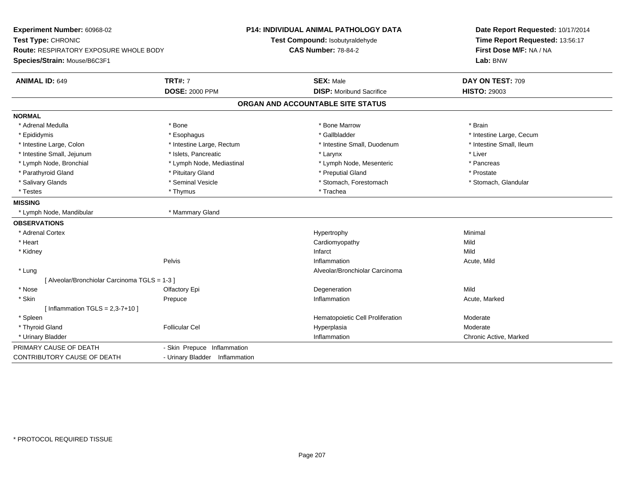| Experiment Number: 60968-02<br>Test Type: CHRONIC<br><b>Route: RESPIRATORY EXPOSURE WHOLE BODY</b><br>Species/Strain: Mouse/B6C3F1 |                                         | <b>P14: INDIVIDUAL ANIMAL PATHOLOGY DATA</b><br>Test Compound: Isobutyraldehyde<br><b>CAS Number: 78-84-2</b> | Date Report Requested: 10/17/2014<br>Time Report Requested: 13:56:17<br>First Dose M/F: NA / NA<br>Lab: BNW |  |
|------------------------------------------------------------------------------------------------------------------------------------|-----------------------------------------|---------------------------------------------------------------------------------------------------------------|-------------------------------------------------------------------------------------------------------------|--|
| <b>ANIMAL ID: 649</b>                                                                                                              | <b>TRT#: 7</b><br><b>DOSE: 2000 PPM</b> | <b>SEX: Male</b><br><b>DISP: Moribund Sacrifice</b>                                                           | DAY ON TEST: 709<br><b>HISTO: 29003</b>                                                                     |  |
|                                                                                                                                    |                                         | ORGAN AND ACCOUNTABLE SITE STATUS                                                                             |                                                                                                             |  |
| <b>NORMAL</b>                                                                                                                      |                                         |                                                                                                               |                                                                                                             |  |
| * Adrenal Medulla                                                                                                                  | * Bone                                  | * Bone Marrow                                                                                                 | * Brain                                                                                                     |  |
| * Epididymis                                                                                                                       | * Esophagus                             | * Gallbladder                                                                                                 | * Intestine Large, Cecum                                                                                    |  |
| * Intestine Large, Colon                                                                                                           | * Intestine Large, Rectum               | * Intestine Small. Duodenum                                                                                   | * Intestine Small, Ileum                                                                                    |  |
| * Intestine Small, Jejunum                                                                                                         | * Islets, Pancreatic                    | * Larynx                                                                                                      | * Liver                                                                                                     |  |
| * Lymph Node, Bronchial                                                                                                            | * Lymph Node, Mediastinal               | * Lymph Node, Mesenteric                                                                                      | * Pancreas                                                                                                  |  |
| * Parathyroid Gland                                                                                                                | * Pituitary Gland                       | * Preputial Gland                                                                                             | * Prostate                                                                                                  |  |
| * Salivary Glands                                                                                                                  | * Seminal Vesicle                       | * Stomach, Forestomach                                                                                        | * Stomach, Glandular                                                                                        |  |
| * Testes                                                                                                                           | * Thymus                                | * Trachea                                                                                                     |                                                                                                             |  |
| <b>MISSING</b>                                                                                                                     |                                         |                                                                                                               |                                                                                                             |  |
| * Lymph Node, Mandibular                                                                                                           | * Mammary Gland                         |                                                                                                               |                                                                                                             |  |
| <b>OBSERVATIONS</b>                                                                                                                |                                         |                                                                                                               |                                                                                                             |  |
| * Adrenal Cortex                                                                                                                   |                                         | Hypertrophy                                                                                                   | Minimal                                                                                                     |  |
| * Heart                                                                                                                            |                                         | Cardiomyopathy                                                                                                | Mild                                                                                                        |  |
| * Kidney                                                                                                                           |                                         | Infarct                                                                                                       | Mild                                                                                                        |  |
|                                                                                                                                    | Pelvis                                  | Inflammation                                                                                                  | Acute, Mild                                                                                                 |  |
| * Lung                                                                                                                             |                                         | Alveolar/Bronchiolar Carcinoma                                                                                |                                                                                                             |  |
| [ Alveolar/Bronchiolar Carcinoma TGLS = 1-3 ]                                                                                      |                                         |                                                                                                               |                                                                                                             |  |
| * Nose                                                                                                                             | Olfactory Epi                           | Degeneration                                                                                                  | Mild                                                                                                        |  |
| * Skin                                                                                                                             | Prepuce                                 | Inflammation                                                                                                  | Acute, Marked                                                                                               |  |
| [ Inflammation TGLS = $2,3-7+10$ ]                                                                                                 |                                         |                                                                                                               |                                                                                                             |  |
| * Spleen                                                                                                                           |                                         | Hematopoietic Cell Proliferation                                                                              | Moderate                                                                                                    |  |
| * Thyroid Gland                                                                                                                    | <b>Follicular Cel</b>                   | Hyperplasia                                                                                                   | Moderate                                                                                                    |  |
| * Urinary Bladder                                                                                                                  |                                         | Inflammation                                                                                                  | Chronic Active, Marked                                                                                      |  |
| PRIMARY CAUSE OF DEATH                                                                                                             | - Skin Prepuce Inflammation             |                                                                                                               |                                                                                                             |  |
| <b>CONTRIBUTORY CAUSE OF DEATH</b>                                                                                                 | - Urinary Bladder Inflammation          |                                                                                                               |                                                                                                             |  |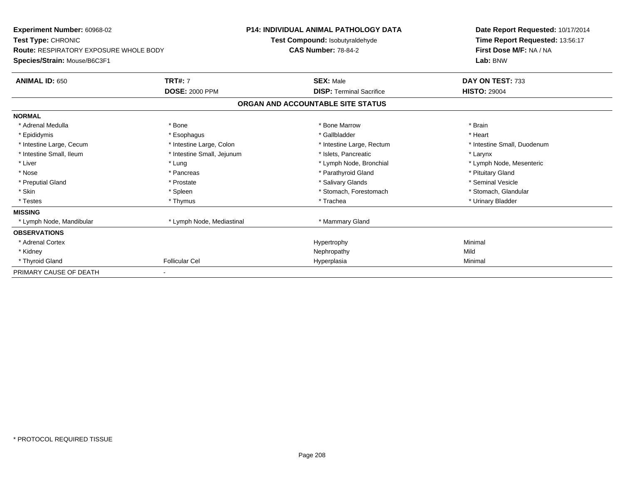| <b>Experiment Number: 60968-02</b><br>Test Type: CHRONIC<br><b>Route: RESPIRATORY EXPOSURE WHOLE BODY</b><br>Species/Strain: Mouse/B6C3F1 |                            | <b>P14: INDIVIDUAL ANIMAL PATHOLOGY DATA</b><br>Test Compound: Isobutyraldehyde | Date Report Requested: 10/17/2014<br>Time Report Requested: 13:56:17<br>First Dose M/F: NA / NA<br>Lab: BNW |  |
|-------------------------------------------------------------------------------------------------------------------------------------------|----------------------------|---------------------------------------------------------------------------------|-------------------------------------------------------------------------------------------------------------|--|
|                                                                                                                                           |                            | <b>CAS Number: 78-84-2</b>                                                      |                                                                                                             |  |
| <b>ANIMAL ID: 650</b>                                                                                                                     | <b>TRT#: 7</b>             | <b>SEX: Male</b>                                                                | DAY ON TEST: 733                                                                                            |  |
|                                                                                                                                           | <b>DOSE: 2000 PPM</b>      | <b>DISP: Terminal Sacrifice</b>                                                 | <b>HISTO: 29004</b>                                                                                         |  |
|                                                                                                                                           |                            | ORGAN AND ACCOUNTABLE SITE STATUS                                               |                                                                                                             |  |
| <b>NORMAL</b>                                                                                                                             |                            |                                                                                 |                                                                                                             |  |
| * Adrenal Medulla                                                                                                                         | * Bone                     | * Bone Marrow                                                                   | * Brain                                                                                                     |  |
| * Epididymis                                                                                                                              | * Esophagus                | * Gallbladder                                                                   | * Heart                                                                                                     |  |
| * Intestine Large, Cecum                                                                                                                  | * Intestine Large, Colon   | * Intestine Large, Rectum                                                       | * Intestine Small, Duodenum                                                                                 |  |
| * Intestine Small, Ileum                                                                                                                  | * Intestine Small, Jejunum | * Islets, Pancreatic                                                            | * Larynx                                                                                                    |  |
| * Liver                                                                                                                                   | * Lung                     | * Lymph Node, Bronchial                                                         | * Lymph Node, Mesenteric                                                                                    |  |
| * Nose                                                                                                                                    | * Pancreas                 | * Parathyroid Gland                                                             | * Pituitary Gland                                                                                           |  |
| * Preputial Gland                                                                                                                         | * Prostate                 | * Salivary Glands                                                               | * Seminal Vesicle                                                                                           |  |
| * Skin                                                                                                                                    | * Spleen                   | * Stomach, Forestomach                                                          | * Stomach, Glandular                                                                                        |  |
| * Testes                                                                                                                                  | * Thymus                   | * Trachea                                                                       | * Urinary Bladder                                                                                           |  |
| <b>MISSING</b>                                                                                                                            |                            |                                                                                 |                                                                                                             |  |
| * Lymph Node, Mandibular                                                                                                                  | * Lymph Node, Mediastinal  | * Mammary Gland                                                                 |                                                                                                             |  |
| <b>OBSERVATIONS</b>                                                                                                                       |                            |                                                                                 |                                                                                                             |  |
| * Adrenal Cortex                                                                                                                          |                            | Hypertrophy                                                                     | Minimal                                                                                                     |  |
| * Kidney                                                                                                                                  |                            | Nephropathy                                                                     | Mild                                                                                                        |  |
| * Thyroid Gland                                                                                                                           | <b>Follicular Cel</b>      | Hyperplasia                                                                     | Minimal                                                                                                     |  |
| PRIMARY CAUSE OF DEATH                                                                                                                    |                            |                                                                                 |                                                                                                             |  |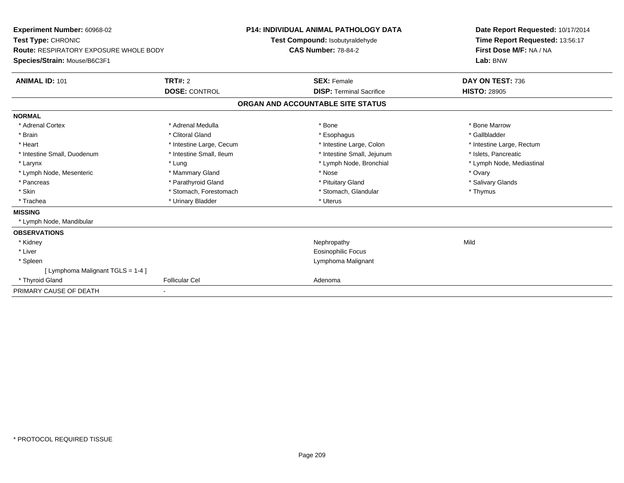| Experiment Number: 60968-02<br>Test Type: CHRONIC<br>Route: RESPIRATORY EXPOSURE WHOLE BODY<br>Species/Strain: Mouse/B6C3F1<br><b>ANIMAL ID: 101</b> | TRT#: 2                  | <b>P14: INDIVIDUAL ANIMAL PATHOLOGY DATA</b><br>Test Compound: Isobutyraldehyde<br><b>CAS Number: 78-84-2</b><br><b>SEX: Female</b> |      | Date Report Requested: 10/17/2014<br>Time Report Requested: 13:56:17<br>First Dose M/F: NA / NA<br>Lab: BNW<br>DAY ON TEST: 736 |
|------------------------------------------------------------------------------------------------------------------------------------------------------|--------------------------|-------------------------------------------------------------------------------------------------------------------------------------|------|---------------------------------------------------------------------------------------------------------------------------------|
|                                                                                                                                                      | <b>DOSE: CONTROL</b>     | <b>DISP: Terminal Sacrifice</b>                                                                                                     |      | <b>HISTO: 28905</b>                                                                                                             |
|                                                                                                                                                      |                          | ORGAN AND ACCOUNTABLE SITE STATUS                                                                                                   |      |                                                                                                                                 |
| <b>NORMAL</b>                                                                                                                                        |                          |                                                                                                                                     |      |                                                                                                                                 |
| * Adrenal Cortex                                                                                                                                     | * Adrenal Medulla        | * Bone                                                                                                                              |      | * Bone Marrow                                                                                                                   |
| * Brain                                                                                                                                              | * Clitoral Gland         | * Esophagus                                                                                                                         |      | * Gallbladder                                                                                                                   |
| * Heart                                                                                                                                              | * Intestine Large, Cecum | * Intestine Large, Colon                                                                                                            |      | * Intestine Large, Rectum                                                                                                       |
| * Intestine Small, Duodenum                                                                                                                          | * Intestine Small, Ileum | * Intestine Small, Jejunum                                                                                                          |      | * Islets, Pancreatic                                                                                                            |
| * Larynx                                                                                                                                             | * Lung                   | * Lymph Node, Bronchial                                                                                                             |      | * Lymph Node, Mediastinal                                                                                                       |
| * Lymph Node, Mesenteric                                                                                                                             | * Mammary Gland          | * Nose                                                                                                                              |      | * Ovary                                                                                                                         |
| * Pancreas                                                                                                                                           | * Parathyroid Gland      | * Pituitary Gland                                                                                                                   |      | * Salivary Glands                                                                                                               |
| * Skin                                                                                                                                               | * Stomach, Forestomach   | * Stomach, Glandular                                                                                                                |      | * Thymus                                                                                                                        |
| * Trachea                                                                                                                                            | * Urinary Bladder        | * Uterus                                                                                                                            |      |                                                                                                                                 |
| <b>MISSING</b>                                                                                                                                       |                          |                                                                                                                                     |      |                                                                                                                                 |
| * Lymph Node, Mandibular                                                                                                                             |                          |                                                                                                                                     |      |                                                                                                                                 |
| <b>OBSERVATIONS</b>                                                                                                                                  |                          |                                                                                                                                     |      |                                                                                                                                 |
| * Kidney                                                                                                                                             |                          | Nephropathy                                                                                                                         | Mild |                                                                                                                                 |
| * Liver                                                                                                                                              |                          | <b>Eosinophilic Focus</b>                                                                                                           |      |                                                                                                                                 |
| * Spleen                                                                                                                                             |                          | Lymphoma Malignant                                                                                                                  |      |                                                                                                                                 |
| [ Lymphoma Malignant TGLS = 1-4 ]                                                                                                                    |                          |                                                                                                                                     |      |                                                                                                                                 |
| * Thyroid Gland                                                                                                                                      | <b>Follicular Cel</b>    | Adenoma                                                                                                                             |      |                                                                                                                                 |
| PRIMARY CAUSE OF DEATH                                                                                                                               |                          |                                                                                                                                     |      |                                                                                                                                 |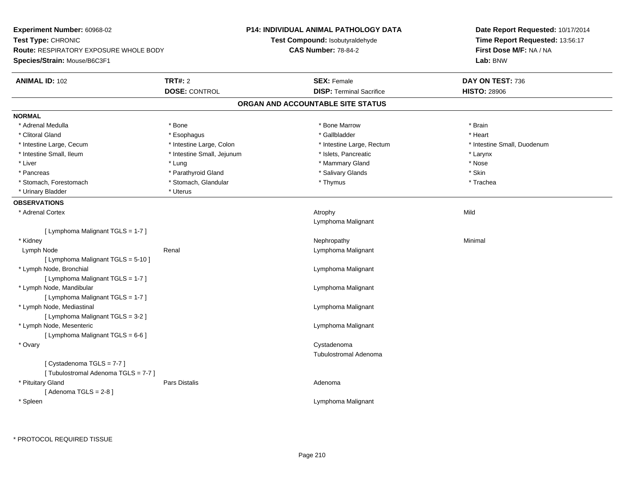| Experiment Number: 60968-02                   |                            | <b>P14: INDIVIDUAL ANIMAL PATHOLOGY DATA</b> | Date Report Requested: 10/17/2014                                      |  |
|-----------------------------------------------|----------------------------|----------------------------------------------|------------------------------------------------------------------------|--|
| Test Type: CHRONIC                            |                            | Test Compound: Isobutyraldehyde              | Time Report Requested: 13:56:17<br>First Dose M/F: NA / NA<br>Lab: BNW |  |
| <b>Route: RESPIRATORY EXPOSURE WHOLE BODY</b> |                            | <b>CAS Number: 78-84-2</b>                   |                                                                        |  |
| Species/Strain: Mouse/B6C3F1                  |                            |                                              |                                                                        |  |
| <b>ANIMAL ID: 102</b>                         | <b>TRT#: 2</b>             | <b>SEX: Female</b>                           | DAY ON TEST: 736                                                       |  |
|                                               | <b>DOSE: CONTROL</b>       | <b>DISP: Terminal Sacrifice</b>              | <b>HISTO: 28906</b>                                                    |  |
|                                               |                            | ORGAN AND ACCOUNTABLE SITE STATUS            |                                                                        |  |
| <b>NORMAL</b>                                 |                            |                                              |                                                                        |  |
| * Adrenal Medulla                             | * Bone                     | * Bone Marrow                                | * Brain                                                                |  |
| * Clitoral Gland                              | * Esophagus                | * Gallbladder                                | * Heart                                                                |  |
| * Intestine Large, Cecum                      | * Intestine Large, Colon   | * Intestine Large, Rectum                    | * Intestine Small, Duodenum                                            |  |
| * Intestine Small, Ileum                      | * Intestine Small, Jejunum | * Islets, Pancreatic                         | * Larynx                                                               |  |
| * Liver                                       | * Lung                     | * Mammary Gland                              | $^{\star}$ Nose                                                        |  |
| * Pancreas                                    | * Parathyroid Gland        | * Salivary Glands                            | * Skin                                                                 |  |
| * Stomach, Forestomach                        | * Stomach, Glandular       | * Thymus                                     | * Trachea                                                              |  |
| * Urinary Bladder                             | * Uterus                   |                                              |                                                                        |  |
| <b>OBSERVATIONS</b>                           |                            |                                              |                                                                        |  |
| * Adrenal Cortex                              |                            | Atrophy                                      | Mild                                                                   |  |
|                                               |                            | Lymphoma Malignant                           |                                                                        |  |
| [ Lymphoma Malignant TGLS = 1-7 ]             |                            |                                              |                                                                        |  |
| * Kidney                                      |                            | Nephropathy                                  | Minimal                                                                |  |
| Lymph Node                                    | Renal                      | Lymphoma Malignant                           |                                                                        |  |
| [ Lymphoma Malignant TGLS = 5-10 ]            |                            |                                              |                                                                        |  |
| * Lymph Node, Bronchial                       |                            | Lymphoma Malignant                           |                                                                        |  |
| [ Lymphoma Malignant TGLS = 1-7 ]             |                            |                                              |                                                                        |  |
| * Lymph Node, Mandibular                      |                            | Lymphoma Malignant                           |                                                                        |  |
| [ Lymphoma Malignant TGLS = 1-7 ]             |                            |                                              |                                                                        |  |
| * Lymph Node, Mediastinal                     |                            | Lymphoma Malignant                           |                                                                        |  |
| [ Lymphoma Malignant TGLS = 3-2 ]             |                            |                                              |                                                                        |  |
| * Lymph Node, Mesenteric                      |                            | Lymphoma Malignant                           |                                                                        |  |
| [ Lymphoma Malignant TGLS = 6-6 ]             |                            |                                              |                                                                        |  |
| * Ovary                                       |                            | Cystadenoma                                  |                                                                        |  |
|                                               |                            | <b>Tubulostromal Adenoma</b>                 |                                                                        |  |
| [Cystadenoma TGLS = 7-7]                      |                            |                                              |                                                                        |  |
| [Tubulostromal Adenoma TGLS = 7-7]            |                            |                                              |                                                                        |  |
| * Pituitary Gland                             | Pars Distalis              | Adenoma                                      |                                                                        |  |
| [Adenoma TGLS = $2-8$ ]                       |                            |                                              |                                                                        |  |
| * Spleen                                      |                            | Lymphoma Malignant                           |                                                                        |  |
|                                               |                            |                                              |                                                                        |  |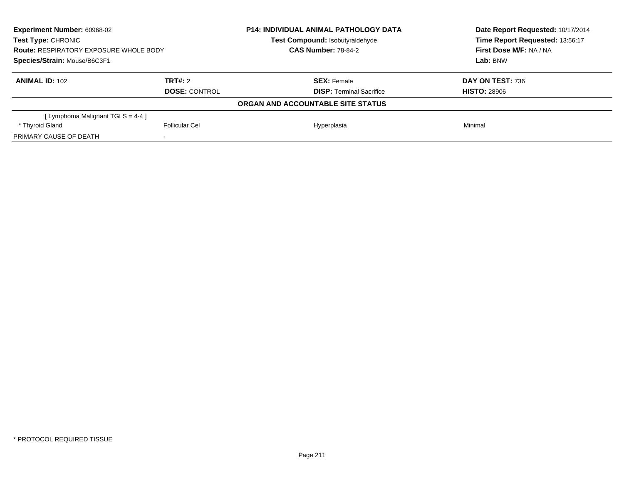| <b>Experiment Number: 60968-02</b><br>Test Type: CHRONIC<br><b>Route: RESPIRATORY EXPOSURE WHOLE BODY</b><br>Species/Strain: Mouse/B6C3F1 |                       | <b>P14: INDIVIDUAL ANIMAL PATHOLOGY DATA</b> | Date Report Requested: 10/17/2014 |  |
|-------------------------------------------------------------------------------------------------------------------------------------------|-----------------------|----------------------------------------------|-----------------------------------|--|
|                                                                                                                                           |                       | Test Compound: Isobutyraldehyde              | Time Report Requested: 13:56:17   |  |
|                                                                                                                                           |                       | <b>CAS Number: 78-84-2</b>                   | First Dose M/F: NA / NA           |  |
|                                                                                                                                           |                       |                                              | Lab: BNW                          |  |
| <b>ANIMAL ID: 102</b>                                                                                                                     | TRT#: 2               | <b>SEX: Female</b>                           | DAY ON TEST: 736                  |  |
|                                                                                                                                           | <b>DOSE: CONTROL</b>  | <b>DISP:</b> Terminal Sacrifice              | <b>HISTO: 28906</b>               |  |
|                                                                                                                                           |                       | ORGAN AND ACCOUNTABLE SITE STATUS            |                                   |  |
| [Lymphoma Malignant TGLS = 4-4 ]                                                                                                          |                       |                                              |                                   |  |
| * Thyroid Gland                                                                                                                           | <b>Follicular Cel</b> | Hyperplasia                                  | Minimal                           |  |
| PRIMARY CAUSE OF DEATH                                                                                                                    |                       |                                              |                                   |  |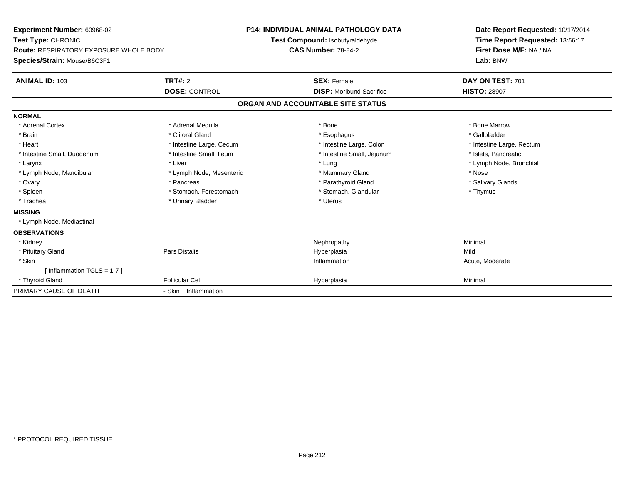| Experiment Number: 60968-02<br>Test Type: CHRONIC<br>Route: RESPIRATORY EXPOSURE WHOLE BODY<br>Species/Strain: Mouse/B6C3F1<br><b>TRT#: 2</b><br><b>ANIMAL ID: 103</b> |                          | <b>P14: INDIVIDUAL ANIMAL PATHOLOGY DATA</b><br>Test Compound: Isobutyraldehyde<br><b>CAS Number: 78-84-2</b><br><b>SEX: Female</b> | Date Report Requested: 10/17/2014<br>Time Report Requested: 13:56:17<br>First Dose M/F: NA / NA<br>Lab: BNW<br>DAY ON TEST: 701 |  |
|------------------------------------------------------------------------------------------------------------------------------------------------------------------------|--------------------------|-------------------------------------------------------------------------------------------------------------------------------------|---------------------------------------------------------------------------------------------------------------------------------|--|
|                                                                                                                                                                        | <b>DOSE: CONTROL</b>     | <b>DISP:</b> Moribund Sacrifice                                                                                                     | <b>HISTO: 28907</b>                                                                                                             |  |
|                                                                                                                                                                        |                          | ORGAN AND ACCOUNTABLE SITE STATUS                                                                                                   |                                                                                                                                 |  |
| <b>NORMAL</b>                                                                                                                                                          |                          |                                                                                                                                     |                                                                                                                                 |  |
| * Adrenal Cortex                                                                                                                                                       | * Adrenal Medulla        | * Bone                                                                                                                              | * Bone Marrow                                                                                                                   |  |
| * Brain                                                                                                                                                                | * Clitoral Gland         | * Esophagus                                                                                                                         | * Gallbladder                                                                                                                   |  |
| * Heart                                                                                                                                                                | * Intestine Large, Cecum | * Intestine Large, Colon                                                                                                            | * Intestine Large, Rectum                                                                                                       |  |
| * Intestine Small, Duodenum                                                                                                                                            | * Intestine Small, Ileum | * Intestine Small, Jejunum                                                                                                          | * Islets, Pancreatic                                                                                                            |  |
| * Larynx                                                                                                                                                               | * Liver                  | * Lung                                                                                                                              | * Lymph Node, Bronchial                                                                                                         |  |
| * Lymph Node, Mandibular                                                                                                                                               | * Lymph Node, Mesenteric | * Mammary Gland                                                                                                                     | * Nose                                                                                                                          |  |
| * Ovary                                                                                                                                                                | * Pancreas               | * Parathyroid Gland                                                                                                                 | * Salivary Glands                                                                                                               |  |
| * Spleen                                                                                                                                                               | * Stomach, Forestomach   | * Stomach, Glandular                                                                                                                | * Thymus                                                                                                                        |  |
| * Trachea                                                                                                                                                              | * Urinary Bladder        | * Uterus                                                                                                                            |                                                                                                                                 |  |
| <b>MISSING</b>                                                                                                                                                         |                          |                                                                                                                                     |                                                                                                                                 |  |
| * Lymph Node, Mediastinal                                                                                                                                              |                          |                                                                                                                                     |                                                                                                                                 |  |
| <b>OBSERVATIONS</b>                                                                                                                                                    |                          |                                                                                                                                     |                                                                                                                                 |  |
| * Kidney                                                                                                                                                               |                          | Nephropathy                                                                                                                         | Minimal                                                                                                                         |  |
| * Pituitary Gland                                                                                                                                                      | <b>Pars Distalis</b>     | Hyperplasia                                                                                                                         | Mild                                                                                                                            |  |
| * Skin                                                                                                                                                                 |                          | Inflammation                                                                                                                        | Acute, Moderate                                                                                                                 |  |
| [ Inflammation $TGLS = 1-7$ ]                                                                                                                                          |                          |                                                                                                                                     |                                                                                                                                 |  |
| * Thyroid Gland                                                                                                                                                        | <b>Follicular Cel</b>    | Hyperplasia                                                                                                                         | Minimal                                                                                                                         |  |
| PRIMARY CAUSE OF DEATH                                                                                                                                                 | - Skin Inflammation      |                                                                                                                                     |                                                                                                                                 |  |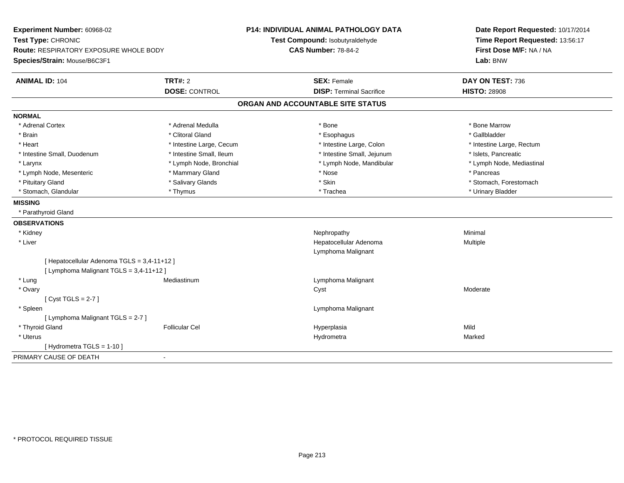| Experiment Number: 60968-02<br>Test Type: CHRONIC<br><b>Route: RESPIRATORY EXPOSURE WHOLE BODY</b><br>Species/Strain: Mouse/B6C3F1 |                                 | <b>P14: INDIVIDUAL ANIMAL PATHOLOGY DATA</b><br>Test Compound: Isobutyraldehyde<br><b>CAS Number: 78-84-2</b> | Date Report Requested: 10/17/2014<br>Time Report Requested: 13:56:17<br>First Dose M/F: NA / NA<br>Lab: BNW |  |
|------------------------------------------------------------------------------------------------------------------------------------|---------------------------------|---------------------------------------------------------------------------------------------------------------|-------------------------------------------------------------------------------------------------------------|--|
| <b>ANIMAL ID: 104</b>                                                                                                              | TRT#: 2<br><b>DOSE: CONTROL</b> | <b>SEX: Female</b><br><b>DISP: Terminal Sacrifice</b>                                                         | DAY ON TEST: 736<br><b>HISTO: 28908</b>                                                                     |  |
|                                                                                                                                    |                                 | ORGAN AND ACCOUNTABLE SITE STATUS                                                                             |                                                                                                             |  |
|                                                                                                                                    |                                 |                                                                                                               |                                                                                                             |  |
| <b>NORMAL</b>                                                                                                                      |                                 |                                                                                                               |                                                                                                             |  |
| * Adrenal Cortex                                                                                                                   | * Adrenal Medulla               | * Bone                                                                                                        | * Bone Marrow                                                                                               |  |
| * Brain                                                                                                                            | * Clitoral Gland                | * Esophagus                                                                                                   | * Gallbladder                                                                                               |  |
| * Heart                                                                                                                            | * Intestine Large, Cecum        | * Intestine Large, Colon                                                                                      | * Intestine Large, Rectum                                                                                   |  |
| * Intestine Small, Duodenum                                                                                                        | * Intestine Small, Ileum        | * Intestine Small, Jejunum                                                                                    | * Islets, Pancreatic                                                                                        |  |
| * Larynx                                                                                                                           | * Lymph Node, Bronchial         | * Lymph Node, Mandibular                                                                                      | * Lymph Node, Mediastinal                                                                                   |  |
| * Lymph Node, Mesenteric                                                                                                           | * Mammary Gland                 | * Nose                                                                                                        | * Pancreas                                                                                                  |  |
| * Pituitary Gland                                                                                                                  | * Salivary Glands               | * Skin                                                                                                        | * Stomach, Forestomach                                                                                      |  |
| * Stomach, Glandular                                                                                                               | * Thymus                        | * Trachea                                                                                                     | * Urinary Bladder                                                                                           |  |
| <b>MISSING</b>                                                                                                                     |                                 |                                                                                                               |                                                                                                             |  |
| * Parathyroid Gland                                                                                                                |                                 |                                                                                                               |                                                                                                             |  |
| <b>OBSERVATIONS</b>                                                                                                                |                                 |                                                                                                               |                                                                                                             |  |
| * Kidney                                                                                                                           |                                 | Nephropathy                                                                                                   | Minimal                                                                                                     |  |
| * Liver                                                                                                                            |                                 | Hepatocellular Adenoma                                                                                        | Multiple                                                                                                    |  |
|                                                                                                                                    |                                 | Lymphoma Malignant                                                                                            |                                                                                                             |  |
| [ Hepatocellular Adenoma TGLS = 3,4-11+12 ]<br>[ Lymphoma Malignant TGLS = 3,4-11+12 ]                                             |                                 |                                                                                                               |                                                                                                             |  |
| * Lung                                                                                                                             | Mediastinum                     | Lymphoma Malignant                                                                                            |                                                                                                             |  |
| * Ovary                                                                                                                            |                                 | Cyst                                                                                                          | Moderate                                                                                                    |  |
| [Cyst TGLS = $2-7$ ]                                                                                                               |                                 |                                                                                                               |                                                                                                             |  |
| * Spleen                                                                                                                           |                                 | Lymphoma Malignant                                                                                            |                                                                                                             |  |
| [ Lymphoma Malignant TGLS = 2-7 ]                                                                                                  |                                 |                                                                                                               |                                                                                                             |  |
| * Thyroid Gland                                                                                                                    | <b>Follicular Cel</b>           | Hyperplasia                                                                                                   | Mild                                                                                                        |  |
| * Uterus                                                                                                                           |                                 | Hydrometra                                                                                                    | Marked                                                                                                      |  |
| [Hydrometra TGLS = 1-10]                                                                                                           |                                 |                                                                                                               |                                                                                                             |  |
| PRIMARY CAUSE OF DEATH                                                                                                             | $\sim$                          |                                                                                                               |                                                                                                             |  |
|                                                                                                                                    |                                 |                                                                                                               |                                                                                                             |  |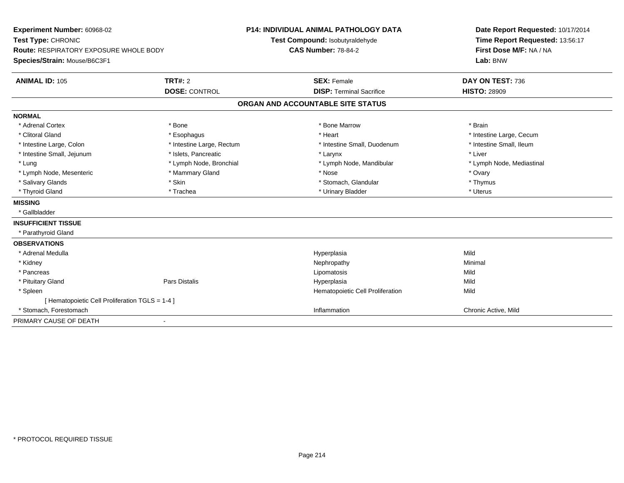| <b>Experiment Number: 60968-02</b><br>Test Type: CHRONIC<br><b>Route: RESPIRATORY EXPOSURE WHOLE BODY</b><br>Species/Strain: Mouse/B6C3F1 |                           | <b>P14: INDIVIDUAL ANIMAL PATHOLOGY DATA</b> |                                   |  | Date Report Requested: 10/17/2014                          |  |
|-------------------------------------------------------------------------------------------------------------------------------------------|---------------------------|----------------------------------------------|-----------------------------------|--|------------------------------------------------------------|--|
|                                                                                                                                           |                           |                                              | Test Compound: Isobutyraldehyde   |  | Time Report Requested: 13:56:17<br>First Dose M/F: NA / NA |  |
|                                                                                                                                           |                           |                                              | <b>CAS Number: 78-84-2</b>        |  |                                                            |  |
|                                                                                                                                           |                           |                                              |                                   |  | Lab: BNW                                                   |  |
| <b>ANIMAL ID: 105</b>                                                                                                                     | <b>TRT#: 2</b>            |                                              | <b>SEX: Female</b>                |  | DAY ON TEST: 736                                           |  |
|                                                                                                                                           | <b>DOSE: CONTROL</b>      |                                              | <b>DISP: Terminal Sacrifice</b>   |  | <b>HISTO: 28909</b>                                        |  |
|                                                                                                                                           |                           |                                              | ORGAN AND ACCOUNTABLE SITE STATUS |  |                                                            |  |
| <b>NORMAL</b>                                                                                                                             |                           |                                              |                                   |  |                                                            |  |
| * Adrenal Cortex                                                                                                                          | * Bone                    |                                              | * Bone Marrow                     |  | * Brain                                                    |  |
| * Clitoral Gland                                                                                                                          | * Esophagus               |                                              | * Heart                           |  | * Intestine Large, Cecum                                   |  |
| * Intestine Large, Colon                                                                                                                  | * Intestine Large, Rectum |                                              | * Intestine Small, Duodenum       |  | * Intestine Small, Ileum                                   |  |
| * Intestine Small, Jejunum                                                                                                                | * Islets, Pancreatic      |                                              | * Larynx                          |  | * Liver                                                    |  |
| * Lung                                                                                                                                    | * Lymph Node, Bronchial   |                                              | * Lymph Node, Mandibular          |  | * Lymph Node, Mediastinal                                  |  |
| * Lymph Node, Mesenteric                                                                                                                  | * Mammary Gland           |                                              | * Nose                            |  | * Ovary                                                    |  |
| * Salivary Glands                                                                                                                         | * Skin                    |                                              | * Stomach, Glandular              |  | * Thymus                                                   |  |
| * Thyroid Gland                                                                                                                           | * Trachea                 |                                              | * Urinary Bladder                 |  | * Uterus                                                   |  |
| <b>MISSING</b>                                                                                                                            |                           |                                              |                                   |  |                                                            |  |
| * Gallbladder                                                                                                                             |                           |                                              |                                   |  |                                                            |  |
| <b>INSUFFICIENT TISSUE</b>                                                                                                                |                           |                                              |                                   |  |                                                            |  |
| * Parathyroid Gland                                                                                                                       |                           |                                              |                                   |  |                                                            |  |
| <b>OBSERVATIONS</b>                                                                                                                       |                           |                                              |                                   |  |                                                            |  |
| * Adrenal Medulla                                                                                                                         |                           |                                              | Hyperplasia                       |  | Mild                                                       |  |
| * Kidney                                                                                                                                  |                           |                                              | Nephropathy                       |  | Minimal                                                    |  |
| * Pancreas                                                                                                                                |                           |                                              | Lipomatosis                       |  | Mild                                                       |  |
| * Pituitary Gland                                                                                                                         | <b>Pars Distalis</b>      |                                              | Hyperplasia                       |  | Mild                                                       |  |
| * Spleen                                                                                                                                  |                           |                                              | Hematopoietic Cell Proliferation  |  | Mild                                                       |  |
| [ Hematopoietic Cell Proliferation TGLS = 1-4 ]                                                                                           |                           |                                              |                                   |  |                                                            |  |
| * Stomach, Forestomach                                                                                                                    |                           |                                              | Inflammation                      |  | Chronic Active, Mild                                       |  |
| PRIMARY CAUSE OF DEATH                                                                                                                    | $\overline{\phantom{0}}$  |                                              |                                   |  |                                                            |  |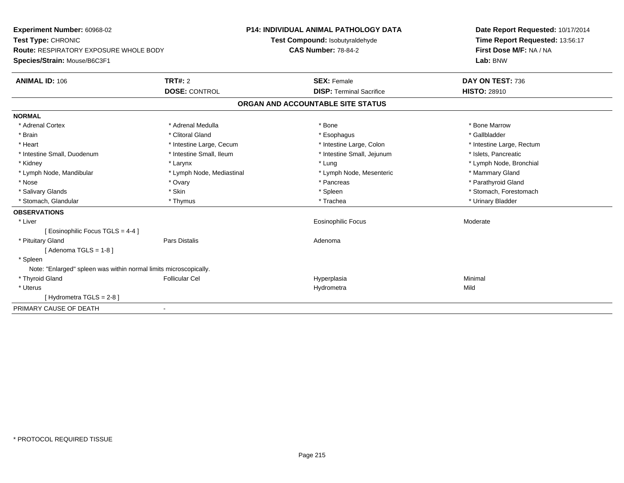| Experiment Number: 60968-02                                       | <b>P14: INDIVIDUAL ANIMAL PATHOLOGY DATA</b> |                                   | Date Report Requested: 10/17/2014 |  |  |
|-------------------------------------------------------------------|----------------------------------------------|-----------------------------------|-----------------------------------|--|--|
| Test Type: CHRONIC                                                |                                              | Test Compound: Isobutyraldehyde   | Time Report Requested: 13:56:17   |  |  |
| <b>Route: RESPIRATORY EXPOSURE WHOLE BODY</b>                     | <b>CAS Number: 78-84-2</b>                   |                                   | First Dose M/F: NA / NA           |  |  |
| Species/Strain: Mouse/B6C3F1                                      |                                              |                                   | Lab: BNW                          |  |  |
| <b>ANIMAL ID: 106</b>                                             | TRT#: 2                                      | <b>SEX: Female</b>                | DAY ON TEST: 736                  |  |  |
|                                                                   | <b>DOSE: CONTROL</b>                         | <b>DISP: Terminal Sacrifice</b>   | <b>HISTO: 28910</b>               |  |  |
|                                                                   |                                              | ORGAN AND ACCOUNTABLE SITE STATUS |                                   |  |  |
| <b>NORMAL</b>                                                     |                                              |                                   |                                   |  |  |
| * Adrenal Cortex                                                  | * Adrenal Medulla                            | * Bone                            | * Bone Marrow                     |  |  |
| * Brain                                                           | * Clitoral Gland                             | * Esophagus                       | * Gallbladder                     |  |  |
| * Heart                                                           | * Intestine Large, Cecum                     | * Intestine Large, Colon          | * Intestine Large, Rectum         |  |  |
| * Intestine Small, Duodenum                                       | * Intestine Small, Ileum                     | * Intestine Small, Jejunum        | * Islets, Pancreatic              |  |  |
| * Kidney                                                          | * Larynx                                     | * Lung                            | * Lymph Node, Bronchial           |  |  |
| * Lymph Node, Mandibular                                          | * Lymph Node, Mediastinal                    | * Lymph Node, Mesenteric          | * Mammary Gland                   |  |  |
| * Nose                                                            | * Ovary                                      | * Pancreas                        | * Parathyroid Gland               |  |  |
| * Salivary Glands                                                 | * Skin                                       | * Spleen                          | * Stomach, Forestomach            |  |  |
| * Stomach, Glandular                                              | * Thymus                                     | * Trachea                         | * Urinary Bladder                 |  |  |
| <b>OBSERVATIONS</b>                                               |                                              |                                   |                                   |  |  |
| * Liver                                                           |                                              | <b>Eosinophilic Focus</b>         | Moderate                          |  |  |
| [ Eosinophilic Focus TGLS = 4-4 ]                                 |                                              |                                   |                                   |  |  |
| * Pituitary Gland                                                 | Pars Distalis                                | Adenoma                           |                                   |  |  |
| [Adenoma TGLS = $1-8$ ]                                           |                                              |                                   |                                   |  |  |
| * Spleen                                                          |                                              |                                   |                                   |  |  |
| Note: "Enlarged" spleen was within normal limits microscopically. |                                              |                                   |                                   |  |  |
| * Thyroid Gland                                                   | <b>Follicular Cel</b>                        | Hyperplasia                       | Minimal                           |  |  |
| * Uterus                                                          |                                              | Hydrometra                        | Mild                              |  |  |
| [Hydrometra TGLS = 2-8]                                           |                                              |                                   |                                   |  |  |
| PRIMARY CAUSE OF DEATH                                            | $\blacksquare$                               |                                   |                                   |  |  |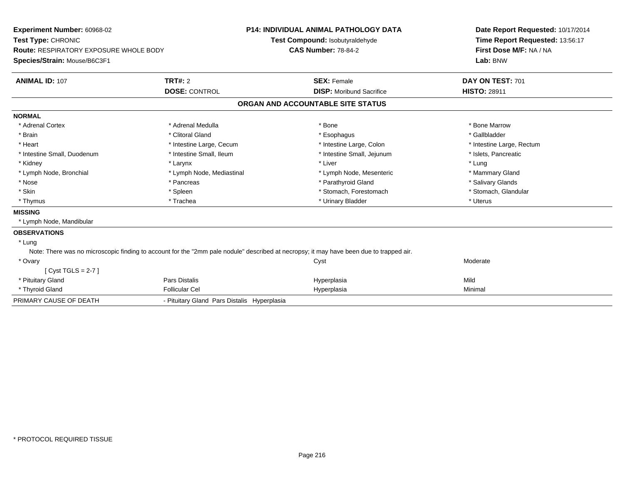| Experiment Number: 60968-02                                                                                                             |                                             | <b>P14: INDIVIDUAL ANIMAL PATHOLOGY DATA</b> | Date Report Requested: 10/17/2014                                      |  |  |
|-----------------------------------------------------------------------------------------------------------------------------------------|---------------------------------------------|----------------------------------------------|------------------------------------------------------------------------|--|--|
| Test Type: CHRONIC                                                                                                                      |                                             | Test Compound: Isobutyraldehyde              | Time Report Requested: 13:56:17<br>First Dose M/F: NA / NA<br>Lab: BNW |  |  |
| <b>Route: RESPIRATORY EXPOSURE WHOLE BODY</b>                                                                                           |                                             | <b>CAS Number: 78-84-2</b>                   |                                                                        |  |  |
| Species/Strain: Mouse/B6C3F1                                                                                                            |                                             |                                              |                                                                        |  |  |
|                                                                                                                                         |                                             |                                              |                                                                        |  |  |
| <b>ANIMAL ID: 107</b>                                                                                                                   | TRT#: 2                                     | <b>SEX: Female</b>                           | DAY ON TEST: 701                                                       |  |  |
|                                                                                                                                         | <b>DOSE: CONTROL</b>                        | <b>DISP:</b> Moribund Sacrifice              | <b>HISTO: 28911</b>                                                    |  |  |
|                                                                                                                                         |                                             | ORGAN AND ACCOUNTABLE SITE STATUS            |                                                                        |  |  |
| <b>NORMAL</b>                                                                                                                           |                                             |                                              |                                                                        |  |  |
| * Adrenal Cortex                                                                                                                        | * Adrenal Medulla                           | * Bone                                       | * Bone Marrow                                                          |  |  |
| * Brain                                                                                                                                 | * Clitoral Gland                            | * Esophagus                                  | * Gallbladder                                                          |  |  |
| * Heart                                                                                                                                 | * Intestine Large, Cecum                    | * Intestine Large, Colon                     | * Intestine Large, Rectum                                              |  |  |
| * Intestine Small, Duodenum                                                                                                             | * Intestine Small, Ileum                    | * Intestine Small, Jejunum                   | * Islets, Pancreatic                                                   |  |  |
| * Kidney                                                                                                                                | * Larynx                                    | * Liver                                      | * Lung                                                                 |  |  |
| * Lymph Node, Bronchial                                                                                                                 | * Lymph Node, Mediastinal                   | * Lymph Node, Mesenteric                     | * Mammary Gland                                                        |  |  |
| * Nose                                                                                                                                  | * Pancreas                                  | * Parathyroid Gland                          | * Salivary Glands                                                      |  |  |
| * Skin                                                                                                                                  | * Spleen                                    | * Stomach, Forestomach                       | * Stomach, Glandular                                                   |  |  |
| * Thymus                                                                                                                                | * Trachea                                   | * Urinary Bladder                            | * Uterus                                                               |  |  |
| <b>MISSING</b>                                                                                                                          |                                             |                                              |                                                                        |  |  |
| * Lymph Node, Mandibular                                                                                                                |                                             |                                              |                                                                        |  |  |
| <b>OBSERVATIONS</b>                                                                                                                     |                                             |                                              |                                                                        |  |  |
| * Lung                                                                                                                                  |                                             |                                              |                                                                        |  |  |
| Note: There was no microscopic finding to account for the "2mm pale nodule" described at necropsy; it may have been due to trapped air. |                                             |                                              |                                                                        |  |  |
| * Ovary                                                                                                                                 |                                             | Cyst                                         | Moderate                                                               |  |  |
| [Cyst TGLS = $2-7$ ]                                                                                                                    |                                             |                                              |                                                                        |  |  |
| * Pituitary Gland                                                                                                                       | Pars Distalis                               | Hyperplasia                                  | Mild                                                                   |  |  |
| * Thyroid Gland                                                                                                                         | <b>Follicular Cel</b>                       | Hyperplasia                                  | Minimal                                                                |  |  |
| PRIMARY CAUSE OF DEATH                                                                                                                  | - Pituitary Gland Pars Distalis Hyperplasia |                                              |                                                                        |  |  |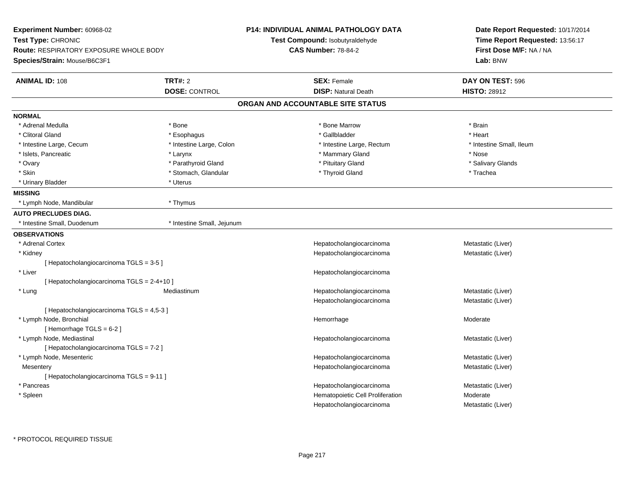| Experiment Number: 60968-02                                                                         |                            | <b>P14: INDIVIDUAL ANIMAL PATHOLOGY DATA</b> | Date Report Requested: 10/17/2014 |
|-----------------------------------------------------------------------------------------------------|----------------------------|----------------------------------------------|-----------------------------------|
| Test Type: CHRONIC<br><b>Route: RESPIRATORY EXPOSURE WHOLE BODY</b><br>Species/Strain: Mouse/B6C3F1 |                            | <b>Test Compound: Isobutyraldehyde</b>       | Time Report Requested: 13:56:17   |
|                                                                                                     |                            | <b>CAS Number: 78-84-2</b>                   | First Dose M/F: NA / NA           |
|                                                                                                     |                            |                                              | Lab: BNW                          |
| <b>ANIMAL ID: 108</b>                                                                               | <b>TRT#: 2</b>             | <b>SEX: Female</b>                           | DAY ON TEST: 596                  |
|                                                                                                     | <b>DOSE: CONTROL</b>       | <b>DISP: Natural Death</b>                   | <b>HISTO: 28912</b>               |
|                                                                                                     |                            | ORGAN AND ACCOUNTABLE SITE STATUS            |                                   |
| <b>NORMAL</b>                                                                                       |                            |                                              |                                   |
| * Adrenal Medulla                                                                                   | * Bone                     | * Bone Marrow                                | * Brain                           |
| * Clitoral Gland                                                                                    | * Esophagus                | * Gallbladder                                | * Heart                           |
| * Intestine Large, Cecum                                                                            | * Intestine Large, Colon   | * Intestine Large, Rectum                    | * Intestine Small, Ileum          |
| * Islets, Pancreatic                                                                                | * Larynx                   | * Mammary Gland                              | * Nose                            |
| * Ovary                                                                                             | * Parathyroid Gland        | * Pituitary Gland                            | * Salivary Glands                 |
| * Skin                                                                                              | * Stomach, Glandular       | * Thyroid Gland                              | * Trachea                         |
| * Urinary Bladder                                                                                   | * Uterus                   |                                              |                                   |
| <b>MISSING</b>                                                                                      |                            |                                              |                                   |
| * Lymph Node, Mandibular                                                                            | * Thymus                   |                                              |                                   |
| <b>AUTO PRECLUDES DIAG.</b>                                                                         |                            |                                              |                                   |
| * Intestine Small, Duodenum                                                                         | * Intestine Small, Jejunum |                                              |                                   |
| <b>OBSERVATIONS</b>                                                                                 |                            |                                              |                                   |
| * Adrenal Cortex                                                                                    |                            | Hepatocholangiocarcinoma                     | Metastatic (Liver)                |
| * Kidney                                                                                            |                            | Hepatocholangiocarcinoma                     | Metastatic (Liver)                |
| [Hepatocholangiocarcinoma TGLS = 3-5]                                                               |                            |                                              |                                   |
| * Liver                                                                                             |                            | Hepatocholangiocarcinoma                     |                                   |
| [ Hepatocholangiocarcinoma TGLS = 2-4+10 ]                                                          |                            |                                              |                                   |
| * Lung                                                                                              | Mediastinum                | Hepatocholangiocarcinoma                     | Metastatic (Liver)                |
|                                                                                                     |                            | Hepatocholangiocarcinoma                     | Metastatic (Liver)                |
| [ Hepatocholangiocarcinoma TGLS = 4,5-3 ]                                                           |                            |                                              |                                   |
| * Lymph Node, Bronchial                                                                             |                            | Hemorrhage                                   | Moderate                          |
| [Hemorrhage TGLS = $6-2$ ]                                                                          |                            |                                              |                                   |
| * Lymph Node, Mediastinal                                                                           |                            | Hepatocholangiocarcinoma                     | Metastatic (Liver)                |
| [ Hepatocholangiocarcinoma TGLS = 7-2 ]                                                             |                            |                                              |                                   |
| * Lymph Node, Mesenteric                                                                            |                            | Hepatocholangiocarcinoma                     | Metastatic (Liver)                |
| Mesentery                                                                                           |                            | Hepatocholangiocarcinoma                     | Metastatic (Liver)                |
| [ Hepatocholangiocarcinoma TGLS = 9-11 ]                                                            |                            |                                              |                                   |
| * Pancreas                                                                                          |                            | Hepatocholangiocarcinoma                     | Metastatic (Liver)                |
| * Spleen                                                                                            |                            | Hematopoietic Cell Proliferation             | Moderate                          |
|                                                                                                     |                            | Hepatocholangiocarcinoma                     | Metastatic (Liver)                |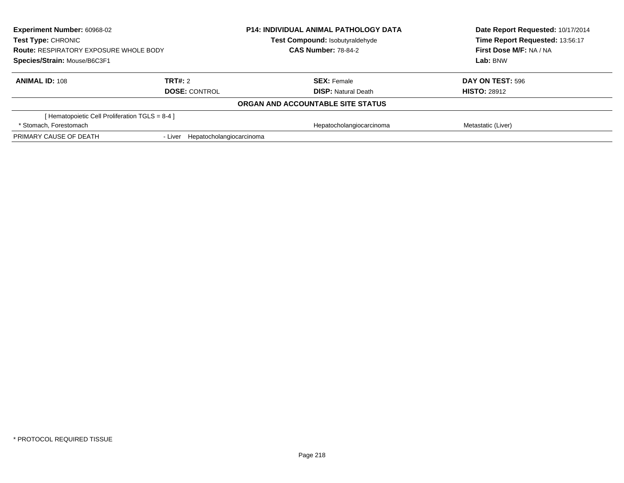| <b>Experiment Number: 60968-02</b><br>Test Type: CHRONIC<br><b>Route: RESPIRATORY EXPOSURE WHOLE BODY</b><br>Species/Strain: Mouse/B6C3F1 |                                  | <b>P14: INDIVIDUAL ANIMAL PATHOLOGY DATA</b> | Date Report Requested: 10/17/2014<br>Time Report Requested: 13:56:17 |
|-------------------------------------------------------------------------------------------------------------------------------------------|----------------------------------|----------------------------------------------|----------------------------------------------------------------------|
|                                                                                                                                           |                                  | Test Compound: Isobutyraldehyde              |                                                                      |
|                                                                                                                                           |                                  | <b>CAS Number: 78-84-2</b>                   | First Dose M/F: NA / NA                                              |
|                                                                                                                                           |                                  |                                              | Lab: BNW                                                             |
| <b>ANIMAL ID: 108</b>                                                                                                                     | TRT#: 2                          | <b>SEX: Female</b>                           | DAY ON TEST: 596                                                     |
|                                                                                                                                           | <b>DOSE: CONTROL</b>             | <b>DISP:</b> Natural Death                   | <b>HISTO: 28912</b>                                                  |
|                                                                                                                                           |                                  | <b>ORGAN AND ACCOUNTABLE SITE STATUS</b>     |                                                                      |
| [Hematopoietic Cell Proliferation TGLS = 8-4 ]                                                                                            |                                  |                                              |                                                                      |
| * Stomach. Forestomach                                                                                                                    |                                  | Hepatocholangiocarcinoma                     | Metastatic (Liver)                                                   |
| PRIMARY CAUSE OF DEATH                                                                                                                    | - Liver Hepatocholangiocarcinoma |                                              |                                                                      |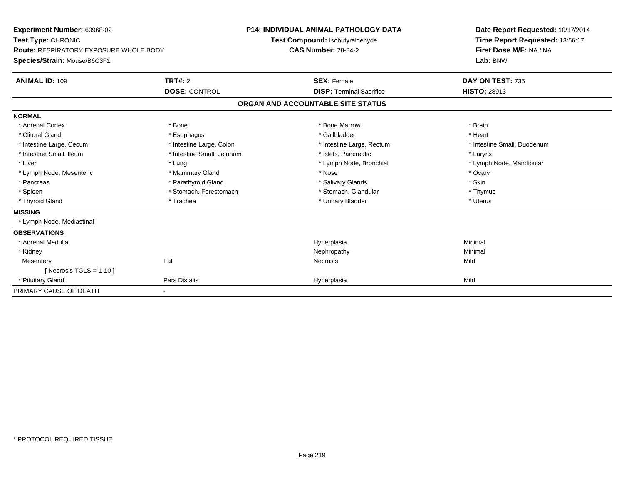| <b>Experiment Number: 60968-02</b><br>Test Type: CHRONIC<br><b>Route: RESPIRATORY EXPOSURE WHOLE BODY</b><br>Species/Strain: Mouse/B6C3F1<br><b>ANIMAL ID: 109</b> | TRT#: 2<br><b>DOSE: CONTROL</b> | <b>P14: INDIVIDUAL ANIMAL PATHOLOGY DATA</b><br>Test Compound: Isobutyraldehyde<br><b>CAS Number: 78-84-2</b><br><b>SEX: Female</b><br><b>DISP: Terminal Sacrifice</b> | Date Report Requested: 10/17/2014<br>Time Report Requested: 13:56:17<br>First Dose M/F: NA / NA<br>Lab: BNW<br>DAY ON TEST: 735<br><b>HISTO: 28913</b> |
|--------------------------------------------------------------------------------------------------------------------------------------------------------------------|---------------------------------|------------------------------------------------------------------------------------------------------------------------------------------------------------------------|--------------------------------------------------------------------------------------------------------------------------------------------------------|
|                                                                                                                                                                    |                                 | ORGAN AND ACCOUNTABLE SITE STATUS                                                                                                                                      |                                                                                                                                                        |
| <b>NORMAL</b>                                                                                                                                                      |                                 |                                                                                                                                                                        |                                                                                                                                                        |
| * Adrenal Cortex                                                                                                                                                   | * Bone                          | * Bone Marrow                                                                                                                                                          | * Brain                                                                                                                                                |
| * Clitoral Gland                                                                                                                                                   | * Esophagus                     | * Gallbladder                                                                                                                                                          | * Heart                                                                                                                                                |
| * Intestine Large, Cecum                                                                                                                                           | * Intestine Large, Colon        | * Intestine Large, Rectum                                                                                                                                              | * Intestine Small, Duodenum                                                                                                                            |
| * Intestine Small, Ileum                                                                                                                                           | * Intestine Small, Jejunum      | * Islets, Pancreatic                                                                                                                                                   | * Larynx                                                                                                                                               |
| * Liver                                                                                                                                                            | * Lung                          | * Lymph Node, Bronchial                                                                                                                                                | * Lymph Node, Mandibular                                                                                                                               |
| * Lymph Node, Mesenteric                                                                                                                                           | * Mammary Gland                 | * Nose                                                                                                                                                                 | * Ovary                                                                                                                                                |
| * Pancreas                                                                                                                                                         | * Parathyroid Gland             | * Salivary Glands                                                                                                                                                      | * Skin                                                                                                                                                 |
| * Spleen                                                                                                                                                           | * Stomach, Forestomach          | * Stomach, Glandular                                                                                                                                                   | * Thymus                                                                                                                                               |
| * Thyroid Gland                                                                                                                                                    | * Trachea                       | * Urinary Bladder                                                                                                                                                      | * Uterus                                                                                                                                               |
| <b>MISSING</b>                                                                                                                                                     |                                 |                                                                                                                                                                        |                                                                                                                                                        |
| * Lymph Node, Mediastinal                                                                                                                                          |                                 |                                                                                                                                                                        |                                                                                                                                                        |
| <b>OBSERVATIONS</b>                                                                                                                                                |                                 |                                                                                                                                                                        |                                                                                                                                                        |
| * Adrenal Medulla                                                                                                                                                  |                                 | Hyperplasia                                                                                                                                                            | Minimal                                                                                                                                                |
| * Kidney                                                                                                                                                           |                                 | Nephropathy                                                                                                                                                            | Minimal                                                                                                                                                |
| Mesentery                                                                                                                                                          | Fat                             | <b>Necrosis</b>                                                                                                                                                        | Mild                                                                                                                                                   |
| [ Necrosis TGLS = $1-10$ ]                                                                                                                                         |                                 |                                                                                                                                                                        |                                                                                                                                                        |
| * Pituitary Gland                                                                                                                                                  | <b>Pars Distalis</b>            | Hyperplasia                                                                                                                                                            | Mild                                                                                                                                                   |
| PRIMARY CAUSE OF DEATH                                                                                                                                             | ٠                               |                                                                                                                                                                        |                                                                                                                                                        |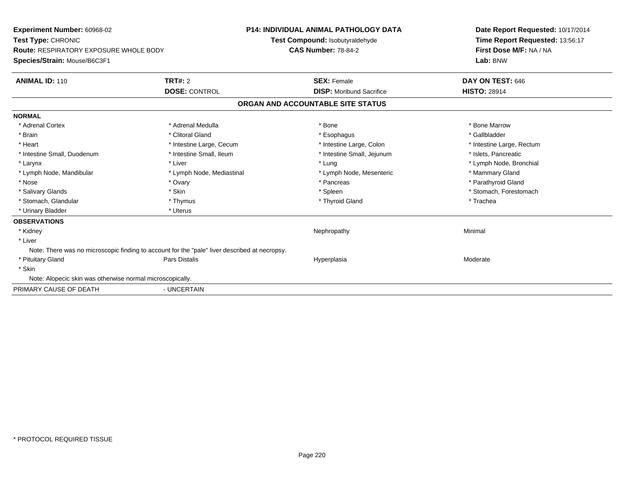| Experiment Number: 60968-02<br>Test Type: CHRONIC<br><b>Route: RESPIRATORY EXPOSURE WHOLE BODY</b><br>Species/Strain: Mouse/B6C3F1 |                           | <b>P14: INDIVIDUAL ANIMAL PATHOLOGY DATA</b><br>Test Compound: Isobutyraldehyde<br><b>CAS Number: 78-84-2</b> | Date Report Requested: 10/17/2014<br>Time Report Requested: 13:56:17<br>First Dose M/F: NA / NA<br>Lab: BNW |
|------------------------------------------------------------------------------------------------------------------------------------|---------------------------|---------------------------------------------------------------------------------------------------------------|-------------------------------------------------------------------------------------------------------------|
| <b>ANIMAL ID: 110</b>                                                                                                              | TRT#: 2                   | <b>SEX: Female</b>                                                                                            | DAY ON TEST: 646                                                                                            |
|                                                                                                                                    | <b>DOSE: CONTROL</b>      | <b>DISP:</b> Moribund Sacrifice                                                                               | <b>HISTO: 28914</b>                                                                                         |
|                                                                                                                                    |                           | ORGAN AND ACCOUNTABLE SITE STATUS                                                                             |                                                                                                             |
| <b>NORMAL</b>                                                                                                                      |                           |                                                                                                               |                                                                                                             |
| * Adrenal Cortex                                                                                                                   | * Adrenal Medulla         | * Bone                                                                                                        | * Bone Marrow                                                                                               |
| * Brain                                                                                                                            | * Clitoral Gland          | * Esophagus                                                                                                   | * Gallbladder                                                                                               |
| * Heart                                                                                                                            | * Intestine Large, Cecum  | * Intestine Large, Colon                                                                                      | * Intestine Large, Rectum                                                                                   |
| * Intestine Small, Duodenum                                                                                                        | * Intestine Small, Ileum  | * Intestine Small, Jejunum                                                                                    | * Islets, Pancreatic                                                                                        |
| * Larynx                                                                                                                           | * Liver                   | * Lung                                                                                                        | * Lymph Node, Bronchial                                                                                     |
| * Lymph Node, Mandibular                                                                                                           | * Lymph Node, Mediastinal | * Lymph Node, Mesenteric                                                                                      | * Mammary Gland                                                                                             |
| * Nose                                                                                                                             | * Ovary                   | * Pancreas                                                                                                    | * Parathyroid Gland                                                                                         |
| * Salivary Glands                                                                                                                  | * Skin                    | * Spleen                                                                                                      | * Stomach, Forestomach                                                                                      |
| * Stomach, Glandular                                                                                                               | * Thymus                  | * Thyroid Gland                                                                                               | * Trachea                                                                                                   |
| * Urinary Bladder                                                                                                                  | * Uterus                  |                                                                                                               |                                                                                                             |
| <b>OBSERVATIONS</b>                                                                                                                |                           |                                                                                                               |                                                                                                             |
| * Kidney                                                                                                                           |                           | Nephropathy                                                                                                   | Minimal                                                                                                     |
| * Liver                                                                                                                            |                           |                                                                                                               |                                                                                                             |
| Note: There was no microscopic finding to account for the "pale" liver described at necropsy.                                      |                           |                                                                                                               |                                                                                                             |
| * Pituitary Gland                                                                                                                  | Pars Distalis             | Hyperplasia                                                                                                   | Moderate                                                                                                    |
| * Skin                                                                                                                             |                           |                                                                                                               |                                                                                                             |
| Note: Alopecic skin was otherwise normal microscopically.                                                                          |                           |                                                                                                               |                                                                                                             |
| PRIMARY CAUSE OF DEATH                                                                                                             | - UNCERTAIN               |                                                                                                               |                                                                                                             |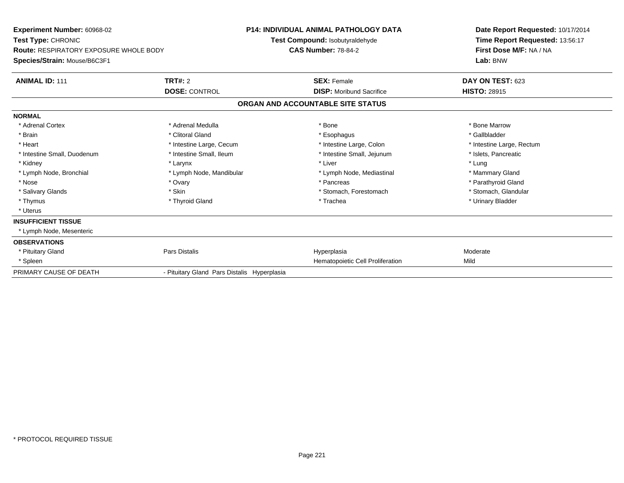| <b>Experiment Number: 60968-02</b><br>Test Type: CHRONIC<br><b>Route: RESPIRATORY EXPOSURE WHOLE BODY</b><br>Species/Strain: Mouse/B6C3F1 |                                             | <b>P14: INDIVIDUAL ANIMAL PATHOLOGY DATA</b><br>Test Compound: Isobutyraldehyde<br><b>CAS Number: 78-84-2</b> | Date Report Requested: 10/17/2014<br>Time Report Requested: 13:56:17<br>First Dose M/F: NA / NA<br>Lab: BNW |
|-------------------------------------------------------------------------------------------------------------------------------------------|---------------------------------------------|---------------------------------------------------------------------------------------------------------------|-------------------------------------------------------------------------------------------------------------|
|                                                                                                                                           |                                             |                                                                                                               |                                                                                                             |
| <b>ANIMAL ID: 111</b>                                                                                                                     | TRT#: 2                                     | <b>SEX: Female</b>                                                                                            | <b>DAY ON TEST: 623</b>                                                                                     |
|                                                                                                                                           | <b>DOSE: CONTROL</b>                        | <b>DISP:</b> Moribund Sacrifice                                                                               | <b>HISTO: 28915</b>                                                                                         |
|                                                                                                                                           |                                             | ORGAN AND ACCOUNTABLE SITE STATUS                                                                             |                                                                                                             |
| <b>NORMAL</b>                                                                                                                             |                                             |                                                                                                               |                                                                                                             |
| * Adrenal Cortex                                                                                                                          | * Adrenal Medulla                           | * Bone                                                                                                        | * Bone Marrow                                                                                               |
| * Brain                                                                                                                                   | * Clitoral Gland                            | * Esophagus                                                                                                   | * Gallbladder                                                                                               |
| * Heart                                                                                                                                   | * Intestine Large, Cecum                    | * Intestine Large, Colon                                                                                      | * Intestine Large, Rectum                                                                                   |
| * Intestine Small, Duodenum                                                                                                               | * Intestine Small, Ileum                    | * Intestine Small, Jejunum                                                                                    | * Islets. Pancreatic                                                                                        |
| * Kidney                                                                                                                                  | * Larynx                                    | * Liver                                                                                                       | * Lung                                                                                                      |
| * Lymph Node, Bronchial                                                                                                                   | * Lymph Node, Mandibular                    | * Lymph Node, Mediastinal                                                                                     | * Mammary Gland                                                                                             |
| * Nose                                                                                                                                    | * Ovary                                     | * Pancreas                                                                                                    | * Parathyroid Gland                                                                                         |
| * Salivary Glands                                                                                                                         | * Skin                                      | * Stomach, Forestomach                                                                                        | * Stomach, Glandular                                                                                        |
| * Thymus                                                                                                                                  | * Thyroid Gland                             | * Trachea                                                                                                     | * Urinary Bladder                                                                                           |
| * Uterus                                                                                                                                  |                                             |                                                                                                               |                                                                                                             |
| <b>INSUFFICIENT TISSUE</b>                                                                                                                |                                             |                                                                                                               |                                                                                                             |
| * Lymph Node, Mesenteric                                                                                                                  |                                             |                                                                                                               |                                                                                                             |
| <b>OBSERVATIONS</b>                                                                                                                       |                                             |                                                                                                               |                                                                                                             |
| * Pituitary Gland                                                                                                                         | Pars Distalis                               | Hyperplasia                                                                                                   | Moderate                                                                                                    |
| * Spleen                                                                                                                                  |                                             | Hematopoietic Cell Proliferation                                                                              | Mild                                                                                                        |
| PRIMARY CAUSE OF DEATH                                                                                                                    | - Pituitary Gland Pars Distalis Hyperplasia |                                                                                                               |                                                                                                             |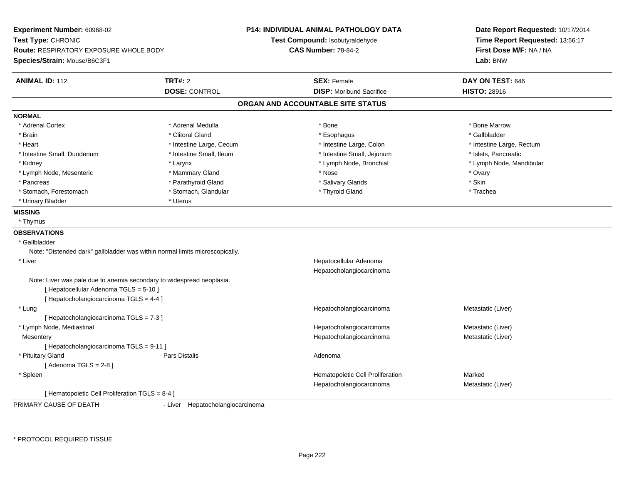**Experiment Number:** 60968-02**Test Type:** CHRONIC **Route:** RESPIRATORY EXPOSURE WHOLE BODY**Species/Strain:** Mouse/B6C3F1**P14: INDIVIDUAL ANIMAL PATHOLOGY DATATest Compound:** Isobutyraldehyde**CAS Number:** 78-84-2**Date Report Requested:** 10/17/2014**Time Report Requested:** 13:56:17**First Dose M/F:** NA / NA**Lab:** BNW**ANIMAL ID:** 112**TRT#:** 2 **SEX:** Female **DAY ON TEST:** 646 **DOSE:** CONTROL**DISP:** Moribund Sacrifice **HISTO:** 28916 **ORGAN AND ACCOUNTABLE SITE STATUSNORMAL**\* Adrenal Cortex \* Adrenal Medulla \* Adrenal Medulla \* Bone \* Bone \* Bone \* Bone \* Bone Marrow \* Brain \* Allen the second of the second of the second of the second of the second of the second of the second terms of the second of the second of the second of the second of the second of the second of the second of the \* Heart **\*** Intestine Large, Cecum **\* Intestine Large, Cecum** \* Intestine Large, Colon \* <sup>\*</sup> Intestine Large, Rectum \* Intestine Small, Duodenum \* Intestine Small, Ileum \* Intestine Small, Jejunum \* Islets, Pancreatic\* Kidney \* The mode of the state of the state of the state of the state of the state of the state of the state of the state of the state of the state of the state of the state of the state of the state of the state of the \* Lymph Node, Mesenteric \* \* \* Mammary Gland \* \* Nose \* Nose \* Ovary \* Ovary \* Ovary \* Ovary \* Ovary \* Ovary \* Ovary \* Pancreas \* **Example 2018** \* Parathyroid Gland \* \* The state of the state of the state of the state \* Skin \* Skin \* Trachea \* Stomach, Forestomach \* Thyroid Gland \* Stomach, Glandular \* Thyroid Gland \* Thyroid Gland \* Urinary Bladder \* Uterus **MISSING** \* Thymus**OBSERVATIONS** \* GallbladderNote: "Distended dark" gallbladder was within normal limits microscopically. \* Liver Hepatocellular Adenoma HepatocholangiocarcinomaNote: Liver was pale due to anemia secondary to widespread neoplasia.[ Hepatocellular Adenoma TGLS = 5-10 ][ Hepatocholangiocarcinoma TGLS = 4-4 ] \* LungHepatocholangiocarcinoma Metastatic (Liver) [ Hepatocholangiocarcinoma TGLS = 7-3 ] \* Lymph Node, Mediastinal Hepatocholangiocarcinoma Metastatic (Liver) **Mesentery**  Hepatocholangiocarcinoma Metastatic (Liver) [ Hepatocholangiocarcinoma TGLS = 9-11 ] \* Pituitary Glandd and the set of Pars Distalis and the Second Adenomal Adenomal Second Second Pars Distallis  $[$  Adenoma TGLS = 2-8  $]$  \* SpleenHematopoietic Cell Proliferation Marked Hepatocholangiocarcinoma Metastatic (Liver) [ Hematopoietic Cell Proliferation TGLS = 8-4 ]PRIMARY CAUSE OF DEATH

- Liver Hepatocholangiocarcinoma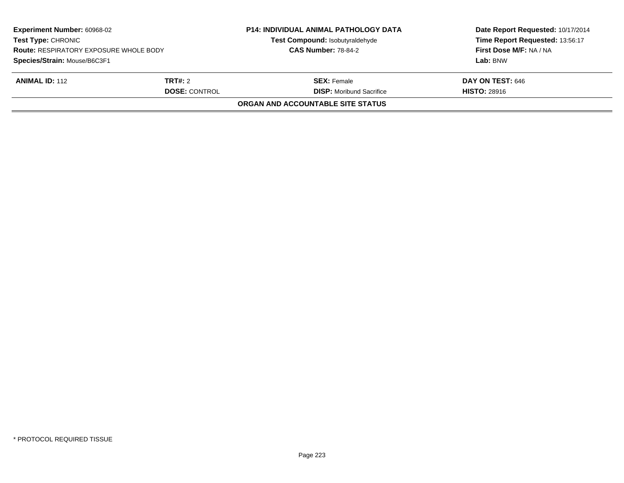| <b>Experiment Number: 60968-02</b><br><b>Test Type: CHRONIC</b><br><b>Route: RESPIRATORY EXPOSURE WHOLE BODY</b><br>Species/Strain: Mouse/B6C3F1 |  | <b>P14: INDIVIDUAL ANIMAL PATHOLOGY DATA</b><br>Test Compound: Isobutyraldehyde<br><b>CAS Number: 78-84-2</b> | Date Report Requested: 10/17/2014<br>Time Report Requested: 13:56:17<br>First Dose M/F: NA / NA<br>Lab: BNW |
|--------------------------------------------------------------------------------------------------------------------------------------------------|--|---------------------------------------------------------------------------------------------------------------|-------------------------------------------------------------------------------------------------------------|
| <b>ANIMAL ID: 112</b><br><b>TRT#:</b> 2<br><b>DOSE: CONTROL</b>                                                                                  |  | <b>SEX:</b> Female<br><b>DISP:</b> Moribund Sacrifice                                                         | DAY ON TEST: 646<br><b>HISTO: 28916</b>                                                                     |
|                                                                                                                                                  |  | ORGAN AND ACCOUNTABLE SITE STATUS                                                                             |                                                                                                             |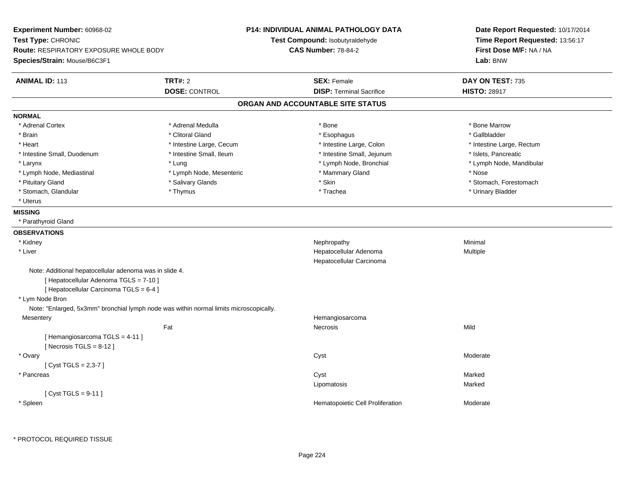| Experiment Number: 60968-02<br>Test Type: CHRONIC<br><b>Route: RESPIRATORY EXPOSURE WHOLE BODY</b><br>Species/Strain: Mouse/B6C3F1           |                                                                                        | <b>P14: INDIVIDUAL ANIMAL PATHOLOGY DATA</b><br>Test Compound: Isobutyraldehyde<br><b>CAS Number: 78-84-2</b> | Date Report Requested: 10/17/2014<br>Time Report Requested: 13:56:17<br>First Dose M/F: NA / NA<br>Lab: BNW |
|----------------------------------------------------------------------------------------------------------------------------------------------|----------------------------------------------------------------------------------------|---------------------------------------------------------------------------------------------------------------|-------------------------------------------------------------------------------------------------------------|
| <b>ANIMAL ID: 113</b>                                                                                                                        | <b>TRT#: 2</b>                                                                         | <b>SEX: Female</b>                                                                                            | DAY ON TEST: 735                                                                                            |
|                                                                                                                                              | <b>DOSE: CONTROL</b>                                                                   | <b>DISP: Terminal Sacrifice</b>                                                                               | <b>HISTO: 28917</b>                                                                                         |
|                                                                                                                                              |                                                                                        | ORGAN AND ACCOUNTABLE SITE STATUS                                                                             |                                                                                                             |
| <b>NORMAL</b>                                                                                                                                |                                                                                        |                                                                                                               |                                                                                                             |
| * Adrenal Cortex                                                                                                                             | * Adrenal Medulla                                                                      | * Bone                                                                                                        | * Bone Marrow                                                                                               |
| * Brain                                                                                                                                      | * Clitoral Gland                                                                       | * Esophagus                                                                                                   | * Gallbladder                                                                                               |
| * Heart                                                                                                                                      | * Intestine Large, Cecum                                                               | * Intestine Large, Colon                                                                                      | * Intestine Large, Rectum                                                                                   |
| * Intestine Small, Duodenum                                                                                                                  | * Intestine Small, Ileum                                                               | * Intestine Small, Jejunum                                                                                    | * Islets, Pancreatic                                                                                        |
| * Larynx                                                                                                                                     | * Lung                                                                                 | * Lymph Node, Bronchial                                                                                       | * Lymph Node, Mandibular                                                                                    |
| * Lymph Node, Mediastinal                                                                                                                    | * Lymph Node, Mesenteric                                                               | * Mammary Gland                                                                                               | * Nose                                                                                                      |
| * Pituitary Gland                                                                                                                            | * Salivary Glands                                                                      | * Skin                                                                                                        | * Stomach, Forestomach                                                                                      |
| * Stomach, Glandular                                                                                                                         | * Thymus                                                                               | * Trachea                                                                                                     | * Urinary Bladder                                                                                           |
| * Uterus                                                                                                                                     |                                                                                        |                                                                                                               |                                                                                                             |
| <b>MISSING</b>                                                                                                                               |                                                                                        |                                                                                                               |                                                                                                             |
| * Parathyroid Gland                                                                                                                          |                                                                                        |                                                                                                               |                                                                                                             |
| <b>OBSERVATIONS</b>                                                                                                                          |                                                                                        |                                                                                                               |                                                                                                             |
| * Kidney                                                                                                                                     |                                                                                        | Nephropathy                                                                                                   | Minimal                                                                                                     |
| * Liver                                                                                                                                      |                                                                                        | Hepatocellular Adenoma                                                                                        | Multiple                                                                                                    |
|                                                                                                                                              |                                                                                        | Hepatocellular Carcinoma                                                                                      |                                                                                                             |
| Note: Additional hepatocellular adenoma was in slide 4.<br>[ Hepatocellular Adenoma TGLS = 7-10 ]<br>[ Hepatocellular Carcinoma TGLS = 6-4 ] |                                                                                        |                                                                                                               |                                                                                                             |
| * Lym Node Bron                                                                                                                              |                                                                                        |                                                                                                               |                                                                                                             |
|                                                                                                                                              | Note: "Enlarged, 5x3mm" bronchial lymph node was within normal limits microscopically. |                                                                                                               |                                                                                                             |
| Mesentery                                                                                                                                    |                                                                                        | Hemangiosarcoma                                                                                               |                                                                                                             |
|                                                                                                                                              | Fat                                                                                    | Necrosis                                                                                                      | Mild                                                                                                        |
| [Hemangiosarcoma TGLS = 4-11]<br>[Necrosis TGLS = $8-12$ ]                                                                                   |                                                                                        |                                                                                                               |                                                                                                             |
| * Ovary                                                                                                                                      |                                                                                        | Cyst                                                                                                          | Moderate                                                                                                    |
| [ $Cyst TGLS = 2,3-7$ ]                                                                                                                      |                                                                                        |                                                                                                               |                                                                                                             |
| * Pancreas                                                                                                                                   |                                                                                        | Cyst                                                                                                          | Marked                                                                                                      |
|                                                                                                                                              |                                                                                        | Lipomatosis                                                                                                   | Marked                                                                                                      |
| [ $Cyst TGLS = 9-11$ ]                                                                                                                       |                                                                                        |                                                                                                               |                                                                                                             |
| * Spleen                                                                                                                                     |                                                                                        | Hematopoietic Cell Proliferation                                                                              | Moderate                                                                                                    |

 $\overline{a}$ 

 $\sim$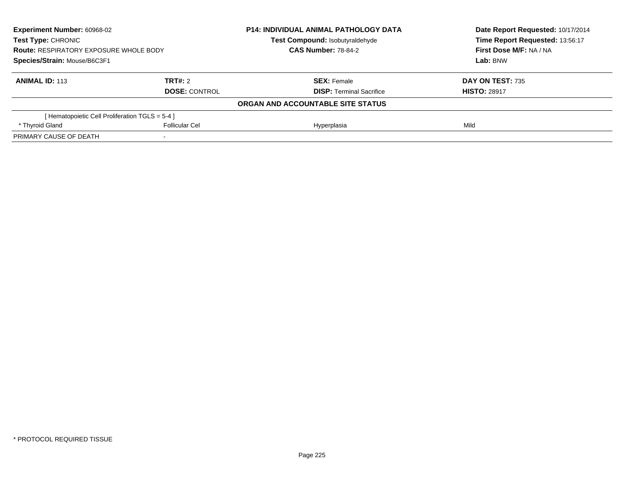| <b>Experiment Number: 60968-02</b><br>Test Type: CHRONIC<br><b>Route: RESPIRATORY EXPOSURE WHOLE BODY</b><br>Species/Strain: Mouse/B6C3F1 |                          | <b>P14: INDIVIDUAL ANIMAL PATHOLOGY DATA</b> | Date Report Requested: 10/17/2014<br>Time Report Requested: 13:56:17 |
|-------------------------------------------------------------------------------------------------------------------------------------------|--------------------------|----------------------------------------------|----------------------------------------------------------------------|
|                                                                                                                                           |                          | Test Compound: Isobutyraldehyde              |                                                                      |
|                                                                                                                                           |                          | <b>CAS Number: 78-84-2</b>                   | First Dose M/F: NA / NA                                              |
|                                                                                                                                           |                          |                                              | Lab: BNW                                                             |
| <b>ANIMAL ID: 113</b>                                                                                                                     | TRT#: 2                  | <b>SEX:</b> Female                           | DAY ON TEST: 735                                                     |
|                                                                                                                                           | <b>DOSE: CONTROL</b>     | <b>DISP: Terminal Sacrifice</b>              | <b>HISTO: 28917</b>                                                  |
|                                                                                                                                           |                          | ORGAN AND ACCOUNTABLE SITE STATUS            |                                                                      |
| [Hematopoietic Cell Proliferation TGLS = 5-4 ]                                                                                            |                          |                                              |                                                                      |
| * Thyroid Gland                                                                                                                           | <b>Follicular Cel</b>    | Hyperplasia                                  | Mild                                                                 |
| PRIMARY CAUSE OF DEATH                                                                                                                    | $\overline{\phantom{a}}$ |                                              |                                                                      |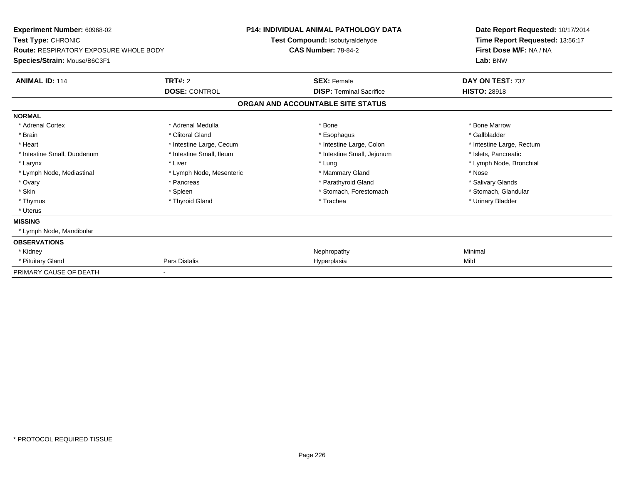| <b>Experiment Number: 60968-02</b><br>Test Type: CHRONIC<br><b>Route: RESPIRATORY EXPOSURE WHOLE BODY</b> |                          | <b>P14: INDIVIDUAL ANIMAL PATHOLOGY DATA</b><br>Test Compound: Isobutyraldehyde<br><b>CAS Number: 78-84-2</b> | Date Report Requested: 10/17/2014<br>Time Report Requested: 13:56:17<br>First Dose M/F: NA / NA |
|-----------------------------------------------------------------------------------------------------------|--------------------------|---------------------------------------------------------------------------------------------------------------|-------------------------------------------------------------------------------------------------|
| Species/Strain: Mouse/B6C3F1                                                                              |                          |                                                                                                               | Lab: BNW                                                                                        |
| <b>ANIMAL ID: 114</b>                                                                                     | TRT#: 2                  | <b>SEX: Female</b>                                                                                            | DAY ON TEST: 737                                                                                |
|                                                                                                           | <b>DOSE: CONTROL</b>     | <b>DISP: Terminal Sacrifice</b>                                                                               | <b>HISTO: 28918</b>                                                                             |
|                                                                                                           |                          | ORGAN AND ACCOUNTABLE SITE STATUS                                                                             |                                                                                                 |
| <b>NORMAL</b>                                                                                             |                          |                                                                                                               |                                                                                                 |
| * Adrenal Cortex                                                                                          | * Adrenal Medulla        | * Bone                                                                                                        | * Bone Marrow                                                                                   |
| * Brain                                                                                                   | * Clitoral Gland         | * Esophagus                                                                                                   | * Gallbladder                                                                                   |
| * Heart                                                                                                   | * Intestine Large, Cecum | * Intestine Large, Colon                                                                                      | * Intestine Large, Rectum                                                                       |
| * Intestine Small, Duodenum                                                                               | * Intestine Small, Ileum | * Intestine Small, Jejunum                                                                                    | * Islets. Pancreatic                                                                            |
| * Larynx                                                                                                  | * Liver                  | * Lung                                                                                                        | * Lymph Node, Bronchial                                                                         |
| * Lymph Node, Mediastinal                                                                                 | * Lymph Node, Mesenteric | * Mammary Gland                                                                                               | * Nose                                                                                          |
| * Ovary                                                                                                   | * Pancreas               | * Parathyroid Gland                                                                                           | * Salivary Glands                                                                               |
| * Skin                                                                                                    | * Spleen                 | * Stomach, Forestomach                                                                                        | * Stomach, Glandular                                                                            |
| * Thymus                                                                                                  | * Thyroid Gland          | * Trachea                                                                                                     | * Urinary Bladder                                                                               |
| * Uterus                                                                                                  |                          |                                                                                                               |                                                                                                 |
| <b>MISSING</b>                                                                                            |                          |                                                                                                               |                                                                                                 |
| * Lymph Node, Mandibular                                                                                  |                          |                                                                                                               |                                                                                                 |
| <b>OBSERVATIONS</b>                                                                                       |                          |                                                                                                               |                                                                                                 |
| * Kidney                                                                                                  |                          | Nephropathy                                                                                                   | Minimal                                                                                         |
| * Pituitary Gland                                                                                         | Pars Distalis            | Hyperplasia                                                                                                   | Mild                                                                                            |
| PRIMARY CAUSE OF DEATH                                                                                    |                          |                                                                                                               |                                                                                                 |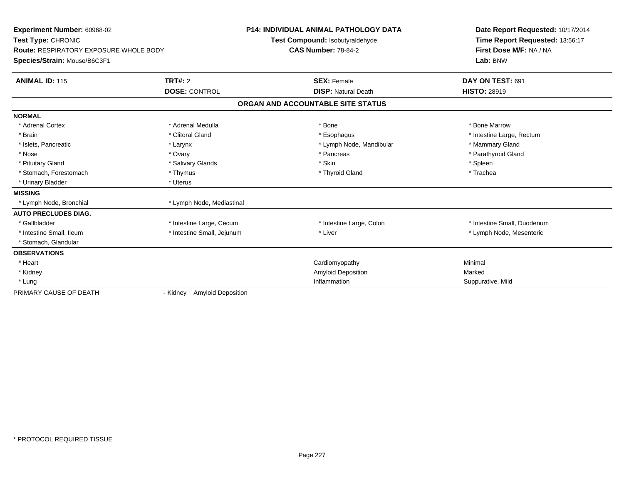| Experiment Number: 60968-02<br>Test Type: CHRONIC<br>Route: RESPIRATORY EXPOSURE WHOLE BODY<br>Species/Strain: Mouse/B6C3F1 |                                       | <b>P14: INDIVIDUAL ANIMAL PATHOLOGY DATA</b><br>Test Compound: Isobutyraldehyde<br><b>CAS Number: 78-84-2</b> | Date Report Requested: 10/17/2014<br>Time Report Requested: 13:56:17<br>First Dose M/F: NA / NA<br>Lab: BNW |
|-----------------------------------------------------------------------------------------------------------------------------|---------------------------------------|---------------------------------------------------------------------------------------------------------------|-------------------------------------------------------------------------------------------------------------|
| <b>ANIMAL ID: 115</b>                                                                                                       | TRT#: 2<br><b>DOSE: CONTROL</b>       | <b>SEX: Female</b><br><b>DISP: Natural Death</b>                                                              | DAY ON TEST: 691<br><b>HISTO: 28919</b>                                                                     |
|                                                                                                                             |                                       | ORGAN AND ACCOUNTABLE SITE STATUS                                                                             |                                                                                                             |
| <b>NORMAL</b>                                                                                                               |                                       |                                                                                                               |                                                                                                             |
| * Adrenal Cortex                                                                                                            | * Adrenal Medulla                     | * Bone                                                                                                        | * Bone Marrow                                                                                               |
| * Brain                                                                                                                     | * Clitoral Gland                      | * Esophagus                                                                                                   | * Intestine Large, Rectum                                                                                   |
| * Islets, Pancreatic                                                                                                        | * Larynx                              | * Lymph Node, Mandibular                                                                                      | * Mammary Gland                                                                                             |
| * Nose                                                                                                                      | * Ovary                               | * Pancreas                                                                                                    | * Parathyroid Gland                                                                                         |
| * Pituitary Gland                                                                                                           | * Salivary Glands                     | * Skin                                                                                                        | * Spleen                                                                                                    |
| * Stomach. Forestomach                                                                                                      | * Thymus                              | * Thyroid Gland                                                                                               | * Trachea                                                                                                   |
| * Urinary Bladder                                                                                                           | * Uterus                              |                                                                                                               |                                                                                                             |
| <b>MISSING</b>                                                                                                              |                                       |                                                                                                               |                                                                                                             |
| * Lymph Node, Bronchial                                                                                                     | * Lymph Node, Mediastinal             |                                                                                                               |                                                                                                             |
| <b>AUTO PRECLUDES DIAG.</b>                                                                                                 |                                       |                                                                                                               |                                                                                                             |
| * Gallbladder                                                                                                               | * Intestine Large, Cecum              | * Intestine Large, Colon                                                                                      | * Intestine Small, Duodenum                                                                                 |
| * Intestine Small, Ileum                                                                                                    | * Intestine Small, Jejunum            | * Liver                                                                                                       | * Lymph Node, Mesenteric                                                                                    |
| * Stomach, Glandular                                                                                                        |                                       |                                                                                                               |                                                                                                             |
| <b>OBSERVATIONS</b>                                                                                                         |                                       |                                                                                                               |                                                                                                             |
| * Heart                                                                                                                     |                                       | Cardiomyopathy                                                                                                | Minimal                                                                                                     |
| * Kidney                                                                                                                    |                                       | Amyloid Deposition                                                                                            | Marked                                                                                                      |
| * Lung                                                                                                                      |                                       | Inflammation                                                                                                  | Suppurative, Mild                                                                                           |
| PRIMARY CAUSE OF DEATH                                                                                                      | <b>Amyloid Deposition</b><br>- Kidney |                                                                                                               |                                                                                                             |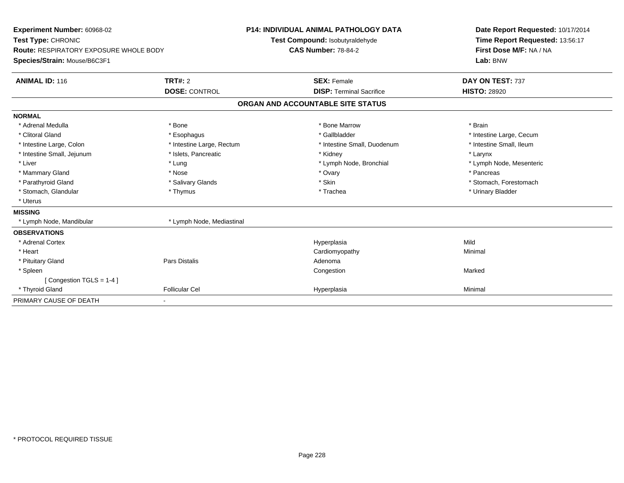| Experiment Number: 60968-02<br>Test Type: CHRONIC<br><b>Route: RESPIRATORY EXPOSURE WHOLE BODY</b><br>Species/Strain: Mouse/B6C3F1<br><b>ANIMAL ID: 116</b> | <b>TRT#: 2</b><br><b>DOSE: CONTROL</b> | <b>P14: INDIVIDUAL ANIMAL PATHOLOGY DATA</b><br>Test Compound: Isobutyraldehyde<br><b>CAS Number: 78-84-2</b><br><b>SEX: Female</b><br><b>DISP: Terminal Sacrifice</b> | Date Report Requested: 10/17/2014<br>Time Report Requested: 13:56:17<br>First Dose M/F: NA / NA<br>Lab: BNW<br>DAY ON TEST: 737<br><b>HISTO: 28920</b> |
|-------------------------------------------------------------------------------------------------------------------------------------------------------------|----------------------------------------|------------------------------------------------------------------------------------------------------------------------------------------------------------------------|--------------------------------------------------------------------------------------------------------------------------------------------------------|
|                                                                                                                                                             |                                        | ORGAN AND ACCOUNTABLE SITE STATUS                                                                                                                                      |                                                                                                                                                        |
| <b>NORMAL</b>                                                                                                                                               |                                        |                                                                                                                                                                        |                                                                                                                                                        |
| * Adrenal Medulla                                                                                                                                           | * Bone                                 | * Bone Marrow                                                                                                                                                          | * Brain                                                                                                                                                |
| * Clitoral Gland                                                                                                                                            | * Esophagus                            | * Gallbladder                                                                                                                                                          | * Intestine Large, Cecum                                                                                                                               |
| * Intestine Large, Colon                                                                                                                                    | * Intestine Large, Rectum              | * Intestine Small, Duodenum                                                                                                                                            | * Intestine Small, Ileum                                                                                                                               |
| * Intestine Small, Jejunum                                                                                                                                  | * Islets, Pancreatic                   | * Kidney                                                                                                                                                               | * Larynx                                                                                                                                               |
| * Liver                                                                                                                                                     | * Lung                                 | * Lymph Node, Bronchial                                                                                                                                                | * Lymph Node, Mesenteric                                                                                                                               |
| * Mammary Gland                                                                                                                                             | * Nose                                 | * Ovary                                                                                                                                                                | * Pancreas                                                                                                                                             |
| * Parathyroid Gland                                                                                                                                         | * Salivary Glands                      | * Skin                                                                                                                                                                 | * Stomach, Forestomach                                                                                                                                 |
| * Stomach, Glandular                                                                                                                                        | * Thymus                               | * Trachea                                                                                                                                                              | * Urinary Bladder                                                                                                                                      |
| * Uterus                                                                                                                                                    |                                        |                                                                                                                                                                        |                                                                                                                                                        |
| <b>MISSING</b>                                                                                                                                              |                                        |                                                                                                                                                                        |                                                                                                                                                        |
| * Lymph Node, Mandibular                                                                                                                                    | * Lymph Node, Mediastinal              |                                                                                                                                                                        |                                                                                                                                                        |
| <b>OBSERVATIONS</b>                                                                                                                                         |                                        |                                                                                                                                                                        |                                                                                                                                                        |
| * Adrenal Cortex                                                                                                                                            |                                        | Hyperplasia                                                                                                                                                            | Mild                                                                                                                                                   |
| * Heart                                                                                                                                                     |                                        | Cardiomyopathy                                                                                                                                                         | Minimal                                                                                                                                                |
| * Pituitary Gland                                                                                                                                           | Pars Distalis                          | Adenoma                                                                                                                                                                |                                                                                                                                                        |
| * Spleen                                                                                                                                                    |                                        | Congestion                                                                                                                                                             | Marked                                                                                                                                                 |
| [Congestion TGLS = 1-4]                                                                                                                                     |                                        |                                                                                                                                                                        |                                                                                                                                                        |
| * Thyroid Gland                                                                                                                                             | <b>Follicular Cel</b>                  | Hyperplasia                                                                                                                                                            | Minimal                                                                                                                                                |
| PRIMARY CAUSE OF DEATH                                                                                                                                      |                                        |                                                                                                                                                                        |                                                                                                                                                        |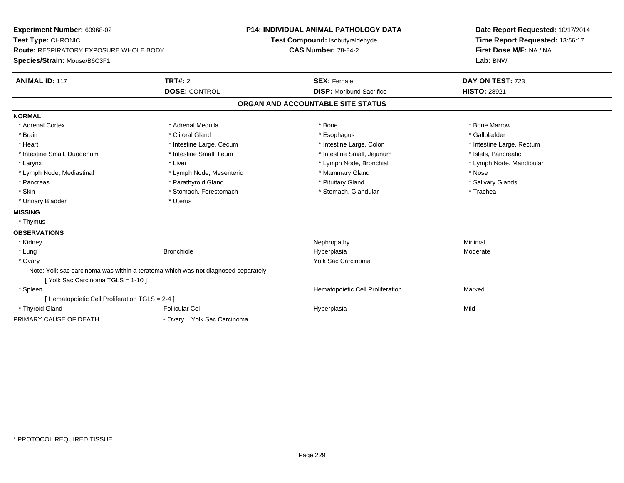| Experiment Number: 60968-02                                                        |                            | <b>P14: INDIVIDUAL ANIMAL PATHOLOGY DATA</b> | Date Report Requested: 10/17/2014                          |
|------------------------------------------------------------------------------------|----------------------------|----------------------------------------------|------------------------------------------------------------|
| Test Type: CHRONIC                                                                 |                            | Test Compound: Isobutyraldehyde              | Time Report Requested: 13:56:17<br>First Dose M/F: NA / NA |
| <b>Route: RESPIRATORY EXPOSURE WHOLE BODY</b>                                      |                            | <b>CAS Number: 78-84-2</b>                   |                                                            |
| Species/Strain: Mouse/B6C3F1                                                       |                            |                                              | Lab: BNW                                                   |
| <b>ANIMAL ID: 117</b>                                                              | <b>TRT#: 2</b>             | <b>SEX: Female</b>                           | DAY ON TEST: 723                                           |
|                                                                                    | <b>DOSE: CONTROL</b>       | <b>DISP:</b> Moribund Sacrifice              | <b>HISTO: 28921</b>                                        |
|                                                                                    |                            | ORGAN AND ACCOUNTABLE SITE STATUS            |                                                            |
| <b>NORMAL</b>                                                                      |                            |                                              |                                                            |
| * Adrenal Cortex                                                                   | * Adrenal Medulla          | * Bone                                       | * Bone Marrow                                              |
| * Brain                                                                            | * Clitoral Gland           | * Esophagus                                  | * Gallbladder                                              |
| * Heart                                                                            | * Intestine Large, Cecum   | * Intestine Large, Colon                     | * Intestine Large, Rectum                                  |
| * Intestine Small, Duodenum                                                        | * Intestine Small, Ileum   | * Intestine Small, Jejunum                   | * Islets, Pancreatic                                       |
| * Larynx                                                                           | * Liver                    | * Lymph Node, Bronchial                      | * Lymph Node, Mandibular                                   |
| * Lymph Node, Mediastinal                                                          | * Lymph Node, Mesenteric   | * Mammary Gland                              | * Nose                                                     |
| * Pancreas                                                                         | * Parathyroid Gland        | * Pituitary Gland                            | * Salivary Glands                                          |
| * Skin                                                                             | * Stomach, Forestomach     | * Stomach, Glandular                         | * Trachea                                                  |
| * Urinary Bladder                                                                  | * Uterus                   |                                              |                                                            |
| <b>MISSING</b>                                                                     |                            |                                              |                                                            |
| * Thymus                                                                           |                            |                                              |                                                            |
| <b>OBSERVATIONS</b>                                                                |                            |                                              |                                                            |
| * Kidney                                                                           |                            | Nephropathy                                  | Minimal                                                    |
| * Lung                                                                             | <b>Bronchiole</b>          | Hyperplasia                                  | Moderate                                                   |
| * Ovary                                                                            |                            | Yolk Sac Carcinoma                           |                                                            |
| Note: Yolk sac carcinoma was within a teratoma which was not diagnosed separately. |                            |                                              |                                                            |
| [Yolk Sac Carcinoma TGLS = 1-10]                                                   |                            |                                              |                                                            |
| * Spleen                                                                           |                            | Hematopoietic Cell Proliferation             | Marked                                                     |
| [ Hematopoietic Cell Proliferation TGLS = 2-4 ]                                    |                            |                                              |                                                            |
| * Thyroid Gland                                                                    | <b>Follicular Cel</b>      | Hyperplasia                                  | Mild                                                       |
| PRIMARY CAUSE OF DEATH                                                             | - Ovary Yolk Sac Carcinoma |                                              |                                                            |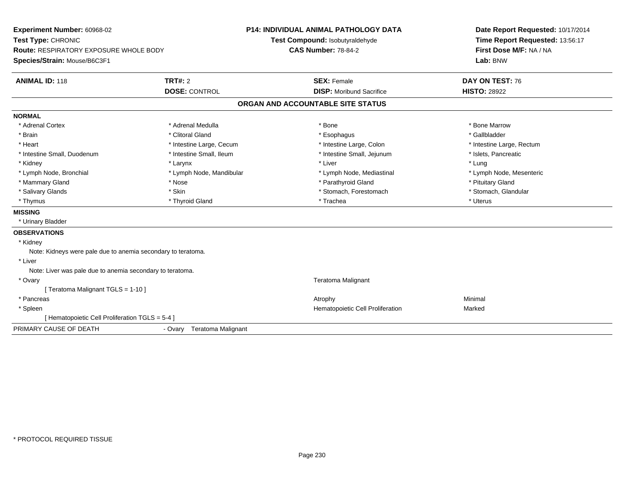| Experiment Number: 60968-02<br>Test Type: CHRONIC            |                                      | <b>P14: INDIVIDUAL ANIMAL PATHOLOGY DATA</b><br>Test Compound: Isobutyraldehyde | Date Report Requested: 10/17/2014<br>Time Report Requested: 13:56:17 |
|--------------------------------------------------------------|--------------------------------------|---------------------------------------------------------------------------------|----------------------------------------------------------------------|
| <b>Route: RESPIRATORY EXPOSURE WHOLE BODY</b>                |                                      | <b>CAS Number: 78-84-2</b>                                                      | First Dose M/F: NA / NA                                              |
| Species/Strain: Mouse/B6C3F1                                 |                                      |                                                                                 | Lab: BNW                                                             |
| <b>ANIMAL ID: 118</b>                                        | <b>TRT#: 2</b>                       | <b>SEX: Female</b>                                                              | DAY ON TEST: 76                                                      |
|                                                              | <b>DOSE: CONTROL</b>                 | <b>DISP:</b> Moribund Sacrifice                                                 | <b>HISTO: 28922</b>                                                  |
|                                                              |                                      | ORGAN AND ACCOUNTABLE SITE STATUS                                               |                                                                      |
| <b>NORMAL</b>                                                |                                      |                                                                                 |                                                                      |
| * Adrenal Cortex                                             | * Adrenal Medulla                    | * Bone                                                                          | * Bone Marrow                                                        |
| * Brain                                                      | * Clitoral Gland                     | * Esophagus                                                                     | * Gallbladder                                                        |
| * Heart                                                      | * Intestine Large, Cecum             | * Intestine Large, Colon                                                        | * Intestine Large, Rectum                                            |
| * Intestine Small, Duodenum                                  | * Intestine Small, Ileum             | * Intestine Small, Jejunum                                                      | * Islets, Pancreatic                                                 |
| * Kidney                                                     | * Larynx                             | * Liver                                                                         | * Lung                                                               |
| * Lymph Node, Bronchial                                      | * Lymph Node, Mandibular             | * Lymph Node, Mediastinal                                                       | * Lymph Node, Mesenteric                                             |
| * Mammary Gland                                              | * Nose                               | * Parathyroid Gland                                                             | * Pituitary Gland                                                    |
| * Salivary Glands                                            | * Skin                               | * Stomach, Forestomach                                                          | * Stomach, Glandular                                                 |
| * Thymus                                                     | * Thyroid Gland                      | * Trachea                                                                       | * Uterus                                                             |
| <b>MISSING</b>                                               |                                      |                                                                                 |                                                                      |
| * Urinary Bladder                                            |                                      |                                                                                 |                                                                      |
| <b>OBSERVATIONS</b>                                          |                                      |                                                                                 |                                                                      |
| * Kidney                                                     |                                      |                                                                                 |                                                                      |
| Note: Kidneys were pale due to anemia secondary to teratoma. |                                      |                                                                                 |                                                                      |
| * Liver                                                      |                                      |                                                                                 |                                                                      |
| Note: Liver was pale due to anemia secondary to teratoma.    |                                      |                                                                                 |                                                                      |
| * Ovary                                                      |                                      | Teratoma Malignant                                                              |                                                                      |
| [ Teratoma Malignant TGLS = 1-10 ]                           |                                      |                                                                                 |                                                                      |
| * Pancreas                                                   |                                      | Atrophy                                                                         | Minimal                                                              |
| * Spleen                                                     |                                      | Hematopoietic Cell Proliferation                                                | Marked                                                               |
| [ Hematopoietic Cell Proliferation TGLS = 5-4 ]              |                                      |                                                                                 |                                                                      |
| PRIMARY CAUSE OF DEATH                                       | <b>Teratoma Malignant</b><br>- Ovary |                                                                                 |                                                                      |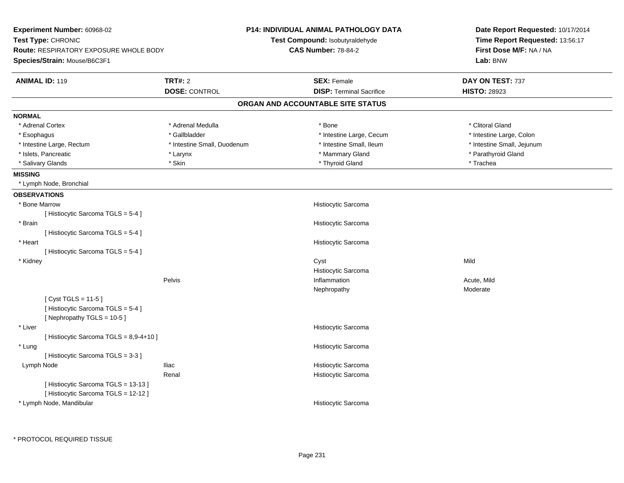| <b>TRT#: 2</b><br><b>ANIMAL ID: 119</b><br><b>SEX: Female</b><br>DAY ON TEST: 737<br><b>DOSE: CONTROL</b><br><b>DISP: Terminal Sacrifice</b><br><b>HISTO: 28923</b><br>ORGAN AND ACCOUNTABLE SITE STATUS<br><b>NORMAL</b><br>* Adrenal Cortex<br>* Adrenal Medulla<br>* Clitoral Gland<br>* Bone<br>* Gallbladder<br>* Intestine Large, Cecum<br>* Intestine Large, Colon<br>* Esophagus<br>* Intestine Small, Ileum<br>* Intestine Small, Jejunum<br>* Intestine Large, Rectum<br>* Intestine Small, Duodenum<br>* Mammary Gland<br>* Parathyroid Gland<br>* Islets, Pancreatic<br>* Larynx<br>* Skin<br>* Thyroid Gland<br>* Salivary Glands<br>* Trachea<br><b>MISSING</b><br>* Lymph Node, Bronchial<br><b>OBSERVATIONS</b><br>* Bone Marrow<br>Histiocytic Sarcoma<br>[ Histiocytic Sarcoma TGLS = 5-4 ]<br>* Brain<br>Histiocytic Sarcoma<br>[Histiocytic Sarcoma TGLS = 5-4] | Date Report Requested: 10/17/2014<br>Time Report Requested: 13:56:17<br>First Dose M/F: NA / NA |
|-------------------------------------------------------------------------------------------------------------------------------------------------------------------------------------------------------------------------------------------------------------------------------------------------------------------------------------------------------------------------------------------------------------------------------------------------------------------------------------------------------------------------------------------------------------------------------------------------------------------------------------------------------------------------------------------------------------------------------------------------------------------------------------------------------------------------------------------------------------------------------------|-------------------------------------------------------------------------------------------------|
|                                                                                                                                                                                                                                                                                                                                                                                                                                                                                                                                                                                                                                                                                                                                                                                                                                                                                     |                                                                                                 |
|                                                                                                                                                                                                                                                                                                                                                                                                                                                                                                                                                                                                                                                                                                                                                                                                                                                                                     |                                                                                                 |
|                                                                                                                                                                                                                                                                                                                                                                                                                                                                                                                                                                                                                                                                                                                                                                                                                                                                                     |                                                                                                 |
|                                                                                                                                                                                                                                                                                                                                                                                                                                                                                                                                                                                                                                                                                                                                                                                                                                                                                     |                                                                                                 |
|                                                                                                                                                                                                                                                                                                                                                                                                                                                                                                                                                                                                                                                                                                                                                                                                                                                                                     |                                                                                                 |
|                                                                                                                                                                                                                                                                                                                                                                                                                                                                                                                                                                                                                                                                                                                                                                                                                                                                                     |                                                                                                 |
|                                                                                                                                                                                                                                                                                                                                                                                                                                                                                                                                                                                                                                                                                                                                                                                                                                                                                     |                                                                                                 |
|                                                                                                                                                                                                                                                                                                                                                                                                                                                                                                                                                                                                                                                                                                                                                                                                                                                                                     |                                                                                                 |
|                                                                                                                                                                                                                                                                                                                                                                                                                                                                                                                                                                                                                                                                                                                                                                                                                                                                                     |                                                                                                 |
|                                                                                                                                                                                                                                                                                                                                                                                                                                                                                                                                                                                                                                                                                                                                                                                                                                                                                     |                                                                                                 |
|                                                                                                                                                                                                                                                                                                                                                                                                                                                                                                                                                                                                                                                                                                                                                                                                                                                                                     |                                                                                                 |
|                                                                                                                                                                                                                                                                                                                                                                                                                                                                                                                                                                                                                                                                                                                                                                                                                                                                                     |                                                                                                 |
|                                                                                                                                                                                                                                                                                                                                                                                                                                                                                                                                                                                                                                                                                                                                                                                                                                                                                     |                                                                                                 |
|                                                                                                                                                                                                                                                                                                                                                                                                                                                                                                                                                                                                                                                                                                                                                                                                                                                                                     |                                                                                                 |
|                                                                                                                                                                                                                                                                                                                                                                                                                                                                                                                                                                                                                                                                                                                                                                                                                                                                                     |                                                                                                 |
| * Heart<br>Histiocytic Sarcoma                                                                                                                                                                                                                                                                                                                                                                                                                                                                                                                                                                                                                                                                                                                                                                                                                                                      |                                                                                                 |
| [Histiocytic Sarcoma TGLS = 5-4]                                                                                                                                                                                                                                                                                                                                                                                                                                                                                                                                                                                                                                                                                                                                                                                                                                                    |                                                                                                 |
| Mild<br>* Kidney<br>Cyst                                                                                                                                                                                                                                                                                                                                                                                                                                                                                                                                                                                                                                                                                                                                                                                                                                                            |                                                                                                 |
| Histiocytic Sarcoma                                                                                                                                                                                                                                                                                                                                                                                                                                                                                                                                                                                                                                                                                                                                                                                                                                                                 |                                                                                                 |
| Pelvis<br>Inflammation<br>Acute, Mild                                                                                                                                                                                                                                                                                                                                                                                                                                                                                                                                                                                                                                                                                                                                                                                                                                               |                                                                                                 |
| Moderate<br>Nephropathy<br>[ $Cyst TGLS = 11-5$ ]<br>[Histiocytic Sarcoma TGLS = 5-4]<br>[Nephropathy TGLS = 10-5]                                                                                                                                                                                                                                                                                                                                                                                                                                                                                                                                                                                                                                                                                                                                                                  |                                                                                                 |
| * Liver<br>Histiocytic Sarcoma                                                                                                                                                                                                                                                                                                                                                                                                                                                                                                                                                                                                                                                                                                                                                                                                                                                      |                                                                                                 |
| [ Histiocytic Sarcoma TGLS = 8,9-4+10 ]                                                                                                                                                                                                                                                                                                                                                                                                                                                                                                                                                                                                                                                                                                                                                                                                                                             |                                                                                                 |
| * Lung<br>Histiocytic Sarcoma                                                                                                                                                                                                                                                                                                                                                                                                                                                                                                                                                                                                                                                                                                                                                                                                                                                       |                                                                                                 |
| [Histiocytic Sarcoma TGLS = 3-3]                                                                                                                                                                                                                                                                                                                                                                                                                                                                                                                                                                                                                                                                                                                                                                                                                                                    |                                                                                                 |
| Histiocytic Sarcoma<br>Lymph Node<br><b>Iliac</b>                                                                                                                                                                                                                                                                                                                                                                                                                                                                                                                                                                                                                                                                                                                                                                                                                                   |                                                                                                 |
| Renal<br>Histiocytic Sarcoma<br>[Histiocytic Sarcoma TGLS = 13-13]<br>[ Histiocytic Sarcoma TGLS = 12-12 ]<br>* Lymph Node, Mandibular<br>Histiocytic Sarcoma                                                                                                                                                                                                                                                                                                                                                                                                                                                                                                                                                                                                                                                                                                                       |                                                                                                 |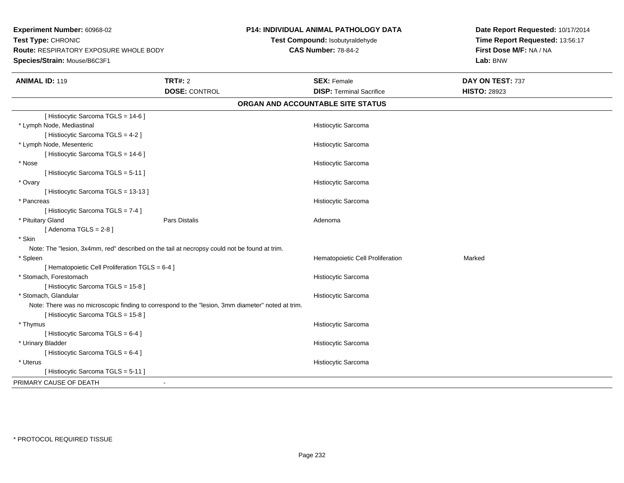**Experiment Number:** 60968-02**Test Type:** CHRONIC **Route:** RESPIRATORY EXPOSURE WHOLE BODY**Species/Strain:** Mouse/B6C3F1**P14: INDIVIDUAL ANIMAL PATHOLOGY DATATest Compound:** Isobutyraldehyde**CAS Number:** 78-84-2**Date Report Requested:** 10/17/2014**Time Report Requested:** 13:56:17**First Dose M/F:** NA / NA**Lab:** BNW**ANIMAL ID:** 119**TRT#:** 2 **SEX:** Female **DAY ON TEST:** 737 **DOSE:** CONTROL**DISP:** Terminal Sacrifice **HISTO:** 28923 **ORGAN AND ACCOUNTABLE SITE STATUS**[ Histiocytic Sarcoma TGLS = 14-6 ] \* Lymph Node, Mediastinal Histiocytic Sarcoma[ Histiocytic Sarcoma TGLS = 4-2 ] \* Lymph Node, Mesenteric Histiocytic Sarcoma[ Histiocytic Sarcoma TGLS = 14-6 ] \* Nose Histiocytic Sarcoma [ Histiocytic Sarcoma TGLS = 5-11 ] \* Ovary Histiocytic Sarcoma[ Histiocytic Sarcoma TGLS = 13-13 ] \* Pancreas Histiocytic Sarcoma[ Histiocytic Sarcoma TGLS = 7-4 ] \* Pituitary Glandd and the set of Pars Distalis and the Second Adenomal Adenomal Second Second Pars Distallis  $[$  Adenoma TGLS = 2-8  $]$  \* Skin Note: The "lesion, 3x4mm, red" described on the tail at necropsy could not be found at trim. \* SpleenHematopoietic Cell Proliferation Marked [ Hematopoietic Cell Proliferation TGLS = 6-4 ] \* Stomach, Forestomach Histiocytic Sarcoma [ Histiocytic Sarcoma TGLS = 15-8 ] \* Stomach, Glandular Histiocytic SarcomaNote: There was no microscopic finding to correspond to the "lesion, 3mm diameter" noted at trim.[ Histiocytic Sarcoma TGLS = 15-8 ] \* Thymus Histiocytic Sarcoma[ Histiocytic Sarcoma TGLS = 6-4 ] \* Urinary Bladder Histiocytic Sarcoma[ Histiocytic Sarcoma TGLS = 6-4 ] \* Uterus Histiocytic Sarcoma[ Histiocytic Sarcoma TGLS = 5-11 ]PRIMARY CAUSE OF DEATH-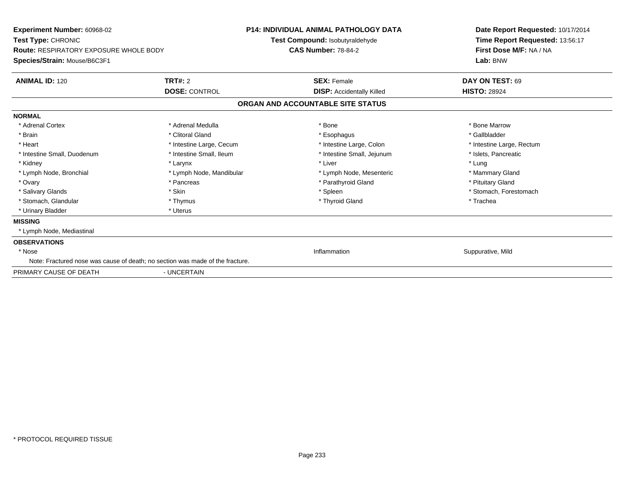| Experiment Number: 60968-02<br><b>Test Type: CHRONIC</b><br><b>Route: RESPIRATORY EXPOSURE WHOLE BODY</b><br>Species/Strain: Mouse/B6C3F1 | <b>P14: INDIVIDUAL ANIMAL PATHOLOGY DATA</b><br><b>Test Compound: Isobutyraldehyde</b><br><b>CAS Number: 78-84-2</b> |                                   | Date Report Requested: 10/17/2014<br>Time Report Requested: 13:56:17<br>First Dose M/F: NA / NA<br>Lab: BNW |
|-------------------------------------------------------------------------------------------------------------------------------------------|----------------------------------------------------------------------------------------------------------------------|-----------------------------------|-------------------------------------------------------------------------------------------------------------|
| <b>ANIMAL ID: 120</b>                                                                                                                     | TRT#: 2                                                                                                              | <b>SEX: Female</b>                | DAY ON TEST: 69                                                                                             |
|                                                                                                                                           | <b>DOSE: CONTROL</b>                                                                                                 | <b>DISP:</b> Accidentally Killed  | <b>HISTO: 28924</b>                                                                                         |
|                                                                                                                                           |                                                                                                                      | ORGAN AND ACCOUNTABLE SITE STATUS |                                                                                                             |
| <b>NORMAL</b>                                                                                                                             |                                                                                                                      |                                   |                                                                                                             |
| * Adrenal Cortex                                                                                                                          | * Adrenal Medulla                                                                                                    | * Bone                            | * Bone Marrow                                                                                               |
| * Brain                                                                                                                                   | * Clitoral Gland                                                                                                     | * Esophagus                       | * Gallbladder                                                                                               |
| * Heart                                                                                                                                   | * Intestine Large, Cecum                                                                                             | * Intestine Large, Colon          | * Intestine Large, Rectum                                                                                   |
| * Intestine Small, Duodenum                                                                                                               | * Intestine Small, Ileum                                                                                             | * Intestine Small, Jejunum        | * Islets, Pancreatic                                                                                        |
| * Kidney                                                                                                                                  | * Larynx                                                                                                             | * Liver                           | * Lung                                                                                                      |
| * Lymph Node, Bronchial                                                                                                                   | * Lymph Node, Mandibular                                                                                             | * Lymph Node, Mesenteric          | * Mammary Gland                                                                                             |
| * Ovary                                                                                                                                   | * Pancreas                                                                                                           | * Parathyroid Gland               | * Pituitary Gland                                                                                           |
| * Salivary Glands                                                                                                                         | * Skin                                                                                                               | * Spleen                          | * Stomach, Forestomach                                                                                      |
| * Stomach, Glandular                                                                                                                      | * Thymus                                                                                                             | * Thyroid Gland                   | * Trachea                                                                                                   |
| * Urinary Bladder                                                                                                                         | * Uterus                                                                                                             |                                   |                                                                                                             |
| <b>MISSING</b>                                                                                                                            |                                                                                                                      |                                   |                                                                                                             |
| * Lymph Node, Mediastinal                                                                                                                 |                                                                                                                      |                                   |                                                                                                             |
| <b>OBSERVATIONS</b>                                                                                                                       |                                                                                                                      |                                   |                                                                                                             |
| * Nose                                                                                                                                    |                                                                                                                      | Inflammation                      | Suppurative, Mild                                                                                           |
| Note: Fractured nose was cause of death; no section was made of the fracture.                                                             |                                                                                                                      |                                   |                                                                                                             |
| PRIMARY CAUSE OF DEATH                                                                                                                    | - UNCERTAIN                                                                                                          |                                   |                                                                                                             |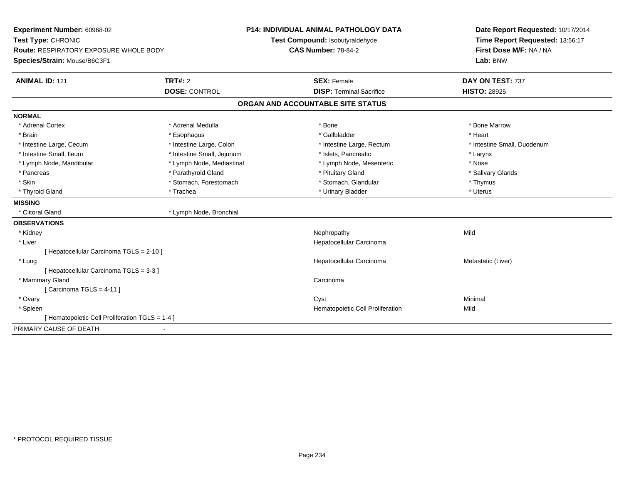| Experiment Number: 60968-02<br>Test Type: CHRONIC<br>Route: RESPIRATORY EXPOSURE WHOLE BODY<br>Species/Strain: Mouse/B6C3F1 |                            | <b>P14: INDIVIDUAL ANIMAL PATHOLOGY DATA</b><br>Test Compound: Isobutyraldehyde | Date Report Requested: 10/17/2014<br>Time Report Requested: 13:56:17 |
|-----------------------------------------------------------------------------------------------------------------------------|----------------------------|---------------------------------------------------------------------------------|----------------------------------------------------------------------|
|                                                                                                                             |                            | <b>CAS Number: 78-84-2</b>                                                      | First Dose M/F: NA / NA<br>Lab: BNW                                  |
| <b>ANIMAL ID: 121</b>                                                                                                       | <b>TRT#: 2</b>             | <b>SEX: Female</b>                                                              | DAY ON TEST: 737                                                     |
|                                                                                                                             | <b>DOSE: CONTROL</b>       | <b>DISP: Terminal Sacrifice</b>                                                 | <b>HISTO: 28925</b>                                                  |
|                                                                                                                             |                            | ORGAN AND ACCOUNTABLE SITE STATUS                                               |                                                                      |
| <b>NORMAL</b>                                                                                                               |                            |                                                                                 |                                                                      |
| * Adrenal Cortex                                                                                                            | * Adrenal Medulla          | * Bone                                                                          | * Bone Marrow                                                        |
| * Brain                                                                                                                     | * Esophagus                | * Gallbladder                                                                   | * Heart                                                              |
| * Intestine Large, Cecum                                                                                                    | * Intestine Large, Colon   | * Intestine Large, Rectum                                                       | * Intestine Small, Duodenum                                          |
| * Intestine Small, Ileum                                                                                                    | * Intestine Small, Jejunum | * Islets. Pancreatic                                                            | * Larynx                                                             |
| * Lymph Node, Mandibular                                                                                                    | * Lymph Node, Mediastinal  | * Lymph Node, Mesenteric                                                        | * Nose                                                               |
| * Pancreas                                                                                                                  | * Parathyroid Gland        | * Pituitary Gland                                                               | * Salivary Glands                                                    |
| * Skin                                                                                                                      | * Stomach, Forestomach     | * Stomach, Glandular                                                            | * Thymus                                                             |
| * Thyroid Gland                                                                                                             | * Trachea                  | * Urinary Bladder                                                               | * Uterus                                                             |
| <b>MISSING</b>                                                                                                              |                            |                                                                                 |                                                                      |
| * Clitoral Gland                                                                                                            | * Lymph Node, Bronchial    |                                                                                 |                                                                      |
| <b>OBSERVATIONS</b>                                                                                                         |                            |                                                                                 |                                                                      |
| * Kidney                                                                                                                    |                            | Nephropathy                                                                     | Mild                                                                 |
| * Liver                                                                                                                     |                            | Hepatocellular Carcinoma                                                        |                                                                      |
| [Hepatocellular Carcinoma TGLS = 2-10]                                                                                      |                            |                                                                                 |                                                                      |
| * Lung                                                                                                                      |                            | Hepatocellular Carcinoma                                                        | Metastatic (Liver)                                                   |
| [ Hepatocellular Carcinoma TGLS = 3-3 ]                                                                                     |                            |                                                                                 |                                                                      |
| * Mammary Gland                                                                                                             |                            | Carcinoma                                                                       |                                                                      |
| [Carcinoma TGLS = $4-11$ ]                                                                                                  |                            |                                                                                 |                                                                      |
| * Ovary                                                                                                                     |                            | Cyst                                                                            | Minimal                                                              |
| * Spleen                                                                                                                    |                            | Hematopoietic Cell Proliferation                                                | Mild                                                                 |
| [Hematopoietic Cell Proliferation TGLS = 1-4]                                                                               |                            |                                                                                 |                                                                      |
| PRIMARY CAUSE OF DEATH                                                                                                      |                            |                                                                                 |                                                                      |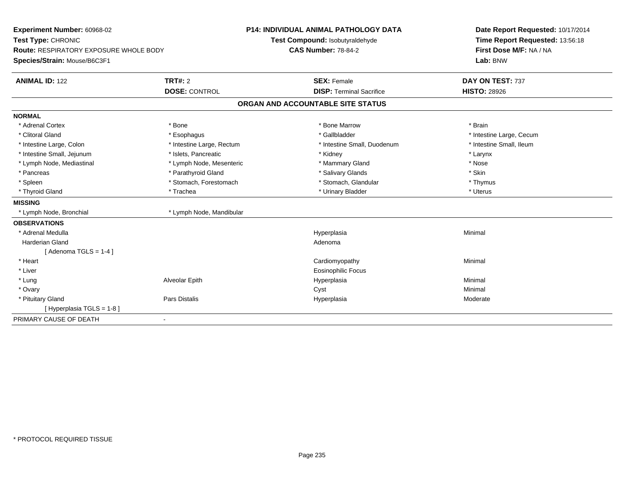| Experiment Number: 60968-02                   |                           | P14: INDIVIDUAL ANIMAL PATHOLOGY DATA | Date Report Requested: 10/17/2014 |
|-----------------------------------------------|---------------------------|---------------------------------------|-----------------------------------|
| Test Type: CHRONIC                            |                           | Test Compound: Isobutyraldehyde       | Time Report Requested: 13:56:18   |
| <b>Route: RESPIRATORY EXPOSURE WHOLE BODY</b> |                           | <b>CAS Number: 78-84-2</b>            | First Dose M/F: NA / NA           |
| Species/Strain: Mouse/B6C3F1                  |                           |                                       | Lab: BNW                          |
| <b>ANIMAL ID: 122</b>                         | <b>TRT#: 2</b>            | <b>SEX: Female</b>                    | DAY ON TEST: 737                  |
|                                               | <b>DOSE: CONTROL</b>      | <b>DISP: Terminal Sacrifice</b>       | <b>HISTO: 28926</b>               |
|                                               |                           | ORGAN AND ACCOUNTABLE SITE STATUS     |                                   |
| <b>NORMAL</b>                                 |                           |                                       |                                   |
| * Adrenal Cortex                              | * Bone                    | * Bone Marrow                         | * Brain                           |
| * Clitoral Gland                              | * Esophagus               | * Gallbladder                         | * Intestine Large, Cecum          |
| * Intestine Large, Colon                      | * Intestine Large, Rectum | * Intestine Small, Duodenum           | * Intestine Small, Ileum          |
| * Intestine Small, Jejunum                    | * Islets, Pancreatic      | * Kidney                              | * Larynx                          |
| * Lymph Node, Mediastinal                     | * Lymph Node, Mesenteric  | * Mammary Gland                       | * Nose                            |
| * Pancreas                                    | * Parathyroid Gland       | * Salivary Glands                     | * Skin                            |
| * Spleen                                      | * Stomach, Forestomach    | * Stomach, Glandular                  | * Thymus                          |
| * Thyroid Gland                               | * Trachea                 | * Urinary Bladder                     | * Uterus                          |
| <b>MISSING</b>                                |                           |                                       |                                   |
| * Lymph Node, Bronchial                       | * Lymph Node, Mandibular  |                                       |                                   |
| <b>OBSERVATIONS</b>                           |                           |                                       |                                   |
| * Adrenal Medulla                             |                           | Hyperplasia                           | Minimal                           |
| <b>Harderian Gland</b>                        |                           | Adenoma                               |                                   |
| [Adenoma TGLS = $1-4$ ]                       |                           |                                       |                                   |
| * Heart                                       |                           | Cardiomyopathy                        | Minimal                           |
| * Liver                                       |                           | Eosinophilic Focus                    |                                   |
| * Lung                                        | Alveolar Epith            | Hyperplasia                           | Minimal                           |
| * Ovary                                       |                           | Cyst                                  | Minimal                           |
| * Pituitary Gland                             | <b>Pars Distalis</b>      | Hyperplasia                           | Moderate                          |
| [Hyperplasia TGLS = 1-8]                      |                           |                                       |                                   |
| PRIMARY CAUSE OF DEATH                        | ٠                         |                                       |                                   |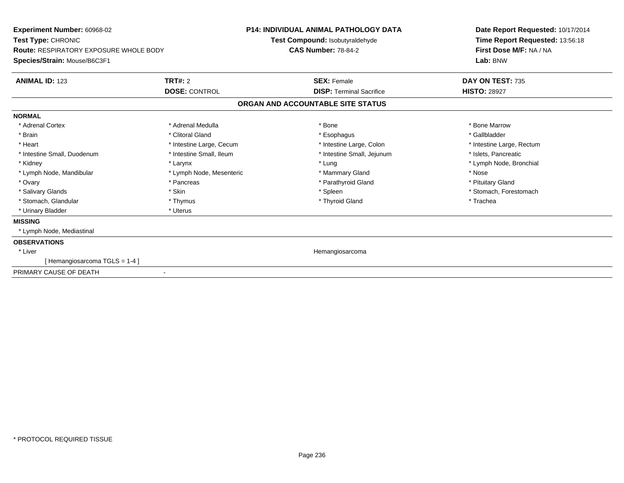| Experiment Number: 60968-02<br>Test Type: CHRONIC<br><b>Route: RESPIRATORY EXPOSURE WHOLE BODY</b><br>Species/Strain: Mouse/B6C3F1 | <b>P14: INDIVIDUAL ANIMAL PATHOLOGY DATA</b><br>Test Compound: Isobutyraldehyde<br><b>CAS Number: 78-84-2</b> |                                   | Date Report Requested: 10/17/2014<br>Time Report Requested: 13:56:18<br>First Dose M/F: NA / NA<br>Lab: BNW |
|------------------------------------------------------------------------------------------------------------------------------------|---------------------------------------------------------------------------------------------------------------|-----------------------------------|-------------------------------------------------------------------------------------------------------------|
| <b>ANIMAL ID: 123</b>                                                                                                              | TRT#: 2                                                                                                       | <b>SEX: Female</b>                | DAY ON TEST: 735                                                                                            |
|                                                                                                                                    | <b>DOSE: CONTROL</b>                                                                                          | <b>DISP: Terminal Sacrifice</b>   | <b>HISTO: 28927</b>                                                                                         |
|                                                                                                                                    |                                                                                                               | ORGAN AND ACCOUNTABLE SITE STATUS |                                                                                                             |
| <b>NORMAL</b>                                                                                                                      |                                                                                                               |                                   |                                                                                                             |
| * Adrenal Cortex                                                                                                                   | * Adrenal Medulla                                                                                             | * Bone                            | * Bone Marrow                                                                                               |
| * Brain                                                                                                                            | * Clitoral Gland                                                                                              | * Esophagus                       | * Gallbladder                                                                                               |
| * Heart                                                                                                                            | * Intestine Large, Cecum                                                                                      | * Intestine Large, Colon          | * Intestine Large, Rectum                                                                                   |
| * Intestine Small, Duodenum                                                                                                        | * Intestine Small, Ileum                                                                                      | * Intestine Small, Jejunum        | * Islets, Pancreatic                                                                                        |
| * Kidney                                                                                                                           | * Larynx                                                                                                      | * Lung                            | * Lymph Node, Bronchial                                                                                     |
| * Lymph Node, Mandibular                                                                                                           | * Lymph Node, Mesenteric                                                                                      | * Mammary Gland                   | * Nose                                                                                                      |
| * Ovary                                                                                                                            | * Pancreas                                                                                                    | * Parathyroid Gland               | * Pituitary Gland                                                                                           |
| * Salivary Glands                                                                                                                  | * Skin                                                                                                        | * Spleen                          | * Stomach, Forestomach                                                                                      |
| * Stomach, Glandular                                                                                                               | * Thymus                                                                                                      | * Thyroid Gland                   | * Trachea                                                                                                   |
| * Urinary Bladder                                                                                                                  | * Uterus                                                                                                      |                                   |                                                                                                             |
| <b>MISSING</b>                                                                                                                     |                                                                                                               |                                   |                                                                                                             |
| * Lymph Node, Mediastinal                                                                                                          |                                                                                                               |                                   |                                                                                                             |
| <b>OBSERVATIONS</b>                                                                                                                |                                                                                                               |                                   |                                                                                                             |
| * Liver                                                                                                                            |                                                                                                               | Hemangiosarcoma                   |                                                                                                             |
| [Hemangiosarcoma TGLS = 1-4]                                                                                                       |                                                                                                               |                                   |                                                                                                             |
| PRIMARY CAUSE OF DEATH                                                                                                             | $\blacksquare$                                                                                                |                                   |                                                                                                             |
|                                                                                                                                    |                                                                                                               |                                   |                                                                                                             |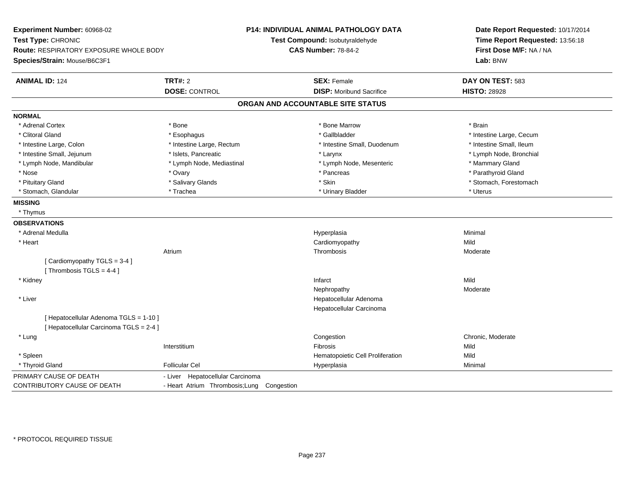| Experiment Number: 60968-02<br>Test Type: CHRONIC<br>Route: RESPIRATORY EXPOSURE WHOLE BODY<br>Species/Strain: Mouse/B6C3F1 |                                               | <b>P14: INDIVIDUAL ANIMAL PATHOLOGY DATA</b><br>Test Compound: Isobutyraldehyde<br><b>CAS Number: 78-84-2</b> | Date Report Requested: 10/17/2014<br>Time Report Requested: 13:56:18<br>First Dose M/F: NA / NA<br>Lab: BNW |
|-----------------------------------------------------------------------------------------------------------------------------|-----------------------------------------------|---------------------------------------------------------------------------------------------------------------|-------------------------------------------------------------------------------------------------------------|
| <b>ANIMAL ID: 124</b>                                                                                                       | <b>TRT#: 2</b>                                | <b>SEX: Female</b>                                                                                            | DAY ON TEST: 583                                                                                            |
|                                                                                                                             | <b>DOSE: CONTROL</b>                          | <b>DISP:</b> Moribund Sacrifice                                                                               | <b>HISTO: 28928</b>                                                                                         |
|                                                                                                                             |                                               | ORGAN AND ACCOUNTABLE SITE STATUS                                                                             |                                                                                                             |
| <b>NORMAL</b>                                                                                                               |                                               |                                                                                                               |                                                                                                             |
| * Adrenal Cortex                                                                                                            | * Bone                                        | * Bone Marrow                                                                                                 | * Brain                                                                                                     |
| * Clitoral Gland                                                                                                            | * Esophagus                                   | * Gallbladder                                                                                                 | * Intestine Large, Cecum                                                                                    |
| * Intestine Large, Colon                                                                                                    | * Intestine Large, Rectum                     | * Intestine Small, Duodenum                                                                                   | * Intestine Small, Ileum                                                                                    |
| * Intestine Small, Jejunum                                                                                                  | * Islets, Pancreatic                          | * Larynx                                                                                                      | * Lymph Node, Bronchial                                                                                     |
| * Lymph Node, Mandibular                                                                                                    | * Lymph Node, Mediastinal                     | * Lymph Node, Mesenteric                                                                                      | * Mammary Gland                                                                                             |
| * Nose                                                                                                                      | * Ovary                                       | * Pancreas                                                                                                    | * Parathyroid Gland                                                                                         |
| * Pituitary Gland                                                                                                           | * Salivary Glands                             | * Skin                                                                                                        | * Stomach, Forestomach                                                                                      |
| * Stomach, Glandular                                                                                                        | * Trachea                                     | * Urinary Bladder                                                                                             | * Uterus                                                                                                    |
| <b>MISSING</b>                                                                                                              |                                               |                                                                                                               |                                                                                                             |
| * Thymus                                                                                                                    |                                               |                                                                                                               |                                                                                                             |
| <b>OBSERVATIONS</b>                                                                                                         |                                               |                                                                                                               |                                                                                                             |
| * Adrenal Medulla                                                                                                           |                                               | Hyperplasia                                                                                                   | Minimal                                                                                                     |
| * Heart                                                                                                                     |                                               | Cardiomyopathy                                                                                                | Mild                                                                                                        |
|                                                                                                                             | Atrium                                        | Thrombosis                                                                                                    | Moderate                                                                                                    |
| [Cardiomyopathy TGLS = 3-4]<br>[Thrombosis TGLS = $4-4$ ]                                                                   |                                               |                                                                                                               |                                                                                                             |
| * Kidney                                                                                                                    |                                               | Infarct                                                                                                       | Mild                                                                                                        |
|                                                                                                                             |                                               | Nephropathy                                                                                                   | Moderate                                                                                                    |
| * Liver                                                                                                                     |                                               | Hepatocellular Adenoma                                                                                        |                                                                                                             |
|                                                                                                                             |                                               | Hepatocellular Carcinoma                                                                                      |                                                                                                             |
| [ Hepatocellular Adenoma TGLS = 1-10 ]<br>[ Hepatocellular Carcinoma TGLS = 2-4 ]                                           |                                               |                                                                                                               |                                                                                                             |
| * Lung                                                                                                                      |                                               | Congestion                                                                                                    | Chronic, Moderate                                                                                           |
|                                                                                                                             | Interstitium                                  | Fibrosis                                                                                                      | Mild                                                                                                        |
| * Spleen                                                                                                                    |                                               | Hematopoietic Cell Proliferation                                                                              | Mild                                                                                                        |
| * Thyroid Gland                                                                                                             | <b>Follicular Cel</b>                         | Hyperplasia                                                                                                   | Minimal                                                                                                     |
| PRIMARY CAUSE OF DEATH                                                                                                      | - Liver Hepatocellular Carcinoma              |                                                                                                               |                                                                                                             |
| CONTRIBUTORY CAUSE OF DEATH                                                                                                 | - Heart Atrium Thrombosis; Lung<br>Congestion |                                                                                                               |                                                                                                             |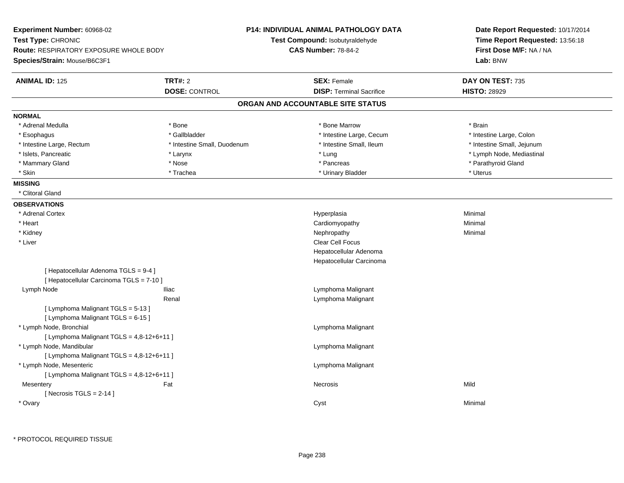| Experiment Number: 60968-02                   |                             | <b>P14: INDIVIDUAL ANIMAL PATHOLOGY DATA</b> | Date Report Requested: 10/17/2014 |
|-----------------------------------------------|-----------------------------|----------------------------------------------|-----------------------------------|
| Test Type: CHRONIC                            |                             | Test Compound: Isobutyraldehyde              | Time Report Requested: 13:56:18   |
| <b>Route: RESPIRATORY EXPOSURE WHOLE BODY</b> |                             | <b>CAS Number: 78-84-2</b>                   | First Dose M/F: NA / NA           |
| Species/Strain: Mouse/B6C3F1                  |                             |                                              | Lab: BNW                          |
| <b>ANIMAL ID: 125</b>                         | <b>TRT#: 2</b>              | <b>SEX: Female</b>                           | DAY ON TEST: 735                  |
|                                               | <b>DOSE: CONTROL</b>        | <b>DISP: Terminal Sacrifice</b>              | <b>HISTO: 28929</b>               |
|                                               |                             | ORGAN AND ACCOUNTABLE SITE STATUS            |                                   |
| <b>NORMAL</b>                                 |                             |                                              |                                   |
| * Adrenal Medulla                             | * Bone                      | * Bone Marrow                                | * Brain                           |
| * Esophagus                                   | * Gallbladder               | * Intestine Large, Cecum                     | * Intestine Large, Colon          |
| * Intestine Large, Rectum                     | * Intestine Small, Duodenum | * Intestine Small, Ileum                     | * Intestine Small, Jejunum        |
| * Islets, Pancreatic                          | * Larynx                    | * Lung                                       | * Lymph Node, Mediastinal         |
| * Mammary Gland                               | * Nose                      | * Pancreas                                   | * Parathyroid Gland               |
| * Skin                                        | * Trachea                   | * Urinary Bladder                            | * Uterus                          |
| <b>MISSING</b>                                |                             |                                              |                                   |
| * Clitoral Gland                              |                             |                                              |                                   |
| <b>OBSERVATIONS</b>                           |                             |                                              |                                   |
| * Adrenal Cortex                              |                             | Hyperplasia                                  | Minimal                           |
| * Heart                                       |                             | Cardiomyopathy                               | Minimal                           |
| * Kidney                                      |                             | Nephropathy                                  | Minimal                           |
| * Liver                                       |                             | Clear Cell Focus                             |                                   |
|                                               |                             | Hepatocellular Adenoma                       |                                   |
|                                               |                             | Hepatocellular Carcinoma                     |                                   |
| [ Hepatocellular Adenoma TGLS = 9-4 ]         |                             |                                              |                                   |
| [ Hepatocellular Carcinoma TGLS = 7-10 ]      |                             |                                              |                                   |
| Lymph Node                                    | <b>Iliac</b>                | Lymphoma Malignant                           |                                   |
|                                               | Renal                       | Lymphoma Malignant                           |                                   |
| [ Lymphoma Malignant TGLS = 5-13 ]            |                             |                                              |                                   |
| [ Lymphoma Malignant TGLS = 6-15 ]            |                             |                                              |                                   |
| * Lymph Node, Bronchial                       |                             | Lymphoma Malignant                           |                                   |
| [ Lymphoma Malignant TGLS = 4,8-12+6+11 ]     |                             |                                              |                                   |
| * Lymph Node, Mandibular                      |                             | Lymphoma Malignant                           |                                   |
| [ Lymphoma Malignant TGLS = 4,8-12+6+11 ]     |                             |                                              |                                   |
| * Lymph Node, Mesenteric                      |                             | Lymphoma Malignant                           |                                   |
| [ Lymphoma Malignant TGLS = 4,8-12+6+11 ]     |                             |                                              |                                   |
| Mesentery                                     | Fat                         | <b>Necrosis</b>                              | Mild                              |
| [Necrosis TGLS = $2-14$ ]                     |                             |                                              |                                   |
| * Ovary                                       |                             | Cyst                                         | Minimal                           |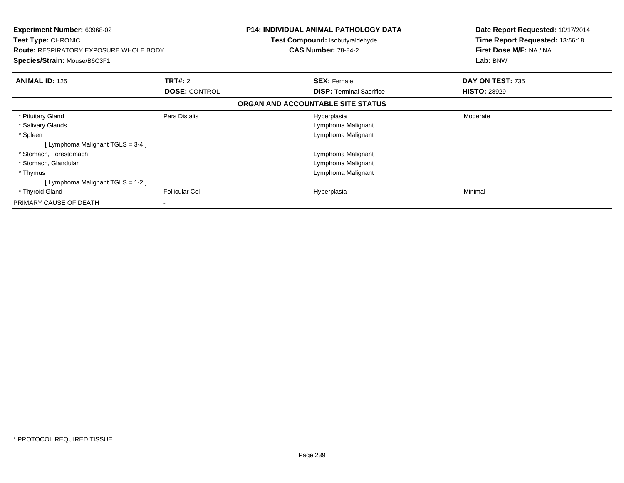| <b>Experiment Number: 60968-02</b><br><b>Test Type: CHRONIC</b><br><b>Route: RESPIRATORY EXPOSURE WHOLE BODY</b><br>Species/Strain: Mouse/B6C3F1 |                       | <b>P14: INDIVIDUAL ANIMAL PATHOLOGY DATA</b><br><b>Test Compound: Isobutyraldehyde</b><br><b>CAS Number: 78-84-2</b> | Date Report Requested: 10/17/2014<br>Time Report Requested: 13:56:18<br>First Dose M/F: NA / NA<br>Lab: BNW |
|--------------------------------------------------------------------------------------------------------------------------------------------------|-----------------------|----------------------------------------------------------------------------------------------------------------------|-------------------------------------------------------------------------------------------------------------|
| <b>ANIMAL ID: 125</b>                                                                                                                            | <b>TRT#: 2</b>        | <b>SEX: Female</b>                                                                                                   | DAY ON TEST: 735                                                                                            |
|                                                                                                                                                  | <b>DOSE: CONTROL</b>  | <b>DISP:</b> Terminal Sacrifice                                                                                      | <b>HISTO: 28929</b>                                                                                         |
|                                                                                                                                                  |                       | ORGAN AND ACCOUNTABLE SITE STATUS                                                                                    |                                                                                                             |
| * Pituitary Gland                                                                                                                                | Pars Distalis         | Hyperplasia                                                                                                          | Moderate                                                                                                    |
| * Salivary Glands                                                                                                                                |                       | Lymphoma Malignant                                                                                                   |                                                                                                             |
| * Spleen                                                                                                                                         |                       | Lymphoma Malignant                                                                                                   |                                                                                                             |
| [Lymphoma Malignant TGLS = 3-4 ]                                                                                                                 |                       |                                                                                                                      |                                                                                                             |
| * Stomach, Forestomach                                                                                                                           |                       | Lymphoma Malignant                                                                                                   |                                                                                                             |
| * Stomach, Glandular                                                                                                                             |                       | Lymphoma Malignant                                                                                                   |                                                                                                             |
| * Thymus                                                                                                                                         |                       | Lymphoma Malignant                                                                                                   |                                                                                                             |
| [Lymphoma Malignant TGLS = 1-2]                                                                                                                  |                       |                                                                                                                      |                                                                                                             |
| * Thyroid Gland                                                                                                                                  | <b>Follicular Cel</b> | Hyperplasia                                                                                                          | Minimal                                                                                                     |
| PRIMARY CAUSE OF DEATH                                                                                                                           | ۰                     |                                                                                                                      |                                                                                                             |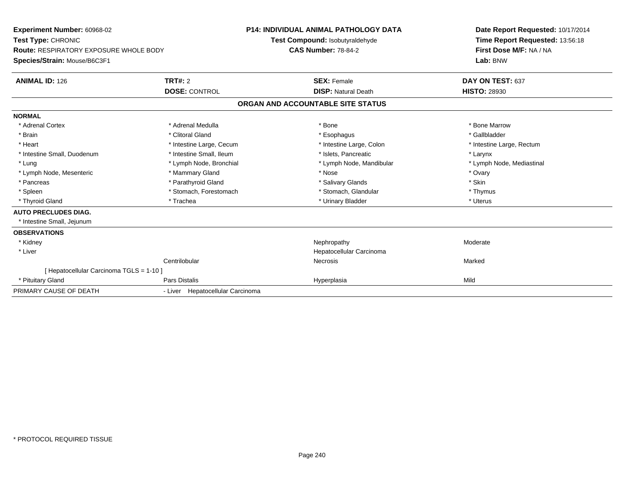| Experiment Number: 60968-02                   |                                  | P14: INDIVIDUAL ANIMAL PATHOLOGY DATA | Date Report Requested: 10/17/2014<br>Time Report Requested: 13:56:18<br>First Dose M/F: NA / NA |
|-----------------------------------------------|----------------------------------|---------------------------------------|-------------------------------------------------------------------------------------------------|
| Test Type: CHRONIC                            |                                  | Test Compound: Isobutyraldehyde       |                                                                                                 |
| <b>Route: RESPIRATORY EXPOSURE WHOLE BODY</b> |                                  | <b>CAS Number: 78-84-2</b>            |                                                                                                 |
| Species/Strain: Mouse/B6C3F1                  |                                  |                                       | Lab: BNW                                                                                        |
| <b>ANIMAL ID: 126</b>                         | <b>TRT#: 2</b>                   | <b>SEX: Female</b>                    | DAY ON TEST: 637                                                                                |
|                                               | <b>DOSE: CONTROL</b>             | <b>DISP: Natural Death</b>            | <b>HISTO: 28930</b>                                                                             |
|                                               |                                  | ORGAN AND ACCOUNTABLE SITE STATUS     |                                                                                                 |
| <b>NORMAL</b>                                 |                                  |                                       |                                                                                                 |
| * Adrenal Cortex                              | * Adrenal Medulla                | * Bone                                | * Bone Marrow                                                                                   |
| * Brain                                       | * Clitoral Gland                 | * Esophagus                           | * Gallbladder                                                                                   |
| * Heart                                       | * Intestine Large, Cecum         | * Intestine Large, Colon              | * Intestine Large, Rectum                                                                       |
| * Intestine Small, Duodenum                   | * Intestine Small, Ileum         | * Islets, Pancreatic                  | * Larynx                                                                                        |
| * Lung                                        | * Lymph Node, Bronchial          | * Lymph Node, Mandibular              | * Lymph Node, Mediastinal                                                                       |
| * Lymph Node, Mesenteric                      | * Mammary Gland                  | * Nose                                | * Ovary                                                                                         |
| * Pancreas                                    | * Parathyroid Gland              | * Salivary Glands                     | * Skin                                                                                          |
| * Spleen                                      | * Stomach, Forestomach           | * Stomach, Glandular                  | * Thymus                                                                                        |
| * Thyroid Gland                               | * Trachea                        | * Urinary Bladder                     | * Uterus                                                                                        |
| <b>AUTO PRECLUDES DIAG.</b>                   |                                  |                                       |                                                                                                 |
| * Intestine Small, Jejunum                    |                                  |                                       |                                                                                                 |
| <b>OBSERVATIONS</b>                           |                                  |                                       |                                                                                                 |
| * Kidney                                      |                                  | Nephropathy                           | Moderate                                                                                        |
| * Liver                                       |                                  | Hepatocellular Carcinoma              |                                                                                                 |
|                                               | Centrilobular                    | <b>Necrosis</b>                       | Marked                                                                                          |
| [ Hepatocellular Carcinoma TGLS = 1-10 ]      |                                  |                                       |                                                                                                 |
| * Pituitary Gland                             | Pars Distalis                    | Hyperplasia                           | Mild                                                                                            |
| PRIMARY CAUSE OF DEATH                        | - Liver Hepatocellular Carcinoma |                                       |                                                                                                 |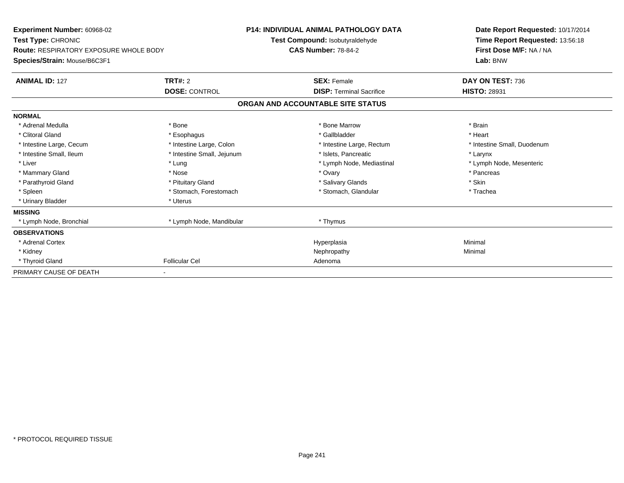| Experiment Number: 60968-02<br>Test Type: CHRONIC<br><b>Route: RESPIRATORY EXPOSURE WHOLE BODY</b><br>Species/Strain: Mouse/B6C3F1 | <b>P14: INDIVIDUAL ANIMAL PATHOLOGY DATA</b><br>Test Compound: Isobutyraldehyde<br><b>CAS Number: 78-84-2</b> |                                                       | Date Report Requested: 10/17/2014<br>Time Report Requested: 13:56:18<br>First Dose M/F: NA / NA<br>Lab: BNW |  |
|------------------------------------------------------------------------------------------------------------------------------------|---------------------------------------------------------------------------------------------------------------|-------------------------------------------------------|-------------------------------------------------------------------------------------------------------------|--|
| <b>ANIMAL ID: 127</b>                                                                                                              | TRT#: 2<br><b>DOSE: CONTROL</b>                                                                               | <b>SEX: Female</b><br><b>DISP: Terminal Sacrifice</b> | DAY ON TEST: 736<br><b>HISTO: 28931</b>                                                                     |  |
|                                                                                                                                    |                                                                                                               | ORGAN AND ACCOUNTABLE SITE STATUS                     |                                                                                                             |  |
| <b>NORMAL</b>                                                                                                                      |                                                                                                               |                                                       |                                                                                                             |  |
| * Adrenal Medulla                                                                                                                  | * Bone                                                                                                        | * Bone Marrow                                         | * Brain                                                                                                     |  |
| * Clitoral Gland                                                                                                                   | * Esophagus                                                                                                   | * Gallbladder                                         | * Heart                                                                                                     |  |
| * Intestine Large, Cecum                                                                                                           | * Intestine Large, Colon                                                                                      | * Intestine Large, Rectum                             | * Intestine Small, Duodenum                                                                                 |  |
| * Intestine Small, Ileum                                                                                                           | * Intestine Small, Jejunum                                                                                    | * Islets, Pancreatic                                  | * Larynx                                                                                                    |  |
| * Liver                                                                                                                            | * Lung                                                                                                        | * Lymph Node, Mediastinal                             | * Lymph Node, Mesenteric                                                                                    |  |
| * Mammary Gland                                                                                                                    | * Nose                                                                                                        | * Ovary                                               | * Pancreas                                                                                                  |  |
| * Parathyroid Gland                                                                                                                | * Pituitary Gland                                                                                             | * Salivary Glands                                     | * Skin                                                                                                      |  |
| * Spleen                                                                                                                           | * Stomach. Forestomach                                                                                        | * Stomach, Glandular                                  | * Trachea                                                                                                   |  |
| * Urinary Bladder                                                                                                                  | * Uterus                                                                                                      |                                                       |                                                                                                             |  |
| <b>MISSING</b>                                                                                                                     |                                                                                                               |                                                       |                                                                                                             |  |
| * Lymph Node, Bronchial                                                                                                            | * Lymph Node, Mandibular                                                                                      | * Thymus                                              |                                                                                                             |  |
| <b>OBSERVATIONS</b>                                                                                                                |                                                                                                               |                                                       |                                                                                                             |  |
| * Adrenal Cortex                                                                                                                   |                                                                                                               | Hyperplasia                                           | Minimal                                                                                                     |  |
| * Kidney                                                                                                                           |                                                                                                               | Nephropathy                                           | Minimal                                                                                                     |  |
| * Thyroid Gland                                                                                                                    | <b>Follicular Cel</b>                                                                                         | Adenoma                                               |                                                                                                             |  |
| PRIMARY CAUSE OF DEATH                                                                                                             | ٠                                                                                                             |                                                       |                                                                                                             |  |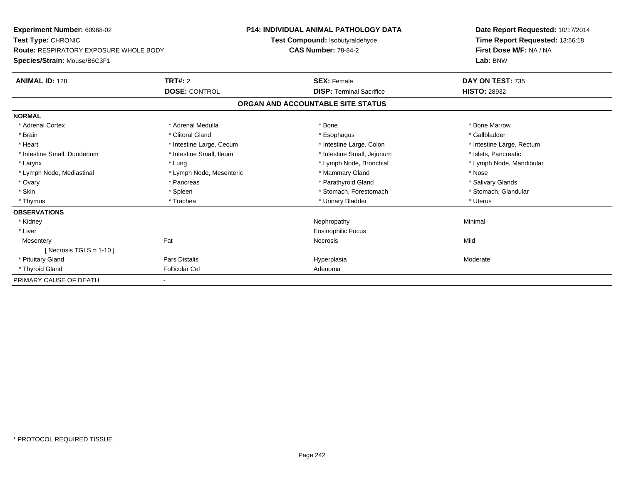| Experiment Number: 60968-02<br>Test Type: CHRONIC<br>Route: RESPIRATORY EXPOSURE WHOLE BODY |                          | <b>P14: INDIVIDUAL ANIMAL PATHOLOGY DATA</b> | Date Report Requested: 10/17/2014<br>Time Report Requested: 13:56:18<br>First Dose M/F: NA / NA |
|---------------------------------------------------------------------------------------------|--------------------------|----------------------------------------------|-------------------------------------------------------------------------------------------------|
|                                                                                             |                          | Test Compound: Isobutyraldehyde              |                                                                                                 |
|                                                                                             |                          | <b>CAS Number: 78-84-2</b>                   |                                                                                                 |
| Species/Strain: Mouse/B6C3F1                                                                |                          |                                              | Lab: BNW                                                                                        |
| <b>ANIMAL ID: 128</b>                                                                       | <b>TRT#: 2</b>           | <b>SEX: Female</b>                           | DAY ON TEST: 735                                                                                |
|                                                                                             | <b>DOSE: CONTROL</b>     | <b>DISP: Terminal Sacrifice</b>              | <b>HISTO: 28932</b>                                                                             |
|                                                                                             |                          | ORGAN AND ACCOUNTABLE SITE STATUS            |                                                                                                 |
| <b>NORMAL</b>                                                                               |                          |                                              |                                                                                                 |
| * Adrenal Cortex                                                                            | * Adrenal Medulla        | * Bone                                       | * Bone Marrow                                                                                   |
| * Brain                                                                                     | * Clitoral Gland         | * Esophagus                                  | * Gallbladder                                                                                   |
| * Heart                                                                                     | * Intestine Large, Cecum | * Intestine Large, Colon                     | * Intestine Large, Rectum                                                                       |
| * Intestine Small, Duodenum                                                                 | * Intestine Small, Ileum | * Intestine Small, Jejunum                   | * Islets, Pancreatic                                                                            |
| * Larynx                                                                                    | * Lung                   | * Lymph Node, Bronchial                      | * Lymph Node, Mandibular                                                                        |
| * Lymph Node, Mediastinal                                                                   | * Lymph Node, Mesenteric | * Mammary Gland                              | * Nose                                                                                          |
| * Ovary                                                                                     | * Pancreas               | * Parathyroid Gland                          | * Salivary Glands                                                                               |
| * Skin                                                                                      | * Spleen                 | * Stomach, Forestomach                       | * Stomach, Glandular                                                                            |
| * Thymus                                                                                    | * Trachea                | * Urinary Bladder                            | * Uterus                                                                                        |
| <b>OBSERVATIONS</b>                                                                         |                          |                                              |                                                                                                 |
| * Kidney                                                                                    |                          | Nephropathy                                  | Minimal                                                                                         |
| * Liver                                                                                     |                          | Eosinophilic Focus                           |                                                                                                 |
| Mesentery                                                                                   | Fat                      | <b>Necrosis</b>                              | Mild                                                                                            |
| [ Necrosis TGLS = $1-10$ ]                                                                  |                          |                                              |                                                                                                 |
| * Pituitary Gland                                                                           | Pars Distalis            | Hyperplasia                                  | Moderate                                                                                        |
| * Thyroid Gland                                                                             | <b>Follicular Cel</b>    | Adenoma                                      |                                                                                                 |
| PRIMARY CAUSE OF DEATH                                                                      |                          |                                              |                                                                                                 |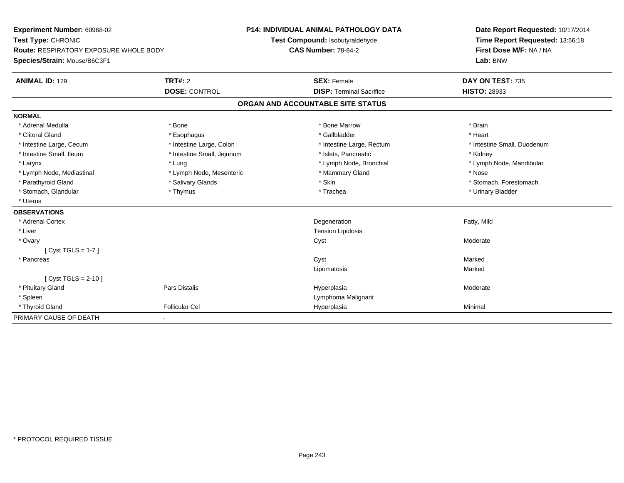| Experiment Number: 60968-02<br>Test Type: CHRONIC |                            | P14: INDIVIDUAL ANIMAL PATHOLOGY DATA | Date Report Requested: 10/17/2014 |  |  |
|---------------------------------------------------|----------------------------|---------------------------------------|-----------------------------------|--|--|
|                                                   |                            | Test Compound: Isobutyraldehyde       | Time Report Requested: 13:56:18   |  |  |
| Route: RESPIRATORY EXPOSURE WHOLE BODY            |                            | <b>CAS Number: 78-84-2</b>            | First Dose M/F: NA / NA           |  |  |
| Species/Strain: Mouse/B6C3F1                      |                            |                                       | Lab: BNW                          |  |  |
| <b>ANIMAL ID: 129</b>                             | <b>TRT#: 2</b>             | <b>SEX: Female</b>                    | DAY ON TEST: 735                  |  |  |
|                                                   | <b>DOSE: CONTROL</b>       | <b>DISP: Terminal Sacrifice</b>       | <b>HISTO: 28933</b>               |  |  |
|                                                   |                            | ORGAN AND ACCOUNTABLE SITE STATUS     |                                   |  |  |
| <b>NORMAL</b>                                     |                            |                                       |                                   |  |  |
| * Adrenal Medulla                                 | * Bone                     | * Bone Marrow                         | * Brain                           |  |  |
| * Clitoral Gland                                  | * Esophagus                | * Gallbladder                         | * Heart                           |  |  |
| * Intestine Large, Cecum                          | * Intestine Large, Colon   | * Intestine Large, Rectum             | * Intestine Small, Duodenum       |  |  |
| * Intestine Small, Ileum                          | * Intestine Small, Jejunum | * Islets, Pancreatic                  | * Kidney                          |  |  |
| * Larynx                                          | * Lung                     | * Lymph Node, Bronchial               | * Lymph Node, Mandibular          |  |  |
| * Lymph Node, Mediastinal                         | * Lymph Node, Mesenteric   | * Mammary Gland                       | * Nose                            |  |  |
| * Parathyroid Gland                               | * Salivary Glands          | * Skin                                | * Stomach, Forestomach            |  |  |
| * Stomach, Glandular                              | * Thymus                   | * Trachea                             | * Urinary Bladder                 |  |  |
| * Uterus                                          |                            |                                       |                                   |  |  |
| <b>OBSERVATIONS</b>                               |                            |                                       |                                   |  |  |
| * Adrenal Cortex                                  |                            | Degeneration                          | Fatty, Mild                       |  |  |
| * Liver                                           |                            | <b>Tension Lipidosis</b>              |                                   |  |  |
| * Ovary                                           |                            | Cyst                                  | Moderate                          |  |  |
| $[Cyst TGLS = 1-7]$                               |                            |                                       |                                   |  |  |
| * Pancreas                                        |                            | Cyst                                  | Marked                            |  |  |
|                                                   |                            | Lipomatosis                           | Marked                            |  |  |
| $Cyst TGLS = 2-10$                                |                            |                                       |                                   |  |  |
| * Pituitary Gland                                 | Pars Distalis              | Hyperplasia                           | Moderate                          |  |  |
| * Spleen                                          |                            | Lymphoma Malignant                    |                                   |  |  |
| * Thyroid Gland                                   | <b>Follicular Cel</b>      | Hyperplasia                           | Minimal                           |  |  |
| PRIMARY CAUSE OF DEATH                            | ٠                          |                                       |                                   |  |  |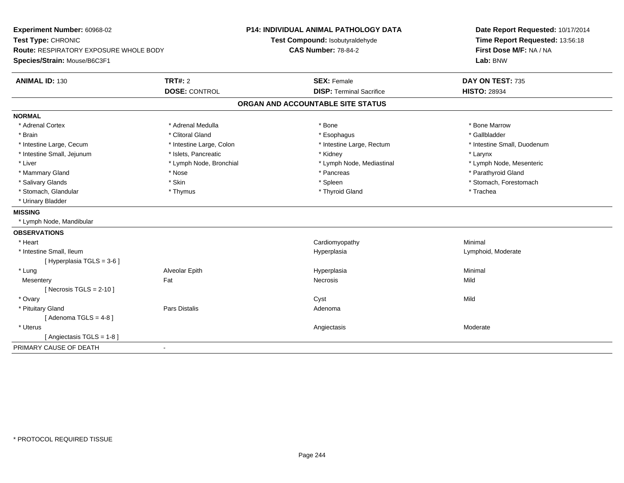| Test Type: CHRONIC<br>Test Compound: Isobutyraldehyde<br>Time Report Requested: 13:56:18<br><b>CAS Number: 78-84-2</b><br>First Dose M/F: NA / NA<br><b>Route: RESPIRATORY EXPOSURE WHOLE BODY</b><br>Species/Strain: Mouse/B6C3F1<br>Lab: BNW<br><b>ANIMAL ID: 130</b><br>TRT#: 2<br><b>SEX: Female</b><br>DAY ON TEST: 735<br><b>DOSE: CONTROL</b><br><b>DISP: Terminal Sacrifice</b><br><b>HISTO: 28934</b><br>ORGAN AND ACCOUNTABLE SITE STATUS<br><b>NORMAL</b><br>* Bone Marrow<br>* Adrenal Cortex<br>* Adrenal Medulla<br>* Bone<br>* Clitoral Gland<br>* Gallbladder<br>* Brain<br>* Esophagus<br>* Intestine Large, Cecum<br>* Intestine Large, Colon<br>* Intestine Large, Rectum<br>* Intestine Small, Duodenum<br>* Intestine Small, Jejunum<br>* Islets, Pancreatic<br>* Kidney<br>* Larynx<br>* Liver<br>* Lymph Node, Bronchial<br>* Lymph Node, Mesenteric<br>* Lymph Node, Mediastinal<br>* Mammary Gland<br>* Parathyroid Gland<br>* Nose<br>* Pancreas<br>* Skin<br>* Salivary Glands<br>* Spleen<br>* Stomach, Forestomach<br>* Stomach, Glandular<br>* Thyroid Gland<br>* Trachea<br>* Thymus<br>* Urinary Bladder<br><b>MISSING</b> |
|------------------------------------------------------------------------------------------------------------------------------------------------------------------------------------------------------------------------------------------------------------------------------------------------------------------------------------------------------------------------------------------------------------------------------------------------------------------------------------------------------------------------------------------------------------------------------------------------------------------------------------------------------------------------------------------------------------------------------------------------------------------------------------------------------------------------------------------------------------------------------------------------------------------------------------------------------------------------------------------------------------------------------------------------------------------------------------------------------------------------------------------------------------|
|                                                                                                                                                                                                                                                                                                                                                                                                                                                                                                                                                                                                                                                                                                                                                                                                                                                                                                                                                                                                                                                                                                                                                            |
|                                                                                                                                                                                                                                                                                                                                                                                                                                                                                                                                                                                                                                                                                                                                                                                                                                                                                                                                                                                                                                                                                                                                                            |
|                                                                                                                                                                                                                                                                                                                                                                                                                                                                                                                                                                                                                                                                                                                                                                                                                                                                                                                                                                                                                                                                                                                                                            |
|                                                                                                                                                                                                                                                                                                                                                                                                                                                                                                                                                                                                                                                                                                                                                                                                                                                                                                                                                                                                                                                                                                                                                            |
|                                                                                                                                                                                                                                                                                                                                                                                                                                                                                                                                                                                                                                                                                                                                                                                                                                                                                                                                                                                                                                                                                                                                                            |
|                                                                                                                                                                                                                                                                                                                                                                                                                                                                                                                                                                                                                                                                                                                                                                                                                                                                                                                                                                                                                                                                                                                                                            |
|                                                                                                                                                                                                                                                                                                                                                                                                                                                                                                                                                                                                                                                                                                                                                                                                                                                                                                                                                                                                                                                                                                                                                            |
|                                                                                                                                                                                                                                                                                                                                                                                                                                                                                                                                                                                                                                                                                                                                                                                                                                                                                                                                                                                                                                                                                                                                                            |
|                                                                                                                                                                                                                                                                                                                                                                                                                                                                                                                                                                                                                                                                                                                                                                                                                                                                                                                                                                                                                                                                                                                                                            |
|                                                                                                                                                                                                                                                                                                                                                                                                                                                                                                                                                                                                                                                                                                                                                                                                                                                                                                                                                                                                                                                                                                                                                            |
|                                                                                                                                                                                                                                                                                                                                                                                                                                                                                                                                                                                                                                                                                                                                                                                                                                                                                                                                                                                                                                                                                                                                                            |
|                                                                                                                                                                                                                                                                                                                                                                                                                                                                                                                                                                                                                                                                                                                                                                                                                                                                                                                                                                                                                                                                                                                                                            |
|                                                                                                                                                                                                                                                                                                                                                                                                                                                                                                                                                                                                                                                                                                                                                                                                                                                                                                                                                                                                                                                                                                                                                            |
|                                                                                                                                                                                                                                                                                                                                                                                                                                                                                                                                                                                                                                                                                                                                                                                                                                                                                                                                                                                                                                                                                                                                                            |
|                                                                                                                                                                                                                                                                                                                                                                                                                                                                                                                                                                                                                                                                                                                                                                                                                                                                                                                                                                                                                                                                                                                                                            |
|                                                                                                                                                                                                                                                                                                                                                                                                                                                                                                                                                                                                                                                                                                                                                                                                                                                                                                                                                                                                                                                                                                                                                            |
|                                                                                                                                                                                                                                                                                                                                                                                                                                                                                                                                                                                                                                                                                                                                                                                                                                                                                                                                                                                                                                                                                                                                                            |
| * Lymph Node, Mandibular                                                                                                                                                                                                                                                                                                                                                                                                                                                                                                                                                                                                                                                                                                                                                                                                                                                                                                                                                                                                                                                                                                                                   |
| <b>OBSERVATIONS</b>                                                                                                                                                                                                                                                                                                                                                                                                                                                                                                                                                                                                                                                                                                                                                                                                                                                                                                                                                                                                                                                                                                                                        |
| * Heart<br>Cardiomyopathy<br>Minimal                                                                                                                                                                                                                                                                                                                                                                                                                                                                                                                                                                                                                                                                                                                                                                                                                                                                                                                                                                                                                                                                                                                       |
| * Intestine Small, Ileum<br>Hyperplasia<br>Lymphoid, Moderate                                                                                                                                                                                                                                                                                                                                                                                                                                                                                                                                                                                                                                                                                                                                                                                                                                                                                                                                                                                                                                                                                              |
| [ Hyperplasia TGLS = 3-6 ]                                                                                                                                                                                                                                                                                                                                                                                                                                                                                                                                                                                                                                                                                                                                                                                                                                                                                                                                                                                                                                                                                                                                 |
| * Lung<br>Alveolar Epith<br>Minimal<br>Hyperplasia                                                                                                                                                                                                                                                                                                                                                                                                                                                                                                                                                                                                                                                                                                                                                                                                                                                                                                                                                                                                                                                                                                         |
| Fat<br>Mild<br><b>Necrosis</b><br>Mesentery                                                                                                                                                                                                                                                                                                                                                                                                                                                                                                                                                                                                                                                                                                                                                                                                                                                                                                                                                                                                                                                                                                                |
| [ Necrosis TGLS = $2-10$ ]                                                                                                                                                                                                                                                                                                                                                                                                                                                                                                                                                                                                                                                                                                                                                                                                                                                                                                                                                                                                                                                                                                                                 |
| Mild<br>* Ovary<br>Cyst                                                                                                                                                                                                                                                                                                                                                                                                                                                                                                                                                                                                                                                                                                                                                                                                                                                                                                                                                                                                                                                                                                                                    |
| Pars Distalis<br>* Pituitary Gland<br>Adenoma                                                                                                                                                                                                                                                                                                                                                                                                                                                                                                                                                                                                                                                                                                                                                                                                                                                                                                                                                                                                                                                                                                              |
| [Adenoma TGLS = $4-8$ ]                                                                                                                                                                                                                                                                                                                                                                                                                                                                                                                                                                                                                                                                                                                                                                                                                                                                                                                                                                                                                                                                                                                                    |
| * Uterus<br>Moderate<br>Angiectasis                                                                                                                                                                                                                                                                                                                                                                                                                                                                                                                                                                                                                                                                                                                                                                                                                                                                                                                                                                                                                                                                                                                        |
| [Angiectasis TGLS = 1-8]                                                                                                                                                                                                                                                                                                                                                                                                                                                                                                                                                                                                                                                                                                                                                                                                                                                                                                                                                                                                                                                                                                                                   |
| PRIMARY CAUSE OF DEATH                                                                                                                                                                                                                                                                                                                                                                                                                                                                                                                                                                                                                                                                                                                                                                                                                                                                                                                                                                                                                                                                                                                                     |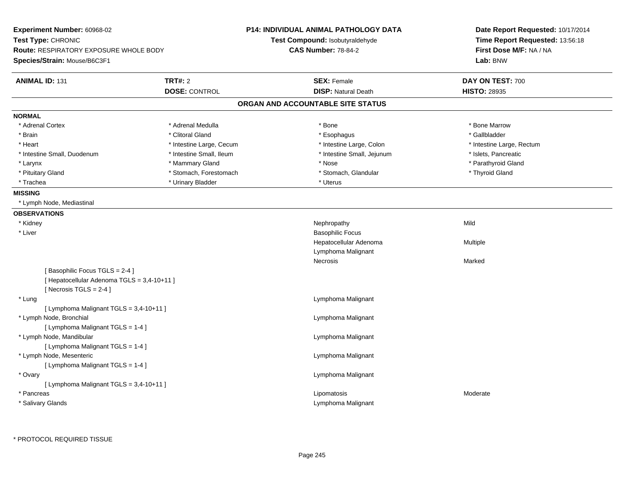| Experiment Number: 60968-02<br>Test Type: CHRONIC<br><b>Route: RESPIRATORY EXPOSURE WHOLE BODY</b><br>Species/Strain: Mouse/B6C3F1 |                                        | <b>P14: INDIVIDUAL ANIMAL PATHOLOGY DATA</b><br>Test Compound: Isobutyraldehyde<br><b>CAS Number: 78-84-2</b> | Date Report Requested: 10/17/2014<br>Time Report Requested: 13:56:18<br>First Dose M/F: NA / NA<br>Lab: BNW |
|------------------------------------------------------------------------------------------------------------------------------------|----------------------------------------|---------------------------------------------------------------------------------------------------------------|-------------------------------------------------------------------------------------------------------------|
| <b>ANIMAL ID: 131</b>                                                                                                              | <b>TRT#: 2</b><br><b>DOSE: CONTROL</b> | <b>SEX: Female</b><br><b>DISP: Natural Death</b>                                                              | DAY ON TEST: 700<br><b>HISTO: 28935</b>                                                                     |
|                                                                                                                                    |                                        | ORGAN AND ACCOUNTABLE SITE STATUS                                                                             |                                                                                                             |
| <b>NORMAL</b>                                                                                                                      |                                        |                                                                                                               |                                                                                                             |
| * Adrenal Cortex                                                                                                                   | * Adrenal Medulla                      | * Bone                                                                                                        | * Bone Marrow                                                                                               |
| * Brain                                                                                                                            | * Clitoral Gland                       | * Esophagus                                                                                                   | * Gallbladder                                                                                               |
| * Heart                                                                                                                            | * Intestine Large, Cecum               | * Intestine Large, Colon                                                                                      | * Intestine Large, Rectum                                                                                   |
| * Intestine Small, Duodenum                                                                                                        | * Intestine Small, Ileum               | * Intestine Small, Jejunum                                                                                    | * Islets, Pancreatic                                                                                        |
| * Larynx                                                                                                                           | * Mammary Gland                        | * Nose                                                                                                        | * Parathyroid Gland                                                                                         |
| * Pituitary Gland                                                                                                                  | * Stomach, Forestomach                 | * Stomach, Glandular                                                                                          | * Thyroid Gland                                                                                             |
| * Trachea                                                                                                                          | * Urinary Bladder                      | * Uterus                                                                                                      |                                                                                                             |
| <b>MISSING</b>                                                                                                                     |                                        |                                                                                                               |                                                                                                             |
| * Lymph Node, Mediastinal                                                                                                          |                                        |                                                                                                               |                                                                                                             |
| <b>OBSERVATIONS</b>                                                                                                                |                                        |                                                                                                               |                                                                                                             |
| * Kidney                                                                                                                           |                                        | Nephropathy                                                                                                   | Mild                                                                                                        |
| $^{\star}$ Liver                                                                                                                   |                                        | <b>Basophilic Focus</b>                                                                                       |                                                                                                             |
|                                                                                                                                    |                                        | Hepatocellular Adenoma                                                                                        | Multiple                                                                                                    |
|                                                                                                                                    |                                        | Lymphoma Malignant                                                                                            |                                                                                                             |
|                                                                                                                                    |                                        | Necrosis                                                                                                      | Marked                                                                                                      |
| [Basophilic Focus TGLS = 2-4]<br>[ Hepatocellular Adenoma TGLS = 3,4-10+11 ]<br>[Necrosis $TGLS = 2-4$ ]                           |                                        |                                                                                                               |                                                                                                             |
| * Lung                                                                                                                             |                                        | Lymphoma Malignant                                                                                            |                                                                                                             |
| [ Lymphoma Malignant TGLS = 3,4-10+11 ]                                                                                            |                                        |                                                                                                               |                                                                                                             |
| * Lymph Node, Bronchial                                                                                                            |                                        | Lymphoma Malignant                                                                                            |                                                                                                             |
| [ Lymphoma Malignant TGLS = 1-4 ]                                                                                                  |                                        |                                                                                                               |                                                                                                             |
| * Lymph Node, Mandibular                                                                                                           |                                        | Lymphoma Malignant                                                                                            |                                                                                                             |
| [ Lymphoma Malignant TGLS = 1-4 ]                                                                                                  |                                        |                                                                                                               |                                                                                                             |
| * Lymph Node, Mesenteric                                                                                                           |                                        | Lymphoma Malignant                                                                                            |                                                                                                             |
| [ Lymphoma Malignant TGLS = 1-4 ]                                                                                                  |                                        |                                                                                                               |                                                                                                             |
| * Ovary                                                                                                                            |                                        | Lymphoma Malignant                                                                                            |                                                                                                             |
| [ Lymphoma Malignant TGLS = 3,4-10+11 ]                                                                                            |                                        |                                                                                                               |                                                                                                             |
| * Pancreas                                                                                                                         |                                        | Lipomatosis                                                                                                   | Moderate                                                                                                    |
| * Salivary Glands                                                                                                                  |                                        | Lymphoma Malignant                                                                                            |                                                                                                             |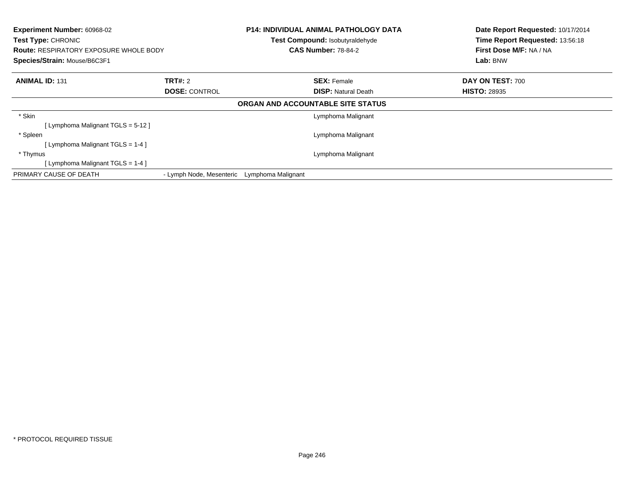| Experiment Number: 60968-02<br><b>Test Type: CHRONIC</b><br><b>Route: RESPIRATORY EXPOSURE WHOLE BODY</b><br>Species/Strain: Mouse/B6C3F1 |                          |                    | <b>P14: INDIVIDUAL ANIMAL PATHOLOGY DATA</b><br><b>Test Compound: Isobutyraldehyde</b><br><b>CAS Number: 78-84-2</b> | Date Report Requested: 10/17/2014<br>Time Report Requested: 13:56:18<br>First Dose M/F: NA / NA<br>Lab: BNW |
|-------------------------------------------------------------------------------------------------------------------------------------------|--------------------------|--------------------|----------------------------------------------------------------------------------------------------------------------|-------------------------------------------------------------------------------------------------------------|
| <b>ANIMAL ID: 131</b>                                                                                                                     | <b>TRT#: 2</b>           |                    | <b>SEX: Female</b>                                                                                                   | DAY ON TEST: 700                                                                                            |
|                                                                                                                                           | <b>DOSE: CONTROL</b>     |                    | <b>DISP: Natural Death</b>                                                                                           | <b>HISTO: 28935</b>                                                                                         |
|                                                                                                                                           |                          |                    | ORGAN AND ACCOUNTABLE SITE STATUS                                                                                    |                                                                                                             |
| * Skin                                                                                                                                    |                          |                    | Lymphoma Malignant                                                                                                   |                                                                                                             |
| [ Lymphoma Malignant TGLS = 5-12 ]                                                                                                        |                          |                    |                                                                                                                      |                                                                                                             |
| * Spleen                                                                                                                                  |                          |                    | Lymphoma Malignant                                                                                                   |                                                                                                             |
| [ Lymphoma Malignant TGLS = 1-4 ]                                                                                                         |                          |                    |                                                                                                                      |                                                                                                             |
| * Thymus                                                                                                                                  |                          |                    | Lymphoma Malignant                                                                                                   |                                                                                                             |
| [ Lymphoma Malignant TGLS = 1-4 ]                                                                                                         |                          |                    |                                                                                                                      |                                                                                                             |
| PRIMARY CAUSE OF DEATH                                                                                                                    | - Lymph Node, Mesenteric | Lymphoma Malignant |                                                                                                                      |                                                                                                             |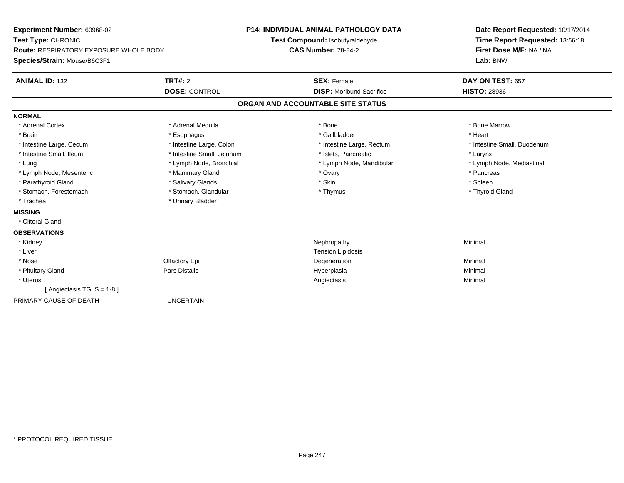| Experiment Number: 60968-02<br>Test Type: CHRONIC |                            | <b>P14: INDIVIDUAL ANIMAL PATHOLOGY DATA</b><br>Test Compound: Isobutyraldehyde |                                 |  | Date Report Requested: 10/17/2014<br>Time Report Requested: 13:56:18 |  |
|---------------------------------------------------|----------------------------|---------------------------------------------------------------------------------|---------------------------------|--|----------------------------------------------------------------------|--|
| <b>Route: RESPIRATORY EXPOSURE WHOLE BODY</b>     |                            | <b>CAS Number: 78-84-2</b>                                                      |                                 |  | First Dose M/F: NA / NA                                              |  |
| Species/Strain: Mouse/B6C3F1                      |                            |                                                                                 |                                 |  | Lab: BNW                                                             |  |
| <b>ANIMAL ID: 132</b>                             | TRT#: 2                    |                                                                                 | <b>SEX: Female</b>              |  | DAY ON TEST: 657                                                     |  |
|                                                   | <b>DOSE: CONTROL</b>       |                                                                                 | <b>DISP:</b> Moribund Sacrifice |  | <b>HISTO: 28936</b>                                                  |  |
|                                                   |                            | ORGAN AND ACCOUNTABLE SITE STATUS                                               |                                 |  |                                                                      |  |
| <b>NORMAL</b>                                     |                            |                                                                                 |                                 |  |                                                                      |  |
| * Adrenal Cortex                                  | * Adrenal Medulla          |                                                                                 | * Bone                          |  | * Bone Marrow                                                        |  |
| * Brain                                           | * Esophagus                |                                                                                 | * Gallbladder                   |  | * Heart                                                              |  |
| * Intestine Large, Cecum                          | * Intestine Large, Colon   |                                                                                 | * Intestine Large, Rectum       |  | * Intestine Small, Duodenum                                          |  |
| * Intestine Small. Ileum                          | * Intestine Small, Jejunum |                                                                                 | * Islets. Pancreatic            |  | * Larynx                                                             |  |
| * Lung                                            | * Lymph Node, Bronchial    |                                                                                 | * Lymph Node, Mandibular        |  | * Lymph Node, Mediastinal                                            |  |
| * Lymph Node, Mesenteric                          | * Mammary Gland            |                                                                                 | * Ovary                         |  | * Pancreas                                                           |  |
| * Parathyroid Gland                               | * Salivary Glands          |                                                                                 | * Skin                          |  | * Spleen                                                             |  |
| * Stomach, Forestomach                            | * Stomach, Glandular       |                                                                                 | * Thymus                        |  | * Thyroid Gland                                                      |  |
| * Trachea                                         | * Urinary Bladder          |                                                                                 |                                 |  |                                                                      |  |
| <b>MISSING</b>                                    |                            |                                                                                 |                                 |  |                                                                      |  |
| * Clitoral Gland                                  |                            |                                                                                 |                                 |  |                                                                      |  |
| <b>OBSERVATIONS</b>                               |                            |                                                                                 |                                 |  |                                                                      |  |
| * Kidney                                          |                            |                                                                                 | Nephropathy                     |  | Minimal                                                              |  |
| * Liver                                           |                            |                                                                                 | <b>Tension Lipidosis</b>        |  |                                                                      |  |
| * Nose                                            | Olfactory Epi              |                                                                                 | Degeneration                    |  | Minimal                                                              |  |
| * Pituitary Gland                                 | Pars Distalis              |                                                                                 | Hyperplasia                     |  | Minimal                                                              |  |
| * Uterus                                          |                            |                                                                                 | Angiectasis                     |  | Minimal                                                              |  |
| [Angiectasis TGLS = 1-8]                          |                            |                                                                                 |                                 |  |                                                                      |  |
| PRIMARY CAUSE OF DEATH                            | - UNCERTAIN                |                                                                                 |                                 |  |                                                                      |  |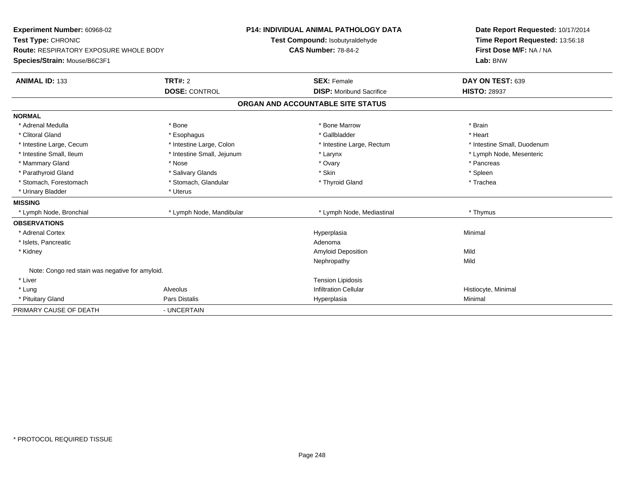| Experiment Number: 60968-02                     |                            |                                 | <b>P14: INDIVIDUAL ANIMAL PATHOLOGY DATA</b> |                     | Date Report Requested: 10/17/2014 |  |  |
|-------------------------------------------------|----------------------------|---------------------------------|----------------------------------------------|---------------------|-----------------------------------|--|--|
| Test Type: CHRONIC                              |                            | Test Compound: Isobutyraldehyde |                                              |                     | Time Report Requested: 13:56:18   |  |  |
| <b>Route: RESPIRATORY EXPOSURE WHOLE BODY</b>   |                            | <b>CAS Number: 78-84-2</b>      |                                              |                     | First Dose M/F: NA / NA           |  |  |
| Species/Strain: Mouse/B6C3F1                    |                            |                                 |                                              |                     | Lab: BNW                          |  |  |
| <b>ANIMAL ID: 133</b>                           | <b>TRT#: 2</b>             |                                 | <b>SEX: Female</b>                           |                     | DAY ON TEST: 639                  |  |  |
|                                                 | <b>DOSE: CONTROL</b>       |                                 | <b>DISP:</b> Moribund Sacrifice              | <b>HISTO: 28937</b> |                                   |  |  |
|                                                 |                            |                                 | ORGAN AND ACCOUNTABLE SITE STATUS            |                     |                                   |  |  |
| <b>NORMAL</b>                                   |                            |                                 |                                              |                     |                                   |  |  |
| * Adrenal Medulla                               | * Bone                     |                                 | * Bone Marrow                                | * Brain             |                                   |  |  |
| * Clitoral Gland                                | * Esophagus                |                                 | * Gallbladder                                | * Heart             |                                   |  |  |
| * Intestine Large, Cecum                        | * Intestine Large, Colon   |                                 | * Intestine Large, Rectum                    |                     | * Intestine Small, Duodenum       |  |  |
| * Intestine Small. Ileum                        | * Intestine Small, Jejunum | * Larynx                        |                                              |                     | * Lymph Node, Mesenteric          |  |  |
| * Mammary Gland                                 | * Nose                     | * Ovary                         |                                              | * Pancreas          |                                   |  |  |
| * Parathyroid Gland                             | * Salivary Glands          |                                 | * Skin                                       | * Spleen            |                                   |  |  |
| * Stomach, Forestomach                          | * Stomach, Glandular       |                                 | * Thyroid Gland                              | * Trachea           |                                   |  |  |
| * Urinary Bladder                               | * Uterus                   |                                 |                                              |                     |                                   |  |  |
| <b>MISSING</b>                                  |                            |                                 |                                              |                     |                                   |  |  |
| * Lymph Node, Bronchial                         | * Lymph Node, Mandibular   |                                 | * Lymph Node, Mediastinal                    | * Thymus            |                                   |  |  |
| <b>OBSERVATIONS</b>                             |                            |                                 |                                              |                     |                                   |  |  |
| * Adrenal Cortex                                |                            |                                 | Hyperplasia                                  | Minimal             |                                   |  |  |
| * Islets, Pancreatic                            |                            |                                 | Adenoma                                      |                     |                                   |  |  |
| * Kidney                                        |                            |                                 | Amyloid Deposition                           | Mild                |                                   |  |  |
|                                                 |                            |                                 | Nephropathy                                  | Mild                |                                   |  |  |
| Note: Congo red stain was negative for amyloid. |                            |                                 |                                              |                     |                                   |  |  |
| * Liver                                         |                            |                                 | <b>Tension Lipidosis</b>                     |                     |                                   |  |  |
| * Lung                                          | Alveolus                   |                                 | <b>Infiltration Cellular</b>                 | Histiocyte, Minimal |                                   |  |  |
| * Pituitary Gland                               | Pars Distalis              |                                 | Hyperplasia                                  | Minimal             |                                   |  |  |
| PRIMARY CAUSE OF DEATH                          | - UNCERTAIN                |                                 |                                              |                     |                                   |  |  |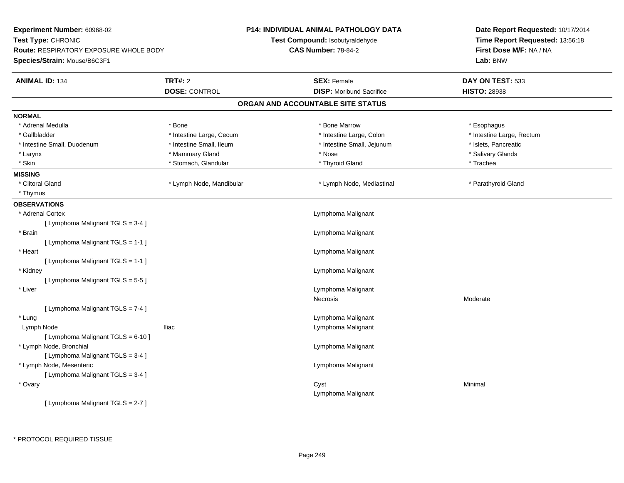| Experiment Number: 60968-02            |                          | P14: INDIVIDUAL ANIMAL PATHOLOGY DATA | Date Report Requested: 10/17/2014                          |  |
|----------------------------------------|--------------------------|---------------------------------------|------------------------------------------------------------|--|
| Test Type: CHRONIC                     |                          | Test Compound: Isobutyraldehyde       | Time Report Requested: 13:56:18<br>First Dose M/F: NA / NA |  |
| Route: RESPIRATORY EXPOSURE WHOLE BODY |                          | <b>CAS Number: 78-84-2</b>            |                                                            |  |
| Species/Strain: Mouse/B6C3F1           |                          |                                       | Lab: BNW                                                   |  |
| <b>ANIMAL ID: 134</b>                  | <b>TRT#: 2</b>           | <b>SEX: Female</b>                    | DAY ON TEST: 533                                           |  |
|                                        | <b>DOSE: CONTROL</b>     | <b>DISP:</b> Moribund Sacrifice       | <b>HISTO: 28938</b>                                        |  |
|                                        |                          | ORGAN AND ACCOUNTABLE SITE STATUS     |                                                            |  |
| <b>NORMAL</b>                          |                          |                                       |                                                            |  |
| * Adrenal Medulla                      | * Bone                   | * Bone Marrow                         | * Esophagus                                                |  |
| * Gallbladder                          | * Intestine Large, Cecum | * Intestine Large, Colon              | * Intestine Large, Rectum                                  |  |
| * Intestine Small, Duodenum            | * Intestine Small, Ileum | * Intestine Small, Jejunum            | * Islets, Pancreatic                                       |  |
| * Larynx                               | * Mammary Gland          | * Nose                                | * Salivary Glands                                          |  |
| * Skin                                 | * Stomach, Glandular     | * Thyroid Gland                       | * Trachea                                                  |  |
| <b>MISSING</b>                         |                          |                                       |                                                            |  |
| * Clitoral Gland                       | * Lymph Node, Mandibular | * Lymph Node, Mediastinal             | * Parathyroid Gland                                        |  |
| * Thymus                               |                          |                                       |                                                            |  |
| <b>OBSERVATIONS</b>                    |                          |                                       |                                                            |  |
| * Adrenal Cortex                       |                          | Lymphoma Malignant                    |                                                            |  |
| [ Lymphoma Malignant TGLS = 3-4 ]      |                          |                                       |                                                            |  |
| * Brain                                |                          | Lymphoma Malignant                    |                                                            |  |
| [ Lymphoma Malignant TGLS = 1-1 ]      |                          |                                       |                                                            |  |
| * Heart                                |                          | Lymphoma Malignant                    |                                                            |  |
| [ Lymphoma Malignant TGLS = 1-1 ]      |                          |                                       |                                                            |  |
| * Kidney                               |                          | Lymphoma Malignant                    |                                                            |  |
| [ Lymphoma Malignant TGLS = 5-5 ]      |                          |                                       |                                                            |  |
| * Liver                                |                          | Lymphoma Malignant                    |                                                            |  |
|                                        |                          | Necrosis                              | Moderate                                                   |  |
| [ Lymphoma Malignant TGLS = 7-4 ]      |                          |                                       |                                                            |  |
| * Lung                                 |                          | Lymphoma Malignant                    |                                                            |  |
| Lymph Node                             | <b>Iliac</b>             | Lymphoma Malignant                    |                                                            |  |
| [ Lymphoma Malignant TGLS = 6-10 ]     |                          |                                       |                                                            |  |
| * Lymph Node, Bronchial                |                          | Lymphoma Malignant                    |                                                            |  |
| [ Lymphoma Malignant TGLS = 3-4 ]      |                          |                                       |                                                            |  |
| * Lymph Node, Mesenteric               |                          | Lymphoma Malignant                    |                                                            |  |
| [ Lymphoma Malignant TGLS = 3-4 ]      |                          |                                       |                                                            |  |
| * Ovary                                |                          | Cyst                                  | Minimal                                                    |  |
|                                        |                          | Lymphoma Malignant                    |                                                            |  |
| [ Lymphoma Malignant TGLS = 2-7 ]      |                          |                                       |                                                            |  |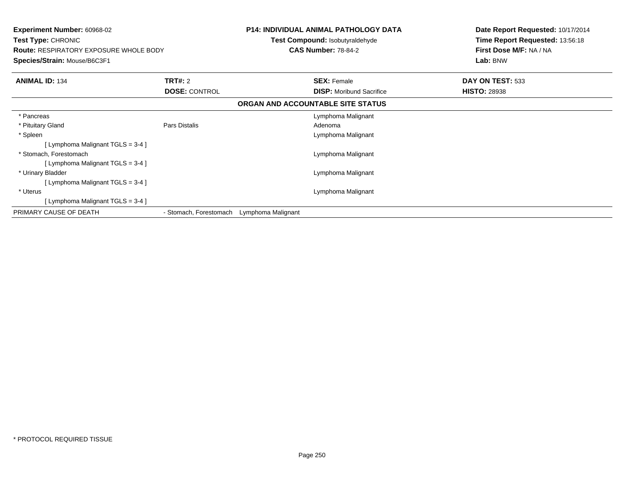| <b>Experiment Number: 60968-02</b><br><b>Test Type: CHRONIC</b><br><b>Route: RESPIRATORY EXPOSURE WHOLE BODY</b><br>Species/Strain: Mouse/B6C3F1 |                        | <b>P14: INDIVIDUAL ANIMAL PATHOLOGY DATA</b><br><b>Test Compound: Isobutyraldehyde</b><br><b>CAS Number: 78-84-2</b> |                                   | Date Report Requested: 10/17/2014<br>Time Report Requested: 13:56:18<br>First Dose M/F: NA / NA<br>Lab: BNW |
|--------------------------------------------------------------------------------------------------------------------------------------------------|------------------------|----------------------------------------------------------------------------------------------------------------------|-----------------------------------|-------------------------------------------------------------------------------------------------------------|
| <b>ANIMAL ID: 134</b>                                                                                                                            | <b>TRT#: 2</b>         |                                                                                                                      | <b>SEX: Female</b>                | DAY ON TEST: 533                                                                                            |
|                                                                                                                                                  | <b>DOSE: CONTROL</b>   |                                                                                                                      | <b>DISP:</b> Moribund Sacrifice   | <b>HISTO: 28938</b>                                                                                         |
|                                                                                                                                                  |                        |                                                                                                                      | ORGAN AND ACCOUNTABLE SITE STATUS |                                                                                                             |
| * Pancreas                                                                                                                                       |                        |                                                                                                                      | Lymphoma Malignant                |                                                                                                             |
| * Pituitary Gland                                                                                                                                | Pars Distalis          |                                                                                                                      | Adenoma                           |                                                                                                             |
| * Spleen                                                                                                                                         |                        |                                                                                                                      | Lymphoma Malignant                |                                                                                                             |
| [Lymphoma Malignant TGLS = $3-4$ ]                                                                                                               |                        |                                                                                                                      |                                   |                                                                                                             |
| * Stomach. Forestomach                                                                                                                           |                        |                                                                                                                      | Lymphoma Malignant                |                                                                                                             |
| [ Lymphoma Malignant TGLS = 3-4 ]                                                                                                                |                        |                                                                                                                      |                                   |                                                                                                             |
| * Urinary Bladder                                                                                                                                |                        |                                                                                                                      | Lymphoma Malignant                |                                                                                                             |
| [ Lymphoma Malignant $TGLS = 3-4$ ]                                                                                                              |                        |                                                                                                                      |                                   |                                                                                                             |
| * Uterus                                                                                                                                         |                        |                                                                                                                      | Lymphoma Malignant                |                                                                                                             |
| [Lymphoma Malignant TGLS = 3-4]                                                                                                                  |                        |                                                                                                                      |                                   |                                                                                                             |
| PRIMARY CAUSE OF DEATH                                                                                                                           | - Stomach, Forestomach | Lymphoma Malignant                                                                                                   |                                   |                                                                                                             |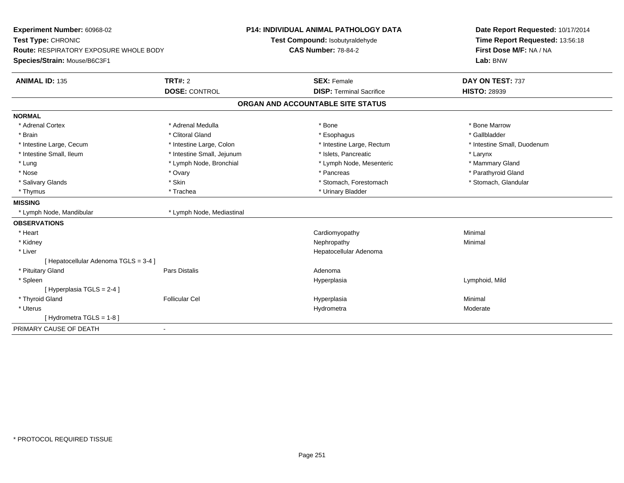| Experiment Number: 60968-02<br>Test Type: CHRONIC<br>Route: RESPIRATORY EXPOSURE WHOLE BODY<br>Species/Strain: Mouse/B6C3F1 |                            | <b>P14: INDIVIDUAL ANIMAL PATHOLOGY DATA</b><br>Test Compound: Isobutyraldehyde<br><b>CAS Number: 78-84-2</b> | Date Report Requested: 10/17/2014<br>Time Report Requested: 13:56:18<br>First Dose M/F: NA / NA<br>Lab: BNW |  |
|-----------------------------------------------------------------------------------------------------------------------------|----------------------------|---------------------------------------------------------------------------------------------------------------|-------------------------------------------------------------------------------------------------------------|--|
|                                                                                                                             |                            |                                                                                                               |                                                                                                             |  |
| <b>ANIMAL ID: 135</b>                                                                                                       | <b>TRT#: 2</b>             | <b>SEX: Female</b>                                                                                            | DAY ON TEST: 737                                                                                            |  |
|                                                                                                                             | <b>DOSE: CONTROL</b>       | <b>DISP: Terminal Sacrifice</b>                                                                               | <b>HISTO: 28939</b>                                                                                         |  |
|                                                                                                                             |                            | ORGAN AND ACCOUNTABLE SITE STATUS                                                                             |                                                                                                             |  |
| <b>NORMAL</b>                                                                                                               |                            |                                                                                                               |                                                                                                             |  |
| * Adrenal Cortex                                                                                                            | * Adrenal Medulla          | * Bone                                                                                                        | * Bone Marrow                                                                                               |  |
| * Brain                                                                                                                     | * Clitoral Gland           | * Esophagus                                                                                                   | * Gallbladder                                                                                               |  |
| * Intestine Large, Cecum                                                                                                    | * Intestine Large, Colon   | * Intestine Large, Rectum                                                                                     | * Intestine Small, Duodenum                                                                                 |  |
| * Intestine Small, Ileum                                                                                                    | * Intestine Small, Jejunum | * Islets, Pancreatic                                                                                          | * Larynx                                                                                                    |  |
| * Lung                                                                                                                      | * Lymph Node, Bronchial    | * Lymph Node, Mesenteric                                                                                      | * Mammary Gland                                                                                             |  |
| * Nose                                                                                                                      | * Ovary                    | * Pancreas                                                                                                    | * Parathyroid Gland                                                                                         |  |
| * Salivary Glands                                                                                                           | * Skin                     | * Stomach, Forestomach                                                                                        | * Stomach, Glandular                                                                                        |  |
| * Thymus                                                                                                                    | * Trachea                  | * Urinary Bladder                                                                                             |                                                                                                             |  |
| <b>MISSING</b>                                                                                                              |                            |                                                                                                               |                                                                                                             |  |
| * Lymph Node, Mandibular                                                                                                    | * Lymph Node, Mediastinal  |                                                                                                               |                                                                                                             |  |
| <b>OBSERVATIONS</b>                                                                                                         |                            |                                                                                                               |                                                                                                             |  |
| * Heart                                                                                                                     |                            | Cardiomyopathy                                                                                                | Minimal                                                                                                     |  |
| * Kidney                                                                                                                    |                            | Nephropathy                                                                                                   | Minimal                                                                                                     |  |
| * Liver                                                                                                                     |                            | Hepatocellular Adenoma                                                                                        |                                                                                                             |  |
| [ Hepatocellular Adenoma TGLS = 3-4 ]                                                                                       |                            |                                                                                                               |                                                                                                             |  |
| * Pituitary Gland                                                                                                           | Pars Distalis              | Adenoma                                                                                                       |                                                                                                             |  |
| * Spleen                                                                                                                    |                            | Hyperplasia                                                                                                   | Lymphoid, Mild                                                                                              |  |
| [Hyperplasia TGLS = $2-4$ ]                                                                                                 |                            |                                                                                                               |                                                                                                             |  |
| * Thyroid Gland                                                                                                             | <b>Follicular Cel</b>      | Hyperplasia                                                                                                   | Minimal                                                                                                     |  |
| * Uterus                                                                                                                    |                            | Hydrometra                                                                                                    | Moderate                                                                                                    |  |
| [Hydrometra TGLS = 1-8]                                                                                                     |                            |                                                                                                               |                                                                                                             |  |
| PRIMARY CAUSE OF DEATH                                                                                                      | $\blacksquare$             |                                                                                                               |                                                                                                             |  |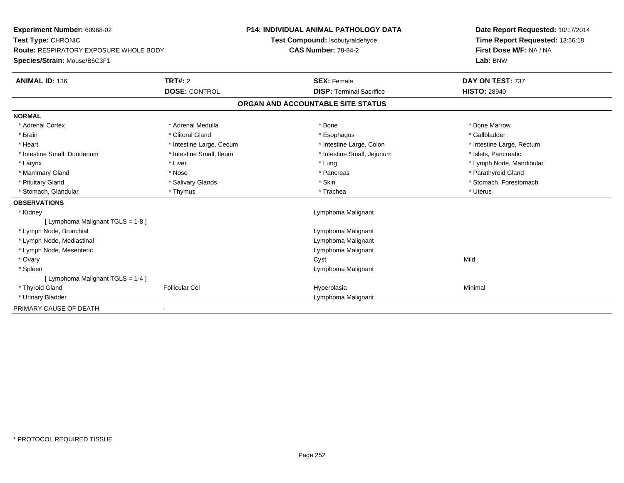| Experiment Number: 60968-02                   |                          | <b>P14: INDIVIDUAL ANIMAL PATHOLOGY DATA</b> |                                 | Date Report Requested: 10/17/2014 |
|-----------------------------------------------|--------------------------|----------------------------------------------|---------------------------------|-----------------------------------|
| Test Type: CHRONIC                            |                          | Test Compound: Isobutyraldehyde              |                                 | Time Report Requested: 13:56:18   |
| <b>Route: RESPIRATORY EXPOSURE WHOLE BODY</b> |                          | <b>CAS Number: 78-84-2</b>                   |                                 | First Dose M/F: NA / NA           |
| Species/Strain: Mouse/B6C3F1                  |                          |                                              |                                 | Lab: BNW                          |
| <b>ANIMAL ID: 136</b>                         | <b>TRT#: 2</b>           |                                              | <b>SEX: Female</b>              | DAY ON TEST: 737                  |
|                                               | <b>DOSE: CONTROL</b>     |                                              | <b>DISP: Terminal Sacrifice</b> | <b>HISTO: 28940</b>               |
|                                               |                          | ORGAN AND ACCOUNTABLE SITE STATUS            |                                 |                                   |
| <b>NORMAL</b>                                 |                          |                                              |                                 |                                   |
| * Adrenal Cortex                              | * Adrenal Medulla        | * Bone                                       |                                 | * Bone Marrow                     |
| * Brain                                       | * Clitoral Gland         |                                              | * Esophagus                     | * Gallbladder                     |
| * Heart                                       | * Intestine Large, Cecum |                                              | * Intestine Large, Colon        | * Intestine Large, Rectum         |
| * Intestine Small, Duodenum                   | * Intestine Small, Ileum |                                              | * Intestine Small, Jejunum      | * Islets, Pancreatic              |
| * Larynx                                      | * Liver                  | * Lung                                       |                                 | * Lymph Node, Mandibular          |
| * Mammary Gland                               | * Nose                   |                                              | * Pancreas                      | * Parathyroid Gland               |
| * Pituitary Gland                             | * Salivary Glands        | * Skin                                       |                                 | * Stomach, Forestomach            |
| * Stomach, Glandular                          | * Thymus                 | * Trachea                                    |                                 | * Uterus                          |
| <b>OBSERVATIONS</b>                           |                          |                                              |                                 |                                   |
| * Kidney                                      |                          |                                              | Lymphoma Malignant              |                                   |
| [ Lymphoma Malignant TGLS = 1-8 ]             |                          |                                              |                                 |                                   |
| * Lymph Node, Bronchial                       |                          |                                              | Lymphoma Malignant              |                                   |
| * Lymph Node, Mediastinal                     |                          |                                              | Lymphoma Malignant              |                                   |
| * Lymph Node, Mesenteric                      |                          |                                              | Lymphoma Malignant              |                                   |
| * Ovary                                       |                          | Cyst                                         |                                 | Mild                              |
| * Spleen                                      |                          |                                              | Lymphoma Malignant              |                                   |
| [ Lymphoma Malignant TGLS = 1-4 ]             |                          |                                              |                                 |                                   |
| * Thyroid Gland                               | <b>Follicular Cel</b>    | Hyperplasia                                  |                                 | Minimal                           |
| * Urinary Bladder                             |                          |                                              | Lymphoma Malignant              |                                   |
| PRIMARY CAUSE OF DEATH                        |                          |                                              |                                 |                                   |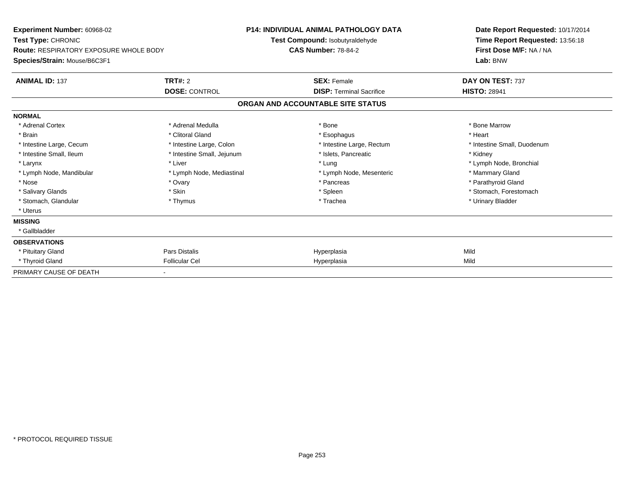| Experiment Number: 60968-02<br>Test Type: CHRONIC<br><b>Route: RESPIRATORY EXPOSURE WHOLE BODY</b><br>Species/Strain: Mouse/B6C3F1 |                            | <b>P14: INDIVIDUAL ANIMAL PATHOLOGY DATA</b><br>Test Compound: Isobutyraldehyde<br><b>CAS Number: 78-84-2</b> |                                 | Date Report Requested: 10/17/2014<br>Time Report Requested: 13:56:18<br>First Dose M/F: NA / NA<br>Lab: BNW |  |
|------------------------------------------------------------------------------------------------------------------------------------|----------------------------|---------------------------------------------------------------------------------------------------------------|---------------------------------|-------------------------------------------------------------------------------------------------------------|--|
| <b>ANIMAL ID: 137</b>                                                                                                              | TRT#: 2                    |                                                                                                               | <b>SEX: Female</b>              | DAY ON TEST: 737                                                                                            |  |
|                                                                                                                                    | <b>DOSE: CONTROL</b>       |                                                                                                               | <b>DISP: Terminal Sacrifice</b> | <b>HISTO: 28941</b>                                                                                         |  |
|                                                                                                                                    |                            | ORGAN AND ACCOUNTABLE SITE STATUS                                                                             |                                 |                                                                                                             |  |
| <b>NORMAL</b>                                                                                                                      |                            |                                                                                                               |                                 |                                                                                                             |  |
| * Adrenal Cortex                                                                                                                   | * Adrenal Medulla          |                                                                                                               | * Bone                          | * Bone Marrow                                                                                               |  |
| * Brain                                                                                                                            | * Clitoral Gland           |                                                                                                               | * Esophagus                     | * Heart                                                                                                     |  |
| * Intestine Large, Cecum                                                                                                           | * Intestine Large, Colon   |                                                                                                               | * Intestine Large, Rectum       | * Intestine Small, Duodenum                                                                                 |  |
| * Intestine Small, Ileum                                                                                                           | * Intestine Small, Jejunum |                                                                                                               | * Islets, Pancreatic            | * Kidney                                                                                                    |  |
| * Larynx                                                                                                                           | * Liver                    |                                                                                                               | * Lung                          | * Lymph Node, Bronchial                                                                                     |  |
| * Lymph Node, Mandibular                                                                                                           | * Lymph Node, Mediastinal  |                                                                                                               | * Lymph Node, Mesenteric        | * Mammary Gland                                                                                             |  |
| * Nose                                                                                                                             | * Ovary                    |                                                                                                               | * Pancreas                      | * Parathyroid Gland                                                                                         |  |
| * Salivary Glands                                                                                                                  | * Skin                     |                                                                                                               | * Spleen                        | * Stomach, Forestomach                                                                                      |  |
| * Stomach, Glandular                                                                                                               | * Thymus                   |                                                                                                               | * Trachea                       | * Urinary Bladder                                                                                           |  |
| * Uterus                                                                                                                           |                            |                                                                                                               |                                 |                                                                                                             |  |
| <b>MISSING</b>                                                                                                                     |                            |                                                                                                               |                                 |                                                                                                             |  |
| * Gallbladder                                                                                                                      |                            |                                                                                                               |                                 |                                                                                                             |  |
| <b>OBSERVATIONS</b>                                                                                                                |                            |                                                                                                               |                                 |                                                                                                             |  |
| * Pituitary Gland                                                                                                                  | <b>Pars Distalis</b>       |                                                                                                               | Hyperplasia                     | Mild                                                                                                        |  |
| * Thyroid Gland                                                                                                                    | <b>Follicular Cel</b>      |                                                                                                               | Hyperplasia                     | Mild                                                                                                        |  |
| PRIMARY CAUSE OF DEATH                                                                                                             |                            |                                                                                                               |                                 |                                                                                                             |  |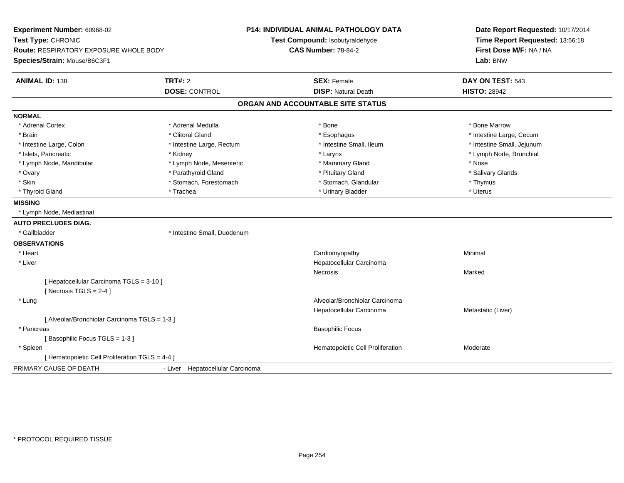| Experiment Number: 60968-02<br>Test Type: CHRONIC<br><b>Route: RESPIRATORY EXPOSURE WHOLE BODY</b><br>Species/Strain: Mouse/B6C3F1 |                                  | <b>P14: INDIVIDUAL ANIMAL PATHOLOGY DATA</b><br>Test Compound: Isobutyraldehyde<br><b>CAS Number: 78-84-2</b> | Date Report Requested: 10/17/2014<br>Time Report Requested: 13:56:18<br>First Dose M/F: NA / NA<br>Lab: BNW |  |
|------------------------------------------------------------------------------------------------------------------------------------|----------------------------------|---------------------------------------------------------------------------------------------------------------|-------------------------------------------------------------------------------------------------------------|--|
| <b>ANIMAL ID: 138</b>                                                                                                              | <b>TRT#: 2</b>                   | <b>SEX: Female</b>                                                                                            | DAY ON TEST: 543                                                                                            |  |
|                                                                                                                                    | <b>DOSE: CONTROL</b>             | <b>DISP: Natural Death</b>                                                                                    | <b>HISTO: 28942</b>                                                                                         |  |
|                                                                                                                                    |                                  | ORGAN AND ACCOUNTABLE SITE STATUS                                                                             |                                                                                                             |  |
| <b>NORMAL</b>                                                                                                                      |                                  |                                                                                                               |                                                                                                             |  |
| * Adrenal Cortex                                                                                                                   | * Adrenal Medulla                | * Bone                                                                                                        | * Bone Marrow                                                                                               |  |
| * Brain                                                                                                                            | * Clitoral Gland                 | * Esophagus                                                                                                   | * Intestine Large, Cecum                                                                                    |  |
| * Intestine Large, Colon                                                                                                           | * Intestine Large, Rectum        | * Intestine Small, Ileum                                                                                      | * Intestine Small, Jejunum                                                                                  |  |
| * Islets, Pancreatic                                                                                                               | * Kidney                         | * Larynx                                                                                                      | * Lymph Node, Bronchial                                                                                     |  |
| * Lymph Node, Mandibular                                                                                                           | * Lymph Node, Mesenteric         | * Mammary Gland                                                                                               | * Nose                                                                                                      |  |
| * Ovary                                                                                                                            | * Parathyroid Gland              | * Pituitary Gland                                                                                             | * Salivary Glands                                                                                           |  |
| * Skin                                                                                                                             | * Stomach, Forestomach           | * Stomach, Glandular                                                                                          | * Thymus                                                                                                    |  |
| * Thyroid Gland                                                                                                                    | * Trachea                        | * Urinary Bladder                                                                                             | * Uterus                                                                                                    |  |
| <b>MISSING</b>                                                                                                                     |                                  |                                                                                                               |                                                                                                             |  |
| * Lymph Node, Mediastinal                                                                                                          |                                  |                                                                                                               |                                                                                                             |  |
| <b>AUTO PRECLUDES DIAG.</b>                                                                                                        |                                  |                                                                                                               |                                                                                                             |  |
| * Gallbladder                                                                                                                      | * Intestine Small, Duodenum      |                                                                                                               |                                                                                                             |  |
| <b>OBSERVATIONS</b>                                                                                                                |                                  |                                                                                                               |                                                                                                             |  |
| * Heart                                                                                                                            |                                  | Cardiomyopathy                                                                                                | Minimal                                                                                                     |  |
| * Liver                                                                                                                            |                                  | Hepatocellular Carcinoma                                                                                      |                                                                                                             |  |
|                                                                                                                                    |                                  | Necrosis                                                                                                      | Marked                                                                                                      |  |
| [ Hepatocellular Carcinoma TGLS = 3-10 ]                                                                                           |                                  |                                                                                                               |                                                                                                             |  |
| [Necrosis TGLS = $2-4$ ]                                                                                                           |                                  |                                                                                                               |                                                                                                             |  |
| * Lung                                                                                                                             |                                  | Alveolar/Bronchiolar Carcinoma                                                                                |                                                                                                             |  |
|                                                                                                                                    |                                  | Hepatocellular Carcinoma                                                                                      | Metastatic (Liver)                                                                                          |  |
| [ Alveolar/Bronchiolar Carcinoma TGLS = 1-3 ]                                                                                      |                                  |                                                                                                               |                                                                                                             |  |
| * Pancreas                                                                                                                         |                                  | <b>Basophilic Focus</b>                                                                                       |                                                                                                             |  |
| [Basophilic Focus TGLS = 1-3]                                                                                                      |                                  |                                                                                                               |                                                                                                             |  |
| * Spleen                                                                                                                           |                                  | Hematopoietic Cell Proliferation                                                                              | Moderate                                                                                                    |  |
| [ Hematopoietic Cell Proliferation TGLS = 4-4 ]                                                                                    |                                  |                                                                                                               |                                                                                                             |  |
| PRIMARY CAUSE OF DEATH                                                                                                             | - Liver Hepatocellular Carcinoma |                                                                                                               |                                                                                                             |  |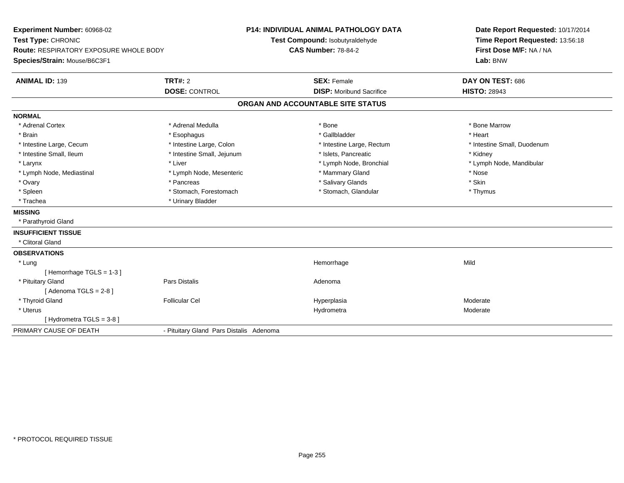| Experiment Number: 60968-02<br>Test Type: CHRONIC<br>Route: RESPIRATORY EXPOSURE WHOLE BODY<br>Species/Strain: Mouse/B6C3F1 | <b>P14: INDIVIDUAL ANIMAL PATHOLOGY DATA</b><br>Test Compound: Isobutyraldehyde<br><b>CAS Number: 78-84-2</b> |                                   | Date Report Requested: 10/17/2014<br>Time Report Requested: 13:56:18<br>First Dose M/F: NA / NA<br>Lab: BNW |
|-----------------------------------------------------------------------------------------------------------------------------|---------------------------------------------------------------------------------------------------------------|-----------------------------------|-------------------------------------------------------------------------------------------------------------|
| <b>ANIMAL ID: 139</b>                                                                                                       | <b>TRT#: 2</b>                                                                                                | <b>SEX: Female</b>                | DAY ON TEST: 686                                                                                            |
|                                                                                                                             | <b>DOSE: CONTROL</b>                                                                                          | <b>DISP:</b> Moribund Sacrifice   | <b>HISTO: 28943</b>                                                                                         |
|                                                                                                                             |                                                                                                               | ORGAN AND ACCOUNTABLE SITE STATUS |                                                                                                             |
| <b>NORMAL</b>                                                                                                               |                                                                                                               |                                   |                                                                                                             |
| * Adrenal Cortex                                                                                                            | * Adrenal Medulla                                                                                             | * Bone                            | * Bone Marrow                                                                                               |
| * Brain                                                                                                                     | * Esophagus                                                                                                   | * Gallbladder                     | * Heart                                                                                                     |
| * Intestine Large, Cecum                                                                                                    | * Intestine Large, Colon                                                                                      | * Intestine Large, Rectum         | * Intestine Small, Duodenum                                                                                 |
| * Intestine Small, Ileum                                                                                                    | * Intestine Small, Jejunum                                                                                    | * Islets, Pancreatic              | * Kidney                                                                                                    |
| * Larynx                                                                                                                    | * Liver                                                                                                       | * Lymph Node, Bronchial           | * Lymph Node, Mandibular                                                                                    |
| * Lymph Node, Mediastinal                                                                                                   | * Lymph Node, Mesenteric                                                                                      | * Mammary Gland                   | * Nose                                                                                                      |
| * Ovary                                                                                                                     | * Pancreas                                                                                                    | * Salivary Glands                 | * Skin                                                                                                      |
| * Spleen                                                                                                                    | * Stomach, Forestomach                                                                                        | * Stomach, Glandular              | * Thymus                                                                                                    |
| * Trachea                                                                                                                   | * Urinary Bladder                                                                                             |                                   |                                                                                                             |
| <b>MISSING</b>                                                                                                              |                                                                                                               |                                   |                                                                                                             |
| * Parathyroid Gland                                                                                                         |                                                                                                               |                                   |                                                                                                             |
| <b>INSUFFICIENT TISSUE</b>                                                                                                  |                                                                                                               |                                   |                                                                                                             |
| * Clitoral Gland                                                                                                            |                                                                                                               |                                   |                                                                                                             |
| <b>OBSERVATIONS</b>                                                                                                         |                                                                                                               |                                   |                                                                                                             |
| * Lung                                                                                                                      |                                                                                                               | Hemorrhage                        | Mild                                                                                                        |
| [Hemorrhage TGLS = 1-3]                                                                                                     |                                                                                                               |                                   |                                                                                                             |
| * Pituitary Gland                                                                                                           | <b>Pars Distalis</b>                                                                                          | Adenoma                           |                                                                                                             |
| [Adenoma TGLS = $2-8$ ]                                                                                                     |                                                                                                               |                                   |                                                                                                             |
| * Thyroid Gland                                                                                                             | <b>Follicular Cel</b>                                                                                         | Hyperplasia                       | Moderate                                                                                                    |
| * Uterus                                                                                                                    |                                                                                                               | Hydrometra                        | Moderate                                                                                                    |
| [Hydrometra TGLS = 3-8]                                                                                                     |                                                                                                               |                                   |                                                                                                             |
| PRIMARY CAUSE OF DEATH                                                                                                      | - Pituitary Gland Pars Distalis Adenoma                                                                       |                                   |                                                                                                             |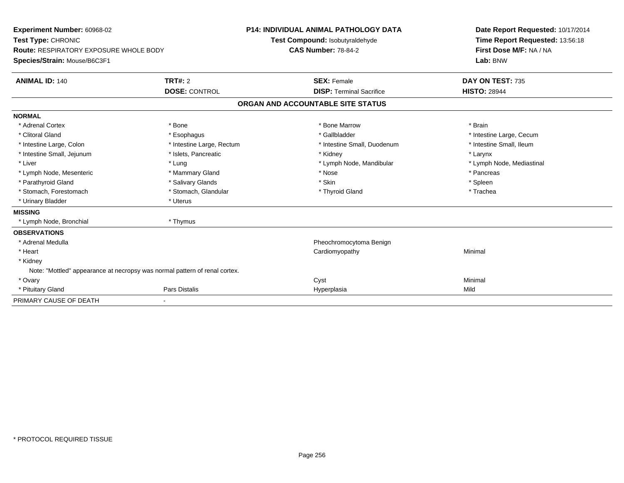| Experiment Number: 60968-02<br>Test Type: CHRONIC<br><b>Route: RESPIRATORY EXPOSURE WHOLE BODY</b><br>Species/Strain: Mouse/B6C3F1 |                           | <b>P14: INDIVIDUAL ANIMAL PATHOLOGY DATA</b><br>Test Compound: Isobutyraldehyde<br><b>CAS Number: 78-84-2</b> | Date Report Requested: 10/17/2014<br>Time Report Requested: 13:56:18<br>First Dose M/F: NA / NA<br>Lab: BNW |
|------------------------------------------------------------------------------------------------------------------------------------|---------------------------|---------------------------------------------------------------------------------------------------------------|-------------------------------------------------------------------------------------------------------------|
| <b>ANIMAL ID: 140</b>                                                                                                              | <b>TRT#: 2</b>            | <b>SEX: Female</b>                                                                                            | DAY ON TEST: 735                                                                                            |
|                                                                                                                                    | <b>DOSE: CONTROL</b>      | <b>DISP: Terminal Sacrifice</b>                                                                               | <b>HISTO: 28944</b>                                                                                         |
|                                                                                                                                    |                           | ORGAN AND ACCOUNTABLE SITE STATUS                                                                             |                                                                                                             |
| <b>NORMAL</b>                                                                                                                      |                           |                                                                                                               |                                                                                                             |
| * Adrenal Cortex                                                                                                                   | * Bone                    | * Bone Marrow                                                                                                 | * Brain                                                                                                     |
| * Clitoral Gland                                                                                                                   | * Esophagus               | * Gallbladder                                                                                                 | * Intestine Large, Cecum                                                                                    |
| * Intestine Large, Colon                                                                                                           | * Intestine Large, Rectum | * Intestine Small, Duodenum                                                                                   | * Intestine Small, Ileum                                                                                    |
| * Intestine Small, Jejunum                                                                                                         | * Islets, Pancreatic      | * Kidney                                                                                                      | * Larynx                                                                                                    |
| * Liver                                                                                                                            | * Lung                    | * Lymph Node, Mandibular                                                                                      | * Lymph Node, Mediastinal                                                                                   |
| * Lymph Node, Mesenteric                                                                                                           | * Mammary Gland           | * Nose                                                                                                        | * Pancreas                                                                                                  |
| * Parathyroid Gland                                                                                                                | * Salivary Glands         | * Skin                                                                                                        | * Spleen                                                                                                    |
| * Stomach, Forestomach                                                                                                             | * Stomach, Glandular      | * Thyroid Gland                                                                                               | * Trachea                                                                                                   |
| * Urinary Bladder                                                                                                                  | * Uterus                  |                                                                                                               |                                                                                                             |
| <b>MISSING</b>                                                                                                                     |                           |                                                                                                               |                                                                                                             |
| * Lymph Node, Bronchial                                                                                                            | * Thymus                  |                                                                                                               |                                                                                                             |
| <b>OBSERVATIONS</b>                                                                                                                |                           |                                                                                                               |                                                                                                             |
| * Adrenal Medulla                                                                                                                  |                           | Pheochromocytoma Benign                                                                                       |                                                                                                             |
| * Heart                                                                                                                            |                           | Cardiomyopathy                                                                                                | Minimal                                                                                                     |
| * Kidney                                                                                                                           |                           |                                                                                                               |                                                                                                             |
| Note: "Mottled" appearance at necropsy was normal pattern of renal cortex.                                                         |                           |                                                                                                               |                                                                                                             |
| * Ovary                                                                                                                            |                           | Cyst                                                                                                          | Minimal                                                                                                     |
| * Pituitary Gland                                                                                                                  | Pars Distalis             | Hyperplasia                                                                                                   | Mild                                                                                                        |
| PRIMARY CAUSE OF DEATH                                                                                                             |                           |                                                                                                               |                                                                                                             |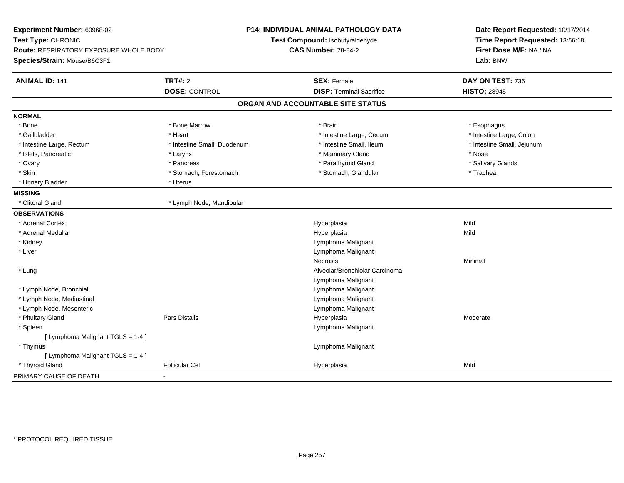| Experiment Number: 60968-02<br>Test Type: CHRONIC<br>Route: RESPIRATORY EXPOSURE WHOLE BODY<br>Species/Strain: Mouse/B6C3F1 |                             | P14: INDIVIDUAL ANIMAL PATHOLOGY DATA<br>Test Compound: Isobutyraldehyde<br><b>CAS Number: 78-84-2</b> | Date Report Requested: 10/17/2014<br>Time Report Requested: 13:56:18<br>First Dose M/F: NA / NA<br>Lab: BNW |  |
|-----------------------------------------------------------------------------------------------------------------------------|-----------------------------|--------------------------------------------------------------------------------------------------------|-------------------------------------------------------------------------------------------------------------|--|
| <b>ANIMAL ID: 141</b>                                                                                                       | <b>TRT#: 2</b>              | <b>SEX: Female</b>                                                                                     | DAY ON TEST: 736                                                                                            |  |
|                                                                                                                             | <b>DOSE: CONTROL</b>        | <b>DISP: Terminal Sacrifice</b>                                                                        | <b>HISTO: 28945</b>                                                                                         |  |
|                                                                                                                             |                             | ORGAN AND ACCOUNTABLE SITE STATUS                                                                      |                                                                                                             |  |
| <b>NORMAL</b>                                                                                                               |                             |                                                                                                        |                                                                                                             |  |
| * Bone                                                                                                                      | * Bone Marrow               | * Brain                                                                                                | * Esophagus                                                                                                 |  |
| * Gallbladder                                                                                                               | * Heart                     | * Intestine Large, Cecum                                                                               | * Intestine Large, Colon                                                                                    |  |
| * Intestine Large, Rectum                                                                                                   | * Intestine Small, Duodenum | * Intestine Small, Ileum                                                                               | * Intestine Small, Jejunum                                                                                  |  |
| * Islets, Pancreatic                                                                                                        | * Larynx                    | * Mammary Gland                                                                                        | * Nose                                                                                                      |  |
| * Ovary                                                                                                                     | * Pancreas                  | * Parathyroid Gland                                                                                    | * Salivary Glands                                                                                           |  |
| * Skin                                                                                                                      | * Stomach, Forestomach      | * Stomach, Glandular                                                                                   | * Trachea                                                                                                   |  |
| * Urinary Bladder                                                                                                           | * Uterus                    |                                                                                                        |                                                                                                             |  |
| <b>MISSING</b>                                                                                                              |                             |                                                                                                        |                                                                                                             |  |
| * Clitoral Gland                                                                                                            | * Lymph Node, Mandibular    |                                                                                                        |                                                                                                             |  |
| <b>OBSERVATIONS</b>                                                                                                         |                             |                                                                                                        |                                                                                                             |  |
| * Adrenal Cortex                                                                                                            |                             | Hyperplasia                                                                                            | Mild                                                                                                        |  |
| * Adrenal Medulla                                                                                                           |                             | Hyperplasia                                                                                            | Mild                                                                                                        |  |
| * Kidney                                                                                                                    |                             | Lymphoma Malignant                                                                                     |                                                                                                             |  |
| * Liver                                                                                                                     |                             | Lymphoma Malignant                                                                                     |                                                                                                             |  |
|                                                                                                                             |                             | <b>Necrosis</b>                                                                                        | Minimal                                                                                                     |  |
| * Lung                                                                                                                      |                             | Alveolar/Bronchiolar Carcinoma                                                                         |                                                                                                             |  |
|                                                                                                                             |                             | Lymphoma Malignant                                                                                     |                                                                                                             |  |
| * Lymph Node, Bronchial                                                                                                     |                             | Lymphoma Malignant                                                                                     |                                                                                                             |  |
| * Lymph Node, Mediastinal                                                                                                   |                             | Lymphoma Malignant                                                                                     |                                                                                                             |  |
| * Lymph Node, Mesenteric                                                                                                    |                             | Lymphoma Malignant                                                                                     |                                                                                                             |  |
| * Pituitary Gland                                                                                                           | Pars Distalis               | Hyperplasia                                                                                            | Moderate                                                                                                    |  |
| * Spleen                                                                                                                    |                             | Lymphoma Malignant                                                                                     |                                                                                                             |  |
| [ Lymphoma Malignant TGLS = 1-4 ]                                                                                           |                             |                                                                                                        |                                                                                                             |  |
| * Thymus                                                                                                                    |                             | Lymphoma Malignant                                                                                     |                                                                                                             |  |
| [ Lymphoma Malignant TGLS = 1-4 ]                                                                                           |                             |                                                                                                        |                                                                                                             |  |
| * Thyroid Gland                                                                                                             | <b>Follicular Cel</b>       | Hyperplasia                                                                                            | Mild                                                                                                        |  |
| PRIMARY CAUSE OF DEATH                                                                                                      |                             |                                                                                                        |                                                                                                             |  |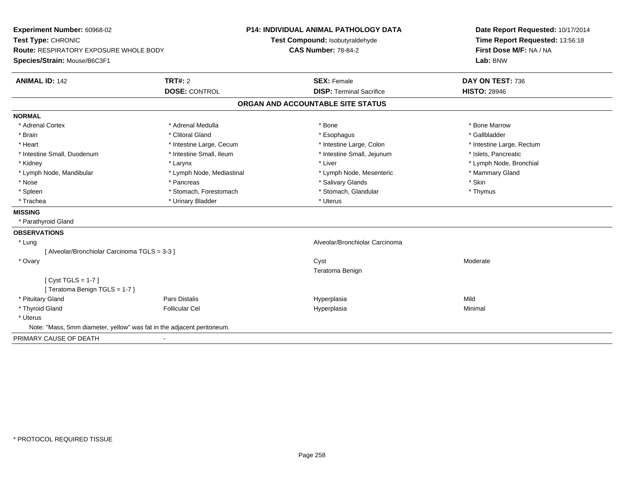| Experiment Number: 60968-02<br>Test Type: CHRONIC<br>Route: RESPIRATORY EXPOSURE WHOLE BODY | <b>P14: INDIVIDUAL ANIMAL PATHOLOGY DATA</b><br>Test Compound: Isobutyraldehyde<br><b>CAS Number: 78-84-2</b> |                                   | Date Report Requested: 10/17/2014<br>Time Report Requested: 13:56:18<br>First Dose M/F: NA / NA |
|---------------------------------------------------------------------------------------------|---------------------------------------------------------------------------------------------------------------|-----------------------------------|-------------------------------------------------------------------------------------------------|
| Species/Strain: Mouse/B6C3F1                                                                |                                                                                                               |                                   | Lab: BNW                                                                                        |
| <b>ANIMAL ID: 142</b>                                                                       | <b>TRT#: 2</b>                                                                                                | <b>SEX: Female</b>                | DAY ON TEST: 736                                                                                |
|                                                                                             | <b>DOSE: CONTROL</b>                                                                                          | <b>DISP: Terminal Sacrifice</b>   | <b>HISTO: 28946</b>                                                                             |
|                                                                                             |                                                                                                               | ORGAN AND ACCOUNTABLE SITE STATUS |                                                                                                 |
| <b>NORMAL</b>                                                                               |                                                                                                               |                                   |                                                                                                 |
| * Adrenal Cortex                                                                            | * Adrenal Medulla                                                                                             | * Bone                            | * Bone Marrow                                                                                   |
| * Brain                                                                                     | * Clitoral Gland                                                                                              | * Esophagus                       | * Gallbladder                                                                                   |
| * Heart                                                                                     | * Intestine Large, Cecum                                                                                      | * Intestine Large, Colon          | * Intestine Large, Rectum                                                                       |
| * Intestine Small, Duodenum                                                                 | * Intestine Small, Ileum                                                                                      | * Intestine Small, Jejunum        | * Islets, Pancreatic                                                                            |
| * Kidney                                                                                    | * Larynx                                                                                                      | * Liver                           | * Lymph Node, Bronchial                                                                         |
| * Lymph Node, Mandibular                                                                    | * Lymph Node, Mediastinal                                                                                     | * Lymph Node, Mesenteric          | * Mammary Gland                                                                                 |
| * Nose                                                                                      | * Pancreas                                                                                                    | * Salivary Glands                 | * Skin                                                                                          |
| * Spleen                                                                                    | * Stomach, Forestomach                                                                                        | * Stomach, Glandular              | * Thymus                                                                                        |
| * Trachea                                                                                   | * Urinary Bladder                                                                                             | * Uterus                          |                                                                                                 |
| <b>MISSING</b>                                                                              |                                                                                                               |                                   |                                                                                                 |
| * Parathyroid Gland                                                                         |                                                                                                               |                                   |                                                                                                 |
| <b>OBSERVATIONS</b>                                                                         |                                                                                                               |                                   |                                                                                                 |
| * Lung                                                                                      |                                                                                                               | Alveolar/Bronchiolar Carcinoma    |                                                                                                 |
| [ Alveolar/Bronchiolar Carcinoma TGLS = 3-3 ]                                               |                                                                                                               |                                   |                                                                                                 |
| * Ovary                                                                                     |                                                                                                               | Cyst                              | Moderate                                                                                        |
|                                                                                             |                                                                                                               | Teratoma Benign                   |                                                                                                 |
| [Cyst TGLS = $1-7$ ]                                                                        |                                                                                                               |                                   |                                                                                                 |
| [Teratoma Benign TGLS = 1-7]                                                                |                                                                                                               |                                   |                                                                                                 |
| * Pituitary Gland                                                                           | <b>Pars Distalis</b>                                                                                          | Hyperplasia                       | Mild                                                                                            |
| * Thyroid Gland                                                                             | <b>Follicular Cel</b>                                                                                         | Hyperplasia                       | Minimal                                                                                         |
| * Uterus                                                                                    |                                                                                                               |                                   |                                                                                                 |
| Note: "Mass, 5mm diameter, yellow" was fat in the adjacent peritoneum.                      |                                                                                                               |                                   |                                                                                                 |
| PRIMARY CAUSE OF DEATH                                                                      |                                                                                                               |                                   |                                                                                                 |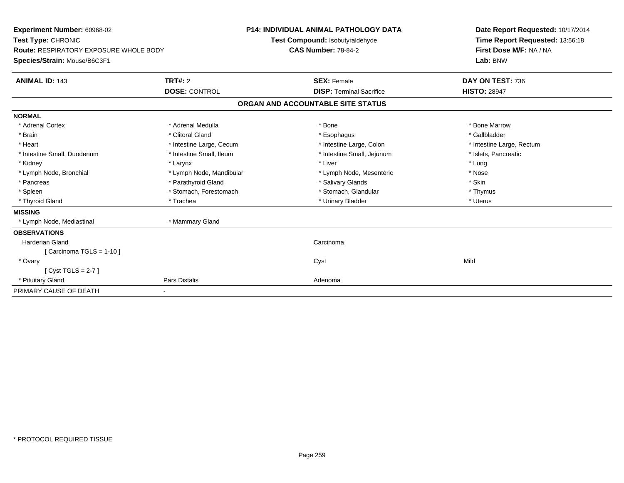| <b>Experiment Number: 60968-02</b><br>Test Type: CHRONIC<br><b>Route: RESPIRATORY EXPOSURE WHOLE BODY</b><br>Species/Strain: Mouse/B6C3F1<br><b>ANIMAL ID: 143</b> | TRT#: 2<br><b>DOSE: CONTROL</b> | <b>P14: INDIVIDUAL ANIMAL PATHOLOGY DATA</b><br>Test Compound: Isobutyraldehyde<br><b>CAS Number: 78-84-2</b><br><b>SEX: Female</b><br><b>DISP: Terminal Sacrifice</b> | Date Report Requested: 10/17/2014<br>Time Report Requested: 13:56:18<br>First Dose M/F: NA / NA<br>Lab: BNW<br>DAY ON TEST: 736<br><b>HISTO: 28947</b> |
|--------------------------------------------------------------------------------------------------------------------------------------------------------------------|---------------------------------|------------------------------------------------------------------------------------------------------------------------------------------------------------------------|--------------------------------------------------------------------------------------------------------------------------------------------------------|
|                                                                                                                                                                    |                                 | ORGAN AND ACCOUNTABLE SITE STATUS                                                                                                                                      |                                                                                                                                                        |
| <b>NORMAL</b>                                                                                                                                                      |                                 |                                                                                                                                                                        |                                                                                                                                                        |
| * Adrenal Cortex                                                                                                                                                   | * Adrenal Medulla               | * Bone                                                                                                                                                                 | * Bone Marrow                                                                                                                                          |
| * Brain                                                                                                                                                            | * Clitoral Gland                | * Esophagus                                                                                                                                                            | * Gallbladder                                                                                                                                          |
| * Heart                                                                                                                                                            | * Intestine Large, Cecum        | * Intestine Large, Colon                                                                                                                                               | * Intestine Large, Rectum                                                                                                                              |
| * Intestine Small, Duodenum                                                                                                                                        | * Intestine Small, Ileum        | * Intestine Small, Jejunum                                                                                                                                             | * Islets, Pancreatic                                                                                                                                   |
| * Kidney                                                                                                                                                           | * Larynx                        | * Liver                                                                                                                                                                | * Lung                                                                                                                                                 |
| * Lymph Node, Bronchial                                                                                                                                            | * Lymph Node, Mandibular        | * Lymph Node, Mesenteric                                                                                                                                               | * Nose                                                                                                                                                 |
| * Pancreas                                                                                                                                                         | * Parathyroid Gland             | * Salivary Glands                                                                                                                                                      | * Skin                                                                                                                                                 |
| * Spleen                                                                                                                                                           | * Stomach, Forestomach          | * Stomach, Glandular                                                                                                                                                   | * Thymus                                                                                                                                               |
| * Thyroid Gland                                                                                                                                                    | * Trachea                       | * Urinary Bladder                                                                                                                                                      | * Uterus                                                                                                                                               |
| <b>MISSING</b>                                                                                                                                                     |                                 |                                                                                                                                                                        |                                                                                                                                                        |
| * Lymph Node, Mediastinal                                                                                                                                          | * Mammary Gland                 |                                                                                                                                                                        |                                                                                                                                                        |
| <b>OBSERVATIONS</b>                                                                                                                                                |                                 |                                                                                                                                                                        |                                                                                                                                                        |
| <b>Harderian Gland</b>                                                                                                                                             |                                 | Carcinoma                                                                                                                                                              |                                                                                                                                                        |
| [Carcinoma TGLS = $1-10$ ]                                                                                                                                         |                                 |                                                                                                                                                                        |                                                                                                                                                        |
| * Ovary                                                                                                                                                            |                                 | Cyst                                                                                                                                                                   | Mild                                                                                                                                                   |
| [Cyst TGLS = $2-7$ ]                                                                                                                                               |                                 |                                                                                                                                                                        |                                                                                                                                                        |
| * Pituitary Gland                                                                                                                                                  | Pars Distalis                   | Adenoma                                                                                                                                                                |                                                                                                                                                        |
| PRIMARY CAUSE OF DEATH                                                                                                                                             | ٠                               |                                                                                                                                                                        |                                                                                                                                                        |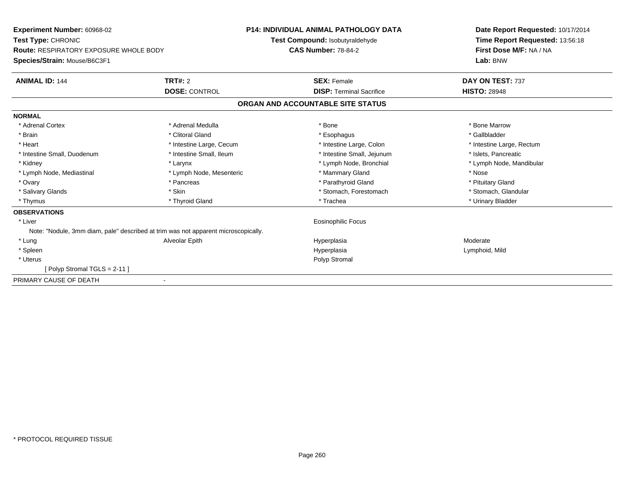| Experiment Number: 60968-02<br>Test Type: CHRONIC<br>Route: RESPIRATORY EXPOSURE WHOLE BODY<br>Species/Strain: Mouse/B6C3F1 |                          | <b>P14: INDIVIDUAL ANIMAL PATHOLOGY DATA</b><br>Test Compound: Isobutyraldehyde<br><b>CAS Number: 78-84-2</b> | Date Report Requested: 10/17/2014<br>Time Report Requested: 13:56:18<br>First Dose M/F: NA / NA<br>Lab: BNW |  |
|-----------------------------------------------------------------------------------------------------------------------------|--------------------------|---------------------------------------------------------------------------------------------------------------|-------------------------------------------------------------------------------------------------------------|--|
| <b>ANIMAL ID: 144</b>                                                                                                       | TRT#: 2                  | <b>SEX: Female</b>                                                                                            | DAY ON TEST: 737                                                                                            |  |
|                                                                                                                             | <b>DOSE: CONTROL</b>     | <b>DISP: Terminal Sacrifice</b>                                                                               | <b>HISTO: 28948</b>                                                                                         |  |
|                                                                                                                             |                          | ORGAN AND ACCOUNTABLE SITE STATUS                                                                             |                                                                                                             |  |
| <b>NORMAL</b>                                                                                                               |                          |                                                                                                               |                                                                                                             |  |
| * Adrenal Cortex                                                                                                            | * Adrenal Medulla        | * Bone                                                                                                        | * Bone Marrow                                                                                               |  |
| * Brain                                                                                                                     | * Clitoral Gland         | * Esophagus                                                                                                   | * Gallbladder                                                                                               |  |
| * Heart                                                                                                                     | * Intestine Large, Cecum | * Intestine Large, Colon                                                                                      | * Intestine Large, Rectum                                                                                   |  |
| * Intestine Small, Duodenum                                                                                                 | * Intestine Small, Ileum | * Intestine Small, Jejunum                                                                                    | * Islets, Pancreatic                                                                                        |  |
| * Kidney                                                                                                                    | * Larynx                 | * Lymph Node, Bronchial                                                                                       | * Lymph Node, Mandibular                                                                                    |  |
| * Lymph Node, Mediastinal                                                                                                   | * Lymph Node, Mesenteric | * Mammary Gland                                                                                               | * Nose                                                                                                      |  |
| * Ovary                                                                                                                     | * Pancreas               | * Parathyroid Gland                                                                                           | * Pituitary Gland                                                                                           |  |
| * Salivary Glands                                                                                                           | * Skin                   | * Stomach, Forestomach                                                                                        | * Stomach, Glandular                                                                                        |  |
| * Thymus                                                                                                                    | * Thyroid Gland          | * Trachea                                                                                                     | * Urinary Bladder                                                                                           |  |
| <b>OBSERVATIONS</b>                                                                                                         |                          |                                                                                                               |                                                                                                             |  |
| * Liver                                                                                                                     |                          | <b>Eosinophilic Focus</b>                                                                                     |                                                                                                             |  |
| Note: "Nodule, 3mm diam, pale" described at trim was not apparent microscopically.                                          |                          |                                                                                                               |                                                                                                             |  |
| * Lung                                                                                                                      | Alveolar Epith           | Hyperplasia                                                                                                   | Moderate                                                                                                    |  |
| * Spleen                                                                                                                    |                          | Hyperplasia                                                                                                   | Lymphoid, Mild                                                                                              |  |
| * Uterus                                                                                                                    |                          | Polyp Stromal                                                                                                 |                                                                                                             |  |
| Polyp Stromal TGLS = 2-11 ]                                                                                                 |                          |                                                                                                               |                                                                                                             |  |
| PRIMARY CAUSE OF DEATH                                                                                                      |                          |                                                                                                               |                                                                                                             |  |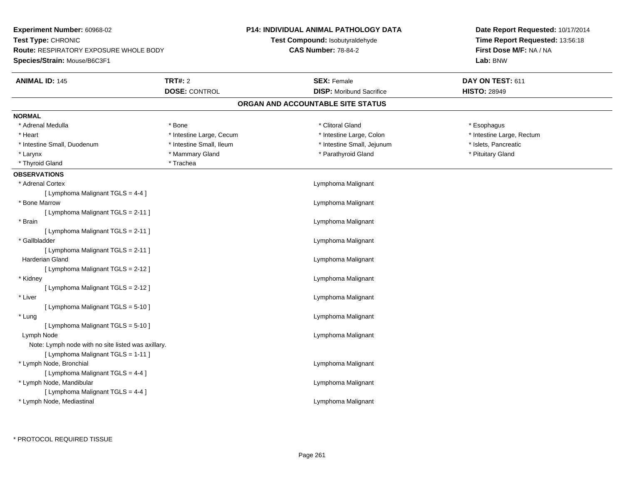| Experiment Number: 60968-02                        |                          | <b>P14: INDIVIDUAL ANIMAL PATHOLOGY DATA</b> | Date Report Requested: 10/17/2014 |  |  |
|----------------------------------------------------|--------------------------|----------------------------------------------|-----------------------------------|--|--|
| Test Type: CHRONIC                                 |                          | Test Compound: Isobutyraldehyde              | Time Report Requested: 13:56:18   |  |  |
| <b>Route: RESPIRATORY EXPOSURE WHOLE BODY</b>      |                          | <b>CAS Number: 78-84-2</b>                   | First Dose M/F: NA / NA           |  |  |
| Species/Strain: Mouse/B6C3F1                       |                          |                                              | Lab: BNW                          |  |  |
| <b>ANIMAL ID: 145</b>                              | <b>TRT#: 2</b>           | <b>SEX: Female</b>                           | DAY ON TEST: 611                  |  |  |
|                                                    | <b>DOSE: CONTROL</b>     | <b>DISP:</b> Moribund Sacrifice              | <b>HISTO: 28949</b>               |  |  |
|                                                    |                          | ORGAN AND ACCOUNTABLE SITE STATUS            |                                   |  |  |
| <b>NORMAL</b>                                      |                          |                                              |                                   |  |  |
| * Adrenal Medulla                                  | * Bone                   | * Clitoral Gland                             | * Esophagus                       |  |  |
| * Heart                                            | * Intestine Large, Cecum | * Intestine Large, Colon                     | * Intestine Large, Rectum         |  |  |
| * Intestine Small, Duodenum                        | * Intestine Small, Ileum | * Intestine Small, Jejunum                   | * Islets, Pancreatic              |  |  |
| * Larynx                                           | * Mammary Gland          | * Parathyroid Gland                          | * Pituitary Gland                 |  |  |
| * Thyroid Gland                                    | * Trachea                |                                              |                                   |  |  |
| <b>OBSERVATIONS</b>                                |                          |                                              |                                   |  |  |
| * Adrenal Cortex                                   |                          | Lymphoma Malignant                           |                                   |  |  |
| [ Lymphoma Malignant TGLS = 4-4 ]                  |                          |                                              |                                   |  |  |
| * Bone Marrow                                      |                          | Lymphoma Malignant                           |                                   |  |  |
| [ Lymphoma Malignant TGLS = 2-11 ]                 |                          |                                              |                                   |  |  |
| * Brain                                            |                          | Lymphoma Malignant                           |                                   |  |  |
| [ Lymphoma Malignant TGLS = 2-11 ]                 |                          |                                              |                                   |  |  |
| * Gallbladder                                      |                          | Lymphoma Malignant                           |                                   |  |  |
| [ Lymphoma Malignant TGLS = 2-11 ]                 |                          |                                              |                                   |  |  |
| Harderian Gland                                    |                          | Lymphoma Malignant                           |                                   |  |  |
| [ Lymphoma Malignant TGLS = 2-12 ]                 |                          |                                              |                                   |  |  |
| * Kidney                                           |                          | Lymphoma Malignant                           |                                   |  |  |
| [ Lymphoma Malignant TGLS = 2-12 ]                 |                          |                                              |                                   |  |  |
| * Liver                                            |                          | Lymphoma Malignant                           |                                   |  |  |
| [ Lymphoma Malignant TGLS = 5-10 ]                 |                          |                                              |                                   |  |  |
| * Lung                                             |                          | Lymphoma Malignant                           |                                   |  |  |
| [ Lymphoma Malignant TGLS = 5-10 ]                 |                          |                                              |                                   |  |  |
| Lymph Node                                         |                          | Lymphoma Malignant                           |                                   |  |  |
| Note: Lymph node with no site listed was axillary. |                          |                                              |                                   |  |  |
| [ Lymphoma Malignant TGLS = 1-11 ]                 |                          |                                              |                                   |  |  |
| * Lymph Node, Bronchial                            |                          | Lymphoma Malignant                           |                                   |  |  |
| [ Lymphoma Malignant TGLS = 4-4 ]                  |                          |                                              |                                   |  |  |
| * Lymph Node, Mandibular                           |                          | Lymphoma Malignant                           |                                   |  |  |
| [ Lymphoma Malignant TGLS = 4-4 ]                  |                          |                                              |                                   |  |  |
| * Lymph Node, Mediastinal                          |                          | Lymphoma Malignant                           |                                   |  |  |
|                                                    |                          |                                              |                                   |  |  |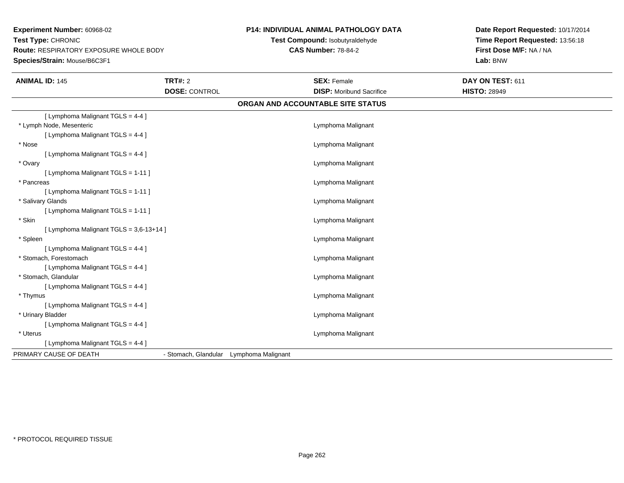**Experiment Number:** 60968-02**Test Type:** CHRONIC **Route:** RESPIRATORY EXPOSURE WHOLE BODY**Species/Strain:** Mouse/B6C3F1

## **P14: INDIVIDUAL ANIMAL PATHOLOGY DATA**

**Test Compound:** Isobutyraldehyde**CAS Number:** 78-84-2

**Date Report Requested:** 10/17/2014**Time Report Requested:** 13:56:18**First Dose M/F:** NA / NA**Lab:** BNW

| <b>ANIMAL ID: 145</b>                   | <b>TRT#: 2</b><br><b>DOSE: CONTROL</b>  | <b>SEX: Female</b><br><b>DISP:</b> Moribund Sacrifice | DAY ON TEST: 611<br><b>HISTO: 28949</b> |  |
|-----------------------------------------|-----------------------------------------|-------------------------------------------------------|-----------------------------------------|--|
|                                         |                                         | ORGAN AND ACCOUNTABLE SITE STATUS                     |                                         |  |
| [ Lymphoma Malignant TGLS = 4-4 ]       |                                         |                                                       |                                         |  |
| * Lymph Node, Mesenteric                |                                         | Lymphoma Malignant                                    |                                         |  |
| [ Lymphoma Malignant TGLS = 4-4 ]       |                                         |                                                       |                                         |  |
| * Nose                                  |                                         | Lymphoma Malignant                                    |                                         |  |
| [ Lymphoma Malignant TGLS = 4-4 ]       |                                         |                                                       |                                         |  |
| * Ovary                                 |                                         | Lymphoma Malignant                                    |                                         |  |
| [ Lymphoma Malignant TGLS = 1-11 ]      |                                         |                                                       |                                         |  |
| * Pancreas                              |                                         | Lymphoma Malignant                                    |                                         |  |
| [ Lymphoma Malignant TGLS = 1-11 ]      |                                         |                                                       |                                         |  |
| * Salivary Glands                       |                                         | Lymphoma Malignant                                    |                                         |  |
| [ Lymphoma Malignant TGLS = 1-11 ]      |                                         |                                                       |                                         |  |
| * Skin                                  |                                         | Lymphoma Malignant                                    |                                         |  |
| [ Lymphoma Malignant TGLS = 3,6-13+14 ] |                                         |                                                       |                                         |  |
| * Spleen                                |                                         | Lymphoma Malignant                                    |                                         |  |
| [ Lymphoma Malignant TGLS = 4-4 ]       |                                         |                                                       |                                         |  |
| * Stomach, Forestomach                  |                                         | Lymphoma Malignant                                    |                                         |  |
| [ Lymphoma Malignant TGLS = 4-4 ]       |                                         |                                                       |                                         |  |
| * Stomach, Glandular                    |                                         | Lymphoma Malignant                                    |                                         |  |
| [ Lymphoma Malignant TGLS = 4-4 ]       |                                         |                                                       |                                         |  |
| * Thymus                                |                                         | Lymphoma Malignant                                    |                                         |  |
| [ Lymphoma Malignant TGLS = 4-4 ]       |                                         |                                                       |                                         |  |
| * Urinary Bladder                       |                                         | Lymphoma Malignant                                    |                                         |  |
| [ Lymphoma Malignant TGLS = 4-4 ]       |                                         |                                                       |                                         |  |
| * Uterus                                |                                         | Lymphoma Malignant                                    |                                         |  |
| [ Lymphoma Malignant TGLS = 4-4 ]       |                                         |                                                       |                                         |  |
| PRIMARY CAUSE OF DEATH                  | - Stomach, Glandular Lymphoma Malignant |                                                       |                                         |  |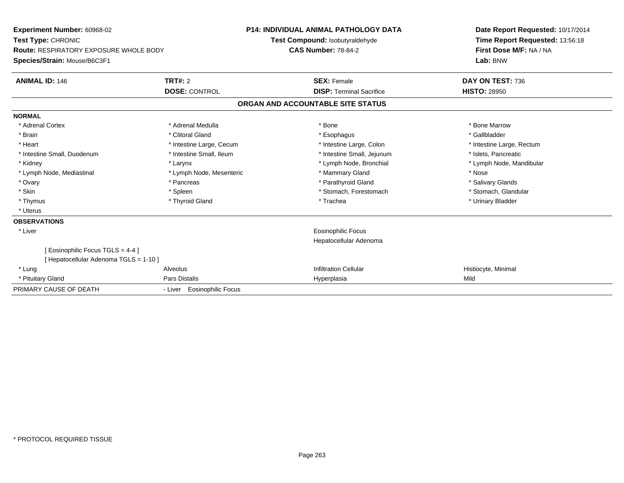| Experiment Number: 60968-02<br>Test Type: CHRONIC<br>Route: RESPIRATORY EXPOSURE WHOLE BODY<br>Species/Strain: Mouse/B6C3F1 |                                        | <b>P14: INDIVIDUAL ANIMAL PATHOLOGY DATA</b><br>Test Compound: Isobutyraldehyde<br><b>CAS Number: 78-84-2</b> |                                                       | Date Report Requested: 10/17/2014<br>Time Report Requested: 13:56:18<br>First Dose M/F: NA / NA<br>Lab: BNW |  |
|-----------------------------------------------------------------------------------------------------------------------------|----------------------------------------|---------------------------------------------------------------------------------------------------------------|-------------------------------------------------------|-------------------------------------------------------------------------------------------------------------|--|
| <b>ANIMAL ID: 146</b>                                                                                                       | <b>TRT#: 2</b><br><b>DOSE: CONTROL</b> |                                                                                                               | <b>SEX: Female</b><br><b>DISP: Terminal Sacrifice</b> | DAY ON TEST: 736<br><b>HISTO: 28950</b>                                                                     |  |
|                                                                                                                             |                                        |                                                                                                               | ORGAN AND ACCOUNTABLE SITE STATUS                     |                                                                                                             |  |
| <b>NORMAL</b>                                                                                                               |                                        |                                                                                                               |                                                       |                                                                                                             |  |
| * Adrenal Cortex                                                                                                            | * Adrenal Medulla                      |                                                                                                               | * Bone                                                | * Bone Marrow                                                                                               |  |
| * Brain                                                                                                                     | * Clitoral Gland                       |                                                                                                               | * Esophagus                                           | * Gallbladder                                                                                               |  |
| * Heart                                                                                                                     | * Intestine Large, Cecum               |                                                                                                               | * Intestine Large, Colon                              | * Intestine Large, Rectum                                                                                   |  |
| * Intestine Small, Duodenum                                                                                                 | * Intestine Small, Ileum               |                                                                                                               | * Intestine Small, Jejunum                            | * Islets, Pancreatic                                                                                        |  |
| * Kidney                                                                                                                    | * Larynx                               |                                                                                                               | * Lymph Node, Bronchial                               | * Lymph Node, Mandibular                                                                                    |  |
| * Lymph Node, Mediastinal                                                                                                   | * Lymph Node, Mesenteric               |                                                                                                               | * Mammary Gland                                       | * Nose                                                                                                      |  |
| * Ovary                                                                                                                     | * Pancreas                             |                                                                                                               | * Parathyroid Gland                                   | * Salivary Glands                                                                                           |  |
| * Skin                                                                                                                      | * Spleen                               |                                                                                                               | * Stomach, Forestomach                                | * Stomach, Glandular                                                                                        |  |
| * Thymus                                                                                                                    | * Thyroid Gland                        |                                                                                                               | * Trachea                                             | * Urinary Bladder                                                                                           |  |
| * Uterus                                                                                                                    |                                        |                                                                                                               |                                                       |                                                                                                             |  |
| <b>OBSERVATIONS</b>                                                                                                         |                                        |                                                                                                               |                                                       |                                                                                                             |  |
| * Liver                                                                                                                     |                                        |                                                                                                               | <b>Eosinophilic Focus</b>                             |                                                                                                             |  |
|                                                                                                                             |                                        |                                                                                                               | Hepatocellular Adenoma                                |                                                                                                             |  |
| [Eosinophilic Focus TGLS = 4-4 ]                                                                                            |                                        |                                                                                                               |                                                       |                                                                                                             |  |
| [Hepatocellular Adenoma TGLS = 1-10]                                                                                        |                                        |                                                                                                               |                                                       |                                                                                                             |  |
| * Lung                                                                                                                      | Alveolus                               |                                                                                                               | <b>Infiltration Cellular</b>                          | Histiocyte, Minimal                                                                                         |  |
| * Pituitary Gland                                                                                                           | <b>Pars Distalis</b>                   |                                                                                                               | Hyperplasia                                           | Mild                                                                                                        |  |
| PRIMARY CAUSE OF DEATH                                                                                                      | - Liver Eosinophilic Focus             |                                                                                                               |                                                       |                                                                                                             |  |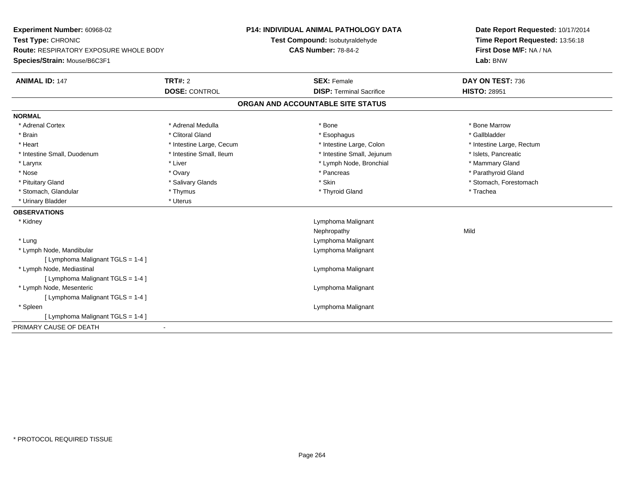| Experiment Number: 60968-02<br>Test Type: CHRONIC<br><b>Route: RESPIRATORY EXPOSURE WHOLE BODY</b><br>Species/Strain: Mouse/B6C3F1 |                          | <b>P14: INDIVIDUAL ANIMAL PATHOLOGY DATA</b><br>Test Compound: Isobutyraldehyde | Date Report Requested: 10/17/2014<br>Time Report Requested: 13:56:18 |
|------------------------------------------------------------------------------------------------------------------------------------|--------------------------|---------------------------------------------------------------------------------|----------------------------------------------------------------------|
|                                                                                                                                    |                          | <b>CAS Number: 78-84-2</b>                                                      | First Dose M/F: NA / NA<br>Lab: BNW                                  |
|                                                                                                                                    |                          |                                                                                 |                                                                      |
| <b>ANIMAL ID: 147</b>                                                                                                              | <b>TRT#: 2</b>           | <b>SEX: Female</b>                                                              | DAY ON TEST: 736                                                     |
|                                                                                                                                    | <b>DOSE: CONTROL</b>     | <b>DISP: Terminal Sacrifice</b>                                                 | <b>HISTO: 28951</b>                                                  |
|                                                                                                                                    |                          | ORGAN AND ACCOUNTABLE SITE STATUS                                               |                                                                      |
| <b>NORMAL</b>                                                                                                                      |                          |                                                                                 |                                                                      |
| * Adrenal Cortex                                                                                                                   | * Adrenal Medulla        | * Bone                                                                          | * Bone Marrow                                                        |
| * Brain                                                                                                                            | * Clitoral Gland         | * Esophagus                                                                     | * Gallbladder                                                        |
| * Heart                                                                                                                            | * Intestine Large, Cecum | * Intestine Large, Colon                                                        | * Intestine Large, Rectum                                            |
| * Intestine Small, Duodenum                                                                                                        | * Intestine Small, Ileum | * Intestine Small, Jejunum                                                      | * Islets, Pancreatic                                                 |
| * Larynx                                                                                                                           | * Liver                  | * Lymph Node, Bronchial                                                         | * Mammary Gland                                                      |
| * Nose                                                                                                                             | * Ovary                  | * Pancreas                                                                      | * Parathyroid Gland                                                  |
| * Pituitary Gland                                                                                                                  | * Salivary Glands        | * Skin                                                                          | * Stomach, Forestomach                                               |
| * Stomach, Glandular                                                                                                               | * Thymus                 | * Thyroid Gland                                                                 | * Trachea                                                            |
| * Urinary Bladder                                                                                                                  | * Uterus                 |                                                                                 |                                                                      |
| <b>OBSERVATIONS</b>                                                                                                                |                          |                                                                                 |                                                                      |
| * Kidney                                                                                                                           |                          | Lymphoma Malignant                                                              |                                                                      |
|                                                                                                                                    |                          | Nephropathy                                                                     | Mild                                                                 |
| * Lung                                                                                                                             |                          | Lymphoma Malignant                                                              |                                                                      |
| * Lymph Node, Mandibular                                                                                                           |                          | Lymphoma Malignant                                                              |                                                                      |
| [ Lymphoma Malignant TGLS = 1-4 ]                                                                                                  |                          |                                                                                 |                                                                      |
| * Lymph Node, Mediastinal                                                                                                          |                          | Lymphoma Malignant                                                              |                                                                      |
| [ Lymphoma Malignant TGLS = 1-4 ]                                                                                                  |                          |                                                                                 |                                                                      |
| * Lymph Node, Mesenteric                                                                                                           |                          | Lymphoma Malignant                                                              |                                                                      |
| [ Lymphoma Malignant TGLS = 1-4 ]                                                                                                  |                          |                                                                                 |                                                                      |
| * Spleen                                                                                                                           |                          | Lymphoma Malignant                                                              |                                                                      |
| [ Lymphoma Malignant TGLS = 1-4 ]                                                                                                  |                          |                                                                                 |                                                                      |
| PRIMARY CAUSE OF DEATH                                                                                                             |                          |                                                                                 |                                                                      |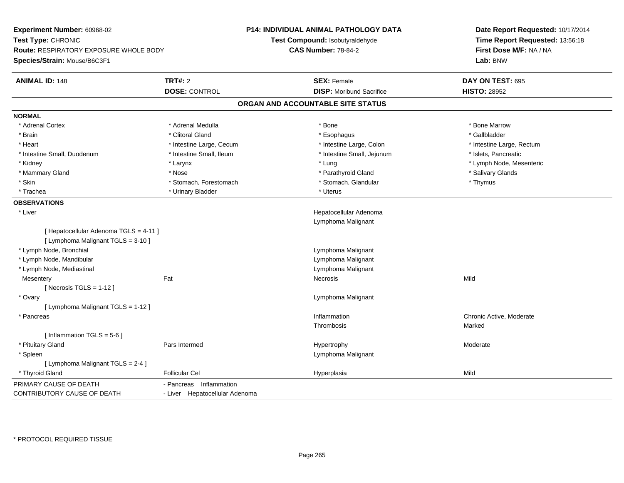| Experiment Number: 60968-02            |                                | P14: INDIVIDUAL ANIMAL PATHOLOGY DATA | Date Report Requested: 10/17/2014                          |  |  |
|----------------------------------------|--------------------------------|---------------------------------------|------------------------------------------------------------|--|--|
| Test Type: CHRONIC                     |                                | Test Compound: Isobutyraldehyde       | Time Report Requested: 13:56:18<br>First Dose M/F: NA / NA |  |  |
| Route: RESPIRATORY EXPOSURE WHOLE BODY |                                | <b>CAS Number: 78-84-2</b>            |                                                            |  |  |
| Species/Strain: Mouse/B6C3F1           |                                |                                       | Lab: BNW                                                   |  |  |
|                                        |                                |                                       |                                                            |  |  |
| <b>ANIMAL ID: 148</b>                  | TRT#: 2                        | <b>SEX: Female</b>                    | DAY ON TEST: 695                                           |  |  |
|                                        | <b>DOSE: CONTROL</b>           | <b>DISP:</b> Moribund Sacrifice       | <b>HISTO: 28952</b>                                        |  |  |
|                                        |                                | ORGAN AND ACCOUNTABLE SITE STATUS     |                                                            |  |  |
| <b>NORMAL</b>                          |                                |                                       |                                                            |  |  |
| * Adrenal Cortex                       | * Adrenal Medulla              | * Bone                                | * Bone Marrow                                              |  |  |
| * Brain                                | * Clitoral Gland               | * Esophagus                           | * Gallbladder                                              |  |  |
| * Heart                                | * Intestine Large, Cecum       | * Intestine Large, Colon              | * Intestine Large, Rectum                                  |  |  |
| * Intestine Small, Duodenum            | * Intestine Small, Ileum       | * Intestine Small, Jejunum            | * Islets, Pancreatic                                       |  |  |
| * Kidney                               | * Larynx                       | * Lung                                | * Lymph Node, Mesenteric                                   |  |  |
| * Mammary Gland                        | * Nose                         | * Parathyroid Gland                   | * Salivary Glands                                          |  |  |
| * Skin                                 | * Stomach, Forestomach         | * Stomach, Glandular                  | * Thymus                                                   |  |  |
| * Trachea                              | * Urinary Bladder              | * Uterus                              |                                                            |  |  |
| <b>OBSERVATIONS</b>                    |                                |                                       |                                                            |  |  |
| * Liver                                |                                | Hepatocellular Adenoma                |                                                            |  |  |
|                                        |                                | Lymphoma Malignant                    |                                                            |  |  |
| [ Hepatocellular Adenoma TGLS = 4-11 ] |                                |                                       |                                                            |  |  |
| [ Lymphoma Malignant TGLS = 3-10 ]     |                                |                                       |                                                            |  |  |
| * Lymph Node, Bronchial                |                                | Lymphoma Malignant                    |                                                            |  |  |
| * Lymph Node, Mandibular               |                                | Lymphoma Malignant                    |                                                            |  |  |
| * Lymph Node, Mediastinal              |                                | Lymphoma Malignant                    |                                                            |  |  |
| Mesentery                              | Fat                            | Necrosis                              | Mild                                                       |  |  |
| [Necrosis TGLS = $1-12$ ]              |                                |                                       |                                                            |  |  |
| * Ovary                                |                                | Lymphoma Malignant                    |                                                            |  |  |
| [ Lymphoma Malignant TGLS = 1-12 ]     |                                |                                       |                                                            |  |  |
| * Pancreas                             |                                | Inflammation                          | Chronic Active, Moderate                                   |  |  |
|                                        |                                | Thrombosis                            | Marked                                                     |  |  |
| [Inflammation TGLS = 5-6]              |                                |                                       |                                                            |  |  |
| * Pituitary Gland                      | Pars Intermed                  | Hypertrophy                           | Moderate                                                   |  |  |
| * Spleen                               |                                | Lymphoma Malignant                    |                                                            |  |  |
| [ Lymphoma Malignant TGLS = 2-4 ]      |                                |                                       |                                                            |  |  |
| * Thyroid Gland                        | <b>Follicular Cel</b>          | Hyperplasia                           | Mild                                                       |  |  |
| PRIMARY CAUSE OF DEATH                 | - Pancreas Inflammation        |                                       |                                                            |  |  |
| CONTRIBUTORY CAUSE OF DEATH            | - Liver Hepatocellular Adenoma |                                       |                                                            |  |  |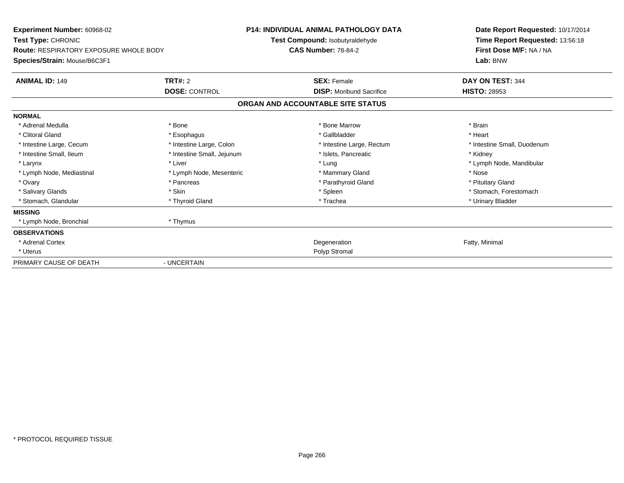| Experiment Number: 60968-02<br>Test Type: CHRONIC                             |                            | <b>P14: INDIVIDUAL ANIMAL PATHOLOGY DATA</b><br>Test Compound: Isobutyraldehyde | Date Report Requested: 10/17/2014<br>Time Report Requested: 13:56:18 |  |  |
|-------------------------------------------------------------------------------|----------------------------|---------------------------------------------------------------------------------|----------------------------------------------------------------------|--|--|
| <b>Route: RESPIRATORY EXPOSURE WHOLE BODY</b><br>Species/Strain: Mouse/B6C3F1 |                            | <b>CAS Number: 78-84-2</b>                                                      | First Dose M/F: NA / NA<br>Lab: BNW                                  |  |  |
|                                                                               |                            |                                                                                 |                                                                      |  |  |
| <b>ANIMAL ID: 149</b>                                                         | <b>TRT#: 2</b>             | <b>SEX: Female</b>                                                              | DAY ON TEST: 344                                                     |  |  |
|                                                                               | <b>DOSE: CONTROL</b>       | <b>DISP:</b> Moribund Sacrifice                                                 | <b>HISTO: 28953</b>                                                  |  |  |
|                                                                               |                            | ORGAN AND ACCOUNTABLE SITE STATUS                                               |                                                                      |  |  |
| <b>NORMAL</b>                                                                 |                            |                                                                                 |                                                                      |  |  |
| * Adrenal Medulla                                                             | * Bone                     | * Bone Marrow                                                                   | * Brain                                                              |  |  |
| * Clitoral Gland                                                              | * Esophagus                | * Gallbladder                                                                   | * Heart                                                              |  |  |
| * Intestine Large, Cecum                                                      | * Intestine Large, Colon   | * Intestine Large, Rectum                                                       | * Intestine Small, Duodenum                                          |  |  |
| * Intestine Small, Ileum                                                      | * Intestine Small, Jejunum | * Islets, Pancreatic                                                            | * Kidney                                                             |  |  |
| * Larynx                                                                      | * Liver                    | * Lung                                                                          | * Lymph Node, Mandibular                                             |  |  |
| * Lymph Node, Mediastinal                                                     | * Lymph Node, Mesenteric   | * Mammary Gland                                                                 | * Nose                                                               |  |  |
| * Ovary                                                                       | * Pancreas                 | * Parathyroid Gland                                                             | * Pituitary Gland                                                    |  |  |
| * Salivary Glands                                                             | * Skin                     | * Spleen                                                                        | * Stomach. Forestomach                                               |  |  |
| * Stomach, Glandular                                                          | * Thyroid Gland            | * Trachea                                                                       | * Urinary Bladder                                                    |  |  |
| <b>MISSING</b>                                                                |                            |                                                                                 |                                                                      |  |  |
| * Lymph Node, Bronchial                                                       | * Thymus                   |                                                                                 |                                                                      |  |  |
| <b>OBSERVATIONS</b>                                                           |                            |                                                                                 |                                                                      |  |  |
| * Adrenal Cortex                                                              |                            | Degeneration                                                                    | Fatty, Minimal                                                       |  |  |
| * Uterus                                                                      |                            | Polyp Stromal                                                                   |                                                                      |  |  |
| PRIMARY CAUSE OF DEATH                                                        | - UNCERTAIN                |                                                                                 |                                                                      |  |  |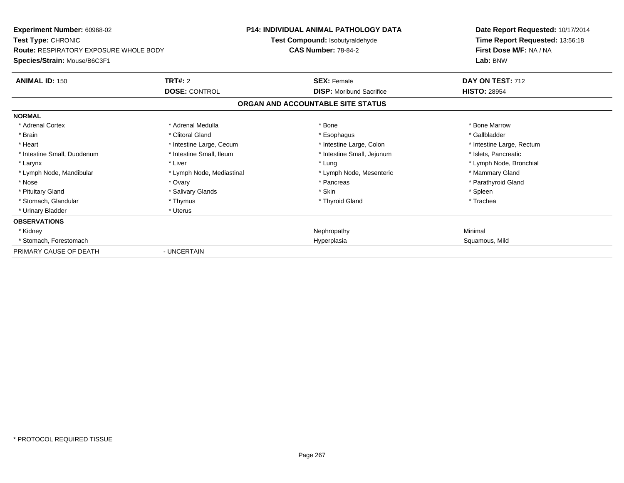| <b>Experiment Number: 60968-02</b><br><b>Test Type: CHRONIC</b>               |                           | <b>P14: INDIVIDUAL ANIMAL PATHOLOGY DATA</b><br>Test Compound: Isobutyraldehyde | Date Report Requested: 10/17/2014<br>Time Report Requested: 13:56:18 |
|-------------------------------------------------------------------------------|---------------------------|---------------------------------------------------------------------------------|----------------------------------------------------------------------|
| <b>Route: RESPIRATORY EXPOSURE WHOLE BODY</b><br>Species/Strain: Mouse/B6C3F1 |                           | <b>CAS Number: 78-84-2</b>                                                      | First Dose M/F: NA / NA<br>Lab: BNW                                  |
| <b>ANIMAL ID: 150</b>                                                         | TRT#: 2                   | <b>SEX: Female</b>                                                              | DAY ON TEST: 712                                                     |
|                                                                               | <b>DOSE: CONTROL</b>      | <b>DISP:</b> Moribund Sacrifice                                                 | <b>HISTO: 28954</b>                                                  |
|                                                                               |                           | ORGAN AND ACCOUNTABLE SITE STATUS                                               |                                                                      |
| <b>NORMAL</b>                                                                 |                           |                                                                                 |                                                                      |
| * Adrenal Cortex                                                              | * Adrenal Medulla         | * Bone                                                                          | * Bone Marrow                                                        |
| * Brain                                                                       | * Clitoral Gland          | * Esophagus                                                                     | * Gallbladder                                                        |
| * Heart                                                                       | * Intestine Large, Cecum  | * Intestine Large, Colon                                                        | * Intestine Large, Rectum                                            |
| * Intestine Small, Duodenum                                                   | * Intestine Small, Ileum  | * Intestine Small, Jejunum                                                      | * Islets, Pancreatic                                                 |
| * Larynx                                                                      | * Liver                   | * Lung                                                                          | * Lymph Node, Bronchial                                              |
| * Lymph Node, Mandibular                                                      | * Lymph Node, Mediastinal | * Lymph Node, Mesenteric                                                        | * Mammary Gland                                                      |
| * Nose                                                                        | * Ovary                   | * Pancreas                                                                      | * Parathyroid Gland                                                  |
| * Pituitary Gland                                                             | * Salivary Glands         | * Skin                                                                          | * Spleen                                                             |
| * Stomach, Glandular                                                          | * Thymus                  | * Thyroid Gland                                                                 | * Trachea                                                            |
| * Urinary Bladder                                                             | * Uterus                  |                                                                                 |                                                                      |
| <b>OBSERVATIONS</b>                                                           |                           |                                                                                 |                                                                      |
| * Kidney                                                                      |                           | Nephropathy                                                                     | Minimal                                                              |
| * Stomach, Forestomach                                                        |                           | Hyperplasia                                                                     | Squamous, Mild                                                       |
| PRIMARY CAUSE OF DEATH                                                        | - UNCERTAIN               |                                                                                 |                                                                      |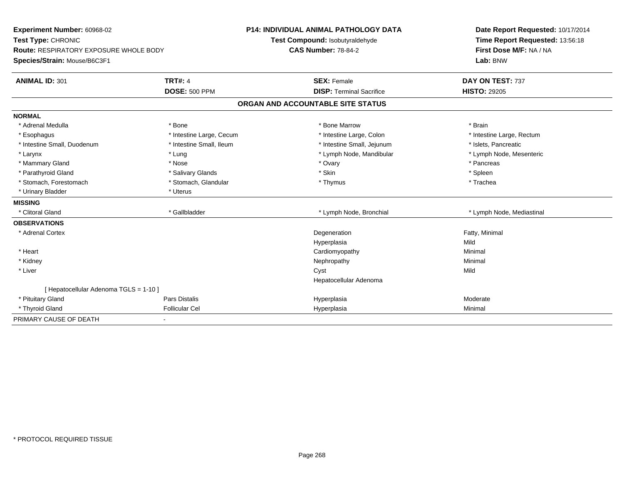| Experiment Number: 60968-02            |                          | P14: INDIVIDUAL ANIMAL PATHOLOGY DATA | Date Report Requested: 10/17/2014 |
|----------------------------------------|--------------------------|---------------------------------------|-----------------------------------|
| Test Type: CHRONIC                     |                          | Test Compound: Isobutyraldehyde       | Time Report Requested: 13:56:18   |
| Route: RESPIRATORY EXPOSURE WHOLE BODY |                          | <b>CAS Number: 78-84-2</b>            | First Dose M/F: NA / NA           |
| Species/Strain: Mouse/B6C3F1           |                          |                                       | Lab: BNW                          |
| <b>ANIMAL ID: 301</b>                  | <b>TRT#: 4</b>           | <b>SEX: Female</b>                    | DAY ON TEST: 737                  |
|                                        | <b>DOSE: 500 PPM</b>     | <b>DISP: Terminal Sacrifice</b>       | <b>HISTO: 29205</b>               |
|                                        |                          | ORGAN AND ACCOUNTABLE SITE STATUS     |                                   |
| <b>NORMAL</b>                          |                          |                                       |                                   |
| * Adrenal Medulla                      | * Bone                   | * Bone Marrow                         | * Brain                           |
| * Esophagus                            | * Intestine Large, Cecum | * Intestine Large, Colon              | * Intestine Large, Rectum         |
| * Intestine Small, Duodenum            | * Intestine Small, Ileum | * Intestine Small, Jejunum            | * Islets, Pancreatic              |
| * Larynx                               | * Lung                   | * Lymph Node, Mandibular              | * Lymph Node, Mesenteric          |
| * Mammary Gland                        | * Nose                   | * Ovary                               | * Pancreas                        |
| * Parathyroid Gland                    | * Salivary Glands        | * Skin                                | * Spleen                          |
| * Stomach, Forestomach                 | * Stomach, Glandular     | * Thymus                              | * Trachea                         |
| * Urinary Bladder                      | * Uterus                 |                                       |                                   |
| <b>MISSING</b>                         |                          |                                       |                                   |
| * Clitoral Gland                       | * Gallbladder            | * Lymph Node, Bronchial               | * Lymph Node, Mediastinal         |
| <b>OBSERVATIONS</b>                    |                          |                                       |                                   |
| * Adrenal Cortex                       |                          | Degeneration                          | Fatty, Minimal                    |
|                                        |                          | Hyperplasia                           | Mild                              |
| * Heart                                |                          | Cardiomyopathy                        | Minimal                           |
| * Kidney                               |                          | Nephropathy                           | Minimal                           |
| * Liver                                |                          | Cyst                                  | Mild                              |
|                                        |                          | Hepatocellular Adenoma                |                                   |
| [ Hepatocellular Adenoma TGLS = 1-10 ] |                          |                                       |                                   |
| * Pituitary Gland                      | <b>Pars Distalis</b>     | Hyperplasia                           | Moderate                          |
| * Thyroid Gland                        | <b>Follicular Cel</b>    | Hyperplasia                           | Minimal                           |
| PRIMARY CAUSE OF DEATH                 |                          |                                       |                                   |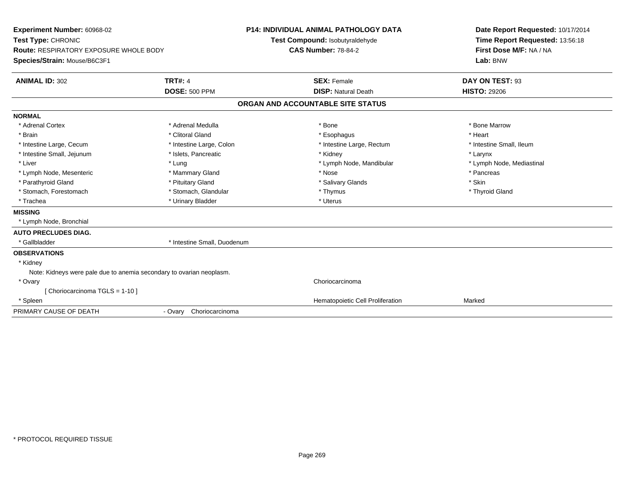| Experiment Number: 60968-02<br>Test Type: CHRONIC<br><b>Route: RESPIRATORY EXPOSURE WHOLE BODY</b><br>Species/Strain: Mouse/B6C3F1 |                             | <b>P14: INDIVIDUAL ANIMAL PATHOLOGY DATA</b><br>Test Compound: Isobutyraldehyde<br><b>CAS Number: 78-84-2</b> |                                  | Date Report Requested: 10/17/2014<br>Time Report Requested: 13:56:18<br>First Dose M/F: NA / NA<br>Lab: BNW |
|------------------------------------------------------------------------------------------------------------------------------------|-----------------------------|---------------------------------------------------------------------------------------------------------------|----------------------------------|-------------------------------------------------------------------------------------------------------------|
| <b>ANIMAL ID: 302</b>                                                                                                              | <b>TRT#: 4</b>              | <b>SEX: Female</b>                                                                                            |                                  | DAY ON TEST: 93                                                                                             |
|                                                                                                                                    | <b>DOSE: 500 PPM</b>        | <b>DISP: Natural Death</b>                                                                                    |                                  | <b>HISTO: 29206</b>                                                                                         |
|                                                                                                                                    |                             | ORGAN AND ACCOUNTABLE SITE STATUS                                                                             |                                  |                                                                                                             |
| <b>NORMAL</b>                                                                                                                      |                             |                                                                                                               |                                  |                                                                                                             |
| * Adrenal Cortex                                                                                                                   | * Adrenal Medulla           | * Bone                                                                                                        |                                  | * Bone Marrow                                                                                               |
| * Brain                                                                                                                            | * Clitoral Gland            | * Esophagus                                                                                                   |                                  | * Heart                                                                                                     |
| * Intestine Large, Cecum                                                                                                           | * Intestine Large, Colon    |                                                                                                               | * Intestine Large, Rectum        | * Intestine Small, Ileum                                                                                    |
| * Intestine Small, Jejunum                                                                                                         | * Islets, Pancreatic        | * Kidney                                                                                                      |                                  | * Larynx                                                                                                    |
| * Liver                                                                                                                            | * Lung                      |                                                                                                               | * Lymph Node, Mandibular         | * Lymph Node, Mediastinal                                                                                   |
| * Lymph Node, Mesenteric                                                                                                           | * Mammary Gland             | * Nose                                                                                                        |                                  | * Pancreas                                                                                                  |
| * Parathyroid Gland                                                                                                                | * Pituitary Gland           | * Salivary Glands                                                                                             |                                  | * Skin                                                                                                      |
| * Stomach, Forestomach                                                                                                             | * Stomach, Glandular        | * Thymus                                                                                                      |                                  | * Thyroid Gland                                                                                             |
| * Trachea                                                                                                                          | * Urinary Bladder           | * Uterus                                                                                                      |                                  |                                                                                                             |
| <b>MISSING</b>                                                                                                                     |                             |                                                                                                               |                                  |                                                                                                             |
| * Lymph Node, Bronchial                                                                                                            |                             |                                                                                                               |                                  |                                                                                                             |
| <b>AUTO PRECLUDES DIAG.</b>                                                                                                        |                             |                                                                                                               |                                  |                                                                                                             |
| * Gallbladder                                                                                                                      | * Intestine Small, Duodenum |                                                                                                               |                                  |                                                                                                             |
| <b>OBSERVATIONS</b>                                                                                                                |                             |                                                                                                               |                                  |                                                                                                             |
| * Kidney                                                                                                                           |                             |                                                                                                               |                                  |                                                                                                             |
| Note: Kidneys were pale due to anemia secondary to ovarian neoplasm.                                                               |                             |                                                                                                               |                                  |                                                                                                             |
| * Ovary                                                                                                                            |                             | Choriocarcinoma                                                                                               |                                  |                                                                                                             |
| [Choriocarcinoma TGLS = 1-10]                                                                                                      |                             |                                                                                                               |                                  |                                                                                                             |
| * Spleen                                                                                                                           |                             |                                                                                                               | Hematopoietic Cell Proliferation | Marked                                                                                                      |
| PRIMARY CAUSE OF DEATH                                                                                                             | - Ovary Choriocarcinoma     |                                                                                                               |                                  |                                                                                                             |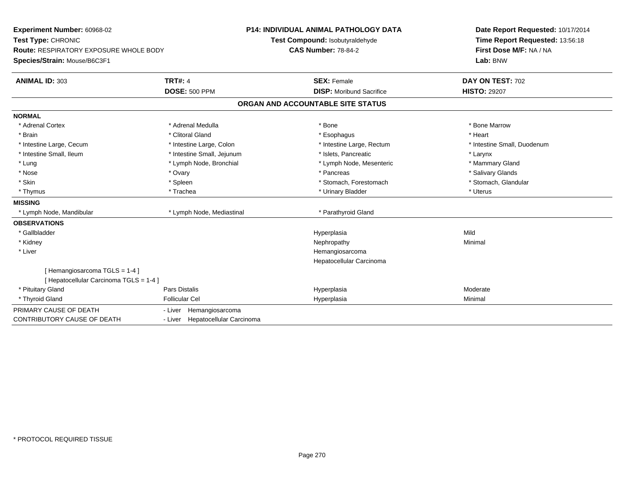| Experiment Number: 60968-02                   |                                  | <b>P14: INDIVIDUAL ANIMAL PATHOLOGY DATA</b> | Date Report Requested: 10/17/2014 |
|-----------------------------------------------|----------------------------------|----------------------------------------------|-----------------------------------|
| Test Type: CHRONIC                            |                                  | Test Compound: Isobutyraldehyde              | Time Report Requested: 13:56:18   |
| <b>Route: RESPIRATORY EXPOSURE WHOLE BODY</b> |                                  | <b>CAS Number: 78-84-2</b>                   | First Dose M/F: NA / NA           |
| Species/Strain: Mouse/B6C3F1                  |                                  |                                              | Lab: BNW                          |
| <b>ANIMAL ID: 303</b>                         | <b>TRT#: 4</b>                   | <b>SEX: Female</b>                           | DAY ON TEST: 702                  |
|                                               | <b>DOSE: 500 PPM</b>             | <b>DISP:</b> Moribund Sacrifice              | <b>HISTO: 29207</b>               |
|                                               |                                  | ORGAN AND ACCOUNTABLE SITE STATUS            |                                   |
| <b>NORMAL</b>                                 |                                  |                                              |                                   |
| * Adrenal Cortex                              | * Adrenal Medulla                | * Bone                                       | * Bone Marrow                     |
| * Brain                                       | * Clitoral Gland                 | * Esophagus                                  | * Heart                           |
| * Intestine Large, Cecum                      | * Intestine Large, Colon         | * Intestine Large, Rectum                    | * Intestine Small, Duodenum       |
| * Intestine Small, Ileum                      | * Intestine Small, Jejunum       | * Islets, Pancreatic                         | * Larynx                          |
| * Lung                                        | * Lymph Node, Bronchial          | * Lymph Node, Mesenteric                     | * Mammary Gland                   |
| * Nose                                        | * Ovary                          | * Pancreas                                   | * Salivary Glands                 |
| * Skin                                        | * Spleen                         | * Stomach, Forestomach                       | * Stomach, Glandular              |
| * Thymus                                      | * Trachea                        | * Urinary Bladder                            | * Uterus                          |
| <b>MISSING</b>                                |                                  |                                              |                                   |
| * Lymph Node, Mandibular                      | * Lymph Node, Mediastinal        | * Parathyroid Gland                          |                                   |
| <b>OBSERVATIONS</b>                           |                                  |                                              |                                   |
| * Gallbladder                                 |                                  | Hyperplasia                                  | Mild                              |
| * Kidney                                      |                                  | Nephropathy                                  | Minimal                           |
| * Liver                                       |                                  | Hemangiosarcoma                              |                                   |
|                                               |                                  | Hepatocellular Carcinoma                     |                                   |
| [Hemangiosarcoma TGLS = 1-4]                  |                                  |                                              |                                   |
| [ Hepatocellular Carcinoma TGLS = 1-4 ]       |                                  |                                              |                                   |
| * Pituitary Gland                             | <b>Pars Distalis</b>             | Hyperplasia                                  | Moderate                          |
| * Thyroid Gland                               | <b>Follicular Cel</b>            | Hyperplasia                                  | Minimal                           |
| PRIMARY CAUSE OF DEATH                        | - Liver Hemangiosarcoma          |                                              |                                   |
| <b>CONTRIBUTORY CAUSE OF DEATH</b>            | - Liver Hepatocellular Carcinoma |                                              |                                   |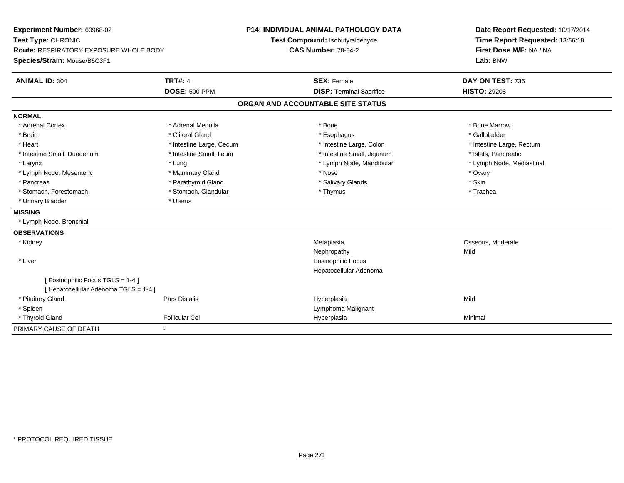| Experiment Number: 60968-02<br>Test Type: CHRONIC<br><b>Route: RESPIRATORY EXPOSURE WHOLE BODY</b> |                          | <b>P14: INDIVIDUAL ANIMAL PATHOLOGY DATA</b><br>Test Compound: Isobutyraldehyde<br><b>CAS Number: 78-84-2</b> |                                 | Date Report Requested: 10/17/2014<br>Time Report Requested: 13:56:18<br>First Dose M/F: NA / NA |
|----------------------------------------------------------------------------------------------------|--------------------------|---------------------------------------------------------------------------------------------------------------|---------------------------------|-------------------------------------------------------------------------------------------------|
| Species/Strain: Mouse/B6C3F1                                                                       |                          |                                                                                                               | Lab: BNW                        |                                                                                                 |
| <b>ANIMAL ID: 304</b>                                                                              | <b>TRT#: 4</b>           |                                                                                                               | <b>SEX: Female</b>              | DAY ON TEST: 736                                                                                |
|                                                                                                    | <b>DOSE: 500 PPM</b>     |                                                                                                               | <b>DISP: Terminal Sacrifice</b> | <b>HISTO: 29208</b>                                                                             |
|                                                                                                    |                          | ORGAN AND ACCOUNTABLE SITE STATUS                                                                             |                                 |                                                                                                 |
| <b>NORMAL</b>                                                                                      |                          |                                                                                                               |                                 |                                                                                                 |
| * Adrenal Cortex                                                                                   | * Adrenal Medulla        | * Bone                                                                                                        |                                 | * Bone Marrow                                                                                   |
| * Brain                                                                                            | * Clitoral Gland         |                                                                                                               | * Esophagus                     | * Gallbladder                                                                                   |
| * Heart                                                                                            | * Intestine Large, Cecum |                                                                                                               | * Intestine Large, Colon        | * Intestine Large, Rectum                                                                       |
| * Intestine Small, Duodenum                                                                        | * Intestine Small, Ileum |                                                                                                               | * Intestine Small, Jejunum      | * Islets, Pancreatic                                                                            |
| * Larynx                                                                                           | * Lung                   |                                                                                                               | * Lymph Node, Mandibular        | * Lymph Node, Mediastinal                                                                       |
| * Lymph Node, Mesenteric                                                                           | * Mammary Gland          | * Nose                                                                                                        |                                 | * Ovary                                                                                         |
| * Pancreas                                                                                         | * Parathyroid Gland      |                                                                                                               | * Salivary Glands               | * Skin                                                                                          |
| * Stomach, Forestomach                                                                             | * Stomach, Glandular     |                                                                                                               | * Thymus                        | * Trachea                                                                                       |
| * Urinary Bladder                                                                                  | * Uterus                 |                                                                                                               |                                 |                                                                                                 |
| <b>MISSING</b>                                                                                     |                          |                                                                                                               |                                 |                                                                                                 |
| * Lymph Node, Bronchial                                                                            |                          |                                                                                                               |                                 |                                                                                                 |
| <b>OBSERVATIONS</b>                                                                                |                          |                                                                                                               |                                 |                                                                                                 |
| * Kidney                                                                                           |                          | Metaplasia                                                                                                    |                                 | Osseous, Moderate                                                                               |
|                                                                                                    |                          | Nephropathy                                                                                                   |                                 | Mild                                                                                            |
| * Liver                                                                                            |                          |                                                                                                               | Eosinophilic Focus              |                                                                                                 |
|                                                                                                    |                          |                                                                                                               | Hepatocellular Adenoma          |                                                                                                 |
| [ Eosinophilic Focus TGLS = 1-4 ]                                                                  |                          |                                                                                                               |                                 |                                                                                                 |
| [ Hepatocellular Adenoma TGLS = 1-4 ]                                                              |                          |                                                                                                               |                                 |                                                                                                 |
| * Pituitary Gland                                                                                  | Pars Distalis            | Hyperplasia                                                                                                   |                                 | Mild                                                                                            |
| * Spleen                                                                                           |                          |                                                                                                               | Lymphoma Malignant              |                                                                                                 |
| * Thyroid Gland                                                                                    | <b>Follicular Cel</b>    | Hyperplasia                                                                                                   |                                 | Minimal                                                                                         |
| PRIMARY CAUSE OF DEATH                                                                             | $\blacksquare$           |                                                                                                               |                                 |                                                                                                 |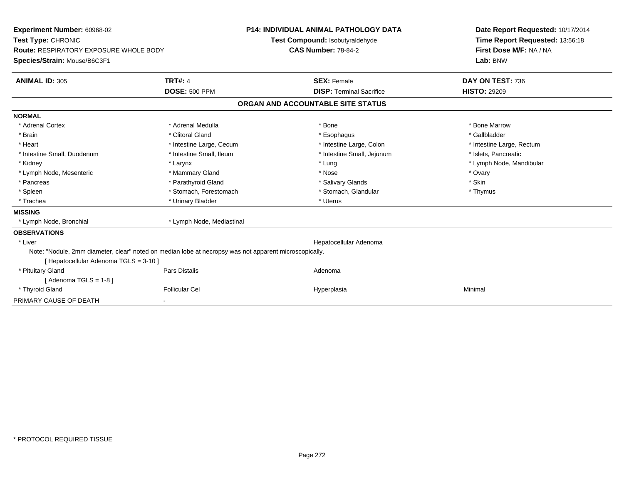| <b>Experiment Number: 60968-02</b><br>Test Type: CHRONIC<br><b>Route: RESPIRATORY EXPOSURE WHOLE BODY</b><br>Species/Strain: Mouse/B6C3F1<br><b>ANIMAL ID: 305</b> | <b>TRT#: 4</b>            | <b>P14: INDIVIDUAL ANIMAL PATHOLOGY DATA</b><br>Test Compound: Isobutyraldehyde<br><b>CAS Number: 78-84-2</b><br><b>SEX: Female</b> | Date Report Requested: 10/17/2014<br>Time Report Requested: 13:56:18<br>First Dose M/F: NA / NA<br>Lab: BNW<br>DAY ON TEST: 736 |  |
|--------------------------------------------------------------------------------------------------------------------------------------------------------------------|---------------------------|-------------------------------------------------------------------------------------------------------------------------------------|---------------------------------------------------------------------------------------------------------------------------------|--|
|                                                                                                                                                                    | <b>DOSE: 500 PPM</b>      | <b>DISP: Terminal Sacrifice</b>                                                                                                     | <b>HISTO: 29209</b>                                                                                                             |  |
|                                                                                                                                                                    |                           | ORGAN AND ACCOUNTABLE SITE STATUS                                                                                                   |                                                                                                                                 |  |
| <b>NORMAL</b>                                                                                                                                                      |                           |                                                                                                                                     |                                                                                                                                 |  |
| * Adrenal Cortex                                                                                                                                                   | * Adrenal Medulla         | * Bone                                                                                                                              | * Bone Marrow                                                                                                                   |  |
| * Brain                                                                                                                                                            | * Clitoral Gland          | * Esophagus                                                                                                                         | * Gallbladder                                                                                                                   |  |
| * Heart                                                                                                                                                            | * Intestine Large, Cecum  | * Intestine Large, Colon                                                                                                            | * Intestine Large, Rectum                                                                                                       |  |
| * Intestine Small, Duodenum                                                                                                                                        | * Intestine Small, Ileum  | * Intestine Small, Jejunum                                                                                                          | * Islets. Pancreatic                                                                                                            |  |
| * Kidney                                                                                                                                                           | * Larynx                  | * Lung                                                                                                                              | * Lymph Node, Mandibular                                                                                                        |  |
| * Lymph Node, Mesenteric                                                                                                                                           | * Mammary Gland           | * Nose                                                                                                                              | * Ovary                                                                                                                         |  |
| * Pancreas                                                                                                                                                         | * Parathyroid Gland       | * Salivary Glands                                                                                                                   | * Skin                                                                                                                          |  |
| * Spleen                                                                                                                                                           | * Stomach, Forestomach    | * Stomach, Glandular                                                                                                                | * Thymus                                                                                                                        |  |
| * Trachea                                                                                                                                                          | * Urinary Bladder         | * Uterus                                                                                                                            |                                                                                                                                 |  |
| <b>MISSING</b>                                                                                                                                                     |                           |                                                                                                                                     |                                                                                                                                 |  |
| * Lymph Node, Bronchial                                                                                                                                            | * Lymph Node, Mediastinal |                                                                                                                                     |                                                                                                                                 |  |
| <b>OBSERVATIONS</b>                                                                                                                                                |                           |                                                                                                                                     |                                                                                                                                 |  |
| * Liver                                                                                                                                                            |                           | Hepatocellular Adenoma                                                                                                              |                                                                                                                                 |  |
| Note: "Nodule, 2mm diameter, clear" noted on median lobe at necropsy was not apparent microscopically.                                                             |                           |                                                                                                                                     |                                                                                                                                 |  |
| [ Hepatocellular Adenoma TGLS = 3-10 ]                                                                                                                             |                           |                                                                                                                                     |                                                                                                                                 |  |
| * Pituitary Gland                                                                                                                                                  | Pars Distalis             | Adenoma                                                                                                                             |                                                                                                                                 |  |
| [Adenoma TGLS = $1-8$ ]                                                                                                                                            |                           |                                                                                                                                     |                                                                                                                                 |  |
| * Thyroid Gland                                                                                                                                                    | <b>Follicular Cel</b>     | Hyperplasia                                                                                                                         | Minimal                                                                                                                         |  |
| PRIMARY CAUSE OF DEATH                                                                                                                                             |                           |                                                                                                                                     |                                                                                                                                 |  |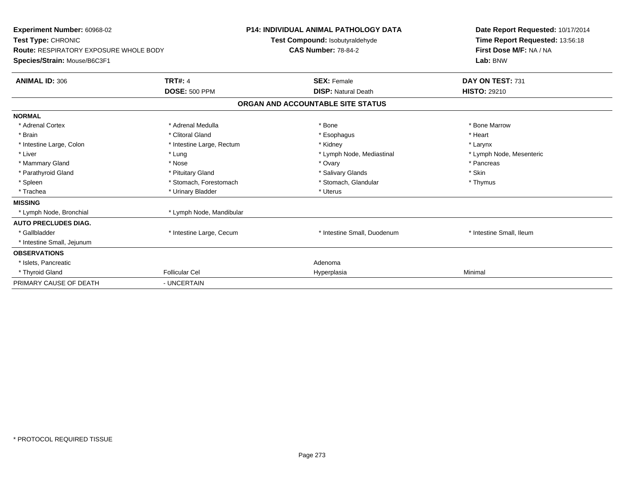| <b>Experiment Number: 60968-02</b><br>Test Type: CHRONIC<br><b>Route: RESPIRATORY EXPOSURE WHOLE BODY</b><br>Species/Strain: Mouse/B6C3F1 |                           |  | <b>P14: INDIVIDUAL ANIMAL PATHOLOGY DATA</b><br>Test Compound: Isobutyraldehyde<br><b>CAS Number: 78-84-2</b> |  | Date Report Requested: 10/17/2014<br>Time Report Requested: 13:56:18<br>First Dose M/F: NA / NA<br>Lab: BNW |  |
|-------------------------------------------------------------------------------------------------------------------------------------------|---------------------------|--|---------------------------------------------------------------------------------------------------------------|--|-------------------------------------------------------------------------------------------------------------|--|
| <b>ANIMAL ID: 306</b>                                                                                                                     | <b>TRT#: 4</b>            |  | <b>SEX: Female</b>                                                                                            |  | DAY ON TEST: 731                                                                                            |  |
|                                                                                                                                           | <b>DOSE: 500 PPM</b>      |  | <b>DISP: Natural Death</b>                                                                                    |  | <b>HISTO: 29210</b>                                                                                         |  |
|                                                                                                                                           |                           |  | ORGAN AND ACCOUNTABLE SITE STATUS                                                                             |  |                                                                                                             |  |
| <b>NORMAL</b>                                                                                                                             |                           |  |                                                                                                               |  |                                                                                                             |  |
| * Adrenal Cortex                                                                                                                          | * Adrenal Medulla         |  | * Bone                                                                                                        |  | * Bone Marrow                                                                                               |  |
| * Brain                                                                                                                                   | * Clitoral Gland          |  | * Esophagus                                                                                                   |  | * Heart                                                                                                     |  |
| * Intestine Large, Colon                                                                                                                  | * Intestine Large, Rectum |  | * Kidney                                                                                                      |  | * Larynx                                                                                                    |  |
| * Liver                                                                                                                                   | * Lung                    |  | * Lymph Node, Mediastinal                                                                                     |  | * Lymph Node, Mesenteric                                                                                    |  |
| * Mammary Gland                                                                                                                           | * Nose                    |  | * Ovary                                                                                                       |  | * Pancreas                                                                                                  |  |
| * Parathyroid Gland                                                                                                                       | * Pituitary Gland         |  | * Salivary Glands                                                                                             |  | * Skin                                                                                                      |  |
| * Spleen                                                                                                                                  | * Stomach, Forestomach    |  | * Stomach, Glandular                                                                                          |  | * Thymus                                                                                                    |  |
| * Trachea                                                                                                                                 | * Urinary Bladder         |  | * Uterus                                                                                                      |  |                                                                                                             |  |
| <b>MISSING</b>                                                                                                                            |                           |  |                                                                                                               |  |                                                                                                             |  |
| * Lymph Node, Bronchial                                                                                                                   | * Lymph Node, Mandibular  |  |                                                                                                               |  |                                                                                                             |  |
| <b>AUTO PRECLUDES DIAG.</b>                                                                                                               |                           |  |                                                                                                               |  |                                                                                                             |  |
| * Gallbladder                                                                                                                             | * Intestine Large, Cecum  |  | * Intestine Small, Duodenum                                                                                   |  | * Intestine Small, Ileum                                                                                    |  |
| * Intestine Small, Jejunum                                                                                                                |                           |  |                                                                                                               |  |                                                                                                             |  |
| <b>OBSERVATIONS</b>                                                                                                                       |                           |  |                                                                                                               |  |                                                                                                             |  |
| * Islets, Pancreatic                                                                                                                      |                           |  | Adenoma                                                                                                       |  |                                                                                                             |  |
| * Thyroid Gland                                                                                                                           | <b>Follicular Cel</b>     |  | Hyperplasia                                                                                                   |  | Minimal                                                                                                     |  |
| PRIMARY CAUSE OF DEATH                                                                                                                    | - UNCERTAIN               |  |                                                                                                               |  |                                                                                                             |  |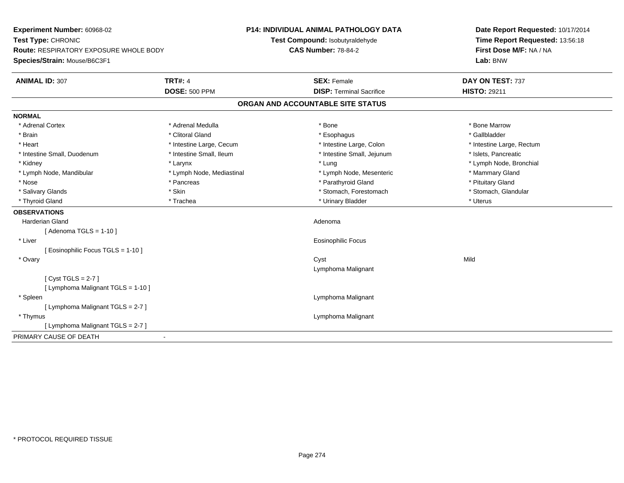| Experiment Number: 60968-02                   |                           | <b>P14: INDIVIDUAL ANIMAL PATHOLOGY DATA</b> | Date Report Requested: 10/17/2014 |  |
|-----------------------------------------------|---------------------------|----------------------------------------------|-----------------------------------|--|
| Test Type: CHRONIC                            |                           | Test Compound: Isobutyraldehyde              | Time Report Requested: 13:56:18   |  |
| <b>Route: RESPIRATORY EXPOSURE WHOLE BODY</b> |                           | <b>CAS Number: 78-84-2</b>                   | First Dose M/F: NA / NA           |  |
| Species/Strain: Mouse/B6C3F1                  |                           |                                              | Lab: BNW                          |  |
| <b>ANIMAL ID: 307</b>                         | <b>TRT#: 4</b>            | <b>SEX: Female</b>                           | DAY ON TEST: 737                  |  |
|                                               | <b>DOSE: 500 PPM</b>      | <b>DISP: Terminal Sacrifice</b>              | <b>HISTO: 29211</b>               |  |
|                                               |                           | ORGAN AND ACCOUNTABLE SITE STATUS            |                                   |  |
| <b>NORMAL</b>                                 |                           |                                              |                                   |  |
| * Adrenal Cortex                              | * Adrenal Medulla         | * Bone                                       | * Bone Marrow                     |  |
| * Brain                                       | * Clitoral Gland          | * Esophagus                                  | * Gallbladder                     |  |
| * Heart                                       | * Intestine Large, Cecum  | * Intestine Large, Colon                     | * Intestine Large, Rectum         |  |
| * Intestine Small, Duodenum                   | * Intestine Small, Ileum  | * Intestine Small, Jejunum                   | * Islets, Pancreatic              |  |
| * Kidney                                      | * Larynx                  | * Lung                                       | * Lymph Node, Bronchial           |  |
| * Lymph Node, Mandibular                      | * Lymph Node, Mediastinal | * Lymph Node, Mesenteric                     | * Mammary Gland                   |  |
| * Nose                                        | * Pancreas                | * Parathyroid Gland                          | * Pituitary Gland                 |  |
| * Salivary Glands                             | * Skin                    | * Stomach, Forestomach                       | * Stomach, Glandular              |  |
| * Thyroid Gland                               | * Trachea                 | * Urinary Bladder                            | * Uterus                          |  |
| <b>OBSERVATIONS</b>                           |                           |                                              |                                   |  |
| <b>Harderian Gland</b>                        |                           | Adenoma                                      |                                   |  |
| [Adenoma TGLS = $1-10$ ]                      |                           |                                              |                                   |  |
| * Liver                                       |                           | <b>Eosinophilic Focus</b>                    |                                   |  |
| [ Eosinophilic Focus TGLS = 1-10 ]            |                           |                                              |                                   |  |
| * Ovary                                       |                           | Cyst                                         | Mild                              |  |
|                                               |                           | Lymphoma Malignant                           |                                   |  |
| [Cyst TGLS = $2-7$ ]                          |                           |                                              |                                   |  |
| [ Lymphoma Malignant TGLS = 1-10 ]            |                           |                                              |                                   |  |
| * Spleen                                      |                           | Lymphoma Malignant                           |                                   |  |
| [ Lymphoma Malignant TGLS = 2-7 ]             |                           |                                              |                                   |  |
| * Thymus                                      |                           | Lymphoma Malignant                           |                                   |  |
| [ Lymphoma Malignant TGLS = 2-7 ]             |                           |                                              |                                   |  |
| PRIMARY CAUSE OF DEATH                        | $\blacksquare$            |                                              |                                   |  |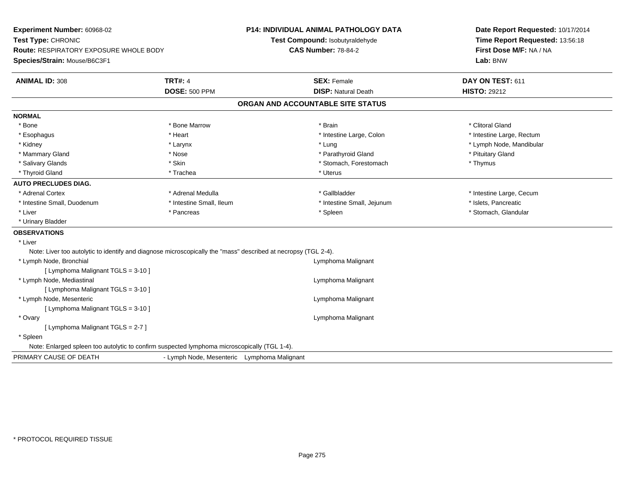| Experiment Number: 60968-02<br>Test Type: CHRONIC<br>Route: RESPIRATORY EXPOSURE WHOLE BODY<br>Species/Strain: Mouse/B6C3F1 |                                             | <b>P14: INDIVIDUAL ANIMAL PATHOLOGY DATA</b><br>Test Compound: Isobutyraldehyde<br><b>CAS Number: 78-84-2</b><br>Lab: BNW |                                   | Date Report Requested: 10/17/2014<br>Time Report Requested: 13:56:18<br>First Dose M/F: NA / NA |                           |
|-----------------------------------------------------------------------------------------------------------------------------|---------------------------------------------|---------------------------------------------------------------------------------------------------------------------------|-----------------------------------|-------------------------------------------------------------------------------------------------|---------------------------|
| <b>ANIMAL ID: 308</b>                                                                                                       | <b>TRT#: 4</b>                              |                                                                                                                           | <b>SEX: Female</b>                |                                                                                                 | DAY ON TEST: 611          |
|                                                                                                                             | <b>DOSE: 500 PPM</b>                        |                                                                                                                           | <b>DISP: Natural Death</b>        |                                                                                                 | <b>HISTO: 29212</b>       |
|                                                                                                                             |                                             |                                                                                                                           | ORGAN AND ACCOUNTABLE SITE STATUS |                                                                                                 |                           |
| <b>NORMAL</b>                                                                                                               |                                             |                                                                                                                           |                                   |                                                                                                 |                           |
| * Bone                                                                                                                      | * Bone Marrow                               |                                                                                                                           | * Brain                           |                                                                                                 | * Clitoral Gland          |
| * Esophagus                                                                                                                 | * Heart                                     |                                                                                                                           | * Intestine Large, Colon          |                                                                                                 | * Intestine Large, Rectum |
| * Kidney                                                                                                                    | * Larynx                                    |                                                                                                                           | * Lung                            |                                                                                                 | * Lymph Node, Mandibular  |
| * Mammary Gland                                                                                                             | * Nose                                      |                                                                                                                           | * Parathyroid Gland               |                                                                                                 | * Pituitary Gland         |
| * Salivary Glands                                                                                                           | * Skin                                      |                                                                                                                           | * Stomach, Forestomach            |                                                                                                 | * Thymus                  |
| * Thyroid Gland                                                                                                             | * Trachea                                   |                                                                                                                           | * Uterus                          |                                                                                                 |                           |
| <b>AUTO PRECLUDES DIAG.</b>                                                                                                 |                                             |                                                                                                                           |                                   |                                                                                                 |                           |
| * Adrenal Cortex                                                                                                            | * Adrenal Medulla                           |                                                                                                                           | * Gallbladder                     |                                                                                                 | * Intestine Large, Cecum  |
| * Intestine Small, Duodenum                                                                                                 | * Intestine Small, Ileum                    |                                                                                                                           | * Intestine Small, Jejunum        |                                                                                                 | * Islets, Pancreatic      |
| * Liver                                                                                                                     | * Pancreas                                  |                                                                                                                           | * Spleen                          |                                                                                                 | * Stomach, Glandular      |
| * Urinary Bladder                                                                                                           |                                             |                                                                                                                           |                                   |                                                                                                 |                           |
| <b>OBSERVATIONS</b>                                                                                                         |                                             |                                                                                                                           |                                   |                                                                                                 |                           |
| * Liver                                                                                                                     |                                             |                                                                                                                           |                                   |                                                                                                 |                           |
| Note: Liver too autolytic to identify and diagnose microscopically the "mass" described at necropsy (TGL 2-4).              |                                             |                                                                                                                           |                                   |                                                                                                 |                           |
| * Lymph Node, Bronchial                                                                                                     |                                             |                                                                                                                           | Lymphoma Malignant                |                                                                                                 |                           |
| [ Lymphoma Malignant TGLS = 3-10 ]                                                                                          |                                             |                                                                                                                           |                                   |                                                                                                 |                           |
| * Lymph Node, Mediastinal                                                                                                   |                                             |                                                                                                                           | Lymphoma Malignant                |                                                                                                 |                           |
| [ Lymphoma Malignant TGLS = 3-10 ]                                                                                          |                                             |                                                                                                                           |                                   |                                                                                                 |                           |
| * Lymph Node, Mesenteric                                                                                                    |                                             |                                                                                                                           | Lymphoma Malignant                |                                                                                                 |                           |
| [ Lymphoma Malignant TGLS = 3-10 ]                                                                                          |                                             |                                                                                                                           |                                   |                                                                                                 |                           |
| * Ovary                                                                                                                     |                                             |                                                                                                                           | Lymphoma Malignant                |                                                                                                 |                           |
| [ Lymphoma Malignant TGLS = 2-7 ]                                                                                           |                                             |                                                                                                                           |                                   |                                                                                                 |                           |
| * Spleen                                                                                                                    |                                             |                                                                                                                           |                                   |                                                                                                 |                           |
| Note: Enlarged spleen too autolytic to confirm suspected lymphoma microscopically (TGL 1-4).                                |                                             |                                                                                                                           |                                   |                                                                                                 |                           |
| PRIMARY CAUSE OF DEATH                                                                                                      | - Lymph Node, Mesenteric Lymphoma Malignant |                                                                                                                           |                                   |                                                                                                 |                           |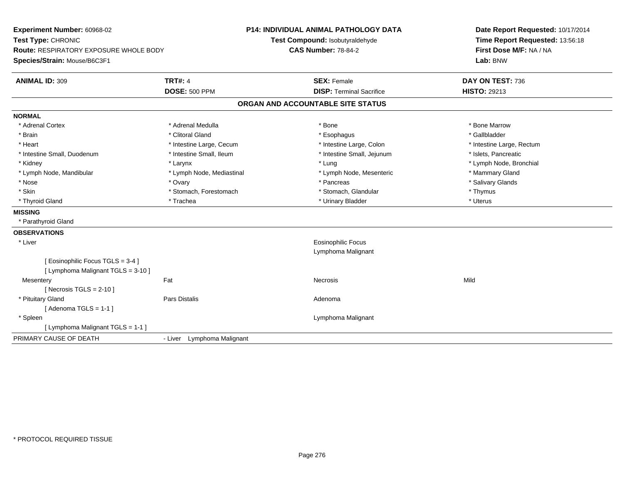| Experiment Number: 60968-02             |                            | <b>P14: INDIVIDUAL ANIMAL PATHOLOGY DATA</b> | Date Report Requested: 10/17/2014 |  |
|-----------------------------------------|----------------------------|----------------------------------------------|-----------------------------------|--|
| Test Type: CHRONIC                      |                            | Test Compound: Isobutyraldehyde              | Time Report Requested: 13:56:18   |  |
| Route: RESPIRATORY EXPOSURE WHOLE BODY  |                            | <b>CAS Number: 78-84-2</b>                   | First Dose M/F: NA / NA           |  |
| Species/Strain: Mouse/B6C3F1            |                            | Lab: BNW                                     |                                   |  |
| <b>TRT#: 4</b><br><b>ANIMAL ID: 309</b> |                            | <b>SEX: Female</b>                           | DAY ON TEST: 736                  |  |
| <b>DOSE: 500 PPM</b>                    |                            | <b>DISP: Terminal Sacrifice</b>              | <b>HISTO: 29213</b>               |  |
|                                         |                            | ORGAN AND ACCOUNTABLE SITE STATUS            |                                   |  |
| <b>NORMAL</b>                           |                            |                                              |                                   |  |
| * Adrenal Cortex<br>* Adrenal Medulla   |                            | * Bone                                       | * Bone Marrow                     |  |
| * Brain<br>* Clitoral Gland             |                            | * Esophagus                                  | * Gallbladder                     |  |
| * Heart                                 | * Intestine Large, Cecum   | * Intestine Large, Colon                     | * Intestine Large, Rectum         |  |
| * Intestine Small, Duodenum             | * Intestine Small, Ileum   | * Intestine Small, Jejunum                   | * Islets, Pancreatic              |  |
| * Kidney<br>* Larynx                    |                            | * Lung                                       | * Lymph Node, Bronchial           |  |
| * Lymph Node, Mandibular                | * Lymph Node, Mediastinal  | * Lymph Node, Mesenteric                     | * Mammary Gland                   |  |
| * Nose<br>* Ovary                       |                            | * Pancreas                                   | * Salivary Glands                 |  |
| * Skin                                  | * Stomach, Forestomach     | * Stomach, Glandular                         | * Thymus                          |  |
| * Thyroid Gland<br>* Trachea            |                            | * Urinary Bladder                            | * Uterus                          |  |
| <b>MISSING</b>                          |                            |                                              |                                   |  |
| * Parathyroid Gland                     |                            |                                              |                                   |  |
| <b>OBSERVATIONS</b>                     |                            |                                              |                                   |  |
| * Liver                                 |                            | Eosinophilic Focus                           |                                   |  |
|                                         |                            | Lymphoma Malignant                           |                                   |  |
| [ Eosinophilic Focus TGLS = 3-4 ]       |                            |                                              |                                   |  |
| [ Lymphoma Malignant TGLS = 3-10 ]      |                            |                                              |                                   |  |
| Fat<br>Mesentery                        |                            | <b>Necrosis</b>                              | Mild                              |  |
| [Necrosis TGLS = $2-10$ ]               |                            |                                              |                                   |  |
| Pars Distalis<br>* Pituitary Gland      |                            | Adenoma                                      |                                   |  |
| [Adenoma TGLS = $1-1$ ]                 |                            |                                              |                                   |  |
| * Spleen                                |                            | Lymphoma Malignant                           |                                   |  |
| [ Lymphoma Malignant TGLS = 1-1 ]       |                            |                                              |                                   |  |
| PRIMARY CAUSE OF DEATH                  | - Liver Lymphoma Malignant |                                              |                                   |  |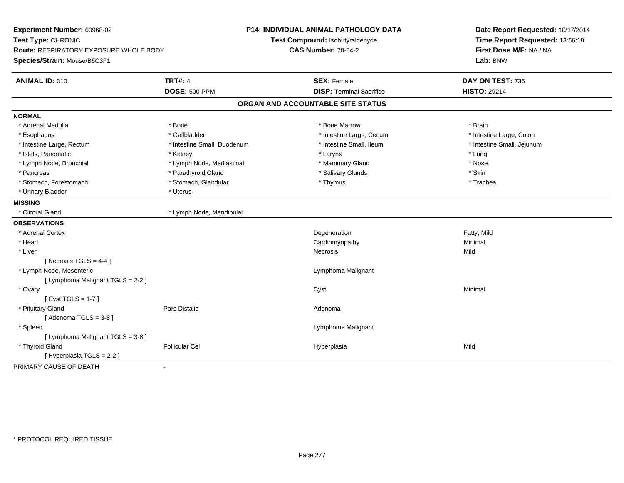| <b>TRT#: 4</b><br>DAY ON TEST: 736<br><b>ANIMAL ID: 310</b><br><b>SEX: Female</b><br><b>DISP: Terminal Sacrifice</b><br><b>DOSE: 500 PPM</b><br><b>HISTO: 29214</b><br>ORGAN AND ACCOUNTABLE SITE STATUS<br><b>NORMAL</b><br>* Adrenal Medulla<br>* Bone<br>* Bone Marrow<br>* Brain<br>* Gallbladder<br>* Intestine Large, Cecum<br>* Intestine Large, Colon<br>* Esophagus<br>* Intestine Large, Rectum<br>* Intestine Small, Duodenum<br>* Intestine Small, Ileum<br>* Intestine Small, Jejunum<br>* Islets, Pancreatic<br>* Larynx<br>* Lung<br>* Kidney<br>* Lymph Node, Bronchial<br>* Lymph Node, Mediastinal<br>* Mammary Gland<br>* Nose<br>* Parathyroid Gland<br>* Salivary Glands<br>* Skin<br>* Pancreas<br>* Stomach, Glandular<br>* Stomach, Forestomach<br>* Thymus<br>* Trachea<br>* Uterus<br>* Urinary Bladder<br><b>MISSING</b><br>* Clitoral Gland<br>* Lymph Node, Mandibular<br>* Adrenal Cortex<br>Degeneration<br>Fatty, Mild<br>* Heart<br>Cardiomyopathy<br>Minimal<br>* Liver<br>Mild<br>Necrosis<br>[Necrosis TGLS = $4-4$ ]<br>* Lymph Node, Mesenteric<br>Lymphoma Malignant<br>[ Lymphoma Malignant TGLS = 2-2 ]<br>* Ovary<br>Cyst<br>Minimal<br>[Cyst TGLS = $1-7$ ]<br>* Pituitary Gland<br><b>Pars Distalis</b><br>Adenoma<br>[Adenoma TGLS = $3-8$ ]<br>Lymphoma Malignant<br>* Spleen<br>[ Lymphoma Malignant TGLS = 3-8 ]<br>* Thyroid Gland<br><b>Follicular Cel</b><br>Mild<br>Hyperplasia<br>[ Hyperplasia TGLS = 2-2 ]<br>PRIMARY CAUSE OF DEATH<br>$\overline{a}$ | Experiment Number: 60968-02<br>Test Type: CHRONIC<br><b>Route: RESPIRATORY EXPOSURE WHOLE BODY</b><br>Species/Strain: Mouse/B6C3F1 |  | P14: INDIVIDUAL ANIMAL PATHOLOGY DATA<br>Test Compound: Isobutyraldehyde<br><b>CAS Number: 78-84-2</b> | Date Report Requested: 10/17/2014<br>Time Report Requested: 13:56:18<br>First Dose M/F: NA / NA<br>Lab: BNW |  |
|---------------------------------------------------------------------------------------------------------------------------------------------------------------------------------------------------------------------------------------------------------------------------------------------------------------------------------------------------------------------------------------------------------------------------------------------------------------------------------------------------------------------------------------------------------------------------------------------------------------------------------------------------------------------------------------------------------------------------------------------------------------------------------------------------------------------------------------------------------------------------------------------------------------------------------------------------------------------------------------------------------------------------------------------------------------------------------------------------------------------------------------------------------------------------------------------------------------------------------------------------------------------------------------------------------------------------------------------------------------------------------------------------------------------------------------------------------------------------------------------------------------|------------------------------------------------------------------------------------------------------------------------------------|--|--------------------------------------------------------------------------------------------------------|-------------------------------------------------------------------------------------------------------------|--|
|                                                                                                                                                                                                                                                                                                                                                                                                                                                                                                                                                                                                                                                                                                                                                                                                                                                                                                                                                                                                                                                                                                                                                                                                                                                                                                                                                                                                                                                                                                               |                                                                                                                                    |  |                                                                                                        |                                                                                                             |  |
|                                                                                                                                                                                                                                                                                                                                                                                                                                                                                                                                                                                                                                                                                                                                                                                                                                                                                                                                                                                                                                                                                                                                                                                                                                                                                                                                                                                                                                                                                                               |                                                                                                                                    |  |                                                                                                        |                                                                                                             |  |
|                                                                                                                                                                                                                                                                                                                                                                                                                                                                                                                                                                                                                                                                                                                                                                                                                                                                                                                                                                                                                                                                                                                                                                                                                                                                                                                                                                                                                                                                                                               |                                                                                                                                    |  |                                                                                                        |                                                                                                             |  |
|                                                                                                                                                                                                                                                                                                                                                                                                                                                                                                                                                                                                                                                                                                                                                                                                                                                                                                                                                                                                                                                                                                                                                                                                                                                                                                                                                                                                                                                                                                               |                                                                                                                                    |  |                                                                                                        |                                                                                                             |  |
|                                                                                                                                                                                                                                                                                                                                                                                                                                                                                                                                                                                                                                                                                                                                                                                                                                                                                                                                                                                                                                                                                                                                                                                                                                                                                                                                                                                                                                                                                                               |                                                                                                                                    |  |                                                                                                        |                                                                                                             |  |
|                                                                                                                                                                                                                                                                                                                                                                                                                                                                                                                                                                                                                                                                                                                                                                                                                                                                                                                                                                                                                                                                                                                                                                                                                                                                                                                                                                                                                                                                                                               |                                                                                                                                    |  |                                                                                                        |                                                                                                             |  |
|                                                                                                                                                                                                                                                                                                                                                                                                                                                                                                                                                                                                                                                                                                                                                                                                                                                                                                                                                                                                                                                                                                                                                                                                                                                                                                                                                                                                                                                                                                               |                                                                                                                                    |  |                                                                                                        |                                                                                                             |  |
|                                                                                                                                                                                                                                                                                                                                                                                                                                                                                                                                                                                                                                                                                                                                                                                                                                                                                                                                                                                                                                                                                                                                                                                                                                                                                                                                                                                                                                                                                                               |                                                                                                                                    |  |                                                                                                        |                                                                                                             |  |
|                                                                                                                                                                                                                                                                                                                                                                                                                                                                                                                                                                                                                                                                                                                                                                                                                                                                                                                                                                                                                                                                                                                                                                                                                                                                                                                                                                                                                                                                                                               |                                                                                                                                    |  |                                                                                                        |                                                                                                             |  |
|                                                                                                                                                                                                                                                                                                                                                                                                                                                                                                                                                                                                                                                                                                                                                                                                                                                                                                                                                                                                                                                                                                                                                                                                                                                                                                                                                                                                                                                                                                               |                                                                                                                                    |  |                                                                                                        |                                                                                                             |  |
|                                                                                                                                                                                                                                                                                                                                                                                                                                                                                                                                                                                                                                                                                                                                                                                                                                                                                                                                                                                                                                                                                                                                                                                                                                                                                                                                                                                                                                                                                                               |                                                                                                                                    |  |                                                                                                        |                                                                                                             |  |
|                                                                                                                                                                                                                                                                                                                                                                                                                                                                                                                                                                                                                                                                                                                                                                                                                                                                                                                                                                                                                                                                                                                                                                                                                                                                                                                                                                                                                                                                                                               |                                                                                                                                    |  |                                                                                                        |                                                                                                             |  |
|                                                                                                                                                                                                                                                                                                                                                                                                                                                                                                                                                                                                                                                                                                                                                                                                                                                                                                                                                                                                                                                                                                                                                                                                                                                                                                                                                                                                                                                                                                               |                                                                                                                                    |  |                                                                                                        |                                                                                                             |  |
|                                                                                                                                                                                                                                                                                                                                                                                                                                                                                                                                                                                                                                                                                                                                                                                                                                                                                                                                                                                                                                                                                                                                                                                                                                                                                                                                                                                                                                                                                                               |                                                                                                                                    |  |                                                                                                        |                                                                                                             |  |
|                                                                                                                                                                                                                                                                                                                                                                                                                                                                                                                                                                                                                                                                                                                                                                                                                                                                                                                                                                                                                                                                                                                                                                                                                                                                                                                                                                                                                                                                                                               | <b>OBSERVATIONS</b>                                                                                                                |  |                                                                                                        |                                                                                                             |  |
|                                                                                                                                                                                                                                                                                                                                                                                                                                                                                                                                                                                                                                                                                                                                                                                                                                                                                                                                                                                                                                                                                                                                                                                                                                                                                                                                                                                                                                                                                                               |                                                                                                                                    |  |                                                                                                        |                                                                                                             |  |
|                                                                                                                                                                                                                                                                                                                                                                                                                                                                                                                                                                                                                                                                                                                                                                                                                                                                                                                                                                                                                                                                                                                                                                                                                                                                                                                                                                                                                                                                                                               |                                                                                                                                    |  |                                                                                                        |                                                                                                             |  |
|                                                                                                                                                                                                                                                                                                                                                                                                                                                                                                                                                                                                                                                                                                                                                                                                                                                                                                                                                                                                                                                                                                                                                                                                                                                                                                                                                                                                                                                                                                               |                                                                                                                                    |  |                                                                                                        |                                                                                                             |  |
|                                                                                                                                                                                                                                                                                                                                                                                                                                                                                                                                                                                                                                                                                                                                                                                                                                                                                                                                                                                                                                                                                                                                                                                                                                                                                                                                                                                                                                                                                                               |                                                                                                                                    |  |                                                                                                        |                                                                                                             |  |
|                                                                                                                                                                                                                                                                                                                                                                                                                                                                                                                                                                                                                                                                                                                                                                                                                                                                                                                                                                                                                                                                                                                                                                                                                                                                                                                                                                                                                                                                                                               |                                                                                                                                    |  |                                                                                                        |                                                                                                             |  |
|                                                                                                                                                                                                                                                                                                                                                                                                                                                                                                                                                                                                                                                                                                                                                                                                                                                                                                                                                                                                                                                                                                                                                                                                                                                                                                                                                                                                                                                                                                               |                                                                                                                                    |  |                                                                                                        |                                                                                                             |  |
|                                                                                                                                                                                                                                                                                                                                                                                                                                                                                                                                                                                                                                                                                                                                                                                                                                                                                                                                                                                                                                                                                                                                                                                                                                                                                                                                                                                                                                                                                                               |                                                                                                                                    |  |                                                                                                        |                                                                                                             |  |
|                                                                                                                                                                                                                                                                                                                                                                                                                                                                                                                                                                                                                                                                                                                                                                                                                                                                                                                                                                                                                                                                                                                                                                                                                                                                                                                                                                                                                                                                                                               |                                                                                                                                    |  |                                                                                                        |                                                                                                             |  |
|                                                                                                                                                                                                                                                                                                                                                                                                                                                                                                                                                                                                                                                                                                                                                                                                                                                                                                                                                                                                                                                                                                                                                                                                                                                                                                                                                                                                                                                                                                               |                                                                                                                                    |  |                                                                                                        |                                                                                                             |  |
|                                                                                                                                                                                                                                                                                                                                                                                                                                                                                                                                                                                                                                                                                                                                                                                                                                                                                                                                                                                                                                                                                                                                                                                                                                                                                                                                                                                                                                                                                                               |                                                                                                                                    |  |                                                                                                        |                                                                                                             |  |
|                                                                                                                                                                                                                                                                                                                                                                                                                                                                                                                                                                                                                                                                                                                                                                                                                                                                                                                                                                                                                                                                                                                                                                                                                                                                                                                                                                                                                                                                                                               |                                                                                                                                    |  |                                                                                                        |                                                                                                             |  |
|                                                                                                                                                                                                                                                                                                                                                                                                                                                                                                                                                                                                                                                                                                                                                                                                                                                                                                                                                                                                                                                                                                                                                                                                                                                                                                                                                                                                                                                                                                               |                                                                                                                                    |  |                                                                                                        |                                                                                                             |  |
|                                                                                                                                                                                                                                                                                                                                                                                                                                                                                                                                                                                                                                                                                                                                                                                                                                                                                                                                                                                                                                                                                                                                                                                                                                                                                                                                                                                                                                                                                                               |                                                                                                                                    |  |                                                                                                        |                                                                                                             |  |
|                                                                                                                                                                                                                                                                                                                                                                                                                                                                                                                                                                                                                                                                                                                                                                                                                                                                                                                                                                                                                                                                                                                                                                                                                                                                                                                                                                                                                                                                                                               |                                                                                                                                    |  |                                                                                                        |                                                                                                             |  |
|                                                                                                                                                                                                                                                                                                                                                                                                                                                                                                                                                                                                                                                                                                                                                                                                                                                                                                                                                                                                                                                                                                                                                                                                                                                                                                                                                                                                                                                                                                               |                                                                                                                                    |  |                                                                                                        |                                                                                                             |  |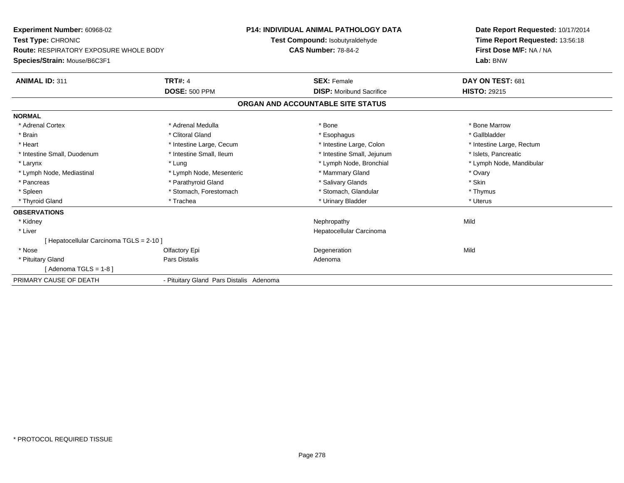| <b>Experiment Number: 60968-02</b><br>Test Type: CHRONIC<br><b>Route: RESPIRATORY EXPOSURE WHOLE BODY</b><br>Species/Strain: Mouse/B6C3F1 |                                         | <b>P14: INDIVIDUAL ANIMAL PATHOLOGY DATA</b><br>Test Compound: Isobutyraldehyde<br><b>CAS Number: 78-84-2</b> | Date Report Requested: 10/17/2014<br>Time Report Requested: 13:56:18<br>First Dose M/F: NA / NA<br>Lab: BNW |
|-------------------------------------------------------------------------------------------------------------------------------------------|-----------------------------------------|---------------------------------------------------------------------------------------------------------------|-------------------------------------------------------------------------------------------------------------|
| <b>ANIMAL ID: 311</b>                                                                                                                     | <b>TRT#: 4</b>                          | <b>SEX: Female</b>                                                                                            | DAY ON TEST: 681                                                                                            |
|                                                                                                                                           | <b>DOSE: 500 PPM</b>                    | <b>DISP:</b> Moribund Sacrifice                                                                               | <b>HISTO: 29215</b>                                                                                         |
|                                                                                                                                           |                                         | ORGAN AND ACCOUNTABLE SITE STATUS                                                                             |                                                                                                             |
| <b>NORMAL</b>                                                                                                                             |                                         |                                                                                                               |                                                                                                             |
| * Adrenal Cortex                                                                                                                          | * Adrenal Medulla                       | * Bone                                                                                                        | * Bone Marrow                                                                                               |
| * Brain                                                                                                                                   | * Clitoral Gland                        | * Esophagus                                                                                                   | * Gallbladder                                                                                               |
| * Heart                                                                                                                                   | * Intestine Large, Cecum                | * Intestine Large, Colon                                                                                      | * Intestine Large, Rectum                                                                                   |
| * Intestine Small, Duodenum                                                                                                               | * Intestine Small, Ileum                | * Intestine Small, Jejunum                                                                                    | * Islets, Pancreatic                                                                                        |
| * Larynx                                                                                                                                  | * Lung                                  | * Lymph Node, Bronchial                                                                                       | * Lymph Node, Mandibular                                                                                    |
| * Lymph Node, Mediastinal                                                                                                                 | * Lymph Node, Mesenteric                | * Mammary Gland                                                                                               | * Ovary                                                                                                     |
| * Pancreas                                                                                                                                | * Parathyroid Gland                     | * Salivary Glands                                                                                             | * Skin                                                                                                      |
| * Spleen                                                                                                                                  | * Stomach, Forestomach                  | * Stomach, Glandular                                                                                          | * Thymus                                                                                                    |
| * Thyroid Gland                                                                                                                           | * Trachea                               | * Urinary Bladder                                                                                             | * Uterus                                                                                                    |
| <b>OBSERVATIONS</b>                                                                                                                       |                                         |                                                                                                               |                                                                                                             |
| * Kidney                                                                                                                                  |                                         | Nephropathy                                                                                                   | Mild                                                                                                        |
| * Liver                                                                                                                                   |                                         | Hepatocellular Carcinoma                                                                                      |                                                                                                             |
| Hepatocellular Carcinoma TGLS = 2-10 ]                                                                                                    |                                         |                                                                                                               |                                                                                                             |
| * Nose                                                                                                                                    | Olfactory Epi                           | Degeneration                                                                                                  | Mild                                                                                                        |
| * Pituitary Gland                                                                                                                         | Pars Distalis                           | Adenoma                                                                                                       |                                                                                                             |
| [Adenoma TGLS = 1-8 ]                                                                                                                     |                                         |                                                                                                               |                                                                                                             |
| PRIMARY CAUSE OF DEATH                                                                                                                    | - Pituitary Gland Pars Distalis Adenoma |                                                                                                               |                                                                                                             |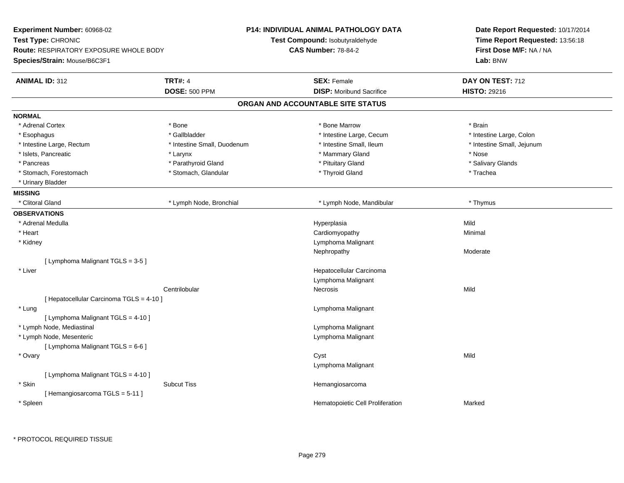| Experiment Number: 60968-02<br>Test Type: CHRONIC<br><b>Route: RESPIRATORY EXPOSURE WHOLE BODY</b><br>Species/Strain: Mouse/B6C3F1 |                             | <b>P14: INDIVIDUAL ANIMAL PATHOLOGY DATA</b><br>Test Compound: Isobutyraldehyde<br><b>CAS Number: 78-84-2</b> | Date Report Requested: 10/17/2014<br>Time Report Requested: 13:56:18<br>First Dose M/F: NA / NA<br>Lab: BNW |
|------------------------------------------------------------------------------------------------------------------------------------|-----------------------------|---------------------------------------------------------------------------------------------------------------|-------------------------------------------------------------------------------------------------------------|
| <b>ANIMAL ID: 312</b>                                                                                                              | <b>TRT#: 4</b>              | <b>SEX: Female</b>                                                                                            | DAY ON TEST: 712                                                                                            |
|                                                                                                                                    | <b>DOSE: 500 PPM</b>        | <b>DISP:</b> Moribund Sacrifice                                                                               | <b>HISTO: 29216</b>                                                                                         |
|                                                                                                                                    |                             | ORGAN AND ACCOUNTABLE SITE STATUS                                                                             |                                                                                                             |
| <b>NORMAL</b>                                                                                                                      |                             |                                                                                                               |                                                                                                             |
| * Adrenal Cortex                                                                                                                   | * Bone                      | * Bone Marrow                                                                                                 | * Brain                                                                                                     |
| * Esophagus                                                                                                                        | * Gallbladder               | * Intestine Large, Cecum                                                                                      | * Intestine Large, Colon                                                                                    |
| * Intestine Large, Rectum                                                                                                          | * Intestine Small, Duodenum | * Intestine Small, Ileum                                                                                      | * Intestine Small, Jejunum                                                                                  |
| * Islets, Pancreatic                                                                                                               | * Larynx                    | * Mammary Gland                                                                                               | * Nose                                                                                                      |
| * Pancreas                                                                                                                         | * Parathyroid Gland         | * Pituitary Gland                                                                                             | * Salivary Glands                                                                                           |
| * Stomach, Forestomach                                                                                                             | * Stomach, Glandular        | * Thyroid Gland                                                                                               | * Trachea                                                                                                   |
| * Urinary Bladder                                                                                                                  |                             |                                                                                                               |                                                                                                             |
| <b>MISSING</b>                                                                                                                     |                             |                                                                                                               |                                                                                                             |
| * Clitoral Gland                                                                                                                   | * Lymph Node, Bronchial     | * Lymph Node, Mandibular                                                                                      | * Thymus                                                                                                    |
| <b>OBSERVATIONS</b>                                                                                                                |                             |                                                                                                               |                                                                                                             |
| * Adrenal Medulla                                                                                                                  |                             | Hyperplasia                                                                                                   | Mild                                                                                                        |
| * Heart                                                                                                                            |                             | Cardiomyopathy                                                                                                | Minimal                                                                                                     |
| * Kidney                                                                                                                           |                             | Lymphoma Malignant                                                                                            |                                                                                                             |
|                                                                                                                                    |                             | Nephropathy                                                                                                   | Moderate                                                                                                    |
| [ Lymphoma Malignant TGLS = 3-5 ]                                                                                                  |                             |                                                                                                               |                                                                                                             |
| * Liver                                                                                                                            |                             | Hepatocellular Carcinoma                                                                                      |                                                                                                             |
|                                                                                                                                    |                             | Lymphoma Malignant                                                                                            |                                                                                                             |
|                                                                                                                                    | Centrilobular               | Necrosis                                                                                                      | Mild                                                                                                        |
| [ Hepatocellular Carcinoma TGLS = 4-10 ]                                                                                           |                             |                                                                                                               |                                                                                                             |
| * Lung                                                                                                                             |                             | Lymphoma Malignant                                                                                            |                                                                                                             |
| [ Lymphoma Malignant TGLS = 4-10 ]                                                                                                 |                             |                                                                                                               |                                                                                                             |
| * Lymph Node, Mediastinal                                                                                                          |                             | Lymphoma Malignant                                                                                            |                                                                                                             |
| * Lymph Node, Mesenteric                                                                                                           |                             | Lymphoma Malignant                                                                                            |                                                                                                             |
| [ Lymphoma Malignant TGLS = 6-6 ]                                                                                                  |                             |                                                                                                               |                                                                                                             |
| * Ovary                                                                                                                            |                             | Cyst                                                                                                          | Mild                                                                                                        |
|                                                                                                                                    |                             | Lymphoma Malignant                                                                                            |                                                                                                             |
| [ Lymphoma Malignant TGLS = 4-10 ]                                                                                                 |                             |                                                                                                               |                                                                                                             |
| * Skin                                                                                                                             | <b>Subcut Tiss</b>          | Hemangiosarcoma                                                                                               |                                                                                                             |
| [Hemangiosarcoma TGLS = 5-11]                                                                                                      |                             |                                                                                                               |                                                                                                             |
| * Spleen                                                                                                                           |                             | Hematopoietic Cell Proliferation                                                                              | Marked                                                                                                      |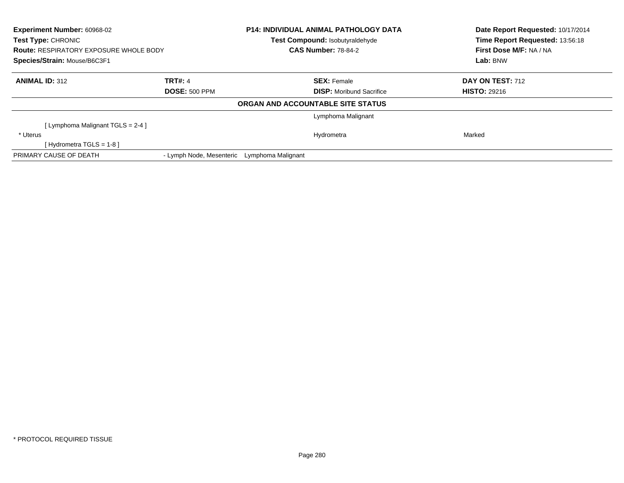| Experiment Number: 60968-02<br>Test Type: CHRONIC<br><b>Route: RESPIRATORY EXPOSURE WHOLE BODY</b><br>Species/Strain: Mouse/B6C3F1 |                          | <b>P14: INDIVIDUAL ANIMAL PATHOLOGY DATA</b><br>Test Compound: Isobutyraldehyde<br><b>CAS Number: 78-84-2</b> |                                   | Date Report Requested: 10/17/2014<br>Time Report Requested: 13:56:18<br>First Dose M/F: NA / NA<br>Lab: BNW |
|------------------------------------------------------------------------------------------------------------------------------------|--------------------------|---------------------------------------------------------------------------------------------------------------|-----------------------------------|-------------------------------------------------------------------------------------------------------------|
|                                                                                                                                    |                          |                                                                                                               |                                   |                                                                                                             |
| <b>ANIMAL ID: 312</b>                                                                                                              | <b>TRT#: 4</b>           |                                                                                                               | <b>SEX: Female</b>                | <b>DAY ON TEST: 712</b>                                                                                     |
|                                                                                                                                    | <b>DOSE: 500 PPM</b>     |                                                                                                               | <b>DISP:</b> Moribund Sacrifice   | <b>HISTO: 29216</b>                                                                                         |
|                                                                                                                                    |                          |                                                                                                               | ORGAN AND ACCOUNTABLE SITE STATUS |                                                                                                             |
|                                                                                                                                    |                          |                                                                                                               | Lymphoma Malignant                |                                                                                                             |
| [ Lymphoma Malignant TGLS = 2-4 ]                                                                                                  |                          |                                                                                                               |                                   |                                                                                                             |
| * Uterus                                                                                                                           |                          |                                                                                                               | Hydrometra                        | Marked                                                                                                      |
| [Hydrometra TGLS = $1-8$ ]                                                                                                         |                          |                                                                                                               |                                   |                                                                                                             |
| PRIMARY CAUSE OF DEATH                                                                                                             | - Lymph Node, Mesenteric | Lymphoma Malignant                                                                                            |                                   |                                                                                                             |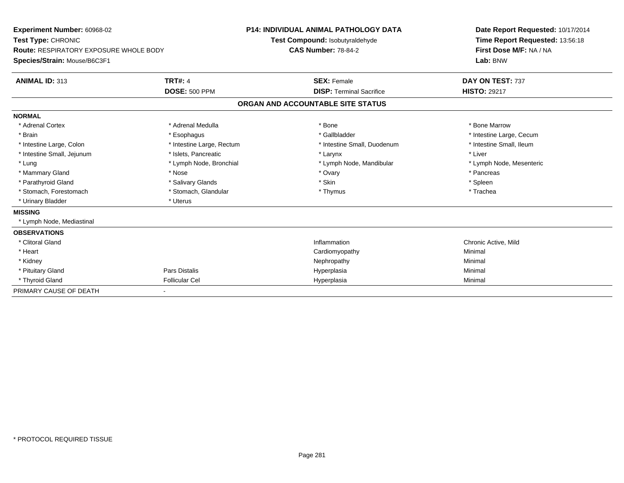| Experiment Number: 60968-02<br>Test Type: CHRONIC<br>Route: RESPIRATORY EXPOSURE WHOLE BODY<br>Species/Strain: Mouse/B6C3F1 |                           | <b>P14: INDIVIDUAL ANIMAL PATHOLOGY DATA</b><br>Test Compound: Isobutyraldehyde<br><b>CAS Number: 78-84-2</b> |                                 | Date Report Requested: 10/17/2014<br>Time Report Requested: 13:56:18<br>First Dose M/F: NA / NA<br>Lab: BNW |  |
|-----------------------------------------------------------------------------------------------------------------------------|---------------------------|---------------------------------------------------------------------------------------------------------------|---------------------------------|-------------------------------------------------------------------------------------------------------------|--|
| ANIMAL ID: 313                                                                                                              | <b>TRT#: 4</b>            |                                                                                                               | <b>SEX: Female</b>              | DAY ON TEST: 737                                                                                            |  |
|                                                                                                                             | <b>DOSE: 500 PPM</b>      |                                                                                                               | <b>DISP: Terminal Sacrifice</b> | <b>HISTO: 29217</b>                                                                                         |  |
|                                                                                                                             |                           | ORGAN AND ACCOUNTABLE SITE STATUS                                                                             |                                 |                                                                                                             |  |
| <b>NORMAL</b>                                                                                                               |                           |                                                                                                               |                                 |                                                                                                             |  |
| * Adrenal Cortex                                                                                                            | * Adrenal Medulla         |                                                                                                               | * Bone                          | * Bone Marrow                                                                                               |  |
| * Brain                                                                                                                     | * Esophagus               |                                                                                                               | * Gallbladder                   | * Intestine Large, Cecum                                                                                    |  |
| * Intestine Large, Colon                                                                                                    | * Intestine Large, Rectum |                                                                                                               | * Intestine Small, Duodenum     | * Intestine Small, Ileum                                                                                    |  |
| * Intestine Small, Jejunum                                                                                                  | * Islets, Pancreatic      |                                                                                                               | * Larynx                        | * Liver                                                                                                     |  |
| * Lung                                                                                                                      | * Lymph Node, Bronchial   |                                                                                                               | * Lymph Node, Mandibular        | * Lymph Node, Mesenteric                                                                                    |  |
| * Mammary Gland                                                                                                             | * Nose                    |                                                                                                               | * Ovary                         | * Pancreas                                                                                                  |  |
| * Parathyroid Gland                                                                                                         | * Salivary Glands         |                                                                                                               | * Skin                          | * Spleen                                                                                                    |  |
| * Stomach, Forestomach                                                                                                      | * Stomach, Glandular      |                                                                                                               | * Thymus                        | * Trachea                                                                                                   |  |
| * Urinary Bladder                                                                                                           | * Uterus                  |                                                                                                               |                                 |                                                                                                             |  |
| <b>MISSING</b>                                                                                                              |                           |                                                                                                               |                                 |                                                                                                             |  |
| * Lymph Node, Mediastinal                                                                                                   |                           |                                                                                                               |                                 |                                                                                                             |  |
| <b>OBSERVATIONS</b>                                                                                                         |                           |                                                                                                               |                                 |                                                                                                             |  |
| * Clitoral Gland                                                                                                            |                           |                                                                                                               | Inflammation                    | Chronic Active, Mild                                                                                        |  |
| * Heart                                                                                                                     |                           |                                                                                                               | Cardiomyopathy                  | Minimal                                                                                                     |  |
| * Kidney                                                                                                                    |                           |                                                                                                               | Nephropathy                     | Minimal                                                                                                     |  |
| * Pituitary Gland                                                                                                           | Pars Distalis             |                                                                                                               | Hyperplasia                     | Minimal                                                                                                     |  |
| * Thyroid Gland                                                                                                             | <b>Follicular Cel</b>     |                                                                                                               | Hyperplasia                     | Minimal                                                                                                     |  |
| PRIMARY CAUSE OF DEATH                                                                                                      |                           |                                                                                                               |                                 |                                                                                                             |  |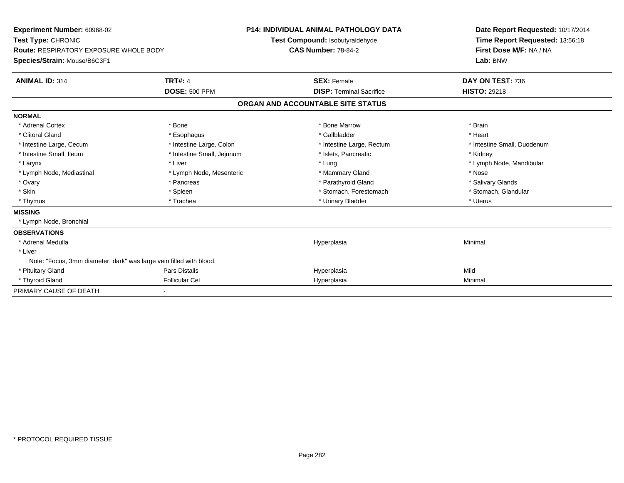| Experiment Number: 60968-02<br>Test Type: CHRONIC<br>Route: RESPIRATORY EXPOSURE WHOLE BODY<br>Species/Strain: Mouse/B6C3F1 |                                        | <b>P14: INDIVIDUAL ANIMAL PATHOLOGY DATA</b><br>Test Compound: Isobutyraldehyde<br><b>CAS Number: 78-84-2</b> |                                                       | Date Report Requested: 10/17/2014<br>Time Report Requested: 13:56:18<br>First Dose M/F: NA / NA<br>Lab: BNW |
|-----------------------------------------------------------------------------------------------------------------------------|----------------------------------------|---------------------------------------------------------------------------------------------------------------|-------------------------------------------------------|-------------------------------------------------------------------------------------------------------------|
| <b>ANIMAL ID: 314</b>                                                                                                       | <b>TRT#: 4</b><br><b>DOSE: 500 PPM</b> |                                                                                                               | <b>SEX: Female</b><br><b>DISP: Terminal Sacrifice</b> | DAY ON TEST: 736<br><b>HISTO: 29218</b>                                                                     |
|                                                                                                                             |                                        |                                                                                                               | ORGAN AND ACCOUNTABLE SITE STATUS                     |                                                                                                             |
| <b>NORMAL</b>                                                                                                               |                                        |                                                                                                               |                                                       |                                                                                                             |
| * Adrenal Cortex                                                                                                            | * Bone                                 |                                                                                                               | * Bone Marrow                                         | * Brain                                                                                                     |
| * Clitoral Gland                                                                                                            | * Esophagus                            |                                                                                                               | * Gallbladder                                         | * Heart                                                                                                     |
| * Intestine Large, Cecum                                                                                                    | * Intestine Large, Colon               |                                                                                                               | * Intestine Large, Rectum                             | * Intestine Small, Duodenum                                                                                 |
| * Intestine Small, Ileum                                                                                                    | * Intestine Small, Jejunum             |                                                                                                               | * Islets, Pancreatic                                  | * Kidney                                                                                                    |
| * Larynx                                                                                                                    | * Liver                                |                                                                                                               | * Lung                                                | * Lymph Node, Mandibular                                                                                    |
| * Lymph Node, Mediastinal                                                                                                   | * Lymph Node, Mesenteric               |                                                                                                               | * Mammary Gland                                       | * Nose                                                                                                      |
| * Ovary                                                                                                                     | * Pancreas                             |                                                                                                               | * Parathyroid Gland                                   | * Salivary Glands                                                                                           |
| * Skin                                                                                                                      | * Spleen                               |                                                                                                               | * Stomach, Forestomach                                | * Stomach, Glandular                                                                                        |
| * Thymus                                                                                                                    | * Trachea                              |                                                                                                               | * Urinary Bladder                                     | * Uterus                                                                                                    |
| <b>MISSING</b>                                                                                                              |                                        |                                                                                                               |                                                       |                                                                                                             |
| * Lymph Node, Bronchial                                                                                                     |                                        |                                                                                                               |                                                       |                                                                                                             |
| <b>OBSERVATIONS</b>                                                                                                         |                                        |                                                                                                               |                                                       |                                                                                                             |
| * Adrenal Medulla                                                                                                           |                                        |                                                                                                               | Hyperplasia                                           | Minimal                                                                                                     |
| * Liver                                                                                                                     |                                        |                                                                                                               |                                                       |                                                                                                             |
| Note: "Focus, 3mm diameter, dark" was large vein filled with blood.                                                         |                                        |                                                                                                               |                                                       |                                                                                                             |
| * Pituitary Gland                                                                                                           | Pars Distalis                          |                                                                                                               | Hyperplasia                                           | Mild                                                                                                        |
| * Thyroid Gland                                                                                                             | <b>Follicular Cel</b>                  |                                                                                                               | Hyperplasia                                           | Minimal                                                                                                     |
| PRIMARY CAUSE OF DEATH                                                                                                      |                                        |                                                                                                               |                                                       |                                                                                                             |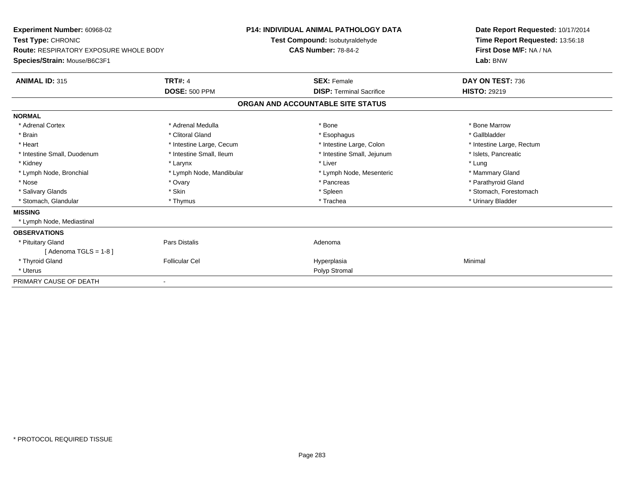| Experiment Number: 60968-02<br>Test Type: CHRONIC<br><b>Route: RESPIRATORY EXPOSURE WHOLE BODY</b><br>Species/Strain: Mouse/B6C3F1 |                          | <b>P14: INDIVIDUAL ANIMAL PATHOLOGY DATA</b><br>Test Compound: Isobutyraldehyde<br><b>CAS Number: 78-84-2</b> |                                   | Date Report Requested: 10/17/2014<br>Time Report Requested: 13:56:18<br>First Dose M/F: NA / NA<br>Lab: BNW |  |
|------------------------------------------------------------------------------------------------------------------------------------|--------------------------|---------------------------------------------------------------------------------------------------------------|-----------------------------------|-------------------------------------------------------------------------------------------------------------|--|
| <b>ANIMAL ID: 315</b>                                                                                                              | <b>TRT#: 4</b>           |                                                                                                               | <b>SEX: Female</b>                | DAY ON TEST: 736                                                                                            |  |
|                                                                                                                                    | <b>DOSE: 500 PPM</b>     |                                                                                                               | <b>DISP: Terminal Sacrifice</b>   | <b>HISTO: 29219</b>                                                                                         |  |
|                                                                                                                                    |                          |                                                                                                               | ORGAN AND ACCOUNTABLE SITE STATUS |                                                                                                             |  |
| <b>NORMAL</b>                                                                                                                      |                          |                                                                                                               |                                   |                                                                                                             |  |
| * Adrenal Cortex                                                                                                                   | * Adrenal Medulla        |                                                                                                               | * Bone                            | * Bone Marrow                                                                                               |  |
| * Brain                                                                                                                            | * Clitoral Gland         |                                                                                                               | * Esophagus                       | * Gallbladder                                                                                               |  |
| * Heart                                                                                                                            | * Intestine Large, Cecum |                                                                                                               | * Intestine Large, Colon          | * Intestine Large, Rectum                                                                                   |  |
| * Intestine Small, Duodenum                                                                                                        | * Intestine Small, Ileum |                                                                                                               | * Intestine Small, Jejunum        | * Islets, Pancreatic                                                                                        |  |
| * Kidney                                                                                                                           | * Larynx                 |                                                                                                               | * Liver                           | * Lung                                                                                                      |  |
| * Lymph Node, Bronchial                                                                                                            | * Lymph Node, Mandibular |                                                                                                               | * Lymph Node, Mesenteric          | * Mammary Gland                                                                                             |  |
| * Nose                                                                                                                             | * Ovary                  |                                                                                                               | * Pancreas                        | * Parathyroid Gland                                                                                         |  |
| * Salivary Glands                                                                                                                  | * Skin                   |                                                                                                               | * Spleen                          | * Stomach, Forestomach                                                                                      |  |
| * Stomach, Glandular                                                                                                               | * Thymus                 |                                                                                                               | * Trachea                         | * Urinary Bladder                                                                                           |  |
| <b>MISSING</b>                                                                                                                     |                          |                                                                                                               |                                   |                                                                                                             |  |
| * Lymph Node, Mediastinal                                                                                                          |                          |                                                                                                               |                                   |                                                                                                             |  |
| <b>OBSERVATIONS</b>                                                                                                                |                          |                                                                                                               |                                   |                                                                                                             |  |
| * Pituitary Gland                                                                                                                  | Pars Distalis            |                                                                                                               | Adenoma                           |                                                                                                             |  |
| [Adenoma TGLS = $1-8$ ]                                                                                                            |                          |                                                                                                               |                                   |                                                                                                             |  |
| * Thyroid Gland                                                                                                                    | <b>Follicular Cel</b>    |                                                                                                               | Hyperplasia                       | Minimal                                                                                                     |  |
| * Uterus                                                                                                                           |                          |                                                                                                               | Polyp Stromal                     |                                                                                                             |  |
| PRIMARY CAUSE OF DEATH                                                                                                             |                          |                                                                                                               |                                   |                                                                                                             |  |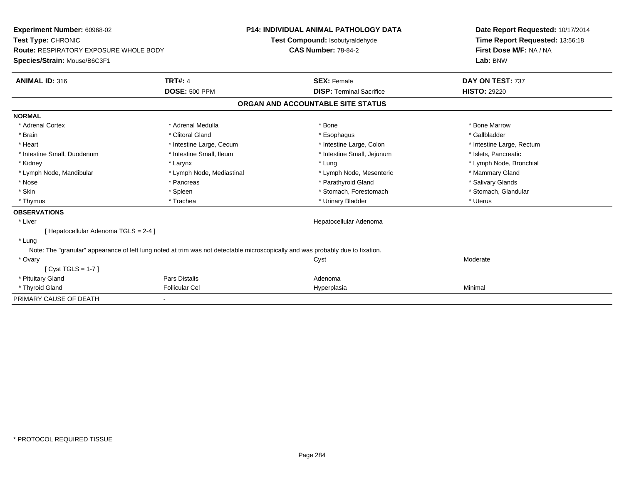| Experiment Number: 60968-02<br>Test Type: CHRONIC<br><b>Route: RESPIRATORY EXPOSURE WHOLE BODY</b><br>Species/Strain: Mouse/B6C3F1 |                           | <b>P14: INDIVIDUAL ANIMAL PATHOLOGY DATA</b><br>Test Compound: Isobutyraldehyde<br><b>CAS Number: 78-84-2</b> |                                   | Date Report Requested: 10/17/2014<br>Time Report Requested: 13:56:18<br>First Dose M/F: NA / NA<br>Lab: BNW |
|------------------------------------------------------------------------------------------------------------------------------------|---------------------------|---------------------------------------------------------------------------------------------------------------|-----------------------------------|-------------------------------------------------------------------------------------------------------------|
| <b>ANIMAL ID: 316</b>                                                                                                              | <b>TRT#: 4</b>            |                                                                                                               | <b>SEX: Female</b>                | DAY ON TEST: 737                                                                                            |
|                                                                                                                                    | <b>DOSE: 500 PPM</b>      |                                                                                                               | <b>DISP: Terminal Sacrifice</b>   | <b>HISTO: 29220</b>                                                                                         |
|                                                                                                                                    |                           |                                                                                                               | ORGAN AND ACCOUNTABLE SITE STATUS |                                                                                                             |
| <b>NORMAL</b>                                                                                                                      |                           |                                                                                                               |                                   |                                                                                                             |
| * Adrenal Cortex                                                                                                                   | * Adrenal Medulla         |                                                                                                               | * Bone                            | * Bone Marrow                                                                                               |
| * Brain                                                                                                                            | * Clitoral Gland          |                                                                                                               | * Esophagus                       | * Gallbladder                                                                                               |
| * Heart                                                                                                                            | * Intestine Large, Cecum  |                                                                                                               | * Intestine Large, Colon          | * Intestine Large, Rectum                                                                                   |
| * Intestine Small, Duodenum                                                                                                        | * Intestine Small, Ileum  |                                                                                                               | * Intestine Small, Jejunum        | * Islets, Pancreatic                                                                                        |
| * Kidney                                                                                                                           | * Larynx                  |                                                                                                               | * Lung                            | * Lymph Node, Bronchial                                                                                     |
| * Lymph Node, Mandibular                                                                                                           | * Lymph Node, Mediastinal |                                                                                                               | * Lymph Node, Mesenteric          | * Mammary Gland                                                                                             |
| * Nose                                                                                                                             | * Pancreas                |                                                                                                               | * Parathyroid Gland               | * Salivary Glands                                                                                           |
| * Skin                                                                                                                             | * Spleen                  |                                                                                                               | * Stomach, Forestomach            | * Stomach, Glandular                                                                                        |
| * Thymus                                                                                                                           | * Trachea                 |                                                                                                               | * Urinary Bladder                 | * Uterus                                                                                                    |
| <b>OBSERVATIONS</b>                                                                                                                |                           |                                                                                                               |                                   |                                                                                                             |
| * Liver                                                                                                                            |                           |                                                                                                               | Hepatocellular Adenoma            |                                                                                                             |
| [Hepatocellular Adenoma TGLS = 2-4]                                                                                                |                           |                                                                                                               |                                   |                                                                                                             |
| * Lung                                                                                                                             |                           |                                                                                                               |                                   |                                                                                                             |
| Note: The "granular" appearance of left lung noted at trim was not detectable microscopically and was probably due to fixation.    |                           |                                                                                                               |                                   |                                                                                                             |
| * Ovary                                                                                                                            |                           |                                                                                                               | Cyst                              | Moderate                                                                                                    |
| [Cyst TGLS = $1-7$ ]                                                                                                               |                           |                                                                                                               |                                   |                                                                                                             |
| * Pituitary Gland                                                                                                                  | Pars Distalis             |                                                                                                               | Adenoma                           |                                                                                                             |
| * Thyroid Gland                                                                                                                    | <b>Follicular Cel</b>     |                                                                                                               | Hyperplasia                       | Minimal                                                                                                     |
| PRIMARY CAUSE OF DEATH                                                                                                             |                           |                                                                                                               |                                   |                                                                                                             |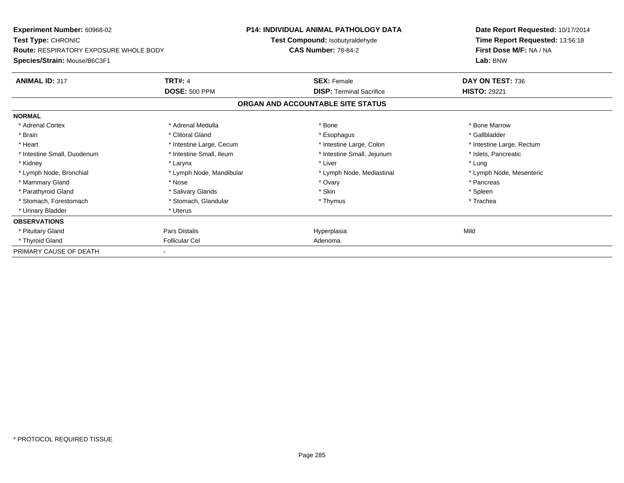| <b>Experiment Number: 60968-02</b><br><b>Test Type: CHRONIC</b><br><b>Route: RESPIRATORY EXPOSURE WHOLE BODY</b> |                          |                                                               | <b>P14: INDIVIDUAL ANIMAL PATHOLOGY DATA</b> | Date Report Requested: 10/17/2014                          |  |
|------------------------------------------------------------------------------------------------------------------|--------------------------|---------------------------------------------------------------|----------------------------------------------|------------------------------------------------------------|--|
|                                                                                                                  |                          | Test Compound: Isobutyraldehyde<br><b>CAS Number: 78-84-2</b> |                                              | Time Report Requested: 13:56:18<br>First Dose M/F: NA / NA |  |
| Species/Strain: Mouse/B6C3F1                                                                                     |                          |                                                               |                                              | Lab: BNW                                                   |  |
| <b>ANIMAL ID: 317</b>                                                                                            | <b>TRT#: 4</b>           |                                                               | <b>SEX: Female</b>                           | DAY ON TEST: 736                                           |  |
|                                                                                                                  | <b>DOSE: 500 PPM</b>     |                                                               | <b>DISP:</b> Terminal Sacrifice              | <b>HISTO: 29221</b>                                        |  |
|                                                                                                                  |                          | ORGAN AND ACCOUNTABLE SITE STATUS                             |                                              |                                                            |  |
| <b>NORMAL</b>                                                                                                    |                          |                                                               |                                              |                                                            |  |
| * Adrenal Cortex                                                                                                 | * Adrenal Medulla        |                                                               | * Bone                                       | * Bone Marrow                                              |  |
| * Brain                                                                                                          | * Clitoral Gland         |                                                               | * Esophagus                                  | * Gallbladder                                              |  |
| * Heart                                                                                                          | * Intestine Large, Cecum |                                                               | * Intestine Large, Colon                     | * Intestine Large, Rectum                                  |  |
| * Intestine Small, Duodenum                                                                                      | * Intestine Small, Ileum |                                                               | * Intestine Small, Jejunum                   | * Islets, Pancreatic                                       |  |
| * Kidney                                                                                                         | * Larynx                 |                                                               | * Liver                                      | * Lung                                                     |  |
| * Lymph Node, Bronchial                                                                                          | * Lymph Node, Mandibular |                                                               | * Lymph Node, Mediastinal                    | * Lymph Node, Mesenteric                                   |  |
| * Mammary Gland                                                                                                  | * Nose                   |                                                               | * Ovary                                      | * Pancreas                                                 |  |
| * Parathyroid Gland                                                                                              | * Salivary Glands        |                                                               | * Skin                                       | * Spleen                                                   |  |
| * Stomach, Forestomach                                                                                           | * Stomach, Glandular     |                                                               | * Thymus                                     | * Trachea                                                  |  |
| * Urinary Bladder                                                                                                | * Uterus                 |                                                               |                                              |                                                            |  |
| <b>OBSERVATIONS</b>                                                                                              |                          |                                                               |                                              |                                                            |  |
| * Pituitary Gland                                                                                                | Pars Distalis            |                                                               | Hyperplasia                                  | Mild                                                       |  |
| * Thyroid Gland                                                                                                  | <b>Follicular Cel</b>    |                                                               | Adenoma                                      |                                                            |  |
| PRIMARY CAUSE OF DEATH                                                                                           |                          |                                                               |                                              |                                                            |  |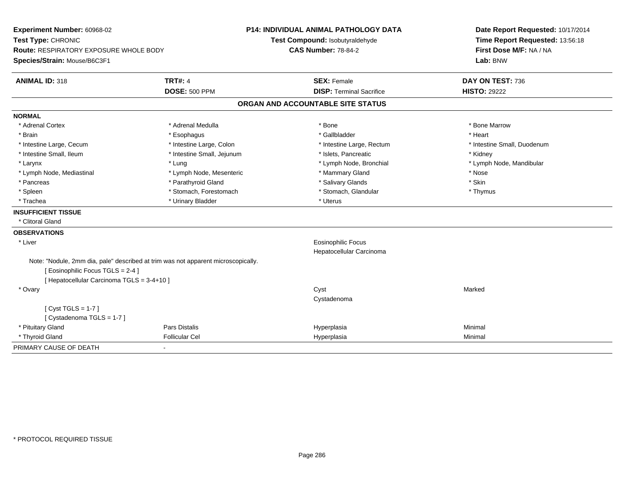| Experiment Number: 60968-02<br>Test Type: CHRONIC                                 |                            | P14: INDIVIDUAL ANIMAL PATHOLOGY DATA | Date Report Requested: 10/17/2014 |
|-----------------------------------------------------------------------------------|----------------------------|---------------------------------------|-----------------------------------|
|                                                                                   |                            | Test Compound: Isobutyraldehyde       | Time Report Requested: 13:56:18   |
| <b>Route: RESPIRATORY EXPOSURE WHOLE BODY</b>                                     |                            | <b>CAS Number: 78-84-2</b>            | First Dose M/F: NA / NA           |
| Species/Strain: Mouse/B6C3F1                                                      |                            |                                       | Lab: BNW                          |
| <b>ANIMAL ID: 318</b>                                                             | <b>TRT#: 4</b>             | <b>SEX: Female</b>                    | DAY ON TEST: 736                  |
|                                                                                   | <b>DOSE: 500 PPM</b>       | <b>DISP: Terminal Sacrifice</b>       | <b>HISTO: 29222</b>               |
|                                                                                   |                            | ORGAN AND ACCOUNTABLE SITE STATUS     |                                   |
| <b>NORMAL</b>                                                                     |                            |                                       |                                   |
| * Adrenal Cortex                                                                  | * Adrenal Medulla          | * Bone                                | * Bone Marrow                     |
| * Brain                                                                           | * Esophagus                | * Gallbladder                         | * Heart                           |
| * Intestine Large, Cecum                                                          | * Intestine Large, Colon   | * Intestine Large, Rectum             | * Intestine Small, Duodenum       |
| * Intestine Small, Ileum                                                          | * Intestine Small, Jejunum | * Islets, Pancreatic                  | * Kidney                          |
| * Larynx                                                                          | * Lung                     | * Lymph Node, Bronchial               | * Lymph Node, Mandibular          |
| * Lymph Node, Mediastinal                                                         | * Lymph Node, Mesenteric   | * Mammary Gland                       | * Nose                            |
| * Pancreas                                                                        | * Parathyroid Gland        | * Salivary Glands                     | * Skin                            |
| * Spleen                                                                          | * Stomach, Forestomach     | * Stomach, Glandular                  | * Thymus                          |
| * Trachea                                                                         | * Urinary Bladder          | * Uterus                              |                                   |
| <b>INSUFFICIENT TISSUE</b>                                                        |                            |                                       |                                   |
| * Clitoral Gland                                                                  |                            |                                       |                                   |
| <b>OBSERVATIONS</b>                                                               |                            |                                       |                                   |
| * Liver                                                                           |                            | <b>Eosinophilic Focus</b>             |                                   |
|                                                                                   |                            | Hepatocellular Carcinoma              |                                   |
| Note: "Nodule, 2mm dia, pale" described at trim was not apparent microscopically. |                            |                                       |                                   |
| [ Eosinophilic Focus TGLS = 2-4 ]                                                 |                            |                                       |                                   |
| [ Hepatocellular Carcinoma TGLS = 3-4+10 ]                                        |                            |                                       |                                   |
| * Ovary                                                                           |                            | Cyst<br>Cystadenoma                   | Marked                            |
| [Cyst TGLS = $1-7$ ]                                                              |                            |                                       |                                   |
| [ Cystadenoma TGLS = 1-7 ]                                                        |                            |                                       |                                   |
| * Pituitary Gland                                                                 | Pars Distalis              | Hyperplasia                           | Minimal                           |
| * Thyroid Gland                                                                   | <b>Follicular Cel</b>      | Hyperplasia                           | Minimal                           |
| PRIMARY CAUSE OF DEATH                                                            |                            |                                       |                                   |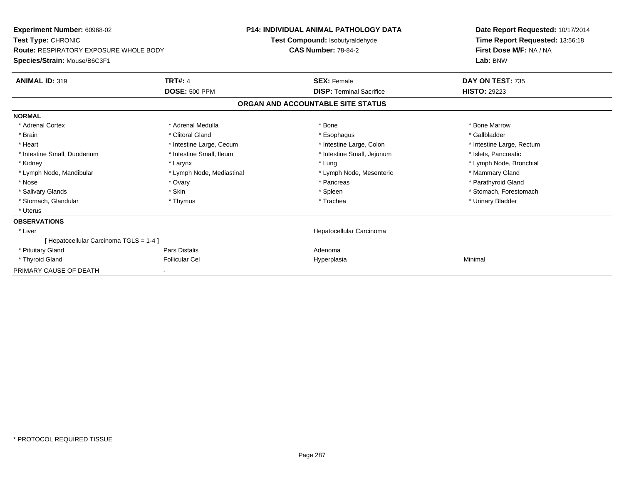| <b>Experiment Number: 60968-02</b><br>Test Type: CHRONIC               |                           | <b>P14: INDIVIDUAL ANIMAL PATHOLOGY DATA</b><br>Test Compound: Isobutyraldehyde | Date Report Requested: 10/17/2014<br>Time Report Requested: 13:56:18 |  |
|------------------------------------------------------------------------|---------------------------|---------------------------------------------------------------------------------|----------------------------------------------------------------------|--|
| Route: RESPIRATORY EXPOSURE WHOLE BODY<br>Species/Strain: Mouse/B6C3F1 |                           | <b>CAS Number: 78-84-2</b>                                                      | First Dose M/F: NA / NA<br>Lab: BNW                                  |  |
| <b>ANIMAL ID: 319</b>                                                  | <b>TRT#: 4</b>            | <b>SEX: Female</b>                                                              | DAY ON TEST: 735                                                     |  |
|                                                                        | <b>DOSE: 500 PPM</b>      | <b>DISP: Terminal Sacrifice</b>                                                 | <b>HISTO: 29223</b>                                                  |  |
|                                                                        |                           | ORGAN AND ACCOUNTABLE SITE STATUS                                               |                                                                      |  |
| <b>NORMAL</b>                                                          |                           |                                                                                 |                                                                      |  |
| * Adrenal Cortex                                                       | * Adrenal Medulla         | * Bone                                                                          | * Bone Marrow                                                        |  |
| * Brain                                                                | * Clitoral Gland          | * Esophagus                                                                     | * Gallbladder                                                        |  |
| * Heart                                                                | * Intestine Large, Cecum  | * Intestine Large, Colon                                                        | * Intestine Large, Rectum                                            |  |
| * Intestine Small, Duodenum                                            | * Intestine Small, Ileum  | * Intestine Small, Jejunum                                                      | * Islets, Pancreatic                                                 |  |
| * Kidney                                                               | * Larynx                  | * Lung                                                                          | * Lymph Node, Bronchial                                              |  |
| * Lymph Node, Mandibular                                               | * Lymph Node, Mediastinal | * Lymph Node, Mesenteric                                                        | * Mammary Gland                                                      |  |
| * Nose                                                                 | * Ovary                   | * Pancreas                                                                      | * Parathyroid Gland                                                  |  |
| * Salivary Glands                                                      | * Skin                    | * Spleen                                                                        | * Stomach, Forestomach                                               |  |
| * Stomach, Glandular                                                   | * Thymus                  | * Trachea                                                                       | * Urinary Bladder                                                    |  |
| * Uterus                                                               |                           |                                                                                 |                                                                      |  |
| <b>OBSERVATIONS</b>                                                    |                           |                                                                                 |                                                                      |  |
| * Liver                                                                |                           | Hepatocellular Carcinoma                                                        |                                                                      |  |
| [Hepatocellular Carcinoma TGLS = 1-4]                                  |                           |                                                                                 |                                                                      |  |
| * Pituitary Gland                                                      | Pars Distalis             | Adenoma                                                                         |                                                                      |  |
| * Thyroid Gland                                                        | <b>Follicular Cel</b>     | Hyperplasia                                                                     | Minimal                                                              |  |
| PRIMARY CAUSE OF DEATH                                                 |                           |                                                                                 |                                                                      |  |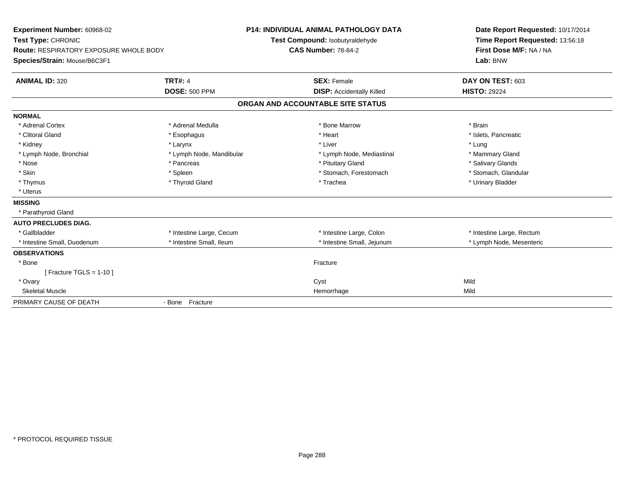| Experiment Number: 60968-02<br>Test Type: CHRONIC<br>Route: RESPIRATORY EXPOSURE WHOLE BODY<br>Species/Strain: Mouse/B6C3F1<br><b>ANIMAL ID: 320</b> | <b>TRT#: 4</b>           | <b>P14: INDIVIDUAL ANIMAL PATHOLOGY DATA</b><br>Test Compound: Isobutyraldehyde<br><b>CAS Number: 78-84-2</b><br><b>SEX: Female</b> |                                  | Date Report Requested: 10/17/2014<br>Time Report Requested: 13:56:18<br>First Dose M/F: NA / NA<br>Lab: BNW<br>DAY ON TEST: 603 |
|------------------------------------------------------------------------------------------------------------------------------------------------------|--------------------------|-------------------------------------------------------------------------------------------------------------------------------------|----------------------------------|---------------------------------------------------------------------------------------------------------------------------------|
|                                                                                                                                                      | <b>DOSE: 500 PPM</b>     |                                                                                                                                     | <b>DISP:</b> Accidentally Killed | <b>HISTO: 29224</b>                                                                                                             |
|                                                                                                                                                      |                          | ORGAN AND ACCOUNTABLE SITE STATUS                                                                                                   |                                  |                                                                                                                                 |
| <b>NORMAL</b>                                                                                                                                        |                          |                                                                                                                                     |                                  |                                                                                                                                 |
| * Adrenal Cortex                                                                                                                                     | * Adrenal Medulla        | * Bone Marrow                                                                                                                       |                                  | * Brain                                                                                                                         |
| * Clitoral Gland                                                                                                                                     | * Esophagus              | * Heart                                                                                                                             |                                  | * Islets, Pancreatic                                                                                                            |
| * Kidney                                                                                                                                             | * Larynx                 | * Liver                                                                                                                             |                                  | * Lung                                                                                                                          |
| * Lymph Node, Bronchial                                                                                                                              | * Lymph Node, Mandibular |                                                                                                                                     | * Lymph Node, Mediastinal        | * Mammary Gland                                                                                                                 |
| * Nose                                                                                                                                               | * Pancreas               | * Pituitary Gland                                                                                                                   |                                  | * Salivary Glands                                                                                                               |
| * Skin                                                                                                                                               | * Spleen                 |                                                                                                                                     | * Stomach, Forestomach           | * Stomach, Glandular                                                                                                            |
| * Thymus                                                                                                                                             | * Thyroid Gland          | * Trachea                                                                                                                           |                                  | * Urinary Bladder                                                                                                               |
| * Uterus                                                                                                                                             |                          |                                                                                                                                     |                                  |                                                                                                                                 |
| <b>MISSING</b>                                                                                                                                       |                          |                                                                                                                                     |                                  |                                                                                                                                 |
| * Parathyroid Gland                                                                                                                                  |                          |                                                                                                                                     |                                  |                                                                                                                                 |
| <b>AUTO PRECLUDES DIAG.</b>                                                                                                                          |                          |                                                                                                                                     |                                  |                                                                                                                                 |
| * Gallbladder                                                                                                                                        | * Intestine Large, Cecum |                                                                                                                                     | * Intestine Large, Colon         | * Intestine Large, Rectum                                                                                                       |
| * Intestine Small, Duodenum                                                                                                                          | * Intestine Small, Ileum |                                                                                                                                     | * Intestine Small, Jejunum       | * Lymph Node, Mesenteric                                                                                                        |
| <b>OBSERVATIONS</b>                                                                                                                                  |                          |                                                                                                                                     |                                  |                                                                                                                                 |
| * Bone                                                                                                                                               |                          | Fracture                                                                                                                            |                                  |                                                                                                                                 |
| [Fracture TGLS = 1-10]                                                                                                                               |                          |                                                                                                                                     |                                  |                                                                                                                                 |
| * Ovary                                                                                                                                              |                          | Cyst                                                                                                                                |                                  | Mild                                                                                                                            |
| Skeletal Muscle                                                                                                                                      |                          | Hemorrhage                                                                                                                          |                                  | Mild                                                                                                                            |
| PRIMARY CAUSE OF DEATH                                                                                                                               | - Bone Fracture          |                                                                                                                                     |                                  |                                                                                                                                 |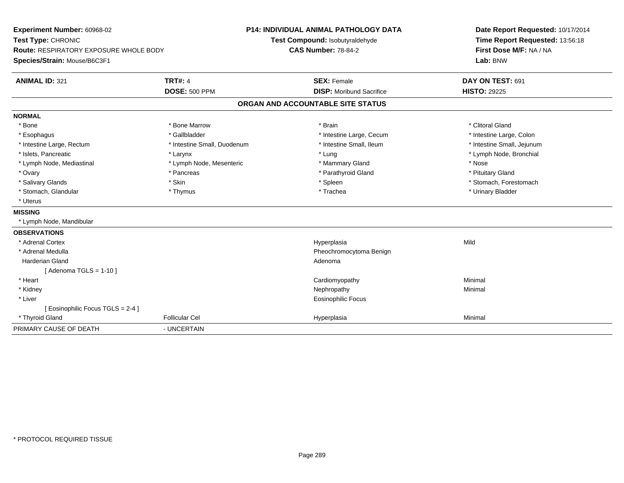**Experiment Number:** 60968-02**Test Type:** CHRONIC **Route:** RESPIRATORY EXPOSURE WHOLE BODY**Species/Strain:** Mouse/B6C3F1**P14: INDIVIDUAL ANIMAL PATHOLOGY DATATest Compound:** Isobutyraldehyde**CAS Number:** 78-84-2**Date Report Requested:** 10/17/2014**Time Report Requested:** 13:56:18**First Dose M/F:** NA / NA**Lab:** BNW**ANIMAL ID:** 321**TRT#:** 4 **SEX:** Female **SEX: Female DAY ON TEST:** 691 **DOSE:** 500 PPM**DISP:** Moribund Sacrifice **HISTO:** 29225 **ORGAN AND ACCOUNTABLE SITE STATUSNORMAL**\* Bone \* Bone \* And \* Bone Marrow \* And \* Bone Marrow \* And \* Brain \* Clitoral Gland \* Clitoral Gland \* Clitoral Gland \* Intestine Large, Colon \* Esophagus \* Intestine Large, Cecum \* Callbladder \* 10 \* Intestine Large, Cecum \* Intestine Large, Cecum \* \* Intestine Large, Rectum \* Thestine Small, Duodenum \* Number of the small, Ileum \* Intestine Small, Jejunum \* Intestine Small, Jejunum \* Islets, Pancreatic \* Larynx \* Lung \* Lymph Node, Bronchial \* Lymph Node, Mediastinal \* Nose \* Lymph Node, Mesenteric \* \* Mammary Gland \* Memmary Gland \* Nose \* Pituitary Gland \* Ovary \* Pancreas \* Pancreas \* Pancreas \* Parathyroid Gland \* Parathyroid Gland \* Salivary Glands \* The stomach \* Skin \* Spleen \* Spleen \* Stomach, Forestomach \* Stomach, Forestomach \* Stomach, Forestomach \* Stomach, Glandular \* Thymus \* Thymus \* Thymus \* Trachea \* Trachea \* Trachea \* Urinary Bladder \* Uterus**MISSING** \* Lymph Node, Mandibular**OBSERVATIONS** \* Adrenal Cortexx and the control of the control of the control of the control of the control of the control of the control of the control of the control of the control of the control of the control of the control of the control of the co a Mild \* Adrenal Medulla Pheochromocytoma Benign Harderian Glandd and a state of the control of the control of the control of the control of the control of the control of the control of the control of the control of the control of the control of the control of the control of the contro  $[$  Adenoma TGLS = 1-10  $]$  \* Heart Cardiomyopathy Minimal \* Kidneyy the control of the control of the control of the control of the control of the control of the control of the control of the control of the control of the control of the control of the control of the control of the contro \* Liver Eosinophilic Focus[ Eosinophilic Focus TGLS = 2-4 ] \* Thyroid Gland Follicular Cel Hyperplasia Minimal PRIMARY CAUSE OF DEATH- UNCERTAIN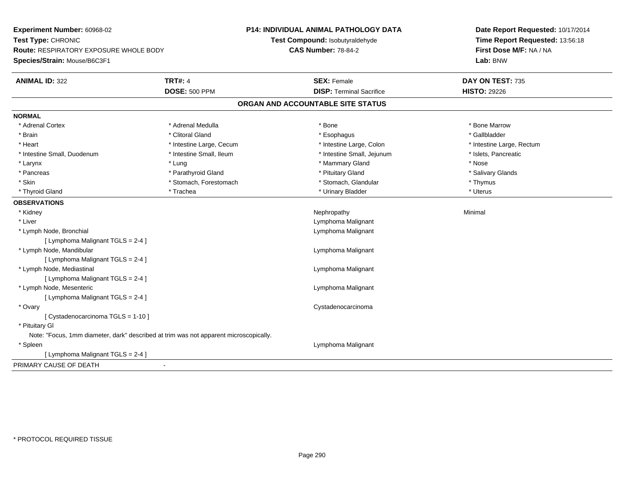**Experiment Number:** 60968-02**Test Type:** CHRONIC **Route:** RESPIRATORY EXPOSURE WHOLE BODY**Species/Strain:** Mouse/B6C3F1**P14: INDIVIDUAL ANIMAL PATHOLOGY DATATest Compound:** Isobutyraldehyde**CAS Number:** 78-84-2**Date Report Requested:** 10/17/2014**Time Report Requested:** 13:56:18**First Dose M/F:** NA / NA**Lab:** BNW**ANIMAL ID:** 322**TRT#:** 4 **SEX:** Female **SEX: Female DAY ON TEST:** 735 **DOSE:** 500 PPM**DISP:** Terminal Sacrifice **HISTO:** 29226 **ORGAN AND ACCOUNTABLE SITE STATUSNORMAL**\* Adrenal Cortex \* Adrenal Medulla \* Adrenal Medulla \* Bone \* Bone \* Bone \* Bone \* Bone Marrow \* Brain \* Allen the second of the second of the second of the second of the second of the second of the second terms of the second of the second of the second of the second of the second of the second of the second of the \* Heart **\*** Intestine Large, Cecum **\* Intestine Large, Cecum** \* Intestine Large, Colon \* Intestine Large, Rectum \* Intestine Large, Rectum \* Intestine Small, Duodenum \* Intestine Small, Ileum \* Intestine Small, Intestine Small, Jejunum \* Islets, Pancreatic \* Larynx \* Lung \* Mammary Gland \* Nose \* Salivary Glands \* Pancreas \* And the section of the section of the section of the section of the section of the section of the section of the section of the section of the section of the section of the section of the section of the sectio \* Skin \* Stomach, Forestomach \* Stomach \* Stomach, Glandular \* Thymus \* Thymus \* Uterus \* Thyroid Gland \* \* Trachea \* \* Trachea \* Trachea \* \* Urinary Bladder \* \* Urinary Bladder \* \* Uterus \* Uterus **OBSERVATIONS** \* Kidneyy the control of the control of the control of the control of the control of the control of the control of the control of the control of the control of the control of the control of the control of the control of the contro \* Liver Lymphoma Malignant \* Lymph Node, Bronchial Lymphoma Malignant[ Lymphoma Malignant TGLS = 2-4 ] \* Lymph Node, Mandibular Lymphoma Malignant [ Lymphoma Malignant TGLS = 2-4 ] \* Lymph Node, Mediastinal Lymphoma Malignant[ Lymphoma Malignant TGLS = 2-4 ] \* Lymph Node, Mesenteric Lymphoma Malignant [ Lymphoma Malignant TGLS = 2-4 ] \* Ovary Cystadenocarcinoma[ Cystadenocarcinoma TGLS = 1-10 ] \* Pituitary GlNote: "Focus, 1mm diameter, dark" described at trim was not apparent microscopically. \* Spleen Lymphoma Malignant [ Lymphoma Malignant TGLS = 2-4 ]PRIMARY CAUSE OF DEATH-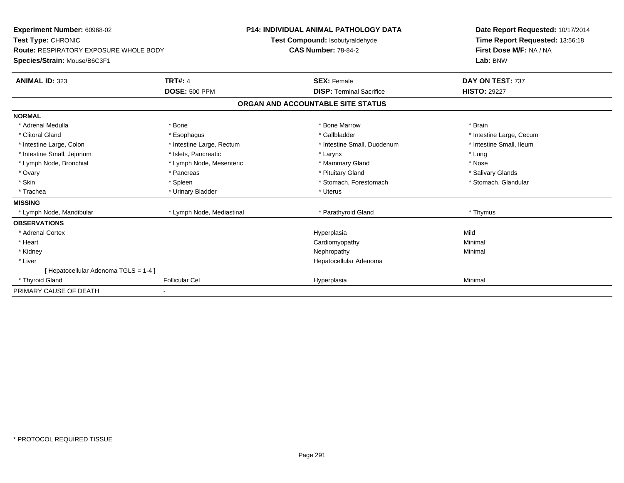| Experiment Number: 60968-02<br>Test Type: CHRONIC<br>Route: RESPIRATORY EXPOSURE WHOLE BODY<br>Species/Strain: Mouse/B6C3F1<br><b>ANIMAL ID: 323</b> | <b>P14: INDIVIDUAL ANIMAL PATHOLOGY DATA</b><br>Test Compound: Isobutyraldehyde<br><b>CAS Number: 78-84-2</b><br><b>TRT#: 4</b><br><b>SEX: Female</b> |                                   | Date Report Requested: 10/17/2014<br>Time Report Requested: 13:56:18<br>First Dose M/F: NA / NA<br>Lab: BNW<br>DAY ON TEST: 737 |                          |
|------------------------------------------------------------------------------------------------------------------------------------------------------|-------------------------------------------------------------------------------------------------------------------------------------------------------|-----------------------------------|---------------------------------------------------------------------------------------------------------------------------------|--------------------------|
|                                                                                                                                                      | <b>DOSE: 500 PPM</b>                                                                                                                                  |                                   | <b>DISP: Terminal Sacrifice</b>                                                                                                 | <b>HISTO: 29227</b>      |
|                                                                                                                                                      |                                                                                                                                                       | ORGAN AND ACCOUNTABLE SITE STATUS |                                                                                                                                 |                          |
| <b>NORMAL</b>                                                                                                                                        |                                                                                                                                                       |                                   |                                                                                                                                 |                          |
| * Adrenal Medulla                                                                                                                                    | * Bone                                                                                                                                                |                                   | * Bone Marrow                                                                                                                   | * Brain                  |
| * Clitoral Gland                                                                                                                                     | * Esophagus                                                                                                                                           |                                   | * Gallbladder                                                                                                                   | * Intestine Large, Cecum |
| * Intestine Large, Colon                                                                                                                             | * Intestine Large, Rectum                                                                                                                             |                                   | * Intestine Small, Duodenum                                                                                                     | * Intestine Small, Ileum |
| * Intestine Small, Jejunum                                                                                                                           | * Islets, Pancreatic                                                                                                                                  |                                   | * Larynx                                                                                                                        | * Lung                   |
| * Lymph Node, Bronchial                                                                                                                              | * Lymph Node, Mesenteric                                                                                                                              |                                   | * Mammary Gland                                                                                                                 | * Nose                   |
| * Ovary                                                                                                                                              | * Pancreas                                                                                                                                            |                                   | * Pituitary Gland                                                                                                               | * Salivary Glands        |
| * Skin                                                                                                                                               | * Spleen                                                                                                                                              |                                   | * Stomach, Forestomach                                                                                                          | * Stomach, Glandular     |
| * Trachea                                                                                                                                            | * Urinary Bladder                                                                                                                                     |                                   | * Uterus                                                                                                                        |                          |
| <b>MISSING</b>                                                                                                                                       |                                                                                                                                                       |                                   |                                                                                                                                 |                          |
| * Lymph Node, Mandibular                                                                                                                             | * Lymph Node, Mediastinal                                                                                                                             |                                   | * Parathyroid Gland                                                                                                             | * Thymus                 |
| <b>OBSERVATIONS</b>                                                                                                                                  |                                                                                                                                                       |                                   |                                                                                                                                 |                          |
| * Adrenal Cortex                                                                                                                                     |                                                                                                                                                       |                                   | Hyperplasia                                                                                                                     | Mild                     |
| * Heart                                                                                                                                              |                                                                                                                                                       |                                   | Cardiomyopathy                                                                                                                  | Minimal                  |
| * Kidney                                                                                                                                             |                                                                                                                                                       |                                   | Nephropathy                                                                                                                     | Minimal                  |
| * Liver                                                                                                                                              |                                                                                                                                                       |                                   | Hepatocellular Adenoma                                                                                                          |                          |
| [ Hepatocellular Adenoma TGLS = 1-4 ]                                                                                                                |                                                                                                                                                       |                                   |                                                                                                                                 |                          |
| * Thyroid Gland                                                                                                                                      | <b>Follicular Cel</b>                                                                                                                                 |                                   | Hyperplasia                                                                                                                     | Minimal                  |
| PRIMARY CAUSE OF DEATH                                                                                                                               |                                                                                                                                                       |                                   |                                                                                                                                 |                          |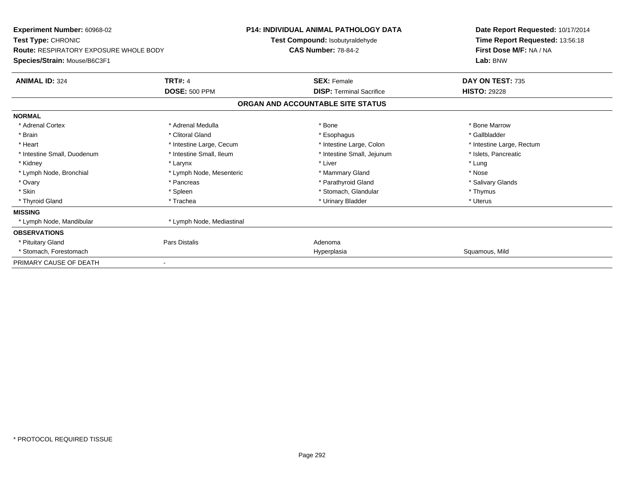| Experiment Number: 60968-02<br>Test Type: CHRONIC<br><b>Route: RESPIRATORY EXPOSURE WHOLE BODY</b> |                           | <b>P14: INDIVIDUAL ANIMAL PATHOLOGY DATA</b><br>Test Compound: Isobutyraldehyde<br><b>CAS Number: 78-84-2</b> | Date Report Requested: 10/17/2014<br>Time Report Requested: 13:56:18<br>First Dose M/F: NA / NA |
|----------------------------------------------------------------------------------------------------|---------------------------|---------------------------------------------------------------------------------------------------------------|-------------------------------------------------------------------------------------------------|
| Species/Strain: Mouse/B6C3F1                                                                       |                           |                                                                                                               | Lab: BNW                                                                                        |
| <b>ANIMAL ID: 324</b>                                                                              | <b>TRT#: 4</b>            | <b>SEX: Female</b>                                                                                            | DAY ON TEST: 735                                                                                |
|                                                                                                    | <b>DOSE: 500 PPM</b>      | <b>DISP: Terminal Sacrifice</b>                                                                               | <b>HISTO: 29228</b>                                                                             |
|                                                                                                    |                           | ORGAN AND ACCOUNTABLE SITE STATUS                                                                             |                                                                                                 |
| <b>NORMAL</b>                                                                                      |                           |                                                                                                               |                                                                                                 |
| * Adrenal Cortex                                                                                   | * Adrenal Medulla         | * Bone                                                                                                        | * Bone Marrow                                                                                   |
| * Brain                                                                                            | * Clitoral Gland          | * Esophagus                                                                                                   | * Gallbladder                                                                                   |
| * Heart                                                                                            | * Intestine Large, Cecum  | * Intestine Large, Colon                                                                                      | * Intestine Large, Rectum                                                                       |
| * Intestine Small, Duodenum                                                                        | * Intestine Small. Ileum  | * Intestine Small, Jejunum                                                                                    | * Islets, Pancreatic                                                                            |
| * Kidney                                                                                           | * Larynx                  | * Liver                                                                                                       | * Lung                                                                                          |
| * Lymph Node, Bronchial                                                                            | * Lymph Node, Mesenteric  | * Mammary Gland                                                                                               | * Nose                                                                                          |
| * Ovary                                                                                            | * Pancreas                | * Parathyroid Gland                                                                                           | * Salivary Glands                                                                               |
| * Skin                                                                                             | * Spleen                  | * Stomach, Glandular                                                                                          | * Thymus                                                                                        |
| * Thyroid Gland                                                                                    | * Trachea                 | * Urinary Bladder                                                                                             | * Uterus                                                                                        |
| <b>MISSING</b>                                                                                     |                           |                                                                                                               |                                                                                                 |
| * Lymph Node, Mandibular                                                                           | * Lymph Node, Mediastinal |                                                                                                               |                                                                                                 |
| <b>OBSERVATIONS</b>                                                                                |                           |                                                                                                               |                                                                                                 |
| * Pituitary Gland                                                                                  | Pars Distalis             | Adenoma                                                                                                       |                                                                                                 |
| * Stomach, Forestomach                                                                             |                           | Hyperplasia                                                                                                   | Squamous, Mild                                                                                  |
| PRIMARY CAUSE OF DEATH                                                                             | -                         |                                                                                                               |                                                                                                 |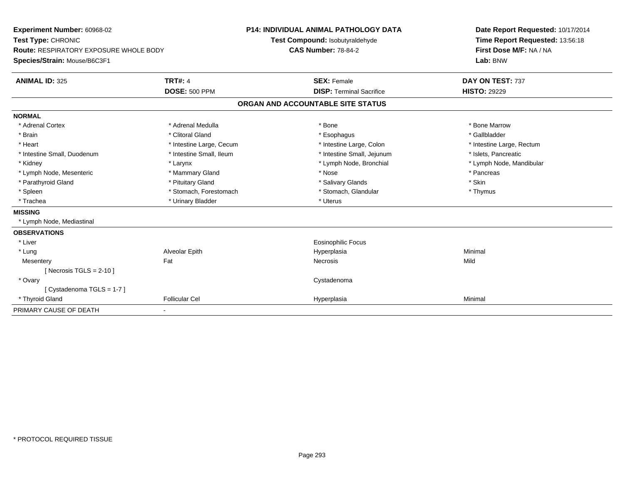| Experiment Number: 60968-02                   |                          | <b>P14: INDIVIDUAL ANIMAL PATHOLOGY DATA</b> | Date Report Requested: 10/17/2014 |  |
|-----------------------------------------------|--------------------------|----------------------------------------------|-----------------------------------|--|
| Test Type: CHRONIC                            |                          | Test Compound: Isobutyraldehyde              | Time Report Requested: 13:56:18   |  |
| <b>Route: RESPIRATORY EXPOSURE WHOLE BODY</b> |                          | <b>CAS Number: 78-84-2</b>                   | First Dose M/F: NA / NA           |  |
| Species/Strain: Mouse/B6C3F1                  |                          |                                              | Lab: BNW                          |  |
| <b>ANIMAL ID: 325</b>                         | <b>TRT#: 4</b>           | <b>SEX: Female</b>                           | DAY ON TEST: 737                  |  |
|                                               | <b>DOSE: 500 PPM</b>     | <b>DISP: Terminal Sacrifice</b>              | <b>HISTO: 29229</b>               |  |
|                                               |                          | ORGAN AND ACCOUNTABLE SITE STATUS            |                                   |  |
| <b>NORMAL</b>                                 |                          |                                              |                                   |  |
| * Adrenal Cortex                              | * Adrenal Medulla        | * Bone                                       | * Bone Marrow                     |  |
| * Brain                                       | * Clitoral Gland         | * Esophagus                                  | * Gallbladder                     |  |
| * Heart                                       | * Intestine Large, Cecum | * Intestine Large, Colon                     | * Intestine Large, Rectum         |  |
| * Intestine Small, Duodenum                   | * Intestine Small, Ileum | * Intestine Small, Jejunum                   | * Islets, Pancreatic              |  |
| * Kidney                                      | * Larynx                 | * Lymph Node, Bronchial                      | * Lymph Node, Mandibular          |  |
| * Lymph Node, Mesenteric                      | * Mammary Gland          | * Nose                                       | * Pancreas                        |  |
| * Parathyroid Gland                           | * Pituitary Gland        | * Salivary Glands                            | * Skin                            |  |
| * Spleen                                      | * Stomach, Forestomach   | * Stomach, Glandular                         | * Thymus                          |  |
| * Trachea                                     | * Urinary Bladder        | * Uterus                                     |                                   |  |
| <b>MISSING</b>                                |                          |                                              |                                   |  |
| * Lymph Node, Mediastinal                     |                          |                                              |                                   |  |
| <b>OBSERVATIONS</b>                           |                          |                                              |                                   |  |
| * Liver                                       |                          | <b>Eosinophilic Focus</b>                    |                                   |  |
| * Lung                                        | Alveolar Epith           | Hyperplasia                                  | Minimal                           |  |
| Mesentery                                     | Fat                      | Necrosis                                     | Mild                              |  |
| [Necrosis TGLS = $2-10$ ]                     |                          |                                              |                                   |  |
| * Ovary                                       |                          | Cystadenoma                                  |                                   |  |
| [Cystadenoma TGLS = 1-7]                      |                          |                                              |                                   |  |
| * Thyroid Gland                               | <b>Follicular Cel</b>    | Hyperplasia                                  | Minimal                           |  |
| PRIMARY CAUSE OF DEATH                        |                          |                                              |                                   |  |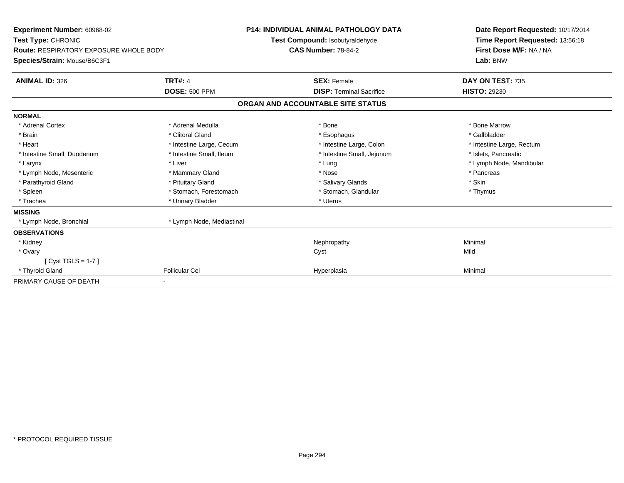| <b>Experiment Number: 60968-02</b><br>Test Type: CHRONIC<br><b>Route: RESPIRATORY EXPOSURE WHOLE BODY</b> |                           | <b>P14: INDIVIDUAL ANIMAL PATHOLOGY DATA</b><br>Test Compound: Isobutyraldehyde<br><b>CAS Number: 78-84-2</b> | Date Report Requested: 10/17/2014<br>Time Report Requested: 13:56:18<br>First Dose M/F: NA / NA |
|-----------------------------------------------------------------------------------------------------------|---------------------------|---------------------------------------------------------------------------------------------------------------|-------------------------------------------------------------------------------------------------|
| Species/Strain: Mouse/B6C3F1                                                                              |                           |                                                                                                               | Lab: BNW                                                                                        |
| <b>ANIMAL ID: 326</b>                                                                                     | <b>TRT#: 4</b>            | <b>SEX: Female</b>                                                                                            | DAY ON TEST: 735                                                                                |
|                                                                                                           | <b>DOSE: 500 PPM</b>      | <b>DISP: Terminal Sacrifice</b>                                                                               | <b>HISTO: 29230</b>                                                                             |
|                                                                                                           |                           | ORGAN AND ACCOUNTABLE SITE STATUS                                                                             |                                                                                                 |
| <b>NORMAL</b>                                                                                             |                           |                                                                                                               |                                                                                                 |
| * Adrenal Cortex                                                                                          | * Adrenal Medulla         | * Bone                                                                                                        | * Bone Marrow                                                                                   |
| * Brain                                                                                                   | * Clitoral Gland          | * Esophagus                                                                                                   | * Gallbladder                                                                                   |
| * Heart                                                                                                   | * Intestine Large, Cecum  | * Intestine Large, Colon                                                                                      | * Intestine Large, Rectum                                                                       |
| * Intestine Small, Duodenum                                                                               | * Intestine Small, Ileum  | * Intestine Small, Jejunum                                                                                    | * Islets, Pancreatic                                                                            |
| * Larynx                                                                                                  | * Liver                   | * Lung                                                                                                        | * Lymph Node, Mandibular                                                                        |
| * Lymph Node, Mesenteric                                                                                  | * Mammary Gland           | * Nose                                                                                                        | * Pancreas                                                                                      |
| * Parathyroid Gland                                                                                       | * Pituitary Gland         | * Salivary Glands                                                                                             | * Skin                                                                                          |
| * Spleen                                                                                                  | * Stomach, Forestomach    | * Stomach, Glandular                                                                                          | * Thymus                                                                                        |
| * Trachea                                                                                                 | * Urinary Bladder         | * Uterus                                                                                                      |                                                                                                 |
| <b>MISSING</b>                                                                                            |                           |                                                                                                               |                                                                                                 |
| * Lymph Node, Bronchial                                                                                   | * Lymph Node, Mediastinal |                                                                                                               |                                                                                                 |
| <b>OBSERVATIONS</b>                                                                                       |                           |                                                                                                               |                                                                                                 |
| * Kidney                                                                                                  |                           | Nephropathy                                                                                                   | Minimal                                                                                         |
| * Ovary                                                                                                   |                           | Cyst                                                                                                          | Mild                                                                                            |
| $Cvst TGLS = 1-7$                                                                                         |                           |                                                                                                               |                                                                                                 |
| * Thyroid Gland                                                                                           | <b>Follicular Cel</b>     | Hyperplasia                                                                                                   | Minimal                                                                                         |
| PRIMARY CAUSE OF DEATH                                                                                    |                           |                                                                                                               |                                                                                                 |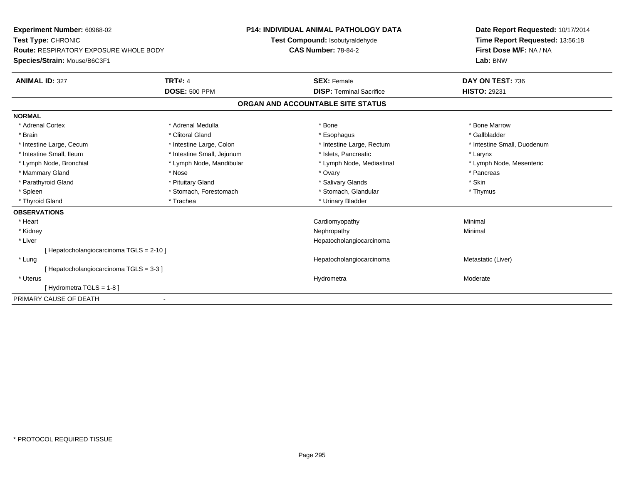| Experiment Number: 60968-02              |                            | P14: INDIVIDUAL ANIMAL PATHOLOGY DATA |  | Date Report Requested: 10/17/2014 |
|------------------------------------------|----------------------------|---------------------------------------|--|-----------------------------------|
| Test Type: CHRONIC                       |                            | Test Compound: Isobutyraldehyde       |  | Time Report Requested: 13:56:18   |
| Route: RESPIRATORY EXPOSURE WHOLE BODY   |                            | <b>CAS Number: 78-84-2</b>            |  | First Dose M/F: NA / NA           |
| Species/Strain: Mouse/B6C3F1             |                            |                                       |  | Lab: BNW                          |
| <b>ANIMAL ID: 327</b>                    | <b>TRT#: 4</b>             | <b>SEX: Female</b>                    |  | DAY ON TEST: 736                  |
|                                          | <b>DOSE: 500 PPM</b>       | <b>DISP: Terminal Sacrifice</b>       |  | <b>HISTO: 29231</b>               |
|                                          |                            | ORGAN AND ACCOUNTABLE SITE STATUS     |  |                                   |
| <b>NORMAL</b>                            |                            |                                       |  |                                   |
| * Adrenal Cortex                         | * Adrenal Medulla          | * Bone                                |  | * Bone Marrow                     |
| * Brain                                  | * Clitoral Gland           | * Esophagus                           |  | * Gallbladder                     |
| * Intestine Large, Cecum                 | * Intestine Large, Colon   | * Intestine Large, Rectum             |  | * Intestine Small, Duodenum       |
| * Intestine Small, Ileum                 | * Intestine Small, Jejunum | * Islets, Pancreatic                  |  | * Larynx                          |
| * Lymph Node, Bronchial                  | * Lymph Node, Mandibular   | * Lymph Node, Mediastinal             |  | * Lymph Node, Mesenteric          |
| * Mammary Gland                          | * Nose                     | * Ovary                               |  | * Pancreas                        |
| * Parathyroid Gland                      | * Pituitary Gland          | * Salivary Glands                     |  | * Skin                            |
| * Spleen                                 | * Stomach, Forestomach     | * Stomach, Glandular                  |  | * Thymus                          |
| * Thyroid Gland                          | * Trachea                  | * Urinary Bladder                     |  |                                   |
| <b>OBSERVATIONS</b>                      |                            |                                       |  |                                   |
| * Heart                                  |                            | Cardiomyopathy                        |  | Minimal                           |
| * Kidney                                 |                            | Nephropathy                           |  | Minimal                           |
| * Liver                                  |                            | Hepatocholangiocarcinoma              |  |                                   |
| [ Hepatocholangiocarcinoma TGLS = 2-10 ] |                            |                                       |  |                                   |
| * Lung                                   |                            | Hepatocholangiocarcinoma              |  | Metastatic (Liver)                |
| [Hepatocholangiocarcinoma TGLS = 3-3 ]   |                            |                                       |  |                                   |
| * Uterus                                 |                            | Hydrometra                            |  | Moderate                          |
| [Hydrometra TGLS = 1-8]                  |                            |                                       |  |                                   |
| PRIMARY CAUSE OF DEATH                   |                            |                                       |  |                                   |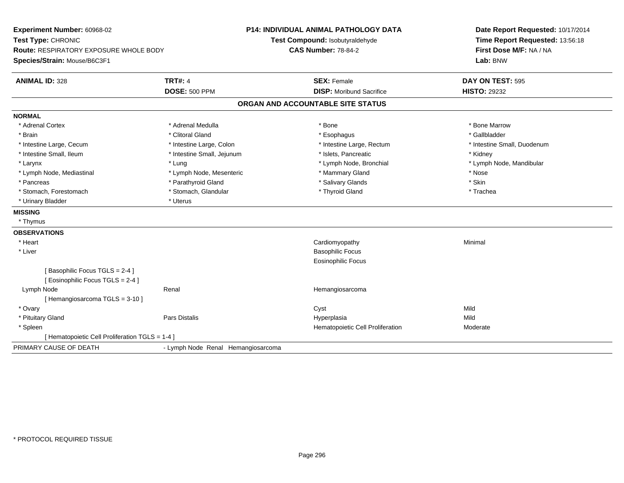| Experiment Number: 60968-02                     |                                    | <b>P14: INDIVIDUAL ANIMAL PATHOLOGY DATA</b> | Date Report Requested: 10/17/2014   |  |
|-------------------------------------------------|------------------------------------|----------------------------------------------|-------------------------------------|--|
| Test Type: CHRONIC                              |                                    | Test Compound: Isobutyraldehyde              | Time Report Requested: 13:56:18     |  |
| <b>Route: RESPIRATORY EXPOSURE WHOLE BODY</b>   |                                    | <b>CAS Number: 78-84-2</b>                   | First Dose M/F: NA / NA<br>Lab: BNW |  |
| Species/Strain: Mouse/B6C3F1                    |                                    |                                              |                                     |  |
| <b>ANIMAL ID: 328</b>                           | <b>TRT#: 4</b>                     | <b>SEX: Female</b>                           | DAY ON TEST: 595                    |  |
|                                                 | <b>DOSE: 500 PPM</b>               | <b>DISP:</b> Moribund Sacrifice              | <b>HISTO: 29232</b>                 |  |
|                                                 |                                    | ORGAN AND ACCOUNTABLE SITE STATUS            |                                     |  |
| <b>NORMAL</b>                                   |                                    |                                              |                                     |  |
| * Adrenal Cortex                                | * Adrenal Medulla                  | * Bone                                       | * Bone Marrow                       |  |
| * Brain                                         | * Clitoral Gland                   | * Esophagus                                  | * Gallbladder                       |  |
| * Intestine Large, Cecum                        | * Intestine Large, Colon           | * Intestine Large, Rectum                    | * Intestine Small, Duodenum         |  |
| * Intestine Small, Ileum                        | * Intestine Small, Jejunum         | * Islets. Pancreatic                         | * Kidney                            |  |
| * Larynx                                        | * Lung                             | * Lymph Node, Bronchial                      | * Lymph Node, Mandibular            |  |
| * Lymph Node, Mediastinal                       | * Lymph Node, Mesenteric           | * Mammary Gland                              | * Nose                              |  |
| * Pancreas                                      | * Parathyroid Gland                | * Salivary Glands                            | * Skin                              |  |
| * Stomach, Forestomach                          | * Stomach, Glandular               | * Thyroid Gland                              | * Trachea                           |  |
| * Urinary Bladder                               | * Uterus                           |                                              |                                     |  |
| <b>MISSING</b>                                  |                                    |                                              |                                     |  |
| * Thymus                                        |                                    |                                              |                                     |  |
| <b>OBSERVATIONS</b>                             |                                    |                                              |                                     |  |
| * Heart                                         |                                    | Cardiomyopathy                               | Minimal                             |  |
| * Liver                                         |                                    | <b>Basophilic Focus</b>                      |                                     |  |
|                                                 |                                    | Eosinophilic Focus                           |                                     |  |
| [Basophilic Focus TGLS = 2-4]                   |                                    |                                              |                                     |  |
| [ Eosinophilic Focus TGLS = 2-4 ]               |                                    |                                              |                                     |  |
| Lymph Node                                      | Renal                              | Hemangiosarcoma                              |                                     |  |
| [Hemangiosarcoma TGLS = 3-10]                   |                                    |                                              |                                     |  |
| * Ovary                                         |                                    | Cyst                                         | Mild                                |  |
| * Pituitary Gland                               | <b>Pars Distalis</b>               | Hyperplasia                                  | Mild                                |  |
| * Spleen                                        |                                    | Hematopoietic Cell Proliferation             | Moderate                            |  |
| [ Hematopoietic Cell Proliferation TGLS = 1-4 ] |                                    |                                              |                                     |  |
| PRIMARY CAUSE OF DEATH                          | - Lymph Node Renal Hemangiosarcoma |                                              |                                     |  |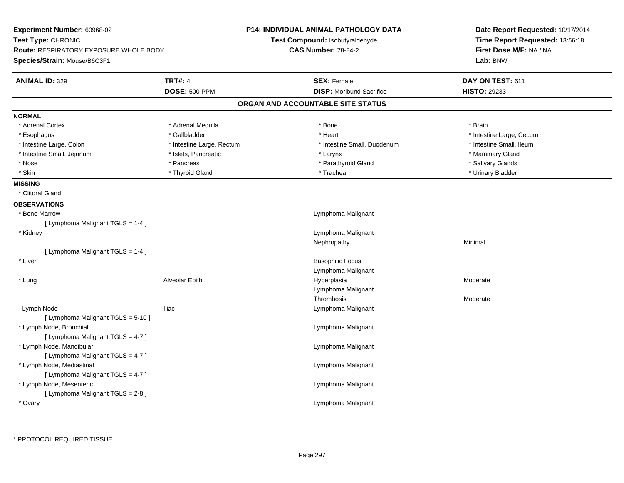| <b>Experiment Number: 60968-02</b>            |                           | <b>P14: INDIVIDUAL ANIMAL PATHOLOGY DATA</b> | Date Report Requested: 10/17/2014 |  |
|-----------------------------------------------|---------------------------|----------------------------------------------|-----------------------------------|--|
| Test Type: CHRONIC                            |                           | Test Compound: Isobutyraldehyde              | Time Report Requested: 13:56:18   |  |
| <b>Route: RESPIRATORY EXPOSURE WHOLE BODY</b> |                           | <b>CAS Number: 78-84-2</b>                   | First Dose M/F: NA / NA           |  |
| Species/Strain: Mouse/B6C3F1                  |                           |                                              | Lab: BNW                          |  |
| <b>ANIMAL ID: 329</b>                         | <b>TRT#: 4</b>            | <b>SEX: Female</b>                           | DAY ON TEST: 611                  |  |
|                                               | <b>DOSE: 500 PPM</b>      | <b>DISP:</b> Moribund Sacrifice              | <b>HISTO: 29233</b>               |  |
|                                               |                           | ORGAN AND ACCOUNTABLE SITE STATUS            |                                   |  |
| <b>NORMAL</b>                                 |                           |                                              |                                   |  |
| * Adrenal Cortex                              | * Adrenal Medulla         | * Bone                                       | * Brain                           |  |
| * Esophagus                                   | * Gallbladder             | * Heart                                      | * Intestine Large, Cecum          |  |
| * Intestine Large, Colon                      | * Intestine Large, Rectum | * Intestine Small, Duodenum                  | * Intestine Small, Ileum          |  |
| * Intestine Small, Jejunum                    | * Islets, Pancreatic      | * Larynx                                     | * Mammary Gland                   |  |
| * Nose                                        | * Pancreas                | * Parathyroid Gland                          | * Salivary Glands                 |  |
| * Skin                                        | * Thyroid Gland           | * Trachea                                    | * Urinary Bladder                 |  |
| <b>MISSING</b>                                |                           |                                              |                                   |  |
| * Clitoral Gland                              |                           |                                              |                                   |  |
| <b>OBSERVATIONS</b>                           |                           |                                              |                                   |  |
| * Bone Marrow                                 |                           | Lymphoma Malignant                           |                                   |  |
| [ Lymphoma Malignant TGLS = 1-4 ]             |                           |                                              |                                   |  |
| * Kidney                                      |                           | Lymphoma Malignant                           |                                   |  |
|                                               |                           | Nephropathy                                  | Minimal                           |  |
| [ Lymphoma Malignant TGLS = 1-4 ]             |                           |                                              |                                   |  |
| * Liver                                       |                           | <b>Basophilic Focus</b>                      |                                   |  |
|                                               |                           | Lymphoma Malignant                           |                                   |  |
| * Lung                                        | Alveolar Epith            | Hyperplasia                                  | Moderate                          |  |
|                                               |                           | Lymphoma Malignant                           |                                   |  |
|                                               |                           | Thrombosis                                   | Moderate                          |  |
| Lymph Node                                    | <b>Iliac</b>              | Lymphoma Malignant                           |                                   |  |
| [ Lymphoma Malignant TGLS = 5-10 ]            |                           |                                              |                                   |  |
| * Lymph Node, Bronchial                       |                           | Lymphoma Malignant                           |                                   |  |
| [ Lymphoma Malignant TGLS = 4-7 ]             |                           |                                              |                                   |  |
| * Lymph Node, Mandibular                      |                           | Lymphoma Malignant                           |                                   |  |
| [ Lymphoma Malignant TGLS = 4-7 ]             |                           |                                              |                                   |  |
| * Lymph Node, Mediastinal                     |                           | Lymphoma Malignant                           |                                   |  |
| [ Lymphoma Malignant TGLS = 4-7 ]             |                           |                                              |                                   |  |
| * Lymph Node, Mesenteric                      |                           | Lymphoma Malignant                           |                                   |  |
| [ Lymphoma Malignant TGLS = 2-8 ]             |                           |                                              |                                   |  |
| * Ovary                                       |                           | Lymphoma Malignant                           |                                   |  |
|                                               |                           |                                              |                                   |  |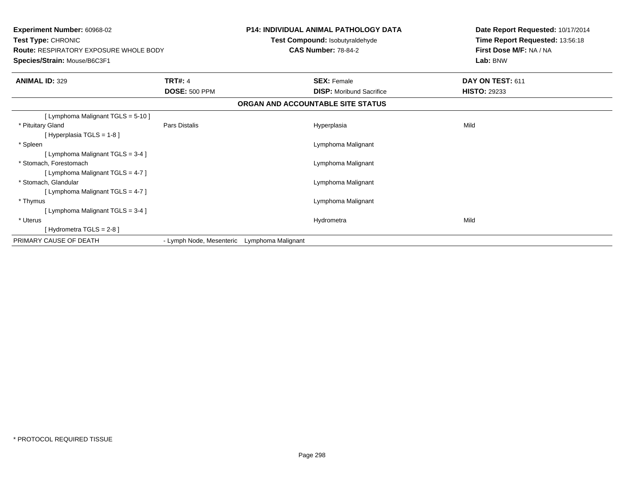| Experiment Number: 60968-02<br>Test Type: CHRONIC<br><b>Route: RESPIRATORY EXPOSURE WHOLE BODY</b><br>Species/Strain: Mouse/B6C3F1 |                          | <b>P14: INDIVIDUAL ANIMAL PATHOLOGY DATA</b><br>Test Compound: Isobutyraldehyde<br><b>CAS Number: 78-84-2</b> |                                   | Date Report Requested: 10/17/2014<br>Time Report Requested: 13:56:18<br>First Dose M/F: NA / NA<br>Lab: BNW |
|------------------------------------------------------------------------------------------------------------------------------------|--------------------------|---------------------------------------------------------------------------------------------------------------|-----------------------------------|-------------------------------------------------------------------------------------------------------------|
| <b>ANIMAL ID: 329</b>                                                                                                              | <b>TRT#: 4</b>           |                                                                                                               | <b>SEX: Female</b>                | DAY ON TEST: 611                                                                                            |
|                                                                                                                                    | <b>DOSE: 500 PPM</b>     |                                                                                                               | <b>DISP:</b> Moribund Sacrifice   | <b>HISTO: 29233</b>                                                                                         |
|                                                                                                                                    |                          |                                                                                                               | ORGAN AND ACCOUNTABLE SITE STATUS |                                                                                                             |
| [ Lymphoma Malignant TGLS = 5-10 ]                                                                                                 |                          |                                                                                                               |                                   |                                                                                                             |
| * Pituitary Gland                                                                                                                  | <b>Pars Distalis</b>     |                                                                                                               | Hyperplasia                       | Mild                                                                                                        |
| [Hyperplasia TGLS = 1-8]                                                                                                           |                          |                                                                                                               |                                   |                                                                                                             |
| * Spleen                                                                                                                           |                          |                                                                                                               | Lymphoma Malignant                |                                                                                                             |
| [ Lymphoma Malignant TGLS = 3-4 ]                                                                                                  |                          |                                                                                                               |                                   |                                                                                                             |
| * Stomach. Forestomach                                                                                                             |                          |                                                                                                               | Lymphoma Malignant                |                                                                                                             |
| [ Lymphoma Malignant TGLS = 4-7 ]                                                                                                  |                          |                                                                                                               |                                   |                                                                                                             |
| * Stomach, Glandular                                                                                                               |                          |                                                                                                               | Lymphoma Malignant                |                                                                                                             |
| [ Lymphoma Malignant TGLS = 4-7 ]                                                                                                  |                          |                                                                                                               |                                   |                                                                                                             |
| * Thymus                                                                                                                           |                          |                                                                                                               | Lymphoma Malignant                |                                                                                                             |
| [Lymphoma Malignant TGLS = 3-4]                                                                                                    |                          |                                                                                                               |                                   |                                                                                                             |
| * Uterus                                                                                                                           |                          |                                                                                                               | Hydrometra                        | Mild                                                                                                        |
| [Hydrometra TGLS = $2-8$ ]                                                                                                         |                          |                                                                                                               |                                   |                                                                                                             |
| PRIMARY CAUSE OF DEATH                                                                                                             | - Lymph Node, Mesenteric | Lymphoma Malignant                                                                                            |                                   |                                                                                                             |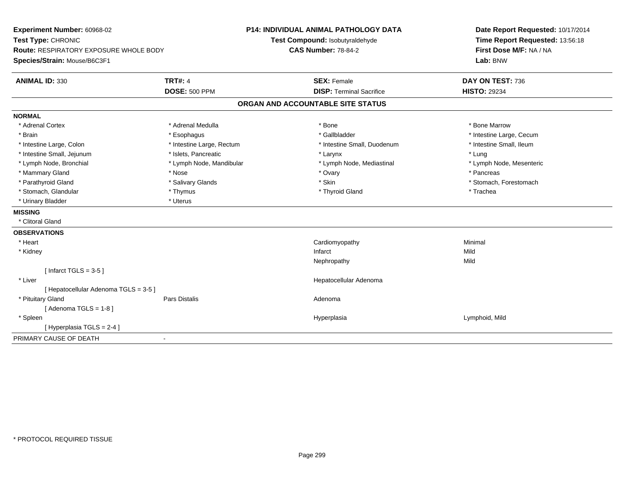| Experiment Number: 60968-02<br>Test Type: CHRONIC<br>Route: RESPIRATORY EXPOSURE WHOLE BODY<br>Species/Strain: Mouse/B6C3F1 |                           | <b>P14: INDIVIDUAL ANIMAL PATHOLOGY DATA</b><br>Test Compound: Isobutyraldehyde<br><b>CAS Number: 78-84-2</b> |                                 | Date Report Requested: 10/17/2014<br>Time Report Requested: 13:56:18<br>First Dose M/F: NA / NA<br>Lab: BNW |  |
|-----------------------------------------------------------------------------------------------------------------------------|---------------------------|---------------------------------------------------------------------------------------------------------------|---------------------------------|-------------------------------------------------------------------------------------------------------------|--|
| <b>ANIMAL ID: 330</b>                                                                                                       | <b>TRT#: 4</b>            |                                                                                                               | <b>SEX: Female</b>              | DAY ON TEST: 736                                                                                            |  |
|                                                                                                                             | <b>DOSE: 500 PPM</b>      |                                                                                                               | <b>DISP: Terminal Sacrifice</b> | <b>HISTO: 29234</b>                                                                                         |  |
|                                                                                                                             |                           | ORGAN AND ACCOUNTABLE SITE STATUS                                                                             |                                 |                                                                                                             |  |
| <b>NORMAL</b>                                                                                                               |                           |                                                                                                               |                                 |                                                                                                             |  |
| * Adrenal Cortex                                                                                                            | * Adrenal Medulla         | * Bone                                                                                                        |                                 | * Bone Marrow                                                                                               |  |
| * Brain                                                                                                                     | * Esophagus               |                                                                                                               | * Gallbladder                   | * Intestine Large, Cecum                                                                                    |  |
| * Intestine Large, Colon                                                                                                    | * Intestine Large, Rectum |                                                                                                               | * Intestine Small, Duodenum     | * Intestine Small, Ileum                                                                                    |  |
| * Intestine Small, Jejunum                                                                                                  | * Islets, Pancreatic      |                                                                                                               | * Larynx                        | * Lung                                                                                                      |  |
| * Lymph Node, Bronchial                                                                                                     | * Lymph Node, Mandibular  |                                                                                                               | * Lymph Node, Mediastinal       | * Lymph Node, Mesenteric                                                                                    |  |
| * Mammary Gland                                                                                                             | * Nose                    | * Ovary                                                                                                       |                                 | * Pancreas                                                                                                  |  |
| * Parathyroid Gland                                                                                                         | * Salivary Glands         | * Skin                                                                                                        |                                 | * Stomach, Forestomach                                                                                      |  |
| * Stomach, Glandular                                                                                                        | * Thymus                  |                                                                                                               | * Thyroid Gland                 | * Trachea                                                                                                   |  |
| * Urinary Bladder                                                                                                           | * Uterus                  |                                                                                                               |                                 |                                                                                                             |  |
| <b>MISSING</b>                                                                                                              |                           |                                                                                                               |                                 |                                                                                                             |  |
| * Clitoral Gland                                                                                                            |                           |                                                                                                               |                                 |                                                                                                             |  |
| <b>OBSERVATIONS</b>                                                                                                         |                           |                                                                                                               |                                 |                                                                                                             |  |
| * Heart                                                                                                                     |                           |                                                                                                               | Cardiomyopathy                  | Minimal                                                                                                     |  |
| * Kidney                                                                                                                    |                           | Infarct                                                                                                       |                                 | Mild                                                                                                        |  |
|                                                                                                                             |                           |                                                                                                               | Nephropathy                     | Mild                                                                                                        |  |
| [Infarct TGLS = $3-5$ ]                                                                                                     |                           |                                                                                                               |                                 |                                                                                                             |  |
| * Liver                                                                                                                     |                           |                                                                                                               | Hepatocellular Adenoma          |                                                                                                             |  |
| [ Hepatocellular Adenoma TGLS = 3-5 ]                                                                                       |                           |                                                                                                               |                                 |                                                                                                             |  |
| * Pituitary Gland                                                                                                           | <b>Pars Distalis</b>      | Adenoma                                                                                                       |                                 |                                                                                                             |  |
| [Adenoma TGLS = $1-8$ ]                                                                                                     |                           |                                                                                                               |                                 |                                                                                                             |  |
| * Spleen                                                                                                                    |                           |                                                                                                               | Hyperplasia                     | Lymphoid, Mild                                                                                              |  |
| [Hyperplasia TGLS = 2-4]                                                                                                    |                           |                                                                                                               |                                 |                                                                                                             |  |
| PRIMARY CAUSE OF DEATH                                                                                                      |                           |                                                                                                               |                                 |                                                                                                             |  |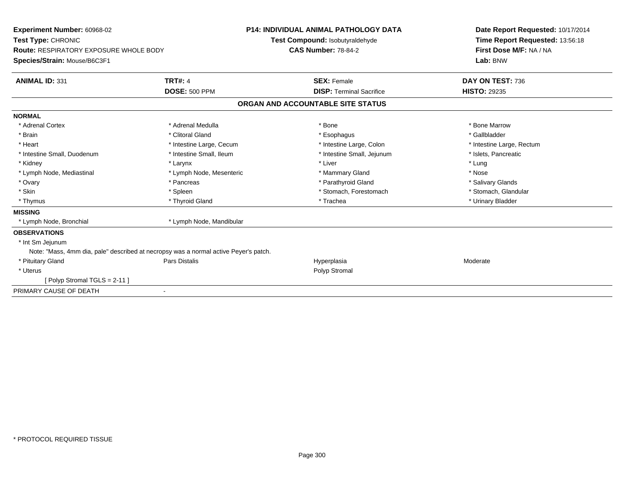| Experiment Number: 60968-02<br>Test Type: CHRONIC<br>Route: RESPIRATORY EXPOSURE WHOLE BODY<br>Species/Strain: Mouse/B6C3F1 | <b>P14: INDIVIDUAL ANIMAL PATHOLOGY DATA</b><br>Test Compound: Isobutyraldehyde<br><b>CAS Number: 78-84-2</b> |                                                       | Date Report Requested: 10/17/2014<br>Time Report Requested: 13:56:18<br>First Dose M/F: NA / NA<br>Lab: BNW |
|-----------------------------------------------------------------------------------------------------------------------------|---------------------------------------------------------------------------------------------------------------|-------------------------------------------------------|-------------------------------------------------------------------------------------------------------------|
| <b>ANIMAL ID: 331</b>                                                                                                       | <b>TRT#: 4</b><br><b>DOSE: 500 PPM</b>                                                                        | <b>SEX: Female</b><br><b>DISP: Terminal Sacrifice</b> | DAY ON TEST: 736<br><b>HISTO: 29235</b>                                                                     |
|                                                                                                                             |                                                                                                               | ORGAN AND ACCOUNTABLE SITE STATUS                     |                                                                                                             |
| <b>NORMAL</b>                                                                                                               |                                                                                                               |                                                       |                                                                                                             |
| * Adrenal Cortex                                                                                                            | * Adrenal Medulla                                                                                             | * Bone                                                | * Bone Marrow                                                                                               |
| * Brain                                                                                                                     | * Clitoral Gland                                                                                              | * Esophagus                                           | * Gallbladder                                                                                               |
| * Heart                                                                                                                     | * Intestine Large, Cecum                                                                                      | * Intestine Large, Colon                              | * Intestine Large, Rectum                                                                                   |
| * Intestine Small, Duodenum                                                                                                 | * Intestine Small, Ileum                                                                                      | * Intestine Small, Jejunum                            | * Islets, Pancreatic                                                                                        |
| * Kidney                                                                                                                    | * Larynx                                                                                                      | * Liver                                               | * Lung                                                                                                      |
| * Lymph Node, Mediastinal                                                                                                   | * Lymph Node, Mesenteric                                                                                      | * Mammary Gland                                       | * Nose                                                                                                      |
| * Ovary                                                                                                                     | * Pancreas                                                                                                    | * Parathyroid Gland                                   | * Salivary Glands                                                                                           |
| * Skin                                                                                                                      | * Spleen                                                                                                      | * Stomach, Forestomach                                | * Stomach, Glandular                                                                                        |
| * Thymus                                                                                                                    | * Thyroid Gland                                                                                               | * Trachea                                             | * Urinary Bladder                                                                                           |
| <b>MISSING</b>                                                                                                              |                                                                                                               |                                                       |                                                                                                             |
| * Lymph Node, Bronchial                                                                                                     | * Lymph Node, Mandibular                                                                                      |                                                       |                                                                                                             |
| <b>OBSERVATIONS</b>                                                                                                         |                                                                                                               |                                                       |                                                                                                             |
| * Int Sm Jejunum                                                                                                            |                                                                                                               |                                                       |                                                                                                             |
| Note: "Mass, 4mm dia, pale" described at necropsy was a normal active Peyer's patch.                                        |                                                                                                               |                                                       |                                                                                                             |
| * Pituitary Gland                                                                                                           | <b>Pars Distalis</b>                                                                                          | Hyperplasia                                           | Moderate                                                                                                    |
| * Uterus                                                                                                                    |                                                                                                               | Polyp Stromal                                         |                                                                                                             |
| Polyp Stromal TGLS = 2-11 ]                                                                                                 |                                                                                                               |                                                       |                                                                                                             |
| PRIMARY CAUSE OF DEATH                                                                                                      |                                                                                                               |                                                       |                                                                                                             |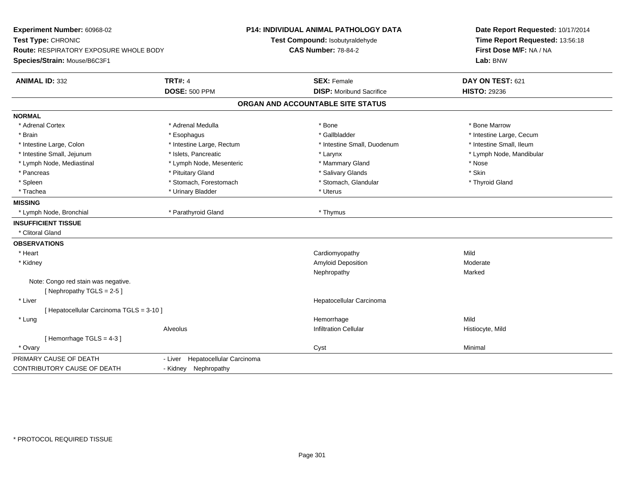| Experiment Number: 60968-02<br>Test Type: CHRONIC |                                     | <b>P14: INDIVIDUAL ANIMAL PATHOLOGY DATA</b><br>Test Compound: Isobutyraldehyde | Date Report Requested: 10/17/2014<br>Time Report Requested: 13:56:18 |
|---------------------------------------------------|-------------------------------------|---------------------------------------------------------------------------------|----------------------------------------------------------------------|
| Route: RESPIRATORY EXPOSURE WHOLE BODY            |                                     | <b>CAS Number: 78-84-2</b>                                                      | First Dose M/F: NA / NA                                              |
| Species/Strain: Mouse/B6C3F1                      |                                     |                                                                                 | Lab: BNW                                                             |
| <b>ANIMAL ID: 332</b>                             | <b>TRT#: 4</b>                      | <b>SEX: Female</b>                                                              | DAY ON TEST: 621                                                     |
|                                                   | <b>DOSE: 500 PPM</b>                | <b>DISP:</b> Moribund Sacrifice                                                 | <b>HISTO: 29236</b>                                                  |
|                                                   |                                     | ORGAN AND ACCOUNTABLE SITE STATUS                                               |                                                                      |
| <b>NORMAL</b>                                     |                                     |                                                                                 |                                                                      |
| * Adrenal Cortex                                  | * Adrenal Medulla                   | * Bone                                                                          | * Bone Marrow                                                        |
| * Brain                                           | * Esophagus                         | * Gallbladder                                                                   | * Intestine Large, Cecum                                             |
| * Intestine Large, Colon                          | * Intestine Large, Rectum           | * Intestine Small, Duodenum                                                     | * Intestine Small, Ileum                                             |
| * Intestine Small, Jejunum                        | * Islets. Pancreatic                | * Larynx                                                                        | * Lymph Node, Mandibular                                             |
| * Lymph Node, Mediastinal                         | * Lymph Node, Mesenteric            | * Mammary Gland                                                                 | * Nose                                                               |
| * Pancreas                                        | * Pituitary Gland                   | * Salivary Glands                                                               | * Skin                                                               |
| * Spleen                                          | * Stomach, Forestomach              | * Stomach, Glandular                                                            | * Thyroid Gland                                                      |
| * Trachea                                         | * Urinary Bladder                   | * Uterus                                                                        |                                                                      |
| <b>MISSING</b>                                    |                                     |                                                                                 |                                                                      |
| * Lymph Node, Bronchial                           | * Parathyroid Gland                 | * Thymus                                                                        |                                                                      |
| <b>INSUFFICIENT TISSUE</b>                        |                                     |                                                                                 |                                                                      |
| * Clitoral Gland                                  |                                     |                                                                                 |                                                                      |
| <b>OBSERVATIONS</b>                               |                                     |                                                                                 |                                                                      |
| * Heart                                           |                                     | Cardiomyopathy                                                                  | Mild                                                                 |
| * Kidney                                          |                                     | Amyloid Deposition                                                              | Moderate                                                             |
|                                                   |                                     | Nephropathy                                                                     | Marked                                                               |
| Note: Congo red stain was negative.               |                                     |                                                                                 |                                                                      |
| [Nephropathy TGLS = 2-5]                          |                                     |                                                                                 |                                                                      |
| * Liver                                           |                                     | Hepatocellular Carcinoma                                                        |                                                                      |
| [ Hepatocellular Carcinoma TGLS = 3-10 ]          |                                     |                                                                                 |                                                                      |
| * Lung                                            |                                     | Hemorrhage                                                                      | Mild                                                                 |
|                                                   | Alveolus                            | <b>Infiltration Cellular</b>                                                    | Histiocyte, Mild                                                     |
| [Hemorrhage TGLS = 4-3]                           |                                     |                                                                                 |                                                                      |
| * Ovary                                           |                                     | Cyst                                                                            | Minimal                                                              |
| PRIMARY CAUSE OF DEATH                            | Hepatocellular Carcinoma<br>- Liver |                                                                                 |                                                                      |
| CONTRIBUTORY CAUSE OF DEATH                       | - Kidney Nephropathy                |                                                                                 |                                                                      |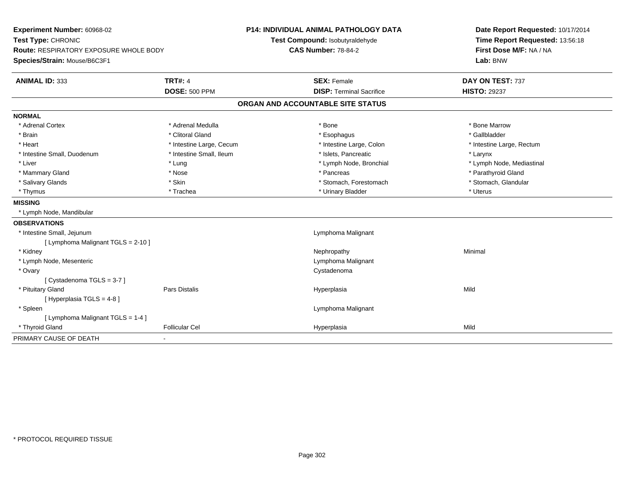| Experiment Number: 60968-02            |                          | <b>P14: INDIVIDUAL ANIMAL PATHOLOGY DATA</b> | Date Report Requested: 10/17/2014 |
|----------------------------------------|--------------------------|----------------------------------------------|-----------------------------------|
| Test Type: CHRONIC                     |                          | Test Compound: Isobutyraldehyde              | Time Report Requested: 13:56:18   |
| Route: RESPIRATORY EXPOSURE WHOLE BODY |                          | <b>CAS Number: 78-84-2</b>                   | First Dose M/F: NA / NA           |
| Species/Strain: Mouse/B6C3F1           |                          |                                              | Lab: BNW                          |
| <b>ANIMAL ID: 333</b>                  | <b>TRT#: 4</b>           | <b>SEX: Female</b>                           | DAY ON TEST: 737                  |
|                                        | <b>DOSE: 500 PPM</b>     | <b>DISP: Terminal Sacrifice</b>              | <b>HISTO: 29237</b>               |
|                                        |                          | ORGAN AND ACCOUNTABLE SITE STATUS            |                                   |
| <b>NORMAL</b>                          |                          |                                              |                                   |
| * Adrenal Cortex                       | * Adrenal Medulla        | * Bone                                       | * Bone Marrow                     |
| * Brain                                | * Clitoral Gland         | * Esophagus                                  | * Gallbladder                     |
| * Heart                                | * Intestine Large, Cecum | * Intestine Large, Colon                     | * Intestine Large, Rectum         |
| * Intestine Small, Duodenum            | * Intestine Small, Ileum | * Islets, Pancreatic                         | * Larynx                          |
| * Liver                                | * Lung                   | * Lymph Node, Bronchial                      | * Lymph Node, Mediastinal         |
| * Mammary Gland                        | * Nose                   | * Pancreas                                   | * Parathyroid Gland               |
| * Salivary Glands                      | * Skin                   | * Stomach, Forestomach                       | * Stomach, Glandular              |
| * Thymus                               | * Trachea                | * Urinary Bladder                            | * Uterus                          |
| <b>MISSING</b>                         |                          |                                              |                                   |
| * Lymph Node, Mandibular               |                          |                                              |                                   |
| <b>OBSERVATIONS</b>                    |                          |                                              |                                   |
| * Intestine Small, Jejunum             |                          | Lymphoma Malignant                           |                                   |
| [ Lymphoma Malignant TGLS = 2-10 ]     |                          |                                              |                                   |
| * Kidney                               |                          | Nephropathy                                  | Minimal                           |
| * Lymph Node, Mesenteric               |                          | Lymphoma Malignant                           |                                   |
| * Ovary                                |                          | Cystadenoma                                  |                                   |
| [Cystadenoma TGLS = 3-7]               |                          |                                              |                                   |
| * Pituitary Gland                      | Pars Distalis            | Hyperplasia                                  | Mild                              |
| [ Hyperplasia TGLS = 4-8 ]             |                          |                                              |                                   |
| * Spleen                               |                          | Lymphoma Malignant                           |                                   |
| [ Lymphoma Malignant TGLS = 1-4 ]      |                          |                                              |                                   |
| * Thyroid Gland                        | <b>Follicular Cel</b>    | Hyperplasia                                  | Mild                              |
| PRIMARY CAUSE OF DEATH                 |                          |                                              |                                   |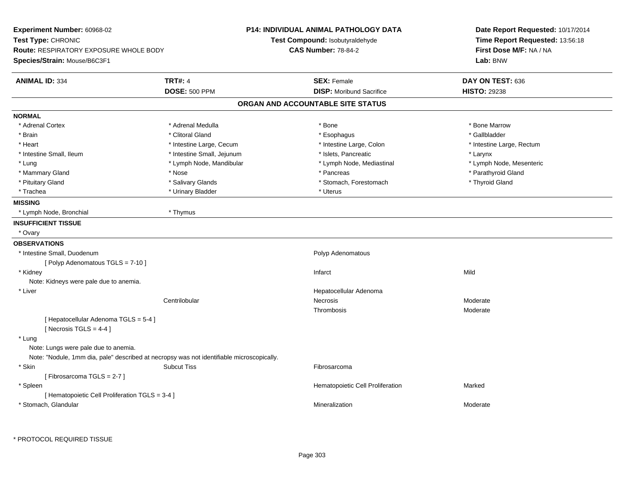| Experiment Number: 60968-02<br>Test Type: CHRONIC<br>Route: RESPIRATORY EXPOSURE WHOLE BODY<br>Species/Strain: Mouse/B6C3F1 |                                                                                           | <b>P14: INDIVIDUAL ANIMAL PATHOLOGY DATA</b><br>Test Compound: Isobutyraldehyde<br><b>CAS Number: 78-84-2</b> | Date Report Requested: 10/17/2014<br>Time Report Requested: 13:56:18<br>First Dose M/F: NA / NA<br>Lab: BNW |
|-----------------------------------------------------------------------------------------------------------------------------|-------------------------------------------------------------------------------------------|---------------------------------------------------------------------------------------------------------------|-------------------------------------------------------------------------------------------------------------|
| <b>ANIMAL ID: 334</b>                                                                                                       | <b>TRT#: 4</b><br><b>DOSE: 500 PPM</b>                                                    | <b>SEX: Female</b><br><b>DISP:</b> Moribund Sacrifice                                                         | DAY ON TEST: 636<br><b>HISTO: 29238</b>                                                                     |
|                                                                                                                             |                                                                                           | ORGAN AND ACCOUNTABLE SITE STATUS                                                                             |                                                                                                             |
| <b>NORMAL</b>                                                                                                               |                                                                                           |                                                                                                               |                                                                                                             |
| * Adrenal Cortex                                                                                                            | * Adrenal Medulla                                                                         | $*$ Bone                                                                                                      | * Bone Marrow                                                                                               |
| * Brain                                                                                                                     | * Clitoral Gland                                                                          | * Esophagus                                                                                                   | * Gallbladder                                                                                               |
| * Heart                                                                                                                     | * Intestine Large, Cecum                                                                  | * Intestine Large, Colon                                                                                      | * Intestine Large, Rectum                                                                                   |
| * Intestine Small, Ileum                                                                                                    | * Intestine Small, Jejunum                                                                | * Islets, Pancreatic                                                                                          | * Larynx                                                                                                    |
| * Lung                                                                                                                      | * Lymph Node, Mandibular                                                                  | * Lymph Node, Mediastinal                                                                                     | * Lymph Node, Mesenteric                                                                                    |
| * Mammary Gland                                                                                                             | * Nose                                                                                    | * Pancreas                                                                                                    | * Parathyroid Gland                                                                                         |
| * Pituitary Gland                                                                                                           | * Salivary Glands                                                                         | * Stomach, Forestomach                                                                                        | * Thyroid Gland                                                                                             |
| * Trachea                                                                                                                   | * Urinary Bladder                                                                         | * Uterus                                                                                                      |                                                                                                             |
| <b>MISSING</b>                                                                                                              |                                                                                           |                                                                                                               |                                                                                                             |
| * Lymph Node, Bronchial                                                                                                     | * Thymus                                                                                  |                                                                                                               |                                                                                                             |
| <b>INSUFFICIENT TISSUE</b>                                                                                                  |                                                                                           |                                                                                                               |                                                                                                             |
| * Ovary                                                                                                                     |                                                                                           |                                                                                                               |                                                                                                             |
| <b>OBSERVATIONS</b>                                                                                                         |                                                                                           |                                                                                                               |                                                                                                             |
| * Intestine Small, Duodenum                                                                                                 |                                                                                           | Polyp Adenomatous                                                                                             |                                                                                                             |
| [ Polyp Adenomatous TGLS = 7-10 ]                                                                                           |                                                                                           |                                                                                                               |                                                                                                             |
| * Kidney                                                                                                                    |                                                                                           | Infarct                                                                                                       | Mild                                                                                                        |
| Note: Kidneys were pale due to anemia.                                                                                      |                                                                                           |                                                                                                               |                                                                                                             |
| * Liver                                                                                                                     |                                                                                           | Hepatocellular Adenoma                                                                                        |                                                                                                             |
|                                                                                                                             | Centrilobular                                                                             | Necrosis                                                                                                      | Moderate                                                                                                    |
|                                                                                                                             |                                                                                           | Thrombosis                                                                                                    | Moderate                                                                                                    |
| [ Hepatocellular Adenoma TGLS = 5-4 ]<br>[Necrosis $TGLS = 4-4$ ]                                                           |                                                                                           |                                                                                                               |                                                                                                             |
| * Lung<br>Note: Lungs were pale due to anemia.                                                                              |                                                                                           |                                                                                                               |                                                                                                             |
|                                                                                                                             | Note: "Nodule, 1mm dia, pale" described at necropsy was not identifiable microscopically. |                                                                                                               |                                                                                                             |
| * Skin                                                                                                                      | <b>Subcut Tiss</b>                                                                        | Fibrosarcoma                                                                                                  |                                                                                                             |
| [Fibrosarcoma TGLS = 2-7]                                                                                                   |                                                                                           |                                                                                                               |                                                                                                             |
| * Spleen                                                                                                                    |                                                                                           | Hematopoietic Cell Proliferation                                                                              | Marked                                                                                                      |
| [ Hematopoietic Cell Proliferation TGLS = 3-4 ]                                                                             |                                                                                           |                                                                                                               |                                                                                                             |
| * Stomach, Glandular                                                                                                        |                                                                                           | Mineralization                                                                                                | Moderate                                                                                                    |

\* PROTOCOL REQUIRED TISSUE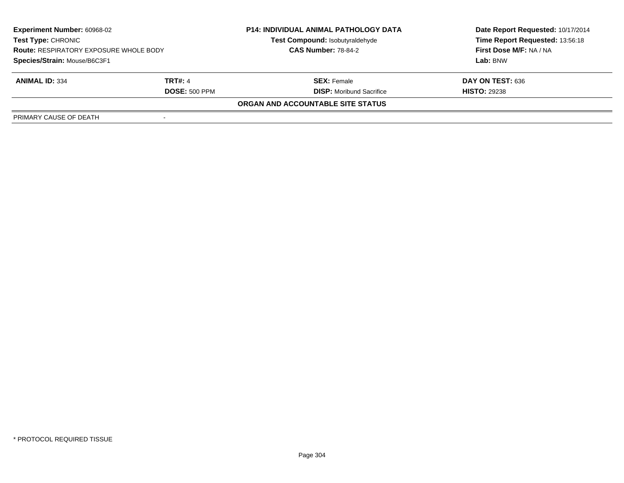| <b>Experiment Number: 60968-02</b>                                         |                      | <b>P14: INDIVIDUAL ANIMAL PATHOLOGY DATA</b> | Date Report Requested: 10/17/2014 |  |
|----------------------------------------------------------------------------|----------------------|----------------------------------------------|-----------------------------------|--|
| <b>Test Type: CHRONIC</b><br><b>Route: RESPIRATORY EXPOSURE WHOLE BODY</b> |                      | Test Compound: Isobutyraldehyde              | Time Report Requested: 13:56:18   |  |
|                                                                            |                      | <b>CAS Number: 78-84-2</b>                   | First Dose M/F: NA / NA           |  |
| Species/Strain: Mouse/B6C3F1                                               |                      |                                              | Lab: BNW                          |  |
| <b>ANIMAL ID: 334</b>                                                      | <b>TRT#: 4</b>       | <b>SEX: Female</b>                           | DAY ON TEST: 636                  |  |
|                                                                            | <b>DOSE: 500 PPM</b> | <b>DISP:</b> Moribund Sacrifice              | <b>HISTO: 29238</b>               |  |
|                                                                            |                      | ORGAN AND ACCOUNTABLE SITE STATUS            |                                   |  |
| PRIMARY CAUSE OF DEATH                                                     |                      |                                              |                                   |  |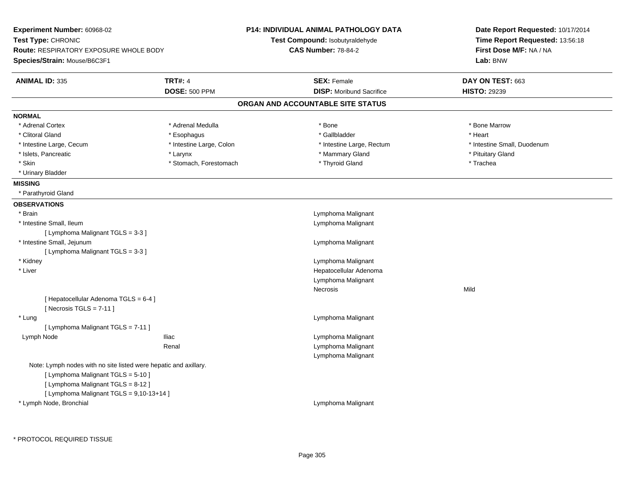| Experiment Number: 60968-02                                        |                          | <b>P14: INDIVIDUAL ANIMAL PATHOLOGY DATA</b> | Date Report Requested: 10/17/2014   |  |
|--------------------------------------------------------------------|--------------------------|----------------------------------------------|-------------------------------------|--|
| Test Type: CHRONIC                                                 |                          | Test Compound: Isobutyraldehyde              | Time Report Requested: 13:56:18     |  |
| <b>Route: RESPIRATORY EXPOSURE WHOLE BODY</b>                      |                          | <b>CAS Number: 78-84-2</b>                   | First Dose M/F: NA / NA<br>Lab: BNW |  |
| Species/Strain: Mouse/B6C3F1                                       |                          |                                              |                                     |  |
| <b>ANIMAL ID: 335</b>                                              | <b>TRT#: 4</b>           | <b>SEX: Female</b>                           | DAY ON TEST: 663                    |  |
|                                                                    | <b>DOSE: 500 PPM</b>     | <b>DISP:</b> Moribund Sacrifice              | <b>HISTO: 29239</b>                 |  |
|                                                                    |                          | ORGAN AND ACCOUNTABLE SITE STATUS            |                                     |  |
| <b>NORMAL</b>                                                      |                          |                                              |                                     |  |
| * Adrenal Cortex                                                   | * Adrenal Medulla        | * Bone                                       | * Bone Marrow                       |  |
| * Clitoral Gland                                                   | * Esophagus              | * Gallbladder                                | * Heart                             |  |
| * Intestine Large, Cecum                                           | * Intestine Large, Colon | * Intestine Large, Rectum                    | * Intestine Small, Duodenum         |  |
| * Islets, Pancreatic                                               | * Larynx                 | * Mammary Gland                              | * Pituitary Gland                   |  |
| * Skin                                                             | * Stomach, Forestomach   | * Thyroid Gland                              | * Trachea                           |  |
| * Urinary Bladder                                                  |                          |                                              |                                     |  |
| <b>MISSING</b>                                                     |                          |                                              |                                     |  |
| * Parathyroid Gland                                                |                          |                                              |                                     |  |
| <b>OBSERVATIONS</b>                                                |                          |                                              |                                     |  |
| * Brain                                                            |                          | Lymphoma Malignant                           |                                     |  |
| * Intestine Small, Ileum                                           |                          | Lymphoma Malignant                           |                                     |  |
| [ Lymphoma Malignant TGLS = 3-3 ]                                  |                          |                                              |                                     |  |
| * Intestine Small, Jejunum                                         |                          | Lymphoma Malignant                           |                                     |  |
| [ Lymphoma Malignant TGLS = 3-3 ]                                  |                          |                                              |                                     |  |
| * Kidney                                                           |                          | Lymphoma Malignant                           |                                     |  |
| * Liver                                                            |                          | Hepatocellular Adenoma                       |                                     |  |
|                                                                    |                          | Lymphoma Malignant                           |                                     |  |
|                                                                    |                          | Necrosis                                     | Mild                                |  |
| [ Hepatocellular Adenoma TGLS = 6-4 ]<br>[Necrosis $TGLS = 7-11$ ] |                          |                                              |                                     |  |
| * Lung                                                             |                          | Lymphoma Malignant                           |                                     |  |
| [ Lymphoma Malignant TGLS = 7-11 ]                                 |                          |                                              |                                     |  |
| Lymph Node                                                         | <b>Iliac</b>             | Lymphoma Malignant                           |                                     |  |
|                                                                    | Renal                    | Lymphoma Malignant                           |                                     |  |
|                                                                    |                          | Lymphoma Malignant                           |                                     |  |
| Note: Lymph nodes with no site listed were hepatic and axillary.   |                          |                                              |                                     |  |
| [ Lymphoma Malignant TGLS = 5-10 ]                                 |                          |                                              |                                     |  |
| [ Lymphoma Malignant TGLS = 8-12 ]                                 |                          |                                              |                                     |  |
| [ Lymphoma Malignant TGLS = 9,10-13+14 ]                           |                          |                                              |                                     |  |
| * Lymph Node, Bronchial                                            |                          | Lymphoma Malignant                           |                                     |  |
|                                                                    |                          |                                              |                                     |  |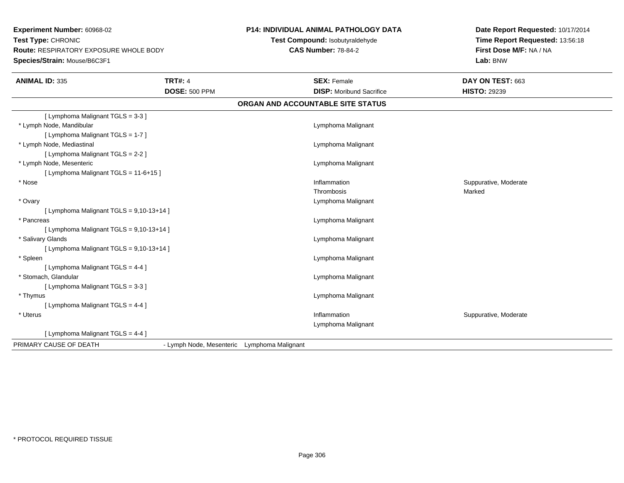**Experiment Number:** 60968-02**Test Type:** CHRONIC **Route:** RESPIRATORY EXPOSURE WHOLE BODY**Species/Strain:** Mouse/B6C3F1

## **P14: INDIVIDUAL ANIMAL PATHOLOGY DATA**

**Test Compound:** Isobutyraldehyde**CAS Number:** 78-84-2

**Date Report Requested:** 10/17/2014**Time Report Requested:** 13:56:18**First Dose M/F:** NA / NA**Lab:** BNW

| <b>ANIMAL ID: 335</b>                      | <b>TRT#: 4</b>           |                    | <b>SEX: Female</b>                | DAY ON TEST: 663      |
|--------------------------------------------|--------------------------|--------------------|-----------------------------------|-----------------------|
|                                            | <b>DOSE: 500 PPM</b>     |                    | <b>DISP:</b> Moribund Sacrifice   | <b>HISTO: 29239</b>   |
|                                            |                          |                    | ORGAN AND ACCOUNTABLE SITE STATUS |                       |
| [ Lymphoma Malignant TGLS = 3-3 ]          |                          |                    |                                   |                       |
| * Lymph Node, Mandibular                   |                          |                    | Lymphoma Malignant                |                       |
| [ Lymphoma Malignant TGLS = 1-7 ]          |                          |                    |                                   |                       |
| * Lymph Node, Mediastinal                  |                          |                    | Lymphoma Malignant                |                       |
| [ Lymphoma Malignant TGLS = 2-2 ]          |                          |                    |                                   |                       |
| * Lymph Node, Mesenteric                   |                          |                    | Lymphoma Malignant                |                       |
| [ Lymphoma Malignant TGLS = 11-6+15 ]      |                          |                    |                                   |                       |
| * Nose                                     |                          |                    | Inflammation                      | Suppurative, Moderate |
|                                            |                          |                    | Thrombosis                        | Marked                |
| * Ovary                                    |                          |                    | Lymphoma Malignant                |                       |
| [ Lymphoma Malignant TGLS = $9,10-13+14$ ] |                          |                    |                                   |                       |
| * Pancreas                                 |                          |                    | Lymphoma Malignant                |                       |
| [ Lymphoma Malignant TGLS = 9,10-13+14 ]   |                          |                    |                                   |                       |
| * Salivary Glands                          |                          |                    | Lymphoma Malignant                |                       |
| [ Lymphoma Malignant TGLS = 9,10-13+14 ]   |                          |                    |                                   |                       |
| * Spleen                                   |                          |                    | Lymphoma Malignant                |                       |
| [ Lymphoma Malignant TGLS = $4-4$ ]        |                          |                    |                                   |                       |
| * Stomach, Glandular                       |                          |                    | Lymphoma Malignant                |                       |
| [ Lymphoma Malignant TGLS = 3-3 ]          |                          |                    |                                   |                       |
| * Thymus                                   |                          |                    | Lymphoma Malignant                |                       |
| [ Lymphoma Malignant TGLS = 4-4 ]          |                          |                    |                                   |                       |
| * Uterus                                   |                          |                    | Inflammation                      | Suppurative, Moderate |
|                                            |                          |                    | Lymphoma Malignant                |                       |
| [ Lymphoma Malignant TGLS = 4-4 ]          |                          |                    |                                   |                       |
| PRIMARY CAUSE OF DEATH                     | - Lymph Node, Mesenteric | Lymphoma Malignant |                                   |                       |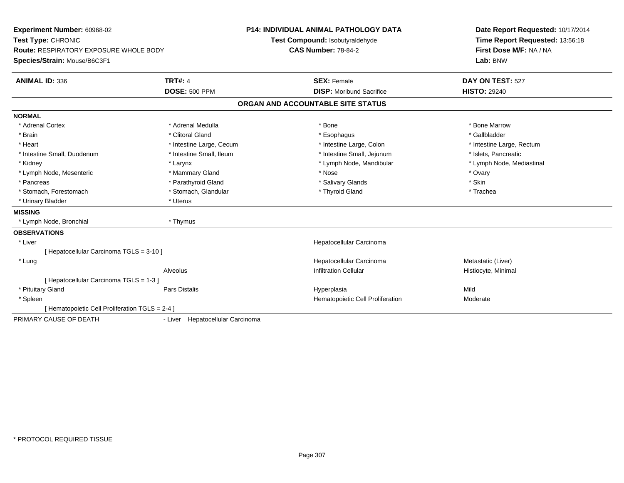| Experiment Number: 60968-02                     |                                  | <b>P14: INDIVIDUAL ANIMAL PATHOLOGY DATA</b> | Date Report Requested: 10/17/2014 |
|-------------------------------------------------|----------------------------------|----------------------------------------------|-----------------------------------|
| Test Type: CHRONIC                              |                                  | Test Compound: Isobutyraldehyde              | Time Report Requested: 13:56:18   |
| <b>Route: RESPIRATORY EXPOSURE WHOLE BODY</b>   |                                  | <b>CAS Number: 78-84-2</b>                   | First Dose M/F: NA / NA           |
| Species/Strain: Mouse/B6C3F1                    |                                  |                                              | Lab: BNW                          |
| <b>ANIMAL ID: 336</b>                           | <b>TRT#: 4</b>                   | <b>SEX: Female</b>                           | DAY ON TEST: 527                  |
|                                                 | <b>DOSE: 500 PPM</b>             | <b>DISP:</b> Moribund Sacrifice              | <b>HISTO: 29240</b>               |
|                                                 |                                  | ORGAN AND ACCOUNTABLE SITE STATUS            |                                   |
| <b>NORMAL</b>                                   |                                  |                                              |                                   |
| * Adrenal Cortex                                | * Adrenal Medulla                | * Bone                                       | * Bone Marrow                     |
| * Brain                                         | * Clitoral Gland                 | * Esophagus                                  | * Gallbladder                     |
| * Heart                                         | * Intestine Large, Cecum         | * Intestine Large, Colon                     | * Intestine Large, Rectum         |
| * Intestine Small, Duodenum                     | * Intestine Small, Ileum         | * Intestine Small, Jejunum                   | * Islets, Pancreatic              |
| * Kidney                                        | * Larynx                         | * Lymph Node, Mandibular                     | * Lymph Node, Mediastinal         |
| * Lymph Node, Mesenteric                        | * Mammary Gland                  | * Nose                                       | * Ovary                           |
| * Pancreas                                      | * Parathyroid Gland              | * Salivary Glands                            | * Skin                            |
| * Stomach, Forestomach                          | * Stomach, Glandular             | * Thyroid Gland                              | * Trachea                         |
| * Urinary Bladder                               | * Uterus                         |                                              |                                   |
| <b>MISSING</b>                                  |                                  |                                              |                                   |
| * Lymph Node, Bronchial                         | * Thymus                         |                                              |                                   |
| <b>OBSERVATIONS</b>                             |                                  |                                              |                                   |
| * Liver                                         |                                  | Hepatocellular Carcinoma                     |                                   |
| [ Hepatocellular Carcinoma TGLS = 3-10 ]        |                                  |                                              |                                   |
| * Lung                                          |                                  | Hepatocellular Carcinoma                     | Metastatic (Liver)                |
|                                                 | Alveolus                         | <b>Infiltration Cellular</b>                 | Histiocyte, Minimal               |
| [ Hepatocellular Carcinoma TGLS = 1-3 ]         |                                  |                                              |                                   |
| * Pituitary Gland                               | Pars Distalis                    | Hyperplasia                                  | Mild                              |
| * Spleen                                        |                                  | Hematopoietic Cell Proliferation             | Moderate                          |
| [ Hematopoietic Cell Proliferation TGLS = 2-4 ] |                                  |                                              |                                   |
| PRIMARY CAUSE OF DEATH                          | - Liver Hepatocellular Carcinoma |                                              |                                   |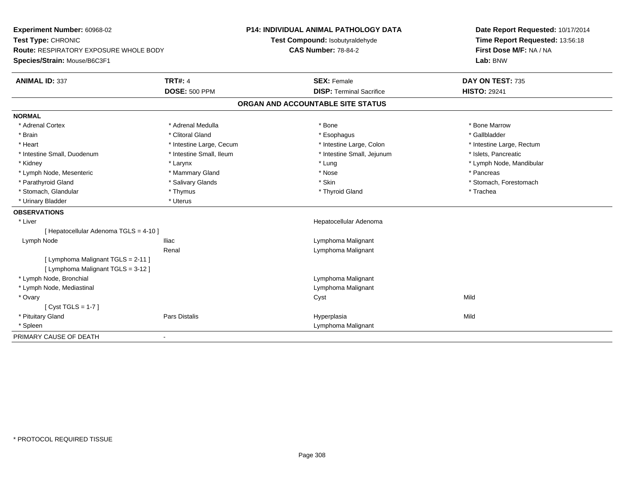| Experiment Number: 60968-02<br>Test Type: CHRONIC<br><b>Route: RESPIRATORY EXPOSURE WHOLE BODY</b><br>Species/Strain: Mouse/B6C3F1 |                          | P14: INDIVIDUAL ANIMAL PATHOLOGY DATA<br>Test Compound: Isobutyraldehyde | Date Report Requested: 10/17/2014<br>Time Report Requested: 13:56:18 |  |
|------------------------------------------------------------------------------------------------------------------------------------|--------------------------|--------------------------------------------------------------------------|----------------------------------------------------------------------|--|
|                                                                                                                                    |                          | <b>CAS Number: 78-84-2</b>                                               | First Dose M/F: NA / NA<br>Lab: BNW                                  |  |
| <b>ANIMAL ID: 337</b>                                                                                                              | <b>TRT#: 4</b>           | <b>SEX: Female</b>                                                       | DAY ON TEST: 735                                                     |  |
|                                                                                                                                    | <b>DOSE: 500 PPM</b>     | <b>DISP: Terminal Sacrifice</b>                                          | <b>HISTO: 29241</b>                                                  |  |
|                                                                                                                                    |                          | ORGAN AND ACCOUNTABLE SITE STATUS                                        |                                                                      |  |
| <b>NORMAL</b>                                                                                                                      |                          |                                                                          |                                                                      |  |
| * Adrenal Cortex                                                                                                                   | * Adrenal Medulla        | * Bone                                                                   | * Bone Marrow                                                        |  |
| * Brain                                                                                                                            | * Clitoral Gland         | * Esophagus                                                              | * Gallbladder                                                        |  |
| * Heart                                                                                                                            | * Intestine Large, Cecum | * Intestine Large, Colon                                                 | * Intestine Large, Rectum                                            |  |
| * Intestine Small, Duodenum                                                                                                        | * Intestine Small, Ileum | * Intestine Small, Jejunum                                               | * Islets, Pancreatic                                                 |  |
| * Kidney                                                                                                                           | * Larynx                 | * Lung                                                                   | * Lymph Node, Mandibular                                             |  |
| * Lymph Node, Mesenteric                                                                                                           | * Mammary Gland          | * Nose                                                                   | * Pancreas                                                           |  |
| * Parathyroid Gland                                                                                                                | * Salivary Glands        | * Skin                                                                   | * Stomach, Forestomach                                               |  |
| * Stomach, Glandular                                                                                                               | * Thymus                 | * Thyroid Gland                                                          | * Trachea                                                            |  |
| * Urinary Bladder                                                                                                                  | * Uterus                 |                                                                          |                                                                      |  |
| <b>OBSERVATIONS</b>                                                                                                                |                          |                                                                          |                                                                      |  |
| * Liver                                                                                                                            |                          | Hepatocellular Adenoma                                                   |                                                                      |  |
| [ Hepatocellular Adenoma TGLS = 4-10 ]                                                                                             |                          |                                                                          |                                                                      |  |
| Lymph Node                                                                                                                         | <b>Iliac</b>             | Lymphoma Malignant                                                       |                                                                      |  |
|                                                                                                                                    | Renal                    | Lymphoma Malignant                                                       |                                                                      |  |
| [ Lymphoma Malignant TGLS = 2-11 ]                                                                                                 |                          |                                                                          |                                                                      |  |
| [ Lymphoma Malignant TGLS = 3-12 ]                                                                                                 |                          |                                                                          |                                                                      |  |
| * Lymph Node, Bronchial                                                                                                            |                          | Lymphoma Malignant                                                       |                                                                      |  |
| * Lymph Node, Mediastinal                                                                                                          |                          | Lymphoma Malignant                                                       |                                                                      |  |
| * Ovary                                                                                                                            |                          | Cyst                                                                     | Mild                                                                 |  |
| [Cyst TGLS = $1-7$ ]                                                                                                               |                          |                                                                          |                                                                      |  |
| * Pituitary Gland                                                                                                                  | Pars Distalis            | Hyperplasia                                                              | Mild                                                                 |  |
| * Spleen                                                                                                                           |                          | Lymphoma Malignant                                                       |                                                                      |  |
| PRIMARY CAUSE OF DEATH                                                                                                             | $\blacksquare$           |                                                                          |                                                                      |  |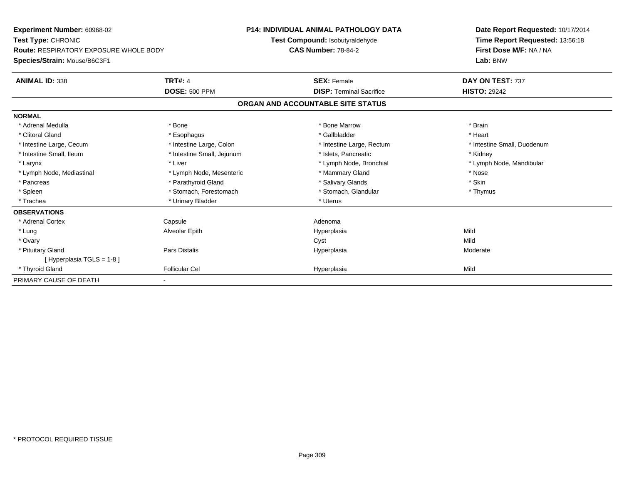| <b>Experiment Number: 60968-02</b><br>Test Type: CHRONIC<br><b>Route: RESPIRATORY EXPOSURE WHOLE BODY</b> |                            | <b>P14: INDIVIDUAL ANIMAL PATHOLOGY DATA</b><br>Test Compound: Isobutyraldehyde<br><b>CAS Number: 78-84-2</b> | Date Report Requested: 10/17/2014<br>Time Report Requested: 13:56:18<br>First Dose M/F: NA / NA |  |
|-----------------------------------------------------------------------------------------------------------|----------------------------|---------------------------------------------------------------------------------------------------------------|-------------------------------------------------------------------------------------------------|--|
| Species/Strain: Mouse/B6C3F1                                                                              |                            |                                                                                                               | Lab: BNW                                                                                        |  |
| <b>ANIMAL ID: 338</b>                                                                                     | <b>TRT#: 4</b>             | <b>SEX: Female</b>                                                                                            | DAY ON TEST: 737                                                                                |  |
|                                                                                                           | <b>DOSE: 500 PPM</b>       | <b>DISP: Terminal Sacrifice</b>                                                                               | <b>HISTO: 29242</b>                                                                             |  |
|                                                                                                           |                            | ORGAN AND ACCOUNTABLE SITE STATUS                                                                             |                                                                                                 |  |
| <b>NORMAL</b>                                                                                             |                            |                                                                                                               |                                                                                                 |  |
| * Adrenal Medulla                                                                                         | * Bone                     | * Bone Marrow                                                                                                 | * Brain                                                                                         |  |
| * Clitoral Gland                                                                                          | * Esophagus                | * Gallbladder                                                                                                 | * Heart                                                                                         |  |
| * Intestine Large, Cecum                                                                                  | * Intestine Large, Colon   | * Intestine Large, Rectum                                                                                     | * Intestine Small, Duodenum                                                                     |  |
| * Intestine Small, Ileum                                                                                  | * Intestine Small, Jejunum | * Islets, Pancreatic                                                                                          | * Kidney                                                                                        |  |
| * Larynx                                                                                                  | * Liver                    | * Lymph Node, Bronchial                                                                                       | * Lymph Node, Mandibular                                                                        |  |
| * Lymph Node, Mediastinal                                                                                 | * Lymph Node, Mesenteric   | * Mammary Gland                                                                                               | * Nose                                                                                          |  |
| * Pancreas                                                                                                | * Parathyroid Gland        | * Salivary Glands                                                                                             | * Skin                                                                                          |  |
| * Spleen                                                                                                  | * Stomach, Forestomach     | * Stomach, Glandular                                                                                          | * Thymus                                                                                        |  |
| * Trachea                                                                                                 | * Urinary Bladder          | * Uterus                                                                                                      |                                                                                                 |  |
| <b>OBSERVATIONS</b>                                                                                       |                            |                                                                                                               |                                                                                                 |  |
| * Adrenal Cortex                                                                                          | Capsule                    | Adenoma                                                                                                       |                                                                                                 |  |
| * Lung                                                                                                    | Alveolar Epith             | Hyperplasia                                                                                                   | Mild                                                                                            |  |
| * Ovary                                                                                                   |                            | Cyst                                                                                                          | Mild                                                                                            |  |
| * Pituitary Gland                                                                                         | Pars Distalis              | Hyperplasia                                                                                                   | Moderate                                                                                        |  |
| [Hyperplasia TGLS = 1-8]                                                                                  |                            |                                                                                                               |                                                                                                 |  |
| * Thyroid Gland                                                                                           | <b>Follicular Cel</b>      | Hyperplasia                                                                                                   | Mild                                                                                            |  |
| PRIMARY CAUSE OF DEATH                                                                                    |                            |                                                                                                               |                                                                                                 |  |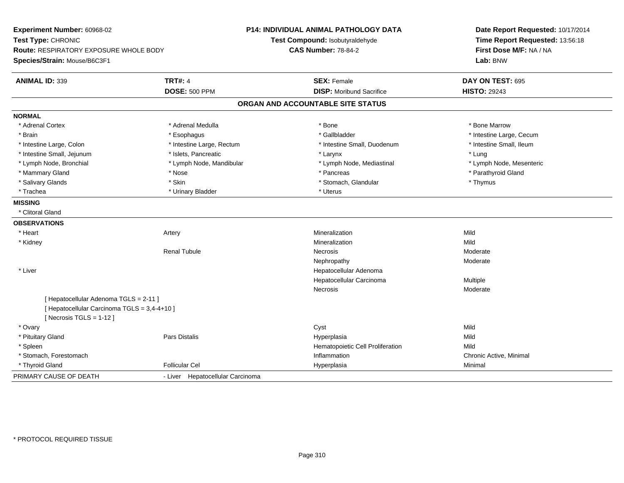| Experiment Number: 60968-02<br>Test Type: CHRONIC<br><b>Route: RESPIRATORY EXPOSURE WHOLE BODY</b><br>Species/Strain: Mouse/B6C3F1 |                                  | <b>P14: INDIVIDUAL ANIMAL PATHOLOGY DATA</b><br>Test Compound: Isobutyraldehyde<br><b>CAS Number: 78-84-2</b> | Date Report Requested: 10/17/2014<br>Time Report Requested: 13:56:18<br>First Dose M/F: NA / NA<br>Lab: BNW |  |
|------------------------------------------------------------------------------------------------------------------------------------|----------------------------------|---------------------------------------------------------------------------------------------------------------|-------------------------------------------------------------------------------------------------------------|--|
| <b>ANIMAL ID: 339</b>                                                                                                              | <b>TRT#: 4</b>                   | <b>SEX: Female</b>                                                                                            | DAY ON TEST: 695                                                                                            |  |
|                                                                                                                                    | <b>DOSE: 500 PPM</b>             | <b>DISP:</b> Moribund Sacrifice                                                                               | <b>HISTO: 29243</b>                                                                                         |  |
|                                                                                                                                    |                                  | ORGAN AND ACCOUNTABLE SITE STATUS                                                                             |                                                                                                             |  |
| <b>NORMAL</b>                                                                                                                      |                                  |                                                                                                               |                                                                                                             |  |
| * Adrenal Cortex                                                                                                                   | * Adrenal Medulla                | * Bone                                                                                                        | * Bone Marrow                                                                                               |  |
| * Brain                                                                                                                            | * Esophagus                      | * Gallbladder                                                                                                 | * Intestine Large, Cecum                                                                                    |  |
| * Intestine Large, Colon                                                                                                           | * Intestine Large, Rectum        | * Intestine Small, Duodenum                                                                                   | * Intestine Small, Ileum                                                                                    |  |
| * Intestine Small, Jejunum                                                                                                         | * Islets, Pancreatic             | * Larynx                                                                                                      | * Lung                                                                                                      |  |
| * Lymph Node, Bronchial                                                                                                            | * Lymph Node, Mandibular         | * Lymph Node, Mediastinal                                                                                     | * Lymph Node, Mesenteric                                                                                    |  |
| * Mammary Gland                                                                                                                    | * Nose                           | * Pancreas                                                                                                    | * Parathyroid Gland                                                                                         |  |
| * Salivary Glands                                                                                                                  | * Skin                           | * Stomach, Glandular                                                                                          | * Thymus                                                                                                    |  |
| * Trachea                                                                                                                          | * Urinary Bladder                | * Uterus                                                                                                      |                                                                                                             |  |
| <b>MISSING</b>                                                                                                                     |                                  |                                                                                                               |                                                                                                             |  |
| * Clitoral Gland                                                                                                                   |                                  |                                                                                                               |                                                                                                             |  |
| <b>OBSERVATIONS</b>                                                                                                                |                                  |                                                                                                               |                                                                                                             |  |
| * Heart                                                                                                                            | Artery                           | Mineralization                                                                                                | Mild                                                                                                        |  |
| * Kidney                                                                                                                           |                                  | Mineralization                                                                                                | Mild                                                                                                        |  |
|                                                                                                                                    | Renal Tubule                     | <b>Necrosis</b>                                                                                               | Moderate                                                                                                    |  |
|                                                                                                                                    |                                  | Nephropathy                                                                                                   | Moderate                                                                                                    |  |
| * Liver                                                                                                                            |                                  | Hepatocellular Adenoma                                                                                        |                                                                                                             |  |
|                                                                                                                                    |                                  | Hepatocellular Carcinoma                                                                                      | Multiple                                                                                                    |  |
|                                                                                                                                    |                                  | Necrosis                                                                                                      | Moderate                                                                                                    |  |
| [ Hepatocellular Adenoma TGLS = 2-11 ]                                                                                             |                                  |                                                                                                               |                                                                                                             |  |
| [ Hepatocellular Carcinoma TGLS = 3,4-4+10 ]                                                                                       |                                  |                                                                                                               |                                                                                                             |  |
| [Necrosis TGLS = $1-12$ ]                                                                                                          |                                  |                                                                                                               |                                                                                                             |  |
| * Ovary                                                                                                                            |                                  | Cyst                                                                                                          | Mild                                                                                                        |  |
| * Pituitary Gland                                                                                                                  | Pars Distalis                    | Hyperplasia                                                                                                   | Mild                                                                                                        |  |
| * Spleen                                                                                                                           |                                  | Hematopoietic Cell Proliferation                                                                              | Mild                                                                                                        |  |
| * Stomach, Forestomach                                                                                                             |                                  | Inflammation                                                                                                  | Chronic Active, Minimal                                                                                     |  |
| * Thyroid Gland                                                                                                                    | <b>Follicular Cel</b>            | Hyperplasia                                                                                                   | Minimal                                                                                                     |  |
| PRIMARY CAUSE OF DEATH                                                                                                             | - Liver Hepatocellular Carcinoma |                                                                                                               |                                                                                                             |  |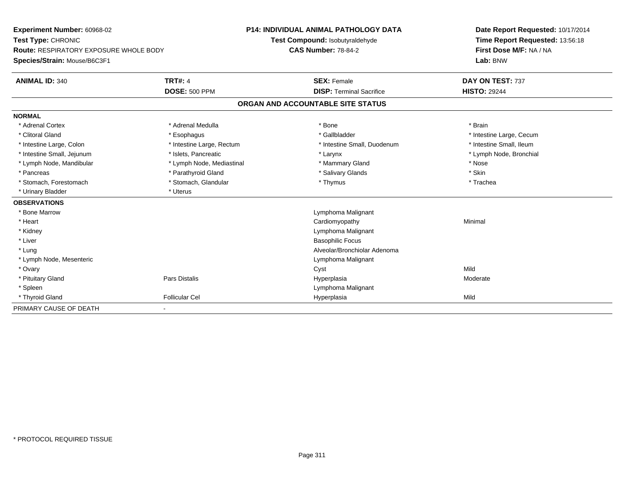| Experiment Number: 60968-02<br>Test Type: CHRONIC |                           | <b>P14: INDIVIDUAL ANIMAL PATHOLOGY DATA</b> | Date Report Requested: 10/17/2014<br>Time Report Requested: 13:56:18 |  |
|---------------------------------------------------|---------------------------|----------------------------------------------|----------------------------------------------------------------------|--|
|                                                   |                           | Test Compound: Isobutyraldehyde              |                                                                      |  |
| <b>Route: RESPIRATORY EXPOSURE WHOLE BODY</b>     |                           | <b>CAS Number: 78-84-2</b>                   | First Dose M/F: NA / NA                                              |  |
| Species/Strain: Mouse/B6C3F1                      |                           |                                              | Lab: BNW                                                             |  |
| <b>ANIMAL ID: 340</b>                             | <b>TRT#: 4</b>            | <b>SEX: Female</b>                           | DAY ON TEST: 737                                                     |  |
|                                                   | <b>DOSE: 500 PPM</b>      | <b>DISP: Terminal Sacrifice</b>              | <b>HISTO: 29244</b>                                                  |  |
|                                                   |                           | ORGAN AND ACCOUNTABLE SITE STATUS            |                                                                      |  |
| <b>NORMAL</b>                                     |                           |                                              |                                                                      |  |
| * Adrenal Cortex                                  | * Adrenal Medulla         | * Bone                                       | * Brain                                                              |  |
| * Clitoral Gland                                  | * Esophagus               | * Gallbladder                                | * Intestine Large, Cecum                                             |  |
| * Intestine Large, Colon                          | * Intestine Large, Rectum | * Intestine Small, Duodenum                  | * Intestine Small, Ileum                                             |  |
| * Intestine Small, Jejunum                        | * Islets. Pancreatic      | * Larynx                                     | * Lymph Node, Bronchial                                              |  |
| * Lymph Node, Mandibular                          | * Lymph Node, Mediastinal | * Mammary Gland                              | * Nose                                                               |  |
| * Pancreas                                        | * Parathyroid Gland       | * Salivary Glands                            | * Skin                                                               |  |
| * Stomach, Forestomach                            | * Stomach, Glandular      | * Thymus                                     | * Trachea                                                            |  |
| * Urinary Bladder                                 | * Uterus                  |                                              |                                                                      |  |
| <b>OBSERVATIONS</b>                               |                           |                                              |                                                                      |  |
| * Bone Marrow                                     |                           | Lymphoma Malignant                           |                                                                      |  |
| * Heart                                           |                           | Cardiomyopathy                               | Minimal                                                              |  |
| * Kidney                                          |                           | Lymphoma Malignant                           |                                                                      |  |
| * Liver                                           |                           | <b>Basophilic Focus</b>                      |                                                                      |  |
| * Lung                                            |                           | Alveolar/Bronchiolar Adenoma                 |                                                                      |  |
| * Lymph Node, Mesenteric                          |                           | Lymphoma Malignant                           |                                                                      |  |
| * Ovary                                           |                           | Cyst                                         | Mild                                                                 |  |
| * Pituitary Gland                                 | <b>Pars Distalis</b>      | Hyperplasia                                  | Moderate                                                             |  |
| * Spleen                                          |                           | Lymphoma Malignant                           |                                                                      |  |
| * Thyroid Gland                                   | <b>Follicular Cel</b>     | Hyperplasia                                  | Mild                                                                 |  |
| PRIMARY CAUSE OF DEATH                            |                           |                                              |                                                                      |  |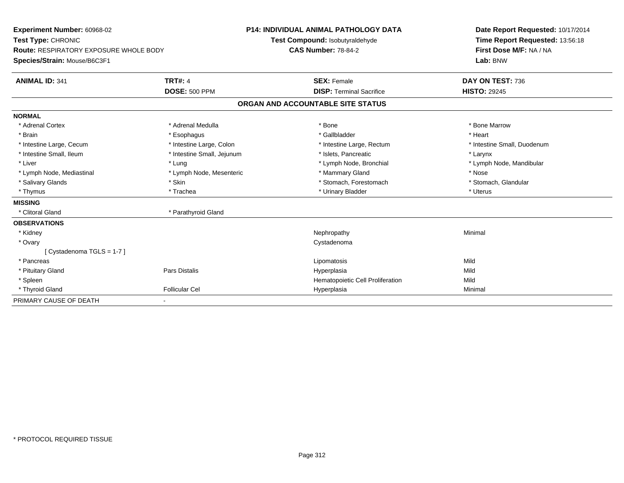| Experiment Number: 60968-02            |                            | <b>P14: INDIVIDUAL ANIMAL PATHOLOGY DATA</b> |                                  | Date Report Requested: 10/17/2014 |  |
|----------------------------------------|----------------------------|----------------------------------------------|----------------------------------|-----------------------------------|--|
| Test Type: CHRONIC                     |                            | Test Compound: Isobutyraldehyde              |                                  | Time Report Requested: 13:56:18   |  |
| Route: RESPIRATORY EXPOSURE WHOLE BODY |                            | <b>CAS Number: 78-84-2</b>                   |                                  | First Dose M/F: NA / NA           |  |
| Species/Strain: Mouse/B6C3F1           |                            |                                              |                                  | Lab: BNW                          |  |
| <b>ANIMAL ID: 341</b>                  | <b>TRT#: 4</b>             | <b>SEX: Female</b>                           |                                  | DAY ON TEST: 736                  |  |
|                                        | <b>DOSE: 500 PPM</b>       |                                              | <b>DISP: Terminal Sacrifice</b>  | <b>HISTO: 29245</b>               |  |
|                                        |                            | ORGAN AND ACCOUNTABLE SITE STATUS            |                                  |                                   |  |
| <b>NORMAL</b>                          |                            |                                              |                                  |                                   |  |
| * Adrenal Cortex                       | * Adrenal Medulla          | * Bone                                       |                                  | * Bone Marrow                     |  |
| * Brain                                | * Esophagus                |                                              | * Gallbladder                    | * Heart                           |  |
| * Intestine Large, Cecum               | * Intestine Large, Colon   |                                              | * Intestine Large, Rectum        | * Intestine Small, Duodenum       |  |
| * Intestine Small, Ileum               | * Intestine Small, Jejunum |                                              | * Islets, Pancreatic             | * Larynx                          |  |
| * Liver                                | * Lung                     |                                              | * Lymph Node, Bronchial          | * Lymph Node, Mandibular          |  |
| * Lymph Node, Mediastinal              | * Lymph Node, Mesenteric   |                                              | * Mammary Gland                  | * Nose                            |  |
| * Salivary Glands                      | * Skin                     |                                              | * Stomach, Forestomach           | * Stomach, Glandular              |  |
| * Thymus                               | * Trachea                  |                                              | * Urinary Bladder                | * Uterus                          |  |
| <b>MISSING</b>                         |                            |                                              |                                  |                                   |  |
| * Clitoral Gland                       | * Parathyroid Gland        |                                              |                                  |                                   |  |
| <b>OBSERVATIONS</b>                    |                            |                                              |                                  |                                   |  |
| * Kidney                               |                            | Nephropathy                                  |                                  | Minimal                           |  |
| * Ovary                                |                            | Cystadenoma                                  |                                  |                                   |  |
| [Cystadenoma TGLS = 1-7]               |                            |                                              |                                  |                                   |  |
| * Pancreas                             |                            | Lipomatosis                                  |                                  | Mild                              |  |
| * Pituitary Gland                      | Pars Distalis              | Hyperplasia                                  |                                  | Mild                              |  |
| * Spleen                               |                            |                                              | Hematopoietic Cell Proliferation | Mild                              |  |
| * Thyroid Gland                        | <b>Follicular Cel</b>      | Hyperplasia                                  |                                  | Minimal                           |  |
| PRIMARY CAUSE OF DEATH                 |                            |                                              |                                  |                                   |  |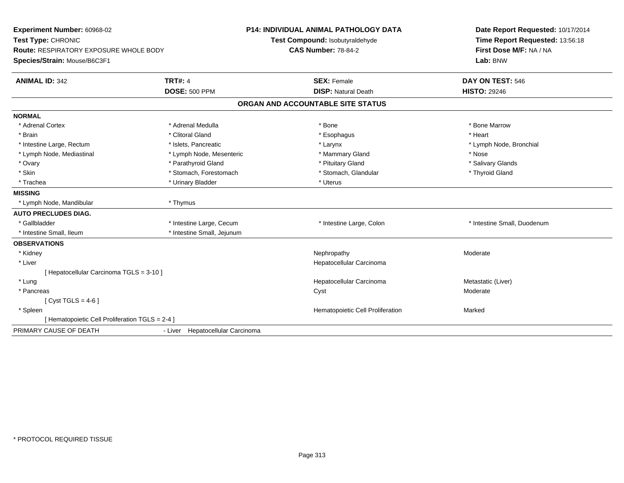| Experiment Number: 60968-02<br>Test Type: CHRONIC<br>Route: RESPIRATORY EXPOSURE WHOLE BODY<br>Species/Strain: Mouse/B6C3F1 |                                        | <b>P14: INDIVIDUAL ANIMAL PATHOLOGY DATA</b><br>Test Compound: Isobutyraldehyde<br><b>CAS Number: 78-84-2</b> | Date Report Requested: 10/17/2014<br>Time Report Requested: 13:56:18<br>First Dose M/F: NA / NA<br>Lab: BNW |
|-----------------------------------------------------------------------------------------------------------------------------|----------------------------------------|---------------------------------------------------------------------------------------------------------------|-------------------------------------------------------------------------------------------------------------|
| <b>ANIMAL ID: 342</b>                                                                                                       | <b>TRT#: 4</b><br><b>DOSE: 500 PPM</b> | <b>SEX: Female</b><br><b>DISP: Natural Death</b>                                                              | DAY ON TEST: 546<br><b>HISTO: 29246</b>                                                                     |
|                                                                                                                             |                                        | ORGAN AND ACCOUNTABLE SITE STATUS                                                                             |                                                                                                             |
| <b>NORMAL</b>                                                                                                               |                                        |                                                                                                               |                                                                                                             |
| * Adrenal Cortex                                                                                                            | * Adrenal Medulla                      | * Bone                                                                                                        | * Bone Marrow                                                                                               |
| * Brain                                                                                                                     | * Clitoral Gland                       | * Esophagus                                                                                                   | * Heart                                                                                                     |
| * Intestine Large, Rectum                                                                                                   | * Islets, Pancreatic                   | * Larynx                                                                                                      | * Lymph Node, Bronchial                                                                                     |
| * Lymph Node, Mediastinal                                                                                                   | * Lymph Node, Mesenteric               | * Mammary Gland                                                                                               | * Nose                                                                                                      |
| * Ovary                                                                                                                     | * Parathyroid Gland                    | * Pituitary Gland                                                                                             | * Salivary Glands                                                                                           |
| * Skin                                                                                                                      | * Stomach, Forestomach                 | * Stomach, Glandular                                                                                          | * Thyroid Gland                                                                                             |
| * Trachea                                                                                                                   | * Urinary Bladder                      | * Uterus                                                                                                      |                                                                                                             |
| <b>MISSING</b>                                                                                                              |                                        |                                                                                                               |                                                                                                             |
| * Lymph Node, Mandibular                                                                                                    | * Thymus                               |                                                                                                               |                                                                                                             |
| <b>AUTO PRECLUDES DIAG.</b>                                                                                                 |                                        |                                                                                                               |                                                                                                             |
| * Gallbladder                                                                                                               | * Intestine Large, Cecum               | * Intestine Large, Colon                                                                                      | * Intestine Small, Duodenum                                                                                 |
| * Intestine Small, Ileum                                                                                                    | * Intestine Small, Jejunum             |                                                                                                               |                                                                                                             |
| <b>OBSERVATIONS</b>                                                                                                         |                                        |                                                                                                               |                                                                                                             |
| * Kidney                                                                                                                    |                                        | Nephropathy                                                                                                   | Moderate                                                                                                    |
| * Liver                                                                                                                     |                                        | Hepatocellular Carcinoma                                                                                      |                                                                                                             |
| [ Hepatocellular Carcinoma TGLS = 3-10 ]                                                                                    |                                        |                                                                                                               |                                                                                                             |
| * Lung                                                                                                                      |                                        | Hepatocellular Carcinoma                                                                                      | Metastatic (Liver)                                                                                          |
| * Pancreas                                                                                                                  |                                        | Cyst                                                                                                          | Moderate                                                                                                    |
| [ $Cyst TGLS = 4-6$ ]                                                                                                       |                                        |                                                                                                               |                                                                                                             |
| * Spleen                                                                                                                    |                                        | Hematopoietic Cell Proliferation                                                                              | Marked                                                                                                      |
| [ Hematopoietic Cell Proliferation TGLS = 2-4 ]                                                                             |                                        |                                                                                                               |                                                                                                             |
| PRIMARY CAUSE OF DEATH                                                                                                      | Hepatocellular Carcinoma<br>- Liver    |                                                                                                               |                                                                                                             |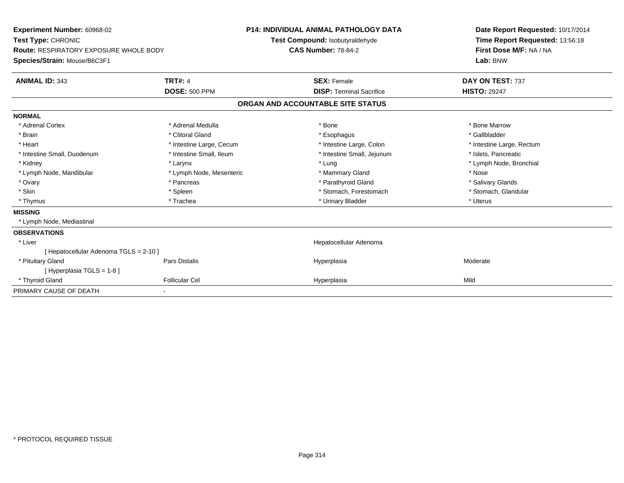| Experiment Number: 60968-02<br>Test Type: CHRONIC<br><b>Route: RESPIRATORY EXPOSURE WHOLE BODY</b><br>Species/Strain: Mouse/B6C3F1 |                                        | <b>P14: INDIVIDUAL ANIMAL PATHOLOGY DATA</b><br>Test Compound: Isobutyraldehyde<br><b>CAS Number: 78-84-2</b> |                                                       | Date Report Requested: 10/17/2014<br>Time Report Requested: 13:56:18<br>First Dose M/F: NA / NA<br>Lab: BNW |  |
|------------------------------------------------------------------------------------------------------------------------------------|----------------------------------------|---------------------------------------------------------------------------------------------------------------|-------------------------------------------------------|-------------------------------------------------------------------------------------------------------------|--|
| <b>ANIMAL ID: 343</b>                                                                                                              | <b>TRT#: 4</b><br><b>DOSE: 500 PPM</b> |                                                                                                               | <b>SEX: Female</b><br><b>DISP: Terminal Sacrifice</b> | DAY ON TEST: 737<br><b>HISTO: 29247</b>                                                                     |  |
|                                                                                                                                    |                                        |                                                                                                               | ORGAN AND ACCOUNTABLE SITE STATUS                     |                                                                                                             |  |
| <b>NORMAL</b>                                                                                                                      |                                        |                                                                                                               |                                                       |                                                                                                             |  |
| * Adrenal Cortex                                                                                                                   | * Adrenal Medulla                      |                                                                                                               | * Bone                                                | * Bone Marrow                                                                                               |  |
| * Brain                                                                                                                            | * Clitoral Gland                       |                                                                                                               | * Esophagus                                           | * Gallbladder                                                                                               |  |
| * Heart                                                                                                                            | * Intestine Large, Cecum               |                                                                                                               | * Intestine Large, Colon                              | * Intestine Large, Rectum                                                                                   |  |
| * Intestine Small, Duodenum                                                                                                        | * Intestine Small, Ileum               |                                                                                                               | * Intestine Small, Jejunum                            | * Islets, Pancreatic                                                                                        |  |
| * Kidney                                                                                                                           | * Larynx                               |                                                                                                               | * Lung                                                | * Lymph Node, Bronchial                                                                                     |  |
| * Lymph Node, Mandibular                                                                                                           | * Lymph Node, Mesenteric               |                                                                                                               | * Mammary Gland                                       | * Nose                                                                                                      |  |
| * Ovary                                                                                                                            | * Pancreas                             |                                                                                                               | * Parathyroid Gland                                   | * Salivary Glands                                                                                           |  |
| * Skin                                                                                                                             | * Spleen                               |                                                                                                               | * Stomach, Forestomach                                | * Stomach, Glandular                                                                                        |  |
| * Thymus                                                                                                                           | * Trachea                              |                                                                                                               | * Urinary Bladder                                     | * Uterus                                                                                                    |  |
| <b>MISSING</b>                                                                                                                     |                                        |                                                                                                               |                                                       |                                                                                                             |  |
| * Lymph Node, Mediastinal                                                                                                          |                                        |                                                                                                               |                                                       |                                                                                                             |  |
| <b>OBSERVATIONS</b>                                                                                                                |                                        |                                                                                                               |                                                       |                                                                                                             |  |
| * Liver                                                                                                                            |                                        |                                                                                                               | Hepatocellular Adenoma                                |                                                                                                             |  |
| [ Hepatocellular Adenoma TGLS = 2-10 ]                                                                                             |                                        |                                                                                                               |                                                       |                                                                                                             |  |
| * Pituitary Gland                                                                                                                  | Pars Distalis                          |                                                                                                               | Hyperplasia                                           | Moderate                                                                                                    |  |
| [Hyperplasia TGLS = $1-8$ ]                                                                                                        |                                        |                                                                                                               |                                                       |                                                                                                             |  |
| * Thyroid Gland                                                                                                                    | <b>Follicular Cel</b>                  |                                                                                                               | Hyperplasia                                           | Mild                                                                                                        |  |
| PRIMARY CAUSE OF DEATH                                                                                                             |                                        |                                                                                                               |                                                       |                                                                                                             |  |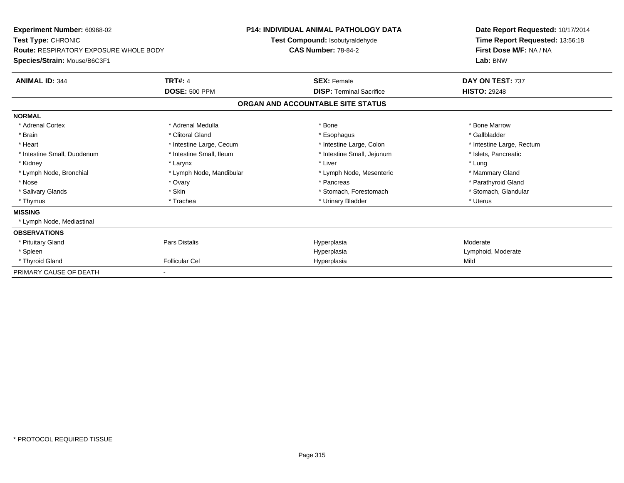| <b>Experiment Number: 60968-02</b><br>Test Type: CHRONIC<br><b>Route: RESPIRATORY EXPOSURE WHOLE BODY</b> |                          | <b>P14: INDIVIDUAL ANIMAL PATHOLOGY DATA</b><br>Test Compound: Isobutyraldehyde<br><b>CAS Number: 78-84-2</b> | Date Report Requested: 10/17/2014<br>Time Report Requested: 13:56:18<br>First Dose M/F: NA / NA |
|-----------------------------------------------------------------------------------------------------------|--------------------------|---------------------------------------------------------------------------------------------------------------|-------------------------------------------------------------------------------------------------|
| Species/Strain: Mouse/B6C3F1                                                                              |                          |                                                                                                               | Lab: BNW                                                                                        |
| <b>ANIMAL ID: 344</b>                                                                                     | <b>TRT#: 4</b>           | <b>SEX: Female</b>                                                                                            | DAY ON TEST: 737                                                                                |
|                                                                                                           | <b>DOSE: 500 PPM</b>     | <b>DISP: Terminal Sacrifice</b>                                                                               | <b>HISTO: 29248</b>                                                                             |
|                                                                                                           |                          | ORGAN AND ACCOUNTABLE SITE STATUS                                                                             |                                                                                                 |
| <b>NORMAL</b>                                                                                             |                          |                                                                                                               |                                                                                                 |
| * Adrenal Cortex                                                                                          | * Adrenal Medulla        | * Bone                                                                                                        | * Bone Marrow                                                                                   |
| * Brain                                                                                                   | * Clitoral Gland         | * Esophagus                                                                                                   | * Gallbladder                                                                                   |
| * Heart                                                                                                   | * Intestine Large, Cecum | * Intestine Large, Colon                                                                                      | * Intestine Large, Rectum                                                                       |
| * Intestine Small, Duodenum                                                                               | * Intestine Small, Ileum | * Intestine Small, Jejunum                                                                                    | * Islets, Pancreatic                                                                            |
| * Kidney                                                                                                  | * Larynx                 | * Liver                                                                                                       | * Lung                                                                                          |
| * Lymph Node, Bronchial                                                                                   | * Lymph Node, Mandibular | * Lymph Node, Mesenteric                                                                                      | * Mammary Gland                                                                                 |
| * Nose                                                                                                    | * Ovary                  | * Pancreas                                                                                                    | * Parathyroid Gland                                                                             |
| * Salivary Glands                                                                                         | * Skin                   | * Stomach, Forestomach                                                                                        | * Stomach, Glandular                                                                            |
| * Thymus                                                                                                  | * Trachea                | * Urinary Bladder                                                                                             | * Uterus                                                                                        |
| <b>MISSING</b>                                                                                            |                          |                                                                                                               |                                                                                                 |
| * Lymph Node, Mediastinal                                                                                 |                          |                                                                                                               |                                                                                                 |
| <b>OBSERVATIONS</b>                                                                                       |                          |                                                                                                               |                                                                                                 |
| * Pituitary Gland                                                                                         | <b>Pars Distalis</b>     | Hyperplasia                                                                                                   | Moderate                                                                                        |
| * Spleen                                                                                                  |                          | Hyperplasia                                                                                                   | Lymphoid, Moderate                                                                              |
| * Thyroid Gland                                                                                           | <b>Follicular Cel</b>    | Hyperplasia                                                                                                   | Mild                                                                                            |
| PRIMARY CAUSE OF DEATH                                                                                    |                          |                                                                                                               |                                                                                                 |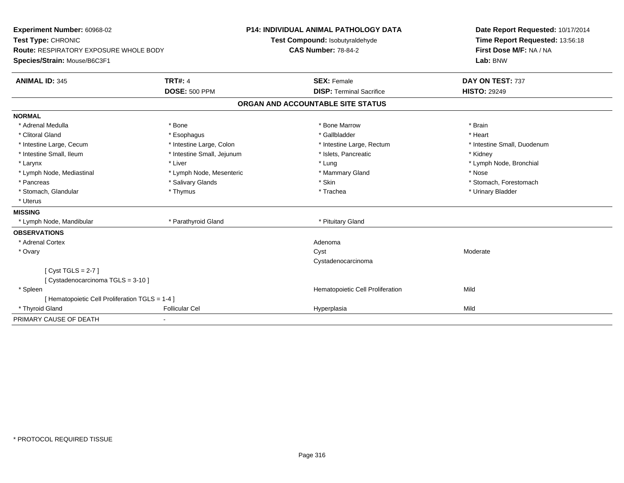| Experiment Number: 60968-02<br>Test Type: CHRONIC<br><b>Route: RESPIRATORY EXPOSURE WHOLE BODY</b> |                            | <b>P14: INDIVIDUAL ANIMAL PATHOLOGY DATA</b> |                                   |  | Date Report Requested: 10/17/2014                          |
|----------------------------------------------------------------------------------------------------|----------------------------|----------------------------------------------|-----------------------------------|--|------------------------------------------------------------|
|                                                                                                    |                            |                                              | Test Compound: Isobutyraldehyde   |  | Time Report Requested: 13:56:18<br>First Dose M/F: NA / NA |
|                                                                                                    |                            |                                              | <b>CAS Number: 78-84-2</b>        |  |                                                            |
| Species/Strain: Mouse/B6C3F1                                                                       |                            |                                              |                                   |  | Lab: BNW                                                   |
| <b>ANIMAL ID: 345</b>                                                                              | <b>TRT#: 4</b>             |                                              | <b>SEX: Female</b>                |  | DAY ON TEST: 737                                           |
|                                                                                                    | <b>DOSE: 500 PPM</b>       |                                              | <b>DISP: Terminal Sacrifice</b>   |  | <b>HISTO: 29249</b>                                        |
|                                                                                                    |                            |                                              | ORGAN AND ACCOUNTABLE SITE STATUS |  |                                                            |
| <b>NORMAL</b>                                                                                      |                            |                                              |                                   |  |                                                            |
| * Adrenal Medulla                                                                                  | * Bone                     |                                              | * Bone Marrow                     |  | * Brain                                                    |
| * Clitoral Gland                                                                                   | * Esophagus                |                                              | * Gallbladder                     |  | * Heart                                                    |
| * Intestine Large, Cecum                                                                           | * Intestine Large, Colon   |                                              | * Intestine Large, Rectum         |  | * Intestine Small, Duodenum                                |
| * Intestine Small, Ileum                                                                           | * Intestine Small, Jejunum |                                              | * Islets, Pancreatic              |  | * Kidney                                                   |
| * Larynx                                                                                           | * Liver                    |                                              | * Lung                            |  | * Lymph Node, Bronchial                                    |
| * Lymph Node, Mediastinal                                                                          | * Lymph Node, Mesenteric   |                                              | * Mammary Gland                   |  | * Nose                                                     |
| * Pancreas                                                                                         | * Salivary Glands          |                                              | * Skin                            |  | * Stomach, Forestomach                                     |
| * Stomach, Glandular                                                                               | * Thymus                   |                                              | * Trachea                         |  | * Urinary Bladder                                          |
| * Uterus                                                                                           |                            |                                              |                                   |  |                                                            |
| <b>MISSING</b>                                                                                     |                            |                                              |                                   |  |                                                            |
| * Lymph Node, Mandibular                                                                           | * Parathyroid Gland        |                                              | * Pituitary Gland                 |  |                                                            |
| <b>OBSERVATIONS</b>                                                                                |                            |                                              |                                   |  |                                                            |
| * Adrenal Cortex                                                                                   |                            |                                              | Adenoma                           |  |                                                            |
| * Ovary                                                                                            |                            |                                              | Cyst                              |  | Moderate                                                   |
|                                                                                                    |                            |                                              | Cystadenocarcinoma                |  |                                                            |
| [Cyst TGLS = $2-7$ ]                                                                               |                            |                                              |                                   |  |                                                            |
| [Cystadenocarcinoma TGLS = 3-10]                                                                   |                            |                                              |                                   |  |                                                            |
| * Spleen                                                                                           |                            |                                              | Hematopoietic Cell Proliferation  |  | Mild                                                       |
| [ Hematopoietic Cell Proliferation TGLS = 1-4 ]                                                    |                            |                                              |                                   |  |                                                            |
| * Thyroid Gland                                                                                    | <b>Follicular Cel</b>      |                                              | Hyperplasia                       |  | Mild                                                       |
| PRIMARY CAUSE OF DEATH                                                                             |                            |                                              |                                   |  |                                                            |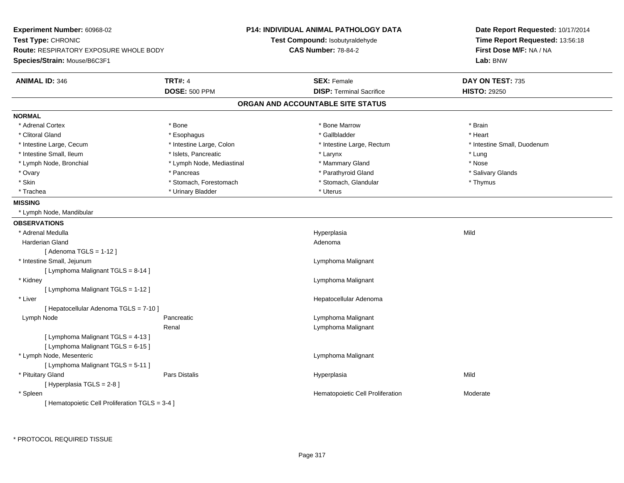| Experiment Number: 60968-02                    |                           | <b>P14: INDIVIDUAL ANIMAL PATHOLOGY DATA</b> | Date Report Requested: 10/17/2014   |  |
|------------------------------------------------|---------------------------|----------------------------------------------|-------------------------------------|--|
| Test Type: CHRONIC                             |                           | Test Compound: Isobutyraldehyde              | Time Report Requested: 13:56:18     |  |
| <b>Route: RESPIRATORY EXPOSURE WHOLE BODY</b>  |                           | <b>CAS Number: 78-84-2</b>                   | First Dose M/F: NA / NA<br>Lab: BNW |  |
| Species/Strain: Mouse/B6C3F1                   |                           |                                              |                                     |  |
| <b>ANIMAL ID: 346</b>                          | <b>TRT#: 4</b>            | <b>SEX: Female</b>                           | DAY ON TEST: 735                    |  |
|                                                | <b>DOSE: 500 PPM</b>      | <b>DISP: Terminal Sacrifice</b>              | <b>HISTO: 29250</b>                 |  |
|                                                |                           | ORGAN AND ACCOUNTABLE SITE STATUS            |                                     |  |
| <b>NORMAL</b>                                  |                           |                                              |                                     |  |
| * Adrenal Cortex                               | * Bone                    | * Bone Marrow                                | * Brain                             |  |
| * Clitoral Gland                               | * Esophagus               | * Gallbladder                                | * Heart                             |  |
| * Intestine Large, Cecum                       | * Intestine Large, Colon  | * Intestine Large, Rectum                    | * Intestine Small, Duodenum         |  |
| * Intestine Small, Ileum                       | * Islets, Pancreatic      | * Larynx                                     | * Lung                              |  |
| * Lymph Node, Bronchial                        | * Lymph Node, Mediastinal | * Mammary Gland                              | * Nose                              |  |
| * Ovary                                        | * Pancreas                | * Parathyroid Gland                          | * Salivary Glands                   |  |
| * Skin                                         | * Stomach, Forestomach    | * Stomach, Glandular                         | * Thymus                            |  |
| * Trachea                                      | * Urinary Bladder         | * Uterus                                     |                                     |  |
| <b>MISSING</b>                                 |                           |                                              |                                     |  |
| * Lymph Node, Mandibular                       |                           |                                              |                                     |  |
| <b>OBSERVATIONS</b>                            |                           |                                              |                                     |  |
| * Adrenal Medulla                              |                           | Hyperplasia                                  | Mild                                |  |
| <b>Harderian Gland</b>                         |                           | Adenoma                                      |                                     |  |
| [Adenoma TGLS = $1-12$ ]                       |                           |                                              |                                     |  |
| * Intestine Small, Jejunum                     |                           | Lymphoma Malignant                           |                                     |  |
| [ Lymphoma Malignant TGLS = 8-14 ]             |                           |                                              |                                     |  |
| * Kidney                                       |                           | Lymphoma Malignant                           |                                     |  |
| [ Lymphoma Malignant TGLS = 1-12 ]             |                           |                                              |                                     |  |
| * Liver                                        |                           | Hepatocellular Adenoma                       |                                     |  |
| [ Hepatocellular Adenoma TGLS = 7-10 ]         |                           |                                              |                                     |  |
| Lymph Node                                     | Pancreatic                | Lymphoma Malignant                           |                                     |  |
|                                                | Renal                     | Lymphoma Malignant                           |                                     |  |
| [ Lymphoma Malignant TGLS = 4-13 ]             |                           |                                              |                                     |  |
| [ Lymphoma Malignant TGLS = 6-15 ]             |                           |                                              |                                     |  |
| * Lymph Node, Mesenteric                       |                           | Lymphoma Malignant                           |                                     |  |
| [ Lymphoma Malignant TGLS = 5-11 ]             |                           |                                              |                                     |  |
| * Pituitary Gland                              | Pars Distalis             | Hyperplasia                                  | Mild                                |  |
| [ Hyperplasia TGLS = 2-8 ]                     |                           |                                              |                                     |  |
| * Spleen                                       |                           | Hematopoietic Cell Proliferation             | Moderate                            |  |
| [Hematopoietic Cell Proliferation TGLS = 3-4 ] |                           |                                              |                                     |  |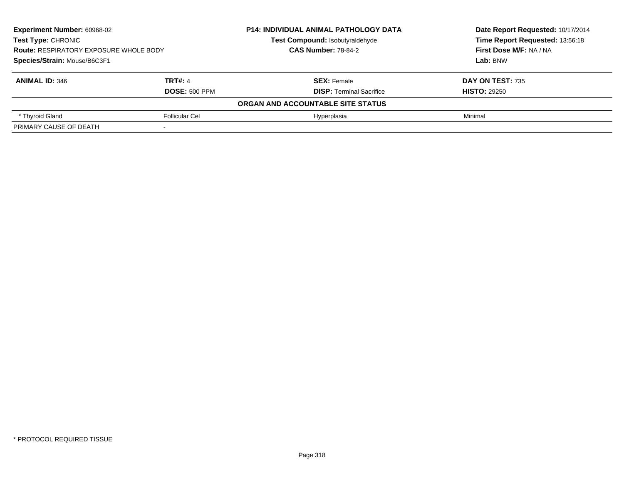| <b>Experiment Number: 60968-02</b><br><b>Test Type: CHRONIC</b><br><b>Route: RESPIRATORY EXPOSURE WHOLE BODY</b> |                      | <b>P14: INDIVIDUAL ANIMAL PATHOLOGY DATA</b> | Date Report Requested: 10/17/2014<br>Time Report Requested: 13:56:18<br><b>First Dose M/F: NA / NA</b> |
|------------------------------------------------------------------------------------------------------------------|----------------------|----------------------------------------------|--------------------------------------------------------------------------------------------------------|
|                                                                                                                  |                      | Test Compound: Isobutyraldehyde              |                                                                                                        |
|                                                                                                                  |                      | <b>CAS Number: 78-84-2</b>                   |                                                                                                        |
| Species/Strain: Mouse/B6C3F1                                                                                     |                      |                                              | Lab: BNW                                                                                               |
| <b>ANIMAL ID: 346</b>                                                                                            | <b>TRT#: 4</b>       | <b>SEX: Female</b>                           | <b>DAY ON TEST: 735</b>                                                                                |
|                                                                                                                  | <b>DOSE: 500 PPM</b> | <b>DISP:</b> Terminal Sacrifice              | <b>HISTO: 29250</b>                                                                                    |
|                                                                                                                  |                      | ORGAN AND ACCOUNTABLE SITE STATUS            |                                                                                                        |
| * Thyroid Gland                                                                                                  | Follicular Cel       | Hyperplasia                                  | Minimal                                                                                                |
| PRIMARY CAUSE OF DEATH                                                                                           |                      |                                              |                                                                                                        |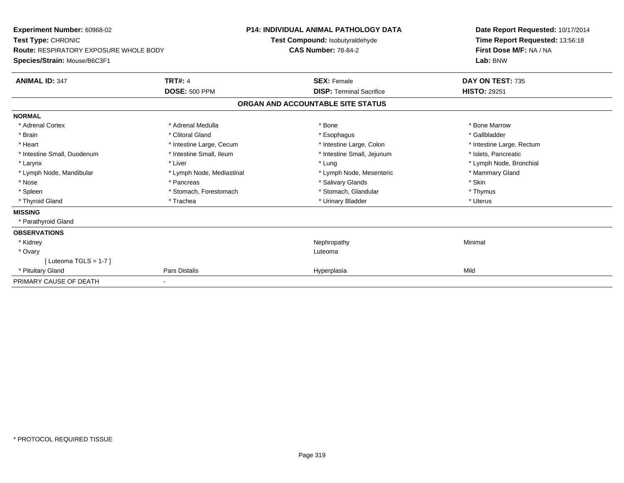| Experiment Number: 60968-02<br>Test Type: CHRONIC<br><b>Route: RESPIRATORY EXPOSURE WHOLE BODY</b> |                           | <b>P14: INDIVIDUAL ANIMAL PATHOLOGY DATA</b> |                                   |  | Date Report Requested: 10/17/2014                          |  |
|----------------------------------------------------------------------------------------------------|---------------------------|----------------------------------------------|-----------------------------------|--|------------------------------------------------------------|--|
|                                                                                                    |                           |                                              | Test Compound: Isobutyraldehyde   |  | Time Report Requested: 13:56:18<br>First Dose M/F: NA / NA |  |
|                                                                                                    |                           |                                              | <b>CAS Number: 78-84-2</b>        |  |                                                            |  |
| Species/Strain: Mouse/B6C3F1                                                                       |                           |                                              |                                   |  | Lab: BNW                                                   |  |
| <b>ANIMAL ID: 347</b>                                                                              | <b>TRT#: 4</b>            |                                              | <b>SEX: Female</b>                |  | DAY ON TEST: 735                                           |  |
|                                                                                                    | <b>DOSE: 500 PPM</b>      |                                              | <b>DISP:</b> Terminal Sacrifice   |  | <b>HISTO: 29251</b>                                        |  |
|                                                                                                    |                           |                                              | ORGAN AND ACCOUNTABLE SITE STATUS |  |                                                            |  |
| <b>NORMAL</b>                                                                                      |                           |                                              |                                   |  |                                                            |  |
| * Adrenal Cortex                                                                                   | * Adrenal Medulla         |                                              | * Bone                            |  | * Bone Marrow                                              |  |
| * Brain                                                                                            | * Clitoral Gland          |                                              | * Esophagus                       |  | * Gallbladder                                              |  |
| * Heart                                                                                            | * Intestine Large, Cecum  |                                              | * Intestine Large, Colon          |  | * Intestine Large, Rectum                                  |  |
| * Intestine Small, Duodenum                                                                        | * Intestine Small, Ileum  |                                              | * Intestine Small, Jejunum        |  | * Islets, Pancreatic                                       |  |
| * Larynx                                                                                           | * Liver                   |                                              | * Lung                            |  | * Lymph Node, Bronchial                                    |  |
| * Lymph Node, Mandibular                                                                           | * Lymph Node, Mediastinal |                                              | * Lymph Node, Mesenteric          |  | * Mammary Gland                                            |  |
| * Nose                                                                                             | * Pancreas                |                                              | * Salivary Glands                 |  | * Skin                                                     |  |
| * Spleen                                                                                           | * Stomach, Forestomach    |                                              | * Stomach, Glandular              |  | * Thymus                                                   |  |
| * Thyroid Gland                                                                                    | * Trachea                 |                                              | * Urinary Bladder                 |  | * Uterus                                                   |  |
| <b>MISSING</b>                                                                                     |                           |                                              |                                   |  |                                                            |  |
| * Parathyroid Gland                                                                                |                           |                                              |                                   |  |                                                            |  |
| <b>OBSERVATIONS</b>                                                                                |                           |                                              |                                   |  |                                                            |  |
| * Kidney                                                                                           |                           |                                              | Nephropathy                       |  | Minimal                                                    |  |
| * Ovary                                                                                            |                           |                                              | Luteoma                           |  |                                                            |  |
| [Luteoma TGLS = $1-7$ ]                                                                            |                           |                                              |                                   |  |                                                            |  |
| * Pituitary Gland                                                                                  | Pars Distalis             |                                              | Hyperplasia                       |  | Mild                                                       |  |
| PRIMARY CAUSE OF DEATH                                                                             |                           |                                              |                                   |  |                                                            |  |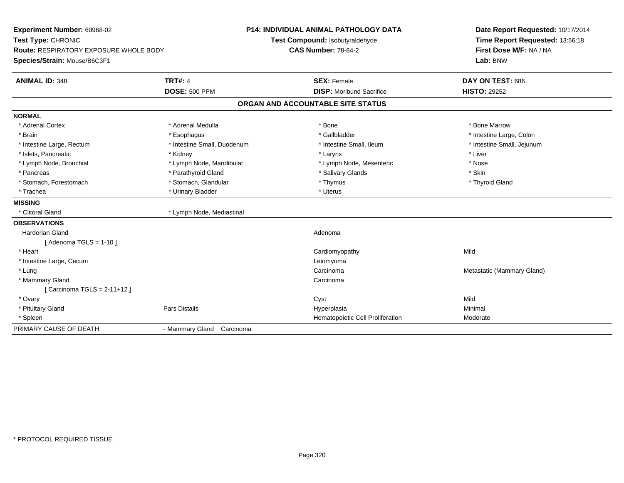| Experiment Number: 60968-02<br>Test Type: CHRONIC<br>Route: RESPIRATORY EXPOSURE WHOLE BODY<br>Species/Strain: Mouse/B6C3F1 |                             | P14: INDIVIDUAL ANIMAL PATHOLOGY DATA<br>Test Compound: Isobutyraldehyde<br><b>CAS Number: 78-84-2</b> | Date Report Requested: 10/17/2014<br>Time Report Requested: 13:56:18<br>First Dose M/F: NA / NA<br>Lab: BNW |  |
|-----------------------------------------------------------------------------------------------------------------------------|-----------------------------|--------------------------------------------------------------------------------------------------------|-------------------------------------------------------------------------------------------------------------|--|
| <b>ANIMAL ID: 348</b>                                                                                                       | <b>TRT#: 4</b>              | <b>SEX: Female</b>                                                                                     | DAY ON TEST: 686                                                                                            |  |
|                                                                                                                             | <b>DOSE: 500 PPM</b>        | <b>DISP:</b> Moribund Sacrifice                                                                        | <b>HISTO: 29252</b>                                                                                         |  |
|                                                                                                                             |                             | ORGAN AND ACCOUNTABLE SITE STATUS                                                                      |                                                                                                             |  |
| <b>NORMAL</b>                                                                                                               |                             |                                                                                                        |                                                                                                             |  |
| * Adrenal Cortex                                                                                                            | * Adrenal Medulla           | * Bone                                                                                                 | * Bone Marrow                                                                                               |  |
| * Brain                                                                                                                     | * Esophagus                 | * Gallbladder                                                                                          | * Intestine Large, Colon                                                                                    |  |
| * Intestine Large, Rectum                                                                                                   | * Intestine Small, Duodenum | * Intestine Small, Ileum                                                                               | * Intestine Small, Jejunum                                                                                  |  |
| * Islets, Pancreatic                                                                                                        | * Kidney                    | * Larynx                                                                                               | * Liver                                                                                                     |  |
| * Lymph Node, Bronchial                                                                                                     | * Lymph Node, Mandibular    | * Lymph Node, Mesenteric                                                                               | * Nose                                                                                                      |  |
| * Pancreas                                                                                                                  | * Parathyroid Gland         | * Salivary Glands                                                                                      | * Skin                                                                                                      |  |
| * Stomach, Forestomach                                                                                                      | * Stomach, Glandular        | * Thymus                                                                                               | * Thyroid Gland                                                                                             |  |
| * Trachea                                                                                                                   | * Urinary Bladder           | * Uterus                                                                                               |                                                                                                             |  |
| <b>MISSING</b>                                                                                                              |                             |                                                                                                        |                                                                                                             |  |
| * Clitoral Gland                                                                                                            | * Lymph Node, Mediastinal   |                                                                                                        |                                                                                                             |  |
| <b>OBSERVATIONS</b>                                                                                                         |                             |                                                                                                        |                                                                                                             |  |
| <b>Harderian Gland</b>                                                                                                      |                             | Adenoma                                                                                                |                                                                                                             |  |
| [Adenoma TGLS = 1-10]                                                                                                       |                             |                                                                                                        |                                                                                                             |  |
| * Heart                                                                                                                     |                             | Cardiomyopathy                                                                                         | Mild                                                                                                        |  |
| * Intestine Large, Cecum                                                                                                    |                             | Leiomyoma                                                                                              |                                                                                                             |  |
| * Lung                                                                                                                      |                             | Carcinoma                                                                                              | Metastatic (Mammary Gland)                                                                                  |  |
| * Mammary Gland                                                                                                             |                             | Carcinoma                                                                                              |                                                                                                             |  |
| [Carcinoma TGLS = 2-11+12]                                                                                                  |                             |                                                                                                        |                                                                                                             |  |
| * Ovary                                                                                                                     |                             | Cyst                                                                                                   | Mild                                                                                                        |  |
| * Pituitary Gland                                                                                                           | Pars Distalis               | Hyperplasia                                                                                            | Minimal                                                                                                     |  |
| * Spleen                                                                                                                    |                             | Hematopoietic Cell Proliferation                                                                       | Moderate                                                                                                    |  |
| PRIMARY CAUSE OF DEATH                                                                                                      | - Mammary Gland Carcinoma   |                                                                                                        |                                                                                                             |  |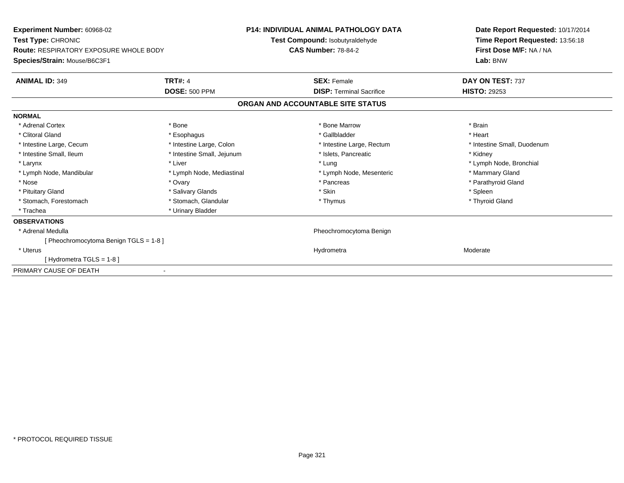| Experiment Number: 60968-02<br><b>Test Type: CHRONIC</b><br><b>Route: RESPIRATORY EXPOSURE WHOLE BODY</b> |                            | <b>P14: INDIVIDUAL ANIMAL PATHOLOGY DATA</b><br><b>Test Compound: Isobutyraldehyde</b> | Date Report Requested: 10/17/2014<br>Time Report Requested: 13:56:18<br>First Dose M/F: NA / NA |
|-----------------------------------------------------------------------------------------------------------|----------------------------|----------------------------------------------------------------------------------------|-------------------------------------------------------------------------------------------------|
|                                                                                                           |                            | <b>CAS Number: 78-84-2</b>                                                             |                                                                                                 |
| Species/Strain: Mouse/B6C3F1                                                                              |                            |                                                                                        | Lab: BNW                                                                                        |
| <b>ANIMAL ID: 349</b>                                                                                     | <b>TRT#: 4</b>             | <b>SEX: Female</b>                                                                     | DAY ON TEST: 737                                                                                |
|                                                                                                           | <b>DOSE: 500 PPM</b>       | <b>DISP: Terminal Sacrifice</b>                                                        | <b>HISTO: 29253</b>                                                                             |
|                                                                                                           |                            | ORGAN AND ACCOUNTABLE SITE STATUS                                                      |                                                                                                 |
| <b>NORMAL</b>                                                                                             |                            |                                                                                        |                                                                                                 |
| * Adrenal Cortex                                                                                          | * Bone                     | * Bone Marrow                                                                          | * Brain                                                                                         |
| * Clitoral Gland                                                                                          | * Esophagus                | * Gallbladder                                                                          | * Heart                                                                                         |
| * Intestine Large, Cecum                                                                                  | * Intestine Large, Colon   | * Intestine Large, Rectum                                                              | * Intestine Small, Duodenum                                                                     |
| * Intestine Small, Ileum                                                                                  | * Intestine Small, Jejunum | * Islets, Pancreatic                                                                   | * Kidney                                                                                        |
| * Larynx                                                                                                  | * Liver                    | * Lung                                                                                 | * Lymph Node, Bronchial                                                                         |
| * Lymph Node, Mandibular                                                                                  | * Lymph Node, Mediastinal  | * Lymph Node, Mesenteric                                                               | * Mammary Gland                                                                                 |
| * Nose                                                                                                    | * Ovary                    | * Pancreas                                                                             | * Parathyroid Gland                                                                             |
| * Pituitary Gland                                                                                         | * Salivary Glands          | * Skin                                                                                 | * Spleen                                                                                        |
| * Stomach, Forestomach                                                                                    | * Stomach, Glandular       | * Thymus                                                                               | * Thyroid Gland                                                                                 |
| * Trachea                                                                                                 | * Urinary Bladder          |                                                                                        |                                                                                                 |
| <b>OBSERVATIONS</b>                                                                                       |                            |                                                                                        |                                                                                                 |
| * Adrenal Medulla                                                                                         |                            | Pheochromocytoma Benign                                                                |                                                                                                 |
| [ Pheochromocytoma Benign TGLS = 1-8 ]                                                                    |                            |                                                                                        |                                                                                                 |
| * Uterus                                                                                                  |                            | Hydrometra                                                                             | Moderate                                                                                        |
| [Hydrometra TGLS = 1-8]                                                                                   |                            |                                                                                        |                                                                                                 |
| PRIMARY CAUSE OF DEATH                                                                                    |                            |                                                                                        |                                                                                                 |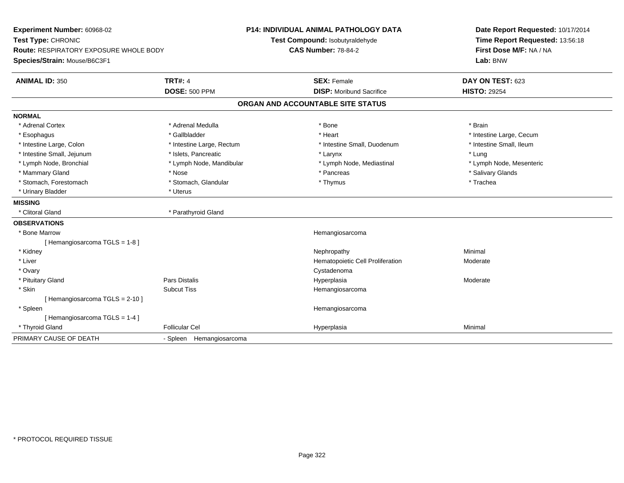| Experiment Number: 60968-02<br>Test Type: CHRONIC<br>Route: RESPIRATORY EXPOSURE WHOLE BODY<br>Species/Strain: Mouse/B6C3F1 |                           | P14: INDIVIDUAL ANIMAL PATHOLOGY DATA<br>Test Compound: Isobutyraldehyde<br><b>CAS Number: 78-84-2</b> | Date Report Requested: 10/17/2014<br>Time Report Requested: 13:56:18<br>First Dose M/F: NA / NA<br>Lab: BNW |
|-----------------------------------------------------------------------------------------------------------------------------|---------------------------|--------------------------------------------------------------------------------------------------------|-------------------------------------------------------------------------------------------------------------|
| <b>ANIMAL ID: 350</b>                                                                                                       | <b>TRT#: 4</b>            | <b>SEX: Female</b>                                                                                     | DAY ON TEST: 623                                                                                            |
|                                                                                                                             | <b>DOSE: 500 PPM</b>      | <b>DISP:</b> Moribund Sacrifice                                                                        | <b>HISTO: 29254</b>                                                                                         |
|                                                                                                                             |                           | ORGAN AND ACCOUNTABLE SITE STATUS                                                                      |                                                                                                             |
| <b>NORMAL</b>                                                                                                               |                           |                                                                                                        |                                                                                                             |
| * Adrenal Cortex                                                                                                            | * Adrenal Medulla         | * Bone                                                                                                 | * Brain                                                                                                     |
| * Esophagus                                                                                                                 | * Gallbladder             | * Heart                                                                                                | * Intestine Large, Cecum                                                                                    |
| * Intestine Large, Colon                                                                                                    | * Intestine Large, Rectum | * Intestine Small, Duodenum                                                                            | * Intestine Small, Ileum                                                                                    |
| * Intestine Small, Jejunum                                                                                                  | * Islets, Pancreatic      | * Larynx                                                                                               | * Lung                                                                                                      |
| * Lymph Node, Bronchial                                                                                                     | * Lymph Node, Mandibular  | * Lymph Node, Mediastinal                                                                              | * Lymph Node, Mesenteric                                                                                    |
| * Mammary Gland                                                                                                             | * Nose                    | * Pancreas                                                                                             | * Salivary Glands                                                                                           |
| * Stomach, Forestomach                                                                                                      | * Stomach, Glandular      | * Thymus                                                                                               | * Trachea                                                                                                   |
| * Urinary Bladder                                                                                                           | * Uterus                  |                                                                                                        |                                                                                                             |
| <b>MISSING</b>                                                                                                              |                           |                                                                                                        |                                                                                                             |
| * Clitoral Gland                                                                                                            | * Parathyroid Gland       |                                                                                                        |                                                                                                             |
| <b>OBSERVATIONS</b>                                                                                                         |                           |                                                                                                        |                                                                                                             |
| * Bone Marrow                                                                                                               |                           | Hemangiosarcoma                                                                                        |                                                                                                             |
| [Hemangiosarcoma TGLS = 1-8]                                                                                                |                           |                                                                                                        |                                                                                                             |
| * Kidney                                                                                                                    |                           | Nephropathy                                                                                            | Minimal                                                                                                     |
| * Liver                                                                                                                     |                           | Hematopoietic Cell Proliferation                                                                       | Moderate                                                                                                    |
| * Ovary                                                                                                                     |                           | Cystadenoma                                                                                            |                                                                                                             |
| * Pituitary Gland                                                                                                           | Pars Distalis             | Hyperplasia                                                                                            | Moderate                                                                                                    |
| * Skin                                                                                                                      | <b>Subcut Tiss</b>        | Hemangiosarcoma                                                                                        |                                                                                                             |
| [Hemangiosarcoma TGLS = 2-10]                                                                                               |                           |                                                                                                        |                                                                                                             |
| * Spleen                                                                                                                    |                           | Hemangiosarcoma                                                                                        |                                                                                                             |
| [Hemangiosarcoma TGLS = 1-4]                                                                                                |                           |                                                                                                        |                                                                                                             |
| * Thyroid Gland                                                                                                             | <b>Follicular Cel</b>     | Hyperplasia                                                                                            | Minimal                                                                                                     |
| PRIMARY CAUSE OF DEATH                                                                                                      | - Spleen Hemangiosarcoma  |                                                                                                        |                                                                                                             |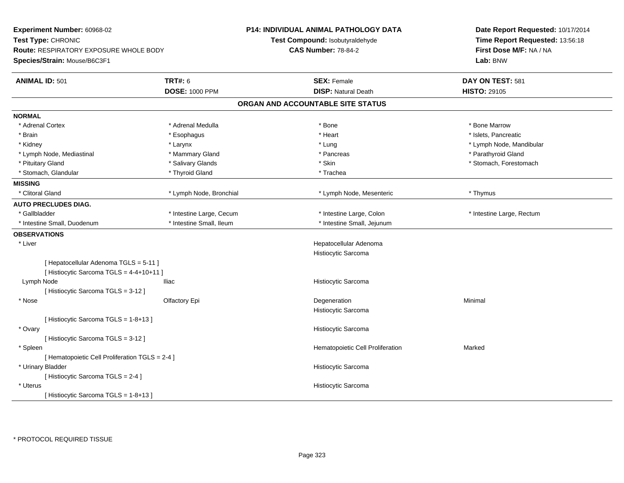| Experiment Number: 60968-02                                                        |                          | <b>P14: INDIVIDUAL ANIMAL PATHOLOGY DATA</b> | Date Report Requested: 10/17/2014 |
|------------------------------------------------------------------------------------|--------------------------|----------------------------------------------|-----------------------------------|
| Test Type: CHRONIC                                                                 |                          | Test Compound: Isobutyraldehyde              | Time Report Requested: 13:56:18   |
| Route: RESPIRATORY EXPOSURE WHOLE BODY                                             |                          | <b>CAS Number: 78-84-2</b>                   | First Dose M/F: NA / NA           |
| Species/Strain: Mouse/B6C3F1                                                       |                          |                                              | Lab: BNW                          |
| <b>ANIMAL ID: 501</b>                                                              | <b>TRT#: 6</b>           | <b>SEX: Female</b>                           | DAY ON TEST: 581                  |
|                                                                                    | <b>DOSE: 1000 PPM</b>    | <b>DISP: Natural Death</b>                   | <b>HISTO: 29105</b>               |
|                                                                                    |                          | ORGAN AND ACCOUNTABLE SITE STATUS            |                                   |
| <b>NORMAL</b>                                                                      |                          |                                              |                                   |
| * Adrenal Cortex                                                                   | * Adrenal Medulla        | * Bone                                       | * Bone Marrow                     |
| * Brain                                                                            | * Esophagus              | * Heart                                      | * Islets, Pancreatic              |
| * Kidney                                                                           | * Larynx                 | * Lung                                       | * Lymph Node, Mandibular          |
| * Lymph Node, Mediastinal                                                          | * Mammary Gland          | * Pancreas                                   | * Parathyroid Gland               |
| * Pituitary Gland                                                                  | * Salivary Glands        | * Skin                                       | * Stomach, Forestomach            |
| * Stomach, Glandular                                                               | * Thyroid Gland          | * Trachea                                    |                                   |
| <b>MISSING</b>                                                                     |                          |                                              |                                   |
| * Clitoral Gland                                                                   | * Lymph Node, Bronchial  | * Lymph Node, Mesenteric                     | * Thymus                          |
| <b>AUTO PRECLUDES DIAG.</b>                                                        |                          |                                              |                                   |
| * Gallbladder                                                                      | * Intestine Large, Cecum | * Intestine Large, Colon                     | * Intestine Large, Rectum         |
| * Intestine Small, Duodenum                                                        | * Intestine Small, Ileum | * Intestine Small, Jejunum                   |                                   |
| <b>OBSERVATIONS</b>                                                                |                          |                                              |                                   |
| * Liver                                                                            |                          | Hepatocellular Adenoma                       |                                   |
|                                                                                    |                          | Histiocytic Sarcoma                          |                                   |
| [ Hepatocellular Adenoma TGLS = 5-11 ]<br>[ Histiocytic Sarcoma TGLS = 4-4+10+11 ] |                          |                                              |                                   |
| Lymph Node                                                                         | <b>Iliac</b>             | Histiocytic Sarcoma                          |                                   |
| [Histiocytic Sarcoma TGLS = 3-12]                                                  |                          |                                              |                                   |
| * Nose                                                                             | Olfactory Epi            | Degeneration                                 | Minimal                           |
|                                                                                    |                          | Histiocytic Sarcoma                          |                                   |
| [ Histiocytic Sarcoma TGLS = 1-8+13 ]                                              |                          |                                              |                                   |
| * Ovary                                                                            |                          | Histiocytic Sarcoma                          |                                   |
| [ Histiocytic Sarcoma TGLS = 3-12 ]                                                |                          |                                              |                                   |
| * Spleen                                                                           |                          | Hematopoietic Cell Proliferation             | Marked                            |
| [ Hematopoietic Cell Proliferation TGLS = 2-4 ]                                    |                          |                                              |                                   |
| * Urinary Bladder                                                                  |                          | Histiocytic Sarcoma                          |                                   |
| [ Histiocytic Sarcoma TGLS = 2-4 ]                                                 |                          |                                              |                                   |
| * Uterus                                                                           |                          | Histiocytic Sarcoma                          |                                   |
| [Histiocytic Sarcoma TGLS = 1-8+13]                                                |                          |                                              |                                   |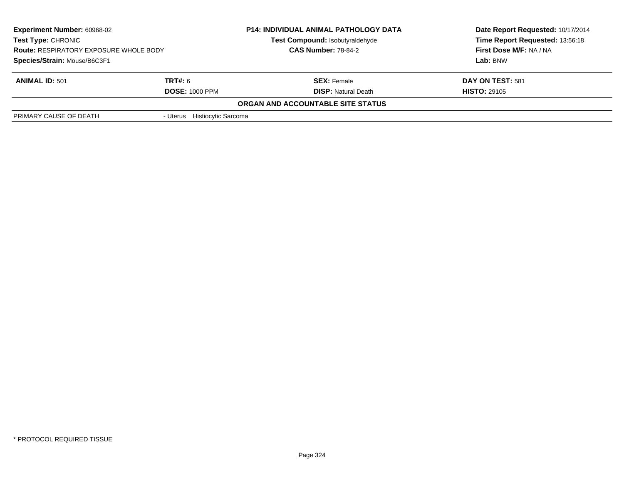| <b>Experiment Number: 60968-02</b><br><b>Test Type: CHRONIC</b><br><b>Route: RESPIRATORY EXPOSURE WHOLE BODY</b> |                              | <b>P14: INDIVIDUAL ANIMAL PATHOLOGY DATA</b> | Date Report Requested: 10/17/2014 |
|------------------------------------------------------------------------------------------------------------------|------------------------------|----------------------------------------------|-----------------------------------|
|                                                                                                                  |                              | Test Compound: Isobutyraldehyde              | Time Report Requested: 13:56:18   |
|                                                                                                                  |                              | <b>CAS Number: 78-84-2</b>                   | First Dose M/F: NA / NA           |
| Species/Strain: Mouse/B6C3F1                                                                                     |                              |                                              | Lab: BNW                          |
| <b>ANIMAL ID: 501</b>                                                                                            | <b>TRT#: 6</b>               | <b>SEX:</b> Female                           | DAY ON TEST: 581                  |
|                                                                                                                  | <b>DOSE: 1000 PPM</b>        | <b>DISP:</b> Natural Death                   | <b>HISTO: 29105</b>               |
|                                                                                                                  |                              | ORGAN AND ACCOUNTABLE SITE STATUS            |                                   |
| PRIMARY CAUSE OF DEATH                                                                                           | - Uterus Histiocytic Sarcoma |                                              |                                   |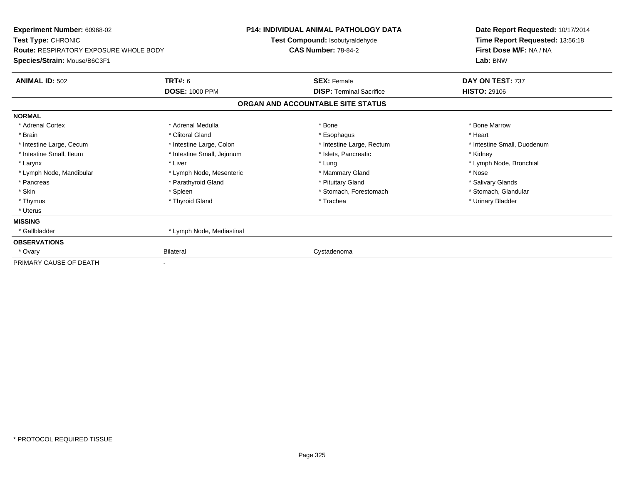| <b>Experiment Number: 60968-02</b><br><b>Test Type: CHRONIC</b><br><b>Route: RESPIRATORY EXPOSURE WHOLE BODY</b><br>Species/Strain: Mouse/B6C3F1 |                            | <b>P14: INDIVIDUAL ANIMAL PATHOLOGY DATA</b><br>Test Compound: Isobutyraldehyde | Date Report Requested: 10/17/2014<br>Time Report Requested: 13:56:18 |
|--------------------------------------------------------------------------------------------------------------------------------------------------|----------------------------|---------------------------------------------------------------------------------|----------------------------------------------------------------------|
|                                                                                                                                                  |                            | <b>CAS Number: 78-84-2</b>                                                      | First Dose M/F: NA / NA<br>Lab: BNW                                  |
| <b>ANIMAL ID: 502</b>                                                                                                                            | <b>TRT#: 6</b>             | <b>SEX: Female</b>                                                              | DAY ON TEST: 737                                                     |
|                                                                                                                                                  | <b>DOSE: 1000 PPM</b>      | <b>DISP: Terminal Sacrifice</b>                                                 | <b>HISTO: 29106</b>                                                  |
|                                                                                                                                                  |                            | ORGAN AND ACCOUNTABLE SITE STATUS                                               |                                                                      |
| <b>NORMAL</b>                                                                                                                                    |                            |                                                                                 |                                                                      |
| * Adrenal Cortex                                                                                                                                 | * Adrenal Medulla          | * Bone                                                                          | * Bone Marrow                                                        |
| * Brain                                                                                                                                          | * Clitoral Gland           | * Esophagus                                                                     | * Heart                                                              |
| * Intestine Large, Cecum                                                                                                                         | * Intestine Large, Colon   | * Intestine Large, Rectum                                                       | * Intestine Small, Duodenum                                          |
| * Intestine Small. Ileum                                                                                                                         | * Intestine Small, Jejunum | * Islets, Pancreatic                                                            | * Kidney                                                             |
| * Larynx                                                                                                                                         | * Liver                    | * Lung                                                                          | * Lymph Node, Bronchial                                              |
| * Lymph Node, Mandibular                                                                                                                         | * Lymph Node, Mesenteric   | * Mammary Gland                                                                 | * Nose                                                               |
| * Pancreas                                                                                                                                       | * Parathyroid Gland        | * Pituitary Gland                                                               | * Salivary Glands                                                    |
| * Skin                                                                                                                                           | * Spleen                   | * Stomach, Forestomach                                                          | * Stomach, Glandular                                                 |
| * Thymus                                                                                                                                         | * Thyroid Gland            | * Trachea                                                                       | * Urinary Bladder                                                    |
| * Uterus                                                                                                                                         |                            |                                                                                 |                                                                      |
| <b>MISSING</b>                                                                                                                                   |                            |                                                                                 |                                                                      |
| * Gallbladder                                                                                                                                    | * Lymph Node, Mediastinal  |                                                                                 |                                                                      |
| <b>OBSERVATIONS</b>                                                                                                                              |                            |                                                                                 |                                                                      |
| * Ovary                                                                                                                                          | <b>Bilateral</b>           | Cystadenoma                                                                     |                                                                      |
| PRIMARY CAUSE OF DEATH                                                                                                                           |                            |                                                                                 |                                                                      |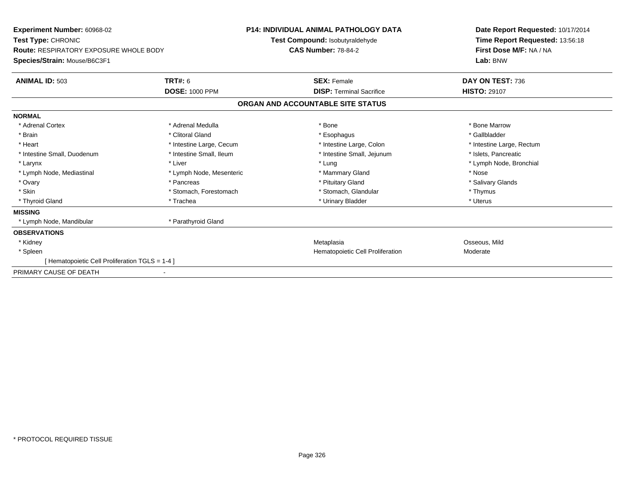| <b>Experiment Number: 60968-02</b><br>Test Type: CHRONIC<br><b>Route: RESPIRATORY EXPOSURE WHOLE BODY</b><br>Species/Strain: Mouse/B6C3F1 |                                         | <b>P14: INDIVIDUAL ANIMAL PATHOLOGY DATA</b><br>Test Compound: Isobutyraldehyde | Date Report Requested: 10/17/2014                                      |
|-------------------------------------------------------------------------------------------------------------------------------------------|-----------------------------------------|---------------------------------------------------------------------------------|------------------------------------------------------------------------|
|                                                                                                                                           |                                         | <b>CAS Number: 78-84-2</b>                                                      | Time Report Requested: 13:56:18<br>First Dose M/F: NA / NA<br>Lab: BNW |
| <b>ANIMAL ID: 503</b>                                                                                                                     | <b>TRT#: 6</b><br><b>DOSE: 1000 PPM</b> | <b>SEX: Female</b><br><b>DISP: Terminal Sacrifice</b>                           | DAY ON TEST: 736<br><b>HISTO: 29107</b>                                |
|                                                                                                                                           |                                         |                                                                                 |                                                                        |
|                                                                                                                                           |                                         | ORGAN AND ACCOUNTABLE SITE STATUS                                               |                                                                        |
| <b>NORMAL</b>                                                                                                                             |                                         |                                                                                 |                                                                        |
| * Adrenal Cortex                                                                                                                          | * Adrenal Medulla                       | * Bone                                                                          | * Bone Marrow                                                          |
| * Brain                                                                                                                                   | * Clitoral Gland                        | * Esophagus                                                                     | * Gallbladder                                                          |
| * Heart                                                                                                                                   | * Intestine Large, Cecum                | * Intestine Large, Colon                                                        | * Intestine Large, Rectum                                              |
| * Intestine Small, Duodenum                                                                                                               | * Intestine Small, Ileum                | * Intestine Small, Jejunum                                                      | * Islets. Pancreatic                                                   |
| * Larynx                                                                                                                                  | * Liver                                 | * Lung                                                                          | * Lymph Node, Bronchial                                                |
| * Lymph Node, Mediastinal                                                                                                                 | * Lymph Node, Mesenteric                | * Mammary Gland                                                                 | * Nose                                                                 |
| * Ovary                                                                                                                                   | * Pancreas                              | * Pituitary Gland                                                               | * Salivary Glands                                                      |
| * Skin                                                                                                                                    | * Stomach, Forestomach                  | * Stomach, Glandular                                                            | * Thymus                                                               |
| * Thyroid Gland                                                                                                                           | * Trachea                               | * Urinary Bladder                                                               | * Uterus                                                               |
| <b>MISSING</b>                                                                                                                            |                                         |                                                                                 |                                                                        |
| * Lymph Node, Mandibular                                                                                                                  | * Parathyroid Gland                     |                                                                                 |                                                                        |
| <b>OBSERVATIONS</b>                                                                                                                       |                                         |                                                                                 |                                                                        |
| * Kidney                                                                                                                                  |                                         | Metaplasia                                                                      | Osseous, Mild                                                          |
| * Spleen                                                                                                                                  |                                         | Hematopoietic Cell Proliferation                                                | Moderate                                                               |
| [Hematopoietic Cell Proliferation TGLS = 1-4]                                                                                             |                                         |                                                                                 |                                                                        |
| PRIMARY CAUSE OF DEATH                                                                                                                    |                                         |                                                                                 |                                                                        |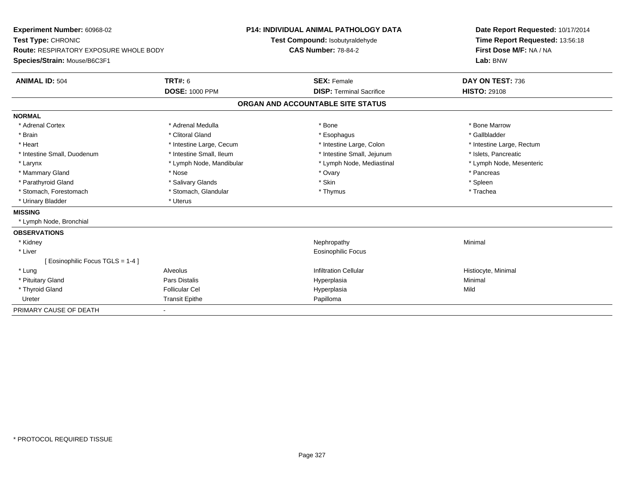| Experiment Number: 60968-02                   |                          | <b>P14: INDIVIDUAL ANIMAL PATHOLOGY DATA</b> |                                 | Date Report Requested: 10/17/2014 |
|-----------------------------------------------|--------------------------|----------------------------------------------|---------------------------------|-----------------------------------|
| Test Type: CHRONIC                            |                          | Test Compound: Isobutyraldehyde              |                                 | Time Report Requested: 13:56:18   |
| <b>Route: RESPIRATORY EXPOSURE WHOLE BODY</b> |                          | <b>CAS Number: 78-84-2</b>                   |                                 | First Dose M/F: NA / NA           |
| Species/Strain: Mouse/B6C3F1                  |                          |                                              |                                 | Lab: BNW                          |
| <b>ANIMAL ID: 504</b>                         | <b>TRT#: 6</b>           |                                              | <b>SEX: Female</b>              | DAY ON TEST: 736                  |
|                                               | <b>DOSE: 1000 PPM</b>    |                                              | <b>DISP: Terminal Sacrifice</b> | <b>HISTO: 29108</b>               |
|                                               |                          | ORGAN AND ACCOUNTABLE SITE STATUS            |                                 |                                   |
| <b>NORMAL</b>                                 |                          |                                              |                                 |                                   |
| * Adrenal Cortex                              | * Adrenal Medulla        |                                              | * Bone                          | * Bone Marrow                     |
| * Brain                                       | * Clitoral Gland         |                                              | * Esophagus                     | * Gallbladder                     |
| * Heart                                       | * Intestine Large, Cecum |                                              | * Intestine Large, Colon        | * Intestine Large, Rectum         |
| * Intestine Small, Duodenum                   | * Intestine Small, Ileum |                                              | * Intestine Small, Jejunum      | * Islets, Pancreatic              |
| * Larynx                                      | * Lymph Node, Mandibular |                                              | * Lymph Node, Mediastinal       | * Lymph Node, Mesenteric          |
| * Mammary Gland                               | * Nose                   |                                              | * Ovary                         | * Pancreas                        |
| * Parathyroid Gland                           | * Salivary Glands        |                                              | * Skin                          | * Spleen                          |
| * Stomach, Forestomach                        | * Stomach, Glandular     |                                              | * Thymus                        | * Trachea                         |
| * Urinary Bladder                             | * Uterus                 |                                              |                                 |                                   |
| <b>MISSING</b>                                |                          |                                              |                                 |                                   |
| * Lymph Node, Bronchial                       |                          |                                              |                                 |                                   |
| <b>OBSERVATIONS</b>                           |                          |                                              |                                 |                                   |
| * Kidney                                      |                          |                                              | Nephropathy                     | Minimal                           |
| * Liver                                       |                          |                                              | <b>Eosinophilic Focus</b>       |                                   |
| Eosinophilic Focus TGLS = 1-4 ]               |                          |                                              |                                 |                                   |
| * Lung                                        | Alveolus                 |                                              | <b>Infiltration Cellular</b>    | Histiocyte, Minimal               |
| * Pituitary Gland                             | Pars Distalis            |                                              | Hyperplasia                     | Minimal                           |
| * Thyroid Gland                               | <b>Follicular Cel</b>    |                                              | Hyperplasia                     | Mild                              |
| Ureter                                        | <b>Transit Epithe</b>    |                                              | Papilloma                       |                                   |
| PRIMARY CAUSE OF DEATH                        |                          |                                              |                                 |                                   |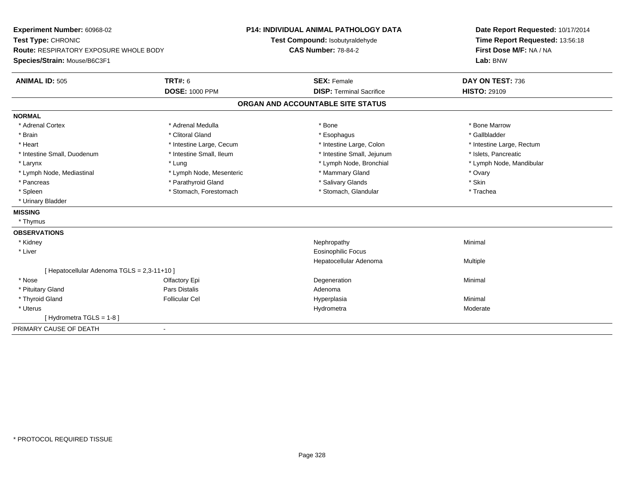| Experiment Number: 60968-02                 |                          | <b>P14: INDIVIDUAL ANIMAL PATHOLOGY DATA</b> |                                 | Date Report Requested: 10/17/2014 |
|---------------------------------------------|--------------------------|----------------------------------------------|---------------------------------|-----------------------------------|
| Test Type: CHRONIC                          |                          | Test Compound: Isobutyraldehyde              |                                 | Time Report Requested: 13:56:18   |
| Route: RESPIRATORY EXPOSURE WHOLE BODY      |                          | <b>CAS Number: 78-84-2</b>                   |                                 | First Dose M/F: NA / NA           |
| Species/Strain: Mouse/B6C3F1                |                          |                                              |                                 | Lab: BNW                          |
| <b>ANIMAL ID: 505</b>                       | <b>TRT#: 6</b>           | <b>SEX: Female</b>                           |                                 | DAY ON TEST: 736                  |
|                                             | <b>DOSE: 1000 PPM</b>    |                                              | <b>DISP: Terminal Sacrifice</b> | <b>HISTO: 29109</b>               |
|                                             |                          | ORGAN AND ACCOUNTABLE SITE STATUS            |                                 |                                   |
| <b>NORMAL</b>                               |                          |                                              |                                 |                                   |
| * Adrenal Cortex                            | * Adrenal Medulla        | * Bone                                       |                                 | * Bone Marrow                     |
| * Brain                                     | * Clitoral Gland         | * Esophagus                                  |                                 | * Gallbladder                     |
| * Heart                                     | * Intestine Large, Cecum |                                              | * Intestine Large, Colon        | * Intestine Large, Rectum         |
| * Intestine Small, Duodenum                 | * Intestine Small, Ileum |                                              | * Intestine Small, Jejunum      | * Islets, Pancreatic              |
| * Larynx                                    | * Lung                   |                                              | * Lymph Node, Bronchial         | * Lymph Node, Mandibular          |
| * Lymph Node, Mediastinal                   | * Lymph Node, Mesenteric |                                              | * Mammary Gland                 | * Ovary                           |
| * Pancreas                                  | * Parathyroid Gland      |                                              | * Salivary Glands               | * Skin                            |
| * Spleen                                    | * Stomach, Forestomach   |                                              | * Stomach, Glandular            | * Trachea                         |
| * Urinary Bladder                           |                          |                                              |                                 |                                   |
| <b>MISSING</b>                              |                          |                                              |                                 |                                   |
| * Thymus                                    |                          |                                              |                                 |                                   |
| <b>OBSERVATIONS</b>                         |                          |                                              |                                 |                                   |
| * Kidney                                    |                          | Nephropathy                                  |                                 | Minimal                           |
| * Liver                                     |                          |                                              | <b>Eosinophilic Focus</b>       |                                   |
|                                             |                          |                                              | Hepatocellular Adenoma          | Multiple                          |
| [ Hepatocellular Adenoma TGLS = 2,3-11+10 ] |                          |                                              |                                 |                                   |
| * Nose                                      | Olfactory Epi            | Degeneration                                 |                                 | Minimal                           |
| * Pituitary Gland                           | Pars Distalis            | Adenoma                                      |                                 |                                   |
| * Thyroid Gland                             | <b>Follicular Cel</b>    | Hyperplasia                                  |                                 | Minimal                           |
| * Uterus                                    |                          | Hydrometra                                   |                                 | Moderate                          |
| [Hydrometra TGLS = 1-8]                     |                          |                                              |                                 |                                   |
| PRIMARY CAUSE OF DEATH<br>$\blacksquare$    |                          |                                              |                                 |                                   |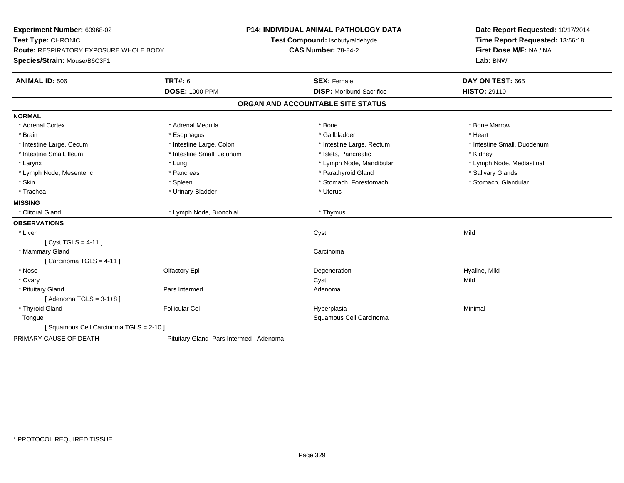| Experiment Number: 60968-02            |                                         | P14: INDIVIDUAL ANIMAL PATHOLOGY DATA | Date Report Requested: 10/17/2014 |
|----------------------------------------|-----------------------------------------|---------------------------------------|-----------------------------------|
| Test Type: CHRONIC                     |                                         | Test Compound: Isobutyraldehyde       | Time Report Requested: 13:56:18   |
| Route: RESPIRATORY EXPOSURE WHOLE BODY |                                         | <b>CAS Number: 78-84-2</b>            | First Dose M/F: NA / NA           |
| Species/Strain: Mouse/B6C3F1           |                                         |                                       | Lab: BNW                          |
| <b>ANIMAL ID: 506</b>                  | <b>TRT#: 6</b>                          | <b>SEX: Female</b>                    | DAY ON TEST: 665                  |
|                                        | <b>DOSE: 1000 PPM</b>                   | <b>DISP:</b> Moribund Sacrifice       | <b>HISTO: 29110</b>               |
|                                        |                                         | ORGAN AND ACCOUNTABLE SITE STATUS     |                                   |
| <b>NORMAL</b>                          |                                         |                                       |                                   |
| * Adrenal Cortex                       | * Adrenal Medulla                       | * Bone                                | * Bone Marrow                     |
| * Brain                                | * Esophagus                             | * Gallbladder                         | * Heart                           |
| * Intestine Large, Cecum               | * Intestine Large, Colon                | * Intestine Large, Rectum             | * Intestine Small, Duodenum       |
| * Intestine Small, Ileum               | * Intestine Small, Jejunum              | * Islets, Pancreatic                  | * Kidney                          |
| * Larynx                               | * Lung                                  | * Lymph Node, Mandibular              | * Lymph Node, Mediastinal         |
| * Lymph Node, Mesenteric               | * Pancreas                              | * Parathyroid Gland                   | * Salivary Glands                 |
| * Skin                                 | * Spleen                                | * Stomach, Forestomach                | * Stomach, Glandular              |
| * Trachea                              | * Urinary Bladder                       | * Uterus                              |                                   |
| <b>MISSING</b>                         |                                         |                                       |                                   |
| * Clitoral Gland                       | * Lymph Node, Bronchial                 | * Thymus                              |                                   |
| <b>OBSERVATIONS</b>                    |                                         |                                       |                                   |
| * Liver                                |                                         | Cyst                                  | Mild                              |
| [ Cyst TGLS = 4-11 ]                   |                                         |                                       |                                   |
| * Mammary Gland                        |                                         | Carcinoma                             |                                   |
| [Carcinoma TGLS = $4-11$ ]             |                                         |                                       |                                   |
| * Nose                                 | Olfactory Epi                           | Degeneration                          | Hyaline, Mild                     |
| * Ovary                                |                                         | Cyst                                  | Mild                              |
| * Pituitary Gland                      | Pars Intermed                           | Adenoma                               |                                   |
| [Adenoma TGLS = $3-1+8$ ]              |                                         |                                       |                                   |
| * Thyroid Gland                        | <b>Follicular Cel</b>                   | Hyperplasia                           | Minimal                           |
| Tongue                                 |                                         | Squamous Cell Carcinoma               |                                   |
| [Squamous Cell Carcinoma TGLS = 2-10]  |                                         |                                       |                                   |
| PRIMARY CAUSE OF DEATH                 | - Pituitary Gland Pars Intermed Adenoma |                                       |                                   |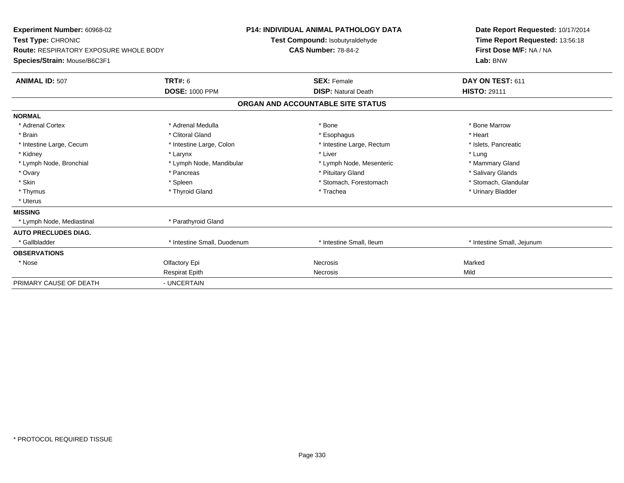| Experiment Number: 60968-02<br>Test Type: CHRONIC<br><b>Route: RESPIRATORY EXPOSURE WHOLE BODY</b><br>Species/Strain: Mouse/B6C3F1 |                             | P14: INDIVIDUAL ANIMAL PATHOLOGY DATA<br>Test Compound: Isobutyraldehyde<br><b>CAS Number: 78-84-2</b> | Date Report Requested: 10/17/2014<br>Time Report Requested: 13:56:18<br>First Dose M/F: NA / NA<br>Lab: BNW |
|------------------------------------------------------------------------------------------------------------------------------------|-----------------------------|--------------------------------------------------------------------------------------------------------|-------------------------------------------------------------------------------------------------------------|
| <b>ANIMAL ID: 507</b>                                                                                                              | TRT#: 6                     | <b>SEX: Female</b>                                                                                     | DAY ON TEST: 611                                                                                            |
|                                                                                                                                    | <b>DOSE: 1000 PPM</b>       | <b>DISP: Natural Death</b>                                                                             | <b>HISTO: 29111</b>                                                                                         |
|                                                                                                                                    |                             | ORGAN AND ACCOUNTABLE SITE STATUS                                                                      |                                                                                                             |
| <b>NORMAL</b>                                                                                                                      |                             |                                                                                                        |                                                                                                             |
| * Adrenal Cortex                                                                                                                   | * Adrenal Medulla           | * Bone                                                                                                 | * Bone Marrow                                                                                               |
| * Brain                                                                                                                            | * Clitoral Gland            | * Esophagus                                                                                            | * Heart                                                                                                     |
| * Intestine Large, Cecum                                                                                                           | * Intestine Large, Colon    | * Intestine Large, Rectum                                                                              | * Islets, Pancreatic                                                                                        |
| * Kidney                                                                                                                           | * Larynx                    | * Liver                                                                                                | * Lung                                                                                                      |
| * Lymph Node, Bronchial                                                                                                            | * Lymph Node, Mandibular    | * Lymph Node, Mesenteric                                                                               | * Mammary Gland                                                                                             |
| * Ovary                                                                                                                            | * Pancreas                  | * Pituitary Gland                                                                                      | * Salivary Glands                                                                                           |
| * Skin                                                                                                                             | * Spleen                    | * Stomach, Forestomach                                                                                 | * Stomach, Glandular                                                                                        |
| * Thymus                                                                                                                           | * Thyroid Gland             | * Trachea                                                                                              | * Urinary Bladder                                                                                           |
| * Uterus                                                                                                                           |                             |                                                                                                        |                                                                                                             |
| <b>MISSING</b>                                                                                                                     |                             |                                                                                                        |                                                                                                             |
| * Lymph Node, Mediastinal                                                                                                          | * Parathyroid Gland         |                                                                                                        |                                                                                                             |
| <b>AUTO PRECLUDES DIAG.</b>                                                                                                        |                             |                                                                                                        |                                                                                                             |
| * Gallbladder                                                                                                                      | * Intestine Small. Duodenum | * Intestine Small, Ileum                                                                               | * Intestine Small, Jejunum                                                                                  |
| <b>OBSERVATIONS</b>                                                                                                                |                             |                                                                                                        |                                                                                                             |
| * Nose                                                                                                                             | Olfactory Epi               | <b>Necrosis</b>                                                                                        | Marked                                                                                                      |
|                                                                                                                                    | <b>Respirat Epith</b>       | <b>Necrosis</b>                                                                                        | Mild                                                                                                        |
| PRIMARY CAUSE OF DEATH                                                                                                             | - UNCERTAIN                 |                                                                                                        |                                                                                                             |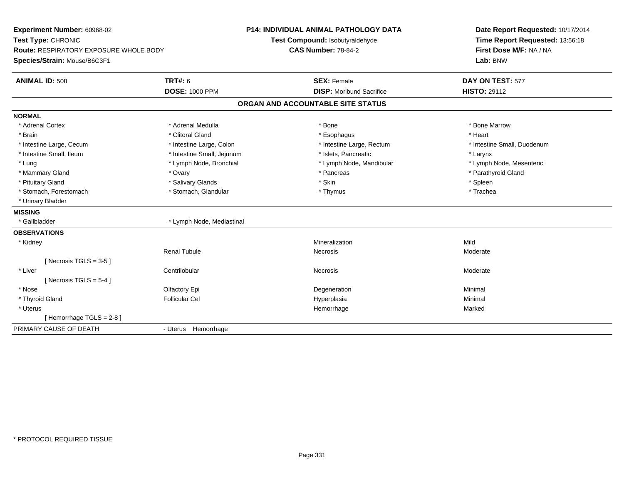| Experiment Number: 60968-02            |                            | <b>P14: INDIVIDUAL ANIMAL PATHOLOGY DATA</b> | Date Report Requested: 10/17/2014 |
|----------------------------------------|----------------------------|----------------------------------------------|-----------------------------------|
| Test Type: CHRONIC                     |                            | Test Compound: Isobutyraldehyde              | Time Report Requested: 13:56:18   |
| Route: RESPIRATORY EXPOSURE WHOLE BODY |                            | <b>CAS Number: 78-84-2</b>                   | First Dose M/F: NA / NA           |
| Species/Strain: Mouse/B6C3F1           |                            |                                              | Lab: BNW                          |
| <b>ANIMAL ID: 508</b>                  | <b>TRT#: 6</b>             | <b>SEX: Female</b>                           | DAY ON TEST: 577                  |
|                                        | <b>DOSE: 1000 PPM</b>      | <b>DISP:</b> Moribund Sacrifice              | <b>HISTO: 29112</b>               |
|                                        |                            | ORGAN AND ACCOUNTABLE SITE STATUS            |                                   |
| <b>NORMAL</b>                          |                            |                                              |                                   |
| * Adrenal Cortex                       | * Adrenal Medulla          | * Bone                                       | * Bone Marrow                     |
| * Brain                                | * Clitoral Gland           | * Esophagus                                  | * Heart                           |
| * Intestine Large, Cecum               | * Intestine Large, Colon   | * Intestine Large, Rectum                    | * Intestine Small, Duodenum       |
| * Intestine Small, Ileum               | * Intestine Small, Jejunum | * Islets, Pancreatic                         | * Larynx                          |
| * Lung                                 | * Lymph Node, Bronchial    | * Lymph Node, Mandibular                     | * Lymph Node, Mesenteric          |
| * Mammary Gland                        | * Ovary                    | * Pancreas                                   | * Parathyroid Gland               |
| * Pituitary Gland                      | * Salivary Glands          | * Skin                                       | * Spleen                          |
| * Stomach, Forestomach                 | * Stomach, Glandular       | * Thymus                                     | * Trachea                         |
| * Urinary Bladder                      |                            |                                              |                                   |
| <b>MISSING</b>                         |                            |                                              |                                   |
| * Gallbladder                          | * Lymph Node, Mediastinal  |                                              |                                   |
| <b>OBSERVATIONS</b>                    |                            |                                              |                                   |
| * Kidney                               |                            | Mineralization                               | Mild                              |
|                                        | <b>Renal Tubule</b>        | <b>Necrosis</b>                              | Moderate                          |
| [ Necrosis TGLS = $3-5$ ]              |                            |                                              |                                   |
| * Liver                                | Centrilobular              | Necrosis                                     | Moderate                          |
| [ Necrosis TGLS = $5-4$ ]              |                            |                                              |                                   |
| * Nose                                 | Olfactory Epi              | Degeneration                                 | Minimal                           |
| * Thyroid Gland                        | <b>Follicular Cel</b>      | Hyperplasia                                  | Minimal                           |
| * Uterus                               |                            | Hemorrhage                                   | Marked                            |
| [Hemorrhage TGLS = 2-8]                |                            |                                              |                                   |
| PRIMARY CAUSE OF DEATH                 | - Uterus Hemorrhage        |                                              |                                   |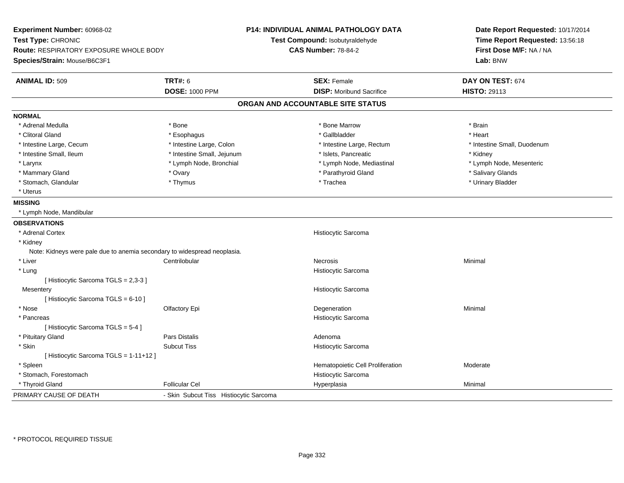| Experiment Number: 60968-02<br>Test Type: CHRONIC<br>Route: RESPIRATORY EXPOSURE WHOLE BODY<br>Species/Strain: Mouse/B6C3F1 |                                        | <b>P14: INDIVIDUAL ANIMAL PATHOLOGY DATA</b><br>Test Compound: Isobutyraldehyde<br><b>CAS Number: 78-84-2</b> | Date Report Requested: 10/17/2014<br>Time Report Requested: 13:56:18<br>First Dose M/F: NA / NA<br>Lab: BNW |
|-----------------------------------------------------------------------------------------------------------------------------|----------------------------------------|---------------------------------------------------------------------------------------------------------------|-------------------------------------------------------------------------------------------------------------|
| <b>ANIMAL ID: 509</b>                                                                                                       | <b>TRT#: 6</b>                         | <b>SEX: Female</b>                                                                                            | DAY ON TEST: 674                                                                                            |
|                                                                                                                             | <b>DOSE: 1000 PPM</b>                  | <b>DISP:</b> Moribund Sacrifice                                                                               | <b>HISTO: 29113</b>                                                                                         |
|                                                                                                                             |                                        | ORGAN AND ACCOUNTABLE SITE STATUS                                                                             |                                                                                                             |
| <b>NORMAL</b>                                                                                                               |                                        |                                                                                                               |                                                                                                             |
| * Adrenal Medulla                                                                                                           | * Bone                                 | * Bone Marrow                                                                                                 | * Brain                                                                                                     |
| * Clitoral Gland                                                                                                            | * Esophagus                            | * Gallbladder                                                                                                 | * Heart                                                                                                     |
| * Intestine Large, Cecum                                                                                                    | * Intestine Large, Colon               | * Intestine Large, Rectum                                                                                     | * Intestine Small, Duodenum                                                                                 |
| * Intestine Small, Ileum                                                                                                    | * Intestine Small, Jejunum             | * Islets, Pancreatic                                                                                          | * Kidney                                                                                                    |
| * Larynx                                                                                                                    | * Lymph Node, Bronchial                | * Lymph Node, Mediastinal                                                                                     | * Lymph Node, Mesenteric                                                                                    |
| * Mammary Gland                                                                                                             | * Ovary                                | * Parathyroid Gland                                                                                           | * Salivary Glands                                                                                           |
| * Stomach, Glandular                                                                                                        | * Thymus                               | * Trachea                                                                                                     | * Urinary Bladder                                                                                           |
| * Uterus                                                                                                                    |                                        |                                                                                                               |                                                                                                             |
| <b>MISSING</b>                                                                                                              |                                        |                                                                                                               |                                                                                                             |
| * Lymph Node, Mandibular                                                                                                    |                                        |                                                                                                               |                                                                                                             |
| <b>OBSERVATIONS</b>                                                                                                         |                                        |                                                                                                               |                                                                                                             |
| * Adrenal Cortex                                                                                                            |                                        | Histiocytic Sarcoma                                                                                           |                                                                                                             |
| * Kidney                                                                                                                    |                                        |                                                                                                               |                                                                                                             |
| Note: Kidneys were pale due to anemia secondary to widespread neoplasia.                                                    |                                        |                                                                                                               |                                                                                                             |
| $*$ Liver                                                                                                                   | Centrilobular                          | <b>Necrosis</b>                                                                                               | Minimal                                                                                                     |
| * Lung                                                                                                                      |                                        | Histiocytic Sarcoma                                                                                           |                                                                                                             |
| [ Histiocytic Sarcoma TGLS = 2,3-3 ]                                                                                        |                                        |                                                                                                               |                                                                                                             |
| Mesentery                                                                                                                   |                                        | Histiocytic Sarcoma                                                                                           |                                                                                                             |
| [ Histiocytic Sarcoma TGLS = 6-10 ]                                                                                         |                                        |                                                                                                               |                                                                                                             |
| * Nose                                                                                                                      | Olfactory Epi                          | Degeneration                                                                                                  | Minimal                                                                                                     |
| * Pancreas                                                                                                                  |                                        | Histiocytic Sarcoma                                                                                           |                                                                                                             |
| [ Histiocytic Sarcoma TGLS = 5-4 ]                                                                                          |                                        |                                                                                                               |                                                                                                             |
| * Pituitary Gland                                                                                                           | Pars Distalis                          | Adenoma                                                                                                       |                                                                                                             |
| * Skin                                                                                                                      | <b>Subcut Tiss</b>                     | Histiocytic Sarcoma                                                                                           |                                                                                                             |
| [Histiocytic Sarcoma TGLS = 1-11+12]                                                                                        |                                        |                                                                                                               |                                                                                                             |
| * Spleen                                                                                                                    |                                        | Hematopoietic Cell Proliferation                                                                              | Moderate                                                                                                    |
| * Stomach, Forestomach                                                                                                      |                                        | Histiocytic Sarcoma                                                                                           |                                                                                                             |
| * Thyroid Gland                                                                                                             | <b>Follicular Cel</b>                  | Hyperplasia                                                                                                   | Minimal                                                                                                     |
| PRIMARY CAUSE OF DEATH                                                                                                      | - Skin Subcut Tiss Histiocytic Sarcoma |                                                                                                               |                                                                                                             |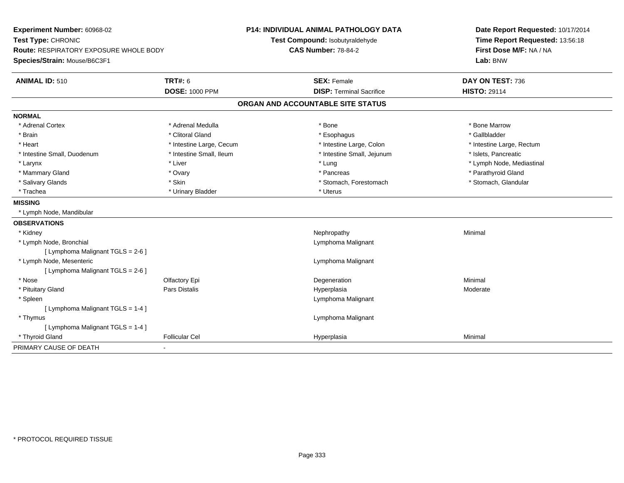| Experiment Number: 60968-02                   |                          | <b>P14: INDIVIDUAL ANIMAL PATHOLOGY DATA</b> | Date Report Requested: 10/17/2014 |
|-----------------------------------------------|--------------------------|----------------------------------------------|-----------------------------------|
| Test Type: CHRONIC                            |                          | Test Compound: Isobutyraldehyde              | Time Report Requested: 13:56:18   |
| <b>Route: RESPIRATORY EXPOSURE WHOLE BODY</b> |                          | <b>CAS Number: 78-84-2</b>                   | First Dose M/F: NA / NA           |
| Species/Strain: Mouse/B6C3F1                  |                          |                                              | Lab: BNW                          |
| <b>ANIMAL ID: 510</b>                         | <b>TRT#: 6</b>           | <b>SEX: Female</b>                           | DAY ON TEST: 736                  |
|                                               | <b>DOSE: 1000 PPM</b>    | <b>DISP: Terminal Sacrifice</b>              | <b>HISTO: 29114</b>               |
|                                               |                          | ORGAN AND ACCOUNTABLE SITE STATUS            |                                   |
| <b>NORMAL</b>                                 |                          |                                              |                                   |
| * Adrenal Cortex                              | * Adrenal Medulla        | * Bone                                       | * Bone Marrow                     |
| * Brain                                       | * Clitoral Gland         | * Esophagus                                  | * Gallbladder                     |
| * Heart                                       | * Intestine Large, Cecum | * Intestine Large, Colon                     | * Intestine Large, Rectum         |
| * Intestine Small, Duodenum                   | * Intestine Small, Ileum | * Intestine Small, Jejunum                   | * Islets, Pancreatic              |
| * Larynx                                      | * Liver                  | * Lung                                       | * Lymph Node, Mediastinal         |
| * Mammary Gland                               | * Ovary                  | * Pancreas                                   | * Parathyroid Gland               |
| * Salivary Glands                             | * Skin                   | * Stomach, Forestomach                       | * Stomach, Glandular              |
| * Trachea                                     | * Urinary Bladder        | * Uterus                                     |                                   |
| <b>MISSING</b>                                |                          |                                              |                                   |
| * Lymph Node, Mandibular                      |                          |                                              |                                   |
| <b>OBSERVATIONS</b>                           |                          |                                              |                                   |
| * Kidney                                      |                          | Nephropathy                                  | Minimal                           |
| * Lymph Node, Bronchial                       |                          | Lymphoma Malignant                           |                                   |
| [ Lymphoma Malignant TGLS = 2-6 ]             |                          |                                              |                                   |
| * Lymph Node, Mesenteric                      |                          | Lymphoma Malignant                           |                                   |
| [ Lymphoma Malignant TGLS = 2-6 ]             |                          |                                              |                                   |
| * Nose                                        | Olfactory Epi            | Degeneration                                 | Minimal                           |
| * Pituitary Gland                             | Pars Distalis            | Hyperplasia                                  | Moderate                          |
| * Spleen                                      |                          | Lymphoma Malignant                           |                                   |
| [ Lymphoma Malignant TGLS = 1-4 ]             |                          |                                              |                                   |
| * Thymus                                      |                          | Lymphoma Malignant                           |                                   |
| [ Lymphoma Malignant TGLS = 1-4 ]             |                          |                                              |                                   |
| * Thyroid Gland                               | <b>Follicular Cel</b>    | Hyperplasia                                  | Minimal                           |
| PRIMARY CAUSE OF DEATH                        |                          |                                              |                                   |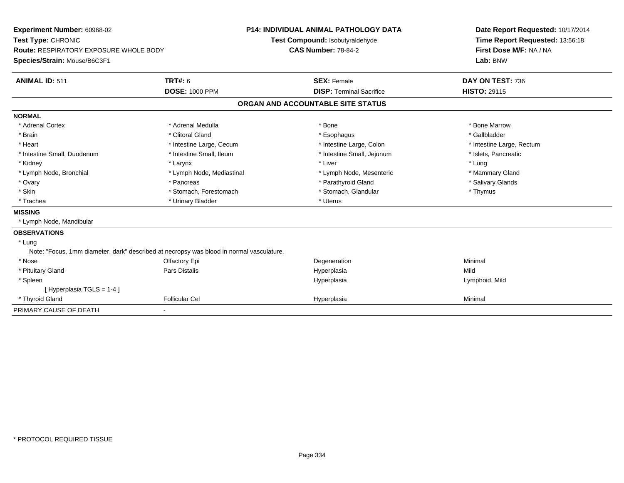| Experiment Number: 60968-02<br>Test Type: CHRONIC<br><b>Route: RESPIRATORY EXPOSURE WHOLE BODY</b><br>Species/Strain: Mouse/B6C3F1<br><b>ANIMAL ID: 511</b> | <b>TRT#: 6</b>            | <b>P14: INDIVIDUAL ANIMAL PATHOLOGY DATA</b><br>Test Compound: Isobutyraldehyde<br><b>CAS Number: 78-84-2</b><br><b>SEX: Female</b> |                                 | Date Report Requested: 10/17/2014<br>Time Report Requested: 13:56:18<br>First Dose M/F: NA / NA<br>Lab: BNW<br>DAY ON TEST: 736 |
|-------------------------------------------------------------------------------------------------------------------------------------------------------------|---------------------------|-------------------------------------------------------------------------------------------------------------------------------------|---------------------------------|---------------------------------------------------------------------------------------------------------------------------------|
|                                                                                                                                                             | <b>DOSE: 1000 PPM</b>     |                                                                                                                                     | <b>DISP: Terminal Sacrifice</b> | <b>HISTO: 29115</b>                                                                                                             |
|                                                                                                                                                             |                           | ORGAN AND ACCOUNTABLE SITE STATUS                                                                                                   |                                 |                                                                                                                                 |
| <b>NORMAL</b>                                                                                                                                               |                           |                                                                                                                                     |                                 |                                                                                                                                 |
| * Adrenal Cortex                                                                                                                                            | * Adrenal Medulla         | * Bone                                                                                                                              |                                 | * Bone Marrow                                                                                                                   |
| * Brain                                                                                                                                                     | * Clitoral Gland          | * Esophagus                                                                                                                         |                                 | * Gallbladder                                                                                                                   |
| * Heart                                                                                                                                                     | * Intestine Large, Cecum  |                                                                                                                                     | * Intestine Large, Colon        | * Intestine Large, Rectum                                                                                                       |
| * Intestine Small, Duodenum                                                                                                                                 | * Intestine Small, Ileum  |                                                                                                                                     | * Intestine Small, Jejunum      | * Islets, Pancreatic                                                                                                            |
| * Kidney                                                                                                                                                    | * Larynx                  | * Liver                                                                                                                             |                                 | * Lung                                                                                                                          |
| * Lymph Node, Bronchial                                                                                                                                     | * Lymph Node, Mediastinal |                                                                                                                                     | * Lymph Node, Mesenteric        | * Mammary Gland                                                                                                                 |
| * Ovary                                                                                                                                                     | * Pancreas                |                                                                                                                                     | * Parathyroid Gland             | * Salivary Glands                                                                                                               |
| * Skin                                                                                                                                                      | * Stomach, Forestomach    |                                                                                                                                     | * Stomach, Glandular            | * Thymus                                                                                                                        |
| * Trachea                                                                                                                                                   | * Urinary Bladder         | * Uterus                                                                                                                            |                                 |                                                                                                                                 |
| <b>MISSING</b>                                                                                                                                              |                           |                                                                                                                                     |                                 |                                                                                                                                 |
| * Lymph Node, Mandibular                                                                                                                                    |                           |                                                                                                                                     |                                 |                                                                                                                                 |
| <b>OBSERVATIONS</b>                                                                                                                                         |                           |                                                                                                                                     |                                 |                                                                                                                                 |
| * Lung                                                                                                                                                      |                           |                                                                                                                                     |                                 |                                                                                                                                 |
| Note: "Focus, 1mm diameter, dark" described at necropsy was blood in normal vasculature.                                                                    |                           |                                                                                                                                     |                                 |                                                                                                                                 |
| * Nose                                                                                                                                                      | Olfactory Epi             | Degeneration                                                                                                                        |                                 | Minimal                                                                                                                         |
| * Pituitary Gland                                                                                                                                           | <b>Pars Distalis</b>      | Hyperplasia                                                                                                                         |                                 | Mild                                                                                                                            |
| * Spleen                                                                                                                                                    |                           | Hyperplasia                                                                                                                         |                                 | Lymphoid, Mild                                                                                                                  |
| [ Hyperplasia TGLS = 1-4 ]                                                                                                                                  |                           |                                                                                                                                     |                                 |                                                                                                                                 |
| * Thyroid Gland                                                                                                                                             | <b>Follicular Cel</b>     | Hyperplasia                                                                                                                         |                                 | Minimal                                                                                                                         |
| PRIMARY CAUSE OF DEATH                                                                                                                                      |                           |                                                                                                                                     |                                 |                                                                                                                                 |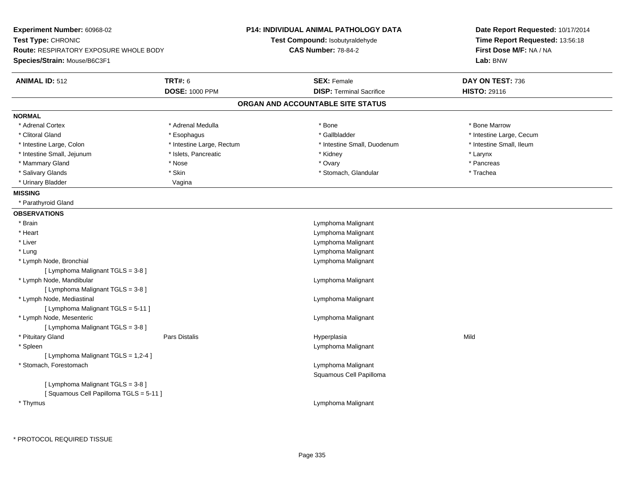| Experiment Number: 60968-02                   |                           | P14: INDIVIDUAL ANIMAL PATHOLOGY DATA         | Date Report Requested: 10/17/2014                          |  |
|-----------------------------------------------|---------------------------|-----------------------------------------------|------------------------------------------------------------|--|
| Test Type: CHRONIC                            |                           | Test Compound: Isobutyraldehyde               | Time Report Requested: 13:56:18<br>First Dose M/F: NA / NA |  |
| <b>Route: RESPIRATORY EXPOSURE WHOLE BODY</b> |                           | <b>CAS Number: 78-84-2</b>                    |                                                            |  |
| Species/Strain: Mouse/B6C3F1                  |                           |                                               | Lab: BNW                                                   |  |
| <b>ANIMAL ID: 512</b>                         | <b>TRT#: 6</b>            | <b>SEX: Female</b>                            | DAY ON TEST: 736                                           |  |
|                                               | <b>DOSE: 1000 PPM</b>     | <b>DISP: Terminal Sacrifice</b>               | <b>HISTO: 29116</b>                                        |  |
|                                               |                           | ORGAN AND ACCOUNTABLE SITE STATUS             |                                                            |  |
| <b>NORMAL</b>                                 |                           |                                               |                                                            |  |
| * Adrenal Cortex                              | * Adrenal Medulla         | * Bone                                        | * Bone Marrow                                              |  |
| * Clitoral Gland                              | * Esophagus               | * Gallbladder                                 | * Intestine Large, Cecum                                   |  |
| * Intestine Large, Colon                      | * Intestine Large, Rectum | * Intestine Small, Duodenum                   | * Intestine Small, Ileum                                   |  |
| * Intestine Small, Jejunum                    | * Islets, Pancreatic      | * Kidney                                      | * Larynx                                                   |  |
| * Mammary Gland                               | * Nose                    | * Ovary                                       | * Pancreas                                                 |  |
| * Salivary Glands                             | * Skin                    | * Stomach, Glandular                          | * Trachea                                                  |  |
| * Urinary Bladder                             | Vagina                    |                                               |                                                            |  |
| <b>MISSING</b>                                |                           |                                               |                                                            |  |
| * Parathyroid Gland                           |                           |                                               |                                                            |  |
| <b>OBSERVATIONS</b>                           |                           |                                               |                                                            |  |
| * Brain                                       |                           | Lymphoma Malignant                            |                                                            |  |
| * Heart                                       |                           | Lymphoma Malignant                            |                                                            |  |
| * Liver                                       |                           | Lymphoma Malignant                            |                                                            |  |
| * Lung                                        |                           | Lymphoma Malignant                            |                                                            |  |
| * Lymph Node, Bronchial                       |                           | Lymphoma Malignant                            |                                                            |  |
| [ Lymphoma Malignant TGLS = 3-8 ]             |                           |                                               |                                                            |  |
| * Lymph Node, Mandibular                      |                           | Lymphoma Malignant                            |                                                            |  |
| [ Lymphoma Malignant TGLS = 3-8 ]             |                           |                                               |                                                            |  |
| * Lymph Node, Mediastinal                     |                           | Lymphoma Malignant                            |                                                            |  |
| [ Lymphoma Malignant TGLS = 5-11 ]            |                           |                                               |                                                            |  |
| * Lymph Node, Mesenteric                      |                           | Lymphoma Malignant                            |                                                            |  |
| [ Lymphoma Malignant TGLS = 3-8 ]             |                           |                                               |                                                            |  |
| * Pituitary Gland                             | Pars Distalis             | Hyperplasia                                   | Mild                                                       |  |
| * Spleen                                      |                           | Lymphoma Malignant                            |                                                            |  |
| [ Lymphoma Malignant TGLS = 1,2-4 ]           |                           |                                               |                                                            |  |
| * Stomach, Forestomach                        |                           | Lymphoma Malignant<br>Squamous Cell Papilloma |                                                            |  |
| [ Lymphoma Malignant TGLS = 3-8 ]             |                           |                                               |                                                            |  |
| [Squamous Cell Papilloma TGLS = 5-11]         |                           |                                               |                                                            |  |
| * Thymus                                      |                           | Lymphoma Malignant                            |                                                            |  |
|                                               |                           |                                               |                                                            |  |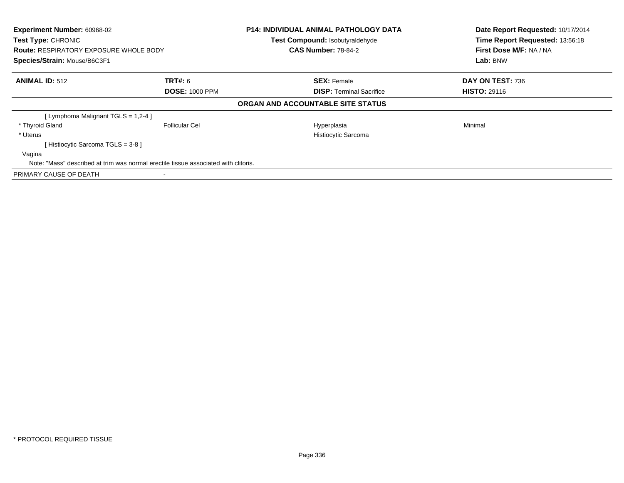| Experiment Number: 60968-02<br>Test Type: CHRONIC<br><b>Route: RESPIRATORY EXPOSURE WHOLE BODY</b> |                                                                                     | <b>P14: INDIVIDUAL ANIMAL PATHOLOGY DATA</b><br>Test Compound: Isobutyraldehyde<br><b>CAS Number: 78-84-2</b> | Date Report Requested: 10/17/2014<br>Time Report Requested: 13:56:18<br>First Dose M/F: NA / NA |
|----------------------------------------------------------------------------------------------------|-------------------------------------------------------------------------------------|---------------------------------------------------------------------------------------------------------------|-------------------------------------------------------------------------------------------------|
| Species/Strain: Mouse/B6C3F1                                                                       |                                                                                     |                                                                                                               | Lab: BNW                                                                                        |
| <b>ANIMAL ID: 512</b>                                                                              | <b>TRT#: 6</b>                                                                      | <b>SEX: Female</b>                                                                                            | DAY ON TEST: 736                                                                                |
|                                                                                                    | <b>DOSE: 1000 PPM</b>                                                               | <b>DISP:</b> Terminal Sacrifice                                                                               | <b>HISTO: 29116</b>                                                                             |
|                                                                                                    |                                                                                     | ORGAN AND ACCOUNTABLE SITE STATUS                                                                             |                                                                                                 |
| [ Lymphoma Malignant TGLS = 1,2-4 ]                                                                |                                                                                     |                                                                                                               |                                                                                                 |
| * Thyroid Gland                                                                                    | <b>Follicular Cel</b>                                                               | Hyperplasia                                                                                                   | Minimal                                                                                         |
| * Uterus                                                                                           |                                                                                     | Histiocytic Sarcoma                                                                                           |                                                                                                 |
| [Histiocytic Sarcoma TGLS = 3-8 ]                                                                  |                                                                                     |                                                                                                               |                                                                                                 |
| Vagina                                                                                             |                                                                                     |                                                                                                               |                                                                                                 |
|                                                                                                    | Note: "Mass" described at trim was normal erectile tissue associated with clitoris. |                                                                                                               |                                                                                                 |
| PRIMARY CAUSE OF DEATH                                                                             |                                                                                     |                                                                                                               |                                                                                                 |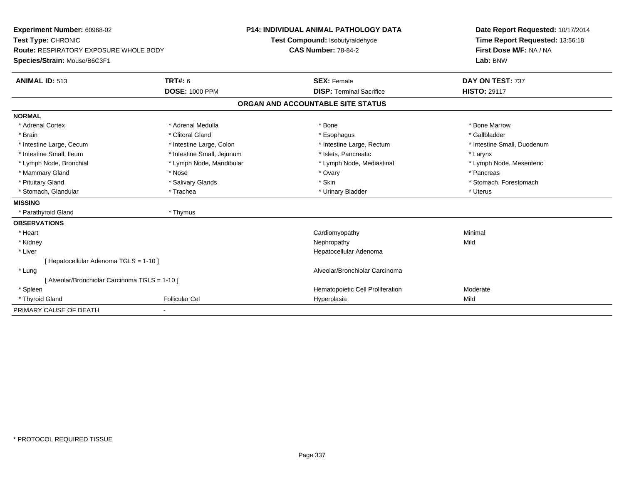| Experiment Number: 60968-02                   | <b>P14: INDIVIDUAL ANIMAL PATHOLOGY DATA</b> |                            |                                   | Date Report Requested: 10/17/2014 |
|-----------------------------------------------|----------------------------------------------|----------------------------|-----------------------------------|-----------------------------------|
| Test Type: CHRONIC                            |                                              |                            | Test Compound: Isobutyraldehyde   | Time Report Requested: 13:56:18   |
| <b>Route: RESPIRATORY EXPOSURE WHOLE BODY</b> |                                              | <b>CAS Number: 78-84-2</b> |                                   | First Dose M/F: NA / NA           |
| Species/Strain: Mouse/B6C3F1                  |                                              |                            |                                   | Lab: BNW                          |
| <b>ANIMAL ID: 513</b>                         | <b>TRT#: 6</b>                               |                            | <b>SEX: Female</b>                | DAY ON TEST: 737                  |
|                                               | <b>DOSE: 1000 PPM</b>                        |                            | <b>DISP: Terminal Sacrifice</b>   | <b>HISTO: 29117</b>               |
|                                               |                                              |                            | ORGAN AND ACCOUNTABLE SITE STATUS |                                   |
| <b>NORMAL</b>                                 |                                              |                            |                                   |                                   |
| * Adrenal Cortex                              | * Adrenal Medulla                            |                            | * Bone                            | * Bone Marrow                     |
| * Brain                                       | * Clitoral Gland                             |                            | * Esophagus                       | * Gallbladder                     |
| * Intestine Large, Cecum                      | * Intestine Large, Colon                     |                            | * Intestine Large, Rectum         | * Intestine Small, Duodenum       |
| * Intestine Small, Ileum                      | * Intestine Small, Jejunum                   |                            | * Islets, Pancreatic              | * Larynx                          |
| * Lymph Node, Bronchial                       | * Lymph Node, Mandibular                     |                            | * Lymph Node, Mediastinal         | * Lymph Node, Mesenteric          |
| * Mammary Gland                               | * Nose                                       |                            | * Ovary                           | * Pancreas                        |
| * Pituitary Gland                             | * Salivary Glands                            |                            | * Skin                            | * Stomach, Forestomach            |
| * Stomach, Glandular                          | * Trachea                                    |                            | * Urinary Bladder                 | * Uterus                          |
| <b>MISSING</b>                                |                                              |                            |                                   |                                   |
| * Parathyroid Gland                           | * Thymus                                     |                            |                                   |                                   |
| <b>OBSERVATIONS</b>                           |                                              |                            |                                   |                                   |
| * Heart                                       |                                              |                            | Cardiomyopathy                    | Minimal                           |
| * Kidney                                      |                                              |                            | Nephropathy                       | Mild                              |
| * Liver                                       |                                              |                            | Hepatocellular Adenoma            |                                   |
| [Hepatocellular Adenoma TGLS = 1-10]          |                                              |                            |                                   |                                   |
| * Lung                                        |                                              |                            | Alveolar/Bronchiolar Carcinoma    |                                   |
| [Alveolar/Bronchiolar Carcinoma TGLS = 1-10]  |                                              |                            |                                   |                                   |
| * Spleen                                      |                                              |                            | Hematopoietic Cell Proliferation  | Moderate                          |
| * Thyroid Gland                               | <b>Follicular Cel</b>                        |                            | Hyperplasia                       | Mild                              |
| PRIMARY CAUSE OF DEATH                        |                                              |                            |                                   |                                   |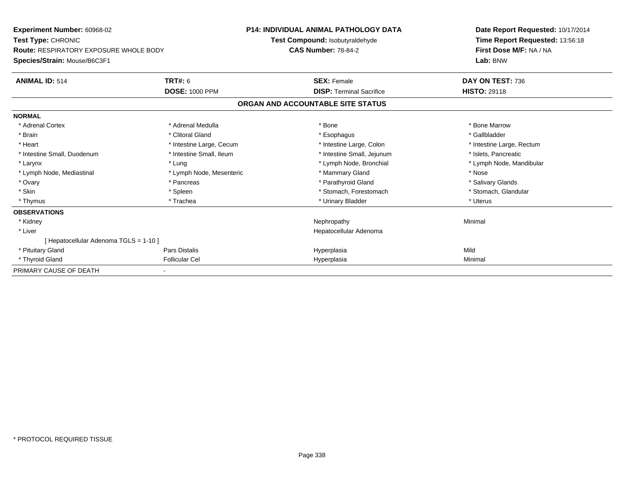| <b>Experiment Number: 60968-02</b><br>Test Type: CHRONIC<br><b>Route: RESPIRATORY EXPOSURE WHOLE BODY</b> |                          | <b>P14: INDIVIDUAL ANIMAL PATHOLOGY DATA</b><br>Test Compound: Isobutyraldehyde<br><b>CAS Number: 78-84-2</b> | Date Report Requested: 10/17/2014<br>Time Report Requested: 13:56:18<br>First Dose M/F: NA / NA |  |
|-----------------------------------------------------------------------------------------------------------|--------------------------|---------------------------------------------------------------------------------------------------------------|-------------------------------------------------------------------------------------------------|--|
| Species/Strain: Mouse/B6C3F1                                                                              |                          |                                                                                                               | Lab: BNW                                                                                        |  |
| <b>ANIMAL ID: 514</b>                                                                                     | <b>TRT#: 6</b>           | <b>SEX: Female</b>                                                                                            | DAY ON TEST: 736                                                                                |  |
|                                                                                                           | <b>DOSE: 1000 PPM</b>    | <b>DISP: Terminal Sacrifice</b>                                                                               | <b>HISTO: 29118</b>                                                                             |  |
|                                                                                                           |                          | ORGAN AND ACCOUNTABLE SITE STATUS                                                                             |                                                                                                 |  |
| <b>NORMAL</b>                                                                                             |                          |                                                                                                               |                                                                                                 |  |
| * Adrenal Cortex                                                                                          | * Adrenal Medulla        | * Bone                                                                                                        | * Bone Marrow                                                                                   |  |
| * Brain                                                                                                   | * Clitoral Gland         | * Esophagus                                                                                                   | * Gallbladder                                                                                   |  |
| * Heart                                                                                                   | * Intestine Large, Cecum | * Intestine Large, Colon                                                                                      | * Intestine Large, Rectum                                                                       |  |
| * Intestine Small, Duodenum                                                                               | * Intestine Small, Ileum | * Intestine Small, Jejunum                                                                                    | * Islets, Pancreatic                                                                            |  |
| * Larynx                                                                                                  | * Lung                   | * Lymph Node, Bronchial                                                                                       | * Lymph Node, Mandibular                                                                        |  |
| * Lymph Node, Mediastinal                                                                                 | * Lymph Node, Mesenteric | * Mammary Gland                                                                                               | * Nose                                                                                          |  |
| * Ovary                                                                                                   | * Pancreas               | * Parathyroid Gland                                                                                           | * Salivary Glands                                                                               |  |
| * Skin                                                                                                    | * Spleen                 | * Stomach, Forestomach                                                                                        | * Stomach, Glandular                                                                            |  |
| * Thymus                                                                                                  | * Trachea                | * Urinary Bladder                                                                                             | * Uterus                                                                                        |  |
| <b>OBSERVATIONS</b>                                                                                       |                          |                                                                                                               |                                                                                                 |  |
| * Kidney                                                                                                  |                          | Nephropathy                                                                                                   | Minimal                                                                                         |  |
| * Liver                                                                                                   |                          | Hepatocellular Adenoma                                                                                        |                                                                                                 |  |
| Hepatocellular Adenoma TGLS = 1-10 ]                                                                      |                          |                                                                                                               |                                                                                                 |  |
| * Pituitary Gland                                                                                         | Pars Distalis            | Hyperplasia                                                                                                   | Mild                                                                                            |  |
| * Thyroid Gland                                                                                           | <b>Follicular Cel</b>    | Hyperplasia                                                                                                   | Minimal                                                                                         |  |
| PRIMARY CAUSE OF DEATH                                                                                    |                          |                                                                                                               |                                                                                                 |  |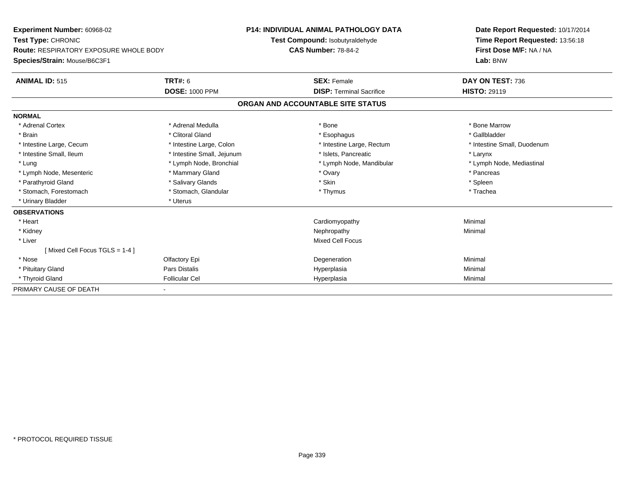| Experiment Number: 60968-02                   |                            | <b>P14: INDIVIDUAL ANIMAL PATHOLOGY DATA</b> |                                 | Date Report Requested: 10/17/2014 |
|-----------------------------------------------|----------------------------|----------------------------------------------|---------------------------------|-----------------------------------|
| Test Type: CHRONIC                            |                            | Test Compound: Isobutyraldehyde              |                                 | Time Report Requested: 13:56:18   |
| <b>Route: RESPIRATORY EXPOSURE WHOLE BODY</b> |                            | <b>CAS Number: 78-84-2</b>                   |                                 | First Dose M/F: NA / NA           |
| Species/Strain: Mouse/B6C3F1                  |                            |                                              |                                 | Lab: BNW                          |
| <b>ANIMAL ID: 515</b>                         | <b>TRT#: 6</b>             | <b>SEX: Female</b>                           |                                 | DAY ON TEST: 736                  |
|                                               | <b>DOSE: 1000 PPM</b>      |                                              | <b>DISP: Terminal Sacrifice</b> | <b>HISTO: 29119</b>               |
|                                               |                            | ORGAN AND ACCOUNTABLE SITE STATUS            |                                 |                                   |
| <b>NORMAL</b>                                 |                            |                                              |                                 |                                   |
| * Adrenal Cortex                              | * Adrenal Medulla          | * Bone                                       |                                 | * Bone Marrow                     |
| * Brain                                       | * Clitoral Gland           | * Esophagus                                  |                                 | * Gallbladder                     |
| * Intestine Large, Cecum                      | * Intestine Large, Colon   |                                              | * Intestine Large, Rectum       | * Intestine Small, Duodenum       |
| * Intestine Small, Ileum                      | * Intestine Small, Jejunum |                                              | * Islets, Pancreatic            | * Larynx                          |
| * Lung                                        | * Lymph Node, Bronchial    |                                              | * Lymph Node, Mandibular        | * Lymph Node, Mediastinal         |
| * Lymph Node, Mesenteric                      | * Mammary Gland            | * Ovary                                      |                                 | * Pancreas                        |
| * Parathyroid Gland                           | * Salivary Glands          | * Skin                                       |                                 | * Spleen                          |
| * Stomach, Forestomach                        | * Stomach, Glandular       | * Thymus                                     |                                 | * Trachea                         |
| * Urinary Bladder                             | * Uterus                   |                                              |                                 |                                   |
| <b>OBSERVATIONS</b>                           |                            |                                              |                                 |                                   |
| * Heart                                       |                            | Cardiomyopathy                               |                                 | Minimal                           |
| * Kidney                                      |                            | Nephropathy                                  |                                 | Minimal                           |
| * Liver                                       |                            | <b>Mixed Cell Focus</b>                      |                                 |                                   |
| [Mixed Cell Focus TGLS = $1-4$ ]              |                            |                                              |                                 |                                   |
| * Nose                                        | Olfactory Epi              | Degeneration                                 |                                 | Minimal                           |
| * Pituitary Gland                             | Pars Distalis              | Hyperplasia                                  |                                 | Minimal                           |
| * Thyroid Gland                               | <b>Follicular Cel</b>      | Hyperplasia                                  |                                 | Minimal                           |
| PRIMARY CAUSE OF DEATH                        |                            |                                              |                                 |                                   |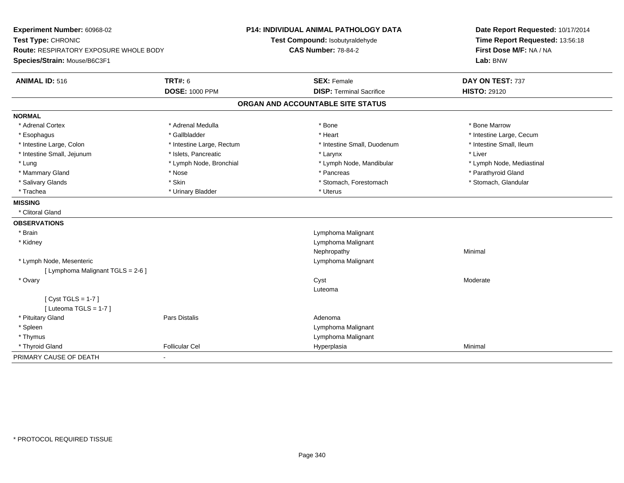| Experiment Number: 60968-02<br>Test Type: CHRONIC<br>Route: RESPIRATORY EXPOSURE WHOLE BODY<br>Species/Strain: Mouse/B6C3F1 |                           | <b>P14: INDIVIDUAL ANIMAL PATHOLOGY DATA</b><br>Test Compound: Isobutyraldehyde<br><b>CAS Number: 78-84-2</b> | Date Report Requested: 10/17/2014<br>Time Report Requested: 13:56:18<br>First Dose M/F: NA / NA<br>Lab: BNW |
|-----------------------------------------------------------------------------------------------------------------------------|---------------------------|---------------------------------------------------------------------------------------------------------------|-------------------------------------------------------------------------------------------------------------|
| <b>ANIMAL ID: 516</b>                                                                                                       | <b>TRT#: 6</b>            | <b>SEX: Female</b>                                                                                            | DAY ON TEST: 737                                                                                            |
|                                                                                                                             | <b>DOSE: 1000 PPM</b>     | <b>DISP: Terminal Sacrifice</b>                                                                               | <b>HISTO: 29120</b>                                                                                         |
|                                                                                                                             |                           | ORGAN AND ACCOUNTABLE SITE STATUS                                                                             |                                                                                                             |
| <b>NORMAL</b>                                                                                                               |                           |                                                                                                               |                                                                                                             |
| * Adrenal Cortex                                                                                                            | * Adrenal Medulla         | * Bone                                                                                                        | * Bone Marrow                                                                                               |
| * Esophagus                                                                                                                 | * Gallbladder             | * Heart                                                                                                       | * Intestine Large, Cecum                                                                                    |
| * Intestine Large, Colon                                                                                                    | * Intestine Large, Rectum | * Intestine Small, Duodenum                                                                                   | * Intestine Small, Ileum                                                                                    |
| * Intestine Small, Jejunum                                                                                                  | * Islets, Pancreatic      | * Larynx                                                                                                      | * Liver                                                                                                     |
| * Lung                                                                                                                      | * Lymph Node, Bronchial   | * Lymph Node, Mandibular                                                                                      | * Lymph Node, Mediastinal                                                                                   |
| * Mammary Gland                                                                                                             | * Nose                    | * Pancreas                                                                                                    | * Parathyroid Gland                                                                                         |
| * Salivary Glands                                                                                                           | * Skin                    | * Stomach, Forestomach                                                                                        | * Stomach, Glandular                                                                                        |
| * Trachea                                                                                                                   | * Urinary Bladder         | * Uterus                                                                                                      |                                                                                                             |
| <b>MISSING</b>                                                                                                              |                           |                                                                                                               |                                                                                                             |
| * Clitoral Gland                                                                                                            |                           |                                                                                                               |                                                                                                             |
| <b>OBSERVATIONS</b>                                                                                                         |                           |                                                                                                               |                                                                                                             |
| * Brain                                                                                                                     |                           | Lymphoma Malignant                                                                                            |                                                                                                             |
| * Kidney                                                                                                                    |                           | Lymphoma Malignant                                                                                            |                                                                                                             |
|                                                                                                                             |                           | Nephropathy                                                                                                   | Minimal                                                                                                     |
| * Lymph Node, Mesenteric                                                                                                    |                           | Lymphoma Malignant                                                                                            |                                                                                                             |
| [ Lymphoma Malignant TGLS = 2-6 ]                                                                                           |                           |                                                                                                               |                                                                                                             |
| * Ovary                                                                                                                     |                           | Cyst                                                                                                          | Moderate                                                                                                    |
|                                                                                                                             |                           | Luteoma                                                                                                       |                                                                                                             |
| [ $Cyst TGLS = 1-7$ ]                                                                                                       |                           |                                                                                                               |                                                                                                             |
| [ Luteoma TGLS = $1-7$ ]                                                                                                    |                           |                                                                                                               |                                                                                                             |
| * Pituitary Gland                                                                                                           | <b>Pars Distalis</b>      | Adenoma                                                                                                       |                                                                                                             |
| * Spleen                                                                                                                    |                           | Lymphoma Malignant                                                                                            |                                                                                                             |
| * Thymus                                                                                                                    |                           | Lymphoma Malignant                                                                                            |                                                                                                             |
| * Thyroid Gland                                                                                                             | <b>Follicular Cel</b>     | Hyperplasia                                                                                                   | Minimal                                                                                                     |
| PRIMARY CAUSE OF DEATH                                                                                                      | $\blacksquare$            |                                                                                                               |                                                                                                             |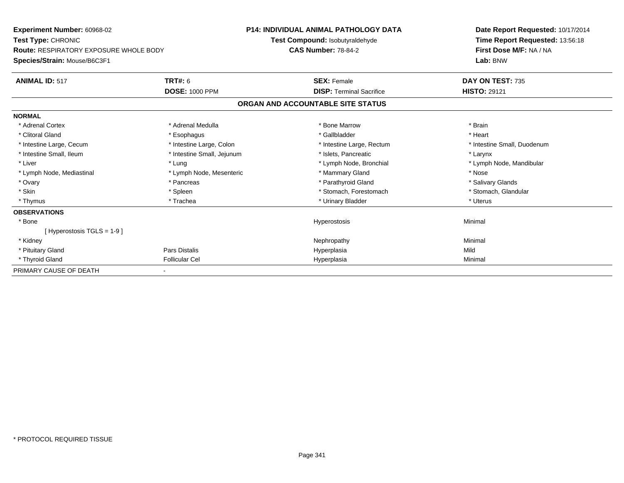| <b>Experiment Number: 60968-02</b>            |                            | <b>P14: INDIVIDUAL ANIMAL PATHOLOGY DATA</b> | Date Report Requested: 10/17/2014 |
|-----------------------------------------------|----------------------------|----------------------------------------------|-----------------------------------|
| Test Type: CHRONIC                            |                            | Test Compound: Isobutyraldehyde              | Time Report Requested: 13:56:18   |
| <b>Route: RESPIRATORY EXPOSURE WHOLE BODY</b> |                            | <b>CAS Number: 78-84-2</b>                   | First Dose M/F: NA / NA           |
| Species/Strain: Mouse/B6C3F1                  |                            |                                              | Lab: BNW                          |
| <b>ANIMAL ID: 517</b>                         | <b>TRT#: 6</b>             | <b>SEX: Female</b>                           | DAY ON TEST: 735                  |
|                                               | <b>DOSE: 1000 PPM</b>      | <b>DISP: Terminal Sacrifice</b>              | <b>HISTO: 29121</b>               |
|                                               |                            | ORGAN AND ACCOUNTABLE SITE STATUS            |                                   |
| <b>NORMAL</b>                                 |                            |                                              |                                   |
| * Adrenal Cortex                              | * Adrenal Medulla          | * Bone Marrow                                | * Brain                           |
| * Clitoral Gland                              | * Esophagus                | * Gallbladder                                | * Heart                           |
| * Intestine Large, Cecum                      | * Intestine Large, Colon   | * Intestine Large, Rectum                    | * Intestine Small, Duodenum       |
| * Intestine Small, Ileum                      | * Intestine Small, Jejunum | * Islets, Pancreatic                         | * Larynx                          |
| * Liver                                       | * Lung                     | * Lymph Node, Bronchial                      | * Lymph Node, Mandibular          |
| * Lymph Node, Mediastinal                     | * Lymph Node, Mesenteric   | * Mammary Gland                              | * Nose                            |
| * Ovary                                       | * Pancreas                 | * Parathyroid Gland                          | * Salivary Glands                 |
| * Skin                                        | * Spleen                   | * Stomach, Forestomach                       | * Stomach, Glandular              |
| * Thymus                                      | * Trachea                  | * Urinary Bladder                            | * Uterus                          |
| <b>OBSERVATIONS</b>                           |                            |                                              |                                   |
| * Bone                                        |                            | Hyperostosis                                 | Minimal                           |
| [Hyperostosis TGLS = $1-9$ ]                  |                            |                                              |                                   |
| * Kidney                                      |                            | Nephropathy                                  | Minimal                           |
| * Pituitary Gland                             | Pars Distalis              | Hyperplasia                                  | Mild                              |
| * Thyroid Gland                               | <b>Follicular Cel</b>      | Hyperplasia                                  | Minimal                           |
| PRIMARY CAUSE OF DEATH                        |                            |                                              |                                   |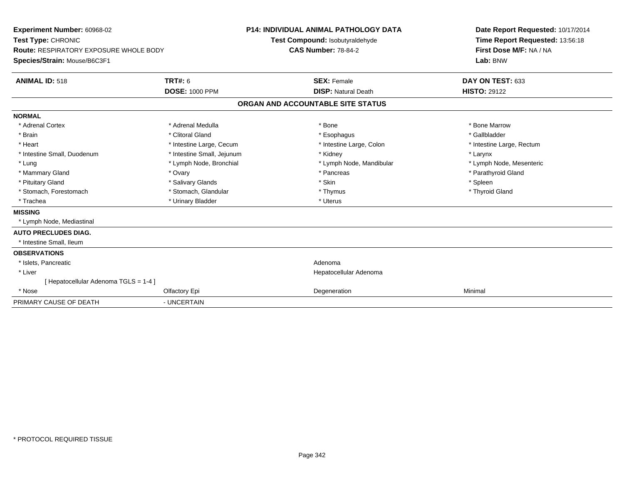| <b>Experiment Number: 60968-02</b><br>Test Type: CHRONIC<br>Route: RESPIRATORY EXPOSURE WHOLE BODY<br>Species/Strain: Mouse/B6C3F1<br><b>ANIMAL ID: 518</b>                     | TRT#: 6<br><b>DOSE: 1000 PPM</b>                                                                                                                                                                        | <b>P14: INDIVIDUAL ANIMAL PATHOLOGY DATA</b><br>Test Compound: Isobutyraldehyde<br><b>CAS Number: 78-84-2</b><br><b>SEX: Female</b><br><b>DISP: Natural Death</b> |                                                                                                                                           | Date Report Requested: 10/17/2014<br>Time Report Requested: 13:56:18<br>First Dose M/F: NA / NA<br>Lab: BNW<br>DAY ON TEST: 633<br><b>HISTO: 29122</b>    |
|---------------------------------------------------------------------------------------------------------------------------------------------------------------------------------|---------------------------------------------------------------------------------------------------------------------------------------------------------------------------------------------------------|-------------------------------------------------------------------------------------------------------------------------------------------------------------------|-------------------------------------------------------------------------------------------------------------------------------------------|-----------------------------------------------------------------------------------------------------------------------------------------------------------|
|                                                                                                                                                                                 |                                                                                                                                                                                                         |                                                                                                                                                                   | ORGAN AND ACCOUNTABLE SITE STATUS                                                                                                         |                                                                                                                                                           |
| <b>NORMAL</b><br>* Adrenal Cortex<br>* Brain<br>* Heart<br>* Intestine Small, Duodenum<br>* Lung<br>* Mammary Gland<br>* Pituitary Gland<br>* Stomach, Forestomach<br>* Trachea | * Adrenal Medulla<br>* Clitoral Gland<br>* Intestine Large, Cecum<br>* Intestine Small, Jejunum<br>* Lymph Node, Bronchial<br>* Ovary<br>* Salivary Glands<br>* Stomach, Glandular<br>* Urinary Bladder |                                                                                                                                                                   | * Bone<br>* Esophagus<br>* Intestine Large, Colon<br>* Kidney<br>* Lymph Node, Mandibular<br>* Pancreas<br>* Skin<br>* Thymus<br>* Uterus | * Bone Marrow<br>* Gallbladder<br>* Intestine Large, Rectum<br>* Larynx<br>* Lymph Node, Mesenteric<br>* Parathyroid Gland<br>* Spleen<br>* Thyroid Gland |
| <b>MISSING</b><br>* Lymph Node, Mediastinal<br><b>AUTO PRECLUDES DIAG.</b>                                                                                                      |                                                                                                                                                                                                         |                                                                                                                                                                   |                                                                                                                                           |                                                                                                                                                           |
| * Intestine Small, Ileum<br><b>OBSERVATIONS</b><br>* Islets, Pancreatic<br>* Liver<br>[Hepatocellular Adenoma TGLS = 1-4]<br>* Nose                                             | Olfactory Epi                                                                                                                                                                                           |                                                                                                                                                                   | Adenoma<br>Hepatocellular Adenoma<br>Degeneration                                                                                         | Minimal                                                                                                                                                   |
| PRIMARY CAUSE OF DEATH                                                                                                                                                          | - UNCERTAIN                                                                                                                                                                                             |                                                                                                                                                                   |                                                                                                                                           |                                                                                                                                                           |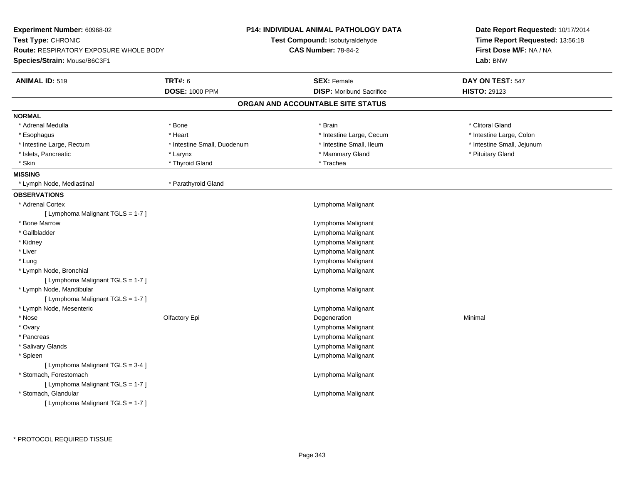| Experiment Number: 60968-02                   |                             | <b>P14: INDIVIDUAL ANIMAL PATHOLOGY DATA</b> | Date Report Requested: 10/17/2014                                      |  |
|-----------------------------------------------|-----------------------------|----------------------------------------------|------------------------------------------------------------------------|--|
| Test Type: CHRONIC                            |                             | Test Compound: Isobutyraldehyde              | Time Report Requested: 13:56:18<br>First Dose M/F: NA / NA<br>Lab: BNW |  |
| <b>Route: RESPIRATORY EXPOSURE WHOLE BODY</b> |                             | <b>CAS Number: 78-84-2</b>                   |                                                                        |  |
| Species/Strain: Mouse/B6C3F1                  |                             |                                              |                                                                        |  |
| <b>ANIMAL ID: 519</b>                         | <b>TRT#: 6</b>              | <b>SEX: Female</b>                           | DAY ON TEST: 547                                                       |  |
|                                               | <b>DOSE: 1000 PPM</b>       | <b>DISP:</b> Moribund Sacrifice              | <b>HISTO: 29123</b>                                                    |  |
|                                               |                             | ORGAN AND ACCOUNTABLE SITE STATUS            |                                                                        |  |
| <b>NORMAL</b>                                 |                             |                                              |                                                                        |  |
| * Adrenal Medulla                             | * Bone                      | * Brain                                      | * Clitoral Gland                                                       |  |
| * Esophagus                                   | * Heart                     | * Intestine Large, Cecum                     | * Intestine Large, Colon                                               |  |
| * Intestine Large, Rectum                     | * Intestine Small, Duodenum | * Intestine Small, Ileum                     | * Intestine Small, Jejunum                                             |  |
| * Islets, Pancreatic                          | * Larynx                    | * Mammary Gland                              | * Pituitary Gland                                                      |  |
| * Skin                                        | * Thyroid Gland             | * Trachea                                    |                                                                        |  |
| <b>MISSING</b>                                |                             |                                              |                                                                        |  |
| * Lymph Node, Mediastinal                     | * Parathyroid Gland         |                                              |                                                                        |  |
| <b>OBSERVATIONS</b>                           |                             |                                              |                                                                        |  |
| * Adrenal Cortex                              |                             | Lymphoma Malignant                           |                                                                        |  |
| [ Lymphoma Malignant TGLS = 1-7 ]             |                             |                                              |                                                                        |  |
| * Bone Marrow                                 |                             | Lymphoma Malignant                           |                                                                        |  |
| * Gallbladder                                 |                             | Lymphoma Malignant                           |                                                                        |  |
| * Kidney                                      |                             | Lymphoma Malignant                           |                                                                        |  |
| * Liver                                       |                             | Lymphoma Malignant                           |                                                                        |  |
| * Lung                                        |                             | Lymphoma Malignant                           |                                                                        |  |
| * Lymph Node, Bronchial                       |                             | Lymphoma Malignant                           |                                                                        |  |
| [ Lymphoma Malignant TGLS = 1-7 ]             |                             |                                              |                                                                        |  |
| * Lymph Node, Mandibular                      |                             | Lymphoma Malignant                           |                                                                        |  |
| [ Lymphoma Malignant TGLS = 1-7 ]             |                             |                                              |                                                                        |  |
| * Lymph Node, Mesenteric                      |                             | Lymphoma Malignant                           |                                                                        |  |
| $*$ Nose                                      | Olfactory Epi               | Degeneration                                 | Minimal                                                                |  |
| * Ovary                                       |                             | Lymphoma Malignant                           |                                                                        |  |
| * Pancreas                                    |                             | Lymphoma Malignant                           |                                                                        |  |
| * Salivary Glands                             |                             | Lymphoma Malignant                           |                                                                        |  |
| * Spleen                                      |                             | Lymphoma Malignant                           |                                                                        |  |
| [ Lymphoma Malignant TGLS = 3-4 ]             |                             |                                              |                                                                        |  |
| * Stomach, Forestomach                        |                             | Lymphoma Malignant                           |                                                                        |  |
| [ Lymphoma Malignant TGLS = 1-7 ]             |                             |                                              |                                                                        |  |
| * Stomach, Glandular                          |                             | Lymphoma Malignant                           |                                                                        |  |
| [ Lymphoma Malignant TGLS = 1-7 ]             |                             |                                              |                                                                        |  |
|                                               |                             |                                              |                                                                        |  |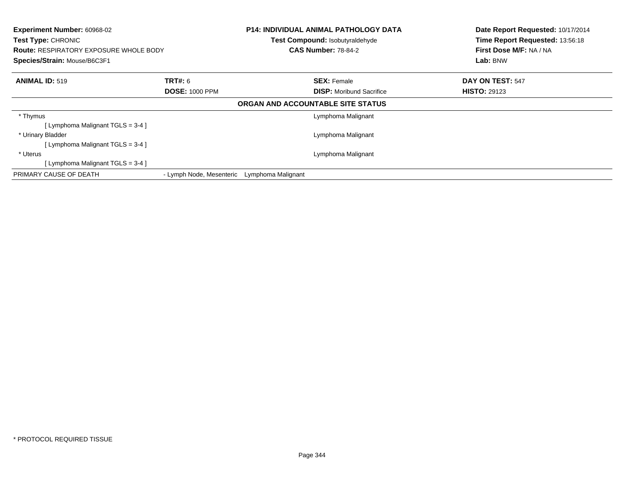| <b>Experiment Number: 60968-02</b><br>Test Type: CHRONIC<br><b>Route: RESPIRATORY EXPOSURE WHOLE BODY</b><br>Species/Strain: Mouse/B6C3F1 |                          |                    | <b>P14: INDIVIDUAL ANIMAL PATHOLOGY DATA</b><br>Test Compound: Isobutyraldehyde<br><b>CAS Number: 78-84-2</b> | Date Report Requested: 10/17/2014<br>Time Report Requested: 13:56:18<br>First Dose M/F: NA / NA<br>Lab: BNW |
|-------------------------------------------------------------------------------------------------------------------------------------------|--------------------------|--------------------|---------------------------------------------------------------------------------------------------------------|-------------------------------------------------------------------------------------------------------------|
| <b>ANIMAL ID: 519</b>                                                                                                                     | <b>TRT#: 6</b>           |                    | <b>SEX: Female</b>                                                                                            | DAY ON TEST: 547                                                                                            |
|                                                                                                                                           | <b>DOSE: 1000 PPM</b>    |                    | <b>DISP:</b> Moribund Sacrifice                                                                               | <b>HISTO: 29123</b>                                                                                         |
|                                                                                                                                           |                          |                    | ORGAN AND ACCOUNTABLE SITE STATUS                                                                             |                                                                                                             |
| * Thymus                                                                                                                                  |                          |                    | Lymphoma Malignant                                                                                            |                                                                                                             |
| [ Lymphoma Malignant TGLS = 3-4 ]                                                                                                         |                          |                    |                                                                                                               |                                                                                                             |
| * Urinary Bladder                                                                                                                         |                          |                    | Lymphoma Malignant                                                                                            |                                                                                                             |
| [ Lymphoma Malignant $TGLS = 3-4$ ]                                                                                                       |                          |                    |                                                                                                               |                                                                                                             |
| * Uterus                                                                                                                                  |                          |                    | Lymphoma Malignant                                                                                            |                                                                                                             |
| [ Lymphoma Malignant TGLS = 3-4 ]                                                                                                         |                          |                    |                                                                                                               |                                                                                                             |
| PRIMARY CAUSE OF DEATH                                                                                                                    | - Lymph Node, Mesenteric | Lymphoma Malignant |                                                                                                               |                                                                                                             |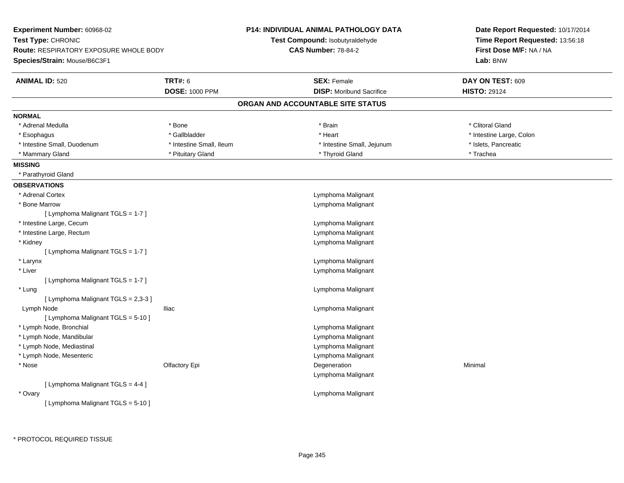| Experiment Number: 60968-02                   |                          | <b>P14: INDIVIDUAL ANIMAL PATHOLOGY DATA</b> | Date Report Requested: 10/17/2014                          |
|-----------------------------------------------|--------------------------|----------------------------------------------|------------------------------------------------------------|
| Test Type: CHRONIC                            |                          | Test Compound: Isobutyraldehyde              | Time Report Requested: 13:56:18<br>First Dose M/F: NA / NA |
| <b>Route: RESPIRATORY EXPOSURE WHOLE BODY</b> |                          | <b>CAS Number: 78-84-2</b>                   |                                                            |
| Species/Strain: Mouse/B6C3F1                  |                          |                                              | Lab: BNW                                                   |
| <b>ANIMAL ID: 520</b>                         | <b>TRT#: 6</b>           | <b>SEX: Female</b>                           | DAY ON TEST: 609                                           |
|                                               | <b>DOSE: 1000 PPM</b>    | <b>DISP:</b> Moribund Sacrifice              | <b>HISTO: 29124</b>                                        |
|                                               |                          | ORGAN AND ACCOUNTABLE SITE STATUS            |                                                            |
| <b>NORMAL</b>                                 |                          |                                              |                                                            |
| * Adrenal Medulla                             | * Bone                   | * Brain                                      | * Clitoral Gland                                           |
| * Esophagus                                   | * Gallbladder            | * Heart                                      | * Intestine Large, Colon                                   |
| * Intestine Small, Duodenum                   | * Intestine Small, Ileum | * Intestine Small, Jejunum                   | * Islets, Pancreatic                                       |
| * Mammary Gland                               | * Pituitary Gland        | * Thyroid Gland                              | * Trachea                                                  |
| <b>MISSING</b>                                |                          |                                              |                                                            |
| * Parathyroid Gland                           |                          |                                              |                                                            |
| <b>OBSERVATIONS</b>                           |                          |                                              |                                                            |
| * Adrenal Cortex                              |                          | Lymphoma Malignant                           |                                                            |
| * Bone Marrow                                 |                          | Lymphoma Malignant                           |                                                            |
| [ Lymphoma Malignant TGLS = 1-7 ]             |                          |                                              |                                                            |
| * Intestine Large, Cecum                      |                          | Lymphoma Malignant                           |                                                            |
| * Intestine Large, Rectum                     |                          | Lymphoma Malignant                           |                                                            |
| * Kidney                                      |                          | Lymphoma Malignant                           |                                                            |
| [ Lymphoma Malignant TGLS = 1-7 ]             |                          |                                              |                                                            |
| * Larynx                                      |                          | Lymphoma Malignant                           |                                                            |
| * Liver                                       |                          | Lymphoma Malignant                           |                                                            |
| [ Lymphoma Malignant TGLS = 1-7 ]             |                          |                                              |                                                            |
| * Lung                                        |                          | Lymphoma Malignant                           |                                                            |
| [ Lymphoma Malignant TGLS = 2,3-3 ]           |                          |                                              |                                                            |
| Lymph Node                                    | <b>Iliac</b>             | Lymphoma Malignant                           |                                                            |
| [ Lymphoma Malignant TGLS = $5-10$ ]          |                          |                                              |                                                            |
| * Lymph Node, Bronchial                       |                          | Lymphoma Malignant                           |                                                            |
| * Lymph Node, Mandibular                      |                          | Lymphoma Malignant                           |                                                            |
| * Lymph Node, Mediastinal                     |                          | Lymphoma Malignant                           |                                                            |
| * Lymph Node, Mesenteric                      |                          | Lymphoma Malignant                           |                                                            |
| * Nose                                        | Olfactory Epi            | Degeneration                                 | Minimal                                                    |
|                                               |                          | Lymphoma Malignant                           |                                                            |
| [ Lymphoma Malignant TGLS = 4-4 ]             |                          |                                              |                                                            |
| * Ovary                                       |                          | Lymphoma Malignant                           |                                                            |
| [ Lymphoma Malignant TGLS = 5-10 ]            |                          |                                              |                                                            |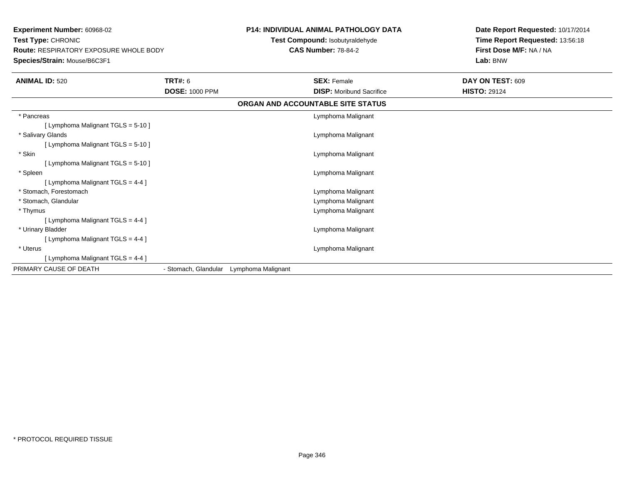**Experiment Number:** 60968-02**Test Type:** CHRONIC **Route:** RESPIRATORY EXPOSURE WHOLE BODY**Species/Strain:** Mouse/B6C3F1

## **P14: INDIVIDUAL ANIMAL PATHOLOGY DATA**

**Test Compound:** Isobutyraldehyde**CAS Number:** 78-84-2

**Date Report Requested:** 10/17/2014**Time Report Requested:** 13:56:18**First Dose M/F:** NA / NA**Lab:** BNW

| <b>ANIMAL ID: 520</b>             | <b>TRT#: 6</b>        |                    | <b>SEX: Female</b>              | <b>DAY ON TEST: 609</b> |  |  |
|-----------------------------------|-----------------------|--------------------|---------------------------------|-------------------------|--|--|
|                                   | <b>DOSE: 1000 PPM</b> |                    | <b>DISP:</b> Moribund Sacrifice | <b>HISTO: 29124</b>     |  |  |
| ORGAN AND ACCOUNTABLE SITE STATUS |                       |                    |                                 |                         |  |  |
| * Pancreas                        |                       |                    | Lymphoma Malignant              |                         |  |  |
| [Lymphoma Malignant TGLS = 5-10]  |                       |                    |                                 |                         |  |  |
| * Salivary Glands                 |                       |                    | Lymphoma Malignant              |                         |  |  |
| [Lymphoma Malignant TGLS = 5-10]  |                       |                    |                                 |                         |  |  |
| * Skin                            |                       |                    | Lymphoma Malignant              |                         |  |  |
| [Lymphoma Malignant TGLS = 5-10]  |                       |                    |                                 |                         |  |  |
| * Spleen                          |                       |                    | Lymphoma Malignant              |                         |  |  |
| [Lymphoma Malignant TGLS = 4-4 ]  |                       |                    |                                 |                         |  |  |
| * Stomach, Forestomach            |                       |                    | Lymphoma Malignant              |                         |  |  |
| * Stomach, Glandular              |                       |                    | Lymphoma Malignant              |                         |  |  |
| * Thymus                          |                       |                    | Lymphoma Malignant              |                         |  |  |
| [ Lymphoma Malignant TGLS = 4-4 ] |                       |                    |                                 |                         |  |  |
| * Urinary Bladder                 |                       |                    | Lymphoma Malignant              |                         |  |  |
| [Lymphoma Malignant TGLS = 4-4 ]  |                       |                    |                                 |                         |  |  |
| * Uterus                          |                       |                    | Lymphoma Malignant              |                         |  |  |
| [Lymphoma Malignant TGLS = 4-4 ]  |                       |                    |                                 |                         |  |  |
| PRIMARY CAUSE OF DEATH            | - Stomach, Glandular  | Lymphoma Malignant |                                 |                         |  |  |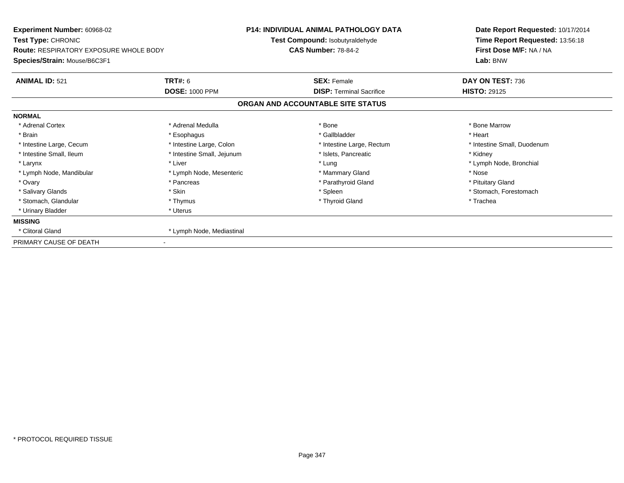| Experiment Number: 60968-02<br>Test Type: CHRONIC<br><b>Route: RESPIRATORY EXPOSURE WHOLE BODY</b> |                            | <b>P14: INDIVIDUAL ANIMAL PATHOLOGY DATA</b><br>Test Compound: Isobutyraldehyde<br><b>CAS Number: 78-84-2</b> | Date Report Requested: 10/17/2014<br>Time Report Requested: 13:56:18<br>First Dose M/F: NA / NA |
|----------------------------------------------------------------------------------------------------|----------------------------|---------------------------------------------------------------------------------------------------------------|-------------------------------------------------------------------------------------------------|
| Species/Strain: Mouse/B6C3F1                                                                       |                            |                                                                                                               | Lab: BNW                                                                                        |
| <b>ANIMAL ID: 521</b>                                                                              | <b>TRT#: 6</b>             | <b>SEX: Female</b>                                                                                            | DAY ON TEST: 736                                                                                |
|                                                                                                    | <b>DOSE: 1000 PPM</b>      | <b>DISP: Terminal Sacrifice</b>                                                                               | <b>HISTO: 29125</b>                                                                             |
|                                                                                                    |                            | ORGAN AND ACCOUNTABLE SITE STATUS                                                                             |                                                                                                 |
| <b>NORMAL</b>                                                                                      |                            |                                                                                                               |                                                                                                 |
| * Adrenal Cortex                                                                                   | * Adrenal Medulla          | * Bone                                                                                                        | * Bone Marrow                                                                                   |
| * Brain                                                                                            | * Esophagus                | * Gallbladder                                                                                                 | * Heart                                                                                         |
| * Intestine Large, Cecum                                                                           | * Intestine Large, Colon   | * Intestine Large, Rectum                                                                                     | * Intestine Small, Duodenum                                                                     |
| * Intestine Small, Ileum                                                                           | * Intestine Small, Jejunum | * Islets, Pancreatic                                                                                          | * Kidney                                                                                        |
| * Larynx                                                                                           | * Liver                    | * Lung                                                                                                        | * Lymph Node, Bronchial                                                                         |
| * Lymph Node, Mandibular                                                                           | * Lymph Node, Mesenteric   | * Mammary Gland                                                                                               | * Nose                                                                                          |
| * Ovary                                                                                            | * Pancreas                 | * Parathyroid Gland                                                                                           | * Pituitary Gland                                                                               |
| * Salivary Glands                                                                                  | * Skin                     | * Spleen                                                                                                      | * Stomach, Forestomach                                                                          |
| * Stomach, Glandular                                                                               | * Thymus                   | * Thyroid Gland                                                                                               | * Trachea                                                                                       |
| * Urinary Bladder                                                                                  | * Uterus                   |                                                                                                               |                                                                                                 |
| <b>MISSING</b>                                                                                     |                            |                                                                                                               |                                                                                                 |
| * Clitoral Gland                                                                                   | * Lymph Node, Mediastinal  |                                                                                                               |                                                                                                 |
| PRIMARY CAUSE OF DEATH                                                                             |                            |                                                                                                               |                                                                                                 |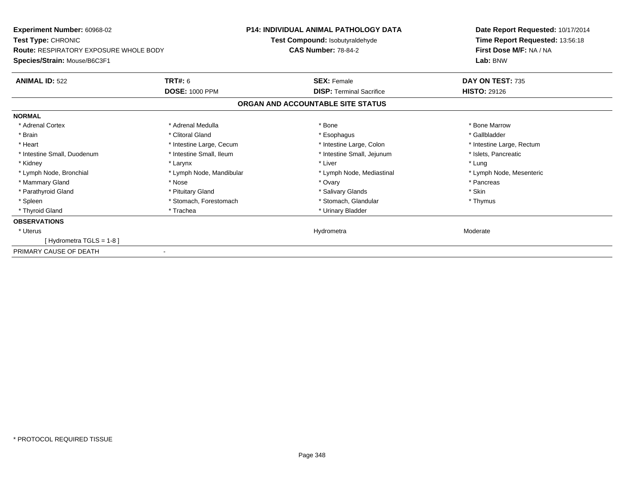| Experiment Number: 60968-02                   |                          | <b>P14: INDIVIDUAL ANIMAL PATHOLOGY DATA</b> | Date Report Requested: 10/17/2014 |
|-----------------------------------------------|--------------------------|----------------------------------------------|-----------------------------------|
| <b>Test Type: CHRONIC</b>                     |                          | Test Compound: Isobutyraldehyde              | Time Report Requested: 13:56:18   |
| <b>Route: RESPIRATORY EXPOSURE WHOLE BODY</b> |                          | <b>CAS Number: 78-84-2</b>                   | First Dose M/F: NA / NA           |
| Species/Strain: Mouse/B6C3F1                  |                          |                                              | Lab: BNW                          |
| <b>ANIMAL ID: 522</b>                         | <b>TRT#: 6</b>           | <b>SEX: Female</b>                           | DAY ON TEST: 735                  |
|                                               | <b>DOSE: 1000 PPM</b>    | <b>DISP:</b> Terminal Sacrifice              | <b>HISTO: 29126</b>               |
|                                               |                          | ORGAN AND ACCOUNTABLE SITE STATUS            |                                   |
| <b>NORMAL</b>                                 |                          |                                              |                                   |
| * Adrenal Cortex                              | * Adrenal Medulla        | * Bone                                       | * Bone Marrow                     |
| * Brain                                       | * Clitoral Gland         | * Esophagus                                  | * Gallbladder                     |
| * Heart                                       | * Intestine Large, Cecum | * Intestine Large, Colon                     | * Intestine Large, Rectum         |
| * Intestine Small, Duodenum                   | * Intestine Small, Ileum | * Intestine Small, Jejunum                   | * Islets, Pancreatic              |
| * Kidney                                      | * Larynx                 | * Liver                                      | * Lung                            |
| * Lymph Node, Bronchial                       | * Lymph Node, Mandibular | * Lymph Node, Mediastinal                    | * Lymph Node, Mesenteric          |
| * Mammary Gland                               | * Nose                   | * Ovary                                      | * Pancreas                        |
| * Parathyroid Gland                           | * Pituitary Gland        | * Salivary Glands                            | * Skin                            |
| * Spleen                                      | * Stomach, Forestomach   | * Stomach, Glandular                         | * Thymus                          |
| * Thyroid Gland                               | * Trachea                | * Urinary Bladder                            |                                   |
| <b>OBSERVATIONS</b>                           |                          |                                              |                                   |
| * Uterus                                      |                          | Hydrometra                                   | Moderate                          |
| [Hydrometra TGLS = $1-8$ ]                    |                          |                                              |                                   |
| PRIMARY CAUSE OF DEATH                        |                          |                                              |                                   |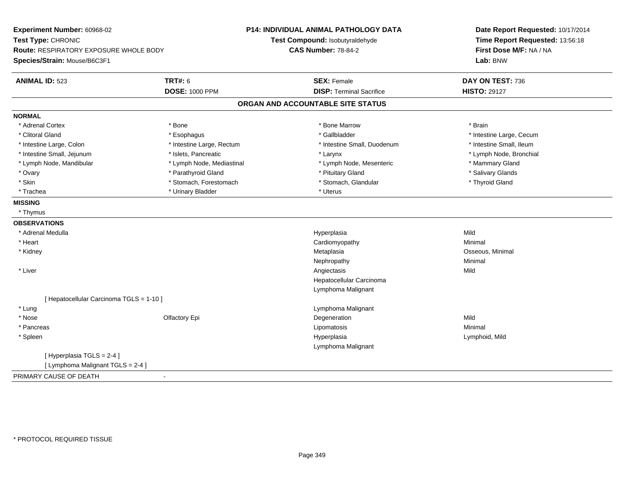| Experiment Number: 60968-02<br>Test Type: CHRONIC |                           | <b>P14: INDIVIDUAL ANIMAL PATHOLOGY DATA</b><br>Test Compound: Isobutyraldehyde | Date Report Requested: 10/17/2014<br>Time Report Requested: 13:56:18 |
|---------------------------------------------------|---------------------------|---------------------------------------------------------------------------------|----------------------------------------------------------------------|
| <b>Route: RESPIRATORY EXPOSURE WHOLE BODY</b>     |                           | <b>CAS Number: 78-84-2</b>                                                      | First Dose M/F: NA / NA                                              |
| Species/Strain: Mouse/B6C3F1                      |                           |                                                                                 | Lab: BNW                                                             |
| <b>ANIMAL ID: 523</b>                             | <b>TRT#: 6</b>            | <b>SEX: Female</b>                                                              | DAY ON TEST: 736                                                     |
|                                                   | <b>DOSE: 1000 PPM</b>     | <b>DISP: Terminal Sacrifice</b>                                                 | <b>HISTO: 29127</b>                                                  |
|                                                   |                           | ORGAN AND ACCOUNTABLE SITE STATUS                                               |                                                                      |
| <b>NORMAL</b>                                     |                           |                                                                                 |                                                                      |
| * Adrenal Cortex                                  | * Bone                    | * Bone Marrow                                                                   | * Brain                                                              |
| * Clitoral Gland                                  | * Esophagus               | * Gallbladder                                                                   | * Intestine Large, Cecum                                             |
| * Intestine Large, Colon                          | * Intestine Large, Rectum | * Intestine Small, Duodenum                                                     | * Intestine Small, Ileum                                             |
| * Intestine Small, Jejunum                        | * Islets, Pancreatic      | * Larynx                                                                        | * Lymph Node, Bronchial                                              |
| * Lymph Node, Mandibular                          | * Lymph Node, Mediastinal | * Lymph Node, Mesenteric                                                        | * Mammary Gland                                                      |
| * Ovary                                           | * Parathyroid Gland       | * Pituitary Gland                                                               | * Salivary Glands                                                    |
| * Skin                                            | * Stomach, Forestomach    | * Stomach, Glandular                                                            | * Thyroid Gland                                                      |
| * Trachea                                         | * Urinary Bladder         | * Uterus                                                                        |                                                                      |
| <b>MISSING</b>                                    |                           |                                                                                 |                                                                      |
| * Thymus                                          |                           |                                                                                 |                                                                      |
| <b>OBSERVATIONS</b>                               |                           |                                                                                 |                                                                      |
| * Adrenal Medulla                                 |                           | Hyperplasia                                                                     | Mild                                                                 |
| * Heart                                           |                           | Cardiomyopathy                                                                  | Minimal                                                              |
| * Kidney                                          |                           | Metaplasia                                                                      | Osseous, Minimal                                                     |
|                                                   |                           | Nephropathy                                                                     | Minimal                                                              |
| * Liver                                           |                           | Angiectasis                                                                     | Mild                                                                 |
|                                                   |                           | Hepatocellular Carcinoma                                                        |                                                                      |
|                                                   |                           | Lymphoma Malignant                                                              |                                                                      |
| [ Hepatocellular Carcinoma TGLS = 1-10 ]          |                           |                                                                                 |                                                                      |
| * Lung                                            |                           | Lymphoma Malignant                                                              |                                                                      |
| * Nose                                            | Olfactory Epi             | Degeneration                                                                    | Mild                                                                 |
| * Pancreas                                        |                           | Lipomatosis                                                                     | Minimal                                                              |
| * Spleen                                          |                           | Hyperplasia                                                                     | Lymphoid, Mild                                                       |
|                                                   |                           | Lymphoma Malignant                                                              |                                                                      |
| [ Hyperplasia TGLS = 2-4 ]                        |                           |                                                                                 |                                                                      |
| [ Lymphoma Malignant TGLS = 2-4 ]                 |                           |                                                                                 |                                                                      |
| PRIMARY CAUSE OF DEATH                            |                           |                                                                                 |                                                                      |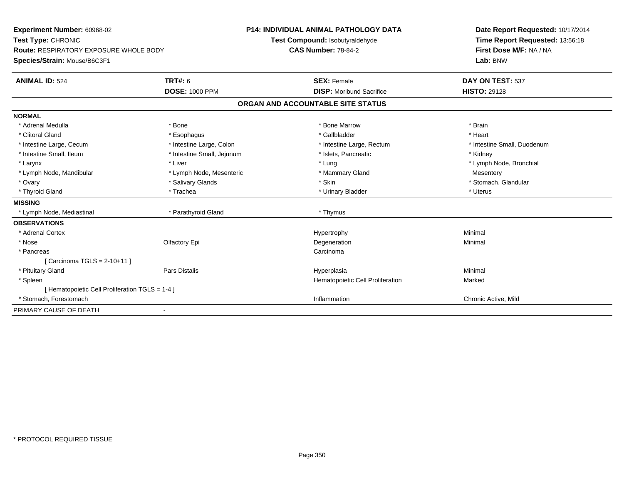| <b>Experiment Number: 60968-02</b><br>Test Type: CHRONIC |                            | <b>P14: INDIVIDUAL ANIMAL PATHOLOGY DATA</b> | Date Report Requested: 10/17/2014 |  |
|----------------------------------------------------------|----------------------------|----------------------------------------------|-----------------------------------|--|
|                                                          |                            | Test Compound: Isobutyraldehyde              | Time Report Requested: 13:56:18   |  |
| <b>Route: RESPIRATORY EXPOSURE WHOLE BODY</b>            |                            | <b>CAS Number: 78-84-2</b>                   | First Dose M/F: NA / NA           |  |
| Species/Strain: Mouse/B6C3F1                             |                            |                                              | Lab: BNW                          |  |
| <b>ANIMAL ID: 524</b>                                    | TRT#: 6                    | <b>SEX: Female</b>                           | DAY ON TEST: 537                  |  |
|                                                          | <b>DOSE: 1000 PPM</b>      | <b>DISP:</b> Moribund Sacrifice              | <b>HISTO: 29128</b>               |  |
|                                                          |                            | ORGAN AND ACCOUNTABLE SITE STATUS            |                                   |  |
| <b>NORMAL</b>                                            |                            |                                              |                                   |  |
| * Adrenal Medulla                                        | * Bone                     | * Bone Marrow                                | * Brain                           |  |
| * Clitoral Gland                                         | * Esophagus                | * Gallbladder                                | * Heart                           |  |
| * Intestine Large, Cecum                                 | * Intestine Large, Colon   | * Intestine Large, Rectum                    | * Intestine Small, Duodenum       |  |
| * Intestine Small, Ileum                                 | * Intestine Small, Jejunum | * Islets, Pancreatic                         | * Kidney                          |  |
| * Larynx                                                 | * Liver                    | * Lung                                       | * Lymph Node, Bronchial           |  |
| * Lymph Node, Mandibular                                 | * Lymph Node, Mesenteric   | * Mammary Gland                              | Mesentery                         |  |
| * Ovary                                                  | * Salivary Glands          | * Skin                                       | * Stomach, Glandular              |  |
| * Thyroid Gland                                          | * Trachea                  | * Urinary Bladder                            | * Uterus                          |  |
| <b>MISSING</b>                                           |                            |                                              |                                   |  |
| * Lymph Node, Mediastinal                                | * Parathyroid Gland        | * Thymus                                     |                                   |  |
| <b>OBSERVATIONS</b>                                      |                            |                                              |                                   |  |
| * Adrenal Cortex                                         |                            | Hypertrophy                                  | Minimal                           |  |
| * Nose                                                   | Olfactory Epi              | Degeneration                                 | Minimal                           |  |
| * Pancreas                                               |                            | Carcinoma                                    |                                   |  |
| [ Carcinoma TGLS = 2-10+11 ]                             |                            |                                              |                                   |  |
| * Pituitary Gland                                        | Pars Distalis              | Hyperplasia                                  | Minimal                           |  |
| * Spleen                                                 |                            | Hematopoietic Cell Proliferation             | Marked                            |  |
| [ Hematopoietic Cell Proliferation TGLS = 1-4 ]          |                            |                                              |                                   |  |
| * Stomach, Forestomach                                   |                            | Inflammation                                 | Chronic Active, Mild              |  |
| PRIMARY CAUSE OF DEATH                                   |                            |                                              |                                   |  |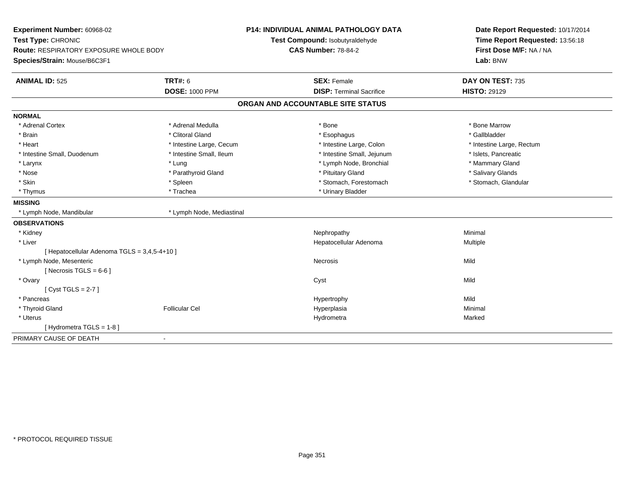| Experiment Number: 60968-02                   |                           | P14: INDIVIDUAL ANIMAL PATHOLOGY DATA | Date Report Requested: 10/17/2014 |
|-----------------------------------------------|---------------------------|---------------------------------------|-----------------------------------|
| Test Type: CHRONIC                            |                           | Test Compound: Isobutyraldehyde       | Time Report Requested: 13:56:18   |
| <b>Route: RESPIRATORY EXPOSURE WHOLE BODY</b> |                           | <b>CAS Number: 78-84-2</b>            | First Dose M/F: NA / NA           |
| Species/Strain: Mouse/B6C3F1                  |                           |                                       | Lab: BNW                          |
| <b>ANIMAL ID: 525</b>                         | <b>TRT#: 6</b>            | <b>SEX: Female</b>                    | DAY ON TEST: 735                  |
|                                               | <b>DOSE: 1000 PPM</b>     | <b>DISP: Terminal Sacrifice</b>       | <b>HISTO: 29129</b>               |
|                                               |                           | ORGAN AND ACCOUNTABLE SITE STATUS     |                                   |
| <b>NORMAL</b>                                 |                           |                                       |                                   |
| * Adrenal Cortex                              | * Adrenal Medulla         | * Bone                                | * Bone Marrow                     |
| * Brain                                       | * Clitoral Gland          | * Esophagus                           | * Gallbladder                     |
| * Heart                                       | * Intestine Large, Cecum  | * Intestine Large, Colon              | * Intestine Large, Rectum         |
| * Intestine Small, Duodenum                   | * Intestine Small, Ileum  | * Intestine Small, Jejunum            | * Islets, Pancreatic              |
| * Larynx                                      | * Lung                    | * Lymph Node, Bronchial               | * Mammary Gland                   |
| * Nose                                        | * Parathyroid Gland       | * Pituitary Gland                     | * Salivary Glands                 |
| * Skin                                        | * Spleen                  | * Stomach, Forestomach                | * Stomach, Glandular              |
| * Thymus                                      | * Trachea                 | * Urinary Bladder                     |                                   |
| <b>MISSING</b>                                |                           |                                       |                                   |
| * Lymph Node, Mandibular                      | * Lymph Node, Mediastinal |                                       |                                   |
| <b>OBSERVATIONS</b>                           |                           |                                       |                                   |
| * Kidney                                      |                           | Nephropathy                           | Minimal                           |
| * Liver                                       |                           | Hepatocellular Adenoma                | Multiple                          |
| [ Hepatocellular Adenoma TGLS = 3,4,5-4+10 ]  |                           |                                       |                                   |
| * Lymph Node, Mesenteric                      |                           | Necrosis                              | Mild                              |
| [ Necrosis TGLS = $6-6$ ]                     |                           |                                       |                                   |
| * Ovary                                       |                           | Cyst                                  | Mild                              |
| [Cyst TGLS = $2-7$ ]                          |                           |                                       |                                   |
| * Pancreas                                    |                           | Hypertrophy                           | Mild                              |
| * Thyroid Gland                               | <b>Follicular Cel</b>     | Hyperplasia                           | Minimal                           |
| * Uterus                                      |                           | Hydrometra                            | Marked                            |
| [Hydrometra TGLS = 1-8]                       |                           |                                       |                                   |
| PRIMARY CAUSE OF DEATH                        | $\blacksquare$            |                                       |                                   |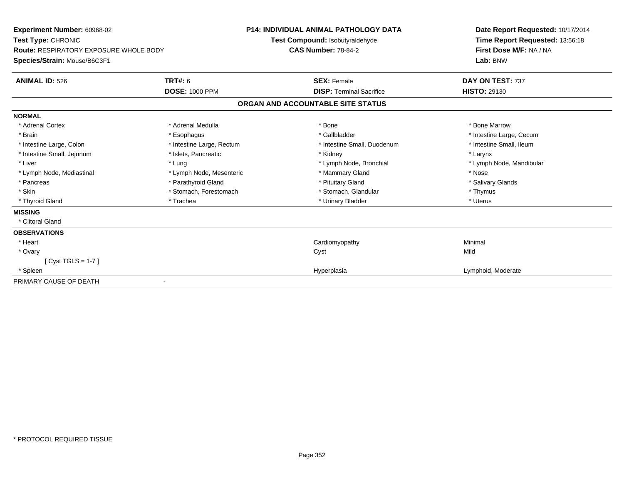| <b>Experiment Number: 60968-02</b><br>Test Type: CHRONIC<br>Route: RESPIRATORY EXPOSURE WHOLE BODY |                           | <b>P14: INDIVIDUAL ANIMAL PATHOLOGY DATA</b><br>Test Compound: Isobutyraldehyde<br><b>CAS Number: 78-84-2</b> | Date Report Requested: 10/17/2014<br>Time Report Requested: 13:56:18<br>First Dose M/F: NA / NA |  |
|----------------------------------------------------------------------------------------------------|---------------------------|---------------------------------------------------------------------------------------------------------------|-------------------------------------------------------------------------------------------------|--|
| Species/Strain: Mouse/B6C3F1                                                                       |                           |                                                                                                               | Lab: BNW                                                                                        |  |
| <b>ANIMAL ID: 526</b>                                                                              | TRT#: 6                   | <b>SEX: Female</b>                                                                                            | DAY ON TEST: 737                                                                                |  |
|                                                                                                    | <b>DOSE: 1000 PPM</b>     | <b>DISP:</b> Terminal Sacrifice                                                                               | <b>HISTO: 29130</b>                                                                             |  |
|                                                                                                    |                           | ORGAN AND ACCOUNTABLE SITE STATUS                                                                             |                                                                                                 |  |
| <b>NORMAL</b>                                                                                      |                           |                                                                                                               |                                                                                                 |  |
| * Adrenal Cortex                                                                                   | * Adrenal Medulla         | * Bone                                                                                                        | * Bone Marrow                                                                                   |  |
| * Brain                                                                                            | * Esophagus               | * Gallbladder                                                                                                 | * Intestine Large, Cecum                                                                        |  |
| * Intestine Large, Colon                                                                           | * Intestine Large, Rectum | * Intestine Small, Duodenum                                                                                   | * Intestine Small, Ileum                                                                        |  |
| * Intestine Small, Jejunum                                                                         | * Islets, Pancreatic      | * Kidney                                                                                                      | * Larynx                                                                                        |  |
| * Liver                                                                                            | * Lung                    | * Lymph Node, Bronchial                                                                                       | * Lymph Node, Mandibular                                                                        |  |
| * Lymph Node, Mediastinal                                                                          | * Lymph Node, Mesenteric  | * Mammary Gland                                                                                               | * Nose                                                                                          |  |
| * Pancreas                                                                                         | * Parathyroid Gland       | * Pituitary Gland                                                                                             | * Salivary Glands                                                                               |  |
| * Skin                                                                                             | * Stomach, Forestomach    | * Stomach, Glandular                                                                                          | * Thymus                                                                                        |  |
| * Thyroid Gland                                                                                    | * Trachea                 | * Urinary Bladder                                                                                             | * Uterus                                                                                        |  |
| <b>MISSING</b>                                                                                     |                           |                                                                                                               |                                                                                                 |  |
| * Clitoral Gland                                                                                   |                           |                                                                                                               |                                                                                                 |  |
| <b>OBSERVATIONS</b>                                                                                |                           |                                                                                                               |                                                                                                 |  |
| * Heart                                                                                            |                           | Cardiomyopathy                                                                                                | Minimal                                                                                         |  |
| * Ovary                                                                                            |                           | Cyst                                                                                                          | Mild                                                                                            |  |
| $[Cyst TGLS = 1-7]$                                                                                |                           |                                                                                                               |                                                                                                 |  |
| * Spleen                                                                                           |                           | Hyperplasia                                                                                                   | Lymphoid, Moderate                                                                              |  |
| PRIMARY CAUSE OF DEATH                                                                             |                           |                                                                                                               |                                                                                                 |  |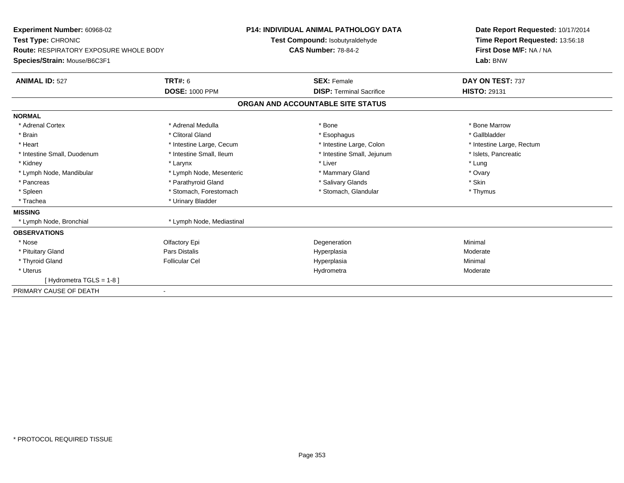| Experiment Number: 60968-02                   |                           | <b>P14: INDIVIDUAL ANIMAL PATHOLOGY DATA</b> | Date Report Requested: 10/17/2014 |
|-----------------------------------------------|---------------------------|----------------------------------------------|-----------------------------------|
| Test Type: CHRONIC                            |                           | Test Compound: Isobutyraldehyde              | Time Report Requested: 13:56:18   |
| <b>Route: RESPIRATORY EXPOSURE WHOLE BODY</b> |                           | <b>CAS Number: 78-84-2</b>                   | First Dose M/F: NA / NA           |
| Species/Strain: Mouse/B6C3F1                  |                           |                                              | Lab: BNW                          |
| <b>ANIMAL ID: 527</b>                         | <b>TRT#: 6</b>            | <b>SEX: Female</b>                           | DAY ON TEST: 737                  |
|                                               | <b>DOSE: 1000 PPM</b>     | <b>DISP: Terminal Sacrifice</b>              | <b>HISTO: 29131</b>               |
|                                               |                           | ORGAN AND ACCOUNTABLE SITE STATUS            |                                   |
| <b>NORMAL</b>                                 |                           |                                              |                                   |
| * Adrenal Cortex                              | * Adrenal Medulla         | * Bone                                       | * Bone Marrow                     |
| * Brain                                       | * Clitoral Gland          | * Esophagus                                  | * Gallbladder                     |
| * Heart                                       | * Intestine Large, Cecum  | * Intestine Large, Colon                     | * Intestine Large, Rectum         |
| * Intestine Small, Duodenum                   | * Intestine Small, Ileum  | * Intestine Small, Jejunum                   | * Islets, Pancreatic              |
| * Kidney                                      | * Larynx                  | * Liver                                      | * Lung                            |
| * Lymph Node, Mandibular                      | * Lymph Node, Mesenteric  | * Mammary Gland                              | * Ovary                           |
| * Pancreas                                    | * Parathyroid Gland       | * Salivary Glands                            | * Skin                            |
| * Spleen                                      | * Stomach, Forestomach    | * Stomach, Glandular                         | * Thymus                          |
| * Trachea                                     | * Urinary Bladder         |                                              |                                   |
| <b>MISSING</b>                                |                           |                                              |                                   |
| * Lymph Node, Bronchial                       | * Lymph Node, Mediastinal |                                              |                                   |
| <b>OBSERVATIONS</b>                           |                           |                                              |                                   |
| * Nose                                        | Olfactory Epi             | Degeneration                                 | Minimal                           |
| * Pituitary Gland                             | <b>Pars Distalis</b>      | Hyperplasia                                  | Moderate                          |
| * Thyroid Gland                               | <b>Follicular Cel</b>     | Hyperplasia                                  | Minimal                           |
| * Uterus                                      |                           | Hydrometra                                   | Moderate                          |
| [Hydrometra TGLS = $1-8$ ]                    |                           |                                              |                                   |
| PRIMARY CAUSE OF DEATH                        | $\overline{\phantom{0}}$  |                                              |                                   |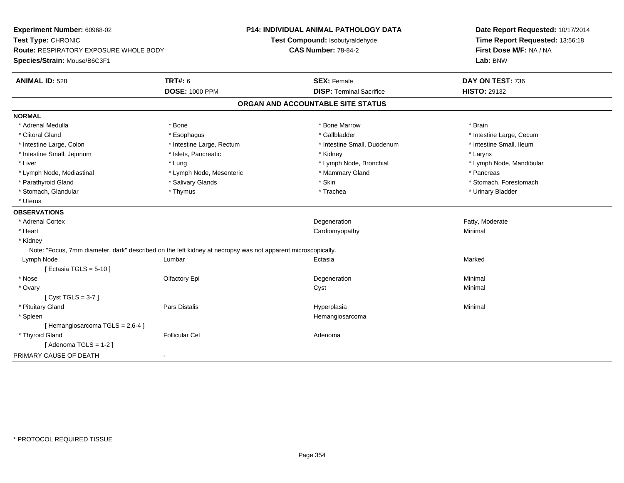| Experiment Number: 60968-02<br>Test Type: CHRONIC<br>Route: RESPIRATORY EXPOSURE WHOLE BODY<br>Species/Strain: Mouse/B6C3F1 |                                                                                                              | <b>P14: INDIVIDUAL ANIMAL PATHOLOGY DATA</b><br>Test Compound: Isobutyraldehyde<br><b>CAS Number: 78-84-2</b> | Date Report Requested: 10/17/2014<br>Time Report Requested: 13:56:18<br>First Dose M/F: NA / NA<br>Lab: BNW |
|-----------------------------------------------------------------------------------------------------------------------------|--------------------------------------------------------------------------------------------------------------|---------------------------------------------------------------------------------------------------------------|-------------------------------------------------------------------------------------------------------------|
| <b>ANIMAL ID: 528</b>                                                                                                       | <b>TRT#: 6</b><br><b>DOSE: 1000 PPM</b>                                                                      | <b>SEX: Female</b><br><b>DISP: Terminal Sacrifice</b>                                                         | DAY ON TEST: 736<br><b>HISTO: 29132</b>                                                                     |
|                                                                                                                             |                                                                                                              | ORGAN AND ACCOUNTABLE SITE STATUS                                                                             |                                                                                                             |
| <b>NORMAL</b>                                                                                                               |                                                                                                              |                                                                                                               |                                                                                                             |
| * Adrenal Medulla                                                                                                           | * Bone                                                                                                       | * Bone Marrow                                                                                                 | * Brain                                                                                                     |
| * Clitoral Gland                                                                                                            | * Esophagus                                                                                                  | * Gallbladder                                                                                                 | * Intestine Large, Cecum                                                                                    |
| * Intestine Large, Colon                                                                                                    | * Intestine Large, Rectum                                                                                    | * Intestine Small, Duodenum                                                                                   | * Intestine Small, Ileum                                                                                    |
| * Intestine Small, Jejunum                                                                                                  | * Islets, Pancreatic                                                                                         | * Kidney                                                                                                      | * Larynx                                                                                                    |
| * Liver                                                                                                                     | * Lung                                                                                                       | * Lymph Node, Bronchial                                                                                       | * Lymph Node, Mandibular                                                                                    |
| * Lymph Node, Mediastinal                                                                                                   | * Lymph Node, Mesenteric                                                                                     | * Mammary Gland                                                                                               | * Pancreas                                                                                                  |
| * Parathyroid Gland                                                                                                         | * Salivary Glands                                                                                            | * Skin                                                                                                        | * Stomach, Forestomach                                                                                      |
| * Stomach, Glandular                                                                                                        | * Thymus                                                                                                     | * Trachea                                                                                                     | * Urinary Bladder                                                                                           |
| * Uterus                                                                                                                    |                                                                                                              |                                                                                                               |                                                                                                             |
| <b>OBSERVATIONS</b>                                                                                                         |                                                                                                              |                                                                                                               |                                                                                                             |
| * Adrenal Cortex                                                                                                            |                                                                                                              | Degeneration                                                                                                  | Fatty, Moderate                                                                                             |
| * Heart                                                                                                                     |                                                                                                              | Cardiomyopathy                                                                                                | Minimal                                                                                                     |
| * Kidney                                                                                                                    |                                                                                                              |                                                                                                               |                                                                                                             |
|                                                                                                                             | Note: "Focus, 7mm diameter, dark" described on the left kidney at necropsy was not apparent microscopically. |                                                                                                               |                                                                                                             |
| Lymph Node                                                                                                                  | Lumbar                                                                                                       | Ectasia                                                                                                       | Marked                                                                                                      |
| [ Ectasia TGLS = 5-10 ]                                                                                                     |                                                                                                              |                                                                                                               |                                                                                                             |
| * Nose                                                                                                                      | Olfactory Epi                                                                                                | Degeneration                                                                                                  | Minimal                                                                                                     |
| * Ovary                                                                                                                     |                                                                                                              | Cyst                                                                                                          | Minimal                                                                                                     |
| [Cyst TGLS = $3-7$ ]                                                                                                        |                                                                                                              |                                                                                                               |                                                                                                             |
| * Pituitary Gland                                                                                                           | Pars Distalis                                                                                                | Hyperplasia                                                                                                   | Minimal                                                                                                     |
| * Spleen                                                                                                                    |                                                                                                              | Hemangiosarcoma                                                                                               |                                                                                                             |
| [Hemangiosarcoma TGLS = 2,6-4]                                                                                              |                                                                                                              |                                                                                                               |                                                                                                             |
| * Thyroid Gland                                                                                                             | <b>Follicular Cel</b>                                                                                        | Adenoma                                                                                                       |                                                                                                             |
| [Adenoma TGLS = $1-2$ ]                                                                                                     |                                                                                                              |                                                                                                               |                                                                                                             |
| PRIMARY CAUSE OF DEATH                                                                                                      | ÷.                                                                                                           |                                                                                                               |                                                                                                             |
|                                                                                                                             |                                                                                                              |                                                                                                               |                                                                                                             |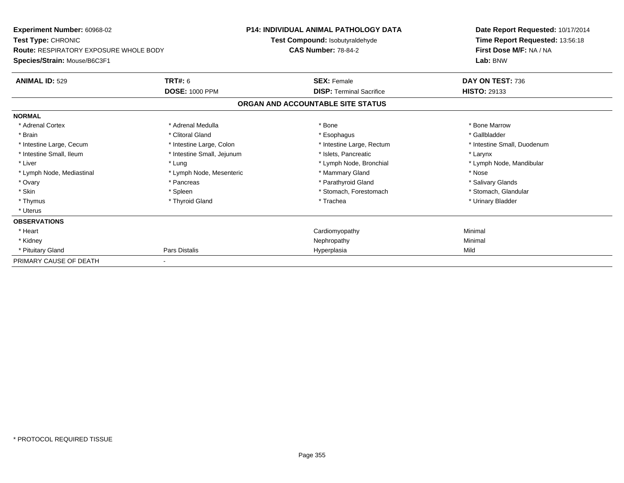| <b>Experiment Number: 60968-02</b>            |                            | <b>P14: INDIVIDUAL ANIMAL PATHOLOGY DATA</b> | Date Report Requested: 10/17/2014 |
|-----------------------------------------------|----------------------------|----------------------------------------------|-----------------------------------|
| Test Type: CHRONIC                            |                            | Test Compound: Isobutyraldehyde              | Time Report Requested: 13:56:18   |
| <b>Route: RESPIRATORY EXPOSURE WHOLE BODY</b> |                            | <b>CAS Number: 78-84-2</b>                   | First Dose M/F: NA / NA           |
| Species/Strain: Mouse/B6C3F1                  |                            |                                              | Lab: BNW                          |
| <b>ANIMAL ID: 529</b>                         | TRT#: 6                    | <b>SEX: Female</b>                           | DAY ON TEST: 736                  |
|                                               | <b>DOSE: 1000 PPM</b>      | <b>DISP: Terminal Sacrifice</b>              | <b>HISTO: 29133</b>               |
|                                               |                            | ORGAN AND ACCOUNTABLE SITE STATUS            |                                   |
| <b>NORMAL</b>                                 |                            |                                              |                                   |
| * Adrenal Cortex                              | * Adrenal Medulla          | * Bone                                       | * Bone Marrow                     |
| * Brain                                       | * Clitoral Gland           | * Esophagus                                  | * Gallbladder                     |
| * Intestine Large, Cecum                      | * Intestine Large, Colon   | * Intestine Large, Rectum                    | * Intestine Small, Duodenum       |
| * Intestine Small, Ileum                      | * Intestine Small, Jejunum | * Islets, Pancreatic                         | * Larynx                          |
| * Liver                                       | * Lung                     | * Lymph Node, Bronchial                      | * Lymph Node, Mandibular          |
| * Lymph Node, Mediastinal                     | * Lymph Node, Mesenteric   | * Mammary Gland                              | * Nose                            |
| * Ovary                                       | * Pancreas                 | * Parathyroid Gland                          | * Salivary Glands                 |
| * Skin                                        | * Spleen                   | * Stomach, Forestomach                       | * Stomach, Glandular              |
| * Thymus                                      | * Thyroid Gland            | * Trachea                                    | * Urinary Bladder                 |
| * Uterus                                      |                            |                                              |                                   |
| <b>OBSERVATIONS</b>                           |                            |                                              |                                   |
| * Heart                                       |                            | Cardiomyopathy                               | Minimal                           |
| * Kidney                                      |                            | Nephropathy                                  | Minimal                           |
| * Pituitary Gland                             | Pars Distalis              | Hyperplasia                                  | Mild                              |
| PRIMARY CAUSE OF DEATH                        |                            |                                              |                                   |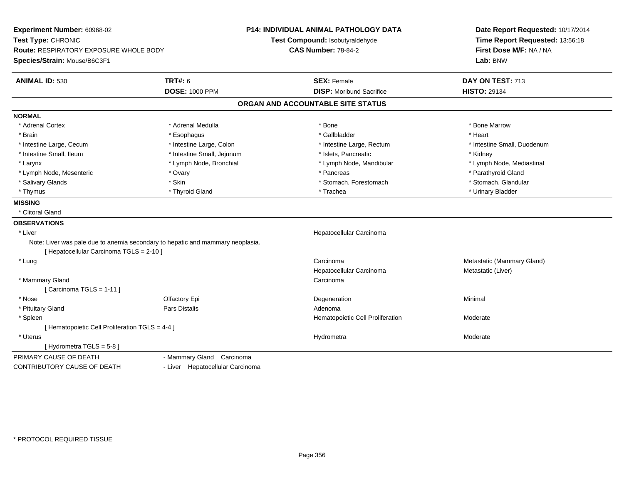| Experiment Number: 60968-02<br>Test Type: CHRONIC |                                                                                | P14: INDIVIDUAL ANIMAL PATHOLOGY DATA<br>Test Compound: Isobutyraldehyde | Date Report Requested: 10/17/2014<br>Time Report Requested: 13:56:18<br>First Dose M/F: NA / NA |  |
|---------------------------------------------------|--------------------------------------------------------------------------------|--------------------------------------------------------------------------|-------------------------------------------------------------------------------------------------|--|
| <b>Route: RESPIRATORY EXPOSURE WHOLE BODY</b>     |                                                                                | <b>CAS Number: 78-84-2</b>                                               |                                                                                                 |  |
| Species/Strain: Mouse/B6C3F1                      |                                                                                |                                                                          | Lab: BNW                                                                                        |  |
| <b>ANIMAL ID: 530</b>                             | <b>TRT#: 6</b>                                                                 | <b>SEX: Female</b>                                                       | DAY ON TEST: 713                                                                                |  |
|                                                   | <b>DOSE: 1000 PPM</b>                                                          | <b>DISP:</b> Moribund Sacrifice                                          | <b>HISTO: 29134</b>                                                                             |  |
|                                                   |                                                                                | ORGAN AND ACCOUNTABLE SITE STATUS                                        |                                                                                                 |  |
| <b>NORMAL</b>                                     |                                                                                |                                                                          |                                                                                                 |  |
| * Adrenal Cortex                                  | * Adrenal Medulla                                                              | * Bone                                                                   | * Bone Marrow                                                                                   |  |
| * Brain                                           | * Esophagus                                                                    | * Gallbladder                                                            | * Heart                                                                                         |  |
| * Intestine Large, Cecum                          | * Intestine Large, Colon                                                       | * Intestine Large, Rectum                                                | * Intestine Small, Duodenum                                                                     |  |
| * Intestine Small, Ileum                          | * Intestine Small, Jejunum                                                     | * Islets, Pancreatic                                                     | * Kidney                                                                                        |  |
| * Larynx                                          | * Lymph Node, Bronchial                                                        | * Lymph Node, Mandibular                                                 | * Lymph Node, Mediastinal                                                                       |  |
| * Lymph Node, Mesenteric                          | * Ovary                                                                        | * Pancreas                                                               | * Parathyroid Gland                                                                             |  |
| * Salivary Glands                                 | * Skin                                                                         | * Stomach, Forestomach                                                   | * Stomach, Glandular                                                                            |  |
| * Thymus                                          | * Thyroid Gland                                                                | * Trachea                                                                | * Urinary Bladder                                                                               |  |
| <b>MISSING</b>                                    |                                                                                |                                                                          |                                                                                                 |  |
| * Clitoral Gland                                  |                                                                                |                                                                          |                                                                                                 |  |
| <b>OBSERVATIONS</b>                               |                                                                                |                                                                          |                                                                                                 |  |
| * Liver                                           |                                                                                | Hepatocellular Carcinoma                                                 |                                                                                                 |  |
|                                                   | Note: Liver was pale due to anemia secondary to hepatic and mammary neoplasia. |                                                                          |                                                                                                 |  |
| [ Hepatocellular Carcinoma TGLS = 2-10 ]          |                                                                                |                                                                          |                                                                                                 |  |
| * Lung                                            |                                                                                | Carcinoma                                                                | Metastatic (Mammary Gland)                                                                      |  |
|                                                   |                                                                                | Hepatocellular Carcinoma                                                 | Metastatic (Liver)                                                                              |  |
| * Mammary Gland                                   |                                                                                | Carcinoma                                                                |                                                                                                 |  |
| [Carcinoma TGLS = 1-11]                           |                                                                                |                                                                          |                                                                                                 |  |
| * Nose                                            | Olfactory Epi                                                                  | Degeneration                                                             | Minimal                                                                                         |  |
| * Pituitary Gland                                 | Pars Distalis                                                                  | Adenoma                                                                  |                                                                                                 |  |
| * Spleen                                          |                                                                                | Hematopoietic Cell Proliferation                                         | Moderate                                                                                        |  |
| [ Hematopoietic Cell Proliferation TGLS = 4-4 ]   |                                                                                |                                                                          |                                                                                                 |  |
| * Uterus                                          |                                                                                | Hydrometra                                                               | Moderate                                                                                        |  |
| [Hydrometra TGLS = 5-8]                           |                                                                                |                                                                          |                                                                                                 |  |
| PRIMARY CAUSE OF DEATH                            | - Mammary Gland Carcinoma                                                      |                                                                          |                                                                                                 |  |
| CONTRIBUTORY CAUSE OF DEATH                       | - Liver Hepatocellular Carcinoma                                               |                                                                          |                                                                                                 |  |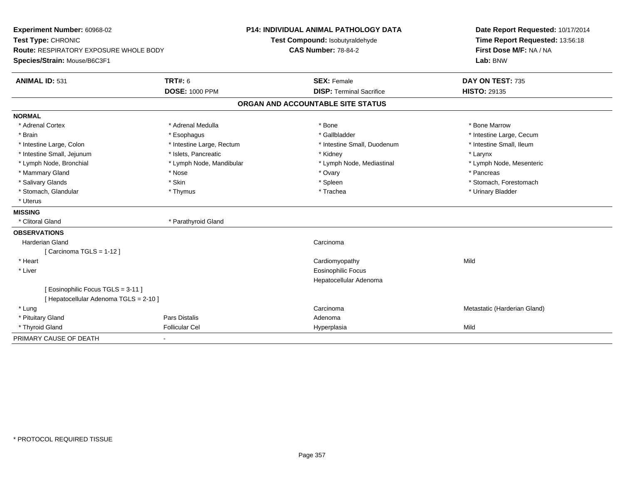| Experiment Number: 60968-02<br>Test Type: CHRONIC<br>Route: RESPIRATORY EXPOSURE WHOLE BODY<br>Species/Strain: Mouse/B6C3F1 |                                          | <b>P14: INDIVIDUAL ANIMAL PATHOLOGY DATA</b><br>Test Compound: Isobutyraldehyde<br><b>CAS Number: 78-84-2</b> | Date Report Requested: 10/17/2014<br>Time Report Requested: 13:56:18<br>First Dose M/F: NA / NA<br>Lab: BNW |
|-----------------------------------------------------------------------------------------------------------------------------|------------------------------------------|---------------------------------------------------------------------------------------------------------------|-------------------------------------------------------------------------------------------------------------|
|                                                                                                                             |                                          |                                                                                                               |                                                                                                             |
| <b>ANIMAL ID: 531</b>                                                                                                       | <b>TRT#: 6</b><br><b>DOSE: 1000 PPM</b>  | <b>SEX: Female</b><br><b>DISP: Terminal Sacrifice</b>                                                         | DAY ON TEST: 735<br><b>HISTO: 29135</b>                                                                     |
|                                                                                                                             |                                          | ORGAN AND ACCOUNTABLE SITE STATUS                                                                             |                                                                                                             |
| <b>NORMAL</b>                                                                                                               |                                          |                                                                                                               |                                                                                                             |
| * Adrenal Cortex                                                                                                            | * Adrenal Medulla                        | * Bone                                                                                                        | * Bone Marrow                                                                                               |
| * Brain                                                                                                                     |                                          | * Gallbladder                                                                                                 | * Intestine Large, Cecum                                                                                    |
| * Intestine Large, Colon                                                                                                    | * Esophagus<br>* Intestine Large, Rectum | * Intestine Small, Duodenum                                                                                   | * Intestine Small, Ileum                                                                                    |
| * Intestine Small, Jejunum                                                                                                  | * Islets, Pancreatic                     | * Kidney                                                                                                      | * Larynx                                                                                                    |
| * Lymph Node, Bronchial                                                                                                     | * Lymph Node, Mandibular                 | * Lymph Node, Mediastinal                                                                                     | * Lymph Node, Mesenteric                                                                                    |
| * Mammary Gland                                                                                                             | * Nose                                   | * Ovary                                                                                                       | * Pancreas                                                                                                  |
| * Salivary Glands                                                                                                           | * Skin                                   | * Spleen                                                                                                      | * Stomach, Forestomach                                                                                      |
| * Stomach, Glandular                                                                                                        | * Thymus                                 | * Trachea                                                                                                     | * Urinary Bladder                                                                                           |
| * Uterus                                                                                                                    |                                          |                                                                                                               |                                                                                                             |
| <b>MISSING</b>                                                                                                              |                                          |                                                                                                               |                                                                                                             |
| * Clitoral Gland                                                                                                            | * Parathyroid Gland                      |                                                                                                               |                                                                                                             |
| <b>OBSERVATIONS</b>                                                                                                         |                                          |                                                                                                               |                                                                                                             |
| <b>Harderian Gland</b>                                                                                                      |                                          | Carcinoma                                                                                                     |                                                                                                             |
| [Carcinoma TGLS = $1-12$ ]                                                                                                  |                                          |                                                                                                               |                                                                                                             |
| * Heart                                                                                                                     |                                          | Cardiomyopathy                                                                                                | Mild                                                                                                        |
| * Liver                                                                                                                     |                                          | <b>Eosinophilic Focus</b>                                                                                     |                                                                                                             |
|                                                                                                                             |                                          | Hepatocellular Adenoma                                                                                        |                                                                                                             |
| [Eosinophilic Focus TGLS = 3-11]                                                                                            |                                          |                                                                                                               |                                                                                                             |
| [ Hepatocellular Adenoma TGLS = 2-10 ]                                                                                      |                                          |                                                                                                               |                                                                                                             |
| * Lung                                                                                                                      |                                          | Carcinoma                                                                                                     | Metastatic (Harderian Gland)                                                                                |
| * Pituitary Gland                                                                                                           | Pars Distalis                            | Adenoma                                                                                                       |                                                                                                             |
| * Thyroid Gland                                                                                                             | <b>Follicular Cel</b>                    | Hyperplasia                                                                                                   | Mild                                                                                                        |
| PRIMARY CAUSE OF DEATH                                                                                                      |                                          |                                                                                                               |                                                                                                             |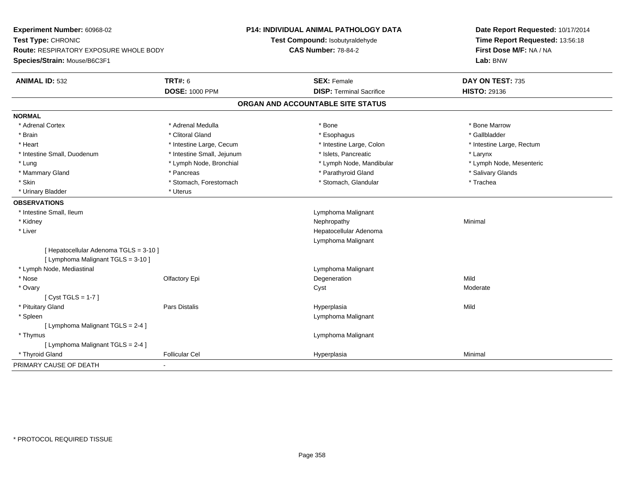| Experiment Number: 60968-02                                                  |                            | P14: INDIVIDUAL ANIMAL PATHOLOGY DATA | Date Report Requested: 10/17/2014<br>Time Report Requested: 13:56:18 |
|------------------------------------------------------------------------------|----------------------------|---------------------------------------|----------------------------------------------------------------------|
| Test Type: CHRONIC                                                           |                            | Test Compound: Isobutyraldehyde       |                                                                      |
| Route: RESPIRATORY EXPOSURE WHOLE BODY                                       |                            | <b>CAS Number: 78-84-2</b>            | First Dose M/F: NA / NA                                              |
| Species/Strain: Mouse/B6C3F1                                                 |                            |                                       | Lab: BNW                                                             |
| <b>ANIMAL ID: 532</b>                                                        | <b>TRT#: 6</b>             | <b>SEX: Female</b>                    | DAY ON TEST: 735                                                     |
|                                                                              | <b>DOSE: 1000 PPM</b>      | <b>DISP: Terminal Sacrifice</b>       | <b>HISTO: 29136</b>                                                  |
|                                                                              |                            | ORGAN AND ACCOUNTABLE SITE STATUS     |                                                                      |
| <b>NORMAL</b>                                                                |                            |                                       |                                                                      |
| * Adrenal Cortex                                                             | * Adrenal Medulla          | * Bone                                | * Bone Marrow                                                        |
| * Brain                                                                      | * Clitoral Gland           | * Esophagus                           | * Gallbladder                                                        |
| * Heart                                                                      | * Intestine Large, Cecum   | * Intestine Large, Colon              | * Intestine Large, Rectum                                            |
| * Intestine Small, Duodenum                                                  | * Intestine Small, Jejunum | * Islets, Pancreatic                  | * Larynx                                                             |
| * Lung                                                                       | * Lymph Node, Bronchial    | * Lymph Node, Mandibular              | * Lymph Node, Mesenteric                                             |
| * Mammary Gland                                                              | * Pancreas                 | * Parathyroid Gland                   | * Salivary Glands                                                    |
| * Skin                                                                       | * Stomach, Forestomach     | * Stomach, Glandular                  | * Trachea                                                            |
| * Urinary Bladder                                                            | * Uterus                   |                                       |                                                                      |
| <b>OBSERVATIONS</b>                                                          |                            |                                       |                                                                      |
| * Intestine Small, Ileum                                                     |                            | Lymphoma Malignant                    |                                                                      |
| * Kidney                                                                     |                            | Nephropathy                           | Minimal                                                              |
| * Liver                                                                      |                            | Hepatocellular Adenoma                |                                                                      |
|                                                                              |                            | Lymphoma Malignant                    |                                                                      |
| [ Hepatocellular Adenoma TGLS = 3-10 ]<br>[ Lymphoma Malignant TGLS = 3-10 ] |                            |                                       |                                                                      |
| * Lymph Node, Mediastinal                                                    |                            | Lymphoma Malignant                    |                                                                      |
| * Nose                                                                       | Olfactory Epi              | Degeneration                          | Mild                                                                 |
| * Ovary                                                                      |                            | Cyst                                  | Moderate                                                             |
| [Cyst TGLS = $1-7$ ]                                                         |                            |                                       |                                                                      |
| * Pituitary Gland                                                            | Pars Distalis              | Hyperplasia                           | Mild                                                                 |
| * Spleen                                                                     |                            | Lymphoma Malignant                    |                                                                      |
| [ Lymphoma Malignant TGLS = 2-4 ]                                            |                            |                                       |                                                                      |
| * Thymus                                                                     |                            | Lymphoma Malignant                    |                                                                      |
| [ Lymphoma Malignant TGLS = 2-4 ]                                            |                            |                                       |                                                                      |
| * Thyroid Gland                                                              | <b>Follicular Cel</b>      | Hyperplasia                           | Minimal                                                              |
| PRIMARY CAUSE OF DEATH                                                       |                            |                                       |                                                                      |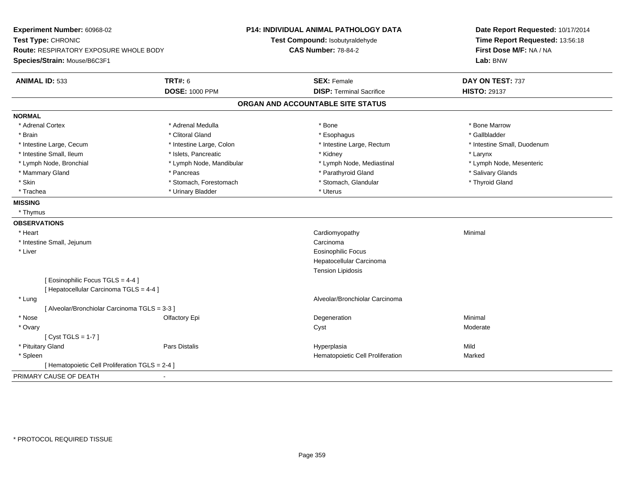| Experiment Number: 60968-02<br>Test Type: CHRONIC<br>Route: RESPIRATORY EXPOSURE WHOLE BODY<br>Species/Strain: Mouse/B6C3F1 |                          | <b>P14: INDIVIDUAL ANIMAL PATHOLOGY DATA</b><br>Test Compound: Isobutyraldehyde<br><b>CAS Number: 78-84-2</b> | Date Report Requested: 10/17/2014<br>Time Report Requested: 13:56:18<br>First Dose M/F: NA / NA<br>Lab: BNW |
|-----------------------------------------------------------------------------------------------------------------------------|--------------------------|---------------------------------------------------------------------------------------------------------------|-------------------------------------------------------------------------------------------------------------|
| <b>ANIMAL ID: 533</b>                                                                                                       | <b>TRT#: 6</b>           | <b>SEX: Female</b>                                                                                            | DAY ON TEST: 737                                                                                            |
|                                                                                                                             | <b>DOSE: 1000 PPM</b>    | <b>DISP: Terminal Sacrifice</b>                                                                               | <b>HISTO: 29137</b>                                                                                         |
|                                                                                                                             |                          | ORGAN AND ACCOUNTABLE SITE STATUS                                                                             |                                                                                                             |
| <b>NORMAL</b>                                                                                                               |                          |                                                                                                               |                                                                                                             |
| * Adrenal Cortex                                                                                                            | * Adrenal Medulla        | * Bone                                                                                                        | * Bone Marrow                                                                                               |
| * Brain                                                                                                                     | * Clitoral Gland         | * Esophagus                                                                                                   | * Gallbladder                                                                                               |
| * Intestine Large, Cecum                                                                                                    | * Intestine Large, Colon | * Intestine Large, Rectum                                                                                     | * Intestine Small, Duodenum                                                                                 |
| * Intestine Small, Ileum                                                                                                    | * Islets, Pancreatic     | * Kidney                                                                                                      | * Larynx                                                                                                    |
| * Lymph Node, Bronchial                                                                                                     | * Lymph Node, Mandibular | * Lymph Node, Mediastinal                                                                                     | * Lymph Node, Mesenteric                                                                                    |
| * Mammary Gland                                                                                                             | * Pancreas               | * Parathyroid Gland                                                                                           | * Salivary Glands                                                                                           |
| * Skin                                                                                                                      | * Stomach, Forestomach   | * Stomach, Glandular                                                                                          | * Thyroid Gland                                                                                             |
| * Trachea                                                                                                                   | * Urinary Bladder        | * Uterus                                                                                                      |                                                                                                             |
| <b>MISSING</b>                                                                                                              |                          |                                                                                                               |                                                                                                             |
| * Thymus                                                                                                                    |                          |                                                                                                               |                                                                                                             |
| <b>OBSERVATIONS</b>                                                                                                         |                          |                                                                                                               |                                                                                                             |
| * Heart                                                                                                                     |                          | Cardiomyopathy                                                                                                | Minimal                                                                                                     |
| * Intestine Small, Jejunum                                                                                                  |                          | Carcinoma                                                                                                     |                                                                                                             |
| * Liver                                                                                                                     |                          | <b>Eosinophilic Focus</b>                                                                                     |                                                                                                             |
|                                                                                                                             |                          | Hepatocellular Carcinoma                                                                                      |                                                                                                             |
|                                                                                                                             |                          | <b>Tension Lipidosis</b>                                                                                      |                                                                                                             |
| [ Eosinophilic Focus TGLS = 4-4 ]                                                                                           |                          |                                                                                                               |                                                                                                             |
| [ Hepatocellular Carcinoma TGLS = 4-4 ]                                                                                     |                          |                                                                                                               |                                                                                                             |
| * Lung                                                                                                                      |                          | Alveolar/Bronchiolar Carcinoma                                                                                |                                                                                                             |
| [ Alveolar/Bronchiolar Carcinoma TGLS = 3-3 ]                                                                               |                          |                                                                                                               |                                                                                                             |
| * Nose                                                                                                                      | Olfactory Epi            | Degeneration                                                                                                  | Minimal                                                                                                     |
| * Ovary                                                                                                                     |                          | Cyst                                                                                                          | Moderate                                                                                                    |
| [Cyst TGLS = $1-7$ ]                                                                                                        |                          |                                                                                                               |                                                                                                             |
| * Pituitary Gland                                                                                                           | <b>Pars Distalis</b>     | Hyperplasia                                                                                                   | Mild                                                                                                        |
| * Spleen                                                                                                                    |                          | Hematopoietic Cell Proliferation                                                                              | Marked                                                                                                      |
| [ Hematopoietic Cell Proliferation TGLS = 2-4 ]                                                                             |                          |                                                                                                               |                                                                                                             |
| PRIMARY CAUSE OF DEATH                                                                                                      |                          |                                                                                                               |                                                                                                             |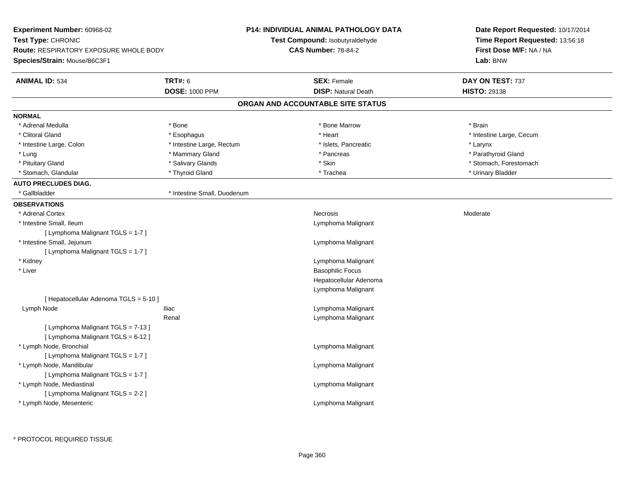| Experiment Number: 60968-02                   |                             | <b>P14: INDIVIDUAL ANIMAL PATHOLOGY DATA</b> | Date Report Requested: 10/17/2014<br>Time Report Requested: 13:56:18<br>First Dose M/F: NA / NA |
|-----------------------------------------------|-----------------------------|----------------------------------------------|-------------------------------------------------------------------------------------------------|
| Test Type: CHRONIC                            |                             | Test Compound: Isobutyraldehyde              |                                                                                                 |
| <b>Route: RESPIRATORY EXPOSURE WHOLE BODY</b> |                             | <b>CAS Number: 78-84-2</b>                   |                                                                                                 |
| Species/Strain: Mouse/B6C3F1                  |                             |                                              | Lab: BNW                                                                                        |
| <b>ANIMAL ID: 534</b>                         | <b>TRT#: 6</b>              | <b>SEX: Female</b>                           | DAY ON TEST: 737                                                                                |
|                                               | <b>DOSE: 1000 PPM</b>       | <b>DISP: Natural Death</b>                   | <b>HISTO: 29138</b>                                                                             |
|                                               |                             | ORGAN AND ACCOUNTABLE SITE STATUS            |                                                                                                 |
| <b>NORMAL</b>                                 |                             |                                              |                                                                                                 |
| * Adrenal Medulla                             | * Bone                      | * Bone Marrow                                | * Brain                                                                                         |
| * Clitoral Gland                              | * Esophagus                 | * Heart                                      | * Intestine Large, Cecum                                                                        |
| * Intestine Large, Colon                      | * Intestine Large, Rectum   | * Islets, Pancreatic                         | * Larynx                                                                                        |
| * Lung                                        | * Mammary Gland             | * Pancreas                                   | * Parathyroid Gland                                                                             |
| * Pituitary Gland                             | * Salivary Glands           | * Skin                                       | * Stomach, Forestomach                                                                          |
| * Stomach, Glandular                          | * Thyroid Gland             | * Trachea                                    | * Urinary Bladder                                                                               |
| <b>AUTO PRECLUDES DIAG.</b>                   |                             |                                              |                                                                                                 |
| * Gallbladder                                 | * Intestine Small, Duodenum |                                              |                                                                                                 |
| <b>OBSERVATIONS</b>                           |                             |                                              |                                                                                                 |
| * Adrenal Cortex                              |                             | <b>Necrosis</b>                              | Moderate                                                                                        |
| * Intestine Small, Ileum                      |                             | Lymphoma Malignant                           |                                                                                                 |
| [ Lymphoma Malignant TGLS = 1-7 ]             |                             |                                              |                                                                                                 |
| * Intestine Small, Jejunum                    |                             | Lymphoma Malignant                           |                                                                                                 |
| [ Lymphoma Malignant TGLS = 1-7 ]             |                             |                                              |                                                                                                 |
| * Kidney                                      |                             | Lymphoma Malignant                           |                                                                                                 |
| * Liver                                       |                             | <b>Basophilic Focus</b>                      |                                                                                                 |
|                                               |                             | Hepatocellular Adenoma                       |                                                                                                 |
|                                               |                             | Lymphoma Malignant                           |                                                                                                 |
| [ Hepatocellular Adenoma TGLS = 5-10 ]        |                             |                                              |                                                                                                 |
| Lymph Node                                    | <b>Iliac</b>                | Lymphoma Malignant                           |                                                                                                 |
|                                               | Renal                       | Lymphoma Malignant                           |                                                                                                 |
| [ Lymphoma Malignant TGLS = 7-13 ]            |                             |                                              |                                                                                                 |
| [ Lymphoma Malignant TGLS = 6-12 ]            |                             |                                              |                                                                                                 |
| * Lymph Node, Bronchial                       |                             | Lymphoma Malignant                           |                                                                                                 |
| [ Lymphoma Malignant TGLS = 1-7 ]             |                             |                                              |                                                                                                 |
| * Lymph Node, Mandibular                      |                             | Lymphoma Malignant                           |                                                                                                 |
| [ Lymphoma Malignant TGLS = 1-7 ]             |                             |                                              |                                                                                                 |
| * Lymph Node, Mediastinal                     |                             | Lymphoma Malignant                           |                                                                                                 |
| [ Lymphoma Malignant TGLS = 2-2 ]             |                             |                                              |                                                                                                 |
| * Lymph Node, Mesenteric                      |                             | Lymphoma Malignant                           |                                                                                                 |
|                                               |                             |                                              |                                                                                                 |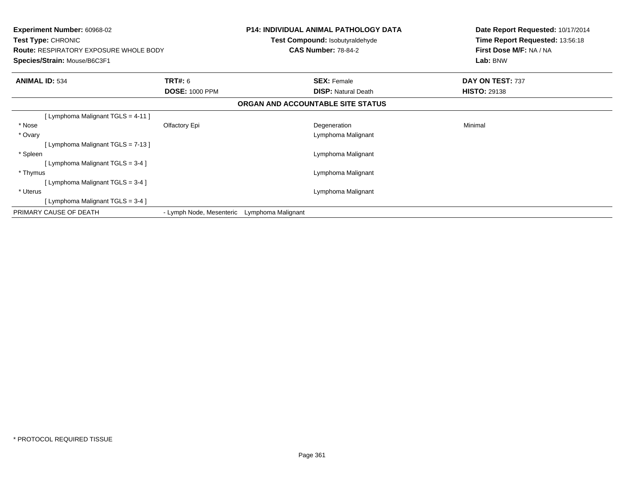| <b>Experiment Number: 60968-02</b><br><b>Test Type: CHRONIC</b><br><b>Route: RESPIRATORY EXPOSURE WHOLE BODY</b><br>Species/Strain: Mouse/B6C3F1 |                          |                    | <b>P14: INDIVIDUAL ANIMAL PATHOLOGY DATA</b><br><b>Test Compound: Isobutyraldehyde</b><br><b>CAS Number: 78-84-2</b> | Date Report Requested: 10/17/2014<br>Time Report Requested: 13:56:18<br>First Dose M/F: NA / NA<br>Lab: BNW |
|--------------------------------------------------------------------------------------------------------------------------------------------------|--------------------------|--------------------|----------------------------------------------------------------------------------------------------------------------|-------------------------------------------------------------------------------------------------------------|
| <b>ANIMAL ID: 534</b>                                                                                                                            | TRT#: 6                  |                    | <b>SEX: Female</b>                                                                                                   | DAY ON TEST: 737                                                                                            |
|                                                                                                                                                  | <b>DOSE: 1000 PPM</b>    |                    | <b>DISP: Natural Death</b>                                                                                           | <b>HISTO: 29138</b>                                                                                         |
|                                                                                                                                                  |                          |                    | ORGAN AND ACCOUNTABLE SITE STATUS                                                                                    |                                                                                                             |
| [ Lymphoma Malignant TGLS = 4-11 ]                                                                                                               |                          |                    |                                                                                                                      |                                                                                                             |
| * Nose                                                                                                                                           | Olfactory Epi            |                    | Degeneration                                                                                                         | Minimal                                                                                                     |
| * Ovary                                                                                                                                          |                          |                    | Lymphoma Malignant                                                                                                   |                                                                                                             |
| [Lymphoma Malignant TGLS = 7-13]                                                                                                                 |                          |                    |                                                                                                                      |                                                                                                             |
| * Spleen                                                                                                                                         |                          |                    | Lymphoma Malignant                                                                                                   |                                                                                                             |
| [ Lymphoma Malignant TGLS = 3-4 ]                                                                                                                |                          |                    |                                                                                                                      |                                                                                                             |
| * Thymus                                                                                                                                         |                          |                    | Lymphoma Malignant                                                                                                   |                                                                                                             |
| [Lymphoma Malignant TGLS = $3-4$ ]                                                                                                               |                          |                    |                                                                                                                      |                                                                                                             |
| * Uterus                                                                                                                                         |                          |                    | Lymphoma Malignant                                                                                                   |                                                                                                             |
| [Lymphoma Malignant TGLS = 3-4 ]                                                                                                                 |                          |                    |                                                                                                                      |                                                                                                             |
| PRIMARY CAUSE OF DEATH                                                                                                                           | - Lymph Node, Mesenteric | Lymphoma Malignant |                                                                                                                      |                                                                                                             |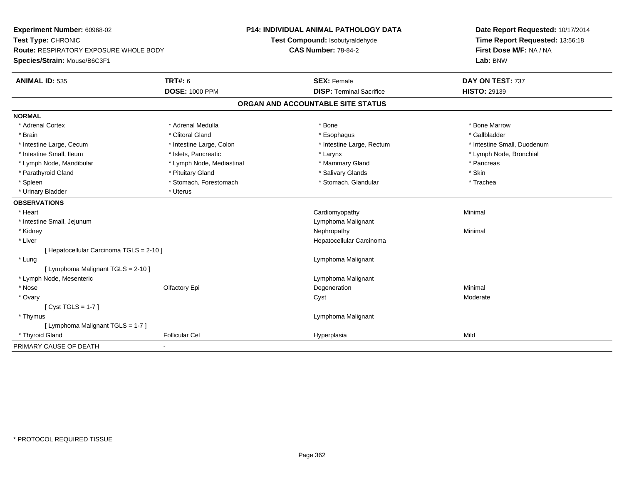| Experiment Number: 60968-02                   |                           | <b>P14: INDIVIDUAL ANIMAL PATHOLOGY DATA</b> | Date Report Requested: 10/17/2014 |
|-----------------------------------------------|---------------------------|----------------------------------------------|-----------------------------------|
| Test Type: CHRONIC                            |                           | Test Compound: Isobutyraldehyde              | Time Report Requested: 13:56:18   |
| <b>Route: RESPIRATORY EXPOSURE WHOLE BODY</b> |                           | <b>CAS Number: 78-84-2</b>                   | First Dose M/F: NA / NA           |
| Species/Strain: Mouse/B6C3F1                  |                           |                                              | Lab: BNW                          |
| <b>ANIMAL ID: 535</b>                         | <b>TRT#: 6</b>            | <b>SEX: Female</b>                           | DAY ON TEST: 737                  |
|                                               | <b>DOSE: 1000 PPM</b>     | <b>DISP: Terminal Sacrifice</b>              | <b>HISTO: 29139</b>               |
|                                               |                           | ORGAN AND ACCOUNTABLE SITE STATUS            |                                   |
| <b>NORMAL</b>                                 |                           |                                              |                                   |
| * Adrenal Cortex                              | * Adrenal Medulla         | * Bone                                       | * Bone Marrow                     |
| * Brain                                       | * Clitoral Gland          | * Esophagus                                  | * Gallbladder                     |
| * Intestine Large, Cecum                      | * Intestine Large, Colon  | * Intestine Large, Rectum                    | * Intestine Small, Duodenum       |
| * Intestine Small, Ileum                      | * Islets, Pancreatic      | * Larynx                                     | * Lymph Node, Bronchial           |
| * Lymph Node, Mandibular                      | * Lymph Node, Mediastinal | * Mammary Gland                              | * Pancreas                        |
| * Parathyroid Gland                           | * Pituitary Gland         | * Salivary Glands                            | * Skin                            |
| * Spleen                                      | * Stomach, Forestomach    | * Stomach, Glandular                         | * Trachea                         |
| * Urinary Bladder                             | * Uterus                  |                                              |                                   |
| <b>OBSERVATIONS</b>                           |                           |                                              |                                   |
| * Heart                                       |                           | Cardiomyopathy                               | Minimal                           |
| * Intestine Small, Jejunum                    |                           | Lymphoma Malignant                           |                                   |
| * Kidney                                      |                           | Nephropathy                                  | Minimal                           |
| * Liver                                       |                           | Hepatocellular Carcinoma                     |                                   |
| [ Hepatocellular Carcinoma TGLS = 2-10 ]      |                           |                                              |                                   |
| * Lung                                        |                           | Lymphoma Malignant                           |                                   |
| [ Lymphoma Malignant TGLS = 2-10 ]            |                           |                                              |                                   |
| * Lymph Node, Mesenteric                      |                           | Lymphoma Malignant                           |                                   |
| * Nose                                        | Olfactory Epi             | Degeneration                                 | Minimal                           |
| * Ovary                                       |                           | Cyst                                         | Moderate                          |
| [ $Cyst TGLS = 1-7$ ]                         |                           |                                              |                                   |
| * Thymus                                      |                           | Lymphoma Malignant                           |                                   |
| [ Lymphoma Malignant TGLS = 1-7 ]             |                           |                                              |                                   |
| * Thyroid Gland                               | <b>Follicular Cel</b>     | Hyperplasia                                  | Mild                              |
| PRIMARY CAUSE OF DEATH                        |                           |                                              |                                   |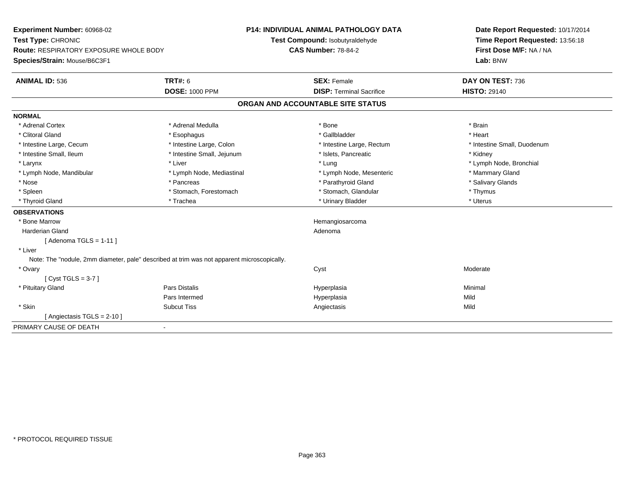| Experiment Number: 60968-02<br>Test Type: CHRONIC<br><b>Route: RESPIRATORY EXPOSURE WHOLE BODY</b><br>Species/Strain: Mouse/B6C3F1 |                            | <b>P14: INDIVIDUAL ANIMAL PATHOLOGY DATA</b><br>Test Compound: Isobutyraldehyde<br><b>CAS Number: 78-84-2</b> | Date Report Requested: 10/17/2014<br>Time Report Requested: 13:56:18<br>First Dose M/F: NA / NA<br>Lab: BNW |
|------------------------------------------------------------------------------------------------------------------------------------|----------------------------|---------------------------------------------------------------------------------------------------------------|-------------------------------------------------------------------------------------------------------------|
| <b>ANIMAL ID: 536</b>                                                                                                              | <b>TRT#: 6</b>             | <b>SEX: Female</b>                                                                                            | DAY ON TEST: 736                                                                                            |
|                                                                                                                                    | <b>DOSE: 1000 PPM</b>      | <b>DISP: Terminal Sacrifice</b>                                                                               | <b>HISTO: 29140</b>                                                                                         |
|                                                                                                                                    |                            | ORGAN AND ACCOUNTABLE SITE STATUS                                                                             |                                                                                                             |
| <b>NORMAL</b>                                                                                                                      |                            |                                                                                                               |                                                                                                             |
| * Adrenal Cortex                                                                                                                   | * Adrenal Medulla          | * Bone                                                                                                        | * Brain                                                                                                     |
| * Clitoral Gland                                                                                                                   | * Esophagus                | * Gallbladder                                                                                                 | * Heart                                                                                                     |
| * Intestine Large, Cecum                                                                                                           | * Intestine Large, Colon   | * Intestine Large, Rectum                                                                                     | * Intestine Small, Duodenum                                                                                 |
| * Intestine Small, Ileum                                                                                                           | * Intestine Small, Jejunum | * Islets, Pancreatic                                                                                          | * Kidney                                                                                                    |
| * Larynx                                                                                                                           | * Liver                    | * Lung                                                                                                        | * Lymph Node, Bronchial                                                                                     |
| * Lymph Node, Mandibular                                                                                                           | * Lymph Node, Mediastinal  | * Lymph Node, Mesenteric                                                                                      | * Mammary Gland                                                                                             |
| * Nose                                                                                                                             | * Pancreas                 | * Parathyroid Gland                                                                                           | * Salivary Glands                                                                                           |
| * Spleen                                                                                                                           | * Stomach, Forestomach     | * Stomach, Glandular                                                                                          | * Thymus                                                                                                    |
| * Thyroid Gland                                                                                                                    | * Trachea                  | * Urinary Bladder                                                                                             | * Uterus                                                                                                    |
| <b>OBSERVATIONS</b>                                                                                                                |                            |                                                                                                               |                                                                                                             |
| * Bone Marrow                                                                                                                      |                            | Hemangiosarcoma                                                                                               |                                                                                                             |
| Harderian Gland                                                                                                                    |                            | Adenoma                                                                                                       |                                                                                                             |
| [Adenoma TGLS = $1-11$ ]                                                                                                           |                            |                                                                                                               |                                                                                                             |
| * Liver                                                                                                                            |                            |                                                                                                               |                                                                                                             |
| Note: The "nodule, 2mm diameter, pale" described at trim was not apparent microscopically.                                         |                            |                                                                                                               |                                                                                                             |
| * Ovary                                                                                                                            |                            | Cyst                                                                                                          | Moderate                                                                                                    |
| [Cyst TGLS = $3-7$ ]                                                                                                               |                            |                                                                                                               |                                                                                                             |
| * Pituitary Gland                                                                                                                  | Pars Distalis              | Hyperplasia                                                                                                   | Minimal                                                                                                     |
|                                                                                                                                    | Pars Intermed              | Hyperplasia                                                                                                   | Mild                                                                                                        |
| * Skin                                                                                                                             | <b>Subcut Tiss</b>         | Angiectasis                                                                                                   | Mild                                                                                                        |
| [ Angiectasis TGLS = 2-10 ]                                                                                                        |                            |                                                                                                               |                                                                                                             |
| PRIMARY CAUSE OF DEATH                                                                                                             | $\blacksquare$             |                                                                                                               |                                                                                                             |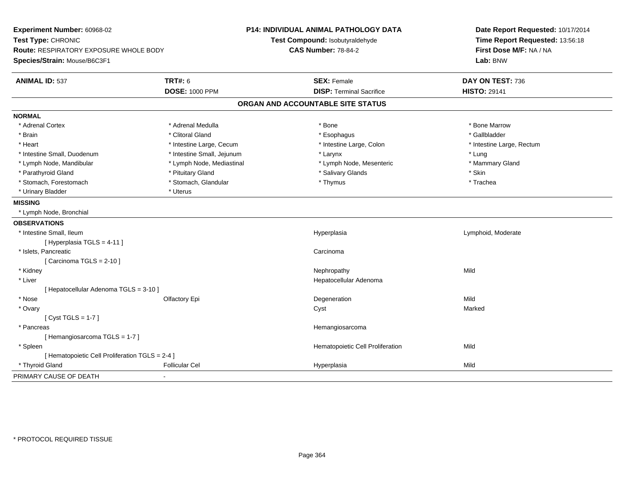| Experiment Number: 60968-02<br>Test Type: CHRONIC<br><b>Route: RESPIRATORY EXPOSURE WHOLE BODY</b><br>Species/Strain: Mouse/B6C3F1 |                            | <b>P14: INDIVIDUAL ANIMAL PATHOLOGY DATA</b><br>Test Compound: Isobutyraldehyde<br><b>CAS Number: 78-84-2</b> | Date Report Requested: 10/17/2014<br>Time Report Requested: 13:56:18<br>First Dose M/F: NA / NA<br>Lab: BNW |  |
|------------------------------------------------------------------------------------------------------------------------------------|----------------------------|---------------------------------------------------------------------------------------------------------------|-------------------------------------------------------------------------------------------------------------|--|
| <b>ANIMAL ID: 537</b>                                                                                                              | <b>TRT#: 6</b>             | <b>SEX: Female</b>                                                                                            | DAY ON TEST: 736                                                                                            |  |
|                                                                                                                                    | <b>DOSE: 1000 PPM</b>      | <b>DISP: Terminal Sacrifice</b>                                                                               | <b>HISTO: 29141</b>                                                                                         |  |
|                                                                                                                                    |                            | ORGAN AND ACCOUNTABLE SITE STATUS                                                                             |                                                                                                             |  |
| <b>NORMAL</b>                                                                                                                      |                            |                                                                                                               |                                                                                                             |  |
| * Adrenal Cortex                                                                                                                   | * Adrenal Medulla          | * Bone                                                                                                        | * Bone Marrow                                                                                               |  |
| * Brain                                                                                                                            | * Clitoral Gland           | * Esophagus                                                                                                   | * Gallbladder                                                                                               |  |
| * Heart                                                                                                                            | * Intestine Large, Cecum   | * Intestine Large, Colon                                                                                      | * Intestine Large, Rectum                                                                                   |  |
| * Intestine Small, Duodenum                                                                                                        | * Intestine Small, Jejunum | * Larynx                                                                                                      | * Lung                                                                                                      |  |
| * Lymph Node, Mandibular                                                                                                           | * Lymph Node, Mediastinal  | * Lymph Node, Mesenteric                                                                                      | * Mammary Gland                                                                                             |  |
| * Parathyroid Gland                                                                                                                | * Pituitary Gland          | * Salivary Glands                                                                                             | * Skin                                                                                                      |  |
| * Stomach, Forestomach                                                                                                             | * Stomach, Glandular       | * Thymus                                                                                                      | * Trachea                                                                                                   |  |
| * Urinary Bladder                                                                                                                  | * Uterus                   |                                                                                                               |                                                                                                             |  |
| <b>MISSING</b>                                                                                                                     |                            |                                                                                                               |                                                                                                             |  |
| * Lymph Node, Bronchial                                                                                                            |                            |                                                                                                               |                                                                                                             |  |
| <b>OBSERVATIONS</b>                                                                                                                |                            |                                                                                                               |                                                                                                             |  |
| * Intestine Small, Ileum                                                                                                           |                            | Hyperplasia                                                                                                   | Lymphoid, Moderate                                                                                          |  |
| [ Hyperplasia TGLS = 4-11 ]                                                                                                        |                            |                                                                                                               |                                                                                                             |  |
| * Islets, Pancreatic                                                                                                               |                            | Carcinoma                                                                                                     |                                                                                                             |  |
| [Carcinoma TGLS = $2-10$ ]                                                                                                         |                            |                                                                                                               |                                                                                                             |  |
| * Kidney                                                                                                                           |                            | Nephropathy                                                                                                   | Mild                                                                                                        |  |
| * Liver                                                                                                                            |                            | Hepatocellular Adenoma                                                                                        |                                                                                                             |  |
| [ Hepatocellular Adenoma TGLS = 3-10 ]                                                                                             |                            |                                                                                                               |                                                                                                             |  |
| * Nose                                                                                                                             | Olfactory Epi              | Degeneration                                                                                                  | Mild                                                                                                        |  |
| * Ovary                                                                                                                            |                            | Cyst                                                                                                          | Marked                                                                                                      |  |
| [Cyst TGLS = $1-7$ ]                                                                                                               |                            |                                                                                                               |                                                                                                             |  |
| * Pancreas                                                                                                                         |                            | Hemangiosarcoma                                                                                               |                                                                                                             |  |
| [Hemangiosarcoma TGLS = 1-7]                                                                                                       |                            |                                                                                                               |                                                                                                             |  |
| * Spleen                                                                                                                           |                            | Hematopoietic Cell Proliferation                                                                              | Mild                                                                                                        |  |
| [ Hematopoietic Cell Proliferation TGLS = 2-4 ]                                                                                    |                            |                                                                                                               |                                                                                                             |  |
| * Thyroid Gland                                                                                                                    | <b>Follicular Cel</b>      | Hyperplasia                                                                                                   | Mild                                                                                                        |  |
| PRIMARY CAUSE OF DEATH                                                                                                             |                            |                                                                                                               |                                                                                                             |  |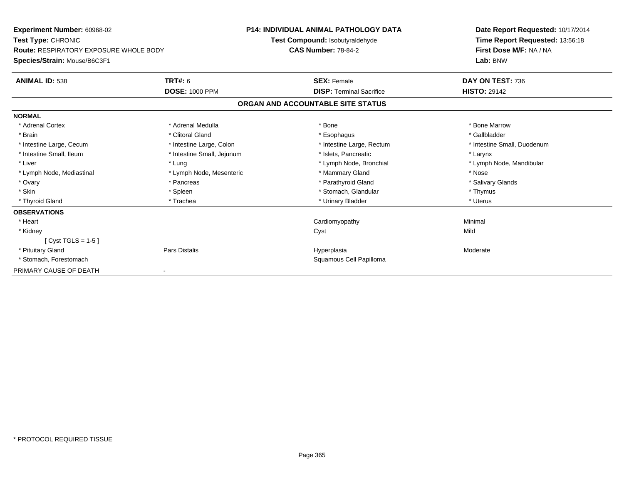| <b>Experiment Number: 60968-02</b><br>Test Type: CHRONIC                      |                            | <b>P14: INDIVIDUAL ANIMAL PATHOLOGY DATA</b><br>Test Compound: Isobutyraldehyde<br><b>CAS Number: 78-84-2</b> | Date Report Requested: 10/17/2014<br>Time Report Requested: 13:56:18<br>First Dose M/F: NA / NA |
|-------------------------------------------------------------------------------|----------------------------|---------------------------------------------------------------------------------------------------------------|-------------------------------------------------------------------------------------------------|
| <b>Route: RESPIRATORY EXPOSURE WHOLE BODY</b><br>Species/Strain: Mouse/B6C3F1 |                            |                                                                                                               | Lab: BNW                                                                                        |
| <b>ANIMAL ID: 538</b>                                                         | TRT#: 6                    | <b>SEX: Female</b>                                                                                            | DAY ON TEST: 736                                                                                |
|                                                                               | <b>DOSE: 1000 PPM</b>      | <b>DISP: Terminal Sacrifice</b>                                                                               | <b>HISTO: 29142</b>                                                                             |
|                                                                               |                            | ORGAN AND ACCOUNTABLE SITE STATUS                                                                             |                                                                                                 |
| <b>NORMAL</b>                                                                 |                            |                                                                                                               |                                                                                                 |
| * Adrenal Cortex                                                              | * Adrenal Medulla          | * Bone                                                                                                        | * Bone Marrow                                                                                   |
| * Brain                                                                       | * Clitoral Gland           | * Esophagus                                                                                                   | * Gallbladder                                                                                   |
| * Intestine Large, Cecum                                                      | * Intestine Large, Colon   | * Intestine Large, Rectum                                                                                     | * Intestine Small, Duodenum                                                                     |
| * Intestine Small, Ileum                                                      | * Intestine Small, Jejunum | * Islets. Pancreatic                                                                                          | * Larynx                                                                                        |
| * Liver                                                                       | * Lung                     | * Lymph Node, Bronchial                                                                                       | * Lymph Node, Mandibular                                                                        |
| * Lymph Node, Mediastinal                                                     | * Lymph Node, Mesenteric   | * Mammary Gland                                                                                               | * Nose                                                                                          |
| * Ovary                                                                       | * Pancreas                 | * Parathyroid Gland                                                                                           | * Salivary Glands                                                                               |
| * Skin                                                                        | * Spleen                   | * Stomach, Glandular                                                                                          | * Thymus                                                                                        |
| * Thyroid Gland                                                               | * Trachea                  | * Urinary Bladder                                                                                             | * Uterus                                                                                        |
| <b>OBSERVATIONS</b>                                                           |                            |                                                                                                               |                                                                                                 |
| * Heart                                                                       |                            | Cardiomyopathy                                                                                                | Minimal                                                                                         |
| * Kidney                                                                      |                            | Cyst                                                                                                          | Mild                                                                                            |
| $[Cyst TGLS = 1-5]$                                                           |                            |                                                                                                               |                                                                                                 |
| * Pituitary Gland                                                             | Pars Distalis              | Hyperplasia                                                                                                   | Moderate                                                                                        |
| * Stomach, Forestomach                                                        |                            | Squamous Cell Papilloma                                                                                       |                                                                                                 |
| PRIMARY CAUSE OF DEATH                                                        |                            |                                                                                                               |                                                                                                 |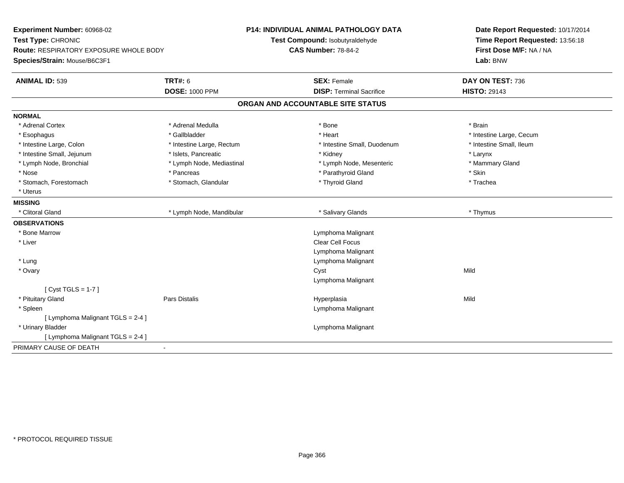| Experiment Number: 60968-02<br>Test Type: CHRONIC<br><b>Route: RESPIRATORY EXPOSURE WHOLE BODY</b> |                           | P14: INDIVIDUAL ANIMAL PATHOLOGY DATA<br>Test Compound: Isobutyraldehyde<br><b>CAS Number: 78-84-2</b> | Date Report Requested: 10/17/2014<br>Time Report Requested: 13:56:18<br>First Dose M/F: NA / NA |  |
|----------------------------------------------------------------------------------------------------|---------------------------|--------------------------------------------------------------------------------------------------------|-------------------------------------------------------------------------------------------------|--|
| Species/Strain: Mouse/B6C3F1                                                                       |                           |                                                                                                        | Lab: BNW                                                                                        |  |
| <b>ANIMAL ID: 539</b>                                                                              | TRT#: 6                   | <b>SEX: Female</b>                                                                                     | DAY ON TEST: 736                                                                                |  |
|                                                                                                    | <b>DOSE: 1000 PPM</b>     | <b>DISP: Terminal Sacrifice</b>                                                                        | <b>HISTO: 29143</b>                                                                             |  |
|                                                                                                    |                           | ORGAN AND ACCOUNTABLE SITE STATUS                                                                      |                                                                                                 |  |
| <b>NORMAL</b>                                                                                      |                           |                                                                                                        |                                                                                                 |  |
| * Adrenal Cortex                                                                                   | * Adrenal Medulla         | * Bone                                                                                                 | * Brain                                                                                         |  |
| * Esophagus                                                                                        | * Gallbladder             | * Heart                                                                                                | * Intestine Large, Cecum                                                                        |  |
| * Intestine Large, Colon                                                                           | * Intestine Large, Rectum | * Intestine Small, Duodenum                                                                            | * Intestine Small, Ileum                                                                        |  |
| * Intestine Small, Jejunum                                                                         | * Islets, Pancreatic      | * Kidney                                                                                               | * Larynx                                                                                        |  |
| * Lymph Node, Bronchial                                                                            | * Lymph Node, Mediastinal | * Lymph Node, Mesenteric                                                                               | * Mammary Gland                                                                                 |  |
| * Nose                                                                                             | * Pancreas                | * Parathyroid Gland                                                                                    | * Skin                                                                                          |  |
| * Stomach, Forestomach                                                                             | * Stomach, Glandular      | * Thyroid Gland                                                                                        | * Trachea                                                                                       |  |
| * Uterus                                                                                           |                           |                                                                                                        |                                                                                                 |  |
| <b>MISSING</b>                                                                                     |                           |                                                                                                        |                                                                                                 |  |
| * Clitoral Gland                                                                                   | * Lymph Node, Mandibular  | * Salivary Glands                                                                                      | * Thymus                                                                                        |  |
| <b>OBSERVATIONS</b>                                                                                |                           |                                                                                                        |                                                                                                 |  |
| * Bone Marrow                                                                                      |                           | Lymphoma Malignant                                                                                     |                                                                                                 |  |
| * Liver                                                                                            |                           | <b>Clear Cell Focus</b>                                                                                |                                                                                                 |  |
|                                                                                                    |                           | Lymphoma Malignant                                                                                     |                                                                                                 |  |
| * Lung                                                                                             |                           | Lymphoma Malignant                                                                                     |                                                                                                 |  |
| * Ovary                                                                                            |                           | Cyst                                                                                                   | Mild                                                                                            |  |
|                                                                                                    |                           | Lymphoma Malignant                                                                                     |                                                                                                 |  |
| [Cyst TGLS = $1-7$ ]                                                                               |                           |                                                                                                        |                                                                                                 |  |
| * Pituitary Gland                                                                                  | Pars Distalis             | Hyperplasia                                                                                            | Mild                                                                                            |  |
| * Spleen                                                                                           |                           | Lymphoma Malignant                                                                                     |                                                                                                 |  |
| [ Lymphoma Malignant TGLS = 2-4 ]                                                                  |                           |                                                                                                        |                                                                                                 |  |
| * Urinary Bladder                                                                                  |                           | Lymphoma Malignant                                                                                     |                                                                                                 |  |
| [ Lymphoma Malignant TGLS = 2-4 ]                                                                  |                           |                                                                                                        |                                                                                                 |  |
| PRIMARY CAUSE OF DEATH                                                                             |                           |                                                                                                        |                                                                                                 |  |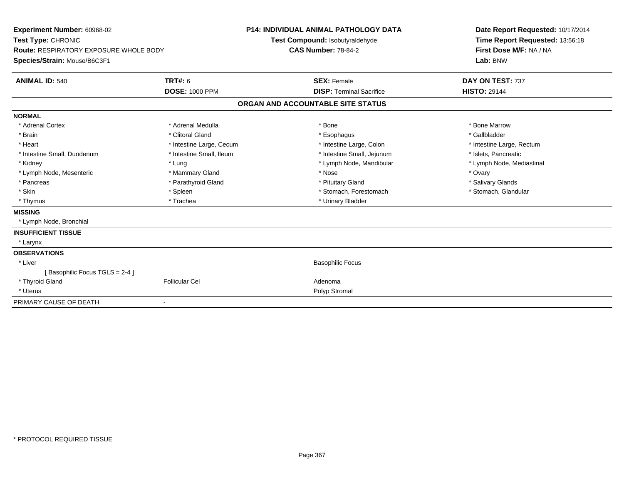| Experiment Number: 60968-02<br>Test Type: CHRONIC<br><b>Route: RESPIRATORY EXPOSURE WHOLE BODY</b> |                          | <b>P14: INDIVIDUAL ANIMAL PATHOLOGY DATA</b><br>Test Compound: Isobutyraldehyde<br><b>CAS Number: 78-84-2</b> |                                 | Date Report Requested: 10/17/2014<br>Time Report Requested: 13:56:18<br>First Dose M/F: NA / NA |
|----------------------------------------------------------------------------------------------------|--------------------------|---------------------------------------------------------------------------------------------------------------|---------------------------------|-------------------------------------------------------------------------------------------------|
| Species/Strain: Mouse/B6C3F1                                                                       |                          |                                                                                                               |                                 | Lab: BNW                                                                                        |
| <b>ANIMAL ID: 540</b>                                                                              | TRT#: 6                  |                                                                                                               | <b>SEX: Female</b>              | DAY ON TEST: 737                                                                                |
|                                                                                                    | <b>DOSE: 1000 PPM</b>    |                                                                                                               | <b>DISP: Terminal Sacrifice</b> | <b>HISTO: 29144</b>                                                                             |
|                                                                                                    |                          | ORGAN AND ACCOUNTABLE SITE STATUS                                                                             |                                 |                                                                                                 |
| <b>NORMAL</b>                                                                                      |                          |                                                                                                               |                                 |                                                                                                 |
| * Adrenal Cortex                                                                                   | * Adrenal Medulla        |                                                                                                               | * Bone                          | * Bone Marrow                                                                                   |
| * Brain                                                                                            | * Clitoral Gland         |                                                                                                               | * Esophagus                     | * Gallbladder                                                                                   |
| * Heart                                                                                            | * Intestine Large, Cecum |                                                                                                               | * Intestine Large, Colon        | * Intestine Large, Rectum                                                                       |
| * Intestine Small, Duodenum                                                                        | * Intestine Small, Ileum |                                                                                                               | * Intestine Small, Jejunum      | * Islets. Pancreatic                                                                            |
| * Kidney                                                                                           | * Lung                   |                                                                                                               | * Lymph Node, Mandibular        | * Lymph Node, Mediastinal                                                                       |
| * Lymph Node, Mesenteric                                                                           | * Mammary Gland          |                                                                                                               | * Nose                          | * Ovary                                                                                         |
| * Pancreas                                                                                         | * Parathyroid Gland      |                                                                                                               | * Pituitary Gland               | * Salivary Glands                                                                               |
| * Skin                                                                                             | * Spleen                 |                                                                                                               | * Stomach, Forestomach          | * Stomach, Glandular                                                                            |
| * Thymus                                                                                           | * Trachea                |                                                                                                               | * Urinary Bladder               |                                                                                                 |
| <b>MISSING</b>                                                                                     |                          |                                                                                                               |                                 |                                                                                                 |
| * Lymph Node, Bronchial                                                                            |                          |                                                                                                               |                                 |                                                                                                 |
| <b>INSUFFICIENT TISSUE</b>                                                                         |                          |                                                                                                               |                                 |                                                                                                 |
| * Larynx                                                                                           |                          |                                                                                                               |                                 |                                                                                                 |
| <b>OBSERVATIONS</b>                                                                                |                          |                                                                                                               |                                 |                                                                                                 |
| * Liver                                                                                            |                          |                                                                                                               | <b>Basophilic Focus</b>         |                                                                                                 |
| [Basophilic Focus TGLS = 2-4 ]                                                                     |                          |                                                                                                               |                                 |                                                                                                 |
| * Thyroid Gland                                                                                    | <b>Follicular Cel</b>    |                                                                                                               | Adenoma                         |                                                                                                 |
| * Uterus                                                                                           |                          |                                                                                                               | Polyp Stromal                   |                                                                                                 |
| PRIMARY CAUSE OF DEATH                                                                             |                          |                                                                                                               |                                 |                                                                                                 |
|                                                                                                    |                          |                                                                                                               |                                 |                                                                                                 |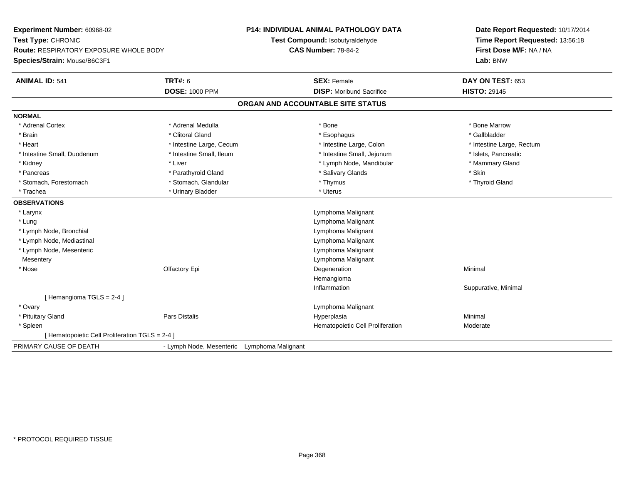| Experiment Number: 60968-02                     |                                             | <b>P14: INDIVIDUAL ANIMAL PATHOLOGY DATA</b> |                                   | Date Report Requested: 10/17/2014 |  |
|-------------------------------------------------|---------------------------------------------|----------------------------------------------|-----------------------------------|-----------------------------------|--|
| Test Type: CHRONIC                              |                                             |                                              | Test Compound: Isobutyraldehyde   | Time Report Requested: 13:56:18   |  |
| <b>Route: RESPIRATORY EXPOSURE WHOLE BODY</b>   |                                             | <b>CAS Number: 78-84-2</b>                   |                                   | First Dose M/F: NA / NA           |  |
| Species/Strain: Mouse/B6C3F1                    |                                             |                                              |                                   | Lab: BNW                          |  |
| <b>ANIMAL ID: 541</b>                           | <b>TRT#: 6</b>                              |                                              | <b>SEX: Female</b>                | DAY ON TEST: 653                  |  |
|                                                 | <b>DOSE: 1000 PPM</b>                       |                                              | <b>DISP:</b> Moribund Sacrifice   | <b>HISTO: 29145</b>               |  |
|                                                 |                                             |                                              | ORGAN AND ACCOUNTABLE SITE STATUS |                                   |  |
| <b>NORMAL</b>                                   |                                             |                                              |                                   |                                   |  |
| * Adrenal Cortex                                | * Adrenal Medulla                           |                                              | * Bone                            | * Bone Marrow                     |  |
| * Brain                                         | * Clitoral Gland                            |                                              | * Esophagus                       | * Gallbladder                     |  |
| * Heart                                         | * Intestine Large, Cecum                    |                                              | * Intestine Large, Colon          | * Intestine Large, Rectum         |  |
| * Intestine Small, Duodenum                     | * Intestine Small, Ileum                    |                                              | * Intestine Small, Jejunum        | * Islets, Pancreatic              |  |
| * Kidney                                        | * Liver                                     |                                              | * Lymph Node, Mandibular          | * Mammary Gland                   |  |
| * Pancreas                                      | * Parathyroid Gland                         |                                              | * Salivary Glands                 | * Skin                            |  |
| * Stomach, Forestomach                          | * Stomach, Glandular                        |                                              | * Thymus                          | * Thyroid Gland                   |  |
| * Trachea                                       | * Urinary Bladder                           |                                              | * Uterus                          |                                   |  |
| <b>OBSERVATIONS</b>                             |                                             |                                              |                                   |                                   |  |
| * Larynx                                        |                                             |                                              | Lymphoma Malignant                |                                   |  |
| * Lung                                          |                                             |                                              | Lymphoma Malignant                |                                   |  |
| * Lymph Node, Bronchial                         |                                             |                                              | Lymphoma Malignant                |                                   |  |
| * Lymph Node, Mediastinal                       |                                             |                                              | Lymphoma Malignant                |                                   |  |
| * Lymph Node, Mesenteric                        |                                             |                                              | Lymphoma Malignant                |                                   |  |
| Mesentery                                       |                                             |                                              | Lymphoma Malignant                |                                   |  |
| * Nose                                          | Olfactory Epi                               |                                              | Degeneration                      | Minimal                           |  |
|                                                 |                                             |                                              | Hemangioma                        |                                   |  |
|                                                 |                                             |                                              | Inflammation                      | Suppurative, Minimal              |  |
| [Hemangioma TGLS = $2-4$ ]                      |                                             |                                              |                                   |                                   |  |
| * Ovary                                         |                                             |                                              | Lymphoma Malignant                |                                   |  |
| * Pituitary Gland                               | <b>Pars Distalis</b>                        |                                              | Hyperplasia                       | Minimal                           |  |
| * Spleen                                        |                                             |                                              | Hematopoietic Cell Proliferation  | Moderate                          |  |
| [ Hematopoietic Cell Proliferation TGLS = 2-4 ] |                                             |                                              |                                   |                                   |  |
| PRIMARY CAUSE OF DEATH                          | - Lymph Node, Mesenteric Lymphoma Malignant |                                              |                                   |                                   |  |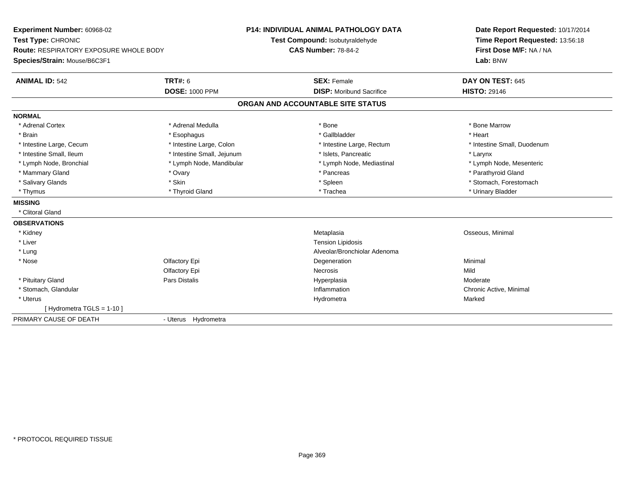| Experiment Number: 60968-02                   |                            | <b>P14: INDIVIDUAL ANIMAL PATHOLOGY DATA</b> | Date Report Requested: 10/17/2014 |  |
|-----------------------------------------------|----------------------------|----------------------------------------------|-----------------------------------|--|
| Test Type: CHRONIC                            |                            | Test Compound: Isobutyraldehyde              | Time Report Requested: 13:56:18   |  |
| <b>Route: RESPIRATORY EXPOSURE WHOLE BODY</b> |                            | <b>CAS Number: 78-84-2</b>                   | First Dose M/F: NA / NA           |  |
| Species/Strain: Mouse/B6C3F1                  |                            |                                              | Lab: BNW                          |  |
| <b>ANIMAL ID: 542</b>                         | <b>TRT#: 6</b>             | <b>SEX: Female</b>                           | DAY ON TEST: 645                  |  |
|                                               | <b>DOSE: 1000 PPM</b>      | <b>DISP:</b> Moribund Sacrifice              | <b>HISTO: 29146</b>               |  |
|                                               |                            | ORGAN AND ACCOUNTABLE SITE STATUS            |                                   |  |
| <b>NORMAL</b>                                 |                            |                                              |                                   |  |
| * Adrenal Cortex                              | * Adrenal Medulla          | * Bone                                       | * Bone Marrow                     |  |
| * Brain                                       | * Esophagus                | * Gallbladder                                | * Heart                           |  |
| * Intestine Large, Cecum                      | * Intestine Large, Colon   | * Intestine Large, Rectum                    | * Intestine Small, Duodenum       |  |
| * Intestine Small, Ileum                      | * Intestine Small, Jejunum | * Islets, Pancreatic                         | * Larynx                          |  |
| * Lymph Node, Bronchial                       | * Lymph Node, Mandibular   | * Lymph Node, Mediastinal                    | * Lymph Node, Mesenteric          |  |
| * Mammary Gland                               | * Ovary                    | * Pancreas                                   | * Parathyroid Gland               |  |
| * Salivary Glands                             | * Skin                     | * Spleen                                     | * Stomach, Forestomach            |  |
| * Thymus                                      | * Thyroid Gland            | * Trachea                                    | * Urinary Bladder                 |  |
| <b>MISSING</b>                                |                            |                                              |                                   |  |
| * Clitoral Gland                              |                            |                                              |                                   |  |
| <b>OBSERVATIONS</b>                           |                            |                                              |                                   |  |
| * Kidney                                      |                            | Metaplasia                                   | Osseous, Minimal                  |  |
| * Liver                                       |                            | <b>Tension Lipidosis</b>                     |                                   |  |
| * Lung                                        |                            | Alveolar/Bronchiolar Adenoma                 |                                   |  |
| * Nose                                        | Olfactory Epi              | Degeneration                                 | Minimal                           |  |
|                                               | Olfactory Epi              | Necrosis                                     | Mild                              |  |
| * Pituitary Gland                             | Pars Distalis              | Hyperplasia                                  | Moderate                          |  |
| * Stomach, Glandular                          |                            | Inflammation                                 | Chronic Active, Minimal           |  |
| * Uterus                                      |                            | Hydrometra                                   | Marked                            |  |
| [ Hydrometra TGLS = 1-10 ]                    |                            |                                              |                                   |  |
| PRIMARY CAUSE OF DEATH                        | - Uterus Hydrometra        |                                              |                                   |  |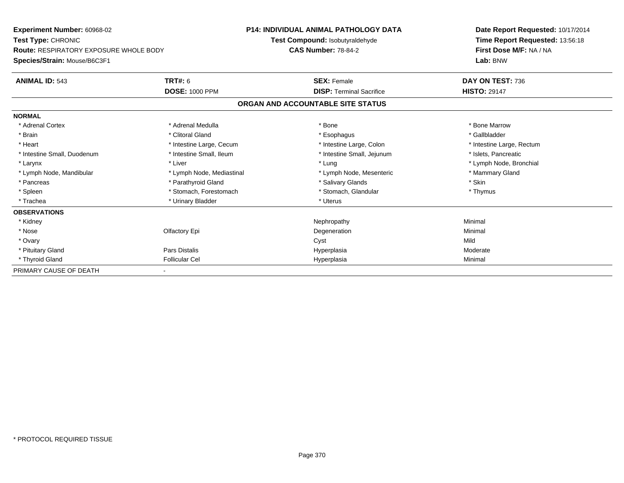| <b>Experiment Number: 60968-02</b>            |                           | <b>P14: INDIVIDUAL ANIMAL PATHOLOGY DATA</b> | Date Report Requested: 10/17/2014 |  |
|-----------------------------------------------|---------------------------|----------------------------------------------|-----------------------------------|--|
| Test Type: CHRONIC                            |                           | Test Compound: Isobutyraldehyde              | Time Report Requested: 13:56:18   |  |
| <b>Route: RESPIRATORY EXPOSURE WHOLE BODY</b> |                           | <b>CAS Number: 78-84-2</b>                   | First Dose M/F: NA / NA           |  |
| Species/Strain: Mouse/B6C3F1                  |                           |                                              | Lab: BNW                          |  |
| <b>ANIMAL ID: 543</b>                         | <b>TRT#: 6</b>            | <b>SEX: Female</b>                           | DAY ON TEST: 736                  |  |
|                                               | <b>DOSE: 1000 PPM</b>     | <b>DISP: Terminal Sacrifice</b>              | <b>HISTO: 29147</b>               |  |
|                                               |                           | ORGAN AND ACCOUNTABLE SITE STATUS            |                                   |  |
| <b>NORMAL</b>                                 |                           |                                              |                                   |  |
| * Adrenal Cortex                              | * Adrenal Medulla         | * Bone                                       | * Bone Marrow                     |  |
| * Brain                                       | * Clitoral Gland          | * Esophagus                                  | * Gallbladder                     |  |
| * Heart                                       | * Intestine Large, Cecum  | * Intestine Large, Colon                     | * Intestine Large, Rectum         |  |
| * Intestine Small, Duodenum                   | * Intestine Small, Ileum  | * Intestine Small, Jejunum                   | * Islets, Pancreatic              |  |
| * Larynx                                      | * Liver                   | * Lung                                       | * Lymph Node, Bronchial           |  |
| * Lymph Node, Mandibular                      | * Lymph Node, Mediastinal | * Lymph Node, Mesenteric                     | * Mammary Gland                   |  |
| * Pancreas                                    | * Parathyroid Gland       | * Salivary Glands                            | * Skin                            |  |
| * Spleen                                      | * Stomach, Forestomach    | * Stomach, Glandular                         | * Thymus                          |  |
| * Trachea                                     | * Urinary Bladder         | * Uterus                                     |                                   |  |
| <b>OBSERVATIONS</b>                           |                           |                                              |                                   |  |
| * Kidney                                      |                           | Nephropathy                                  | Minimal                           |  |
| * Nose                                        | Olfactory Epi             | Degeneration                                 | Minimal                           |  |
| * Ovary                                       |                           | Cyst                                         | Mild                              |  |
| * Pituitary Gland                             | Pars Distalis             | Hyperplasia                                  | Moderate                          |  |
| * Thyroid Gland                               | <b>Follicular Cel</b>     | Hyperplasia                                  | Minimal                           |  |
| PRIMARY CAUSE OF DEATH                        |                           |                                              |                                   |  |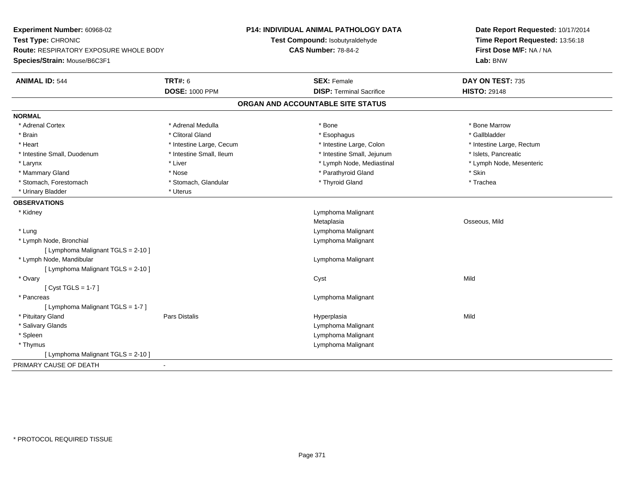| Time Report Requested: 13:56:18<br>Test Compound: Isobutyraldehyde<br><b>CAS Number: 78-84-2</b><br>First Dose M/F: NA / NA<br><b>Route: RESPIRATORY EXPOSURE WHOLE BODY</b><br>Lab: BNW<br><b>TRT#: 6</b><br><b>ANIMAL ID: 544</b><br><b>SEX: Female</b><br>DAY ON TEST: 735<br><b>DOSE: 1000 PPM</b><br><b>DISP: Terminal Sacrifice</b><br><b>HISTO: 29148</b><br>ORGAN AND ACCOUNTABLE SITE STATUS<br>* Adrenal Medulla<br>* Bone Marrow<br>* Adrenal Cortex<br>* Bone<br>* Clitoral Gland<br>* Brain<br>* Esophagus<br>* Gallbladder<br>* Heart<br>* Intestine Large, Colon<br>* Intestine Large, Cecum<br>* Intestine Large, Rectum<br>* Intestine Small, Ileum<br>* Intestine Small, Jejunum<br>* Islets, Pancreatic<br>* Intestine Small, Duodenum<br>* Larynx<br>* Liver<br>* Lymph Node, Mediastinal<br>* Lymph Node, Mesenteric<br>* Parathyroid Gland<br>* Skin<br>* Mammary Gland<br>* Nose<br>* Stomach, Forestomach<br>* Thyroid Gland<br>* Stomach, Glandular<br>* Trachea<br>* Urinary Bladder<br>* Uterus<br>Lymphoma Malignant<br>* Kidney<br>Osseous, Mild<br>Metaplasia<br>* Lung<br>Lymphoma Malignant<br>* Lymph Node, Bronchial<br>Lymphoma Malignant<br>[ Lymphoma Malignant TGLS = 2-10 ]<br>* Lymph Node, Mandibular<br>Lymphoma Malignant<br>[ Lymphoma Malignant TGLS = 2-10 ]<br>Mild<br>* Ovary<br>Cyst<br>[Cyst TGLS = $1-7$ ]<br>* Pancreas<br>Lymphoma Malignant<br>[ Lymphoma Malignant TGLS = 1-7 ]<br>Mild<br>* Pituitary Gland<br>Pars Distalis<br>Hyperplasia<br>* Salivary Glands<br>Lymphoma Malignant<br>* Spleen<br>Lymphoma Malignant<br>* Thymus<br>Lymphoma Malignant<br>[ Lymphoma Malignant TGLS = 2-10 ] | Experiment Number: 60968-02<br>Test Type: CHRONIC |  | P14: INDIVIDUAL ANIMAL PATHOLOGY DATA | Date Report Requested: 10/17/2014 |
|----------------------------------------------------------------------------------------------------------------------------------------------------------------------------------------------------------------------------------------------------------------------------------------------------------------------------------------------------------------------------------------------------------------------------------------------------------------------------------------------------------------------------------------------------------------------------------------------------------------------------------------------------------------------------------------------------------------------------------------------------------------------------------------------------------------------------------------------------------------------------------------------------------------------------------------------------------------------------------------------------------------------------------------------------------------------------------------------------------------------------------------------------------------------------------------------------------------------------------------------------------------------------------------------------------------------------------------------------------------------------------------------------------------------------------------------------------------------------------------------------------------------------------------------------------------------------------------------------------------------------------------------------------|---------------------------------------------------|--|---------------------------------------|-----------------------------------|
|                                                                                                                                                                                                                                                                                                                                                                                                                                                                                                                                                                                                                                                                                                                                                                                                                                                                                                                                                                                                                                                                                                                                                                                                                                                                                                                                                                                                                                                                                                                                                                                                                                                          |                                                   |  |                                       |                                   |
|                                                                                                                                                                                                                                                                                                                                                                                                                                                                                                                                                                                                                                                                                                                                                                                                                                                                                                                                                                                                                                                                                                                                                                                                                                                                                                                                                                                                                                                                                                                                                                                                                                                          |                                                   |  |                                       |                                   |
|                                                                                                                                                                                                                                                                                                                                                                                                                                                                                                                                                                                                                                                                                                                                                                                                                                                                                                                                                                                                                                                                                                                                                                                                                                                                                                                                                                                                                                                                                                                                                                                                                                                          | Species/Strain: Mouse/B6C3F1                      |  |                                       |                                   |
|                                                                                                                                                                                                                                                                                                                                                                                                                                                                                                                                                                                                                                                                                                                                                                                                                                                                                                                                                                                                                                                                                                                                                                                                                                                                                                                                                                                                                                                                                                                                                                                                                                                          |                                                   |  |                                       |                                   |
|                                                                                                                                                                                                                                                                                                                                                                                                                                                                                                                                                                                                                                                                                                                                                                                                                                                                                                                                                                                                                                                                                                                                                                                                                                                                                                                                                                                                                                                                                                                                                                                                                                                          |                                                   |  |                                       |                                   |
|                                                                                                                                                                                                                                                                                                                                                                                                                                                                                                                                                                                                                                                                                                                                                                                                                                                                                                                                                                                                                                                                                                                                                                                                                                                                                                                                                                                                                                                                                                                                                                                                                                                          |                                                   |  |                                       |                                   |
|                                                                                                                                                                                                                                                                                                                                                                                                                                                                                                                                                                                                                                                                                                                                                                                                                                                                                                                                                                                                                                                                                                                                                                                                                                                                                                                                                                                                                                                                                                                                                                                                                                                          | <b>NORMAL</b>                                     |  |                                       |                                   |
|                                                                                                                                                                                                                                                                                                                                                                                                                                                                                                                                                                                                                                                                                                                                                                                                                                                                                                                                                                                                                                                                                                                                                                                                                                                                                                                                                                                                                                                                                                                                                                                                                                                          |                                                   |  |                                       |                                   |
|                                                                                                                                                                                                                                                                                                                                                                                                                                                                                                                                                                                                                                                                                                                                                                                                                                                                                                                                                                                                                                                                                                                                                                                                                                                                                                                                                                                                                                                                                                                                                                                                                                                          |                                                   |  |                                       |                                   |
|                                                                                                                                                                                                                                                                                                                                                                                                                                                                                                                                                                                                                                                                                                                                                                                                                                                                                                                                                                                                                                                                                                                                                                                                                                                                                                                                                                                                                                                                                                                                                                                                                                                          |                                                   |  |                                       |                                   |
|                                                                                                                                                                                                                                                                                                                                                                                                                                                                                                                                                                                                                                                                                                                                                                                                                                                                                                                                                                                                                                                                                                                                                                                                                                                                                                                                                                                                                                                                                                                                                                                                                                                          |                                                   |  |                                       |                                   |
|                                                                                                                                                                                                                                                                                                                                                                                                                                                                                                                                                                                                                                                                                                                                                                                                                                                                                                                                                                                                                                                                                                                                                                                                                                                                                                                                                                                                                                                                                                                                                                                                                                                          |                                                   |  |                                       |                                   |
|                                                                                                                                                                                                                                                                                                                                                                                                                                                                                                                                                                                                                                                                                                                                                                                                                                                                                                                                                                                                                                                                                                                                                                                                                                                                                                                                                                                                                                                                                                                                                                                                                                                          |                                                   |  |                                       |                                   |
|                                                                                                                                                                                                                                                                                                                                                                                                                                                                                                                                                                                                                                                                                                                                                                                                                                                                                                                                                                                                                                                                                                                                                                                                                                                                                                                                                                                                                                                                                                                                                                                                                                                          |                                                   |  |                                       |                                   |
|                                                                                                                                                                                                                                                                                                                                                                                                                                                                                                                                                                                                                                                                                                                                                                                                                                                                                                                                                                                                                                                                                                                                                                                                                                                                                                                                                                                                                                                                                                                                                                                                                                                          |                                                   |  |                                       |                                   |
|                                                                                                                                                                                                                                                                                                                                                                                                                                                                                                                                                                                                                                                                                                                                                                                                                                                                                                                                                                                                                                                                                                                                                                                                                                                                                                                                                                                                                                                                                                                                                                                                                                                          | <b>OBSERVATIONS</b>                               |  |                                       |                                   |
|                                                                                                                                                                                                                                                                                                                                                                                                                                                                                                                                                                                                                                                                                                                                                                                                                                                                                                                                                                                                                                                                                                                                                                                                                                                                                                                                                                                                                                                                                                                                                                                                                                                          |                                                   |  |                                       |                                   |
|                                                                                                                                                                                                                                                                                                                                                                                                                                                                                                                                                                                                                                                                                                                                                                                                                                                                                                                                                                                                                                                                                                                                                                                                                                                                                                                                                                                                                                                                                                                                                                                                                                                          |                                                   |  |                                       |                                   |
|                                                                                                                                                                                                                                                                                                                                                                                                                                                                                                                                                                                                                                                                                                                                                                                                                                                                                                                                                                                                                                                                                                                                                                                                                                                                                                                                                                                                                                                                                                                                                                                                                                                          |                                                   |  |                                       |                                   |
|                                                                                                                                                                                                                                                                                                                                                                                                                                                                                                                                                                                                                                                                                                                                                                                                                                                                                                                                                                                                                                                                                                                                                                                                                                                                                                                                                                                                                                                                                                                                                                                                                                                          |                                                   |  |                                       |                                   |
|                                                                                                                                                                                                                                                                                                                                                                                                                                                                                                                                                                                                                                                                                                                                                                                                                                                                                                                                                                                                                                                                                                                                                                                                                                                                                                                                                                                                                                                                                                                                                                                                                                                          |                                                   |  |                                       |                                   |
|                                                                                                                                                                                                                                                                                                                                                                                                                                                                                                                                                                                                                                                                                                                                                                                                                                                                                                                                                                                                                                                                                                                                                                                                                                                                                                                                                                                                                                                                                                                                                                                                                                                          |                                                   |  |                                       |                                   |
|                                                                                                                                                                                                                                                                                                                                                                                                                                                                                                                                                                                                                                                                                                                                                                                                                                                                                                                                                                                                                                                                                                                                                                                                                                                                                                                                                                                                                                                                                                                                                                                                                                                          |                                                   |  |                                       |                                   |
|                                                                                                                                                                                                                                                                                                                                                                                                                                                                                                                                                                                                                                                                                                                                                                                                                                                                                                                                                                                                                                                                                                                                                                                                                                                                                                                                                                                                                                                                                                                                                                                                                                                          |                                                   |  |                                       |                                   |
|                                                                                                                                                                                                                                                                                                                                                                                                                                                                                                                                                                                                                                                                                                                                                                                                                                                                                                                                                                                                                                                                                                                                                                                                                                                                                                                                                                                                                                                                                                                                                                                                                                                          |                                                   |  |                                       |                                   |
|                                                                                                                                                                                                                                                                                                                                                                                                                                                                                                                                                                                                                                                                                                                                                                                                                                                                                                                                                                                                                                                                                                                                                                                                                                                                                                                                                                                                                                                                                                                                                                                                                                                          |                                                   |  |                                       |                                   |
|                                                                                                                                                                                                                                                                                                                                                                                                                                                                                                                                                                                                                                                                                                                                                                                                                                                                                                                                                                                                                                                                                                                                                                                                                                                                                                                                                                                                                                                                                                                                                                                                                                                          |                                                   |  |                                       |                                   |
|                                                                                                                                                                                                                                                                                                                                                                                                                                                                                                                                                                                                                                                                                                                                                                                                                                                                                                                                                                                                                                                                                                                                                                                                                                                                                                                                                                                                                                                                                                                                                                                                                                                          |                                                   |  |                                       |                                   |
|                                                                                                                                                                                                                                                                                                                                                                                                                                                                                                                                                                                                                                                                                                                                                                                                                                                                                                                                                                                                                                                                                                                                                                                                                                                                                                                                                                                                                                                                                                                                                                                                                                                          |                                                   |  |                                       |                                   |
|                                                                                                                                                                                                                                                                                                                                                                                                                                                                                                                                                                                                                                                                                                                                                                                                                                                                                                                                                                                                                                                                                                                                                                                                                                                                                                                                                                                                                                                                                                                                                                                                                                                          |                                                   |  |                                       |                                   |
|                                                                                                                                                                                                                                                                                                                                                                                                                                                                                                                                                                                                                                                                                                                                                                                                                                                                                                                                                                                                                                                                                                                                                                                                                                                                                                                                                                                                                                                                                                                                                                                                                                                          |                                                   |  |                                       |                                   |
|                                                                                                                                                                                                                                                                                                                                                                                                                                                                                                                                                                                                                                                                                                                                                                                                                                                                                                                                                                                                                                                                                                                                                                                                                                                                                                                                                                                                                                                                                                                                                                                                                                                          |                                                   |  |                                       |                                   |
|                                                                                                                                                                                                                                                                                                                                                                                                                                                                                                                                                                                                                                                                                                                                                                                                                                                                                                                                                                                                                                                                                                                                                                                                                                                                                                                                                                                                                                                                                                                                                                                                                                                          | PRIMARY CAUSE OF DEATH                            |  |                                       |                                   |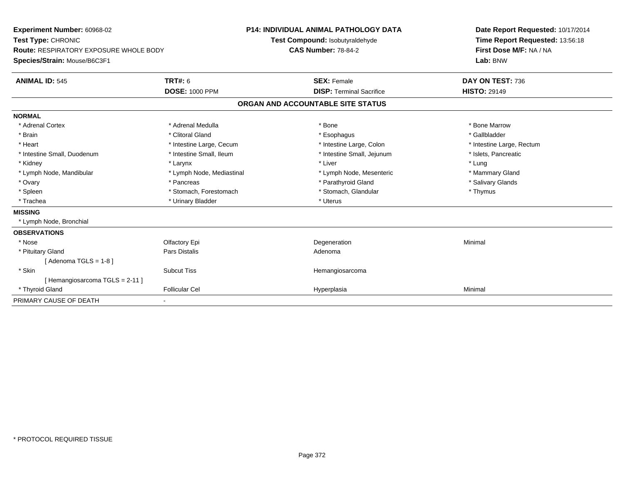| Experiment Number: 60968-02<br>Test Type: CHRONIC<br><b>Route: RESPIRATORY EXPOSURE WHOLE BODY</b><br>Species/Strain: Mouse/B6C3F1<br><b>TRT#: 6</b><br><b>ANIMAL ID: 545</b>                  |                                                                                                                                                                                                     | <b>P14: INDIVIDUAL ANIMAL PATHOLOGY DATA</b><br>Test Compound: Isobutyraldehyde<br><b>CAS Number: 78-84-2</b><br><b>SEX: Female</b><br><b>DISP: Terminal Sacrifice</b>            | <b>HISTO: 29149</b>                                  | Date Report Requested: 10/17/2014<br>Time Report Requested: 13:56:18<br>First Dose M/F: NA / NA<br>Lab: BNW<br>DAY ON TEST: 736 |
|------------------------------------------------------------------------------------------------------------------------------------------------------------------------------------------------|-----------------------------------------------------------------------------------------------------------------------------------------------------------------------------------------------------|-----------------------------------------------------------------------------------------------------------------------------------------------------------------------------------|------------------------------------------------------|---------------------------------------------------------------------------------------------------------------------------------|
|                                                                                                                                                                                                | <b>DOSE: 1000 PPM</b>                                                                                                                                                                               | ORGAN AND ACCOUNTABLE SITE STATUS                                                                                                                                                 |                                                      |                                                                                                                                 |
| <b>NORMAL</b>                                                                                                                                                                                  |                                                                                                                                                                                                     |                                                                                                                                                                                   |                                                      |                                                                                                                                 |
| * Adrenal Cortex<br>* Brain<br>* Heart<br>* Intestine Small, Duodenum<br>* Kidney<br>* Lymph Node, Mandibular<br>* Ovary<br>* Spleen<br>* Trachea<br><b>MISSING</b><br>* Lymph Node, Bronchial | * Adrenal Medulla<br>* Clitoral Gland<br>* Intestine Large, Cecum<br>* Intestine Small, Ileum<br>* Larynx<br>* Lymph Node, Mediastinal<br>* Pancreas<br>* Stomach, Forestomach<br>* Urinary Bladder | * Bone<br>* Esophagus<br>* Intestine Large, Colon<br>* Intestine Small, Jejunum<br>* Liver<br>* Lymph Node, Mesenteric<br>* Parathyroid Gland<br>* Stomach, Glandular<br>* Uterus | * Bone Marrow<br>* Gallbladder<br>* Lung<br>* Thymus | * Intestine Large, Rectum<br>* Islets, Pancreatic<br>* Mammary Gland<br>* Salivary Glands                                       |
| <b>OBSERVATIONS</b>                                                                                                                                                                            |                                                                                                                                                                                                     |                                                                                                                                                                                   |                                                      |                                                                                                                                 |
| * Nose<br>* Pituitary Gland<br>[Adenoma TGLS = $1-8$ ]                                                                                                                                         | Olfactory Epi<br>Pars Distalis                                                                                                                                                                      | Degeneration<br>Adenoma                                                                                                                                                           | Minimal                                              |                                                                                                                                 |
| * Skin<br>[Hemangiosarcoma TGLS = 2-11]<br>* Thyroid Gland                                                                                                                                     | <b>Subcut Tiss</b><br><b>Follicular Cel</b>                                                                                                                                                         | Hemangiosarcoma<br>Hyperplasia                                                                                                                                                    | Minimal                                              |                                                                                                                                 |
| PRIMARY CAUSE OF DEATH                                                                                                                                                                         |                                                                                                                                                                                                     |                                                                                                                                                                                   |                                                      |                                                                                                                                 |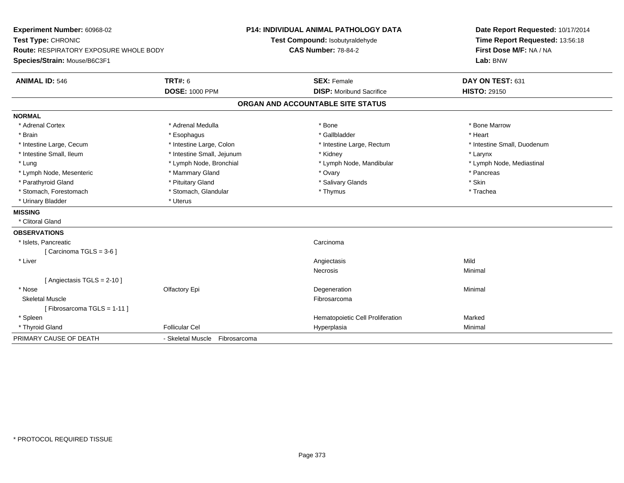| Experiment Number: 60968-02            |                                | <b>P14: INDIVIDUAL ANIMAL PATHOLOGY DATA</b> | Date Report Requested: 10/17/2014 |  |  |
|----------------------------------------|--------------------------------|----------------------------------------------|-----------------------------------|--|--|
| Test Type: CHRONIC                     |                                | Test Compound: Isobutyraldehyde              | Time Report Requested: 13:56:18   |  |  |
| Route: RESPIRATORY EXPOSURE WHOLE BODY |                                | <b>CAS Number: 78-84-2</b>                   | First Dose M/F: NA / NA           |  |  |
| Species/Strain: Mouse/B6C3F1           |                                |                                              | Lab: BNW                          |  |  |
| <b>ANIMAL ID: 546</b>                  | <b>TRT#: 6</b>                 | <b>SEX: Female</b>                           | DAY ON TEST: 631                  |  |  |
|                                        | <b>DOSE: 1000 PPM</b>          | <b>DISP: Moribund Sacrifice</b>              | <b>HISTO: 29150</b>               |  |  |
|                                        |                                | ORGAN AND ACCOUNTABLE SITE STATUS            |                                   |  |  |
| <b>NORMAL</b>                          |                                |                                              |                                   |  |  |
| * Adrenal Cortex                       | * Adrenal Medulla              | * Bone                                       | * Bone Marrow                     |  |  |
| * Brain                                | * Esophagus                    | * Gallbladder                                | * Heart                           |  |  |
| * Intestine Large, Cecum               | * Intestine Large, Colon       | * Intestine Large, Rectum                    | * Intestine Small, Duodenum       |  |  |
| * Intestine Small, Ileum               | * Intestine Small, Jejunum     | * Kidney                                     | * Larynx                          |  |  |
| * Lung                                 | * Lymph Node, Bronchial        | * Lymph Node, Mandibular                     | * Lymph Node, Mediastinal         |  |  |
| * Lymph Node, Mesenteric               | * Mammary Gland                | * Ovary                                      | * Pancreas                        |  |  |
| * Parathyroid Gland                    | * Pituitary Gland              | * Salivary Glands                            | * Skin                            |  |  |
| * Stomach, Forestomach                 | * Stomach, Glandular           | * Thymus                                     | * Trachea                         |  |  |
| * Urinary Bladder                      | * Uterus                       |                                              |                                   |  |  |
| <b>MISSING</b>                         |                                |                                              |                                   |  |  |
| * Clitoral Gland                       |                                |                                              |                                   |  |  |
| <b>OBSERVATIONS</b>                    |                                |                                              |                                   |  |  |
| * Islets, Pancreatic                   |                                | Carcinoma                                    |                                   |  |  |
| [Carcinoma TGLS = 3-6]                 |                                |                                              |                                   |  |  |
| * Liver                                |                                | Angiectasis                                  | Mild                              |  |  |
|                                        |                                | <b>Necrosis</b>                              | Minimal                           |  |  |
| [Angiectasis TGLS = 2-10]              |                                |                                              |                                   |  |  |
| * Nose                                 | Olfactory Epi                  | Degeneration                                 | Minimal                           |  |  |
| <b>Skeletal Muscle</b>                 |                                | Fibrosarcoma                                 |                                   |  |  |
| [Fibrosarcoma TGLS = 1-11]             |                                |                                              |                                   |  |  |
| * Spleen                               |                                | Hematopoietic Cell Proliferation             | Marked                            |  |  |
| * Thyroid Gland                        | <b>Follicular Cel</b>          | Hyperplasia                                  | Minimal                           |  |  |
| PRIMARY CAUSE OF DEATH                 | - Skeletal Muscle Fibrosarcoma |                                              |                                   |  |  |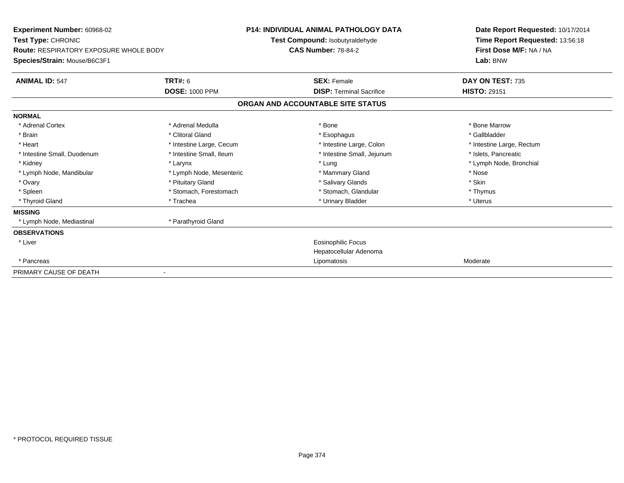| <b>Experiment Number: 60968-02</b><br>Test Type: CHRONIC                      |                          | <b>P14: INDIVIDUAL ANIMAL PATHOLOGY DATA</b><br>Test Compound: Isobutyraldehyde | Date Report Requested: 10/17/2014<br>Time Report Requested: 13:56:18 |  |  |
|-------------------------------------------------------------------------------|--------------------------|---------------------------------------------------------------------------------|----------------------------------------------------------------------|--|--|
| <b>Route: RESPIRATORY EXPOSURE WHOLE BODY</b><br>Species/Strain: Mouse/B6C3F1 |                          | <b>CAS Number: 78-84-2</b>                                                      | First Dose M/F: NA / NA<br>Lab: BNW                                  |  |  |
| <b>ANIMAL ID: 547</b>                                                         | <b>TRT#: 6</b>           | <b>SEX: Female</b>                                                              | DAY ON TEST: 735                                                     |  |  |
|                                                                               | <b>DOSE: 1000 PPM</b>    | <b>DISP: Terminal Sacrifice</b>                                                 | <b>HISTO: 29151</b>                                                  |  |  |
|                                                                               |                          | ORGAN AND ACCOUNTABLE SITE STATUS                                               |                                                                      |  |  |
| <b>NORMAL</b>                                                                 |                          |                                                                                 |                                                                      |  |  |
| * Adrenal Cortex                                                              | * Adrenal Medulla        | * Bone                                                                          | * Bone Marrow                                                        |  |  |
| * Brain                                                                       | * Clitoral Gland         | * Esophagus                                                                     | * Gallbladder                                                        |  |  |
| * Heart                                                                       | * Intestine Large, Cecum | * Intestine Large, Colon                                                        | * Intestine Large, Rectum                                            |  |  |
| * Intestine Small, Duodenum                                                   | * Intestine Small, Ileum | * Intestine Small, Jejunum                                                      | * Islets, Pancreatic                                                 |  |  |
| * Kidney                                                                      | * Larynx                 | * Lung                                                                          | * Lymph Node, Bronchial                                              |  |  |
| * Lymph Node, Mandibular                                                      | * Lymph Node, Mesenteric | * Mammary Gland                                                                 | * Nose                                                               |  |  |
| * Ovary                                                                       | * Pituitary Gland        | * Salivary Glands                                                               | * Skin                                                               |  |  |
| * Spleen                                                                      | * Stomach, Forestomach   | * Stomach, Glandular                                                            | * Thymus                                                             |  |  |
| * Thyroid Gland                                                               | * Trachea                | * Urinary Bladder                                                               | * Uterus                                                             |  |  |
| <b>MISSING</b>                                                                |                          |                                                                                 |                                                                      |  |  |
| * Lymph Node, Mediastinal                                                     | * Parathyroid Gland      |                                                                                 |                                                                      |  |  |
| <b>OBSERVATIONS</b>                                                           |                          |                                                                                 |                                                                      |  |  |
| * Liver                                                                       |                          | Eosinophilic Focus                                                              |                                                                      |  |  |
|                                                                               |                          | Hepatocellular Adenoma                                                          |                                                                      |  |  |
| * Pancreas                                                                    |                          | Lipomatosis                                                                     | Moderate                                                             |  |  |
| PRIMARY CAUSE OF DEATH                                                        |                          |                                                                                 |                                                                      |  |  |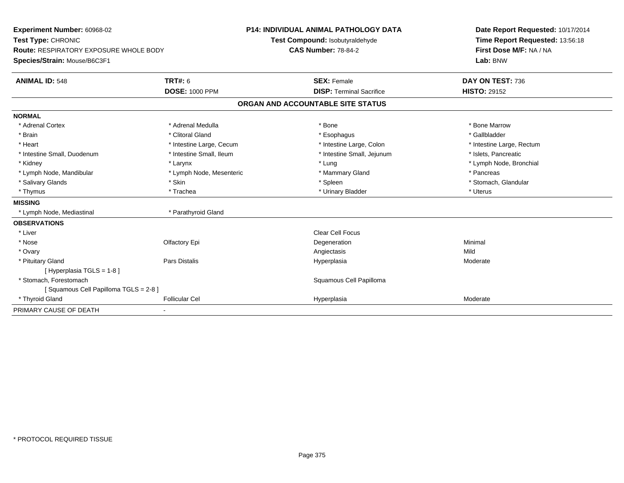| Experiment Number: 60968-02                   |                          | <b>P14: INDIVIDUAL ANIMAL PATHOLOGY DATA</b> |                                   |  | Date Report Requested: 10/17/2014 |  |  |
|-----------------------------------------------|--------------------------|----------------------------------------------|-----------------------------------|--|-----------------------------------|--|--|
| Test Type: CHRONIC                            |                          |                                              | Test Compound: Isobutyraldehyde   |  | Time Report Requested: 13:56:18   |  |  |
| <b>Route: RESPIRATORY EXPOSURE WHOLE BODY</b> |                          | <b>CAS Number: 78-84-2</b>                   |                                   |  | First Dose M/F: NA / NA           |  |  |
| Species/Strain: Mouse/B6C3F1                  |                          |                                              |                                   |  | Lab: BNW                          |  |  |
| <b>ANIMAL ID: 548</b>                         | <b>TRT#: 6</b>           |                                              | <b>SEX: Female</b>                |  | DAY ON TEST: 736                  |  |  |
|                                               | <b>DOSE: 1000 PPM</b>    |                                              | <b>DISP: Terminal Sacrifice</b>   |  | <b>HISTO: 29152</b>               |  |  |
|                                               |                          |                                              | ORGAN AND ACCOUNTABLE SITE STATUS |  |                                   |  |  |
| <b>NORMAL</b>                                 |                          |                                              |                                   |  |                                   |  |  |
| * Adrenal Cortex                              | * Adrenal Medulla        |                                              | * Bone                            |  | * Bone Marrow                     |  |  |
| * Brain                                       | * Clitoral Gland         |                                              | * Esophagus                       |  | * Gallbladder                     |  |  |
| * Heart                                       | * Intestine Large, Cecum |                                              | * Intestine Large, Colon          |  | * Intestine Large, Rectum         |  |  |
| * Intestine Small, Duodenum                   | * Intestine Small, Ileum |                                              | * Intestine Small, Jejunum        |  | * Islets, Pancreatic              |  |  |
| * Kidney                                      | * Larynx                 |                                              | * Lung                            |  | * Lymph Node, Bronchial           |  |  |
| * Lymph Node, Mandibular                      | * Lymph Node, Mesenteric |                                              | * Mammary Gland                   |  | * Pancreas                        |  |  |
| * Salivary Glands                             | * Skin                   |                                              | * Spleen                          |  | * Stomach, Glandular              |  |  |
| * Thymus                                      | * Trachea                |                                              | * Urinary Bladder                 |  | * Uterus                          |  |  |
| <b>MISSING</b>                                |                          |                                              |                                   |  |                                   |  |  |
| * Lymph Node, Mediastinal                     | * Parathyroid Gland      |                                              |                                   |  |                                   |  |  |
| <b>OBSERVATIONS</b>                           |                          |                                              |                                   |  |                                   |  |  |
| * Liver                                       |                          |                                              | <b>Clear Cell Focus</b>           |  |                                   |  |  |
| * Nose                                        | Olfactory Epi            |                                              | Degeneration                      |  | Minimal                           |  |  |
| * Ovary                                       |                          |                                              | Angiectasis                       |  | Mild                              |  |  |
| * Pituitary Gland                             | Pars Distalis            |                                              | Hyperplasia                       |  | Moderate                          |  |  |
| [Hyperplasia TGLS = 1-8]                      |                          |                                              |                                   |  |                                   |  |  |
| * Stomach. Forestomach                        |                          |                                              | Squamous Cell Papilloma           |  |                                   |  |  |
| [Squamous Cell Papilloma TGLS = 2-8]          |                          |                                              |                                   |  |                                   |  |  |
| * Thyroid Gland                               | <b>Follicular Cel</b>    |                                              | Hyperplasia                       |  | Moderate                          |  |  |
| PRIMARY CAUSE OF DEATH                        |                          |                                              |                                   |  |                                   |  |  |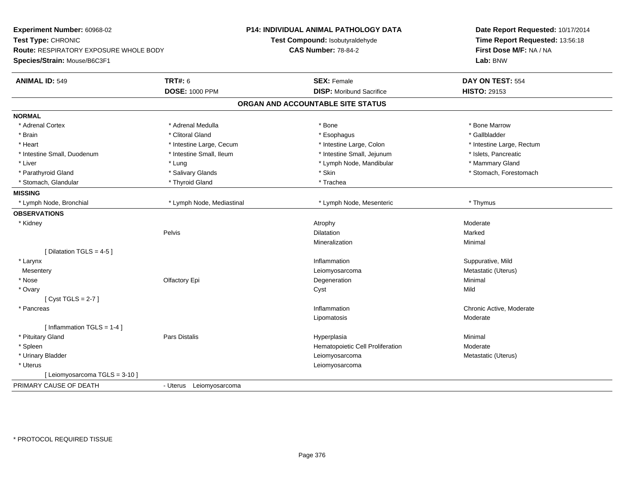| Experiment Number: 60968-02                   |                           | P14: INDIVIDUAL ANIMAL PATHOLOGY DATA | Date Report Requested: 10/17/2014 |  |  |
|-----------------------------------------------|---------------------------|---------------------------------------|-----------------------------------|--|--|
| Test Type: CHRONIC                            |                           | Test Compound: Isobutyraldehyde       | Time Report Requested: 13:56:18   |  |  |
| <b>Route: RESPIRATORY EXPOSURE WHOLE BODY</b> |                           | <b>CAS Number: 78-84-2</b>            | First Dose M/F: NA / NA           |  |  |
| Species/Strain: Mouse/B6C3F1                  |                           |                                       | Lab: BNW                          |  |  |
| <b>ANIMAL ID: 549</b>                         | <b>TRT#: 6</b>            | <b>SEX: Female</b>                    | DAY ON TEST: 554                  |  |  |
|                                               | <b>DOSE: 1000 PPM</b>     | <b>DISP:</b> Moribund Sacrifice       | <b>HISTO: 29153</b>               |  |  |
|                                               |                           | ORGAN AND ACCOUNTABLE SITE STATUS     |                                   |  |  |
| <b>NORMAL</b>                                 |                           |                                       |                                   |  |  |
| * Adrenal Cortex                              | * Adrenal Medulla         | * Bone                                | * Bone Marrow                     |  |  |
| * Brain                                       | * Clitoral Gland          | * Esophagus                           | * Gallbladder                     |  |  |
| * Heart                                       | * Intestine Large, Cecum  | * Intestine Large, Colon              | * Intestine Large, Rectum         |  |  |
| * Intestine Small, Duodenum                   | * Intestine Small, Ileum  | * Intestine Small, Jejunum            | * Islets, Pancreatic              |  |  |
| * Liver                                       | * Lung                    | * Lymph Node, Mandibular              | * Mammary Gland                   |  |  |
| * Parathyroid Gland                           | * Salivary Glands         | * Skin                                | * Stomach, Forestomach            |  |  |
| * Stomach, Glandular                          | * Thyroid Gland           | * Trachea                             |                                   |  |  |
| <b>MISSING</b>                                |                           |                                       |                                   |  |  |
| * Lymph Node, Bronchial                       | * Lymph Node, Mediastinal | * Lymph Node, Mesenteric              | * Thymus                          |  |  |
| <b>OBSERVATIONS</b>                           |                           |                                       |                                   |  |  |
| * Kidney                                      |                           | Atrophy                               | Moderate                          |  |  |
|                                               | Pelvis                    | <b>Dilatation</b>                     | Marked                            |  |  |
|                                               |                           | Mineralization                        | Minimal                           |  |  |
| [ Dilatation TGLS = 4-5 ]                     |                           |                                       |                                   |  |  |
| * Larynx                                      |                           | Inflammation                          | Suppurative, Mild                 |  |  |
| Mesentery                                     |                           | Leiomyosarcoma                        | Metastatic (Uterus)               |  |  |
| * Nose                                        | Olfactory Epi             | Degeneration                          | Minimal                           |  |  |
| * Ovary                                       |                           | Cyst                                  | Mild                              |  |  |
| [Cyst TGLS = $2-7$ ]                          |                           |                                       |                                   |  |  |
| * Pancreas                                    |                           | Inflammation                          | Chronic Active, Moderate          |  |  |
|                                               |                           | Lipomatosis                           | Moderate                          |  |  |
| [Inflammation TGLS = $1-4$ ]                  |                           |                                       |                                   |  |  |
| * Pituitary Gland                             | <b>Pars Distalis</b>      | Hyperplasia                           | Minimal                           |  |  |
| * Spleen                                      |                           | Hematopoietic Cell Proliferation      | Moderate                          |  |  |
| * Urinary Bladder                             |                           | Leiomyosarcoma                        | Metastatic (Uterus)               |  |  |
| * Uterus                                      |                           | Leiomyosarcoma                        |                                   |  |  |
| [ Leiomyosarcoma TGLS = 3-10 ]                |                           |                                       |                                   |  |  |
| PRIMARY CAUSE OF DEATH                        | - Uterus Leiomyosarcoma   |                                       |                                   |  |  |
|                                               |                           |                                       |                                   |  |  |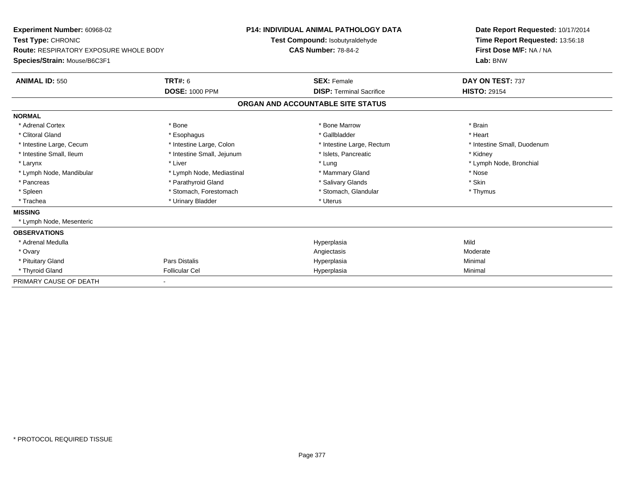| Experiment Number: 60968-02<br>Test Type: CHRONIC<br><b>Route: RESPIRATORY EXPOSURE WHOLE BODY</b><br>Species/Strain: Mouse/B6C3F1 |                            | P14: INDIVIDUAL ANIMAL PATHOLOGY DATA<br>Test Compound: Isobutyraldehyde<br><b>CAS Number: 78-84-2</b> |                                   | Date Report Requested: 10/17/2014<br>Time Report Requested: 13:56:18<br>First Dose M/F: NA / NA<br>Lab: BNW |  |
|------------------------------------------------------------------------------------------------------------------------------------|----------------------------|--------------------------------------------------------------------------------------------------------|-----------------------------------|-------------------------------------------------------------------------------------------------------------|--|
| <b>ANIMAL ID: 550</b>                                                                                                              | TRT#: 6                    |                                                                                                        | <b>SEX: Female</b>                | DAY ON TEST: 737                                                                                            |  |
|                                                                                                                                    | <b>DOSE: 1000 PPM</b>      |                                                                                                        | <b>DISP: Terminal Sacrifice</b>   | <b>HISTO: 29154</b>                                                                                         |  |
|                                                                                                                                    |                            |                                                                                                        | ORGAN AND ACCOUNTABLE SITE STATUS |                                                                                                             |  |
| <b>NORMAL</b>                                                                                                                      |                            |                                                                                                        |                                   |                                                                                                             |  |
| * Adrenal Cortex                                                                                                                   | * Bone                     |                                                                                                        | * Bone Marrow                     | * Brain                                                                                                     |  |
| * Clitoral Gland                                                                                                                   | * Esophagus                |                                                                                                        | * Gallbladder                     | * Heart                                                                                                     |  |
| * Intestine Large, Cecum                                                                                                           | * Intestine Large, Colon   |                                                                                                        | * Intestine Large, Rectum         | * Intestine Small, Duodenum                                                                                 |  |
| * Intestine Small, Ileum                                                                                                           | * Intestine Small, Jejunum |                                                                                                        | * Islets, Pancreatic              | * Kidney                                                                                                    |  |
| * Larynx                                                                                                                           | * Liver                    |                                                                                                        | * Lung                            | * Lymph Node, Bronchial                                                                                     |  |
| * Lymph Node, Mandibular                                                                                                           | * Lymph Node, Mediastinal  |                                                                                                        | * Mammary Gland                   | * Nose                                                                                                      |  |
| * Pancreas                                                                                                                         | * Parathyroid Gland        |                                                                                                        | * Salivary Glands                 | * Skin                                                                                                      |  |
| * Spleen                                                                                                                           | * Stomach, Forestomach     |                                                                                                        | * Stomach, Glandular              | * Thymus                                                                                                    |  |
| * Trachea                                                                                                                          | * Urinary Bladder          |                                                                                                        | * Uterus                          |                                                                                                             |  |
| <b>MISSING</b>                                                                                                                     |                            |                                                                                                        |                                   |                                                                                                             |  |
| * Lymph Node, Mesenteric                                                                                                           |                            |                                                                                                        |                                   |                                                                                                             |  |
| <b>OBSERVATIONS</b>                                                                                                                |                            |                                                                                                        |                                   |                                                                                                             |  |
| * Adrenal Medulla                                                                                                                  |                            |                                                                                                        | Hyperplasia                       | Mild                                                                                                        |  |
| * Ovary                                                                                                                            |                            |                                                                                                        | Angiectasis                       | Moderate                                                                                                    |  |
| * Pituitary Gland                                                                                                                  | <b>Pars Distalis</b>       |                                                                                                        | Hyperplasia                       | Minimal                                                                                                     |  |
| * Thyroid Gland                                                                                                                    | <b>Follicular Cel</b>      |                                                                                                        | Hyperplasia                       | Minimal                                                                                                     |  |
| PRIMARY CAUSE OF DEATH                                                                                                             |                            |                                                                                                        |                                   |                                                                                                             |  |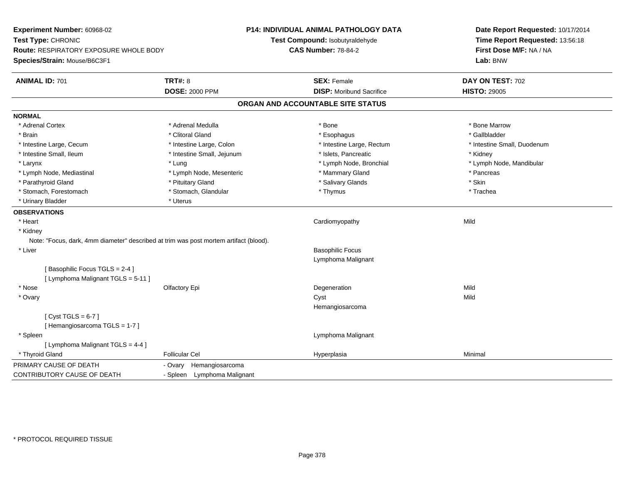| Experiment Number: 60968-02<br>Test Type: CHRONIC<br><b>Route: RESPIRATORY EXPOSURE WHOLE BODY</b><br>Species/Strain: Mouse/B6C3F1 |                             | <b>P14: INDIVIDUAL ANIMAL PATHOLOGY DATA</b><br>Test Compound: Isobutyraldehyde<br><b>CAS Number: 78-84-2</b> | Date Report Requested: 10/17/2014<br>Time Report Requested: 13:56:18<br>First Dose M/F: NA / NA<br>Lab: BNW |  |
|------------------------------------------------------------------------------------------------------------------------------------|-----------------------------|---------------------------------------------------------------------------------------------------------------|-------------------------------------------------------------------------------------------------------------|--|
| <b>ANIMAL ID: 701</b>                                                                                                              | <b>TRT#: 8</b>              | <b>SEX: Female</b>                                                                                            | DAY ON TEST: 702                                                                                            |  |
|                                                                                                                                    | <b>DOSE: 2000 PPM</b>       | <b>DISP: Moribund Sacrifice</b>                                                                               | <b>HISTO: 29005</b>                                                                                         |  |
|                                                                                                                                    |                             | ORGAN AND ACCOUNTABLE SITE STATUS                                                                             |                                                                                                             |  |
| <b>NORMAL</b>                                                                                                                      |                             |                                                                                                               |                                                                                                             |  |
| * Adrenal Cortex                                                                                                                   | * Adrenal Medulla           | * Bone                                                                                                        | * Bone Marrow                                                                                               |  |
| * Brain                                                                                                                            | * Clitoral Gland            | * Esophagus                                                                                                   | * Gallbladder                                                                                               |  |
| * Intestine Large, Cecum                                                                                                           | * Intestine Large, Colon    | * Intestine Large, Rectum                                                                                     | * Intestine Small, Duodenum                                                                                 |  |
| * Intestine Small, Ileum                                                                                                           | * Intestine Small, Jejunum  | * Islets, Pancreatic                                                                                          | * Kidney                                                                                                    |  |
| * Larynx                                                                                                                           | * Lung                      | * Lymph Node, Bronchial                                                                                       | * Lymph Node, Mandibular                                                                                    |  |
| * Lymph Node, Mediastinal                                                                                                          | * Lymph Node, Mesenteric    | * Mammary Gland                                                                                               | * Pancreas                                                                                                  |  |
| * Parathyroid Gland                                                                                                                | * Pituitary Gland           | * Salivary Glands                                                                                             | * Skin                                                                                                      |  |
| * Stomach, Forestomach                                                                                                             | * Stomach, Glandular        | * Thymus                                                                                                      | * Trachea                                                                                                   |  |
| * Urinary Bladder                                                                                                                  | * Uterus                    |                                                                                                               |                                                                                                             |  |
| <b>OBSERVATIONS</b>                                                                                                                |                             |                                                                                                               |                                                                                                             |  |
| * Heart                                                                                                                            |                             | Cardiomyopathy                                                                                                | Mild                                                                                                        |  |
| * Kidney                                                                                                                           |                             |                                                                                                               |                                                                                                             |  |
| Note: "Focus, dark, 4mm diameter" described at trim was post mortem artifact (blood).                                              |                             |                                                                                                               |                                                                                                             |  |
| * Liver                                                                                                                            |                             | <b>Basophilic Focus</b>                                                                                       |                                                                                                             |  |
|                                                                                                                                    |                             | Lymphoma Malignant                                                                                            |                                                                                                             |  |
| [Basophilic Focus TGLS = 2-4]                                                                                                      |                             |                                                                                                               |                                                                                                             |  |
| [ Lymphoma Malignant TGLS = 5-11 ]                                                                                                 |                             |                                                                                                               |                                                                                                             |  |
| * Nose                                                                                                                             | Olfactory Epi               | Degeneration                                                                                                  | Mild                                                                                                        |  |
| * Ovary                                                                                                                            |                             | Cyst                                                                                                          | Mild                                                                                                        |  |
|                                                                                                                                    |                             | Hemangiosarcoma                                                                                               |                                                                                                             |  |
| [Cyst TGLS = $6-7$ ]                                                                                                               |                             |                                                                                                               |                                                                                                             |  |
| [Hemangiosarcoma TGLS = 1-7]                                                                                                       |                             |                                                                                                               |                                                                                                             |  |
| * Spleen                                                                                                                           |                             | Lymphoma Malignant                                                                                            |                                                                                                             |  |
| [ Lymphoma Malignant TGLS = 4-4 ]                                                                                                  |                             |                                                                                                               |                                                                                                             |  |
| * Thyroid Gland                                                                                                                    | <b>Follicular Cel</b>       | Hyperplasia                                                                                                   | Minimal                                                                                                     |  |
| PRIMARY CAUSE OF DEATH                                                                                                             | Hemangiosarcoma<br>- Ovary  |                                                                                                               |                                                                                                             |  |
| <b>CONTRIBUTORY CAUSE OF DEATH</b>                                                                                                 | - Spleen Lymphoma Malignant |                                                                                                               |                                                                                                             |  |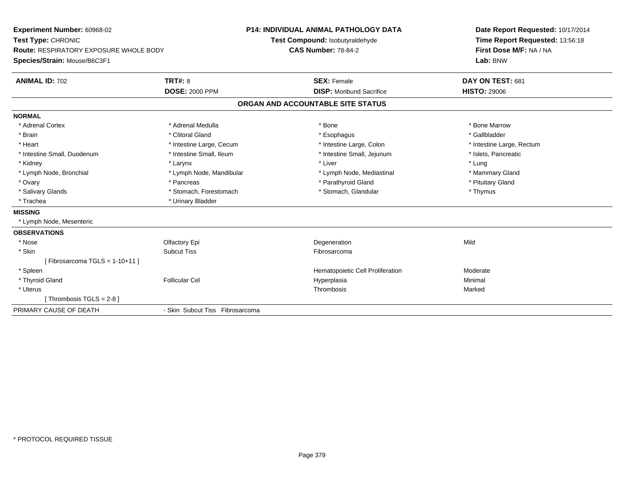| <b>Experiment Number: 60968-02</b>            |                                 | <b>P14: INDIVIDUAL ANIMAL PATHOLOGY DATA</b> |                                  |                           | Date Report Requested: 10/17/2014 |  |  |
|-----------------------------------------------|---------------------------------|----------------------------------------------|----------------------------------|---------------------------|-----------------------------------|--|--|
| Test Type: CHRONIC                            |                                 | Test Compound: Isobutyraldehyde              |                                  |                           | Time Report Requested: 13:56:18   |  |  |
| <b>Route: RESPIRATORY EXPOSURE WHOLE BODY</b> |                                 | <b>CAS Number: 78-84-2</b>                   |                                  |                           | First Dose M/F: NA / NA           |  |  |
| Species/Strain: Mouse/B6C3F1                  |                                 |                                              |                                  | Lab: BNW                  |                                   |  |  |
| <b>ANIMAL ID: 702</b>                         | TRT#: 8                         | <b>SEX: Female</b>                           |                                  | DAY ON TEST: 681          |                                   |  |  |
|                                               | <b>DOSE: 2000 PPM</b>           |                                              | <b>DISP:</b> Moribund Sacrifice  | <b>HISTO: 29006</b>       |                                   |  |  |
|                                               |                                 | ORGAN AND ACCOUNTABLE SITE STATUS            |                                  |                           |                                   |  |  |
| <b>NORMAL</b>                                 |                                 |                                              |                                  |                           |                                   |  |  |
| * Adrenal Cortex                              | * Adrenal Medulla               | * Bone                                       |                                  | * Bone Marrow             |                                   |  |  |
| * Brain                                       | * Clitoral Gland                | * Esophagus                                  |                                  | * Gallbladder             |                                   |  |  |
| * Heart                                       | * Intestine Large, Cecum        |                                              | * Intestine Large, Colon         | * Intestine Large, Rectum |                                   |  |  |
| * Intestine Small, Duodenum                   | * Intestine Small, Ileum        |                                              | * Intestine Small, Jejunum       | * Islets, Pancreatic      |                                   |  |  |
| * Kidney                                      | * Larynx                        | * Liver                                      |                                  | * Lung                    |                                   |  |  |
| * Lymph Node, Bronchial                       | * Lymph Node, Mandibular        |                                              | * Lymph Node, Mediastinal        | * Mammary Gland           |                                   |  |  |
| * Ovary                                       | * Pancreas                      |                                              | * Parathyroid Gland              | * Pituitary Gland         |                                   |  |  |
| * Salivary Glands                             | * Stomach, Forestomach          |                                              | * Stomach, Glandular             | * Thymus                  |                                   |  |  |
| * Trachea                                     | * Urinary Bladder               |                                              |                                  |                           |                                   |  |  |
| <b>MISSING</b>                                |                                 |                                              |                                  |                           |                                   |  |  |
| * Lymph Node, Mesenteric                      |                                 |                                              |                                  |                           |                                   |  |  |
| <b>OBSERVATIONS</b>                           |                                 |                                              |                                  |                           |                                   |  |  |
| * Nose                                        | Olfactory Epi                   | Degeneration                                 |                                  | Mild                      |                                   |  |  |
| * Skin                                        | <b>Subcut Tiss</b>              | Fibrosarcoma                                 |                                  |                           |                                   |  |  |
| [Fibrosarcoma TGLS = $1-10+11$ ]              |                                 |                                              |                                  |                           |                                   |  |  |
| * Spleen                                      |                                 |                                              | Hematopoietic Cell Proliferation | Moderate                  |                                   |  |  |
| * Thyroid Gland                               | <b>Follicular Cel</b>           | Hyperplasia                                  |                                  | Minimal                   |                                   |  |  |
| * Uterus                                      |                                 | Thrombosis                                   |                                  | Marked                    |                                   |  |  |
| [Thrombosis TGLS = 2-8]                       |                                 |                                              |                                  |                           |                                   |  |  |
| PRIMARY CAUSE OF DEATH                        | - Skin Subcut Tiss Fibrosarcoma |                                              |                                  |                           |                                   |  |  |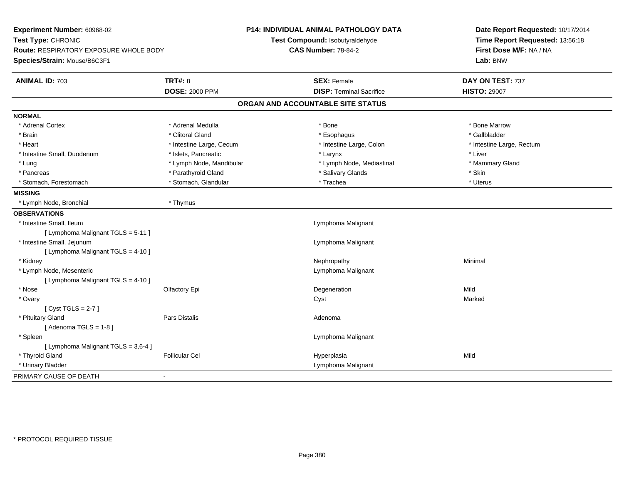| Experiment Number: 60968-02<br>Test Type: CHRONIC<br>Route: RESPIRATORY EXPOSURE WHOLE BODY<br>Species/Strain: Mouse/B6C3F1 |                                         | <b>P14: INDIVIDUAL ANIMAL PATHOLOGY DATA</b><br>Test Compound: Isobutyraldehyde<br><b>CAS Number: 78-84-2</b> | Date Report Requested: 10/17/2014<br>Time Report Requested: 13:56:18<br>First Dose M/F: NA / NA<br>Lab: BNW |  |
|-----------------------------------------------------------------------------------------------------------------------------|-----------------------------------------|---------------------------------------------------------------------------------------------------------------|-------------------------------------------------------------------------------------------------------------|--|
| <b>ANIMAL ID: 703</b>                                                                                                       | <b>TRT#: 8</b><br><b>DOSE: 2000 PPM</b> | <b>SEX: Female</b><br><b>DISP: Terminal Sacrifice</b>                                                         | DAY ON TEST: 737<br><b>HISTO: 29007</b>                                                                     |  |
|                                                                                                                             |                                         | ORGAN AND ACCOUNTABLE SITE STATUS                                                                             |                                                                                                             |  |
| <b>NORMAL</b>                                                                                                               |                                         |                                                                                                               |                                                                                                             |  |
| * Adrenal Cortex                                                                                                            | * Adrenal Medulla                       | * Bone                                                                                                        | * Bone Marrow                                                                                               |  |
| * Brain                                                                                                                     | * Clitoral Gland                        | * Esophagus                                                                                                   | * Gallbladder                                                                                               |  |
| * Heart                                                                                                                     | * Intestine Large, Cecum                | * Intestine Large, Colon                                                                                      | * Intestine Large, Rectum                                                                                   |  |
| * Intestine Small, Duodenum                                                                                                 | * Islets, Pancreatic                    | * Larynx                                                                                                      | * Liver                                                                                                     |  |
| * Lung                                                                                                                      | * Lymph Node, Mandibular                | * Lymph Node, Mediastinal                                                                                     | * Mammary Gland                                                                                             |  |
| * Pancreas                                                                                                                  | * Parathyroid Gland                     | * Salivary Glands                                                                                             | * Skin                                                                                                      |  |
| * Stomach, Forestomach                                                                                                      | * Stomach, Glandular                    | * Trachea                                                                                                     | * Uterus                                                                                                    |  |
| <b>MISSING</b>                                                                                                              |                                         |                                                                                                               |                                                                                                             |  |
| * Lymph Node, Bronchial                                                                                                     | * Thymus                                |                                                                                                               |                                                                                                             |  |
| <b>OBSERVATIONS</b>                                                                                                         |                                         |                                                                                                               |                                                                                                             |  |
| * Intestine Small, Ileum                                                                                                    |                                         | Lymphoma Malignant                                                                                            |                                                                                                             |  |
| [ Lymphoma Malignant TGLS = 5-11 ]                                                                                          |                                         |                                                                                                               |                                                                                                             |  |
| * Intestine Small, Jejunum                                                                                                  |                                         | Lymphoma Malignant                                                                                            |                                                                                                             |  |
| [ Lymphoma Malignant TGLS = 4-10 ]                                                                                          |                                         |                                                                                                               |                                                                                                             |  |
| * Kidney                                                                                                                    |                                         | Nephropathy                                                                                                   | Minimal                                                                                                     |  |
| * Lymph Node, Mesenteric                                                                                                    |                                         | Lymphoma Malignant                                                                                            |                                                                                                             |  |
| [ Lymphoma Malignant TGLS = 4-10 ]                                                                                          |                                         |                                                                                                               |                                                                                                             |  |
| * Nose                                                                                                                      | Olfactory Epi                           | Degeneration                                                                                                  | Mild                                                                                                        |  |
| * Ovary                                                                                                                     |                                         | Cyst                                                                                                          | Marked                                                                                                      |  |
| [Cyst TGLS = $2-7$ ]                                                                                                        |                                         |                                                                                                               |                                                                                                             |  |
| * Pituitary Gland                                                                                                           | Pars Distalis                           | Adenoma                                                                                                       |                                                                                                             |  |
| [Adenoma TGLS = $1-8$ ]                                                                                                     |                                         |                                                                                                               |                                                                                                             |  |
| * Spleen                                                                                                                    |                                         | Lymphoma Malignant                                                                                            |                                                                                                             |  |
| [ Lymphoma Malignant TGLS = 3,6-4 ]                                                                                         |                                         |                                                                                                               |                                                                                                             |  |
| * Thyroid Gland                                                                                                             | <b>Follicular Cel</b>                   | Hyperplasia                                                                                                   | Mild                                                                                                        |  |
| * Urinary Bladder                                                                                                           |                                         | Lymphoma Malignant                                                                                            |                                                                                                             |  |
| PRIMARY CAUSE OF DEATH                                                                                                      | $\overline{\phantom{0}}$                |                                                                                                               |                                                                                                             |  |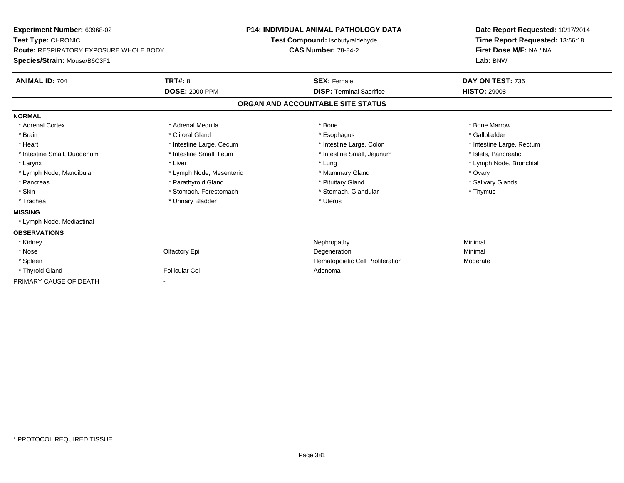| <b>Experiment Number: 60968-02</b><br>Test Type: CHRONIC<br><b>Route: RESPIRATORY EXPOSURE WHOLE BODY</b> |                          | <b>P14: INDIVIDUAL ANIMAL PATHOLOGY DATA</b><br>Test Compound: Isobutyraldehyde<br><b>CAS Number: 78-84-2</b> |                                   |  | Date Report Requested: 10/17/2014<br>Time Report Requested: 13:56:18<br>First Dose M/F: NA / NA |  |
|-----------------------------------------------------------------------------------------------------------|--------------------------|---------------------------------------------------------------------------------------------------------------|-----------------------------------|--|-------------------------------------------------------------------------------------------------|--|
| Species/Strain: Mouse/B6C3F1                                                                              |                          |                                                                                                               |                                   |  | Lab: BNW                                                                                        |  |
| <b>ANIMAL ID: 704</b>                                                                                     | <b>TRT#: 8</b>           |                                                                                                               | <b>SEX: Female</b>                |  | DAY ON TEST: 736                                                                                |  |
|                                                                                                           | <b>DOSE: 2000 PPM</b>    |                                                                                                               | <b>DISP:</b> Terminal Sacrifice   |  | <b>HISTO: 29008</b>                                                                             |  |
|                                                                                                           |                          |                                                                                                               | ORGAN AND ACCOUNTABLE SITE STATUS |  |                                                                                                 |  |
| <b>NORMAL</b>                                                                                             |                          |                                                                                                               |                                   |  |                                                                                                 |  |
| * Adrenal Cortex                                                                                          | * Adrenal Medulla        |                                                                                                               | * Bone                            |  | * Bone Marrow                                                                                   |  |
| * Brain                                                                                                   | * Clitoral Gland         |                                                                                                               | * Esophagus                       |  | * Gallbladder                                                                                   |  |
| * Heart                                                                                                   | * Intestine Large, Cecum |                                                                                                               | * Intestine Large, Colon          |  | * Intestine Large, Rectum                                                                       |  |
| * Intestine Small, Duodenum                                                                               | * Intestine Small, Ileum |                                                                                                               | * Intestine Small, Jejunum        |  | * Islets, Pancreatic                                                                            |  |
| * Larynx                                                                                                  | * Liver                  |                                                                                                               | * Lung                            |  | * Lymph Node, Bronchial                                                                         |  |
| * Lymph Node, Mandibular                                                                                  | * Lymph Node, Mesenteric |                                                                                                               | * Mammary Gland                   |  | * Ovary                                                                                         |  |
| * Pancreas                                                                                                | * Parathyroid Gland      |                                                                                                               | * Pituitary Gland                 |  | * Salivary Glands                                                                               |  |
| * Skin                                                                                                    | * Stomach, Forestomach   |                                                                                                               | * Stomach, Glandular              |  | * Thymus                                                                                        |  |
| * Trachea                                                                                                 | * Urinary Bladder        |                                                                                                               | * Uterus                          |  |                                                                                                 |  |
| <b>MISSING</b>                                                                                            |                          |                                                                                                               |                                   |  |                                                                                                 |  |
| * Lymph Node, Mediastinal                                                                                 |                          |                                                                                                               |                                   |  |                                                                                                 |  |
| <b>OBSERVATIONS</b>                                                                                       |                          |                                                                                                               |                                   |  |                                                                                                 |  |
| * Kidney                                                                                                  |                          |                                                                                                               | Nephropathy                       |  | Minimal                                                                                         |  |
| * Nose                                                                                                    | Olfactory Epi            |                                                                                                               | Degeneration                      |  | Minimal                                                                                         |  |
| * Spleen                                                                                                  |                          |                                                                                                               | Hematopoietic Cell Proliferation  |  | Moderate                                                                                        |  |
| * Thyroid Gland                                                                                           | <b>Follicular Cel</b>    |                                                                                                               | Adenoma                           |  |                                                                                                 |  |
| PRIMARY CAUSE OF DEATH                                                                                    |                          |                                                                                                               |                                   |  |                                                                                                 |  |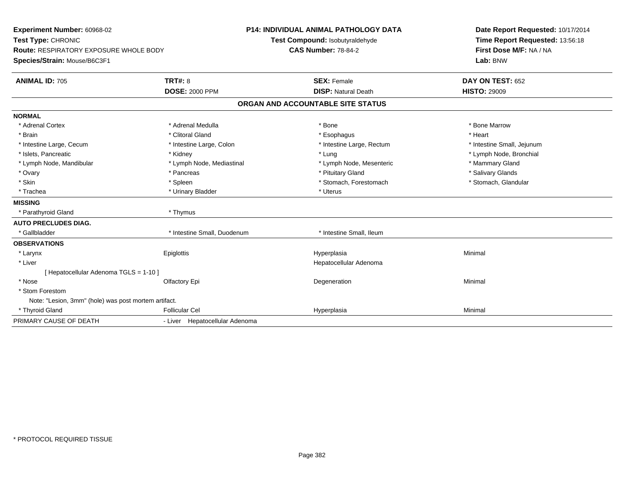| Experiment Number: 60968-02                          |                                | <b>P14: INDIVIDUAL ANIMAL PATHOLOGY DATA</b> | Date Report Requested: 10/17/2014 |  |  |
|------------------------------------------------------|--------------------------------|----------------------------------------------|-----------------------------------|--|--|
| Test Type: CHRONIC                                   |                                | Test Compound: Isobutyraldehyde              | Time Report Requested: 13:56:18   |  |  |
| <b>Route: RESPIRATORY EXPOSURE WHOLE BODY</b>        |                                | <b>CAS Number: 78-84-2</b>                   | First Dose M/F: NA / NA           |  |  |
| Species/Strain: Mouse/B6C3F1                         |                                |                                              | Lab: BNW                          |  |  |
| <b>ANIMAL ID: 705</b>                                | <b>TRT#: 8</b>                 | <b>SEX: Female</b>                           | DAY ON TEST: 652                  |  |  |
|                                                      | <b>DOSE: 2000 PPM</b>          | <b>DISP: Natural Death</b>                   | <b>HISTO: 29009</b>               |  |  |
|                                                      |                                | ORGAN AND ACCOUNTABLE SITE STATUS            |                                   |  |  |
| <b>NORMAL</b>                                        |                                |                                              |                                   |  |  |
| * Adrenal Cortex                                     | * Adrenal Medulla              | * Bone                                       | * Bone Marrow                     |  |  |
| * Brain                                              | * Clitoral Gland               | * Esophagus                                  | * Heart                           |  |  |
| * Intestine Large, Cecum                             | * Intestine Large, Colon       | * Intestine Large, Rectum                    | * Intestine Small, Jejunum        |  |  |
| * Islets, Pancreatic                                 | * Kidney                       | * Lung                                       | * Lymph Node, Bronchial           |  |  |
| * Lymph Node, Mandibular                             | * Lymph Node, Mediastinal      | * Lymph Node, Mesenteric                     | * Mammary Gland                   |  |  |
| * Ovary                                              | * Pancreas                     | * Pituitary Gland                            | * Salivary Glands                 |  |  |
| * Skin                                               | * Spleen                       | * Stomach, Forestomach                       | * Stomach, Glandular              |  |  |
| * Trachea                                            | * Urinary Bladder              | * Uterus                                     |                                   |  |  |
| <b>MISSING</b>                                       |                                |                                              |                                   |  |  |
| * Parathyroid Gland                                  | * Thymus                       |                                              |                                   |  |  |
| <b>AUTO PRECLUDES DIAG.</b>                          |                                |                                              |                                   |  |  |
| * Gallbladder                                        | * Intestine Small. Duodenum    | * Intestine Small. Ileum                     |                                   |  |  |
| <b>OBSERVATIONS</b>                                  |                                |                                              |                                   |  |  |
| * Larynx                                             | Epiglottis                     | Hyperplasia                                  | Minimal                           |  |  |
| * Liver                                              |                                | Hepatocellular Adenoma                       |                                   |  |  |
| [ Hepatocellular Adenoma TGLS = 1-10 ]               |                                |                                              |                                   |  |  |
| * Nose                                               | Olfactory Epi                  | Degeneration                                 | Minimal                           |  |  |
| * Stom Forestom                                      |                                |                                              |                                   |  |  |
| Note: "Lesion, 3mm" (hole) was post mortem artifact. |                                |                                              |                                   |  |  |
| * Thyroid Gland                                      | <b>Follicular Cel</b>          | Hyperplasia                                  | Minimal                           |  |  |
| PRIMARY CAUSE OF DEATH                               | - Liver Hepatocellular Adenoma |                                              |                                   |  |  |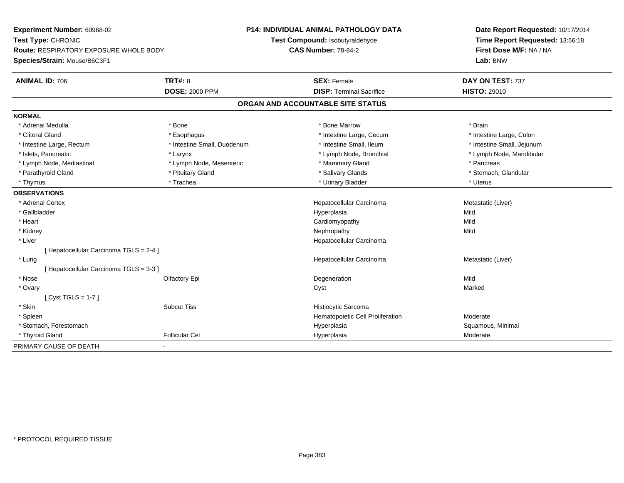**Experiment Number:** 60968-02**Test Type:** CHRONIC **Route:** RESPIRATORY EXPOSURE WHOLE BODY**Species/Strain:** Mouse/B6C3F1**P14: INDIVIDUAL ANIMAL PATHOLOGY DATATest Compound:** Isobutyraldehyde**CAS Number:** 78-84-2**Date Report Requested:** 10/17/2014**Time Report Requested:** 13:56:18**First Dose M/F:** NA / NA**Lab:** BNW**ANIMAL ID:** 706**6 DAY ON TEST:** 737 **DOSE:** 2000 PPM**DISP:** Terminal Sacrifice **HISTO:** 29010 **ORGAN AND ACCOUNTABLE SITE STATUSNORMAL**\* Adrenal Medulla \* \* Annual Medulla \* Brain \* Bone \* \* Bone Marrow \* Bone Marrow \* \* Brain \* Brain \* Brain \* Brain \* Brain \* Brain \* Brain \* Brain \* Brain \* Brain \* Brain \* Brain \* Brain \* Brain \* Brain \* Brain \* Brain \* \* Intestine Large, Colon \* Clitoral Gland \* **Esophagus** \* Esophagus \* **All 2008** \* Intestine Large, Cecum \* 1 \* Intestine Large, Rectum \* Thestine Small, Duodenum \* Number of the small, Ileum \* Intestine Small, Jejunum \* Intestine Small, Jejunum \* Islets, Pancreatic \* Larynx \* Lymph Node, Bronchial \* Lymph Node, Mandibular \* Lymph Node, Mediastinal \* The mode of the Mesenteric the manner of Mammary Gland \* The mode of the manner \* Pancreas \* Parathyroid Gland \* \* **All and \* Parathyroid Gland \* Stomach, Glandular** \* Stomach, Glandular \* Stomach, Glandular \* Thymus \* Trachea \* Trachea \* Trachea \* Urinary Bladder \* \* Urinary Bladder \* \* Uterus \* Uterus \* Uterus \* Uterus **OBSERVATIONS** \* Adrenal Cortex Hepatocellular Carcinoma Metastatic (Liver) \* Gallbladder Hyperplasiaa Mild \* Heart Cardiomyopathyy Mild Mild \* Kidneyy the control of the control of the control of the control of the control of the control of the control of the control of the control of the control of the control of the control of the control of the control of the contro \* Liver Hepatocellular Carcinoma[ Hepatocellular Carcinoma TGLS = 2-4 ] \* LungHepatocellular Carcinoma Metastatic (Liver) [ Hepatocellular Carcinoma TGLS = 3-3 ] \* Nosee and the Contractory Epi and the Contractor of the Contractor of the Contractor of the Mild of the Mild of the Mild of the Mild of the Contractor of the Mild of the Contractor of the Contractor of the Contractor of the Co \* Ovaryy and the control of the control of the control of the control of the control of the control of the control of the control of the control of the control of the control of the control of the control of the control of the co [ Cyst TGLS = 1-7 ] \* SkinSubcut Tiss **Histiocytic Sarcoma**  \* SpleenHematopoietic Cell Proliferation Moderate \* Stomach, Forestomachh anns an t-aiste anns an t-aiste anns an t-aiste anns an t-aiste anns an t-aiste anns an t-aiste anns an t-ais<br>Bhaile anns an t-aiste an t-aiste an t-aiste an t-aiste an t-aiste an t-aiste an t-aiste an t-aiste an t-aiste \* Thyroid Glandd and the Follicular Cel Moderate Cel Annual Hyperplasia Moderate Moderate Moderate Moderate Moderate Moderate  $\sim$ PRIMARY CAUSE OF DEATH-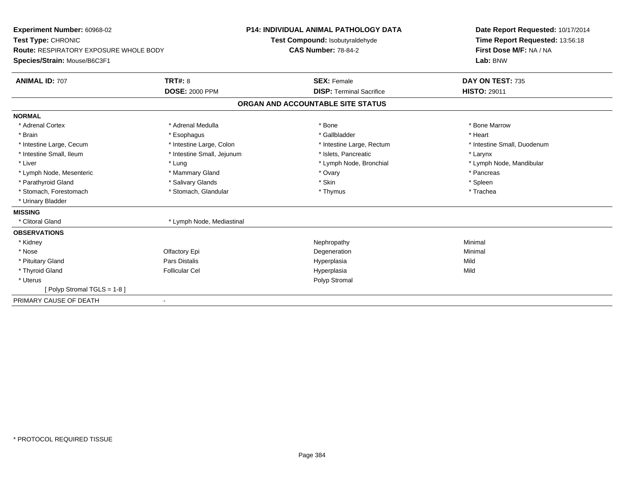| Experiment Number: 60968-02<br>Test Type: CHRONIC |                            | <b>P14: INDIVIDUAL ANIMAL PATHOLOGY DATA</b> |                                   |  | Date Report Requested: 10/17/2014                          |  |  |
|---------------------------------------------------|----------------------------|----------------------------------------------|-----------------------------------|--|------------------------------------------------------------|--|--|
|                                                   |                            |                                              | Test Compound: Isobutyraldehyde   |  | Time Report Requested: 13:56:18<br>First Dose M/F: NA / NA |  |  |
| <b>Route: RESPIRATORY EXPOSURE WHOLE BODY</b>     |                            | <b>CAS Number: 78-84-2</b>                   |                                   |  |                                                            |  |  |
| Species/Strain: Mouse/B6C3F1                      |                            |                                              |                                   |  | Lab: BNW                                                   |  |  |
| <b>ANIMAL ID: 707</b>                             | <b>TRT#: 8</b>             |                                              | <b>SEX: Female</b>                |  | DAY ON TEST: 735                                           |  |  |
|                                                   | <b>DOSE: 2000 PPM</b>      |                                              | <b>DISP: Terminal Sacrifice</b>   |  | <b>HISTO: 29011</b>                                        |  |  |
|                                                   |                            |                                              | ORGAN AND ACCOUNTABLE SITE STATUS |  |                                                            |  |  |
| <b>NORMAL</b>                                     |                            |                                              |                                   |  |                                                            |  |  |
| * Adrenal Cortex                                  | * Adrenal Medulla          |                                              | * Bone                            |  | * Bone Marrow                                              |  |  |
| * Brain                                           | * Esophagus                |                                              | * Gallbladder                     |  | * Heart                                                    |  |  |
| * Intestine Large, Cecum                          | * Intestine Large, Colon   |                                              | * Intestine Large, Rectum         |  | * Intestine Small, Duodenum                                |  |  |
| * Intestine Small. Ileum                          | * Intestine Small, Jejunum |                                              | * Islets. Pancreatic              |  | * Larynx                                                   |  |  |
| * Liver                                           | * Lung                     |                                              | * Lymph Node, Bronchial           |  | * Lymph Node, Mandibular                                   |  |  |
| * Lymph Node, Mesenteric                          | * Mammary Gland            |                                              | * Ovary                           |  | * Pancreas                                                 |  |  |
| * Parathyroid Gland                               | * Salivary Glands          |                                              | * Skin                            |  | * Spleen                                                   |  |  |
| * Stomach, Forestomach                            | * Stomach, Glandular       |                                              | * Thymus                          |  | * Trachea                                                  |  |  |
| * Urinary Bladder                                 |                            |                                              |                                   |  |                                                            |  |  |
| <b>MISSING</b>                                    |                            |                                              |                                   |  |                                                            |  |  |
| * Clitoral Gland                                  | * Lymph Node, Mediastinal  |                                              |                                   |  |                                                            |  |  |
| <b>OBSERVATIONS</b>                               |                            |                                              |                                   |  |                                                            |  |  |
| * Kidney                                          |                            |                                              | Nephropathy                       |  | Minimal                                                    |  |  |
| * Nose                                            | Olfactory Epi              |                                              | Degeneration                      |  | Minimal                                                    |  |  |
| * Pituitary Gland                                 | Pars Distalis              |                                              | Hyperplasia                       |  | Mild                                                       |  |  |
| * Thyroid Gland                                   | <b>Follicular Cel</b>      |                                              | Hyperplasia                       |  | Mild                                                       |  |  |
| * Uterus                                          |                            |                                              | Polyp Stromal                     |  |                                                            |  |  |
| [Polyp Stromal TGLS = 1-8]                        |                            |                                              |                                   |  |                                                            |  |  |
| PRIMARY CAUSE OF DEATH<br>$\blacksquare$          |                            |                                              |                                   |  |                                                            |  |  |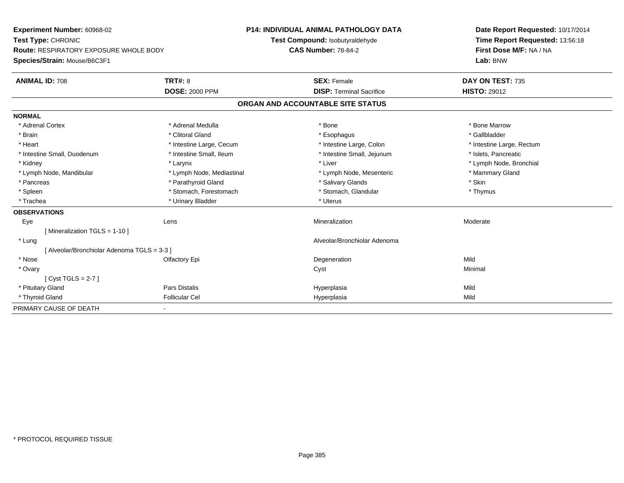| Experiment Number: 60968-02                   |                           | <b>P14: INDIVIDUAL ANIMAL PATHOLOGY DATA</b> | Date Report Requested: 10/17/2014 |  |  |
|-----------------------------------------------|---------------------------|----------------------------------------------|-----------------------------------|--|--|
| Test Type: CHRONIC                            |                           | Test Compound: Isobutyraldehyde              | Time Report Requested: 13:56:18   |  |  |
| <b>Route: RESPIRATORY EXPOSURE WHOLE BODY</b> |                           | <b>CAS Number: 78-84-2</b>                   | First Dose M/F: NA / NA           |  |  |
| Species/Strain: Mouse/B6C3F1                  |                           |                                              | Lab: BNW                          |  |  |
| <b>ANIMAL ID: 708</b>                         | TRT#: 8                   | <b>SEX: Female</b>                           | DAY ON TEST: 735                  |  |  |
|                                               | <b>DOSE: 2000 PPM</b>     | <b>DISP: Terminal Sacrifice</b>              | <b>HISTO: 29012</b>               |  |  |
|                                               |                           | ORGAN AND ACCOUNTABLE SITE STATUS            |                                   |  |  |
| <b>NORMAL</b>                                 |                           |                                              |                                   |  |  |
| * Adrenal Cortex                              | * Adrenal Medulla         | * Bone                                       | * Bone Marrow                     |  |  |
| * Brain                                       | * Clitoral Gland          | * Esophagus                                  | * Gallbladder                     |  |  |
| * Heart                                       | * Intestine Large, Cecum  | * Intestine Large, Colon                     | * Intestine Large, Rectum         |  |  |
| * Intestine Small, Duodenum                   | * Intestine Small, Ileum  | * Intestine Small, Jejunum                   | * Islets, Pancreatic              |  |  |
| * Kidney                                      | * Larynx                  | * Liver                                      | * Lymph Node, Bronchial           |  |  |
| * Lymph Node, Mandibular                      | * Lymph Node, Mediastinal | * Lymph Node, Mesenteric                     | * Mammary Gland                   |  |  |
| * Pancreas                                    | * Parathyroid Gland       | * Salivary Glands                            | * Skin                            |  |  |
| * Spleen                                      | * Stomach, Forestomach    | * Stomach, Glandular                         | * Thymus                          |  |  |
| * Trachea                                     | * Urinary Bladder         | * Uterus                                     |                                   |  |  |
| <b>OBSERVATIONS</b>                           |                           |                                              |                                   |  |  |
| Eye                                           | Lens                      | Mineralization                               | Moderate                          |  |  |
| [ Mineralization TGLS = 1-10 ]                |                           |                                              |                                   |  |  |
| * Lung                                        |                           | Alveolar/Bronchiolar Adenoma                 |                                   |  |  |
| [Alveolar/Bronchiolar Adenoma TGLS = 3-3]     |                           |                                              |                                   |  |  |
| * Nose                                        | Olfactory Epi             | Degeneration                                 | Mild                              |  |  |
| * Ovary                                       |                           | Cyst                                         | Minimal                           |  |  |
| $Cvst TGLS = 2-7$                             |                           |                                              |                                   |  |  |
| * Pituitary Gland                             | Pars Distalis             | Hyperplasia                                  | Mild                              |  |  |
| * Thyroid Gland                               | <b>Follicular Cel</b>     | Hyperplasia                                  | Mild                              |  |  |
| PRIMARY CAUSE OF DEATH                        |                           |                                              |                                   |  |  |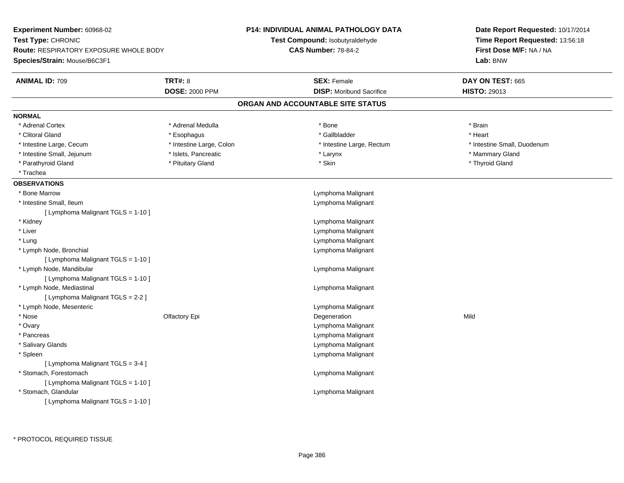| Experiment Number: 60968-02                   |                          | <b>P14: INDIVIDUAL ANIMAL PATHOLOGY DATA</b> | Date Report Requested: 10/17/2014<br>Time Report Requested: 13:56:18<br>First Dose M/F: NA / NA<br>Lab: BNW |  |
|-----------------------------------------------|--------------------------|----------------------------------------------|-------------------------------------------------------------------------------------------------------------|--|
| Test Type: CHRONIC                            |                          | Test Compound: Isobutyraldehyde              |                                                                                                             |  |
| <b>Route: RESPIRATORY EXPOSURE WHOLE BODY</b> |                          | <b>CAS Number: 78-84-2</b>                   |                                                                                                             |  |
| Species/Strain: Mouse/B6C3F1                  |                          |                                              |                                                                                                             |  |
| <b>ANIMAL ID: 709</b>                         | <b>TRT#: 8</b>           | <b>SEX: Female</b>                           | DAY ON TEST: 665                                                                                            |  |
|                                               | <b>DOSE: 2000 PPM</b>    | <b>DISP:</b> Moribund Sacrifice              | <b>HISTO: 29013</b>                                                                                         |  |
|                                               |                          | ORGAN AND ACCOUNTABLE SITE STATUS            |                                                                                                             |  |
| <b>NORMAL</b>                                 |                          |                                              |                                                                                                             |  |
| * Adrenal Cortex                              | * Adrenal Medulla        | * Bone                                       | * Brain                                                                                                     |  |
| * Clitoral Gland                              | * Esophagus              | * Gallbladder                                | * Heart                                                                                                     |  |
| * Intestine Large, Cecum                      | * Intestine Large, Colon | * Intestine Large, Rectum                    | * Intestine Small, Duodenum                                                                                 |  |
| * Intestine Small, Jejunum                    | * Islets, Pancreatic     | * Larynx                                     | * Mammary Gland                                                                                             |  |
| * Parathyroid Gland                           | * Pituitary Gland        | * Skin                                       | * Thyroid Gland                                                                                             |  |
| * Trachea                                     |                          |                                              |                                                                                                             |  |
| <b>OBSERVATIONS</b>                           |                          |                                              |                                                                                                             |  |
| * Bone Marrow                                 |                          | Lymphoma Malignant                           |                                                                                                             |  |
| * Intestine Small, Ileum                      |                          | Lymphoma Malignant                           |                                                                                                             |  |
| [ Lymphoma Malignant TGLS = 1-10 ]            |                          |                                              |                                                                                                             |  |
| * Kidney                                      |                          | Lymphoma Malignant                           |                                                                                                             |  |
| * Liver                                       |                          | Lymphoma Malignant                           |                                                                                                             |  |
| * Lung                                        |                          | Lymphoma Malignant                           |                                                                                                             |  |
| * Lymph Node, Bronchial                       |                          | Lymphoma Malignant                           |                                                                                                             |  |
| [ Lymphoma Malignant TGLS = 1-10 ]            |                          |                                              |                                                                                                             |  |
| * Lymph Node, Mandibular                      |                          | Lymphoma Malignant                           |                                                                                                             |  |
| [ Lymphoma Malignant TGLS = 1-10 ]            |                          |                                              |                                                                                                             |  |
| * Lymph Node, Mediastinal                     |                          | Lymphoma Malignant                           |                                                                                                             |  |
| [ Lymphoma Malignant TGLS = 2-2 ]             |                          |                                              |                                                                                                             |  |
| * Lymph Node, Mesenteric                      |                          | Lymphoma Malignant                           |                                                                                                             |  |
| * Nose                                        | Olfactory Epi            | Degeneration                                 | Mild                                                                                                        |  |
| * Ovary                                       |                          | Lymphoma Malignant                           |                                                                                                             |  |
| * Pancreas                                    |                          | Lymphoma Malignant                           |                                                                                                             |  |
| * Salivary Glands                             |                          | Lymphoma Malignant                           |                                                                                                             |  |
| * Spleen                                      |                          | Lymphoma Malignant                           |                                                                                                             |  |
| [ Lymphoma Malignant TGLS = 3-4 ]             |                          |                                              |                                                                                                             |  |
| * Stomach, Forestomach                        |                          | Lymphoma Malignant                           |                                                                                                             |  |
| [ Lymphoma Malignant TGLS = 1-10 ]            |                          |                                              |                                                                                                             |  |
| * Stomach, Glandular                          |                          | Lymphoma Malignant                           |                                                                                                             |  |
| [ Lymphoma Malignant TGLS = 1-10 ]            |                          |                                              |                                                                                                             |  |
|                                               |                          |                                              |                                                                                                             |  |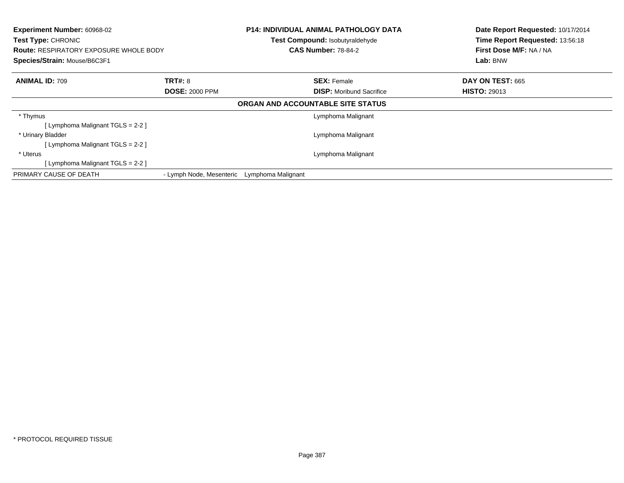| Experiment Number: 60968-02<br>Test Type: CHRONIC<br><b>Route: RESPIRATORY EXPOSURE WHOLE BODY</b><br>Species/Strain: Mouse/B6C3F1 |                          |                    | <b>P14: INDIVIDUAL ANIMAL PATHOLOGY DATA</b><br>Test Compound: Isobutyraldehyde<br><b>CAS Number: 78-84-2</b> | Date Report Requested: 10/17/2014<br>Time Report Requested: 13:56:18<br>First Dose M/F: NA / NA<br>Lab: BNW |
|------------------------------------------------------------------------------------------------------------------------------------|--------------------------|--------------------|---------------------------------------------------------------------------------------------------------------|-------------------------------------------------------------------------------------------------------------|
| <b>ANIMAL ID: 709</b>                                                                                                              | <b>TRT#: 8</b>           |                    | <b>SEX: Female</b>                                                                                            | DAY ON TEST: 665                                                                                            |
|                                                                                                                                    | <b>DOSE: 2000 PPM</b>    |                    | <b>DISP:</b> Moribund Sacrifice                                                                               | <b>HISTO: 29013</b>                                                                                         |
|                                                                                                                                    |                          |                    | ORGAN AND ACCOUNTABLE SITE STATUS                                                                             |                                                                                                             |
| * Thymus                                                                                                                           |                          |                    | Lymphoma Malignant                                                                                            |                                                                                                             |
| [ Lymphoma Malignant TGLS = 2-2 ]                                                                                                  |                          |                    |                                                                                                               |                                                                                                             |
| * Urinary Bladder                                                                                                                  |                          |                    | Lymphoma Malignant                                                                                            |                                                                                                             |
| [Lymphoma Malignant TGLS = $2-2$ ]                                                                                                 |                          |                    |                                                                                                               |                                                                                                             |
| * Uterus                                                                                                                           |                          |                    | Lymphoma Malignant                                                                                            |                                                                                                             |
| [ Lymphoma Malignant TGLS = 2-2 ]                                                                                                  |                          |                    |                                                                                                               |                                                                                                             |
| PRIMARY CAUSE OF DEATH                                                                                                             | - Lymph Node, Mesenteric | Lymphoma Malignant |                                                                                                               |                                                                                                             |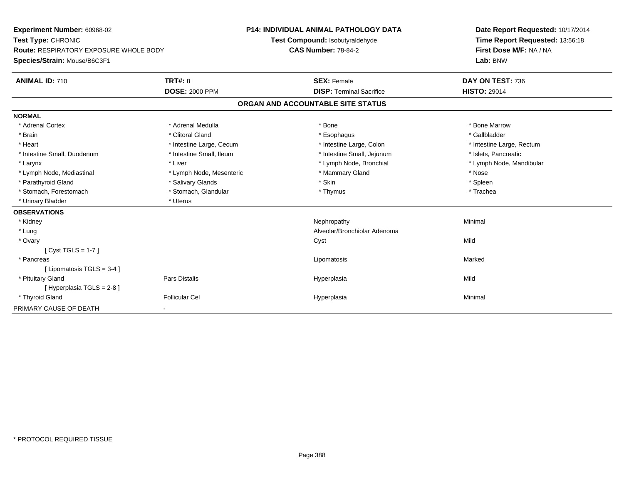| Experiment Number: 60968-02<br>Test Type: CHRONIC |                          | <b>P14: INDIVIDUAL ANIMAL PATHOLOGY DATA</b> | Date Report Requested: 10/17/2014 |
|---------------------------------------------------|--------------------------|----------------------------------------------|-----------------------------------|
|                                                   |                          | Test Compound: Isobutyraldehyde              | Time Report Requested: 13:56:18   |
| <b>Route: RESPIRATORY EXPOSURE WHOLE BODY</b>     |                          | <b>CAS Number: 78-84-2</b>                   | First Dose M/F: NA / NA           |
| Species/Strain: Mouse/B6C3F1                      |                          |                                              | Lab: BNW                          |
| <b>ANIMAL ID: 710</b>                             | TRT#: 8                  | <b>SEX: Female</b>                           | DAY ON TEST: 736                  |
|                                                   | <b>DOSE: 2000 PPM</b>    | <b>DISP: Terminal Sacrifice</b>              | <b>HISTO: 29014</b>               |
|                                                   |                          | ORGAN AND ACCOUNTABLE SITE STATUS            |                                   |
| <b>NORMAL</b>                                     |                          |                                              |                                   |
| * Adrenal Cortex                                  | * Adrenal Medulla        | * Bone                                       | * Bone Marrow                     |
| * Brain                                           | * Clitoral Gland         | * Esophagus                                  | * Gallbladder                     |
| * Heart                                           | * Intestine Large, Cecum | * Intestine Large, Colon                     | * Intestine Large, Rectum         |
| * Intestine Small, Duodenum                       | * Intestine Small, Ileum | * Intestine Small, Jejunum                   | * Islets, Pancreatic              |
| * Larynx                                          | * Liver                  | * Lymph Node, Bronchial                      | * Lymph Node, Mandibular          |
| * Lymph Node, Mediastinal                         | * Lymph Node, Mesenteric | * Mammary Gland                              | * Nose                            |
| * Parathyroid Gland                               | * Salivary Glands        | * Skin                                       | * Spleen                          |
| * Stomach, Forestomach                            | * Stomach, Glandular     | * Thymus                                     | * Trachea                         |
| * Urinary Bladder                                 | * Uterus                 |                                              |                                   |
| <b>OBSERVATIONS</b>                               |                          |                                              |                                   |
| * Kidney                                          |                          | Nephropathy                                  | Minimal                           |
| * Lung                                            |                          | Alveolar/Bronchiolar Adenoma                 |                                   |
| * Ovary                                           |                          | Cyst                                         | Mild                              |
| $[Cyst TGLS = 1-7]$                               |                          |                                              |                                   |
| * Pancreas                                        |                          | Lipomatosis                                  | Marked                            |
| [Lipomatosis TGLS = $3-4$ ]                       |                          |                                              |                                   |
| * Pituitary Gland                                 | <b>Pars Distalis</b>     | Hyperplasia                                  | Mild                              |
| [Hyperplasia TGLS = 2-8]                          |                          |                                              |                                   |
| * Thyroid Gland                                   | <b>Follicular Cel</b>    | Hyperplasia                                  | Minimal                           |
| PRIMARY CAUSE OF DEATH                            | $\blacksquare$           |                                              |                                   |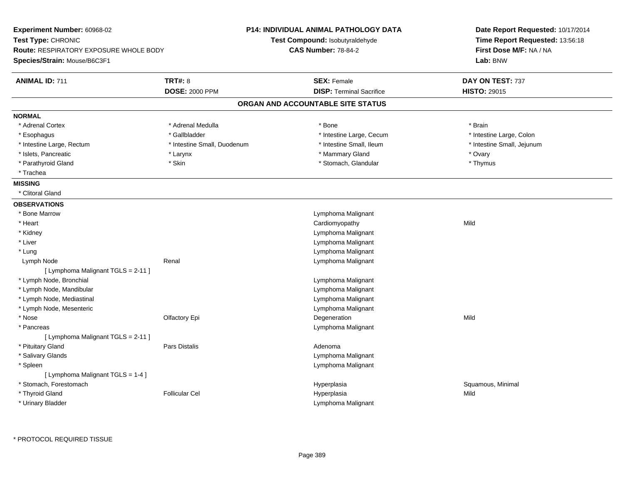| Experiment Number: 60968-02<br>Test Type: CHRONIC                             |                                         | P14: INDIVIDUAL ANIMAL PATHOLOGY DATA<br>Test Compound: Isobutyraldehyde | Date Report Requested: 10/17/2014<br>Time Report Requested: 13:56:18 |  |
|-------------------------------------------------------------------------------|-----------------------------------------|--------------------------------------------------------------------------|----------------------------------------------------------------------|--|
| <b>Route: RESPIRATORY EXPOSURE WHOLE BODY</b><br>Species/Strain: Mouse/B6C3F1 |                                         | <b>CAS Number: 78-84-2</b>                                               | First Dose M/F: NA / NA<br>Lab: BNW                                  |  |
| <b>ANIMAL ID: 711</b>                                                         | <b>TRT#: 8</b><br><b>DOSE: 2000 PPM</b> | <b>SEX: Female</b><br><b>DISP: Terminal Sacrifice</b>                    | DAY ON TEST: 737<br><b>HISTO: 29015</b>                              |  |
|                                                                               |                                         | ORGAN AND ACCOUNTABLE SITE STATUS                                        |                                                                      |  |
|                                                                               |                                         |                                                                          |                                                                      |  |
| <b>NORMAL</b><br>* Adrenal Cortex                                             | * Adrenal Medulla                       | * Bone                                                                   | * Brain                                                              |  |
| * Esophagus                                                                   | * Gallbladder                           | * Intestine Large, Cecum                                                 | * Intestine Large, Colon                                             |  |
| * Intestine Large, Rectum                                                     | * Intestine Small, Duodenum             | * Intestine Small, Ileum                                                 | * Intestine Small, Jejunum                                           |  |
| * Islets, Pancreatic                                                          | * Larynx                                | * Mammary Gland                                                          | * Ovary                                                              |  |
| * Parathyroid Gland                                                           | * Skin                                  | * Stomach, Glandular                                                     | * Thymus                                                             |  |
| * Trachea                                                                     |                                         |                                                                          |                                                                      |  |
| <b>MISSING</b>                                                                |                                         |                                                                          |                                                                      |  |
| * Clitoral Gland                                                              |                                         |                                                                          |                                                                      |  |
| <b>OBSERVATIONS</b>                                                           |                                         |                                                                          |                                                                      |  |
| * Bone Marrow                                                                 |                                         | Lymphoma Malignant                                                       |                                                                      |  |
| * Heart                                                                       |                                         | Cardiomyopathy                                                           | Mild                                                                 |  |
| * Kidney                                                                      |                                         | Lymphoma Malignant                                                       |                                                                      |  |
| * Liver                                                                       |                                         | Lymphoma Malignant                                                       |                                                                      |  |
| * Lung                                                                        |                                         | Lymphoma Malignant                                                       |                                                                      |  |
| Lymph Node                                                                    | Renal                                   | Lymphoma Malignant                                                       |                                                                      |  |
| [ Lymphoma Malignant TGLS = 2-11 ]                                            |                                         |                                                                          |                                                                      |  |
| * Lymph Node, Bronchial                                                       |                                         | Lymphoma Malignant                                                       |                                                                      |  |
| * Lymph Node, Mandibular                                                      |                                         | Lymphoma Malignant                                                       |                                                                      |  |
| * Lymph Node, Mediastinal                                                     |                                         | Lymphoma Malignant                                                       |                                                                      |  |
| * Lymph Node, Mesenteric                                                      |                                         | Lymphoma Malignant                                                       |                                                                      |  |
| * Nose                                                                        | Olfactory Epi                           | Degeneration                                                             | Mild                                                                 |  |
| * Pancreas                                                                    |                                         | Lymphoma Malignant                                                       |                                                                      |  |
| [ Lymphoma Malignant TGLS = 2-11 ]                                            |                                         |                                                                          |                                                                      |  |
| * Pituitary Gland                                                             | Pars Distalis                           | Adenoma                                                                  |                                                                      |  |
| * Salivary Glands                                                             |                                         | Lymphoma Malignant                                                       |                                                                      |  |
| * Spleen                                                                      |                                         | Lymphoma Malignant                                                       |                                                                      |  |
| [ Lymphoma Malignant TGLS = 1-4 ]                                             |                                         |                                                                          |                                                                      |  |
| * Stomach, Forestomach                                                        |                                         | Hyperplasia                                                              | Squamous, Minimal                                                    |  |
| * Thyroid Gland                                                               | <b>Follicular Cel</b>                   | Hyperplasia                                                              | Mild                                                                 |  |
| * Urinary Bladder                                                             |                                         | Lymphoma Malignant                                                       |                                                                      |  |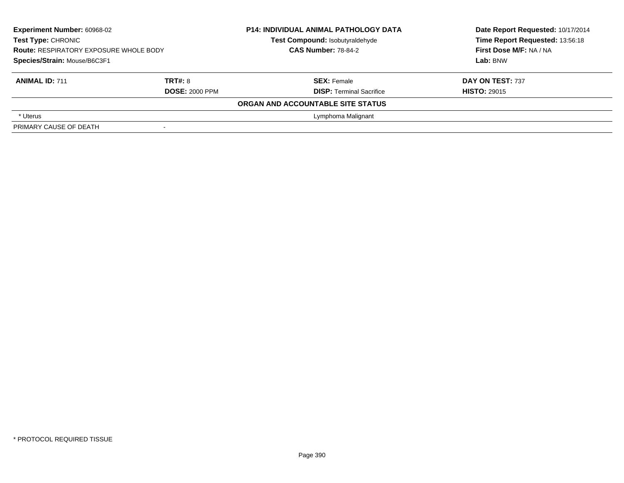| <b>Experiment Number: 60968-02</b><br>Test Type: CHRONIC<br><b>Route: RESPIRATORY EXPOSURE WHOLE BODY</b><br>Species/Strain: Mouse/B6C3F1 |  | <b>P14: INDIVIDUAL ANIMAL PATHOLOGY DATA</b><br>Test Compound: Isobutyraldehyde<br><b>CAS Number: 78-84-2</b> | Date Report Requested: 10/17/2014<br>Time Report Requested: 13:56:18<br>First Dose M/F: NA / NA<br>Lab: BNW |  |
|-------------------------------------------------------------------------------------------------------------------------------------------|--|---------------------------------------------------------------------------------------------------------------|-------------------------------------------------------------------------------------------------------------|--|
| <b>TRT#: 8</b><br><b>ANIMAL ID: 711</b><br><b>DOSE: 2000 PPM</b>                                                                          |  | <b>SEX: Female</b><br><b>DISP: Terminal Sacrifice</b>                                                         | DAY ON TEST: 737<br><b>HISTO: 29015</b>                                                                     |  |
|                                                                                                                                           |  | ORGAN AND ACCOUNTABLE SITE STATUS                                                                             |                                                                                                             |  |
| * Uterus                                                                                                                                  |  | Lymphoma Malignant                                                                                            |                                                                                                             |  |
| PRIMARY CAUSE OF DEATH                                                                                                                    |  |                                                                                                               |                                                                                                             |  |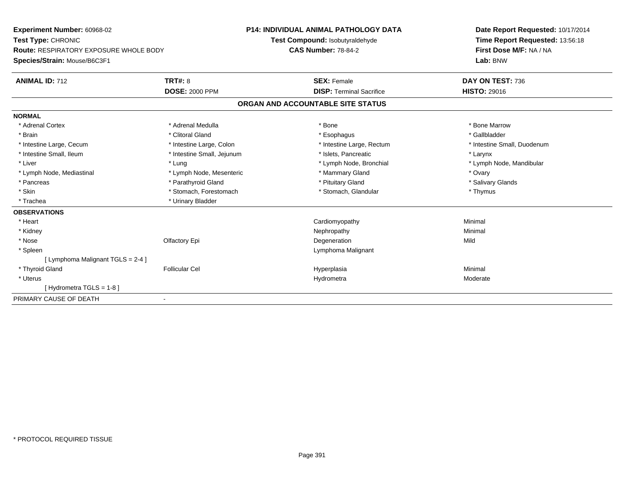| Experiment Number: 60968-02                   |                            | <b>P14: INDIVIDUAL ANIMAL PATHOLOGY DATA</b> | Date Report Requested: 10/17/2014 |  |  |
|-----------------------------------------------|----------------------------|----------------------------------------------|-----------------------------------|--|--|
| Test Type: CHRONIC                            |                            | Test Compound: Isobutyraldehyde              | Time Report Requested: 13:56:18   |  |  |
| <b>Route: RESPIRATORY EXPOSURE WHOLE BODY</b> |                            | <b>CAS Number: 78-84-2</b>                   | First Dose M/F: NA / NA           |  |  |
| Species/Strain: Mouse/B6C3F1                  |                            |                                              | Lab: BNW                          |  |  |
| <b>ANIMAL ID: 712</b>                         | TRT#: 8                    | <b>SEX: Female</b>                           | DAY ON TEST: 736                  |  |  |
|                                               | <b>DOSE: 2000 PPM</b>      | <b>DISP: Terminal Sacrifice</b>              | <b>HISTO: 29016</b>               |  |  |
|                                               |                            | ORGAN AND ACCOUNTABLE SITE STATUS            |                                   |  |  |
| <b>NORMAL</b>                                 |                            |                                              |                                   |  |  |
| * Adrenal Cortex                              | * Adrenal Medulla          | * Bone                                       | * Bone Marrow                     |  |  |
| * Brain                                       | * Clitoral Gland           | * Esophagus                                  | * Gallbladder                     |  |  |
| * Intestine Large, Cecum                      | * Intestine Large, Colon   | * Intestine Large, Rectum                    | * Intestine Small, Duodenum       |  |  |
| * Intestine Small, Ileum                      | * Intestine Small, Jejunum | * Islets, Pancreatic                         | * Larynx                          |  |  |
| * Liver                                       | * Lung                     | * Lymph Node, Bronchial                      | * Lymph Node, Mandibular          |  |  |
| * Lymph Node, Mediastinal                     | * Lymph Node, Mesenteric   | * Mammary Gland                              | * Ovary                           |  |  |
| * Pancreas                                    | * Parathyroid Gland        | * Pituitary Gland                            | * Salivary Glands                 |  |  |
| * Skin                                        | * Stomach, Forestomach     | * Stomach, Glandular                         | * Thymus                          |  |  |
| * Trachea                                     | * Urinary Bladder          |                                              |                                   |  |  |
| <b>OBSERVATIONS</b>                           |                            |                                              |                                   |  |  |
| * Heart                                       |                            | Cardiomyopathy                               | Minimal                           |  |  |
| * Kidney                                      |                            | Nephropathy                                  | Minimal                           |  |  |
| * Nose                                        | Olfactory Epi              | Degeneration                                 | Mild                              |  |  |
| * Spleen                                      |                            | Lymphoma Malignant                           |                                   |  |  |
| [ Lymphoma Malignant TGLS = 2-4 ]             |                            |                                              |                                   |  |  |
| * Thyroid Gland                               | <b>Follicular Cel</b>      | Hyperplasia                                  | Minimal                           |  |  |
| * Uterus                                      |                            | Hydrometra                                   | Moderate                          |  |  |
| [Hydrometra TGLS = 1-8]                       |                            |                                              |                                   |  |  |
| PRIMARY CAUSE OF DEATH                        |                            |                                              |                                   |  |  |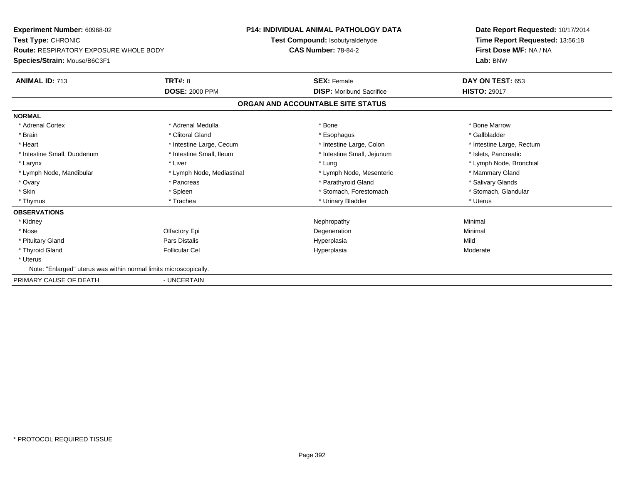**Experiment Number:** 60968-02**Test Type:** CHRONIC **Route:** RESPIRATORY EXPOSURE WHOLE BODY**Species/Strain:** Mouse/B6C3F1**P14: INDIVIDUAL ANIMAL PATHOLOGY DATATest Compound:** Isobutyraldehyde**CAS Number:** 78-84-2**Date Report Requested:** 10/17/2014**Time Report Requested:** 13:56:18**First Dose M/F:** NA / NA**Lab:** BNW**ANIMAL ID:** 713**TRT#:** 8 **SEX:** Female **DAY ON TEST:** 653 **DOSE:** 2000 PPM**DISP:** Moribund Sacrifice **HISTO:** 29017 **ORGAN AND ACCOUNTABLE SITE STATUSNORMAL**\* Adrenal Cortex \* Adrenal Medulla \* Adrenal Medulla \* Bone \* Bone \* Bone \* Bone \* Bone Marrow \* Gallbladder \* Brain \* Allen the second of the second of the second of the second of the second of the second of the second terms of the second of the second of the second of the second of the second of the second of the second of the \* Heart **\*** Intestine Large, Cecum \* Intestine Large, Cecum \* Intestine Large, Colon \* <sup>\*</sup> Intestine Large, Rectum \* Intestine Small, Duodenum \* Intestine Small, Ileum \* Intestine Small, Intestine Small, Jejunum \* Islets, Pancreatic \* Larynx \* Louis \* Liver \* Lung \* Lung \* Lung \* Lung \* Lung \* Lymph Node, Bronchial \* Lymph Node, Bronchial \* \* Lymph Node, Mandibular \* Lymph Node, Mediastinal \* Lymph Node, Mesenteric \* Mammary Gland \* Salivary Glands \* Ovary \* \* Pancreas \* \* Pancreas \* \* Pancreas \* \* Parathyroid Gland \* \* Salivary Glands \* Salivary Glands \* Salivary Glands \* Salivary Glands \* Salivary Glands \* Salivary Glands \* Salivary Glands \* \* Salivary Glands \* \* S \* Stomach, Glandular \* Skin \* Spleen \* Spleen \* Spleen \* Stomach, Forestomach \* Stomach, Forestomach \* Thymus \* Trachea \* Urinary Bladder \* Uterus **OBSERVATIONS** \* Kidneyy the control of the control of the control of the control of the control of the control of the control of the control of the control of the control of the control of the control of the control of the control of the contro \* Nosee and the Colombia Colombia Degeneration and the Colombia Degeneration and the Colombia Minimal Minimal of the Minimal State of the Colombia Degeneration and the Minimal of the Colombia Degeneration of the Colombia Degener \* Pituitary Gland Pars Distalis Hyperplasia Mild \* Thyroid Gland Follicular Cel Hyperplasia Moderate \* Uterus Note: "Enlarged" uterus was within normal limits microscopically.PRIMARY CAUSE OF DEATH- UNCERTAIN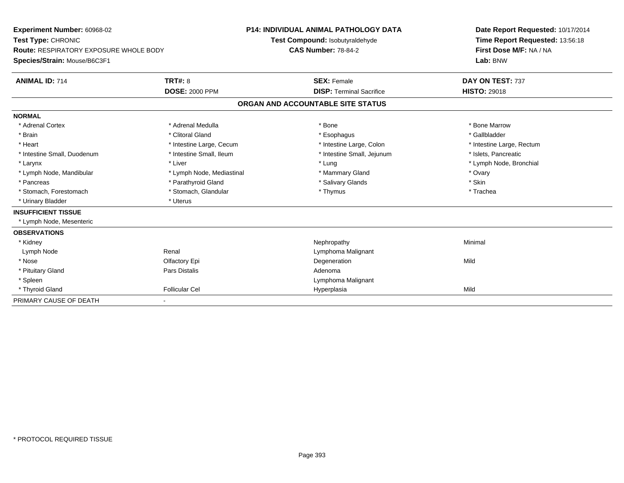| Experiment Number: 60968-02                   |                           | <b>P14: INDIVIDUAL ANIMAL PATHOLOGY DATA</b> |                                   |  | Date Report Requested: 10/17/2014 |  |  |
|-----------------------------------------------|---------------------------|----------------------------------------------|-----------------------------------|--|-----------------------------------|--|--|
| Test Type: CHRONIC                            |                           | Test Compound: Isobutyraldehyde              |                                   |  | Time Report Requested: 13:56:18   |  |  |
| <b>Route: RESPIRATORY EXPOSURE WHOLE BODY</b> |                           | <b>CAS Number: 78-84-2</b>                   |                                   |  | First Dose M/F: NA / NA           |  |  |
| Species/Strain: Mouse/B6C3F1                  |                           |                                              |                                   |  | Lab: BNW                          |  |  |
| <b>ANIMAL ID: 714</b>                         | <b>TRT#: 8</b>            |                                              | <b>SEX: Female</b>                |  | DAY ON TEST: 737                  |  |  |
|                                               | <b>DOSE: 2000 PPM</b>     |                                              | <b>DISP: Terminal Sacrifice</b>   |  | <b>HISTO: 29018</b>               |  |  |
|                                               |                           |                                              | ORGAN AND ACCOUNTABLE SITE STATUS |  |                                   |  |  |
| <b>NORMAL</b>                                 |                           |                                              |                                   |  |                                   |  |  |
| * Adrenal Cortex                              | * Adrenal Medulla         |                                              | * Bone                            |  | * Bone Marrow                     |  |  |
| * Brain                                       | * Clitoral Gland          |                                              | * Esophagus                       |  | * Gallbladder                     |  |  |
| * Heart                                       | * Intestine Large, Cecum  |                                              | * Intestine Large, Colon          |  | * Intestine Large, Rectum         |  |  |
| * Intestine Small, Duodenum                   | * Intestine Small, Ileum  |                                              | * Intestine Small, Jejunum        |  | * Islets. Pancreatic              |  |  |
| * Larynx                                      | * Liver                   |                                              | * Lung                            |  | * Lymph Node, Bronchial           |  |  |
| * Lymph Node, Mandibular                      | * Lymph Node, Mediastinal |                                              | * Mammary Gland                   |  | * Ovary                           |  |  |
| * Pancreas                                    | * Parathyroid Gland       |                                              | * Salivary Glands                 |  | * Skin                            |  |  |
| * Stomach, Forestomach                        | * Stomach, Glandular      |                                              | * Thymus                          |  | * Trachea                         |  |  |
| * Urinary Bladder                             | * Uterus                  |                                              |                                   |  |                                   |  |  |
| <b>INSUFFICIENT TISSUE</b>                    |                           |                                              |                                   |  |                                   |  |  |
| * Lymph Node, Mesenteric                      |                           |                                              |                                   |  |                                   |  |  |
| <b>OBSERVATIONS</b>                           |                           |                                              |                                   |  |                                   |  |  |
| * Kidney                                      |                           |                                              | Nephropathy                       |  | Minimal                           |  |  |
| Lymph Node                                    | Renal                     |                                              | Lymphoma Malignant                |  |                                   |  |  |
| * Nose                                        | Olfactory Epi             |                                              | Degeneration                      |  | Mild                              |  |  |
| * Pituitary Gland                             | Pars Distalis             |                                              | Adenoma                           |  |                                   |  |  |
| * Spleen                                      |                           |                                              | Lymphoma Malignant                |  |                                   |  |  |
| * Thyroid Gland                               | <b>Follicular Cel</b>     |                                              | Hyperplasia                       |  | Mild                              |  |  |
| PRIMARY CAUSE OF DEATH                        |                           |                                              |                                   |  |                                   |  |  |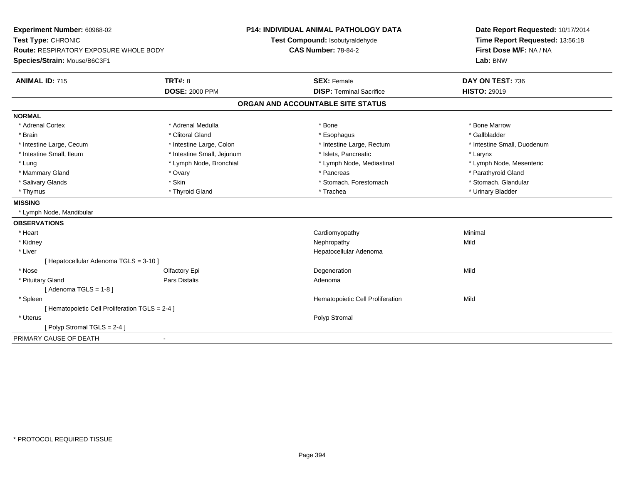| Experiment Number: 60968-02                     |                            | P14: INDIVIDUAL ANIMAL PATHOLOGY DATA | Date Report Requested: 10/17/2014 |  |  |
|-------------------------------------------------|----------------------------|---------------------------------------|-----------------------------------|--|--|
| Test Type: CHRONIC                              |                            | Test Compound: Isobutyraldehyde       | Time Report Requested: 13:56:18   |  |  |
| Route: RESPIRATORY EXPOSURE WHOLE BODY          |                            | <b>CAS Number: 78-84-2</b>            | First Dose M/F: NA / NA           |  |  |
| Species/Strain: Mouse/B6C3F1                    |                            |                                       | Lab: BNW                          |  |  |
| <b>ANIMAL ID: 715</b>                           | <b>TRT#: 8</b>             | <b>SEX: Female</b>                    | DAY ON TEST: 736                  |  |  |
|                                                 | <b>DOSE: 2000 PPM</b>      | <b>DISP: Terminal Sacrifice</b>       | <b>HISTO: 29019</b>               |  |  |
|                                                 |                            | ORGAN AND ACCOUNTABLE SITE STATUS     |                                   |  |  |
| <b>NORMAL</b>                                   |                            |                                       |                                   |  |  |
| * Adrenal Cortex                                | * Adrenal Medulla          | * Bone                                | * Bone Marrow                     |  |  |
| * Brain                                         | * Clitoral Gland           | * Esophagus                           | * Gallbladder                     |  |  |
| * Intestine Large, Cecum                        | * Intestine Large, Colon   | * Intestine Large, Rectum             | * Intestine Small, Duodenum       |  |  |
| * Intestine Small, Ileum                        | * Intestine Small, Jejunum | * Islets, Pancreatic                  | * Larynx                          |  |  |
| * Lung                                          | * Lymph Node, Bronchial    | * Lymph Node, Mediastinal             | * Lymph Node, Mesenteric          |  |  |
| * Mammary Gland                                 | * Ovary                    | * Pancreas                            | * Parathyroid Gland               |  |  |
| * Salivary Glands                               | * Skin                     | * Stomach, Forestomach                | * Stomach, Glandular              |  |  |
| * Thymus                                        | * Thyroid Gland            | * Trachea                             | * Urinary Bladder                 |  |  |
| <b>MISSING</b>                                  |                            |                                       |                                   |  |  |
| * Lymph Node, Mandibular                        |                            |                                       |                                   |  |  |
| <b>OBSERVATIONS</b>                             |                            |                                       |                                   |  |  |
| * Heart                                         |                            | Cardiomyopathy                        | Minimal                           |  |  |
| * Kidney                                        |                            | Nephropathy                           | Mild                              |  |  |
| * Liver                                         |                            | Hepatocellular Adenoma                |                                   |  |  |
| [ Hepatocellular Adenoma TGLS = 3-10 ]          |                            |                                       |                                   |  |  |
| * Nose                                          | Olfactory Epi              | Degeneration                          | Mild                              |  |  |
| * Pituitary Gland                               | <b>Pars Distalis</b>       | Adenoma                               |                                   |  |  |
| [Adenoma TGLS = $1-8$ ]                         |                            |                                       |                                   |  |  |
| * Spleen                                        |                            | Hematopoietic Cell Proliferation      | Mild                              |  |  |
| [ Hematopoietic Cell Proliferation TGLS = 2-4 ] |                            |                                       |                                   |  |  |
| * Uterus                                        |                            | Polyp Stromal                         |                                   |  |  |
| [Polyp Stromal TGLS = 2-4]                      |                            |                                       |                                   |  |  |
| PRIMARY CAUSE OF DEATH                          | $\blacksquare$             |                                       |                                   |  |  |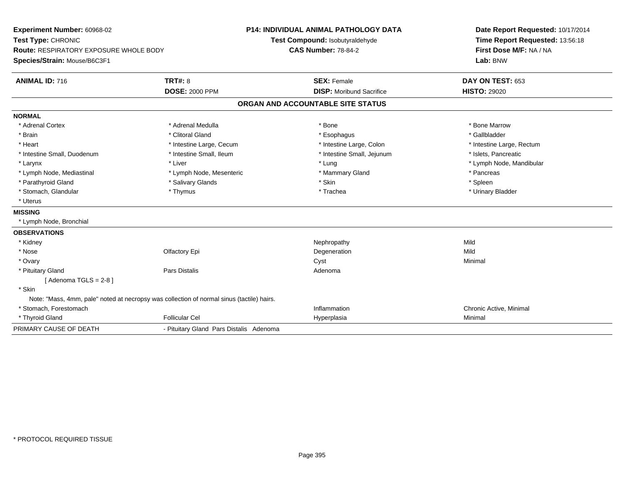| Experiment Number: 60968-02                                                               |                                         | <b>P14: INDIVIDUAL ANIMAL PATHOLOGY DATA</b> | Date Report Requested: 10/17/2014 |  |  |
|-------------------------------------------------------------------------------------------|-----------------------------------------|----------------------------------------------|-----------------------------------|--|--|
| Test Type: CHRONIC                                                                        |                                         | Test Compound: Isobutyraldehyde              | Time Report Requested: 13:56:18   |  |  |
| Route: RESPIRATORY EXPOSURE WHOLE BODY                                                    |                                         | <b>CAS Number: 78-84-2</b>                   | First Dose M/F: NA / NA           |  |  |
| Species/Strain: Mouse/B6C3F1                                                              |                                         |                                              | Lab: BNW                          |  |  |
| <b>ANIMAL ID: 716</b>                                                                     | <b>TRT#: 8</b>                          | <b>SEX: Female</b>                           | DAY ON TEST: 653                  |  |  |
|                                                                                           | <b>DOSE: 2000 PPM</b>                   | <b>DISP:</b> Moribund Sacrifice              | <b>HISTO: 29020</b>               |  |  |
|                                                                                           |                                         | ORGAN AND ACCOUNTABLE SITE STATUS            |                                   |  |  |
| <b>NORMAL</b>                                                                             |                                         |                                              |                                   |  |  |
| * Adrenal Cortex                                                                          | * Adrenal Medulla                       | * Bone                                       | * Bone Marrow                     |  |  |
| * Brain                                                                                   | * Clitoral Gland                        | * Esophagus                                  | * Gallbladder                     |  |  |
| * Heart                                                                                   | * Intestine Large, Cecum                | * Intestine Large, Colon                     | * Intestine Large, Rectum         |  |  |
| * Intestine Small, Duodenum                                                               | * Intestine Small, Ileum                | * Intestine Small, Jejunum                   | * Islets, Pancreatic              |  |  |
| * Larynx                                                                                  | * Liver                                 | * Lung                                       | * Lymph Node, Mandibular          |  |  |
| * Lymph Node, Mediastinal                                                                 | * Lymph Node, Mesenteric                | * Mammary Gland                              | * Pancreas                        |  |  |
| * Parathyroid Gland                                                                       | * Salivary Glands                       | * Skin                                       | * Spleen                          |  |  |
| * Stomach, Glandular                                                                      | * Thymus                                | * Trachea                                    | * Urinary Bladder                 |  |  |
| * Uterus                                                                                  |                                         |                                              |                                   |  |  |
| <b>MISSING</b>                                                                            |                                         |                                              |                                   |  |  |
| * Lymph Node, Bronchial                                                                   |                                         |                                              |                                   |  |  |
| <b>OBSERVATIONS</b>                                                                       |                                         |                                              |                                   |  |  |
| * Kidney                                                                                  |                                         | Nephropathy                                  | Mild                              |  |  |
| * Nose                                                                                    | Olfactory Epi                           | Degeneration                                 | Mild                              |  |  |
| * Ovary                                                                                   |                                         | Cyst                                         | Minimal                           |  |  |
| * Pituitary Gland                                                                         | <b>Pars Distalis</b>                    | Adenoma                                      |                                   |  |  |
| [Adenoma TGLS = $2-8$ ]                                                                   |                                         |                                              |                                   |  |  |
| * Skin                                                                                    |                                         |                                              |                                   |  |  |
| Note: "Mass, 4mm, pale" noted at necropsy was collection of normal sinus (tactile) hairs. |                                         |                                              |                                   |  |  |
| * Stomach, Forestomach                                                                    |                                         | Inflammation                                 | Chronic Active, Minimal           |  |  |
| * Thyroid Gland                                                                           | <b>Follicular Cel</b>                   | Hyperplasia                                  | Minimal                           |  |  |
| PRIMARY CAUSE OF DEATH                                                                    | - Pituitary Gland Pars Distalis Adenoma |                                              |                                   |  |  |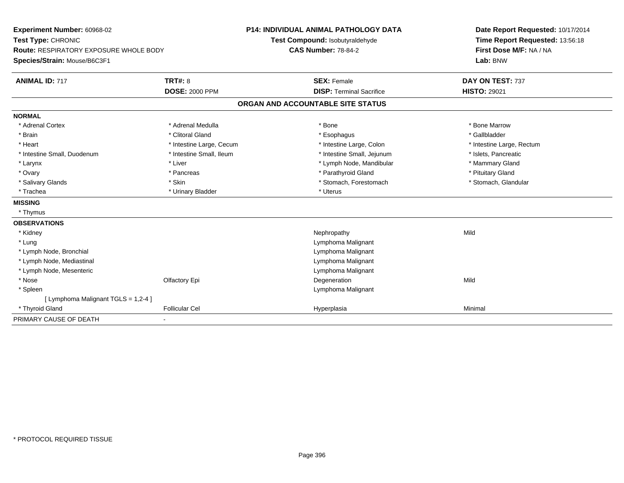| Experiment Number: 60968-02                   |                          | <b>P14: INDIVIDUAL ANIMAL PATHOLOGY DATA</b> |                                   |  | Date Report Requested: 10/17/2014 |  |
|-----------------------------------------------|--------------------------|----------------------------------------------|-----------------------------------|--|-----------------------------------|--|
| Test Type: CHRONIC                            |                          | Test Compound: Isobutyraldehyde              |                                   |  | Time Report Requested: 13:56:18   |  |
| <b>Route: RESPIRATORY EXPOSURE WHOLE BODY</b> |                          | <b>CAS Number: 78-84-2</b>                   |                                   |  | First Dose M/F: NA / NA           |  |
| Species/Strain: Mouse/B6C3F1                  |                          |                                              |                                   |  | Lab: BNW                          |  |
| <b>ANIMAL ID: 717</b>                         | <b>TRT#: 8</b>           |                                              | <b>SEX: Female</b>                |  | DAY ON TEST: 737                  |  |
|                                               | <b>DOSE: 2000 PPM</b>    |                                              | <b>DISP: Terminal Sacrifice</b>   |  | <b>HISTO: 29021</b>               |  |
|                                               |                          |                                              | ORGAN AND ACCOUNTABLE SITE STATUS |  |                                   |  |
| <b>NORMAL</b>                                 |                          |                                              |                                   |  |                                   |  |
| * Adrenal Cortex                              | * Adrenal Medulla        |                                              | * Bone                            |  | * Bone Marrow                     |  |
| * Brain                                       | * Clitoral Gland         |                                              | * Esophagus                       |  | * Gallbladder                     |  |
| * Heart                                       | * Intestine Large, Cecum |                                              | * Intestine Large, Colon          |  | * Intestine Large, Rectum         |  |
| * Intestine Small, Duodenum                   | * Intestine Small, Ileum |                                              | * Intestine Small, Jejunum        |  | * Islets, Pancreatic              |  |
| * Larynx                                      | * Liver                  |                                              | * Lymph Node, Mandibular          |  | * Mammary Gland                   |  |
| * Ovary                                       | * Pancreas               |                                              | * Parathyroid Gland               |  | * Pituitary Gland                 |  |
| * Salivary Glands                             | * Skin                   |                                              | * Stomach, Forestomach            |  | * Stomach, Glandular              |  |
| * Trachea                                     | * Urinary Bladder        |                                              | * Uterus                          |  |                                   |  |
| <b>MISSING</b>                                |                          |                                              |                                   |  |                                   |  |
| * Thymus                                      |                          |                                              |                                   |  |                                   |  |
| <b>OBSERVATIONS</b>                           |                          |                                              |                                   |  |                                   |  |
| * Kidney                                      |                          |                                              | Nephropathy                       |  | Mild                              |  |
| * Lung                                        |                          |                                              | Lymphoma Malignant                |  |                                   |  |
| * Lymph Node, Bronchial                       |                          |                                              | Lymphoma Malignant                |  |                                   |  |
| * Lymph Node, Mediastinal                     |                          |                                              | Lymphoma Malignant                |  |                                   |  |
| * Lymph Node, Mesenteric                      |                          |                                              | Lymphoma Malignant                |  |                                   |  |
| * Nose                                        | Olfactory Epi            |                                              | Degeneration                      |  | Mild                              |  |
| * Spleen                                      |                          |                                              | Lymphoma Malignant                |  |                                   |  |
| [ Lymphoma Malignant TGLS = 1,2-4 ]           |                          |                                              |                                   |  |                                   |  |
| * Thyroid Gland                               | <b>Follicular Cel</b>    |                                              | Hyperplasia                       |  | Minimal                           |  |
| PRIMARY CAUSE OF DEATH                        |                          |                                              |                                   |  |                                   |  |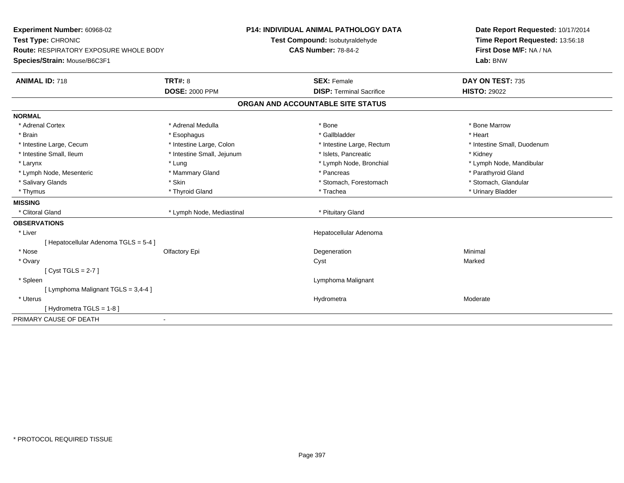| Experiment Number: 60968-02                   |                              | P14: INDIVIDUAL ANIMAL PATHOLOGY DATA | Date Report Requested: 10/17/2014 |  |
|-----------------------------------------------|------------------------------|---------------------------------------|-----------------------------------|--|
| Test Type: CHRONIC                            |                              | Test Compound: Isobutyraldehyde       | Time Report Requested: 13:56:18   |  |
| <b>Route: RESPIRATORY EXPOSURE WHOLE BODY</b> |                              | <b>CAS Number: 78-84-2</b>            | First Dose M/F: NA / NA           |  |
| Species/Strain: Mouse/B6C3F1                  |                              |                                       | Lab: BNW                          |  |
| <b>ANIMAL ID: 718</b>                         | <b>TRT#: 8</b>               | <b>SEX: Female</b>                    | DAY ON TEST: 735                  |  |
|                                               | <b>DOSE: 2000 PPM</b>        | <b>DISP: Terminal Sacrifice</b>       | <b>HISTO: 29022</b>               |  |
|                                               |                              | ORGAN AND ACCOUNTABLE SITE STATUS     |                                   |  |
| <b>NORMAL</b>                                 |                              |                                       |                                   |  |
| * Adrenal Cortex                              | * Adrenal Medulla            | * Bone                                | * Bone Marrow                     |  |
| * Brain                                       | * Esophagus                  | * Gallbladder                         | * Heart                           |  |
| * Intestine Large, Cecum                      | * Intestine Large, Colon     | * Intestine Large, Rectum             | * Intestine Small, Duodenum       |  |
| * Intestine Small, Ileum                      | * Intestine Small, Jejunum   | * Islets, Pancreatic                  | * Kidney                          |  |
| * Larynx                                      | * Lung                       | * Lymph Node, Bronchial               | * Lymph Node, Mandibular          |  |
| * Lymph Node, Mesenteric                      | * Mammary Gland              | * Pancreas                            | * Parathyroid Gland               |  |
| * Salivary Glands                             | * Skin                       | * Stomach, Forestomach                | * Stomach, Glandular              |  |
| * Thymus                                      | * Thyroid Gland              | * Trachea                             | * Urinary Bladder                 |  |
| <b>MISSING</b>                                |                              |                                       |                                   |  |
| * Clitoral Gland                              | * Lymph Node, Mediastinal    | * Pituitary Gland                     |                                   |  |
| <b>OBSERVATIONS</b>                           |                              |                                       |                                   |  |
| * Liver                                       |                              | Hepatocellular Adenoma                |                                   |  |
| [ Hepatocellular Adenoma TGLS = 5-4 ]         |                              |                                       |                                   |  |
| * Nose                                        | Olfactory Epi                | Degeneration                          | Minimal                           |  |
| * Ovary                                       |                              | Cyst                                  | Marked                            |  |
| [Cyst TGLS = $2-7$ ]                          |                              |                                       |                                   |  |
| * Spleen                                      |                              | Lymphoma Malignant                    |                                   |  |
| [ Lymphoma Malignant TGLS = 3,4-4 ]           |                              |                                       |                                   |  |
| * Uterus                                      |                              | Hydrometra                            | Moderate                          |  |
| [Hydrometra TGLS = 1-8]                       |                              |                                       |                                   |  |
| PRIMARY CAUSE OF DEATH                        | $\qquad \qquad \blacksquare$ |                                       |                                   |  |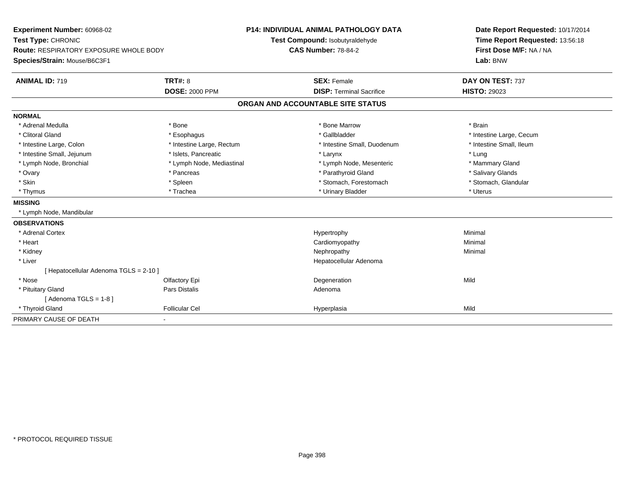| Experiment Number: 60968-02<br>Test Type: CHRONIC<br><b>Route: RESPIRATORY EXPOSURE WHOLE BODY</b><br>Species/Strain: Mouse/B6C3F1<br><b>ANIMAL ID: 719</b> | <b>TRT#: 8</b><br><b>DOSE: 2000 PPM</b> | <b>P14: INDIVIDUAL ANIMAL PATHOLOGY DATA</b><br>Test Compound: Isobutyraldehyde<br><b>CAS Number: 78-84-2</b><br><b>SEX: Female</b><br><b>DISP: Terminal Sacrifice</b> |                                   | Date Report Requested: 10/17/2014<br>Time Report Requested: 13:56:18<br>First Dose M/F: NA / NA<br>Lab: BNW<br>DAY ON TEST: 737<br><b>HISTO: 29023</b> |
|-------------------------------------------------------------------------------------------------------------------------------------------------------------|-----------------------------------------|------------------------------------------------------------------------------------------------------------------------------------------------------------------------|-----------------------------------|--------------------------------------------------------------------------------------------------------------------------------------------------------|
|                                                                                                                                                             |                                         |                                                                                                                                                                        | ORGAN AND ACCOUNTABLE SITE STATUS |                                                                                                                                                        |
| <b>NORMAL</b>                                                                                                                                               |                                         |                                                                                                                                                                        |                                   |                                                                                                                                                        |
| * Adrenal Medulla                                                                                                                                           | * Bone                                  |                                                                                                                                                                        | * Bone Marrow                     | * Brain                                                                                                                                                |
| * Clitoral Gland                                                                                                                                            | * Esophagus                             |                                                                                                                                                                        | * Gallbladder                     | * Intestine Large, Cecum                                                                                                                               |
| * Intestine Large, Colon                                                                                                                                    | * Intestine Large, Rectum               |                                                                                                                                                                        | * Intestine Small, Duodenum       | * Intestine Small, Ileum                                                                                                                               |
| * Intestine Small, Jejunum                                                                                                                                  | * Islets, Pancreatic                    |                                                                                                                                                                        | * Larynx                          | * Lung                                                                                                                                                 |
| * Lymph Node, Bronchial                                                                                                                                     | * Lymph Node, Mediastinal               |                                                                                                                                                                        | * Lymph Node, Mesenteric          | * Mammary Gland                                                                                                                                        |
| * Ovary                                                                                                                                                     | * Pancreas                              |                                                                                                                                                                        | * Parathyroid Gland               | * Salivary Glands                                                                                                                                      |
| * Skin                                                                                                                                                      | * Spleen                                |                                                                                                                                                                        | * Stomach, Forestomach            | * Stomach, Glandular                                                                                                                                   |
| * Thymus                                                                                                                                                    | * Trachea                               |                                                                                                                                                                        | * Urinary Bladder                 | * Uterus                                                                                                                                               |
| <b>MISSING</b>                                                                                                                                              |                                         |                                                                                                                                                                        |                                   |                                                                                                                                                        |
| * Lymph Node, Mandibular                                                                                                                                    |                                         |                                                                                                                                                                        |                                   |                                                                                                                                                        |
| <b>OBSERVATIONS</b>                                                                                                                                         |                                         |                                                                                                                                                                        |                                   |                                                                                                                                                        |
| * Adrenal Cortex                                                                                                                                            |                                         |                                                                                                                                                                        | Hypertrophy                       | Minimal                                                                                                                                                |
| * Heart                                                                                                                                                     |                                         |                                                                                                                                                                        | Cardiomyopathy                    | Minimal                                                                                                                                                |
| * Kidney                                                                                                                                                    |                                         |                                                                                                                                                                        | Nephropathy                       | Minimal                                                                                                                                                |
| * Liver                                                                                                                                                     |                                         |                                                                                                                                                                        | Hepatocellular Adenoma            |                                                                                                                                                        |
| [ Hepatocellular Adenoma TGLS = 2-10 ]                                                                                                                      |                                         |                                                                                                                                                                        |                                   |                                                                                                                                                        |
| * Nose                                                                                                                                                      | Olfactory Epi                           |                                                                                                                                                                        | Degeneration                      | Mild                                                                                                                                                   |
| * Pituitary Gland                                                                                                                                           | <b>Pars Distalis</b>                    |                                                                                                                                                                        | Adenoma                           |                                                                                                                                                        |
| [Adenoma TGLS = $1-8$ ]                                                                                                                                     |                                         |                                                                                                                                                                        |                                   |                                                                                                                                                        |
| * Thyroid Gland                                                                                                                                             | <b>Follicular Cel</b>                   |                                                                                                                                                                        | Hyperplasia                       | Mild                                                                                                                                                   |
| PRIMARY CAUSE OF DEATH                                                                                                                                      |                                         |                                                                                                                                                                        |                                   |                                                                                                                                                        |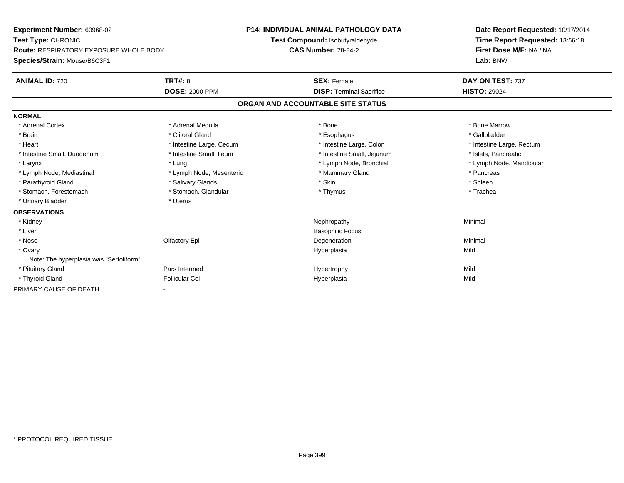| Experiment Number: 60968-02                   |                          | <b>P14: INDIVIDUAL ANIMAL PATHOLOGY DATA</b> | Date Report Requested: 10/17/2014 |  |
|-----------------------------------------------|--------------------------|----------------------------------------------|-----------------------------------|--|
| Test Type: CHRONIC                            |                          | Test Compound: Isobutyraldehyde              | Time Report Requested: 13:56:18   |  |
| <b>Route: RESPIRATORY EXPOSURE WHOLE BODY</b> |                          | <b>CAS Number: 78-84-2</b>                   | First Dose M/F: NA / NA           |  |
| Species/Strain: Mouse/B6C3F1                  |                          |                                              | Lab: BNW                          |  |
| <b>ANIMAL ID: 720</b>                         | TRT#: 8                  | <b>SEX: Female</b>                           | DAY ON TEST: 737                  |  |
|                                               | <b>DOSE: 2000 PPM</b>    | <b>DISP: Terminal Sacrifice</b>              | <b>HISTO: 29024</b>               |  |
|                                               |                          | ORGAN AND ACCOUNTABLE SITE STATUS            |                                   |  |
| <b>NORMAL</b>                                 |                          |                                              |                                   |  |
| * Adrenal Cortex                              | * Adrenal Medulla        | * Bone                                       | * Bone Marrow                     |  |
| * Brain                                       | * Clitoral Gland         | * Esophagus                                  | * Gallbladder                     |  |
| * Heart                                       | * Intestine Large, Cecum | * Intestine Large, Colon                     | * Intestine Large, Rectum         |  |
| * Intestine Small, Duodenum                   | * Intestine Small, Ileum | * Intestine Small, Jejunum                   | * Islets, Pancreatic              |  |
| * Larynx                                      | * Lung                   | * Lymph Node, Bronchial                      | * Lymph Node, Mandibular          |  |
| * Lymph Node, Mediastinal                     | * Lymph Node, Mesenteric | * Mammary Gland                              | * Pancreas                        |  |
| * Parathyroid Gland                           | * Salivary Glands        | * Skin                                       | * Spleen                          |  |
| * Stomach, Forestomach                        | * Stomach, Glandular     | * Thymus                                     | * Trachea                         |  |
| * Urinary Bladder                             | * Uterus                 |                                              |                                   |  |
| <b>OBSERVATIONS</b>                           |                          |                                              |                                   |  |
| * Kidney                                      |                          | Nephropathy                                  | Minimal                           |  |
| * Liver                                       |                          | <b>Basophilic Focus</b>                      |                                   |  |
| * Nose                                        | Olfactory Epi            | Degeneration                                 | Minimal                           |  |
| * Ovary                                       |                          | Hyperplasia                                  | Mild                              |  |
| Note: The hyperplasia was "Sertoliform".      |                          |                                              |                                   |  |
| * Pituitary Gland                             | Pars Intermed            | Hypertrophy                                  | Mild                              |  |
| * Thyroid Gland                               | <b>Follicular Cel</b>    | Hyperplasia                                  | Mild                              |  |
| PRIMARY CAUSE OF DEATH                        |                          |                                              |                                   |  |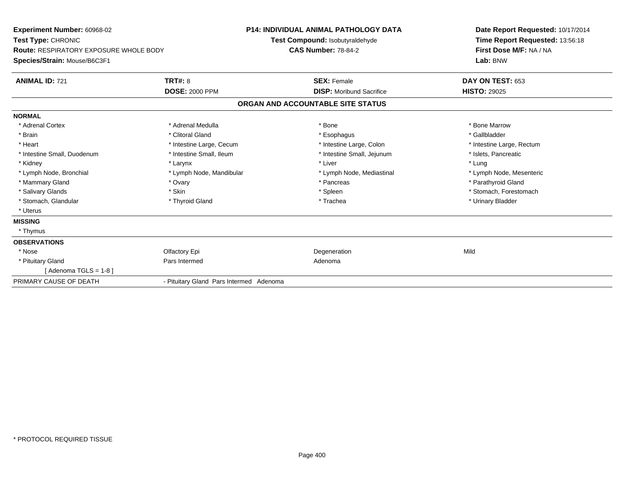| Experiment Number: 60968-02<br>Test Type: CHRONIC<br><b>Route: RESPIRATORY EXPOSURE WHOLE BODY</b><br>Species/Strain: Mouse/B6C3F1 |                                         | <b>P14: INDIVIDUAL ANIMAL PATHOLOGY DATA</b><br>Test Compound: Isobutyraldehyde<br><b>CAS Number: 78-84-2</b> | Date Report Requested: 10/17/2014<br>Time Report Requested: 13:56:18<br>First Dose M/F: NA / NA<br>Lab: BNW |
|------------------------------------------------------------------------------------------------------------------------------------|-----------------------------------------|---------------------------------------------------------------------------------------------------------------|-------------------------------------------------------------------------------------------------------------|
| <b>ANIMAL ID: 721</b>                                                                                                              | <b>TRT#: 8</b>                          | <b>SEX: Female</b>                                                                                            | DAY ON TEST: 653                                                                                            |
|                                                                                                                                    | <b>DOSE: 2000 PPM</b>                   | <b>DISP:</b> Moribund Sacrifice                                                                               | <b>HISTO: 29025</b>                                                                                         |
|                                                                                                                                    |                                         | ORGAN AND ACCOUNTABLE SITE STATUS                                                                             |                                                                                                             |
| <b>NORMAL</b>                                                                                                                      |                                         |                                                                                                               |                                                                                                             |
| * Adrenal Cortex                                                                                                                   | * Adrenal Medulla                       | * Bone                                                                                                        | * Bone Marrow                                                                                               |
| * Brain                                                                                                                            | * Clitoral Gland                        | * Esophagus                                                                                                   | * Gallbladder                                                                                               |
| * Heart                                                                                                                            | * Intestine Large, Cecum                | * Intestine Large, Colon                                                                                      | * Intestine Large, Rectum                                                                                   |
| * Intestine Small, Duodenum                                                                                                        | * Intestine Small. Ileum                | * Intestine Small, Jejunum                                                                                    | * Islets, Pancreatic                                                                                        |
| * Kidney                                                                                                                           | * Larynx                                | * Liver                                                                                                       | * Lung                                                                                                      |
| * Lymph Node, Bronchial                                                                                                            | * Lymph Node, Mandibular                | * Lymph Node, Mediastinal                                                                                     | * Lymph Node, Mesenteric                                                                                    |
| * Mammary Gland                                                                                                                    | * Ovary                                 | * Pancreas                                                                                                    | * Parathyroid Gland                                                                                         |
| * Salivary Glands                                                                                                                  | * Skin                                  | * Spleen                                                                                                      | * Stomach, Forestomach                                                                                      |
| * Stomach, Glandular                                                                                                               | * Thyroid Gland                         | * Trachea                                                                                                     | * Urinary Bladder                                                                                           |
| * Uterus                                                                                                                           |                                         |                                                                                                               |                                                                                                             |
| <b>MISSING</b>                                                                                                                     |                                         |                                                                                                               |                                                                                                             |
| * Thymus                                                                                                                           |                                         |                                                                                                               |                                                                                                             |
| <b>OBSERVATIONS</b>                                                                                                                |                                         |                                                                                                               |                                                                                                             |
| * Nose                                                                                                                             | Olfactory Epi                           | Degeneration                                                                                                  | Mild                                                                                                        |
| * Pituitary Gland                                                                                                                  | Pars Intermed                           | Adenoma                                                                                                       |                                                                                                             |
| [Adenoma TGLS = $1-8$ ]                                                                                                            |                                         |                                                                                                               |                                                                                                             |
| PRIMARY CAUSE OF DEATH                                                                                                             | - Pituitary Gland Pars Intermed Adenoma |                                                                                                               |                                                                                                             |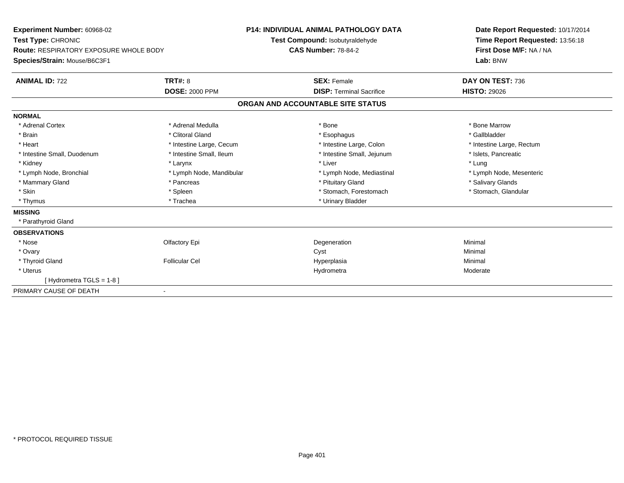| Experiment Number: 60968-02            |                          | <b>P14: INDIVIDUAL ANIMAL PATHOLOGY DATA</b> |                                 | Date Report Requested: 10/17/2014 |  |  |
|----------------------------------------|--------------------------|----------------------------------------------|---------------------------------|-----------------------------------|--|--|
| Test Type: CHRONIC                     |                          | Test Compound: Isobutyraldehyde              |                                 | Time Report Requested: 13:56:18   |  |  |
| Route: RESPIRATORY EXPOSURE WHOLE BODY |                          | <b>CAS Number: 78-84-2</b>                   |                                 | First Dose M/F: NA / NA           |  |  |
| Species/Strain: Mouse/B6C3F1           |                          |                                              |                                 | Lab: BNW                          |  |  |
| <b>ANIMAL ID: 722</b>                  | <b>TRT#: 8</b>           | <b>SEX: Female</b>                           |                                 | DAY ON TEST: 736                  |  |  |
|                                        | <b>DOSE: 2000 PPM</b>    |                                              | <b>DISP: Terminal Sacrifice</b> | <b>HISTO: 29026</b>               |  |  |
|                                        |                          | ORGAN AND ACCOUNTABLE SITE STATUS            |                                 |                                   |  |  |
| <b>NORMAL</b>                          |                          |                                              |                                 |                                   |  |  |
| * Adrenal Cortex                       | * Adrenal Medulla        | * Bone                                       |                                 | * Bone Marrow                     |  |  |
| * Brain                                | * Clitoral Gland         | * Esophagus                                  |                                 | * Gallbladder                     |  |  |
| * Heart                                | * Intestine Large, Cecum |                                              | * Intestine Large, Colon        | * Intestine Large, Rectum         |  |  |
| * Intestine Small, Duodenum            | * Intestine Small, Ileum |                                              | * Intestine Small, Jejunum      | * Islets, Pancreatic              |  |  |
| * Kidney                               | * Larynx                 | * Liver                                      |                                 | * Lung                            |  |  |
| * Lymph Node, Bronchial                | * Lymph Node, Mandibular |                                              | * Lymph Node, Mediastinal       | * Lymph Node, Mesenteric          |  |  |
| * Mammary Gland                        | * Pancreas               |                                              | * Pituitary Gland               | * Salivary Glands                 |  |  |
| * Skin                                 | * Spleen                 |                                              | * Stomach, Forestomach          | * Stomach, Glandular              |  |  |
| * Thymus                               | * Trachea                |                                              | * Urinary Bladder               |                                   |  |  |
| <b>MISSING</b>                         |                          |                                              |                                 |                                   |  |  |
| * Parathyroid Gland                    |                          |                                              |                                 |                                   |  |  |
| <b>OBSERVATIONS</b>                    |                          |                                              |                                 |                                   |  |  |
| * Nose                                 | Olfactory Epi            | Degeneration                                 |                                 | Minimal                           |  |  |
| * Ovary                                |                          | Cyst                                         |                                 | Minimal                           |  |  |
| * Thyroid Gland                        | <b>Follicular Cel</b>    | Hyperplasia                                  |                                 | Minimal                           |  |  |
| * Uterus                               |                          | Hydrometra                                   |                                 | Moderate                          |  |  |
| [Hydrometra TGLS = 1-8]                |                          |                                              |                                 |                                   |  |  |
| PRIMARY CAUSE OF DEATH                 | $\blacksquare$           |                                              |                                 |                                   |  |  |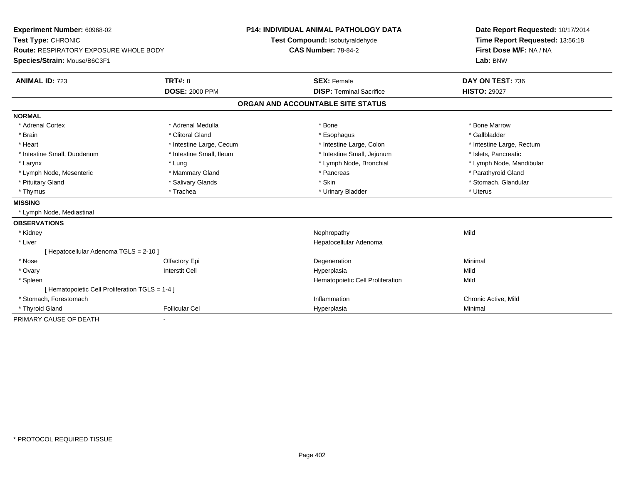| Experiment Number: 60968-02                     |                          |                            | P14: INDIVIDUAL ANIMAL PATHOLOGY DATA | Date Report Requested: 10/17/2014 |  |
|-------------------------------------------------|--------------------------|----------------------------|---------------------------------------|-----------------------------------|--|
| Test Type: CHRONIC                              |                          |                            | Test Compound: Isobutyraldehyde       | Time Report Requested: 13:56:18   |  |
| <b>Route: RESPIRATORY EXPOSURE WHOLE BODY</b>   |                          | <b>CAS Number: 78-84-2</b> |                                       | First Dose M/F: NA / NA           |  |
| Species/Strain: Mouse/B6C3F1                    |                          |                            |                                       | Lab: BNW                          |  |
| <b>ANIMAL ID: 723</b>                           | <b>TRT#: 8</b>           |                            | <b>SEX: Female</b>                    | DAY ON TEST: 736                  |  |
|                                                 | <b>DOSE: 2000 PPM</b>    |                            | <b>DISP: Terminal Sacrifice</b>       | <b>HISTO: 29027</b>               |  |
|                                                 |                          |                            | ORGAN AND ACCOUNTABLE SITE STATUS     |                                   |  |
| <b>NORMAL</b>                                   |                          |                            |                                       |                                   |  |
| * Adrenal Cortex                                | * Adrenal Medulla        |                            | * Bone                                | * Bone Marrow                     |  |
| * Brain                                         | * Clitoral Gland         |                            | * Esophagus                           | * Gallbladder                     |  |
| * Heart                                         | * Intestine Large, Cecum |                            | * Intestine Large, Colon              | * Intestine Large, Rectum         |  |
| * Intestine Small, Duodenum                     | * Intestine Small, Ileum |                            | * Intestine Small, Jejunum            | * Islets, Pancreatic              |  |
| * Larynx                                        | * Lung                   |                            | * Lymph Node, Bronchial               | * Lymph Node, Mandibular          |  |
| * Lymph Node, Mesenteric                        | * Mammary Gland          |                            | * Pancreas                            | * Parathyroid Gland               |  |
| * Pituitary Gland                               | * Salivary Glands        |                            | * Skin                                | * Stomach, Glandular              |  |
| * Thymus                                        | * Trachea                |                            | * Urinary Bladder                     | * Uterus                          |  |
| <b>MISSING</b>                                  |                          |                            |                                       |                                   |  |
| * Lymph Node, Mediastinal                       |                          |                            |                                       |                                   |  |
| <b>OBSERVATIONS</b>                             |                          |                            |                                       |                                   |  |
| * Kidney                                        |                          |                            | Nephropathy                           | Mild                              |  |
| * Liver                                         |                          |                            | Hepatocellular Adenoma                |                                   |  |
| [ Hepatocellular Adenoma TGLS = 2-10 ]          |                          |                            |                                       |                                   |  |
| * Nose                                          | Olfactory Epi            |                            | Degeneration                          | Minimal                           |  |
| * Ovary                                         | <b>Interstit Cell</b>    |                            | Hyperplasia                           | Mild                              |  |
| * Spleen                                        |                          |                            | Hematopoietic Cell Proliferation      | Mild                              |  |
| [ Hematopoietic Cell Proliferation TGLS = 1-4 ] |                          |                            |                                       |                                   |  |
| * Stomach, Forestomach                          |                          |                            | Inflammation                          | Chronic Active, Mild              |  |
| * Thyroid Gland                                 | <b>Follicular Cel</b>    |                            | Hyperplasia                           | Minimal                           |  |
| PRIMARY CAUSE OF DEATH                          |                          |                            |                                       |                                   |  |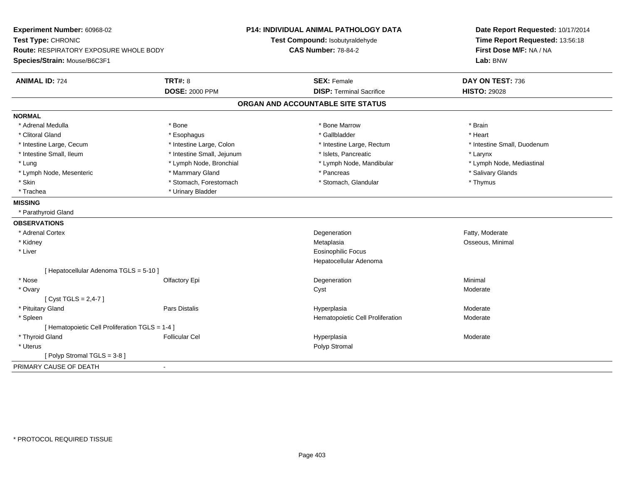| Experiment Number: 60968-02                     |                            | <b>P14: INDIVIDUAL ANIMAL PATHOLOGY DATA</b> | Date Report Requested: 10/17/2014 |  |
|-------------------------------------------------|----------------------------|----------------------------------------------|-----------------------------------|--|
| Test Type: CHRONIC                              |                            | Test Compound: Isobutyraldehyde              | Time Report Requested: 13:56:18   |  |
| Route: RESPIRATORY EXPOSURE WHOLE BODY          |                            | <b>CAS Number: 78-84-2</b>                   | First Dose M/F: NA / NA           |  |
| Species/Strain: Mouse/B6C3F1                    |                            |                                              | Lab: BNW                          |  |
| <b>ANIMAL ID: 724</b>                           | <b>TRT#: 8</b>             | <b>SEX: Female</b>                           | DAY ON TEST: 736                  |  |
|                                                 | <b>DOSE: 2000 PPM</b>      | <b>DISP: Terminal Sacrifice</b>              | <b>HISTO: 29028</b>               |  |
|                                                 |                            | ORGAN AND ACCOUNTABLE SITE STATUS            |                                   |  |
| <b>NORMAL</b>                                   |                            |                                              |                                   |  |
| * Adrenal Medulla                               | * Bone                     | * Bone Marrow                                | * Brain                           |  |
| * Clitoral Gland                                | * Esophagus                | * Gallbladder                                | * Heart                           |  |
| * Intestine Large, Cecum                        | * Intestine Large, Colon   | * Intestine Large, Rectum                    | * Intestine Small, Duodenum       |  |
| * Intestine Small, Ileum                        | * Intestine Small, Jejunum | * Islets, Pancreatic                         | * Larynx                          |  |
| * Lung                                          | * Lymph Node, Bronchial    | * Lymph Node, Mandibular                     | * Lymph Node, Mediastinal         |  |
| * Lymph Node, Mesenteric                        | * Mammary Gland            | * Pancreas                                   | * Salivary Glands                 |  |
| * Skin                                          | * Stomach, Forestomach     | * Stomach, Glandular                         | * Thymus                          |  |
| * Trachea                                       | * Urinary Bladder          |                                              |                                   |  |
| <b>MISSING</b>                                  |                            |                                              |                                   |  |
| * Parathyroid Gland                             |                            |                                              |                                   |  |
| <b>OBSERVATIONS</b>                             |                            |                                              |                                   |  |
| * Adrenal Cortex                                |                            | Degeneration                                 | Fatty, Moderate                   |  |
| * Kidney                                        |                            | Metaplasia                                   | Osseous, Minimal                  |  |
| * Liver                                         |                            | <b>Eosinophilic Focus</b>                    |                                   |  |
|                                                 |                            | Hepatocellular Adenoma                       |                                   |  |
| [Hepatocellular Adenoma TGLS = 5-10]            |                            |                                              |                                   |  |
| * Nose                                          | Olfactory Epi              | Degeneration                                 | Minimal                           |  |
| * Ovary                                         |                            | Cyst                                         | Moderate                          |  |
| [Cyst TGLS = $2,4-7$ ]                          |                            |                                              |                                   |  |
| * Pituitary Gland                               | Pars Distalis              | Hyperplasia                                  | Moderate                          |  |
| * Spleen                                        |                            | Hematopoietic Cell Proliferation             | Moderate                          |  |
| [ Hematopoietic Cell Proliferation TGLS = 1-4 ] |                            |                                              |                                   |  |
| * Thyroid Gland                                 | <b>Follicular Cel</b>      | Hyperplasia                                  | Moderate                          |  |
| * Uterus                                        |                            | Polyp Stromal                                |                                   |  |
| [Polyp Stromal TGLS = 3-8]                      |                            |                                              |                                   |  |
| PRIMARY CAUSE OF DEATH                          |                            |                                              |                                   |  |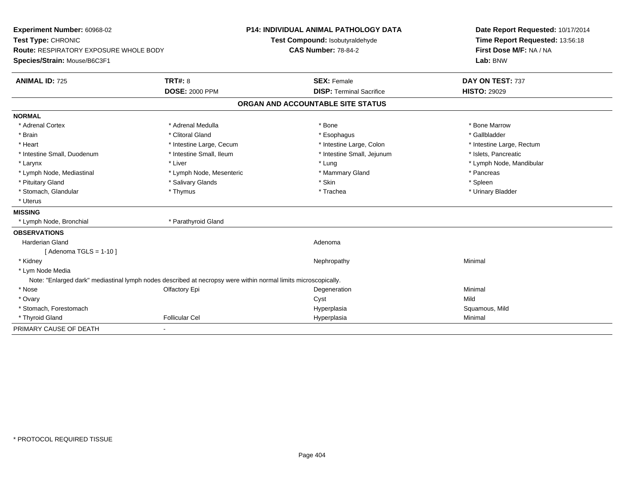| Experiment Number: 60968-02                                                                                    |                          | <b>P14: INDIVIDUAL ANIMAL PATHOLOGY DATA</b> | Date Report Requested: 10/17/2014 |  |  |
|----------------------------------------------------------------------------------------------------------------|--------------------------|----------------------------------------------|-----------------------------------|--|--|
| Test Type: CHRONIC                                                                                             |                          | Test Compound: Isobutyraldehyde              | Time Report Requested: 13:56:18   |  |  |
| <b>Route: RESPIRATORY EXPOSURE WHOLE BODY</b>                                                                  |                          | <b>CAS Number: 78-84-2</b>                   | First Dose M/F: NA / NA           |  |  |
| Species/Strain: Mouse/B6C3F1                                                                                   |                          |                                              | Lab: BNW                          |  |  |
| <b>ANIMAL ID: 725</b>                                                                                          | <b>TRT#: 8</b>           | <b>SEX: Female</b>                           | DAY ON TEST: 737                  |  |  |
|                                                                                                                | <b>DOSE: 2000 PPM</b>    | <b>DISP: Terminal Sacrifice</b>              | <b>HISTO: 29029</b>               |  |  |
|                                                                                                                |                          | ORGAN AND ACCOUNTABLE SITE STATUS            |                                   |  |  |
| <b>NORMAL</b>                                                                                                  |                          |                                              |                                   |  |  |
| * Adrenal Cortex                                                                                               | * Adrenal Medulla        | * Bone                                       | * Bone Marrow                     |  |  |
| * Brain                                                                                                        | * Clitoral Gland         | * Esophagus                                  | * Gallbladder                     |  |  |
| * Heart                                                                                                        | * Intestine Large, Cecum | * Intestine Large, Colon                     | * Intestine Large, Rectum         |  |  |
| * Intestine Small, Duodenum                                                                                    | * Intestine Small, Ileum | * Intestine Small, Jejunum                   | * Islets, Pancreatic              |  |  |
| * Larynx                                                                                                       | * Liver                  | * Lung                                       | * Lymph Node, Mandibular          |  |  |
| * Lymph Node, Mediastinal                                                                                      | * Lymph Node, Mesenteric | * Mammary Gland                              | * Pancreas                        |  |  |
| * Pituitary Gland                                                                                              | * Salivary Glands        | * Skin                                       | * Spleen                          |  |  |
| * Stomach, Glandular                                                                                           | * Thymus                 | * Trachea                                    | * Urinary Bladder                 |  |  |
| * Uterus                                                                                                       |                          |                                              |                                   |  |  |
| <b>MISSING</b>                                                                                                 |                          |                                              |                                   |  |  |
| * Lymph Node, Bronchial                                                                                        | * Parathyroid Gland      |                                              |                                   |  |  |
| <b>OBSERVATIONS</b>                                                                                            |                          |                                              |                                   |  |  |
| <b>Harderian Gland</b>                                                                                         |                          | Adenoma                                      |                                   |  |  |
| [Adenoma TGLS = $1-10$ ]                                                                                       |                          |                                              |                                   |  |  |
| * Kidney                                                                                                       |                          | Nephropathy                                  | Minimal                           |  |  |
| * Lym Node Media                                                                                               |                          |                                              |                                   |  |  |
| Note: "Enlarged dark" mediastinal lymph nodes described at necropsy were within normal limits microscopically. |                          |                                              |                                   |  |  |
| * Nose                                                                                                         | Olfactory Epi            | Degeneration                                 | Minimal                           |  |  |
| * Ovary                                                                                                        |                          | Cyst                                         | Mild                              |  |  |
| * Stomach, Forestomach                                                                                         |                          | Hyperplasia                                  | Squamous, Mild                    |  |  |
| * Thyroid Gland                                                                                                | <b>Follicular Cel</b>    | Hyperplasia                                  | Minimal                           |  |  |
| PRIMARY CAUSE OF DEATH                                                                                         |                          |                                              |                                   |  |  |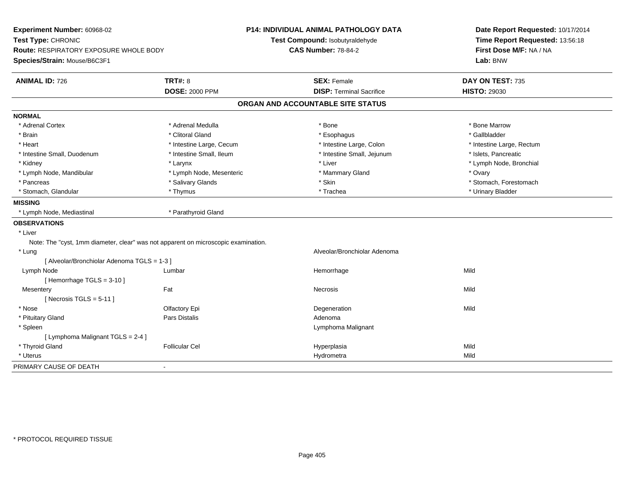| Time Report Requested: 13:56:18<br>Test Type: CHRONIC<br>Test Compound: Isobutyraldehyde<br>First Dose M/F: NA / NA<br><b>Route: RESPIRATORY EXPOSURE WHOLE BODY</b><br><b>CAS Number: 78-84-2</b><br>Species/Strain: Mouse/B6C3F1<br>Lab: BNW<br><b>TRT#: 8</b><br><b>ANIMAL ID: 726</b><br><b>SEX: Female</b><br>DAY ON TEST: 735<br><b>DOSE: 2000 PPM</b><br><b>DISP: Terminal Sacrifice</b><br><b>HISTO: 29030</b><br>ORGAN AND ACCOUNTABLE SITE STATUS<br><b>NORMAL</b><br>* Adrenal Cortex<br>* Adrenal Medulla<br>* Bone Marrow<br>* Bone<br>* Clitoral Gland<br>* Gallbladder<br>* Brain<br>* Esophagus<br>* Heart<br>* Intestine Large, Cecum<br>* Intestine Large, Colon<br>* Intestine Large, Rectum<br>* Intestine Small, Duodenum<br>* Intestine Small, Ileum<br>* Intestine Small, Jejunum<br>* Islets, Pancreatic<br>* Liver<br>* Lymph Node, Bronchial<br>* Kidney<br>* Larynx<br>* Lymph Node, Mesenteric<br>* Mammary Gland<br>* Ovary<br>* Lymph Node, Mandibular<br>* Salivary Glands<br>* Skin<br>* Stomach, Forestomach<br>* Pancreas<br>* Stomach, Glandular<br>* Trachea<br>* Urinary Bladder<br>* Thymus<br><b>MISSING</b><br>* Parathyroid Gland<br>* Lymph Node, Mediastinal<br><b>OBSERVATIONS</b><br>* Liver<br>Note: The "cyst, 1mm diameter, clear" was not apparent on microscopic examination.<br>* Lung<br>Alveolar/Bronchiolar Adenoma<br>[ Alveolar/Bronchiolar Adenoma TGLS = 1-3 ]<br>Mild<br>Lymph Node<br>Lumbar<br>Hemorrhage<br>[Hemorrhage TGLS = 3-10]<br>Mesentery<br>Fat<br>Mild<br><b>Necrosis</b><br>[Necrosis TGLS = $5-11$ ]<br>* Nose<br>Olfactory Epi<br>Mild<br>Degeneration<br>Pars Distalis<br>Adenoma<br>* Pituitary Gland<br>* Spleen<br>Lymphoma Malignant<br>[ Lymphoma Malignant TGLS = 2-4 ]<br>* Thyroid Gland<br><b>Follicular Cel</b><br>Mild<br>Hyperplasia<br>Mild<br>* Uterus<br>Hydrometra<br>PRIMARY CAUSE OF DEATH<br>$\blacksquare$ | Experiment Number: 60968-02 | P14: INDIVIDUAL ANIMAL PATHOLOGY DATA | Date Report Requested: 10/17/2014 |  |  |
|------------------------------------------------------------------------------------------------------------------------------------------------------------------------------------------------------------------------------------------------------------------------------------------------------------------------------------------------------------------------------------------------------------------------------------------------------------------------------------------------------------------------------------------------------------------------------------------------------------------------------------------------------------------------------------------------------------------------------------------------------------------------------------------------------------------------------------------------------------------------------------------------------------------------------------------------------------------------------------------------------------------------------------------------------------------------------------------------------------------------------------------------------------------------------------------------------------------------------------------------------------------------------------------------------------------------------------------------------------------------------------------------------------------------------------------------------------------------------------------------------------------------------------------------------------------------------------------------------------------------------------------------------------------------------------------------------------------------------------------------------------------------------------------------------------------------------------------------------------------------------------------------------------|-----------------------------|---------------------------------------|-----------------------------------|--|--|
|                                                                                                                                                                                                                                                                                                                                                                                                                                                                                                                                                                                                                                                                                                                                                                                                                                                                                                                                                                                                                                                                                                                                                                                                                                                                                                                                                                                                                                                                                                                                                                                                                                                                                                                                                                                                                                                                                                            |                             |                                       |                                   |  |  |
|                                                                                                                                                                                                                                                                                                                                                                                                                                                                                                                                                                                                                                                                                                                                                                                                                                                                                                                                                                                                                                                                                                                                                                                                                                                                                                                                                                                                                                                                                                                                                                                                                                                                                                                                                                                                                                                                                                            |                             |                                       |                                   |  |  |
|                                                                                                                                                                                                                                                                                                                                                                                                                                                                                                                                                                                                                                                                                                                                                                                                                                                                                                                                                                                                                                                                                                                                                                                                                                                                                                                                                                                                                                                                                                                                                                                                                                                                                                                                                                                                                                                                                                            |                             |                                       |                                   |  |  |
|                                                                                                                                                                                                                                                                                                                                                                                                                                                                                                                                                                                                                                                                                                                                                                                                                                                                                                                                                                                                                                                                                                                                                                                                                                                                                                                                                                                                                                                                                                                                                                                                                                                                                                                                                                                                                                                                                                            |                             |                                       |                                   |  |  |
|                                                                                                                                                                                                                                                                                                                                                                                                                                                                                                                                                                                                                                                                                                                                                                                                                                                                                                                                                                                                                                                                                                                                                                                                                                                                                                                                                                                                                                                                                                                                                                                                                                                                                                                                                                                                                                                                                                            |                             |                                       |                                   |  |  |
|                                                                                                                                                                                                                                                                                                                                                                                                                                                                                                                                                                                                                                                                                                                                                                                                                                                                                                                                                                                                                                                                                                                                                                                                                                                                                                                                                                                                                                                                                                                                                                                                                                                                                                                                                                                                                                                                                                            |                             |                                       |                                   |  |  |
|                                                                                                                                                                                                                                                                                                                                                                                                                                                                                                                                                                                                                                                                                                                                                                                                                                                                                                                                                                                                                                                                                                                                                                                                                                                                                                                                                                                                                                                                                                                                                                                                                                                                                                                                                                                                                                                                                                            |                             |                                       |                                   |  |  |
|                                                                                                                                                                                                                                                                                                                                                                                                                                                                                                                                                                                                                                                                                                                                                                                                                                                                                                                                                                                                                                                                                                                                                                                                                                                                                                                                                                                                                                                                                                                                                                                                                                                                                                                                                                                                                                                                                                            |                             |                                       |                                   |  |  |
|                                                                                                                                                                                                                                                                                                                                                                                                                                                                                                                                                                                                                                                                                                                                                                                                                                                                                                                                                                                                                                                                                                                                                                                                                                                                                                                                                                                                                                                                                                                                                                                                                                                                                                                                                                                                                                                                                                            |                             |                                       |                                   |  |  |
|                                                                                                                                                                                                                                                                                                                                                                                                                                                                                                                                                                                                                                                                                                                                                                                                                                                                                                                                                                                                                                                                                                                                                                                                                                                                                                                                                                                                                                                                                                                                                                                                                                                                                                                                                                                                                                                                                                            |                             |                                       |                                   |  |  |
|                                                                                                                                                                                                                                                                                                                                                                                                                                                                                                                                                                                                                                                                                                                                                                                                                                                                                                                                                                                                                                                                                                                                                                                                                                                                                                                                                                                                                                                                                                                                                                                                                                                                                                                                                                                                                                                                                                            |                             |                                       |                                   |  |  |
|                                                                                                                                                                                                                                                                                                                                                                                                                                                                                                                                                                                                                                                                                                                                                                                                                                                                                                                                                                                                                                                                                                                                                                                                                                                                                                                                                                                                                                                                                                                                                                                                                                                                                                                                                                                                                                                                                                            |                             |                                       |                                   |  |  |
|                                                                                                                                                                                                                                                                                                                                                                                                                                                                                                                                                                                                                                                                                                                                                                                                                                                                                                                                                                                                                                                                                                                                                                                                                                                                                                                                                                                                                                                                                                                                                                                                                                                                                                                                                                                                                                                                                                            |                             |                                       |                                   |  |  |
|                                                                                                                                                                                                                                                                                                                                                                                                                                                                                                                                                                                                                                                                                                                                                                                                                                                                                                                                                                                                                                                                                                                                                                                                                                                                                                                                                                                                                                                                                                                                                                                                                                                                                                                                                                                                                                                                                                            |                             |                                       |                                   |  |  |
|                                                                                                                                                                                                                                                                                                                                                                                                                                                                                                                                                                                                                                                                                                                                                                                                                                                                                                                                                                                                                                                                                                                                                                                                                                                                                                                                                                                                                                                                                                                                                                                                                                                                                                                                                                                                                                                                                                            |                             |                                       |                                   |  |  |
|                                                                                                                                                                                                                                                                                                                                                                                                                                                                                                                                                                                                                                                                                                                                                                                                                                                                                                                                                                                                                                                                                                                                                                                                                                                                                                                                                                                                                                                                                                                                                                                                                                                                                                                                                                                                                                                                                                            |                             |                                       |                                   |  |  |
|                                                                                                                                                                                                                                                                                                                                                                                                                                                                                                                                                                                                                                                                                                                                                                                                                                                                                                                                                                                                                                                                                                                                                                                                                                                                                                                                                                                                                                                                                                                                                                                                                                                                                                                                                                                                                                                                                                            |                             |                                       |                                   |  |  |
|                                                                                                                                                                                                                                                                                                                                                                                                                                                                                                                                                                                                                                                                                                                                                                                                                                                                                                                                                                                                                                                                                                                                                                                                                                                                                                                                                                                                                                                                                                                                                                                                                                                                                                                                                                                                                                                                                                            |                             |                                       |                                   |  |  |
|                                                                                                                                                                                                                                                                                                                                                                                                                                                                                                                                                                                                                                                                                                                                                                                                                                                                                                                                                                                                                                                                                                                                                                                                                                                                                                                                                                                                                                                                                                                                                                                                                                                                                                                                                                                                                                                                                                            |                             |                                       |                                   |  |  |
|                                                                                                                                                                                                                                                                                                                                                                                                                                                                                                                                                                                                                                                                                                                                                                                                                                                                                                                                                                                                                                                                                                                                                                                                                                                                                                                                                                                                                                                                                                                                                                                                                                                                                                                                                                                                                                                                                                            |                             |                                       |                                   |  |  |
|                                                                                                                                                                                                                                                                                                                                                                                                                                                                                                                                                                                                                                                                                                                                                                                                                                                                                                                                                                                                                                                                                                                                                                                                                                                                                                                                                                                                                                                                                                                                                                                                                                                                                                                                                                                                                                                                                                            |                             |                                       |                                   |  |  |
|                                                                                                                                                                                                                                                                                                                                                                                                                                                                                                                                                                                                                                                                                                                                                                                                                                                                                                                                                                                                                                                                                                                                                                                                                                                                                                                                                                                                                                                                                                                                                                                                                                                                                                                                                                                                                                                                                                            |                             |                                       |                                   |  |  |
|                                                                                                                                                                                                                                                                                                                                                                                                                                                                                                                                                                                                                                                                                                                                                                                                                                                                                                                                                                                                                                                                                                                                                                                                                                                                                                                                                                                                                                                                                                                                                                                                                                                                                                                                                                                                                                                                                                            |                             |                                       |                                   |  |  |
|                                                                                                                                                                                                                                                                                                                                                                                                                                                                                                                                                                                                                                                                                                                                                                                                                                                                                                                                                                                                                                                                                                                                                                                                                                                                                                                                                                                                                                                                                                                                                                                                                                                                                                                                                                                                                                                                                                            |                             |                                       |                                   |  |  |
|                                                                                                                                                                                                                                                                                                                                                                                                                                                                                                                                                                                                                                                                                                                                                                                                                                                                                                                                                                                                                                                                                                                                                                                                                                                                                                                                                                                                                                                                                                                                                                                                                                                                                                                                                                                                                                                                                                            |                             |                                       |                                   |  |  |
|                                                                                                                                                                                                                                                                                                                                                                                                                                                                                                                                                                                                                                                                                                                                                                                                                                                                                                                                                                                                                                                                                                                                                                                                                                                                                                                                                                                                                                                                                                                                                                                                                                                                                                                                                                                                                                                                                                            |                             |                                       |                                   |  |  |
|                                                                                                                                                                                                                                                                                                                                                                                                                                                                                                                                                                                                                                                                                                                                                                                                                                                                                                                                                                                                                                                                                                                                                                                                                                                                                                                                                                                                                                                                                                                                                                                                                                                                                                                                                                                                                                                                                                            |                             |                                       |                                   |  |  |
|                                                                                                                                                                                                                                                                                                                                                                                                                                                                                                                                                                                                                                                                                                                                                                                                                                                                                                                                                                                                                                                                                                                                                                                                                                                                                                                                                                                                                                                                                                                                                                                                                                                                                                                                                                                                                                                                                                            |                             |                                       |                                   |  |  |
|                                                                                                                                                                                                                                                                                                                                                                                                                                                                                                                                                                                                                                                                                                                                                                                                                                                                                                                                                                                                                                                                                                                                                                                                                                                                                                                                                                                                                                                                                                                                                                                                                                                                                                                                                                                                                                                                                                            |                             |                                       |                                   |  |  |
|                                                                                                                                                                                                                                                                                                                                                                                                                                                                                                                                                                                                                                                                                                                                                                                                                                                                                                                                                                                                                                                                                                                                                                                                                                                                                                                                                                                                                                                                                                                                                                                                                                                                                                                                                                                                                                                                                                            |                             |                                       |                                   |  |  |
|                                                                                                                                                                                                                                                                                                                                                                                                                                                                                                                                                                                                                                                                                                                                                                                                                                                                                                                                                                                                                                                                                                                                                                                                                                                                                                                                                                                                                                                                                                                                                                                                                                                                                                                                                                                                                                                                                                            |                             |                                       |                                   |  |  |
|                                                                                                                                                                                                                                                                                                                                                                                                                                                                                                                                                                                                                                                                                                                                                                                                                                                                                                                                                                                                                                                                                                                                                                                                                                                                                                                                                                                                                                                                                                                                                                                                                                                                                                                                                                                                                                                                                                            |                             |                                       |                                   |  |  |
|                                                                                                                                                                                                                                                                                                                                                                                                                                                                                                                                                                                                                                                                                                                                                                                                                                                                                                                                                                                                                                                                                                                                                                                                                                                                                                                                                                                                                                                                                                                                                                                                                                                                                                                                                                                                                                                                                                            |                             |                                       |                                   |  |  |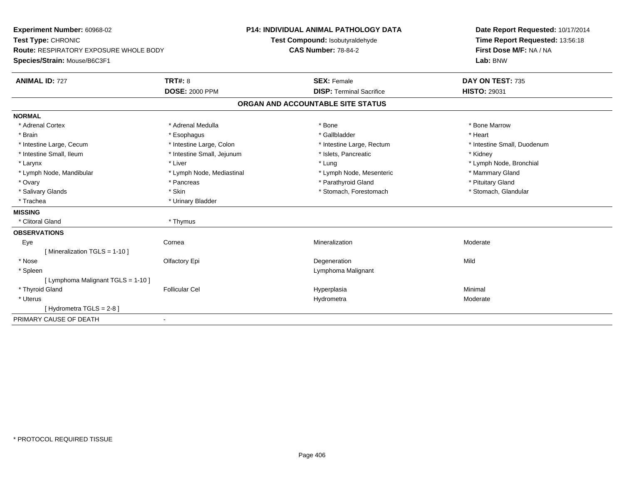| Experiment Number: 60968-02            |                            | P14: INDIVIDUAL ANIMAL PATHOLOGY DATA | Date Report Requested: 10/17/2014 |  |
|----------------------------------------|----------------------------|---------------------------------------|-----------------------------------|--|
| Test Type: CHRONIC                     |                            | Test Compound: Isobutyraldehyde       | Time Report Requested: 13:56:18   |  |
| Route: RESPIRATORY EXPOSURE WHOLE BODY |                            | <b>CAS Number: 78-84-2</b>            | First Dose M/F: NA / NA           |  |
| Species/Strain: Mouse/B6C3F1           |                            |                                       | Lab: BNW                          |  |
| <b>ANIMAL ID: 727</b>                  | <b>TRT#: 8</b>             | <b>SEX: Female</b>                    | DAY ON TEST: 735                  |  |
|                                        | <b>DOSE: 2000 PPM</b>      | <b>DISP: Terminal Sacrifice</b>       | <b>HISTO: 29031</b>               |  |
|                                        |                            | ORGAN AND ACCOUNTABLE SITE STATUS     |                                   |  |
| <b>NORMAL</b>                          |                            |                                       |                                   |  |
| * Adrenal Cortex                       | * Adrenal Medulla          | * Bone                                | * Bone Marrow                     |  |
| * Brain                                | * Esophagus                | * Gallbladder                         | * Heart                           |  |
| * Intestine Large, Cecum               | * Intestine Large, Colon   | * Intestine Large, Rectum             | * Intestine Small, Duodenum       |  |
| * Intestine Small, Ileum               | * Intestine Small, Jejunum | * Islets, Pancreatic                  | * Kidney                          |  |
| * Larynx                               | * Liver                    | * Lung                                | * Lymph Node, Bronchial           |  |
| * Lymph Node, Mandibular               | * Lymph Node, Mediastinal  | * Lymph Node, Mesenteric              | * Mammary Gland                   |  |
| * Ovary                                | * Pancreas                 | * Parathyroid Gland                   | * Pituitary Gland                 |  |
| * Salivary Glands                      | * Skin                     | * Stomach, Forestomach                | * Stomach, Glandular              |  |
| * Trachea                              | * Urinary Bladder          |                                       |                                   |  |
| <b>MISSING</b>                         |                            |                                       |                                   |  |
| * Clitoral Gland                       | * Thymus                   |                                       |                                   |  |
| <b>OBSERVATIONS</b>                    |                            |                                       |                                   |  |
| Eye                                    | Cornea                     | Mineralization                        | Moderate                          |  |
| [ Mineralization TGLS = 1-10 ]         |                            |                                       |                                   |  |
| * Nose                                 | Olfactory Epi              | Degeneration                          | Mild                              |  |
| * Spleen                               |                            | Lymphoma Malignant                    |                                   |  |
| [ Lymphoma Malignant TGLS = 1-10 ]     |                            |                                       |                                   |  |
| * Thyroid Gland                        | <b>Follicular Cel</b>      | Hyperplasia                           | Minimal                           |  |
| * Uterus                               |                            | Hydrometra                            | Moderate                          |  |
| [Hydrometra TGLS = 2-8]                |                            |                                       |                                   |  |
| PRIMARY CAUSE OF DEATH                 | $\overline{\phantom{a}}$   |                                       |                                   |  |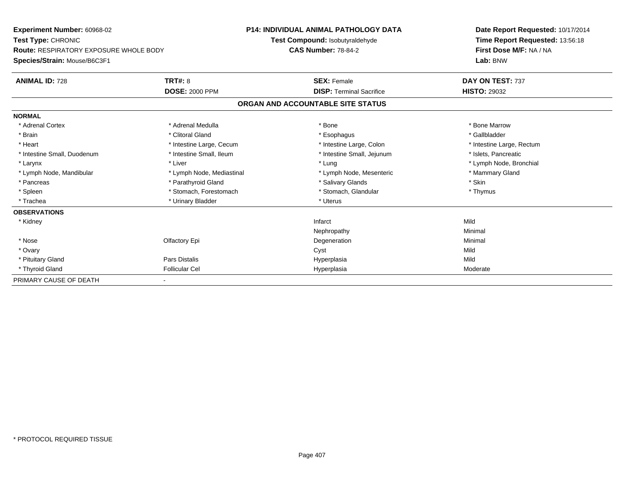| Experiment Number: 60968-02            |                           | <b>P14: INDIVIDUAL ANIMAL PATHOLOGY DATA</b> |                                   |  | Date Report Requested: 10/17/2014 |  |
|----------------------------------------|---------------------------|----------------------------------------------|-----------------------------------|--|-----------------------------------|--|
| Test Type: CHRONIC                     |                           |                                              | Test Compound: Isobutyraldehyde   |  | Time Report Requested: 13:56:18   |  |
| Route: RESPIRATORY EXPOSURE WHOLE BODY |                           | <b>CAS Number: 78-84-2</b>                   |                                   |  | First Dose M/F: NA / NA           |  |
| Species/Strain: Mouse/B6C3F1           |                           |                                              |                                   |  | Lab: BNW                          |  |
| <b>ANIMAL ID: 728</b>                  | <b>TRT#: 8</b>            |                                              | <b>SEX: Female</b>                |  | DAY ON TEST: 737                  |  |
|                                        | <b>DOSE: 2000 PPM</b>     |                                              | <b>DISP:</b> Terminal Sacrifice   |  | <b>HISTO: 29032</b>               |  |
|                                        |                           |                                              | ORGAN AND ACCOUNTABLE SITE STATUS |  |                                   |  |
| <b>NORMAL</b>                          |                           |                                              |                                   |  |                                   |  |
| * Adrenal Cortex                       | * Adrenal Medulla         |                                              | * Bone                            |  | * Bone Marrow                     |  |
| * Brain                                | * Clitoral Gland          |                                              | * Esophagus                       |  | * Gallbladder                     |  |
| * Heart                                | * Intestine Large, Cecum  |                                              | * Intestine Large, Colon          |  | * Intestine Large, Rectum         |  |
| * Intestine Small, Duodenum            | * Intestine Small, Ileum  |                                              | * Intestine Small, Jejunum        |  | * Islets, Pancreatic              |  |
| * Larynx                               | * Liver                   |                                              | * Lung                            |  | * Lymph Node, Bronchial           |  |
| * Lymph Node, Mandibular               | * Lymph Node, Mediastinal |                                              | * Lymph Node, Mesenteric          |  | * Mammary Gland                   |  |
| * Pancreas                             | * Parathyroid Gland       |                                              | * Salivary Glands                 |  | * Skin                            |  |
| * Spleen                               | * Stomach, Forestomach    |                                              | * Stomach, Glandular              |  | * Thymus                          |  |
| * Trachea                              | * Urinary Bladder         |                                              | * Uterus                          |  |                                   |  |
| <b>OBSERVATIONS</b>                    |                           |                                              |                                   |  |                                   |  |
| * Kidney                               |                           |                                              | Infarct                           |  | Mild                              |  |
|                                        |                           |                                              | Nephropathy                       |  | Minimal                           |  |
| * Nose                                 | Olfactory Epi             |                                              | Degeneration                      |  | Minimal                           |  |
| * Ovary                                |                           |                                              | Cyst                              |  | Mild                              |  |
| * Pituitary Gland                      | Pars Distalis             |                                              | Hyperplasia                       |  | Mild                              |  |
| * Thyroid Gland                        | <b>Follicular Cel</b>     |                                              | Hyperplasia                       |  | Moderate                          |  |
| PRIMARY CAUSE OF DEATH                 |                           |                                              |                                   |  |                                   |  |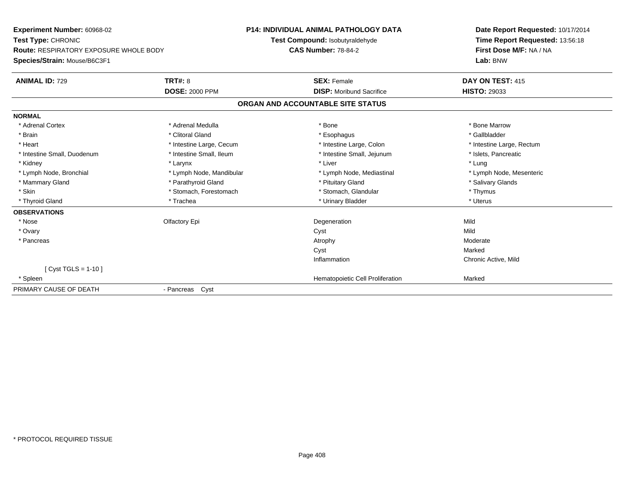**Experiment Number:** 60968-02**Test Type:** CHRONIC **Route:** RESPIRATORY EXPOSURE WHOLE BODY**Species/Strain:** Mouse/B6C3F1**P14: INDIVIDUAL ANIMAL PATHOLOGY DATATest Compound:** Isobutyraldehyde**CAS Number:** 78-84-2**Date Report Requested:** 10/17/2014**Time Report Requested:** 13:56:18**First Dose M/F:** NA / NA**Lab:** BNW**ANIMAL ID:** 729**9 TRT#:** 8 **TRT#:** 8 **SEX:** Female **SEX:** Female **DAY ON TEST:** 415 **DOSE:** 2000 PPM **DISP:** Moribund Sacrifice **HISTO:** <sup>29033</sup> **ORGAN AND ACCOUNTABLE SITE STATUSNORMAL**\* Adrenal Cortex \* Adrenal Medulla \* Adrenal Medulla \* Bone \* Bone \* Bone \* Bone \* Bone Marrow \* Gallbladder \* Brain \* Allen the second of the second of the second of the second of the second of the second of the second terms of the second of the second of the second of the second of the second of the second of the second of the \* Heart **\*** Intestine Large, Cecum \* Intestine Large, Cecum \* Intestine Large, Colon \* <sup>\*</sup> Intestine Large, Rectum \* Intestine Small, Duodenum \* Intestine Small, Ileum \* 1ntestine Small, Intestine Small, Jejunum \* Islets, Pancreatic \* Kidney \* Larynx \* Liver \* Lung\* Lymph Node, Mesenteric \* Lymph Node, Bronchial \* Lymph Node, Mandibular \* Lymph Node, Mediastinal \* Lymph Node, Mediastinal \* Mammary Gland \* The state of the Parathyroid Gland \* The state of the state of the state of the state of the state of the state of the state of the state of the state of the state of the state of the state of the state o \* Skin \* Stomach, Forestomach \* Stomach \* Stomach, Glandular \* Thymus \* Thymus \* Uterus \* Thyroid Gland \* \* Trachea \* \* Trachea \* Trachea \* \* Urinary Bladder \* \* Urinary Bladder \* \* Uterus \* Uterus **OBSERVATIONS** \* Nosee and the Contractory Epi and the Contractor of the Contractor of the Contractor of the Mild of the Mild of the Mild of the Mild of the Contractor of the Mild of the Contractor of the Contractor of the Contractor of the Co \* Ovaryy and the control of the control of the control of the control of the control of the control of the control of the control of the control of the control of the control of the control of the control of the control of the co Moderate \* Pancreass and the contract of the contract of the contract of the contract of the contract of the contract of the contract of  $\lambda$ Cyst Markedn Chronic Active, Mild Inflammation[ Cyst TGLS = 1-10 ] \* SpleenHematopoietic Cell Proliferation Marked PRIMARY CAUSE OF DEATH- Pancreas Cyst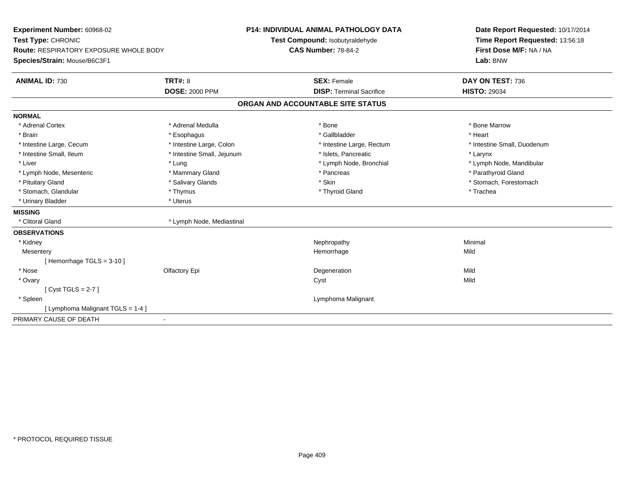| Experiment Number: 60968-02                   |                            | <b>P14: INDIVIDUAL ANIMAL PATHOLOGY DATA</b> | Date Report Requested: 10/17/2014 |  |  |
|-----------------------------------------------|----------------------------|----------------------------------------------|-----------------------------------|--|--|
| Test Type: CHRONIC                            |                            | Test Compound: Isobutyraldehyde              | Time Report Requested: 13:56:18   |  |  |
| <b>Route: RESPIRATORY EXPOSURE WHOLE BODY</b> |                            | <b>CAS Number: 78-84-2</b>                   | First Dose M/F: NA / NA           |  |  |
| Species/Strain: Mouse/B6C3F1                  |                            |                                              | Lab: BNW                          |  |  |
| <b>ANIMAL ID: 730</b>                         | <b>TRT#: 8</b>             | <b>SEX: Female</b>                           | DAY ON TEST: 736                  |  |  |
|                                               | <b>DOSE: 2000 PPM</b>      | <b>DISP: Terminal Sacrifice</b>              | <b>HISTO: 29034</b>               |  |  |
|                                               |                            | ORGAN AND ACCOUNTABLE SITE STATUS            |                                   |  |  |
| <b>NORMAL</b>                                 |                            |                                              |                                   |  |  |
| * Adrenal Cortex                              | * Adrenal Medulla          | * Bone                                       | * Bone Marrow                     |  |  |
| * Brain                                       | * Esophagus                | * Gallbladder                                | * Heart                           |  |  |
| * Intestine Large, Cecum                      | * Intestine Large, Colon   | * Intestine Large, Rectum                    | * Intestine Small, Duodenum       |  |  |
| * Intestine Small, Ileum                      | * Intestine Small, Jejunum | * Islets, Pancreatic                         | * Larynx                          |  |  |
| * Liver                                       | * Lung                     | * Lymph Node, Bronchial                      | * Lymph Node, Mandibular          |  |  |
| * Lymph Node, Mesenteric                      | * Mammary Gland            | * Pancreas                                   | * Parathyroid Gland               |  |  |
| * Pituitary Gland                             | * Salivary Glands          | * Skin                                       | * Stomach, Forestomach            |  |  |
| * Stomach, Glandular                          | * Thymus                   | * Thyroid Gland                              | * Trachea                         |  |  |
| * Urinary Bladder                             | * Uterus                   |                                              |                                   |  |  |
| <b>MISSING</b>                                |                            |                                              |                                   |  |  |
| * Clitoral Gland                              | * Lymph Node, Mediastinal  |                                              |                                   |  |  |
| <b>OBSERVATIONS</b>                           |                            |                                              |                                   |  |  |
| * Kidney                                      |                            | Nephropathy                                  | Minimal                           |  |  |
| Mesentery                                     |                            | Hemorrhage                                   | Mild                              |  |  |
| [Hemorrhage TGLS = $3-10$ ]                   |                            |                                              |                                   |  |  |
| * Nose                                        | Olfactory Epi              | Degeneration                                 | Mild                              |  |  |
| * Ovary                                       |                            | Cyst                                         | Mild                              |  |  |
| [Cyst TGLS = $2-7$ ]                          |                            |                                              |                                   |  |  |
| * Spleen                                      |                            | Lymphoma Malignant                           |                                   |  |  |
| [ Lymphoma Malignant TGLS = 1-4 ]             |                            |                                              |                                   |  |  |
| PRIMARY CAUSE OF DEATH                        | $\overline{\phantom{a}}$   |                                              |                                   |  |  |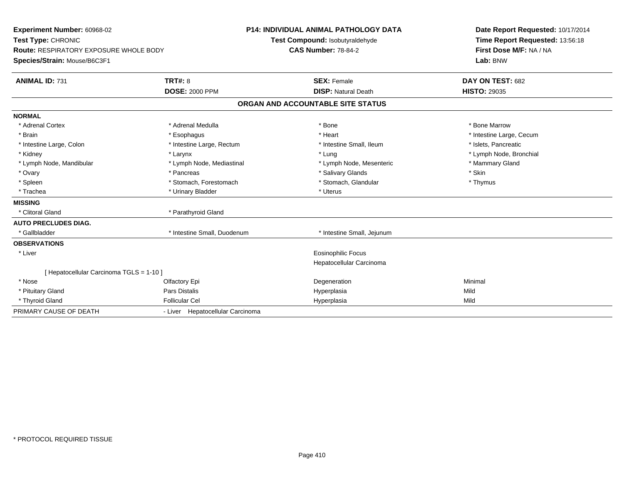| Experiment Number: 60968-02                   |                                  |  | P14: INDIVIDUAL ANIMAL PATHOLOGY DATA | Date Report Requested: 10/17/2014 |
|-----------------------------------------------|----------------------------------|--|---------------------------------------|-----------------------------------|
| Test Type: CHRONIC                            |                                  |  | Test Compound: Isobutyraldehyde       | Time Report Requested: 13:56:18   |
| <b>Route: RESPIRATORY EXPOSURE WHOLE BODY</b> | <b>CAS Number: 78-84-2</b>       |  |                                       | First Dose M/F: NA / NA           |
| Species/Strain: Mouse/B6C3F1                  |                                  |  |                                       | Lab: BNW                          |
| <b>ANIMAL ID: 731</b>                         | <b>TRT#: 8</b>                   |  | <b>SEX: Female</b>                    | DAY ON TEST: 682                  |
|                                               | <b>DOSE: 2000 PPM</b>            |  | <b>DISP: Natural Death</b>            | <b>HISTO: 29035</b>               |
|                                               |                                  |  | ORGAN AND ACCOUNTABLE SITE STATUS     |                                   |
| <b>NORMAL</b>                                 |                                  |  |                                       |                                   |
| * Adrenal Cortex                              | * Adrenal Medulla                |  | * Bone                                | * Bone Marrow                     |
| * Brain                                       | * Esophagus                      |  | * Heart                               | * Intestine Large, Cecum          |
| * Intestine Large, Colon                      | * Intestine Large, Rectum        |  | * Intestine Small, Ileum              | * Islets, Pancreatic              |
| * Kidney                                      | * Larynx                         |  | * Lung                                | * Lymph Node, Bronchial           |
| * Lymph Node, Mandibular                      | * Lymph Node, Mediastinal        |  | * Lymph Node, Mesenteric              | * Mammary Gland                   |
| * Ovary                                       | * Pancreas                       |  | * Salivary Glands                     | * Skin                            |
| * Spleen                                      | * Stomach, Forestomach           |  | * Stomach, Glandular                  | * Thymus                          |
| * Trachea                                     | * Urinary Bladder                |  | * Uterus                              |                                   |
| <b>MISSING</b>                                |                                  |  |                                       |                                   |
| * Clitoral Gland                              | * Parathyroid Gland              |  |                                       |                                   |
| <b>AUTO PRECLUDES DIAG.</b>                   |                                  |  |                                       |                                   |
| * Gallbladder                                 | * Intestine Small, Duodenum      |  | * Intestine Small, Jejunum            |                                   |
| <b>OBSERVATIONS</b>                           |                                  |  |                                       |                                   |
| * Liver                                       |                                  |  | <b>Eosinophilic Focus</b>             |                                   |
|                                               |                                  |  | Hepatocellular Carcinoma              |                                   |
| [ Hepatocellular Carcinoma TGLS = 1-10 ]      |                                  |  |                                       |                                   |
| * Nose                                        | Olfactory Epi                    |  | Degeneration                          | Minimal                           |
| * Pituitary Gland                             | Pars Distalis                    |  | Hyperplasia                           | Mild                              |
| * Thyroid Gland                               | <b>Follicular Cel</b>            |  | Hyperplasia                           | Mild                              |
| PRIMARY CAUSE OF DEATH                        | - Liver Hepatocellular Carcinoma |  |                                       |                                   |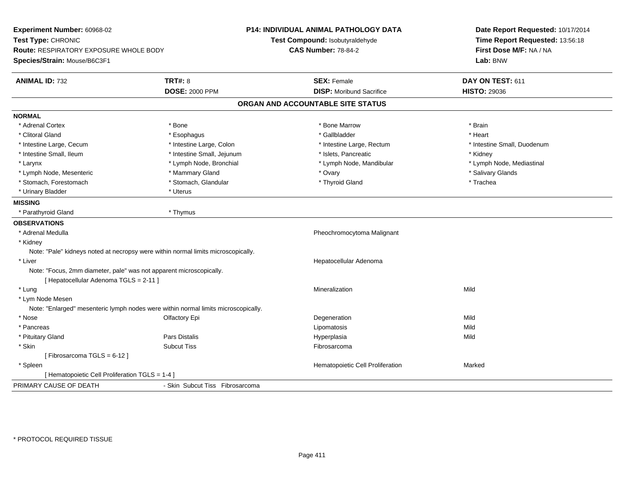| Experiment Number: 60968-02<br>Test Type: CHRONIC<br>Route: RESPIRATORY EXPOSURE WHOLE BODY<br>Species/Strain: Mouse/B6C3F1 | P14: INDIVIDUAL ANIMAL PATHOLOGY DATA<br>Test Compound: Isobutyraldehyde<br><b>CAS Number: 78-84-2</b> |                                   | Date Report Requested: 10/17/2014<br>Time Report Requested: 13:56:18<br>First Dose M/F: NA / NA<br>Lab: BNW |
|-----------------------------------------------------------------------------------------------------------------------------|--------------------------------------------------------------------------------------------------------|-----------------------------------|-------------------------------------------------------------------------------------------------------------|
| <b>ANIMAL ID: 732</b>                                                                                                       | <b>TRT#: 8</b>                                                                                         | <b>SEX: Female</b>                | DAY ON TEST: 611                                                                                            |
|                                                                                                                             | <b>DOSE: 2000 PPM</b>                                                                                  | <b>DISP:</b> Moribund Sacrifice   | <b>HISTO: 29036</b>                                                                                         |
|                                                                                                                             |                                                                                                        | ORGAN AND ACCOUNTABLE SITE STATUS |                                                                                                             |
| <b>NORMAL</b>                                                                                                               |                                                                                                        |                                   |                                                                                                             |
| * Adrenal Cortex                                                                                                            | * Bone                                                                                                 | * Bone Marrow                     | * Brain                                                                                                     |
| * Clitoral Gland                                                                                                            | * Esophagus                                                                                            | * Gallbladder                     | * Heart                                                                                                     |
| * Intestine Large, Cecum                                                                                                    | * Intestine Large, Colon                                                                               | * Intestine Large, Rectum         | * Intestine Small, Duodenum                                                                                 |
| * Intestine Small, Ileum                                                                                                    | * Intestine Small, Jejunum                                                                             | * Islets, Pancreatic              | * Kidney                                                                                                    |
| * Larynx                                                                                                                    | * Lymph Node, Bronchial                                                                                | * Lymph Node, Mandibular          | * Lymph Node, Mediastinal                                                                                   |
| * Lymph Node, Mesenteric                                                                                                    | * Mammary Gland                                                                                        | * Ovary                           | * Salivary Glands                                                                                           |
| * Stomach, Forestomach                                                                                                      | * Stomach, Glandular                                                                                   | * Thyroid Gland                   | * Trachea                                                                                                   |
| * Urinary Bladder                                                                                                           | * Uterus                                                                                               |                                   |                                                                                                             |
| <b>MISSING</b>                                                                                                              |                                                                                                        |                                   |                                                                                                             |
| * Parathyroid Gland                                                                                                         | * Thymus                                                                                               |                                   |                                                                                                             |
| <b>OBSERVATIONS</b>                                                                                                         |                                                                                                        |                                   |                                                                                                             |
| * Adrenal Medulla                                                                                                           |                                                                                                        | Pheochromocytoma Malignant        |                                                                                                             |
| * Kidney                                                                                                                    |                                                                                                        |                                   |                                                                                                             |
| Note: "Pale" kidneys noted at necropsy were within normal limits microscopically.                                           |                                                                                                        |                                   |                                                                                                             |
| * Liver                                                                                                                     |                                                                                                        | Hepatocellular Adenoma            |                                                                                                             |
| Note: "Focus, 2mm diameter, pale" was not apparent microscopically.<br>[ Hepatocellular Adenoma TGLS = 2-11 ]               |                                                                                                        |                                   |                                                                                                             |
| * Lung                                                                                                                      |                                                                                                        | Mineralization                    | Mild                                                                                                        |
| * Lym Node Mesen                                                                                                            |                                                                                                        |                                   |                                                                                                             |
| Note: "Enlarged" mesenteric lymph nodes were within normal limits microscopically.                                          |                                                                                                        |                                   |                                                                                                             |
| * Nose                                                                                                                      | Olfactory Epi                                                                                          | Degeneration                      | Mild                                                                                                        |
| * Pancreas                                                                                                                  |                                                                                                        | Lipomatosis                       | Mild                                                                                                        |
| * Pituitary Gland                                                                                                           | <b>Pars Distalis</b>                                                                                   | Hyperplasia                       | Mild                                                                                                        |
| * Skin                                                                                                                      | <b>Subcut Tiss</b>                                                                                     | Fibrosarcoma                      |                                                                                                             |
| [Fibrosarcoma TGLS = $6-12$ ]                                                                                               |                                                                                                        |                                   |                                                                                                             |
| * Spleen                                                                                                                    |                                                                                                        | Hematopoietic Cell Proliferation  | Marked                                                                                                      |
| [ Hematopoietic Cell Proliferation TGLS = 1-4 ]                                                                             |                                                                                                        |                                   |                                                                                                             |
| PRIMARY CAUSE OF DEATH                                                                                                      | - Skin Subcut Tiss Fibrosarcoma                                                                        |                                   |                                                                                                             |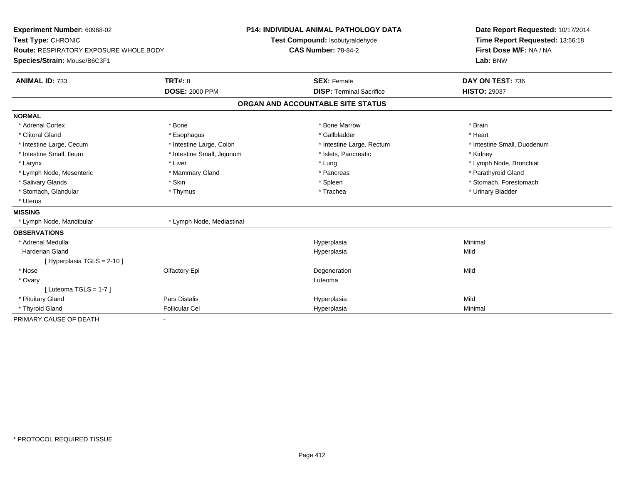| Experiment Number: 60968-02                   |                            | <b>P14: INDIVIDUAL ANIMAL PATHOLOGY DATA</b> | Date Report Requested: 10/17/2014 |
|-----------------------------------------------|----------------------------|----------------------------------------------|-----------------------------------|
| Test Type: CHRONIC                            |                            | Test Compound: Isobutyraldehyde              | Time Report Requested: 13:56:18   |
| <b>Route: RESPIRATORY EXPOSURE WHOLE BODY</b> |                            | <b>CAS Number: 78-84-2</b>                   | First Dose M/F: NA / NA           |
| Species/Strain: Mouse/B6C3F1                  |                            |                                              | Lab: BNW                          |
| <b>ANIMAL ID: 733</b>                         | <b>TRT#: 8</b>             | <b>SEX: Female</b>                           | DAY ON TEST: 736                  |
|                                               | <b>DOSE: 2000 PPM</b>      | <b>DISP: Terminal Sacrifice</b>              | <b>HISTO: 29037</b>               |
|                                               |                            | ORGAN AND ACCOUNTABLE SITE STATUS            |                                   |
| <b>NORMAL</b>                                 |                            |                                              |                                   |
| * Adrenal Cortex                              | * Bone                     | * Bone Marrow                                | * Brain                           |
| * Clitoral Gland                              | * Esophagus                | * Gallbladder                                | * Heart                           |
| * Intestine Large, Cecum                      | * Intestine Large, Colon   | * Intestine Large, Rectum                    | * Intestine Small, Duodenum       |
| * Intestine Small, Ileum                      | * Intestine Small, Jejunum | * Islets, Pancreatic                         | * Kidney                          |
| * Larynx                                      | * Liver                    | * Lung                                       | * Lymph Node, Bronchial           |
| * Lymph Node, Mesenteric                      | * Mammary Gland            | * Pancreas                                   | * Parathyroid Gland               |
| * Salivary Glands                             | * Skin                     | * Spleen                                     | * Stomach, Forestomach            |
| * Stomach, Glandular                          | * Thymus                   | * Trachea                                    | * Urinary Bladder                 |
| * Uterus                                      |                            |                                              |                                   |
| <b>MISSING</b>                                |                            |                                              |                                   |
| * Lymph Node, Mandibular                      | * Lymph Node, Mediastinal  |                                              |                                   |
| <b>OBSERVATIONS</b>                           |                            |                                              |                                   |
| * Adrenal Medulla                             |                            | Hyperplasia                                  | Minimal                           |
| <b>Harderian Gland</b>                        |                            | Hyperplasia                                  | Mild                              |
| [ Hyperplasia TGLS = 2-10 ]                   |                            |                                              |                                   |
| * Nose                                        | Olfactory Epi              | Degeneration                                 | Mild                              |
| * Ovary                                       |                            | Luteoma                                      |                                   |
| [ Luteoma TGLS = $1-7$ ]                      |                            |                                              |                                   |
| * Pituitary Gland                             | <b>Pars Distalis</b>       | Hyperplasia                                  | Mild                              |
| * Thyroid Gland                               | <b>Follicular Cel</b>      | Hyperplasia                                  | Minimal                           |
| PRIMARY CAUSE OF DEATH                        |                            |                                              |                                   |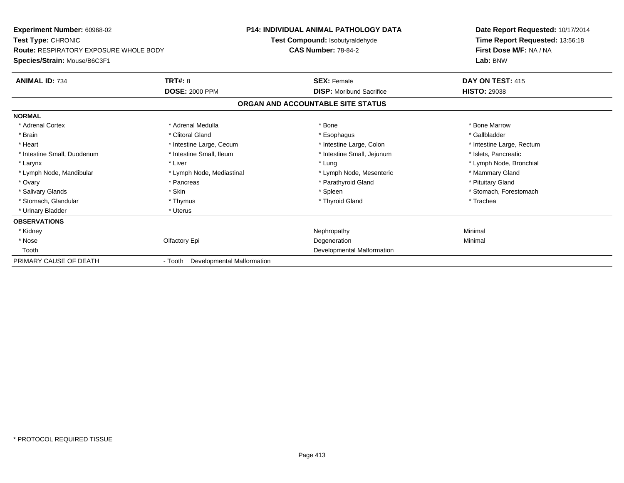| <b>Experiment Number: 60968-02</b>            |                                    | <b>P14: INDIVIDUAL ANIMAL PATHOLOGY DATA</b> | Date Report Requested: 10/17/2014 |  |
|-----------------------------------------------|------------------------------------|----------------------------------------------|-----------------------------------|--|
| <b>Test Type: CHRONIC</b>                     |                                    | Test Compound: Isobutyraldehyde              | Time Report Requested: 13:56:18   |  |
| <b>Route: RESPIRATORY EXPOSURE WHOLE BODY</b> |                                    | <b>CAS Number: 78-84-2</b>                   | First Dose M/F: NA / NA           |  |
| Species/Strain: Mouse/B6C3F1                  |                                    |                                              | Lab: BNW                          |  |
| <b>ANIMAL ID: 734</b>                         | TRT#: 8                            | <b>SEX: Female</b>                           | DAY ON TEST: 415                  |  |
|                                               | <b>DOSE: 2000 PPM</b>              | <b>DISP:</b> Moribund Sacrifice              | <b>HISTO: 29038</b>               |  |
|                                               |                                    | ORGAN AND ACCOUNTABLE SITE STATUS            |                                   |  |
| <b>NORMAL</b>                                 |                                    |                                              |                                   |  |
| * Adrenal Cortex                              | * Adrenal Medulla                  | * Bone                                       | * Bone Marrow                     |  |
| * Brain                                       | * Clitoral Gland                   | * Esophagus                                  | * Gallbladder                     |  |
| * Heart                                       | * Intestine Large, Cecum           | * Intestine Large, Colon                     | * Intestine Large, Rectum         |  |
| * Intestine Small, Duodenum                   | * Intestine Small, Ileum           | * Intestine Small, Jejunum                   | * Islets, Pancreatic              |  |
| * Larynx                                      | * Liver                            | * Lung                                       | * Lymph Node, Bronchial           |  |
| * Lymph Node, Mandibular                      | * Lymph Node, Mediastinal          | * Lymph Node, Mesenteric                     | * Mammary Gland                   |  |
| * Ovary                                       | * Pancreas                         | * Parathyroid Gland                          | * Pituitary Gland                 |  |
| * Salivary Glands                             | * Skin                             | * Spleen                                     | * Stomach, Forestomach            |  |
| * Stomach, Glandular                          | * Thymus                           | * Thyroid Gland                              | * Trachea                         |  |
| * Urinary Bladder                             | * Uterus                           |                                              |                                   |  |
| <b>OBSERVATIONS</b>                           |                                    |                                              |                                   |  |
| * Kidney                                      |                                    | Nephropathy                                  | Minimal                           |  |
| * Nose                                        | Olfactory Epi                      | Degeneration                                 | Minimal                           |  |
| Tooth                                         |                                    | Developmental Malformation                   |                                   |  |
| PRIMARY CAUSE OF DEATH                        | - Tooth Developmental Malformation |                                              |                                   |  |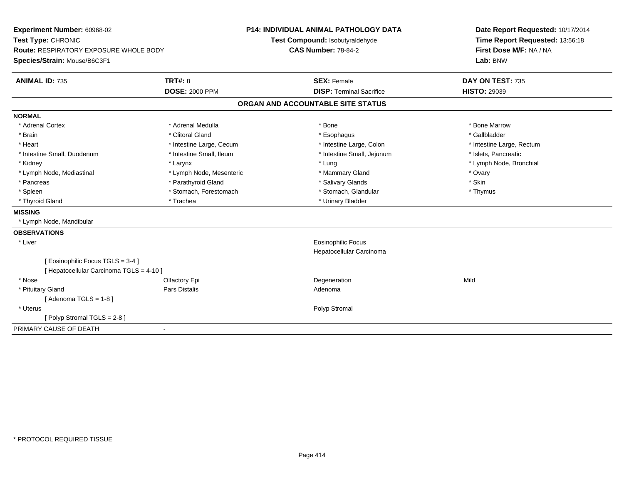| Experiment Number: 60968-02<br>Test Type: CHRONIC<br><b>Route: RESPIRATORY EXPOSURE WHOLE BODY</b> |                          | <b>P14: INDIVIDUAL ANIMAL PATHOLOGY DATA</b><br>Test Compound: Isobutyraldehyde |                                 | Date Report Requested: 10/17/2014<br>Time Report Requested: 13:56:18 |
|----------------------------------------------------------------------------------------------------|--------------------------|---------------------------------------------------------------------------------|---------------------------------|----------------------------------------------------------------------|
|                                                                                                    |                          | <b>CAS Number: 78-84-2</b>                                                      |                                 | First Dose M/F: NA / NA                                              |
| Species/Strain: Mouse/B6C3F1                                                                       |                          |                                                                                 |                                 | Lab: BNW                                                             |
| <b>ANIMAL ID: 735</b>                                                                              | <b>TRT#: 8</b>           |                                                                                 | <b>SEX: Female</b>              | DAY ON TEST: 735                                                     |
|                                                                                                    | <b>DOSE: 2000 PPM</b>    |                                                                                 | <b>DISP: Terminal Sacrifice</b> | <b>HISTO: 29039</b>                                                  |
|                                                                                                    |                          | ORGAN AND ACCOUNTABLE SITE STATUS                                               |                                 |                                                                      |
| <b>NORMAL</b>                                                                                      |                          |                                                                                 |                                 |                                                                      |
| * Adrenal Cortex                                                                                   | * Adrenal Medulla        |                                                                                 | * Bone                          | * Bone Marrow                                                        |
| * Brain                                                                                            | * Clitoral Gland         |                                                                                 | * Esophagus                     | * Gallbladder                                                        |
| * Heart                                                                                            | * Intestine Large, Cecum |                                                                                 | * Intestine Large, Colon        | * Intestine Large, Rectum                                            |
| * Intestine Small, Duodenum                                                                        | * Intestine Small, Ileum |                                                                                 | * Intestine Small, Jejunum      | * Islets, Pancreatic                                                 |
| * Kidney                                                                                           | * Larynx                 |                                                                                 | * Lung                          | * Lymph Node, Bronchial                                              |
| * Lymph Node, Mediastinal                                                                          | * Lymph Node, Mesenteric |                                                                                 | * Mammary Gland                 | * Ovary                                                              |
| * Pancreas                                                                                         | * Parathyroid Gland      |                                                                                 | * Salivary Glands               | * Skin                                                               |
| * Spleen                                                                                           | * Stomach, Forestomach   |                                                                                 | * Stomach, Glandular            | * Thymus                                                             |
| * Thyroid Gland                                                                                    | * Trachea                |                                                                                 | * Urinary Bladder               |                                                                      |
| <b>MISSING</b>                                                                                     |                          |                                                                                 |                                 |                                                                      |
| * Lymph Node, Mandibular                                                                           |                          |                                                                                 |                                 |                                                                      |
| <b>OBSERVATIONS</b>                                                                                |                          |                                                                                 |                                 |                                                                      |
| * Liver                                                                                            |                          |                                                                                 | <b>Eosinophilic Focus</b>       |                                                                      |
|                                                                                                    |                          |                                                                                 | Hepatocellular Carcinoma        |                                                                      |
| [ Eosinophilic Focus TGLS = 3-4 ]                                                                  |                          |                                                                                 |                                 |                                                                      |
| [ Hepatocellular Carcinoma TGLS = 4-10 ]                                                           |                          |                                                                                 |                                 |                                                                      |
| * Nose                                                                                             | Olfactory Epi            |                                                                                 | Degeneration                    | Mild                                                                 |
| * Pituitary Gland                                                                                  | Pars Distalis            |                                                                                 | Adenoma                         |                                                                      |
| [Adenoma TGLS = $1-8$ ]                                                                            |                          |                                                                                 |                                 |                                                                      |
| * Uterus                                                                                           |                          |                                                                                 | Polyp Stromal                   |                                                                      |
| [Polyp Stromal TGLS = 2-8]                                                                         |                          |                                                                                 |                                 |                                                                      |
| PRIMARY CAUSE OF DEATH                                                                             | $\blacksquare$           |                                                                                 |                                 |                                                                      |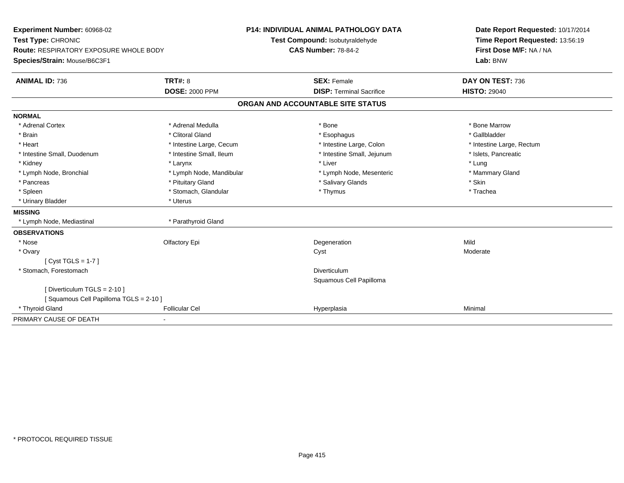| Experiment Number: 60968-02                   |                          | P14: INDIVIDUAL ANIMAL PATHOLOGY DATA | Date Report Requested: 10/17/2014 |  |
|-----------------------------------------------|--------------------------|---------------------------------------|-----------------------------------|--|
| Test Type: CHRONIC                            |                          | Test Compound: Isobutyraldehyde       | Time Report Requested: 13:56:19   |  |
| <b>Route: RESPIRATORY EXPOSURE WHOLE BODY</b> |                          | <b>CAS Number: 78-84-2</b>            | First Dose M/F: NA / NA           |  |
| Species/Strain: Mouse/B6C3F1                  |                          |                                       | Lab: BNW                          |  |
| <b>ANIMAL ID: 736</b>                         | <b>TRT#: 8</b>           | <b>SEX: Female</b>                    | DAY ON TEST: 736                  |  |
|                                               | <b>DOSE: 2000 PPM</b>    | <b>DISP: Terminal Sacrifice</b>       | <b>HISTO: 29040</b>               |  |
|                                               |                          | ORGAN AND ACCOUNTABLE SITE STATUS     |                                   |  |
| <b>NORMAL</b>                                 |                          |                                       |                                   |  |
| * Adrenal Cortex                              | * Adrenal Medulla        | * Bone                                | * Bone Marrow                     |  |
| * Brain                                       | * Clitoral Gland         | * Esophagus                           | * Gallbladder                     |  |
| * Heart                                       | * Intestine Large, Cecum | * Intestine Large, Colon              | * Intestine Large, Rectum         |  |
| * Intestine Small, Duodenum                   | * Intestine Small, Ileum | * Intestine Small, Jejunum            | * Islets, Pancreatic              |  |
| * Kidney                                      | * Larynx                 | * Liver                               | * Lung                            |  |
| * Lymph Node, Bronchial                       | * Lymph Node, Mandibular | * Lymph Node, Mesenteric              | * Mammary Gland                   |  |
| * Pancreas                                    | * Pituitary Gland        | * Salivary Glands                     | * Skin                            |  |
| * Spleen                                      | * Stomach, Glandular     | * Thymus                              | * Trachea                         |  |
| * Urinary Bladder                             | * Uterus                 |                                       |                                   |  |
| <b>MISSING</b>                                |                          |                                       |                                   |  |
| * Lymph Node, Mediastinal                     | * Parathyroid Gland      |                                       |                                   |  |
| <b>OBSERVATIONS</b>                           |                          |                                       |                                   |  |
| * Nose                                        | Olfactory Epi            | Degeneration                          | Mild                              |  |
| * Ovary                                       |                          | Cyst                                  | Moderate                          |  |
| $[Cyst TGLS = 1-7]$                           |                          |                                       |                                   |  |
| * Stomach, Forestomach                        |                          | <b>Diverticulum</b>                   |                                   |  |
|                                               |                          | Squamous Cell Papilloma               |                                   |  |
| [ Diverticulum TGLS = 2-10 ]                  |                          |                                       |                                   |  |
| [Squamous Cell Papilloma TGLS = 2-10]         |                          |                                       |                                   |  |
| * Thyroid Gland                               | <b>Follicular Cel</b>    | Hyperplasia                           | Minimal                           |  |
| PRIMARY CAUSE OF DEATH                        |                          |                                       |                                   |  |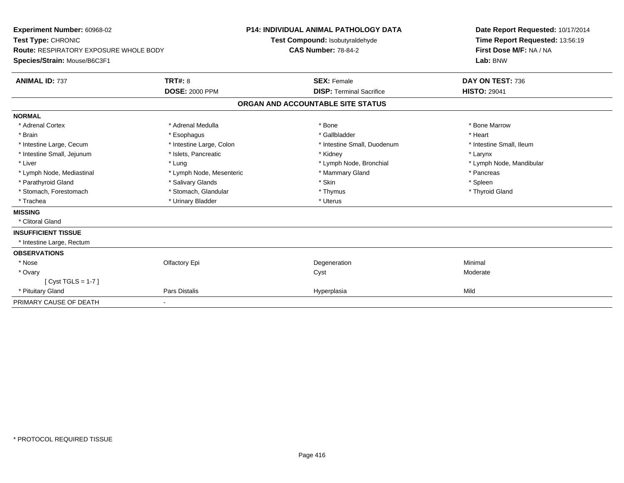| Experiment Number: 60968-02<br>Test Type: CHRONIC<br>Route: RESPIRATORY EXPOSURE WHOLE BODY<br>Species/Strain: Mouse/B6C3F1<br><b>ANIMAL ID: 737</b> | TRT#: 8                  | <b>P14: INDIVIDUAL ANIMAL PATHOLOGY DATA</b><br>Test Compound: Isobutyraldehyde<br><b>CAS Number: 78-84-2</b><br><b>SEX: Female</b> | Date Report Requested: 10/17/2014<br>Time Report Requested: 13:56:19<br>First Dose M/F: NA / NA<br>Lab: BNW<br>DAY ON TEST: 736 |
|------------------------------------------------------------------------------------------------------------------------------------------------------|--------------------------|-------------------------------------------------------------------------------------------------------------------------------------|---------------------------------------------------------------------------------------------------------------------------------|
|                                                                                                                                                      | <b>DOSE: 2000 PPM</b>    | <b>DISP: Terminal Sacrifice</b>                                                                                                     | <b>HISTO: 29041</b>                                                                                                             |
|                                                                                                                                                      |                          | ORGAN AND ACCOUNTABLE SITE STATUS                                                                                                   |                                                                                                                                 |
| <b>NORMAL</b>                                                                                                                                        |                          |                                                                                                                                     |                                                                                                                                 |
| * Adrenal Cortex                                                                                                                                     | * Adrenal Medulla        | * Bone                                                                                                                              | * Bone Marrow                                                                                                                   |
| * Brain                                                                                                                                              | * Esophagus              | * Gallbladder                                                                                                                       | * Heart                                                                                                                         |
| * Intestine Large, Cecum                                                                                                                             | * Intestine Large, Colon | * Intestine Small, Duodenum                                                                                                         | * Intestine Small, Ileum                                                                                                        |
| * Intestine Small, Jejunum                                                                                                                           | * Islets, Pancreatic     | * Kidney                                                                                                                            | * Larynx                                                                                                                        |
| * Liver                                                                                                                                              | * Lung                   | * Lymph Node, Bronchial                                                                                                             | * Lymph Node, Mandibular                                                                                                        |
| * Lymph Node, Mediastinal                                                                                                                            | * Lymph Node, Mesenteric | * Mammary Gland                                                                                                                     | * Pancreas                                                                                                                      |
| * Parathyroid Gland                                                                                                                                  | * Salivary Glands        | * Skin                                                                                                                              | * Spleen                                                                                                                        |
| * Stomach, Forestomach                                                                                                                               | * Stomach, Glandular     | * Thymus                                                                                                                            | * Thyroid Gland                                                                                                                 |
| * Trachea                                                                                                                                            | * Urinary Bladder        | * Uterus                                                                                                                            |                                                                                                                                 |
| <b>MISSING</b>                                                                                                                                       |                          |                                                                                                                                     |                                                                                                                                 |
| * Clitoral Gland                                                                                                                                     |                          |                                                                                                                                     |                                                                                                                                 |
| <b>INSUFFICIENT TISSUE</b>                                                                                                                           |                          |                                                                                                                                     |                                                                                                                                 |
| * Intestine Large, Rectum                                                                                                                            |                          |                                                                                                                                     |                                                                                                                                 |
| <b>OBSERVATIONS</b>                                                                                                                                  |                          |                                                                                                                                     |                                                                                                                                 |
| * Nose                                                                                                                                               | Olfactory Epi            | Degeneration                                                                                                                        | Minimal                                                                                                                         |
| * Ovary                                                                                                                                              |                          | Cyst                                                                                                                                | Moderate                                                                                                                        |
| [Cyst TGLS = 1-7]                                                                                                                                    |                          |                                                                                                                                     |                                                                                                                                 |
| * Pituitary Gland                                                                                                                                    | Pars Distalis            | Hyperplasia                                                                                                                         | Mild                                                                                                                            |
| PRIMARY CAUSE OF DEATH                                                                                                                               |                          |                                                                                                                                     |                                                                                                                                 |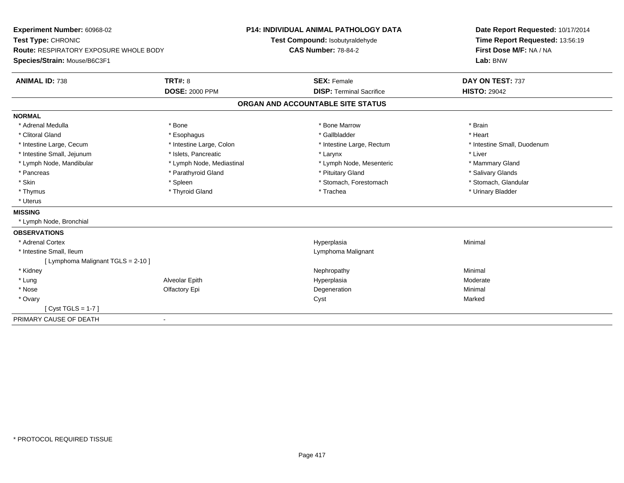| Experiment Number: 60968-02                   |                              |                                   | <b>P14: INDIVIDUAL ANIMAL PATHOLOGY DATA</b> | Date Report Requested: 10/17/2014 |
|-----------------------------------------------|------------------------------|-----------------------------------|----------------------------------------------|-----------------------------------|
| Test Type: CHRONIC                            |                              |                                   | Test Compound: Isobutyraldehyde              | Time Report Requested: 13:56:19   |
| <b>Route: RESPIRATORY EXPOSURE WHOLE BODY</b> |                              | <b>CAS Number: 78-84-2</b>        |                                              | First Dose M/F: NA / NA           |
| Species/Strain: Mouse/B6C3F1                  |                              |                                   |                                              | Lab: BNW                          |
| <b>ANIMAL ID: 738</b>                         | <b>TRT#: 8</b>               |                                   | <b>SEX: Female</b>                           | DAY ON TEST: 737                  |
|                                               | <b>DOSE: 2000 PPM</b>        |                                   | <b>DISP: Terminal Sacrifice</b>              | <b>HISTO: 29042</b>               |
|                                               |                              | ORGAN AND ACCOUNTABLE SITE STATUS |                                              |                                   |
| <b>NORMAL</b>                                 |                              |                                   |                                              |                                   |
| * Adrenal Medulla                             | * Bone                       |                                   | * Bone Marrow                                | * Brain                           |
| * Clitoral Gland                              | * Esophagus                  |                                   | * Gallbladder                                | * Heart                           |
| * Intestine Large, Cecum                      | * Intestine Large, Colon     |                                   | * Intestine Large, Rectum                    | * Intestine Small, Duodenum       |
| * Intestine Small, Jejunum                    | * Islets, Pancreatic         |                                   | * Larynx                                     | * Liver                           |
| * Lymph Node, Mandibular                      | * Lymph Node, Mediastinal    |                                   | * Lymph Node, Mesenteric                     | * Mammary Gland                   |
| * Pancreas                                    | * Parathyroid Gland          |                                   | * Pituitary Gland                            | * Salivary Glands                 |
| * Skin                                        | * Spleen                     |                                   | * Stomach, Forestomach                       | * Stomach, Glandular              |
| * Thymus                                      | * Thyroid Gland              |                                   | * Trachea                                    | * Urinary Bladder                 |
| * Uterus                                      |                              |                                   |                                              |                                   |
| <b>MISSING</b>                                |                              |                                   |                                              |                                   |
| * Lymph Node, Bronchial                       |                              |                                   |                                              |                                   |
| <b>OBSERVATIONS</b>                           |                              |                                   |                                              |                                   |
| * Adrenal Cortex                              |                              |                                   | Hyperplasia                                  | Minimal                           |
| * Intestine Small, Ileum                      |                              |                                   | Lymphoma Malignant                           |                                   |
| [ Lymphoma Malignant TGLS = 2-10 ]            |                              |                                   |                                              |                                   |
| * Kidney                                      |                              |                                   | Nephropathy                                  | Minimal                           |
| * Lung                                        | Alveolar Epith               |                                   | Hyperplasia                                  | Moderate                          |
| * Nose                                        | Olfactory Epi                |                                   | Degeneration                                 | Minimal                           |
| * Ovary                                       |                              | Cyst                              |                                              | Marked                            |
| [Cyst TGLS = 1-7]                             |                              |                                   |                                              |                                   |
| PRIMARY CAUSE OF DEATH                        | $\qquad \qquad \blacksquare$ |                                   |                                              |                                   |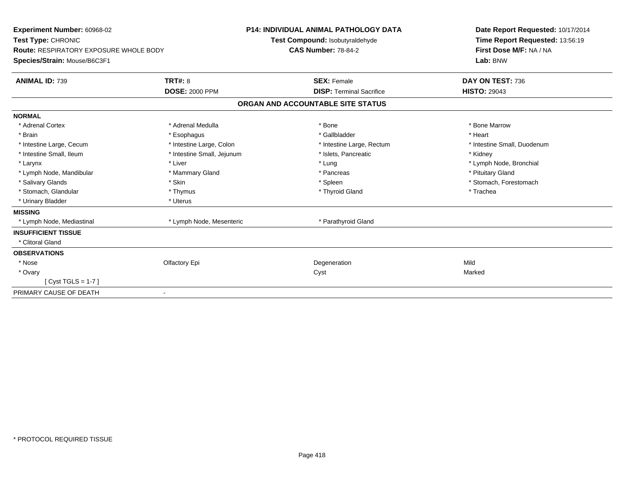| Experiment Number: 60968-02<br>Test Type: CHRONIC<br>Route: RESPIRATORY EXPOSURE WHOLE BODY<br>Species/Strain: Mouse/B6C3F1 |                            | <b>P14: INDIVIDUAL ANIMAL PATHOLOGY DATA</b><br>Test Compound: Isobutyraldehyde<br><b>CAS Number: 78-84-2</b> | Date Report Requested: 10/17/2014<br>Time Report Requested: 13:56:19<br>First Dose M/F: NA / NA<br>Lab: BNW |
|-----------------------------------------------------------------------------------------------------------------------------|----------------------------|---------------------------------------------------------------------------------------------------------------|-------------------------------------------------------------------------------------------------------------|
| <b>ANIMAL ID: 739</b>                                                                                                       | TRT#: 8                    | <b>SEX: Female</b>                                                                                            | DAY ON TEST: 736                                                                                            |
|                                                                                                                             | <b>DOSE: 2000 PPM</b>      | <b>DISP: Terminal Sacrifice</b>                                                                               | <b>HISTO: 29043</b>                                                                                         |
|                                                                                                                             |                            | ORGAN AND ACCOUNTABLE SITE STATUS                                                                             |                                                                                                             |
| <b>NORMAL</b>                                                                                                               |                            |                                                                                                               |                                                                                                             |
| * Adrenal Cortex                                                                                                            | * Adrenal Medulla          | * Bone                                                                                                        | * Bone Marrow                                                                                               |
| * Brain                                                                                                                     | * Esophagus                | * Gallbladder                                                                                                 | * Heart                                                                                                     |
| * Intestine Large, Cecum                                                                                                    | * Intestine Large, Colon   | * Intestine Large, Rectum                                                                                     | * Intestine Small, Duodenum                                                                                 |
| * Intestine Small, Ileum                                                                                                    | * Intestine Small, Jejunum | * Islets, Pancreatic                                                                                          | * Kidney                                                                                                    |
| * Larynx                                                                                                                    | * Liver                    | * Lung                                                                                                        | * Lymph Node, Bronchial                                                                                     |
| * Lymph Node, Mandibular                                                                                                    | * Mammary Gland            | * Pancreas                                                                                                    | * Pituitary Gland                                                                                           |
| * Salivary Glands                                                                                                           | * Skin                     | * Spleen                                                                                                      | * Stomach. Forestomach                                                                                      |
| * Stomach, Glandular                                                                                                        | * Thymus                   | * Thyroid Gland                                                                                               | * Trachea                                                                                                   |
| * Urinary Bladder                                                                                                           | * Uterus                   |                                                                                                               |                                                                                                             |
| <b>MISSING</b>                                                                                                              |                            |                                                                                                               |                                                                                                             |
| * Lymph Node, Mediastinal                                                                                                   | * Lymph Node, Mesenteric   | * Parathyroid Gland                                                                                           |                                                                                                             |
| <b>INSUFFICIENT TISSUE</b>                                                                                                  |                            |                                                                                                               |                                                                                                             |
| * Clitoral Gland                                                                                                            |                            |                                                                                                               |                                                                                                             |
| <b>OBSERVATIONS</b>                                                                                                         |                            |                                                                                                               |                                                                                                             |
| * Nose                                                                                                                      | Olfactory Epi              | Degeneration                                                                                                  | Mild                                                                                                        |
| * Ovary                                                                                                                     |                            | Cyst                                                                                                          | Marked                                                                                                      |
| $Cyst TGLS = 1-7$                                                                                                           |                            |                                                                                                               |                                                                                                             |
| PRIMARY CAUSE OF DEATH<br>$\blacksquare$                                                                                    |                            |                                                                                                               |                                                                                                             |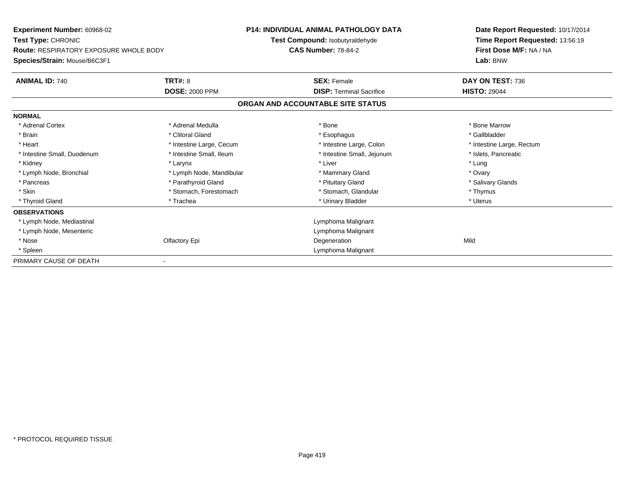| Experiment Number: 60968-02                   |                          | <b>P14: INDIVIDUAL ANIMAL PATHOLOGY DATA</b> | Date Report Requested: 10/17/2014 |  |
|-----------------------------------------------|--------------------------|----------------------------------------------|-----------------------------------|--|
| <b>Test Type: CHRONIC</b>                     |                          | Test Compound: Isobutyraldehyde              | Time Report Requested: 13:56:19   |  |
| <b>Route: RESPIRATORY EXPOSURE WHOLE BODY</b> |                          | <b>CAS Number: 78-84-2</b>                   | First Dose M/F: NA / NA           |  |
| Species/Strain: Mouse/B6C3F1                  |                          |                                              | Lab: BNW                          |  |
| <b>ANIMAL ID: 740</b>                         | TRT#: 8                  | <b>SEX: Female</b>                           | DAY ON TEST: 736                  |  |
|                                               | <b>DOSE: 2000 PPM</b>    | <b>DISP: Terminal Sacrifice</b>              | <b>HISTO: 29044</b>               |  |
|                                               |                          | ORGAN AND ACCOUNTABLE SITE STATUS            |                                   |  |
| <b>NORMAL</b>                                 |                          |                                              |                                   |  |
| * Adrenal Cortex                              | * Adrenal Medulla        | * Bone                                       | * Bone Marrow                     |  |
| * Brain                                       | * Clitoral Gland         | * Esophagus                                  | * Gallbladder                     |  |
| * Heart                                       | * Intestine Large, Cecum | * Intestine Large, Colon                     | * Intestine Large, Rectum         |  |
| * Intestine Small, Duodenum                   | * Intestine Small, Ileum | * Intestine Small, Jejunum                   | * Islets, Pancreatic              |  |
| * Kidney                                      | * Larynx                 | * Liver                                      | * Lung                            |  |
| * Lymph Node, Bronchial                       | * Lymph Node, Mandibular | * Mammary Gland                              | * Ovary                           |  |
| * Pancreas                                    | * Parathyroid Gland      | * Pituitary Gland                            | * Salivary Glands                 |  |
| * Skin                                        | * Stomach, Forestomach   | * Stomach, Glandular                         | * Thymus                          |  |
| * Thyroid Gland                               | * Trachea                | * Urinary Bladder                            | * Uterus                          |  |
| <b>OBSERVATIONS</b>                           |                          |                                              |                                   |  |
| * Lymph Node, Mediastinal                     |                          | Lymphoma Malignant                           |                                   |  |
| * Lymph Node, Mesenteric                      |                          | Lymphoma Malignant                           |                                   |  |
| * Nose                                        | Olfactory Epi            | Degeneration                                 | Mild                              |  |
| * Spleen                                      |                          | Lymphoma Malignant                           |                                   |  |
| PRIMARY CAUSE OF DEATH                        |                          |                                              |                                   |  |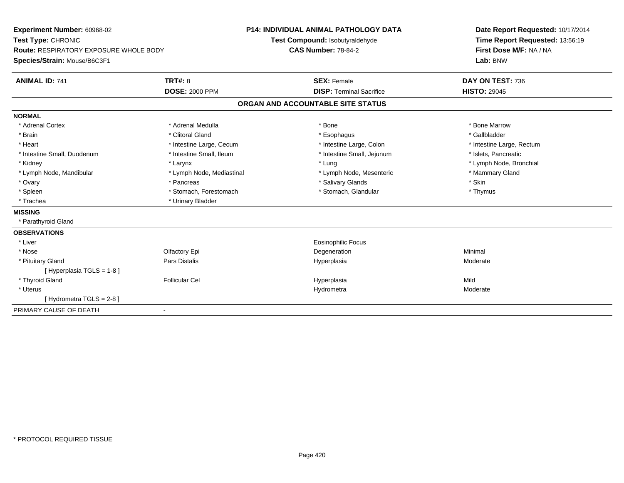| <b>Experiment Number: 60968-02</b>            | <b>P14: INDIVIDUAL ANIMAL PATHOLOGY DATA</b> |                                   | Date Report Requested: 10/17/2014 |  |
|-----------------------------------------------|----------------------------------------------|-----------------------------------|-----------------------------------|--|
| Test Type: CHRONIC                            |                                              | Test Compound: Isobutyraldehyde   | Time Report Requested: 13:56:19   |  |
| <b>Route: RESPIRATORY EXPOSURE WHOLE BODY</b> |                                              | <b>CAS Number: 78-84-2</b>        | First Dose M/F: NA / NA           |  |
| Species/Strain: Mouse/B6C3F1                  |                                              |                                   | Lab: BNW                          |  |
| <b>ANIMAL ID: 741</b>                         | <b>TRT#: 8</b>                               | <b>SEX: Female</b>                | DAY ON TEST: 736                  |  |
|                                               | <b>DOSE: 2000 PPM</b>                        | <b>DISP: Terminal Sacrifice</b>   | <b>HISTO: 29045</b>               |  |
|                                               |                                              | ORGAN AND ACCOUNTABLE SITE STATUS |                                   |  |
| <b>NORMAL</b>                                 |                                              |                                   |                                   |  |
| * Adrenal Cortex                              | * Adrenal Medulla                            | * Bone                            | * Bone Marrow                     |  |
| * Brain                                       | * Clitoral Gland                             | * Esophagus                       | * Gallbladder                     |  |
| * Heart                                       | * Intestine Large, Cecum                     | * Intestine Large, Colon          | * Intestine Large, Rectum         |  |
| * Intestine Small, Duodenum                   | * Intestine Small, Ileum                     | * Intestine Small, Jejunum        | * Islets. Pancreatic              |  |
| * Kidney                                      | * Larynx                                     | * Lung                            | * Lymph Node, Bronchial           |  |
| * Lymph Node, Mandibular                      | * Lymph Node, Mediastinal                    | * Lymph Node, Mesenteric          | * Mammary Gland                   |  |
| * Ovary                                       | * Pancreas                                   | * Salivary Glands                 | * Skin                            |  |
| * Spleen                                      | * Stomach, Forestomach                       | * Stomach, Glandular              | * Thymus                          |  |
| * Trachea                                     | * Urinary Bladder                            |                                   |                                   |  |
| <b>MISSING</b>                                |                                              |                                   |                                   |  |
| * Parathyroid Gland                           |                                              |                                   |                                   |  |
| <b>OBSERVATIONS</b>                           |                                              |                                   |                                   |  |
| * Liver                                       |                                              | <b>Eosinophilic Focus</b>         |                                   |  |
| * Nose                                        | Olfactory Epi                                | Degeneration                      | Minimal                           |  |
| * Pituitary Gland                             | Pars Distalis                                | Hyperplasia                       | Moderate                          |  |
| [Hyperplasia TGLS = 1-8]                      |                                              |                                   |                                   |  |
| * Thyroid Gland                               | <b>Follicular Cel</b>                        | Hyperplasia                       | Mild                              |  |
| * Uterus                                      |                                              | Hydrometra                        | Moderate                          |  |
| [Hydrometra TGLS = 2-8]                       |                                              |                                   |                                   |  |
| PRIMARY CAUSE OF DEATH                        | $\blacksquare$                               |                                   |                                   |  |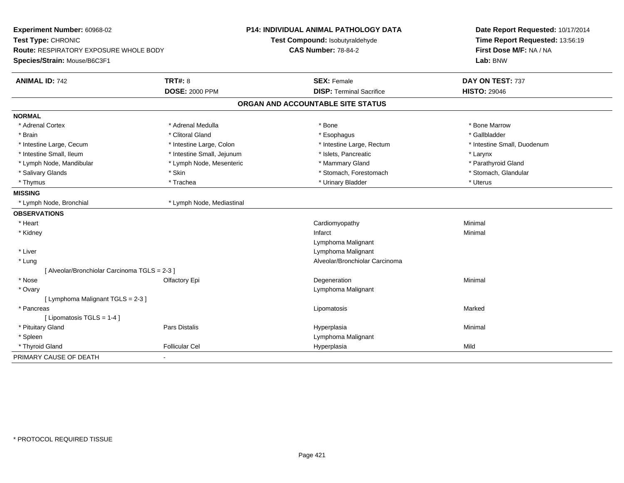| Experiment Number: 60968-02<br>Test Type: CHRONIC<br>Route: RESPIRATORY EXPOSURE WHOLE BODY<br>Species/Strain: Mouse/B6C3F1 |                            | <b>P14: INDIVIDUAL ANIMAL PATHOLOGY DATA</b><br>Test Compound: Isobutyraldehyde<br><b>CAS Number: 78-84-2</b> | Date Report Requested: 10/17/2014<br>Time Report Requested: 13:56:19<br>First Dose M/F: NA / NA<br>Lab: BNW |  |
|-----------------------------------------------------------------------------------------------------------------------------|----------------------------|---------------------------------------------------------------------------------------------------------------|-------------------------------------------------------------------------------------------------------------|--|
| <b>ANIMAL ID: 742</b>                                                                                                       | <b>TRT#: 8</b>             | <b>SEX: Female</b>                                                                                            | DAY ON TEST: 737                                                                                            |  |
|                                                                                                                             | <b>DOSE: 2000 PPM</b>      | <b>DISP: Terminal Sacrifice</b>                                                                               | <b>HISTO: 29046</b>                                                                                         |  |
|                                                                                                                             |                            | ORGAN AND ACCOUNTABLE SITE STATUS                                                                             |                                                                                                             |  |
| <b>NORMAL</b>                                                                                                               |                            |                                                                                                               |                                                                                                             |  |
| * Adrenal Cortex                                                                                                            | * Adrenal Medulla          | * Bone                                                                                                        | * Bone Marrow                                                                                               |  |
| * Brain                                                                                                                     | * Clitoral Gland           | * Esophagus                                                                                                   | * Gallbladder                                                                                               |  |
| * Intestine Large, Cecum                                                                                                    | * Intestine Large, Colon   | * Intestine Large, Rectum                                                                                     | * Intestine Small, Duodenum                                                                                 |  |
| * Intestine Small, Ileum                                                                                                    | * Intestine Small, Jejunum | * Islets, Pancreatic                                                                                          | * Larynx                                                                                                    |  |
| * Lymph Node, Mandibular                                                                                                    | * Lymph Node, Mesenteric   | * Mammary Gland                                                                                               | * Parathyroid Gland                                                                                         |  |
| * Salivary Glands                                                                                                           | * Skin                     | * Stomach, Forestomach                                                                                        | * Stomach, Glandular                                                                                        |  |
| * Thymus                                                                                                                    | * Trachea                  | * Urinary Bladder                                                                                             | * Uterus                                                                                                    |  |
| <b>MISSING</b>                                                                                                              |                            |                                                                                                               |                                                                                                             |  |
| * Lymph Node, Bronchial                                                                                                     | * Lymph Node, Mediastinal  |                                                                                                               |                                                                                                             |  |
| <b>OBSERVATIONS</b>                                                                                                         |                            |                                                                                                               |                                                                                                             |  |
| * Heart                                                                                                                     |                            | Cardiomyopathy                                                                                                | Minimal                                                                                                     |  |
| * Kidney                                                                                                                    |                            | Infarct                                                                                                       | Minimal                                                                                                     |  |
|                                                                                                                             |                            | Lymphoma Malignant                                                                                            |                                                                                                             |  |
| * Liver                                                                                                                     |                            | Lymphoma Malignant                                                                                            |                                                                                                             |  |
| * Lung                                                                                                                      |                            | Alveolar/Bronchiolar Carcinoma                                                                                |                                                                                                             |  |
| [ Alveolar/Bronchiolar Carcinoma TGLS = 2-3 ]                                                                               |                            |                                                                                                               |                                                                                                             |  |
| * Nose                                                                                                                      | Olfactory Epi              | Degeneration                                                                                                  | Minimal                                                                                                     |  |
| * Ovary                                                                                                                     |                            | Lymphoma Malignant                                                                                            |                                                                                                             |  |
| [ Lymphoma Malignant TGLS = 2-3 ]                                                                                           |                            |                                                                                                               |                                                                                                             |  |
| * Pancreas                                                                                                                  |                            | Lipomatosis                                                                                                   | Marked                                                                                                      |  |
| [ Lipomatosis TGLS = 1-4 ]                                                                                                  |                            |                                                                                                               |                                                                                                             |  |
| * Pituitary Gland                                                                                                           | Pars Distalis              | Hyperplasia                                                                                                   | Minimal                                                                                                     |  |
| * Spleen                                                                                                                    |                            | Lymphoma Malignant                                                                                            |                                                                                                             |  |
| * Thyroid Gland                                                                                                             | <b>Follicular Cel</b>      | Hyperplasia                                                                                                   | Mild                                                                                                        |  |
| PRIMARY CAUSE OF DEATH                                                                                                      | $\sim$                     |                                                                                                               |                                                                                                             |  |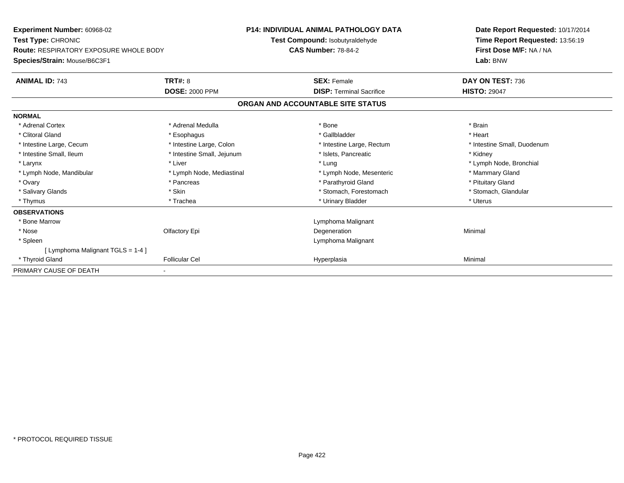| <b>Experiment Number: 60968-02</b>            | <b>P14: INDIVIDUAL ANIMAL PATHOLOGY DATA</b><br>Test Compound: Isobutyraldehyde<br><b>CAS Number: 78-84-2</b> |                                   | Date Report Requested: 10/17/2014<br>Time Report Requested: 13:56:19 |
|-----------------------------------------------|---------------------------------------------------------------------------------------------------------------|-----------------------------------|----------------------------------------------------------------------|
| Test Type: CHRONIC                            |                                                                                                               |                                   |                                                                      |
| <b>Route: RESPIRATORY EXPOSURE WHOLE BODY</b> |                                                                                                               |                                   | First Dose M/F: NA / NA                                              |
| Species/Strain: Mouse/B6C3F1                  |                                                                                                               |                                   | Lab: BNW                                                             |
| <b>ANIMAL ID: 743</b>                         | <b>TRT#: 8</b>                                                                                                | <b>SEX: Female</b>                | DAY ON TEST: 736                                                     |
|                                               | <b>DOSE: 2000 PPM</b>                                                                                         | <b>DISP: Terminal Sacrifice</b>   | <b>HISTO: 29047</b>                                                  |
|                                               |                                                                                                               | ORGAN AND ACCOUNTABLE SITE STATUS |                                                                      |
| <b>NORMAL</b>                                 |                                                                                                               |                                   |                                                                      |
| * Adrenal Cortex                              | * Adrenal Medulla                                                                                             | * Bone                            | * Brain                                                              |
| * Clitoral Gland                              | * Esophagus                                                                                                   | * Gallbladder                     | * Heart                                                              |
| * Intestine Large, Cecum                      | * Intestine Large, Colon                                                                                      | * Intestine Large, Rectum         | * Intestine Small, Duodenum                                          |
| * Intestine Small, Ileum                      | * Intestine Small, Jejunum                                                                                    | * Islets, Pancreatic              | * Kidney                                                             |
| * Larynx                                      | * Liver                                                                                                       | * Lung                            | * Lymph Node, Bronchial                                              |
| * Lymph Node, Mandibular                      | * Lymph Node, Mediastinal                                                                                     | * Lymph Node, Mesenteric          | * Mammary Gland                                                      |
| * Ovary                                       | * Pancreas                                                                                                    | * Parathyroid Gland               | * Pituitary Gland                                                    |
| * Salivary Glands                             | * Skin                                                                                                        | * Stomach, Forestomach            | * Stomach, Glandular                                                 |
| * Thymus                                      | * Trachea                                                                                                     | * Urinary Bladder                 | * Uterus                                                             |
| <b>OBSERVATIONS</b>                           |                                                                                                               |                                   |                                                                      |
| * Bone Marrow                                 |                                                                                                               | Lymphoma Malignant                |                                                                      |
| * Nose                                        | Olfactory Epi                                                                                                 | Degeneration                      | Minimal                                                              |
| * Spleen                                      |                                                                                                               | Lymphoma Malignant                |                                                                      |
| [ Lymphoma Malignant TGLS = 1-4 ]             |                                                                                                               |                                   |                                                                      |
| * Thyroid Gland                               | <b>Follicular Cel</b>                                                                                         | Hyperplasia                       | Minimal                                                              |
| PRIMARY CAUSE OF DEATH                        |                                                                                                               |                                   |                                                                      |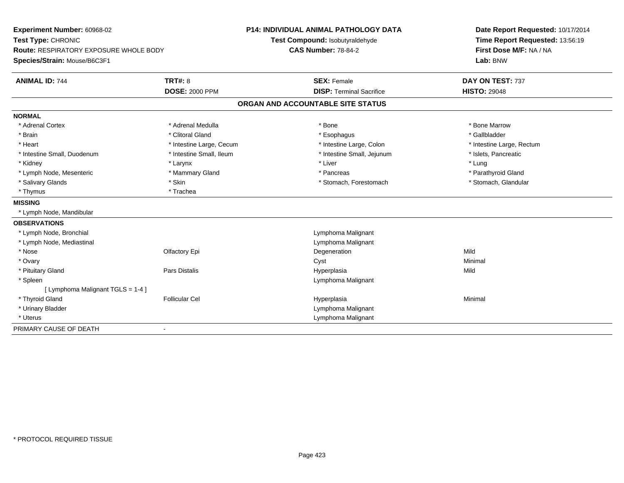| Experiment Number: 60968-02<br>Test Type: CHRONIC<br>Route: RESPIRATORY EXPOSURE WHOLE BODY<br>Species/Strain: Mouse/B6C3F1 |                          | <b>P14: INDIVIDUAL ANIMAL PATHOLOGY DATA</b><br>Test Compound: Isobutyraldehyde<br><b>CAS Number: 78-84-2</b> | Date Report Requested: 10/17/2014<br>Time Report Requested: 13:56:19<br>First Dose M/F: NA / NA<br>Lab: BNW |
|-----------------------------------------------------------------------------------------------------------------------------|--------------------------|---------------------------------------------------------------------------------------------------------------|-------------------------------------------------------------------------------------------------------------|
| <b>ANIMAL ID: 744</b>                                                                                                       | <b>TRT#: 8</b>           | <b>SEX: Female</b>                                                                                            | DAY ON TEST: 737                                                                                            |
|                                                                                                                             | <b>DOSE: 2000 PPM</b>    | <b>DISP: Terminal Sacrifice</b>                                                                               | <b>HISTO: 29048</b>                                                                                         |
|                                                                                                                             |                          | ORGAN AND ACCOUNTABLE SITE STATUS                                                                             |                                                                                                             |
| <b>NORMAL</b>                                                                                                               |                          |                                                                                                               |                                                                                                             |
| * Adrenal Cortex                                                                                                            | * Adrenal Medulla        | * Bone                                                                                                        | * Bone Marrow                                                                                               |
| * Brain                                                                                                                     | * Clitoral Gland         | * Esophagus                                                                                                   | * Gallbladder                                                                                               |
| * Heart                                                                                                                     | * Intestine Large, Cecum | * Intestine Large, Colon                                                                                      | * Intestine Large, Rectum                                                                                   |
| * Intestine Small, Duodenum                                                                                                 | * Intestine Small, Ileum | * Intestine Small, Jejunum                                                                                    | * Islets, Pancreatic                                                                                        |
| * Kidney                                                                                                                    | * Larynx                 | * Liver                                                                                                       | * Lung                                                                                                      |
| * Lymph Node, Mesenteric                                                                                                    | * Mammary Gland          | * Pancreas                                                                                                    | * Parathyroid Gland                                                                                         |
| * Salivary Glands                                                                                                           | * Skin                   | * Stomach, Forestomach                                                                                        | * Stomach, Glandular                                                                                        |
| * Thymus                                                                                                                    | * Trachea                |                                                                                                               |                                                                                                             |
| <b>MISSING</b>                                                                                                              |                          |                                                                                                               |                                                                                                             |
| * Lymph Node, Mandibular                                                                                                    |                          |                                                                                                               |                                                                                                             |
| <b>OBSERVATIONS</b>                                                                                                         |                          |                                                                                                               |                                                                                                             |
| * Lymph Node, Bronchial                                                                                                     |                          | Lymphoma Malignant                                                                                            |                                                                                                             |
| * Lymph Node, Mediastinal                                                                                                   |                          | Lymphoma Malignant                                                                                            |                                                                                                             |
| * Nose                                                                                                                      | Olfactory Epi            | Degeneration                                                                                                  | Mild                                                                                                        |
| * Ovary                                                                                                                     |                          | Cyst                                                                                                          | Minimal                                                                                                     |
| * Pituitary Gland                                                                                                           | <b>Pars Distalis</b>     | Hyperplasia                                                                                                   | Mild                                                                                                        |
| * Spleen                                                                                                                    |                          | Lymphoma Malignant                                                                                            |                                                                                                             |
| [ Lymphoma Malignant TGLS = 1-4 ]                                                                                           |                          |                                                                                                               |                                                                                                             |
| * Thyroid Gland                                                                                                             | <b>Follicular Cel</b>    | Hyperplasia                                                                                                   | Minimal                                                                                                     |
| * Urinary Bladder                                                                                                           |                          | Lymphoma Malignant                                                                                            |                                                                                                             |
| * Uterus                                                                                                                    |                          | Lymphoma Malignant                                                                                            |                                                                                                             |
| PRIMARY CAUSE OF DEATH                                                                                                      | $\overline{\phantom{a}}$ |                                                                                                               |                                                                                                             |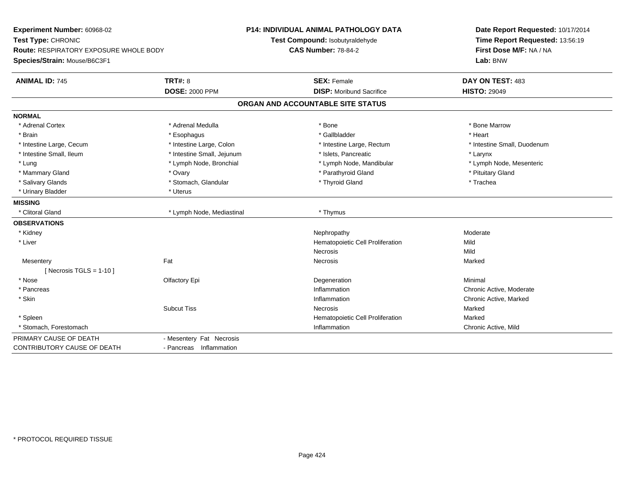| Experiment Number: 60968-02                   |                            | <b>P14: INDIVIDUAL ANIMAL PATHOLOGY DATA</b> | Date Report Requested: 10/17/2014 |  |
|-----------------------------------------------|----------------------------|----------------------------------------------|-----------------------------------|--|
| Test Type: CHRONIC                            |                            | Test Compound: Isobutyraldehyde              | Time Report Requested: 13:56:19   |  |
| <b>Route: RESPIRATORY EXPOSURE WHOLE BODY</b> |                            | <b>CAS Number: 78-84-2</b>                   | First Dose M/F: NA / NA           |  |
| Species/Strain: Mouse/B6C3F1                  |                            |                                              | Lab: BNW                          |  |
| <b>ANIMAL ID: 745</b>                         | <b>TRT#: 8</b>             | <b>SEX: Female</b>                           | DAY ON TEST: 483                  |  |
|                                               | <b>DOSE: 2000 PPM</b>      | <b>DISP:</b> Moribund Sacrifice              | <b>HISTO: 29049</b>               |  |
|                                               |                            | ORGAN AND ACCOUNTABLE SITE STATUS            |                                   |  |
| <b>NORMAL</b>                                 |                            |                                              |                                   |  |
| * Adrenal Cortex                              | * Adrenal Medulla          | * Bone                                       | * Bone Marrow                     |  |
| * Brain                                       | * Esophagus                | * Gallbladder                                | * Heart                           |  |
| * Intestine Large, Cecum                      | * Intestine Large, Colon   | * Intestine Large, Rectum                    | * Intestine Small, Duodenum       |  |
| * Intestine Small, Ileum                      | * Intestine Small, Jejunum | * Islets, Pancreatic                         | * Larynx                          |  |
| * Lung                                        | * Lymph Node, Bronchial    | * Lymph Node, Mandibular                     | * Lymph Node, Mesenteric          |  |
| * Mammary Gland                               | * Ovary                    | * Parathyroid Gland                          | * Pituitary Gland                 |  |
| * Salivary Glands                             | * Stomach, Glandular       | * Thyroid Gland                              | * Trachea                         |  |
| * Urinary Bladder                             | * Uterus                   |                                              |                                   |  |
| <b>MISSING</b>                                |                            |                                              |                                   |  |
| * Clitoral Gland                              | * Lymph Node, Mediastinal  | * Thymus                                     |                                   |  |
| <b>OBSERVATIONS</b>                           |                            |                                              |                                   |  |
| * Kidney                                      |                            | Nephropathy                                  | Moderate                          |  |
| * Liver                                       |                            | Hematopoietic Cell Proliferation             | Mild                              |  |
|                                               |                            | <b>Necrosis</b>                              | Mild                              |  |
| Mesentery                                     | Fat                        | <b>Necrosis</b>                              | Marked                            |  |
| [Necrosis TGLS = $1-10$ ]                     |                            |                                              |                                   |  |
| * Nose                                        | Olfactory Epi              | Degeneration                                 | Minimal                           |  |
| * Pancreas                                    |                            | Inflammation                                 | Chronic Active, Moderate          |  |
| * Skin                                        |                            | Inflammation                                 | Chronic Active, Marked            |  |
|                                               | <b>Subcut Tiss</b>         | Necrosis                                     | Marked                            |  |
| * Spleen                                      |                            | Hematopoietic Cell Proliferation             | Marked                            |  |
| * Stomach. Forestomach                        |                            | Inflammation                                 | Chronic Active, Mild              |  |
| PRIMARY CAUSE OF DEATH                        | - Mesentery Fat Necrosis   |                                              |                                   |  |
| CONTRIBUTORY CAUSE OF DEATH                   | - Pancreas Inflammation    |                                              |                                   |  |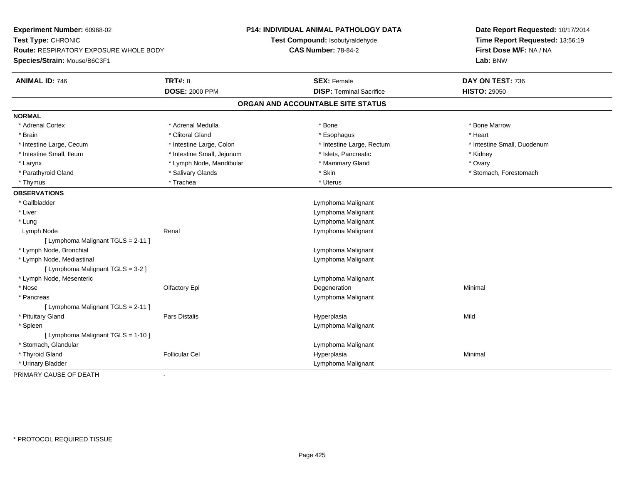| Experiment Number: 60968-02                   | <b>P14: INDIVIDUAL ANIMAL PATHOLOGY DATA</b><br>Test Compound: Isobutyraldehyde |                                   | Date Report Requested: 10/17/2014<br>Time Report Requested: 13:56:19 |
|-----------------------------------------------|---------------------------------------------------------------------------------|-----------------------------------|----------------------------------------------------------------------|
| Test Type: CHRONIC                            |                                                                                 |                                   |                                                                      |
| <b>Route: RESPIRATORY EXPOSURE WHOLE BODY</b> |                                                                                 | <b>CAS Number: 78-84-2</b>        | First Dose M/F: NA / NA                                              |
| Species/Strain: Mouse/B6C3F1                  |                                                                                 |                                   | Lab: BNW                                                             |
| <b>ANIMAL ID: 746</b>                         | <b>TRT#: 8</b>                                                                  | <b>SEX: Female</b>                | DAY ON TEST: 736                                                     |
|                                               | <b>DOSE: 2000 PPM</b>                                                           | <b>DISP: Terminal Sacrifice</b>   | <b>HISTO: 29050</b>                                                  |
|                                               |                                                                                 | ORGAN AND ACCOUNTABLE SITE STATUS |                                                                      |
| <b>NORMAL</b>                                 |                                                                                 |                                   |                                                                      |
| * Adrenal Cortex                              | * Adrenal Medulla                                                               | * Bone                            | * Bone Marrow                                                        |
| * Brain                                       | * Clitoral Gland                                                                | * Esophagus                       | * Heart                                                              |
| * Intestine Large, Cecum                      | * Intestine Large, Colon                                                        | * Intestine Large, Rectum         | * Intestine Small, Duodenum                                          |
| * Intestine Small, Ileum                      | * Intestine Small, Jejunum                                                      | * Islets, Pancreatic              | * Kidney                                                             |
| * Larynx                                      | * Lymph Node, Mandibular                                                        | * Mammary Gland                   | * Ovary                                                              |
| * Parathyroid Gland                           | * Salivary Glands                                                               | * Skin                            | * Stomach, Forestomach                                               |
| * Thymus                                      | * Trachea                                                                       | * Uterus                          |                                                                      |
| <b>OBSERVATIONS</b>                           |                                                                                 |                                   |                                                                      |
| * Gallbladder                                 |                                                                                 | Lymphoma Malignant                |                                                                      |
| * Liver                                       |                                                                                 | Lymphoma Malignant                |                                                                      |
| * Lung                                        |                                                                                 | Lymphoma Malignant                |                                                                      |
| Lymph Node                                    | Renal                                                                           | Lymphoma Malignant                |                                                                      |
| [ Lymphoma Malignant TGLS = 2-11 ]            |                                                                                 |                                   |                                                                      |
| * Lymph Node, Bronchial                       |                                                                                 | Lymphoma Malignant                |                                                                      |
| * Lymph Node, Mediastinal                     |                                                                                 | Lymphoma Malignant                |                                                                      |
| [ Lymphoma Malignant TGLS = 3-2 ]             |                                                                                 |                                   |                                                                      |
| * Lymph Node, Mesenteric                      |                                                                                 | Lymphoma Malignant                |                                                                      |
| * Nose                                        | Olfactory Epi                                                                   | Degeneration                      | Minimal                                                              |
| * Pancreas                                    |                                                                                 | Lymphoma Malignant                |                                                                      |
| [ Lymphoma Malignant TGLS = 2-11 ]            |                                                                                 |                                   |                                                                      |
| * Pituitary Gland                             | <b>Pars Distalis</b>                                                            | Hyperplasia                       | Mild                                                                 |
| * Spleen                                      |                                                                                 | Lymphoma Malignant                |                                                                      |
| [ Lymphoma Malignant TGLS = 1-10 ]            |                                                                                 |                                   |                                                                      |
| * Stomach, Glandular                          |                                                                                 | Lymphoma Malignant                |                                                                      |
| * Thyroid Gland                               | <b>Follicular Cel</b>                                                           | Hyperplasia                       | Minimal                                                              |
| * Urinary Bladder                             |                                                                                 | Lymphoma Malignant                |                                                                      |
| PRIMARY CAUSE OF DEATH                        | $\mathbf{r}$                                                                    |                                   |                                                                      |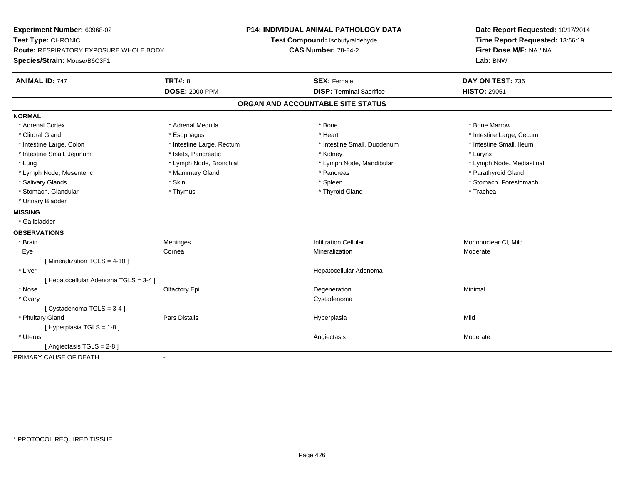| Experiment Number: 60968-02<br>Test Type: CHRONIC<br><b>Route: RESPIRATORY EXPOSURE WHOLE BODY</b><br>Species/Strain: Mouse/B6C3F1 |                                         | <b>P14: INDIVIDUAL ANIMAL PATHOLOGY DATA</b><br>Test Compound: Isobutyraldehyde<br><b>CAS Number: 78-84-2</b> | Date Report Requested: 10/17/2014<br>Time Report Requested: 13:56:19<br>First Dose M/F: NA / NA<br>Lab: BNW |
|------------------------------------------------------------------------------------------------------------------------------------|-----------------------------------------|---------------------------------------------------------------------------------------------------------------|-------------------------------------------------------------------------------------------------------------|
| <b>ANIMAL ID: 747</b>                                                                                                              | <b>TRT#: 8</b><br><b>DOSE: 2000 PPM</b> | <b>SEX: Female</b><br><b>DISP: Terminal Sacrifice</b>                                                         | DAY ON TEST: 736<br><b>HISTO: 29051</b>                                                                     |
|                                                                                                                                    |                                         |                                                                                                               |                                                                                                             |
|                                                                                                                                    |                                         | ORGAN AND ACCOUNTABLE SITE STATUS                                                                             |                                                                                                             |
| <b>NORMAL</b>                                                                                                                      |                                         |                                                                                                               |                                                                                                             |
| * Adrenal Cortex                                                                                                                   | * Adrenal Medulla                       | * Bone                                                                                                        | * Bone Marrow                                                                                               |
| * Clitoral Gland                                                                                                                   | * Esophagus                             | * Heart                                                                                                       | * Intestine Large, Cecum                                                                                    |
| * Intestine Large, Colon                                                                                                           | * Intestine Large, Rectum               | * Intestine Small, Duodenum                                                                                   | * Intestine Small, Ileum                                                                                    |
| * Intestine Small, Jejunum                                                                                                         | * Islets, Pancreatic                    | * Kidney                                                                                                      | * Larynx                                                                                                    |
| * Lung                                                                                                                             | * Lymph Node, Bronchial                 | * Lymph Node, Mandibular                                                                                      | * Lymph Node, Mediastinal                                                                                   |
| * Lymph Node, Mesenteric                                                                                                           | * Mammary Gland                         | * Pancreas                                                                                                    | * Parathyroid Gland                                                                                         |
| * Salivary Glands                                                                                                                  | * Skin                                  | * Spleen                                                                                                      | * Stomach, Forestomach                                                                                      |
| * Stomach, Glandular                                                                                                               | * Thymus                                | * Thyroid Gland                                                                                               | * Trachea                                                                                                   |
| * Urinary Bladder                                                                                                                  |                                         |                                                                                                               |                                                                                                             |
| <b>MISSING</b>                                                                                                                     |                                         |                                                                                                               |                                                                                                             |
| * Gallbladder                                                                                                                      |                                         |                                                                                                               |                                                                                                             |
| <b>OBSERVATIONS</b>                                                                                                                |                                         |                                                                                                               |                                                                                                             |
| * Brain                                                                                                                            | Meninges                                | <b>Infiltration Cellular</b>                                                                                  | Mononuclear CI, Mild                                                                                        |
| Eye                                                                                                                                | Cornea                                  | Mineralization                                                                                                | Moderate                                                                                                    |
| [ Mineralization TGLS = 4-10 ]                                                                                                     |                                         |                                                                                                               |                                                                                                             |
| * Liver                                                                                                                            |                                         | Hepatocellular Adenoma                                                                                        |                                                                                                             |
| [ Hepatocellular Adenoma TGLS = 3-4 ]                                                                                              |                                         |                                                                                                               |                                                                                                             |
| * Nose                                                                                                                             | Olfactory Epi                           | Degeneration                                                                                                  | Minimal                                                                                                     |
| * Ovary                                                                                                                            |                                         | Cystadenoma                                                                                                   |                                                                                                             |
| [ Cystadenoma TGLS = 3-4 ]                                                                                                         |                                         |                                                                                                               |                                                                                                             |
| * Pituitary Gland                                                                                                                  | <b>Pars Distalis</b>                    | Hyperplasia                                                                                                   | Mild                                                                                                        |
| [ Hyperplasia TGLS = 1-8]                                                                                                          |                                         |                                                                                                               |                                                                                                             |
| * Uterus                                                                                                                           |                                         | Angiectasis                                                                                                   | Moderate                                                                                                    |
| [ Angiectasis $TGLS = 2-8$ ]                                                                                                       |                                         |                                                                                                               |                                                                                                             |
| PRIMARY CAUSE OF DEATH                                                                                                             | $\sim$                                  |                                                                                                               |                                                                                                             |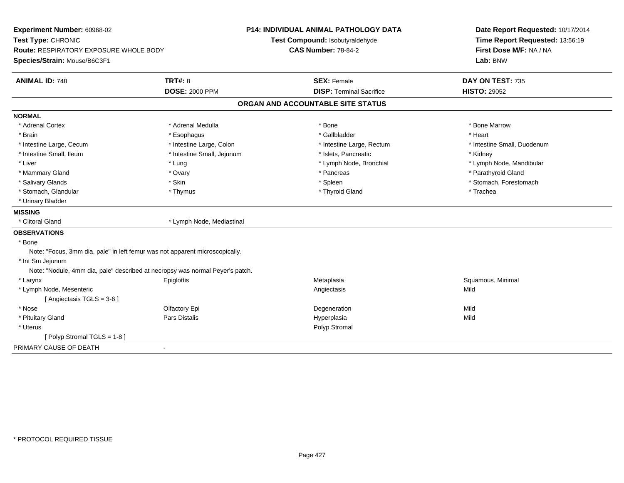| Test Type: CHRONIC<br>Test Compound: Isobutyraldehyde<br>Time Report Requested: 13:56:19<br><b>CAS Number: 78-84-2</b><br>First Dose M/F: NA / NA<br><b>Route: RESPIRATORY EXPOSURE WHOLE BODY</b> |  |
|----------------------------------------------------------------------------------------------------------------------------------------------------------------------------------------------------|--|
|                                                                                                                                                                                                    |  |
|                                                                                                                                                                                                    |  |
| Species/Strain: Mouse/B6C3F1<br>Lab: BNW                                                                                                                                                           |  |
| <b>TRT#: 8</b><br><b>ANIMAL ID: 748</b><br><b>SEX: Female</b><br>DAY ON TEST: 735                                                                                                                  |  |
| <b>DOSE: 2000 PPM</b><br><b>DISP: Terminal Sacrifice</b><br><b>HISTO: 29052</b>                                                                                                                    |  |
| ORGAN AND ACCOUNTABLE SITE STATUS                                                                                                                                                                  |  |
| <b>NORMAL</b>                                                                                                                                                                                      |  |
| * Adrenal Medulla<br>* Bone<br>* Bone Marrow<br>* Adrenal Cortex                                                                                                                                   |  |
| * Gallbladder<br>* Brain<br>* Esophagus<br>* Heart                                                                                                                                                 |  |
| * Intestine Large, Cecum<br>* Intestine Large, Colon<br>* Intestine Large, Rectum<br>* Intestine Small, Duodenum                                                                                   |  |
| * Intestine Small, Ileum<br>* Intestine Small, Jejunum<br>* Islets, Pancreatic<br>* Kidney                                                                                                         |  |
| * Liver<br>* Lymph Node, Bronchial<br>* Lymph Node, Mandibular<br>* Lung                                                                                                                           |  |
| * Mammary Gland<br>* Pancreas<br>* Parathyroid Gland<br>* Ovary                                                                                                                                    |  |
| * Salivary Glands<br>* Skin<br>* Spleen<br>* Stomach, Forestomach                                                                                                                                  |  |
| * Stomach, Glandular<br>* Thyroid Gland<br>* Trachea<br>* Thymus                                                                                                                                   |  |
| * Urinary Bladder                                                                                                                                                                                  |  |
| <b>MISSING</b>                                                                                                                                                                                     |  |
| * Clitoral Gland<br>* Lymph Node, Mediastinal                                                                                                                                                      |  |
| <b>OBSERVATIONS</b>                                                                                                                                                                                |  |
| * Bone                                                                                                                                                                                             |  |
| Note: "Focus, 3mm dia, pale" in left femur was not apparent microscopically.                                                                                                                       |  |
| * Int Sm Jejunum                                                                                                                                                                                   |  |
| Note: "Nodule, 4mm dia, pale" described at necropsy was normal Peyer's patch.                                                                                                                      |  |
| * Larynx<br>Metaplasia<br>Squamous, Minimal<br>Epiglottis                                                                                                                                          |  |
| * Lymph Node, Mesenteric<br>Mild<br>Angiectasis                                                                                                                                                    |  |
| [Angiectasis TGLS = 3-6]                                                                                                                                                                           |  |
| * Nose<br>Mild<br>Olfactory Epi<br>Degeneration                                                                                                                                                    |  |
| <b>Pars Distalis</b><br>Mild<br>* Pituitary Gland<br>Hyperplasia                                                                                                                                   |  |
| * Uterus<br>Polyp Stromal                                                                                                                                                                          |  |
| [Polyp Stromal TGLS = 1-8]                                                                                                                                                                         |  |
| PRIMARY CAUSE OF DEATH<br>$\blacksquare$                                                                                                                                                           |  |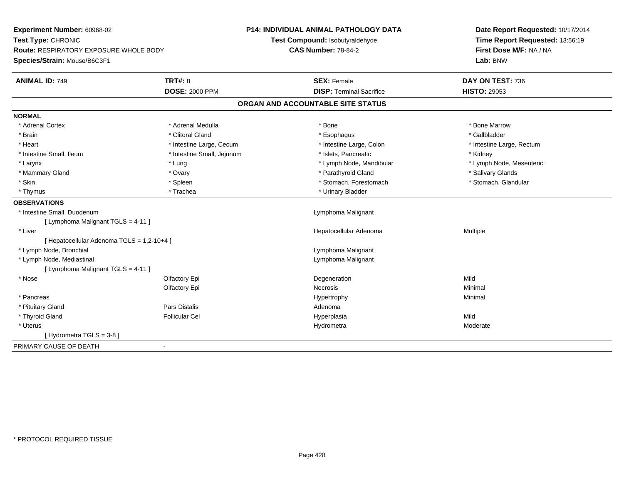| Experiment Number: 60968-02                   |                            | <b>P14: INDIVIDUAL ANIMAL PATHOLOGY DATA</b> | Date Report Requested: 10/17/2014<br>Time Report Requested: 13:56:19<br>First Dose M/F: NA / NA |  |
|-----------------------------------------------|----------------------------|----------------------------------------------|-------------------------------------------------------------------------------------------------|--|
| Test Type: CHRONIC                            |                            | Test Compound: Isobutyraldehyde              |                                                                                                 |  |
| <b>Route: RESPIRATORY EXPOSURE WHOLE BODY</b> |                            | <b>CAS Number: 78-84-2</b>                   |                                                                                                 |  |
| Species/Strain: Mouse/B6C3F1                  |                            |                                              | Lab: BNW                                                                                        |  |
| <b>ANIMAL ID: 749</b>                         | <b>TRT#: 8</b>             | <b>SEX: Female</b>                           | DAY ON TEST: 736                                                                                |  |
|                                               | <b>DOSE: 2000 PPM</b>      | <b>DISP: Terminal Sacrifice</b>              | <b>HISTO: 29053</b>                                                                             |  |
|                                               |                            | ORGAN AND ACCOUNTABLE SITE STATUS            |                                                                                                 |  |
| <b>NORMAL</b>                                 |                            |                                              |                                                                                                 |  |
| * Adrenal Cortex                              | * Adrenal Medulla          | * Bone                                       | * Bone Marrow                                                                                   |  |
| * Brain                                       | * Clitoral Gland           | * Esophagus                                  | * Gallbladder                                                                                   |  |
| * Heart                                       | * Intestine Large, Cecum   | * Intestine Large, Colon                     | * Intestine Large, Rectum                                                                       |  |
| * Intestine Small, Ileum                      | * Intestine Small, Jejunum | * Islets, Pancreatic                         | * Kidney                                                                                        |  |
| * Larynx                                      | * Lung                     | * Lymph Node, Mandibular                     | * Lymph Node, Mesenteric                                                                        |  |
| * Mammary Gland                               | * Ovary                    | * Parathyroid Gland                          | * Salivary Glands                                                                               |  |
| * Skin                                        | * Spleen                   | * Stomach, Forestomach                       | * Stomach, Glandular                                                                            |  |
| * Thymus                                      | * Trachea                  | * Urinary Bladder                            |                                                                                                 |  |
| <b>OBSERVATIONS</b>                           |                            |                                              |                                                                                                 |  |
| * Intestine Small, Duodenum                   |                            | Lymphoma Malignant                           |                                                                                                 |  |
| [ Lymphoma Malignant TGLS = 4-11 ]            |                            |                                              |                                                                                                 |  |
| * Liver                                       |                            | Hepatocellular Adenoma                       | Multiple                                                                                        |  |
| [ Hepatocellular Adenoma TGLS = 1,2-10+4 ]    |                            |                                              |                                                                                                 |  |
| * Lymph Node, Bronchial                       |                            | Lymphoma Malignant                           |                                                                                                 |  |
| * Lymph Node, Mediastinal                     |                            | Lymphoma Malignant                           |                                                                                                 |  |
| [ Lymphoma Malignant TGLS = 4-11 ]            |                            |                                              |                                                                                                 |  |
| * Nose                                        | Olfactory Epi              | Degeneration                                 | Mild                                                                                            |  |
|                                               | Olfactory Epi              | Necrosis                                     | Minimal                                                                                         |  |
| * Pancreas                                    |                            | Hypertrophy                                  | Minimal                                                                                         |  |
| * Pituitary Gland                             | <b>Pars Distalis</b>       | Adenoma                                      |                                                                                                 |  |
| * Thyroid Gland                               | <b>Follicular Cel</b>      | Hyperplasia                                  | Mild                                                                                            |  |
| * Uterus                                      |                            | Hydrometra                                   | Moderate                                                                                        |  |
| [Hydrometra TGLS = $3-8$ ]                    |                            |                                              |                                                                                                 |  |
| PRIMARY CAUSE OF DEATH                        |                            |                                              |                                                                                                 |  |